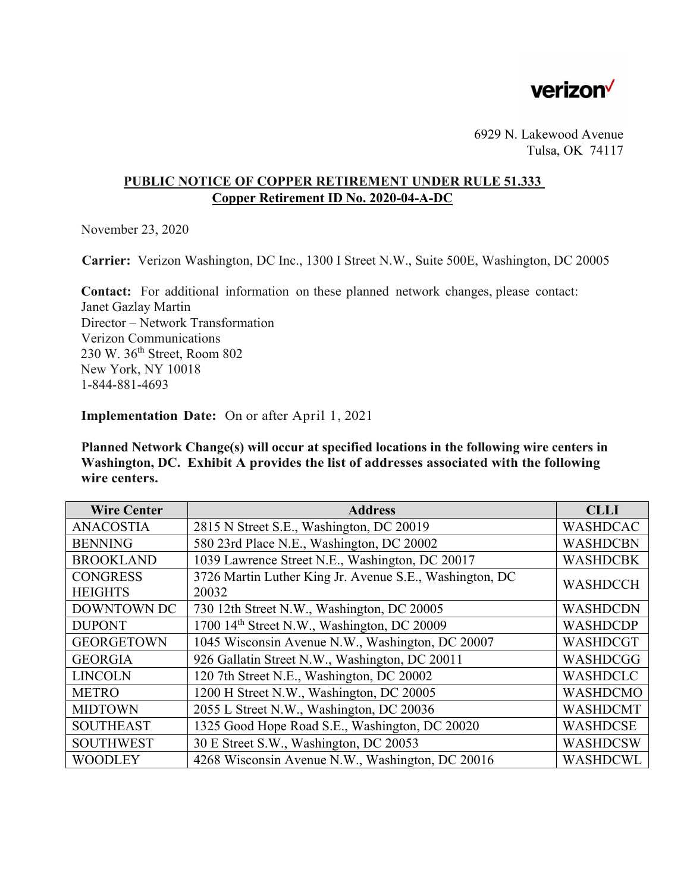

6929 N. Lakewood Avenue Tulsa, OK 74117

### **PUBLIC NOTICE OF COPPER RETIREMENT UNDER RULE 51.333 Copper Retirement ID No. 2020-04-A-DC**

November 23, 2020

**Carrier:** Verizon Washington, DC Inc., 1300 I Street N.W., Suite 500E, Washington, DC 20005

**Contact:** For additional information on these planned network changes, please contact: Janet Gazlay Martin Director – Network Transformation Verizon Communications 230 W. 36th Street, Room 802 New York, NY 10018 1-844-881-4693

**Implementation Date:** On or after April 1, 2021

**Planned Network Change(s) will occur at specified locations in the following wire centers in Washington, DC. Exhibit A provides the list of addresses associated with the following wire centers.** 

| <b>Wire Center</b> | <b>Address</b>                                          | <b>CLLI</b>     |
|--------------------|---------------------------------------------------------|-----------------|
| <b>ANACOSTIA</b>   | 2815 N Street S.E., Washington, DC 20019                | <b>WASHDCAC</b> |
| <b>BENNING</b>     | 580 23rd Place N.E., Washington, DC 20002               | <b>WASHDCBN</b> |
| <b>BROOKLAND</b>   | 1039 Lawrence Street N.E., Washington, DC 20017         | <b>WASHDCBK</b> |
| <b>CONGRESS</b>    | 3726 Martin Luther King Jr. Avenue S.E., Washington, DC | <b>WASHDCCH</b> |
| <b>HEIGHTS</b>     | 20032                                                   |                 |
| <b>DOWNTOWN DC</b> | 730 12th Street N.W., Washington, DC 20005              | <b>WASHDCDN</b> |
| <b>DUPONT</b>      | 1700 14 <sup>th</sup> Street N.W., Washington, DC 20009 | <b>WASHDCDP</b> |
| <b>GEORGETOWN</b>  | 1045 Wisconsin Avenue N.W., Washington, DC 20007        | <b>WASHDCGT</b> |
| <b>GEORGIA</b>     | 926 Gallatin Street N.W., Washington, DC 20011          | WASHDCGG        |
| <b>LINCOLN</b>     | 120 7th Street N.E., Washington, DC 20002               | <b>WASHDCLC</b> |
| <b>METRO</b>       | 1200 H Street N.W., Washington, DC 20005                | <b>WASHDCMO</b> |
| <b>MIDTOWN</b>     | 2055 L Street N.W., Washington, DC 20036                | <b>WASHDCMT</b> |
| <b>SOUTHEAST</b>   | 1325 Good Hope Road S.E., Washington, DC 20020          | <b>WASHDCSE</b> |
| <b>SOUTHWEST</b>   | 30 E Street S.W., Washington, DC 20053                  | <b>WASHDCSW</b> |
| <b>WOODLEY</b>     | 4268 Wisconsin Avenue N.W., Washington, DC 20016        | <b>WASHDCWL</b> |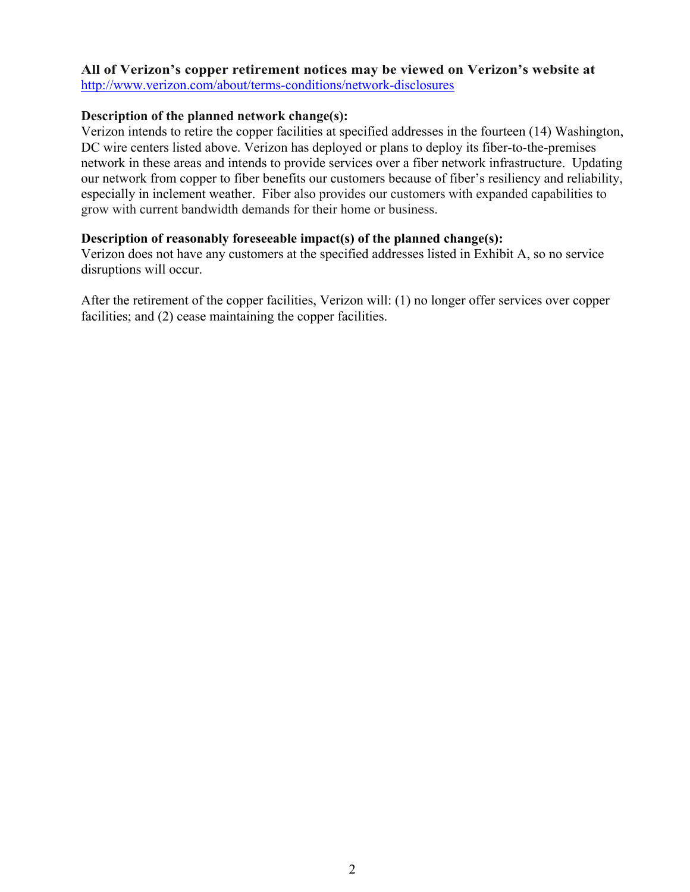# **All of Verizon's copper retirement notices may be viewed on Verizon's website at**

http://www.verizon.com/about/terms-conditions/network-disclosures

# **Description of the planned network change(s):**

Verizon intends to retire the copper facilities at specified addresses in the fourteen (14) Washington, DC wire centers listed above. Verizon has deployed or plans to deploy its fiber-to-the-premises network in these areas and intends to provide services over a fiber network infrastructure. Updating our network from copper to fiber benefits our customers because of fiber's resiliency and reliability, especially in inclement weather. Fiber also provides our customers with expanded capabilities to grow with current bandwidth demands for their home or business.

# **Description of reasonably foreseeable impact(s) of the planned change(s):**

Verizon does not have any customers at the specified addresses listed in Exhibit A, so no service disruptions will occur.

After the retirement of the copper facilities, Verizon will: (1) no longer offer services over copper facilities; and (2) cease maintaining the copper facilities.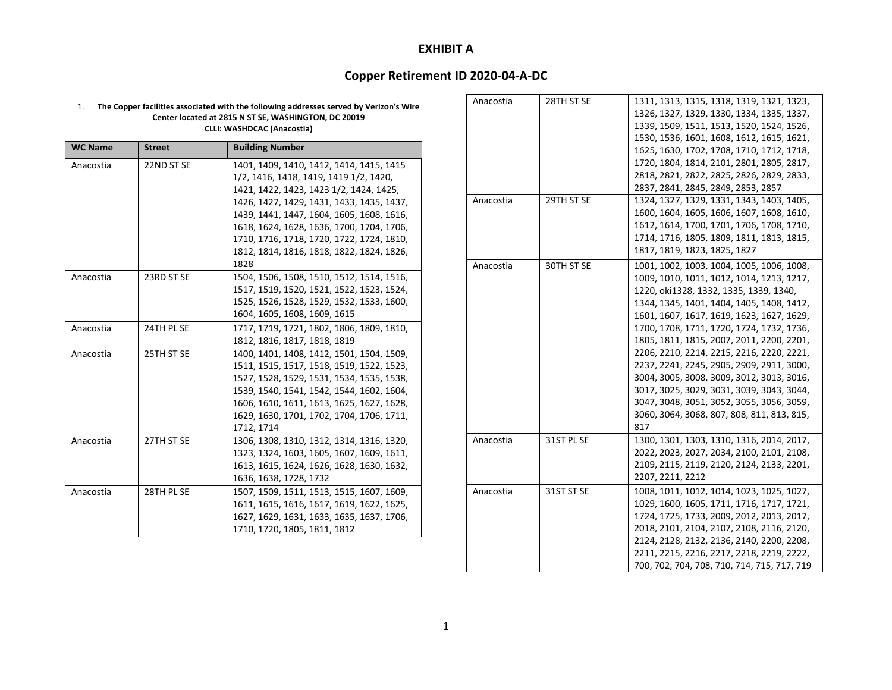### **Copper Retirement ID 2020‐04‐A‐DC**

#### 1. **The Copper facilities associated with the following addresses served by Verizon's Wire Center located at 2815 N ST SE, WASHINGTON, DC 20019 CLLI: WASHDCAC (Anacostia)**

| <b>WC Name</b> | <b>Street</b> | <b>Building Number</b>                    |
|----------------|---------------|-------------------------------------------|
| Anacostia      | 22ND ST SE    | 1401, 1409, 1410, 1412, 1414, 1415, 1415  |
|                |               | 1/2, 1416, 1418, 1419, 1419 1/2, 1420,    |
|                |               | 1421, 1422, 1423, 1423 1/2, 1424, 1425,   |
|                |               | 1426, 1427, 1429, 1431, 1433, 1435, 1437, |
|                |               | 1439, 1441, 1447, 1604, 1605, 1608, 1616, |
|                |               | 1618, 1624, 1628, 1636, 1700, 1704, 1706, |
|                |               | 1710, 1716, 1718, 1720, 1722, 1724, 1810, |
|                |               | 1812, 1814, 1816, 1818, 1822, 1824, 1826, |
|                |               | 1828                                      |
| Anacostia      | 23RD ST SE    | 1504, 1506, 1508, 1510, 1512, 1514, 1516, |
|                |               | 1517, 1519, 1520, 1521, 1522, 1523, 1524, |
|                |               | 1525, 1526, 1528, 1529, 1532, 1533, 1600, |
|                |               | 1604, 1605, 1608, 1609, 1615              |
| Anacostia      | 24TH PL SE    | 1717, 1719, 1721, 1802, 1806, 1809, 1810, |
|                |               | 1812, 1816, 1817, 1818, 1819              |
| Anacostia      | 25TH ST SE    | 1400, 1401, 1408, 1412, 1501, 1504, 1509, |
|                |               | 1511, 1515, 1517, 1518, 1519, 1522, 1523, |
|                |               | 1527, 1528, 1529, 1531, 1534, 1535, 1538, |
|                |               | 1539, 1540, 1541, 1542, 1544, 1602, 1604, |
|                |               | 1606, 1610, 1611, 1613, 1625, 1627, 1628, |
|                |               | 1629, 1630, 1701, 1702, 1704, 1706, 1711, |
|                |               | 1712, 1714                                |
| Anacostia      | 27TH ST SE    | 1306, 1308, 1310, 1312, 1314, 1316, 1320, |
|                |               | 1323, 1324, 1603, 1605, 1607, 1609, 1611, |
|                |               | 1613, 1615, 1624, 1626, 1628, 1630, 1632, |
|                |               | 1636, 1638, 1728, 1732                    |
| Anacostia      | 28TH PL SE    | 1507, 1509, 1511, 1513, 1515, 1607, 1609, |
|                |               | 1611, 1615, 1616, 1617, 1619, 1622, 1625, |
|                |               | 1627, 1629, 1631, 1633, 1635, 1637, 1706, |
|                |               | 1710, 1720, 1805, 1811, 1812              |

| Anacostia | 28TH ST SE | 1311, 1313, 1315, 1318, 1319, 1321, 1323,   |
|-----------|------------|---------------------------------------------|
|           |            | 1326, 1327, 1329, 1330, 1334, 1335, 1337,   |
|           |            | 1339, 1509, 1511, 1513, 1520, 1524, 1526,   |
|           |            | 1530, 1536, 1601, 1608, 1612, 1615, 1621,   |
|           |            | 1625, 1630, 1702, 1708, 1710, 1712, 1718,   |
|           |            | 1720, 1804, 1814, 2101, 2801, 2805, 2817,   |
|           |            | 2818, 2821, 2822, 2825, 2826, 2829, 2833,   |
|           |            | 2837, 2841, 2845, 2849, 2853, 2857          |
| Anacostia | 29TH ST SE | 1324, 1327, 1329, 1331, 1343, 1403, 1405,   |
|           |            | 1600, 1604, 1605, 1606, 1607, 1608, 1610,   |
|           |            | 1612, 1614, 1700, 1701, 1706, 1708, 1710,   |
|           |            | 1714, 1716, 1805, 1809, 1811, 1813, 1815,   |
|           |            | 1817, 1819, 1823, 1825, 1827                |
| Anacostia | 30TH ST SE | 1001, 1002, 1003, 1004, 1005, 1006, 1008,   |
|           |            | 1009, 1010, 1011, 1012, 1014, 1213, 1217,   |
|           |            | 1220, oki1328, 1332, 1335, 1339, 1340,      |
|           |            | 1344, 1345, 1401, 1404, 1405, 1408, 1412,   |
|           |            | 1601, 1607, 1617, 1619, 1623, 1627, 1629,   |
|           |            | 1700, 1708, 1711, 1720, 1724, 1732, 1736,   |
|           |            | 1805, 1811, 1815, 2007, 2011, 2200, 2201,   |
|           |            | 2206, 2210, 2214, 2215, 2216, 2220, 2221,   |
|           |            | 2237, 2241, 2245, 2905, 2909, 2911, 3000,   |
|           |            | 3004, 3005, 3008, 3009, 3012, 3013, 3016,   |
|           |            | 3017, 3025, 3029, 3031, 3039, 3043, 3044,   |
|           |            | 3047, 3048, 3051, 3052, 3055, 3056, 3059,   |
|           |            | 3060, 3064, 3068, 807, 808, 811, 813, 815,  |
|           |            | 817                                         |
| Anacostia | 31ST PL SE | 1300, 1301, 1303, 1310, 1316, 2014, 2017,   |
|           |            | 2022, 2023, 2027, 2034, 2100, 2101, 2108,   |
|           |            | 2109, 2115, 2119, 2120, 2124, 2133, 2201,   |
|           |            | 2207, 2211, 2212                            |
| Anacostia | 31ST ST SE | 1008, 1011, 1012, 1014, 1023, 1025, 1027,   |
|           |            | 1029, 1600, 1605, 1711, 1716, 1717, 1721,   |
|           |            | 1724, 1725, 1733, 2009, 2012, 2013, 2017,   |
|           |            | 2018, 2101, 2104, 2107, 2108, 2116, 2120,   |
|           |            | 2124, 2128, 2132, 2136, 2140, 2200, 2208,   |
|           |            | 2211, 2215, 2216, 2217, 2218, 2219, 2222,   |
|           |            | 700, 702, 704, 708, 710, 714, 715, 717, 719 |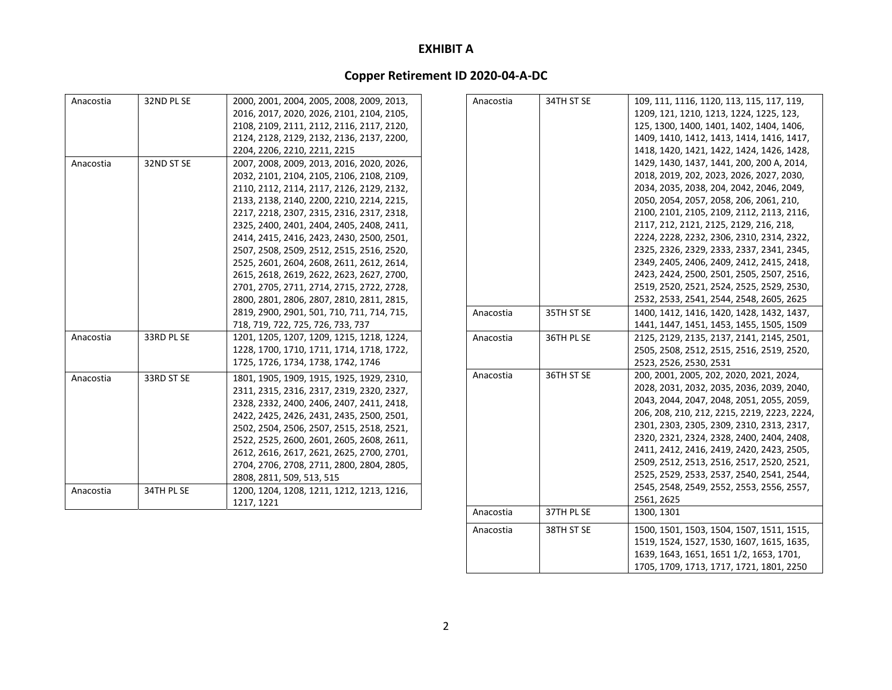# **Copper Retirement ID 2020‐04‐A‐DC**

|           |            | 1217, 1221                                                                             | Anacostia | 37TH PL SE | 1300, 1301                                                                           |
|-----------|------------|----------------------------------------------------------------------------------------|-----------|------------|--------------------------------------------------------------------------------------|
| Anacostia |            | 1200, 1204, 1208, 1211, 1212, 1213, 1216,                                              |           |            | 2561, 2625                                                                           |
|           | 34TH PL SE |                                                                                        |           |            | 2545, 2548, 2549, 2552, 2553, 2556, 2557,                                            |
|           |            | 2808, 2811, 509, 513, 515                                                              |           |            | 2525, 2529, 2533, 2537, 2540, 2541, 2544,                                            |
|           |            | 2704, 2706, 2708, 2711, 2800, 2804, 2805,                                              |           |            | 2509, 2512, 2513, 2516, 2517, 2520, 2521,                                            |
|           |            | 2612, 2616, 2617, 2621, 2625, 2700, 2701,                                              |           |            | 2411, 2412, 2416, 2419, 2420, 2423, 2505,                                            |
|           |            | 2522, 2525, 2600, 2601, 2605, 2608, 2611,                                              |           |            | 2320, 2321, 2324, 2328, 2400, 2404, 2408,                                            |
|           |            | 2502, 2504, 2506, 2507, 2515, 2518, 2521,                                              |           |            | 2301, 2303, 2305, 2309, 2310, 2313, 2317,                                            |
|           |            | 2422, 2425, 2426, 2431, 2435, 2500, 2501,                                              |           |            | 206, 208, 210, 212, 2215, 2219, 2223, 2224,                                          |
|           |            | 2328, 2332, 2400, 2406, 2407, 2411, 2418,                                              |           |            | 2043, 2044, 2047, 2048, 2051, 2055, 2059,                                            |
|           |            | 2311, 2315, 2316, 2317, 2319, 2320, 2327,                                              |           |            | 2028, 2031, 2032, 2035, 2036, 2039, 2040,                                            |
| Anacostia | 33RD ST SE | 1801, 1905, 1909, 1915, 1925, 1929, 2310,                                              | Anacostia | 36TH ST SE | 200, 2001, 2005, 202, 2020, 2021, 2024,                                              |
|           |            | 1725, 1726, 1734, 1738, 1742, 1746                                                     |           |            | 2523, 2526, 2530, 2531                                                               |
|           |            | 1228, 1700, 1710, 1711, 1714, 1718, 1722,                                              |           |            | 2505, 2508, 2512, 2515, 2516, 2519, 2520,                                            |
| Anacostia | 33RD PL SE | 1201, 1205, 1207, 1209, 1215, 1218, 1224,                                              | Anacostia | 36TH PL SE | 2125, 2129, 2135, 2137, 2141, 2145, 2501,                                            |
|           |            | 718, 719, 722, 725, 726, 733, 737                                                      |           |            | 1441, 1447, 1451, 1453, 1455, 1505, 1509                                             |
|           |            | 2819, 2900, 2901, 501, 710, 711, 714, 715,                                             | Anacostia | 35TH ST SE | 1400, 1412, 1416, 1420, 1428, 1432, 1437,                                            |
|           |            | 2800, 2801, 2806, 2807, 2810, 2811, 2815,                                              |           |            | 2532, 2533, 2541, 2544, 2548, 2605, 2625                                             |
|           |            | 2701, 2705, 2711, 2714, 2715, 2722, 2728,                                              |           |            | 2519, 2520, 2521, 2524, 2525, 2529, 2530,                                            |
|           |            | 2615, 2618, 2619, 2622, 2623, 2627, 2700,                                              |           |            | 2423, 2424, 2500, 2501, 2505, 2507, 2516,                                            |
|           |            | 2525, 2601, 2604, 2608, 2611, 2612, 2614,                                              |           |            | 2349, 2405, 2406, 2409, 2412, 2415, 2418,                                            |
|           |            | 2507, 2508, 2509, 2512, 2515, 2516, 2520,                                              |           |            | 2325, 2326, 2329, 2333, 2337, 2341, 2345,                                            |
|           |            | 2414, 2415, 2416, 2423, 2430, 2500, 2501,                                              |           |            | 2224, 2228, 2232, 2306, 2310, 2314, 2322,                                            |
|           |            | 2325, 2400, 2401, 2404, 2405, 2408, 2411,                                              |           |            | 2117, 212, 2121, 2125, 2129, 216, 218,                                               |
|           |            | 2217, 2218, 2307, 2315, 2316, 2317, 2318,                                              |           |            | 2100, 2101, 2105, 2109, 2112, 2113, 2116,                                            |
|           |            | 2133, 2138, 2140, 2200, 2210, 2214, 2215,                                              |           |            | 2050, 2054, 2057, 2058, 206, 2061, 210,                                              |
|           |            | 2110, 2112, 2114, 2117, 2126, 2129, 2132,                                              |           |            | 2034, 2035, 2038, 204, 2042, 2046, 2049,                                             |
|           |            | 2032, 2101, 2104, 2105, 2106, 2108, 2109,                                              |           |            | 2018, 2019, 202, 2023, 2026, 2027, 2030,                                             |
| Anacostia | 32ND ST SE | 2007, 2008, 2009, 2013, 2016, 2020, 2026,                                              |           |            | 1429, 1430, 1437, 1441, 200, 200 A, 2014,                                            |
|           |            | 2204, 2206, 2210, 2211, 2215                                                           |           |            | 1418, 1420, 1421, 1422, 1424, 1426, 1428,                                            |
|           |            | 2124, 2128, 2129, 2132, 2136, 2137, 2200,                                              |           |            | 1409, 1410, 1412, 1413, 1414, 1416, 1417,                                            |
|           |            | 2108, 2109, 2111, 2112, 2116, 2117, 2120,                                              |           |            | 125, 1300, 1400, 1401, 1402, 1404, 1406,                                             |
|           |            | 2000, 2001, 2004, 2005, 2008, 2009, 2013,<br>2016, 2017, 2020, 2026, 2101, 2104, 2105, | Anacostia | 34TH ST SE | 109, 111, 1116, 1120, 113, 115, 117, 119,<br>1209, 121, 1210, 1213, 1224, 1225, 123, |

Anacostia

38TH ST SE

 ST SE 1500, 1501, 1503, 1504, 1507, 1511, 1515, 1519, 1524, 1527, 1530, 1607, 1615, 1635, 1639, 1643, 1651, 1651 1/2, 1653, 1701, 1705, 1709, 1713, 1717, 1721, 1801, 2250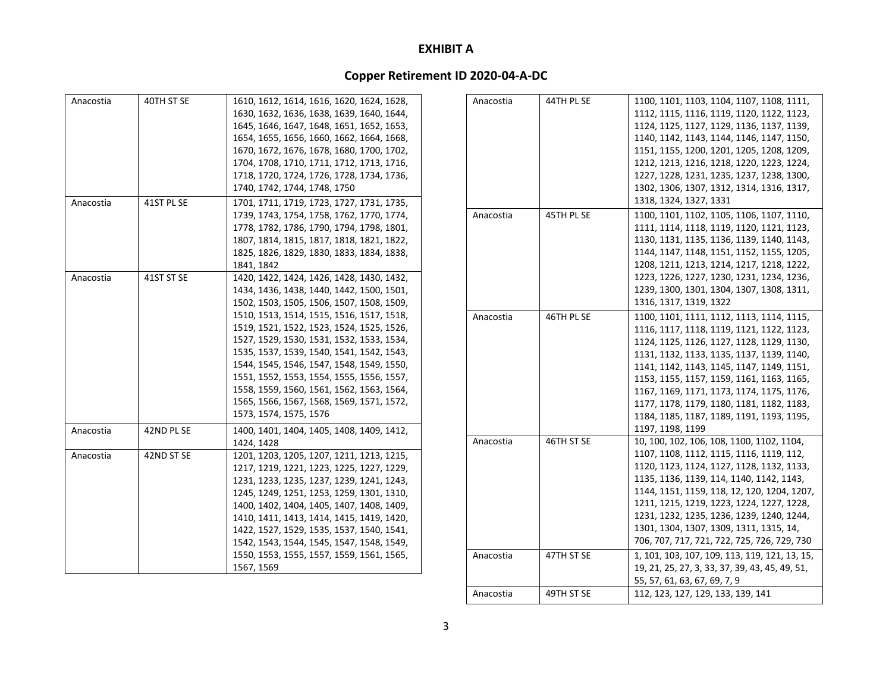| Anacostia | 40TH ST SE | 1610, 1612, 1614, 1616, 1620, 1624, 1628, |
|-----------|------------|-------------------------------------------|
|           |            | 1630, 1632, 1636, 1638, 1639, 1640, 1644, |
|           |            | 1645, 1646, 1647, 1648, 1651, 1652, 1653, |
|           |            | 1654, 1655, 1656, 1660, 1662, 1664, 1668, |
|           |            | 1670, 1672, 1676, 1678, 1680, 1700, 1702, |
|           |            | 1704, 1708, 1710, 1711, 1712, 1713, 1716, |
|           |            | 1718, 1720, 1724, 1726, 1728, 1734, 1736, |
|           |            | 1740, 1742, 1744, 1748, 1750              |
| Anacostia | 41ST PL SE | 1701, 1711, 1719, 1723, 1727, 1731, 1735, |
|           |            | 1739, 1743, 1754, 1758, 1762, 1770, 1774, |
|           |            | 1778, 1782, 1786, 1790, 1794, 1798, 1801, |
|           |            | 1807, 1814, 1815, 1817, 1818, 1821, 1822, |
|           |            | 1825, 1826, 1829, 1830, 1833, 1834, 1838, |
|           |            | 1841, 1842                                |
| Anacostia | 41ST ST SE | 1420, 1422, 1424, 1426, 1428, 1430, 1432, |
|           |            | 1434, 1436, 1438, 1440, 1442, 1500, 1501, |
|           |            | 1502, 1503, 1505, 1506, 1507, 1508, 1509, |
|           |            | 1510, 1513, 1514, 1515, 1516, 1517, 1518, |
|           |            | 1519, 1521, 1522, 1523, 1524, 1525, 1526, |
|           |            | 1527, 1529, 1530, 1531, 1532, 1533, 1534, |
|           |            | 1535, 1537, 1539, 1540, 1541, 1542, 1543, |
|           |            | 1544, 1545, 1546, 1547, 1548, 1549, 1550, |
|           |            | 1551, 1552, 1553, 1554, 1555, 1556, 1557, |
|           |            | 1558, 1559, 1560, 1561, 1562, 1563, 1564, |
|           |            | 1565, 1566, 1567, 1568, 1569, 1571, 1572, |
|           |            | 1573, 1574, 1575, 1576                    |
| Anacostia | 42ND PL SE | 1400, 1401, 1404, 1405, 1408, 1409, 1412, |
|           |            | 1424, 1428                                |
| Anacostia | 42ND ST SE | 1201, 1203, 1205, 1207, 1211, 1213, 1215, |
|           |            | 1217, 1219, 1221, 1223, 1225, 1227, 1229, |
|           |            | 1231, 1233, 1235, 1237, 1239, 1241, 1243, |
|           |            | 1245, 1249, 1251, 1253, 1259, 1301, 1310, |
|           |            | 1400, 1402, 1404, 1405, 1407, 1408, 1409, |
|           |            | 1410, 1411, 1413, 1414, 1415, 1419, 1420, |
|           |            | 1422, 1527, 1529, 1535, 1537, 1540, 1541, |
|           |            | 1542, 1543, 1544, 1545, 1547, 1548, 1549, |
|           |            | 1550, 1553, 1555, 1557, 1559, 1561, 1565, |
|           |            | 1567, 1569                                |

| Anacostia | 44TH PL SE | 1100, 1101, 1103, 1104, 1107, 1108, 1111,      |
|-----------|------------|------------------------------------------------|
|           |            | 1112, 1115, 1116, 1119, 1120, 1122, 1123,      |
|           |            | 1124, 1125, 1127, 1129, 1136, 1137, 1139,      |
|           |            | 1140, 1142, 1143, 1144, 1146, 1147, 1150,      |
|           |            | 1151, 1155, 1200, 1201, 1205, 1208, 1209,      |
|           |            | 1212, 1213, 1216, 1218, 1220, 1223, 1224,      |
|           |            | 1227, 1228, 1231, 1235, 1237, 1238, 1300,      |
|           |            | 1302, 1306, 1307, 1312, 1314, 1316, 1317,      |
|           |            | 1318, 1324, 1327, 1331                         |
| Anacostia | 45TH PL SE | 1100, 1101, 1102, 1105, 1106, 1107, 1110,      |
|           |            | 1111, 1114, 1118, 1119, 1120, 1121, 1123,      |
|           |            | 1130, 1131, 1135, 1136, 1139, 1140, 1143,      |
|           |            | 1144, 1147, 1148, 1151, 1152, 1155, 1205,      |
|           |            | 1208, 1211, 1213, 1214, 1217, 1218, 1222,      |
|           |            | 1223, 1226, 1227, 1230, 1231, 1234, 1236,      |
|           |            | 1239, 1300, 1301, 1304, 1307, 1308, 1311,      |
|           |            | 1316, 1317, 1319, 1322                         |
|           |            |                                                |
| Anacostia | 46TH PL SE | 1100, 1101, 1111, 1112, 1113, 1114, 1115,      |
|           |            | 1116, 1117, 1118, 1119, 1121, 1122, 1123,      |
|           |            | 1124, 1125, 1126, 1127, 1128, 1129, 1130,      |
|           |            | 1131, 1132, 1133, 1135, 1137, 1139, 1140,      |
|           |            | 1141, 1142, 1143, 1145, 1147, 1149, 1151,      |
|           |            | 1153, 1155, 1157, 1159, 1161, 1163, 1165,      |
|           |            | 1167, 1169, 1171, 1173, 1174, 1175, 1176,      |
|           |            | 1177, 1178, 1179, 1180, 1181, 1182, 1183,      |
|           |            | 1184, 1185, 1187, 1189, 1191, 1193, 1195,      |
|           |            | 1197, 1198, 1199                               |
| Anacostia | 46TH ST SE | 10, 100, 102, 106, 108, 1100, 1102, 1104,      |
|           |            | 1107, 1108, 1112, 1115, 1116, 1119, 112,       |
|           |            | 1120, 1123, 1124, 1127, 1128, 1132, 1133,      |
|           |            | 1135, 1136, 1139, 114, 1140, 1142, 1143,       |
|           |            | 1144, 1151, 1159, 118, 12, 120, 1204, 1207,    |
|           |            | 1211, 1215, 1219, 1223, 1224, 1227, 1228,      |
|           |            | 1231, 1232, 1235, 1236, 1239, 1240, 1244,      |
|           |            |                                                |
|           |            | 1301, 1304, 1307, 1309, 1311, 1315, 14,        |
|           |            | 706, 707, 717, 721, 722, 725, 726, 729, 730    |
| Anacostia | 47TH ST SE | 1, 101, 103, 107, 109, 113, 119, 121, 13, 15,  |
|           |            | 19, 21, 25, 27, 3, 33, 37, 39, 43, 45, 49, 51, |
|           |            | 55, 57, 61, 63, 67, 69, 7, 9                   |
| Anacostia | 49TH ST SE | 112, 123, 127, 129, 133, 139, 141              |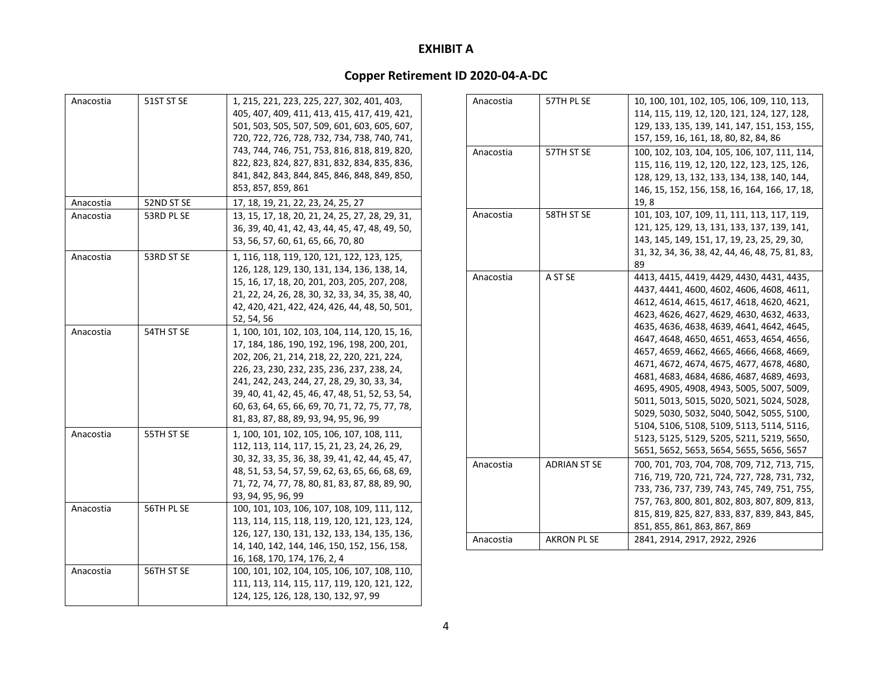| Anacostia | 51ST ST SE | 1, 215, 221, 223, 225, 227, 302, 401, 403,<br>405, 407, 409, 411, 413, 415, 417, 419, 421,<br>501, 503, 505, 507, 509, 601, 603, 605, 607,<br>720, 722, 726, 728, 732, 734, 738, 740, 741,<br>743, 744, 746, 751, 753, 816, 818, 819, 820,<br>822, 823, 824, 827, 831, 832, 834, 835, 836,<br>841, 842, 843, 844, 845, 846, 848, 849, 850,<br>853, 857, 859, 861                        |
|-----------|------------|-----------------------------------------------------------------------------------------------------------------------------------------------------------------------------------------------------------------------------------------------------------------------------------------------------------------------------------------------------------------------------------------|
| Anacostia | 52ND ST SE | 17, 18, 19, 21, 22, 23, 24, 25, 27                                                                                                                                                                                                                                                                                                                                                      |
| Anacostia | 53RD PL SE | 13, 15, 17, 18, 20, 21, 24, 25, 27, 28, 29, 31,<br>36, 39, 40, 41, 42, 43, 44, 45, 47, 48, 49, 50,<br>53, 56, 57, 60, 61, 65, 66, 70, 80                                                                                                                                                                                                                                                |
| Anacostia | 53RD ST SE | 1, 116, 118, 119, 120, 121, 122, 123, 125,<br>126, 128, 129, 130, 131, 134, 136, 138, 14,<br>15, 16, 17, 18, 20, 201, 203, 205, 207, 208,<br>21, 22, 24, 26, 28, 30, 32, 33, 34, 35, 38, 40,<br>42, 420, 421, 422, 424, 426, 44, 48, 50, 501,<br>52, 54, 56                                                                                                                             |
| Anacostia | 54TH ST SE | 1, 100, 101, 102, 103, 104, 114, 120, 15, 16,<br>17, 184, 186, 190, 192, 196, 198, 200, 201,<br>202, 206, 21, 214, 218, 22, 220, 221, 224,<br>226, 23, 230, 232, 235, 236, 237, 238, 24,<br>241, 242, 243, 244, 27, 28, 29, 30, 33, 34,<br>39, 40, 41, 42, 45, 46, 47, 48, 51, 52, 53, 54,<br>60, 63, 64, 65, 66, 69, 70, 71, 72, 75, 77, 78,<br>81, 83, 87, 88, 89, 93, 94, 95, 96, 99 |
| Anacostia | 55TH ST SE | 1, 100, 101, 102, 105, 106, 107, 108, 111,<br>112, 113, 114, 117, 15, 21, 23, 24, 26, 29,<br>30, 32, 33, 35, 36, 38, 39, 41, 42, 44, 45, 47,<br>48, 51, 53, 54, 57, 59, 62, 63, 65, 66, 68, 69,<br>71, 72, 74, 77, 78, 80, 81, 83, 87, 88, 89, 90,<br>93, 94, 95, 96, 99                                                                                                                |
| Anacostia | 56TH PL SE | 100, 101, 103, 106, 107, 108, 109, 111, 112,<br>113, 114, 115, 118, 119, 120, 121, 123, 124,<br>126, 127, 130, 131, 132, 133, 134, 135, 136,<br>14, 140, 142, 144, 146, 150, 152, 156, 158,<br>16, 168, 170, 174, 176, 2, 4                                                                                                                                                             |
| Anacostia | 56TH ST SE | 100, 101, 102, 104, 105, 106, 107, 108, 110,<br>111, 113, 114, 115, 117, 119, 120, 121, 122,<br>124, 125, 126, 128, 130, 132, 97, 99                                                                                                                                                                                                                                                    |

| Anacostia | 57TH PL SE          | 10, 100, 101, 102, 105, 106, 109, 110, 113,     |
|-----------|---------------------|-------------------------------------------------|
|           |                     | 114, 115, 119, 12, 120, 121, 124, 127, 128,     |
|           |                     | 129, 133, 135, 139, 141, 147, 151, 153, 155,    |
|           |                     | 157, 159, 16, 161, 18, 80, 82, 84, 86           |
| Anacostia | 57TH ST SE          | 100, 102, 103, 104, 105, 106, 107, 111, 114,    |
|           |                     | 115, 116, 119, 12, 120, 122, 123, 125, 126,     |
|           |                     | 128, 129, 13, 132, 133, 134, 138, 140, 144,     |
|           |                     | 146, 15, 152, 156, 158, 16, 164, 166, 17, 18,   |
|           |                     | 19,8                                            |
| Anacostia | 58TH ST SE          | 101, 103, 107, 109, 11, 111, 113, 117, 119,     |
|           |                     | 121, 125, 129, 13, 131, 133, 137, 139, 141,     |
|           |                     | 143, 145, 149, 151, 17, 19, 23, 25, 29, 30,     |
|           |                     | 31, 32, 34, 36, 38, 42, 44, 46, 48, 75, 81, 83, |
|           |                     | 89                                              |
| Anacostia | A ST SE             | 4413, 4415, 4419, 4429, 4430, 4431, 4435,       |
|           |                     | 4437, 4441, 4600, 4602, 4606, 4608, 4611,       |
|           |                     | 4612, 4614, 4615, 4617, 4618, 4620, 4621,       |
|           |                     | 4623, 4626, 4627, 4629, 4630, 4632, 4633,       |
|           |                     | 4635, 4636, 4638, 4639, 4641, 4642, 4645,       |
|           |                     | 4647, 4648, 4650, 4651, 4653, 4654, 4656,       |
|           |                     | 4657, 4659, 4662, 4665, 4666, 4668, 4669,       |
|           |                     | 4671, 4672, 4674, 4675, 4677, 4678, 4680,       |
|           |                     | 4681, 4683, 4684, 4686, 4687, 4689, 4693,       |
|           |                     | 4695, 4905, 4908, 4943, 5005, 5007, 5009,       |
|           |                     | 5011, 5013, 5015, 5020, 5021, 5024, 5028,       |
|           |                     | 5029, 5030, 5032, 5040, 5042, 5055, 5100,       |
|           |                     | 5104, 5106, 5108, 5109, 5113, 5114, 5116,       |
|           |                     | 5123, 5125, 5129, 5205, 5211, 5219, 5650,       |
|           |                     | 5651, 5652, 5653, 5654, 5655, 5656, 5657        |
| Anacostia | <b>ADRIAN ST SE</b> | 700, 701, 703, 704, 708, 709, 712, 713, 715,    |
|           |                     | 716, 719, 720, 721, 724, 727, 728, 731, 732,    |
|           |                     | 733, 736, 737, 739, 743, 745, 749, 751, 755,    |
|           |                     | 757, 763, 800, 801, 802, 803, 807, 809, 813,    |
|           |                     | 815, 819, 825, 827, 833, 837, 839, 843, 845,    |
|           |                     | 851, 855, 861, 863, 867, 869                    |
| Anacostia | <b>AKRON PL SE</b>  | 2841, 2914, 2917, 2922, 2926                    |
|           |                     |                                                 |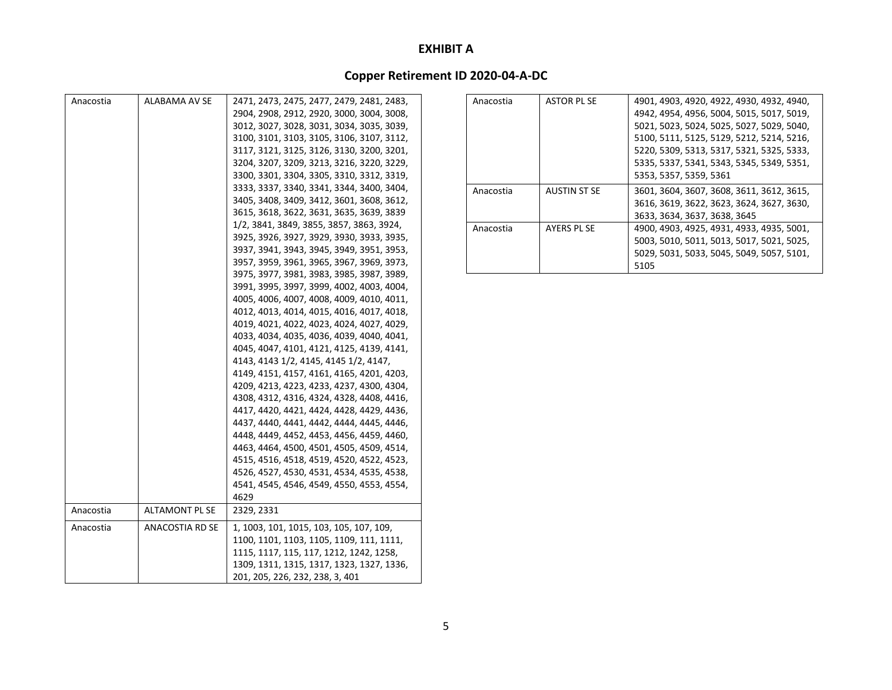| Anacostia | ALABAMA AV SE   | 2471, 2473, 2475, 2477, 2479, 2481, 2483, |
|-----------|-----------------|-------------------------------------------|
|           |                 | 2904, 2908, 2912, 2920, 3000, 3004, 3008, |
|           |                 | 3012, 3027, 3028, 3031, 3034, 3035, 3039, |
|           |                 | 3100, 3101, 3103, 3105, 3106, 3107, 3112, |
|           |                 | 3117, 3121, 3125, 3126, 3130, 3200, 3201, |
|           |                 | 3204, 3207, 3209, 3213, 3216, 3220, 3229, |
|           |                 | 3300, 3301, 3304, 3305, 3310, 3312, 3319, |
|           |                 | 3333, 3337, 3340, 3341, 3344, 3400, 3404, |
|           |                 | 3405, 3408, 3409, 3412, 3601, 3608, 3612, |
|           |                 | 3615, 3618, 3622, 3631, 3635, 3639, 3839  |
|           |                 | 1/2, 3841, 3849, 3855, 3857, 3863, 3924,  |
|           |                 | 3925, 3926, 3927, 3929, 3930, 3933, 3935, |
|           |                 | 3937, 3941, 3943, 3945, 3949, 3951, 3953, |
|           |                 | 3957, 3959, 3961, 3965, 3967, 3969, 3973, |
|           |                 | 3975, 3977, 3981, 3983, 3985, 3987, 3989, |
|           |                 | 3991, 3995, 3997, 3999, 4002, 4003, 4004, |
|           |                 | 4005, 4006, 4007, 4008, 4009, 4010, 4011, |
|           |                 | 4012, 4013, 4014, 4015, 4016, 4017, 4018, |
|           |                 | 4019, 4021, 4022, 4023, 4024, 4027, 4029, |
|           |                 | 4033, 4034, 4035, 4036, 4039, 4040, 4041, |
|           |                 | 4045, 4047, 4101, 4121, 4125, 4139, 4141, |
|           |                 | 4143, 4143 1/2, 4145, 4145 1/2, 4147,     |
|           |                 | 4149, 4151, 4157, 4161, 4165, 4201, 4203, |
|           |                 | 4209, 4213, 4223, 4233, 4237, 4300, 4304, |
|           |                 | 4308, 4312, 4316, 4324, 4328, 4408, 4416, |
|           |                 | 4417, 4420, 4421, 4424, 4428, 4429, 4436, |
|           |                 | 4437, 4440, 4441, 4442, 4444, 4445, 4446, |
|           |                 | 4448, 4449, 4452, 4453, 4456, 4459, 4460, |
|           |                 | 4463, 4464, 4500, 4501, 4505, 4509, 4514, |
|           |                 | 4515, 4516, 4518, 4519, 4520, 4522, 4523, |
|           |                 | 4526, 4527, 4530, 4531, 4534, 4535, 4538, |
|           |                 | 4541, 4545, 4546, 4549, 4550, 4553, 4554, |
|           |                 | 4629                                      |
| Anacostia | ALTAMONT PL SE  | 2329, 2331                                |
| Anacostia | ANACOSTIA RD SE | 1, 1003, 101, 1015, 103, 105, 107, 109,   |
|           |                 | 1100, 1101, 1103, 1105, 1109, 111, 1111,  |
|           |                 | 1115, 1117, 115, 117, 1212, 1242, 1258,   |
|           |                 | 1309, 1311, 1315, 1317, 1323, 1327, 1336, |
|           |                 | 201, 205, 226, 232, 238, 3, 401           |

| Anacostia | <b>ASTOR PL SE</b>  | 4901, 4903, 4920, 4922, 4930, 4932, 4940, |
|-----------|---------------------|-------------------------------------------|
|           |                     | 4942, 4954, 4956, 5004, 5015, 5017, 5019, |
|           |                     | 5021, 5023, 5024, 5025, 5027, 5029, 5040, |
|           |                     | 5100, 5111, 5125, 5129, 5212, 5214, 5216, |
|           |                     | 5220, 5309, 5313, 5317, 5321, 5325, 5333, |
|           |                     | 5335, 5337, 5341, 5343, 5345, 5349, 5351, |
|           |                     | 5353, 5357, 5359, 5361                    |
| Anacostia | <b>AUSTIN ST SE</b> | 3601, 3604, 3607, 3608, 3611, 3612, 3615, |
|           |                     | 3616, 3619, 3622, 3623, 3624, 3627, 3630, |
|           |                     | 3633, 3634, 3637, 3638, 3645              |
| Anacostia | AYERS PL SE         | 4900, 4903, 4925, 4931, 4933, 4935, 5001, |
|           |                     | 5003, 5010, 5011, 5013, 5017, 5021, 5025, |
|           |                     | 5029, 5031, 5033, 5045, 5049, 5057, 5101, |
|           |                     | 5105                                      |
|           |                     |                                           |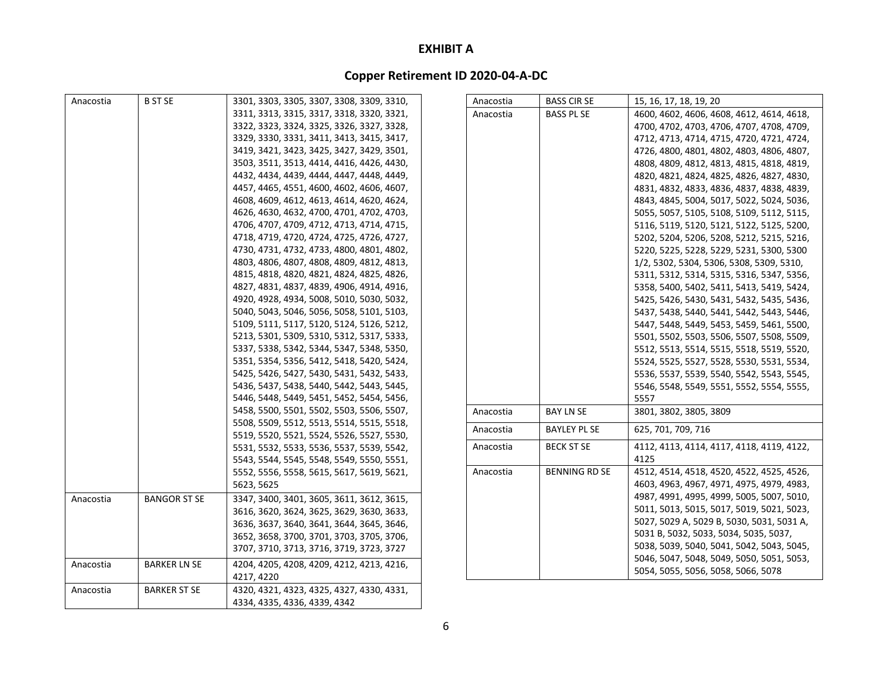| Anacostia | <b>B ST SE</b>      | 3301, 3303, 3305, 3307, 3308, 3309, 3310,                                              | Anacostia | <b>BASS CIRSE</b>    | 15, 16, 17, 18, 19, 20                    |
|-----------|---------------------|----------------------------------------------------------------------------------------|-----------|----------------------|-------------------------------------------|
|           |                     | 3311, 3313, 3315, 3317, 3318, 3320, 3321,                                              | Anacostia | <b>BASS PL SE</b>    | 4600, 4602, 4606, 4608, 4612, 4614, 4618, |
|           |                     | 3322, 3323, 3324, 3325, 3326, 3327, 3328,                                              |           |                      | 4700, 4702, 4703, 4706, 4707, 4708, 4709, |
|           |                     | 3329, 3330, 3331, 3411, 3413, 3415, 3417,                                              |           |                      | 4712, 4713, 4714, 4715, 4720, 4721, 4724, |
|           |                     | 3419, 3421, 3423, 3425, 3427, 3429, 3501,                                              |           |                      | 4726, 4800, 4801, 4802, 4803, 4806, 4807, |
|           |                     | 3503, 3511, 3513, 4414, 4416, 4426, 4430,                                              |           |                      | 4808, 4809, 4812, 4813, 4815, 4818, 4819, |
|           |                     | 4432, 4434, 4439, 4444, 4447, 4448, 4449,                                              |           |                      | 4820, 4821, 4824, 4825, 4826, 4827, 4830, |
|           |                     | 4457, 4465, 4551, 4600, 4602, 4606, 4607,                                              |           |                      | 4831, 4832, 4833, 4836, 4837, 4838, 4839, |
|           |                     | 4608, 4609, 4612, 4613, 4614, 4620, 4624,                                              |           |                      | 4843, 4845, 5004, 5017, 5022, 5024, 5036, |
|           |                     | 4626, 4630, 4632, 4700, 4701, 4702, 4703,                                              |           |                      | 5055, 5057, 5105, 5108, 5109, 5112, 5115, |
|           |                     | 4706, 4707, 4709, 4712, 4713, 4714, 4715,                                              |           |                      | 5116, 5119, 5120, 5121, 5122, 5125, 5200, |
|           |                     | 4718, 4719, 4720, 4724, 4725, 4726, 4727,                                              |           |                      | 5202, 5204, 5206, 5208, 5212, 5215, 5216, |
|           |                     | 4730, 4731, 4732, 4733, 4800, 4801, 4802,                                              |           |                      | 5220, 5225, 5228, 5229, 5231, 5300, 5300  |
|           |                     | 4803, 4806, 4807, 4808, 4809, 4812, 4813,                                              |           |                      | 1/2, 5302, 5304, 5306, 5308, 5309, 5310,  |
|           |                     | 4815, 4818, 4820, 4821, 4824, 4825, 4826,                                              |           |                      | 5311, 5312, 5314, 5315, 5316, 5347, 5356, |
|           |                     | 4827, 4831, 4837, 4839, 4906, 4914, 4916,                                              |           |                      | 5358, 5400, 5402, 5411, 5413, 5419, 5424, |
|           |                     | 4920, 4928, 4934, 5008, 5010, 5030, 5032,                                              |           |                      | 5425, 5426, 5430, 5431, 5432, 5435, 5436, |
|           |                     | 5040, 5043, 5046, 5056, 5058, 5101, 5103,                                              |           |                      | 5437, 5438, 5440, 5441, 5442, 5443, 5446, |
|           |                     | 5109, 5111, 5117, 5120, 5124, 5126, 5212,                                              |           |                      | 5447, 5448, 5449, 5453, 5459, 5461, 5500, |
|           |                     | 5213, 5301, 5309, 5310, 5312, 5317, 5333,                                              |           |                      | 5501, 5502, 5503, 5506, 5507, 5508, 5509, |
|           |                     | 5337, 5338, 5342, 5344, 5347, 5348, 5350,                                              |           |                      | 5512, 5513, 5514, 5515, 5518, 5519, 5520, |
|           |                     | 5351, 5354, 5356, 5412, 5418, 5420, 5424,                                              |           |                      | 5524, 5525, 5527, 5528, 5530, 5531, 5534, |
|           |                     | 5425, 5426, 5427, 5430, 5431, 5432, 5433,                                              |           |                      | 5536, 5537, 5539, 5540, 5542, 5543, 5545, |
|           |                     | 5436, 5437, 5438, 5440, 5442, 5443, 5445,                                              |           |                      | 5546, 5548, 5549, 5551, 5552, 5554, 5555, |
|           |                     | 5446, 5448, 5449, 5451, 5452, 5454, 5456,                                              |           |                      | 5557                                      |
|           |                     | 5458, 5500, 5501, 5502, 5503, 5506, 5507,                                              | Anacostia | <b>BAY LN SE</b>     | 3801, 3802, 3805, 3809                    |
|           |                     | 5508, 5509, 5512, 5513, 5514, 5515, 5518,                                              | Anacostia | <b>BAYLEY PL SE</b>  | 625, 701, 709, 716                        |
|           |                     | 5519, 5520, 5521, 5524, 5526, 5527, 5530,<br>5531, 5532, 5533, 5536, 5537, 5539, 5542, | Anacostia | <b>BECK ST SE</b>    | 4112, 4113, 4114, 4117, 4118, 4119, 4122, |
|           |                     | 5543, 5544, 5545, 5548, 5549, 5550, 5551,                                              |           |                      | 4125                                      |
|           |                     | 5552, 5556, 5558, 5615, 5617, 5619, 5621,                                              | Anacostia | <b>BENNING RD SE</b> | 4512, 4514, 4518, 4520, 4522, 4525, 4526, |
|           |                     | 5623, 5625                                                                             |           |                      | 4603, 4963, 4967, 4971, 4975, 4979, 4983, |
|           |                     |                                                                                        |           |                      | 4987, 4991, 4995, 4999, 5005, 5007, 5010, |
| Anacostia | <b>BANGOR ST SE</b> | 3347, 3400, 3401, 3605, 3611, 3612, 3615,                                              |           |                      | 5011, 5013, 5015, 5017, 5019, 5021, 5023, |
|           |                     | 3616, 3620, 3624, 3625, 3629, 3630, 3633,                                              |           |                      | 5027, 5029 A, 5029 B, 5030, 5031, 5031 A, |
|           |                     | 3636, 3637, 3640, 3641, 3644, 3645, 3646,                                              |           |                      | 5031 B, 5032, 5033, 5034, 5035, 5037,     |
|           |                     | 3652, 3658, 3700, 3701, 3703, 3705, 3706,                                              |           |                      | 5038, 5039, 5040, 5041, 5042, 5043, 5045, |
|           |                     | 3707, 3710, 3713, 3716, 3719, 3723, 3727                                               |           |                      | 5046, 5047, 5048, 5049, 5050, 5051, 5053, |
| Anacostia | <b>BARKER LN SE</b> | 4204, 4205, 4208, 4209, 4212, 4213, 4216,                                              |           |                      | 5054, 5055, 5056, 5058, 5066, 5078        |
|           |                     | 4217, 4220                                                                             |           |                      |                                           |
| Anacostia | <b>BARKER ST SE</b> | 4320, 4321, 4323, 4325, 4327, 4330, 4331,                                              |           |                      |                                           |
|           |                     | 4334, 4335, 4336, 4339, 4342                                                           |           |                      |                                           |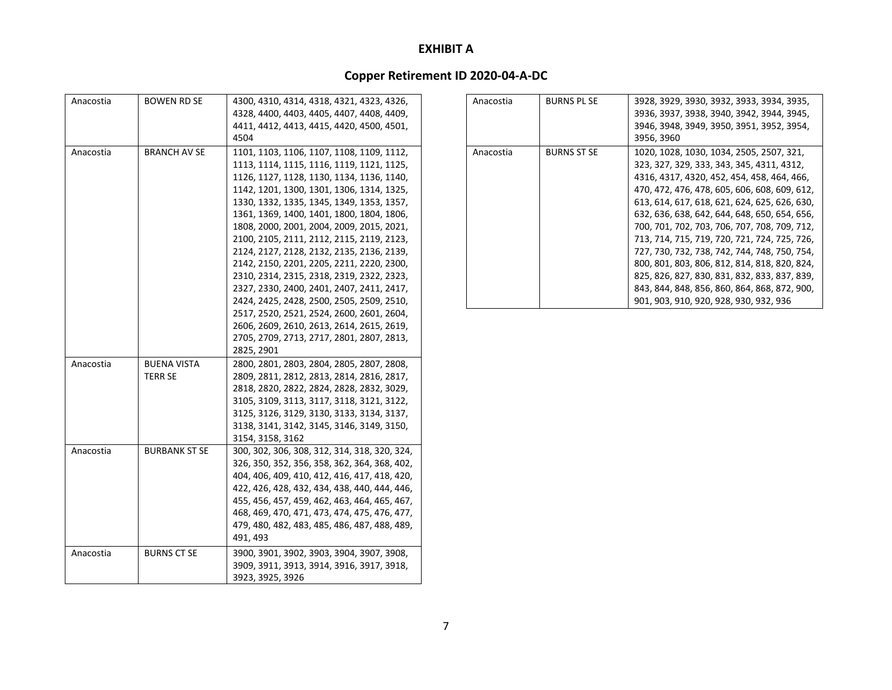| Anacostia | BOWEN RD SE          | 4300, 4310, 4314, 4318, 4321, 4323, 4326,    |
|-----------|----------------------|----------------------------------------------|
|           |                      | 4328, 4400, 4403, 4405, 4407, 4408, 4409,    |
|           |                      | 4411, 4412, 4413, 4415, 4420, 4500, 4501,    |
|           |                      | 4504                                         |
| Anacostia | <b>BRANCH AV SE</b>  | 1101, 1103, 1106, 1107, 1108, 1109, 1112,    |
|           |                      | 1113, 1114, 1115, 1116, 1119, 1121, 1125,    |
|           |                      | 1126, 1127, 1128, 1130, 1134, 1136, 1140,    |
|           |                      | 1142, 1201, 1300, 1301, 1306, 1314, 1325,    |
|           |                      | 1330, 1332, 1335, 1345, 1349, 1353, 1357,    |
|           |                      | 1361, 1369, 1400, 1401, 1800, 1804, 1806,    |
|           |                      | 1808, 2000, 2001, 2004, 2009, 2015, 2021,    |
|           |                      | 2100, 2105, 2111, 2112, 2115, 2119, 2123,    |
|           |                      | 2124, 2127, 2128, 2132, 2135, 2136, 2139,    |
|           |                      | 2142, 2150, 2201, 2205, 2211, 2220, 2300,    |
|           |                      | 2310, 2314, 2315, 2318, 2319, 2322, 2323,    |
|           |                      | 2327, 2330, 2400, 2401, 2407, 2411, 2417,    |
|           |                      | 2424, 2425, 2428, 2500, 2505, 2509, 2510,    |
|           |                      | 2517, 2520, 2521, 2524, 2600, 2601, 2604,    |
|           |                      | 2606, 2609, 2610, 2613, 2614, 2615, 2619,    |
|           |                      | 2705, 2709, 2713, 2717, 2801, 2807, 2813,    |
|           |                      | 2825, 2901                                   |
| Anacostia | <b>BUENA VISTA</b>   | 2800, 2801, 2803, 2804, 2805, 2807, 2808,    |
|           | <b>TERR SE</b>       | 2809, 2811, 2812, 2813, 2814, 2816, 2817,    |
|           |                      | 2818, 2820, 2822, 2824, 2828, 2832, 3029,    |
|           |                      | 3105, 3109, 3113, 3117, 3118, 3121, 3122,    |
|           |                      | 3125, 3126, 3129, 3130, 3133, 3134, 3137,    |
|           |                      | 3138, 3141, 3142, 3145, 3146, 3149, 3150,    |
|           |                      | 3154, 3158, 3162                             |
|           | <b>BURBANK ST SE</b> | 300, 302, 306, 308, 312, 314, 318, 320, 324, |
| Anacostia |                      | 326, 350, 352, 356, 358, 362, 364, 368, 402, |
|           |                      | 404, 406, 409, 410, 412, 416, 417, 418, 420, |
|           |                      | 422, 426, 428, 432, 434, 438, 440, 444, 446, |
|           |                      | 455, 456, 457, 459, 462, 463, 464, 465, 467, |
|           |                      | 468, 469, 470, 471, 473, 474, 475, 476, 477, |
|           |                      | 479, 480, 482, 483, 485, 486, 487, 488, 489, |
|           |                      | 491, 493                                     |
|           |                      |                                              |
| Anacostia | BURNS CT SE          | 3900, 3901, 3902, 3903, 3904, 3907, 3908,    |
|           |                      | 3909, 3911, 3913, 3914, 3916, 3917, 3918,    |
|           |                      | 3923, 3925, 3926                             |

| Anacostia | <b>BURNS PL SE</b> | 3928, 3929, 3930, 3932, 3933, 3934, 3935,    |
|-----------|--------------------|----------------------------------------------|
|           |                    | 3936, 3937, 3938, 3940, 3942, 3944, 3945,    |
|           |                    | 3946, 3948, 3949, 3950, 3951, 3952, 3954,    |
|           |                    | 3956, 3960                                   |
| Anacostia | <b>BURNS ST SE</b> | 1020, 1028, 1030, 1034, 2505, 2507, 321,     |
|           |                    | 323, 327, 329, 333, 343, 345, 4311, 4312,    |
|           |                    | 4316, 4317, 4320, 452, 454, 458, 464, 466,   |
|           |                    | 470, 472, 476, 478, 605, 606, 608, 609, 612, |
|           |                    | 613, 614, 617, 618, 621, 624, 625, 626, 630, |
|           |                    | 632, 636, 638, 642, 644, 648, 650, 654, 656, |
|           |                    | 700, 701, 702, 703, 706, 707, 708, 709, 712, |
|           |                    | 713, 714, 715, 719, 720, 721, 724, 725, 726, |
|           |                    | 727, 730, 732, 738, 742, 744, 748, 750, 754, |
|           |                    | 800, 801, 803, 806, 812, 814, 818, 820, 824, |
|           |                    | 825, 826, 827, 830, 831, 832, 833, 837, 839, |
|           |                    | 843, 844, 848, 856, 860, 864, 868, 872, 900, |
|           |                    | 901, 903, 910, 920, 928, 930, 932, 936       |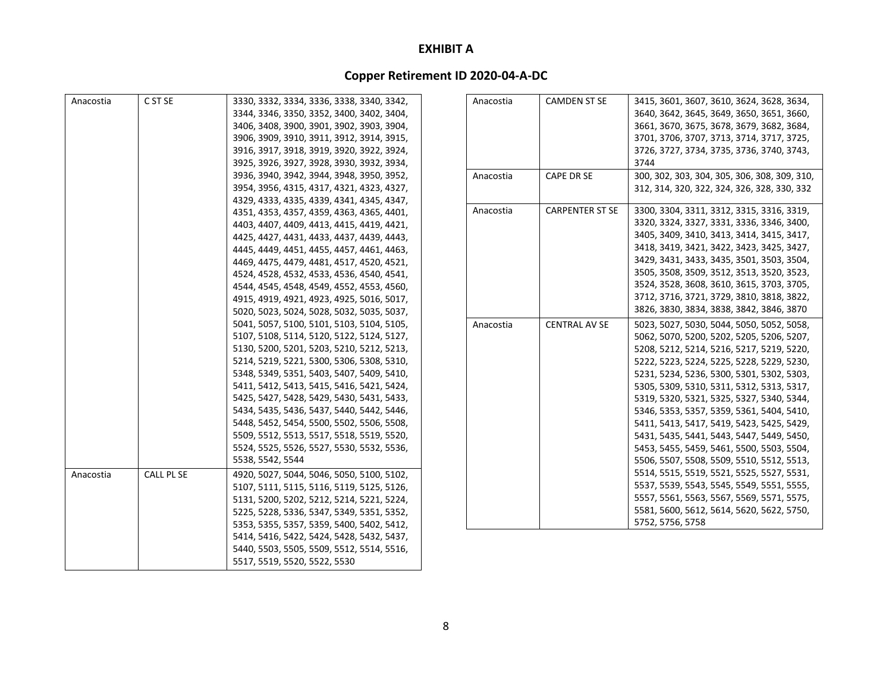| Anacostia | C ST SE           | 3330, 3332, 3334, 3336, 3338, 3340, 3342, |  |
|-----------|-------------------|-------------------------------------------|--|
|           |                   | 3344, 3346, 3350, 3352, 3400, 3402, 3404, |  |
|           |                   | 3406, 3408, 3900, 3901, 3902, 3903, 3904, |  |
|           |                   | 3906, 3909, 3910, 3911, 3912, 3914, 3915, |  |
|           |                   | 3916, 3917, 3918, 3919, 3920, 3922, 3924, |  |
|           |                   | 3925, 3926, 3927, 3928, 3930, 3932, 3934, |  |
|           |                   | 3936, 3940, 3942, 3944, 3948, 3950, 3952, |  |
|           |                   | 3954, 3956, 4315, 4317, 4321, 4323, 4327, |  |
|           |                   | 4329, 4333, 4335, 4339, 4341, 4345, 4347, |  |
|           |                   | 4351, 4353, 4357, 4359, 4363, 4365, 4401, |  |
|           |                   | 4403, 4407, 4409, 4413, 4415, 4419, 4421, |  |
|           |                   | 4425, 4427, 4431, 4433, 4437, 4439, 4443, |  |
|           |                   | 4445, 4449, 4451, 4455, 4457, 4461, 4463, |  |
|           |                   | 4469, 4475, 4479, 4481, 4517, 4520, 4521, |  |
|           |                   | 4524, 4528, 4532, 4533, 4536, 4540, 4541, |  |
|           |                   | 4544, 4545, 4548, 4549, 4552, 4553, 4560, |  |
|           |                   | 4915, 4919, 4921, 4923, 4925, 5016, 5017, |  |
|           |                   | 5020, 5023, 5024, 5028, 5032, 5035, 5037, |  |
|           |                   | 5041, 5057, 5100, 5101, 5103, 5104, 5105, |  |
|           |                   | 5107, 5108, 5114, 5120, 5122, 5124, 5127, |  |
|           |                   | 5130, 5200, 5201, 5203, 5210, 5212, 5213, |  |
|           |                   | 5214, 5219, 5221, 5300, 5306, 5308, 5310, |  |
|           |                   | 5348, 5349, 5351, 5403, 5407, 5409, 5410, |  |
|           |                   | 5411, 5412, 5413, 5415, 5416, 5421, 5424, |  |
|           |                   | 5425, 5427, 5428, 5429, 5430, 5431, 5433, |  |
|           |                   | 5434, 5435, 5436, 5437, 5440, 5442, 5446, |  |
|           |                   | 5448, 5452, 5454, 5500, 5502, 5506, 5508, |  |
|           |                   | 5509, 5512, 5513, 5517, 5518, 5519, 5520, |  |
|           |                   | 5524, 5525, 5526, 5527, 5530, 5532, 5536, |  |
|           |                   | 5538, 5542, 5544                          |  |
| Anacostia | <b>CALL PL SE</b> | 4920, 5027, 5044, 5046, 5050, 5100, 5102, |  |
|           |                   | 5107, 5111, 5115, 5116, 5119, 5125, 5126, |  |
|           |                   | 5131, 5200, 5202, 5212, 5214, 5221, 5224, |  |
|           |                   | 5225, 5228, 5336, 5347, 5349, 5351, 5352, |  |
|           |                   | 5353, 5355, 5357, 5359, 5400, 5402, 5412, |  |
|           |                   | 5414, 5416, 5422, 5424, 5428, 5432, 5437, |  |
|           |                   | 5440, 5503, 5505, 5509, 5512, 5514, 5516, |  |
|           |                   | 5517, 5519, 5520, 5522, 5530              |  |

| Anacostia | <b>CAMDEN ST SE</b>    | 3415, 3601, 3607, 3610, 3624, 3628, 3634,    |
|-----------|------------------------|----------------------------------------------|
|           |                        | 3640, 3642, 3645, 3649, 3650, 3651, 3660,    |
|           |                        | 3661, 3670, 3675, 3678, 3679, 3682, 3684,    |
|           |                        | 3701, 3706, 3707, 3713, 3714, 3717, 3725,    |
|           |                        | 3726, 3727, 3734, 3735, 3736, 3740, 3743,    |
|           |                        | 3744                                         |
| Anacostia | <b>CAPE DR SE</b>      | 300, 302, 303, 304, 305, 306, 308, 309, 310, |
|           |                        | 312, 314, 320, 322, 324, 326, 328, 330, 332  |
| Anacostia | <b>CARPENTER ST SE</b> | 3300, 3304, 3311, 3312, 3315, 3316, 3319,    |
|           |                        | 3320, 3324, 3327, 3331, 3336, 3346, 3400,    |
|           |                        | 3405, 3409, 3410, 3413, 3414, 3415, 3417,    |
|           |                        | 3418, 3419, 3421, 3422, 3423, 3425, 3427,    |
|           |                        | 3429, 3431, 3433, 3435, 3501, 3503, 3504,    |
|           |                        | 3505, 3508, 3509, 3512, 3513, 3520, 3523,    |
|           |                        | 3524, 3528, 3608, 3610, 3615, 3703, 3705,    |
|           |                        | 3712, 3716, 3721, 3729, 3810, 3818, 3822,    |
|           |                        | 3826, 3830, 3834, 3838, 3842, 3846, 3870     |
| Anacostia | <b>CENTRAL AV SE</b>   | 5023, 5027, 5030, 5044, 5050, 5052, 5058,    |
|           |                        | 5062, 5070, 5200, 5202, 5205, 5206, 5207,    |
|           |                        | 5208, 5212, 5214, 5216, 5217, 5219, 5220,    |
|           |                        | 5222, 5223, 5224, 5225, 5228, 5229, 5230,    |
|           |                        | 5231, 5234, 5236, 5300, 5301, 5302, 5303,    |
|           |                        | 5305, 5309, 5310, 5311, 5312, 5313, 5317,    |
|           |                        | 5319, 5320, 5321, 5325, 5327, 5340, 5344,    |
|           |                        | 5346, 5353, 5357, 5359, 5361, 5404, 5410,    |
|           |                        | 5411, 5413, 5417, 5419, 5423, 5425, 5429,    |
|           |                        | 5431, 5435, 5441, 5443, 5447, 5449, 5450,    |
|           |                        | 5453, 5455, 5459, 5461, 5500, 5503, 5504,    |
|           |                        | 5506, 5507, 5508, 5509, 5510, 5512, 5513,    |
|           |                        | 5514, 5515, 5519, 5521, 5525, 5527, 5531,    |
|           |                        | 5537, 5539, 5543, 5545, 5549, 5551, 5555,    |
|           |                        | 5557, 5561, 5563, 5567, 5569, 5571, 5575,    |
|           |                        | 5581, 5600, 5612, 5614, 5620, 5622, 5750,    |
|           |                        | 5752, 5756, 5758                             |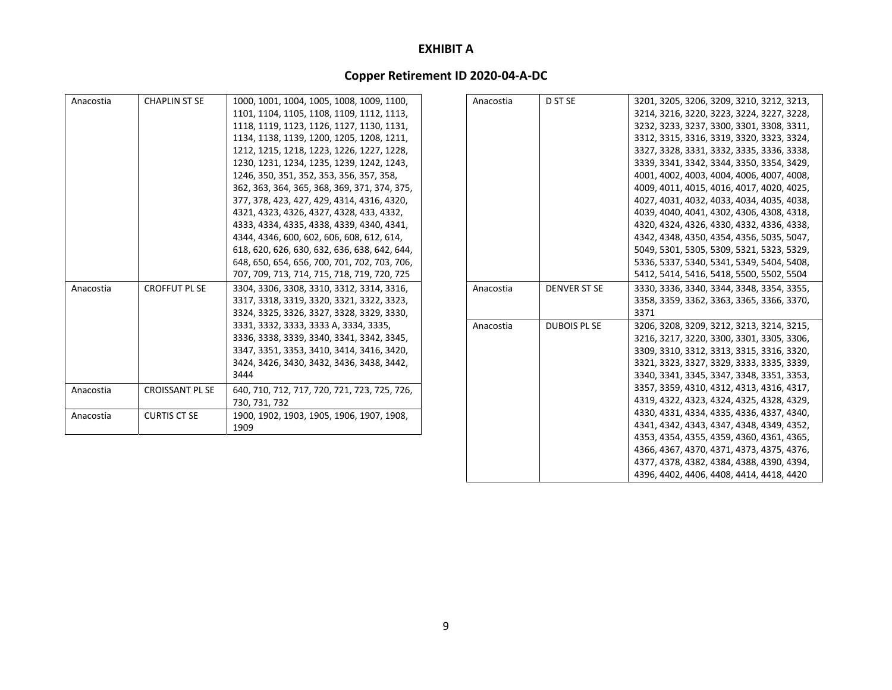| Anacostia | <b>CHAPLIN ST SE</b>   | 1000, 1001, 1004, 1005, 1008, 1009, 1100,<br>1101, 1104, 1105, 1108, 1109, 1112, 1113,<br>1118, 1119, 1123, 1126, 1127, 1130, 1131,<br>1134, 1138, 1139, 1200, 1205, 1208, 1211,<br>1212, 1215, 1218, 1223, 1226, 1227, 1228,<br>1230, 1231, 1234, 1235, 1239, 1242, 1243,<br>1246, 350, 351, 352, 353, 356, 357, 358,<br>362, 363, 364, 365, 368, 369, 371, 374, 375,<br>377, 378, 423, 427, 429, 4314, 4316, 4320,<br>4321, 4323, 4326, 4327, 4328, 433, 4332,<br>4333, 4334, 4335, 4338, 4339, 4340, 4341,<br>4344, 4346, 600, 602, 606, 608, 612, 614,<br>618, 620, 626, 630, 632, 636, 638, 642, 644,<br>648, 650, 654, 656, 700, 701, 702, 703, 706, |
|-----------|------------------------|------------------------------------------------------------------------------------------------------------------------------------------------------------------------------------------------------------------------------------------------------------------------------------------------------------------------------------------------------------------------------------------------------------------------------------------------------------------------------------------------------------------------------------------------------------------------------------------------------------------------------------------------------------|
| Anacostia | <b>CROFFUT PL SE</b>   | 707, 709, 713, 714, 715, 718, 719, 720, 725<br>3304, 3306, 3308, 3310, 3312, 3314, 3316,<br>3317, 3318, 3319, 3320, 3321, 3322, 3323,<br>3324, 3325, 3326, 3327, 3328, 3329, 3330,<br>3331, 3332, 3333, 3333 A, 3334, 3335,<br>3336, 3338, 3339, 3340, 3341, 3342, 3345,<br>3347, 3351, 3353, 3410, 3414, 3416, 3420,<br>3424, 3426, 3430, 3432, 3436, 3438, 3442,<br>3444                                                                                                                                                                                                                                                                                 |
| Anacostia | <b>CROISSANT PL SE</b> | 640, 710, 712, 717, 720, 721, 723, 725, 726,<br>730, 731, 732                                                                                                                                                                                                                                                                                                                                                                                                                                                                                                                                                                                              |
| Anacostia | <b>CURTIS CT SE</b>    | 1900, 1902, 1903, 1905, 1906, 1907, 1908,<br>1909                                                                                                                                                                                                                                                                                                                                                                                                                                                                                                                                                                                                          |

| Anacostia | D ST SE             | 3201, 3205, 3206, 3209, 3210, 3212, 3213, |
|-----------|---------------------|-------------------------------------------|
|           |                     | 3214, 3216, 3220, 3223, 3224, 3227, 3228, |
|           |                     | 3232, 3233, 3237, 3300, 3301, 3308, 3311, |
|           |                     | 3312, 3315, 3316, 3319, 3320, 3323, 3324, |
|           |                     | 3327, 3328, 3331, 3332, 3335, 3336, 3338, |
|           |                     | 3339, 3341, 3342, 3344, 3350, 3354, 3429, |
|           |                     | 4001, 4002, 4003, 4004, 4006, 4007, 4008, |
|           |                     | 4009, 4011, 4015, 4016, 4017, 4020, 4025, |
|           |                     | 4027, 4031, 4032, 4033, 4034, 4035, 4038, |
|           |                     | 4039, 4040, 4041, 4302, 4306, 4308, 4318, |
|           |                     | 4320, 4324, 4326, 4330, 4332, 4336, 4338, |
|           |                     | 4342, 4348, 4350, 4354, 4356, 5035, 5047, |
|           |                     | 5049, 5301, 5305, 5309, 5321, 5323, 5329, |
|           |                     | 5336, 5337, 5340, 5341, 5349, 5404, 5408, |
|           |                     | 5412, 5414, 5416, 5418, 5500, 5502, 5504  |
| Anacostia | <b>DENVER ST SE</b> | 3330, 3336, 3340, 3344, 3348, 3354, 3355, |
|           |                     | 3358, 3359, 3362, 3363, 3365, 3366, 3370, |
|           |                     | 3371                                      |
| Anacostia | <b>DUBOIS PL SE</b> | 3206, 3208, 3209, 3212, 3213, 3214, 3215, |
|           |                     | 3216, 3217, 3220, 3300, 3301, 3305, 3306, |
|           |                     | 3309, 3310, 3312, 3313, 3315, 3316, 3320, |
|           |                     | 3321, 3323, 3327, 3329, 3333, 3335, 3339, |
|           |                     | 3340, 3341, 3345, 3347, 3348, 3351, 3353, |
|           |                     | 3357, 3359, 4310, 4312, 4313, 4316, 4317, |
|           |                     | 4319, 4322, 4323, 4324, 4325, 4328, 4329, |
|           |                     | 4330, 4331, 4334, 4335, 4336, 4337, 4340, |
|           |                     | 4341, 4342, 4343, 4347, 4348, 4349, 4352, |
|           |                     | 4353, 4354, 4355, 4359, 4360, 4361, 4365, |
|           |                     | 4366, 4367, 4370, 4371, 4373, 4375, 4376, |
|           |                     | 4377, 4378, 4382, 4384, 4388, 4390, 4394, |
|           |                     | 4396, 4402, 4406, 4408, 4414, 4418, 4420  |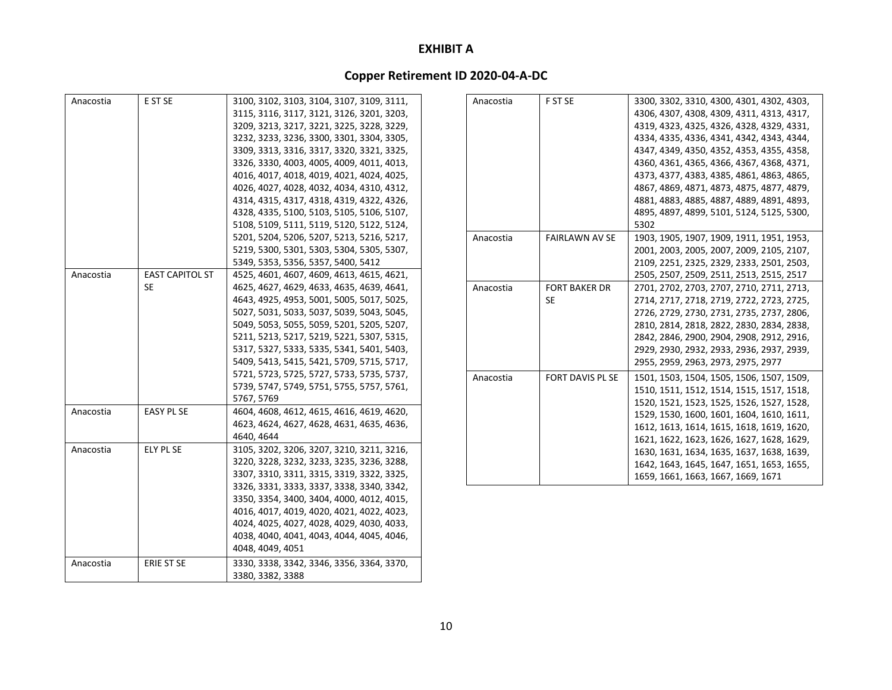| Anacostia | E ST SE                | 3100, 3102, 3103, 3104, 3107, 3109, 3111, |
|-----------|------------------------|-------------------------------------------|
|           |                        | 3115, 3116, 3117, 3121, 3126, 3201, 3203, |
|           |                        | 3209, 3213, 3217, 3221, 3225, 3228, 3229, |
|           |                        | 3232, 3233, 3236, 3300, 3301, 3304, 3305, |
|           |                        | 3309, 3313, 3316, 3317, 3320, 3321, 3325, |
|           |                        | 3326, 3330, 4003, 4005, 4009, 4011, 4013, |
|           |                        | 4016, 4017, 4018, 4019, 4021, 4024, 4025, |
|           |                        | 4026, 4027, 4028, 4032, 4034, 4310, 4312, |
|           |                        | 4314, 4315, 4317, 4318, 4319, 4322, 4326, |
|           |                        | 4328, 4335, 5100, 5103, 5105, 5106, 5107, |
|           |                        | 5108, 5109, 5111, 5119, 5120, 5122, 5124, |
|           |                        | 5201, 5204, 5206, 5207, 5213, 5216, 5217, |
|           |                        | 5219, 5300, 5301, 5303, 5304, 5305, 5307, |
|           |                        | 5349, 5353, 5356, 5357, 5400, 5412        |
| Anacostia | <b>EAST CAPITOL ST</b> | 4525, 4601, 4607, 4609, 4613, 4615, 4621, |
|           | <b>SE</b>              | 4625, 4627, 4629, 4633, 4635, 4639, 4641, |
|           |                        | 4643, 4925, 4953, 5001, 5005, 5017, 5025, |
|           |                        | 5027, 5031, 5033, 5037, 5039, 5043, 5045, |
|           |                        | 5049, 5053, 5055, 5059, 5201, 5205, 5207, |
|           |                        | 5211, 5213, 5217, 5219, 5221, 5307, 5315, |
|           |                        | 5317, 5327, 5333, 5335, 5341, 5401, 5403, |
|           |                        | 5409, 5413, 5415, 5421, 5709, 5715, 5717, |
|           |                        | 5721, 5723, 5725, 5727, 5733, 5735, 5737, |
|           |                        | 5739, 5747, 5749, 5751, 5755, 5757, 5761, |
|           |                        | 5767, 5769                                |
| Anacostia | <b>EASY PL SE</b>      | 4604, 4608, 4612, 4615, 4616, 4619, 4620, |
|           |                        | 4623, 4624, 4627, 4628, 4631, 4635, 4636, |
|           |                        | 4640, 4644                                |
| Anacostia | <b>ELY PL SE</b>       | 3105, 3202, 3206, 3207, 3210, 3211, 3216, |
|           |                        | 3220, 3228, 3232, 3233, 3235, 3236, 3288, |
|           |                        | 3307, 3310, 3311, 3315, 3319, 3322, 3325, |
|           |                        | 3326, 3331, 3333, 3337, 3338, 3340, 3342, |
|           |                        | 3350, 3354, 3400, 3404, 4000, 4012, 4015, |
|           |                        | 4016, 4017, 4019, 4020, 4021, 4022, 4023, |
|           |                        | 4024, 4025, 4027, 4028, 4029, 4030, 4033, |
|           |                        | 4038, 4040, 4041, 4043, 4044, 4045, 4046, |
|           |                        | 4048, 4049, 4051                          |
|           |                        |                                           |
| Anacostia | ERIE ST SE             | 3330, 3338, 3342, 3346, 3356, 3364, 3370, |
|           |                        | 3380, 3382, 3388                          |

| Anacostia | F ST SE               | 3300, 3302, 3310, 4300, 4301, 4302, 4303, |
|-----------|-----------------------|-------------------------------------------|
|           |                       | 4306, 4307, 4308, 4309, 4311, 4313, 4317, |
|           |                       | 4319, 4323, 4325, 4326, 4328, 4329, 4331, |
|           |                       | 4334, 4335, 4336, 4341, 4342, 4343, 4344, |
|           |                       | 4347, 4349, 4350, 4352, 4353, 4355, 4358, |
|           |                       | 4360, 4361, 4365, 4366, 4367, 4368, 4371, |
|           |                       | 4373, 4377, 4383, 4385, 4861, 4863, 4865, |
|           |                       | 4867, 4869, 4871, 4873, 4875, 4877, 4879, |
|           |                       | 4881, 4883, 4885, 4887, 4889, 4891, 4893, |
|           |                       | 4895, 4897, 4899, 5101, 5124, 5125, 5300, |
|           |                       | 5302                                      |
| Anacostia | <b>FAIRLAWN AV SE</b> | 1903, 1905, 1907, 1909, 1911, 1951, 1953, |
|           |                       | 2001, 2003, 2005, 2007, 2009, 2105, 2107, |
|           |                       | 2109, 2251, 2325, 2329, 2333, 2501, 2503, |
|           |                       | 2505, 2507, 2509, 2511, 2513, 2515, 2517  |
| Anacostia | <b>FORT BAKER DR</b>  | 2701, 2702, 2703, 2707, 2710, 2711, 2713, |
|           | SE                    | 2714, 2717, 2718, 2719, 2722, 2723, 2725, |
|           |                       | 2726, 2729, 2730, 2731, 2735, 2737, 2806, |
|           |                       | 2810, 2814, 2818, 2822, 2830, 2834, 2838, |
|           |                       | 2842, 2846, 2900, 2904, 2908, 2912, 2916, |
|           |                       | 2929, 2930, 2932, 2933, 2936, 2937, 2939, |
|           |                       | 2955, 2959, 2963, 2973, 2975, 2977        |
| Anacostia | FORT DAVIS PL SE      | 1501, 1503, 1504, 1505, 1506, 1507, 1509, |
|           |                       | 1510, 1511, 1512, 1514, 1515, 1517, 1518, |
|           |                       | 1520, 1521, 1523, 1525, 1526, 1527, 1528, |
|           |                       | 1529, 1530, 1600, 1601, 1604, 1610, 1611, |
|           |                       | 1612, 1613, 1614, 1615, 1618, 1619, 1620, |
|           |                       | 1621, 1622, 1623, 1626, 1627, 1628, 1629, |
|           |                       | 1630, 1631, 1634, 1635, 1637, 1638, 1639, |
|           |                       | 1642, 1643, 1645, 1647, 1651, 1653, 1655, |
|           |                       | 1659, 1661, 1663, 1667, 1669, 1671        |
|           |                       |                                           |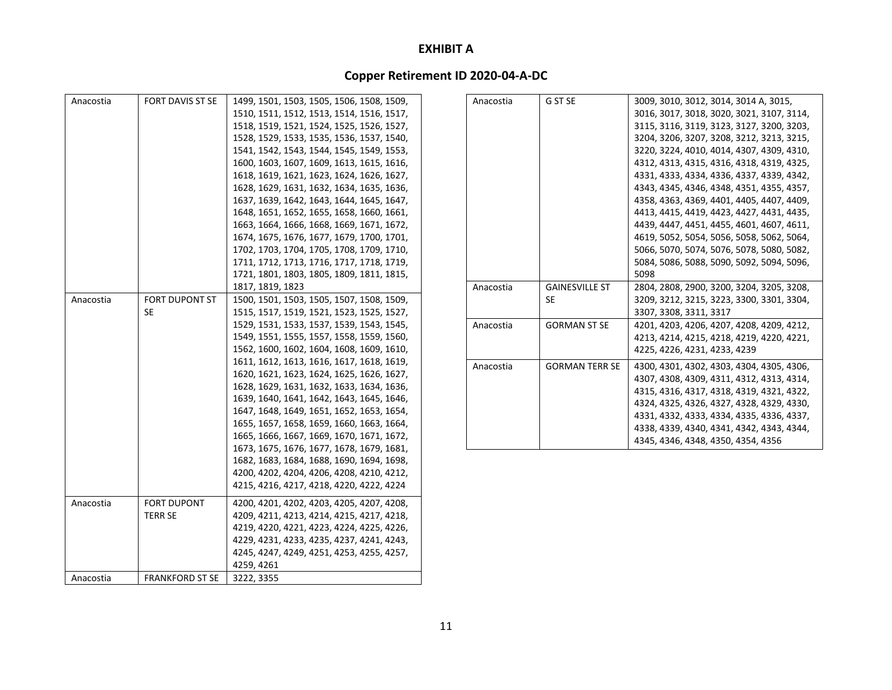| Anacostia | <b>FORT DAVIS ST SE</b> | 1499, 1501, 1503, 1505, 1506, 1508, 1509, | Anacostia | G ST SE               | 3009, 3010, 3012, 3014, 3014 A, 3015,     |
|-----------|-------------------------|-------------------------------------------|-----------|-----------------------|-------------------------------------------|
|           |                         | 1510, 1511, 1512, 1513, 1514, 1516, 1517, |           |                       | 3016, 3017, 3018, 3020, 3021, 3107, 3114, |
|           |                         | 1518, 1519, 1521, 1524, 1525, 1526, 1527, |           |                       | 3115, 3116, 3119, 3123, 3127, 3200, 3203, |
|           |                         | 1528, 1529, 1533, 1535, 1536, 1537, 1540, |           |                       | 3204, 3206, 3207, 3208, 3212, 3213, 3215, |
|           |                         | 1541, 1542, 1543, 1544, 1545, 1549, 1553, |           |                       | 3220, 3224, 4010, 4014, 4307, 4309, 4310, |
|           |                         | 1600, 1603, 1607, 1609, 1613, 1615, 1616, |           |                       | 4312, 4313, 4315, 4316, 4318, 4319, 4325, |
|           |                         | 1618, 1619, 1621, 1623, 1624, 1626, 1627, |           |                       | 4331, 4333, 4334, 4336, 4337, 4339, 4342, |
|           |                         | 1628, 1629, 1631, 1632, 1634, 1635, 1636, |           |                       | 4343, 4345, 4346, 4348, 4351, 4355, 4357, |
|           |                         | 1637, 1639, 1642, 1643, 1644, 1645, 1647, |           |                       | 4358, 4363, 4369, 4401, 4405, 4407, 4409, |
|           |                         | 1648, 1651, 1652, 1655, 1658, 1660, 1661, |           |                       | 4413, 4415, 4419, 4423, 4427, 4431, 4435, |
|           |                         | 1663, 1664, 1666, 1668, 1669, 1671, 1672, |           |                       | 4439, 4447, 4451, 4455, 4601, 4607, 4611, |
|           |                         | 1674, 1675, 1676, 1677, 1679, 1700, 1701, |           |                       | 4619, 5052, 5054, 5056, 5058, 5062, 5064, |
|           |                         | 1702, 1703, 1704, 1705, 1708, 1709, 1710, |           |                       | 5066, 5070, 5074, 5076, 5078, 5080, 5082, |
|           |                         | 1711, 1712, 1713, 1716, 1717, 1718, 1719, |           |                       | 5084, 5086, 5088, 5090, 5092, 5094, 5096, |
|           |                         | 1721, 1801, 1803, 1805, 1809, 1811, 1815, |           |                       | 5098                                      |
|           |                         | 1817, 1819, 1823                          | Anacostia | <b>GAINESVILLE ST</b> | 2804, 2808, 2900, 3200, 3204, 3205, 3208, |
| Anacostia | <b>FORT DUPONT ST</b>   | 1500, 1501, 1503, 1505, 1507, 1508, 1509, |           | SE.                   | 3209, 3212, 3215, 3223, 3300, 3301, 3304, |
|           | SE.                     | 1515, 1517, 1519, 1521, 1523, 1525, 1527, |           |                       | 3307, 3308, 3311, 3317                    |
|           |                         | 1529, 1531, 1533, 1537, 1539, 1543, 1545, | Anacostia | <b>GORMAN ST SE</b>   | 4201, 4203, 4206, 4207, 4208, 4209, 4212, |
|           |                         | 1549, 1551, 1555, 1557, 1558, 1559, 1560, |           |                       | 4213, 4214, 4215, 4218, 4219, 4220, 4221, |
|           |                         | 1562, 1600, 1602, 1604, 1608, 1609, 1610, |           |                       | 4225, 4226, 4231, 4233, 4239              |
|           |                         | 1611, 1612, 1613, 1616, 1617, 1618, 1619, | Anacostia | <b>GORMAN TERR SE</b> | 4300, 4301, 4302, 4303, 4304, 4305, 4306, |
|           |                         | 1620, 1621, 1623, 1624, 1625, 1626, 1627, |           |                       | 4307, 4308, 4309, 4311, 4312, 4313, 4314, |
|           |                         | 1628, 1629, 1631, 1632, 1633, 1634, 1636, |           |                       | 4315, 4316, 4317, 4318, 4319, 4321, 4322, |
|           |                         | 1639, 1640, 1641, 1642, 1643, 1645, 1646, |           |                       | 4324, 4325, 4326, 4327, 4328, 4329, 4330, |
|           |                         | 1647, 1648, 1649, 1651, 1652, 1653, 1654, |           |                       | 4331, 4332, 4333, 4334, 4335, 4336, 4337, |
|           |                         | 1655, 1657, 1658, 1659, 1660, 1663, 1664, |           |                       | 4338, 4339, 4340, 4341, 4342, 4343, 4344, |
|           |                         | 1665, 1666, 1667, 1669, 1670, 1671, 1672, |           |                       | 4345, 4346, 4348, 4350, 4354, 4356        |
|           |                         | 1673, 1675, 1676, 1677, 1678, 1679, 1681, |           |                       |                                           |
|           |                         | 1682, 1683, 1684, 1688, 1690, 1694, 1698, |           |                       |                                           |
|           |                         | 4200, 4202, 4204, 4206, 4208, 4210, 4212, |           |                       |                                           |
|           |                         | 4215, 4216, 4217, 4218, 4220, 4222, 4224  |           |                       |                                           |
| Anacostia | FORT DUPONT             | 4200, 4201, 4202, 4203, 4205, 4207, 4208, |           |                       |                                           |
|           | <b>TERR SE</b>          | 4209, 4211, 4213, 4214, 4215, 4217, 4218, |           |                       |                                           |
|           |                         | 4219, 4220, 4221, 4223, 4224, 4225, 4226, |           |                       |                                           |
|           |                         | 4229, 4231, 4233, 4235, 4237, 4241, 4243, |           |                       |                                           |
|           |                         | 4245, 4247, 4249, 4251, 4253, 4255, 4257, |           |                       |                                           |
|           |                         | 4259, 4261                                |           |                       |                                           |
| Anacostia | <b>FRANKFORD ST SE</b>  | 3222, 3355                                |           |                       |                                           |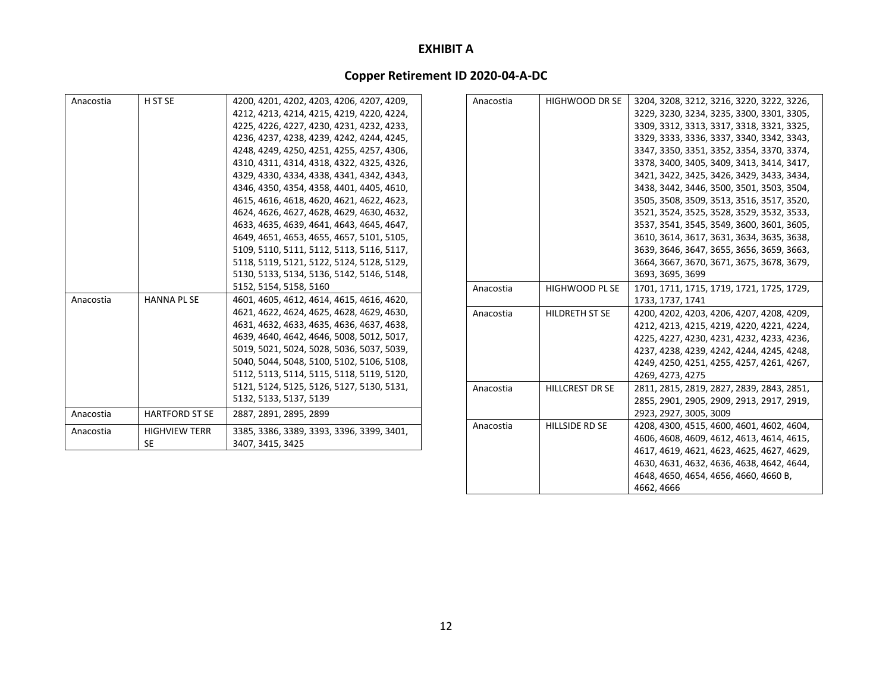# **Copper Retirement ID 2020‐04‐A‐DC**

| Anacostia | H ST SE               | 4200, 4201, 4202, 4203, 4206, 4207, 4209, | Anacostia | <b>HIGHWOOD DR SE</b>  | 3204, 3208, 3212, 3216, 3220, 3222, 3226, |
|-----------|-----------------------|-------------------------------------------|-----------|------------------------|-------------------------------------------|
|           |                       | 4212, 4213, 4214, 4215, 4219, 4220, 4224, |           |                        | 3229, 3230, 3234, 3235, 3300, 3301, 3305, |
|           |                       | 4225, 4226, 4227, 4230, 4231, 4232, 4233, |           |                        | 3309, 3312, 3313, 3317, 3318, 3321, 3325, |
|           |                       | 4236, 4237, 4238, 4239, 4242, 4244, 4245, |           |                        | 3329, 3333, 3336, 3337, 3340, 3342, 3343, |
|           |                       | 4248, 4249, 4250, 4251, 4255, 4257, 4306, |           |                        | 3347, 3350, 3351, 3352, 3354, 3370, 3374, |
|           |                       | 4310, 4311, 4314, 4318, 4322, 4325, 4326, |           |                        | 3378, 3400, 3405, 3409, 3413, 3414, 3417, |
|           |                       | 4329, 4330, 4334, 4338, 4341, 4342, 4343, |           |                        | 3421, 3422, 3425, 3426, 3429, 3433, 3434, |
|           |                       | 4346, 4350, 4354, 4358, 4401, 4405, 4610, |           |                        | 3438, 3442, 3446, 3500, 3501, 3503, 3504, |
|           |                       | 4615, 4616, 4618, 4620, 4621, 4622, 4623, |           |                        | 3505, 3508, 3509, 3513, 3516, 3517, 3520, |
|           |                       | 4624, 4626, 4627, 4628, 4629, 4630, 4632, |           |                        | 3521, 3524, 3525, 3528, 3529, 3532, 3533, |
|           |                       | 4633, 4635, 4639, 4641, 4643, 4645, 4647, |           |                        | 3537, 3541, 3545, 3549, 3600, 3601, 3605, |
|           |                       | 4649, 4651, 4653, 4655, 4657, 5101, 5105, |           |                        | 3610, 3614, 3617, 3631, 3634, 3635, 3638, |
|           |                       | 5109, 5110, 5111, 5112, 5113, 5116, 5117, |           |                        | 3639, 3646, 3647, 3655, 3656, 3659, 3663, |
|           |                       | 5118, 5119, 5121, 5122, 5124, 5128, 5129, |           |                        | 3664, 3667, 3670, 3671, 3675, 3678, 3679, |
|           |                       | 5130, 5133, 5134, 5136, 5142, 5146, 5148, |           |                        | 3693, 3695, 3699                          |
|           |                       | 5152, 5154, 5158, 5160                    | Anacostia | <b>HIGHWOOD PL SE</b>  | 1701, 1711, 1715, 1719, 1721, 1725, 1729, |
| Anacostia | <b>HANNA PL SE</b>    | 4601, 4605, 4612, 4614, 4615, 4616, 4620, |           |                        | 1733, 1737, 1741                          |
|           |                       | 4621, 4622, 4624, 4625, 4628, 4629, 4630, | Anacostia | <b>HILDRETH ST SE</b>  | 4200, 4202, 4203, 4206, 4207, 4208, 4209, |
|           |                       | 4631, 4632, 4633, 4635, 4636, 4637, 4638, |           |                        | 4212, 4213, 4215, 4219, 4220, 4221, 4224, |
|           |                       | 4639, 4640, 4642, 4646, 5008, 5012, 5017, |           |                        | 4225, 4227, 4230, 4231, 4232, 4233, 4236, |
|           |                       | 5019, 5021, 5024, 5028, 5036, 5037, 5039, |           |                        | 4237, 4238, 4239, 4242, 4244, 4245, 4248, |
|           |                       | 5040, 5044, 5048, 5100, 5102, 5106, 5108, |           |                        | 4249, 4250, 4251, 4255, 4257, 4261, 4267, |
|           |                       | 5112, 5113, 5114, 5115, 5118, 5119, 5120, |           |                        | 4269, 4273, 4275                          |
|           |                       | 5121, 5124, 5125, 5126, 5127, 5130, 5131, | Anacostia | <b>HILLCREST DR SE</b> | 2811, 2815, 2819, 2827, 2839, 2843, 2851, |
|           |                       | 5132, 5133, 5137, 5139                    |           |                        | 2855, 2901, 2905, 2909, 2913, 2917, 2919, |
| Anacostia | <b>HARTFORD ST SE</b> | 2887, 2891, 2895, 2899                    |           |                        | 2923, 2927, 3005, 3009                    |
| Anacostia | <b>HIGHVIEW TERR</b>  | 3385, 3386, 3389, 3393, 3396, 3399, 3401, | Anacostia | <b>HILLSIDE RD SE</b>  | 4208, 4300, 4515, 4600, 4601, 4602, 4604, |
|           | <b>SE</b>             | 3407, 3415, 3425                          |           |                        | 4606, 4608, 4609, 4612, 4613, 4614, 4615, |
|           |                       |                                           |           |                        | 4617, 4619, 4621, 4623, 4625, 4627, 4629, |

4630, 4631, 4632, 4636, 4638, 4642, 4644, 4648, 4650, 4654, 4656, 4660, 4660 B,

4662, 4666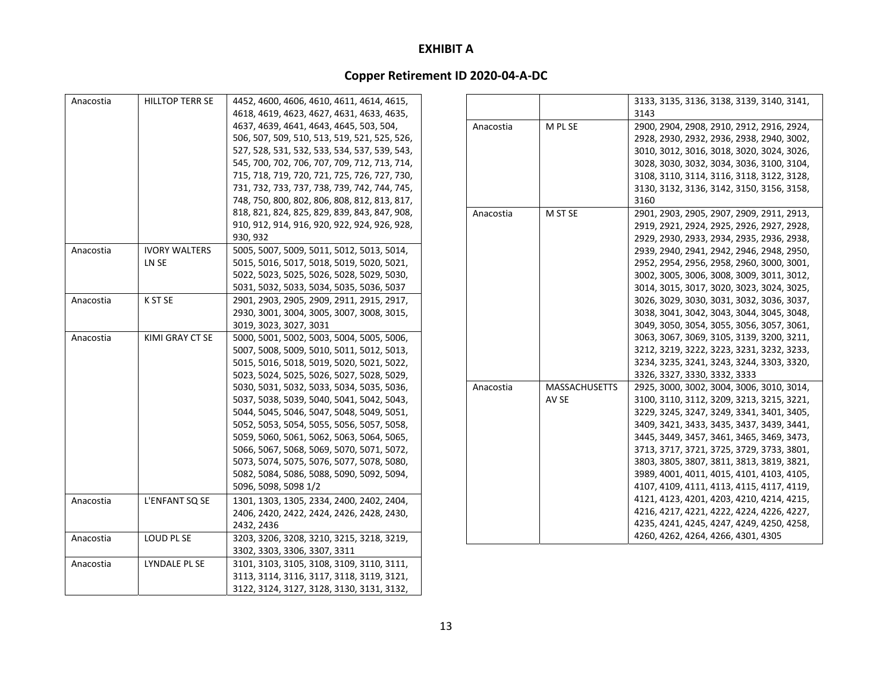| Anacostia | <b>HILLTOP TERR SE</b> | 4452, 4600, 4606, 4610, 4611, 4614, 4615,    |           |                      | 3133, 3135, 3136, 3138, 3139, 3140, 3141, |
|-----------|------------------------|----------------------------------------------|-----------|----------------------|-------------------------------------------|
|           |                        | 4618, 4619, 4623, 4627, 4631, 4633, 4635,    |           |                      | 3143                                      |
|           |                        | 4637, 4639, 4641, 4643, 4645, 503, 504,      | Anacostia | M PL SE              | 2900, 2904, 2908, 2910, 2912, 2916, 2924, |
|           |                        | 506, 507, 509, 510, 513, 519, 521, 525, 526, |           |                      | 2928, 2930, 2932, 2936, 2938, 2940, 3002, |
|           |                        | 527, 528, 531, 532, 533, 534, 537, 539, 543, |           |                      | 3010, 3012, 3016, 3018, 3020, 3024, 3026, |
|           |                        | 545, 700, 702, 706, 707, 709, 712, 713, 714, |           |                      | 3028, 3030, 3032, 3034, 3036, 3100, 3104, |
|           |                        | 715, 718, 719, 720, 721, 725, 726, 727, 730, |           |                      | 3108, 3110, 3114, 3116, 3118, 3122, 3128, |
|           |                        | 731, 732, 733, 737, 738, 739, 742, 744, 745, |           |                      | 3130, 3132, 3136, 3142, 3150, 3156, 3158, |
|           |                        | 748, 750, 800, 802, 806, 808, 812, 813, 817, |           |                      | 3160                                      |
|           |                        | 818, 821, 824, 825, 829, 839, 843, 847, 908, | Anacostia | M ST SE              | 2901, 2903, 2905, 2907, 2909, 2911, 2913, |
|           |                        | 910, 912, 914, 916, 920, 922, 924, 926, 928, |           |                      | 2919, 2921, 2924, 2925, 2926, 2927, 2928, |
|           |                        | 930, 932                                     |           |                      | 2929, 2930, 2933, 2934, 2935, 2936, 2938, |
| Anacostia | <b>IVORY WALTERS</b>   | 5005, 5007, 5009, 5011, 5012, 5013, 5014,    |           |                      | 2939, 2940, 2941, 2942, 2946, 2948, 2950, |
|           | LN SE                  | 5015, 5016, 5017, 5018, 5019, 5020, 5021,    |           |                      | 2952, 2954, 2956, 2958, 2960, 3000, 3001, |
|           |                        | 5022, 5023, 5025, 5026, 5028, 5029, 5030,    |           |                      | 3002, 3005, 3006, 3008, 3009, 3011, 3012, |
|           |                        | 5031, 5032, 5033, 5034, 5035, 5036, 5037     |           |                      | 3014, 3015, 3017, 3020, 3023, 3024, 3025, |
| Anacostia | K ST SE                | 2901, 2903, 2905, 2909, 2911, 2915, 2917,    |           |                      | 3026, 3029, 3030, 3031, 3032, 3036, 3037, |
|           |                        | 2930, 3001, 3004, 3005, 3007, 3008, 3015,    |           |                      | 3038, 3041, 3042, 3043, 3044, 3045, 3048, |
|           |                        | 3019, 3023, 3027, 3031                       |           |                      | 3049, 3050, 3054, 3055, 3056, 3057, 3061, |
| Anacostia | KIMI GRAY CT SE        | 5000, 5001, 5002, 5003, 5004, 5005, 5006,    |           |                      | 3063, 3067, 3069, 3105, 3139, 3200, 3211, |
|           |                        | 5007, 5008, 5009, 5010, 5011, 5012, 5013,    |           |                      | 3212, 3219, 3222, 3223, 3231, 3232, 3233, |
|           |                        | 5015, 5016, 5018, 5019, 5020, 5021, 5022,    |           |                      | 3234, 3235, 3241, 3243, 3244, 3303, 3320, |
|           |                        | 5023, 5024, 5025, 5026, 5027, 5028, 5029,    |           |                      | 3326, 3327, 3330, 3332, 3333              |
|           |                        | 5030, 5031, 5032, 5033, 5034, 5035, 5036,    | Anacostia | <b>MASSACHUSETTS</b> | 2925, 3000, 3002, 3004, 3006, 3010, 3014, |
|           |                        | 5037, 5038, 5039, 5040, 5041, 5042, 5043,    |           | AV SE                | 3100, 3110, 3112, 3209, 3213, 3215, 3221, |
|           |                        | 5044, 5045, 5046, 5047, 5048, 5049, 5051,    |           |                      | 3229, 3245, 3247, 3249, 3341, 3401, 3405, |
|           |                        | 5052, 5053, 5054, 5055, 5056, 5057, 5058,    |           |                      | 3409, 3421, 3433, 3435, 3437, 3439, 3441, |
|           |                        | 5059, 5060, 5061, 5062, 5063, 5064, 5065,    |           |                      | 3445, 3449, 3457, 3461, 3465, 3469, 3473, |
|           |                        | 5066, 5067, 5068, 5069, 5070, 5071, 5072,    |           |                      | 3713, 3717, 3721, 3725, 3729, 3733, 3801, |
|           |                        | 5073, 5074, 5075, 5076, 5077, 5078, 5080,    |           |                      | 3803, 3805, 3807, 3811, 3813, 3819, 3821, |
|           |                        | 5082, 5084, 5086, 5088, 5090, 5092, 5094,    |           |                      | 3989, 4001, 4011, 4015, 4101, 4103, 4105, |
|           |                        | 5096, 5098, 5098 1/2                         |           |                      | 4107, 4109, 4111, 4113, 4115, 4117, 4119, |
| Anacostia | L'ENFANT SQ SE         | 1301, 1303, 1305, 2334, 2400, 2402, 2404,    |           |                      | 4121, 4123, 4201, 4203, 4210, 4214, 4215, |
|           |                        | 2406, 2420, 2422, 2424, 2426, 2428, 2430,    |           |                      | 4216, 4217, 4221, 4222, 4224, 4226, 4227, |
|           |                        | 2432, 2436                                   |           |                      | 4235, 4241, 4245, 4247, 4249, 4250, 4258, |
| Anacostia | LOUD PL SE             | 3203, 3206, 3208, 3210, 3215, 3218, 3219,    |           |                      | 4260, 4262, 4264, 4266, 4301, 4305        |
|           |                        | 3302, 3303, 3306, 3307, 3311                 |           |                      |                                           |
| Anacostia | LYNDALE PL SE          | 3101, 3103, 3105, 3108, 3109, 3110, 3111,    |           |                      |                                           |
|           |                        | 3113, 3114, 3116, 3117, 3118, 3119, 3121,    |           |                      |                                           |
|           |                        | 3122, 3124, 3127, 3128, 3130, 3131, 3132,    |           |                      |                                           |
|           |                        |                                              |           |                      |                                           |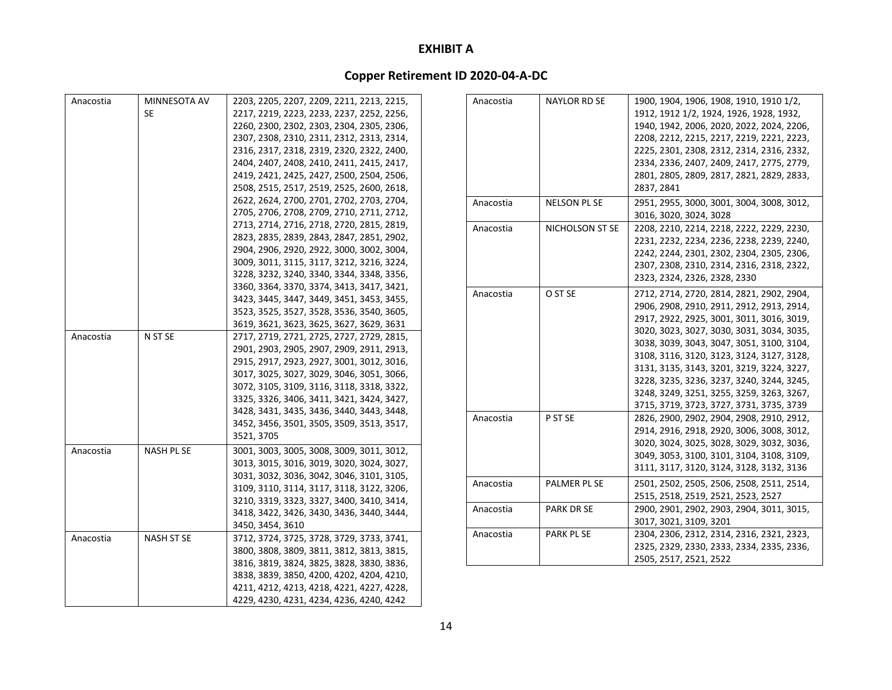| Anacostia | MINNESOTA AV      | 2203, 2205, 2207, 2209, 2211, 2213, 2215, | Anacostia | <b>NAYLOR RD SE</b> | 1900, 1904, 1906, 1908, 1910, 1910 1/2,   |
|-----------|-------------------|-------------------------------------------|-----------|---------------------|-------------------------------------------|
|           | SE.               | 2217, 2219, 2223, 2233, 2237, 2252, 2256, |           |                     | 1912, 1912 1/2, 1924, 1926, 1928, 1932,   |
|           |                   | 2260, 2300, 2302, 2303, 2304, 2305, 2306, |           |                     | 1940, 1942, 2006, 2020, 2022, 2024, 2206, |
|           |                   | 2307, 2308, 2310, 2311, 2312, 2313, 2314, |           |                     | 2208, 2212, 2215, 2217, 2219, 2221, 2223, |
|           |                   | 2316, 2317, 2318, 2319, 2320, 2322, 2400, |           |                     | 2225, 2301, 2308, 2312, 2314, 2316, 2332, |
|           |                   | 2404, 2407, 2408, 2410, 2411, 2415, 2417, |           |                     | 2334, 2336, 2407, 2409, 2417, 2775, 2779, |
|           |                   | 2419, 2421, 2425, 2427, 2500, 2504, 2506, |           |                     | 2801, 2805, 2809, 2817, 2821, 2829, 2833, |
|           |                   | 2508, 2515, 2517, 2519, 2525, 2600, 2618, |           |                     | 2837, 2841                                |
|           |                   | 2622, 2624, 2700, 2701, 2702, 2703, 2704, | Anacostia | NELSON PL SE        | 2951, 2955, 3000, 3001, 3004, 3008, 3012, |
|           |                   | 2705, 2706, 2708, 2709, 2710, 2711, 2712, |           |                     | 3016, 3020, 3024, 3028                    |
|           |                   | 2713, 2714, 2716, 2718, 2720, 2815, 2819, | Anacostia | NICHOLSON ST SE     | 2208, 2210, 2214, 2218, 2222, 2229, 2230, |
|           |                   | 2823, 2835, 2839, 2843, 2847, 2851, 2902, |           |                     | 2231, 2232, 2234, 2236, 2238, 2239, 2240, |
|           |                   | 2904, 2906, 2920, 2922, 3000, 3002, 3004, |           |                     | 2242, 2244, 2301, 2302, 2304, 2305, 2306, |
|           |                   | 3009, 3011, 3115, 3117, 3212, 3216, 3224, |           |                     | 2307, 2308, 2310, 2314, 2316, 2318, 2322, |
|           |                   | 3228, 3232, 3240, 3340, 3344, 3348, 3356, |           |                     | 2323, 2324, 2326, 2328, 2330              |
|           |                   | 3360, 3364, 3370, 3374, 3413, 3417, 3421, | Anacostia | O ST SE             | 2712, 2714, 2720, 2814, 2821, 2902, 2904, |
|           |                   | 3423, 3445, 3447, 3449, 3451, 3453, 3455, |           |                     | 2906, 2908, 2910, 2911, 2912, 2913, 2914, |
|           |                   | 3523, 3525, 3527, 3528, 3536, 3540, 3605, |           |                     | 2917, 2922, 2925, 3001, 3011, 3016, 3019, |
|           |                   | 3619, 3621, 3623, 3625, 3627, 3629, 3631  |           |                     | 3020, 3023, 3027, 3030, 3031, 3034, 3035, |
| Anacostia | N ST SE           | 2717, 2719, 2721, 2725, 2727, 2729, 2815, |           |                     | 3038, 3039, 3043, 3047, 3051, 3100, 3104, |
|           |                   | 2901, 2903, 2905, 2907, 2909, 2911, 2913, |           |                     | 3108, 3116, 3120, 3123, 3124, 3127, 3128, |
|           |                   | 2915, 2917, 2923, 2927, 3001, 3012, 3016, |           |                     | 3131, 3135, 3143, 3201, 3219, 3224, 3227, |
|           |                   | 3017, 3025, 3027, 3029, 3046, 3051, 3066, |           |                     | 3228, 3235, 3236, 3237, 3240, 3244, 3245, |
|           |                   | 3072, 3105, 3109, 3116, 3118, 3318, 3322, |           |                     | 3248, 3249, 3251, 3255, 3259, 3263, 3267, |
|           |                   | 3325, 3326, 3406, 3411, 3421, 3424, 3427, |           |                     | 3715, 3719, 3723, 3727, 3731, 3735, 3739  |
|           |                   | 3428, 3431, 3435, 3436, 3440, 3443, 3448, | Anacostia | P ST SE             | 2826, 2900, 2902, 2904, 2908, 2910, 2912, |
|           |                   | 3452, 3456, 3501, 3505, 3509, 3513, 3517, |           |                     | 2914, 2916, 2918, 2920, 3006, 3008, 3012, |
|           |                   | 3521, 3705                                |           |                     | 3020, 3024, 3025, 3028, 3029, 3032, 3036, |
| Anacostia | <b>NASH PL SE</b> | 3001, 3003, 3005, 3008, 3009, 3011, 3012, |           |                     | 3049, 3053, 3100, 3101, 3104, 3108, 3109, |
|           |                   | 3013, 3015, 3016, 3019, 3020, 3024, 3027, |           |                     | 3111, 3117, 3120, 3124, 3128, 3132, 3136  |
|           |                   | 3031, 3032, 3036, 3042, 3046, 3101, 3105, |           |                     |                                           |
|           |                   | 3109, 3110, 3114, 3117, 3118, 3122, 3206, | Anacostia | PALMER PL SE        | 2501, 2502, 2505, 2506, 2508, 2511, 2514, |
|           |                   | 3210, 3319, 3323, 3327, 3400, 3410, 3414, |           |                     | 2515, 2518, 2519, 2521, 2523, 2527        |
|           |                   | 3418, 3422, 3426, 3430, 3436, 3440, 3444, | Anacostia | <b>PARK DR SE</b>   | 2900, 2901, 2902, 2903, 2904, 3011, 3015, |
|           |                   | 3450, 3454, 3610                          |           |                     | 3017, 3021, 3109, 3201                    |
| Anacostia | <b>NASH ST SE</b> | 3712, 3724, 3725, 3728, 3729, 3733, 3741, | Anacostia | PARK PL SE          | 2304, 2306, 2312, 2314, 2316, 2321, 2323, |
|           |                   | 3800, 3808, 3809, 3811, 3812, 3813, 3815, |           |                     | 2325, 2329, 2330, 2333, 2334, 2335, 2336, |
|           |                   | 3816, 3819, 3824, 3825, 3828, 3830, 3836, |           |                     | 2505, 2517, 2521, 2522                    |
|           |                   | 3838, 3839, 3850, 4200, 4202, 4204, 4210, |           |                     |                                           |
|           |                   | 4211, 4212, 4213, 4218, 4221, 4227, 4228, |           |                     |                                           |
|           |                   | 4229, 4230, 4231, 4234, 4236, 4240, 4242  |           |                     |                                           |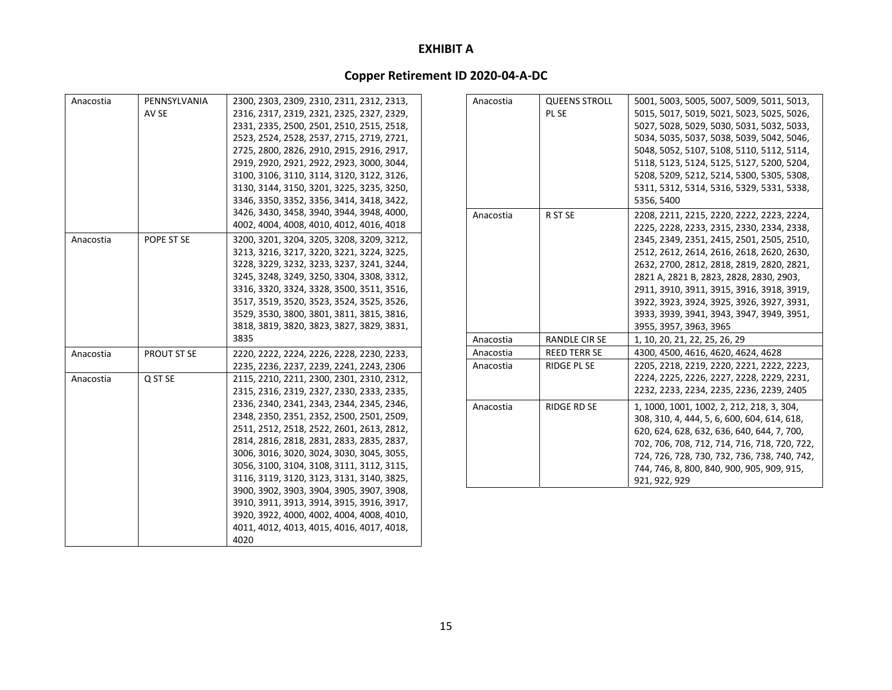| Anacostia | PENNSYLVANIA       | 2300, 2303, 2309, 2310, 2311, 2312, 2313, |
|-----------|--------------------|-------------------------------------------|
|           | AV SE              | 2316, 2317, 2319, 2321, 2325, 2327, 2329, |
|           |                    | 2331, 2335, 2500, 2501, 2510, 2515, 2518, |
|           |                    | 2523, 2524, 2528, 2537, 2715, 2719, 2721, |
|           |                    | 2725, 2800, 2826, 2910, 2915, 2916, 2917, |
|           |                    | 2919, 2920, 2921, 2922, 2923, 3000, 3044, |
|           |                    | 3100, 3106, 3110, 3114, 3120, 3122, 3126, |
|           |                    | 3130, 3144, 3150, 3201, 3225, 3235, 3250, |
|           |                    | 3346, 3350, 3352, 3356, 3414, 3418, 3422, |
|           |                    | 3426, 3430, 3458, 3940, 3944, 3948, 4000, |
|           |                    | 4002, 4004, 4008, 4010, 4012, 4016, 4018  |
| Anacostia | POPE ST SE         | 3200, 3201, 3204, 3205, 3208, 3209, 3212, |
|           |                    | 3213, 3216, 3217, 3220, 3221, 3224, 3225, |
|           |                    | 3228, 3229, 3232, 3233, 3237, 3241, 3244, |
|           |                    | 3245, 3248, 3249, 3250, 3304, 3308, 3312, |
|           |                    | 3316, 3320, 3324, 3328, 3500, 3511, 3516, |
|           |                    | 3517, 3519, 3520, 3523, 3524, 3525, 3526, |
|           |                    | 3529, 3530, 3800, 3801, 3811, 3815, 3816, |
|           |                    | 3818, 3819, 3820, 3823, 3827, 3829, 3831, |
|           |                    | 3835                                      |
| Anacostia | <b>PROUT ST SE</b> | 2220, 2222, 2224, 2226, 2228, 2230, 2233, |
|           |                    | 2235, 2236, 2237, 2239, 2241, 2243, 2306  |
| Anacostia | Q ST SE            | 2115, 2210, 2211, 2300, 2301, 2310, 2312, |
|           |                    | 2315, 2316, 2319, 2327, 2330, 2333, 2335, |
|           |                    | 2336, 2340, 2341, 2343, 2344, 2345, 2346, |
|           |                    | 2348, 2350, 2351, 2352, 2500, 2501, 2509, |
|           |                    | 2511, 2512, 2518, 2522, 2601, 2613, 2812, |
|           |                    | 2814, 2816, 2818, 2831, 2833, 2835, 2837, |
|           |                    | 3006, 3016, 3020, 3024, 3030, 3045, 3055, |
|           |                    | 3056, 3100, 3104, 3108, 3111, 3112, 3115, |
|           |                    | 3116, 3119, 3120, 3123, 3131, 3140, 3825, |
|           |                    | 3900, 3902, 3903, 3904, 3905, 3907, 3908, |
|           |                    | 3910, 3911, 3913, 3914, 3915, 3916, 3917, |
|           |                    | 3920, 3922, 4000, 4002, 4004, 4008, 4010, |
|           |                    | 4011, 4012, 4013, 4015, 4016, 4017, 4018, |
|           |                    | 4020                                      |

| Anacostia | <b>QUEENS STROLL</b><br>PL SE | 5001, 5003, 5005, 5007, 5009, 5011, 5013,<br>5015, 5017, 5019, 5021, 5023, 5025, 5026,<br>5027, 5028, 5029, 5030, 5031, 5032, 5033,<br>5034, 5035, 5037, 5038, 5039, 5042, 5046,<br>5048, 5052, 5107, 5108, 5110, 5112, 5114,                                                                                                                                                                                                             |
|-----------|-------------------------------|-------------------------------------------------------------------------------------------------------------------------------------------------------------------------------------------------------------------------------------------------------------------------------------------------------------------------------------------------------------------------------------------------------------------------------------------|
|           |                               | 5118, 5123, 5124, 5125, 5127, 5200, 5204,<br>5208, 5209, 5212, 5214, 5300, 5305, 5308,<br>5311, 5312, 5314, 5316, 5329, 5331, 5338,<br>5356, 5400                                                                                                                                                                                                                                                                                         |
| Anacostia | R ST SE                       | 2208, 2211, 2215, 2220, 2222, 2223, 2224,<br>2225, 2228, 2233, 2315, 2330, 2334, 2338,<br>2345, 2349, 2351, 2415, 2501, 2505, 2510,<br>2512, 2612, 2614, 2616, 2618, 2620, 2630,<br>2632, 2700, 2812, 2818, 2819, 2820, 2821,<br>2821 A, 2821 B, 2823, 2828, 2830, 2903,<br>2911, 3910, 3911, 3915, 3916, 3918, 3919,<br>3922, 3923, 3924, 3925, 3926, 3927, 3931,<br>3933, 3939, 3941, 3943, 3947, 3949, 3951,<br>3955, 3957, 3963, 3965 |
| Anacostia | RANDLE CIR SE                 | 1, 10, 20, 21, 22, 25, 26, 29                                                                                                                                                                                                                                                                                                                                                                                                             |
| Anacostia | <b>REED TERR SE</b>           | 4300, 4500, 4616, 4620, 4624, 4628                                                                                                                                                                                                                                                                                                                                                                                                        |
| Anacostia | <b>RIDGE PL SE</b>            | 2205, 2218, 2219, 2220, 2221, 2222, 2223,<br>2224, 2225, 2226, 2227, 2228, 2229, 2231,<br>2232, 2233, 2234, 2235, 2236, 2239, 2405                                                                                                                                                                                                                                                                                                        |
| Anacostia | <b>RIDGE RD SE</b>            | 1, 1000, 1001, 1002, 2, 212, 218, 3, 304,<br>308, 310, 4, 444, 5, 6, 600, 604, 614, 618,<br>620, 624, 628, 632, 636, 640, 644, 7, 700,<br>702, 706, 708, 712, 714, 716, 718, 720, 722,<br>724, 726, 728, 730, 732, 736, 738, 740, 742,<br>744, 746, 8, 800, 840, 900, 905, 909, 915,<br>921, 922, 929                                                                                                                                     |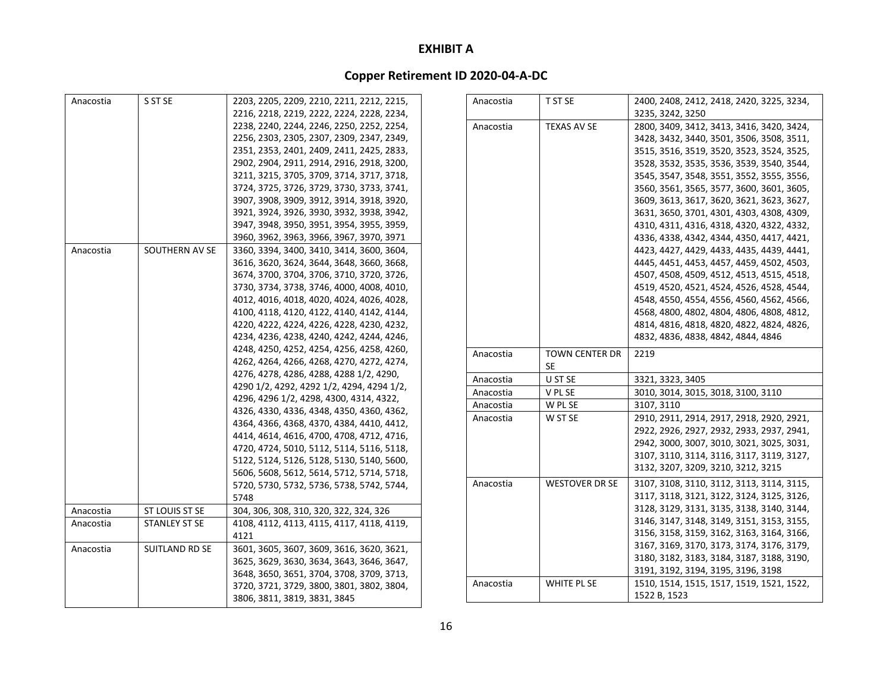| Anacostia | S ST SE              | 2203, 2205, 2209, 2210, 2211, 2212, 2215, | Anacostia | T ST SE               | 2400, 2408, 2412, 2418, 2420, 3225, 3234, |
|-----------|----------------------|-------------------------------------------|-----------|-----------------------|-------------------------------------------|
|           |                      | 2216, 2218, 2219, 2222, 2224, 2228, 2234, |           |                       | 3235, 3242, 3250                          |
|           |                      | 2238, 2240, 2244, 2246, 2250, 2252, 2254, | Anacostia | <b>TEXAS AV SE</b>    | 2800, 3409, 3412, 3413, 3416, 3420, 3424, |
|           |                      | 2256, 2303, 2305, 2307, 2309, 2347, 2349, |           |                       | 3428, 3432, 3440, 3501, 3506, 3508, 3511, |
|           |                      | 2351, 2353, 2401, 2409, 2411, 2425, 2833, |           |                       | 3515, 3516, 3519, 3520, 3523, 3524, 3525, |
|           |                      | 2902, 2904, 2911, 2914, 2916, 2918, 3200, |           |                       | 3528, 3532, 3535, 3536, 3539, 3540, 3544, |
|           |                      | 3211, 3215, 3705, 3709, 3714, 3717, 3718, |           |                       | 3545, 3547, 3548, 3551, 3552, 3555, 3556, |
|           |                      | 3724, 3725, 3726, 3729, 3730, 3733, 3741, |           |                       | 3560, 3561, 3565, 3577, 3600, 3601, 3605, |
|           |                      | 3907, 3908, 3909, 3912, 3914, 3918, 3920, |           |                       | 3609, 3613, 3617, 3620, 3621, 3623, 3627, |
|           |                      | 3921, 3924, 3926, 3930, 3932, 3938, 3942, |           |                       | 3631, 3650, 3701, 4301, 4303, 4308, 4309, |
|           |                      | 3947, 3948, 3950, 3951, 3954, 3955, 3959, |           |                       | 4310, 4311, 4316, 4318, 4320, 4322, 4332, |
|           |                      | 3960, 3962, 3963, 3966, 3967, 3970, 3971  |           |                       | 4336, 4338, 4342, 4344, 4350, 4417, 4421, |
| Anacostia | SOUTHERN AV SE       | 3360, 3394, 3400, 3410, 3414, 3600, 3604, |           |                       | 4423, 4427, 4429, 4433, 4435, 4439, 4441, |
|           |                      | 3616, 3620, 3624, 3644, 3648, 3660, 3668, |           |                       | 4445, 4451, 4453, 4457, 4459, 4502, 4503, |
|           |                      | 3674, 3700, 3704, 3706, 3710, 3720, 3726, |           |                       | 4507, 4508, 4509, 4512, 4513, 4515, 4518, |
|           |                      | 3730, 3734, 3738, 3746, 4000, 4008, 4010, |           |                       | 4519, 4520, 4521, 4524, 4526, 4528, 4544, |
|           |                      | 4012, 4016, 4018, 4020, 4024, 4026, 4028, |           |                       | 4548, 4550, 4554, 4556, 4560, 4562, 4566, |
|           |                      | 4100, 4118, 4120, 4122, 4140, 4142, 4144, |           |                       | 4568, 4800, 4802, 4804, 4806, 4808, 4812, |
|           |                      | 4220, 4222, 4224, 4226, 4228, 4230, 4232, |           |                       | 4814, 4816, 4818, 4820, 4822, 4824, 4826, |
|           |                      | 4234, 4236, 4238, 4240, 4242, 4244, 4246, |           |                       | 4832, 4836, 4838, 4842, 4844, 4846        |
|           |                      | 4248, 4250, 4252, 4254, 4256, 4258, 4260, | Anacostia | <b>TOWN CENTER DR</b> | 2219                                      |
|           |                      | 4262, 4264, 4266, 4268, 4270, 4272, 4274, |           | <b>SE</b>             |                                           |
|           |                      | 4276, 4278, 4286, 4288, 4288 1/2, 4290,   | Anacostia | U ST SE               | 3321, 3323, 3405                          |
|           |                      | 4290 1/2, 4292, 4292 1/2, 4294, 4294 1/2, | Anacostia | V PL SE               | 3010, 3014, 3015, 3018, 3100, 3110        |
|           |                      | 4296, 4296 1/2, 4298, 4300, 4314, 4322,   | Anacostia | W PL SE               | 3107, 3110                                |
|           |                      | 4326, 4330, 4336, 4348, 4350, 4360, 4362, |           |                       |                                           |
|           |                      | 4364, 4366, 4368, 4370, 4384, 4410, 4412, | Anacostia | W ST SE               | 2910, 2911, 2914, 2917, 2918, 2920, 2921, |
|           |                      | 4414, 4614, 4616, 4700, 4708, 4712, 4716, |           |                       | 2922, 2926, 2927, 2932, 2933, 2937, 2941, |
|           |                      | 4720, 4724, 5010, 5112, 5114, 5116, 5118, |           |                       | 2942, 3000, 3007, 3010, 3021, 3025, 3031, |
|           |                      | 5122, 5124, 5126, 5128, 5130, 5140, 5600, |           |                       | 3107, 3110, 3114, 3116, 3117, 3119, 3127, |
|           |                      | 5606, 5608, 5612, 5614, 5712, 5714, 5718, |           |                       | 3132, 3207, 3209, 3210, 3212, 3215        |
|           |                      | 5720, 5730, 5732, 5736, 5738, 5742, 5744, | Anacostia | <b>WESTOVER DR SE</b> | 3107, 3108, 3110, 3112, 3113, 3114, 3115, |
|           |                      | 5748                                      |           |                       | 3117, 3118, 3121, 3122, 3124, 3125, 3126, |
| Anacostia | ST LOUIS ST SE       | 304, 306, 308, 310, 320, 322, 324, 326    |           |                       | 3128, 3129, 3131, 3135, 3138, 3140, 3144, |
| Anacostia | <b>STANLEY ST SE</b> | 4108, 4112, 4113, 4115, 4117, 4118, 4119, |           |                       | 3146, 3147, 3148, 3149, 3151, 3153, 3155, |
|           |                      | 4121                                      |           |                       | 3156, 3158, 3159, 3162, 3163, 3164, 3166, |
| Anacostia | SUITLAND RD SE       | 3601, 3605, 3607, 3609, 3616, 3620, 3621, |           |                       | 3167, 3169, 3170, 3173, 3174, 3176, 3179, |
|           |                      | 3625, 3629, 3630, 3634, 3643, 3646, 3647, |           |                       | 3180, 3182, 3183, 3184, 3187, 3188, 3190, |
|           |                      | 3648, 3650, 3651, 3704, 3708, 3709, 3713, |           |                       | 3191, 3192, 3194, 3195, 3196, 3198        |
|           |                      | 3720, 3721, 3729, 3800, 3801, 3802, 3804, | Anacostia | WHITE PL SE           | 1510, 1514, 1515, 1517, 1519, 1521, 1522, |
|           |                      | 3806, 3811, 3819, 3831, 3845              |           |                       | 1522 B, 1523                              |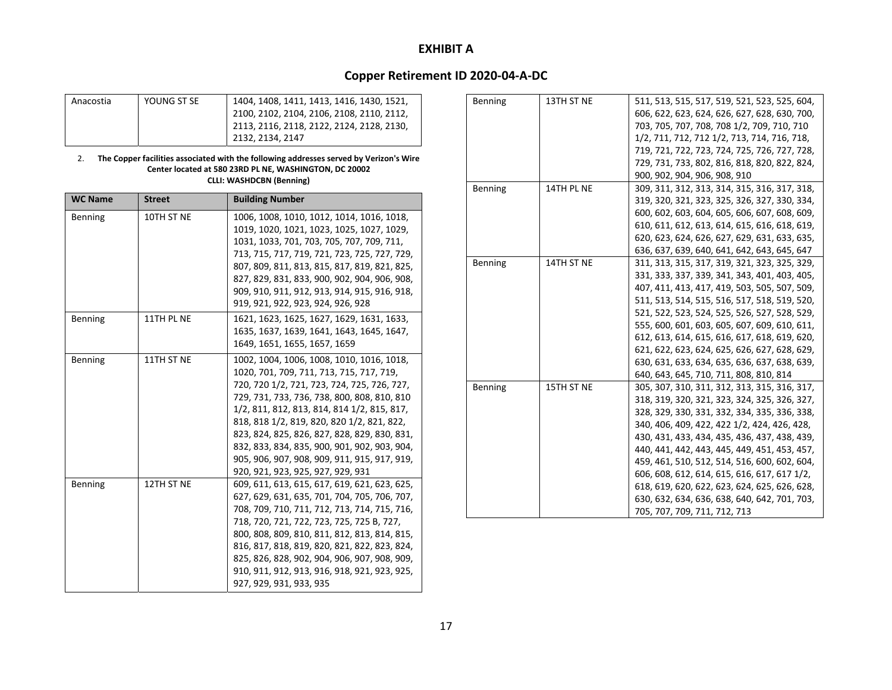# **Copper Retirement ID 2020‐04‐A‐DC**

| Anacostia | YOUNG ST SE | 1404, 1408, 1411, 1413, 1416, 1430, 1521, |
|-----------|-------------|-------------------------------------------|
|           |             | 2100, 2102, 2104, 2106, 2108, 2110, 2112, |
|           |             | 2113, 2116, 2118, 2122, 2124, 2128, 2130, |
|           |             | 2132, 2134, 2147                          |

#### 2. **The Copper facilities associated with the following addresses served by Verizon's Wire Center located at 580 23RD PL NE, WASHINGTON, DC 20002 CLLI: WASHDCBN (Benning)**

| <b>WC Name</b> | <b>Street</b> | <b>Building Number</b>                                                                                                                                                                                                                                                                                                                                                                                                                                                |
|----------------|---------------|-----------------------------------------------------------------------------------------------------------------------------------------------------------------------------------------------------------------------------------------------------------------------------------------------------------------------------------------------------------------------------------------------------------------------------------------------------------------------|
| <b>Benning</b> | 10TH ST NE    | 1006, 1008, 1010, 1012, 1014, 1016, 1018,<br>1019, 1020, 1021, 1023, 1025, 1027, 1029,<br>1031, 1033, 701, 703, 705, 707, 709, 711,<br>713, 715, 717, 719, 721, 723, 725, 727, 729,<br>807, 809, 811, 813, 815, 817, 819, 821, 825,<br>827, 829, 831, 833, 900, 902, 904, 906, 908,<br>909, 910, 911, 912, 913, 914, 915, 916, 918,<br>919, 921, 922, 923, 924, 926, 928                                                                                              |
| Benning        | 11TH PL NE    | 1621, 1623, 1625, 1627, 1629, 1631, 1633,<br>1635, 1637, 1639, 1641, 1643, 1645, 1647,<br>1649, 1651, 1655, 1657, 1659                                                                                                                                                                                                                                                                                                                                                |
| Benning        | 11TH ST NE    | 1002, 1004, 1006, 1008, 1010, 1016, 1018,<br>1020, 701, 709, 711, 713, 715, 717, 719,<br>720, 720 1/2, 721, 723, 724, 725, 726, 727,<br>729, 731, 733, 736, 738, 800, 808, 810, 810<br>1/2, 811, 812, 813, 814, 814 1/2, 815, 817,<br>818, 818 1/2, 819, 820, 820 1/2, 821, 822,<br>823, 824, 825, 826, 827, 828, 829, 830, 831,<br>832, 833, 834, 835, 900, 901, 902, 903, 904,<br>905, 906, 907, 908, 909, 911, 915, 917, 919,<br>920, 921, 923, 925, 927, 929, 931 |
| Benning        | 12TH ST NE    | 609, 611, 613, 615, 617, 619, 621, 623, 625,<br>627, 629, 631, 635, 701, 704, 705, 706, 707,<br>708, 709, 710, 711, 712, 713, 714, 715, 716,<br>718, 720, 721, 722, 723, 725, 725 B, 727,<br>800, 808, 809, 810, 811, 812, 813, 814, 815,<br>816, 817, 818, 819, 820, 821, 822, 823, 824,<br>825, 826, 828, 902, 904, 906, 907, 908, 909,<br>910, 911, 912, 913, 916, 918, 921, 923, 925,<br>927, 929, 931, 933, 935                                                  |

| Benning | 13TH ST NE | 511, 513, 515, 517, 519, 521, 523, 525, 604, |
|---------|------------|----------------------------------------------|
|         |            | 606, 622, 623, 624, 626, 627, 628, 630, 700, |
|         |            | 703, 705, 707, 708, 708 1/2, 709, 710, 710   |
|         |            | 1/2, 711, 712, 712 1/2, 713, 714, 716, 718,  |
|         |            | 719, 721, 722, 723, 724, 725, 726, 727, 728, |
|         |            | 729, 731, 733, 802, 816, 818, 820, 822, 824, |
|         |            | 900, 902, 904, 906, 908, 910                 |
| Benning | 14TH PL NE | 309, 311, 312, 313, 314, 315, 316, 317, 318, |
|         |            | 319, 320, 321, 323, 325, 326, 327, 330, 334, |
|         |            | 600, 602, 603, 604, 605, 606, 607, 608, 609, |
|         |            | 610, 611, 612, 613, 614, 615, 616, 618, 619, |
|         |            | 620, 623, 624, 626, 627, 629, 631, 633, 635, |
|         |            | 636, 637, 639, 640, 641, 642, 643, 645, 647  |
| Benning | 14TH ST NE | 311, 313, 315, 317, 319, 321, 323, 325, 329, |
|         |            | 331, 333, 337, 339, 341, 343, 401, 403, 405, |
|         |            | 407, 411, 413, 417, 419, 503, 505, 507, 509, |
|         |            | 511, 513, 514, 515, 516, 517, 518, 519, 520, |
|         |            | 521, 522, 523, 524, 525, 526, 527, 528, 529, |
|         |            | 555, 600, 601, 603, 605, 607, 609, 610, 611, |
|         |            | 612, 613, 614, 615, 616, 617, 618, 619, 620, |
|         |            | 621, 622, 623, 624, 625, 626, 627, 628, 629, |
|         |            | 630, 631, 633, 634, 635, 636, 637, 638, 639, |
|         |            | 640, 643, 645, 710, 711, 808, 810, 814       |
| Benning | 15TH ST NE | 305, 307, 310, 311, 312, 313, 315, 316, 317, |
|         |            | 318, 319, 320, 321, 323, 324, 325, 326, 327, |
|         |            | 328, 329, 330, 331, 332, 334, 335, 336, 338, |
|         |            | 340, 406, 409, 422, 422 1/2, 424, 426, 428,  |
|         |            | 430, 431, 433, 434, 435, 436, 437, 438, 439, |
|         |            | 440, 441, 442, 443, 445, 449, 451, 453, 457, |
|         |            | 459, 461, 510, 512, 514, 516, 600, 602, 604, |
|         |            | 606, 608, 612, 614, 615, 616, 617, 617 1/2,  |
|         |            | 618, 619, 620, 622, 623, 624, 625, 626, 628, |
|         |            | 630, 632, 634, 636, 638, 640, 642, 701, 703, |
|         |            | 705, 707, 709, 711, 712, 713                 |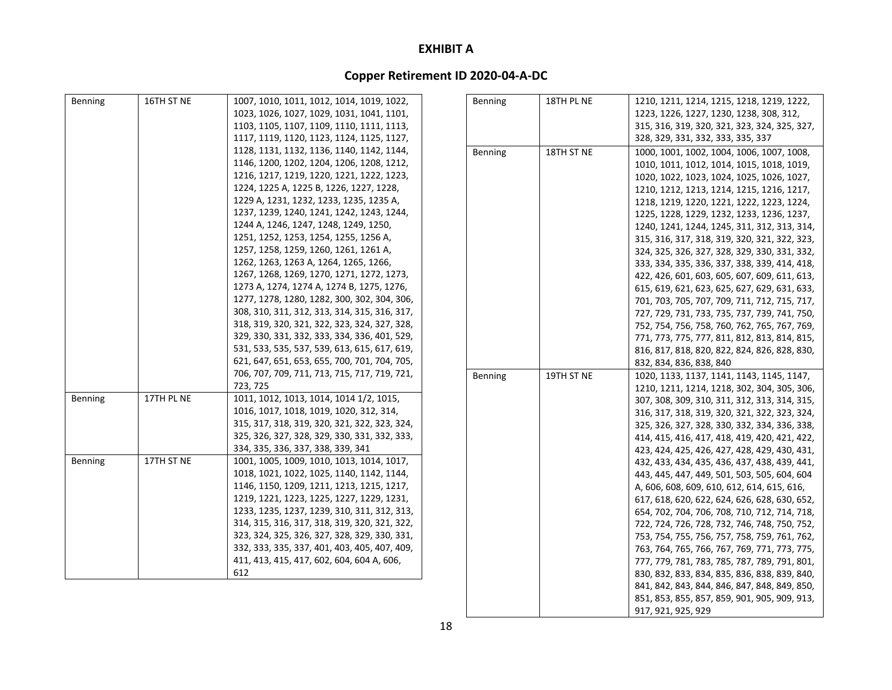# **Copper Retirement ID 2020‐04‐A‐DC**

| Benning | 16TH ST NE | 1007, 1010, 1011, 1012, 1014, 1019, 1022,    | Benning | 18TH PL NE | 1210, 1211, 1214, 1215, 1218, 1219, 1222,    |
|---------|------------|----------------------------------------------|---------|------------|----------------------------------------------|
|         |            | 1023, 1026, 1027, 1029, 1031, 1041, 1101,    |         |            | 1223, 1226, 1227, 1230, 1238, 308, 312,      |
|         |            | 1103, 1105, 1107, 1109, 1110, 1111, 1113,    |         |            | 315, 316, 319, 320, 321, 323, 324, 325, 327, |
|         |            | 1117, 1119, 1120, 1123, 1124, 1125, 1127,    |         |            | 328, 329, 331, 332, 333, 335, 337            |
|         |            | 1128, 1131, 1132, 1136, 1140, 1142, 1144,    | Benning | 18TH ST NE | 1000, 1001, 1002, 1004, 1006, 1007, 1008,    |
|         |            | 1146, 1200, 1202, 1204, 1206, 1208, 1212,    |         |            | 1010, 1011, 1012, 1014, 1015, 1018, 1019,    |
|         |            | 1216, 1217, 1219, 1220, 1221, 1222, 1223,    |         |            | 1020, 1022, 1023, 1024, 1025, 1026, 1027,    |
|         |            | 1224, 1225 A, 1225 B, 1226, 1227, 1228,      |         |            | 1210, 1212, 1213, 1214, 1215, 1216, 1217,    |
|         |            | 1229 A, 1231, 1232, 1233, 1235, 1235 A,      |         |            | 1218, 1219, 1220, 1221, 1222, 1223, 1224,    |
|         |            | 1237, 1239, 1240, 1241, 1242, 1243, 1244,    |         |            | 1225, 1228, 1229, 1232, 1233, 1236, 1237,    |
|         |            | 1244 A, 1246, 1247, 1248, 1249, 1250,        |         |            | 1240, 1241, 1244, 1245, 311, 312, 313, 314,  |
|         |            | 1251, 1252, 1253, 1254, 1255, 1256 A,        |         |            | 315, 316, 317, 318, 319, 320, 321, 322, 323, |
|         |            | 1257, 1258, 1259, 1260, 1261, 1261 A,        |         |            | 324, 325, 326, 327, 328, 329, 330, 331, 332, |
|         |            | 1262, 1263, 1263 A, 1264, 1265, 1266,        |         |            | 333, 334, 335, 336, 337, 338, 339, 414, 418, |
|         |            | 1267, 1268, 1269, 1270, 1271, 1272, 1273,    |         |            | 422, 426, 601, 603, 605, 607, 609, 611, 613, |
|         |            | 1273 A, 1274, 1274 A, 1274 B, 1275, 1276,    |         |            | 615, 619, 621, 623, 625, 627, 629, 631, 633, |
|         |            | 1277, 1278, 1280, 1282, 300, 302, 304, 306,  |         |            | 701, 703, 705, 707, 709, 711, 712, 715, 717, |
|         |            | 308, 310, 311, 312, 313, 314, 315, 316, 317, |         |            | 727, 729, 731, 733, 735, 737, 739, 741, 750, |
|         |            | 318, 319, 320, 321, 322, 323, 324, 327, 328, |         |            | 752, 754, 756, 758, 760, 762, 765, 767, 769, |
|         |            | 329, 330, 331, 332, 333, 334, 336, 401, 529, |         |            | 771, 773, 775, 777, 811, 812, 813, 814, 815, |
|         |            | 531, 533, 535, 537, 539, 613, 615, 617, 619, |         |            | 816, 817, 818, 820, 822, 824, 826, 828, 830, |
|         |            | 621, 647, 651, 653, 655, 700, 701, 704, 705, |         |            | 832, 834, 836, 838, 840                      |
|         |            | 706, 707, 709, 711, 713, 715, 717, 719, 721, | Benning | 19TH ST NE | 1020, 1133, 1137, 1141, 1143, 1145, 1147,    |
|         |            | 723, 725                                     |         |            | 1210, 1211, 1214, 1218, 302, 304, 305, 306,  |
| Benning | 17TH PL NE | 1011, 1012, 1013, 1014, 1014 1/2, 1015,      |         |            | 307, 308, 309, 310, 311, 312, 313, 314, 315, |
|         |            | 1016, 1017, 1018, 1019, 1020, 312, 314,      |         |            | 316, 317, 318, 319, 320, 321, 322, 323, 324, |
|         |            | 315, 317, 318, 319, 320, 321, 322, 323, 324, |         |            | 325, 326, 327, 328, 330, 332, 334, 336, 338, |
|         |            | 325, 326, 327, 328, 329, 330, 331, 332, 333, |         |            | 414, 415, 416, 417, 418, 419, 420, 421, 422, |
|         |            | 334, 335, 336, 337, 338, 339, 341            |         |            | 423, 424, 425, 426, 427, 428, 429, 430, 431, |
| Benning | 17TH ST NE | 1001, 1005, 1009, 1010, 1013, 1014, 1017,    |         |            | 432, 433, 434, 435, 436, 437, 438, 439, 441, |
|         |            | 1018, 1021, 1022, 1025, 1140, 1142, 1144,    |         |            | 443, 445, 447, 449, 501, 503, 505, 604, 604  |
|         |            | 1146, 1150, 1209, 1211, 1213, 1215, 1217,    |         |            | A, 606, 608, 609, 610, 612, 614, 615, 616,   |
|         |            | 1219, 1221, 1223, 1225, 1227, 1229, 1231,    |         |            | 617, 618, 620, 622, 624, 626, 628, 630, 652, |
|         |            | 1233, 1235, 1237, 1239, 310, 311, 312, 313,  |         |            | 654, 702, 704, 706, 708, 710, 712, 714, 718, |
|         |            | 314, 315, 316, 317, 318, 319, 320, 321, 322, |         |            | 722, 724, 726, 728, 732, 746, 748, 750, 752, |
|         |            | 323, 324, 325, 326, 327, 328, 329, 330, 331, |         |            | 753, 754, 755, 756, 757, 758, 759, 761, 762, |
|         |            | 332, 333, 335, 337, 401, 403, 405, 407, 409, |         |            | 763, 764, 765, 766, 767, 769, 771, 773, 775, |
|         |            | 411, 413, 415, 417, 602, 604, 604 A, 606,    |         |            | 777, 779, 781, 783, 785, 787, 789, 791, 801, |
|         |            | 612                                          |         |            | 830, 832, 833, 834, 835, 836, 838, 839, 840, |
|         |            |                                              |         |            | 841, 842, 843, 844, 846, 847, 848, 849, 850, |
|         |            |                                              |         |            | 851, 853, 855, 857, 859, 901, 905, 909, 913, |

917, 921, 925, 929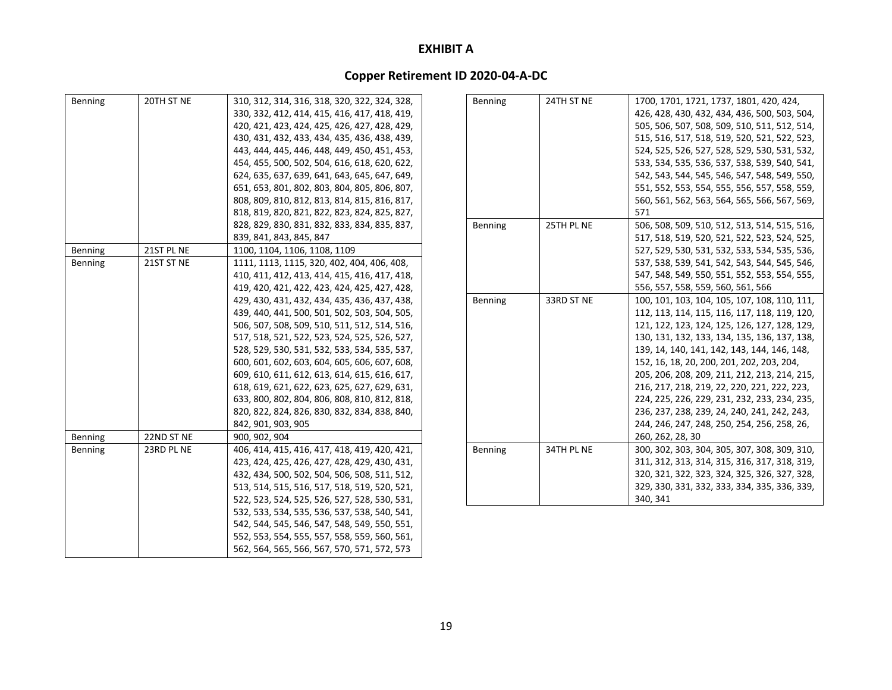| Benning                          | 20TH ST NE               | 310, 312, 314, 316, 318, 320, 322, 324, 328,<br>330, 332, 412, 414, 415, 416, 417, 418, 419,<br>420, 421, 423, 424, 425, 426, 427, 428, 429,<br>430, 431, 432, 433, 434, 435, 436, 438, 439,<br>443, 444, 445, 446, 448, 449, 450, 451, 453,<br>454, 455, 500, 502, 504, 616, 618, 620, 622,<br>624, 635, 637, 639, 641, 643, 645, 647, 649,<br>651, 653, 801, 802, 803, 804, 805, 806, 807,<br>808, 809, 810, 812, 813, 814, 815, 816, 817,<br>818, 819, 820, 821, 822, 823, 824, 825, 827,                                                                                                                                                                     |
|----------------------------------|--------------------------|------------------------------------------------------------------------------------------------------------------------------------------------------------------------------------------------------------------------------------------------------------------------------------------------------------------------------------------------------------------------------------------------------------------------------------------------------------------------------------------------------------------------------------------------------------------------------------------------------------------------------------------------------------------|
|                                  |                          | 828, 829, 830, 831, 832, 833, 834, 835, 837,<br>839, 841, 843, 845, 847                                                                                                                                                                                                                                                                                                                                                                                                                                                                                                                                                                                          |
| Benning                          | 21ST PL NE               | 1100, 1104, 1106, 1108, 1109                                                                                                                                                                                                                                                                                                                                                                                                                                                                                                                                                                                                                                     |
| <b>Benning</b>                   | 21ST ST NE               | 1111, 1113, 1115, 320, 402, 404, 406, 408,<br>410, 411, 412, 413, 414, 415, 416, 417, 418,<br>419, 420, 421, 422, 423, 424, 425, 427, 428,<br>429, 430, 431, 432, 434, 435, 436, 437, 438,<br>439, 440, 441, 500, 501, 502, 503, 504, 505,<br>506, 507, 508, 509, 510, 511, 512, 514, 516,<br>517, 518, 521, 522, 523, 524, 525, 526, 527,<br>528, 529, 530, 531, 532, 533, 534, 535, 537,<br>600, 601, 602, 603, 604, 605, 606, 607, 608,<br>609, 610, 611, 612, 613, 614, 615, 616, 617,<br>618, 619, 621, 622, 623, 625, 627, 629, 631,<br>633, 800, 802, 804, 806, 808, 810, 812, 818,<br>820, 822, 824, 826, 830, 832, 834, 838, 840,<br>842, 901, 903, 905 |
| <b>Benning</b><br><b>Benning</b> | 22ND ST NE<br>23RD PL NE | 900, 902, 904<br>406, 414, 415, 416, 417, 418, 419, 420, 421,<br>423, 424, 425, 426, 427, 428, 429, 430, 431,<br>432, 434, 500, 502, 504, 506, 508, 511, 512,<br>513, 514, 515, 516, 517, 518, 519, 520, 521,<br>522, 523, 524, 525, 526, 527, 528, 530, 531,<br>532, 533, 534, 535, 536, 537, 538, 540, 541,<br>542, 544, 545, 546, 547, 548, 549, 550, 551,<br>552, 553, 554, 555, 557, 558, 559, 560, 561,<br>562, 564, 565, 566, 567, 570, 571, 572, 573                                                                                                                                                                                                     |

| Benning | 24TH ST NE | 1700, 1701, 1721, 1737, 1801, 420, 424,      |
|---------|------------|----------------------------------------------|
|         |            | 426, 428, 430, 432, 434, 436, 500, 503, 504, |
|         |            | 505, 506, 507, 508, 509, 510, 511, 512, 514, |
|         |            | 515, 516, 517, 518, 519, 520, 521, 522, 523, |
|         |            | 524, 525, 526, 527, 528, 529, 530, 531, 532, |
|         |            | 533, 534, 535, 536, 537, 538, 539, 540, 541, |
|         |            | 542, 543, 544, 545, 546, 547, 548, 549, 550, |
|         |            | 551, 552, 553, 554, 555, 556, 557, 558, 559, |
|         |            | 560, 561, 562, 563, 564, 565, 566, 567, 569, |
|         |            | 571                                          |
| Benning | 25TH PL NE | 506, 508, 509, 510, 512, 513, 514, 515, 516, |
|         |            | 517, 518, 519, 520, 521, 522, 523, 524, 525, |
|         |            | 527, 529, 530, 531, 532, 533, 534, 535, 536, |
|         |            | 537, 538, 539, 541, 542, 543, 544, 545, 546, |
|         |            | 547, 548, 549, 550, 551, 552, 553, 554, 555, |
|         |            | 556, 557, 558, 559, 560, 561, 566            |
| Benning | 33RD ST NE | 100, 101, 103, 104, 105, 107, 108, 110, 111, |
|         |            | 112, 113, 114, 115, 116, 117, 118, 119, 120, |
|         |            | 121, 122, 123, 124, 125, 126, 127, 128, 129, |
|         |            | 130, 131, 132, 133, 134, 135, 136, 137, 138, |
|         |            | 139, 14, 140, 141, 142, 143, 144, 146, 148,  |
|         |            | 152, 16, 18, 20, 200, 201, 202, 203, 204,    |
|         |            | 205, 206, 208, 209, 211, 212, 213, 214, 215, |
|         |            | 216, 217, 218, 219, 22, 220, 221, 222, 223,  |
|         |            | 224, 225, 226, 229, 231, 232, 233, 234, 235, |
|         |            | 236, 237, 238, 239, 24, 240, 241, 242, 243,  |
|         |            | 244, 246, 247, 248, 250, 254, 256, 258, 26,  |
|         |            | 260, 262, 28, 30                             |
| Benning | 34TH PL NE | 300, 302, 303, 304, 305, 307, 308, 309, 310, |
|         |            | 311, 312, 313, 314, 315, 316, 317, 318, 319, |
|         |            | 320, 321, 322, 323, 324, 325, 326, 327, 328, |
|         |            | 329, 330, 331, 332, 333, 334, 335, 336, 339, |
|         |            | 340.341                                      |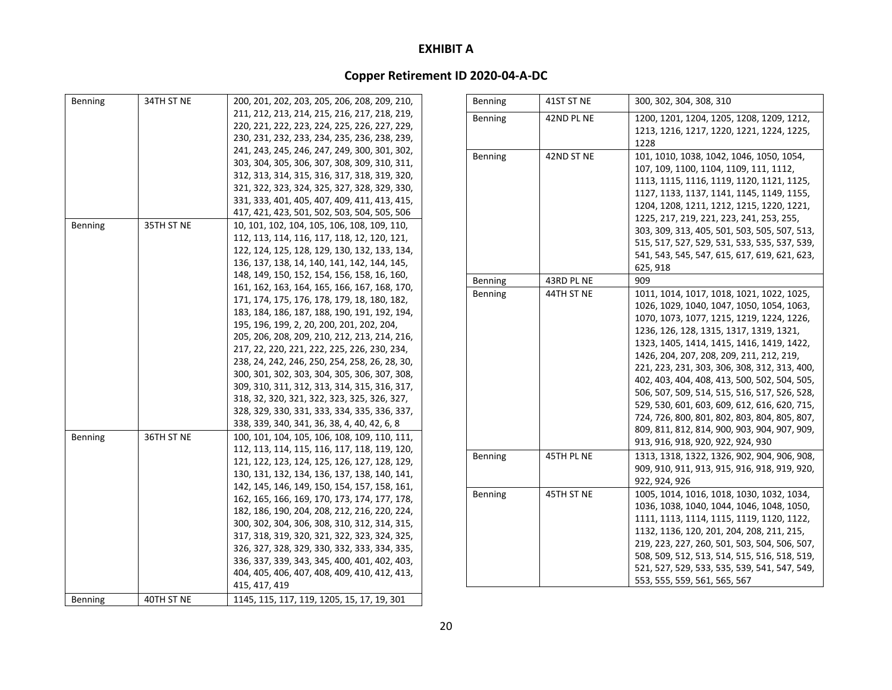| Benning | 34TH ST NE | 200, 201, 202, 203, 205, 206, 208, 209, 210,  | Benning | 41ST ST NE | 300, 302, 304, 308, 310                      |
|---------|------------|-----------------------------------------------|---------|------------|----------------------------------------------|
|         |            | 211, 212, 213, 214, 215, 216, 217, 218, 219,  | Benning | 42ND PL NE | 1200, 1201, 1204, 1205, 1208, 1209, 1212,    |
|         |            | 220, 221, 222, 223, 224, 225, 226, 227, 229,  |         |            | 1213, 1216, 1217, 1220, 1221, 1224, 1225,    |
|         |            | 230, 231, 232, 233, 234, 235, 236, 238, 239,  |         |            | 1228                                         |
|         |            | 241, 243, 245, 246, 247, 249, 300, 301, 302,  | Benning | 42ND ST NE | 101, 1010, 1038, 1042, 1046, 1050, 1054,     |
|         |            | 303, 304, 305, 306, 307, 308, 309, 310, 311,  |         |            | 107, 109, 1100, 1104, 1109, 111, 1112,       |
|         |            | 312, 313, 314, 315, 316, 317, 318, 319, 320,  |         |            | 1113, 1115, 1116, 1119, 1120, 1121, 1125,    |
|         |            | 321, 322, 323, 324, 325, 327, 328, 329, 330,  |         |            | 1127, 1133, 1137, 1141, 1145, 1149, 1155,    |
|         |            | 331, 333, 401, 405, 407, 409, 411, 413, 415,  |         |            | 1204, 1208, 1211, 1212, 1215, 1220, 1221,    |
|         |            | 417, 421, 423, 501, 502, 503, 504, 505, 506   |         |            | 1225, 217, 219, 221, 223, 241, 253, 255,     |
| Benning | 35TH ST NE | 10, 101, 102, 104, 105, 106, 108, 109, 110,   |         |            | 303, 309, 313, 405, 501, 503, 505, 507, 513, |
|         |            | 112, 113, 114, 116, 117, 118, 12, 120, 121,   |         |            | 515, 517, 527, 529, 531, 533, 535, 537, 539, |
|         |            | 122, 124, 125, 128, 129, 130, 132, 133, 134,  |         |            | 541, 543, 545, 547, 615, 617, 619, 621, 623, |
|         |            | 136, 137, 138, 14, 140, 141, 142, 144, 145,   |         |            | 625, 918                                     |
|         |            | 148, 149, 150, 152, 154, 156, 158, 16, 160,   | Benning | 43RD PL NE | 909                                          |
|         |            | 161, 162, 163, 164, 165, 166, 167, 168, 170,  | Benning | 44TH ST NE | 1011, 1014, 1017, 1018, 1021, 1022, 1025,    |
|         |            | 171, 174, 175, 176, 178, 179, 18, 180, 182,   |         |            | 1026, 1029, 1040, 1047, 1050, 1054, 1063,    |
|         |            | 183, 184, 186, 187, 188, 190, 191, 192, 194,  |         |            | 1070, 1073, 1077, 1215, 1219, 1224, 1226,    |
|         |            | 195, 196, 199, 2, 20, 200, 201, 202, 204,     |         |            | 1236, 126, 128, 1315, 1317, 1319, 1321,      |
|         |            | 205, 206, 208, 209, 210, 212, 213, 214, 216,  |         |            | 1323, 1405, 1414, 1415, 1416, 1419, 1422,    |
|         |            | 217, 22, 220, 221, 222, 225, 226, 230, 234,   |         |            | 1426, 204, 207, 208, 209, 211, 212, 219,     |
|         |            | 238, 24, 242, 246, 250, 254, 258, 26, 28, 30, |         |            | 221, 223, 231, 303, 306, 308, 312, 313, 400, |
|         |            | 300, 301, 302, 303, 304, 305, 306, 307, 308,  |         |            | 402, 403, 404, 408, 413, 500, 502, 504, 505, |
|         |            | 309, 310, 311, 312, 313, 314, 315, 316, 317,  |         |            | 506, 507, 509, 514, 515, 516, 517, 526, 528, |
|         |            | 318, 32, 320, 321, 322, 323, 325, 326, 327,   |         |            | 529, 530, 601, 603, 609, 612, 616, 620, 715, |
|         |            | 328, 329, 330, 331, 333, 334, 335, 336, 337,  |         |            | 724, 726, 800, 801, 802, 803, 804, 805, 807, |
|         |            | 338, 339, 340, 341, 36, 38, 4, 40, 42, 6, 8   |         |            | 809, 811, 812, 814, 900, 903, 904, 907, 909, |
| Benning | 36TH ST NE | 100, 101, 104, 105, 106, 108, 109, 110, 111,  |         |            | 913, 916, 918, 920, 922, 924, 930            |
|         |            | 112, 113, 114, 115, 116, 117, 118, 119, 120,  | Benning | 45TH PL NE | 1313, 1318, 1322, 1326, 902, 904, 906, 908,  |
|         |            | 121, 122, 123, 124, 125, 126, 127, 128, 129,  |         |            | 909, 910, 911, 913, 915, 916, 918, 919, 920, |
|         |            | 130, 131, 132, 134, 136, 137, 138, 140, 141,  |         |            | 922, 924, 926                                |
|         |            | 142, 145, 146, 149, 150, 154, 157, 158, 161,  | Benning | 45TH ST NE | 1005, 1014, 1016, 1018, 1030, 1032, 1034,    |
|         |            | 162, 165, 166, 169, 170, 173, 174, 177, 178,  |         |            | 1036, 1038, 1040, 1044, 1046, 1048, 1050,    |
|         |            | 182, 186, 190, 204, 208, 212, 216, 220, 224,  |         |            | 1111, 1113, 1114, 1115, 1119, 1120, 1122,    |
|         |            | 300, 302, 304, 306, 308, 310, 312, 314, 315,  |         |            | 1132, 1136, 120, 201, 204, 208, 211, 215,    |
|         |            | 317, 318, 319, 320, 321, 322, 323, 324, 325,  |         |            | 219, 223, 227, 260, 501, 503, 504, 506, 507, |
|         |            | 326, 327, 328, 329, 330, 332, 333, 334, 335,  |         |            | 508, 509, 512, 513, 514, 515, 516, 518, 519, |
|         |            | 336, 337, 339, 343, 345, 400, 401, 402, 403,  |         |            | 521, 527, 529, 533, 535, 539, 541, 547, 549, |
|         |            | 404, 405, 406, 407, 408, 409, 410, 412, 413,  |         |            | 553, 555, 559, 561, 565, 567                 |
|         |            | 415, 417, 419                                 |         |            |                                              |
| Benning | 40TH ST NE | 1145, 115, 117, 119, 1205, 15, 17, 19, 301    |         |            |                                              |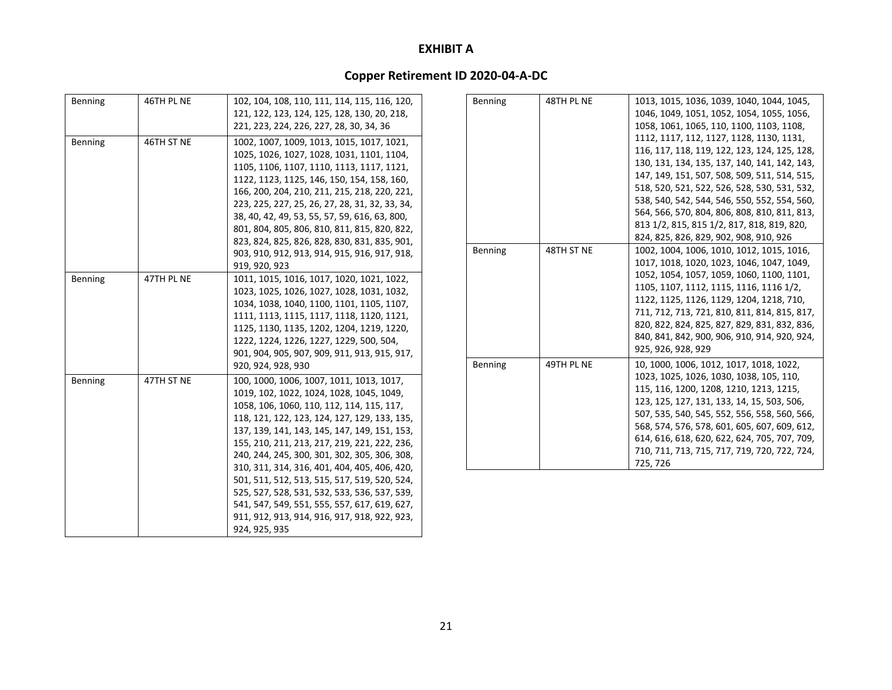| Benning | 46TH PL NE                                                                                                                                                                                                                                                                                                                                                                                                                                         | 102, 104, 108, 110, 111, 114, 115, 116, 120,<br>121, 122, 123, 124, 125, 128, 130, 20, 218,<br>221, 223, 224, 226, 227, 28, 30, 34, 36                                                                                                                                                                                                                                                                  | Benning | 48TH PL NE                                                                                                                                                                                                                                                                                                                                                                                                                       | 1013, 1015, 1036, 1039, 1040, 1044, 1045,<br>1046, 1049, 1051, 1052, 1054, 1055, 1056,<br>1058, 1061, 1065, 110, 1100, 1103, 1108,                                                                                                                                                                                                                                                      |
|---------|----------------------------------------------------------------------------------------------------------------------------------------------------------------------------------------------------------------------------------------------------------------------------------------------------------------------------------------------------------------------------------------------------------------------------------------------------|---------------------------------------------------------------------------------------------------------------------------------------------------------------------------------------------------------------------------------------------------------------------------------------------------------------------------------------------------------------------------------------------------------|---------|----------------------------------------------------------------------------------------------------------------------------------------------------------------------------------------------------------------------------------------------------------------------------------------------------------------------------------------------------------------------------------------------------------------------------------|-----------------------------------------------------------------------------------------------------------------------------------------------------------------------------------------------------------------------------------------------------------------------------------------------------------------------------------------------------------------------------------------|
| Benning | 46TH ST NE<br>1002, 1007, 1009, 1013, 1015, 1017, 1021,<br>1025, 1026, 1027, 1028, 1031, 1101, 1104,<br>1105, 1106, 1107, 1110, 1113, 1117, 1121,<br>1122, 1123, 1125, 146, 150, 154, 158, 160,<br>166, 200, 204, 210, 211, 215, 218, 220, 221,<br>223, 225, 227, 25, 26, 27, 28, 31, 32, 33, 34,<br>38, 40, 42, 49, 53, 55, 57, 59, 616, 63, 800,<br>801, 804, 805, 806, 810, 811, 815, 820, 822,<br>823, 824, 825, 826, 828, 830, 831, 835, 901, |                                                                                                                                                                                                                                                                                                                                                                                                         |         | 1112, 1117, 112, 1127, 1128, 1130, 1131,<br>116, 117, 118, 119, 122, 123, 124, 125, 128,<br>130, 131, 134, 135, 137, 140, 141, 142, 143,<br>147, 149, 151, 507, 508, 509, 511, 514, 515,<br>518, 520, 521, 522, 526, 528, 530, 531, 532,<br>538, 540, 542, 544, 546, 550, 552, 554, 560,<br>564, 566, 570, 804, 806, 808, 810, 811, 813,<br>813 1/2, 815, 815 1/2, 817, 818, 819, 820,<br>824, 825, 826, 829, 902, 908, 910, 926 |                                                                                                                                                                                                                                                                                                                                                                                         |
|         |                                                                                                                                                                                                                                                                                                                                                                                                                                                    | 903, 910, 912, 913, 914, 915, 916, 917, 918,<br>919, 920, 923                                                                                                                                                                                                                                                                                                                                           | Benning | 48TH ST NE                                                                                                                                                                                                                                                                                                                                                                                                                       | 1002, 1004, 1006, 1010, 1012, 1015, 1016,<br>1017, 1018, 1020, 1023, 1046, 1047, 1049,                                                                                                                                                                                                                                                                                                  |
| Benning | 47TH PL NE                                                                                                                                                                                                                                                                                                                                                                                                                                         | 1011, 1015, 1016, 1017, 1020, 1021, 1022,<br>1023, 1025, 1026, 1027, 1028, 1031, 1032,<br>1034, 1038, 1040, 1100, 1101, 1105, 1107,<br>1111, 1113, 1115, 1117, 1118, 1120, 1121,<br>1125, 1130, 1135, 1202, 1204, 1219, 1220,<br>1222, 1224, 1226, 1227, 1229, 500, 504,<br>901, 904, 905, 907, 909, 911, 913, 915, 917,                                                                                |         |                                                                                                                                                                                                                                                                                                                                                                                                                                  | 1052, 1054, 1057, 1059, 1060, 1100, 1101,<br>1105, 1107, 1112, 1115, 1116, 1116 1/2,<br>1122, 1125, 1126, 1129, 1204, 1218, 710,<br>711, 712, 713, 721, 810, 811, 814, 815, 817,<br>820, 822, 824, 825, 827, 829, 831, 832, 836,<br>840, 841, 842, 900, 906, 910, 914, 920, 924,<br>925, 926, 928, 929                                                                                  |
| Benning | 47TH ST NE                                                                                                                                                                                                                                                                                                                                                                                                                                         | 920, 924, 928, 930<br>100, 1000, 1006, 1007, 1011, 1013, 1017,<br>1019, 102, 1022, 1024, 1028, 1045, 1049,<br>1058, 106, 1060, 110, 112, 114, 115, 117,<br>118, 121, 122, 123, 124, 127, 129, 133, 135,<br>137, 139, 141, 143, 145, 147, 149, 151, 153,<br>155, 210, 211, 213, 217, 219, 221, 222, 236,<br>240, 244, 245, 300, 301, 302, 305, 306, 308,<br>310, 311, 314, 316, 401, 404, 405, 406, 420, | Benning | 49TH PL NE                                                                                                                                                                                                                                                                                                                                                                                                                       | 10, 1000, 1006, 1012, 1017, 1018, 1022,<br>1023, 1025, 1026, 1030, 1038, 105, 110,<br>115, 116, 1200, 1208, 1210, 1213, 1215,<br>123, 125, 127, 131, 133, 14, 15, 503, 506,<br>507, 535, 540, 545, 552, 556, 558, 560, 566,<br>568, 574, 576, 578, 601, 605, 607, 609, 612,<br>614, 616, 618, 620, 622, 624, 705, 707, 709,<br>710, 711, 713, 715, 717, 719, 720, 722, 724,<br>725, 726 |
|         |                                                                                                                                                                                                                                                                                                                                                                                                                                                    | 501, 511, 512, 513, 515, 517, 519, 520, 524,<br>525, 527, 528, 531, 532, 533, 536, 537, 539,<br>541, 547, 549, 551, 555, 557, 617, 619, 627,<br>911, 912, 913, 914, 916, 917, 918, 922, 923,<br>924, 925, 935                                                                                                                                                                                           |         |                                                                                                                                                                                                                                                                                                                                                                                                                                  |                                                                                                                                                                                                                                                                                                                                                                                         |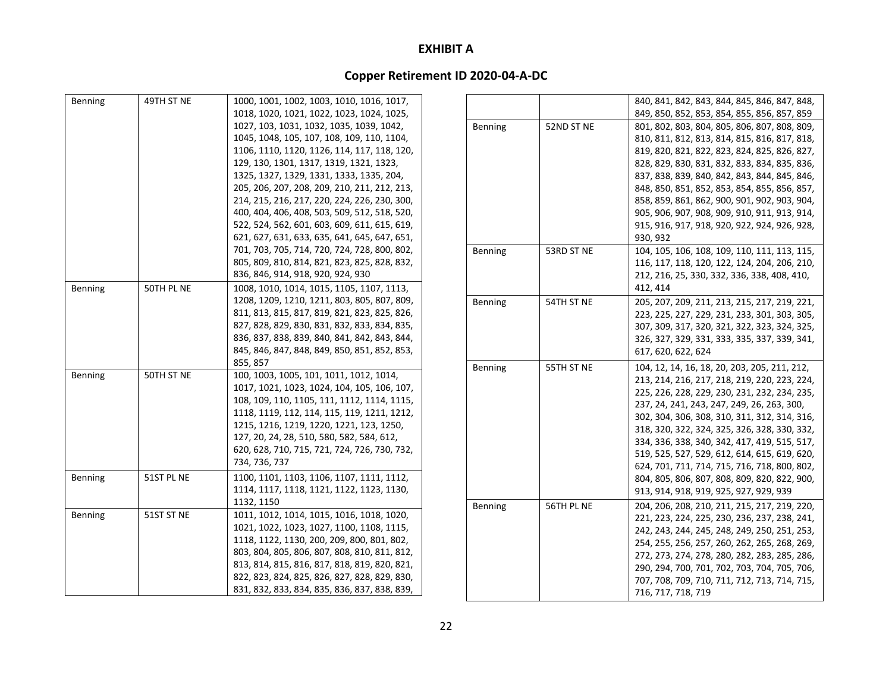| Benning | 49TH ST NE | 1000, 1001, 1002, 1003, 1010, 1016, 1017,    |         |            | 840, 841, 842, 843, 844, 845, 846, 847, 848, |
|---------|------------|----------------------------------------------|---------|------------|----------------------------------------------|
|         |            | 1018, 1020, 1021, 1022, 1023, 1024, 1025,    |         |            | 849, 850, 852, 853, 854, 855, 856, 857, 859  |
|         |            | 1027, 103, 1031, 1032, 1035, 1039, 1042,     | Benning | 52ND ST NE | 801, 802, 803, 804, 805, 806, 807, 808, 809, |
|         |            | 1045, 1048, 105, 107, 108, 109, 110, 1104,   |         |            | 810, 811, 812, 813, 814, 815, 816, 817, 818, |
|         |            | 1106, 1110, 1120, 1126, 114, 117, 118, 120,  |         |            | 819, 820, 821, 822, 823, 824, 825, 826, 827, |
|         |            | 129, 130, 1301, 1317, 1319, 1321, 1323,      |         |            | 828, 829, 830, 831, 832, 833, 834, 835, 836, |
|         |            | 1325, 1327, 1329, 1331, 1333, 1335, 204,     |         |            | 837, 838, 839, 840, 842, 843, 844, 845, 846, |
|         |            | 205, 206, 207, 208, 209, 210, 211, 212, 213, |         |            | 848, 850, 851, 852, 853, 854, 855, 856, 857, |
|         |            | 214, 215, 216, 217, 220, 224, 226, 230, 300, |         |            | 858, 859, 861, 862, 900, 901, 902, 903, 904, |
|         |            | 400, 404, 406, 408, 503, 509, 512, 518, 520, |         |            | 905, 906, 907, 908, 909, 910, 911, 913, 914, |
|         |            | 522, 524, 562, 601, 603, 609, 611, 615, 619, |         |            | 915, 916, 917, 918, 920, 922, 924, 926, 928, |
|         |            | 621, 627, 631, 633, 635, 641, 645, 647, 651, |         |            | 930.932                                      |
|         |            | 701, 703, 705, 714, 720, 724, 728, 800, 802, | Benning | 53RD ST NE | 104, 105, 106, 108, 109, 110, 111, 113, 115, |
|         |            | 805, 809, 810, 814, 821, 823, 825, 828, 832, |         |            | 116, 117, 118, 120, 122, 124, 204, 206, 210, |
|         |            | 836, 846, 914, 918, 920, 924, 930            |         |            | 212, 216, 25, 330, 332, 336, 338, 408, 410,  |
| Benning | 50TH PL NE | 1008, 1010, 1014, 1015, 1105, 1107, 1113,    |         |            | 412, 414                                     |
|         |            | 1208, 1209, 1210, 1211, 803, 805, 807, 809,  | Benning | 54TH ST NE | 205, 207, 209, 211, 213, 215, 217, 219, 221, |
|         |            | 811, 813, 815, 817, 819, 821, 823, 825, 826, |         |            | 223, 225, 227, 229, 231, 233, 301, 303, 305, |
|         |            | 827, 828, 829, 830, 831, 832, 833, 834, 835, |         |            | 307, 309, 317, 320, 321, 322, 323, 324, 325, |
|         |            | 836, 837, 838, 839, 840, 841, 842, 843, 844, |         |            | 326, 327, 329, 331, 333, 335, 337, 339, 341, |
|         |            | 845, 846, 847, 848, 849, 850, 851, 852, 853, |         |            | 617, 620, 622, 624                           |
|         |            | 855, 857                                     | Benning | 55TH ST NE | 104, 12, 14, 16, 18, 20, 203, 205, 211, 212, |
| Benning | 50TH ST NE | 100, 1003, 1005, 101, 1011, 1012, 1014,      |         |            | 213, 214, 216, 217, 218, 219, 220, 223, 224, |
|         |            | 1017, 1021, 1023, 1024, 104, 105, 106, 107,  |         |            | 225, 226, 228, 229, 230, 231, 232, 234, 235, |
|         |            | 108, 109, 110, 1105, 111, 1112, 1114, 1115,  |         |            | 237, 24, 241, 243, 247, 249, 26, 263, 300,   |
|         |            | 1118, 1119, 112, 114, 115, 119, 1211, 1212,  |         |            | 302, 304, 306, 308, 310, 311, 312, 314, 316, |
|         |            | 1215, 1216, 1219, 1220, 1221, 123, 1250,     |         |            | 318, 320, 322, 324, 325, 326, 328, 330, 332, |
|         |            | 127, 20, 24, 28, 510, 580, 582, 584, 612,    |         |            | 334, 336, 338, 340, 342, 417, 419, 515, 517, |
|         |            | 620, 628, 710, 715, 721, 724, 726, 730, 732, |         |            | 519, 525, 527, 529, 612, 614, 615, 619, 620, |
|         |            | 734, 736, 737                                |         |            | 624, 701, 711, 714, 715, 716, 718, 800, 802, |
| Benning | 51ST PL NE | 1100, 1101, 1103, 1106, 1107, 1111, 1112,    |         |            | 804, 805, 806, 807, 808, 809, 820, 822, 900, |
|         |            | 1114, 1117, 1118, 1121, 1122, 1123, 1130,    |         |            | 913, 914, 918, 919, 925, 927, 929, 939       |
|         |            | 1132, 1150                                   |         |            |                                              |
| Benning | 51ST ST NE | 1011, 1012, 1014, 1015, 1016, 1018, 1020,    | Benning | 56TH PL NE | 204, 206, 208, 210, 211, 215, 217, 219, 220, |
|         |            | 1021, 1022, 1023, 1027, 1100, 1108, 1115,    |         |            | 221, 223, 224, 225, 230, 236, 237, 238, 241, |
|         |            | 1118, 1122, 1130, 200, 209, 800, 801, 802,   |         |            | 242, 243, 244, 245, 248, 249, 250, 251, 253, |
|         |            | 803, 804, 805, 806, 807, 808, 810, 811, 812, |         |            | 254, 255, 256, 257, 260, 262, 265, 268, 269, |
|         |            | 813, 814, 815, 816, 817, 818, 819, 820, 821, |         |            | 272, 273, 274, 278, 280, 282, 283, 285, 286, |
|         |            | 822, 823, 824, 825, 826, 827, 828, 829, 830, |         |            | 290, 294, 700, 701, 702, 703, 704, 705, 706, |
|         |            | 831, 832, 833, 834, 835, 836, 837, 838, 839, |         |            | 707, 708, 709, 710, 711, 712, 713, 714, 715, |
|         |            |                                              |         |            | 716, 717, 718, 719                           |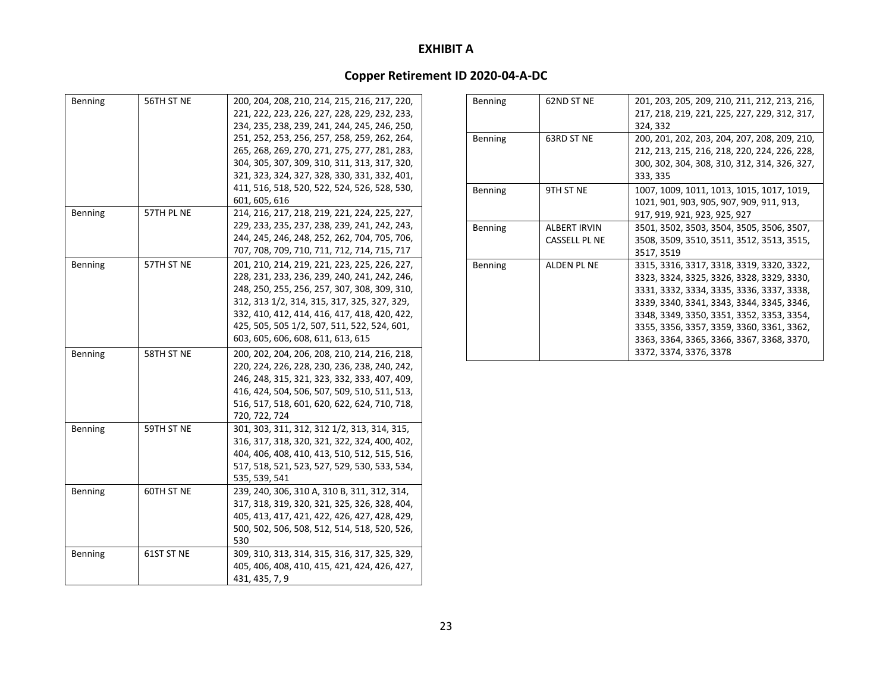| Benning | 56TH ST NE | 200, 204, 208, 210, 214, 215, 216, 217, 220,<br>221, 222, 223, 226, 227, 228, 229, 232, 233,<br>234, 235, 238, 239, 241, 244, 245, 246, 250, |
|---------|------------|----------------------------------------------------------------------------------------------------------------------------------------------|
|         |            | 251, 252, 253, 256, 257, 258, 259, 262, 264,                                                                                                 |
|         |            | 265, 268, 269, 270, 271, 275, 277, 281, 283,                                                                                                 |
|         |            | 304, 305, 307, 309, 310, 311, 313, 317, 320,                                                                                                 |
|         |            | 321, 323, 324, 327, 328, 330, 331, 332, 401,                                                                                                 |
|         |            | 411, 516, 518, 520, 522, 524, 526, 528, 530,                                                                                                 |
|         |            | 601, 605, 616                                                                                                                                |
| Benning | 57TH PL NE | 214, 216, 217, 218, 219, 221, 224, 225, 227,                                                                                                 |
|         |            | 229, 233, 235, 237, 238, 239, 241, 242, 243,                                                                                                 |
|         |            | 244, 245, 246, 248, 252, 262, 704, 705, 706,                                                                                                 |
|         |            | 707, 708, 709, 710, 711, 712, 714, 715, 717                                                                                                  |
| Benning | 57TH ST NE | 201, 210, 214, 219, 221, 223, 225, 226, 227,                                                                                                 |
|         |            | 228, 231, 233, 236, 239, 240, 241, 242, 246,                                                                                                 |
|         |            | 248, 250, 255, 256, 257, 307, 308, 309, 310,                                                                                                 |
|         |            | 312, 313 1/2, 314, 315, 317, 325, 327, 329,                                                                                                  |
|         |            | 332, 410, 412, 414, 416, 417, 418, 420, 422,                                                                                                 |
|         |            | 425, 505, 505 1/2, 507, 511, 522, 524, 601,                                                                                                  |
|         |            | 603, 605, 606, 608, 611, 613, 615                                                                                                            |
| Benning | 58TH ST NE | 200, 202, 204, 206, 208, 210, 214, 216, 218,                                                                                                 |
|         |            | 220, 224, 226, 228, 230, 236, 238, 240, 242,                                                                                                 |
|         |            | 246, 248, 315, 321, 323, 332, 333, 407, 409,                                                                                                 |
|         |            | 416, 424, 504, 506, 507, 509, 510, 511, 513,                                                                                                 |
|         |            | 516, 517, 518, 601, 620, 622, 624, 710, 718,                                                                                                 |
|         |            | 720, 722, 724                                                                                                                                |
| Benning | 59TH ST NE | 301, 303, 311, 312, 312 1/2, 313, 314, 315,                                                                                                  |
|         |            | 316, 317, 318, 320, 321, 322, 324, 400, 402,                                                                                                 |
|         |            | 404, 406, 408, 410, 413, 510, 512, 515, 516,                                                                                                 |
|         |            | 517, 518, 521, 523, 527, 529, 530, 533, 534,                                                                                                 |
|         |            | 535, 539, 541                                                                                                                                |
| Benning | 60TH ST NE | 239, 240, 306, 310 A, 310 B, 311, 312, 314,                                                                                                  |
|         |            | 317, 318, 319, 320, 321, 325, 326, 328, 404,                                                                                                 |
|         |            | 405, 413, 417, 421, 422, 426, 427, 428, 429,                                                                                                 |
|         |            | 500, 502, 506, 508, 512, 514, 518, 520, 526,                                                                                                 |
|         |            | 530                                                                                                                                          |
| Benning | 61ST ST NE | 309, 310, 313, 314, 315, 316, 317, 325, 329,                                                                                                 |
|         |            | 405, 406, 408, 410, 415, 421, 424, 426, 427,                                                                                                 |
|         |            | 431, 435, 7, 9                                                                                                                               |

| 62ND ST NE          | 201, 203, 205, 209, 210, 211, 212, 213, 216, |
|---------------------|----------------------------------------------|
|                     | 217, 218, 219, 221, 225, 227, 229, 312, 317, |
|                     | 324, 332                                     |
| 63RD ST NE          | 200, 201, 202, 203, 204, 207, 208, 209, 210, |
|                     | 212, 213, 215, 216, 218, 220, 224, 226, 228, |
|                     | 300, 302, 304, 308, 310, 312, 314, 326, 327, |
|                     | 333, 335                                     |
| 9TH ST NE           | 1007, 1009, 1011, 1013, 1015, 1017, 1019,    |
|                     | 1021, 901, 903, 905, 907, 909, 911, 913,     |
|                     | 917, 919, 921, 923, 925, 927                 |
| <b>ALBERT IRVIN</b> | 3501, 3502, 3503, 3504, 3505, 3506, 3507,    |
| CASSELL PL NE       | 3508, 3509, 3510, 3511, 3512, 3513, 3515,    |
|                     | 3517, 3519                                   |
| ALDEN PL NE         | 3315, 3316, 3317, 3318, 3319, 3320, 3322,    |
|                     | 3323, 3324, 3325, 3326, 3328, 3329, 3330,    |
|                     | 3331, 3332, 3334, 3335, 3336, 3337, 3338,    |
|                     | 3339, 3340, 3341, 3343, 3344, 3345, 3346,    |
|                     | 3348, 3349, 3350, 3351, 3352, 3353, 3354,    |
|                     | 3355, 3356, 3357, 3359, 3360, 3361, 3362,    |
|                     | 3363, 3364, 3365, 3366, 3367, 3368, 3370,    |
|                     | 3372, 3374, 3376, 3378                       |
|                     |                                              |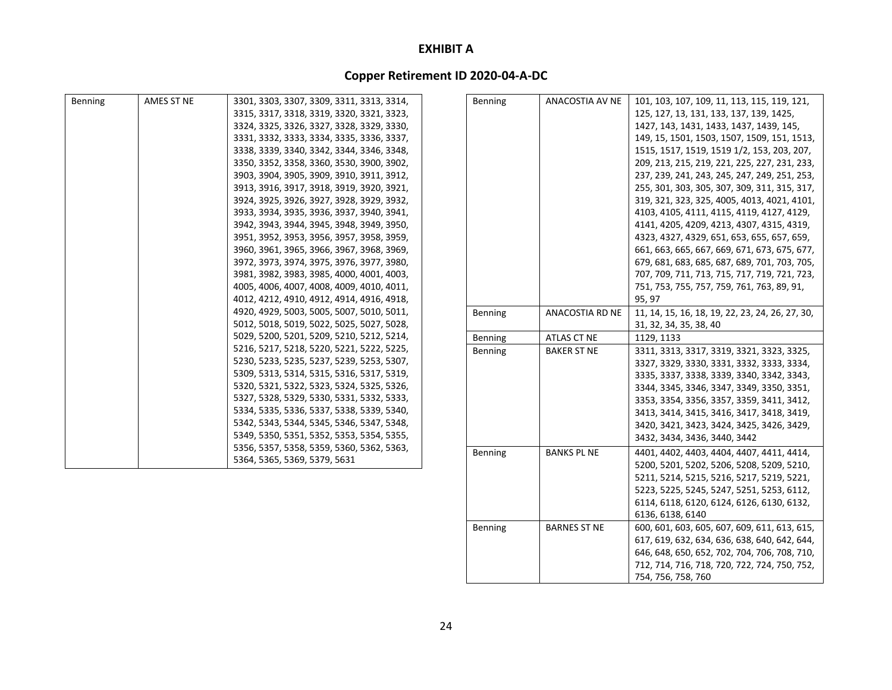### **Copper Retirement ID 2020‐04‐A‐DC**

| Benning | AMES ST NE | 3301, 3303, 3307, 3309, 3311, 3313, 3314, | Benning | ANACOSTIA AV NE    | 101, 103, 107, 109, 11, 113, 115, 119, 121,     |
|---------|------------|-------------------------------------------|---------|--------------------|-------------------------------------------------|
|         |            | 3315, 3317, 3318, 3319, 3320, 3321, 3323, |         |                    | 125, 127, 13, 131, 133, 137, 139, 1425,         |
|         |            | 3324, 3325, 3326, 3327, 3328, 3329, 3330, |         |                    | 1427, 143, 1431, 1433, 1437, 1439, 145,         |
|         |            | 3331, 3332, 3333, 3334, 3335, 3336, 3337, |         |                    | 149, 15, 1501, 1503, 1507, 1509, 151, 1513,     |
|         |            | 3338, 3339, 3340, 3342, 3344, 3346, 3348, |         |                    | 1515, 1517, 1519, 1519 1/2, 153, 203, 207,      |
|         |            | 3350, 3352, 3358, 3360, 3530, 3900, 3902, |         |                    | 209, 213, 215, 219, 221, 225, 227, 231, 233,    |
|         |            | 3903, 3904, 3905, 3909, 3910, 3911, 3912, |         |                    | 237, 239, 241, 243, 245, 247, 249, 251, 253,    |
|         |            | 3913, 3916, 3917, 3918, 3919, 3920, 3921, |         |                    | 255, 301, 303, 305, 307, 309, 311, 315, 317,    |
|         |            | 3924, 3925, 3926, 3927, 3928, 3929, 3932, |         |                    | 319, 321, 323, 325, 4005, 4013, 4021, 4101,     |
|         |            | 3933, 3934, 3935, 3936, 3937, 3940, 3941, |         |                    | 4103, 4105, 4111, 4115, 4119, 4127, 4129,       |
|         |            | 3942, 3943, 3944, 3945, 3948, 3949, 3950, |         |                    | 4141, 4205, 4209, 4213, 4307, 4315, 4319,       |
|         |            | 3951, 3952, 3953, 3956, 3957, 3958, 3959, |         |                    | 4323, 4327, 4329, 651, 653, 655, 657, 659,      |
|         |            | 3960, 3961, 3965, 3966, 3967, 3968, 3969, |         |                    | 661, 663, 665, 667, 669, 671, 673, 675, 677,    |
|         |            | 3972, 3973, 3974, 3975, 3976, 3977, 3980, |         |                    | 679, 681, 683, 685, 687, 689, 701, 703, 705,    |
|         |            | 3981, 3982, 3983, 3985, 4000, 4001, 4003, |         |                    | 707, 709, 711, 713, 715, 717, 719, 721, 723,    |
|         |            | 4005, 4006, 4007, 4008, 4009, 4010, 4011, |         |                    | 751, 753, 755, 757, 759, 761, 763, 89, 91,      |
|         |            | 4012, 4212, 4910, 4912, 4914, 4916, 4918, |         |                    | 95, 97                                          |
|         |            | 4920, 4929, 5003, 5005, 5007, 5010, 5011, | Benning | ANACOSTIA RD NE    | 11, 14, 15, 16, 18, 19, 22, 23, 24, 26, 27, 30, |
|         |            | 5012, 5018, 5019, 5022, 5025, 5027, 5028, |         |                    | 31, 32, 34, 35, 38, 40                          |
|         |            | 5029, 5200, 5201, 5209, 5210, 5212, 5214, | Benning | ATLAS CT NE        | 1129, 1133                                      |
|         |            | 5216, 5217, 5218, 5220, 5221, 5222, 5225, | Benning | <b>BAKER ST NE</b> | 3311, 3313, 3317, 3319, 3321, 3323, 3325,       |
|         |            | 5230, 5233, 5235, 5237, 5239, 5253, 5307, |         |                    | 3327, 3329, 3330, 3331, 3332, 3333, 3334,       |
|         |            | 5309, 5313, 5314, 5315, 5316, 5317, 5319, |         |                    | 3335, 3337, 3338, 3339, 3340, 3342, 3343,       |
|         |            | 5320, 5321, 5322, 5323, 5324, 5325, 5326, |         |                    | 3344, 3345, 3346, 3347, 3349, 3350, 3351,       |
|         |            | 5327, 5328, 5329, 5330, 5331, 5332, 5333, |         |                    | 3353, 3354, 3356, 3357, 3359, 3411, 3412,       |
|         |            | 5334, 5335, 5336, 5337, 5338, 5339, 5340, |         |                    | 3413, 3414, 3415, 3416, 3417, 3418, 3419,       |
|         |            | 5342, 5343, 5344, 5345, 5346, 5347, 5348, |         |                    | 3420, 3421, 3423, 3424, 3425, 3426, 3429,       |
|         |            | 5349, 5350, 5351, 5352, 5353, 5354, 5355, |         |                    | 3432, 3434, 3436, 3440, 3442                    |
|         |            | 5356, 5357, 5358, 5359, 5360, 5362, 5363, | Benning | <b>BANKS PL NE</b> | 4401, 4402, 4403, 4404, 4407, 4411, 4414,       |
|         |            | 5364, 5365, 5369, 5379, 5631              |         |                    | 5200, 5201, 5202, 5206, 5208, 5209, 5210,       |
|         |            |                                           |         |                    | 5211, 5214, 5215, 5216, 5217, 5219, 5221,       |
|         |            |                                           |         |                    | 5223, 5225, 5245, 5247, 5251, 5253, 6112,       |
|         |            |                                           |         |                    | 6114, 6118, 6120, 6124, 6126, 6130, 6132,       |

6136, 6138, 6140

754, 756, 758, 760

617, 619, 632, 634, 636, 638, 640, 642, 644, 646, 648, 650, 652, 702, 704, 706, 708, 710, 712, 714, 716, 718, 720, 722, 724, 750, 752,

Benning BARNES ST NE 600, 601, 603, 605, 607, 609, 611, 613, 615,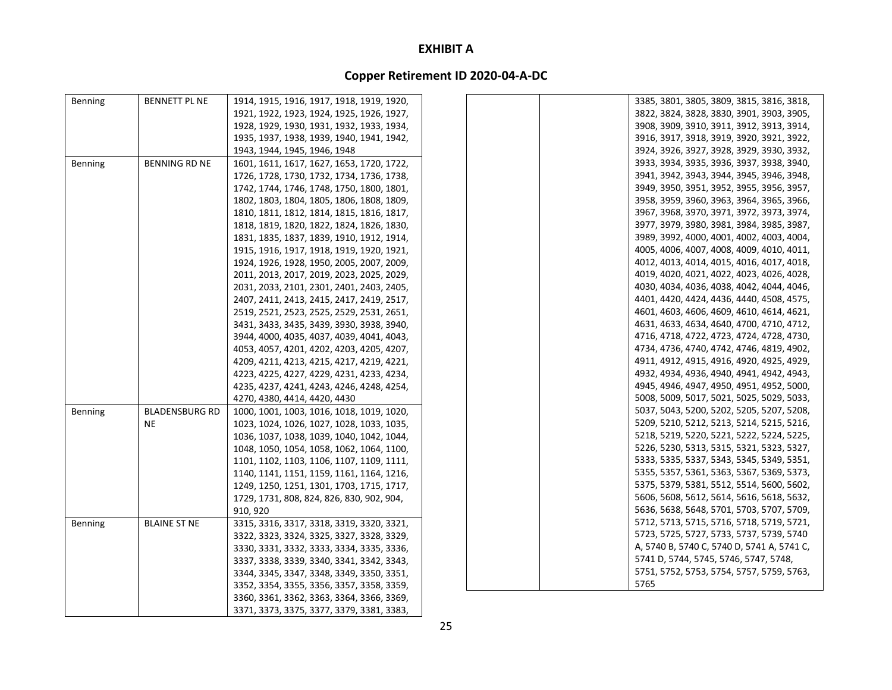### **Copper Retirement ID 2020‐04‐A‐DC**

| Benning        | <b>BENNETT PL NE</b>  | 1914, 1915, 1916, 1917, 1918, 1919, 1920, | 3385, 3801, 3805, 3809, 3815, 3816, 3818,  |  |
|----------------|-----------------------|-------------------------------------------|--------------------------------------------|--|
|                |                       | 1921, 1922, 1923, 1924, 1925, 1926, 1927, | 3822, 3824, 3828, 3830, 3901, 3903, 3905,  |  |
|                |                       | 1928, 1929, 1930, 1931, 1932, 1933, 1934, | 3908, 3909, 3910, 3911, 3912, 3913, 3914,  |  |
|                |                       | 1935, 1937, 1938, 1939, 1940, 1941, 1942, | 3916, 3917, 3918, 3919, 3920, 3921, 3922,  |  |
|                |                       | 1943, 1944, 1945, 1946, 1948              | 3924, 3926, 3927, 3928, 3929, 3930, 3932,  |  |
| Benning        | <b>BENNING RD NE</b>  | 1601, 1611, 1617, 1627, 1653, 1720, 1722, | 3933, 3934, 3935, 3936, 3937, 3938, 3940,  |  |
|                |                       | 1726, 1728, 1730, 1732, 1734, 1736, 1738, | 3941, 3942, 3943, 3944, 3945, 3946, 3948,  |  |
|                |                       | 1742, 1744, 1746, 1748, 1750, 1800, 1801, | 3949, 3950, 3951, 3952, 3955, 3956, 3957,  |  |
|                |                       | 1802, 1803, 1804, 1805, 1806, 1808, 1809, | 3958, 3959, 3960, 3963, 3964, 3965, 3966,  |  |
|                |                       | 1810, 1811, 1812, 1814, 1815, 1816, 1817, | 3967, 3968, 3970, 3971, 3972, 3973, 3974,  |  |
|                |                       | 1818, 1819, 1820, 1822, 1824, 1826, 1830, | 3977, 3979, 3980, 3981, 3984, 3985, 3987,  |  |
|                |                       | 1831, 1835, 1837, 1839, 1910, 1912, 1914, | 3989, 3992, 4000, 4001, 4002, 4003, 4004,  |  |
|                |                       | 1915, 1916, 1917, 1918, 1919, 1920, 1921, | 4005, 4006, 4007, 4008, 4009, 4010, 4011,  |  |
|                |                       | 1924, 1926, 1928, 1950, 2005, 2007, 2009, | 4012, 4013, 4014, 4015, 4016, 4017, 4018,  |  |
|                |                       | 2011, 2013, 2017, 2019, 2023, 2025, 2029, | 4019, 4020, 4021, 4022, 4023, 4026, 4028,  |  |
|                |                       | 2031, 2033, 2101, 2301, 2401, 2403, 2405, | 4030, 4034, 4036, 4038, 4042, 4044, 4046,  |  |
|                |                       | 2407, 2411, 2413, 2415, 2417, 2419, 2517, | 4401, 4420, 4424, 4436, 4440, 4508, 4575,  |  |
|                |                       | 2519, 2521, 2523, 2525, 2529, 2531, 2651, | 4601, 4603, 4606, 4609, 4610, 4614, 4621,  |  |
|                |                       | 3431, 3433, 3435, 3439, 3930, 3938, 3940, | 4631, 4633, 4634, 4640, 4700, 4710, 4712,  |  |
|                |                       | 3944, 4000, 4035, 4037, 4039, 4041, 4043, | 4716, 4718, 4722, 4723, 4724, 4728, 4730,  |  |
|                |                       | 4053, 4057, 4201, 4202, 4203, 4205, 4207, | 4734, 4736, 4740, 4742, 4746, 4819, 4902,  |  |
|                |                       | 4209, 4211, 4213, 4215, 4217, 4219, 4221, | 4911, 4912, 4915, 4916, 4920, 4925, 4929,  |  |
|                |                       | 4223, 4225, 4227, 4229, 4231, 4233, 4234, | 4932, 4934, 4936, 4940, 4941, 4942, 4943,  |  |
|                |                       | 4235, 4237, 4241, 4243, 4246, 4248, 4254, | 4945, 4946, 4947, 4950, 4951, 4952, 5000,  |  |
|                |                       | 4270, 4380, 4414, 4420, 4430              | 5008, 5009, 5017, 5021, 5025, 5029, 5033,  |  |
| Benning        | <b>BLADENSBURG RD</b> | 1000, 1001, 1003, 1016, 1018, 1019, 1020, | 5037, 5043, 5200, 5202, 5205, 5207, 5208,  |  |
|                | <b>NE</b>             | 1023, 1024, 1026, 1027, 1028, 1033, 1035, | 5209, 5210, 5212, 5213, 5214, 5215, 5216,  |  |
|                |                       | 1036, 1037, 1038, 1039, 1040, 1042, 1044, | 5218, 5219, 5220, 5221, 5222, 5224, 5225,  |  |
|                |                       | 1048, 1050, 1054, 1058, 1062, 1064, 1100, | 5226, 5230, 5313, 5315, 5321, 5323, 5327,  |  |
|                |                       | 1101, 1102, 1103, 1106, 1107, 1109, 1111, | 5333, 5335, 5337, 5343, 5345, 5349, 5351,  |  |
|                |                       | 1140, 1141, 1151, 1159, 1161, 1164, 1216, | 5355, 5357, 5361, 5363, 5367, 5369, 5373,  |  |
|                |                       | 1249, 1250, 1251, 1301, 1703, 1715, 1717, | 5375, 5379, 5381, 5512, 5514, 5600, 5602,  |  |
|                |                       | 1729, 1731, 808, 824, 826, 830, 902, 904, | 5606, 5608, 5612, 5614, 5616, 5618, 5632,  |  |
|                |                       | 910, 920                                  | 5636, 5638, 5648, 5701, 5703, 5707, 5709,  |  |
| <b>Benning</b> | <b>BLAINE ST NE</b>   | 3315, 3316, 3317, 3318, 3319, 3320, 3321, | 5712, 5713, 5715, 5716, 5718, 5719, 5721,  |  |
|                |                       | 3322, 3323, 3324, 3325, 3327, 3328, 3329, | 5723, 5725, 5727, 5733, 5737, 5739, 5740   |  |
|                |                       | 3330, 3331, 3332, 3333, 3334, 3335, 3336, | A, 5740 B, 5740 C, 5740 D, 5741 A, 5741 C, |  |
|                |                       | 3337, 3338, 3339, 3340, 3341, 3342, 3343, | 5741 D, 5744, 5745, 5746, 5747, 5748,      |  |
|                |                       | 3344, 3345, 3347, 3348, 3349, 3350, 3351, | 5751, 5752, 5753, 5754, 5757, 5759, 5763,  |  |
|                |                       | 3352, 3354, 3355, 3356, 3357, 3358, 3359, | 5765                                       |  |
|                |                       | 3360, 3361, 3362, 3363, 3364, 3366, 3369, |                                            |  |

3371, 3373, 3375, 3377, 3379, 3381, 3383,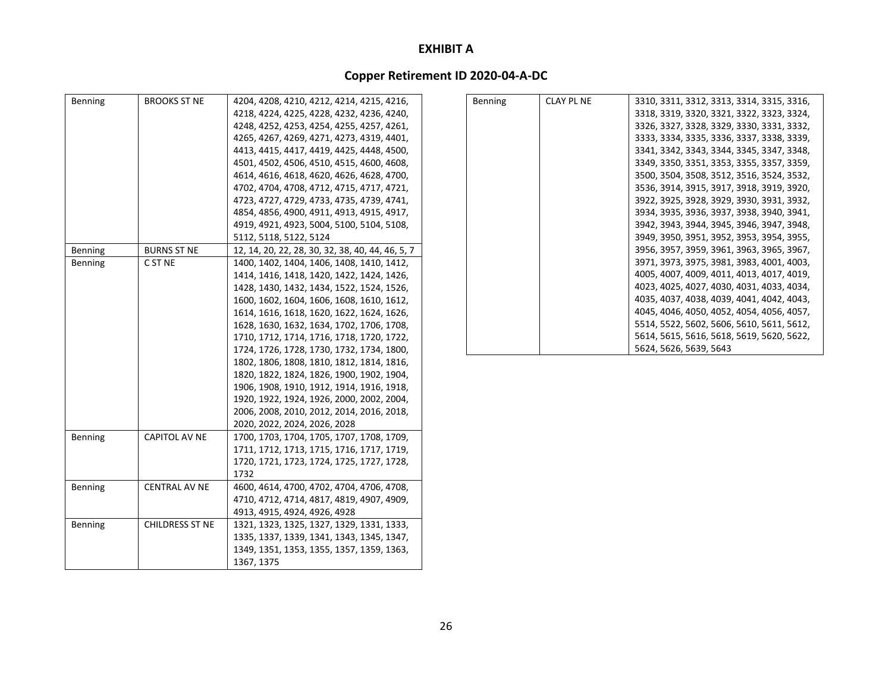| Benning | <b>BROOKS ST NE</b>    | 4204, 4208, 4210, 4212, 4214, 4215, 4216,        | <b>Benning</b> | <b>CLAY PL NE</b> | 3310, 3311, 3312, 3313, 3314, 3315, 3316, |
|---------|------------------------|--------------------------------------------------|----------------|-------------------|-------------------------------------------|
|         |                        | 4218, 4224, 4225, 4228, 4232, 4236, 4240,        |                |                   | 3318, 3319, 3320, 3321, 3322, 3323, 3324, |
|         |                        | 4248, 4252, 4253, 4254, 4255, 4257, 4261,        |                |                   | 3326, 3327, 3328, 3329, 3330, 3331, 3332, |
|         |                        | 4265, 4267, 4269, 4271, 4273, 4319, 4401,        |                |                   | 3333, 3334, 3335, 3336, 3337, 3338, 3339, |
|         |                        | 4413, 4415, 4417, 4419, 4425, 4448, 4500,        |                |                   | 3341, 3342, 3343, 3344, 3345, 3347, 3348, |
|         |                        | 4501, 4502, 4506, 4510, 4515, 4600, 4608,        |                |                   | 3349, 3350, 3351, 3353, 3355, 3357, 3359, |
|         |                        | 4614, 4616, 4618, 4620, 4626, 4628, 4700,        |                |                   | 3500, 3504, 3508, 3512, 3516, 3524, 3532, |
|         |                        | 4702, 4704, 4708, 4712, 4715, 4717, 4721,        |                |                   | 3536, 3914, 3915, 3917, 3918, 3919, 3920, |
|         |                        | 4723, 4727, 4729, 4733, 4735, 4739, 4741,        |                |                   | 3922, 3925, 3928, 3929, 3930, 3931, 3932, |
|         |                        | 4854, 4856, 4900, 4911, 4913, 4915, 4917,        |                |                   | 3934, 3935, 3936, 3937, 3938, 3940, 3941, |
|         |                        | 4919, 4921, 4923, 5004, 5100, 5104, 5108,        |                |                   | 3942, 3943, 3944, 3945, 3946, 3947, 3948, |
|         |                        | 5112, 5118, 5122, 5124                           |                |                   | 3949, 3950, 3951, 3952, 3953, 3954, 3955, |
| Benning | <b>BURNS ST NE</b>     | 12, 14, 20, 22, 28, 30, 32, 38, 40, 44, 46, 5, 7 |                |                   | 3956, 3957, 3959, 3961, 3963, 3965, 3967, |
| Benning | C ST NE                | 1400, 1402, 1404, 1406, 1408, 1410, 1412,        |                |                   | 3971, 3973, 3975, 3981, 3983, 4001, 4003, |
|         |                        | 1414, 1416, 1418, 1420, 1422, 1424, 1426,        |                |                   | 4005, 4007, 4009, 4011, 4013, 4017, 4019, |
|         |                        | 1428, 1430, 1432, 1434, 1522, 1524, 1526,        |                |                   | 4023, 4025, 4027, 4030, 4031, 4033, 4034, |
|         |                        | 1600, 1602, 1604, 1606, 1608, 1610, 1612,        |                |                   | 4035, 4037, 4038, 4039, 4041, 4042, 4043, |
|         |                        | 1614, 1616, 1618, 1620, 1622, 1624, 1626,        |                |                   | 4045, 4046, 4050, 4052, 4054, 4056, 4057, |
|         |                        | 1628, 1630, 1632, 1634, 1702, 1706, 1708,        |                |                   | 5514, 5522, 5602, 5606, 5610, 5611, 5612, |
|         |                        | 1710, 1712, 1714, 1716, 1718, 1720, 1722,        |                |                   | 5614, 5615, 5616, 5618, 5619, 5620, 5622, |
|         |                        | 1724, 1726, 1728, 1730, 1732, 1734, 1800,        |                |                   | 5624, 5626, 5639, 5643                    |
|         |                        | 1802, 1806, 1808, 1810, 1812, 1814, 1816,        |                |                   |                                           |
|         |                        | 1820, 1822, 1824, 1826, 1900, 1902, 1904,        |                |                   |                                           |
|         |                        | 1906, 1908, 1910, 1912, 1914, 1916, 1918,        |                |                   |                                           |
|         |                        | 1920, 1922, 1924, 1926, 2000, 2002, 2004,        |                |                   |                                           |
|         |                        | 2006, 2008, 2010, 2012, 2014, 2016, 2018,        |                |                   |                                           |
|         |                        | 2020, 2022, 2024, 2026, 2028                     |                |                   |                                           |
| Benning | CAPITOL AV NE          | 1700, 1703, 1704, 1705, 1707, 1708, 1709,        |                |                   |                                           |
|         |                        | 1711, 1712, 1713, 1715, 1716, 1717, 1719,        |                |                   |                                           |
|         |                        | 1720, 1721, 1723, 1724, 1725, 1727, 1728,        |                |                   |                                           |
|         |                        | 1732                                             |                |                   |                                           |
| Benning | <b>CENTRAL AV NE</b>   | 4600, 4614, 4700, 4702, 4704, 4706, 4708,        |                |                   |                                           |
|         |                        | 4710, 4712, 4714, 4817, 4819, 4907, 4909,        |                |                   |                                           |
|         |                        | 4913, 4915, 4924, 4926, 4928                     |                |                   |                                           |
| Benning | <b>CHILDRESS ST NE</b> | 1321, 1323, 1325, 1327, 1329, 1331, 1333,        |                |                   |                                           |
|         |                        | 1335, 1337, 1339, 1341, 1343, 1345, 1347,        |                |                   |                                           |
|         |                        | 1349, 1351, 1353, 1355, 1357, 1359, 1363,        |                |                   |                                           |
|         |                        | 1367, 1375                                       |                |                   |                                           |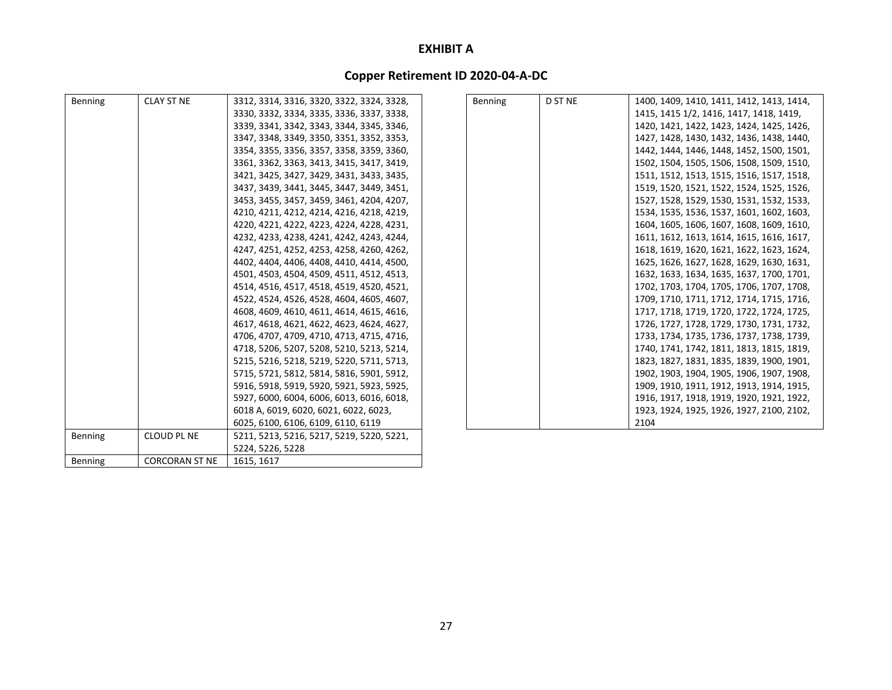| Benning | <b>CLAY ST NE</b>     | 3312, 3314, 3316, 3320, 3322, 3324, 3328, | Benning | D ST NE | 1400, 1409, 1410, 1411, 1412, 1413, 1414, |
|---------|-----------------------|-------------------------------------------|---------|---------|-------------------------------------------|
|         |                       | 3330, 3332, 3334, 3335, 3336, 3337, 3338, |         |         | 1415, 1415 1/2, 1416, 1417, 1418, 1419,   |
|         |                       | 3339, 3341, 3342, 3343, 3344, 3345, 3346, |         |         | 1420, 1421, 1422, 1423, 1424, 1425, 1426, |
|         |                       | 3347, 3348, 3349, 3350, 3351, 3352, 3353, |         |         | 1427, 1428, 1430, 1432, 1436, 1438, 1440, |
|         |                       | 3354, 3355, 3356, 3357, 3358, 3359, 3360, |         |         | 1442, 1444, 1446, 1448, 1452, 1500, 1501, |
|         |                       | 3361, 3362, 3363, 3413, 3415, 3417, 3419, |         |         | 1502, 1504, 1505, 1506, 1508, 1509, 1510, |
|         |                       | 3421, 3425, 3427, 3429, 3431, 3433, 3435, |         |         | 1511, 1512, 1513, 1515, 1516, 1517, 1518, |
|         |                       | 3437, 3439, 3441, 3445, 3447, 3449, 3451, |         |         | 1519, 1520, 1521, 1522, 1524, 1525, 1526, |
|         |                       | 3453, 3455, 3457, 3459, 3461, 4204, 4207, |         |         | 1527, 1528, 1529, 1530, 1531, 1532, 1533, |
|         |                       | 4210, 4211, 4212, 4214, 4216, 4218, 4219, |         |         | 1534, 1535, 1536, 1537, 1601, 1602, 1603, |
|         |                       | 4220, 4221, 4222, 4223, 4224, 4228, 4231, |         |         | 1604, 1605, 1606, 1607, 1608, 1609, 1610, |
|         |                       | 4232, 4233, 4238, 4241, 4242, 4243, 4244, |         |         | 1611, 1612, 1613, 1614, 1615, 1616, 1617, |
|         |                       | 4247, 4251, 4252, 4253, 4258, 4260, 4262, |         |         | 1618, 1619, 1620, 1621, 1622, 1623, 1624, |
|         |                       | 4402, 4404, 4406, 4408, 4410, 4414, 4500, |         |         | 1625, 1626, 1627, 1628, 1629, 1630, 1631, |
|         |                       | 4501, 4503, 4504, 4509, 4511, 4512, 4513, |         |         | 1632, 1633, 1634, 1635, 1637, 1700, 1701, |
|         |                       | 4514, 4516, 4517, 4518, 4519, 4520, 4521, |         |         | 1702, 1703, 1704, 1705, 1706, 1707, 1708, |
|         |                       | 4522, 4524, 4526, 4528, 4604, 4605, 4607, |         |         | 1709, 1710, 1711, 1712, 1714, 1715, 1716, |
|         |                       | 4608, 4609, 4610, 4611, 4614, 4615, 4616, |         |         | 1717, 1718, 1719, 1720, 1722, 1724, 1725, |
|         |                       | 4617, 4618, 4621, 4622, 4623, 4624, 4627, |         |         | 1726, 1727, 1728, 1729, 1730, 1731, 1732, |
|         |                       | 4706, 4707, 4709, 4710, 4713, 4715, 4716, |         |         | 1733, 1734, 1735, 1736, 1737, 1738, 1739, |
|         |                       | 4718, 5206, 5207, 5208, 5210, 5213, 5214, |         |         | 1740, 1741, 1742, 1811, 1813, 1815, 1819, |
|         |                       | 5215, 5216, 5218, 5219, 5220, 5711, 5713, |         |         | 1823, 1827, 1831, 1835, 1839, 1900, 1901, |
|         |                       | 5715, 5721, 5812, 5814, 5816, 5901, 5912, |         |         | 1902, 1903, 1904, 1905, 1906, 1907, 1908, |
|         |                       | 5916, 5918, 5919, 5920, 5921, 5923, 5925, |         |         | 1909, 1910, 1911, 1912, 1913, 1914, 1915, |
|         |                       | 5927, 6000, 6004, 6006, 6013, 6016, 6018, |         |         | 1916, 1917, 1918, 1919, 1920, 1921, 1922, |
|         |                       | 6018 A, 6019, 6020, 6021, 6022, 6023,     |         |         | 1923, 1924, 1925, 1926, 1927, 2100, 2102, |
|         |                       | 6025, 6100, 6106, 6109, 6110, 6119        |         |         | 2104                                      |
| Benning | <b>CLOUD PL NE</b>    | 5211, 5213, 5216, 5217, 5219, 5220, 5221, |         |         |                                           |
|         |                       | 5224, 5226, 5228                          |         |         |                                           |
| Benning | <b>CORCORAN ST NE</b> | 1615, 1617                                |         |         |                                           |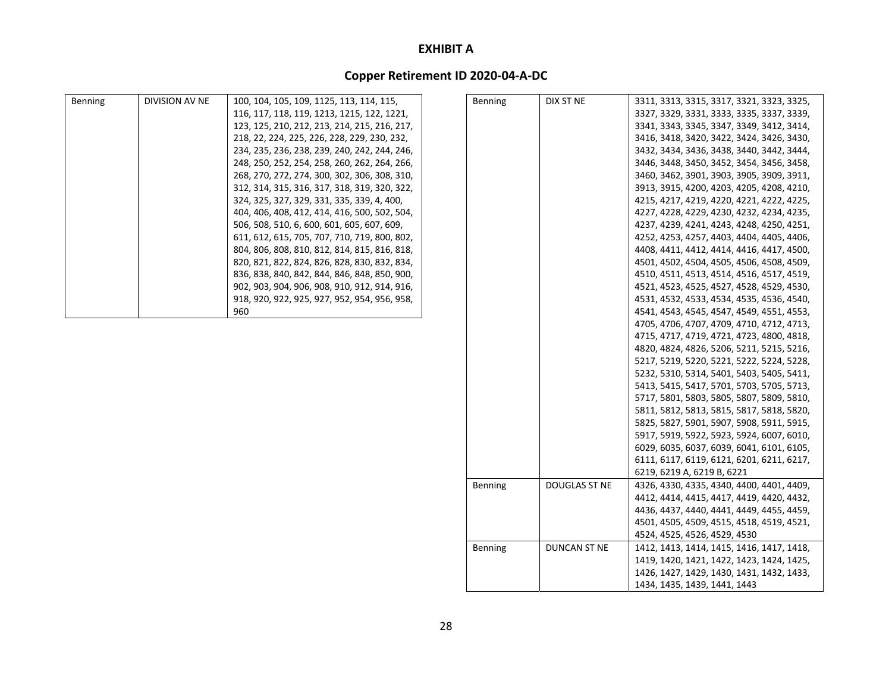| <b>Benning</b> | DIVISION AV NE | 100, 104, 105, 109, 1125, 113, 114, 115,     | Benning        | DIX ST NE     | 3311, 3313, 3315, 3317, 3321, 3323, 3325, |
|----------------|----------------|----------------------------------------------|----------------|---------------|-------------------------------------------|
|                |                | 116, 117, 118, 119, 1213, 1215, 122, 1221,   |                |               | 3327, 3329, 3331, 3333, 3335, 3337, 3339, |
|                |                | 123, 125, 210, 212, 213, 214, 215, 216, 217, |                |               | 3341, 3343, 3345, 3347, 3349, 3412, 3414, |
|                |                | 218, 22, 224, 225, 226, 228, 229, 230, 232,  |                |               | 3416, 3418, 3420, 3422, 3424, 3426, 3430, |
|                |                | 234, 235, 236, 238, 239, 240, 242, 244, 246, |                |               | 3432, 3434, 3436, 3438, 3440, 3442, 3444, |
|                |                | 248, 250, 252, 254, 258, 260, 262, 264, 266, |                |               | 3446, 3448, 3450, 3452, 3454, 3456, 3458, |
|                |                | 268, 270, 272, 274, 300, 302, 306, 308, 310, |                |               | 3460, 3462, 3901, 3903, 3905, 3909, 3911, |
|                |                | 312, 314, 315, 316, 317, 318, 319, 320, 322, |                |               | 3913, 3915, 4200, 4203, 4205, 4208, 4210, |
|                |                | 324, 325, 327, 329, 331, 335, 339, 4, 400,   |                |               | 4215, 4217, 4219, 4220, 4221, 4222, 4225, |
|                |                | 404, 406, 408, 412, 414, 416, 500, 502, 504, |                |               | 4227, 4228, 4229, 4230, 4232, 4234, 4235, |
|                |                | 506, 508, 510, 6, 600, 601, 605, 607, 609,   |                |               | 4237, 4239, 4241, 4243, 4248, 4250, 4251, |
|                |                | 611, 612, 615, 705, 707, 710, 719, 800, 802, |                |               | 4252, 4253, 4257, 4403, 4404, 4405, 4406, |
|                |                | 804, 806, 808, 810, 812, 814, 815, 816, 818, |                |               | 4408, 4411, 4412, 4414, 4416, 4417, 4500, |
|                |                | 820, 821, 822, 824, 826, 828, 830, 832, 834, |                |               | 4501, 4502, 4504, 4505, 4506, 4508, 4509, |
|                |                | 836, 838, 840, 842, 844, 846, 848, 850, 900, |                |               | 4510, 4511, 4513, 4514, 4516, 4517, 4519, |
|                |                | 902, 903, 904, 906, 908, 910, 912, 914, 916, |                |               | 4521, 4523, 4525, 4527, 4528, 4529, 4530, |
|                |                | 918, 920, 922, 925, 927, 952, 954, 956, 958, |                |               | 4531, 4532, 4533, 4534, 4535, 4536, 4540, |
|                |                | 960                                          |                |               | 4541, 4543, 4545, 4547, 4549, 4551, 4553, |
|                |                |                                              |                |               | 4705, 4706, 4707, 4709, 4710, 4712, 4713, |
|                |                |                                              |                |               | 4715, 4717, 4719, 4721, 4723, 4800, 4818, |
|                |                |                                              |                |               | 4820, 4824, 4826, 5206, 5211, 5215, 5216, |
|                |                |                                              |                |               | 5217, 5219, 5220, 5221, 5222, 5224, 5228, |
|                |                |                                              |                |               | 5232, 5310, 5314, 5401, 5403, 5405, 5411, |
|                |                |                                              |                |               | 5413, 5415, 5417, 5701, 5703, 5705, 5713, |
|                |                |                                              |                |               | 5717, 5801, 5803, 5805, 5807, 5809, 5810, |
|                |                |                                              |                |               | 5811, 5812, 5813, 5815, 5817, 5818, 5820, |
|                |                |                                              |                |               | 5825, 5827, 5901, 5907, 5908, 5911, 5915, |
|                |                |                                              |                |               | 5917, 5919, 5922, 5923, 5924, 6007, 6010, |
|                |                |                                              |                |               | 6029, 6035, 6037, 6039, 6041, 6101, 6105, |
|                |                |                                              |                |               | 6111, 6117, 6119, 6121, 6201, 6211, 6217, |
|                |                |                                              |                |               | 6219, 6219 A, 6219 B, 6221                |
|                |                |                                              | Benning        | DOUGLAS ST NE | 4326, 4330, 4335, 4340, 4400, 4401, 4409, |
|                |                |                                              |                |               | 4412, 4414, 4415, 4417, 4419, 4420, 4432, |
|                |                |                                              |                |               | 4436, 4437, 4440, 4441, 4449, 4455, 4459, |
|                |                |                                              |                |               |                                           |
|                |                |                                              |                |               | 4501, 4505, 4509, 4515, 4518, 4519, 4521, |
|                |                |                                              |                |               | 4524, 4525, 4526, 4529, 4530              |
|                |                |                                              | <b>Benning</b> | DUNCAN ST NE  | 1412, 1413, 1414, 1415, 1416, 1417, 1418, |
|                |                |                                              |                |               | 1419, 1420, 1421, 1422, 1423, 1424, 1425, |
|                |                |                                              |                |               | 1426, 1427, 1429, 1430, 1431, 1432, 1433, |
|                |                |                                              |                |               | 1434, 1435, 1439, 1441, 1443              |
|                |                |                                              |                |               |                                           |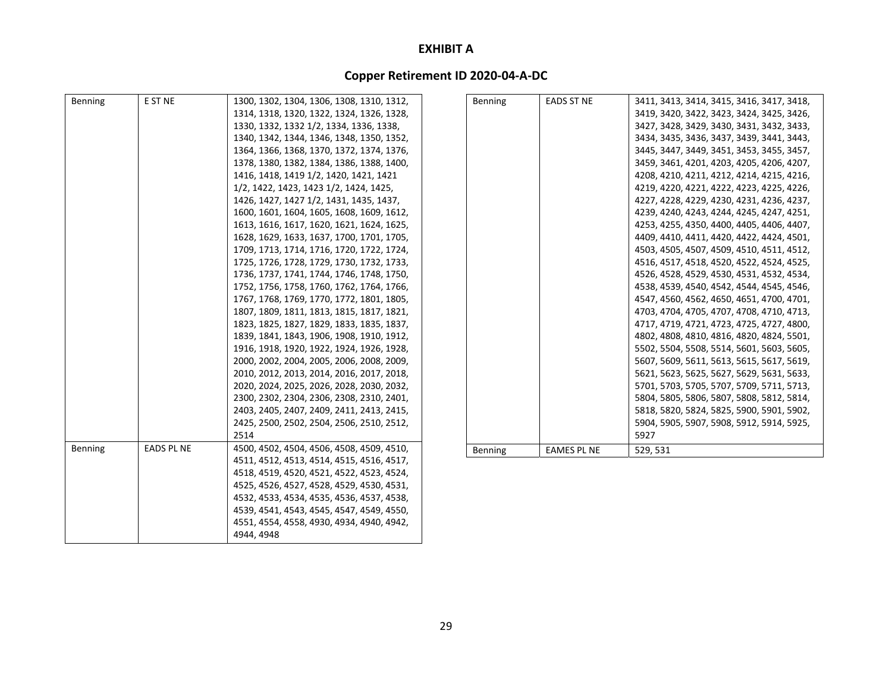| Benning | E ST NE           | 1300, 1302, 1304, 1306, 1308, 1310, 1312, | Benning | <b>EADS ST NE</b>  | 3411, 3413, 3414, 3415, 3416, 3417, 3418, |
|---------|-------------------|-------------------------------------------|---------|--------------------|-------------------------------------------|
|         |                   | 1314, 1318, 1320, 1322, 1324, 1326, 1328, |         |                    | 3419, 3420, 3422, 3423, 3424, 3425, 3426, |
|         |                   | 1330, 1332, 1332 1/2, 1334, 1336, 1338,   |         |                    | 3427, 3428, 3429, 3430, 3431, 3432, 3433, |
|         |                   | 1340, 1342, 1344, 1346, 1348, 1350, 1352, |         |                    | 3434, 3435, 3436, 3437, 3439, 3441, 3443, |
|         |                   | 1364, 1366, 1368, 1370, 1372, 1374, 1376, |         |                    | 3445, 3447, 3449, 3451, 3453, 3455, 3457, |
|         |                   | 1378, 1380, 1382, 1384, 1386, 1388, 1400, |         |                    | 3459, 3461, 4201, 4203, 4205, 4206, 4207, |
|         |                   | 1416, 1418, 1419 1/2, 1420, 1421, 1421    |         |                    | 4208, 4210, 4211, 4212, 4214, 4215, 4216, |
|         |                   | 1/2, 1422, 1423, 1423 1/2, 1424, 1425,    |         |                    | 4219, 4220, 4221, 4222, 4223, 4225, 4226, |
|         |                   | 1426, 1427, 1427 1/2, 1431, 1435, 1437,   |         |                    | 4227, 4228, 4229, 4230, 4231, 4236, 4237, |
|         |                   | 1600, 1601, 1604, 1605, 1608, 1609, 1612, |         |                    | 4239, 4240, 4243, 4244, 4245, 4247, 4251, |
|         |                   | 1613, 1616, 1617, 1620, 1621, 1624, 1625, |         |                    | 4253, 4255, 4350, 4400, 4405, 4406, 4407, |
|         |                   | 1628, 1629, 1633, 1637, 1700, 1701, 1705, |         |                    | 4409, 4410, 4411, 4420, 4422, 4424, 4501, |
|         |                   | 1709, 1713, 1714, 1716, 1720, 1722, 1724, |         |                    | 4503, 4505, 4507, 4509, 4510, 4511, 4512, |
|         |                   | 1725, 1726, 1728, 1729, 1730, 1732, 1733, |         |                    | 4516, 4517, 4518, 4520, 4522, 4524, 4525, |
|         |                   | 1736, 1737, 1741, 1744, 1746, 1748, 1750, |         |                    | 4526, 4528, 4529, 4530, 4531, 4532, 4534, |
|         |                   | 1752, 1756, 1758, 1760, 1762, 1764, 1766, |         |                    | 4538, 4539, 4540, 4542, 4544, 4545, 4546, |
|         |                   | 1767, 1768, 1769, 1770, 1772, 1801, 1805, |         |                    | 4547, 4560, 4562, 4650, 4651, 4700, 4701, |
|         |                   | 1807, 1809, 1811, 1813, 1815, 1817, 1821, |         |                    | 4703, 4704, 4705, 4707, 4708, 4710, 4713, |
|         |                   | 1823, 1825, 1827, 1829, 1833, 1835, 1837, |         |                    | 4717, 4719, 4721, 4723, 4725, 4727, 4800, |
|         |                   | 1839, 1841, 1843, 1906, 1908, 1910, 1912, |         |                    | 4802, 4808, 4810, 4816, 4820, 4824, 5501, |
|         |                   | 1916, 1918, 1920, 1922, 1924, 1926, 1928, |         |                    | 5502, 5504, 5508, 5514, 5601, 5603, 5605, |
|         |                   | 2000, 2002, 2004, 2005, 2006, 2008, 2009, |         |                    | 5607, 5609, 5611, 5613, 5615, 5617, 5619, |
|         |                   | 2010, 2012, 2013, 2014, 2016, 2017, 2018, |         |                    | 5621, 5623, 5625, 5627, 5629, 5631, 5633, |
|         |                   | 2020, 2024, 2025, 2026, 2028, 2030, 2032, |         |                    | 5701, 5703, 5705, 5707, 5709, 5711, 5713, |
|         |                   | 2300, 2302, 2304, 2306, 2308, 2310, 2401, |         |                    | 5804, 5805, 5806, 5807, 5808, 5812, 5814, |
|         |                   | 2403, 2405, 2407, 2409, 2411, 2413, 2415, |         |                    | 5818, 5820, 5824, 5825, 5900, 5901, 5902, |
|         |                   | 2425, 2500, 2502, 2504, 2506, 2510, 2512, |         |                    | 5904, 5905, 5907, 5908, 5912, 5914, 5925, |
|         |                   | 2514                                      |         |                    | 5927                                      |
| Benning | <b>EADS PL NE</b> | 4500, 4502, 4504, 4506, 4508, 4509, 4510, | Benning | <b>EAMES PL NE</b> | 529, 531                                  |
|         |                   | 4511, 4512, 4513, 4514, 4515, 4516, 4517, |         |                    |                                           |
|         |                   | 4518, 4519, 4520, 4521, 4522, 4523, 4524, |         |                    |                                           |
|         |                   | 4525, 4526, 4527, 4528, 4529, 4530, 4531, |         |                    |                                           |
|         |                   | 4532, 4533, 4534, 4535, 4536, 4537, 4538, |         |                    |                                           |
|         |                   | 4539, 4541, 4543, 4545, 4547, 4549, 4550, |         |                    |                                           |
|         |                   | 4551, 4554, 4558, 4930, 4934, 4940, 4942, |         |                    |                                           |
|         |                   | 4944, 4948                                |         |                    |                                           |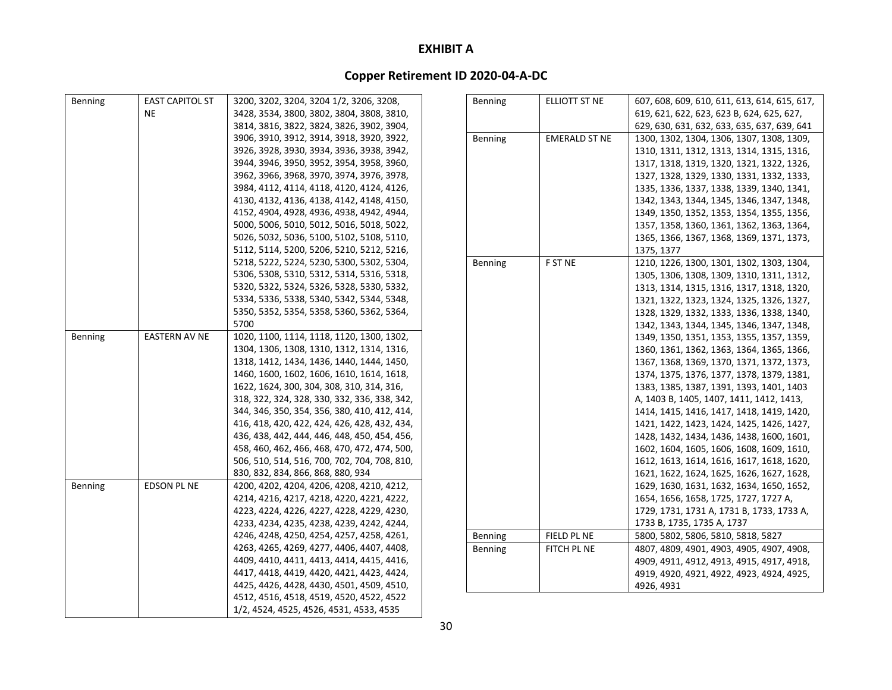| Benning | <b>EAST CAPITOL ST</b> | 3200, 3202, 3204, 3204 1/2, 3206, 3208,      | Benning | ELLIOTT ST NE        | 607, 608, 609, 610, 611, 613, 614, 615, 617, |
|---------|------------------------|----------------------------------------------|---------|----------------------|----------------------------------------------|
|         | <b>NE</b>              | 3428, 3534, 3800, 3802, 3804, 3808, 3810,    |         |                      | 619, 621, 622, 623, 623 B, 624, 625, 627,    |
|         |                        | 3814, 3816, 3822, 3824, 3826, 3902, 3904,    |         |                      | 629, 630, 631, 632, 633, 635, 637, 639, 641  |
|         |                        | 3906, 3910, 3912, 3914, 3918, 3920, 3922,    | Benning | <b>EMERALD ST NE</b> | 1300, 1302, 1304, 1306, 1307, 1308, 1309,    |
|         |                        | 3926, 3928, 3930, 3934, 3936, 3938, 3942,    |         |                      | 1310, 1311, 1312, 1313, 1314, 1315, 1316,    |
|         |                        | 3944, 3946, 3950, 3952, 3954, 3958, 3960,    |         |                      | 1317, 1318, 1319, 1320, 1321, 1322, 1326,    |
|         |                        | 3962, 3966, 3968, 3970, 3974, 3976, 3978,    |         |                      | 1327, 1328, 1329, 1330, 1331, 1332, 1333,    |
|         |                        | 3984, 4112, 4114, 4118, 4120, 4124, 4126,    |         |                      | 1335, 1336, 1337, 1338, 1339, 1340, 1341,    |
|         |                        | 4130, 4132, 4136, 4138, 4142, 4148, 4150,    |         |                      | 1342, 1343, 1344, 1345, 1346, 1347, 1348,    |
|         |                        | 4152, 4904, 4928, 4936, 4938, 4942, 4944,    |         |                      | 1349, 1350, 1352, 1353, 1354, 1355, 1356,    |
|         |                        | 5000, 5006, 5010, 5012, 5016, 5018, 5022,    |         |                      | 1357, 1358, 1360, 1361, 1362, 1363, 1364,    |
|         |                        | 5026, 5032, 5036, 5100, 5102, 5108, 5110,    |         |                      | 1365, 1366, 1367, 1368, 1369, 1371, 1373,    |
|         |                        | 5112, 5114, 5200, 5206, 5210, 5212, 5216,    |         |                      | 1375, 1377                                   |
|         |                        | 5218, 5222, 5224, 5230, 5300, 5302, 5304,    | Benning | F ST NE              | 1210, 1226, 1300, 1301, 1302, 1303, 1304,    |
|         |                        | 5306, 5308, 5310, 5312, 5314, 5316, 5318,    |         |                      | 1305, 1306, 1308, 1309, 1310, 1311, 1312,    |
|         |                        | 5320, 5322, 5324, 5326, 5328, 5330, 5332,    |         |                      | 1313, 1314, 1315, 1316, 1317, 1318, 1320,    |
|         |                        | 5334, 5336, 5338, 5340, 5342, 5344, 5348,    |         |                      | 1321, 1322, 1323, 1324, 1325, 1326, 1327,    |
|         |                        | 5350, 5352, 5354, 5358, 5360, 5362, 5364,    |         |                      | 1328, 1329, 1332, 1333, 1336, 1338, 1340,    |
|         |                        | 5700                                         |         |                      | 1342, 1343, 1344, 1345, 1346, 1347, 1348,    |
| Benning | <b>EASTERN AV NE</b>   | 1020, 1100, 1114, 1118, 1120, 1300, 1302,    |         |                      | 1349, 1350, 1351, 1353, 1355, 1357, 1359,    |
|         |                        | 1304, 1306, 1308, 1310, 1312, 1314, 1316,    |         |                      | 1360, 1361, 1362, 1363, 1364, 1365, 1366,    |
|         |                        | 1318, 1412, 1434, 1436, 1440, 1444, 1450,    |         |                      | 1367, 1368, 1369, 1370, 1371, 1372, 1373,    |
|         |                        | 1460, 1600, 1602, 1606, 1610, 1614, 1618,    |         |                      | 1374, 1375, 1376, 1377, 1378, 1379, 1381,    |
|         |                        | 1622, 1624, 300, 304, 308, 310, 314, 316,    |         |                      | 1383, 1385, 1387, 1391, 1393, 1401, 1403     |
|         |                        | 318, 322, 324, 328, 330, 332, 336, 338, 342, |         |                      | A, 1403 B, 1405, 1407, 1411, 1412, 1413,     |
|         |                        | 344, 346, 350, 354, 356, 380, 410, 412, 414, |         |                      | 1414, 1415, 1416, 1417, 1418, 1419, 1420,    |
|         |                        | 416, 418, 420, 422, 424, 426, 428, 432, 434, |         |                      | 1421, 1422, 1423, 1424, 1425, 1426, 1427,    |
|         |                        | 436, 438, 442, 444, 446, 448, 450, 454, 456, |         |                      | 1428, 1432, 1434, 1436, 1438, 1600, 1601,    |
|         |                        | 458, 460, 462, 466, 468, 470, 472, 474, 500, |         |                      | 1602, 1604, 1605, 1606, 1608, 1609, 1610,    |
|         |                        | 506, 510, 514, 516, 700, 702, 704, 708, 810, |         |                      | 1612, 1613, 1614, 1616, 1617, 1618, 1620,    |
|         |                        | 830, 832, 834, 866, 868, 880, 934            |         |                      | 1621, 1622, 1624, 1625, 1626, 1627, 1628,    |
| Benning | <b>EDSON PL NE</b>     | 4200, 4202, 4204, 4206, 4208, 4210, 4212,    |         |                      | 1629, 1630, 1631, 1632, 1634, 1650, 1652,    |
|         |                        | 4214, 4216, 4217, 4218, 4220, 4221, 4222,    |         |                      | 1654, 1656, 1658, 1725, 1727, 1727 A,        |
|         |                        | 4223, 4224, 4226, 4227, 4228, 4229, 4230,    |         |                      | 1729, 1731, 1731 A, 1731 B, 1733, 1733 A,    |
|         |                        | 4233, 4234, 4235, 4238, 4239, 4242, 4244,    |         |                      | 1733 B, 1735, 1735 A, 1737                   |
|         |                        | 4246, 4248, 4250, 4254, 4257, 4258, 4261,    | Benning | FIELD PL NE          | 5800, 5802, 5806, 5810, 5818, 5827           |
|         |                        | 4263, 4265, 4269, 4277, 4406, 4407, 4408,    | Benning | FITCH PL NE          | 4807, 4809, 4901, 4903, 4905, 4907, 4908,    |
|         |                        | 4409, 4410, 4411, 4413, 4414, 4415, 4416,    |         |                      | 4909, 4911, 4912, 4913, 4915, 4917, 4918,    |
|         |                        | 4417, 4418, 4419, 4420, 4421, 4423, 4424,    |         |                      | 4919, 4920, 4921, 4922, 4923, 4924, 4925,    |
|         |                        | 4425, 4426, 4428, 4430, 4501, 4509, 4510,    |         |                      | 4926.4931                                    |
|         |                        | 4512, 4516, 4518, 4519, 4520, 4522, 4522     |         |                      |                                              |
|         |                        | 1/2, 4524, 4525, 4526, 4531, 4533, 4535      |         |                      |                                              |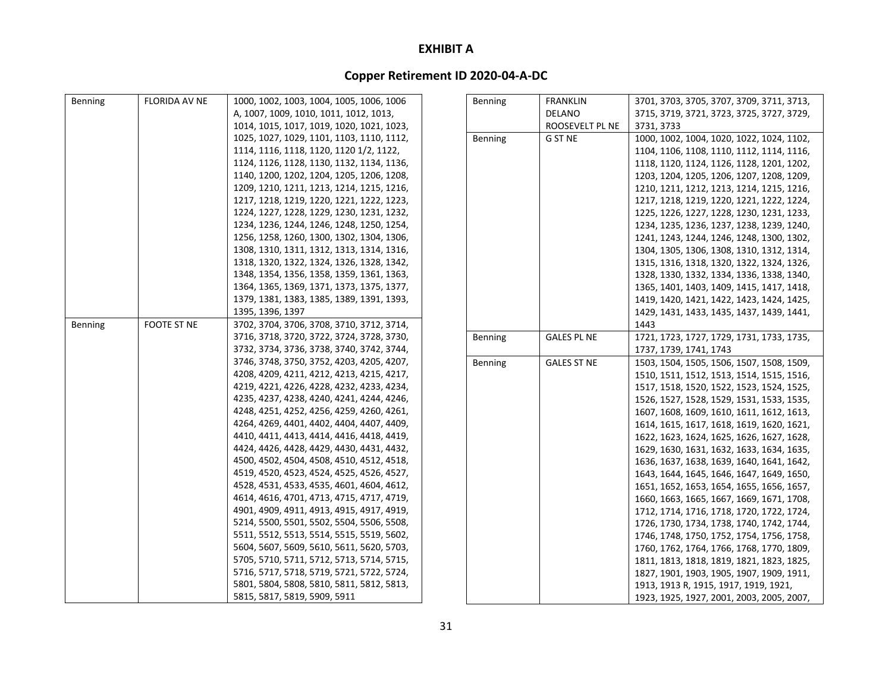| Benning | FLORIDA AV NE      | 1000, 1002, 1003, 1004, 1005, 1006, 1006  | Benning | <b>FRANKLIN</b>    | 3701, 3703, 3705, 3707, 3709, 3711, 3713, |
|---------|--------------------|-------------------------------------------|---------|--------------------|-------------------------------------------|
|         |                    | A, 1007, 1009, 1010, 1011, 1012, 1013,    |         | DELANO             | 3715, 3719, 3721, 3723, 3725, 3727, 3729, |
|         |                    | 1014, 1015, 1017, 1019, 1020, 1021, 1023, |         | ROOSEVELT PL NE    | 3731, 3733                                |
|         |                    | 1025, 1027, 1029, 1101, 1103, 1110, 1112, | Benning | G ST NE            | 1000, 1002, 1004, 1020, 1022, 1024, 1102, |
|         |                    | 1114, 1116, 1118, 1120, 1120 1/2, 1122,   |         |                    | 1104, 1106, 1108, 1110, 1112, 1114, 1116, |
|         |                    | 1124, 1126, 1128, 1130, 1132, 1134, 1136, |         |                    | 1118, 1120, 1124, 1126, 1128, 1201, 1202, |
|         |                    | 1140, 1200, 1202, 1204, 1205, 1206, 1208, |         |                    | 1203, 1204, 1205, 1206, 1207, 1208, 1209, |
|         |                    | 1209, 1210, 1211, 1213, 1214, 1215, 1216, |         |                    | 1210, 1211, 1212, 1213, 1214, 1215, 1216, |
|         |                    | 1217, 1218, 1219, 1220, 1221, 1222, 1223, |         |                    | 1217, 1218, 1219, 1220, 1221, 1222, 1224, |
|         |                    | 1224, 1227, 1228, 1229, 1230, 1231, 1232, |         |                    | 1225, 1226, 1227, 1228, 1230, 1231, 1233, |
|         |                    | 1234, 1236, 1244, 1246, 1248, 1250, 1254, |         |                    | 1234, 1235, 1236, 1237, 1238, 1239, 1240, |
|         |                    | 1256, 1258, 1260, 1300, 1302, 1304, 1306, |         |                    | 1241, 1243, 1244, 1246, 1248, 1300, 1302, |
|         |                    | 1308, 1310, 1311, 1312, 1313, 1314, 1316, |         |                    | 1304, 1305, 1306, 1308, 1310, 1312, 1314, |
|         |                    | 1318, 1320, 1322, 1324, 1326, 1328, 1342, |         |                    | 1315, 1316, 1318, 1320, 1322, 1324, 1326, |
|         |                    | 1348, 1354, 1356, 1358, 1359, 1361, 1363, |         |                    | 1328, 1330, 1332, 1334, 1336, 1338, 1340, |
|         |                    | 1364, 1365, 1369, 1371, 1373, 1375, 1377, |         |                    | 1365, 1401, 1403, 1409, 1415, 1417, 1418, |
|         |                    | 1379, 1381, 1383, 1385, 1389, 1391, 1393, |         |                    | 1419, 1420, 1421, 1422, 1423, 1424, 1425, |
|         |                    | 1395, 1396, 1397                          |         |                    | 1429, 1431, 1433, 1435, 1437, 1439, 1441, |
| Benning | <b>FOOTE ST NE</b> | 3702, 3704, 3706, 3708, 3710, 3712, 3714, |         |                    | 1443                                      |
|         |                    | 3716, 3718, 3720, 3722, 3724, 3728, 3730, | Benning | <b>GALES PL NE</b> | 1721, 1723, 1727, 1729, 1731, 1733, 1735, |
|         |                    | 3732, 3734, 3736, 3738, 3740, 3742, 3744, |         |                    | 1737, 1739, 1741, 1743                    |
|         |                    | 3746, 3748, 3750, 3752, 4203, 4205, 4207, | Benning | <b>GALES ST NE</b> | 1503, 1504, 1505, 1506, 1507, 1508, 1509, |
|         |                    | 4208, 4209, 4211, 4212, 4213, 4215, 4217, |         |                    | 1510, 1511, 1512, 1513, 1514, 1515, 1516, |
|         |                    | 4219, 4221, 4226, 4228, 4232, 4233, 4234, |         |                    | 1517, 1518, 1520, 1522, 1523, 1524, 1525, |
|         |                    | 4235, 4237, 4238, 4240, 4241, 4244, 4246, |         |                    | 1526, 1527, 1528, 1529, 1531, 1533, 1535, |
|         |                    | 4248, 4251, 4252, 4256, 4259, 4260, 4261, |         |                    | 1607, 1608, 1609, 1610, 1611, 1612, 1613, |
|         |                    | 4264, 4269, 4401, 4402, 4404, 4407, 4409, |         |                    | 1614, 1615, 1617, 1618, 1619, 1620, 1621, |
|         |                    | 4410, 4411, 4413, 4414, 4416, 4418, 4419, |         |                    | 1622, 1623, 1624, 1625, 1626, 1627, 1628, |
|         |                    | 4424, 4426, 4428, 4429, 4430, 4431, 4432, |         |                    | 1629, 1630, 1631, 1632, 1633, 1634, 1635, |
|         |                    | 4500, 4502, 4504, 4508, 4510, 4512, 4518, |         |                    | 1636, 1637, 1638, 1639, 1640, 1641, 1642, |
|         |                    | 4519, 4520, 4523, 4524, 4525, 4526, 4527, |         |                    | 1643, 1644, 1645, 1646, 1647, 1649, 1650, |
|         |                    | 4528, 4531, 4533, 4535, 4601, 4604, 4612, |         |                    | 1651, 1652, 1653, 1654, 1655, 1656, 1657, |
|         |                    | 4614, 4616, 4701, 4713, 4715, 4717, 4719, |         |                    | 1660, 1663, 1665, 1667, 1669, 1671, 1708, |
|         |                    | 4901, 4909, 4911, 4913, 4915, 4917, 4919, |         |                    | 1712, 1714, 1716, 1718, 1720, 1722, 1724, |
|         |                    | 5214, 5500, 5501, 5502, 5504, 5506, 5508, |         |                    | 1726, 1730, 1734, 1738, 1740, 1742, 1744, |
|         |                    | 5511, 5512, 5513, 5514, 5515, 5519, 5602, |         |                    | 1746, 1748, 1750, 1752, 1754, 1756, 1758, |
|         |                    | 5604, 5607, 5609, 5610, 5611, 5620, 5703, |         |                    | 1760, 1762, 1764, 1766, 1768, 1770, 1809, |
|         |                    | 5705, 5710, 5711, 5712, 5713, 5714, 5715, |         |                    | 1811, 1813, 1818, 1819, 1821, 1823, 1825, |
|         |                    | 5716, 5717, 5718, 5719, 5721, 5722, 5724, |         |                    | 1827, 1901, 1903, 1905, 1907, 1909, 1911, |
|         |                    | 5801, 5804, 5808, 5810, 5811, 5812, 5813, |         |                    | 1913, 1913 R, 1915, 1917, 1919, 1921,     |
|         |                    | 5815, 5817, 5819, 5909, 5911              |         |                    | 1923, 1925, 1927, 2001, 2003, 2005, 2007, |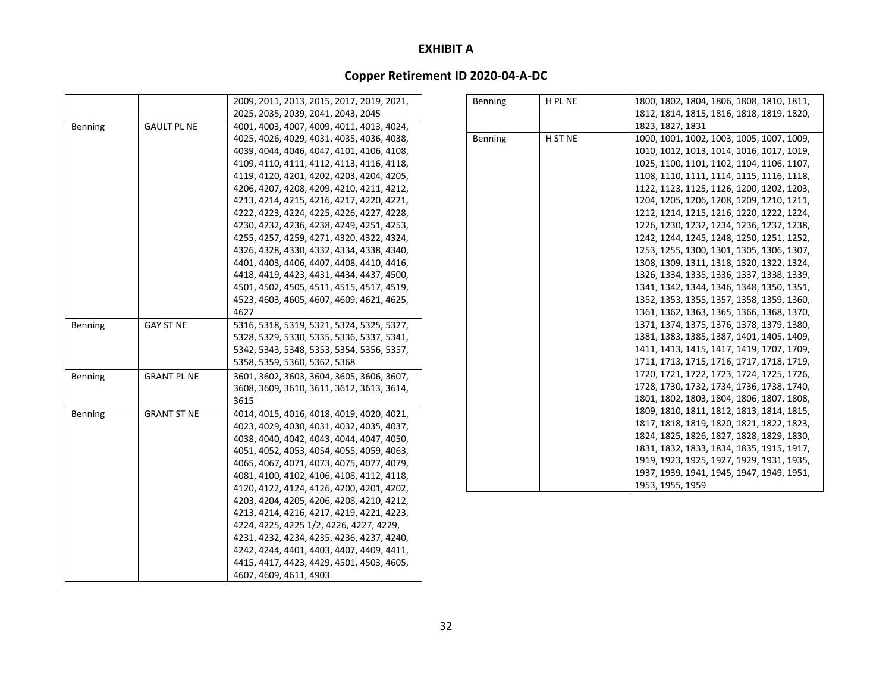# **Copper Retirement ID 2020‐04‐A‐DC**

|         |                    | 2009, 2011, 2013, 2015, 2017, 2019, 2021, | Benning | H PL NE | 1800, 1802, 1804, 1806, 1808, 1810, 1811, |
|---------|--------------------|-------------------------------------------|---------|---------|-------------------------------------------|
|         |                    | 2025, 2035, 2039, 2041, 2043, 2045        |         |         | 1812, 1814, 1815, 1816, 1818, 1819, 1820, |
| Benning | <b>GAULT PL NE</b> | 4001, 4003, 4007, 4009, 4011, 4013, 4024, |         |         | 1823, 1827, 1831                          |
|         |                    | 4025, 4026, 4029, 4031, 4035, 4036, 4038, | Benning | H ST NE | 1000, 1001, 1002, 1003, 1005, 1007, 1009, |
|         |                    | 4039, 4044, 4046, 4047, 4101, 4106, 4108, |         |         | 1010, 1012, 1013, 1014, 1016, 1017, 1019, |
|         |                    | 4109, 4110, 4111, 4112, 4113, 4116, 4118, |         |         | 1025, 1100, 1101, 1102, 1104, 1106, 1107, |
|         |                    | 4119, 4120, 4201, 4202, 4203, 4204, 4205, |         |         | 1108, 1110, 1111, 1114, 1115, 1116, 1118, |
|         |                    | 4206, 4207, 4208, 4209, 4210, 4211, 4212, |         |         | 1122, 1123, 1125, 1126, 1200, 1202, 1203, |
|         |                    | 4213, 4214, 4215, 4216, 4217, 4220, 4221, |         |         | 1204, 1205, 1206, 1208, 1209, 1210, 1211, |
|         |                    | 4222, 4223, 4224, 4225, 4226, 4227, 4228, |         |         | 1212, 1214, 1215, 1216, 1220, 1222, 1224, |
|         |                    | 4230, 4232, 4236, 4238, 4249, 4251, 4253, |         |         | 1226, 1230, 1232, 1234, 1236, 1237, 1238, |
|         |                    | 4255, 4257, 4259, 4271, 4320, 4322, 4324, |         |         | 1242, 1244, 1245, 1248, 1250, 1251, 1252, |
|         |                    | 4326, 4328, 4330, 4332, 4334, 4338, 4340, |         |         | 1253, 1255, 1300, 1301, 1305, 1306, 1307, |
|         |                    | 4401, 4403, 4406, 4407, 4408, 4410, 4416, |         |         | 1308, 1309, 1311, 1318, 1320, 1322, 1324, |
|         |                    | 4418, 4419, 4423, 4431, 4434, 4437, 4500, |         |         | 1326, 1334, 1335, 1336, 1337, 1338, 1339, |
|         |                    | 4501, 4502, 4505, 4511, 4515, 4517, 4519, |         |         | 1341, 1342, 1344, 1346, 1348, 1350, 1351, |
|         |                    | 4523, 4603, 4605, 4607, 4609, 4621, 4625, |         |         | 1352, 1353, 1355, 1357, 1358, 1359, 1360, |
|         |                    | 4627                                      |         |         | 1361, 1362, 1363, 1365, 1366, 1368, 1370, |
| Benning | <b>GAY ST NE</b>   | 5316, 5318, 5319, 5321, 5324, 5325, 5327, |         |         | 1371, 1374, 1375, 1376, 1378, 1379, 1380, |
|         |                    | 5328, 5329, 5330, 5335, 5336, 5337, 5341, |         |         | 1381, 1383, 1385, 1387, 1401, 1405, 1409, |
|         |                    | 5342, 5343, 5348, 5353, 5354, 5356, 5357, |         |         | 1411, 1413, 1415, 1417, 1419, 1707, 1709, |
|         |                    | 5358, 5359, 5360, 5362, 5368              |         |         | 1711, 1713, 1715, 1716, 1717, 1718, 1719, |
| Benning | <b>GRANT PL NE</b> | 3601, 3602, 3603, 3604, 3605, 3606, 3607, |         |         | 1720, 1721, 1722, 1723, 1724, 1725, 1726, |
|         |                    | 3608, 3609, 3610, 3611, 3612, 3613, 3614, |         |         | 1728, 1730, 1732, 1734, 1736, 1738, 1740, |
|         |                    | 3615                                      |         |         | 1801, 1802, 1803, 1804, 1806, 1807, 1808, |
| Benning | <b>GRANT ST NE</b> | 4014, 4015, 4016, 4018, 4019, 4020, 4021, |         |         | 1809, 1810, 1811, 1812, 1813, 1814, 1815, |
|         |                    | 4023, 4029, 4030, 4031, 4032, 4035, 4037, |         |         | 1817, 1818, 1819, 1820, 1821, 1822, 1823, |
|         |                    | 4038, 4040, 4042, 4043, 4044, 4047, 4050, |         |         | 1824, 1825, 1826, 1827, 1828, 1829, 1830, |
|         |                    | 4051, 4052, 4053, 4054, 4055, 4059, 4063, |         |         | 1831, 1832, 1833, 1834, 1835, 1915, 1917, |
|         |                    | 4065, 4067, 4071, 4073, 4075, 4077, 4079, |         |         | 1919, 1923, 1925, 1927, 1929, 1931, 1935, |
|         |                    | 4081, 4100, 4102, 4106, 4108, 4112, 4118, |         |         | 1937, 1939, 1941, 1945, 1947, 1949, 1951, |
|         |                    | 4120, 4122, 4124, 4126, 4200, 4201, 4202, |         |         | 1953, 1955, 1959                          |
|         |                    | 4203, 4204, 4205, 4206, 4208, 4210, 4212, |         |         |                                           |
|         |                    | 4213, 4214, 4216, 4217, 4219, 4221, 4223, |         |         |                                           |
|         |                    | 4224, 4225, 4225 1/2, 4226, 4227, 4229,   |         |         |                                           |
|         |                    | 4231, 4232, 4234, 4235, 4236, 4237, 4240, |         |         |                                           |
|         |                    | 4242, 4244, 4401, 4403, 4407, 4409, 4411, |         |         |                                           |
|         |                    | 4415, 4417, 4423, 4429, 4501, 4503, 4605, |         |         |                                           |

4607, 4609, 4611, 4903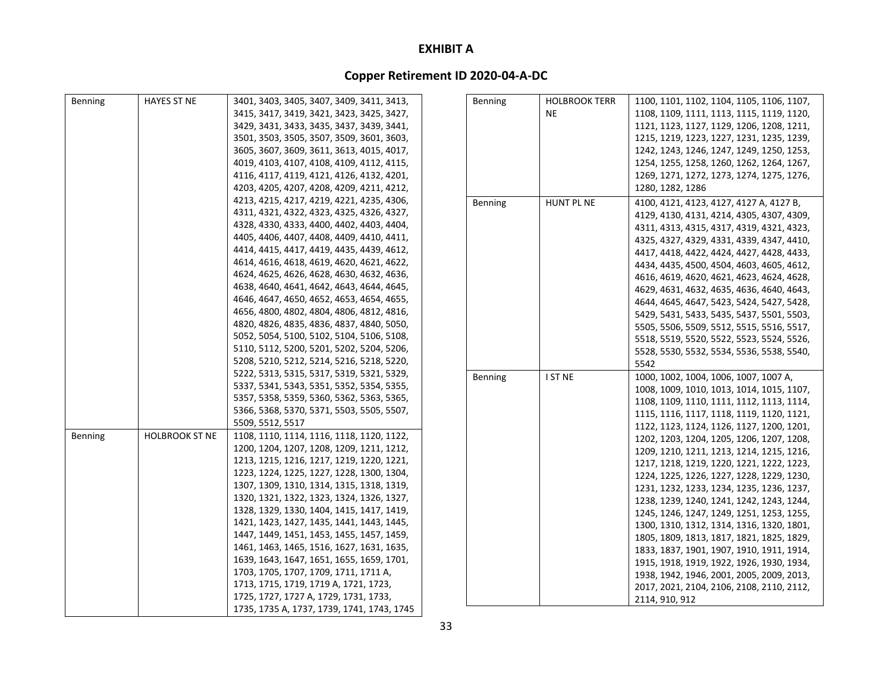| Benning | <b>HAYES ST NE</b>    | 3401, 3403, 3405, 3407, 3409, 3411, 3413,  | <b>Benning</b> | <b>HOLBROOK TERR</b> | 1100, 1101, 1102, 1104, 1105, 1106, 1107, |
|---------|-----------------------|--------------------------------------------|----------------|----------------------|-------------------------------------------|
|         |                       | 3415, 3417, 3419, 3421, 3423, 3425, 3427,  |                | NE.                  | 1108, 1109, 1111, 1113, 1115, 1119, 1120, |
|         |                       | 3429, 3431, 3433, 3435, 3437, 3439, 3441,  |                |                      | 1121, 1123, 1127, 1129, 1206, 1208, 1211, |
|         |                       | 3501, 3503, 3505, 3507, 3509, 3601, 3603,  |                |                      | 1215, 1219, 1223, 1227, 1231, 1235, 1239, |
|         |                       | 3605, 3607, 3609, 3611, 3613, 4015, 4017,  |                |                      | 1242, 1243, 1246, 1247, 1249, 1250, 1253, |
|         |                       | 4019, 4103, 4107, 4108, 4109, 4112, 4115,  |                |                      | 1254, 1255, 1258, 1260, 1262, 1264, 1267, |
|         |                       | 4116, 4117, 4119, 4121, 4126, 4132, 4201,  |                |                      | 1269, 1271, 1272, 1273, 1274, 1275, 1276, |
|         |                       | 4203, 4205, 4207, 4208, 4209, 4211, 4212,  |                |                      | 1280, 1282, 1286                          |
|         |                       | 4213, 4215, 4217, 4219, 4221, 4235, 4306,  | Benning        | <b>HUNT PL NE</b>    | 4100, 4121, 4123, 4127, 4127 A, 4127 B,   |
|         |                       | 4311, 4321, 4322, 4323, 4325, 4326, 4327,  |                |                      | 4129, 4130, 4131, 4214, 4305, 4307, 4309, |
|         |                       | 4328, 4330, 4333, 4400, 4402, 4403, 4404,  |                |                      | 4311, 4313, 4315, 4317, 4319, 4321, 4323, |
|         |                       | 4405, 4406, 4407, 4408, 4409, 4410, 4411,  |                |                      | 4325, 4327, 4329, 4331, 4339, 4347, 4410, |
|         |                       | 4414, 4415, 4417, 4419, 4435, 4439, 4612,  |                |                      | 4417, 4418, 4422, 4424, 4427, 4428, 4433, |
|         |                       | 4614, 4616, 4618, 4619, 4620, 4621, 4622,  |                |                      | 4434, 4435, 4500, 4504, 4603, 4605, 4612, |
|         |                       | 4624, 4625, 4626, 4628, 4630, 4632, 4636,  |                |                      | 4616, 4619, 4620, 4621, 4623, 4624, 4628, |
|         |                       | 4638, 4640, 4641, 4642, 4643, 4644, 4645,  |                |                      | 4629, 4631, 4632, 4635, 4636, 4640, 4643, |
|         |                       | 4646, 4647, 4650, 4652, 4653, 4654, 4655,  |                |                      | 4644, 4645, 4647, 5423, 5424, 5427, 5428, |
|         |                       | 4656, 4800, 4802, 4804, 4806, 4812, 4816,  |                |                      | 5429, 5431, 5433, 5435, 5437, 5501, 5503, |
|         |                       | 4820, 4826, 4835, 4836, 4837, 4840, 5050,  |                |                      | 5505, 5506, 5509, 5512, 5515, 5516, 5517, |
|         |                       | 5052, 5054, 5100, 5102, 5104, 5106, 5108,  |                |                      | 5518, 5519, 5520, 5522, 5523, 5524, 5526, |
|         |                       | 5110, 5112, 5200, 5201, 5202, 5204, 5206,  |                |                      | 5528, 5530, 5532, 5534, 5536, 5538, 5540, |
|         |                       | 5208, 5210, 5212, 5214, 5216, 5218, 5220,  |                |                      | 5542                                      |
|         |                       | 5222, 5313, 5315, 5317, 5319, 5321, 5329,  | Benning        | I ST NE              | 1000, 1002, 1004, 1006, 1007, 1007 A,     |
|         |                       | 5337, 5341, 5343, 5351, 5352, 5354, 5355,  |                |                      | 1008, 1009, 1010, 1013, 1014, 1015, 1107, |
|         |                       | 5357, 5358, 5359, 5360, 5362, 5363, 5365,  |                |                      | 1108, 1109, 1110, 1111, 1112, 1113, 1114, |
|         |                       | 5366, 5368, 5370, 5371, 5503, 5505, 5507,  |                |                      | 1115, 1116, 1117, 1118, 1119, 1120, 1121, |
|         |                       | 5509, 5512, 5517                           |                |                      | 1122, 1123, 1124, 1126, 1127, 1200, 1201, |
| Benning | <b>HOLBROOK ST NE</b> | 1108, 1110, 1114, 1116, 1118, 1120, 1122,  |                |                      | 1202, 1203, 1204, 1205, 1206, 1207, 1208, |
|         |                       | 1200, 1204, 1207, 1208, 1209, 1211, 1212,  |                |                      | 1209, 1210, 1211, 1213, 1214, 1215, 1216, |
|         |                       | 1213, 1215, 1216, 1217, 1219, 1220, 1221,  |                |                      | 1217, 1218, 1219, 1220, 1221, 1222, 1223, |
|         |                       | 1223, 1224, 1225, 1227, 1228, 1300, 1304,  |                |                      | 1224, 1225, 1226, 1227, 1228, 1229, 1230, |
|         |                       | 1307, 1309, 1310, 1314, 1315, 1318, 1319,  |                |                      | 1231, 1232, 1233, 1234, 1235, 1236, 1237, |
|         |                       | 1320, 1321, 1322, 1323, 1324, 1326, 1327,  |                |                      | 1238, 1239, 1240, 1241, 1242, 1243, 1244, |
|         |                       | 1328, 1329, 1330, 1404, 1415, 1417, 1419,  |                |                      | 1245, 1246, 1247, 1249, 1251, 1253, 1255, |
|         |                       | 1421, 1423, 1427, 1435, 1441, 1443, 1445,  |                |                      | 1300, 1310, 1312, 1314, 1316, 1320, 1801, |
|         |                       | 1447, 1449, 1451, 1453, 1455, 1457, 1459,  |                |                      | 1805, 1809, 1813, 1817, 1821, 1825, 1829, |
|         |                       | 1461, 1463, 1465, 1516, 1627, 1631, 1635,  |                |                      | 1833, 1837, 1901, 1907, 1910, 1911, 1914, |
|         |                       | 1639, 1643, 1647, 1651, 1655, 1659, 1701,  |                |                      | 1915, 1918, 1919, 1922, 1926, 1930, 1934, |
|         |                       | 1703, 1705, 1707, 1709, 1711, 1711 A,      |                |                      | 1938, 1942, 1946, 2001, 2005, 2009, 2013, |
|         |                       | 1713, 1715, 1719, 1719 A, 1721, 1723,      |                |                      | 2017, 2021, 2104, 2106, 2108, 2110, 2112, |
|         |                       | 1725, 1727, 1727 A, 1729, 1731, 1733,      |                |                      | 2114, 910, 912                            |
|         |                       | 1735, 1735 A, 1737, 1739, 1741, 1743, 1745 |                |                      |                                           |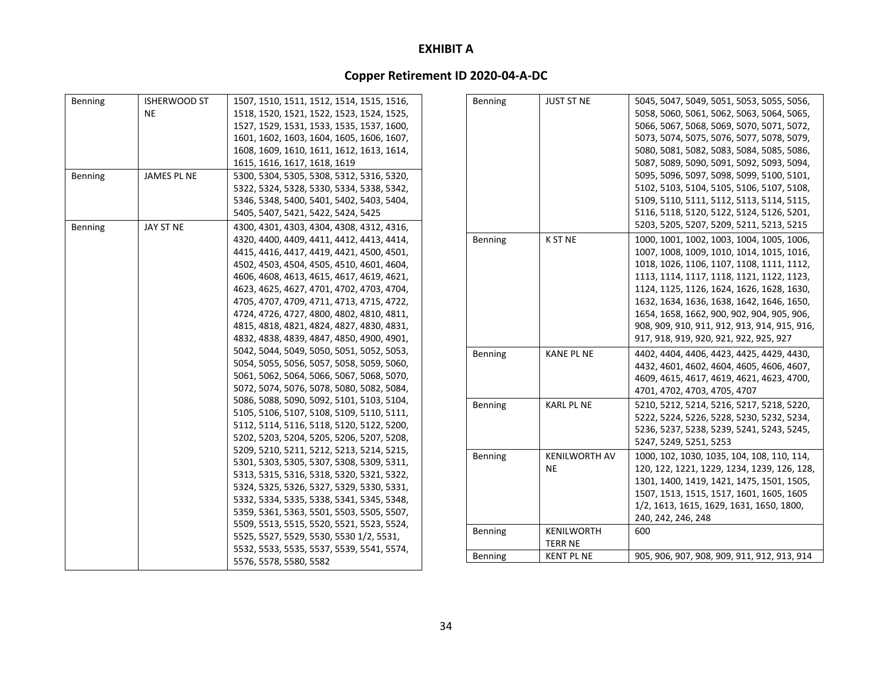| <b>Benning</b> | <b>ISHERWOOD ST</b> | 1507, 1510, 1511, 1512, 1514, 1515, 1516, |
|----------------|---------------------|-------------------------------------------|
|                | <b>NE</b>           | 1518, 1520, 1521, 1522, 1523, 1524, 1525, |
|                |                     | 1527, 1529, 1531, 1533, 1535, 1537, 1600, |
|                |                     | 1601, 1602, 1603, 1604, 1605, 1606, 1607, |
|                |                     | 1608, 1609, 1610, 1611, 1612, 1613, 1614, |
|                |                     | 1615, 1616, 1617, 1618, 1619              |
| Benning        | JAMES PL NE         | 5300, 5304, 5305, 5308, 5312, 5316, 5320, |
|                |                     | 5322, 5324, 5328, 5330, 5334, 5338, 5342, |
|                |                     | 5346, 5348, 5400, 5401, 5402, 5403, 5404, |
|                |                     | 5405, 5407, 5421, 5422, 5424, 5425        |
| Benning        | JAY ST NE           | 4300, 4301, 4303, 4304, 4308, 4312, 4316, |
|                |                     | 4320, 4400, 4409, 4411, 4412, 4413, 4414, |
|                |                     | 4415, 4416, 4417, 4419, 4421, 4500, 4501, |
|                |                     | 4502, 4503, 4504, 4505, 4510, 4601, 4604, |
|                |                     | 4606, 4608, 4613, 4615, 4617, 4619, 4621, |
|                |                     | 4623, 4625, 4627, 4701, 4702, 4703, 4704, |
|                |                     | 4705, 4707, 4709, 4711, 4713, 4715, 4722, |
|                |                     | 4724, 4726, 4727, 4800, 4802, 4810, 4811, |
|                |                     | 4815, 4818, 4821, 4824, 4827, 4830, 4831, |
|                |                     | 4832, 4838, 4839, 4847, 4850, 4900, 4901, |
|                |                     | 5042, 5044, 5049, 5050, 5051, 5052, 5053, |
|                |                     | 5054, 5055, 5056, 5057, 5058, 5059, 5060, |
|                |                     | 5061, 5062, 5064, 5066, 5067, 5068, 5070, |
|                |                     | 5072, 5074, 5076, 5078, 5080, 5082, 5084, |
|                |                     | 5086, 5088, 5090, 5092, 5101, 5103, 5104, |
|                |                     | 5105, 5106, 5107, 5108, 5109, 5110, 5111, |
|                |                     | 5112, 5114, 5116, 5118, 5120, 5122, 5200, |
|                |                     | 5202, 5203, 5204, 5205, 5206, 5207, 5208, |
|                |                     | 5209, 5210, 5211, 5212, 5213, 5214, 5215, |
|                |                     | 5301, 5303, 5305, 5307, 5308, 5309, 5311, |
|                |                     | 5313, 5315, 5316, 5318, 5320, 5321, 5322, |
|                |                     | 5324, 5325, 5326, 5327, 5329, 5330, 5331, |
|                |                     | 5332, 5334, 5335, 5338, 5341, 5345, 5348, |
|                |                     | 5359, 5361, 5363, 5501, 5503, 5505, 5507, |
|                |                     | 5509, 5513, 5515, 5520, 5521, 5523, 5524, |
|                |                     | 5525, 5527, 5529, 5530, 5530 1/2, 5531,   |
|                |                     | 5532, 5533, 5535, 5537, 5539, 5541, 5574, |
|                |                     | 5576, 5578, 5580, 5582                    |

| Benning        | <b>JUST ST NE</b>    | 5045, 5047, 5049, 5051, 5053, 5055, 5056,    |
|----------------|----------------------|----------------------------------------------|
|                |                      | 5058, 5060, 5061, 5062, 5063, 5064, 5065,    |
|                |                      |                                              |
|                |                      | 5066, 5067, 5068, 5069, 5070, 5071, 5072,    |
|                |                      | 5073, 5074, 5075, 5076, 5077, 5078, 5079,    |
|                |                      | 5080, 5081, 5082, 5083, 5084, 5085, 5086,    |
|                |                      | 5087, 5089, 5090, 5091, 5092, 5093, 5094,    |
|                |                      | 5095, 5096, 5097, 5098, 5099, 5100, 5101,    |
|                |                      | 5102, 5103, 5104, 5105, 5106, 5107, 5108,    |
|                |                      | 5109, 5110, 5111, 5112, 5113, 5114, 5115,    |
|                |                      | 5116, 5118, 5120, 5122, 5124, 5126, 5201,    |
|                |                      | 5203, 5205, 5207, 5209, 5211, 5213, 5215     |
| Benning        | K ST NE              | 1000, 1001, 1002, 1003, 1004, 1005, 1006,    |
|                |                      | 1007, 1008, 1009, 1010, 1014, 1015, 1016,    |
|                |                      | 1018, 1026, 1106, 1107, 1108, 1111, 1112,    |
|                |                      | 1113, 1114, 1117, 1118, 1121, 1122, 1123,    |
|                |                      | 1124, 1125, 1126, 1624, 1626, 1628, 1630,    |
|                |                      | 1632, 1634, 1636, 1638, 1642, 1646, 1650,    |
|                |                      | 1654, 1658, 1662, 900, 902, 904, 905, 906,   |
|                |                      | 908, 909, 910, 911, 912, 913, 914, 915, 916, |
|                |                      | 917, 918, 919, 920, 921, 922, 925, 927       |
|                |                      |                                              |
| Benning        | <b>KANE PL NE</b>    | 4402, 4404, 4406, 4423, 4425, 4429, 4430,    |
|                |                      | 4432, 4601, 4602, 4604, 4605, 4606, 4607,    |
|                |                      | 4609, 4615, 4617, 4619, 4621, 4623, 4700,    |
|                |                      | 4701, 4702, 4703, 4705, 4707                 |
| Benning        | <b>KARL PL NE</b>    | 5210, 5212, 5214, 5216, 5217, 5218, 5220,    |
|                |                      | 5222, 5224, 5226, 5228, 5230, 5232, 5234,    |
|                |                      | 5236, 5237, 5238, 5239, 5241, 5243, 5245,    |
|                |                      | 5247, 5249, 5251, 5253                       |
| Benning        | <b>KENILWORTH AV</b> | 1000, 102, 1030, 1035, 104, 108, 110, 114,   |
|                | ΝE                   | 120, 122, 1221, 1229, 1234, 1239, 126, 128,  |
|                |                      | 1301, 1400, 1419, 1421, 1475, 1501, 1505,    |
|                |                      | 1507, 1513, 1515, 1517, 1601, 1605, 1605     |
|                |                      | 1/2, 1613, 1615, 1629, 1631, 1650, 1800,     |
|                |                      | 240, 242, 246, 248                           |
| Benning        | KENILWORTH           | 600                                          |
|                | <b>TERR NE</b>       |                                              |
| <b>Benning</b> | <b>KENT PL NE</b>    | 905, 906, 907, 908, 909, 911, 912, 913, 914  |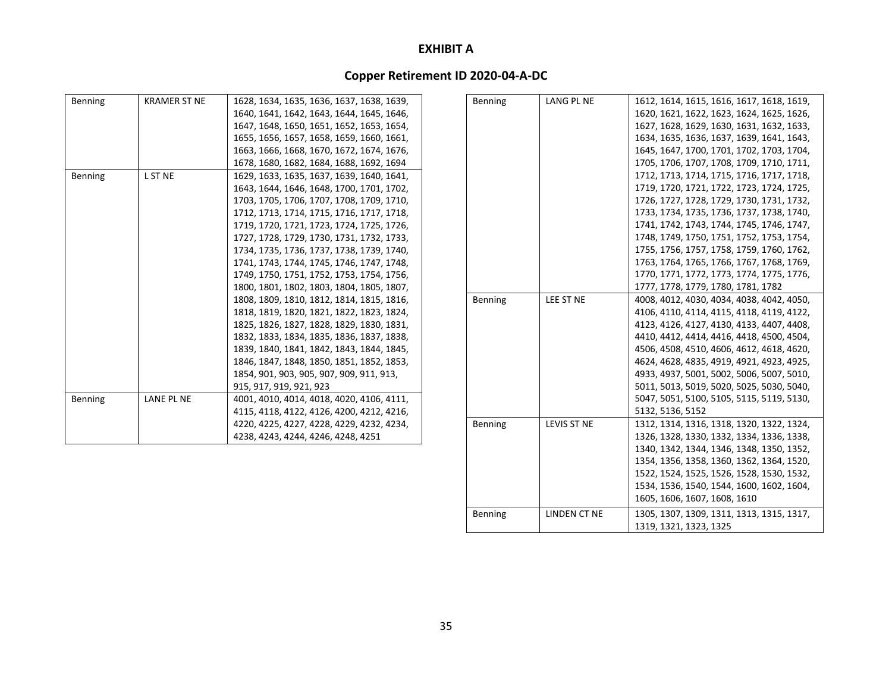| Benning        | <b>KRAMER ST NE</b> | 1628, 1634, 1635, 1636, 1637, 1638, 1639, |
|----------------|---------------------|-------------------------------------------|
|                |                     | 1640, 1641, 1642, 1643, 1644, 1645, 1646, |
|                |                     | 1647, 1648, 1650, 1651, 1652, 1653, 1654, |
|                |                     | 1655, 1656, 1657, 1658, 1659, 1660, 1661, |
|                |                     | 1663, 1666, 1668, 1670, 1672, 1674, 1676, |
|                |                     | 1678, 1680, 1682, 1684, 1688, 1692, 1694  |
| <b>Benning</b> | L ST NE             | 1629, 1633, 1635, 1637, 1639, 1640, 1641, |
|                |                     | 1643, 1644, 1646, 1648, 1700, 1701, 1702, |
|                |                     | 1703, 1705, 1706, 1707, 1708, 1709, 1710, |
|                |                     | 1712, 1713, 1714, 1715, 1716, 1717, 1718, |
|                |                     | 1719, 1720, 1721, 1723, 1724, 1725, 1726, |
|                |                     | 1727, 1728, 1729, 1730, 1731, 1732, 1733, |
|                |                     | 1734, 1735, 1736, 1737, 1738, 1739, 1740, |
|                |                     | 1741, 1743, 1744, 1745, 1746, 1747, 1748, |
|                |                     | 1749, 1750, 1751, 1752, 1753, 1754, 1756, |
|                |                     | 1800, 1801, 1802, 1803, 1804, 1805, 1807, |
|                |                     | 1808, 1809, 1810, 1812, 1814, 1815, 1816, |
|                |                     | 1818, 1819, 1820, 1821, 1822, 1823, 1824, |
|                |                     | 1825, 1826, 1827, 1828, 1829, 1830, 1831, |
|                |                     | 1832, 1833, 1834, 1835, 1836, 1837, 1838, |
|                |                     | 1839, 1840, 1841, 1842, 1843, 1844, 1845, |
|                |                     | 1846, 1847, 1848, 1850, 1851, 1852, 1853, |
|                |                     | 1854, 901, 903, 905, 907, 909, 911, 913,  |
|                |                     | 915, 917, 919, 921, 923                   |
| <b>Benning</b> | LANE PL NE          | 4001, 4010, 4014, 4018, 4020, 4106, 4111, |
|                |                     | 4115, 4118, 4122, 4126, 4200, 4212, 4216, |
|                |                     | 4220, 4225, 4227, 4228, 4229, 4232, 4234, |
|                |                     | 4238, 4243, 4244, 4246, 4248, 4251        |

| <b>Benning</b> | LANG PL NE   | 1612, 1614, 1615, 1616, 1617, 1618, 1619, |
|----------------|--------------|-------------------------------------------|
|                |              | 1620, 1621, 1622, 1623, 1624, 1625, 1626, |
|                |              | 1627, 1628, 1629, 1630, 1631, 1632, 1633, |
|                |              | 1634, 1635, 1636, 1637, 1639, 1641, 1643, |
|                |              | 1645, 1647, 1700, 1701, 1702, 1703, 1704, |
|                |              | 1705, 1706, 1707, 1708, 1709, 1710, 1711, |
|                |              | 1712, 1713, 1714, 1715, 1716, 1717, 1718, |
|                |              | 1719, 1720, 1721, 1722, 1723, 1724, 1725, |
|                |              | 1726, 1727, 1728, 1729, 1730, 1731, 1732, |
|                |              | 1733, 1734, 1735, 1736, 1737, 1738, 1740, |
|                |              | 1741, 1742, 1743, 1744, 1745, 1746, 1747, |
|                |              | 1748, 1749, 1750, 1751, 1752, 1753, 1754, |
|                |              | 1755, 1756, 1757, 1758, 1759, 1760, 1762, |
|                |              | 1763, 1764, 1765, 1766, 1767, 1768, 1769, |
|                |              | 1770, 1771, 1772, 1773, 1774, 1775, 1776, |
|                |              | 1777, 1778, 1779, 1780, 1781, 1782        |
| <b>Benning</b> | LEE ST NE    | 4008, 4012, 4030, 4034, 4038, 4042, 4050, |
|                |              | 4106, 4110, 4114, 4115, 4118, 4119, 4122, |
|                |              | 4123, 4126, 4127, 4130, 4133, 4407, 4408, |
|                |              | 4410, 4412, 4414, 4416, 4418, 4500, 4504, |
|                |              | 4506, 4508, 4510, 4606, 4612, 4618, 4620, |
|                |              | 4624, 4628, 4835, 4919, 4921, 4923, 4925, |
|                |              | 4933, 4937, 5001, 5002, 5006, 5007, 5010, |
|                |              | 5011, 5013, 5019, 5020, 5025, 5030, 5040, |
|                |              | 5047, 5051, 5100, 5105, 5115, 5119, 5130, |
|                |              | 5132, 5136, 5152                          |
| <b>Benning</b> | LEVIS ST NE  | 1312, 1314, 1316, 1318, 1320, 1322, 1324, |
|                |              | 1326, 1328, 1330, 1332, 1334, 1336, 1338, |
|                |              | 1340, 1342, 1344, 1346, 1348, 1350, 1352, |
|                |              | 1354, 1356, 1358, 1360, 1362, 1364, 1520, |
|                |              | 1522, 1524, 1525, 1526, 1528, 1530, 1532, |
|                |              | 1534, 1536, 1540, 1544, 1600, 1602, 1604, |
|                |              | 1605, 1606, 1607, 1608, 1610              |
| <b>Benning</b> | LINDEN CT NE | 1305, 1307, 1309, 1311, 1313, 1315, 1317, |
|                |              | 1319, 1321, 1323, 1325                    |
|                |              |                                           |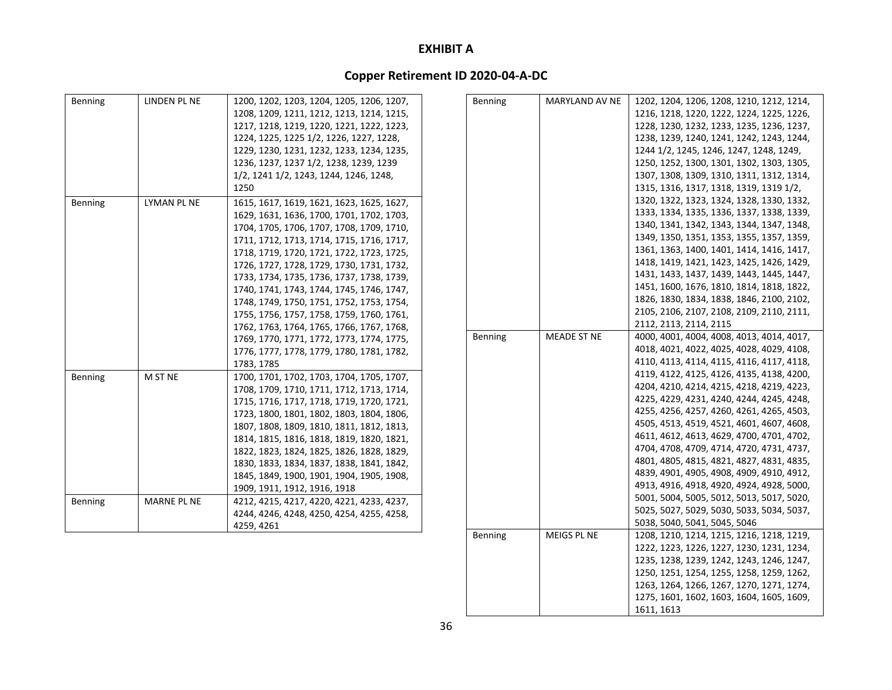# **Copper Retirement ID 2020‐04‐A‐DC**

| Benning | LINDEN PL NE       | 1200, 1202, 1203, 1204, 1205, 1206, 1207, | <b>Benning</b> | MARYLAND AV NE     | 1202, 1204, 1206, 1208, 1210, 1212, 1214, |
|---------|--------------------|-------------------------------------------|----------------|--------------------|-------------------------------------------|
|         |                    | 1208, 1209, 1211, 1212, 1213, 1214, 1215, |                |                    | 1216, 1218, 1220, 1222, 1224, 1225, 1226, |
|         |                    | 1217, 1218, 1219, 1220, 1221, 1222, 1223, |                |                    | 1228, 1230, 1232, 1233, 1235, 1236, 1237, |
|         |                    | 1224, 1225, 1225 1/2, 1226, 1227, 1228,   |                |                    | 1238, 1239, 1240, 1241, 1242, 1243, 1244, |
|         |                    | 1229, 1230, 1231, 1232, 1233, 1234, 1235, |                |                    | 1244 1/2, 1245, 1246, 1247, 1248, 1249,   |
|         |                    | 1236, 1237, 1237 1/2, 1238, 1239, 1239    |                |                    | 1250, 1252, 1300, 1301, 1302, 1303, 1305, |
|         |                    | 1/2, 1241 1/2, 1243, 1244, 1246, 1248,    |                |                    | 1307, 1308, 1309, 1310, 1311, 1312, 1314, |
|         |                    | 1250                                      |                |                    | 1315, 1316, 1317, 1318, 1319, 1319 1/2,   |
| Benning | LYMAN PL NE        | 1615, 1617, 1619, 1621, 1623, 1625, 1627, |                |                    | 1320, 1322, 1323, 1324, 1328, 1330, 1332, |
|         |                    | 1629, 1631, 1636, 1700, 1701, 1702, 1703, |                |                    | 1333, 1334, 1335, 1336, 1337, 1338, 1339, |
|         |                    | 1704, 1705, 1706, 1707, 1708, 1709, 1710, |                |                    | 1340, 1341, 1342, 1343, 1344, 1347, 1348, |
|         |                    | 1711, 1712, 1713, 1714, 1715, 1716, 1717, |                |                    | 1349, 1350, 1351, 1353, 1355, 1357, 1359, |
|         |                    | 1718, 1719, 1720, 1721, 1722, 1723, 1725, |                |                    | 1361, 1363, 1400, 1401, 1414, 1416, 1417, |
|         |                    | 1726, 1727, 1728, 1729, 1730, 1731, 1732, |                |                    | 1418, 1419, 1421, 1423, 1425, 1426, 1429, |
|         |                    | 1733, 1734, 1735, 1736, 1737, 1738, 1739, |                |                    | 1431, 1433, 1437, 1439, 1443, 1445, 1447, |
|         |                    | 1740, 1741, 1743, 1744, 1745, 1746, 1747, |                |                    | 1451, 1600, 1676, 1810, 1814, 1818, 1822, |
|         |                    | 1748, 1749, 1750, 1751, 1752, 1753, 1754, |                |                    | 1826, 1830, 1834, 1838, 1846, 2100, 2102, |
|         |                    | 1755, 1756, 1757, 1758, 1759, 1760, 1761, |                |                    | 2105, 2106, 2107, 2108, 2109, 2110, 2111, |
|         |                    | 1762, 1763, 1764, 1765, 1766, 1767, 1768, |                |                    | 2112, 2113, 2114, 2115                    |
|         |                    | 1769, 1770, 1771, 1772, 1773, 1774, 1775, | Benning        | <b>MEADE ST NE</b> | 4000, 4001, 4004, 4008, 4013, 4014, 4017, |
|         |                    | 1776, 1777, 1778, 1779, 1780, 1781, 1782, |                |                    | 4018, 4021, 4022, 4025, 4028, 4029, 4108, |
|         |                    | 1783, 1785                                |                |                    | 4110, 4113, 4114, 4115, 4116, 4117, 4118, |
| Benning | M ST NE            | 1700, 1701, 1702, 1703, 1704, 1705, 1707, |                |                    | 4119, 4122, 4125, 4126, 4135, 4138, 4200, |
|         |                    | 1708, 1709, 1710, 1711, 1712, 1713, 1714, |                |                    | 4204, 4210, 4214, 4215, 4218, 4219, 4223, |
|         |                    | 1715, 1716, 1717, 1718, 1719, 1720, 1721, |                |                    | 4225, 4229, 4231, 4240, 4244, 4245, 4248, |
|         |                    | 1723, 1800, 1801, 1802, 1803, 1804, 1806, |                |                    | 4255, 4256, 4257, 4260, 4261, 4265, 4503, |
|         |                    | 1807, 1808, 1809, 1810, 1811, 1812, 1813, |                |                    | 4505, 4513, 4519, 4521, 4601, 4607, 4608, |
|         |                    | 1814, 1815, 1816, 1818, 1819, 1820, 1821, |                |                    | 4611, 4612, 4613, 4629, 4700, 4701, 4702, |
|         |                    | 1822, 1823, 1824, 1825, 1826, 1828, 1829, |                |                    | 4704, 4708, 4709, 4714, 4720, 4731, 4737, |
|         |                    | 1830, 1833, 1834, 1837, 1838, 1841, 1842, |                |                    | 4801, 4805, 4815, 4821, 4827, 4831, 4835, |
|         |                    | 1845, 1849, 1900, 1901, 1904, 1905, 1908, |                |                    | 4839, 4901, 4905, 4908, 4909, 4910, 4912, |
|         |                    | 1909, 1911, 1912, 1916, 1918              |                |                    | 4913, 4916, 4918, 4920, 4924, 4928, 5000, |
| Benning | <b>MARNE PL NE</b> | 4212, 4215, 4217, 4220, 4221, 4233, 4237, |                |                    | 5001, 5004, 5005, 5012, 5013, 5017, 5020, |
|         |                    | 4244, 4246, 4248, 4250, 4254, 4255, 4258, |                |                    | 5025, 5027, 5029, 5030, 5033, 5034, 5037, |
|         |                    | 4259, 4261                                |                |                    | 5038, 5040, 5041, 5045, 5046              |
|         |                    |                                           | Benning        | MEIGS PL NE        | 1208, 1210, 1214, 1215, 1216, 1218, 1219, |
|         |                    |                                           |                |                    | 1222, 1223, 1226, 1227, 1230, 1231, 1234, |

1235, 1238, 1239, 1242, 1243, 1246, 1247, 1250, 1251, 1254, 1255, 1258, 1259, 1262, 1263, 1264, 1266, 1267, 1270, 1271, 1274, 1275, 1601, 1602, 1603, 1604, 1605, 1609,

1611, 1613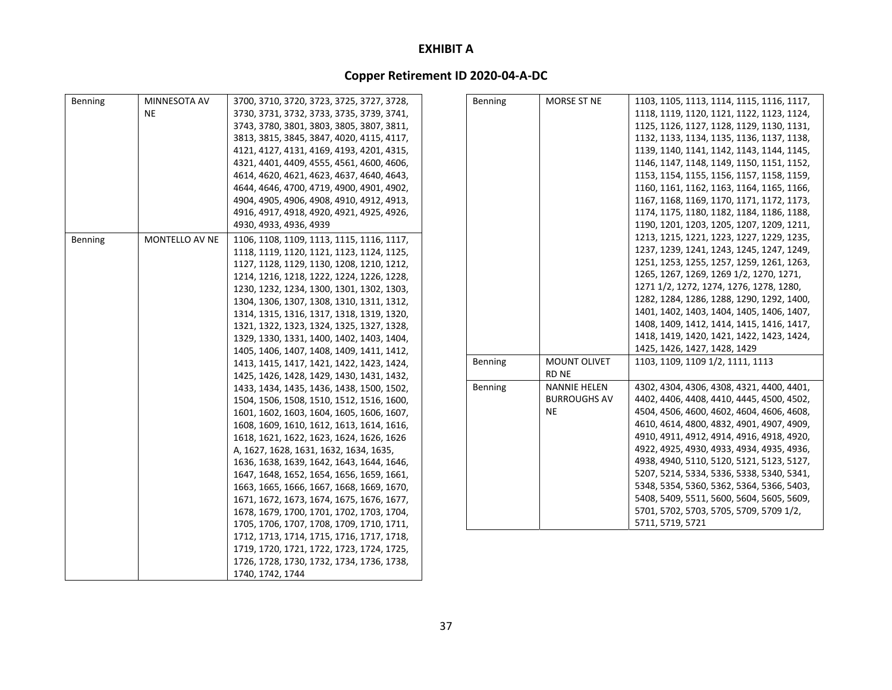| Benning | MINNESOTA AV   | 3700, 3710, 3720, 3723, 3725, 3727, 3728, | Benning | MORSE ST NE         | 1103, 1105, 1113, 1114, 1115, 1116, 1117, |
|---------|----------------|-------------------------------------------|---------|---------------------|-------------------------------------------|
|         | NE             | 3730, 3731, 3732, 3733, 3735, 3739, 3741, |         |                     | 1118, 1119, 1120, 1121, 1122, 1123, 1124, |
|         |                | 3743, 3780, 3801, 3803, 3805, 3807, 3811, |         |                     | 1125, 1126, 1127, 1128, 1129, 1130, 1131, |
|         |                | 3813, 3815, 3845, 3847, 4020, 4115, 4117, |         |                     | 1132, 1133, 1134, 1135, 1136, 1137, 1138, |
|         |                | 4121, 4127, 4131, 4169, 4193, 4201, 4315, |         |                     | 1139, 1140, 1141, 1142, 1143, 1144, 1145, |
|         |                | 4321, 4401, 4409, 4555, 4561, 4600, 4606, |         |                     | 1146, 1147, 1148, 1149, 1150, 1151, 1152, |
|         |                | 4614, 4620, 4621, 4623, 4637, 4640, 4643, |         |                     | 1153, 1154, 1155, 1156, 1157, 1158, 1159, |
|         |                | 4644, 4646, 4700, 4719, 4900, 4901, 4902, |         |                     | 1160, 1161, 1162, 1163, 1164, 1165, 1166, |
|         |                | 4904, 4905, 4906, 4908, 4910, 4912, 4913, |         |                     | 1167, 1168, 1169, 1170, 1171, 1172, 1173, |
|         |                | 4916, 4917, 4918, 4920, 4921, 4925, 4926, |         |                     | 1174, 1175, 1180, 1182, 1184, 1186, 1188, |
|         |                | 4930, 4933, 4936, 4939                    |         |                     | 1190, 1201, 1203, 1205, 1207, 1209, 1211, |
| Benning | MONTELLO AV NE | 1106, 1108, 1109, 1113, 1115, 1116, 1117, |         |                     | 1213, 1215, 1221, 1223, 1227, 1229, 1235, |
|         |                | 1118, 1119, 1120, 1121, 1123, 1124, 1125, |         |                     | 1237, 1239, 1241, 1243, 1245, 1247, 1249, |
|         |                | 1127, 1128, 1129, 1130, 1208, 1210, 1212, |         |                     | 1251, 1253, 1255, 1257, 1259, 1261, 1263, |
|         |                | 1214, 1216, 1218, 1222, 1224, 1226, 1228, |         |                     | 1265, 1267, 1269, 1269 1/2, 1270, 1271,   |
|         |                | 1230, 1232, 1234, 1300, 1301, 1302, 1303, |         |                     | 1271 1/2, 1272, 1274, 1276, 1278, 1280,   |
|         |                | 1304, 1306, 1307, 1308, 1310, 1311, 1312, |         |                     | 1282, 1284, 1286, 1288, 1290, 1292, 1400, |
|         |                | 1314, 1315, 1316, 1317, 1318, 1319, 1320, |         |                     | 1401, 1402, 1403, 1404, 1405, 1406, 1407, |
|         |                | 1321, 1322, 1323, 1324, 1325, 1327, 1328, |         |                     | 1408, 1409, 1412, 1414, 1415, 1416, 1417, |
|         |                | 1329, 1330, 1331, 1400, 1402, 1403, 1404, |         |                     | 1418, 1419, 1420, 1421, 1422, 1423, 1424, |
|         |                | 1405, 1406, 1407, 1408, 1409, 1411, 1412, |         |                     | 1425, 1426, 1427, 1428, 1429              |
|         |                | 1413, 1415, 1417, 1421, 1422, 1423, 1424, | Benning | MOUNT OLIVET        | 1103, 1109, 1109 1/2, 1111, 1113          |
|         |                | 1425, 1426, 1428, 1429, 1430, 1431, 1432, |         | RD NE               |                                           |
|         |                | 1433, 1434, 1435, 1436, 1438, 1500, 1502, | Benning | <b>NANNIE HELEN</b> | 4302, 4304, 4306, 4308, 4321, 4400, 4401, |
|         |                | 1504, 1506, 1508, 1510, 1512, 1516, 1600, |         | <b>BURROUGHS AV</b> | 4402, 4406, 4408, 4410, 4445, 4500, 4502, |
|         |                | 1601, 1602, 1603, 1604, 1605, 1606, 1607, |         | <b>NE</b>           | 4504, 4506, 4600, 4602, 4604, 4606, 4608, |
|         |                | 1608, 1609, 1610, 1612, 1613, 1614, 1616, |         |                     | 4610, 4614, 4800, 4832, 4901, 4907, 4909, |
|         |                | 1618, 1621, 1622, 1623, 1624, 1626, 1626  |         |                     | 4910, 4911, 4912, 4914, 4916, 4918, 4920, |
|         |                | A, 1627, 1628, 1631, 1632, 1634, 1635,    |         |                     | 4922, 4925, 4930, 4933, 4934, 4935, 4936, |
|         |                | 1636, 1638, 1639, 1642, 1643, 1644, 1646, |         |                     | 4938, 4940, 5110, 5120, 5121, 5123, 5127, |
|         |                | 1647, 1648, 1652, 1654, 1656, 1659, 1661, |         |                     | 5207, 5214, 5334, 5336, 5338, 5340, 5341, |
|         |                | 1663, 1665, 1666, 1667, 1668, 1669, 1670, |         |                     | 5348, 5354, 5360, 5362, 5364, 5366, 5403, |
|         |                | 1671, 1672, 1673, 1674, 1675, 1676, 1677, |         |                     | 5408, 5409, 5511, 5600, 5604, 5605, 5609, |
|         |                | 1678, 1679, 1700, 1701, 1702, 1703, 1704, |         |                     | 5701, 5702, 5703, 5705, 5709, 5709 1/2,   |
|         |                | 1705, 1706, 1707, 1708, 1709, 1710, 1711, |         |                     | 5711, 5719, 5721                          |
|         |                | 1712, 1713, 1714, 1715, 1716, 1717, 1718, |         |                     |                                           |
|         |                | 1719, 1720, 1721, 1722, 1723, 1724, 1725, |         |                     |                                           |
|         |                | 1726, 1728, 1730, 1732, 1734, 1736, 1738, |         |                     |                                           |
|         |                | 1740, 1742, 1744                          |         |                     |                                           |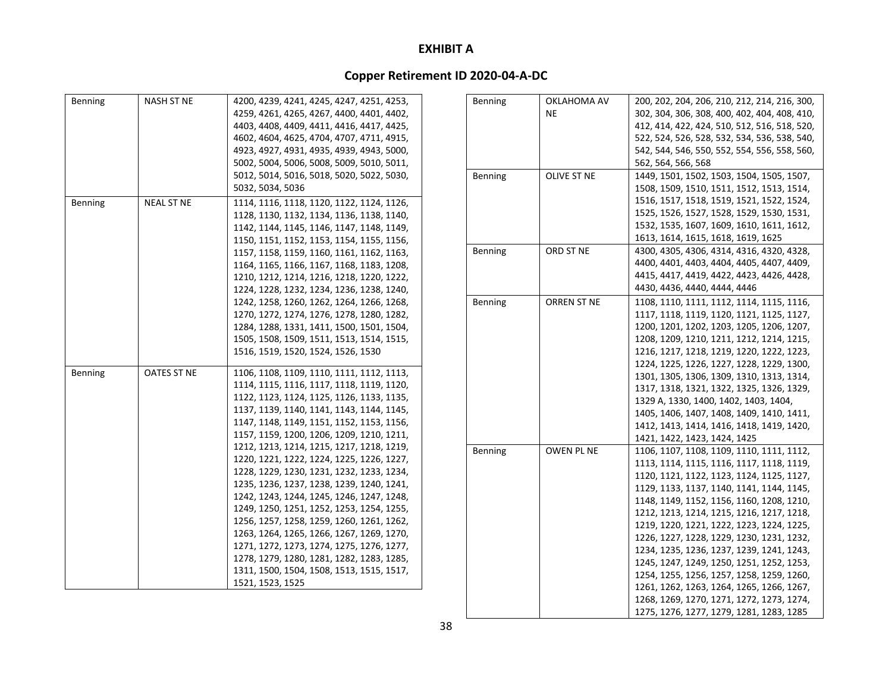| <b>Benning</b> | <b>NASH ST NE</b> | 4200, 4239, 4241, 4245, 4247, 4251, 4253, |
|----------------|-------------------|-------------------------------------------|
|                |                   | 4259, 4261, 4265, 4267, 4400, 4401, 4402, |
|                |                   | 4403, 4408, 4409, 4411, 4416, 4417, 4425, |
|                |                   | 4602, 4604, 4625, 4704, 4707, 4711, 4915, |
|                |                   | 4923, 4927, 4931, 4935, 4939, 4943, 5000, |
|                |                   | 5002, 5004, 5006, 5008, 5009, 5010, 5011, |
|                |                   | 5012, 5014, 5016, 5018, 5020, 5022, 5030, |
|                |                   | 5032, 5034, 5036                          |
| Benning        | <b>NEAL ST NE</b> | 1114, 1116, 1118, 1120, 1122, 1124, 1126, |
|                |                   | 1128, 1130, 1132, 1134, 1136, 1138, 1140, |
|                |                   | 1142, 1144, 1145, 1146, 1147, 1148, 1149, |
|                |                   | 1150, 1151, 1152, 1153, 1154, 1155, 1156, |
|                |                   | 1157, 1158, 1159, 1160, 1161, 1162, 1163, |
|                |                   | 1164, 1165, 1166, 1167, 1168, 1183, 1208, |
|                |                   | 1210, 1212, 1214, 1216, 1218, 1220, 1222, |
|                |                   | 1224, 1228, 1232, 1234, 1236, 1238, 1240, |
|                |                   | 1242, 1258, 1260, 1262, 1264, 1266, 1268, |
|                |                   | 1270, 1272, 1274, 1276, 1278, 1280, 1282, |
|                |                   | 1284, 1288, 1331, 1411, 1500, 1501, 1504, |
|                |                   | 1505, 1508, 1509, 1511, 1513, 1514, 1515, |
|                |                   | 1516, 1519, 1520, 1524, 1526, 1530        |
| Benning        | OATES ST NE       | 1106, 1108, 1109, 1110, 1111, 1112, 1113, |
|                |                   | 1114, 1115, 1116, 1117, 1118, 1119, 1120, |
|                |                   | 1122, 1123, 1124, 1125, 1126, 1133, 1135, |
|                |                   | 1137, 1139, 1140, 1141, 1143, 1144, 1145, |
|                |                   | 1147, 1148, 1149, 1151, 1152, 1153, 1156, |
|                |                   | 1157, 1159, 1200, 1206, 1209, 1210, 1211, |
|                |                   | 1212, 1213, 1214, 1215, 1217, 1218, 1219, |
|                |                   | 1220, 1221, 1222, 1224, 1225, 1226, 1227, |
|                |                   | 1228, 1229, 1230, 1231, 1232, 1233, 1234, |
|                |                   | 1235, 1236, 1237, 1238, 1239, 1240, 1241, |
|                |                   | 1242, 1243, 1244, 1245, 1246, 1247, 1248, |
|                |                   | 1249, 1250, 1251, 1252, 1253, 1254, 1255, |
|                |                   | 1256, 1257, 1258, 1259, 1260, 1261, 1262, |
|                |                   | 1263, 1264, 1265, 1266, 1267, 1269, 1270, |
|                |                   | 1271, 1272, 1273, 1274, 1275, 1276, 1277, |
|                |                   | 1278, 1279, 1280, 1281, 1282, 1283, 1285, |
|                |                   | 1311, 1500, 1504, 1508, 1513, 1515, 1517, |
|                |                   | 1521, 1523, 1525                          |

| Benning        | OKLAHOMA AV | 200, 202, 204, 206, 210, 212, 214, 216, 300, |
|----------------|-------------|----------------------------------------------|
|                | NE          | 302, 304, 306, 308, 400, 402, 404, 408, 410, |
|                |             | 412, 414, 422, 424, 510, 512, 516, 518, 520, |
|                |             | 522, 524, 526, 528, 532, 534, 536, 538, 540, |
|                |             | 542, 544, 546, 550, 552, 554, 556, 558, 560, |
|                |             | 562, 564, 566, 568                           |
| Benning        | OLIVE ST NE | 1449, 1501, 1502, 1503, 1504, 1505, 1507,    |
|                |             | 1508, 1509, 1510, 1511, 1512, 1513, 1514,    |
|                |             | 1516, 1517, 1518, 1519, 1521, 1522, 1524,    |
|                |             | 1525, 1526, 1527, 1528, 1529, 1530, 1531,    |
|                |             | 1532, 1535, 1607, 1609, 1610, 1611, 1612,    |
|                |             | 1613, 1614, 1615, 1618, 1619, 1625           |
| Benning        | ORD ST NE   | 4300, 4305, 4306, 4314, 4316, 4320, 4328,    |
|                |             | 4400, 4401, 4403, 4404, 4405, 4407, 4409,    |
|                |             | 4415, 4417, 4419, 4422, 4423, 4426, 4428,    |
|                |             | 4430, 4436, 4440, 4444, 4446                 |
| <b>Benning</b> | ORREN ST NE | 1108, 1110, 1111, 1112, 1114, 1115, 1116,    |
|                |             | 1117, 1118, 1119, 1120, 1121, 1125, 1127,    |
|                |             | 1200, 1201, 1202, 1203, 1205, 1206, 1207,    |
|                |             | 1208, 1209, 1210, 1211, 1212, 1214, 1215,    |
|                |             | 1216, 1217, 1218, 1219, 1220, 1222, 1223,    |
|                |             | 1224, 1225, 1226, 1227, 1228, 1229, 1300,    |
|                |             | 1301, 1305, 1306, 1309, 1310, 1313, 1314,    |
|                |             | 1317, 1318, 1321, 1322, 1325, 1326, 1329,    |
|                |             | 1329 A, 1330, 1400, 1402, 1403, 1404,        |
|                |             | 1405, 1406, 1407, 1408, 1409, 1410, 1411,    |
|                |             | 1412, 1413, 1414, 1416, 1418, 1419, 1420,    |
|                |             | 1421, 1422, 1423, 1424, 1425                 |
| Benning        | OWEN PL NE  | 1106, 1107, 1108, 1109, 1110, 1111, 1112,    |
|                |             | 1113, 1114, 1115, 1116, 1117, 1118, 1119,    |
|                |             | 1120, 1121, 1122, 1123, 1124, 1125, 1127,    |
|                |             | 1129, 1133, 1137, 1140, 1141, 1144, 1145,    |
|                |             | 1148, 1149, 1152, 1156, 1160, 1208, 1210,    |
|                |             | 1212, 1213, 1214, 1215, 1216, 1217, 1218,    |
|                |             | 1219, 1220, 1221, 1222, 1223, 1224, 1225,    |
|                |             | 1226, 1227, 1228, 1229, 1230, 1231, 1232,    |
|                |             | 1234, 1235, 1236, 1237, 1239, 1241, 1243,    |
|                |             | 1245, 1247, 1249, 1250, 1251, 1252, 1253,    |
|                |             | 1254, 1255, 1256, 1257, 1258, 1259, 1260,    |
|                |             | 1261, 1262, 1263, 1264, 1265, 1266, 1267,    |
|                |             | 1268, 1269, 1270, 1271, 1272, 1273, 1274,    |
|                |             | 1275, 1276, 1277, 1279, 1281, 1283, 1285     |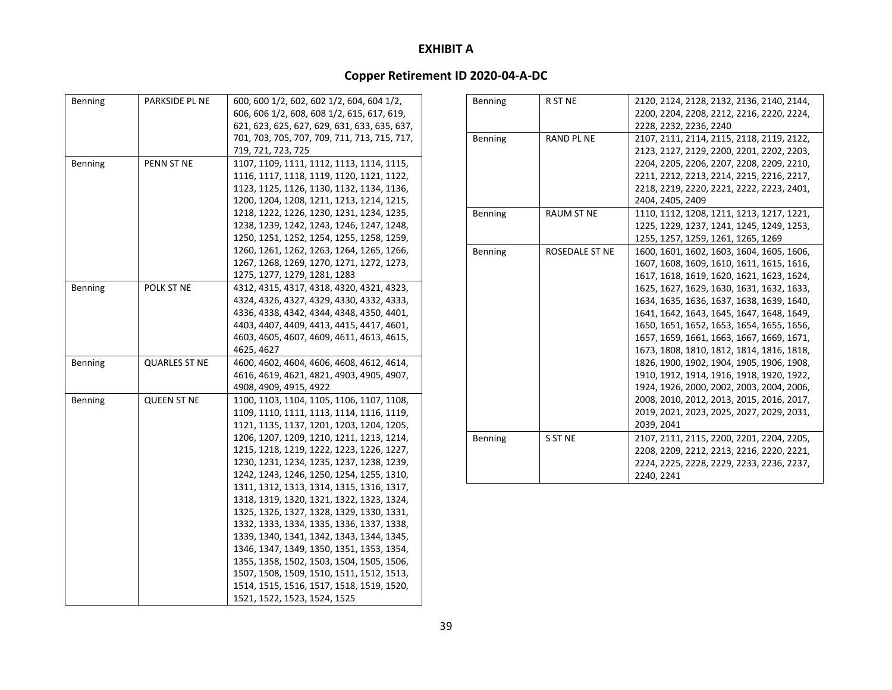| <b>Benning</b> | PARKSIDE PL NE       | 600, 600 1/2, 602, 602 1/2, 604, 604 1/2,    |
|----------------|----------------------|----------------------------------------------|
|                |                      | 606, 606 1/2, 608, 608 1/2, 615, 617, 619,   |
|                |                      | 621, 623, 625, 627, 629, 631, 633, 635, 637, |
|                |                      | 701, 703, 705, 707, 709, 711, 713, 715, 717, |
|                |                      | 719, 721, 723, 725                           |
| <b>Benning</b> | PENN ST NE           | 1107, 1109, 1111, 1112, 1113, 1114, 1115,    |
|                |                      | 1116, 1117, 1118, 1119, 1120, 1121, 1122,    |
|                |                      | 1123, 1125, 1126, 1130, 1132, 1134, 1136,    |
|                |                      | 1200, 1204, 1208, 1211, 1213, 1214, 1215,    |
|                |                      | 1218, 1222, 1226, 1230, 1231, 1234, 1235,    |
|                |                      | 1238, 1239, 1242, 1243, 1246, 1247, 1248,    |
|                |                      | 1250, 1251, 1252, 1254, 1255, 1258, 1259,    |
|                |                      | 1260, 1261, 1262, 1263, 1264, 1265, 1266,    |
|                |                      | 1267, 1268, 1269, 1270, 1271, 1272, 1273,    |
|                |                      | 1275, 1277, 1279, 1281, 1283                 |
| <b>Benning</b> | POLK ST NE           | 4312, 4315, 4317, 4318, 4320, 4321, 4323,    |
|                |                      | 4324, 4326, 4327, 4329, 4330, 4332, 4333,    |
|                |                      | 4336, 4338, 4342, 4344, 4348, 4350, 4401,    |
|                |                      | 4403, 4407, 4409, 4413, 4415, 4417, 4601,    |
|                |                      | 4603, 4605, 4607, 4609, 4611, 4613, 4615,    |
|                |                      | 4625, 4627                                   |
| Benning        | <b>QUARLES ST NE</b> | 4600, 4602, 4604, 4606, 4608, 4612, 4614,    |
|                |                      | 4616, 4619, 4621, 4821, 4903, 4905, 4907,    |
|                |                      | 4908, 4909, 4915, 4922                       |
| <b>Benning</b> | <b>QUEEN ST NE</b>   | 1100, 1103, 1104, 1105, 1106, 1107, 1108,    |
|                |                      | 1109, 1110, 1111, 1113, 1114, 1116, 1119,    |
|                |                      | 1121, 1135, 1137, 1201, 1203, 1204, 1205,    |
|                |                      | 1206, 1207, 1209, 1210, 1211, 1213, 1214,    |
|                |                      | 1215, 1218, 1219, 1222, 1223, 1226, 1227,    |
|                |                      | 1230, 1231, 1234, 1235, 1237, 1238, 1239,    |
|                |                      | 1242, 1243, 1246, 1250, 1254, 1255, 1310,    |
|                |                      | 1311, 1312, 1313, 1314, 1315, 1316, 1317,    |
|                |                      | 1318, 1319, 1320, 1321, 1322, 1323, 1324,    |
|                |                      | 1325, 1326, 1327, 1328, 1329, 1330, 1331,    |
|                |                      | 1332, 1333, 1334, 1335, 1336, 1337, 1338,    |
|                |                      | 1339, 1340, 1341, 1342, 1343, 1344, 1345,    |
|                |                      | 1346, 1347, 1349, 1350, 1351, 1353, 1354,    |
|                |                      | 1355, 1358, 1502, 1503, 1504, 1505, 1506,    |
|                |                      | 1507, 1508, 1509, 1510, 1511, 1512, 1513,    |
|                |                      | 1514, 1515, 1516, 1517, 1518, 1519, 1520,    |
|                |                      | 1521, 1522, 1523, 1524, 1525                 |

| Benning | R ST NE           | 2120, 2124, 2128, 2132, 2136, 2140, 2144, |
|---------|-------------------|-------------------------------------------|
|         |                   | 2200, 2204, 2208, 2212, 2216, 2220, 2224, |
|         |                   | 2228, 2232, 2236, 2240                    |
| Benning | <b>RAND PL NE</b> | 2107, 2111, 2114, 2115, 2118, 2119, 2122, |
|         |                   | 2123, 2127, 2129, 2200, 2201, 2202, 2203, |
|         |                   | 2204, 2205, 2206, 2207, 2208, 2209, 2210, |
|         |                   | 2211, 2212, 2213, 2214, 2215, 2216, 2217, |
|         |                   | 2218, 2219, 2220, 2221, 2222, 2223, 2401, |
|         |                   | 2404, 2405, 2409                          |
| Benning | <b>RAUM ST NE</b> | 1110, 1112, 1208, 1211, 1213, 1217, 1221, |
|         |                   | 1225, 1229, 1237, 1241, 1245, 1249, 1253, |
|         |                   | 1255, 1257, 1259, 1261, 1265, 1269        |
| Benning | ROSEDALE ST NE    | 1600, 1601, 1602, 1603, 1604, 1605, 1606, |
|         |                   | 1607, 1608, 1609, 1610, 1611, 1615, 1616, |
|         |                   | 1617, 1618, 1619, 1620, 1621, 1623, 1624, |
|         |                   | 1625, 1627, 1629, 1630, 1631, 1632, 1633, |
|         |                   | 1634, 1635, 1636, 1637, 1638, 1639, 1640, |
|         |                   | 1641, 1642, 1643, 1645, 1647, 1648, 1649, |
|         |                   | 1650, 1651, 1652, 1653, 1654, 1655, 1656, |
|         |                   | 1657, 1659, 1661, 1663, 1667, 1669, 1671, |
|         |                   | 1673, 1808, 1810, 1812, 1814, 1816, 1818, |
|         |                   | 1826, 1900, 1902, 1904, 1905, 1906, 1908, |
|         |                   | 1910, 1912, 1914, 1916, 1918, 1920, 1922, |
|         |                   | 1924, 1926, 2000, 2002, 2003, 2004, 2006, |
|         |                   | 2008, 2010, 2012, 2013, 2015, 2016, 2017, |
|         |                   | 2019, 2021, 2023, 2025, 2027, 2029, 2031, |
|         |                   | 2039, 2041                                |
| Benning | S ST NE           | 2107, 2111, 2115, 2200, 2201, 2204, 2205, |
|         |                   | 2208, 2209, 2212, 2213, 2216, 2220, 2221, |
|         |                   | 2224, 2225, 2228, 2229, 2233, 2236, 2237, |
|         |                   | 2240, 2241                                |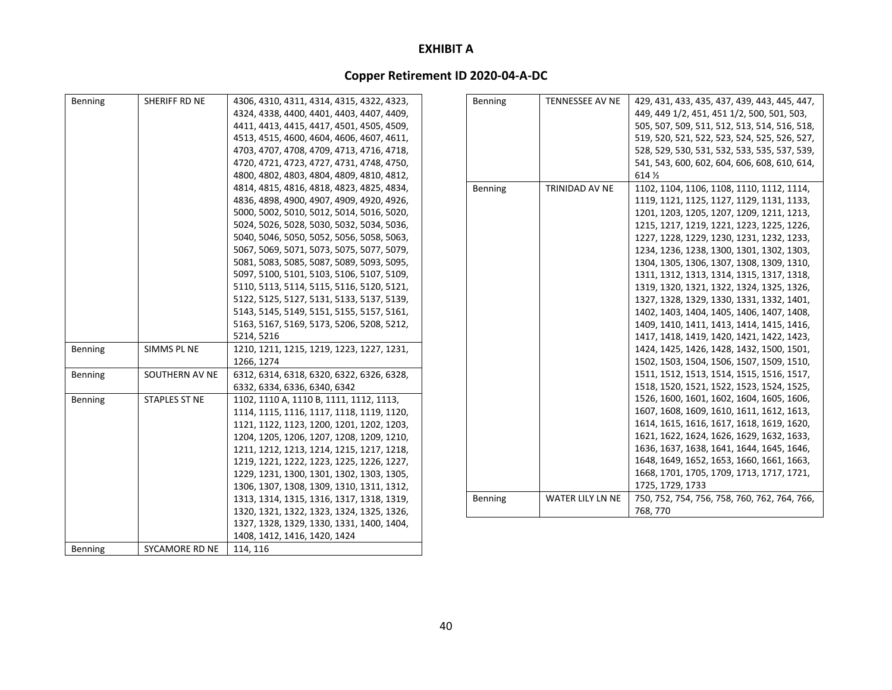| <b>Benning</b> | SHERIFF RD NE         | 4306, 4310, 4311, 4314, 4315, 4322, 4323, | Benning | <b>TENNESSEE AV NE</b> | 429, 431, 433, 435, 437, 439, 443, 445, 447, |
|----------------|-----------------------|-------------------------------------------|---------|------------------------|----------------------------------------------|
|                |                       | 4324, 4338, 4400, 4401, 4403, 4407, 4409, |         |                        | 449, 449 1/2, 451, 451 1/2, 500, 501, 503,   |
|                |                       | 4411, 4413, 4415, 4417, 4501, 4505, 4509, |         |                        | 505, 507, 509, 511, 512, 513, 514, 516, 518, |
|                |                       | 4513, 4515, 4600, 4604, 4606, 4607, 4611, |         |                        | 519, 520, 521, 522, 523, 524, 525, 526, 527, |
|                |                       | 4703, 4707, 4708, 4709, 4713, 4716, 4718, |         |                        | 528, 529, 530, 531, 532, 533, 535, 537, 539, |
|                |                       | 4720, 4721, 4723, 4727, 4731, 4748, 4750, |         |                        | 541, 543, 600, 602, 604, 606, 608, 610, 614, |
|                |                       | 4800, 4802, 4803, 4804, 4809, 4810, 4812, |         |                        | 614 %                                        |
|                |                       | 4814, 4815, 4816, 4818, 4823, 4825, 4834, | Benning | TRINIDAD AV NE         | 1102, 1104, 1106, 1108, 1110, 1112, 1114,    |
|                |                       | 4836, 4898, 4900, 4907, 4909, 4920, 4926, |         |                        | 1119, 1121, 1125, 1127, 1129, 1131, 1133,    |
|                |                       | 5000, 5002, 5010, 5012, 5014, 5016, 5020, |         |                        | 1201, 1203, 1205, 1207, 1209, 1211, 1213,    |
|                |                       | 5024, 5026, 5028, 5030, 5032, 5034, 5036, |         |                        | 1215, 1217, 1219, 1221, 1223, 1225, 1226,    |
|                |                       | 5040, 5046, 5050, 5052, 5056, 5058, 5063, |         |                        | 1227, 1228, 1229, 1230, 1231, 1232, 1233,    |
|                |                       | 5067, 5069, 5071, 5073, 5075, 5077, 5079, |         |                        | 1234, 1236, 1238, 1300, 1301, 1302, 1303,    |
|                |                       | 5081, 5083, 5085, 5087, 5089, 5093, 5095, |         |                        | 1304, 1305, 1306, 1307, 1308, 1309, 1310,    |
|                |                       | 5097, 5100, 5101, 5103, 5106, 5107, 5109, |         |                        | 1311, 1312, 1313, 1314, 1315, 1317, 1318,    |
|                |                       | 5110, 5113, 5114, 5115, 5116, 5120, 5121, |         |                        | 1319, 1320, 1321, 1322, 1324, 1325, 1326,    |
|                |                       | 5122, 5125, 5127, 5131, 5133, 5137, 5139, |         |                        | 1327, 1328, 1329, 1330, 1331, 1332, 1401,    |
|                |                       | 5143, 5145, 5149, 5151, 5155, 5157, 5161, |         |                        | 1402, 1403, 1404, 1405, 1406, 1407, 1408,    |
|                |                       | 5163, 5167, 5169, 5173, 5206, 5208, 5212, |         |                        | 1409, 1410, 1411, 1413, 1414, 1415, 1416,    |
|                |                       | 5214, 5216                                |         |                        | 1417, 1418, 1419, 1420, 1421, 1422, 1423,    |
| <b>Benning</b> | SIMMS PL NE           | 1210, 1211, 1215, 1219, 1223, 1227, 1231, |         |                        | 1424, 1425, 1426, 1428, 1432, 1500, 1501,    |
|                |                       | 1266, 1274                                |         |                        | 1502, 1503, 1504, 1506, 1507, 1509, 1510,    |
| <b>Benning</b> | SOUTHERN AV NE        | 6312, 6314, 6318, 6320, 6322, 6326, 6328, |         |                        | 1511, 1512, 1513, 1514, 1515, 1516, 1517,    |
|                |                       | 6332, 6334, 6336, 6340, 6342              |         |                        | 1518, 1520, 1521, 1522, 1523, 1524, 1525,    |
| Benning        | <b>STAPLES ST NE</b>  | 1102, 1110 A, 1110 B, 1111, 1112, 1113,   |         |                        | 1526, 1600, 1601, 1602, 1604, 1605, 1606,    |
|                |                       | 1114, 1115, 1116, 1117, 1118, 1119, 1120, |         |                        | 1607, 1608, 1609, 1610, 1611, 1612, 1613,    |
|                |                       | 1121, 1122, 1123, 1200, 1201, 1202, 1203, |         |                        | 1614, 1615, 1616, 1617, 1618, 1619, 1620,    |
|                |                       | 1204, 1205, 1206, 1207, 1208, 1209, 1210, |         |                        | 1621, 1622, 1624, 1626, 1629, 1632, 1633,    |
|                |                       | 1211, 1212, 1213, 1214, 1215, 1217, 1218, |         |                        | 1636, 1637, 1638, 1641, 1644, 1645, 1646,    |
|                |                       | 1219, 1221, 1222, 1223, 1225, 1226, 1227, |         |                        | 1648, 1649, 1652, 1653, 1660, 1661, 1663,    |
|                |                       | 1229, 1231, 1300, 1301, 1302, 1303, 1305, |         |                        | 1668, 1701, 1705, 1709, 1713, 1717, 1721,    |
|                |                       | 1306, 1307, 1308, 1309, 1310, 1311, 1312, |         |                        | 1725, 1729, 1733                             |
|                |                       | 1313, 1314, 1315, 1316, 1317, 1318, 1319, | Benning | WATER LILY LN NE       | 750, 752, 754, 756, 758, 760, 762, 764, 766, |
|                |                       | 1320, 1321, 1322, 1323, 1324, 1325, 1326, |         |                        | 768, 770                                     |
|                |                       | 1327, 1328, 1329, 1330, 1331, 1400, 1404, |         |                        |                                              |
|                |                       | 1408, 1412, 1416, 1420, 1424              |         |                        |                                              |
| Benning        | <b>SYCAMORE RD NE</b> | 114, 116                                  |         |                        |                                              |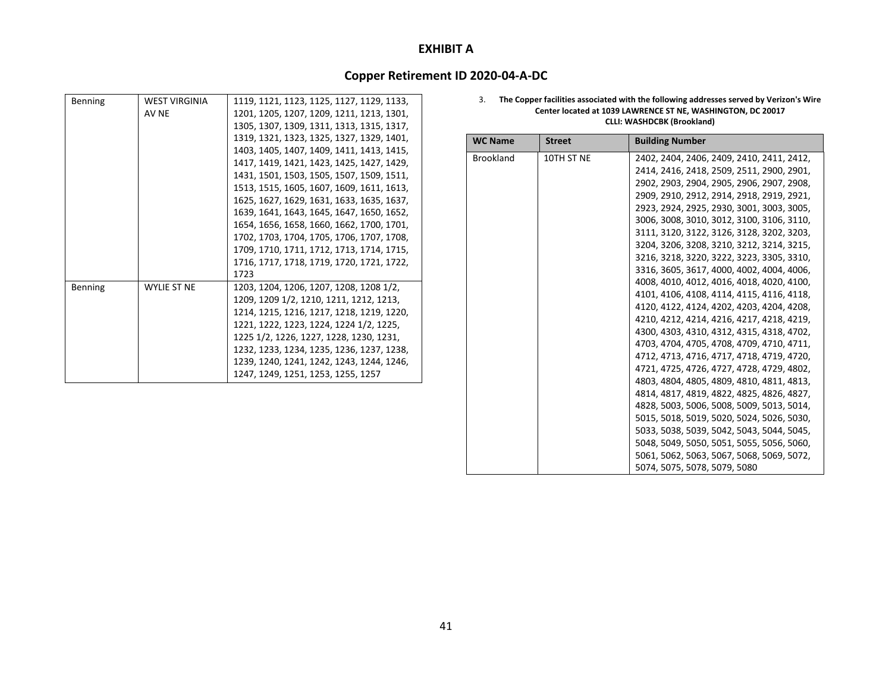### **Copper Retirement ID 2020‐04‐A‐DC**

| Benning        | <b>WEST VIRGINIA</b> | 1119, 1121, 1123, 1125, 1127, 1129, 1133, |
|----------------|----------------------|-------------------------------------------|
|                | AV NE                | 1201, 1205, 1207, 1209, 1211, 1213, 1301, |
|                |                      | 1305, 1307, 1309, 1311, 1313, 1315, 1317, |
|                |                      | 1319, 1321, 1323, 1325, 1327, 1329, 1401, |
|                |                      | 1403, 1405, 1407, 1409, 1411, 1413, 1415, |
|                |                      | 1417, 1419, 1421, 1423, 1425, 1427, 1429, |
|                |                      | 1431, 1501, 1503, 1505, 1507, 1509, 1511, |
|                |                      | 1513, 1515, 1605, 1607, 1609, 1611, 1613, |
|                |                      | 1625, 1627, 1629, 1631, 1633, 1635, 1637, |
|                |                      | 1639, 1641, 1643, 1645, 1647, 1650, 1652, |
|                |                      | 1654, 1656, 1658, 1660, 1662, 1700, 1701, |
|                |                      | 1702, 1703, 1704, 1705, 1706, 1707, 1708, |
|                |                      | 1709, 1710, 1711, 1712, 1713, 1714, 1715, |
|                |                      | 1716, 1717, 1718, 1719, 1720, 1721, 1722, |
|                |                      | 1723                                      |
| <b>Benning</b> | <b>WYLIE ST NE</b>   | 1203, 1204, 1206, 1207, 1208, 1208 1/2,   |
|                |                      | 1209, 1209 1/2, 1210, 1211, 1212, 1213,   |
|                |                      | 1214, 1215, 1216, 1217, 1218, 1219, 1220, |
|                |                      | 1221, 1222, 1223, 1224, 1224 1/2, 1225,   |
|                |                      | 1225 1/2, 1226, 1227, 1228, 1230, 1231,   |
|                |                      | 1232, 1233, 1234, 1235, 1236, 1237, 1238, |
|                |                      | 1239, 1240, 1241, 1242, 1243, 1244, 1246, |
|                |                      | 1247, 1249, 1251, 1253, 1255, 1257        |

#### 3. **The Copper facilities associated with the following addresses served by Verizon's Wire Center located at 1039 LAWRENCE ST NE, WASHINGTON, DC 20017 CLLI: WASHDCBK (Brookland)**

| <b>WC Name</b>   | <b>Street</b> | <b>Building Number</b>                    |
|------------------|---------------|-------------------------------------------|
| <b>Brookland</b> | 10TH ST NE    | 2402, 2404, 2406, 2409, 2410, 2411, 2412, |
|                  |               | 2414, 2416, 2418, 2509, 2511, 2900, 2901, |
|                  |               | 2902, 2903, 2904, 2905, 2906, 2907, 2908, |
|                  |               | 2909, 2910, 2912, 2914, 2918, 2919, 2921, |
|                  |               | 2923, 2924, 2925, 2930, 3001, 3003, 3005, |
|                  |               | 3006, 3008, 3010, 3012, 3100, 3106, 3110, |
|                  |               | 3111, 3120, 3122, 3126, 3128, 3202, 3203, |
|                  |               | 3204, 3206, 3208, 3210, 3212, 3214, 3215, |
|                  |               | 3216, 3218, 3220, 3222, 3223, 3305, 3310, |
|                  |               | 3316, 3605, 3617, 4000, 4002, 4004, 4006, |
|                  |               | 4008, 4010, 4012, 4016, 4018, 4020, 4100, |
|                  |               | 4101, 4106, 4108, 4114, 4115, 4116, 4118, |
|                  |               | 4120, 4122, 4124, 4202, 4203, 4204, 4208, |
|                  |               | 4210, 4212, 4214, 4216, 4217, 4218, 4219, |
|                  |               | 4300, 4303, 4310, 4312, 4315, 4318, 4702, |
|                  |               | 4703, 4704, 4705, 4708, 4709, 4710, 4711, |
|                  |               | 4712, 4713, 4716, 4717, 4718, 4719, 4720, |
|                  |               | 4721, 4725, 4726, 4727, 4728, 4729, 4802, |
|                  |               | 4803, 4804, 4805, 4809, 4810, 4811, 4813, |
|                  |               | 4814, 4817, 4819, 4822, 4825, 4826, 4827, |
|                  |               | 4828, 5003, 5006, 5008, 5009, 5013, 5014, |
|                  |               | 5015, 5018, 5019, 5020, 5024, 5026, 5030, |
|                  |               | 5033, 5038, 5039, 5042, 5043, 5044, 5045, |
|                  |               | 5048, 5049, 5050, 5051, 5055, 5056, 5060, |
|                  |               | 5061, 5062, 5063, 5067, 5068, 5069, 5072, |
|                  |               | 5074, 5075, 5078, 5079, 5080              |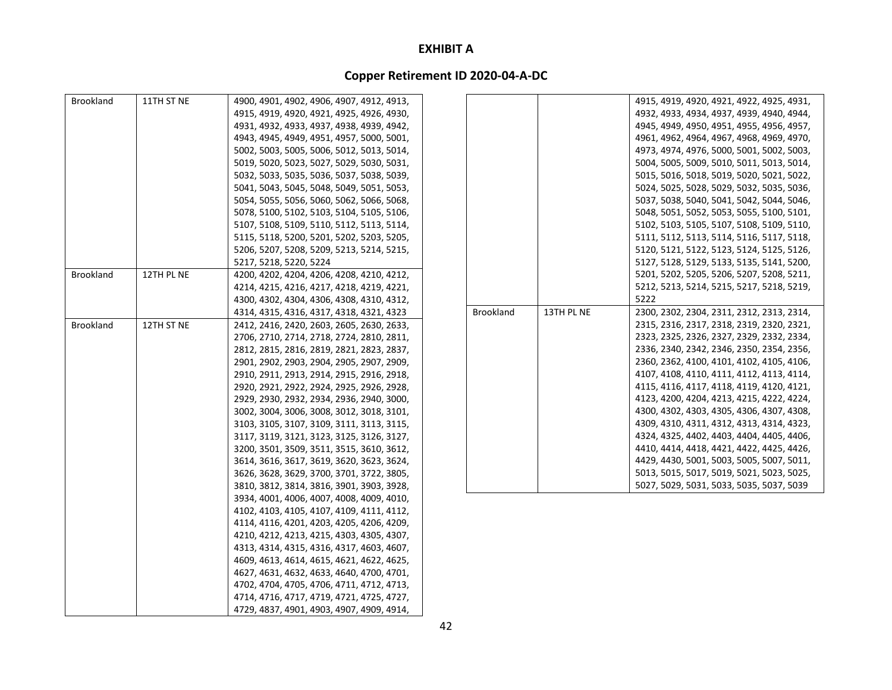| <b>Brookland</b> | 11TH ST NE | 4900, 4901, 4902, 4906, 4907, 4912, 4913, |                  |            | 4915, 4919, 4920, 4921, 4922, 4925, 4931, |
|------------------|------------|-------------------------------------------|------------------|------------|-------------------------------------------|
|                  |            | 4915, 4919, 4920, 4921, 4925, 4926, 4930, |                  |            | 4932, 4933, 4934, 4937, 4939, 4940, 4944, |
|                  |            | 4931, 4932, 4933, 4937, 4938, 4939, 4942, |                  |            | 4945, 4949, 4950, 4951, 4955, 4956, 4957, |
|                  |            | 4943, 4945, 4949, 4951, 4957, 5000, 5001, |                  |            | 4961, 4962, 4964, 4967, 4968, 4969, 4970, |
|                  |            | 5002, 5003, 5005, 5006, 5012, 5013, 5014, |                  |            | 4973, 4974, 4976, 5000, 5001, 5002, 5003, |
|                  |            | 5019, 5020, 5023, 5027, 5029, 5030, 5031, |                  |            | 5004, 5005, 5009, 5010, 5011, 5013, 5014, |
|                  |            | 5032, 5033, 5035, 5036, 5037, 5038, 5039, |                  |            | 5015, 5016, 5018, 5019, 5020, 5021, 5022, |
|                  |            | 5041, 5043, 5045, 5048, 5049, 5051, 5053, |                  |            | 5024, 5025, 5028, 5029, 5032, 5035, 5036, |
|                  |            | 5054, 5055, 5056, 5060, 5062, 5066, 5068, |                  |            | 5037, 5038, 5040, 5041, 5042, 5044, 5046, |
|                  |            | 5078, 5100, 5102, 5103, 5104, 5105, 5106, |                  |            | 5048, 5051, 5052, 5053, 5055, 5100, 5101, |
|                  |            | 5107, 5108, 5109, 5110, 5112, 5113, 5114, |                  |            | 5102, 5103, 5105, 5107, 5108, 5109, 5110, |
|                  |            | 5115, 5118, 5200, 5201, 5202, 5203, 5205, |                  |            | 5111, 5112, 5113, 5114, 5116, 5117, 5118, |
|                  |            | 5206, 5207, 5208, 5209, 5213, 5214, 5215, |                  |            | 5120, 5121, 5122, 5123, 5124, 5125, 5126, |
|                  |            | 5217, 5218, 5220, 5224                    |                  |            | 5127, 5128, 5129, 5133, 5135, 5141, 5200, |
| <b>Brookland</b> | 12TH PL NE | 4200, 4202, 4204, 4206, 4208, 4210, 4212, |                  |            | 5201, 5202, 5205, 5206, 5207, 5208, 5211, |
|                  |            | 4214, 4215, 4216, 4217, 4218, 4219, 4221, |                  |            | 5212, 5213, 5214, 5215, 5217, 5218, 5219, |
|                  |            | 4300, 4302, 4304, 4306, 4308, 4310, 4312, |                  |            | 5222                                      |
|                  |            | 4314, 4315, 4316, 4317, 4318, 4321, 4323  | <b>Brookland</b> | 13TH PL NE | 2300, 2302, 2304, 2311, 2312, 2313, 2314, |
| Brookland        | 12TH ST NE | 2412, 2416, 2420, 2603, 2605, 2630, 2633, |                  |            | 2315, 2316, 2317, 2318, 2319, 2320, 2321, |
|                  |            | 2706, 2710, 2714, 2718, 2724, 2810, 2811, |                  |            | 2323, 2325, 2326, 2327, 2329, 2332, 2334, |
|                  |            | 2812, 2815, 2816, 2819, 2821, 2823, 2837, |                  |            | 2336, 2340, 2342, 2346, 2350, 2354, 2356, |
|                  |            | 2901, 2902, 2903, 2904, 2905, 2907, 2909, |                  |            | 2360, 2362, 4100, 4101, 4102, 4105, 4106, |
|                  |            | 2910, 2911, 2913, 2914, 2915, 2916, 2918, |                  |            | 4107, 4108, 4110, 4111, 4112, 4113, 4114, |
|                  |            | 2920, 2921, 2922, 2924, 2925, 2926, 2928, |                  |            | 4115, 4116, 4117, 4118, 4119, 4120, 4121, |
|                  |            | 2929, 2930, 2932, 2934, 2936, 2940, 3000, |                  |            | 4123, 4200, 4204, 4213, 4215, 4222, 4224, |
|                  |            | 3002, 3004, 3006, 3008, 3012, 3018, 3101, |                  |            | 4300, 4302, 4303, 4305, 4306, 4307, 4308, |
|                  |            | 3103, 3105, 3107, 3109, 3111, 3113, 3115, |                  |            | 4309, 4310, 4311, 4312, 4313, 4314, 4323, |
|                  |            | 3117, 3119, 3121, 3123, 3125, 3126, 3127, |                  |            | 4324, 4325, 4402, 4403, 4404, 4405, 4406, |
|                  |            | 3200, 3501, 3509, 3511, 3515, 3610, 3612, |                  |            | 4410, 4414, 4418, 4421, 4422, 4425, 4426, |
|                  |            | 3614, 3616, 3617, 3619, 3620, 3623, 3624, |                  |            | 4429, 4430, 5001, 5003, 5005, 5007, 5011, |
|                  |            | 3626, 3628, 3629, 3700, 3701, 3722, 3805, |                  |            | 5013, 5015, 5017, 5019, 5021, 5023, 5025, |
|                  |            | 3810, 3812, 3814, 3816, 3901, 3903, 3928, |                  |            | 5027, 5029, 5031, 5033, 5035, 5037, 5039  |
|                  |            | 3934, 4001, 4006, 4007, 4008, 4009, 4010, |                  |            |                                           |
|                  |            | 4102, 4103, 4105, 4107, 4109, 4111, 4112, |                  |            |                                           |
|                  |            | 4114, 4116, 4201, 4203, 4205, 4206, 4209, |                  |            |                                           |
|                  |            | 4210, 4212, 4213, 4215, 4303, 4305, 4307, |                  |            |                                           |
|                  |            | 4313, 4314, 4315, 4316, 4317, 4603, 4607, |                  |            |                                           |
|                  |            | 4609, 4613, 4614, 4615, 4621, 4622, 4625, |                  |            |                                           |
|                  |            | 4627, 4631, 4632, 4633, 4640, 4700, 4701, |                  |            |                                           |
|                  |            | 4702, 4704, 4705, 4706, 4711, 4712, 4713, |                  |            |                                           |
|                  |            | 4714, 4716, 4717, 4719, 4721, 4725, 4727, |                  |            |                                           |
|                  |            | 4729, 4837, 4901, 4903, 4907, 4909, 4914, |                  |            |                                           |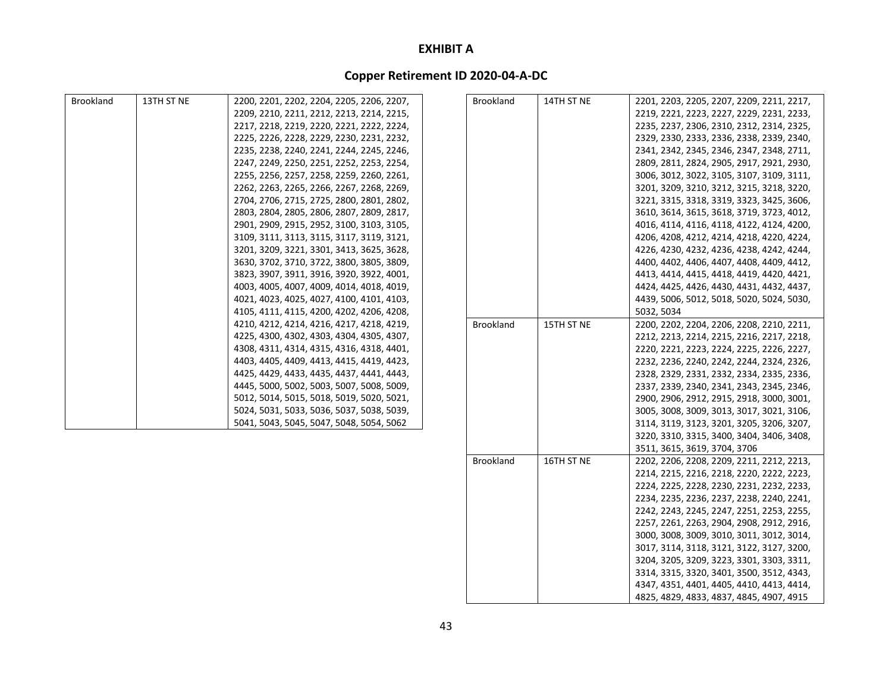### **Copper Retirement ID 2020‐04‐A‐DC**

| <b>Brookland</b> | 13TH ST NE | 2200, 2201, 2202, 2204, 2205, 2206, 2207, | <b>Brookland</b> | 14TH ST NE | 2201, 2203, 2205, 2207, 2209, 2211, 2217, |
|------------------|------------|-------------------------------------------|------------------|------------|-------------------------------------------|
|                  |            | 2209, 2210, 2211, 2212, 2213, 2214, 2215, |                  |            | 2219, 2221, 2223, 2227, 2229, 2231, 2233, |
|                  |            | 2217, 2218, 2219, 2220, 2221, 2222, 2224, |                  |            | 2235, 2237, 2306, 2310, 2312, 2314, 2325, |
|                  |            | 2225, 2226, 2228, 2229, 2230, 2231, 2232, |                  |            | 2329, 2330, 2333, 2336, 2338, 2339, 2340, |
|                  |            | 2235, 2238, 2240, 2241, 2244, 2245, 2246, |                  |            | 2341, 2342, 2345, 2346, 2347, 2348, 2711, |
|                  |            | 2247, 2249, 2250, 2251, 2252, 2253, 2254, |                  |            | 2809, 2811, 2824, 2905, 2917, 2921, 2930, |
|                  |            | 2255, 2256, 2257, 2258, 2259, 2260, 2261, |                  |            | 3006, 3012, 3022, 3105, 3107, 3109, 3111, |
|                  |            | 2262, 2263, 2265, 2266, 2267, 2268, 2269, |                  |            | 3201, 3209, 3210, 3212, 3215, 3218, 3220, |
|                  |            | 2704, 2706, 2715, 2725, 2800, 2801, 2802, |                  |            | 3221, 3315, 3318, 3319, 3323, 3425, 3606, |
|                  |            | 2803, 2804, 2805, 2806, 2807, 2809, 2817, |                  |            | 3610, 3614, 3615, 3618, 3719, 3723, 4012, |
|                  |            | 2901, 2909, 2915, 2952, 3100, 3103, 3105, |                  |            | 4016, 4114, 4116, 4118, 4122, 4124, 4200, |
|                  |            | 3109, 3111, 3113, 3115, 3117, 3119, 3121, |                  |            | 4206, 4208, 4212, 4214, 4218, 4220, 4224, |
|                  |            | 3201, 3209, 3221, 3301, 3413, 3625, 3628, |                  |            | 4226, 4230, 4232, 4236, 4238, 4242, 4244, |
|                  |            | 3630, 3702, 3710, 3722, 3800, 3805, 3809, |                  |            | 4400, 4402, 4406, 4407, 4408, 4409, 4412, |
|                  |            | 3823, 3907, 3911, 3916, 3920, 3922, 4001, |                  |            | 4413, 4414, 4415, 4418, 4419, 4420, 4421, |
|                  |            | 4003, 4005, 4007, 4009, 4014, 4018, 4019, |                  |            | 4424, 4425, 4426, 4430, 4431, 4432, 4437, |
|                  |            | 4021, 4023, 4025, 4027, 4100, 4101, 4103, |                  |            | 4439, 5006, 5012, 5018, 5020, 5024, 5030, |
|                  |            | 4105, 4111, 4115, 4200, 4202, 4206, 4208, |                  |            | 5032, 5034                                |
|                  |            | 4210, 4212, 4214, 4216, 4217, 4218, 4219, | <b>Brookland</b> | 15TH ST NE | 2200, 2202, 2204, 2206, 2208, 2210, 2211, |
|                  |            | 4225, 4300, 4302, 4303, 4304, 4305, 4307, |                  |            | 2212, 2213, 2214, 2215, 2216, 2217, 2218, |
|                  |            | 4308, 4311, 4314, 4315, 4316, 4318, 4401, |                  |            | 2220, 2221, 2223, 2224, 2225, 2226, 2227, |
|                  |            | 4403, 4405, 4409, 4413, 4415, 4419, 4423, |                  |            | 2232, 2236, 2240, 2242, 2244, 2324, 2326, |
|                  |            | 4425, 4429, 4433, 4435, 4437, 4441, 4443, |                  |            | 2328, 2329, 2331, 2332, 2334, 2335, 2336, |
|                  |            | 4445, 5000, 5002, 5003, 5007, 5008, 5009, |                  |            | 2337, 2339, 2340, 2341, 2343, 2345, 2346, |
|                  |            | 5012, 5014, 5015, 5018, 5019, 5020, 5021, |                  |            | 2900, 2906, 2912, 2915, 2918, 3000, 3001, |
|                  |            | 5024, 5031, 5033, 5036, 5037, 5038, 5039, |                  |            | 3005, 3008, 3009, 3013, 3017, 3021, 3106, |
|                  |            | 5041, 5043, 5045, 5047, 5048, 5054, 5062  |                  |            | 3114, 3119, 3123, 3201, 3205, 3206, 3207, |
|                  |            |                                           |                  |            | 3220, 3310, 3315, 3400, 3404, 3406, 3408, |
|                  |            |                                           |                  |            | 3511, 3615, 3619, 3704, 3706              |
|                  |            |                                           | <b>Brookland</b> | 16TH ST NE | 2202, 2206, 2208, 2209, 2211, 2212, 2213, |
|                  |            |                                           |                  |            | 2214, 2215, 2216, 2218, 2220, 2222, 2223, |
|                  |            |                                           |                  |            | 2224, 2225, 2228, 2230, 2231, 2232, 2233, |
|                  |            |                                           |                  |            | 2234, 2235, 2236, 2237, 2238, 2240, 2241, |

2242, 2243, 2245, 2247, 2251, 2253, 2255, 2257, 2261, 2263, 2904, 2908, 2912, 2916, 3000, 3008, 3009, 3010, 3011, 3012, 3014, 3017, 3114, 3118, 3121, 3122, 3127, 3200, 3204, 3205, 3209, 3223, 3301, 3303, 3311, 3314, 3315, 3320, 3401, 3500, 3512, 4343, 4347, 4351, 4401, 4405, 4410, 4413, 4414, 4825, 4829, 4833, 4837, 4845, 4907, 4915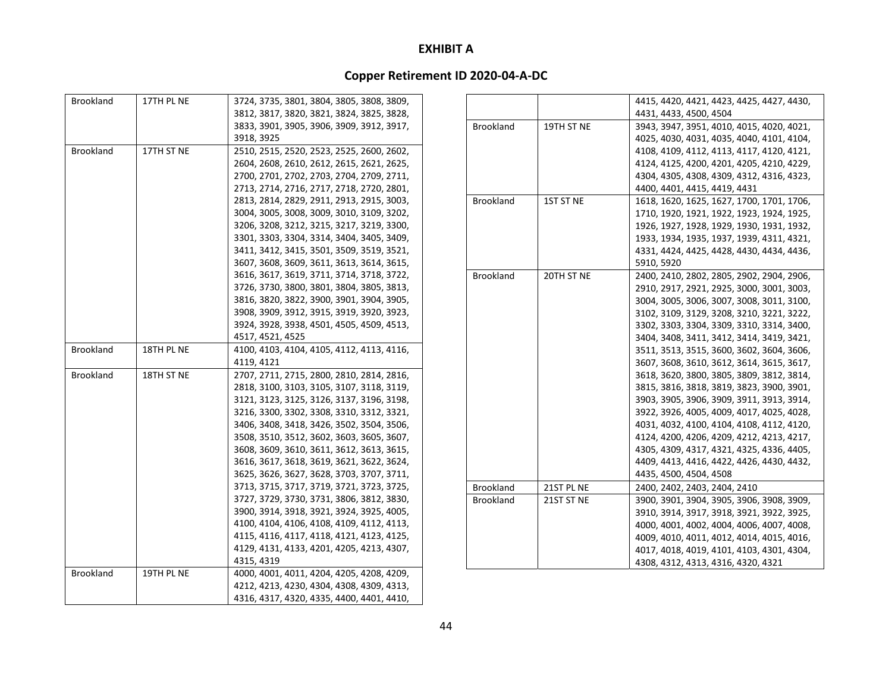| <b>Brookland</b> | 17TH PL NE | 3724, 3735, 3801, 3804, 3805, 3808, 3809, |                  |            | 4415, 4420, 4421, 4423, 4425, 4427, 4430, |
|------------------|------------|-------------------------------------------|------------------|------------|-------------------------------------------|
|                  |            | 3812, 3817, 3820, 3821, 3824, 3825, 3828, |                  |            | 4431, 4433, 4500, 4504                    |
|                  |            | 3833, 3901, 3905, 3906, 3909, 3912, 3917, | <b>Brookland</b> | 19TH ST NE | 3943, 3947, 3951, 4010, 4015, 4020, 4021, |
|                  |            | 3918, 3925                                |                  |            | 4025, 4030, 4031, 4035, 4040, 4101, 4104, |
| <b>Brookland</b> | 17TH ST NE | 2510, 2515, 2520, 2523, 2525, 2600, 2602, |                  |            | 4108, 4109, 4112, 4113, 4117, 4120, 4121, |
|                  |            | 2604, 2608, 2610, 2612, 2615, 2621, 2625, |                  |            | 4124, 4125, 4200, 4201, 4205, 4210, 4229, |
|                  |            | 2700, 2701, 2702, 2703, 2704, 2709, 2711, |                  |            | 4304, 4305, 4308, 4309, 4312, 4316, 4323, |
|                  |            | 2713, 2714, 2716, 2717, 2718, 2720, 2801, |                  |            | 4400, 4401, 4415, 4419, 4431              |
|                  |            | 2813, 2814, 2829, 2911, 2913, 2915, 3003, | <b>Brookland</b> | 1ST ST NE  | 1618, 1620, 1625, 1627, 1700, 1701, 1706, |
|                  |            | 3004, 3005, 3008, 3009, 3010, 3109, 3202, |                  |            | 1710, 1920, 1921, 1922, 1923, 1924, 1925, |
|                  |            | 3206, 3208, 3212, 3215, 3217, 3219, 3300, |                  |            | 1926, 1927, 1928, 1929, 1930, 1931, 1932, |
|                  |            | 3301, 3303, 3304, 3314, 3404, 3405, 3409, |                  |            | 1933, 1934, 1935, 1937, 1939, 4311, 4321, |
|                  |            | 3411, 3412, 3415, 3501, 3509, 3519, 3521, |                  |            | 4331, 4424, 4425, 4428, 4430, 4434, 4436, |
|                  |            | 3607, 3608, 3609, 3611, 3613, 3614, 3615, |                  |            | 5910, 5920                                |
|                  |            | 3616, 3617, 3619, 3711, 3714, 3718, 3722, | <b>Brookland</b> | 20TH ST NE | 2400, 2410, 2802, 2805, 2902, 2904, 2906, |
|                  |            | 3726, 3730, 3800, 3801, 3804, 3805, 3813, |                  |            | 2910, 2917, 2921, 2925, 3000, 3001, 3003, |
|                  |            | 3816, 3820, 3822, 3900, 3901, 3904, 3905, |                  |            | 3004, 3005, 3006, 3007, 3008, 3011, 3100, |
|                  |            | 3908, 3909, 3912, 3915, 3919, 3920, 3923, |                  |            | 3102, 3109, 3129, 3208, 3210, 3221, 3222, |
|                  |            | 3924, 3928, 3938, 4501, 4505, 4509, 4513, |                  |            | 3302, 3303, 3304, 3309, 3310, 3314, 3400, |
|                  |            | 4517, 4521, 4525                          |                  |            | 3404, 3408, 3411, 3412, 3414, 3419, 3421, |
| <b>Brookland</b> | 18TH PL NE | 4100, 4103, 4104, 4105, 4112, 4113, 4116, |                  |            | 3511, 3513, 3515, 3600, 3602, 3604, 3606, |
|                  |            | 4119, 4121                                |                  |            | 3607, 3608, 3610, 3612, 3614, 3615, 3617, |
| <b>Brookland</b> | 18TH ST NE | 2707, 2711, 2715, 2800, 2810, 2814, 2816, |                  |            | 3618, 3620, 3800, 3805, 3809, 3812, 3814, |
|                  |            | 2818, 3100, 3103, 3105, 3107, 3118, 3119, |                  |            | 3815, 3816, 3818, 3819, 3823, 3900, 3901, |
|                  |            | 3121, 3123, 3125, 3126, 3137, 3196, 3198, |                  |            | 3903, 3905, 3906, 3909, 3911, 3913, 3914, |
|                  |            | 3216, 3300, 3302, 3308, 3310, 3312, 3321, |                  |            | 3922, 3926, 4005, 4009, 4017, 4025, 4028, |
|                  |            | 3406, 3408, 3418, 3426, 3502, 3504, 3506, |                  |            | 4031, 4032, 4100, 4104, 4108, 4112, 4120, |
|                  |            | 3508, 3510, 3512, 3602, 3603, 3605, 3607, |                  |            | 4124, 4200, 4206, 4209, 4212, 4213, 4217, |
|                  |            | 3608, 3609, 3610, 3611, 3612, 3613, 3615, |                  |            | 4305, 4309, 4317, 4321, 4325, 4336, 4405, |
|                  |            | 3616, 3617, 3618, 3619, 3621, 3622, 3624, |                  |            | 4409, 4413, 4416, 4422, 4426, 4430, 4432, |
|                  |            | 3625, 3626, 3627, 3628, 3703, 3707, 3711, |                  |            | 4435, 4500, 4504, 4508                    |
|                  |            | 3713, 3715, 3717, 3719, 3721, 3723, 3725, | Brookland        | 21ST PL NE | 2400, 2402, 2403, 2404, 2410              |
|                  |            | 3727, 3729, 3730, 3731, 3806, 3812, 3830, | <b>Brookland</b> | 21ST ST NE | 3900, 3901, 3904, 3905, 3906, 3908, 3909, |
|                  |            | 3900, 3914, 3918, 3921, 3924, 3925, 4005, |                  |            | 3910, 3914, 3917, 3918, 3921, 3922, 3925, |
|                  |            | 4100, 4104, 4106, 4108, 4109, 4112, 4113, |                  |            | 4000, 4001, 4002, 4004, 4006, 4007, 4008, |
|                  |            | 4115, 4116, 4117, 4118, 4121, 4123, 4125, |                  |            | 4009, 4010, 4011, 4012, 4014, 4015, 4016, |
|                  |            | 4129, 4131, 4133, 4201, 4205, 4213, 4307, |                  |            | 4017, 4018, 4019, 4101, 4103, 4301, 4304, |
|                  |            | 4315, 4319                                |                  |            | 4308, 4312, 4313, 4316, 4320, 4321        |
| <b>Brookland</b> | 19TH PL NE | 4000, 4001, 4011, 4204, 4205, 4208, 4209, |                  |            |                                           |
|                  |            | 4212, 4213, 4230, 4304, 4308, 4309, 4313, |                  |            |                                           |
|                  |            | 4316, 4317, 4320, 4335, 4400, 4401, 4410, |                  |            |                                           |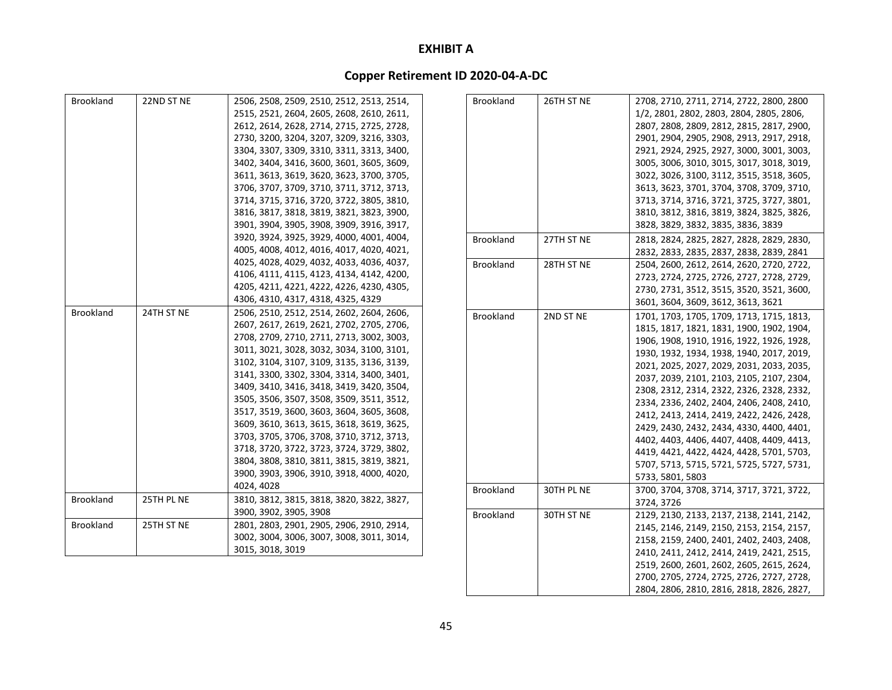# **Copper Retirement ID 2020‐04‐A‐DC**

| Brookland        | 22ND ST NE | 2506, 2508, 2509, 2510, 2512, 2513, 2514, | Brookland        | 26TH ST NE | 2708, 2710, 2711, 2714, 2722, 2800, 2800  |
|------------------|------------|-------------------------------------------|------------------|------------|-------------------------------------------|
|                  |            | 2515, 2521, 2604, 2605, 2608, 2610, 2611, |                  |            | 1/2, 2801, 2802, 2803, 2804, 2805, 2806,  |
|                  |            | 2612, 2614, 2628, 2714, 2715, 2725, 2728, |                  |            | 2807, 2808, 2809, 2812, 2815, 2817, 2900, |
|                  |            | 2730, 3200, 3204, 3207, 3209, 3216, 3303, |                  |            | 2901, 2904, 2905, 2908, 2913, 2917, 2918, |
|                  |            | 3304, 3307, 3309, 3310, 3311, 3313, 3400, |                  |            | 2921, 2924, 2925, 2927, 3000, 3001, 3003, |
|                  |            | 3402, 3404, 3416, 3600, 3601, 3605, 3609, |                  |            | 3005, 3006, 3010, 3015, 3017, 3018, 3019, |
|                  |            | 3611, 3613, 3619, 3620, 3623, 3700, 3705, |                  |            | 3022, 3026, 3100, 3112, 3515, 3518, 3605, |
|                  |            | 3706, 3707, 3709, 3710, 3711, 3712, 3713, |                  |            | 3613, 3623, 3701, 3704, 3708, 3709, 3710, |
|                  |            | 3714, 3715, 3716, 3720, 3722, 3805, 3810, |                  |            | 3713, 3714, 3716, 3721, 3725, 3727, 3801, |
|                  |            | 3816, 3817, 3818, 3819, 3821, 3823, 3900, |                  |            | 3810, 3812, 3816, 3819, 3824, 3825, 3826, |
|                  |            | 3901, 3904, 3905, 3908, 3909, 3916, 3917, |                  |            | 3828, 3829, 3832, 3835, 3836, 3839        |
|                  |            | 3920, 3924, 3925, 3929, 4000, 4001, 4004, | <b>Brookland</b> | 27TH ST NE | 2818, 2824, 2825, 2827, 2828, 2829, 2830, |
|                  |            | 4005, 4008, 4012, 4016, 4017, 4020, 4021, |                  |            | 2832, 2833, 2835, 2837, 2838, 2839, 2841  |
|                  |            | 4025, 4028, 4029, 4032, 4033, 4036, 4037, | <b>Brookland</b> | 28TH ST NE | 2504, 2600, 2612, 2614, 2620, 2720, 2722, |
|                  |            | 4106, 4111, 4115, 4123, 4134, 4142, 4200, |                  |            | 2723, 2724, 2725, 2726, 2727, 2728, 2729, |
|                  |            | 4205, 4211, 4221, 4222, 4226, 4230, 4305, |                  |            | 2730, 2731, 3512, 3515, 3520, 3521, 3600, |
|                  |            | 4306, 4310, 4317, 4318, 4325, 4329        |                  |            | 3601, 3604, 3609, 3612, 3613, 3621        |
| <b>Brookland</b> | 24TH ST NE | 2506, 2510, 2512, 2514, 2602, 2604, 2606, | <b>Brookland</b> | 2ND ST NE  | 1701, 1703, 1705, 1709, 1713, 1715, 1813, |
|                  |            | 2607, 2617, 2619, 2621, 2702, 2705, 2706, |                  |            | 1815, 1817, 1821, 1831, 1900, 1902, 1904, |
|                  |            | 2708, 2709, 2710, 2711, 2713, 3002, 3003, |                  |            | 1906, 1908, 1910, 1916, 1922, 1926, 1928, |
|                  |            | 3011, 3021, 3028, 3032, 3034, 3100, 3101, |                  |            | 1930, 1932, 1934, 1938, 1940, 2017, 2019, |
|                  |            | 3102, 3104, 3107, 3109, 3135, 3136, 3139, |                  |            | 2021, 2025, 2027, 2029, 2031, 2033, 2035, |
|                  |            | 3141, 3300, 3302, 3304, 3314, 3400, 3401, |                  |            | 2037, 2039, 2101, 2103, 2105, 2107, 2304, |
|                  |            | 3409, 3410, 3416, 3418, 3419, 3420, 3504, |                  |            | 2308, 2312, 2314, 2322, 2326, 2328, 2332, |
|                  |            | 3505, 3506, 3507, 3508, 3509, 3511, 3512, |                  |            | 2334, 2336, 2402, 2404, 2406, 2408, 2410, |
|                  |            | 3517, 3519, 3600, 3603, 3604, 3605, 3608, |                  |            | 2412, 2413, 2414, 2419, 2422, 2426, 2428, |
|                  |            | 3609, 3610, 3613, 3615, 3618, 3619, 3625, |                  |            | 2429, 2430, 2432, 2434, 4330, 4400, 4401, |
|                  |            | 3703, 3705, 3706, 3708, 3710, 3712, 3713, |                  |            | 4402, 4403, 4406, 4407, 4408, 4409, 4413, |
|                  |            | 3718, 3720, 3722, 3723, 3724, 3729, 3802, |                  |            | 4419, 4421, 4422, 4424, 4428, 5701, 5703, |
|                  |            | 3804, 3808, 3810, 3811, 3815, 3819, 3821, |                  |            | 5707, 5713, 5715, 5721, 5725, 5727, 5731, |
|                  |            | 3900, 3903, 3906, 3910, 3918, 4000, 4020, |                  |            | 5733, 5801, 5803                          |
|                  |            | 4024, 4028                                | <b>Brookland</b> | 30TH PL NE | 3700, 3704, 3708, 3714, 3717, 3721, 3722, |
| <b>Brookland</b> | 25TH PL NE | 3810, 3812, 3815, 3818, 3820, 3822, 3827, |                  |            | 3724, 3726                                |
|                  |            | 3900, 3902, 3905, 3908                    | <b>Brookland</b> | 30TH ST NE | 2129, 2130, 2133, 2137, 2138, 2141, 2142, |
| <b>Brookland</b> | 25TH ST NE | 2801, 2803, 2901, 2905, 2906, 2910, 2914, |                  |            | 2145, 2146, 2149, 2150, 2153, 2154, 2157, |
|                  |            | 3002, 3004, 3006, 3007, 3008, 3011, 3014, |                  |            | 2158, 2159, 2400, 2401, 2402, 2403, 2408, |
|                  |            | 3015, 3018, 3019                          |                  |            | 2410, 2411, 2412, 2414, 2419, 2421, 2515, |
|                  |            |                                           |                  |            | 2519, 2600, 2601, 2602, 2605, 2615, 2624, |

2700, 2705, 2724, 2725, 2726, 2727, 2728, 2804, 2806, 2810, 2816, 2818, 2826, 2827,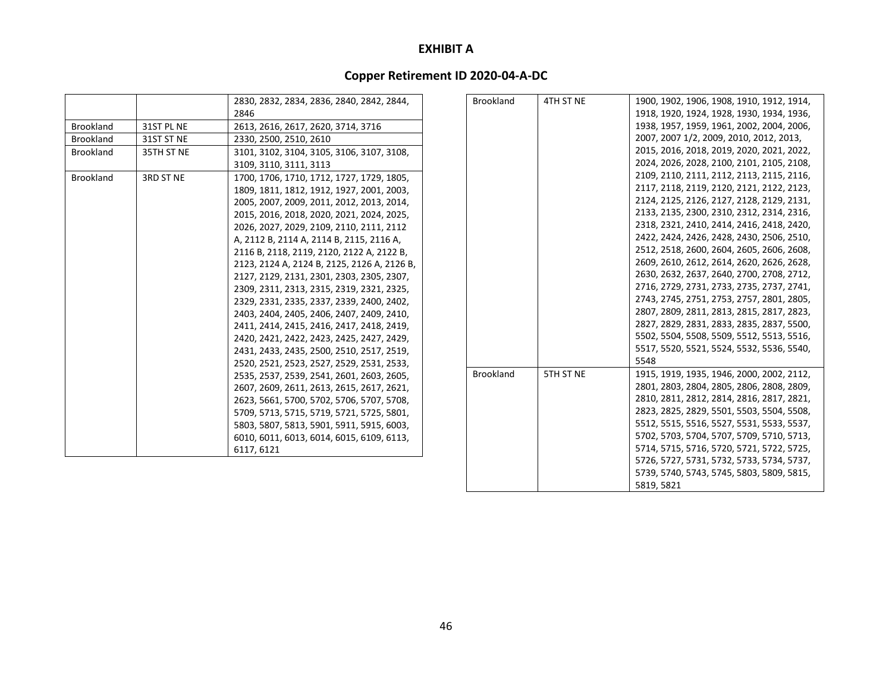|                  |            | 2830, 2832, 2834, 2836, 2840, 2842, 2844,   | <b>Brookland</b> |
|------------------|------------|---------------------------------------------|------------------|
|                  |            | 2846                                        |                  |
| <b>Brookland</b> | 31ST PL NE | 2613, 2616, 2617, 2620, 3714, 3716          |                  |
| <b>Brookland</b> | 31ST ST NE | 2330, 2500, 2510, 2610                      |                  |
| Brookland        | 35TH ST NE | 3101, 3102, 3104, 3105, 3106, 3107, 3108,   |                  |
|                  |            | 3109, 3110, 3111, 3113                      |                  |
| <b>Brookland</b> | 3RD ST NE  | 1700, 1706, 1710, 1712, 1727, 1729, 1805,   |                  |
|                  |            | 1809, 1811, 1812, 1912, 1927, 2001, 2003,   |                  |
|                  |            | 2005, 2007, 2009, 2011, 2012, 2013, 2014,   |                  |
|                  |            | 2015, 2016, 2018, 2020, 2021, 2024, 2025,   |                  |
|                  |            | 2026, 2027, 2029, 2109, 2110, 2111, 2112    |                  |
|                  |            | A, 2112 B, 2114 A, 2114 B, 2115, 2116 A,    |                  |
|                  |            | 2116 B, 2118, 2119, 2120, 2122 A, 2122 B,   |                  |
|                  |            | 2123, 2124 A, 2124 B, 2125, 2126 A, 2126 B, |                  |
|                  |            | 2127, 2129, 2131, 2301, 2303, 2305, 2307,   |                  |
|                  |            | 2309, 2311, 2313, 2315, 2319, 2321, 2325,   |                  |
|                  |            | 2329, 2331, 2335, 2337, 2339, 2400, 2402,   |                  |
|                  |            | 2403, 2404, 2405, 2406, 2407, 2409, 2410,   |                  |
|                  |            | 2411, 2414, 2415, 2416, 2417, 2418, 2419,   |                  |
|                  |            | 2420, 2421, 2422, 2423, 2425, 2427, 2429,   |                  |
|                  |            | 2431, 2433, 2435, 2500, 2510, 2517, 2519,   |                  |
|                  |            | 2520, 2521, 2523, 2527, 2529, 2531, 2533,   |                  |
|                  |            | 2535, 2537, 2539, 2541, 2601, 2603, 2605,   | <b>Brookland</b> |
|                  |            | 2607, 2609, 2611, 2613, 2615, 2617, 2621,   |                  |
|                  |            | 2623, 5661, 5700, 5702, 5706, 5707, 5708,   |                  |
|                  |            | 5709, 5713, 5715, 5719, 5721, 5725, 5801,   |                  |
|                  |            | 5803, 5807, 5813, 5901, 5911, 5915, 6003,   |                  |
|                  |            | 6010, 6011, 6013, 6014, 6015, 6109, 6113,   |                  |
|                  |            | 6117, 6121                                  |                  |

| <b>Brookland</b> | 4TH ST NE | 1900, 1902, 1906, 1908, 1910, 1912, 1914, |
|------------------|-----------|-------------------------------------------|
|                  |           | 1918, 1920, 1924, 1928, 1930, 1934, 1936, |
|                  |           | 1938, 1957, 1959, 1961, 2002, 2004, 2006, |
|                  |           | 2007, 2007 1/2, 2009, 2010, 2012, 2013,   |
|                  |           | 2015, 2016, 2018, 2019, 2020, 2021, 2022, |
|                  |           | 2024, 2026, 2028, 2100, 2101, 2105, 2108, |
|                  |           | 2109, 2110, 2111, 2112, 2113, 2115, 2116, |
|                  |           | 2117, 2118, 2119, 2120, 2121, 2122, 2123, |
|                  |           | 2124, 2125, 2126, 2127, 2128, 2129, 2131, |
|                  |           | 2133, 2135, 2300, 2310, 2312, 2314, 2316, |
|                  |           | 2318, 2321, 2410, 2414, 2416, 2418, 2420, |
|                  |           | 2422, 2424, 2426, 2428, 2430, 2506, 2510, |
|                  |           | 2512, 2518, 2600, 2604, 2605, 2606, 2608, |
|                  |           | 2609, 2610, 2612, 2614, 2620, 2626, 2628, |
|                  |           | 2630, 2632, 2637, 2640, 2700, 2708, 2712, |
|                  |           | 2716, 2729, 2731, 2733, 2735, 2737, 2741, |
|                  |           | 2743, 2745, 2751, 2753, 2757, 2801, 2805, |
|                  |           | 2807, 2809, 2811, 2813, 2815, 2817, 2823, |
|                  |           | 2827, 2829, 2831, 2833, 2835, 2837, 5500, |
|                  |           | 5502, 5504, 5508, 5509, 5512, 5513, 5516, |
|                  |           | 5517, 5520, 5521, 5524, 5532, 5536, 5540, |
|                  |           | 5548                                      |
| <b>Brookland</b> | 5TH ST NE | 1915, 1919, 1935, 1946, 2000, 2002, 2112, |
|                  |           | 2801, 2803, 2804, 2805, 2806, 2808, 2809, |
|                  |           | 2810, 2811, 2812, 2814, 2816, 2817, 2821, |
|                  |           | 2823, 2825, 2829, 5501, 5503, 5504, 5508, |
|                  |           | 5512, 5515, 5516, 5527, 5531, 5533, 5537, |
|                  |           | 5702, 5703, 5704, 5707, 5709, 5710, 5713, |
|                  |           | 5714, 5715, 5716, 5720, 5721, 5722, 5725, |
|                  |           | 5726, 5727, 5731, 5732, 5733, 5734, 5737, |
|                  |           | 5739, 5740, 5743, 5745, 5803, 5809, 5815, |
|                  |           | 5819, 5821                                |
|                  |           |                                           |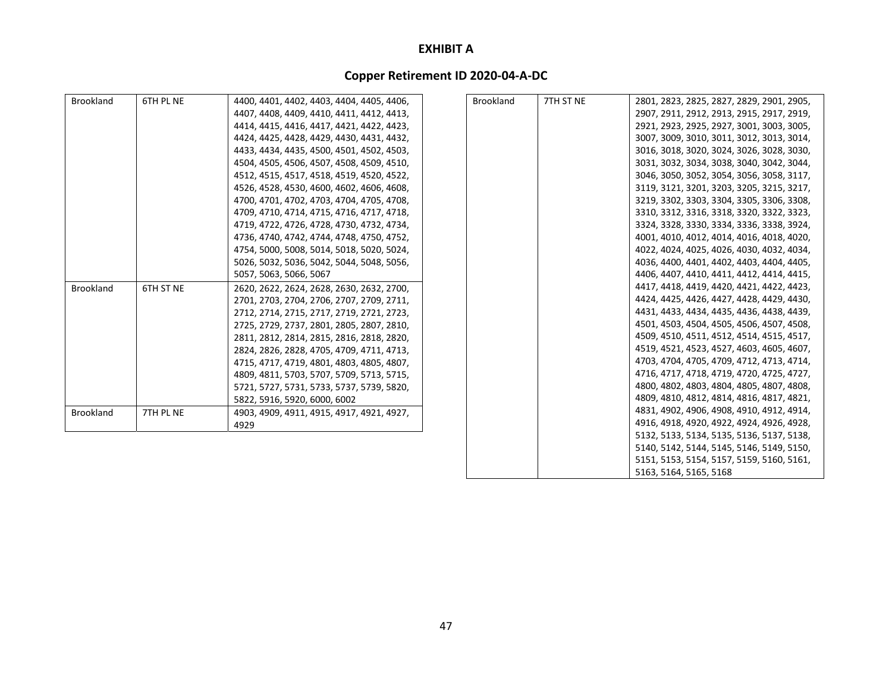# **Copper Retirement ID 2020‐04‐A‐DC**

| <b>Brookland</b> | 6TH PL NE | 4400, 4401, 4402, 4403, 4404, 4405, 4406, | <b>Brookland</b> | 7TH ST NE | 2801, 2823, 2825, 2827, 2829, 2901, 2905, |
|------------------|-----------|-------------------------------------------|------------------|-----------|-------------------------------------------|
|                  |           | 4407, 4408, 4409, 4410, 4411, 4412, 4413, |                  |           | 2907, 2911, 2912, 2913, 2915, 2917, 2919, |
|                  |           | 4414, 4415, 4416, 4417, 4421, 4422, 4423, |                  |           | 2921, 2923, 2925, 2927, 3001, 3003, 3005, |
|                  |           | 4424, 4425, 4428, 4429, 4430, 4431, 4432, |                  |           | 3007, 3009, 3010, 3011, 3012, 3013, 3014, |
|                  |           | 4433, 4434, 4435, 4500, 4501, 4502, 4503, |                  |           | 3016, 3018, 3020, 3024, 3026, 3028, 3030, |
|                  |           | 4504, 4505, 4506, 4507, 4508, 4509, 4510, |                  |           | 3031, 3032, 3034, 3038, 3040, 3042, 3044, |
|                  |           | 4512, 4515, 4517, 4518, 4519, 4520, 4522, |                  |           | 3046, 3050, 3052, 3054, 3056, 3058, 3117, |
|                  |           | 4526, 4528, 4530, 4600, 4602, 4606, 4608, |                  |           | 3119, 3121, 3201, 3203, 3205, 3215, 3217, |
|                  |           | 4700, 4701, 4702, 4703, 4704, 4705, 4708, |                  |           | 3219, 3302, 3303, 3304, 3305, 3306, 3308, |
|                  |           | 4709, 4710, 4714, 4715, 4716, 4717, 4718, |                  |           | 3310, 3312, 3316, 3318, 3320, 3322, 3323, |
|                  |           | 4719, 4722, 4726, 4728, 4730, 4732, 4734, |                  |           | 3324, 3328, 3330, 3334, 3336, 3338, 3924, |
|                  |           | 4736, 4740, 4742, 4744, 4748, 4750, 4752, |                  |           | 4001, 4010, 4012, 4014, 4016, 4018, 4020, |
|                  |           | 4754, 5000, 5008, 5014, 5018, 5020, 5024, |                  |           | 4022, 4024, 4025, 4026, 4030, 4032, 4034, |
|                  |           | 5026, 5032, 5036, 5042, 5044, 5048, 5056, |                  |           | 4036, 4400, 4401, 4402, 4403, 4404, 4405, |
|                  |           | 5057, 5063, 5066, 5067                    |                  |           | 4406, 4407, 4410, 4411, 4412, 4414, 4415, |
| <b>Brookland</b> | 6TH ST NE | 2620, 2622, 2624, 2628, 2630, 2632, 2700, |                  |           | 4417, 4418, 4419, 4420, 4421, 4422, 4423, |
|                  |           | 2701, 2703, 2704, 2706, 2707, 2709, 2711, |                  |           | 4424, 4425, 4426, 4427, 4428, 4429, 4430, |
|                  |           | 2712, 2714, 2715, 2717, 2719, 2721, 2723, |                  |           | 4431, 4433, 4434, 4435, 4436, 4438, 4439, |
|                  |           | 2725, 2729, 2737, 2801, 2805, 2807, 2810, |                  |           | 4501, 4503, 4504, 4505, 4506, 4507, 4508, |
|                  |           | 2811, 2812, 2814, 2815, 2816, 2818, 2820, |                  |           | 4509, 4510, 4511, 4512, 4514, 4515, 4517, |
|                  |           | 2824, 2826, 2828, 4705, 4709, 4711, 4713, |                  |           | 4519, 4521, 4523, 4527, 4603, 4605, 4607, |
|                  |           | 4715, 4717, 4719, 4801, 4803, 4805, 4807, |                  |           | 4703, 4704, 4705, 4709, 4712, 4713, 4714, |
|                  |           | 4809, 4811, 5703, 5707, 5709, 5713, 5715, |                  |           | 4716, 4717, 4718, 4719, 4720, 4725, 4727, |
|                  |           | 5721, 5727, 5731, 5733, 5737, 5739, 5820, |                  |           | 4800, 4802, 4803, 4804, 4805, 4807, 4808, |
|                  |           | 5822, 5916, 5920, 6000, 6002              |                  |           | 4809, 4810, 4812, 4814, 4816, 4817, 4821, |
| <b>Brookland</b> | 7TH PL NE | 4903, 4909, 4911, 4915, 4917, 4921, 4927, |                  |           | 4831, 4902, 4906, 4908, 4910, 4912, 4914, |
|                  |           | 4929                                      |                  |           | 4916, 4918, 4920, 4922, 4924, 4926, 4928, |
|                  |           |                                           |                  |           | 5132, 5133, 5134, 5135, 5136, 5137, 5138, |
|                  |           |                                           |                  |           | 5140, 5142, 5144, 5145, 5146, 5149, 5150, |
|                  |           |                                           |                  |           | 5151, 5153, 5154, 5157, 5159, 5160, 5161, |

5163, 5164, 5165, 5168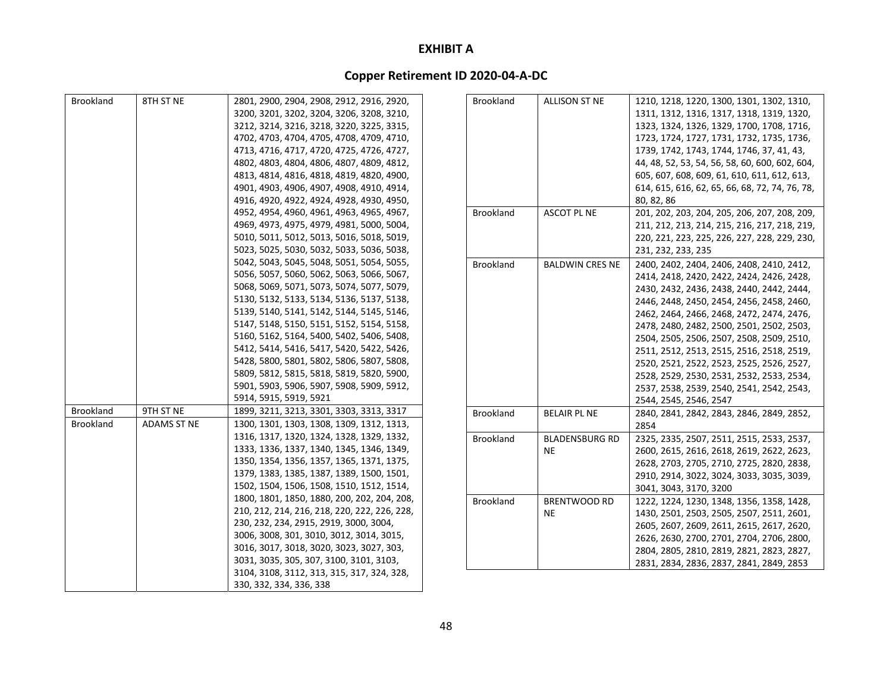| Brookland        | 8TH ST NE          | 2801, 2900, 2904, 2908, 2912, 2916, 2920,    |
|------------------|--------------------|----------------------------------------------|
|                  |                    | 3200, 3201, 3202, 3204, 3206, 3208, 3210,    |
|                  |                    | 3212, 3214, 3216, 3218, 3220, 3225, 3315,    |
|                  |                    | 4702, 4703, 4704, 4705, 4708, 4709, 4710,    |
|                  |                    | 4713, 4716, 4717, 4720, 4725, 4726, 4727,    |
|                  |                    | 4802, 4803, 4804, 4806, 4807, 4809, 4812,    |
|                  |                    | 4813, 4814, 4816, 4818, 4819, 4820, 4900,    |
|                  |                    | 4901, 4903, 4906, 4907, 4908, 4910, 4914,    |
|                  |                    | 4916, 4920, 4922, 4924, 4928, 4930, 4950,    |
|                  |                    | 4952, 4954, 4960, 4961, 4963, 4965, 4967,    |
|                  |                    | 4969, 4973, 4975, 4979, 4981, 5000, 5004,    |
|                  |                    | 5010, 5011, 5012, 5013, 5016, 5018, 5019,    |
|                  |                    | 5023, 5025, 5030, 5032, 5033, 5036, 5038,    |
|                  |                    | 5042, 5043, 5045, 5048, 5051, 5054, 5055,    |
|                  |                    | 5056, 5057, 5060, 5062, 5063, 5066, 5067,    |
|                  |                    | 5068, 5069, 5071, 5073, 5074, 5077, 5079,    |
|                  |                    | 5130, 5132, 5133, 5134, 5136, 5137, 5138,    |
|                  |                    | 5139, 5140, 5141, 5142, 5144, 5145, 5146,    |
|                  |                    | 5147, 5148, 5150, 5151, 5152, 5154, 5158,    |
|                  |                    | 5160, 5162, 5164, 5400, 5402, 5406, 5408,    |
|                  |                    | 5412, 5414, 5416, 5417, 5420, 5422, 5426,    |
|                  |                    | 5428, 5800, 5801, 5802, 5806, 5807, 5808,    |
|                  |                    | 5809, 5812, 5815, 5818, 5819, 5820, 5900,    |
|                  |                    | 5901, 5903, 5906, 5907, 5908, 5909, 5912,    |
|                  |                    | 5914, 5915, 5919, 5921                       |
| <b>Brookland</b> | 9TH ST NE          | 1899, 3211, 3213, 3301, 3303, 3313, 3317     |
| <b>Brookland</b> | <b>ADAMS ST NE</b> | 1300, 1301, 1303, 1308, 1309, 1312, 1313,    |
|                  |                    | 1316, 1317, 1320, 1324, 1328, 1329, 1332,    |
|                  |                    | 1333, 1336, 1337, 1340, 1345, 1346, 1349,    |
|                  |                    | 1350, 1354, 1356, 1357, 1365, 1371, 1375,    |
|                  |                    | 1379, 1383, 1385, 1387, 1389, 1500, 1501,    |
|                  |                    | 1502, 1504, 1506, 1508, 1510, 1512, 1514,    |
|                  |                    | 1800, 1801, 1850, 1880, 200, 202, 204, 208,  |
|                  |                    | 210, 212, 214, 216, 218, 220, 222, 226, 228, |
|                  |                    | 230, 232, 234, 2915, 2919, 3000, 3004,       |
|                  |                    | 3006, 3008, 301, 3010, 3012, 3014, 3015,     |
|                  |                    | 3016, 3017, 3018, 3020, 3023, 3027, 303,     |
|                  |                    | 3031, 3035, 305, 307, 3100, 3101, 3103,      |
|                  |                    | 3104, 3108, 3112, 313, 315, 317, 324, 328,   |
|                  |                    | 330, 332, 334, 336, 338                      |

| <b>Brookland</b> | ALLISON ST NE          | 1210, 1218, 1220, 1300, 1301, 1302, 1310,      |
|------------------|------------------------|------------------------------------------------|
|                  |                        | 1311, 1312, 1316, 1317, 1318, 1319, 1320,      |
|                  |                        | 1323, 1324, 1326, 1329, 1700, 1708, 1716,      |
|                  |                        | 1723, 1724, 1727, 1731, 1732, 1735, 1736,      |
|                  |                        | 1739, 1742, 1743, 1744, 1746, 37, 41, 43,      |
|                  |                        | 44, 48, 52, 53, 54, 56, 58, 60, 600, 602, 604, |
|                  |                        | 605, 607, 608, 609, 61, 610, 611, 612, 613,    |
|                  |                        | 614, 615, 616, 62, 65, 66, 68, 72, 74, 76, 78, |
|                  |                        | 80, 82, 86                                     |
| <b>Brookland</b> | <b>ASCOT PL NE</b>     | 201, 202, 203, 204, 205, 206, 207, 208, 209,   |
|                  |                        | 211, 212, 213, 214, 215, 216, 217, 218, 219,   |
|                  |                        | 220, 221, 223, 225, 226, 227, 228, 229, 230,   |
|                  |                        | 231, 232, 233, 235                             |
| <b>Brookland</b> | <b>BALDWIN CRES NE</b> | 2400, 2402, 2404, 2406, 2408, 2410, 2412,      |
|                  |                        | 2414, 2418, 2420, 2422, 2424, 2426, 2428,      |
|                  |                        | 2430, 2432, 2436, 2438, 2440, 2442, 2444,      |
|                  |                        | 2446, 2448, 2450, 2454, 2456, 2458, 2460,      |
|                  |                        | 2462, 2464, 2466, 2468, 2472, 2474, 2476,      |
|                  |                        | 2478, 2480, 2482, 2500, 2501, 2502, 2503,      |
|                  |                        | 2504, 2505, 2506, 2507, 2508, 2509, 2510,      |
|                  |                        | 2511, 2512, 2513, 2515, 2516, 2518, 2519,      |
|                  |                        | 2520, 2521, 2522, 2523, 2525, 2526, 2527,      |
|                  |                        | 2528, 2529, 2530, 2531, 2532, 2533, 2534,      |
|                  |                        | 2537, 2538, 2539, 2540, 2541, 2542, 2543,      |
|                  |                        | 2544, 2545, 2546, 2547                         |
| <b>Brookland</b> | BELAIR PL NE           | 2840, 2841, 2842, 2843, 2846, 2849, 2852,      |
|                  |                        | 2854                                           |
| <b>Brookland</b> | <b>BLADENSBURG RD</b>  | 2325, 2335, 2507, 2511, 2515, 2533, 2537,      |
|                  | NE                     | 2600, 2615, 2616, 2618, 2619, 2622, 2623,      |
|                  |                        | 2628, 2703, 2705, 2710, 2725, 2820, 2838,      |
|                  |                        | 2910, 2914, 3022, 3024, 3033, 3035, 3039,      |
|                  |                        | 3041, 3043, 3170, 3200                         |
| <b>Brookland</b> | BRENTWOOD RD           | 1222, 1224, 1230, 1348, 1356, 1358, 1428,      |
|                  | NE                     | 1430, 2501, 2503, 2505, 2507, 2511, 2601,      |
|                  |                        | 2605, 2607, 2609, 2611, 2615, 2617, 2620,      |
|                  |                        | 2626, 2630, 2700, 2701, 2704, 2706, 2800,      |
|                  |                        | 2804, 2805, 2810, 2819, 2821, 2823, 2827,      |
|                  |                        | 2831, 2834, 2836, 2837, 2841, 2849, 2853       |
|                  |                        |                                                |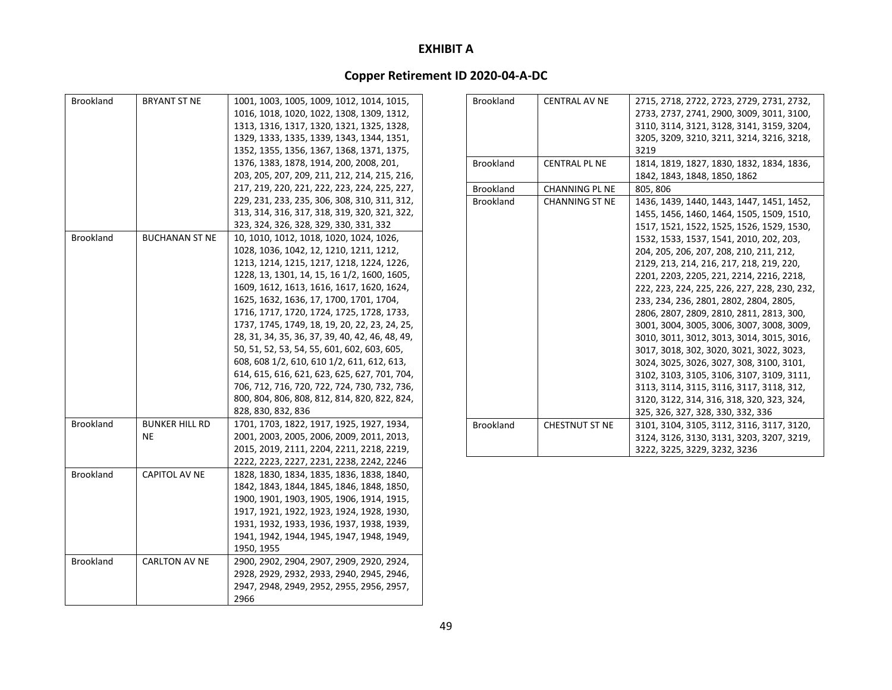| <b>Brookland</b> | BRYANT ST NE          | 1001, 1003, 1005, 1009, 1012, 1014, 1015,       |
|------------------|-----------------------|-------------------------------------------------|
|                  |                       | 1016, 1018, 1020, 1022, 1308, 1309, 1312,       |
|                  |                       | 1313, 1316, 1317, 1320, 1321, 1325, 1328,       |
|                  |                       | 1329, 1333, 1335, 1339, 1343, 1344, 1351,       |
|                  |                       | 1352, 1355, 1356, 1367, 1368, 1371, 1375,       |
|                  |                       | 1376, 1383, 1878, 1914, 200, 2008, 201,         |
|                  |                       | 203, 205, 207, 209, 211, 212, 214, 215, 216,    |
|                  |                       | 217, 219, 220, 221, 222, 223, 224, 225, 227,    |
|                  |                       | 229, 231, 233, 235, 306, 308, 310, 311, 312,    |
|                  |                       | 313, 314, 316, 317, 318, 319, 320, 321, 322,    |
|                  |                       | 323, 324, 326, 328, 329, 330, 331, 332          |
| <b>Brookland</b> | <b>BUCHANAN ST NE</b> | 10, 1010, 1012, 1018, 1020, 1024, 1026,         |
|                  |                       | 1028, 1036, 1042, 12, 1210, 1211, 1212,         |
|                  |                       | 1213, 1214, 1215, 1217, 1218, 1224, 1226,       |
|                  |                       | 1228, 13, 1301, 14, 15, 16 1/2, 1600, 1605,     |
|                  |                       | 1609, 1612, 1613, 1616, 1617, 1620, 1624,       |
|                  |                       | 1625, 1632, 1636, 17, 1700, 1701, 1704,         |
|                  |                       | 1716, 1717, 1720, 1724, 1725, 1728, 1733,       |
|                  |                       | 1737, 1745, 1749, 18, 19, 20, 22, 23, 24, 25,   |
|                  |                       | 28, 31, 34, 35, 36, 37, 39, 40, 42, 46, 48, 49, |
|                  |                       | 50, 51, 52, 53, 54, 55, 601, 602, 603, 605,     |
|                  |                       | 608, 608 1/2, 610, 610 1/2, 611, 612, 613,      |
|                  |                       | 614, 615, 616, 621, 623, 625, 627, 701, 704,    |
|                  |                       |                                                 |
|                  |                       | 706, 712, 716, 720, 722, 724, 730, 732, 736,    |
|                  |                       | 800, 804, 806, 808, 812, 814, 820, 822, 824,    |
|                  |                       | 828, 830, 832, 836                              |
| <b>Brookland</b> | <b>BUNKER HILL RD</b> | 1701, 1703, 1822, 1917, 1925, 1927, 1934,       |
|                  | ΝE                    | 2001, 2003, 2005, 2006, 2009, 2011, 2013,       |
|                  |                       | 2015, 2019, 2111, 2204, 2211, 2218, 2219,       |
|                  |                       | 2222, 2223, 2227, 2231, 2238, 2242, 2246        |
| <b>Brookland</b> | <b>CAPITOL AV NE</b>  | 1828, 1830, 1834, 1835, 1836, 1838, 1840,       |
|                  |                       | 1842, 1843, 1844, 1845, 1846, 1848, 1850,       |
|                  |                       | 1900, 1901, 1903, 1905, 1906, 1914, 1915,       |
|                  |                       | 1917, 1921, 1922, 1923, 1924, 1928, 1930,       |
|                  |                       | 1931, 1932, 1933, 1936, 1937, 1938, 1939,       |
|                  |                       | 1941, 1942, 1944, 1945, 1947, 1948, 1949,       |
|                  |                       | 1950, 1955                                      |
| <b>Brookland</b> | <b>CARLTON AV NE</b>  | 2900, 2902, 2904, 2907, 2909, 2920, 2924,       |
|                  |                       | 2928, 2929, 2932, 2933, 2940, 2945, 2946,       |
|                  |                       | 2947, 2948, 2949, 2952, 2955, 2956, 2957,       |
|                  |                       | 2966                                            |

| <b>Brookland</b> | <b>CENTRAL AV NE</b>  | 2715, 2718, 2722, 2723, 2729, 2731, 2732,    |
|------------------|-----------------------|----------------------------------------------|
|                  |                       | 2733, 2737, 2741, 2900, 3009, 3011, 3100,    |
|                  |                       | 3110, 3114, 3121, 3128, 3141, 3159, 3204,    |
|                  |                       | 3205, 3209, 3210, 3211, 3214, 3216, 3218,    |
|                  |                       | 3219                                         |
| <b>Brookland</b> | <b>CENTRAL PL NE</b>  | 1814, 1819, 1827, 1830, 1832, 1834, 1836,    |
|                  |                       | 1842, 1843, 1848, 1850, 1862                 |
| <b>Brookland</b> | <b>CHANNING PL NE</b> | 805, 806                                     |
| <b>Brookland</b> | <b>CHANNING ST NE</b> | 1436, 1439, 1440, 1443, 1447, 1451, 1452,    |
|                  |                       | 1455, 1456, 1460, 1464, 1505, 1509, 1510,    |
|                  |                       | 1517, 1521, 1522, 1525, 1526, 1529, 1530,    |
|                  |                       | 1532, 1533, 1537, 1541, 2010, 202, 203,      |
|                  |                       | 204, 205, 206, 207, 208, 210, 211, 212,      |
|                  |                       | 2129, 213, 214, 216, 217, 218, 219, 220,     |
|                  |                       | 2201, 2203, 2205, 221, 2214, 2216, 2218,     |
|                  |                       | 222, 223, 224, 225, 226, 227, 228, 230, 232, |
|                  |                       | 233, 234, 236, 2801, 2802, 2804, 2805,       |
|                  |                       | 2806, 2807, 2809, 2810, 2811, 2813, 300,     |
|                  |                       | 3001, 3004, 3005, 3006, 3007, 3008, 3009,    |
|                  |                       | 3010, 3011, 3012, 3013, 3014, 3015, 3016,    |
|                  |                       | 3017, 3018, 302, 3020, 3021, 3022, 3023,     |
|                  |                       | 3024, 3025, 3026, 3027, 308, 3100, 3101,     |
|                  |                       | 3102, 3103, 3105, 3106, 3107, 3109, 3111,    |
|                  |                       | 3113, 3114, 3115, 3116, 3117, 3118, 312,     |
|                  |                       | 3120, 3122, 314, 316, 318, 320, 323, 324,    |
|                  |                       | 325, 326, 327, 328, 330, 332, 336            |
| <b>Brookland</b> | <b>CHESTNUT ST NE</b> | 3101, 3104, 3105, 3112, 3116, 3117, 3120,    |
|                  |                       | 3124, 3126, 3130, 3131, 3203, 3207, 3219,    |
|                  |                       | 3222, 3225, 3229, 3232, 3236                 |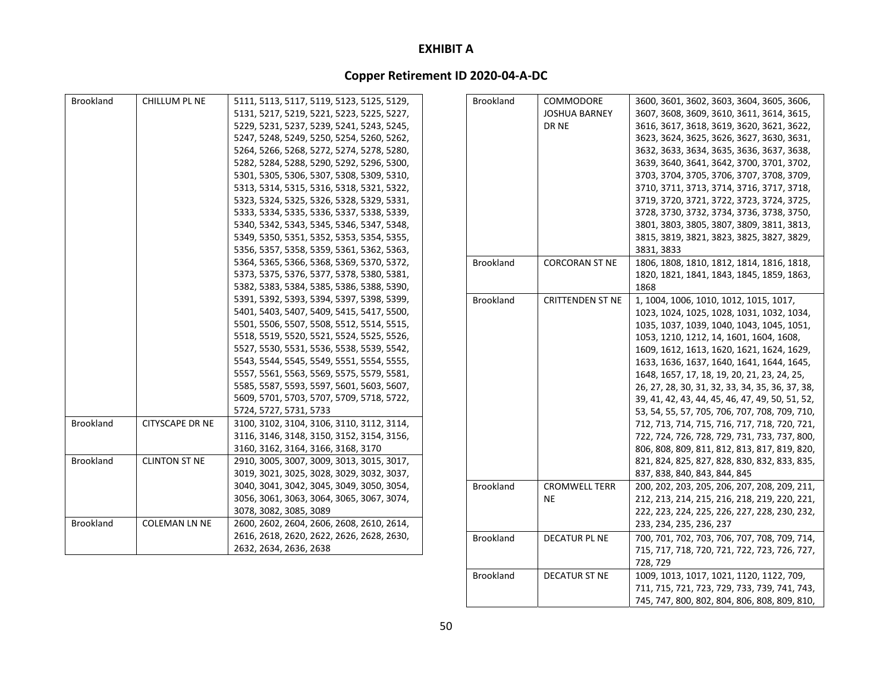# **Copper Retirement ID 2020‐04‐A‐DC**

| <b>Brookland</b> | CHILLUM PL NE          | 5111, 5113, 5117, 5119, 5123, 5125, 5129, | <b>Brookland</b> | COMMODORE               | 3600, 3601, 3602, 3603, 3604, 3605, 3606,       |
|------------------|------------------------|-------------------------------------------|------------------|-------------------------|-------------------------------------------------|
|                  |                        | 5131, 5217, 5219, 5221, 5223, 5225, 5227, |                  | <b>JOSHUA BARNEY</b>    | 3607, 3608, 3609, 3610, 3611, 3614, 3615,       |
|                  |                        | 5229, 5231, 5237, 5239, 5241, 5243, 5245, |                  | DR NE                   | 3616, 3617, 3618, 3619, 3620, 3621, 3622,       |
|                  |                        | 5247, 5248, 5249, 5250, 5254, 5260, 5262, |                  |                         | 3623, 3624, 3625, 3626, 3627, 3630, 3631,       |
|                  |                        | 5264, 5266, 5268, 5272, 5274, 5278, 5280, |                  |                         | 3632, 3633, 3634, 3635, 3636, 3637, 3638,       |
|                  |                        | 5282, 5284, 5288, 5290, 5292, 5296, 5300, |                  |                         | 3639, 3640, 3641, 3642, 3700, 3701, 3702,       |
|                  |                        | 5301, 5305, 5306, 5307, 5308, 5309, 5310, |                  |                         | 3703, 3704, 3705, 3706, 3707, 3708, 3709,       |
|                  |                        | 5313, 5314, 5315, 5316, 5318, 5321, 5322, |                  |                         | 3710, 3711, 3713, 3714, 3716, 3717, 3718,       |
|                  |                        | 5323, 5324, 5325, 5326, 5328, 5329, 5331, |                  |                         | 3719, 3720, 3721, 3722, 3723, 3724, 3725,       |
|                  |                        | 5333, 5334, 5335, 5336, 5337, 5338, 5339, |                  |                         | 3728, 3730, 3732, 3734, 3736, 3738, 3750,       |
|                  |                        | 5340, 5342, 5343, 5345, 5346, 5347, 5348, |                  |                         | 3801, 3803, 3805, 3807, 3809, 3811, 3813,       |
|                  |                        | 5349, 5350, 5351, 5352, 5353, 5354, 5355, |                  |                         | 3815, 3819, 3821, 3823, 3825, 3827, 3829,       |
|                  |                        | 5356, 5357, 5358, 5359, 5361, 5362, 5363, |                  |                         | 3831, 3833                                      |
|                  |                        | 5364, 5365, 5366, 5368, 5369, 5370, 5372, | Brookland        | <b>CORCORAN ST NE</b>   | 1806, 1808, 1810, 1812, 1814, 1816, 1818,       |
|                  |                        | 5373, 5375, 5376, 5377, 5378, 5380, 5381, |                  |                         | 1820, 1821, 1841, 1843, 1845, 1859, 1863,       |
|                  |                        | 5382, 5383, 5384, 5385, 5386, 5388, 5390, |                  |                         | 1868                                            |
|                  |                        | 5391, 5392, 5393, 5394, 5397, 5398, 5399, | <b>Brookland</b> | <b>CRITTENDEN ST NE</b> | 1, 1004, 1006, 1010, 1012, 1015, 1017,          |
|                  |                        | 5401, 5403, 5407, 5409, 5415, 5417, 5500, |                  |                         | 1023, 1024, 1025, 1028, 1031, 1032, 1034,       |
|                  |                        | 5501, 5506, 5507, 5508, 5512, 5514, 5515, |                  |                         | 1035, 1037, 1039, 1040, 1043, 1045, 1051,       |
|                  |                        | 5518, 5519, 5520, 5521, 5524, 5525, 5526, |                  |                         | 1053, 1210, 1212, 14, 1601, 1604, 1608,         |
|                  |                        | 5527, 5530, 5531, 5536, 5538, 5539, 5542, |                  |                         | 1609, 1612, 1613, 1620, 1621, 1624, 1629,       |
|                  |                        | 5543, 5544, 5545, 5549, 5551, 5554, 5555, |                  |                         | 1633, 1636, 1637, 1640, 1641, 1644, 1645,       |
|                  |                        | 5557, 5561, 5563, 5569, 5575, 5579, 5581, |                  |                         | 1648, 1657, 17, 18, 19, 20, 21, 23, 24, 25,     |
|                  |                        | 5585, 5587, 5593, 5597, 5601, 5603, 5607, |                  |                         | 26, 27, 28, 30, 31, 32, 33, 34, 35, 36, 37, 38, |
|                  |                        | 5609, 5701, 5703, 5707, 5709, 5718, 5722, |                  |                         | 39, 41, 42, 43, 44, 45, 46, 47, 49, 50, 51, 52, |
|                  |                        | 5724, 5727, 5731, 5733                    |                  |                         | 53, 54, 55, 57, 705, 706, 707, 708, 709, 710,   |
| <b>Brookland</b> | <b>CITYSCAPE DR NE</b> | 3100, 3102, 3104, 3106, 3110, 3112, 3114, |                  |                         | 712, 713, 714, 715, 716, 717, 718, 720, 721,    |
|                  |                        | 3116, 3146, 3148, 3150, 3152, 3154, 3156, |                  |                         | 722, 724, 726, 728, 729, 731, 733, 737, 800,    |
|                  |                        | 3160, 3162, 3164, 3166, 3168, 3170        |                  |                         | 806, 808, 809, 811, 812, 813, 817, 819, 820,    |
| <b>Brookland</b> | <b>CLINTON ST NE</b>   | 2910, 3005, 3007, 3009, 3013, 3015, 3017, |                  |                         | 821, 824, 825, 827, 828, 830, 832, 833, 835,    |
|                  |                        | 3019, 3021, 3025, 3028, 3029, 3032, 3037, |                  |                         | 837, 838, 840, 843, 844, 845                    |
|                  |                        | 3040, 3041, 3042, 3045, 3049, 3050, 3054, | <b>Brookland</b> | <b>CROMWELL TERR</b>    | 200, 202, 203, 205, 206, 207, 208, 209, 211,    |
|                  |                        | 3056, 3061, 3063, 3064, 3065, 3067, 3074, |                  | <b>NE</b>               | 212, 213, 214, 215, 216, 218, 219, 220, 221,    |
|                  |                        | 3078, 3082, 3085, 3089                    |                  |                         | 222, 223, 224, 225, 226, 227, 228, 230, 232,    |
| Brookland        | <b>COLEMAN LN NE</b>   | 2600, 2602, 2604, 2606, 2608, 2610, 2614, |                  |                         | 233, 234, 235, 236, 237                         |
|                  |                        | 2616, 2618, 2620, 2622, 2626, 2628, 2630, | <b>Brookland</b> | <b>DECATUR PL NE</b>    | 700, 701, 702, 703, 706, 707, 708, 709, 714,    |
|                  |                        | 2632, 2634, 2636, 2638                    |                  |                         | 715, 717, 718, 720, 721, 722, 723, 726, 727,    |
|                  |                        |                                           |                  |                         | 728, 729                                        |

Brookland

DECATUR ST NE

 ST NE 1009, 1013, 1017, 1021, 1120, 1122, 709, 711, 715, 721, 723, 729, 733, 739, 741, 743, 745, 747, 800, 802, 804, 806, 808, 809, 810,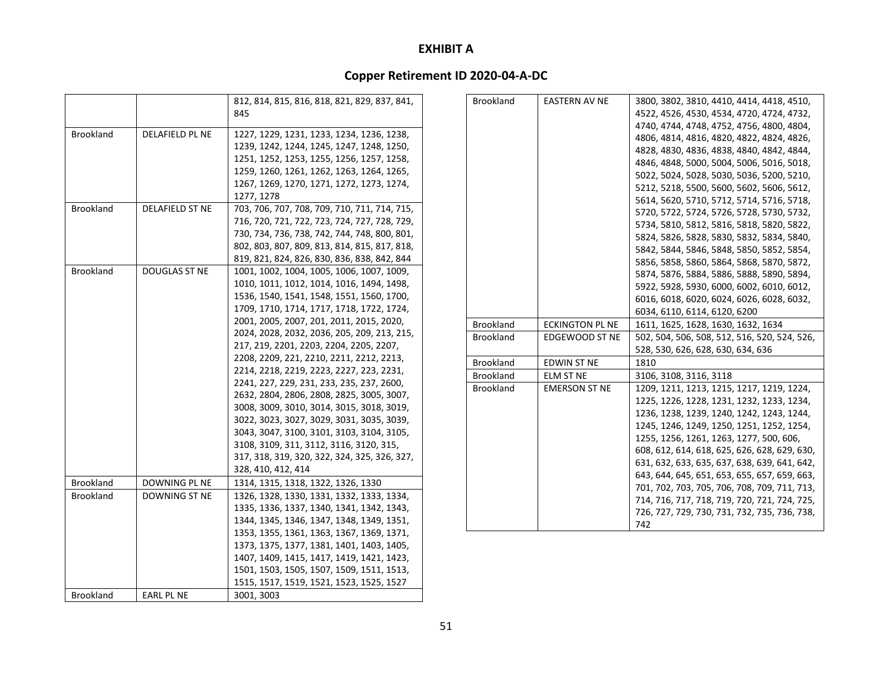|                  |                        | 812, 814, 815, 816, 818, 821, 829, 837, 841, |
|------------------|------------------------|----------------------------------------------|
|                  |                        | 845                                          |
|                  |                        |                                              |
| <b>Brookland</b> | <b>DELAFIELD PL NE</b> | 1227, 1229, 1231, 1233, 1234, 1236, 1238,    |
|                  |                        | 1239, 1242, 1244, 1245, 1247, 1248, 1250,    |
|                  |                        | 1251, 1252, 1253, 1255, 1256, 1257, 1258,    |
|                  |                        | 1259, 1260, 1261, 1262, 1263, 1264, 1265,    |
|                  |                        | 1267, 1269, 1270, 1271, 1272, 1273, 1274,    |
|                  |                        | 1277, 1278                                   |
| <b>Brookland</b> | DELAFIELD ST NE        | 703, 706, 707, 708, 709, 710, 711, 714, 715, |
|                  |                        | 716, 720, 721, 722, 723, 724, 727, 728, 729, |
|                  |                        | 730, 734, 736, 738, 742, 744, 748, 800, 801, |
|                  |                        | 802, 803, 807, 809, 813, 814, 815, 817, 818, |
|                  |                        | 819, 821, 824, 826, 830, 836, 838, 842, 844  |
| <b>Brookland</b> | DOUGLAS ST NE          | 1001, 1002, 1004, 1005, 1006, 1007, 1009,    |
|                  |                        | 1010, 1011, 1012, 1014, 1016, 1494, 1498,    |
|                  |                        | 1536, 1540, 1541, 1548, 1551, 1560, 1700,    |
|                  |                        | 1709, 1710, 1714, 1717, 1718, 1722, 1724,    |
|                  |                        | 2001, 2005, 2007, 201, 2011, 2015, 2020,     |
|                  |                        | 2024, 2028, 2032, 2036, 205, 209, 213, 215,  |
|                  |                        | 217, 219, 2201, 2203, 2204, 2205, 2207,      |
|                  |                        | 2208, 2209, 221, 2210, 2211, 2212, 2213,     |
|                  |                        | 2214, 2218, 2219, 2223, 2227, 223, 2231,     |
|                  |                        | 2241, 227, 229, 231, 233, 235, 237, 2600,    |
|                  |                        | 2632, 2804, 2806, 2808, 2825, 3005, 3007,    |
|                  |                        | 3008, 3009, 3010, 3014, 3015, 3018, 3019,    |
|                  |                        | 3022, 3023, 3027, 3029, 3031, 3035, 3039,    |
|                  |                        | 3043, 3047, 3100, 3101, 3103, 3104, 3105,    |
|                  |                        | 3108, 3109, 311, 3112, 3116, 3120, 315,      |
|                  |                        | 317, 318, 319, 320, 322, 324, 325, 326, 327, |
|                  |                        | 328, 410, 412, 414                           |
| <b>Brookland</b> | DOWNING PL NE          | 1314, 1315, 1318, 1322, 1326, 1330           |
| <b>Brookland</b> | <b>DOWNING ST NE</b>   | 1326, 1328, 1330, 1331, 1332, 1333, 1334,    |
|                  |                        | 1335, 1336, 1337, 1340, 1341, 1342, 1343,    |
|                  |                        | 1344, 1345, 1346, 1347, 1348, 1349, 1351,    |
|                  |                        | 1353, 1355, 1361, 1363, 1367, 1369, 1371,    |
|                  |                        | 1373, 1375, 1377, 1381, 1401, 1403, 1405,    |
|                  |                        | 1407, 1409, 1415, 1417, 1419, 1421, 1423,    |
|                  |                        | 1501, 1503, 1505, 1507, 1509, 1511, 1513,    |
|                  |                        | 1515, 1517, 1519, 1521, 1523, 1525, 1527     |
| <b>Brookland</b> | <b>EARL PL NE</b>      | 3001, 3003                                   |
|                  |                        |                                              |

| <b>Brookland</b> | <b>EASTERN AV NE</b>   | 3800, 3802, 3810, 4410, 4414, 4418, 4510,    |
|------------------|------------------------|----------------------------------------------|
|                  |                        | 4522, 4526, 4530, 4534, 4720, 4724, 4732,    |
|                  |                        | 4740, 4744, 4748, 4752, 4756, 4800, 4804,    |
|                  |                        | 4806, 4814, 4816, 4820, 4822, 4824, 4826,    |
|                  |                        | 4828, 4830, 4836, 4838, 4840, 4842, 4844,    |
|                  |                        | 4846, 4848, 5000, 5004, 5006, 5016, 5018,    |
|                  |                        | 5022, 5024, 5028, 5030, 5036, 5200, 5210,    |
|                  |                        | 5212, 5218, 5500, 5600, 5602, 5606, 5612,    |
|                  |                        | 5614, 5620, 5710, 5712, 5714, 5716, 5718,    |
|                  |                        | 5720, 5722, 5724, 5726, 5728, 5730, 5732,    |
|                  |                        | 5734, 5810, 5812, 5816, 5818, 5820, 5822,    |
|                  |                        | 5824, 5826, 5828, 5830, 5832, 5834, 5840,    |
|                  |                        | 5842, 5844, 5846, 5848, 5850, 5852, 5854,    |
|                  |                        | 5856, 5858, 5860, 5864, 5868, 5870, 5872,    |
|                  |                        | 5874, 5876, 5884, 5886, 5888, 5890, 5894,    |
|                  |                        | 5922, 5928, 5930, 6000, 6002, 6010, 6012,    |
|                  |                        | 6016, 6018, 6020, 6024, 6026, 6028, 6032,    |
|                  |                        | 6034, 6110, 6114, 6120, 6200                 |
| <b>Brookland</b> | <b>ECKINGTON PL NE</b> | 1611, 1625, 1628, 1630, 1632, 1634           |
| <b>Brookland</b> | EDGEWOOD ST NE         | 502, 504, 506, 508, 512, 516, 520, 524, 526, |
|                  |                        | 528, 530, 626, 628, 630, 634, 636            |
| <b>Brookland</b> | <b>EDWIN ST NE</b>     | 1810                                         |
| <b>Brookland</b> | <b>ELM ST NE</b>       | 3106, 3108, 3116, 3118                       |
| <b>Brookland</b> | <b>EMERSON ST NE</b>   | 1209, 1211, 1213, 1215, 1217, 1219, 1224,    |
|                  |                        | 1225, 1226, 1228, 1231, 1232, 1233, 1234,    |
|                  |                        | 1236, 1238, 1239, 1240, 1242, 1243, 1244,    |
|                  |                        | 1245, 1246, 1249, 1250, 1251, 1252, 1254,    |
|                  |                        | 1255, 1256, 1261, 1263, 1277, 500, 606,      |
|                  |                        | 608, 612, 614, 618, 625, 626, 628, 629, 630, |
|                  |                        | 631, 632, 633, 635, 637, 638, 639, 641, 642, |
|                  |                        | 643, 644, 645, 651, 653, 655, 657, 659, 663, |
|                  |                        | 701, 702, 703, 705, 706, 708, 709, 711, 713, |
|                  |                        | 714, 716, 717, 718, 719, 720, 721, 724, 725, |
|                  |                        | 726, 727, 729, 730, 731, 732, 735, 736, 738, |
|                  |                        | 742                                          |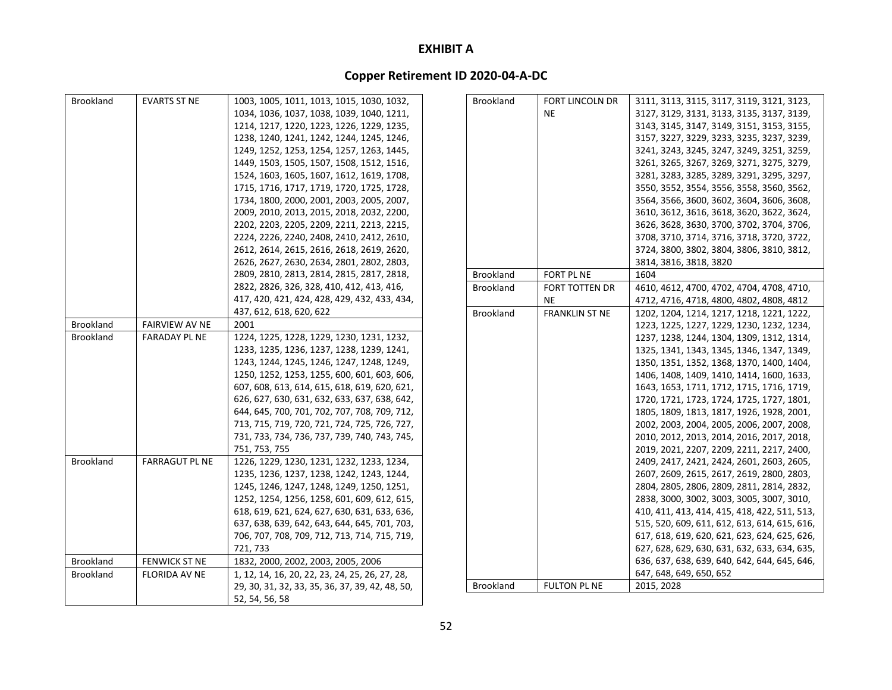| <b>Brookland</b> | <b>EVARTS ST NE</b>   | 1003, 1005, 1011, 1013, 1015, 1030, 1032,       | Brookland        | <b>FORT LINCOLN DR</b> | 3111, 3113, 3115, 3117, 3119, 3121, 3123,    |
|------------------|-----------------------|-------------------------------------------------|------------------|------------------------|----------------------------------------------|
|                  |                       | 1034, 1036, 1037, 1038, 1039, 1040, 1211,       |                  | <b>NE</b>              | 3127, 3129, 3131, 3133, 3135, 3137, 3139,    |
|                  |                       | 1214, 1217, 1220, 1223, 1226, 1229, 1235,       |                  |                        | 3143, 3145, 3147, 3149, 3151, 3153, 3155,    |
|                  |                       | 1238, 1240, 1241, 1242, 1244, 1245, 1246,       |                  |                        | 3157, 3227, 3229, 3233, 3235, 3237, 3239,    |
|                  |                       | 1249, 1252, 1253, 1254, 1257, 1263, 1445,       |                  |                        | 3241, 3243, 3245, 3247, 3249, 3251, 3259,    |
|                  |                       | 1449, 1503, 1505, 1507, 1508, 1512, 1516,       |                  |                        | 3261, 3265, 3267, 3269, 3271, 3275, 3279,    |
|                  |                       | 1524, 1603, 1605, 1607, 1612, 1619, 1708,       |                  |                        | 3281, 3283, 3285, 3289, 3291, 3295, 3297,    |
|                  |                       | 1715, 1716, 1717, 1719, 1720, 1725, 1728,       |                  |                        | 3550, 3552, 3554, 3556, 3558, 3560, 3562,    |
|                  |                       | 1734, 1800, 2000, 2001, 2003, 2005, 2007,       |                  |                        | 3564, 3566, 3600, 3602, 3604, 3606, 3608,    |
|                  |                       | 2009, 2010, 2013, 2015, 2018, 2032, 2200,       |                  |                        | 3610, 3612, 3616, 3618, 3620, 3622, 3624,    |
|                  |                       | 2202, 2203, 2205, 2209, 2211, 2213, 2215,       |                  |                        | 3626, 3628, 3630, 3700, 3702, 3704, 3706,    |
|                  |                       | 2224, 2226, 2240, 2408, 2410, 2412, 2610,       |                  |                        | 3708, 3710, 3714, 3716, 3718, 3720, 3722,    |
|                  |                       | 2612, 2614, 2615, 2616, 2618, 2619, 2620,       |                  |                        | 3724, 3800, 3802, 3804, 3806, 3810, 3812,    |
|                  |                       | 2626, 2627, 2630, 2634, 2801, 2802, 2803,       |                  |                        | 3814, 3816, 3818, 3820                       |
|                  |                       | 2809, 2810, 2813, 2814, 2815, 2817, 2818,       | Brookland        | FORT PL NE             | 1604                                         |
|                  |                       | 2822, 2826, 326, 328, 410, 412, 413, 416,       | <b>Brookland</b> | <b>FORT TOTTEN DR</b>  | 4610, 4612, 4700, 4702, 4704, 4708, 4710,    |
|                  |                       | 417, 420, 421, 424, 428, 429, 432, 433, 434,    |                  | <b>NE</b>              | 4712, 4716, 4718, 4800, 4802, 4808, 4812     |
|                  |                       | 437, 612, 618, 620, 622                         | <b>Brookland</b> | <b>FRANKLIN ST NE</b>  | 1202, 1204, 1214, 1217, 1218, 1221, 1222,    |
| <b>Brookland</b> | <b>FAIRVIEW AV NE</b> | 2001                                            |                  |                        | 1223, 1225, 1227, 1229, 1230, 1232, 1234,    |
| <b>Brookland</b> | <b>FARADAY PL NE</b>  | 1224, 1225, 1228, 1229, 1230, 1231, 1232,       |                  |                        | 1237, 1238, 1244, 1304, 1309, 1312, 1314,    |
|                  |                       | 1233, 1235, 1236, 1237, 1238, 1239, 1241,       |                  |                        | 1325, 1341, 1343, 1345, 1346, 1347, 1349,    |
|                  |                       | 1243, 1244, 1245, 1246, 1247, 1248, 1249,       |                  |                        | 1350, 1351, 1352, 1368, 1370, 1400, 1404,    |
|                  |                       | 1250, 1252, 1253, 1255, 600, 601, 603, 606,     |                  |                        | 1406, 1408, 1409, 1410, 1414, 1600, 1633,    |
|                  |                       | 607, 608, 613, 614, 615, 618, 619, 620, 621,    |                  |                        | 1643, 1653, 1711, 1712, 1715, 1716, 1719,    |
|                  |                       | 626, 627, 630, 631, 632, 633, 637, 638, 642,    |                  |                        | 1720, 1721, 1723, 1724, 1725, 1727, 1801,    |
|                  |                       | 644, 645, 700, 701, 702, 707, 708, 709, 712,    |                  |                        | 1805, 1809, 1813, 1817, 1926, 1928, 2001,    |
|                  |                       | 713, 715, 719, 720, 721, 724, 725, 726, 727,    |                  |                        | 2002, 2003, 2004, 2005, 2006, 2007, 2008,    |
|                  |                       | 731, 733, 734, 736, 737, 739, 740, 743, 745,    |                  |                        | 2010, 2012, 2013, 2014, 2016, 2017, 2018,    |
|                  |                       | 751, 753, 755                                   |                  |                        | 2019, 2021, 2207, 2209, 2211, 2217, 2400,    |
| <b>Brookland</b> | <b>FARRAGUT PL NE</b> | 1226, 1229, 1230, 1231, 1232, 1233, 1234,       |                  |                        | 2409, 2417, 2421, 2424, 2601, 2603, 2605,    |
|                  |                       | 1235, 1236, 1237, 1238, 1242, 1243, 1244,       |                  |                        | 2607, 2609, 2615, 2617, 2619, 2800, 2803,    |
|                  |                       | 1245, 1246, 1247, 1248, 1249, 1250, 1251,       |                  |                        | 2804, 2805, 2806, 2809, 2811, 2814, 2832,    |
|                  |                       | 1252, 1254, 1256, 1258, 601, 609, 612, 615,     |                  |                        | 2838, 3000, 3002, 3003, 3005, 3007, 3010,    |
|                  |                       | 618, 619, 621, 624, 627, 630, 631, 633, 636,    |                  |                        | 410, 411, 413, 414, 415, 418, 422, 511, 513, |
|                  |                       | 637, 638, 639, 642, 643, 644, 645, 701, 703,    |                  |                        | 515, 520, 609, 611, 612, 613, 614, 615, 616, |
|                  |                       | 706, 707, 708, 709, 712, 713, 714, 715, 719,    |                  |                        | 617, 618, 619, 620, 621, 623, 624, 625, 626, |
|                  |                       | 721, 733                                        |                  |                        | 627, 628, 629, 630, 631, 632, 633, 634, 635, |
| <b>Brookland</b> | <b>FENWICK ST NE</b>  | 1832, 2000, 2002, 2003, 2005, 2006              |                  |                        | 636, 637, 638, 639, 640, 642, 644, 645, 646, |
| <b>Brookland</b> | <b>FLORIDA AV NE</b>  | 1, 12, 14, 16, 20, 22, 23, 24, 25, 26, 27, 28,  |                  |                        | 647, 648, 649, 650, 652                      |
|                  |                       | 29, 30, 31, 32, 33, 35, 36, 37, 39, 42, 48, 50, | Brookland        | <b>FULTON PL NE</b>    | 2015, 2028                                   |
|                  |                       | 52, 54, 56, 58                                  |                  |                        |                                              |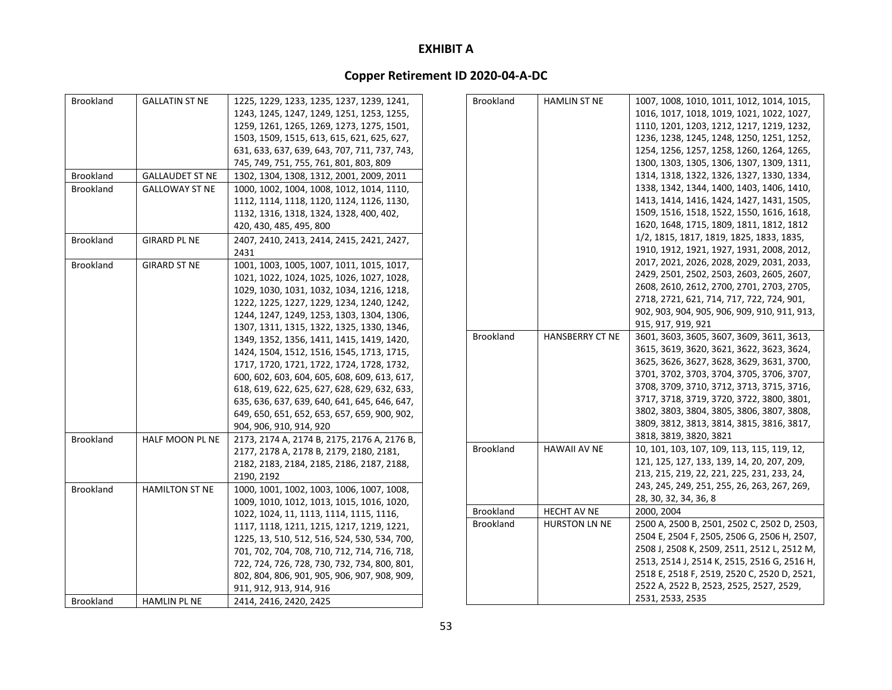| <b>Brookland</b> | <b>GALLATIN ST NE</b>  | 1225, 1229, 1233, 1235, 1237, 1239, 1241,    |  | Brookland        | <b>HAMLIN ST NE</b>                          | 1007, 1008, 1010, 1011, 1012, 1014, 1015,   |
|------------------|------------------------|----------------------------------------------|--|------------------|----------------------------------------------|---------------------------------------------|
|                  |                        | 1243, 1245, 1247, 1249, 1251, 1253, 1255,    |  |                  |                                              | 1016, 1017, 1018, 1019, 1021, 1022, 1027,   |
|                  |                        | 1259, 1261, 1265, 1269, 1273, 1275, 1501,    |  |                  |                                              | 1110, 1201, 1203, 1212, 1217, 1219, 1232,   |
|                  |                        | 1503, 1509, 1515, 613, 615, 621, 625, 627,   |  |                  |                                              | 1236, 1238, 1245, 1248, 1250, 1251, 1252,   |
|                  |                        | 631, 633, 637, 639, 643, 707, 711, 737, 743, |  |                  |                                              | 1254, 1256, 1257, 1258, 1260, 1264, 1265,   |
|                  |                        | 745, 749, 751, 755, 761, 801, 803, 809       |  |                  |                                              | 1300, 1303, 1305, 1306, 1307, 1309, 1311,   |
| Brookland        | <b>GALLAUDET ST NE</b> | 1302, 1304, 1308, 1312, 2001, 2009, 2011     |  |                  |                                              | 1314, 1318, 1322, 1326, 1327, 1330, 1334,   |
| Brookland        | <b>GALLOWAY ST NE</b>  | 1000, 1002, 1004, 1008, 1012, 1014, 1110,    |  |                  |                                              | 1338, 1342, 1344, 1400, 1403, 1406, 1410,   |
|                  |                        | 1112, 1114, 1118, 1120, 1124, 1126, 1130,    |  |                  |                                              | 1413, 1414, 1416, 1424, 1427, 1431, 1505,   |
|                  |                        | 1132, 1316, 1318, 1324, 1328, 400, 402,      |  |                  |                                              | 1509, 1516, 1518, 1522, 1550, 1616, 1618,   |
|                  |                        | 420, 430, 485, 495, 800                      |  |                  |                                              | 1620, 1648, 1715, 1809, 1811, 1812, 1812    |
| Brookland        | <b>GIRARD PL NE</b>    | 2407, 2410, 2413, 2414, 2415, 2421, 2427,    |  |                  |                                              | 1/2, 1815, 1817, 1819, 1825, 1833, 1835,    |
|                  |                        | 2431                                         |  |                  |                                              | 1910, 1912, 1921, 1927, 1931, 2008, 2012,   |
| Brookland        | <b>GIRARD ST NE</b>    | 1001, 1003, 1005, 1007, 1011, 1015, 1017,    |  |                  |                                              | 2017, 2021, 2026, 2028, 2029, 2031, 2033,   |
|                  |                        | 1021, 1022, 1024, 1025, 1026, 1027, 1028,    |  |                  |                                              | 2429, 2501, 2502, 2503, 2603, 2605, 2607,   |
|                  |                        | 1029, 1030, 1031, 1032, 1034, 1216, 1218,    |  |                  |                                              | 2608, 2610, 2612, 2700, 2701, 2703, 2705,   |
|                  |                        | 1222, 1225, 1227, 1229, 1234, 1240, 1242,    |  |                  |                                              | 2718, 2721, 621, 714, 717, 722, 724, 901,   |
|                  |                        | 1244, 1247, 1249, 1253, 1303, 1304, 1306,    |  |                  | 902, 903, 904, 905, 906, 909, 910, 911, 913, |                                             |
|                  |                        | 1307, 1311, 1315, 1322, 1325, 1330, 1346,    |  |                  | 915, 917, 919, 921                           |                                             |
|                  |                        | 1349, 1352, 1356, 1411, 1415, 1419, 1420,    |  | Brookland        | HANSBERRY CT NE                              | 3601, 3603, 3605, 3607, 3609, 3611, 3613,   |
|                  |                        | 1424, 1504, 1512, 1516, 1545, 1713, 1715,    |  |                  | 3615, 3619, 3620, 3621, 3622, 3623, 3624,    |                                             |
|                  |                        | 1717, 1720, 1721, 1722, 1724, 1728, 1732,    |  |                  | 3625, 3626, 3627, 3628, 3629, 3631, 3700,    |                                             |
|                  |                        | 600, 602, 603, 604, 605, 608, 609, 613, 617, |  |                  | 3701, 3702, 3703, 3704, 3705, 3706, 3707,    |                                             |
|                  |                        | 618, 619, 622, 625, 627, 628, 629, 632, 633, |  |                  | 3708, 3709, 3710, 3712, 3713, 3715, 3716,    |                                             |
|                  |                        | 635, 636, 637, 639, 640, 641, 645, 646, 647, |  |                  | 3717, 3718, 3719, 3720, 3722, 3800, 3801,    |                                             |
|                  |                        | 649, 650, 651, 652, 653, 657, 659, 900, 902, |  |                  | 3802, 3803, 3804, 3805, 3806, 3807, 3808,    |                                             |
|                  |                        | 904, 906, 910, 914, 920                      |  |                  |                                              | 3809, 3812, 3813, 3814, 3815, 3816, 3817,   |
| Brookland        | HALF MOON PL NE        | 2173, 2174 A, 2174 B, 2175, 2176 A, 2176 B,  |  |                  |                                              | 3818, 3819, 3820, 3821                      |
|                  |                        | 2177, 2178 A, 2178 B, 2179, 2180, 2181,      |  | <b>Brookland</b> | <b>HAWAII AV NE</b>                          | 10, 101, 103, 107, 109, 113, 115, 119, 12,  |
|                  |                        | 2182, 2183, 2184, 2185, 2186, 2187, 2188,    |  |                  |                                              | 121, 125, 127, 133, 139, 14, 20, 207, 209,  |
|                  |                        | 2190, 2192                                   |  |                  |                                              | 213, 215, 219, 22, 221, 225, 231, 233, 24,  |
| Brookland        | <b>HAMILTON ST NE</b>  | 1000, 1001, 1002, 1003, 1006, 1007, 1008,    |  |                  |                                              | 243, 245, 249, 251, 255, 26, 263, 267, 269, |
|                  |                        | 1009, 1010, 1012, 1013, 1015, 1016, 1020,    |  |                  |                                              | 28, 30, 32, 34, 36, 8                       |
|                  |                        | 1022, 1024, 11, 1113, 1114, 1115, 1116,      |  | Brookland        | <b>HECHT AV NE</b>                           | 2000, 2004                                  |
|                  |                        | 1117, 1118, 1211, 1215, 1217, 1219, 1221,    |  | <b>Brookland</b> | <b>HURSTON LN NE</b>                         | 2500 A, 2500 B, 2501, 2502 C, 2502 D, 2503, |
|                  |                        | 1225, 13, 510, 512, 516, 524, 530, 534, 700, |  |                  |                                              | 2504 E, 2504 F, 2505, 2506 G, 2506 H, 2507, |
|                  |                        | 701, 702, 704, 708, 710, 712, 714, 716, 718, |  |                  |                                              | 2508 J, 2508 K, 2509, 2511, 2512 L, 2512 M, |
|                  |                        | 722, 724, 726, 728, 730, 732, 734, 800, 801, |  |                  |                                              | 2513, 2514 J, 2514 K, 2515, 2516 G, 2516 H, |
|                  |                        | 802, 804, 806, 901, 905, 906, 907, 908, 909, |  |                  |                                              | 2518 E, 2518 F, 2519, 2520 C, 2520 D, 2521, |
|                  |                        | 911, 912, 913, 914, 916                      |  |                  |                                              | 2522 A, 2522 B, 2523, 2525, 2527, 2529,     |
| <b>Brookland</b> | <b>HAMLIN PL NE</b>    | 2414, 2416, 2420, 2425                       |  |                  |                                              | 2531, 2533, 2535                            |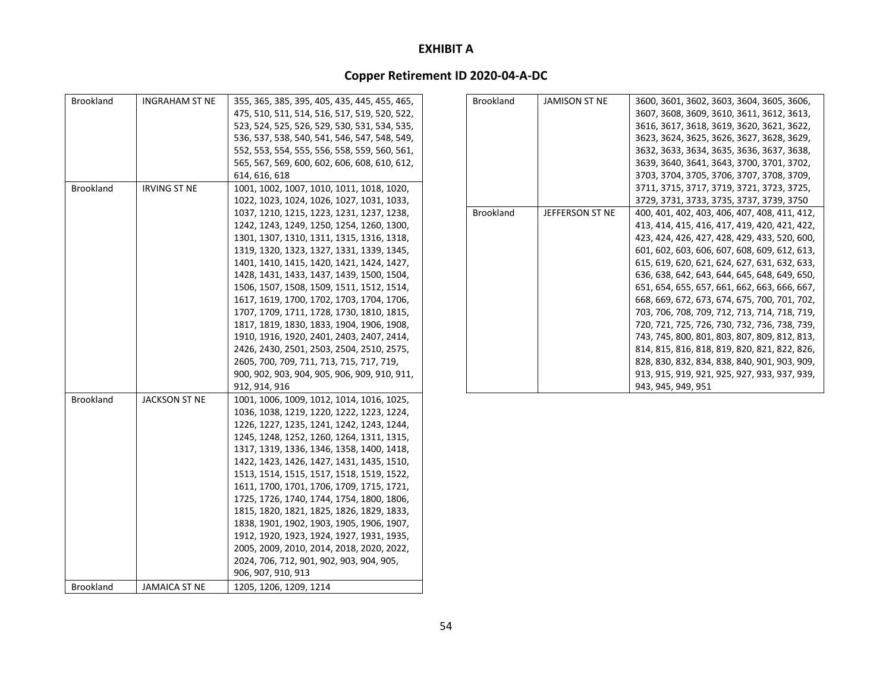| <b>Brookland</b> | INGRAHAM ST NE      | 355, 365, 385, 395, 405, 435, 445, 455, 465, |
|------------------|---------------------|----------------------------------------------|
|                  |                     | 475, 510, 511, 514, 516, 517, 519, 520, 522, |
|                  |                     | 523, 524, 525, 526, 529, 530, 531, 534, 535, |
|                  |                     | 536, 537, 538, 540, 541, 546, 547, 548, 549, |
|                  |                     | 552, 553, 554, 555, 556, 558, 559, 560, 561, |
|                  |                     | 565, 567, 569, 600, 602, 606, 608, 610, 612, |
|                  |                     | 614, 616, 618                                |
| <b>Brookland</b> | <b>IRVING ST NE</b> | 1001, 1002, 1007, 1010, 1011, 1018, 1020,    |
|                  |                     | 1022, 1023, 1024, 1026, 1027, 1031, 1033,    |
|                  |                     | 1037, 1210, 1215, 1223, 1231, 1237, 1238,    |
|                  |                     | 1242, 1243, 1249, 1250, 1254, 1260, 1300,    |
|                  |                     | 1301, 1307, 1310, 1311, 1315, 1316, 1318,    |
|                  |                     | 1319, 1320, 1323, 1327, 1331, 1339, 1345,    |
|                  |                     | 1401, 1410, 1415, 1420, 1421, 1424, 1427,    |
|                  |                     | 1428, 1431, 1433, 1437, 1439, 1500, 1504,    |
|                  |                     | 1506, 1507, 1508, 1509, 1511, 1512, 1514,    |
|                  |                     | 1617, 1619, 1700, 1702, 1703, 1704, 1706,    |
|                  |                     | 1707, 1709, 1711, 1728, 1730, 1810, 1815,    |
|                  |                     | 1817, 1819, 1830, 1833, 1904, 1906, 1908,    |
|                  |                     | 1910, 1916, 1920, 2401, 2403, 2407, 2414,    |
|                  |                     | 2426, 2430, 2501, 2503, 2504, 2510, 2575,    |
|                  |                     | 2605, 700, 709, 711, 713, 715, 717, 719,     |
|                  |                     | 900, 902, 903, 904, 905, 906, 909, 910, 911, |
|                  |                     | 912, 914, 916                                |
| <b>Brookland</b> | JACKSON ST NE       | 1001, 1006, 1009, 1012, 1014, 1016, 1025,    |
|                  |                     | 1036, 1038, 1219, 1220, 1222, 1223, 1224,    |
|                  |                     | 1226, 1227, 1235, 1241, 1242, 1243, 1244,    |
|                  |                     | 1245, 1248, 1252, 1260, 1264, 1311, 1315,    |
|                  |                     | 1317, 1319, 1336, 1346, 1358, 1400, 1418,    |
|                  |                     | 1422, 1423, 1426, 1427, 1431, 1435, 1510,    |
|                  |                     | 1513, 1514, 1515, 1517, 1518, 1519, 1522,    |
|                  |                     | 1611, 1700, 1701, 1706, 1709, 1715, 1721,    |
|                  |                     | 1725, 1726, 1740, 1744, 1754, 1800, 1806,    |
|                  |                     | 1815, 1820, 1821, 1825, 1826, 1829, 1833,    |
|                  |                     | 1838, 1901, 1902, 1903, 1905, 1906, 1907,    |
|                  |                     | 1912, 1920, 1923, 1924, 1927, 1931, 1935,    |
|                  |                     | 2005, 2009, 2010, 2014, 2018, 2020, 2022,    |
|                  |                     | 2024, 706, 712, 901, 902, 903, 904, 905,     |
|                  |                     | 906, 907, 910, 913                           |
| <b>Brookland</b> | JAMAICA ST NE       | 1205, 1206, 1209, 1214                       |

| <b>Brookland</b> | <b>JAMISON ST NE</b> | 3600, 3601, 3602, 3603, 3604, 3605, 3606,    |
|------------------|----------------------|----------------------------------------------|
|                  |                      | 3607, 3608, 3609, 3610, 3611, 3612, 3613,    |
|                  |                      | 3616, 3617, 3618, 3619, 3620, 3621, 3622,    |
|                  |                      | 3623, 3624, 3625, 3626, 3627, 3628, 3629,    |
|                  |                      | 3632, 3633, 3634, 3635, 3636, 3637, 3638,    |
|                  |                      | 3639, 3640, 3641, 3643, 3700, 3701, 3702,    |
|                  |                      | 3703, 3704, 3705, 3706, 3707, 3708, 3709,    |
|                  |                      | 3711, 3715, 3717, 3719, 3721, 3723, 3725,    |
|                  |                      | 3729, 3731, 3733, 3735, 3737, 3739, 3750     |
| <b>Brookland</b> | JEFFERSON ST NE      | 400, 401, 402, 403, 406, 407, 408, 411, 412, |
|                  |                      | 413, 414, 415, 416, 417, 419, 420, 421, 422, |
|                  |                      | 423, 424, 426, 427, 428, 429, 433, 520, 600, |
|                  |                      | 601, 602, 603, 606, 607, 608, 609, 612, 613, |
|                  |                      | 615, 619, 620, 621, 624, 627, 631, 632, 633, |
|                  |                      | 636, 638, 642, 643, 644, 645, 648, 649, 650, |
|                  |                      | 651, 654, 655, 657, 661, 662, 663, 666, 667, |
|                  |                      | 668, 669, 672, 673, 674, 675, 700, 701, 702, |
|                  |                      | 703, 706, 708, 709, 712, 713, 714, 718, 719, |
|                  |                      | 720, 721, 725, 726, 730, 732, 736, 738, 739, |
|                  |                      | 743, 745, 800, 801, 803, 807, 809, 812, 813, |
|                  |                      | 814, 815, 816, 818, 819, 820, 821, 822, 826, |
|                  |                      | 828, 830, 832, 834, 838, 840, 901, 903, 909, |
|                  |                      | 913, 915, 919, 921, 925, 927, 933, 937, 939, |
|                  |                      | 943, 945, 949, 951                           |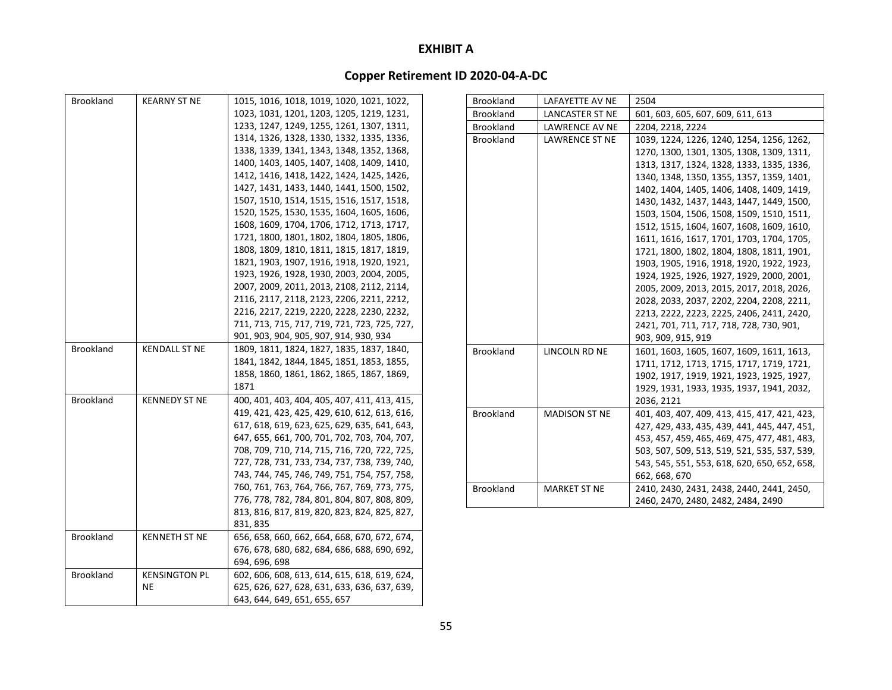| Brookland        | <b>KEARNY ST NE</b>  | 1015, 1016, 1018, 1019, 1020, 1021, 1022,    | <b>Brookland</b> | LAFAYETTE AV NE       | 2504                                         |
|------------------|----------------------|----------------------------------------------|------------------|-----------------------|----------------------------------------------|
|                  |                      | 1023, 1031, 1201, 1203, 1205, 1219, 1231,    | Brookland        | LANCASTER ST NE       | 601, 603, 605, 607, 609, 611, 613            |
|                  |                      | 1233, 1247, 1249, 1255, 1261, 1307, 1311,    | Brookland        | LAWRENCE AV NE        | 2204, 2218, 2224                             |
|                  |                      | 1314, 1326, 1328, 1330, 1332, 1335, 1336,    | Brookland        | <b>LAWRENCE ST NE</b> | 1039, 1224, 1226, 1240, 1254, 1256, 1262,    |
|                  |                      | 1338, 1339, 1341, 1343, 1348, 1352, 1368,    |                  |                       | 1270, 1300, 1301, 1305, 1308, 1309, 1311,    |
|                  |                      | 1400, 1403, 1405, 1407, 1408, 1409, 1410,    |                  |                       | 1313, 1317, 1324, 1328, 1333, 1335, 1336,    |
|                  |                      | 1412, 1416, 1418, 1422, 1424, 1425, 1426,    |                  |                       | 1340, 1348, 1350, 1355, 1357, 1359, 1401,    |
|                  |                      | 1427, 1431, 1433, 1440, 1441, 1500, 1502,    |                  |                       | 1402, 1404, 1405, 1406, 1408, 1409, 1419,    |
|                  |                      | 1507, 1510, 1514, 1515, 1516, 1517, 1518,    |                  |                       | 1430, 1432, 1437, 1443, 1447, 1449, 1500,    |
|                  |                      | 1520, 1525, 1530, 1535, 1604, 1605, 1606,    |                  |                       | 1503, 1504, 1506, 1508, 1509, 1510, 1511,    |
|                  |                      | 1608, 1609, 1704, 1706, 1712, 1713, 1717,    |                  |                       | 1512, 1515, 1604, 1607, 1608, 1609, 1610,    |
|                  |                      | 1721, 1800, 1801, 1802, 1804, 1805, 1806,    |                  |                       | 1611, 1616, 1617, 1701, 1703, 1704, 1705,    |
|                  |                      | 1808, 1809, 1810, 1811, 1815, 1817, 1819,    |                  |                       | 1721, 1800, 1802, 1804, 1808, 1811, 1901,    |
|                  |                      | 1821, 1903, 1907, 1916, 1918, 1920, 1921,    |                  |                       | 1903, 1905, 1916, 1918, 1920, 1922, 1923,    |
|                  |                      | 1923, 1926, 1928, 1930, 2003, 2004, 2005,    |                  |                       | 1924, 1925, 1926, 1927, 1929, 2000, 2001,    |
|                  |                      | 2007, 2009, 2011, 2013, 2108, 2112, 2114,    |                  |                       | 2005, 2009, 2013, 2015, 2017, 2018, 2026,    |
|                  |                      | 2116, 2117, 2118, 2123, 2206, 2211, 2212,    |                  |                       | 2028, 2033, 2037, 2202, 2204, 2208, 2211,    |
|                  |                      | 2216, 2217, 2219, 2220, 2228, 2230, 2232,    |                  |                       | 2213, 2222, 2223, 2225, 2406, 2411, 2420,    |
|                  |                      | 711, 713, 715, 717, 719, 721, 723, 725, 727, |                  |                       | 2421, 701, 711, 717, 718, 728, 730, 901,     |
|                  |                      | 901, 903, 904, 905, 907, 914, 930, 934       |                  |                       | 903, 909, 915, 919                           |
| Brookland        | <b>KENDALL ST NE</b> | 1809, 1811, 1824, 1827, 1835, 1837, 1840,    | <b>Brookland</b> | LINCOLN RD NE         | 1601, 1603, 1605, 1607, 1609, 1611, 1613,    |
|                  |                      | 1841, 1842, 1844, 1845, 1851, 1853, 1855,    |                  |                       | 1711, 1712, 1713, 1715, 1717, 1719, 1721,    |
|                  |                      | 1858, 1860, 1861, 1862, 1865, 1867, 1869,    |                  |                       | 1902, 1917, 1919, 1921, 1923, 1925, 1927,    |
|                  |                      | 1871                                         |                  |                       | 1929, 1931, 1933, 1935, 1937, 1941, 2032,    |
| <b>Brookland</b> | <b>KENNEDY ST NE</b> | 400, 401, 403, 404, 405, 407, 411, 413, 415, |                  |                       | 2036, 2121                                   |
|                  |                      | 419, 421, 423, 425, 429, 610, 612, 613, 616, | Brookland        | <b>MADISON ST NE</b>  | 401, 403, 407, 409, 413, 415, 417, 421, 423, |
|                  |                      | 617, 618, 619, 623, 625, 629, 635, 641, 643, |                  |                       | 427, 429, 433, 435, 439, 441, 445, 447, 451, |
|                  |                      | 647, 655, 661, 700, 701, 702, 703, 704, 707, |                  |                       | 453, 457, 459, 465, 469, 475, 477, 481, 483, |
|                  |                      | 708, 709, 710, 714, 715, 716, 720, 722, 725, |                  |                       | 503, 507, 509, 513, 519, 521, 535, 537, 539, |
|                  |                      | 727, 728, 731, 733, 734, 737, 738, 739, 740, |                  |                       | 543, 545, 551, 553, 618, 620, 650, 652, 658, |
|                  |                      | 743, 744, 745, 746, 749, 751, 754, 757, 758, |                  |                       | 662, 668, 670                                |
|                  |                      | 760, 761, 763, 764, 766, 767, 769, 773, 775, | <b>Brookland</b> | <b>MARKET ST NE</b>   | 2410, 2430, 2431, 2438, 2440, 2441, 2450,    |
|                  |                      | 776, 778, 782, 784, 801, 804, 807, 808, 809, |                  |                       | 2460, 2470, 2480, 2482, 2484, 2490           |
|                  |                      | 813, 816, 817, 819, 820, 823, 824, 825, 827, |                  |                       |                                              |
|                  |                      | 831, 835                                     |                  |                       |                                              |
| <b>Brookland</b> | <b>KENNETH ST NE</b> | 656, 658, 660, 662, 664, 668, 670, 672, 674, |                  |                       |                                              |
|                  |                      | 676, 678, 680, 682, 684, 686, 688, 690, 692, |                  |                       |                                              |
|                  |                      | 694, 696, 698                                |                  |                       |                                              |
| Brookland        | <b>KENSINGTON PL</b> | 602, 606, 608, 613, 614, 615, 618, 619, 624, |                  |                       |                                              |
|                  | NE                   | 625, 626, 627, 628, 631, 633, 636, 637, 639, |                  |                       |                                              |
|                  |                      | 643, 644, 649, 651, 655, 657                 |                  |                       |                                              |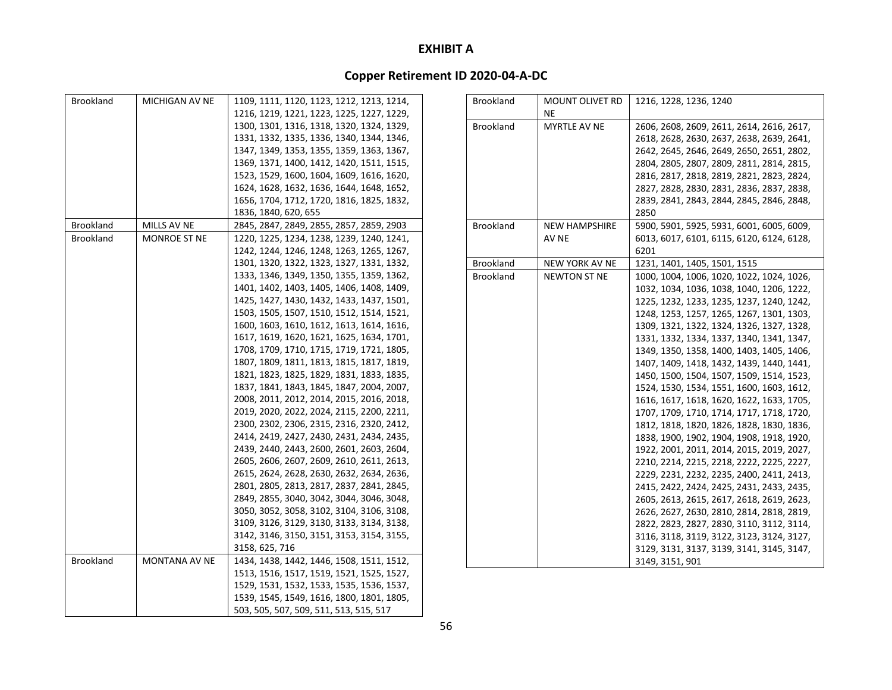| <b>Brookland</b> | MICHIGAN AV NE | 1109, 1111, 1120, 1123, 1212, 1213, 1214, |
|------------------|----------------|-------------------------------------------|
|                  |                | 1216, 1219, 1221, 1223, 1225, 1227, 1229, |
|                  |                | 1300, 1301, 1316, 1318, 1320, 1324, 1329, |
|                  |                | 1331, 1332, 1335, 1336, 1340, 1344, 1346, |
|                  |                | 1347, 1349, 1353, 1355, 1359, 1363, 1367, |
|                  |                | 1369, 1371, 1400, 1412, 1420, 1511, 1515, |
|                  |                | 1523, 1529, 1600, 1604, 1609, 1616, 1620, |
|                  |                | 1624, 1628, 1632, 1636, 1644, 1648, 1652, |
|                  |                | 1656, 1704, 1712, 1720, 1816, 1825, 1832, |
|                  |                | 1836, 1840, 620, 655                      |
| Brookland        | MILLS AV NE    | 2845, 2847, 2849, 2855, 2857, 2859, 2903  |
| <b>Brookland</b> | MONROE ST NE   | 1220, 1225, 1234, 1238, 1239, 1240, 1241, |
|                  |                | 1242, 1244, 1246, 1248, 1263, 1265, 1267, |
|                  |                | 1301, 1320, 1322, 1323, 1327, 1331, 1332, |
|                  |                | 1333, 1346, 1349, 1350, 1355, 1359, 1362, |
|                  |                | 1401, 1402, 1403, 1405, 1406, 1408, 1409, |
|                  |                | 1425, 1427, 1430, 1432, 1433, 1437, 1501, |
|                  |                | 1503, 1505, 1507, 1510, 1512, 1514, 1521, |
|                  |                | 1600, 1603, 1610, 1612, 1613, 1614, 1616, |
|                  |                | 1617, 1619, 1620, 1621, 1625, 1634, 1701, |
|                  |                | 1708, 1709, 1710, 1715, 1719, 1721, 1805, |
|                  |                | 1807, 1809, 1811, 1813, 1815, 1817, 1819, |
|                  |                | 1821, 1823, 1825, 1829, 1831, 1833, 1835, |
|                  |                | 1837, 1841, 1843, 1845, 1847, 2004, 2007, |
|                  |                | 2008, 2011, 2012, 2014, 2015, 2016, 2018, |
|                  |                | 2019, 2020, 2022, 2024, 2115, 2200, 2211, |
|                  |                | 2300, 2302, 2306, 2315, 2316, 2320, 2412, |
|                  |                | 2414, 2419, 2427, 2430, 2431, 2434, 2435, |
|                  |                | 2439, 2440, 2443, 2600, 2601, 2603, 2604, |
|                  |                | 2605, 2606, 2607, 2609, 2610, 2611, 2613, |
|                  |                | 2615, 2624, 2628, 2630, 2632, 2634, 2636, |
|                  |                | 2801, 2805, 2813, 2817, 2837, 2841, 2845, |
|                  |                | 2849, 2855, 3040, 3042, 3044, 3046, 3048, |
|                  |                | 3050, 3052, 3058, 3102, 3104, 3106, 3108, |
|                  |                | 3109, 3126, 3129, 3130, 3133, 3134, 3138, |
|                  |                | 3142, 3146, 3150, 3151, 3153, 3154, 3155, |
|                  |                | 3158, 625, 716                            |
| <b>Brookland</b> | MONTANA AV NE  | 1434, 1438, 1442, 1446, 1508, 1511, 1512, |
|                  |                | 1513, 1516, 1517, 1519, 1521, 1525, 1527, |
|                  |                | 1529, 1531, 1532, 1533, 1535, 1536, 1537, |
|                  |                | 1539, 1545, 1549, 1616, 1800, 1801, 1805, |
|                  |                | 503, 505, 507, 509, 511, 513, 515, 517    |

| <b>Brookland</b> | MOUNT OLIVET RD<br>NE | 1216, 1228, 1236, 1240                    |
|------------------|-----------------------|-------------------------------------------|
| <b>Brookland</b> | <b>MYRTLE AV NE</b>   | 2606, 2608, 2609, 2611, 2614, 2616, 2617, |
|                  |                       | 2618, 2628, 2630, 2637, 2638, 2639, 2641, |
|                  |                       | 2642, 2645, 2646, 2649, 2650, 2651, 2802, |
|                  |                       | 2804, 2805, 2807, 2809, 2811, 2814, 2815, |
|                  |                       | 2816, 2817, 2818, 2819, 2821, 2823, 2824, |
|                  |                       | 2827, 2828, 2830, 2831, 2836, 2837, 2838, |
|                  |                       | 2839, 2841, 2843, 2844, 2845, 2846, 2848, |
|                  |                       | 2850                                      |
| <b>Brookland</b> | <b>NEW HAMPSHIRE</b>  | 5900, 5901, 5925, 5931, 6001, 6005, 6009, |
|                  | AV NE                 | 6013, 6017, 6101, 6115, 6120, 6124, 6128, |
|                  |                       | 6201                                      |
| Brookland        | <b>NEW YORK AV NE</b> | 1231, 1401, 1405, 1501, 1515              |
| Brookland        | <b>NEWTON ST NE</b>   | 1000, 1004, 1006, 1020, 1022, 1024, 1026, |
|                  |                       | 1032, 1034, 1036, 1038, 1040, 1206, 1222, |
|                  |                       | 1225, 1232, 1233, 1235, 1237, 1240, 1242, |
|                  |                       | 1248, 1253, 1257, 1265, 1267, 1301, 1303, |
|                  |                       | 1309, 1321, 1322, 1324, 1326, 1327, 1328, |
|                  |                       | 1331, 1332, 1334, 1337, 1340, 1341, 1347, |
|                  |                       | 1349, 1350, 1358, 1400, 1403, 1405, 1406, |
|                  |                       | 1407, 1409, 1418, 1432, 1439, 1440, 1441, |
|                  |                       | 1450, 1500, 1504, 1507, 1509, 1514, 1523, |
|                  |                       | 1524, 1530, 1534, 1551, 1600, 1603, 1612, |
|                  |                       | 1616, 1617, 1618, 1620, 1622, 1633, 1705, |
|                  |                       | 1707, 1709, 1710, 1714, 1717, 1718, 1720, |
|                  |                       | 1812, 1818, 1820, 1826, 1828, 1830, 1836, |
|                  |                       | 1838, 1900, 1902, 1904, 1908, 1918, 1920, |
|                  |                       | 1922, 2001, 2011, 2014, 2015, 2019, 2027, |
|                  |                       | 2210, 2214, 2215, 2218, 2222, 2225, 2227, |
|                  |                       | 2229, 2231, 2232, 2235, 2400, 2411, 2413, |
|                  |                       | 2415, 2422, 2424, 2425, 2431, 2433, 2435, |
|                  |                       | 2605, 2613, 2615, 2617, 2618, 2619, 2623, |
|                  |                       | 2626, 2627, 2630, 2810, 2814, 2818, 2819, |
|                  |                       | 2822, 2823, 2827, 2830, 3110, 3112, 3114, |
|                  |                       | 3116, 3118, 3119, 3122, 3123, 3124, 3127, |
|                  |                       | 3129, 3131, 3137, 3139, 3141, 3145, 3147, |
|                  |                       | 3149, 3151, 901                           |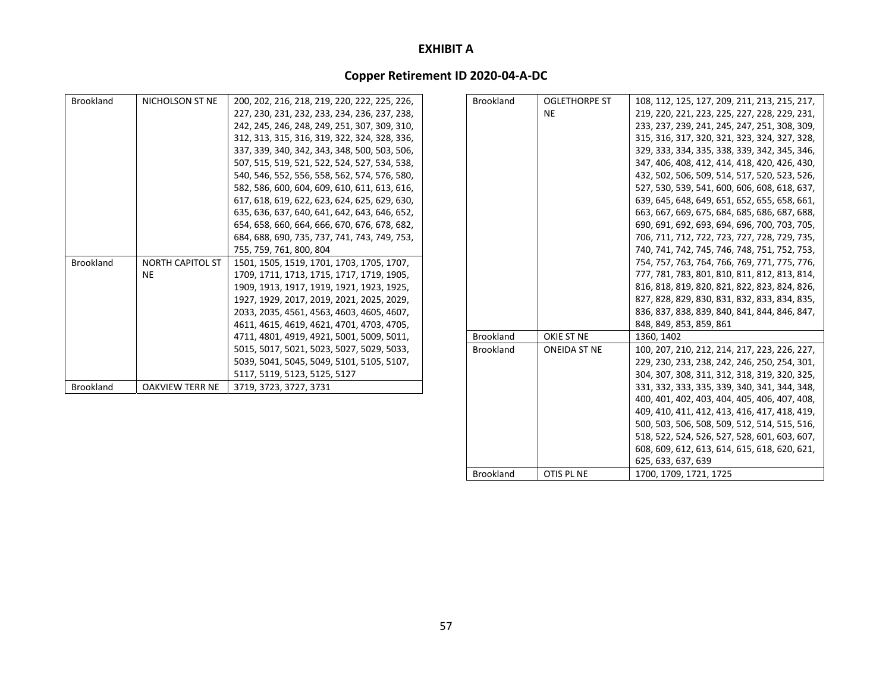# **Copper Retirement ID 2020‐04‐A‐DC**

| <b>Brookland</b> | NICHOLSON ST NE         | 200, 202, 216, 218, 219, 220, 222, 225, 226, | <b>Brookland</b> | <b>OGLETHORPE ST</b> | 108, 112, 125, 127, 209, 211, 213, 215, 217, |
|------------------|-------------------------|----------------------------------------------|------------------|----------------------|----------------------------------------------|
|                  |                         | 227, 230, 231, 232, 233, 234, 236, 237, 238, |                  | <b>NE</b>            | 219, 220, 221, 223, 225, 227, 228, 229, 231, |
|                  |                         | 242, 245, 246, 248, 249, 251, 307, 309, 310, |                  |                      | 233, 237, 239, 241, 245, 247, 251, 308, 309, |
|                  |                         | 312, 313, 315, 316, 319, 322, 324, 328, 336, |                  |                      | 315, 316, 317, 320, 321, 323, 324, 327, 328, |
|                  |                         | 337, 339, 340, 342, 343, 348, 500, 503, 506, |                  |                      | 329, 333, 334, 335, 338, 339, 342, 345, 346, |
|                  |                         | 507, 515, 519, 521, 522, 524, 527, 534, 538, |                  |                      | 347, 406, 408, 412, 414, 418, 420, 426, 430, |
|                  |                         | 540, 546, 552, 556, 558, 562, 574, 576, 580, |                  |                      | 432, 502, 506, 509, 514, 517, 520, 523, 526, |
|                  |                         | 582, 586, 600, 604, 609, 610, 611, 613, 616, |                  |                      | 527, 530, 539, 541, 600, 606, 608, 618, 637, |
|                  |                         | 617, 618, 619, 622, 623, 624, 625, 629, 630, |                  |                      | 639, 645, 648, 649, 651, 652, 655, 658, 661, |
|                  |                         | 635, 636, 637, 640, 641, 642, 643, 646, 652, |                  |                      | 663, 667, 669, 675, 684, 685, 686, 687, 688, |
|                  |                         | 654, 658, 660, 664, 666, 670, 676, 678, 682, |                  |                      | 690, 691, 692, 693, 694, 696, 700, 703, 705, |
|                  |                         | 684, 688, 690, 735, 737, 741, 743, 749, 753, |                  |                      | 706, 711, 712, 722, 723, 727, 728, 729, 735, |
|                  |                         | 755, 759, 761, 800, 804                      |                  |                      | 740, 741, 742, 745, 746, 748, 751, 752, 753, |
| <b>Brookland</b> | <b>NORTH CAPITOL ST</b> | 1501, 1505, 1519, 1701, 1703, 1705, 1707,    |                  |                      | 754, 757, 763, 764, 766, 769, 771, 775, 776, |
|                  | <b>NE</b>               | 1709, 1711, 1713, 1715, 1717, 1719, 1905,    |                  |                      | 777, 781, 783, 801, 810, 811, 812, 813, 814, |
|                  |                         | 1909, 1913, 1917, 1919, 1921, 1923, 1925,    |                  |                      | 816, 818, 819, 820, 821, 822, 823, 824, 826, |
|                  |                         | 1927, 1929, 2017, 2019, 2021, 2025, 2029,    |                  |                      | 827, 828, 829, 830, 831, 832, 833, 834, 835, |
|                  |                         | 2033, 2035, 4561, 4563, 4603, 4605, 4607,    |                  |                      | 836, 837, 838, 839, 840, 841, 844, 846, 847, |
|                  |                         | 4611, 4615, 4619, 4621, 4701, 4703, 4705,    |                  |                      | 848, 849, 853, 859, 861                      |
|                  |                         | 4711, 4801, 4919, 4921, 5001, 5009, 5011,    | <b>Brookland</b> | OKIE ST NE           | 1360, 1402                                   |
|                  |                         | 5015, 5017, 5021, 5023, 5027, 5029, 5033,    | <b>Brookland</b> | <b>ONEIDA ST NE</b>  | 100, 207, 210, 212, 214, 217, 223, 226, 227, |
|                  |                         | 5039, 5041, 5045, 5049, 5101, 5105, 5107,    |                  |                      | 229, 230, 233, 238, 242, 246, 250, 254, 301, |
|                  |                         | 5117, 5119, 5123, 5125, 5127                 |                  |                      | 304, 307, 308, 311, 312, 318, 319, 320, 325, |
| <b>Brookland</b> | <b>OAKVIEW TERR NE</b>  | 3719, 3723, 3727, 3731                       |                  |                      | 331, 332, 333, 335, 339, 340, 341, 344, 348, |
|                  |                         |                                              |                  |                      | 400, 401, 402, 403, 404, 405, 406, 407, 408, |

409, 410, 411, 412, 413, 416, 417, 418, 419, 500, 503, 506, 508, 509, 512, 514, 515, 516, 518, 522, 524, 526, 527, 528, 601, 603, 607, 608, 609, 612, 613, 614, 615, 618, 620, 621,

625, 633, 637, 639

OTIS PL NE 1700, 1709, 1721, 1725

Brookland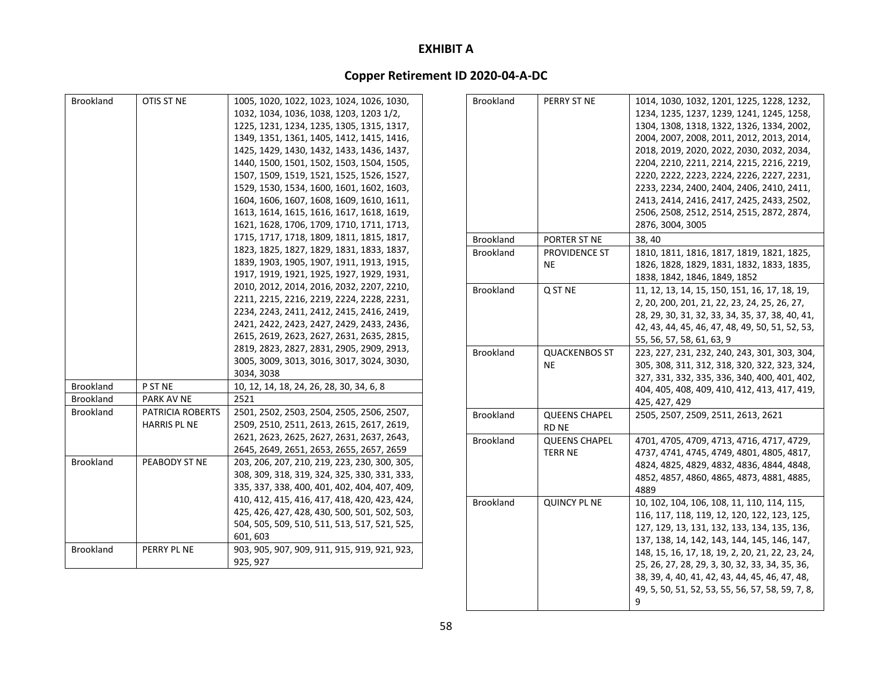# **Copper Retirement ID 2020‐04‐A‐DC**

| <b>Brookland</b> | OTIS ST NE                                     | 1005, 1020, 1022, 1023, 1024, 1026, 1030,<br>1032, 1034, 1036, 1038, 1203, 1203 1/2,<br>1225, 1231, 1234, 1235, 1305, 1315, 1317,<br>1349, 1351, 1361, 1405, 1412, 1415, 1416,<br>1425, 1429, 1430, 1432, 1433, 1436, 1437,<br>1440, 1500, 1501, 1502, 1503, 1504, 1505,<br>1507, 1509, 1519, 1521, 1525, 1526, 1527,<br>1529, 1530, 1534, 1600, 1601, 1602, 1603,<br>1604, 1606, 1607, 1608, 1609, 1610, 1611,<br>1613, 1614, 1615, 1616, 1617, 1618, 1619, | Brookland        | PERRY ST NE                            | 1014, 1030, 1032, 1201, 1225, 1228, 1232,<br>1234, 1235, 1237, 1239, 1241, 1245, 1258,<br>1304, 1308, 1318, 1322, 1326, 1334, 2002,<br>2004, 2007, 2008, 2011, 2012, 2013, 2014,<br>2018, 2019, 2020, 2022, 2030, 2032, 2034,<br>2204, 2210, 2211, 2214, 2215, 2216, 2219,<br>2220, 2222, 2223, 2224, 2226, 2227, 2231,<br>2233, 2234, 2400, 2404, 2406, 2410, 2411,<br>2413, 2414, 2416, 2417, 2425, 2433, 2502,<br>2506, 2508, 2512, 2514, 2515, 2872, 2874, |
|------------------|------------------------------------------------|--------------------------------------------------------------------------------------------------------------------------------------------------------------------------------------------------------------------------------------------------------------------------------------------------------------------------------------------------------------------------------------------------------------------------------------------------------------|------------------|----------------------------------------|----------------------------------------------------------------------------------------------------------------------------------------------------------------------------------------------------------------------------------------------------------------------------------------------------------------------------------------------------------------------------------------------------------------------------------------------------------------|
|                  |                                                | 1621, 1628, 1706, 1709, 1710, 1711, 1713,                                                                                                                                                                                                                                                                                                                                                                                                                    |                  |                                        | 2876, 3004, 3005                                                                                                                                                                                                                                                                                                                                                                                                                                               |
|                  |                                                | 1715, 1717, 1718, 1809, 1811, 1815, 1817,                                                                                                                                                                                                                                                                                                                                                                                                                    | <b>Brookland</b> | PORTER ST NE                           | 38, 40                                                                                                                                                                                                                                                                                                                                                                                                                                                         |
|                  |                                                | 1823, 1825, 1827, 1829, 1831, 1833, 1837,<br>1839, 1903, 1905, 1907, 1911, 1913, 1915,<br>1917, 1919, 1921, 1925, 1927, 1929, 1931,                                                                                                                                                                                                                                                                                                                          | <b>Brookland</b> | PROVIDENCE ST<br><b>NE</b>             | 1810, 1811, 1816, 1817, 1819, 1821, 1825,<br>1826, 1828, 1829, 1831, 1832, 1833, 1835,<br>1838, 1842, 1846, 1849, 1852                                                                                                                                                                                                                                                                                                                                         |
|                  |                                                | 2010, 2012, 2014, 2016, 2032, 2207, 2210,<br>2211, 2215, 2216, 2219, 2224, 2228, 2231,<br>2234, 2243, 2411, 2412, 2415, 2416, 2419,<br>2421, 2422, 2423, 2427, 2429, 2433, 2436,<br>2615, 2619, 2623, 2627, 2631, 2635, 2815,                                                                                                                                                                                                                                | <b>Brookland</b> | Q ST NE                                | 11, 12, 13, 14, 15, 150, 151, 16, 17, 18, 19,<br>2, 20, 200, 201, 21, 22, 23, 24, 25, 26, 27,<br>28, 29, 30, 31, 32, 33, 34, 35, 37, 38, 40, 41,<br>42, 43, 44, 45, 46, 47, 48, 49, 50, 51, 52, 53,<br>55, 56, 57, 58, 61, 63, 9                                                                                                                                                                                                                               |
|                  |                                                | 2819, 2823, 2827, 2831, 2905, 2909, 2913,<br>3005, 3009, 3013, 3016, 3017, 3024, 3030,<br>3034, 3038                                                                                                                                                                                                                                                                                                                                                         | <b>Brookland</b> | <b>QUACKENBOS ST</b><br><b>NE</b>      | 223, 227, 231, 232, 240, 243, 301, 303, 304<br>305, 308, 311, 312, 318, 320, 322, 323, 324<br>327, 331, 332, 335, 336, 340, 400, 401, 402,                                                                                                                                                                                                                                                                                                                     |
| Brookland        | P ST NE                                        | 10, 12, 14, 18, 24, 26, 28, 30, 34, 6, 8                                                                                                                                                                                                                                                                                                                                                                                                                     |                  |                                        | 404, 405, 408, 409, 410, 412, 413, 417, 419                                                                                                                                                                                                                                                                                                                                                                                                                    |
| Brookland        | PARK AV NE                                     | 2521                                                                                                                                                                                                                                                                                                                                                                                                                                                         |                  |                                        | 425, 427, 429                                                                                                                                                                                                                                                                                                                                                                                                                                                  |
| <b>Brookland</b> | <b>PATRICIA ROBERTS</b><br><b>HARRIS PL NE</b> | 2501, 2502, 2503, 2504, 2505, 2506, 2507,<br>2509, 2510, 2511, 2613, 2615, 2617, 2619,                                                                                                                                                                                                                                                                                                                                                                       | Brookland        | <b>QUEENS CHAPEL</b><br><b>RD NE</b>   | 2505, 2507, 2509, 2511, 2613, 2621                                                                                                                                                                                                                                                                                                                                                                                                                             |
| <b>Brookland</b> | PEABODY ST NE                                  | 2621, 2623, 2625, 2627, 2631, 2637, 2643,<br>2645, 2649, 2651, 2653, 2655, 2657, 2659<br>203, 206, 207, 210, 219, 223, 230, 300, 305,<br>308, 309, 318, 319, 324, 325, 330, 331, 333,<br>335, 337, 338, 400, 401, 402, 404, 407, 409,                                                                                                                                                                                                                        | <b>Brookland</b> | <b>QUEENS CHAPEL</b><br><b>TERR NE</b> | 4701, 4705, 4709, 4713, 4716, 4717, 4729,<br>4737, 4741, 4745, 4749, 4801, 4805, 4817,<br>4824, 4825, 4829, 4832, 4836, 4844, 4848,<br>4852, 4857, 4860, 4865, 4873, 4881, 4885,                                                                                                                                                                                                                                                                               |
|                  |                                                | 410, 412, 415, 416, 417, 418, 420, 423, 424,<br>425, 426, 427, 428, 430, 500, 501, 502, 503,<br>504, 505, 509, 510, 511, 513, 517, 521, 525,<br>601, 603                                                                                                                                                                                                                                                                                                     | <b>Brookland</b> | <b>QUINCY PL NE</b>                    | 4889<br>10, 102, 104, 106, 108, 11, 110, 114, 115,<br>116, 117, 118, 119, 12, 120, 122, 123, 125,<br>127, 129, 13, 131, 132, 133, 134, 135, 136,<br>137, 138, 14, 142, 143, 144, 145, 146, 147,                                                                                                                                                                                                                                                                |
| Brookland        | PERRY PL NE                                    | 903, 905, 907, 909, 911, 915, 919, 921, 923,<br>925, 927                                                                                                                                                                                                                                                                                                                                                                                                     |                  |                                        | 148, 15, 16, 17, 18, 19, 2, 20, 21, 22, 23, 24,<br>25, 26, 27, 28, 29, 3, 30, 32, 33, 34, 35, 36,                                                                                                                                                                                                                                                                                                                                                              |

38, 39, 4, 40, 41, 42, 43, 44, 45, 46, 47, 48, 49, 5, 50, 51, 52, 53, 55, 56, 57, 58, 59, 7, 8,

9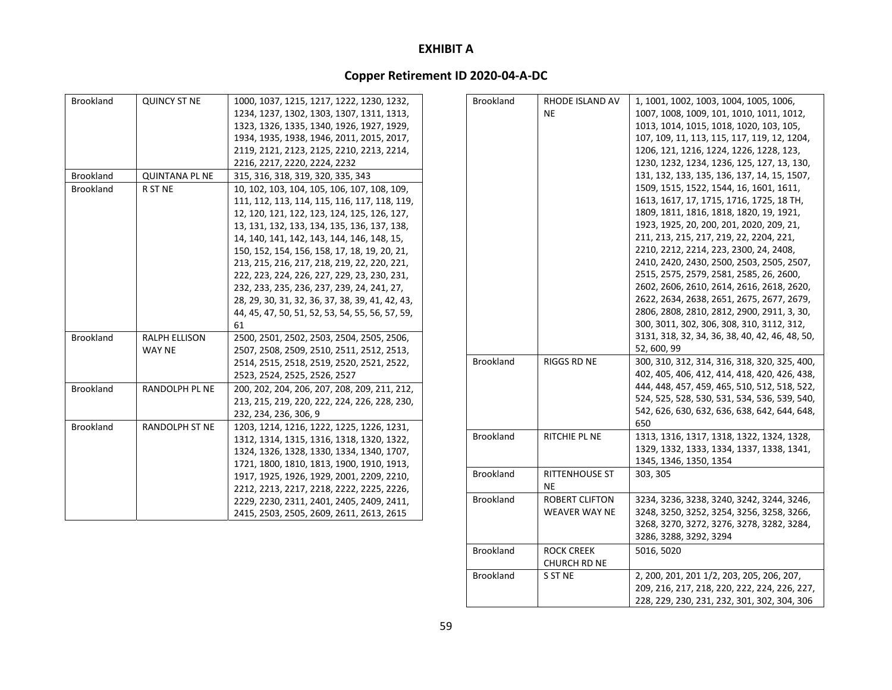| <b>Brookland</b> | <b>QUINCY ST NE</b>   | 1000, 1037, 1215, 1217, 1222, 1230, 1232,       | <b>Brookland</b> | <b>RHODE ISLAND AV</b> | 1, 1001, 1002, 1003, 1004, 1005, 1006,         |
|------------------|-----------------------|-------------------------------------------------|------------------|------------------------|------------------------------------------------|
|                  |                       | 1234, 1237, 1302, 1303, 1307, 1311, 1313,       |                  | <b>NE</b>              | 1007, 1008, 1009, 101, 1010, 1011, 1012,       |
|                  |                       | 1323, 1326, 1335, 1340, 1926, 1927, 1929,       |                  |                        | 1013, 1014, 1015, 1018, 1020, 103, 105,        |
|                  |                       | 1934, 1935, 1938, 1946, 2011, 2015, 2017,       |                  |                        | 107, 109, 11, 113, 115, 117, 119, 12, 1204,    |
|                  |                       | 2119, 2121, 2123, 2125, 2210, 2213, 2214,       |                  |                        | 1206, 121, 1216, 1224, 1226, 1228, 123,        |
|                  |                       | 2216, 2217, 2220, 2224, 2232                    |                  |                        | 1230, 1232, 1234, 1236, 125, 127, 13, 130,     |
| <b>Brookland</b> | <b>QUINTANA PL NE</b> | 315, 316, 318, 319, 320, 335, 343               |                  |                        | 131, 132, 133, 135, 136, 137, 14, 15, 1507,    |
| <b>Brookland</b> | R ST NE               | 10, 102, 103, 104, 105, 106, 107, 108, 109,     |                  |                        | 1509, 1515, 1522, 1544, 16, 1601, 1611,        |
|                  |                       | 111, 112, 113, 114, 115, 116, 117, 118, 119,    |                  |                        | 1613, 1617, 17, 1715, 1716, 1725, 18 TH,       |
|                  |                       | 12, 120, 121, 122, 123, 124, 125, 126, 127,     |                  |                        | 1809, 1811, 1816, 1818, 1820, 19, 1921,        |
|                  |                       | 13, 131, 132, 133, 134, 135, 136, 137, 138,     |                  |                        | 1923, 1925, 20, 200, 201, 2020, 209, 21,       |
|                  |                       | 14, 140, 141, 142, 143, 144, 146, 148, 15,      |                  |                        | 211, 213, 215, 217, 219, 22, 2204, 221,        |
|                  |                       | 150, 152, 154, 156, 158, 17, 18, 19, 20, 21,    |                  |                        | 2210, 2212, 2214, 223, 2300, 24, 2408,         |
|                  |                       | 213, 215, 216, 217, 218, 219, 22, 220, 221,     |                  |                        | 2410, 2420, 2430, 2500, 2503, 2505, 2507,      |
|                  |                       | 222, 223, 224, 226, 227, 229, 23, 230, 231,     |                  |                        | 2515, 2575, 2579, 2581, 2585, 26, 2600,        |
|                  |                       | 232, 233, 235, 236, 237, 239, 24, 241, 27,      |                  |                        | 2602, 2606, 2610, 2614, 2616, 2618, 2620,      |
|                  |                       | 28, 29, 30, 31, 32, 36, 37, 38, 39, 41, 42, 43, |                  |                        | 2622, 2634, 2638, 2651, 2675, 2677, 2679,      |
|                  |                       | 44, 45, 47, 50, 51, 52, 53, 54, 55, 56, 57, 59, |                  |                        | 2806, 2808, 2810, 2812, 2900, 2911, 3, 30,     |
|                  |                       | 61                                              |                  |                        | 300, 3011, 302, 306, 308, 310, 3112, 312,      |
| <b>Brookland</b> | <b>RALPH ELLISON</b>  | 2500, 2501, 2502, 2503, 2504, 2505, 2506,       |                  |                        | 3131, 318, 32, 34, 36, 38, 40, 42, 46, 48, 50, |
|                  | <b>WAY NE</b>         | 2507, 2508, 2509, 2510, 2511, 2512, 2513,       |                  |                        | 52, 600, 99                                    |
|                  |                       | 2514, 2515, 2518, 2519, 2520, 2521, 2522,       | <b>Brookland</b> | <b>RIGGS RD NE</b>     | 300, 310, 312, 314, 316, 318, 320, 325, 400,   |
|                  |                       | 2523, 2524, 2525, 2526, 2527                    |                  |                        | 402, 405, 406, 412, 414, 418, 420, 426, 438,   |
| <b>Brookland</b> | <b>RANDOLPH PL NE</b> | 200, 202, 204, 206, 207, 208, 209, 211, 212,    |                  |                        | 444, 448, 457, 459, 465, 510, 512, 518, 522,   |
|                  |                       | 213, 215, 219, 220, 222, 224, 226, 228, 230,    |                  |                        | 524, 525, 528, 530, 531, 534, 536, 539, 540,   |
|                  |                       | 232, 234, 236, 306, 9                           |                  |                        | 542, 626, 630, 632, 636, 638, 642, 644, 648,   |
| <b>Brookland</b> | <b>RANDOLPH ST NE</b> | 1203, 1214, 1216, 1222, 1225, 1226, 1231,       |                  |                        | 650                                            |
|                  |                       | 1312, 1314, 1315, 1316, 1318, 1320, 1322,       | <b>Brookland</b> | <b>RITCHIE PL NE</b>   | 1313, 1316, 1317, 1318, 1322, 1324, 1328,      |
|                  |                       | 1324, 1326, 1328, 1330, 1334, 1340, 1707,       |                  |                        | 1329, 1332, 1333, 1334, 1337, 1338, 1341,      |
|                  |                       | 1721, 1800, 1810, 1813, 1900, 1910, 1913,       |                  |                        | 1345, 1346, 1350, 1354                         |
|                  |                       | 1917, 1925, 1926, 1929, 2001, 2209, 2210,       | <b>Brookland</b> | <b>RITTENHOUSE ST</b>  | 303, 305                                       |
|                  |                       | 2212, 2213, 2217, 2218, 2222, 2225, 2226,       |                  | <b>NE</b>              |                                                |
|                  |                       | 2229, 2230, 2311, 2401, 2405, 2409, 2411,       | Brookland        | <b>ROBERT CLIFTON</b>  | 3234, 3236, 3238, 3240, 3242, 3244, 3246,      |
|                  |                       | 2415, 2503, 2505, 2609, 2611, 2613, 2615        |                  | <b>WEAVER WAY NE</b>   | 3248, 3250, 3252, 3254, 3256, 3258, 3266,      |
|                  |                       |                                                 |                  |                        | 3268, 3270, 3272, 3276, 3278, 3282, 3284,      |
|                  |                       |                                                 |                  |                        | 3286, 3288, 3292, 3294                         |

| Brookland | ROCK CREEK   | 5016, 5020                                   |
|-----------|--------------|----------------------------------------------|
|           | CHURCH RD NE |                                              |
| Brookland | S ST NE      | 2, 200, 201, 201 1/2, 203, 205, 206, 207,    |
|           |              | 209, 216, 217, 218, 220, 222, 224, 226, 227, |
|           |              | 228, 229, 230, 231, 232, 301, 302, 304, 306  |
|           |              |                                              |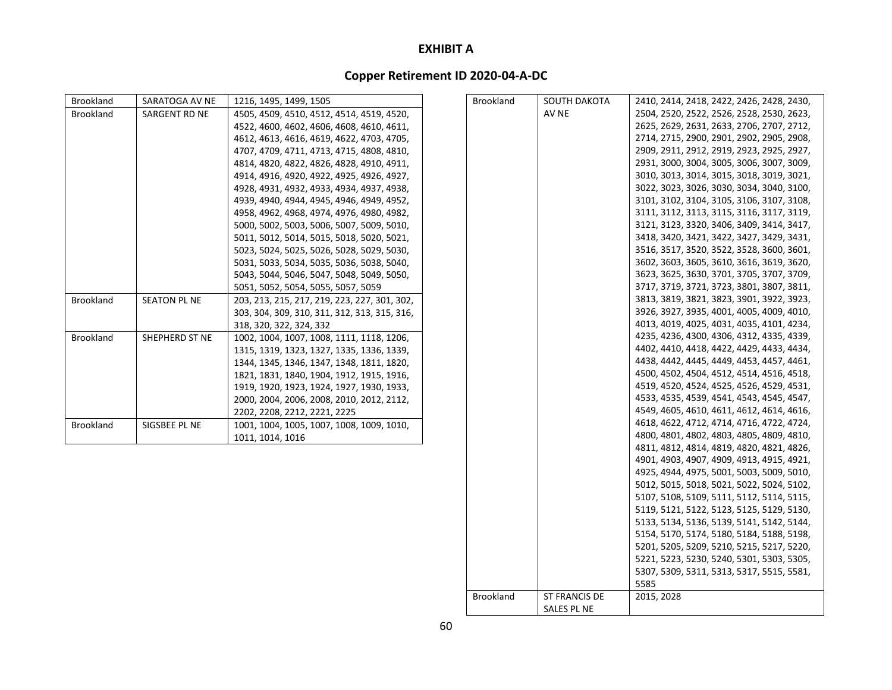# **Copper Retirement ID 2020‐04‐A‐DC**

| <b>Brookland</b> | SARATOGA AV NE      | 1216, 1495, 1499, 1505                       | <b>Brookland</b> | SOUTH DAKOTA  | 2410, 2414, 2418, 2422, 2426, 2428, 2430, |
|------------------|---------------------|----------------------------------------------|------------------|---------------|-------------------------------------------|
| <b>Brookland</b> | SARGENT RD NE       | 4505, 4509, 4510, 4512, 4514, 4519, 4520,    |                  | AV NE         | 2504, 2520, 2522, 2526, 2528, 2530, 2623, |
|                  |                     | 4522, 4600, 4602, 4606, 4608, 4610, 4611,    |                  |               | 2625, 2629, 2631, 2633, 2706, 2707, 2712, |
|                  |                     | 4612, 4613, 4616, 4619, 4622, 4703, 4705,    |                  |               | 2714, 2715, 2900, 2901, 2902, 2905, 2908, |
|                  |                     | 4707, 4709, 4711, 4713, 4715, 4808, 4810,    |                  |               | 2909, 2911, 2912, 2919, 2923, 2925, 2927, |
|                  |                     | 4814, 4820, 4822, 4826, 4828, 4910, 4911,    |                  |               | 2931, 3000, 3004, 3005, 3006, 3007, 3009, |
|                  |                     | 4914, 4916, 4920, 4922, 4925, 4926, 4927,    |                  |               | 3010, 3013, 3014, 3015, 3018, 3019, 3021, |
|                  |                     | 4928, 4931, 4932, 4933, 4934, 4937, 4938,    |                  |               | 3022, 3023, 3026, 3030, 3034, 3040, 3100, |
|                  |                     | 4939, 4940, 4944, 4945, 4946, 4949, 4952,    |                  |               | 3101, 3102, 3104, 3105, 3106, 3107, 3108, |
|                  |                     | 4958, 4962, 4968, 4974, 4976, 4980, 4982,    |                  |               | 3111, 3112, 3113, 3115, 3116, 3117, 3119, |
|                  |                     | 5000, 5002, 5003, 5006, 5007, 5009, 5010,    |                  |               | 3121, 3123, 3320, 3406, 3409, 3414, 3417, |
|                  |                     | 5011, 5012, 5014, 5015, 5018, 5020, 5021,    |                  |               | 3418, 3420, 3421, 3422, 3427, 3429, 3431, |
|                  |                     | 5023, 5024, 5025, 5026, 5028, 5029, 5030,    |                  |               | 3516, 3517, 3520, 3522, 3528, 3600, 3601, |
|                  |                     | 5031, 5033, 5034, 5035, 5036, 5038, 5040,    |                  |               | 3602, 3603, 3605, 3610, 3616, 3619, 3620, |
|                  |                     | 5043, 5044, 5046, 5047, 5048, 5049, 5050,    |                  |               | 3623, 3625, 3630, 3701, 3705, 3707, 3709, |
|                  |                     | 5051, 5052, 5054, 5055, 5057, 5059           |                  |               | 3717, 3719, 3721, 3723, 3801, 3807, 3811, |
| <b>Brookland</b> | <b>SEATON PL NE</b> | 203, 213, 215, 217, 219, 223, 227, 301, 302, |                  |               | 3813, 3819, 3821, 3823, 3901, 3922, 3923, |
|                  |                     | 303, 304, 309, 310, 311, 312, 313, 315, 316, |                  |               | 3926, 3927, 3935, 4001, 4005, 4009, 4010, |
|                  |                     | 318, 320, 322, 324, 332                      |                  |               | 4013, 4019, 4025, 4031, 4035, 4101, 4234, |
| <b>Brookland</b> | SHEPHERD ST NE      | 1002, 1004, 1007, 1008, 1111, 1118, 1206,    |                  |               | 4235, 4236, 4300, 4306, 4312, 4335, 4339, |
|                  |                     | 1315, 1319, 1323, 1327, 1335, 1336, 1339,    |                  |               | 4402, 4410, 4418, 4422, 4429, 4433, 4434, |
|                  |                     | 1344, 1345, 1346, 1347, 1348, 1811, 1820,    |                  |               | 4438, 4442, 4445, 4449, 4453, 4457, 4461, |
|                  |                     | 1821, 1831, 1840, 1904, 1912, 1915, 1916,    |                  |               | 4500, 4502, 4504, 4512, 4514, 4516, 4518, |
|                  |                     | 1919, 1920, 1923, 1924, 1927, 1930, 1933,    |                  |               | 4519, 4520, 4524, 4525, 4526, 4529, 4531, |
|                  |                     | 2000, 2004, 2006, 2008, 2010, 2012, 2112,    |                  |               | 4533, 4535, 4539, 4541, 4543, 4545, 4547, |
|                  |                     | 2202, 2208, 2212, 2221, 2225                 |                  |               | 4549, 4605, 4610, 4611, 4612, 4614, 4616, |
| <b>Brookland</b> | SIGSBEE PL NE       | 1001, 1004, 1005, 1007, 1008, 1009, 1010,    |                  |               | 4618, 4622, 4712, 4714, 4716, 4722, 4724, |
|                  |                     | 1011, 1014, 1016                             |                  |               | 4800, 4801, 4802, 4803, 4805, 4809, 4810, |
|                  |                     |                                              |                  |               | 4811, 4812, 4814, 4819, 4820, 4821, 4826, |
|                  |                     |                                              |                  |               | 4901, 4903, 4907, 4909, 4913, 4915, 4921, |
|                  |                     |                                              |                  |               | 4925, 4944, 4975, 5001, 5003, 5009, 5010, |
|                  |                     |                                              |                  |               | 5012, 5015, 5018, 5021, 5022, 5024, 5102, |
|                  |                     |                                              |                  |               | 5107, 5108, 5109, 5111, 5112, 5114, 5115, |
|                  |                     |                                              |                  |               | 5119, 5121, 5122, 5123, 5125, 5129, 5130, |
|                  |                     |                                              |                  |               | 5133, 5134, 5136, 5139, 5141, 5142, 5144, |
|                  |                     |                                              |                  |               | 5154, 5170, 5174, 5180, 5184, 5188, 5198, |
|                  |                     |                                              |                  |               | 5201, 5205, 5209, 5210, 5215, 5217, 5220, |
|                  |                     |                                              |                  |               | 5221, 5223, 5230, 5240, 5301, 5303, 5305, |
|                  |                     |                                              |                  |               | 5307, 5309, 5311, 5313, 5317, 5515, 5581, |
|                  |                     |                                              |                  |               | 5585                                      |
|                  |                     |                                              | <b>Brookland</b> | ST FRANCIS DE | 2015, 2028                                |

SALES PL NE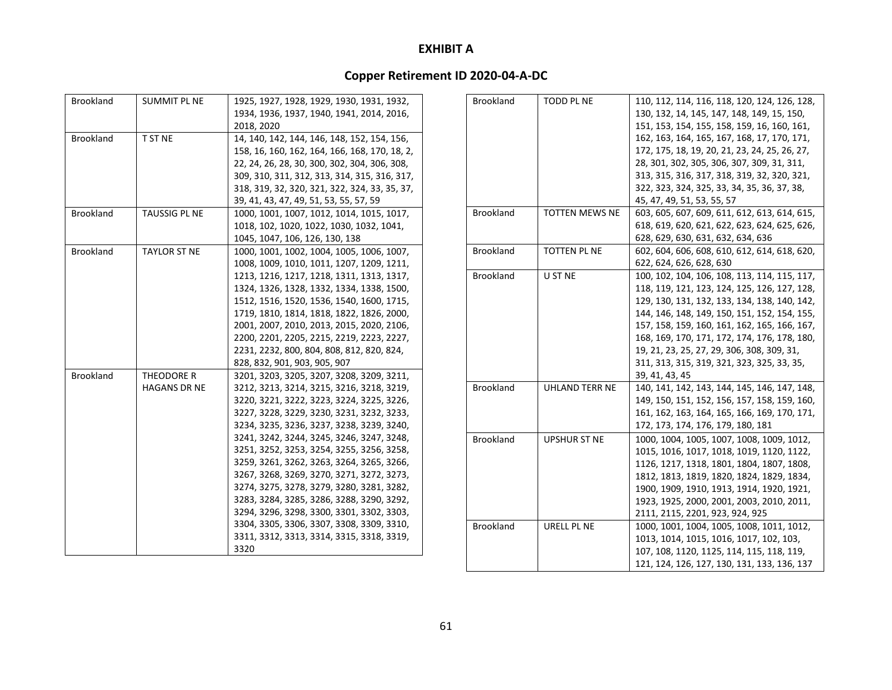| <b>Brookland</b> | <b>SUMMIT PL NE</b>  | 1925, 1927, 1928, 1929, 1930, 1931, 1932,     |
|------------------|----------------------|-----------------------------------------------|
|                  |                      | 1934, 1936, 1937, 1940, 1941, 2014, 2016,     |
|                  |                      | 2018, 2020                                    |
| <b>Brookland</b> | <b>T ST NE</b>       | 14, 140, 142, 144, 146, 148, 152, 154, 156,   |
|                  |                      | 158, 16, 160, 162, 164, 166, 168, 170, 18, 2, |
|                  |                      | 22, 24, 26, 28, 30, 300, 302, 304, 306, 308,  |
|                  |                      | 309, 310, 311, 312, 313, 314, 315, 316, 317,  |
|                  |                      | 318, 319, 32, 320, 321, 322, 324, 33, 35, 37, |
|                  |                      | 39, 41, 43, 47, 49, 51, 53, 55, 57, 59        |
| <b>Brookland</b> | <b>TAUSSIG PL NE</b> | 1000, 1001, 1007, 1012, 1014, 1015, 1017,     |
|                  |                      | 1018, 102, 1020, 1022, 1030, 1032, 1041,      |
|                  |                      | 1045, 1047, 106, 126, 130, 138                |
| <b>Brookland</b> | <b>TAYLOR ST NE</b>  | 1000, 1001, 1002, 1004, 1005, 1006, 1007,     |
|                  |                      | 1008, 1009, 1010, 1011, 1207, 1209, 1211,     |
|                  |                      | 1213, 1216, 1217, 1218, 1311, 1313, 1317,     |
|                  |                      | 1324, 1326, 1328, 1332, 1334, 1338, 1500,     |
|                  |                      | 1512, 1516, 1520, 1536, 1540, 1600, 1715,     |
|                  |                      | 1719, 1810, 1814, 1818, 1822, 1826, 2000,     |
|                  |                      | 2001, 2007, 2010, 2013, 2015, 2020, 2106,     |
|                  |                      | 2200, 2201, 2205, 2215, 2219, 2223, 2227,     |
|                  |                      | 2231, 2232, 800, 804, 808, 812, 820, 824,     |
|                  |                      | 828, 832, 901, 903, 905, 907                  |
| <b>Brookland</b> | THEODORE R           | 3201, 3203, 3205, 3207, 3208, 3209, 3211,     |
|                  | <b>HAGANS DR NE</b>  | 3212, 3213, 3214, 3215, 3216, 3218, 3219,     |
|                  |                      | 3220, 3221, 3222, 3223, 3224, 3225, 3226,     |
|                  |                      | 3227, 3228, 3229, 3230, 3231, 3232, 3233,     |
|                  |                      | 3234, 3235, 3236, 3237, 3238, 3239, 3240,     |
|                  |                      | 3241, 3242, 3244, 3245, 3246, 3247, 3248,     |
|                  |                      | 3251, 3252, 3253, 3254, 3255, 3256, 3258,     |
|                  |                      | 3259, 3261, 3262, 3263, 3264, 3265, 3266,     |
|                  |                      | 3267, 3268, 3269, 3270, 3271, 3272, 3273,     |
|                  |                      | 3274, 3275, 3278, 3279, 3280, 3281, 3282,     |
|                  |                      | 3283, 3284, 3285, 3286, 3288, 3290, 3292,     |
|                  |                      | 3294, 3296, 3298, 3300, 3301, 3302, 3303,     |
|                  |                      | 3304, 3305, 3306, 3307, 3308, 3309, 3310,     |
|                  |                      | 3311, 3312, 3313, 3314, 3315, 3318, 3319,     |
|                  |                      | 3320                                          |

| <b>Brookland</b> | <b>TODD PL NE</b>   | 110, 112, 114, 116, 118, 120, 124, 126, 128,  |
|------------------|---------------------|-----------------------------------------------|
|                  |                     | 130, 132, 14, 145, 147, 148, 149, 15, 150,    |
|                  |                     | 151, 153, 154, 155, 158, 159, 16, 160, 161,   |
|                  |                     | 162, 163, 164, 165, 167, 168, 17, 170, 171,   |
|                  |                     | 172, 175, 18, 19, 20, 21, 23, 24, 25, 26, 27, |
|                  |                     | 28, 301, 302, 305, 306, 307, 309, 31, 311,    |
|                  |                     | 313, 315, 316, 317, 318, 319, 32, 320, 321,   |
|                  |                     | 322, 323, 324, 325, 33, 34, 35, 36, 37, 38,   |
|                  |                     | 45, 47, 49, 51, 53, 55, 57                    |
| <b>Brookland</b> | TOTTEN MEWS NE      | 603, 605, 607, 609, 611, 612, 613, 614, 615,  |
|                  |                     | 618, 619, 620, 621, 622, 623, 624, 625, 626,  |
|                  |                     | 628, 629, 630, 631, 632, 634, 636             |
| <b>Brookland</b> | <b>TOTTEN PL NE</b> | 602, 604, 606, 608, 610, 612, 614, 618, 620,  |
|                  |                     | 622, 624, 626, 628, 630                       |
| <b>Brookland</b> | U ST NE             | 100, 102, 104, 106, 108, 113, 114, 115, 117,  |
|                  |                     | 118, 119, 121, 123, 124, 125, 126, 127, 128,  |
|                  |                     | 129, 130, 131, 132, 133, 134, 138, 140, 142,  |
|                  |                     | 144, 146, 148, 149, 150, 151, 152, 154, 155,  |
|                  |                     | 157, 158, 159, 160, 161, 162, 165, 166, 167,  |
|                  |                     | 168, 169, 170, 171, 172, 174, 176, 178, 180,  |
|                  |                     | 19, 21, 23, 25, 27, 29, 306, 308, 309, 31,    |
|                  |                     | 311, 313, 315, 319, 321, 323, 325, 33, 35,    |
|                  |                     | 39, 41, 43, 45                                |
| <b>Brookland</b> | UHLAND TERR NE      | 140, 141, 142, 143, 144, 145, 146, 147, 148,  |
|                  |                     | 149, 150, 151, 152, 156, 157, 158, 159, 160,  |
|                  |                     | 161, 162, 163, 164, 165, 166, 169, 170, 171,  |
|                  |                     | 172, 173, 174, 176, 179, 180, 181             |
| <b>Brookland</b> | UPSHUR ST NE        | 1000, 1004, 1005, 1007, 1008, 1009, 1012,     |
|                  |                     | 1015, 1016, 1017, 1018, 1019, 1120, 1122,     |
|                  |                     | 1126, 1217, 1318, 1801, 1804, 1807, 1808,     |
|                  |                     | 1812, 1813, 1819, 1820, 1824, 1829, 1834,     |
|                  |                     | 1900, 1909, 1910, 1913, 1914, 1920, 1921,     |
|                  |                     | 1923, 1925, 2000, 2001, 2003, 2010, 2011,     |
|                  |                     | 2111, 2115, 2201, 923, 924, 925               |
| <b>Brookland</b> | URELL PL NE         | 1000, 1001, 1004, 1005, 1008, 1011, 1012,     |
|                  |                     | 1013, 1014, 1015, 1016, 1017, 102, 103,       |
|                  |                     | 107, 108, 1120, 1125, 114, 115, 118, 119,     |
|                  |                     | 121, 124, 126, 127, 130, 131, 133, 136, 137   |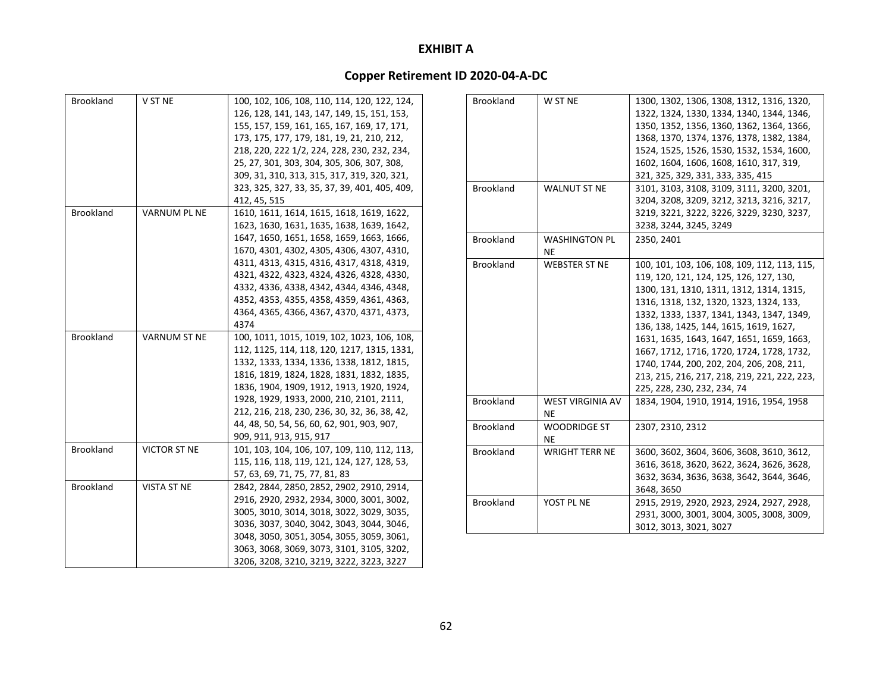| <b>Brookland</b> | V ST NE             | 100, 102, 106, 108, 110, 114, 120, 122, 124,  |
|------------------|---------------------|-----------------------------------------------|
|                  |                     | 126, 128, 141, 143, 147, 149, 15, 151, 153,   |
|                  |                     | 155, 157, 159, 161, 165, 167, 169, 17, 171,   |
|                  |                     | 173, 175, 177, 179, 181, 19, 21, 210, 212,    |
|                  |                     | 218, 220, 222 1/2, 224, 228, 230, 232, 234,   |
|                  |                     | 25, 27, 301, 303, 304, 305, 306, 307, 308,    |
|                  |                     | 309, 31, 310, 313, 315, 317, 319, 320, 321,   |
|                  |                     | 323, 325, 327, 33, 35, 37, 39, 401, 405, 409, |
|                  |                     | 412, 45, 515                                  |
| Brookland        | <b>VARNUM PL NE</b> | 1610, 1611, 1614, 1615, 1618, 1619, 1622,     |
|                  |                     | 1623, 1630, 1631, 1635, 1638, 1639, 1642,     |
|                  |                     | 1647, 1650, 1651, 1658, 1659, 1663, 1666,     |
|                  |                     | 1670, 4301, 4302, 4305, 4306, 4307, 4310,     |
|                  |                     | 4311, 4313, 4315, 4316, 4317, 4318, 4319,     |
|                  |                     |                                               |
|                  |                     | 4321, 4322, 4323, 4324, 4326, 4328, 4330,     |
|                  |                     | 4332, 4336, 4338, 4342, 4344, 4346, 4348,     |
|                  |                     | 4352, 4353, 4355, 4358, 4359, 4361, 4363,     |
|                  |                     | 4364, 4365, 4366, 4367, 4370, 4371, 4373,     |
|                  |                     | 4374                                          |
| <b>Brookland</b> | VARNUM ST NE        | 100, 1011, 1015, 1019, 102, 1023, 106, 108,   |
|                  |                     | 112, 1125, 114, 118, 120, 1217, 1315, 1331,   |
|                  |                     | 1332, 1333, 1334, 1336, 1338, 1812, 1815,     |
|                  |                     | 1816, 1819, 1824, 1828, 1831, 1832, 1835,     |
|                  |                     | 1836, 1904, 1909, 1912, 1913, 1920, 1924,     |
|                  |                     | 1928, 1929, 1933, 2000, 210, 2101, 2111,      |
|                  |                     | 212, 216, 218, 230, 236, 30, 32, 36, 38, 42,  |
|                  |                     | 44, 48, 50, 54, 56, 60, 62, 901, 903, 907,    |
|                  |                     | 909, 911, 913, 915, 917                       |
| <b>Brookland</b> | VICTOR ST NE        | 101, 103, 104, 106, 107, 109, 110, 112, 113,  |
|                  |                     | 115, 116, 118, 119, 121, 124, 127, 128, 53,   |
|                  |                     | 57, 63, 69, 71, 75, 77, 81, 83                |
| <b>Brookland</b> | <b>VISTA ST NE</b>  | 2842, 2844, 2850, 2852, 2902, 2910, 2914,     |
|                  |                     | 2916, 2920, 2932, 2934, 3000, 3001, 3002,     |
|                  |                     | 3005, 3010, 3014, 3018, 3022, 3029, 3035,     |
|                  |                     | 3036, 3037, 3040, 3042, 3043, 3044, 3046,     |
|                  |                     | 3048, 3050, 3051, 3054, 3055, 3059, 3061,     |
|                  |                     | 3063, 3068, 3069, 3073, 3101, 3105, 3202,     |
|                  |                     | 3206, 3208, 3210, 3219, 3222, 3223, 3227      |

| <b>Brookland</b> | W ST NE                 | 1300, 1302, 1306, 1308, 1312, 1316, 1320,    |
|------------------|-------------------------|----------------------------------------------|
|                  |                         | 1322, 1324, 1330, 1334, 1340, 1344, 1346,    |
|                  |                         | 1350, 1352, 1356, 1360, 1362, 1364, 1366,    |
|                  |                         | 1368, 1370, 1374, 1376, 1378, 1382, 1384,    |
|                  |                         | 1524, 1525, 1526, 1530, 1532, 1534, 1600,    |
|                  |                         | 1602, 1604, 1606, 1608, 1610, 317, 319,      |
|                  |                         | 321, 325, 329, 331, 333, 335, 415            |
| <b>Brookland</b> | <b>WALNUT ST NE</b>     | 3101, 3103, 3108, 3109, 3111, 3200, 3201,    |
|                  |                         | 3204, 3208, 3209, 3212, 3213, 3216, 3217,    |
|                  |                         | 3219, 3221, 3222, 3226, 3229, 3230, 3237,    |
|                  |                         | 3238, 3244, 3245, 3249                       |
| <b>Brookland</b> | <b>WASHINGTON PL</b>    | 2350, 2401                                   |
|                  | NE                      |                                              |
| <b>Brookland</b> | <b>WEBSTER ST NE</b>    | 100, 101, 103, 106, 108, 109, 112, 113, 115, |
|                  |                         | 119, 120, 121, 124, 125, 126, 127, 130,      |
|                  |                         | 1300, 131, 1310, 1311, 1312, 1314, 1315,     |
|                  |                         | 1316, 1318, 132, 1320, 1323, 1324, 133,      |
|                  |                         | 1332, 1333, 1337, 1341, 1343, 1347, 1349,    |
|                  |                         | 136, 138, 1425, 144, 1615, 1619, 1627,       |
|                  |                         | 1631, 1635, 1643, 1647, 1651, 1659, 1663,    |
|                  |                         | 1667, 1712, 1716, 1720, 1724, 1728, 1732,    |
|                  |                         | 1740, 1744, 200, 202, 204, 206, 208, 211,    |
|                  |                         | 213, 215, 216, 217, 218, 219, 221, 222, 223, |
|                  |                         | 225, 228, 230, 232, 234, 74                  |
| <b>Brookland</b> | <b>WEST VIRGINIA AV</b> | 1834, 1904, 1910, 1914, 1916, 1954, 1958     |
|                  | <b>NE</b>               |                                              |
| <b>Brookland</b> | <b>WOODRIDGE ST</b>     | 2307, 2310, 2312                             |
|                  | ΝE                      |                                              |
| <b>Brookland</b> | <b>WRIGHT TERR NE</b>   | 3600, 3602, 3604, 3606, 3608, 3610, 3612,    |
|                  |                         | 3616, 3618, 3620, 3622, 3624, 3626, 3628,    |
|                  |                         | 3632, 3634, 3636, 3638, 3642, 3644, 3646,    |
|                  |                         | 3648, 3650                                   |
| <b>Brookland</b> | YOST PL NE              | 2915, 2919, 2920, 2923, 2924, 2927, 2928,    |
|                  |                         | 2931, 3000, 3001, 3004, 3005, 3008, 3009,    |
|                  |                         | 3012, 3013, 3021, 3027                       |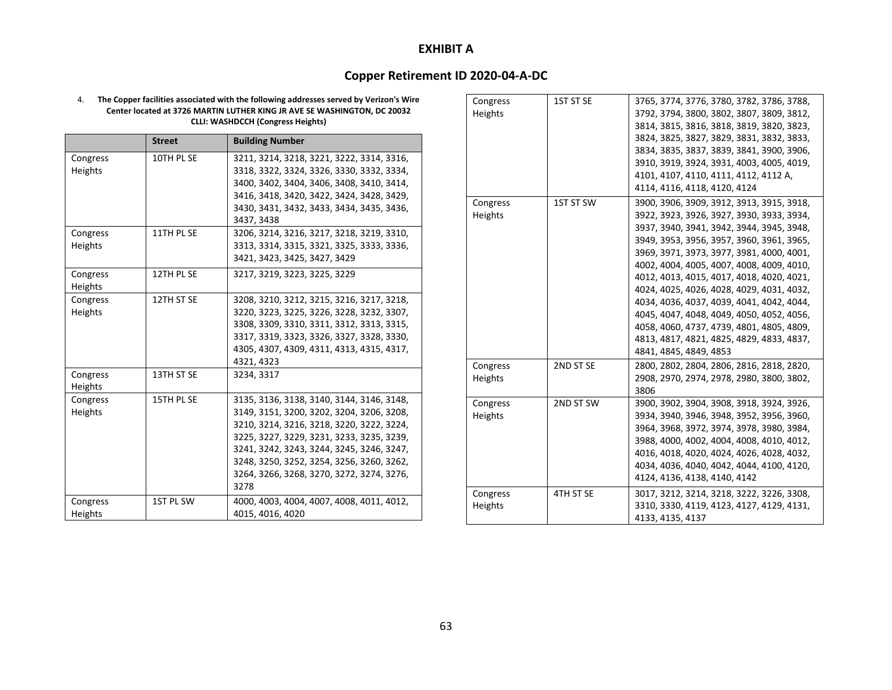### **Copper Retirement ID 2020‐04‐A‐DC**

4. **The Copper facilities associated with the following addresses served by Verizon's Wire Center located at 3726 MARTIN LUTHER KING JR AVE SE WASHINGTON, DC 20032 CLLI: WASHDCCH (Congress Heights)**

|          | <b>Street</b> | <b>Building Number</b>                    |
|----------|---------------|-------------------------------------------|
| Congress | 10TH PL SE    | 3211, 3214, 3218, 3221, 3222, 3314, 3316, |
| Heights  |               | 3318, 3322, 3324, 3326, 3330, 3332, 3334, |
|          |               | 3400, 3402, 3404, 3406, 3408, 3410, 3414, |
|          |               | 3416, 3418, 3420, 3422, 3424, 3428, 3429, |
|          |               | 3430, 3431, 3432, 3433, 3434, 3435, 3436, |
|          |               | 3437, 3438                                |
| Congress | 11TH PL SE    | 3206, 3214, 3216, 3217, 3218, 3219, 3310, |
| Heights  |               | 3313, 3314, 3315, 3321, 3325, 3333, 3336, |
|          |               | 3421, 3423, 3425, 3427, 3429              |
| Congress | 12TH PL SE    | 3217, 3219, 3223, 3225, 3229              |
| Heights  |               |                                           |
| Congress | 12TH ST SE    | 3208, 3210, 3212, 3215, 3216, 3217, 3218, |
| Heights  |               | 3220, 3223, 3225, 3226, 3228, 3232, 3307, |
|          |               | 3308, 3309, 3310, 3311, 3312, 3313, 3315, |
|          |               | 3317, 3319, 3323, 3326, 3327, 3328, 3330, |
|          |               | 4305, 4307, 4309, 4311, 4313, 4315, 4317, |
|          |               | 4321, 4323                                |
| Congress | 13TH ST SE    | 3234, 3317                                |
| Heights  |               |                                           |
| Congress | 15TH PL SE    | 3135, 3136, 3138, 3140, 3144, 3146, 3148, |
| Heights  |               | 3149, 3151, 3200, 3202, 3204, 3206, 3208, |
|          |               | 3210, 3214, 3216, 3218, 3220, 3222, 3224, |
|          |               | 3225, 3227, 3229, 3231, 3233, 3235, 3239, |
|          |               | 3241, 3242, 3243, 3244, 3245, 3246, 3247, |
|          |               | 3248, 3250, 3252, 3254, 3256, 3260, 3262, |
|          |               | 3264, 3266, 3268, 3270, 3272, 3274, 3276, |
|          |               | 3278                                      |
| Congress | 1ST PL SW     | 4000, 4003, 4004, 4007, 4008, 4011, 4012, |
| Heights  |               | 4015, 4016, 4020                          |

| Congress | 1ST ST SE | 3765, 3774, 3776, 3780, 3782, 3786, 3788, |
|----------|-----------|-------------------------------------------|
| Heights  |           | 3792, 3794, 3800, 3802, 3807, 3809, 3812, |
|          |           | 3814, 3815, 3816, 3818, 3819, 3820, 3823, |
|          |           | 3824, 3825, 3827, 3829, 3831, 3832, 3833, |
|          |           | 3834, 3835, 3837, 3839, 3841, 3900, 3906, |
|          |           | 3910, 3919, 3924, 3931, 4003, 4005, 4019, |
|          |           | 4101, 4107, 4110, 4111, 4112, 4112 A,     |
|          |           | 4114, 4116, 4118, 4120, 4124              |
| Congress | 1ST ST SW | 3900, 3906, 3909, 3912, 3913, 3915, 3918, |
| Heights  |           | 3922, 3923, 3926, 3927, 3930, 3933, 3934, |
|          |           | 3937, 3940, 3941, 3942, 3944, 3945, 3948, |
|          |           | 3949, 3953, 3956, 3957, 3960, 3961, 3965, |
|          |           | 3969, 3971, 3973, 3977, 3981, 4000, 4001, |
|          |           | 4002, 4004, 4005, 4007, 4008, 4009, 4010, |
|          |           | 4012, 4013, 4015, 4017, 4018, 4020, 4021, |
|          |           | 4024, 4025, 4026, 4028, 4029, 4031, 4032, |
|          |           | 4034, 4036, 4037, 4039, 4041, 4042, 4044, |
|          |           | 4045, 4047, 4048, 4049, 4050, 4052, 4056, |
|          |           | 4058, 4060, 4737, 4739, 4801, 4805, 4809, |
|          |           | 4813, 4817, 4821, 4825, 4829, 4833, 4837, |
|          |           | 4841, 4845, 4849, 4853                    |
| Congress | 2ND ST SE | 2800, 2802, 2804, 2806, 2816, 2818, 2820, |
| Heights  |           | 2908, 2970, 2974, 2978, 2980, 3800, 3802, |
|          |           | 3806                                      |
| Congress | 2ND ST SW | 3900, 3902, 3904, 3908, 3918, 3924, 3926, |
| Heights  |           | 3934, 3940, 3946, 3948, 3952, 3956, 3960, |
|          |           | 3964, 3968, 3972, 3974, 3978, 3980, 3984, |
|          |           | 3988, 4000, 4002, 4004, 4008, 4010, 4012, |
|          |           | 4016, 4018, 4020, 4024, 4026, 4028, 4032, |
|          |           | 4034, 4036, 4040, 4042, 4044, 4100, 4120, |
|          |           | 4124, 4136, 4138, 4140, 4142              |
| Congress | 4TH ST SE | 3017, 3212, 3214, 3218, 3222, 3226, 3308, |
| Heights  |           | 3310, 3330, 4119, 4123, 4127, 4129, 4131, |
|          |           | 4133, 4135, 4137                          |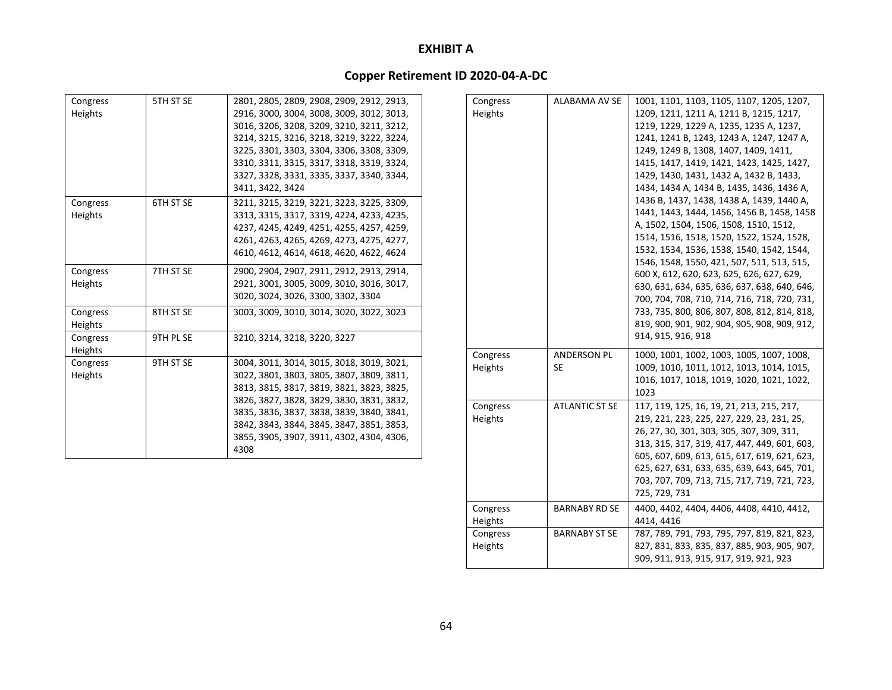| Congress | 5TH ST SE | 2801, 2805, 2809, 2908, 2909, 2912, 2913, |
|----------|-----------|-------------------------------------------|
| Heights  |           | 2916, 3000, 3004, 3008, 3009, 3012, 3013, |
|          |           | 3016, 3206, 3208, 3209, 3210, 3211, 3212, |
|          |           | 3214, 3215, 3216, 3218, 3219, 3222, 3224, |
|          |           | 3225, 3301, 3303, 3304, 3306, 3308, 3309, |
|          |           | 3310, 3311, 3315, 3317, 3318, 3319, 3324, |
|          |           | 3327, 3328, 3331, 3335, 3337, 3340, 3344, |
|          |           | 3411, 3422, 3424                          |
| Congress | 6TH ST SE | 3211, 3215, 3219, 3221, 3223, 3225, 3309, |
| Heights  |           | 3313, 3315, 3317, 3319, 4224, 4233, 4235, |
|          |           | 4237, 4245, 4249, 4251, 4255, 4257, 4259, |
|          |           | 4261, 4263, 4265, 4269, 4273, 4275, 4277, |
|          |           | 4610, 4612, 4614, 4618, 4620, 4622, 4624  |
| Congress | 7TH ST SE | 2900, 2904, 2907, 2911, 2912, 2913, 2914, |
| Heights  |           | 2921, 3001, 3005, 3009, 3010, 3016, 3017, |
|          |           | 3020, 3024, 3026, 3300, 3302, 3304        |
| Congress | 8TH ST SE | 3003, 3009, 3010, 3014, 3020, 3022, 3023  |
| Heights  |           |                                           |
| Congress | 9TH PL SE | 3210, 3214, 3218, 3220, 3227              |
| Heights  |           |                                           |
| Congress | 9TH ST SE | 3004, 3011, 3014, 3015, 3018, 3019, 3021, |
| Heights  |           | 3022, 3801, 3803, 3805, 3807, 3809, 3811, |
|          |           | 3813, 3815, 3817, 3819, 3821, 3823, 3825, |
|          |           | 3826, 3827, 3828, 3829, 3830, 3831, 3832, |
|          |           | 3835, 3836, 3837, 3838, 3839, 3840, 3841, |
|          |           | 3842, 3843, 3844, 3845, 3847, 3851, 3853, |
|          |           | 3855, 3905, 3907, 3911, 4302, 4304, 4306, |
|          |           | 4308                                      |

| Congress<br>Heights | <b>ALABAMA AV SE</b>     | 1001, 1101, 1103, 1105, 1107, 1205, 1207,<br>1209, 1211, 1211 A, 1211 B, 1215, 1217,<br>1219, 1229, 1229 A, 1235, 1235 A, 1237,<br>1241, 1241 B, 1243, 1243 A, 1247, 1247 A,<br>1249, 1249 B, 1308, 1407, 1409, 1411,<br>1415, 1417, 1419, 1421, 1423, 1425, 1427,<br>1429, 1430, 1431, 1432 A, 1432 B, 1433,<br>1434, 1434 A, 1434 B, 1435, 1436, 1436 A,<br>1436 B, 1437, 1438, 1438 A, 1439, 1440 A,<br>1441, 1443, 1444, 1456, 1456 B, 1458, 1458<br>A, 1502, 1504, 1506, 1508, 1510, 1512,<br>1514, 1516, 1518, 1520, 1522, 1524, 1528,<br>1532, 1534, 1536, 1538, 1540, 1542, 1544,<br>1546, 1548, 1550, 421, 507, 511, 513, 515,<br>600 X, 612, 620, 623, 625, 626, 627, 629,<br>630, 631, 634, 635, 636, 637, 638, 640, 646,<br>700, 704, 708, 710, 714, 716, 718, 720, 731,<br>733, 735, 800, 806, 807, 808, 812, 814, 818,<br>819, 900, 901, 902, 904, 905, 908, 909, 912,<br>914, 915, 916, 918 |
|---------------------|--------------------------|------------------------------------------------------------------------------------------------------------------------------------------------------------------------------------------------------------------------------------------------------------------------------------------------------------------------------------------------------------------------------------------------------------------------------------------------------------------------------------------------------------------------------------------------------------------------------------------------------------------------------------------------------------------------------------------------------------------------------------------------------------------------------------------------------------------------------------------------------------------------------------------------------------|
| Congress<br>Heights | <b>ANDERSON PL</b><br>SE | 1000, 1001, 1002, 1003, 1005, 1007, 1008,<br>1009, 1010, 1011, 1012, 1013, 1014, 1015,<br>1016, 1017, 1018, 1019, 1020, 1021, 1022,<br>1023                                                                                                                                                                                                                                                                                                                                                                                                                                                                                                                                                                                                                                                                                                                                                                |
| Congress<br>Heights | <b>ATLANTIC ST SE</b>    | 117, 119, 125, 16, 19, 21, 213, 215, 217,<br>219, 221, 223, 225, 227, 229, 23, 231, 25,<br>26, 27, 30, 301, 303, 305, 307, 309, 311,<br>313, 315, 317, 319, 417, 447, 449, 601, 603,<br>605, 607, 609, 613, 615, 617, 619, 621, 623,<br>625, 627, 631, 633, 635, 639, 643, 645, 701,<br>703, 707, 709, 713, 715, 717, 719, 721, 723,<br>725, 729, 731                                                                                                                                                                                                                                                                                                                                                                                                                                                                                                                                                      |
| Congress<br>Heights | <b>BARNABY RD SE</b>     | 4400, 4402, 4404, 4406, 4408, 4410, 4412,<br>4414, 4416                                                                                                                                                                                                                                                                                                                                                                                                                                                                                                                                                                                                                                                                                                                                                                                                                                                    |
| Congress<br>Heights | <b>BARNABY ST SE</b>     | 787, 789, 791, 793, 795, 797, 819, 821, 823,<br>827, 831, 833, 835, 837, 885, 903, 905, 907,<br>909, 911, 913, 915, 917, 919, 921, 923                                                                                                                                                                                                                                                                                                                                                                                                                                                                                                                                                                                                                                                                                                                                                                     |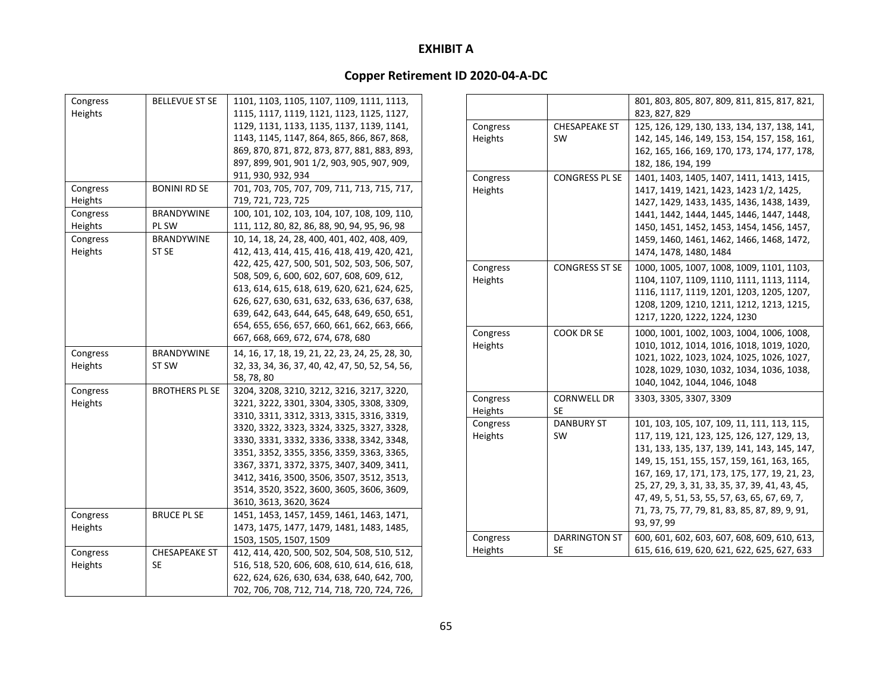| Congress | <b>BELLEVUE ST SE</b> | 1101, 1103, 1105, 1107, 1109, 1111, 1113,       |
|----------|-----------------------|-------------------------------------------------|
| Heights  |                       | 1115, 1117, 1119, 1121, 1123, 1125, 1127,       |
|          |                       | 1129, 1131, 1133, 1135, 1137, 1139, 1141,       |
|          |                       | 1143, 1145, 1147, 864, 865, 866, 867, 868,      |
|          |                       | 869, 870, 871, 872, 873, 877, 881, 883, 893,    |
|          |                       | 897, 899, 901, 901 1/2, 903, 905, 907, 909,     |
|          |                       | 911, 930, 932, 934                              |
| Congress | <b>BONINI RD SE</b>   | 701, 703, 705, 707, 709, 711, 713, 715, 717,    |
| Heights  |                       | 719, 721, 723, 725                              |
| Congress | <b>BRANDYWINE</b>     | 100, 101, 102, 103, 104, 107, 108, 109, 110,    |
| Heights  | PL SW                 | 111, 112, 80, 82, 86, 88, 90, 94, 95, 96, 98    |
| Congress | BRANDYWINE            | 10, 14, 18, 24, 28, 400, 401, 402, 408, 409,    |
| Heights  | ST SE                 | 412, 413, 414, 415, 416, 418, 419, 420, 421,    |
|          |                       | 422, 425, 427, 500, 501, 502, 503, 506, 507,    |
|          |                       | 508, 509, 6, 600, 602, 607, 608, 609, 612,      |
|          |                       | 613, 614, 615, 618, 619, 620, 621, 624, 625,    |
|          |                       | 626, 627, 630, 631, 632, 633, 636, 637, 638,    |
|          |                       | 639, 642, 643, 644, 645, 648, 649, 650, 651,    |
|          |                       | 654, 655, 656, 657, 660, 661, 662, 663, 666,    |
|          |                       | 667, 668, 669, 672, 674, 678, 680               |
| Congress | BRANDYWINE            | 14, 16, 17, 18, 19, 21, 22, 23, 24, 25, 28, 30, |
| Heights  | ST SW                 | 32, 33, 34, 36, 37, 40, 42, 47, 50, 52, 54, 56, |
|          |                       | 58, 78, 80                                      |
|          |                       |                                                 |
| Congress | <b>BROTHERS PL SE</b> | 3204, 3208, 3210, 3212, 3216, 3217, 3220,       |
| Heights  |                       | 3221, 3222, 3301, 3304, 3305, 3308, 3309,       |
|          |                       | 3310, 3311, 3312, 3313, 3315, 3316, 3319,       |
|          |                       | 3320, 3322, 3323, 3324, 3325, 3327, 3328,       |
|          |                       | 3330, 3331, 3332, 3336, 3338, 3342, 3348,       |
|          |                       | 3351, 3352, 3355, 3356, 3359, 3363, 3365,       |
|          |                       | 3367, 3371, 3372, 3375, 3407, 3409, 3411,       |
|          |                       | 3412, 3416, 3500, 3506, 3507, 3512, 3513,       |
|          |                       | 3514, 3520, 3522, 3600, 3605, 3606, 3609,       |
|          |                       | 3610, 3613, 3620, 3624                          |
| Congress | <b>BRUCE PL SE</b>    | 1451, 1453, 1457, 1459, 1461, 1463, 1471,       |
| Heights  |                       | 1473, 1475, 1477, 1479, 1481, 1483, 1485,       |
|          |                       | 1503, 1505, 1507, 1509                          |
| Congress | <b>CHESAPEAKE ST</b>  | 412, 414, 420, 500, 502, 504, 508, 510, 512,    |
| Heights  | SE                    | 516, 518, 520, 606, 608, 610, 614, 616, 618,    |
|          |                       | 622, 624, 626, 630, 634, 638, 640, 642, 700,    |
|          |                       | 702, 706, 708, 712, 714, 718, 720, 724, 726,    |

|          |                       | 801, 803, 805, 807, 809, 811, 815, 817, 821,   |
|----------|-----------------------|------------------------------------------------|
|          |                       | 823, 827, 829                                  |
| Congress | <b>CHESAPEAKE ST</b>  | 125, 126, 129, 130, 133, 134, 137, 138, 141,   |
| Heights  | <b>SW</b>             | 142, 145, 146, 149, 153, 154, 157, 158, 161,   |
|          |                       | 162, 165, 166, 169, 170, 173, 174, 177, 178,   |
|          |                       | 182, 186, 194, 199                             |
| Congress | <b>CONGRESS PL SE</b> | 1401, 1403, 1405, 1407, 1411, 1413, 1415,      |
| Heights  |                       | 1417, 1419, 1421, 1423, 1423 1/2, 1425,        |
|          |                       | 1427, 1429, 1433, 1435, 1436, 1438, 1439,      |
|          |                       | 1441, 1442, 1444, 1445, 1446, 1447, 1448,      |
|          |                       | 1450, 1451, 1452, 1453, 1454, 1456, 1457,      |
|          |                       | 1459, 1460, 1461, 1462, 1466, 1468, 1472,      |
|          |                       | 1474, 1478, 1480, 1484                         |
| Congress | <b>CONGRESS ST SE</b> | 1000, 1005, 1007, 1008, 1009, 1101, 1103,      |
| Heights  |                       | 1104, 1107, 1109, 1110, 1111, 1113, 1114,      |
|          |                       | 1116, 1117, 1119, 1201, 1203, 1205, 1207,      |
|          |                       | 1208, 1209, 1210, 1211, 1212, 1213, 1215,      |
|          |                       | 1217, 1220, 1222, 1224, 1230                   |
| Congress | <b>COOK DR SE</b>     | 1000, 1001, 1002, 1003, 1004, 1006, 1008,      |
| Heights  |                       | 1010, 1012, 1014, 1016, 1018, 1019, 1020,      |
|          |                       | 1021, 1022, 1023, 1024, 1025, 1026, 1027,      |
|          |                       | 1028, 1029, 1030, 1032, 1034, 1036, 1038,      |
|          |                       | 1040, 1042, 1044, 1046, 1048                   |
| Congress | <b>CORNWELL DR</b>    | 3303, 3305, 3307, 3309                         |
| Heights  | <b>SE</b>             |                                                |
| Congress | <b>DANBURY ST</b>     | 101, 103, 105, 107, 109, 11, 111, 113, 115,    |
| Heights  | <b>SW</b>             | 117, 119, 121, 123, 125, 126, 127, 129, 13,    |
|          |                       | 131, 133, 135, 137, 139, 141, 143, 145, 147,   |
|          |                       | 149, 15, 151, 155, 157, 159, 161, 163, 165,    |
|          |                       | 167, 169, 17, 171, 173, 175, 177, 19, 21, 23,  |
|          |                       | 25, 27, 29, 3, 31, 33, 35, 37, 39, 41, 43, 45, |
|          |                       | 47, 49, 5, 51, 53, 55, 57, 63, 65, 67, 69, 7,  |
|          |                       | 71, 73, 75, 77, 79, 81, 83, 85, 87, 89, 9, 91, |
|          |                       | 93, 97, 99                                     |
| Congress | DARRINGTON ST         | 600, 601, 602, 603, 607, 608, 609, 610, 613,   |
| Heights  | SE                    | 615, 616, 619, 620, 621, 622, 625, 627, 633    |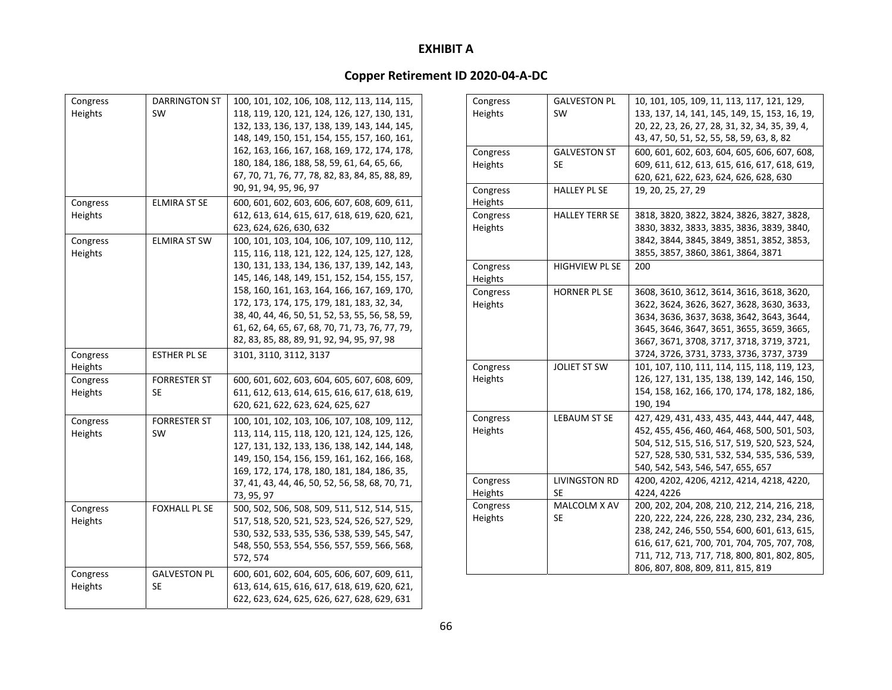| Congress | DARRINGTON ST        | 100, 101, 102, 106, 108, 112, 113, 114, 115,                                                |
|----------|----------------------|---------------------------------------------------------------------------------------------|
| Heights  | <b>SW</b>            | 118, 119, 120, 121, 124, 126, 127, 130, 131,                                                |
|          |                      | 132, 133, 136, 137, 138, 139, 143, 144, 145,                                                |
|          |                      | 148, 149, 150, 151, 154, 155, 157, 160, 161,                                                |
|          |                      |                                                                                             |
|          |                      | 162, 163, 166, 167, 168, 169, 172, 174, 178,                                                |
|          |                      | 180, 184, 186, 188, 58, 59, 61, 64, 65, 66,                                                 |
|          |                      | 67, 70, 71, 76, 77, 78, 82, 83, 84, 85, 88, 89,                                             |
|          |                      | 90, 91, 94, 95, 96, 97                                                                      |
| Congress | <b>ELMIRA ST SE</b>  | 600, 601, 602, 603, 606, 607, 608, 609, 611,                                                |
| Heights  |                      | 612, 613, 614, 615, 617, 618, 619, 620, 621,                                                |
|          |                      | 623, 624, 626, 630, 632                                                                     |
| Congress | <b>ELMIRA ST SW</b>  | 100, 101, 103, 104, 106, 107, 109, 110, 112,                                                |
| Heights  |                      | 115, 116, 118, 121, 122, 124, 125, 127, 128,                                                |
|          |                      | 130, 131, 133, 134, 136, 137, 139, 142, 143,                                                |
|          |                      | 145, 146, 148, 149, 151, 152, 154, 155, 157,                                                |
|          |                      | 158, 160, 161, 163, 164, 166, 167, 169, 170,                                                |
|          |                      | 172, 173, 174, 175, 179, 181, 183, 32, 34,                                                  |
|          |                      | 38, 40, 44, 46, 50, 51, 52, 53, 55, 56, 58, 59,                                             |
|          |                      | 61, 62, 64, 65, 67, 68, 70, 71, 73, 76, 77, 79,                                             |
|          |                      | 82, 83, 85, 88, 89, 91, 92, 94, 95, 97, 98                                                  |
|          |                      |                                                                                             |
|          |                      |                                                                                             |
| Congress | ESTHER PL SE         | 3101, 3110, 3112, 3137                                                                      |
| Heights  |                      |                                                                                             |
| Congress | <b>FORRESTER ST</b>  | 600, 601, 602, 603, 604, 605, 607, 608, 609,                                                |
| Heights  | SE                   | 611, 612, 613, 614, 615, 616, 617, 618, 619,                                                |
|          |                      | 620, 621, 622, 623, 624, 625, 627                                                           |
| Congress | <b>FORRESTER ST</b>  | 100, 101, 102, 103, 106, 107, 108, 109, 112,                                                |
|          | <b>SW</b>            |                                                                                             |
| Heights  |                      | 113, 114, 115, 118, 120, 121, 124, 125, 126,                                                |
|          |                      | 127, 131, 132, 133, 136, 138, 142, 144, 148,                                                |
|          |                      | 149, 150, 154, 156, 159, 161, 162, 166, 168,                                                |
|          |                      | 169, 172, 174, 178, 180, 181, 184, 186, 35,                                                 |
|          |                      | 37, 41, 43, 44, 46, 50, 52, 56, 58, 68, 70, 71,                                             |
|          |                      | 73, 95, 97                                                                                  |
| Congress | <b>FOXHALL PL SE</b> | 500, 502, 506, 508, 509, 511, 512, 514, 515,                                                |
| Heights  |                      | 517, 518, 520, 521, 523, 524, 526, 527, 529,                                                |
|          |                      | 530, 532, 533, 535, 536, 538, 539, 545, 547,                                                |
|          |                      | 548, 550, 553, 554, 556, 557, 559, 566, 568,                                                |
|          |                      | 572, 574                                                                                    |
| Congress | <b>GALVESTON PL</b>  | 600, 601, 602, 604, 605, 606, 607, 609, 611,                                                |
| Heights  | SE                   | 613, 614, 615, 616, 617, 618, 619, 620, 621,<br>622, 623, 624, 625, 626, 627, 628, 629, 631 |

| Congress | <b>GALVESTON PL</b>   | 10, 101, 105, 109, 11, 113, 117, 121, 129,     |  |  |  |
|----------|-----------------------|------------------------------------------------|--|--|--|
| Heights  | <b>SW</b>             | 133, 137, 14, 141, 145, 149, 15, 153, 16, 19,  |  |  |  |
|          |                       | 20, 22, 23, 26, 27, 28, 31, 32, 34, 35, 39, 4, |  |  |  |
|          |                       | 43, 47, 50, 51, 52, 55, 58, 59, 63, 8, 82      |  |  |  |
| Congress | <b>GALVESTON ST</b>   | 600, 601, 602, 603, 604, 605, 606, 607, 608,   |  |  |  |
| Heights  | SE                    | 609, 611, 612, 613, 615, 616, 617, 618, 619,   |  |  |  |
|          |                       | 620, 621, 622, 623, 624, 626, 628, 630         |  |  |  |
| Congress | <b>HALLEY PL SE</b>   | 19, 20, 25, 27, 29                             |  |  |  |
| Heights  |                       |                                                |  |  |  |
| Congress | <b>HALLEY TERR SE</b> | 3818, 3820, 3822, 3824, 3826, 3827, 3828,      |  |  |  |
| Heights  |                       | 3830, 3832, 3833, 3835, 3836, 3839, 3840,      |  |  |  |
|          |                       | 3842, 3844, 3845, 3849, 3851, 3852, 3853,      |  |  |  |
|          |                       | 3855, 3857, 3860, 3861, 3864, 3871             |  |  |  |
| Congress | <b>HIGHVIEW PL SE</b> | 200                                            |  |  |  |
| Heights  |                       |                                                |  |  |  |
| Congress | <b>HORNER PL SE</b>   | 3608, 3610, 3612, 3614, 3616, 3618, 3620,      |  |  |  |
| Heights  |                       | 3622, 3624, 3626, 3627, 3628, 3630, 3633,      |  |  |  |
|          |                       | 3634, 3636, 3637, 3638, 3642, 3643, 3644,      |  |  |  |
|          |                       | 3645, 3646, 3647, 3651, 3655, 3659, 3665,      |  |  |  |
|          |                       | 3667, 3671, 3708, 3717, 3718, 3719, 3721,      |  |  |  |
|          |                       | 3724, 3726, 3731, 3733, 3736, 3737, 3739       |  |  |  |
| Congress | <b>JOLIET ST SW</b>   | 101, 107, 110, 111, 114, 115, 118, 119, 123,   |  |  |  |
| Heights  |                       | 126, 127, 131, 135, 138, 139, 142, 146, 150,   |  |  |  |
|          |                       | 154, 158, 162, 166, 170, 174, 178, 182, 186,   |  |  |  |
|          |                       | 190, 194                                       |  |  |  |
| Congress | LEBAUM ST SE          | 427, 429, 431, 433, 435, 443, 444, 447, 448,   |  |  |  |
| Heights  |                       | 452, 455, 456, 460, 464, 468, 500, 501, 503,   |  |  |  |
|          |                       | 504, 512, 515, 516, 517, 519, 520, 523, 524,   |  |  |  |
|          |                       | 527, 528, 530, 531, 532, 534, 535, 536, 539,   |  |  |  |
|          |                       | 540, 542, 543, 546, 547, 655, 657              |  |  |  |
| Congress | <b>LIVINGSTON RD</b>  | 4200, 4202, 4206, 4212, 4214, 4218, 4220,      |  |  |  |
| Heights  | <b>SE</b>             | 4224, 4226                                     |  |  |  |
| Congress | MALCOLM X AV          | 200, 202, 204, 208, 210, 212, 214, 216, 218,   |  |  |  |
| Heights  | SE                    | 220, 222, 224, 226, 228, 230, 232, 234, 236,   |  |  |  |
|          |                       | 238, 242, 246, 550, 554, 600, 601, 613, 615,   |  |  |  |
|          |                       | 616, 617, 621, 700, 701, 704, 705, 707, 708,   |  |  |  |
|          |                       | 711, 712, 713, 717, 718, 800, 801, 802, 805,   |  |  |  |
|          |                       | 806, 807, 808, 809, 811, 815, 819              |  |  |  |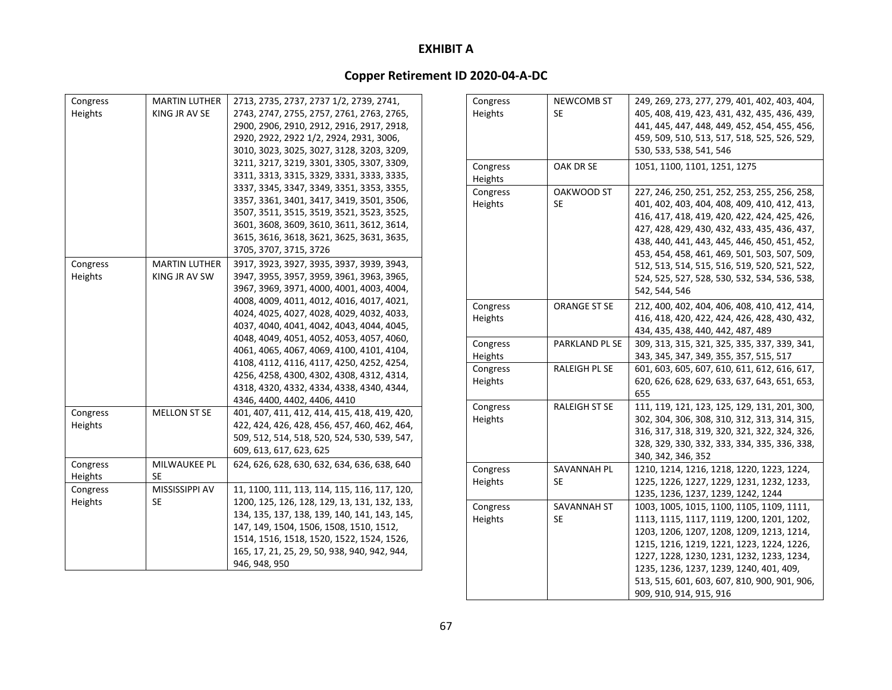### **Copper Retirement ID 2020‐04‐A‐DC**

| Congress | <b>MARTIN LUTHER</b> | 2713, 2735, 2737, 2737 1/2, 2739, 2741,                                                                                             | Congress | <b>NEWCOMB ST</b>    | 249, 269, 273, 277, 279, 401, 402, 403, 404, |
|----------|----------------------|-------------------------------------------------------------------------------------------------------------------------------------|----------|----------------------|----------------------------------------------|
| Heights  | KING JR AV SE        | 2743, 2747, 2755, 2757, 2761, 2763, 2765,                                                                                           | Heights  | <b>SE</b>            | 405, 408, 419, 423, 431, 432, 435, 436, 439, |
|          |                      | 2900, 2906, 2910, 2912, 2916, 2917, 2918,                                                                                           |          |                      | 441, 445, 447, 448, 449, 452, 454, 455, 456, |
|          |                      | 2920, 2922, 2922 1/2, 2924, 2931, 3006,                                                                                             |          |                      | 459, 509, 510, 513, 517, 518, 525, 526, 529, |
|          |                      | 3010, 3023, 3025, 3027, 3128, 3203, 3209,                                                                                           |          |                      | 530, 533, 538, 541, 546                      |
|          |                      | 3211, 3217, 3219, 3301, 3305, 3307, 3309,                                                                                           | Congress | OAK DR SE            | 1051, 1100, 1101, 1251, 1275                 |
|          |                      | 3311, 3313, 3315, 3329, 3331, 3333, 3335,                                                                                           | Heights  |                      |                                              |
|          |                      | 3337, 3345, 3347, 3349, 3351, 3353, 3355,                                                                                           | Congress | OAKWOOD ST           | 227, 246, 250, 251, 252, 253, 255, 256, 258, |
|          |                      | 3357, 3361, 3401, 3417, 3419, 3501, 3506,                                                                                           | Heights  | <b>SE</b>            | 401, 402, 403, 404, 408, 409, 410, 412, 413, |
|          |                      | 3507, 3511, 3515, 3519, 3521, 3523, 3525,                                                                                           |          |                      | 416, 417, 418, 419, 420, 422, 424, 425, 426, |
|          |                      | 3601, 3608, 3609, 3610, 3611, 3612, 3614,                                                                                           |          |                      | 427, 428, 429, 430, 432, 433, 435, 436, 437, |
|          |                      | 3615, 3616, 3618, 3621, 3625, 3631, 3635,                                                                                           |          |                      | 438, 440, 441, 443, 445, 446, 450, 451, 452, |
|          |                      | 3705, 3707, 3715, 3726                                                                                                              |          |                      | 453, 454, 458, 461, 469, 501, 503, 507, 509, |
| Congress | <b>MARTIN LUTHER</b> | 3917, 3923, 3927, 3935, 3937, 3939, 3943,                                                                                           |          |                      | 512, 513, 514, 515, 516, 519, 520, 521, 522, |
| Heights  | KING JR AV SW        | 3947, 3955, 3957, 3959, 3961, 3963, 3965,                                                                                           |          |                      | 524, 525, 527, 528, 530, 532, 534, 536, 538, |
|          |                      | 3967, 3969, 3971, 4000, 4001, 4003, 4004,                                                                                           |          |                      | 542, 544, 546                                |
|          |                      | 4008, 4009, 4011, 4012, 4016, 4017, 4021,                                                                                           | Congress | ORANGE ST SE         | 212, 400, 402, 404, 406, 408, 410, 412, 414, |
|          |                      | 4024, 4025, 4027, 4028, 4029, 4032, 4033,                                                                                           | Heights  |                      | 416, 418, 420, 422, 424, 426, 428, 430, 432, |
|          |                      | 4037, 4040, 4041, 4042, 4043, 4044, 4045,                                                                                           |          |                      | 434, 435, 438, 440, 442, 487, 489            |
|          |                      | 4048, 4049, 4051, 4052, 4053, 4057, 4060,<br>4061, 4065, 4067, 4069, 4100, 4101, 4104,<br>4108, 4112, 4116, 4117, 4250, 4252, 4254, | Congress | PARKLAND PL SE       | 309, 313, 315, 321, 325, 335, 337, 339, 341, |
|          |                      |                                                                                                                                     | Heights  |                      | 343, 345, 347, 349, 355, 357, 515, 517       |
|          |                      |                                                                                                                                     | Congress | RALEIGH PL SE        | 601, 603, 605, 607, 610, 611, 612, 616, 617, |
|          |                      | 4256, 4258, 4300, 4302, 4308, 4312, 4314,                                                                                           | Heights  |                      | 620, 626, 628, 629, 633, 637, 643, 651, 653, |
|          |                      | 4318, 4320, 4332, 4334, 4338, 4340, 4344,                                                                                           |          |                      | 655                                          |
|          |                      | 4346, 4400, 4402, 4406, 4410                                                                                                        | Congress | <b>RALEIGH ST SE</b> | 111, 119, 121, 123, 125, 129, 131, 201, 300, |
| Congress | <b>MELLON ST SE</b>  | 401, 407, 411, 412, 414, 415, 418, 419, 420,                                                                                        | Heights  |                      | 302, 304, 306, 308, 310, 312, 313, 314, 315, |
| Heights  |                      | 422, 424, 426, 428, 456, 457, 460, 462, 464,                                                                                        |          |                      | 316, 317, 318, 319, 320, 321, 322, 324, 326, |
|          |                      | 509, 512, 514, 518, 520, 524, 530, 539, 547,                                                                                        |          |                      | 328, 329, 330, 332, 333, 334, 335, 336, 338, |
|          |                      | 609, 613, 617, 623, 625                                                                                                             |          |                      | 340, 342, 346, 352                           |
| Congress | MILWAUKEE PL         | 624, 626, 628, 630, 632, 634, 636, 638, 640                                                                                         | Congress | SAVANNAH PL          | 1210, 1214, 1216, 1218, 1220, 1223, 1224,    |
| Heights  | <b>SE</b>            |                                                                                                                                     | Heights  | <b>SE</b>            | 1225, 1226, 1227, 1229, 1231, 1232, 1233,    |
| Congress | MISSISSIPPI AV       | 11, 1100, 111, 113, 114, 115, 116, 117, 120,                                                                                        |          |                      | 1235, 1236, 1237, 1239, 1242, 1244           |
| Heights  | <b>SE</b>            | 1200, 125, 126, 128, 129, 13, 131, 132, 133,                                                                                        | Congress | SAVANNAH ST          | 1003, 1005, 1015, 1100, 1105, 1109, 1111,    |
|          |                      | 134, 135, 137, 138, 139, 140, 141, 143, 145,                                                                                        | Heights  | <b>SE</b>            | 1113, 1115, 1117, 1119, 1200, 1201, 1202,    |
|          |                      | 147, 149, 1504, 1506, 1508, 1510, 1512,                                                                                             |          |                      | 1203, 1206, 1207, 1208, 1209, 1213, 1214,    |
|          |                      | 1514, 1516, 1518, 1520, 1522, 1524, 1526,                                                                                           |          |                      | 1215, 1216, 1219, 1221, 1223, 1224, 1226,    |
|          |                      | 165, 17, 21, 25, 29, 50, 938, 940, 942, 944,                                                                                        |          |                      | 1227, 1228, 1230, 1231, 1232, 1233, 1234,    |
|          |                      | 946, 948, 950                                                                                                                       |          |                      | 1235, 1236, 1237, 1239, 1240, 401, 409,      |
|          |                      |                                                                                                                                     |          |                      |                                              |

513, 515, 601, 603, 607, 810, 900, 901, 906,

909, 910, 914, 915, 916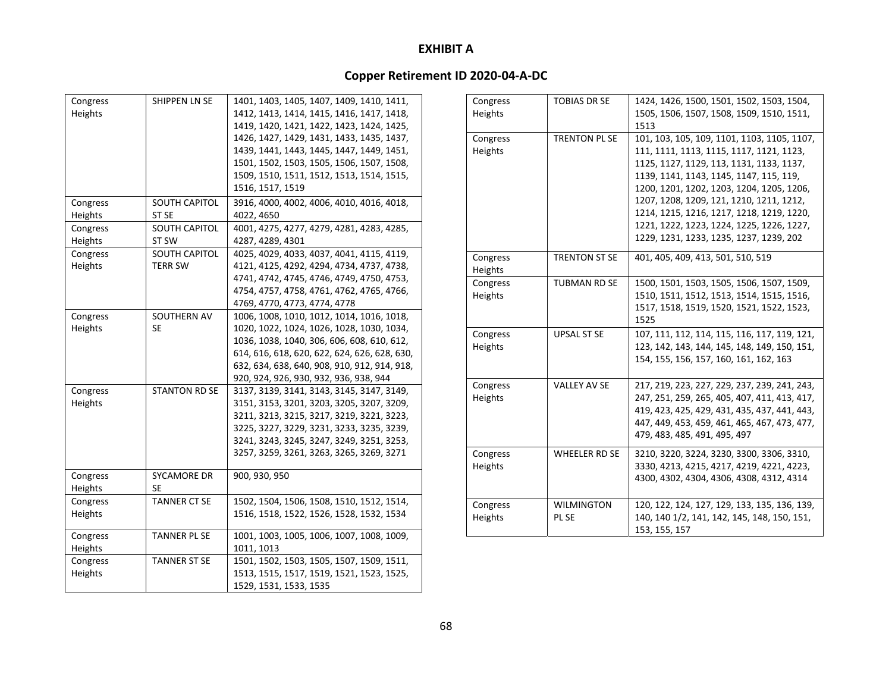| Congress            | SHIPPEN LN SE            | 1401, 1403, 1405, 1407, 1409, 1410, 1411,    |
|---------------------|--------------------------|----------------------------------------------|
| Heights             |                          | 1412, 1413, 1414, 1415, 1416, 1417, 1418,    |
|                     |                          | 1419, 1420, 1421, 1422, 1423, 1424, 1425,    |
|                     |                          | 1426, 1427, 1429, 1431, 1433, 1435, 1437,    |
|                     |                          | 1439, 1441, 1443, 1445, 1447, 1449, 1451,    |
|                     |                          | 1501, 1502, 1503, 1505, 1506, 1507, 1508,    |
|                     |                          | 1509, 1510, 1511, 1512, 1513, 1514, 1515,    |
|                     |                          | 1516, 1517, 1519                             |
| Congress            | <b>SOUTH CAPITOL</b>     | 3916, 4000, 4002, 4006, 4010, 4016, 4018,    |
| Heights             | ST <sub>SE</sub>         | 4022, 4650                                   |
| Congress            | <b>SOUTH CAPITOL</b>     | 4001, 4275, 4277, 4279, 4281, 4283, 4285,    |
| Heights             | ST SW                    | 4287, 4289, 4301                             |
| Congress            | <b>SOUTH CAPITOL</b>     | 4025, 4029, 4033, 4037, 4041, 4115, 4119,    |
| Heights             | <b>TERR SW</b>           | 4121, 4125, 4292, 4294, 4734, 4737, 4738,    |
|                     |                          | 4741, 4742, 4745, 4746, 4749, 4750, 4753,    |
|                     |                          | 4754, 4757, 4758, 4761, 4762, 4765, 4766,    |
|                     |                          | 4769, 4770, 4773, 4774, 4778                 |
| Congress            | SOUTHERN AV              | 1006, 1008, 1010, 1012, 1014, 1016, 1018,    |
| Heights             | <b>SE</b>                | 1020, 1022, 1024, 1026, 1028, 1030, 1034,    |
|                     |                          | 1036, 1038, 1040, 306, 606, 608, 610, 612,   |
|                     |                          | 614, 616, 618, 620, 622, 624, 626, 628, 630, |
|                     |                          | 632, 634, 638, 640, 908, 910, 912, 914, 918, |
|                     |                          | 920, 924, 926, 930, 932, 936, 938, 944       |
| Congress            | <b>STANTON RD SE</b>     | 3137, 3139, 3141, 3143, 3145, 3147, 3149,    |
| Heights             |                          | 3151, 3153, 3201, 3203, 3205, 3207, 3209,    |
|                     |                          | 3211, 3213, 3215, 3217, 3219, 3221, 3223,    |
|                     |                          | 3225, 3227, 3229, 3231, 3233, 3235, 3239,    |
|                     |                          | 3241, 3243, 3245, 3247, 3249, 3251, 3253,    |
|                     |                          | 3257, 3259, 3261, 3263, 3265, 3269, 3271     |
|                     |                          |                                              |
| Congress<br>Heights | SYCAMORE DR<br><b>SE</b> | 900, 930, 950                                |
|                     | <b>TANNER CT SE</b>      |                                              |
| Congress            |                          | 1502, 1504, 1506, 1508, 1510, 1512, 1514,    |
| Heights             |                          | 1516, 1518, 1522, 1526, 1528, 1532, 1534     |
| Congress            | <b>TANNER PL SE</b>      | 1001, 1003, 1005, 1006, 1007, 1008, 1009,    |
| Heights             |                          | 1011, 1013                                   |
| Congress            | <b>TANNER ST SE</b>      | 1501, 1502, 1503, 1505, 1507, 1509, 1511,    |
| Heights             |                          | 1513, 1515, 1517, 1519, 1521, 1523, 1525,    |
|                     |                          | 1529, 1531, 1533, 1535                       |

| Congress<br>Heights | <b>TOBIAS DR SE</b>  | 1424, 1426, 1500, 1501, 1502, 1503, 1504,<br>1505, 1506, 1507, 1508, 1509, 1510, 1511, |  |  |  |
|---------------------|----------------------|----------------------------------------------------------------------------------------|--|--|--|
|                     |                      | 1513                                                                                   |  |  |  |
| Congress            | <b>TRENTON PL SE</b> | 101, 103, 105, 109, 1101, 1103, 1105, 1107,                                            |  |  |  |
| Heights             |                      | 111, 1111, 1113, 1115, 1117, 1121, 1123,                                               |  |  |  |
|                     |                      | 1125, 1127, 1129, 113, 1131, 1133, 1137,                                               |  |  |  |
|                     |                      | 1139, 1141, 1143, 1145, 1147, 115, 119,                                                |  |  |  |
|                     |                      | 1200, 1201, 1202, 1203, 1204, 1205, 1206,                                              |  |  |  |
|                     |                      | 1207, 1208, 1209, 121, 1210, 1211, 1212,                                               |  |  |  |
|                     |                      | 1214, 1215, 1216, 1217, 1218, 1219, 1220,                                              |  |  |  |
|                     |                      | 1221, 1222, 1223, 1224, 1225, 1226, 1227,                                              |  |  |  |
|                     |                      | 1229, 1231, 1233, 1235, 1237, 1239, 202                                                |  |  |  |
| Congress            | <b>TRENTON ST SE</b> | 401, 405, 409, 413, 501, 510, 519                                                      |  |  |  |
| Heights             |                      |                                                                                        |  |  |  |
| Congress            | <b>TUBMAN RD SE</b>  | 1500, 1501, 1503, 1505, 1506, 1507, 1509,                                              |  |  |  |
| Heights             |                      | 1510, 1511, 1512, 1513, 1514, 1515, 1516,                                              |  |  |  |
|                     |                      | 1517, 1518, 1519, 1520, 1521, 1522, 1523,                                              |  |  |  |
|                     |                      | 1525                                                                                   |  |  |  |
| Congress            | <b>UPSAL ST SE</b>   | 107, 111, 112, 114, 115, 116, 117, 119, 121,                                           |  |  |  |
| Heights             |                      | 123, 142, 143, 144, 145, 148, 149, 150, 151,                                           |  |  |  |
|                     |                      | 154, 155, 156, 157, 160, 161, 162, 163                                                 |  |  |  |
|                     |                      |                                                                                        |  |  |  |
| Congress            | <b>VALLEY AV SE</b>  | 217, 219, 223, 227, 229, 237, 239, 241, 243,                                           |  |  |  |
| Heights             |                      | 247, 251, 259, 265, 405, 407, 411, 413, 417,                                           |  |  |  |
|                     |                      | 419, 423, 425, 429, 431, 435, 437, 441, 443,                                           |  |  |  |
|                     |                      | 447, 449, 453, 459, 461, 465, 467, 473, 477,                                           |  |  |  |
|                     |                      | 479, 483, 485, 491, 495, 497                                                           |  |  |  |
|                     |                      |                                                                                        |  |  |  |
| Congress            | WHEELER RD SE        | 3210, 3220, 3224, 3230, 3300, 3306, 3310,                                              |  |  |  |
| Heights             |                      | 3330, 4213, 4215, 4217, 4219, 4221, 4223,                                              |  |  |  |
|                     |                      | 4300, 4302, 4304, 4306, 4308, 4312, 4314                                               |  |  |  |
| Congress            | <b>WILMINGTON</b>    | 120, 122, 124, 127, 129, 133, 135, 136, 139,                                           |  |  |  |
| Heights             | PL SE                | 140, 140 1/2, 141, 142, 145, 148, 150, 151,                                            |  |  |  |
|                     |                      | 153, 155, 157                                                                          |  |  |  |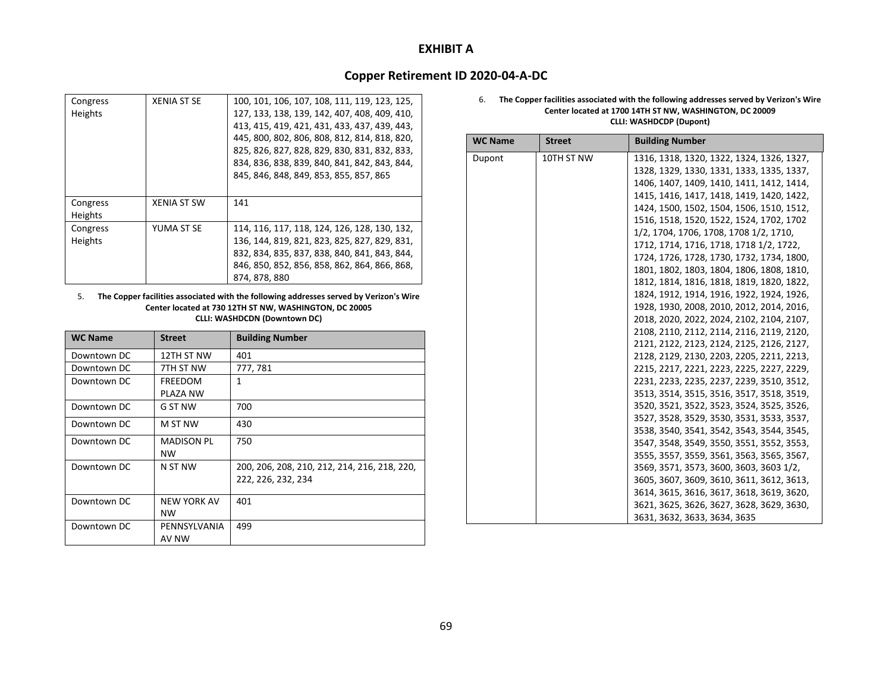### **Copper Retirement ID 2020‐04‐A‐DC**

| Congress<br>Heights | <b>XENIA ST SE</b> | 100, 101, 106, 107, 108, 111, 119, 123, 125,<br>127, 133, 138, 139, 142, 407, 408, 409, 410,<br>413, 415, 419, 421, 431, 433, 437, 439, 443,<br>445, 800, 802, 806, 808, 812, 814, 818, 820,<br>825, 826, 827, 828, 829, 830, 831, 832, 833,<br>834, 836, 838, 839, 840, 841, 842, 843, 844,<br>845, 846, 848, 849, 853, 855, 857, 865 |
|---------------------|--------------------|----------------------------------------------------------------------------------------------------------------------------------------------------------------------------------------------------------------------------------------------------------------------------------------------------------------------------------------|
|                     |                    |                                                                                                                                                                                                                                                                                                                                        |
| Congress            | XENIA ST SW        | 141                                                                                                                                                                                                                                                                                                                                    |
| <b>Heights</b>      |                    |                                                                                                                                                                                                                                                                                                                                        |
| Congress            | YUMA ST SE         | 114, 116, 117, 118, 124, 126, 128, 130, 132,                                                                                                                                                                                                                                                                                           |
| <b>Heights</b>      |                    | 136, 144, 819, 821, 823, 825, 827, 829, 831,                                                                                                                                                                                                                                                                                           |
|                     |                    | 832, 834, 835, 837, 838, 840, 841, 843, 844,                                                                                                                                                                                                                                                                                           |
|                     |                    | 846, 850, 852, 856, 858, 862, 864, 866, 868,                                                                                                                                                                                                                                                                                           |
|                     |                    | 874, 878, 880                                                                                                                                                                                                                                                                                                                          |

#### 5. **The Copper facilities associated with the following addresses served by Verizon's Wire Center located at 730 12TH ST NW, WASHINGTON, DC 20005 CLLI: WASHDCDN (Downtown DC)**

| <b>WC Name</b> | <b>Street</b>      | <b>Building Number</b>                       |
|----------------|--------------------|----------------------------------------------|
| Downtown DC    | 12TH ST NW         | 401                                          |
| Downtown DC    | 7TH ST NW          | 777, 781                                     |
| Downtown DC    | FREEDOM            | 1                                            |
|                | PLAZA NW           |                                              |
| Downtown DC    | G ST NW            | 700                                          |
| Downtown DC    | M ST NW            | 430                                          |
| Downtown DC    | <b>MADISON PL</b>  | 750                                          |
|                | <b>NW</b>          |                                              |
| Downtown DC    | N ST NW            | 200, 206, 208, 210, 212, 214, 216, 218, 220, |
|                |                    | 222, 226, 232, 234                           |
| Downtown DC    | <b>NEW YORK AV</b> | 401                                          |
|                | <b>NW</b>          |                                              |
| Downtown DC    | PENNSYLVANIA       | 499                                          |
|                | AV NW              |                                              |

#### 6. **The Copper facilities associated with the following addresses served by Verizon's Wire Center located at 1700 14TH ST NW, WASHINGTON, DC 20009 CLLI: WASHDCDP (Dupont)**

| <b>WC Name</b> | <b>Street</b> | <b>Building Number</b>                    |
|----------------|---------------|-------------------------------------------|
| Dupont         | 10TH ST NW    | 1316, 1318, 1320, 1322, 1324, 1326, 1327, |
|                |               | 1328, 1329, 1330, 1331, 1333, 1335, 1337, |
|                |               | 1406, 1407, 1409, 1410, 1411, 1412, 1414, |
|                |               | 1415, 1416, 1417, 1418, 1419, 1420, 1422, |
|                |               | 1424, 1500, 1502, 1504, 1506, 1510, 1512, |
|                |               | 1516, 1518, 1520, 1522, 1524, 1702, 1702  |
|                |               | 1/2, 1704, 1706, 1708, 1708 1/2, 1710,    |
|                |               | 1712, 1714, 1716, 1718, 1718 1/2, 1722,   |
|                |               | 1724, 1726, 1728, 1730, 1732, 1734, 1800, |
|                |               | 1801, 1802, 1803, 1804, 1806, 1808, 1810, |
|                |               | 1812, 1814, 1816, 1818, 1819, 1820, 1822, |
|                |               | 1824, 1912, 1914, 1916, 1922, 1924, 1926, |
|                |               | 1928, 1930, 2008, 2010, 2012, 2014, 2016, |
|                |               | 2018, 2020, 2022, 2024, 2102, 2104, 2107, |
|                |               | 2108, 2110, 2112, 2114, 2116, 2119, 2120, |
|                |               | 2121, 2122, 2123, 2124, 2125, 2126, 2127, |
|                |               | 2128, 2129, 2130, 2203, 2205, 2211, 2213, |
|                |               | 2215, 2217, 2221, 2223, 2225, 2227, 2229, |
|                |               | 2231, 2233, 2235, 2237, 2239, 3510, 3512, |
|                |               | 3513, 3514, 3515, 3516, 3517, 3518, 3519, |
|                |               | 3520, 3521, 3522, 3523, 3524, 3525, 3526, |
|                |               | 3527, 3528, 3529, 3530, 3531, 3533, 3537, |
|                |               | 3538, 3540, 3541, 3542, 3543, 3544, 3545, |
|                |               | 3547, 3548, 3549, 3550, 3551, 3552, 3553, |
|                |               | 3555, 3557, 3559, 3561, 3563, 3565, 3567, |
|                |               | 3569, 3571, 3573, 3600, 3603, 3603 1/2,   |
|                |               | 3605, 3607, 3609, 3610, 3611, 3612, 3613, |
|                |               | 3614, 3615, 3616, 3617, 3618, 3619, 3620, |
|                |               | 3621, 3625, 3626, 3627, 3628, 3629, 3630, |
|                |               | 3631, 3632, 3633, 3634, 3635              |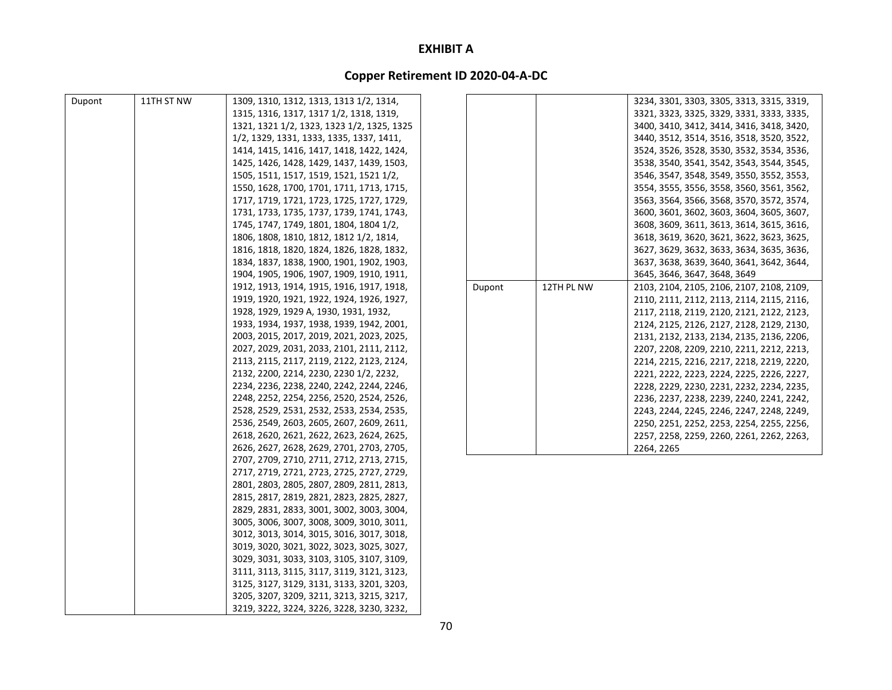| Dupont | 11TH ST NW | 1309, 1310, 1312, 1313, 1313 1/2, 1314,    |        |            | 3234, 3301, 3303, 3305, 3313, 3315, 3319, |
|--------|------------|--------------------------------------------|--------|------------|-------------------------------------------|
|        |            | 1315, 1316, 1317, 1317 1/2, 1318, 1319,    |        |            | 3321, 3323, 3325, 3329, 3331, 3333, 3335, |
|        |            | 1321, 1321 1/2, 1323, 1323 1/2, 1325, 1325 |        |            | 3400, 3410, 3412, 3414, 3416, 3418, 3420, |
|        |            | 1/2, 1329, 1331, 1333, 1335, 1337, 1411,   |        |            | 3440, 3512, 3514, 3516, 3518, 3520, 3522, |
|        |            | 1414, 1415, 1416, 1417, 1418, 1422, 1424,  |        |            | 3524, 3526, 3528, 3530, 3532, 3534, 3536, |
|        |            | 1425, 1426, 1428, 1429, 1437, 1439, 1503,  |        |            | 3538, 3540, 3541, 3542, 3543, 3544, 3545, |
|        |            | 1505, 1511, 1517, 1519, 1521, 1521 1/2,    |        |            | 3546, 3547, 3548, 3549, 3550, 3552, 3553, |
|        |            | 1550, 1628, 1700, 1701, 1711, 1713, 1715,  |        |            | 3554, 3555, 3556, 3558, 3560, 3561, 3562, |
|        |            | 1717, 1719, 1721, 1723, 1725, 1727, 1729,  |        |            | 3563, 3564, 3566, 3568, 3570, 3572, 3574, |
|        |            | 1731, 1733, 1735, 1737, 1739, 1741, 1743,  |        |            | 3600, 3601, 3602, 3603, 3604, 3605, 3607, |
|        |            | 1745, 1747, 1749, 1801, 1804, 1804 1/2,    |        |            | 3608, 3609, 3611, 3613, 3614, 3615, 3616, |
|        |            | 1806, 1808, 1810, 1812, 1812 1/2, 1814,    |        |            | 3618, 3619, 3620, 3621, 3622, 3623, 3625, |
|        |            | 1816, 1818, 1820, 1824, 1826, 1828, 1832,  |        |            | 3627, 3629, 3632, 3633, 3634, 3635, 3636, |
|        |            | 1834, 1837, 1838, 1900, 1901, 1902, 1903,  |        |            | 3637, 3638, 3639, 3640, 3641, 3642, 3644, |
|        |            | 1904, 1905, 1906, 1907, 1909, 1910, 1911,  |        |            | 3645, 3646, 3647, 3648, 3649              |
|        |            | 1912, 1913, 1914, 1915, 1916, 1917, 1918,  | Dupont | 12TH PL NW | 2103, 2104, 2105, 2106, 2107, 2108, 2109, |
|        |            | 1919, 1920, 1921, 1922, 1924, 1926, 1927,  |        |            | 2110, 2111, 2112, 2113, 2114, 2115, 2116, |
|        |            | 1928, 1929, 1929 A, 1930, 1931, 1932,      |        |            | 2117, 2118, 2119, 2120, 2121, 2122, 2123, |
|        |            | 1933, 1934, 1937, 1938, 1939, 1942, 2001,  |        |            | 2124, 2125, 2126, 2127, 2128, 2129, 2130, |
|        |            | 2003, 2015, 2017, 2019, 2021, 2023, 2025,  |        |            | 2131, 2132, 2133, 2134, 2135, 2136, 2206, |
|        |            | 2027, 2029, 2031, 2033, 2101, 2111, 2112,  |        |            | 2207, 2208, 2209, 2210, 2211, 2212, 2213, |
|        |            | 2113, 2115, 2117, 2119, 2122, 2123, 2124,  |        |            | 2214, 2215, 2216, 2217, 2218, 2219, 2220, |
|        |            | 2132, 2200, 2214, 2230, 2230 1/2, 2232,    |        |            | 2221, 2222, 2223, 2224, 2225, 2226, 2227, |
|        |            | 2234, 2236, 2238, 2240, 2242, 2244, 2246,  |        |            | 2228, 2229, 2230, 2231, 2232, 2234, 2235, |
|        |            | 2248, 2252, 2254, 2256, 2520, 2524, 2526,  |        |            | 2236, 2237, 2238, 2239, 2240, 2241, 2242, |
|        |            | 2528, 2529, 2531, 2532, 2533, 2534, 2535,  |        |            | 2243, 2244, 2245, 2246, 2247, 2248, 2249, |
|        |            | 2536, 2549, 2603, 2605, 2607, 2609, 2611,  |        |            | 2250, 2251, 2252, 2253, 2254, 2255, 2256, |
|        |            | 2618, 2620, 2621, 2622, 2623, 2624, 2625,  |        |            | 2257, 2258, 2259, 2260, 2261, 2262, 2263, |
|        |            | 2626, 2627, 2628, 2629, 2701, 2703, 2705,  |        |            | 2264, 2265                                |
|        |            | 2707, 2709, 2710, 2711, 2712, 2713, 2715,  |        |            |                                           |
|        |            | 2717, 2719, 2721, 2723, 2725, 2727, 2729,  |        |            |                                           |
|        |            | 2801, 2803, 2805, 2807, 2809, 2811, 2813,  |        |            |                                           |
|        |            | 2815, 2817, 2819, 2821, 2823, 2825, 2827,  |        |            |                                           |
|        |            | 2829, 2831, 2833, 3001, 3002, 3003, 3004,  |        |            |                                           |
|        |            | 3005, 3006, 3007, 3008, 3009, 3010, 3011,  |        |            |                                           |
|        |            | 3012, 3013, 3014, 3015, 3016, 3017, 3018,  |        |            |                                           |
|        |            | 3019, 3020, 3021, 3022, 3023, 3025, 3027,  |        |            |                                           |
|        |            | 3029, 3031, 3033, 3103, 3105, 3107, 3109,  |        |            |                                           |
|        |            | 3111, 3113, 3115, 3117, 3119, 3121, 3123,  |        |            |                                           |
|        |            | 3125, 3127, 3129, 3131, 3133, 3201, 3203,  |        |            |                                           |
|        |            | 3205, 3207, 3209, 3211, 3213, 3215, 3217,  |        |            |                                           |
|        |            | 3219, 3222, 3224, 3226, 3228, 3230, 3232,  |        |            |                                           |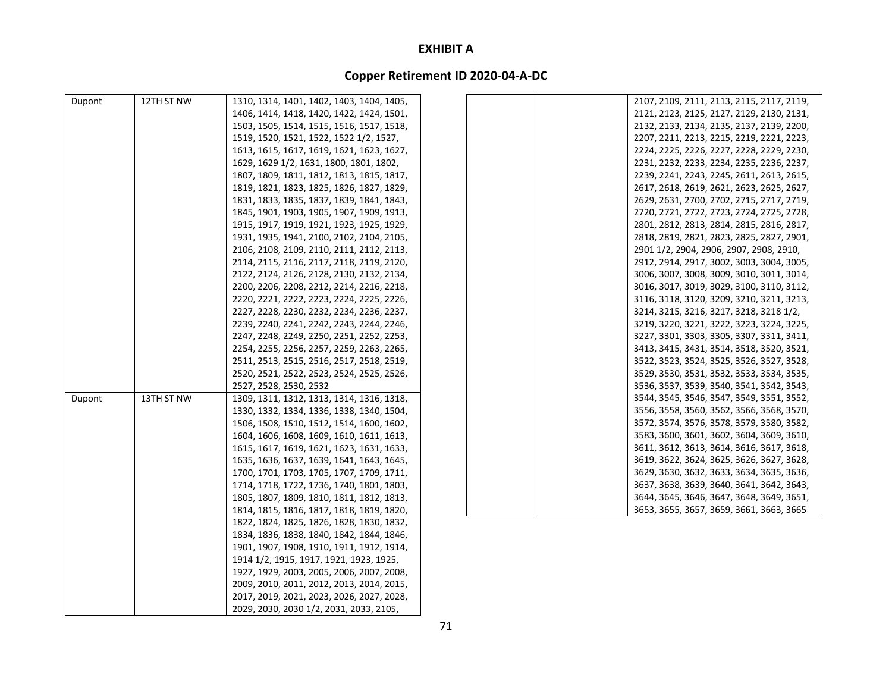| Dupont | 12TH ST NW | 1310, 1314, 1401, 1402, 1403, 1404, 1405, | 2107, 2109, 2111, 2113, 2115, 2117, 2119, |
|--------|------------|-------------------------------------------|-------------------------------------------|
|        |            | 1406, 1414, 1418, 1420, 1422, 1424, 1501, | 2121, 2123, 2125, 2127, 2129, 2130, 2131, |
|        |            | 1503, 1505, 1514, 1515, 1516, 1517, 1518, | 2132, 2133, 2134, 2135, 2137, 2139, 2200, |
|        |            | 1519, 1520, 1521, 1522, 1522 1/2, 1527,   | 2207, 2211, 2213, 2215, 2219, 2221, 2223, |
|        |            | 1613, 1615, 1617, 1619, 1621, 1623, 1627, | 2224, 2225, 2226, 2227, 2228, 2229, 2230, |
|        |            | 1629, 1629 1/2, 1631, 1800, 1801, 1802,   | 2231, 2232, 2233, 2234, 2235, 2236, 2237, |
|        |            | 1807, 1809, 1811, 1812, 1813, 1815, 1817, | 2239, 2241, 2243, 2245, 2611, 2613, 2615, |
|        |            | 1819, 1821, 1823, 1825, 1826, 1827, 1829, | 2617, 2618, 2619, 2621, 2623, 2625, 2627, |
|        |            | 1831, 1833, 1835, 1837, 1839, 1841, 1843, | 2629, 2631, 2700, 2702, 2715, 2717, 2719, |
|        |            | 1845, 1901, 1903, 1905, 1907, 1909, 1913, | 2720, 2721, 2722, 2723, 2724, 2725, 2728, |
|        |            | 1915, 1917, 1919, 1921, 1923, 1925, 1929, | 2801, 2812, 2813, 2814, 2815, 2816, 2817, |
|        |            | 1931, 1935, 1941, 2100, 2102, 2104, 2105, | 2818, 2819, 2821, 2823, 2825, 2827, 2901, |
|        |            | 2106, 2108, 2109, 2110, 2111, 2112, 2113, | 2901 1/2, 2904, 2906, 2907, 2908, 2910,   |
|        |            | 2114, 2115, 2116, 2117, 2118, 2119, 2120, | 2912, 2914, 2917, 3002, 3003, 3004, 3005, |
|        |            | 2122, 2124, 2126, 2128, 2130, 2132, 2134, | 3006, 3007, 3008, 3009, 3010, 3011, 3014, |
|        |            | 2200, 2206, 2208, 2212, 2214, 2216, 2218, | 3016, 3017, 3019, 3029, 3100, 3110, 3112, |
|        |            | 2220, 2221, 2222, 2223, 2224, 2225, 2226, | 3116, 3118, 3120, 3209, 3210, 3211, 3213, |
|        |            | 2227, 2228, 2230, 2232, 2234, 2236, 2237, | 3214, 3215, 3216, 3217, 3218, 3218 1/2,   |
|        |            | 2239, 2240, 2241, 2242, 2243, 2244, 2246, | 3219, 3220, 3221, 3222, 3223, 3224, 3225, |
|        |            | 2247, 2248, 2249, 2250, 2251, 2252, 2253, | 3227, 3301, 3303, 3305, 3307, 3311, 3411, |
|        |            | 2254, 2255, 2256, 2257, 2259, 2263, 2265, | 3413, 3415, 3431, 3514, 3518, 3520, 3521, |
|        |            | 2511, 2513, 2515, 2516, 2517, 2518, 2519, | 3522, 3523, 3524, 3525, 3526, 3527, 3528, |
|        |            | 2520, 2521, 2522, 2523, 2524, 2525, 2526, | 3529, 3530, 3531, 3532, 3533, 3534, 3535, |
|        |            | 2527, 2528, 2530, 2532                    | 3536, 3537, 3539, 3540, 3541, 3542, 3543, |
| Dupont | 13TH ST NW | 1309, 1311, 1312, 1313, 1314, 1316, 1318, | 3544, 3545, 3546, 3547, 3549, 3551, 3552, |
|        |            | 1330, 1332, 1334, 1336, 1338, 1340, 1504, | 3556, 3558, 3560, 3562, 3566, 3568, 3570, |
|        |            | 1506, 1508, 1510, 1512, 1514, 1600, 1602, | 3572, 3574, 3576, 3578, 3579, 3580, 3582, |
|        |            | 1604, 1606, 1608, 1609, 1610, 1611, 1613, | 3583, 3600, 3601, 3602, 3604, 3609, 3610, |
|        |            | 1615, 1617, 1619, 1621, 1623, 1631, 1633, | 3611, 3612, 3613, 3614, 3616, 3617, 3618, |
|        |            | 1635, 1636, 1637, 1639, 1641, 1643, 1645, | 3619, 3622, 3624, 3625, 3626, 3627, 3628, |
|        |            | 1700, 1701, 1703, 1705, 1707, 1709, 1711, | 3629, 3630, 3632, 3633, 3634, 3635, 3636, |
|        |            | 1714, 1718, 1722, 1736, 1740, 1801, 1803, | 3637, 3638, 3639, 3640, 3641, 3642, 3643, |
|        |            | 1805, 1807, 1809, 1810, 1811, 1812, 1813, | 3644, 3645, 3646, 3647, 3648, 3649, 3651, |
|        |            | 1814, 1815, 1816, 1817, 1818, 1819, 1820, | 3653, 3655, 3657, 3659, 3661, 3663, 3665  |
|        |            | 1822, 1824, 1825, 1826, 1828, 1830, 1832, |                                           |
|        |            | 1834, 1836, 1838, 1840, 1842, 1844, 1846, |                                           |
|        |            | 1901, 1907, 1908, 1910, 1911, 1912, 1914, |                                           |
|        |            | 1914 1/2, 1915, 1917, 1921, 1923, 1925,   |                                           |
|        |            | 1927, 1929, 2003, 2005, 2006, 2007, 2008, |                                           |
|        |            | 2009, 2010, 2011, 2012, 2013, 2014, 2015, |                                           |
|        |            | 2017, 2019, 2021, 2023, 2026, 2027, 2028, |                                           |
|        |            | 2029, 2030, 2030 1/2, 2031, 2033, 2105,   |                                           |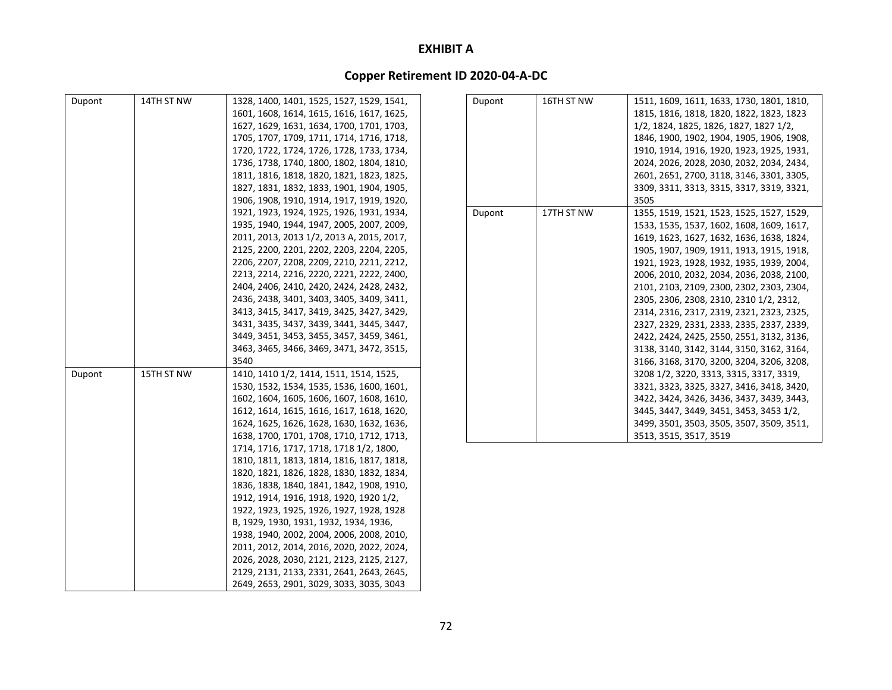| Dupont | 14TH ST NW | 1328, 1400, 1401, 1525, 1527, 1529, 1541, | Dupont | 16TH ST NW | 1511, 1609, 1611, 1633, 1730, 1801, 1810, |
|--------|------------|-------------------------------------------|--------|------------|-------------------------------------------|
|        |            | 1601, 1608, 1614, 1615, 1616, 1617, 1625, |        |            | 1815, 1816, 1818, 1820, 1822, 1823, 1823  |
|        |            | 1627, 1629, 1631, 1634, 1700, 1701, 1703, |        |            | 1/2, 1824, 1825, 1826, 1827, 1827 1/2,    |
|        |            | 1705, 1707, 1709, 1711, 1714, 1716, 1718, |        |            | 1846, 1900, 1902, 1904, 1905, 1906, 1908, |
|        |            | 1720, 1722, 1724, 1726, 1728, 1733, 1734, |        |            | 1910, 1914, 1916, 1920, 1923, 1925, 1931, |
|        |            | 1736, 1738, 1740, 1800, 1802, 1804, 1810, |        |            | 2024, 2026, 2028, 2030, 2032, 2034, 2434, |
|        |            | 1811, 1816, 1818, 1820, 1821, 1823, 1825, |        |            | 2601, 2651, 2700, 3118, 3146, 3301, 3305, |
|        |            | 1827, 1831, 1832, 1833, 1901, 1904, 1905, |        |            | 3309, 3311, 3313, 3315, 3317, 3319, 3321, |
|        |            | 1906, 1908, 1910, 1914, 1917, 1919, 1920, |        |            | 3505                                      |
|        |            | 1921, 1923, 1924, 1925, 1926, 1931, 1934, | Dupont | 17TH ST NW | 1355, 1519, 1521, 1523, 1525, 1527, 1529, |
|        |            | 1935, 1940, 1944, 1947, 2005, 2007, 2009, |        |            | 1533, 1535, 1537, 1602, 1608, 1609, 1617, |
|        |            | 2011, 2013, 2013 1/2, 2013 A, 2015, 2017, |        |            | 1619, 1623, 1627, 1632, 1636, 1638, 1824, |
|        |            | 2125, 2200, 2201, 2202, 2203, 2204, 2205, |        |            | 1905, 1907, 1909, 1911, 1913, 1915, 1918, |
|        |            | 2206, 2207, 2208, 2209, 2210, 2211, 2212, |        |            | 1921, 1923, 1928, 1932, 1935, 1939, 2004, |
|        |            | 2213, 2214, 2216, 2220, 2221, 2222, 2400, |        |            | 2006, 2010, 2032, 2034, 2036, 2038, 2100, |
|        |            | 2404, 2406, 2410, 2420, 2424, 2428, 2432, |        |            | 2101, 2103, 2109, 2300, 2302, 2303, 2304, |
|        |            | 2436, 2438, 3401, 3403, 3405, 3409, 3411, |        |            | 2305, 2306, 2308, 2310, 2310 1/2, 2312,   |
|        |            | 3413, 3415, 3417, 3419, 3425, 3427, 3429, |        |            | 2314, 2316, 2317, 2319, 2321, 2323, 2325, |
|        |            | 3431, 3435, 3437, 3439, 3441, 3445, 3447, |        |            | 2327, 2329, 2331, 2333, 2335, 2337, 2339, |
|        |            | 3449, 3451, 3453, 3455, 3457, 3459, 3461, |        |            | 2422, 2424, 2425, 2550, 2551, 3132, 3136, |
|        |            | 3463, 3465, 3466, 3469, 3471, 3472, 3515, |        |            | 3138, 3140, 3142, 3144, 3150, 3162, 3164, |
|        |            | 3540                                      |        |            | 3166, 3168, 3170, 3200, 3204, 3206, 3208, |
| Dupont | 15TH ST NW | 1410, 1410 1/2, 1414, 1511, 1514, 1525,   |        |            | 3208 1/2, 3220, 3313, 3315, 3317, 3319,   |
|        |            | 1530, 1532, 1534, 1535, 1536, 1600, 1601, |        |            | 3321, 3323, 3325, 3327, 3416, 3418, 3420, |
|        |            | 1602, 1604, 1605, 1606, 1607, 1608, 1610, |        |            | 3422, 3424, 3426, 3436, 3437, 3439, 3443, |
|        |            | 1612, 1614, 1615, 1616, 1617, 1618, 1620, |        |            | 3445, 3447, 3449, 3451, 3453, 3453 1/2,   |
|        |            | 1624, 1625, 1626, 1628, 1630, 1632, 1636, |        |            | 3499, 3501, 3503, 3505, 3507, 3509, 3511, |
|        |            | 1638, 1700, 1701, 1708, 1710, 1712, 1713, |        |            | 3513, 3515, 3517, 3519                    |
|        |            | 1714, 1716, 1717, 1718, 1718 1/2, 1800,   |        |            |                                           |
|        |            | 1810, 1811, 1813, 1814, 1816, 1817, 1818, |        |            |                                           |
|        |            | 1820, 1821, 1826, 1828, 1830, 1832, 1834, |        |            |                                           |
|        |            | 1836, 1838, 1840, 1841, 1842, 1908, 1910, |        |            |                                           |
|        |            | 1912, 1914, 1916, 1918, 1920, 1920 1/2,   |        |            |                                           |
|        |            | 1922, 1923, 1925, 1926, 1927, 1928, 1928  |        |            |                                           |
|        |            | B, 1929, 1930, 1931, 1932, 1934, 1936,    |        |            |                                           |
|        |            | 1938, 1940, 2002, 2004, 2006, 2008, 2010, |        |            |                                           |
|        |            | 2011, 2012, 2014, 2016, 2020, 2022, 2024, |        |            |                                           |
|        |            | 2026, 2028, 2030, 2121, 2123, 2125, 2127, |        |            |                                           |
|        |            | 2129, 2131, 2133, 2331, 2641, 2643, 2645, |        |            |                                           |
|        |            | 2649, 2653, 2901, 3029, 3033, 3035, 3043  |        |            |                                           |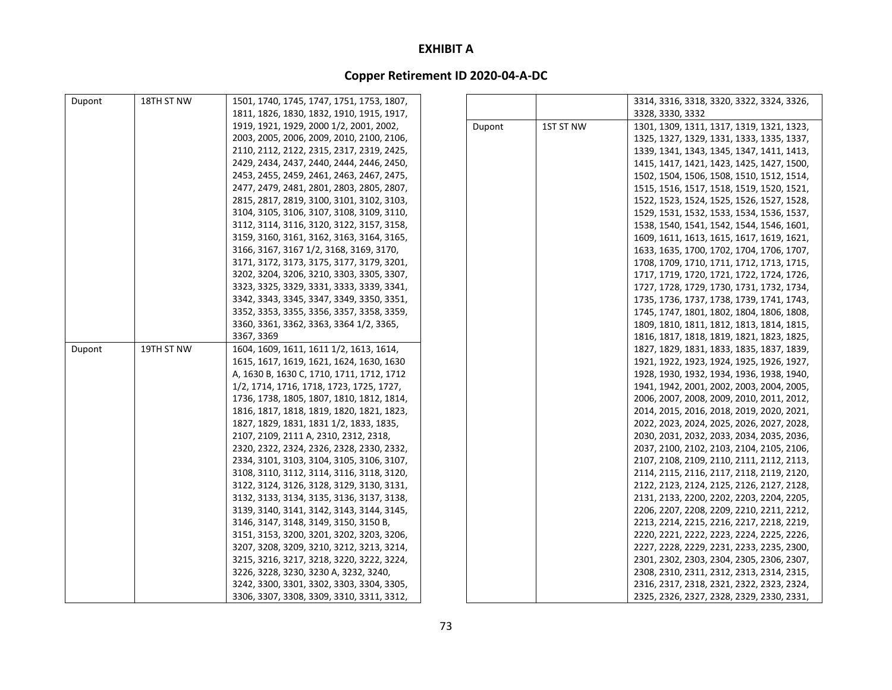| Dupont | 18TH ST NW | 1501, 1740, 1745, 1747, 1751, 1753, 1807, |        |           | 3314, 3316, 3318, 3320, 3322, 3324, 3326, |
|--------|------------|-------------------------------------------|--------|-----------|-------------------------------------------|
|        |            | 1811, 1826, 1830, 1832, 1910, 1915, 1917, |        |           | 3328, 3330, 3332                          |
|        |            | 1919, 1921, 1929, 2000 1/2, 2001, 2002,   | Dupont | 1ST ST NW | 1301, 1309, 1311, 1317, 1319, 1321, 1323, |
|        |            | 2003, 2005, 2006, 2009, 2010, 2100, 2106, |        |           | 1325, 1327, 1329, 1331, 1333, 1335, 1337, |
|        |            | 2110, 2112, 2122, 2315, 2317, 2319, 2425, |        |           | 1339, 1341, 1343, 1345, 1347, 1411, 1413, |
|        |            | 2429, 2434, 2437, 2440, 2444, 2446, 2450, |        |           | 1415, 1417, 1421, 1423, 1425, 1427, 1500, |
|        |            | 2453, 2455, 2459, 2461, 2463, 2467, 2475, |        |           | 1502, 1504, 1506, 1508, 1510, 1512, 1514, |
|        |            | 2477, 2479, 2481, 2801, 2803, 2805, 2807, |        |           | 1515, 1516, 1517, 1518, 1519, 1520, 1521, |
|        |            | 2815, 2817, 2819, 3100, 3101, 3102, 3103, |        |           | 1522, 1523, 1524, 1525, 1526, 1527, 1528, |
|        |            | 3104, 3105, 3106, 3107, 3108, 3109, 3110, |        |           | 1529, 1531, 1532, 1533, 1534, 1536, 1537, |
|        |            | 3112, 3114, 3116, 3120, 3122, 3157, 3158, |        |           | 1538, 1540, 1541, 1542, 1544, 1546, 1601, |
|        |            | 3159, 3160, 3161, 3162, 3163, 3164, 3165, |        |           | 1609, 1611, 1613, 1615, 1617, 1619, 1621, |
|        |            | 3166, 3167, 3167 1/2, 3168, 3169, 3170,   |        |           | 1633, 1635, 1700, 1702, 1704, 1706, 1707, |
|        |            | 3171, 3172, 3173, 3175, 3177, 3179, 3201, |        |           | 1708, 1709, 1710, 1711, 1712, 1713, 1715, |
|        |            | 3202, 3204, 3206, 3210, 3303, 3305, 3307, |        |           | 1717, 1719, 1720, 1721, 1722, 1724, 1726, |
|        |            | 3323, 3325, 3329, 3331, 3333, 3339, 3341, |        |           | 1727, 1728, 1729, 1730, 1731, 1732, 1734, |
|        |            | 3342, 3343, 3345, 3347, 3349, 3350, 3351, |        |           | 1735, 1736, 1737, 1738, 1739, 1741, 1743, |
|        |            | 3352, 3353, 3355, 3356, 3357, 3358, 3359, |        |           | 1745, 1747, 1801, 1802, 1804, 1806, 1808, |
|        |            | 3360, 3361, 3362, 3363, 3364 1/2, 3365,   |        |           | 1809, 1810, 1811, 1812, 1813, 1814, 1815, |
|        |            | 3367, 3369                                |        |           | 1816, 1817, 1818, 1819, 1821, 1823, 1825, |
| Dupont | 19TH ST NW | 1604, 1609, 1611, 1611 1/2, 1613, 1614,   |        |           | 1827, 1829, 1831, 1833, 1835, 1837, 1839, |
|        |            | 1615, 1617, 1619, 1621, 1624, 1630, 1630  |        |           | 1921, 1922, 1923, 1924, 1925, 1926, 1927, |
|        |            | A, 1630 B, 1630 C, 1710, 1711, 1712, 1712 |        |           | 1928, 1930, 1932, 1934, 1936, 1938, 1940, |
|        |            | 1/2, 1714, 1716, 1718, 1723, 1725, 1727,  |        |           | 1941, 1942, 2001, 2002, 2003, 2004, 2005, |
|        |            | 1736, 1738, 1805, 1807, 1810, 1812, 1814, |        |           | 2006, 2007, 2008, 2009, 2010, 2011, 2012, |
|        |            | 1816, 1817, 1818, 1819, 1820, 1821, 1823, |        |           | 2014, 2015, 2016, 2018, 2019, 2020, 2021, |
|        |            | 1827, 1829, 1831, 1831 1/2, 1833, 1835,   |        |           | 2022, 2023, 2024, 2025, 2026, 2027, 2028, |
|        |            | 2107, 2109, 2111 A, 2310, 2312, 2318,     |        |           | 2030, 2031, 2032, 2033, 2034, 2035, 2036, |
|        |            | 2320, 2322, 2324, 2326, 2328, 2330, 2332, |        |           | 2037, 2100, 2102, 2103, 2104, 2105, 2106, |
|        |            | 2334, 3101, 3103, 3104, 3105, 3106, 3107, |        |           | 2107, 2108, 2109, 2110, 2111, 2112, 2113, |
|        |            | 3108, 3110, 3112, 3114, 3116, 3118, 3120, |        |           | 2114, 2115, 2116, 2117, 2118, 2119, 2120, |
|        |            | 3122, 3124, 3126, 3128, 3129, 3130, 3131, |        |           | 2122, 2123, 2124, 2125, 2126, 2127, 2128, |
|        |            | 3132, 3133, 3134, 3135, 3136, 3137, 3138, |        |           | 2131, 2133, 2200, 2202, 2203, 2204, 2205, |
|        |            | 3139, 3140, 3141, 3142, 3143, 3144, 3145, |        |           | 2206, 2207, 2208, 2209, 2210, 2211, 2212, |
|        |            | 3146, 3147, 3148, 3149, 3150, 3150 B,     |        |           | 2213, 2214, 2215, 2216, 2217, 2218, 2219, |
|        |            | 3151, 3153, 3200, 3201, 3202, 3203, 3206, |        |           | 2220, 2221, 2222, 2223, 2224, 2225, 2226, |
|        |            | 3207, 3208, 3209, 3210, 3212, 3213, 3214, |        |           | 2227, 2228, 2229, 2231, 2233, 2235, 2300, |
|        |            | 3215, 3216, 3217, 3218, 3220, 3222, 3224, |        |           | 2301, 2302, 2303, 2304, 2305, 2306, 2307, |
|        |            | 3226, 3228, 3230, 3230 A, 3232, 3240,     |        |           | 2308, 2310, 2311, 2312, 2313, 2314, 2315, |
|        |            | 3242, 3300, 3301, 3302, 3303, 3304, 3305, |        |           | 2316, 2317, 2318, 2321, 2322, 2323, 2324, |
|        |            | 3306, 3307, 3308, 3309, 3310, 3311, 3312, |        |           | 2325, 2326, 2327, 2328, 2329, 2330, 2331, |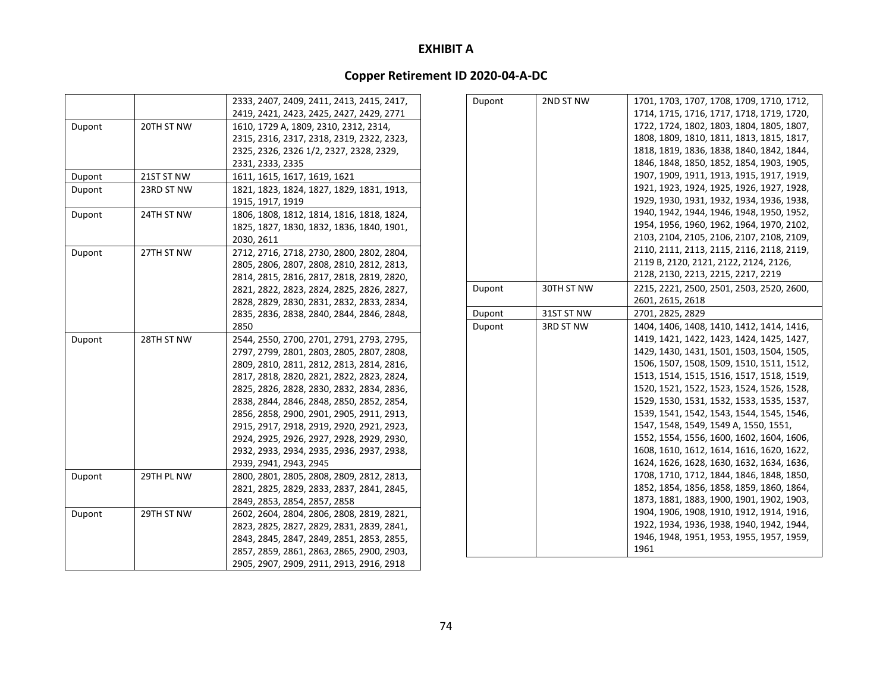|        |            | 2333, 2407, 2409, 2411, 2413, 2415, 2417, |
|--------|------------|-------------------------------------------|
|        |            | 2419, 2421, 2423, 2425, 2427, 2429, 2771  |
| Dupont | 20TH ST NW | 1610, 1729 A, 1809, 2310, 2312, 2314,     |
|        |            | 2315, 2316, 2317, 2318, 2319, 2322, 2323, |
|        |            | 2325, 2326, 2326 1/2, 2327, 2328, 2329,   |
|        |            | 2331, 2333, 2335                          |
| Dupont | 21ST ST NW | 1611, 1615, 1617, 1619, 1621              |
| Dupont | 23RD ST NW | 1821, 1823, 1824, 1827, 1829, 1831, 1913, |
|        |            | 1915, 1917, 1919                          |
| Dupont | 24TH ST NW | 1806, 1808, 1812, 1814, 1816, 1818, 1824, |
|        |            | 1825, 1827, 1830, 1832, 1836, 1840, 1901, |
|        |            | 2030, 2611                                |
| Dupont | 27TH ST NW | 2712, 2716, 2718, 2730, 2800, 2802, 2804, |
|        |            | 2805, 2806, 2807, 2808, 2810, 2812, 2813, |
|        |            | 2814, 2815, 2816, 2817, 2818, 2819, 2820, |
|        |            | 2821, 2822, 2823, 2824, 2825, 2826, 2827, |
|        |            | 2828, 2829, 2830, 2831, 2832, 2833, 2834, |
|        |            | 2835, 2836, 2838, 2840, 2844, 2846, 2848, |
|        |            | 2850                                      |
| Dupont | 28TH ST NW | 2544, 2550, 2700, 2701, 2791, 2793, 2795, |
|        |            | 2797, 2799, 2801, 2803, 2805, 2807, 2808, |
|        |            | 2809, 2810, 2811, 2812, 2813, 2814, 2816, |
|        |            | 2817, 2818, 2820, 2821, 2822, 2823, 2824, |
|        |            | 2825, 2826, 2828, 2830, 2832, 2834, 2836, |
|        |            | 2838, 2844, 2846, 2848, 2850, 2852, 2854, |
|        |            | 2856, 2858, 2900, 2901, 2905, 2911, 2913, |
|        |            | 2915, 2917, 2918, 2919, 2920, 2921, 2923, |
|        |            | 2924, 2925, 2926, 2927, 2928, 2929, 2930, |
|        |            | 2932, 2933, 2934, 2935, 2936, 2937, 2938, |
|        |            | 2939, 2941, 2943, 2945                    |
| Dupont | 29TH PL NW | 2800, 2801, 2805, 2808, 2809, 2812, 2813, |
|        |            | 2821, 2825, 2829, 2833, 2837, 2841, 2845, |
|        |            | 2849, 2853, 2854, 2857, 2858              |
| Dupont | 29TH ST NW | 2602, 2604, 2804, 2806, 2808, 2819, 2821, |
|        |            | 2823, 2825, 2827, 2829, 2831, 2839, 2841, |
|        |            | 2843, 2845, 2847, 2849, 2851, 2853, 2855, |
|        |            | 2857, 2859, 2861, 2863, 2865, 2900, 2903, |
|        |            | 2905, 2907, 2909, 2911, 2913, 2916, 2918  |

| Dupont | 2ND ST NW  | 1701, 1703, 1707, 1708, 1709, 1710, 1712, |
|--------|------------|-------------------------------------------|
|        |            | 1714, 1715, 1716, 1717, 1718, 1719, 1720, |
|        |            | 1722, 1724, 1802, 1803, 1804, 1805, 1807, |
|        |            | 1808, 1809, 1810, 1811, 1813, 1815, 1817, |
|        |            | 1818, 1819, 1836, 1838, 1840, 1842, 1844, |
|        |            | 1846, 1848, 1850, 1852, 1854, 1903, 1905, |
|        |            | 1907, 1909, 1911, 1913, 1915, 1917, 1919, |
|        |            | 1921, 1923, 1924, 1925, 1926, 1927, 1928, |
|        |            | 1929, 1930, 1931, 1932, 1934, 1936, 1938, |
|        |            | 1940, 1942, 1944, 1946, 1948, 1950, 1952, |
|        |            | 1954, 1956, 1960, 1962, 1964, 1970, 2102, |
|        |            | 2103, 2104, 2105, 2106, 2107, 2108, 2109, |
|        |            | 2110, 2111, 2113, 2115, 2116, 2118, 2119, |
|        |            | 2119 B, 2120, 2121, 2122, 2124, 2126,     |
|        |            | 2128, 2130, 2213, 2215, 2217, 2219        |
| Dupont | 30TH ST NW | 2215, 2221, 2500, 2501, 2503, 2520, 2600, |
|        |            | 2601, 2615, 2618                          |
| Dupont | 31ST ST NW | 2701, 2825, 2829                          |
| Dupont | 3RD ST NW  | 1404, 1406, 1408, 1410, 1412, 1414, 1416, |
|        |            | 1419, 1421, 1422, 1423, 1424, 1425, 1427, |
|        |            | 1429, 1430, 1431, 1501, 1503, 1504, 1505, |
|        |            | 1506, 1507, 1508, 1509, 1510, 1511, 1512, |
|        |            | 1513, 1514, 1515, 1516, 1517, 1518, 1519, |
|        |            | 1520, 1521, 1522, 1523, 1524, 1526, 1528, |
|        |            | 1529, 1530, 1531, 1532, 1533, 1535, 1537, |
|        |            | 1539, 1541, 1542, 1543, 1544, 1545, 1546, |
|        |            | 1547, 1548, 1549, 1549 A, 1550, 1551,     |
|        |            | 1552, 1554, 1556, 1600, 1602, 1604, 1606, |
|        |            | 1608, 1610, 1612, 1614, 1616, 1620, 1622, |
|        |            | 1624, 1626, 1628, 1630, 1632, 1634, 1636, |
|        |            | 1708, 1710, 1712, 1844, 1846, 1848, 1850, |
|        |            | 1852, 1854, 1856, 1858, 1859, 1860, 1864, |
|        |            | 1873, 1881, 1883, 1900, 1901, 1902, 1903, |
|        |            | 1904, 1906, 1908, 1910, 1912, 1914, 1916, |
|        |            | 1922, 1934, 1936, 1938, 1940, 1942, 1944, |
|        |            | 1946, 1948, 1951, 1953, 1955, 1957, 1959, |
|        |            | 1961                                      |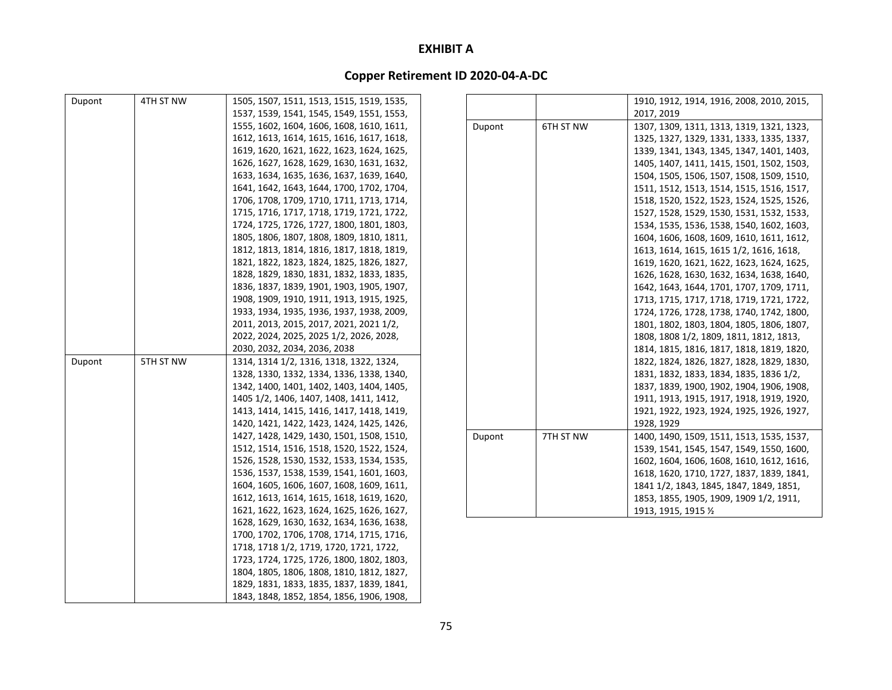| Dupont | 4TH ST NW | 1505, 1507, 1511, 1513, 1515, 1519, 1535, |        |           | 1910, 1912, 1914, 1916, 2008, 2010, 2015, |
|--------|-----------|-------------------------------------------|--------|-----------|-------------------------------------------|
|        |           | 1537, 1539, 1541, 1545, 1549, 1551, 1553, |        |           | 2017, 2019                                |
|        |           | 1555, 1602, 1604, 1606, 1608, 1610, 1611, | Dupont | 6TH ST NW | 1307, 1309, 1311, 1313, 1319, 1321, 1323, |
|        |           | 1612, 1613, 1614, 1615, 1616, 1617, 1618, |        |           | 1325, 1327, 1329, 1331, 1333, 1335, 1337, |
|        |           | 1619, 1620, 1621, 1622, 1623, 1624, 1625, |        |           | 1339, 1341, 1343, 1345, 1347, 1401, 1403, |
|        |           | 1626, 1627, 1628, 1629, 1630, 1631, 1632, |        |           | 1405, 1407, 1411, 1415, 1501, 1502, 1503, |
|        |           | 1633, 1634, 1635, 1636, 1637, 1639, 1640, |        |           | 1504, 1505, 1506, 1507, 1508, 1509, 1510, |
|        |           | 1641, 1642, 1643, 1644, 1700, 1702, 1704, |        |           | 1511, 1512, 1513, 1514, 1515, 1516, 1517, |
|        |           | 1706, 1708, 1709, 1710, 1711, 1713, 1714, |        |           | 1518, 1520, 1522, 1523, 1524, 1525, 1526, |
|        |           | 1715, 1716, 1717, 1718, 1719, 1721, 1722, |        |           | 1527, 1528, 1529, 1530, 1531, 1532, 1533, |
|        |           | 1724, 1725, 1726, 1727, 1800, 1801, 1803, |        |           | 1534, 1535, 1536, 1538, 1540, 1602, 1603, |
|        |           | 1805, 1806, 1807, 1808, 1809, 1810, 1811, |        |           | 1604, 1606, 1608, 1609, 1610, 1611, 1612, |
|        |           | 1812, 1813, 1814, 1816, 1817, 1818, 1819, |        |           | 1613, 1614, 1615, 1615 1/2, 1616, 1618,   |
|        |           | 1821, 1822, 1823, 1824, 1825, 1826, 1827, |        |           | 1619, 1620, 1621, 1622, 1623, 1624, 1625, |
|        |           | 1828, 1829, 1830, 1831, 1832, 1833, 1835, |        |           | 1626, 1628, 1630, 1632, 1634, 1638, 1640, |
|        |           | 1836, 1837, 1839, 1901, 1903, 1905, 1907, |        |           | 1642, 1643, 1644, 1701, 1707, 1709, 1711, |
|        |           | 1908, 1909, 1910, 1911, 1913, 1915, 1925, |        |           | 1713, 1715, 1717, 1718, 1719, 1721, 1722, |
|        |           | 1933, 1934, 1935, 1936, 1937, 1938, 2009, |        |           | 1724, 1726, 1728, 1738, 1740, 1742, 1800, |
|        |           | 2011, 2013, 2015, 2017, 2021, 2021 1/2,   |        |           | 1801, 1802, 1803, 1804, 1805, 1806, 1807, |
|        |           | 2022, 2024, 2025, 2025 1/2, 2026, 2028,   |        |           | 1808, 1808 1/2, 1809, 1811, 1812, 1813,   |
|        |           | 2030, 2032, 2034, 2036, 2038              |        |           | 1814, 1815, 1816, 1817, 1818, 1819, 1820, |
| Dupont | 5TH ST NW | 1314, 1314 1/2, 1316, 1318, 1322, 1324,   |        |           | 1822, 1824, 1826, 1827, 1828, 1829, 1830, |
|        |           | 1328, 1330, 1332, 1334, 1336, 1338, 1340, |        |           | 1831, 1832, 1833, 1834, 1835, 1836 1/2,   |
|        |           | 1342, 1400, 1401, 1402, 1403, 1404, 1405, |        |           | 1837, 1839, 1900, 1902, 1904, 1906, 1908, |
|        |           | 1405 1/2, 1406, 1407, 1408, 1411, 1412,   |        |           | 1911, 1913, 1915, 1917, 1918, 1919, 1920, |
|        |           | 1413, 1414, 1415, 1416, 1417, 1418, 1419, |        |           | 1921, 1922, 1923, 1924, 1925, 1926, 1927, |
|        |           | 1420, 1421, 1422, 1423, 1424, 1425, 1426, |        |           | 1928, 1929                                |
|        |           | 1427, 1428, 1429, 1430, 1501, 1508, 1510, | Dupont | 7TH ST NW | 1400, 1490, 1509, 1511, 1513, 1535, 1537, |
|        |           | 1512, 1514, 1516, 1518, 1520, 1522, 1524, |        |           | 1539, 1541, 1545, 1547, 1549, 1550, 1600, |
|        |           | 1526, 1528, 1530, 1532, 1533, 1534, 1535, |        |           | 1602, 1604, 1606, 1608, 1610, 1612, 1616, |
|        |           | 1536, 1537, 1538, 1539, 1541, 1601, 1603, |        |           | 1618, 1620, 1710, 1727, 1837, 1839, 1841, |
|        |           | 1604, 1605, 1606, 1607, 1608, 1609, 1611, |        |           | 1841 1/2, 1843, 1845, 1847, 1849, 1851,   |
|        |           | 1612, 1613, 1614, 1615, 1618, 1619, 1620, |        |           | 1853, 1855, 1905, 1909, 1909 1/2, 1911,   |
|        |           | 1621, 1622, 1623, 1624, 1625, 1626, 1627, |        |           | 1913, 1915, 1915 1/2                      |
|        |           | 1628, 1629, 1630, 1632, 1634, 1636, 1638, |        |           |                                           |
|        |           | 1700, 1702, 1706, 1708, 1714, 1715, 1716, |        |           |                                           |
|        |           | 1718, 1718 1/2, 1719, 1720, 1721, 1722,   |        |           |                                           |
|        |           | 1723, 1724, 1725, 1726, 1800, 1802, 1803, |        |           |                                           |
|        |           | 1804, 1805, 1806, 1808, 1810, 1812, 1827, |        |           |                                           |
|        |           | 1829, 1831, 1833, 1835, 1837, 1839, 1841, |        |           |                                           |
|        |           | 1843, 1848, 1852, 1854, 1856, 1906, 1908, |        |           |                                           |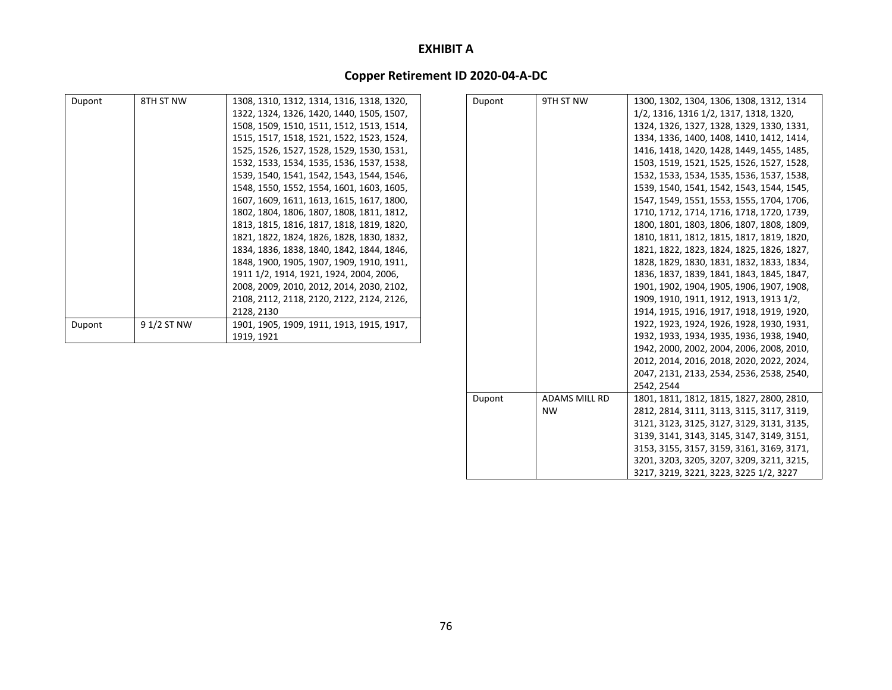# **Copper Retirement ID 2020‐04‐A‐DC**

| Dupont | 8TH ST NW   | 1308, 1310, 1312, 1314, 1316, 1318, 1320, | Dupont | 9TH ST NW            | 1300, 1302, 1304, 1306, 1308, 1312, 1314  |
|--------|-------------|-------------------------------------------|--------|----------------------|-------------------------------------------|
|        |             | 1322, 1324, 1326, 1420, 1440, 1505, 1507, |        |                      | 1/2, 1316, 1316 1/2, 1317, 1318, 1320,    |
|        |             | 1508, 1509, 1510, 1511, 1512, 1513, 1514, |        |                      | 1324, 1326, 1327, 1328, 1329, 1330, 1331, |
|        |             | 1515, 1517, 1518, 1521, 1522, 1523, 1524, |        |                      | 1334, 1336, 1400, 1408, 1410, 1412, 1414, |
|        |             | 1525, 1526, 1527, 1528, 1529, 1530, 1531, |        |                      | 1416, 1418, 1420, 1428, 1449, 1455, 1485, |
|        |             | 1532, 1533, 1534, 1535, 1536, 1537, 1538, |        |                      | 1503, 1519, 1521, 1525, 1526, 1527, 1528, |
|        |             | 1539, 1540, 1541, 1542, 1543, 1544, 1546, |        |                      | 1532, 1533, 1534, 1535, 1536, 1537, 1538, |
|        |             | 1548, 1550, 1552, 1554, 1601, 1603, 1605, |        |                      | 1539, 1540, 1541, 1542, 1543, 1544, 1545, |
|        |             | 1607, 1609, 1611, 1613, 1615, 1617, 1800, |        |                      | 1547, 1549, 1551, 1553, 1555, 1704, 1706, |
|        |             | 1802, 1804, 1806, 1807, 1808, 1811, 1812, |        |                      | 1710, 1712, 1714, 1716, 1718, 1720, 1739, |
|        |             | 1813, 1815, 1816, 1817, 1818, 1819, 1820, |        |                      | 1800, 1801, 1803, 1806, 1807, 1808, 1809, |
|        |             | 1821, 1822, 1824, 1826, 1828, 1830, 1832, |        |                      | 1810, 1811, 1812, 1815, 1817, 1819, 1820, |
|        |             | 1834, 1836, 1838, 1840, 1842, 1844, 1846, |        |                      | 1821, 1822, 1823, 1824, 1825, 1826, 1827, |
|        |             | 1848, 1900, 1905, 1907, 1909, 1910, 1911, |        |                      | 1828, 1829, 1830, 1831, 1832, 1833, 1834, |
|        |             | 1911 1/2, 1914, 1921, 1924, 2004, 2006,   |        |                      | 1836, 1837, 1839, 1841, 1843, 1845, 1847, |
|        |             | 2008, 2009, 2010, 2012, 2014, 2030, 2102, |        |                      | 1901, 1902, 1904, 1905, 1906, 1907, 1908, |
|        |             | 2108, 2112, 2118, 2120, 2122, 2124, 2126, |        |                      | 1909, 1910, 1911, 1912, 1913, 1913 1/2,   |
|        |             | 2128, 2130                                |        |                      | 1914, 1915, 1916, 1917, 1918, 1919, 1920, |
| Dupont | 9 1/2 ST NW | 1901, 1905, 1909, 1911, 1913, 1915, 1917, |        |                      | 1922, 1923, 1924, 1926, 1928, 1930, 1931, |
|        |             | 1919, 1921                                |        |                      | 1932, 1933, 1934, 1935, 1936, 1938, 1940, |
|        |             |                                           |        |                      | 1942, 2000, 2002, 2004, 2006, 2008, 2010, |
|        |             |                                           |        |                      | 2012, 2014, 2016, 2018, 2020, 2022, 2024, |
|        |             |                                           |        |                      | 2047, 2131, 2133, 2534, 2536, 2538, 2540, |
|        |             |                                           |        |                      | 2542, 2544                                |
|        |             |                                           | Dupont | <b>ADAMS MILL RD</b> | 1801, 1811, 1812, 1815, 1827, 2800, 2810, |
|        |             |                                           |        | <b>NW</b>            | 2812, 2814, 3111, 3113, 3115, 3117, 3119, |
|        |             |                                           |        |                      | 3121, 3123, 3125, 3127, 3129, 3131, 3135, |

3139, 3141, 3143, 3145, 3147, 3149, 3151, 3153, 3155, 3157, 3159, 3161, 3169, 3171, 3201, 3203, 3205, 3207, 3209, 3211, 3215, 3217, 3219, 3221, 3223, 3225 1/2, 3227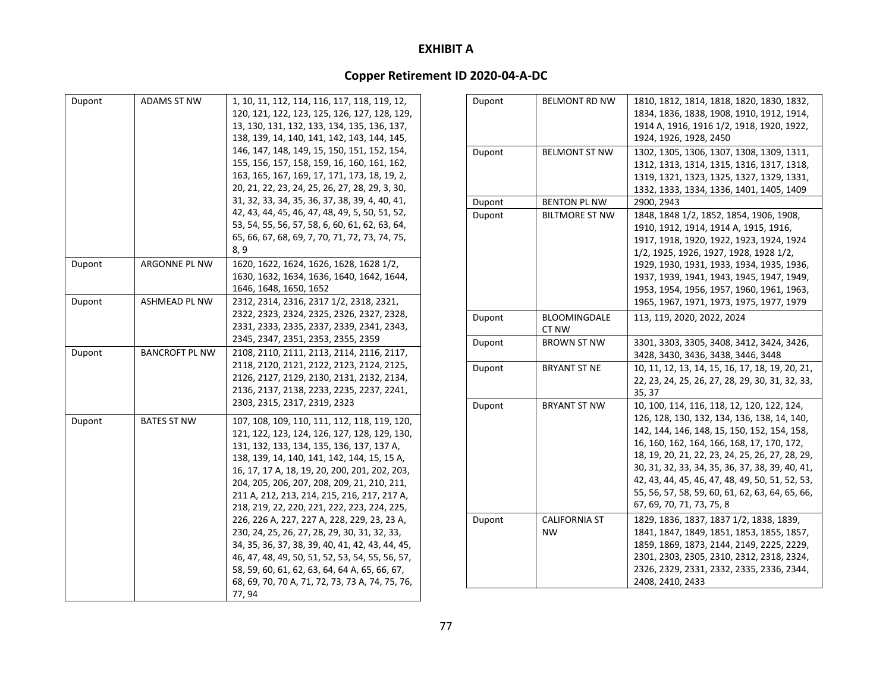| Dupont | ADAMS ST NW           | 1, 10, 11, 112, 114, 116, 117, 118, 119, 12,<br>120, 121, 122, 123, 125, 126, 127, 128, 129,<br>13, 130, 131, 132, 133, 134, 135, 136, 137,<br>138, 139, 14, 140, 141, 142, 143, 144, 145,<br>146, 147, 148, 149, 15, 150, 151, 152, 154,<br>155, 156, 157, 158, 159, 16, 160, 161, 162,<br>163, 165, 167, 169, 17, 171, 173, 18, 19, 2,<br>20, 21, 22, 23, 24, 25, 26, 27, 28, 29, 3, 30,<br>31, 32, 33, 34, 35, 36, 37, 38, 39, 4, 40, 41,<br>42, 43, 44, 45, 46, 47, 48, 49, 5, 50, 51, 52,<br>53, 54, 55, 56, 57, 58, 6, 60, 61, 62, 63, 64,<br>65, 66, 67, 68, 69, 7, 70, 71, 72, 73, 74, 75,<br>8, 9                                                                                                |
|--------|-----------------------|-----------------------------------------------------------------------------------------------------------------------------------------------------------------------------------------------------------------------------------------------------------------------------------------------------------------------------------------------------------------------------------------------------------------------------------------------------------------------------------------------------------------------------------------------------------------------------------------------------------------------------------------------------------------------------------------------------------|
| Dupont | ARGONNE PL NW         | 1620, 1622, 1624, 1626, 1628, 1628 1/2,<br>1630, 1632, 1634, 1636, 1640, 1642, 1644,<br>1646, 1648, 1650, 1652                                                                                                                                                                                                                                                                                                                                                                                                                                                                                                                                                                                            |
| Dupont | ASHMEAD PL NW         | 2312, 2314, 2316, 2317 1/2, 2318, 2321,<br>2322, 2323, 2324, 2325, 2326, 2327, 2328,<br>2331, 2333, 2335, 2337, 2339, 2341, 2343,<br>2345, 2347, 2351, 2353, 2355, 2359                                                                                                                                                                                                                                                                                                                                                                                                                                                                                                                                   |
| Dupont | <b>BANCROFT PL NW</b> | 2108, 2110, 2111, 2113, 2114, 2116, 2117,<br>2118, 2120, 2121, 2122, 2123, 2124, 2125,<br>2126, 2127, 2129, 2130, 2131, 2132, 2134,<br>2136, 2137, 2138, 2233, 2235, 2237, 2241,<br>2303, 2315, 2317, 2319, 2323                                                                                                                                                                                                                                                                                                                                                                                                                                                                                          |
| Dupont | <b>BATES ST NW</b>    | 107, 108, 109, 110, 111, 112, 118, 119, 120,<br>121, 122, 123, 124, 126, 127, 128, 129, 130,<br>131, 132, 133, 134, 135, 136, 137, 137 A,<br>138, 139, 14, 140, 141, 142, 144, 15, 15 A,<br>16, 17, 17 A, 18, 19, 20, 200, 201, 202, 203,<br>204, 205, 206, 207, 208, 209, 21, 210, 211,<br>211 A, 212, 213, 214, 215, 216, 217, 217 A,<br>218, 219, 22, 220, 221, 222, 223, 224, 225,<br>226, 226 A, 227, 227 A, 228, 229, 23, 23 A,<br>230, 24, 25, 26, 27, 28, 29, 30, 31, 32, 33,<br>34, 35, 36, 37, 38, 39, 40, 41, 42, 43, 44, 45,<br>46, 47, 48, 49, 50, 51, 52, 53, 54, 55, 56, 57,<br>58, 59, 60, 61, 62, 63, 64, 64 A, 65, 66, 67,<br>68, 69, 70, 70 A, 71, 72, 73, 73 A, 74, 75, 76,<br>77, 94 |

| Dupont | BELMONT RD NW         | 1810, 1812, 1814, 1818, 1820, 1830, 1832,       |
|--------|-----------------------|-------------------------------------------------|
|        |                       | 1834, 1836, 1838, 1908, 1910, 1912, 1914,       |
|        |                       | 1914 A, 1916, 1916 1/2, 1918, 1920, 1922,       |
|        |                       | 1924, 1926, 1928, 2450                          |
| Dupont | <b>BELMONT ST NW</b>  | 1302, 1305, 1306, 1307, 1308, 1309, 1311,       |
|        |                       | 1312, 1313, 1314, 1315, 1316, 1317, 1318,       |
|        |                       | 1319, 1321, 1323, 1325, 1327, 1329, 1331,       |
|        |                       | 1332, 1333, 1334, 1336, 1401, 1405, 1409        |
| Dupont | <b>BENTON PL NW</b>   | 2900.2943                                       |
| Dupont | <b>BILTMORE ST NW</b> | 1848, 1848 1/2, 1852, 1854, 1906, 1908,         |
|        |                       | 1910, 1912, 1914, 1914 A, 1915, 1916,           |
|        |                       | 1917, 1918, 1920, 1922, 1923, 1924, 1924        |
|        |                       | 1/2, 1925, 1926, 1927, 1928, 1928 1/2,          |
|        |                       | 1929, 1930, 1931, 1933, 1934, 1935, 1936,       |
|        |                       | 1937, 1939, 1941, 1943, 1945, 1947, 1949,       |
|        |                       | 1953, 1954, 1956, 1957, 1960, 1961, 1963,       |
|        |                       | 1965, 1967, 1971, 1973, 1975, 1977, 1979        |
| Dupont | <b>BLOOMINGDALE</b>   | 113, 119, 2020, 2022, 2024                      |
|        | CT NW                 |                                                 |
| Dupont | <b>BROWN ST NW</b>    | 3301, 3303, 3305, 3408, 3412, 3424, 3426,       |
|        |                       | 3428, 3430, 3436, 3438, 3446, 3448              |
| Dupont | <b>BRYANT ST NE</b>   | 10, 11, 12, 13, 14, 15, 16, 17, 18, 19, 20, 21, |
|        |                       | 22, 23, 24, 25, 26, 27, 28, 29, 30, 31, 32, 33, |
|        |                       | 35, 37                                          |
| Dupont | <b>BRYANT ST NW</b>   | 10, 100, 114, 116, 118, 12, 120, 122, 124,      |
|        |                       | 126, 128, 130, 132, 134, 136, 138, 14, 140,     |
|        |                       | 142, 144, 146, 148, 15, 150, 152, 154, 158,     |
|        |                       | 16, 160, 162, 164, 166, 168, 17, 170, 172,      |
|        |                       | 18, 19, 20, 21, 22, 23, 24, 25, 26, 27, 28, 29, |
|        |                       | 30, 31, 32, 33, 34, 35, 36, 37, 38, 39, 40, 41, |
|        |                       | 42, 43, 44, 45, 46, 47, 48, 49, 50, 51, 52, 53, |
|        |                       | 55, 56, 57, 58, 59, 60, 61, 62, 63, 64, 65, 66, |
|        |                       | 67, 69, 70, 71, 73, 75, 8                       |
| Dupont | <b>CALIFORNIA ST</b>  | 1829, 1836, 1837, 1837 1/2, 1838, 1839,         |
|        | <b>NW</b>             | 1841, 1847, 1849, 1851, 1853, 1855, 1857,       |
|        |                       | 1859, 1869, 1873, 2144, 2149, 2225, 2229,       |
|        |                       | 2301, 2303, 2305, 2310, 2312, 2318, 2324,       |
|        |                       | 2326, 2329, 2331, 2332, 2335, 2336, 2344,       |
|        |                       | 2408, 2410, 2433                                |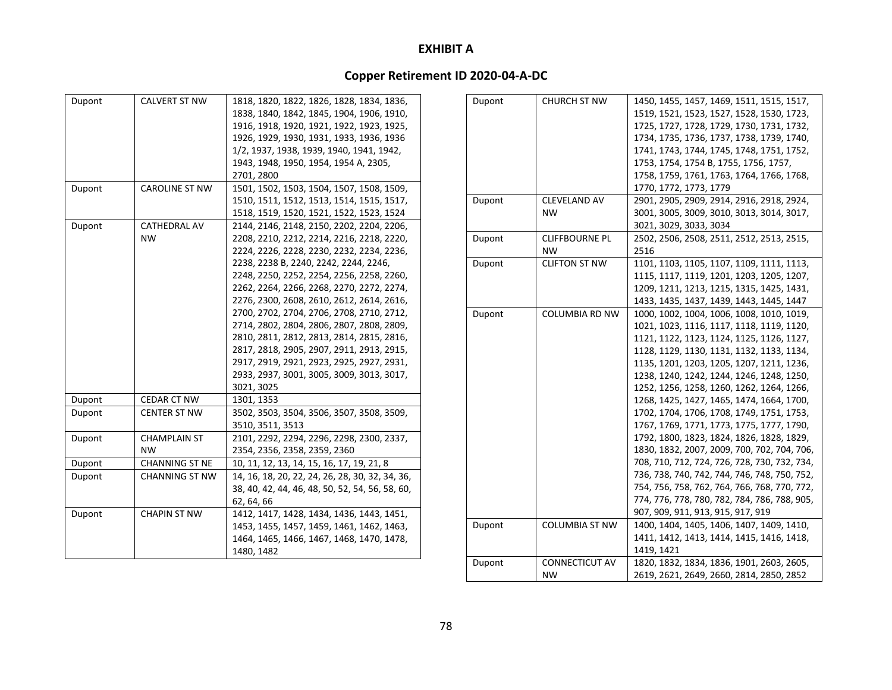| Dupont | <b>CALVERT ST NW</b>  | 1818, 1820, 1822, 1826, 1828, 1834, 1836,       |
|--------|-----------------------|-------------------------------------------------|
|        |                       | 1838, 1840, 1842, 1845, 1904, 1906, 1910,       |
|        |                       | 1916, 1918, 1920, 1921, 1922, 1923, 1925,       |
|        |                       | 1926, 1929, 1930, 1931, 1933, 1936, 1936        |
|        |                       | 1/2, 1937, 1938, 1939, 1940, 1941, 1942,        |
|        |                       | 1943, 1948, 1950, 1954, 1954 A, 2305,           |
|        |                       | 2701, 2800                                      |
| Dupont | <b>CAROLINE ST NW</b> | 1501, 1502, 1503, 1504, 1507, 1508, 1509,       |
|        |                       | 1510, 1511, 1512, 1513, 1514, 1515, 1517,       |
|        |                       | 1518, 1519, 1520, 1521, 1522, 1523, 1524        |
| Dupont | CATHEDRAL AV          | 2144, 2146, 2148, 2150, 2202, 2204, 2206,       |
|        | <b>NW</b>             | 2208, 2210, 2212, 2214, 2216, 2218, 2220,       |
|        |                       | 2224, 2226, 2228, 2230, 2232, 2234, 2236,       |
|        |                       | 2238, 2238 B, 2240, 2242, 2244, 2246,           |
|        |                       | 2248, 2250, 2252, 2254, 2256, 2258, 2260,       |
|        |                       | 2262, 2264, 2266, 2268, 2270, 2272, 2274,       |
|        |                       | 2276, 2300, 2608, 2610, 2612, 2614, 2616,       |
|        |                       | 2700, 2702, 2704, 2706, 2708, 2710, 2712,       |
|        |                       | 2714, 2802, 2804, 2806, 2807, 2808, 2809,       |
|        |                       | 2810, 2811, 2812, 2813, 2814, 2815, 2816,       |
|        |                       | 2817, 2818, 2905, 2907, 2911, 2913, 2915,       |
|        |                       | 2917, 2919, 2921, 2923, 2925, 2927, 2931,       |
|        |                       | 2933, 2937, 3001, 3005, 3009, 3013, 3017,       |
|        |                       | 3021, 3025                                      |
| Dupont | CEDAR CT NW           | 1301, 1353                                      |
| Dupont | <b>CENTER ST NW</b>   | 3502, 3503, 3504, 3506, 3507, 3508, 3509,       |
|        |                       | 3510, 3511, 3513                                |
| Dupont | <b>CHAMPLAIN ST</b>   | 2101, 2292, 2294, 2296, 2298, 2300, 2337,       |
|        | NW                    | 2354, 2356, 2358, 2359, 2360                    |
| Dupont | <b>CHANNING ST NE</b> | 10, 11, 12, 13, 14, 15, 16, 17, 19, 21, 8       |
| Dupont | <b>CHANNING ST NW</b> | 14, 16, 18, 20, 22, 24, 26, 28, 30, 32, 34, 36, |
|        |                       | 38, 40, 42, 44, 46, 48, 50, 52, 54, 56, 58, 60, |
|        |                       | 62, 64, 66                                      |
| Dupont | <b>CHAPIN ST NW</b>   | 1412, 1417, 1428, 1434, 1436, 1443, 1451,       |
|        |                       | 1453, 1455, 1457, 1459, 1461, 1462, 1463,       |
|        |                       | 1464, 1465, 1466, 1467, 1468, 1470, 1478,       |
|        |                       | 1480, 1482                                      |

| Dupont | <b>CHURCH ST NW</b>   | 1450, 1455, 1457, 1469, 1511, 1515, 1517,    |
|--------|-----------------------|----------------------------------------------|
|        |                       | 1519, 1521, 1523, 1527, 1528, 1530, 1723,    |
|        |                       | 1725, 1727, 1728, 1729, 1730, 1731, 1732,    |
|        |                       | 1734, 1735, 1736, 1737, 1738, 1739, 1740,    |
|        |                       | 1741, 1743, 1744, 1745, 1748, 1751, 1752,    |
|        |                       | 1753, 1754, 1754 B, 1755, 1756, 1757,        |
|        |                       | 1758, 1759, 1761, 1763, 1764, 1766, 1768,    |
|        |                       | 1770, 1772, 1773, 1779                       |
| Dupont | CLEVELAND AV          | 2901, 2905, 2909, 2914, 2916, 2918, 2924,    |
|        | <b>NW</b>             | 3001, 3005, 3009, 3010, 3013, 3014, 3017,    |
|        |                       | 3021, 3029, 3033, 3034                       |
| Dupont | <b>CLIFFBOURNE PL</b> | 2502, 2506, 2508, 2511, 2512, 2513, 2515,    |
|        | NW                    | 2516                                         |
| Dupont | <b>CLIFTON ST NW</b>  | 1101, 1103, 1105, 1107, 1109, 1111, 1113,    |
|        |                       | 1115, 1117, 1119, 1201, 1203, 1205, 1207,    |
|        |                       | 1209, 1211, 1213, 1215, 1315, 1425, 1431,    |
|        |                       | 1433, 1435, 1437, 1439, 1443, 1445, 1447     |
| Dupont | <b>COLUMBIA RD NW</b> | 1000, 1002, 1004, 1006, 1008, 1010, 1019,    |
|        |                       | 1021, 1023, 1116, 1117, 1118, 1119, 1120,    |
|        |                       | 1121, 1122, 1123, 1124, 1125, 1126, 1127,    |
|        |                       | 1128, 1129, 1130, 1131, 1132, 1133, 1134,    |
|        |                       | 1135, 1201, 1203, 1205, 1207, 1211, 1236,    |
|        |                       | 1238, 1240, 1242, 1244, 1246, 1248, 1250,    |
|        |                       | 1252, 1256, 1258, 1260, 1262, 1264, 1266,    |
|        |                       | 1268, 1425, 1427, 1465, 1474, 1664, 1700,    |
|        |                       | 1702, 1704, 1706, 1708, 1749, 1751, 1753,    |
|        |                       | 1767, 1769, 1771, 1773, 1775, 1777, 1790,    |
|        |                       | 1792, 1800, 1823, 1824, 1826, 1828, 1829,    |
|        |                       | 1830, 1832, 2007, 2009, 700, 702, 704, 706,  |
|        |                       | 708, 710, 712, 724, 726, 728, 730, 732, 734, |
|        |                       | 736, 738, 740, 742, 744, 746, 748, 750, 752, |
|        |                       | 754, 756, 758, 762, 764, 766, 768, 770, 772, |
|        |                       | 774, 776, 778, 780, 782, 784, 786, 788, 905, |
|        |                       | 907, 909, 911, 913, 915, 917, 919            |
| Dupont | <b>COLUMBIA ST NW</b> | 1400, 1404, 1405, 1406, 1407, 1409, 1410,    |
|        |                       | 1411, 1412, 1413, 1414, 1415, 1416, 1418,    |
|        |                       | 1419, 1421                                   |
| Dupont | <b>CONNECTICUT AV</b> | 1820, 1832, 1834, 1836, 1901, 2603, 2605,    |
|        | <b>NW</b>             | 2619, 2621, 2649, 2660, 2814, 2850, 2852     |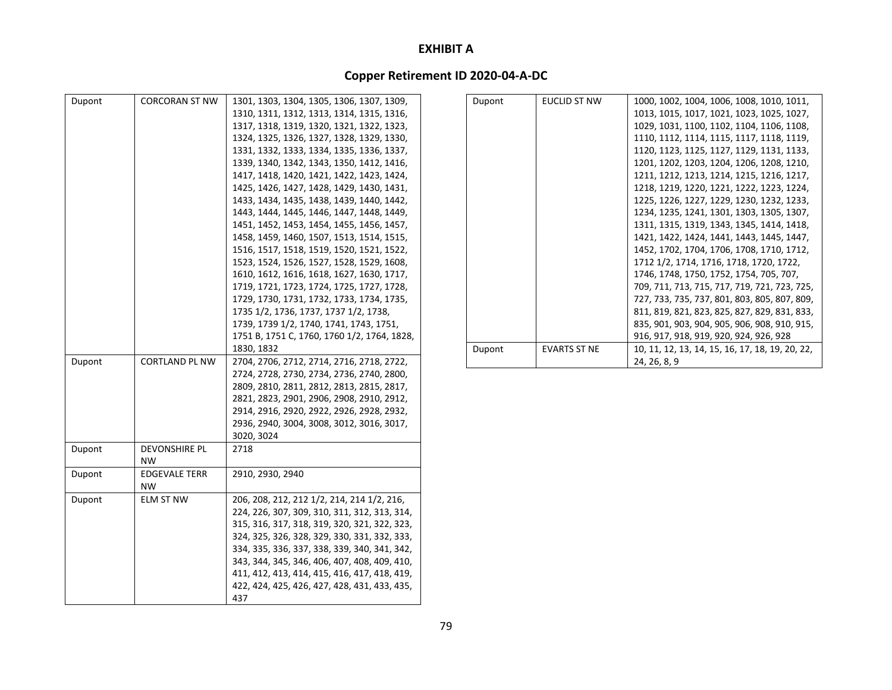| Dupont | <b>CORCORAN ST NW</b> | 1301, 1303, 1304, 1305, 1306, 1307, 1309,    | Dupont | <b>EUCLID ST NW</b> | 1000, 1002, 1004, 1006, 1008, 1010, 1011,       |
|--------|-----------------------|----------------------------------------------|--------|---------------------|-------------------------------------------------|
|        |                       | 1310, 1311, 1312, 1313, 1314, 1315, 1316,    |        |                     | 1013, 1015, 1017, 1021, 1023, 1025, 1027,       |
|        |                       | 1317, 1318, 1319, 1320, 1321, 1322, 1323,    |        |                     | 1029, 1031, 1100, 1102, 1104, 1106, 1108,       |
|        |                       | 1324, 1325, 1326, 1327, 1328, 1329, 1330,    |        |                     | 1110, 1112, 1114, 1115, 1117, 1118, 1119,       |
|        |                       | 1331, 1332, 1333, 1334, 1335, 1336, 1337,    |        |                     | 1120, 1123, 1125, 1127, 1129, 1131, 1133,       |
|        |                       | 1339, 1340, 1342, 1343, 1350, 1412, 1416,    |        |                     | 1201, 1202, 1203, 1204, 1206, 1208, 1210,       |
|        |                       | 1417, 1418, 1420, 1421, 1422, 1423, 1424,    |        |                     | 1211, 1212, 1213, 1214, 1215, 1216, 1217,       |
|        |                       | 1425, 1426, 1427, 1428, 1429, 1430, 1431,    |        |                     | 1218, 1219, 1220, 1221, 1222, 1223, 1224,       |
|        |                       | 1433, 1434, 1435, 1438, 1439, 1440, 1442,    |        |                     | 1225, 1226, 1227, 1229, 1230, 1232, 1233,       |
|        |                       | 1443, 1444, 1445, 1446, 1447, 1448, 1449,    |        |                     | 1234, 1235, 1241, 1301, 1303, 1305, 1307,       |
|        |                       | 1451, 1452, 1453, 1454, 1455, 1456, 1457,    |        |                     | 1311, 1315, 1319, 1343, 1345, 1414, 1418,       |
|        |                       | 1458, 1459, 1460, 1507, 1513, 1514, 1515,    |        |                     | 1421, 1422, 1424, 1441, 1443, 1445, 1447,       |
|        |                       | 1516, 1517, 1518, 1519, 1520, 1521, 1522,    |        |                     | 1452, 1702, 1704, 1706, 1708, 1710, 1712,       |
|        |                       | 1523, 1524, 1526, 1527, 1528, 1529, 1608,    |        |                     | 1712 1/2, 1714, 1716, 1718, 1720, 1722,         |
|        |                       | 1610, 1612, 1616, 1618, 1627, 1630, 1717,    |        |                     | 1746, 1748, 1750, 1752, 1754, 705, 707,         |
|        |                       | 1719, 1721, 1723, 1724, 1725, 1727, 1728,    |        |                     | 709, 711, 713, 715, 717, 719, 721, 723, 725,    |
|        |                       | 1729, 1730, 1731, 1732, 1733, 1734, 1735,    |        |                     | 727, 733, 735, 737, 801, 803, 805, 807, 809,    |
|        |                       | 1735 1/2, 1736, 1737, 1737 1/2, 1738,        |        |                     | 811, 819, 821, 823, 825, 827, 829, 831, 833,    |
|        |                       | 1739, 1739 1/2, 1740, 1741, 1743, 1751,      |        |                     | 835, 901, 903, 904, 905, 906, 908, 910, 915,    |
|        |                       | 1751 B, 1751 C, 1760, 1760 1/2, 1764, 1828,  |        |                     | 916, 917, 918, 919, 920, 924, 926, 928          |
|        |                       | 1830, 1832                                   | Dupont | <b>EVARTS ST NE</b> | 10, 11, 12, 13, 14, 15, 16, 17, 18, 19, 20, 22, |
| Dupont | <b>CORTLAND PL NW</b> | 2704, 2706, 2712, 2714, 2716, 2718, 2722,    |        |                     | 24, 26, 8, 9                                    |
|        |                       | 2724, 2728, 2730, 2734, 2736, 2740, 2800,    |        |                     |                                                 |
|        |                       | 2809, 2810, 2811, 2812, 2813, 2815, 2817,    |        |                     |                                                 |
|        |                       | 2821, 2823, 2901, 2906, 2908, 2910, 2912,    |        |                     |                                                 |
|        |                       | 2914, 2916, 2920, 2922, 2926, 2928, 2932,    |        |                     |                                                 |
|        |                       | 2936, 2940, 3004, 3008, 3012, 3016, 3017,    |        |                     |                                                 |
|        |                       | 3020, 3024                                   |        |                     |                                                 |
| Dupont | <b>DEVONSHIRE PL</b>  | 2718                                         |        |                     |                                                 |
|        | <b>NW</b>             |                                              |        |                     |                                                 |
| Dupont | <b>EDGEVALE TERR</b>  | 2910, 2930, 2940                             |        |                     |                                                 |
|        | <b>NW</b>             |                                              |        |                     |                                                 |
| Dupont | <b>ELM ST NW</b>      | 206, 208, 212, 212 1/2, 214, 214 1/2, 216,   |        |                     |                                                 |
|        |                       | 224, 226, 307, 309, 310, 311, 312, 313, 314, |        |                     |                                                 |
|        |                       | 315, 316, 317, 318, 319, 320, 321, 322, 323, |        |                     |                                                 |
|        |                       | 324, 325, 326, 328, 329, 330, 331, 332, 333, |        |                     |                                                 |
|        |                       | 334, 335, 336, 337, 338, 339, 340, 341, 342, |        |                     |                                                 |
|        |                       | 343, 344, 345, 346, 406, 407, 408, 409, 410, |        |                     |                                                 |
|        |                       | 411, 412, 413, 414, 415, 416, 417, 418, 419, |        |                     |                                                 |
|        |                       | 422, 424, 425, 426, 427, 428, 431, 433, 435, |        |                     |                                                 |
|        |                       | 437                                          |        |                     |                                                 |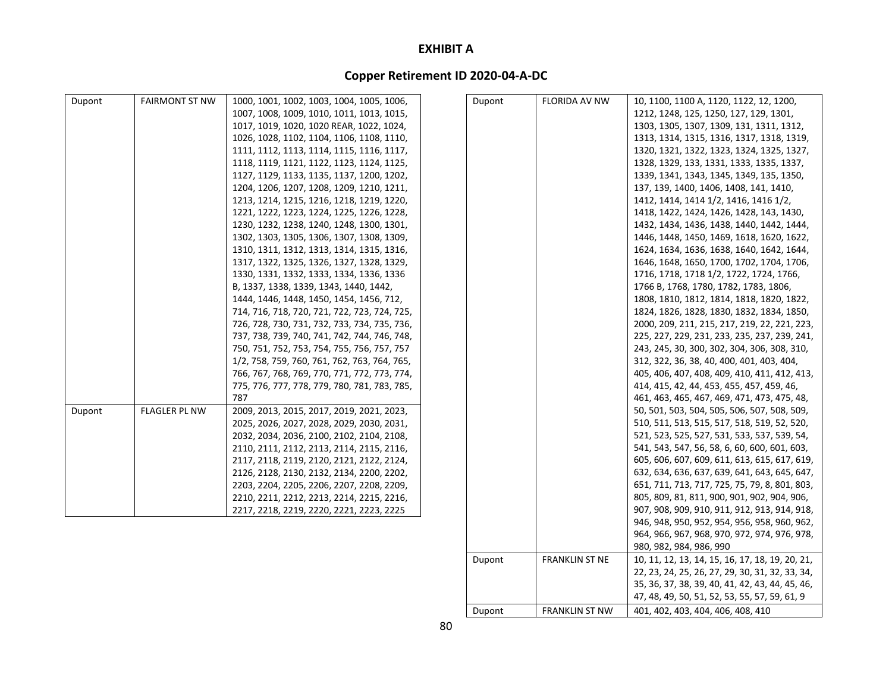### **Copper Retirement ID 2020‐04‐A‐DC**

| Dupont | <b>FAIRMONT ST NW</b> | 1000, 1001, 1002, 1003, 1004, 1005, 1006,    | Dupont | <b>FLORIDA AV NW</b> | 10, 1100, 1100 A, 1120, 1122, 12, 1200,       |
|--------|-----------------------|----------------------------------------------|--------|----------------------|-----------------------------------------------|
|        |                       | 1007, 1008, 1009, 1010, 1011, 1013, 1015,    |        |                      | 1212, 1248, 125, 1250, 127, 129, 1301,        |
|        |                       | 1017, 1019, 1020, 1020 REAR, 1022, 1024,     |        |                      | 1303, 1305, 1307, 1309, 131, 1311, 1312,      |
|        |                       | 1026, 1028, 1102, 1104, 1106, 1108, 1110,    |        |                      | 1313, 1314, 1315, 1316, 1317, 1318, 1319,     |
|        |                       | 1111, 1112, 1113, 1114, 1115, 1116, 1117,    |        |                      | 1320, 1321, 1322, 1323, 1324, 1325, 1327,     |
|        |                       | 1118, 1119, 1121, 1122, 1123, 1124, 1125,    |        |                      | 1328, 1329, 133, 1331, 1333, 1335, 1337,      |
|        |                       | 1127, 1129, 1133, 1135, 1137, 1200, 1202,    |        |                      | 1339, 1341, 1343, 1345, 1349, 135, 1350,      |
|        |                       | 1204, 1206, 1207, 1208, 1209, 1210, 1211,    |        |                      | 137, 139, 1400, 1406, 1408, 141, 1410,        |
|        |                       | 1213, 1214, 1215, 1216, 1218, 1219, 1220,    |        |                      | 1412, 1414, 1414 1/2, 1416, 1416 1/2,         |
|        |                       | 1221, 1222, 1223, 1224, 1225, 1226, 1228,    |        |                      | 1418, 1422, 1424, 1426, 1428, 143, 1430,      |
|        |                       | 1230, 1232, 1238, 1240, 1248, 1300, 1301,    |        |                      | 1432, 1434, 1436, 1438, 1440, 1442, 1444,     |
|        |                       | 1302, 1303, 1305, 1306, 1307, 1308, 1309,    |        |                      | 1446, 1448, 1450, 1469, 1618, 1620, 1622,     |
|        |                       | 1310, 1311, 1312, 1313, 1314, 1315, 1316,    |        |                      | 1624, 1634, 1636, 1638, 1640, 1642, 1644,     |
|        |                       | 1317, 1322, 1325, 1326, 1327, 1328, 1329,    |        |                      | 1646, 1648, 1650, 1700, 1702, 1704, 1706,     |
|        |                       | 1330, 1331, 1332, 1333, 1334, 1336, 1336     |        |                      | 1716, 1718, 1718 1/2, 1722, 1724, 1766,       |
|        |                       | B, 1337, 1338, 1339, 1343, 1440, 1442,       |        |                      | 1766 B, 1768, 1780, 1782, 1783, 1806,         |
|        |                       | 1444, 1446, 1448, 1450, 1454, 1456, 712,     |        |                      | 1808, 1810, 1812, 1814, 1818, 1820, 1822,     |
|        |                       | 714, 716, 718, 720, 721, 722, 723, 724, 725, |        |                      | 1824, 1826, 1828, 1830, 1832, 1834, 1850,     |
|        |                       | 726, 728, 730, 731, 732, 733, 734, 735, 736, |        |                      | 2000, 209, 211, 215, 217, 219, 22, 221, 223,  |
|        |                       | 737, 738, 739, 740, 741, 742, 744, 746, 748, |        |                      | 225, 227, 229, 231, 233, 235, 237, 239, 241,  |
|        |                       | 750, 751, 752, 753, 754, 755, 756, 757, 757  |        |                      | 243, 245, 30, 300, 302, 304, 306, 308, 310,   |
|        |                       | 1/2, 758, 759, 760, 761, 762, 763, 764, 765, |        |                      | 312, 322, 36, 38, 40, 400, 401, 403, 404,     |
|        |                       | 766, 767, 768, 769, 770, 771, 772, 773, 774, |        |                      | 405, 406, 407, 408, 409, 410, 411, 412, 413,  |
|        |                       | 775, 776, 777, 778, 779, 780, 781, 783, 785, |        |                      | 414, 415, 42, 44, 453, 455, 457, 459, 46,     |
|        |                       | 787                                          |        |                      | 461, 463, 465, 467, 469, 471, 473, 475, 48,   |
| Dupont | <b>FLAGLER PL NW</b>  | 2009, 2013, 2015, 2017, 2019, 2021, 2023,    |        |                      | 50, 501, 503, 504, 505, 506, 507, 508, 509,   |
|        |                       | 2025, 2026, 2027, 2028, 2029, 2030, 2031,    |        |                      | 510, 511, 513, 515, 517, 518, 519, 52, 520,   |
|        |                       | 2032, 2034, 2036, 2100, 2102, 2104, 2108,    |        |                      | 521, 523, 525, 527, 531, 533, 537, 539, 54,   |
|        |                       | 2110, 2111, 2112, 2113, 2114, 2115, 2116,    |        |                      | 541, 543, 547, 56, 58, 6, 60, 600, 601, 603,  |
|        |                       | 2117, 2118, 2119, 2120, 2121, 2122, 2124,    |        |                      | 605, 606, 607, 609, 611, 613, 615, 617, 619,  |
|        |                       | 2126, 2128, 2130, 2132, 2134, 2200, 2202,    |        |                      | 632, 634, 636, 637, 639, 641, 643, 645, 647,  |
|        |                       | 2203, 2204, 2205, 2206, 2207, 2208, 2209,    |        |                      | 651, 711, 713, 717, 725, 75, 79, 8, 801, 803, |
|        |                       | 2210, 2211, 2212, 2213, 2214, 2215, 2216,    |        |                      | 805, 809, 81, 811, 900, 901, 902, 904, 906,   |
|        |                       | 2217, 2218, 2219, 2220, 2221, 2223, 2225     |        |                      | 907, 908, 909, 910, 911, 912, 913, 914, 918,  |
|        |                       |                                              |        |                      | 946, 948, 950, 952, 954, 956, 958, 960, 962,  |
|        |                       |                                              |        |                      | 964, 966, 967, 968, 970, 972, 974, 976, 978,  |
|        |                       |                                              |        |                      | 980, 982, 984, 986, 990                       |

Dupont FRANKLIN ST NE 10, 11, 12, 13, 14, 15, 16, 17, 18, 19, 20, 21,

Dupont FRANKLIN ST NW 401, 402, 403, 404, 406, 408, 410

22, 23, 24, 25, 26, 27, 29, 30, 31, 32, 33, 34, 35, 36, 37, 38, 39, 40, 41, 42, 43, 44, 45, 46, 47, 48, 49, 50, 51, 52, 53, 55, 57, 59, 61, 9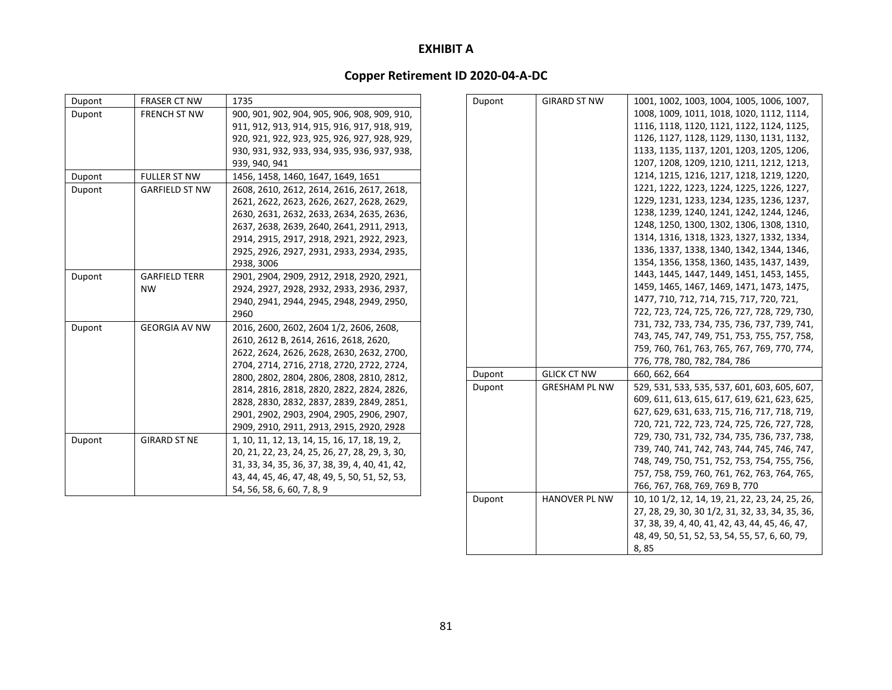### **Copper Retirement ID 2020‐04‐A‐DC**

| Dupont | <b>FRASER CT NW</b>   | 1735                                           | Dupont | <b>GIRARD ST NW</b>  | 1001, 1002, 1003, 1004, 1005, 1006, 1007,       |
|--------|-----------------------|------------------------------------------------|--------|----------------------|-------------------------------------------------|
| Dupont | FRENCH ST NW          | 900, 901, 902, 904, 905, 906, 908, 909, 910,   |        |                      | 1008, 1009, 1011, 1018, 1020, 1112, 1114,       |
|        |                       | 911, 912, 913, 914, 915, 916, 917, 918, 919,   |        |                      | 1116, 1118, 1120, 1121, 1122, 1124, 1125,       |
|        |                       | 920, 921, 922, 923, 925, 926, 927, 928, 929,   |        |                      | 1126, 1127, 1128, 1129, 1130, 1131, 1132,       |
|        |                       | 930, 931, 932, 933, 934, 935, 936, 937, 938,   |        |                      | 1133, 1135, 1137, 1201, 1203, 1205, 1206,       |
|        |                       | 939, 940, 941                                  |        |                      | 1207, 1208, 1209, 1210, 1211, 1212, 1213,       |
| Dupont | <b>FULLER ST NW</b>   | 1456, 1458, 1460, 1647, 1649, 1651             |        |                      | 1214, 1215, 1216, 1217, 1218, 1219, 1220,       |
| Dupont | <b>GARFIELD ST NW</b> | 2608, 2610, 2612, 2614, 2616, 2617, 2618,      |        |                      | 1221, 1222, 1223, 1224, 1225, 1226, 1227,       |
|        |                       | 2621, 2622, 2623, 2626, 2627, 2628, 2629,      |        |                      | 1229, 1231, 1233, 1234, 1235, 1236, 1237,       |
|        |                       | 2630, 2631, 2632, 2633, 2634, 2635, 2636,      |        |                      | 1238, 1239, 1240, 1241, 1242, 1244, 1246,       |
|        |                       | 2637, 2638, 2639, 2640, 2641, 2911, 2913,      |        |                      | 1248, 1250, 1300, 1302, 1306, 1308, 1310,       |
|        |                       | 2914, 2915, 2917, 2918, 2921, 2922, 2923,      |        |                      | 1314, 1316, 1318, 1323, 1327, 1332, 1334,       |
|        |                       | 2925, 2926, 2927, 2931, 2933, 2934, 2935,      |        |                      | 1336, 1337, 1338, 1340, 1342, 1344, 1346,       |
|        |                       | 2938, 3006                                     |        |                      | 1354, 1356, 1358, 1360, 1435, 1437, 1439,       |
| Dupont | <b>GARFIELD TERR</b>  | 2901, 2904, 2909, 2912, 2918, 2920, 2921,      |        |                      | 1443, 1445, 1447, 1449, 1451, 1453, 1455,       |
|        | <b>NW</b>             | 2924, 2927, 2928, 2932, 2933, 2936, 2937,      |        |                      | 1459, 1465, 1467, 1469, 1471, 1473, 1475,       |
|        |                       | 2940, 2941, 2944, 2945, 2948, 2949, 2950,      |        |                      | 1477, 710, 712, 714, 715, 717, 720, 721,        |
|        |                       | 2960                                           |        |                      | 722, 723, 724, 725, 726, 727, 728, 729, 730,    |
| Dupont | <b>GEORGIA AV NW</b>  | 2016, 2600, 2602, 2604 1/2, 2606, 2608,        |        |                      | 731, 732, 733, 734, 735, 736, 737, 739, 741,    |
|        |                       | 2610, 2612 B, 2614, 2616, 2618, 2620,          |        |                      | 743, 745, 747, 749, 751, 753, 755, 757, 758,    |
|        |                       | 2622, 2624, 2626, 2628, 2630, 2632, 2700,      |        |                      | 759, 760, 761, 763, 765, 767, 769, 770, 774,    |
|        |                       | 2704, 2714, 2716, 2718, 2720, 2722, 2724,      |        |                      | 776, 778, 780, 782, 784, 786                    |
|        |                       | 2800, 2802, 2804, 2806, 2808, 2810, 2812,      | Dupont | <b>GLICK CT NW</b>   | 660, 662, 664                                   |
|        |                       | 2814, 2816, 2818, 2820, 2822, 2824, 2826,      | Dupont | <b>GRESHAM PL NW</b> | 529, 531, 533, 535, 537, 601, 603, 605, 607,    |
|        |                       | 2828, 2830, 2832, 2837, 2839, 2849, 2851,      |        |                      | 609, 611, 613, 615, 617, 619, 621, 623, 625,    |
|        |                       | 2901, 2902, 2903, 2904, 2905, 2906, 2907,      |        |                      | 627, 629, 631, 633, 715, 716, 717, 718, 719,    |
|        |                       | 2909, 2910, 2911, 2913, 2915, 2920, 2928       |        |                      | 720, 721, 722, 723, 724, 725, 726, 727, 728,    |
| Dupont | <b>GIRARD ST NE</b>   | 1, 10, 11, 12, 13, 14, 15, 16, 17, 18, 19, 2,  |        |                      | 729, 730, 731, 732, 734, 735, 736, 737, 738,    |
|        |                       | 20, 21, 22, 23, 24, 25, 26, 27, 28, 29, 3, 30, |        |                      | 739, 740, 741, 742, 743, 744, 745, 746, 747,    |
|        |                       | 31, 33, 34, 35, 36, 37, 38, 39, 4, 40, 41, 42, |        |                      | 748, 749, 750, 751, 752, 753, 754, 755, 756,    |
|        |                       | 43, 44, 45, 46, 47, 48, 49, 5, 50, 51, 52, 53, |        |                      | 757, 758, 759, 760, 761, 762, 763, 764, 765,    |
|        |                       | 54, 56, 58, 6, 60, 7, 8, 9                     |        |                      | 766, 767, 768, 769, 769 B, 770                  |
|        |                       |                                                | Dupont | <b>HANOVER PL NW</b> | 10, 10 1/2, 12, 14, 19, 21, 22, 23, 24, 25, 26, |
|        |                       |                                                |        |                      | 27, 28, 29, 30, 30 1/2, 31, 32, 33, 34, 35, 36, |

37, 38, 39, 4, 40, 41, 42, 43, 44, 45, 46, 47, 48, 49, 50, 51, 52, 53, 54, 55, 57, 6, 60, 79,

8, 85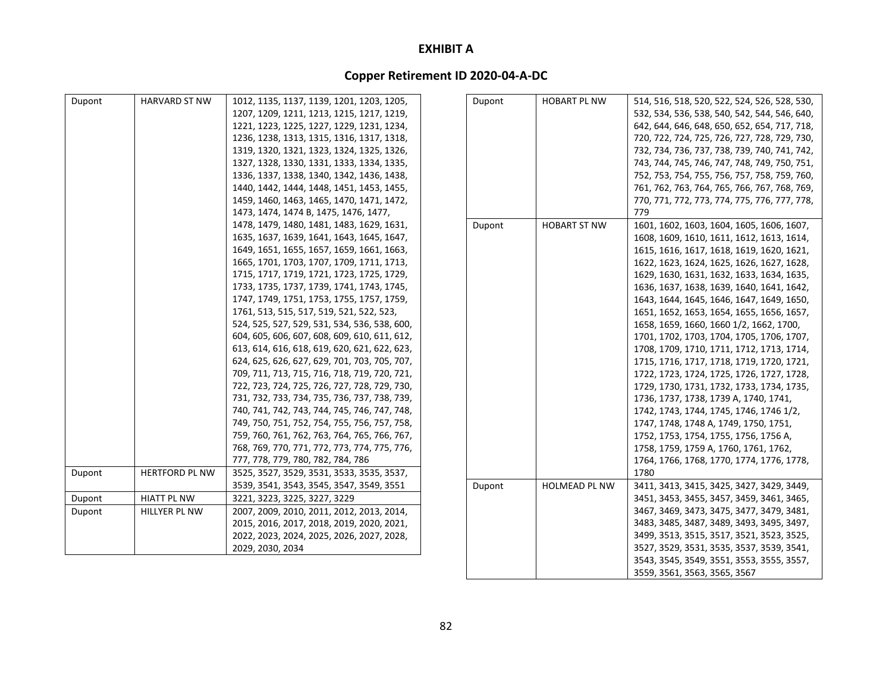# **Copper Retirement ID 2020‐04‐A‐DC**

| Dupont | <b>HARVARD ST NW</b>  | 1012, 1135, 1137, 1139, 1201, 1203, 1205,    | Dupont | <b>HOBART PL NW</b> | 514, 516, 518, 520, 522, 524, 526, 528, 530, |
|--------|-----------------------|----------------------------------------------|--------|---------------------|----------------------------------------------|
|        |                       | 1207, 1209, 1211, 1213, 1215, 1217, 1219,    |        |                     | 532, 534, 536, 538, 540, 542, 544, 546, 640, |
|        |                       | 1221, 1223, 1225, 1227, 1229, 1231, 1234,    |        |                     | 642, 644, 646, 648, 650, 652, 654, 717, 718, |
|        |                       | 1236, 1238, 1313, 1315, 1316, 1317, 1318,    |        |                     | 720, 722, 724, 725, 726, 727, 728, 729, 730, |
|        |                       | 1319, 1320, 1321, 1323, 1324, 1325, 1326,    |        |                     | 732, 734, 736, 737, 738, 739, 740, 741, 742, |
|        |                       | 1327, 1328, 1330, 1331, 1333, 1334, 1335,    |        |                     | 743, 744, 745, 746, 747, 748, 749, 750, 751, |
|        |                       | 1336, 1337, 1338, 1340, 1342, 1436, 1438,    |        |                     | 752, 753, 754, 755, 756, 757, 758, 759, 760, |
|        |                       | 1440, 1442, 1444, 1448, 1451, 1453, 1455,    |        |                     | 761, 762, 763, 764, 765, 766, 767, 768, 769, |
|        |                       | 1459, 1460, 1463, 1465, 1470, 1471, 1472,    |        |                     | 770, 771, 772, 773, 774, 775, 776, 777, 778, |
|        |                       | 1473, 1474, 1474 B, 1475, 1476, 1477,        |        |                     | 779                                          |
|        |                       | 1478, 1479, 1480, 1481, 1483, 1629, 1631,    | Dupont | <b>HOBART ST NW</b> | 1601, 1602, 1603, 1604, 1605, 1606, 1607,    |
|        |                       | 1635, 1637, 1639, 1641, 1643, 1645, 1647,    |        |                     | 1608, 1609, 1610, 1611, 1612, 1613, 1614,    |
|        |                       | 1649, 1651, 1655, 1657, 1659, 1661, 1663,    |        |                     | 1615, 1616, 1617, 1618, 1619, 1620, 1621,    |
|        |                       | 1665, 1701, 1703, 1707, 1709, 1711, 1713,    |        |                     | 1622, 1623, 1624, 1625, 1626, 1627, 1628,    |
|        |                       | 1715, 1717, 1719, 1721, 1723, 1725, 1729,    |        |                     | 1629, 1630, 1631, 1632, 1633, 1634, 1635,    |
|        |                       | 1733, 1735, 1737, 1739, 1741, 1743, 1745,    |        |                     | 1636, 1637, 1638, 1639, 1640, 1641, 1642,    |
|        |                       | 1747, 1749, 1751, 1753, 1755, 1757, 1759,    |        |                     | 1643, 1644, 1645, 1646, 1647, 1649, 1650,    |
|        |                       | 1761, 513, 515, 517, 519, 521, 522, 523,     |        |                     | 1651, 1652, 1653, 1654, 1655, 1656, 1657,    |
|        |                       | 524, 525, 527, 529, 531, 534, 536, 538, 600, |        |                     | 1658, 1659, 1660, 1660 1/2, 1662, 1700,      |
|        |                       | 604, 605, 606, 607, 608, 609, 610, 611, 612, |        |                     | 1701, 1702, 1703, 1704, 1705, 1706, 1707,    |
|        |                       | 613, 614, 616, 618, 619, 620, 621, 622, 623, |        |                     | 1708, 1709, 1710, 1711, 1712, 1713, 1714,    |
|        |                       | 624, 625, 626, 627, 629, 701, 703, 705, 707, |        |                     | 1715, 1716, 1717, 1718, 1719, 1720, 1721,    |
|        |                       | 709, 711, 713, 715, 716, 718, 719, 720, 721, |        |                     | 1722, 1723, 1724, 1725, 1726, 1727, 1728,    |
|        |                       | 722, 723, 724, 725, 726, 727, 728, 729, 730, |        |                     | 1729, 1730, 1731, 1732, 1733, 1734, 1735,    |
|        |                       | 731, 732, 733, 734, 735, 736, 737, 738, 739, |        |                     | 1736, 1737, 1738, 1739 A, 1740, 1741,        |
|        |                       | 740, 741, 742, 743, 744, 745, 746, 747, 748, |        |                     | 1742, 1743, 1744, 1745, 1746, 1746 1/2,      |
|        |                       | 749, 750, 751, 752, 754, 755, 756, 757, 758, |        |                     | 1747, 1748, 1748 A, 1749, 1750, 1751,        |
|        |                       | 759, 760, 761, 762, 763, 764, 765, 766, 767, |        |                     | 1752, 1753, 1754, 1755, 1756, 1756 A,        |
|        |                       | 768, 769, 770, 771, 772, 773, 774, 775, 776, |        |                     | 1758, 1759, 1759 A, 1760, 1761, 1762,        |
|        |                       | 777, 778, 779, 780, 782, 784, 786            |        |                     | 1764, 1766, 1768, 1770, 1774, 1776, 1778,    |
| Dupont | <b>HERTFORD PL NW</b> | 3525, 3527, 3529, 3531, 3533, 3535, 3537,    |        |                     | 1780                                         |
|        |                       | 3539, 3541, 3543, 3545, 3547, 3549, 3551     | Dupont | HOLMEAD PL NW       | 3411, 3413, 3415, 3425, 3427, 3429, 3449,    |
| Dupont | <b>HIATT PL NW</b>    | 3221, 3223, 3225, 3227, 3229                 |        |                     | 3451, 3453, 3455, 3457, 3459, 3461, 3465,    |
| Dupont | <b>HILLYER PL NW</b>  | 2007, 2009, 2010, 2011, 2012, 2013, 2014,    |        |                     | 3467, 3469, 3473, 3475, 3477, 3479, 3481,    |
|        |                       | 2015, 2016, 2017, 2018, 2019, 2020, 2021,    |        |                     | 3483, 3485, 3487, 3489, 3493, 3495, 3497,    |
|        |                       | 2022, 2023, 2024, 2025, 2026, 2027, 2028,    |        |                     | 3499, 3513, 3515, 3517, 3521, 3523, 3525,    |
|        |                       | 2029, 2030, 2034                             |        |                     | 3527, 3529, 3531, 3535, 3537, 3539, 3541,    |
|        |                       |                                              |        |                     | 3543, 3545, 3549, 3551, 3553, 3555, 3557,    |

3559, 3561, 3563, 3565, 3567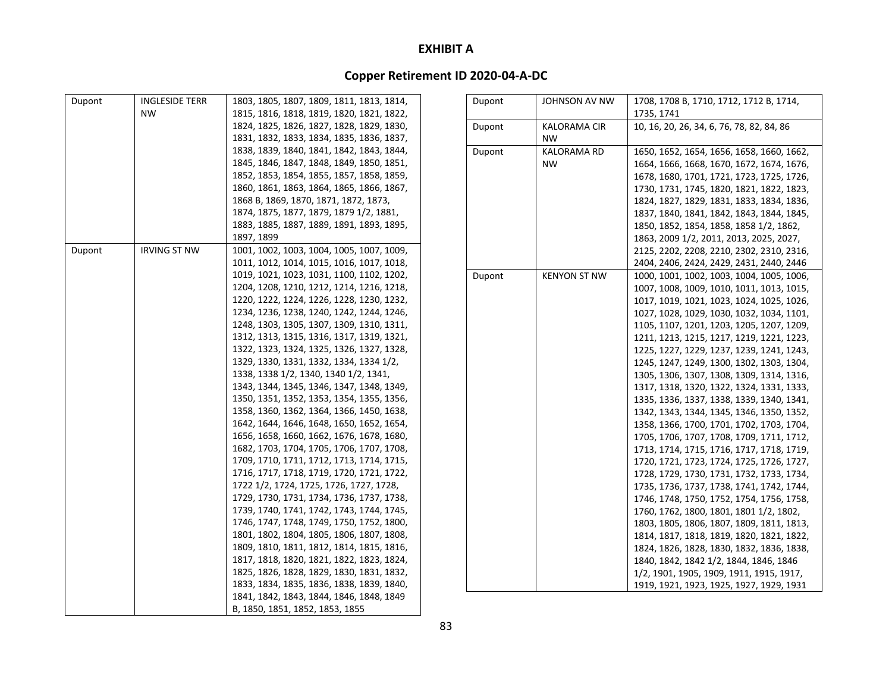| <b>INGLESIDE TERR</b><br>Dupont<br>1803, 1805, 1807, 1809, 1811, 1813, 1814,<br>Dupont<br>JOHNSON AV NW<br>1708, 1708 B, 1710, 1712, 1712 B, 1714,<br><b>NW</b><br>1735, 1741<br>1815, 1816, 1818, 1819, 1820, 1821, 1822,<br>1824, 1825, 1826, 1827, 1828, 1829, 1830,<br>10, 16, 20, 26, 34, 6, 76, 78, 82, 84, 86<br>Dupont<br><b>KALORAMA CIR</b><br>1831, 1832, 1833, 1834, 1835, 1836, 1837,<br><b>NW</b><br>1838, 1839, 1840, 1841, 1842, 1843, 1844,<br>Dupont<br><b>KALORAMA RD</b><br>1650, 1652, 1654, 1656, 1658, 1660, 1662,<br>1845, 1846, 1847, 1848, 1849, 1850, 1851,<br><b>NW</b><br>1664, 1666, 1668, 1670, 1672, 1674, 1676,<br>1852, 1853, 1854, 1855, 1857, 1858, 1859,<br>1678, 1680, 1701, 1721, 1723, 1725, 1726,<br>1860, 1861, 1863, 1864, 1865, 1866, 1867,<br>1730, 1731, 1745, 1820, 1821, 1822, 1823,<br>1868 B, 1869, 1870, 1871, 1872, 1873,<br>1824, 1827, 1829, 1831, 1833, 1834, 1836,<br>1874, 1875, 1877, 1879, 1879 1/2, 1881,<br>1837, 1840, 1841, 1842, 1843, 1844, 1845,<br>1883, 1885, 1887, 1889, 1891, 1893, 1895,<br>1850, 1852, 1854, 1858, 1858 1/2, 1862,<br>1897, 1899<br>1863, 2009 1/2, 2011, 2013, 2025, 2027,<br><b>IRVING ST NW</b><br>1001, 1002, 1003, 1004, 1005, 1007, 1009,<br>Dupont<br>2125, 2202, 2208, 2210, 2302, 2310, 2316,<br>1011, 1012, 1014, 1015, 1016, 1017, 1018,<br>2404, 2406, 2424, 2429, 2431, 2440, 2446<br>1019, 1021, 1023, 1031, 1100, 1102, 1202,<br>Dupont<br><b>KENYON ST NW</b><br>1000, 1001, 1002, 1003, 1004, 1005, 1006,<br>1204, 1208, 1210, 1212, 1214, 1216, 1218,<br>1007, 1008, 1009, 1010, 1011, 1013, 1015,<br>1220, 1222, 1224, 1226, 1228, 1230, 1232,<br>1017, 1019, 1021, 1023, 1024, 1025, 1026,<br>1234, 1236, 1238, 1240, 1242, 1244, 1246,<br>1027, 1028, 1029, 1030, 1032, 1034, 1101,<br>1248, 1303, 1305, 1307, 1309, 1310, 1311,<br>1105, 1107, 1201, 1203, 1205, 1207, 1209,<br>1312, 1313, 1315, 1316, 1317, 1319, 1321,<br>1211, 1213, 1215, 1217, 1219, 1221, 1223,<br>1322, 1323, 1324, 1325, 1326, 1327, 1328,<br>1225, 1227, 1229, 1237, 1239, 1241, 1243,<br>1329, 1330, 1331, 1332, 1334, 1334 1/2,<br>1245, 1247, 1249, 1300, 1302, 1303, 1304,<br>1338, 1338 1/2, 1340, 1340 1/2, 1341,<br>1305, 1306, 1307, 1308, 1309, 1314, 1316,<br>1343, 1344, 1345, 1346, 1347, 1348, 1349,<br>1317, 1318, 1320, 1322, 1324, 1331, 1333,<br>1350, 1351, 1352, 1353, 1354, 1355, 1356,<br>1335, 1336, 1337, 1338, 1339, 1340, 1341,<br>1358, 1360, 1362, 1364, 1366, 1450, 1638,<br>1342, 1343, 1344, 1345, 1346, 1350, 1352,<br>1642, 1644, 1646, 1648, 1650, 1652, 1654,<br>1358, 1366, 1700, 1701, 1702, 1703, 1704,<br>1656, 1658, 1660, 1662, 1676, 1678, 1680,<br>1705, 1706, 1707, 1708, 1709, 1711, 1712,<br>1682, 1703, 1704, 1705, 1706, 1707, 1708,<br>1713, 1714, 1715, 1716, 1717, 1718, 1719,<br>1709, 1710, 1711, 1712, 1713, 1714, 1715,<br>1720, 1721, 1723, 1724, 1725, 1726, 1727,<br>1716, 1717, 1718, 1719, 1720, 1721, 1722,<br>1728, 1729, 1730, 1731, 1732, 1733, 1734,<br>1722 1/2, 1724, 1725, 1726, 1727, 1728,<br>1735, 1736, 1737, 1738, 1741, 1742, 1744,<br>1729, 1730, 1731, 1734, 1736, 1737, 1738,<br>1746, 1748, 1750, 1752, 1754, 1756, 1758,<br>1739, 1740, 1741, 1742, 1743, 1744, 1745,<br>1760, 1762, 1800, 1801, 1801 1/2, 1802,<br>1746, 1747, 1748, 1749, 1750, 1752, 1800,<br>1803, 1805, 1806, 1807, 1809, 1811, 1813,<br>1801, 1802, 1804, 1805, 1806, 1807, 1808,<br>1814, 1817, 1818, 1819, 1820, 1821, 1822,<br>1809, 1810, 1811, 1812, 1814, 1815, 1816,<br>1824, 1826, 1828, 1830, 1832, 1836, 1838,<br>1817, 1818, 1820, 1821, 1822, 1823, 1824,<br>1840, 1842, 1842 1/2, 1844, 1846, 1846<br>1825, 1826, 1828, 1829, 1830, 1831, 1832,<br>1/2, 1901, 1905, 1909, 1911, 1915, 1917,<br>1833, 1834, 1835, 1836, 1838, 1839, 1840,<br>1919, 1921, 1923, 1925, 1927, 1929, 1931<br>1841, 1842, 1843, 1844, 1846, 1848, 1849<br>B, 1850, 1851, 1852, 1853, 1855 |  |  |  |  |
|------------------------------------------------------------------------------------------------------------------------------------------------------------------------------------------------------------------------------------------------------------------------------------------------------------------------------------------------------------------------------------------------------------------------------------------------------------------------------------------------------------------------------------------------------------------------------------------------------------------------------------------------------------------------------------------------------------------------------------------------------------------------------------------------------------------------------------------------------------------------------------------------------------------------------------------------------------------------------------------------------------------------------------------------------------------------------------------------------------------------------------------------------------------------------------------------------------------------------------------------------------------------------------------------------------------------------------------------------------------------------------------------------------------------------------------------------------------------------------------------------------------------------------------------------------------------------------------------------------------------------------------------------------------------------------------------------------------------------------------------------------------------------------------------------------------------------------------------------------------------------------------------------------------------------------------------------------------------------------------------------------------------------------------------------------------------------------------------------------------------------------------------------------------------------------------------------------------------------------------------------------------------------------------------------------------------------------------------------------------------------------------------------------------------------------------------------------------------------------------------------------------------------------------------------------------------------------------------------------------------------------------------------------------------------------------------------------------------------------------------------------------------------------------------------------------------------------------------------------------------------------------------------------------------------------------------------------------------------------------------------------------------------------------------------------------------------------------------------------------------------------------------------------------------------------------------------------------------------------------------------------------------------------------------------------------------------------------------------------------------------------------------------------------------------------------------------------------------------------------------------------------------------------------------------------------------------------------------------------------------------------------------------------------------------------------------------------------------------------------------------------------------------------------------------------------------------------------------------------------------------------------------------------------------------|--|--|--|--|
|                                                                                                                                                                                                                                                                                                                                                                                                                                                                                                                                                                                                                                                                                                                                                                                                                                                                                                                                                                                                                                                                                                                                                                                                                                                                                                                                                                                                                                                                                                                                                                                                                                                                                                                                                                                                                                                                                                                                                                                                                                                                                                                                                                                                                                                                                                                                                                                                                                                                                                                                                                                                                                                                                                                                                                                                                                                                                                                                                                                                                                                                                                                                                                                                                                                                                                                                                                                                                                                                                                                                                                                                                                                                                                                                                                                                                                                                                                                              |  |  |  |  |
|                                                                                                                                                                                                                                                                                                                                                                                                                                                                                                                                                                                                                                                                                                                                                                                                                                                                                                                                                                                                                                                                                                                                                                                                                                                                                                                                                                                                                                                                                                                                                                                                                                                                                                                                                                                                                                                                                                                                                                                                                                                                                                                                                                                                                                                                                                                                                                                                                                                                                                                                                                                                                                                                                                                                                                                                                                                                                                                                                                                                                                                                                                                                                                                                                                                                                                                                                                                                                                                                                                                                                                                                                                                                                                                                                                                                                                                                                                                              |  |  |  |  |
|                                                                                                                                                                                                                                                                                                                                                                                                                                                                                                                                                                                                                                                                                                                                                                                                                                                                                                                                                                                                                                                                                                                                                                                                                                                                                                                                                                                                                                                                                                                                                                                                                                                                                                                                                                                                                                                                                                                                                                                                                                                                                                                                                                                                                                                                                                                                                                                                                                                                                                                                                                                                                                                                                                                                                                                                                                                                                                                                                                                                                                                                                                                                                                                                                                                                                                                                                                                                                                                                                                                                                                                                                                                                                                                                                                                                                                                                                                                              |  |  |  |  |
|                                                                                                                                                                                                                                                                                                                                                                                                                                                                                                                                                                                                                                                                                                                                                                                                                                                                                                                                                                                                                                                                                                                                                                                                                                                                                                                                                                                                                                                                                                                                                                                                                                                                                                                                                                                                                                                                                                                                                                                                                                                                                                                                                                                                                                                                                                                                                                                                                                                                                                                                                                                                                                                                                                                                                                                                                                                                                                                                                                                                                                                                                                                                                                                                                                                                                                                                                                                                                                                                                                                                                                                                                                                                                                                                                                                                                                                                                                                              |  |  |  |  |
|                                                                                                                                                                                                                                                                                                                                                                                                                                                                                                                                                                                                                                                                                                                                                                                                                                                                                                                                                                                                                                                                                                                                                                                                                                                                                                                                                                                                                                                                                                                                                                                                                                                                                                                                                                                                                                                                                                                                                                                                                                                                                                                                                                                                                                                                                                                                                                                                                                                                                                                                                                                                                                                                                                                                                                                                                                                                                                                                                                                                                                                                                                                                                                                                                                                                                                                                                                                                                                                                                                                                                                                                                                                                                                                                                                                                                                                                                                                              |  |  |  |  |
|                                                                                                                                                                                                                                                                                                                                                                                                                                                                                                                                                                                                                                                                                                                                                                                                                                                                                                                                                                                                                                                                                                                                                                                                                                                                                                                                                                                                                                                                                                                                                                                                                                                                                                                                                                                                                                                                                                                                                                                                                                                                                                                                                                                                                                                                                                                                                                                                                                                                                                                                                                                                                                                                                                                                                                                                                                                                                                                                                                                                                                                                                                                                                                                                                                                                                                                                                                                                                                                                                                                                                                                                                                                                                                                                                                                                                                                                                                                              |  |  |  |  |
|                                                                                                                                                                                                                                                                                                                                                                                                                                                                                                                                                                                                                                                                                                                                                                                                                                                                                                                                                                                                                                                                                                                                                                                                                                                                                                                                                                                                                                                                                                                                                                                                                                                                                                                                                                                                                                                                                                                                                                                                                                                                                                                                                                                                                                                                                                                                                                                                                                                                                                                                                                                                                                                                                                                                                                                                                                                                                                                                                                                                                                                                                                                                                                                                                                                                                                                                                                                                                                                                                                                                                                                                                                                                                                                                                                                                                                                                                                                              |  |  |  |  |
|                                                                                                                                                                                                                                                                                                                                                                                                                                                                                                                                                                                                                                                                                                                                                                                                                                                                                                                                                                                                                                                                                                                                                                                                                                                                                                                                                                                                                                                                                                                                                                                                                                                                                                                                                                                                                                                                                                                                                                                                                                                                                                                                                                                                                                                                                                                                                                                                                                                                                                                                                                                                                                                                                                                                                                                                                                                                                                                                                                                                                                                                                                                                                                                                                                                                                                                                                                                                                                                                                                                                                                                                                                                                                                                                                                                                                                                                                                                              |  |  |  |  |
|                                                                                                                                                                                                                                                                                                                                                                                                                                                                                                                                                                                                                                                                                                                                                                                                                                                                                                                                                                                                                                                                                                                                                                                                                                                                                                                                                                                                                                                                                                                                                                                                                                                                                                                                                                                                                                                                                                                                                                                                                                                                                                                                                                                                                                                                                                                                                                                                                                                                                                                                                                                                                                                                                                                                                                                                                                                                                                                                                                                                                                                                                                                                                                                                                                                                                                                                                                                                                                                                                                                                                                                                                                                                                                                                                                                                                                                                                                                              |  |  |  |  |
|                                                                                                                                                                                                                                                                                                                                                                                                                                                                                                                                                                                                                                                                                                                                                                                                                                                                                                                                                                                                                                                                                                                                                                                                                                                                                                                                                                                                                                                                                                                                                                                                                                                                                                                                                                                                                                                                                                                                                                                                                                                                                                                                                                                                                                                                                                                                                                                                                                                                                                                                                                                                                                                                                                                                                                                                                                                                                                                                                                                                                                                                                                                                                                                                                                                                                                                                                                                                                                                                                                                                                                                                                                                                                                                                                                                                                                                                                                                              |  |  |  |  |
|                                                                                                                                                                                                                                                                                                                                                                                                                                                                                                                                                                                                                                                                                                                                                                                                                                                                                                                                                                                                                                                                                                                                                                                                                                                                                                                                                                                                                                                                                                                                                                                                                                                                                                                                                                                                                                                                                                                                                                                                                                                                                                                                                                                                                                                                                                                                                                                                                                                                                                                                                                                                                                                                                                                                                                                                                                                                                                                                                                                                                                                                                                                                                                                                                                                                                                                                                                                                                                                                                                                                                                                                                                                                                                                                                                                                                                                                                                                              |  |  |  |  |
|                                                                                                                                                                                                                                                                                                                                                                                                                                                                                                                                                                                                                                                                                                                                                                                                                                                                                                                                                                                                                                                                                                                                                                                                                                                                                                                                                                                                                                                                                                                                                                                                                                                                                                                                                                                                                                                                                                                                                                                                                                                                                                                                                                                                                                                                                                                                                                                                                                                                                                                                                                                                                                                                                                                                                                                                                                                                                                                                                                                                                                                                                                                                                                                                                                                                                                                                                                                                                                                                                                                                                                                                                                                                                                                                                                                                                                                                                                                              |  |  |  |  |
|                                                                                                                                                                                                                                                                                                                                                                                                                                                                                                                                                                                                                                                                                                                                                                                                                                                                                                                                                                                                                                                                                                                                                                                                                                                                                                                                                                                                                                                                                                                                                                                                                                                                                                                                                                                                                                                                                                                                                                                                                                                                                                                                                                                                                                                                                                                                                                                                                                                                                                                                                                                                                                                                                                                                                                                                                                                                                                                                                                                                                                                                                                                                                                                                                                                                                                                                                                                                                                                                                                                                                                                                                                                                                                                                                                                                                                                                                                                              |  |  |  |  |
|                                                                                                                                                                                                                                                                                                                                                                                                                                                                                                                                                                                                                                                                                                                                                                                                                                                                                                                                                                                                                                                                                                                                                                                                                                                                                                                                                                                                                                                                                                                                                                                                                                                                                                                                                                                                                                                                                                                                                                                                                                                                                                                                                                                                                                                                                                                                                                                                                                                                                                                                                                                                                                                                                                                                                                                                                                                                                                                                                                                                                                                                                                                                                                                                                                                                                                                                                                                                                                                                                                                                                                                                                                                                                                                                                                                                                                                                                                                              |  |  |  |  |
|                                                                                                                                                                                                                                                                                                                                                                                                                                                                                                                                                                                                                                                                                                                                                                                                                                                                                                                                                                                                                                                                                                                                                                                                                                                                                                                                                                                                                                                                                                                                                                                                                                                                                                                                                                                                                                                                                                                                                                                                                                                                                                                                                                                                                                                                                                                                                                                                                                                                                                                                                                                                                                                                                                                                                                                                                                                                                                                                                                                                                                                                                                                                                                                                                                                                                                                                                                                                                                                                                                                                                                                                                                                                                                                                                                                                                                                                                                                              |  |  |  |  |
|                                                                                                                                                                                                                                                                                                                                                                                                                                                                                                                                                                                                                                                                                                                                                                                                                                                                                                                                                                                                                                                                                                                                                                                                                                                                                                                                                                                                                                                                                                                                                                                                                                                                                                                                                                                                                                                                                                                                                                                                                                                                                                                                                                                                                                                                                                                                                                                                                                                                                                                                                                                                                                                                                                                                                                                                                                                                                                                                                                                                                                                                                                                                                                                                                                                                                                                                                                                                                                                                                                                                                                                                                                                                                                                                                                                                                                                                                                                              |  |  |  |  |
|                                                                                                                                                                                                                                                                                                                                                                                                                                                                                                                                                                                                                                                                                                                                                                                                                                                                                                                                                                                                                                                                                                                                                                                                                                                                                                                                                                                                                                                                                                                                                                                                                                                                                                                                                                                                                                                                                                                                                                                                                                                                                                                                                                                                                                                                                                                                                                                                                                                                                                                                                                                                                                                                                                                                                                                                                                                                                                                                                                                                                                                                                                                                                                                                                                                                                                                                                                                                                                                                                                                                                                                                                                                                                                                                                                                                                                                                                                                              |  |  |  |  |
|                                                                                                                                                                                                                                                                                                                                                                                                                                                                                                                                                                                                                                                                                                                                                                                                                                                                                                                                                                                                                                                                                                                                                                                                                                                                                                                                                                                                                                                                                                                                                                                                                                                                                                                                                                                                                                                                                                                                                                                                                                                                                                                                                                                                                                                                                                                                                                                                                                                                                                                                                                                                                                                                                                                                                                                                                                                                                                                                                                                                                                                                                                                                                                                                                                                                                                                                                                                                                                                                                                                                                                                                                                                                                                                                                                                                                                                                                                                              |  |  |  |  |
|                                                                                                                                                                                                                                                                                                                                                                                                                                                                                                                                                                                                                                                                                                                                                                                                                                                                                                                                                                                                                                                                                                                                                                                                                                                                                                                                                                                                                                                                                                                                                                                                                                                                                                                                                                                                                                                                                                                                                                                                                                                                                                                                                                                                                                                                                                                                                                                                                                                                                                                                                                                                                                                                                                                                                                                                                                                                                                                                                                                                                                                                                                                                                                                                                                                                                                                                                                                                                                                                                                                                                                                                                                                                                                                                                                                                                                                                                                                              |  |  |  |  |
|                                                                                                                                                                                                                                                                                                                                                                                                                                                                                                                                                                                                                                                                                                                                                                                                                                                                                                                                                                                                                                                                                                                                                                                                                                                                                                                                                                                                                                                                                                                                                                                                                                                                                                                                                                                                                                                                                                                                                                                                                                                                                                                                                                                                                                                                                                                                                                                                                                                                                                                                                                                                                                                                                                                                                                                                                                                                                                                                                                                                                                                                                                                                                                                                                                                                                                                                                                                                                                                                                                                                                                                                                                                                                                                                                                                                                                                                                                                              |  |  |  |  |
|                                                                                                                                                                                                                                                                                                                                                                                                                                                                                                                                                                                                                                                                                                                                                                                                                                                                                                                                                                                                                                                                                                                                                                                                                                                                                                                                                                                                                                                                                                                                                                                                                                                                                                                                                                                                                                                                                                                                                                                                                                                                                                                                                                                                                                                                                                                                                                                                                                                                                                                                                                                                                                                                                                                                                                                                                                                                                                                                                                                                                                                                                                                                                                                                                                                                                                                                                                                                                                                                                                                                                                                                                                                                                                                                                                                                                                                                                                                              |  |  |  |  |
|                                                                                                                                                                                                                                                                                                                                                                                                                                                                                                                                                                                                                                                                                                                                                                                                                                                                                                                                                                                                                                                                                                                                                                                                                                                                                                                                                                                                                                                                                                                                                                                                                                                                                                                                                                                                                                                                                                                                                                                                                                                                                                                                                                                                                                                                                                                                                                                                                                                                                                                                                                                                                                                                                                                                                                                                                                                                                                                                                                                                                                                                                                                                                                                                                                                                                                                                                                                                                                                                                                                                                                                                                                                                                                                                                                                                                                                                                                                              |  |  |  |  |
|                                                                                                                                                                                                                                                                                                                                                                                                                                                                                                                                                                                                                                                                                                                                                                                                                                                                                                                                                                                                                                                                                                                                                                                                                                                                                                                                                                                                                                                                                                                                                                                                                                                                                                                                                                                                                                                                                                                                                                                                                                                                                                                                                                                                                                                                                                                                                                                                                                                                                                                                                                                                                                                                                                                                                                                                                                                                                                                                                                                                                                                                                                                                                                                                                                                                                                                                                                                                                                                                                                                                                                                                                                                                                                                                                                                                                                                                                                                              |  |  |  |  |
|                                                                                                                                                                                                                                                                                                                                                                                                                                                                                                                                                                                                                                                                                                                                                                                                                                                                                                                                                                                                                                                                                                                                                                                                                                                                                                                                                                                                                                                                                                                                                                                                                                                                                                                                                                                                                                                                                                                                                                                                                                                                                                                                                                                                                                                                                                                                                                                                                                                                                                                                                                                                                                                                                                                                                                                                                                                                                                                                                                                                                                                                                                                                                                                                                                                                                                                                                                                                                                                                                                                                                                                                                                                                                                                                                                                                                                                                                                                              |  |  |  |  |
|                                                                                                                                                                                                                                                                                                                                                                                                                                                                                                                                                                                                                                                                                                                                                                                                                                                                                                                                                                                                                                                                                                                                                                                                                                                                                                                                                                                                                                                                                                                                                                                                                                                                                                                                                                                                                                                                                                                                                                                                                                                                                                                                                                                                                                                                                                                                                                                                                                                                                                                                                                                                                                                                                                                                                                                                                                                                                                                                                                                                                                                                                                                                                                                                                                                                                                                                                                                                                                                                                                                                                                                                                                                                                                                                                                                                                                                                                                                              |  |  |  |  |
|                                                                                                                                                                                                                                                                                                                                                                                                                                                                                                                                                                                                                                                                                                                                                                                                                                                                                                                                                                                                                                                                                                                                                                                                                                                                                                                                                                                                                                                                                                                                                                                                                                                                                                                                                                                                                                                                                                                                                                                                                                                                                                                                                                                                                                                                                                                                                                                                                                                                                                                                                                                                                                                                                                                                                                                                                                                                                                                                                                                                                                                                                                                                                                                                                                                                                                                                                                                                                                                                                                                                                                                                                                                                                                                                                                                                                                                                                                                              |  |  |  |  |
|                                                                                                                                                                                                                                                                                                                                                                                                                                                                                                                                                                                                                                                                                                                                                                                                                                                                                                                                                                                                                                                                                                                                                                                                                                                                                                                                                                                                                                                                                                                                                                                                                                                                                                                                                                                                                                                                                                                                                                                                                                                                                                                                                                                                                                                                                                                                                                                                                                                                                                                                                                                                                                                                                                                                                                                                                                                                                                                                                                                                                                                                                                                                                                                                                                                                                                                                                                                                                                                                                                                                                                                                                                                                                                                                                                                                                                                                                                                              |  |  |  |  |
|                                                                                                                                                                                                                                                                                                                                                                                                                                                                                                                                                                                                                                                                                                                                                                                                                                                                                                                                                                                                                                                                                                                                                                                                                                                                                                                                                                                                                                                                                                                                                                                                                                                                                                                                                                                                                                                                                                                                                                                                                                                                                                                                                                                                                                                                                                                                                                                                                                                                                                                                                                                                                                                                                                                                                                                                                                                                                                                                                                                                                                                                                                                                                                                                                                                                                                                                                                                                                                                                                                                                                                                                                                                                                                                                                                                                                                                                                                                              |  |  |  |  |
|                                                                                                                                                                                                                                                                                                                                                                                                                                                                                                                                                                                                                                                                                                                                                                                                                                                                                                                                                                                                                                                                                                                                                                                                                                                                                                                                                                                                                                                                                                                                                                                                                                                                                                                                                                                                                                                                                                                                                                                                                                                                                                                                                                                                                                                                                                                                                                                                                                                                                                                                                                                                                                                                                                                                                                                                                                                                                                                                                                                                                                                                                                                                                                                                                                                                                                                                                                                                                                                                                                                                                                                                                                                                                                                                                                                                                                                                                                                              |  |  |  |  |
|                                                                                                                                                                                                                                                                                                                                                                                                                                                                                                                                                                                                                                                                                                                                                                                                                                                                                                                                                                                                                                                                                                                                                                                                                                                                                                                                                                                                                                                                                                                                                                                                                                                                                                                                                                                                                                                                                                                                                                                                                                                                                                                                                                                                                                                                                                                                                                                                                                                                                                                                                                                                                                                                                                                                                                                                                                                                                                                                                                                                                                                                                                                                                                                                                                                                                                                                                                                                                                                                                                                                                                                                                                                                                                                                                                                                                                                                                                                              |  |  |  |  |
|                                                                                                                                                                                                                                                                                                                                                                                                                                                                                                                                                                                                                                                                                                                                                                                                                                                                                                                                                                                                                                                                                                                                                                                                                                                                                                                                                                                                                                                                                                                                                                                                                                                                                                                                                                                                                                                                                                                                                                                                                                                                                                                                                                                                                                                                                                                                                                                                                                                                                                                                                                                                                                                                                                                                                                                                                                                                                                                                                                                                                                                                                                                                                                                                                                                                                                                                                                                                                                                                                                                                                                                                                                                                                                                                                                                                                                                                                                                              |  |  |  |  |
|                                                                                                                                                                                                                                                                                                                                                                                                                                                                                                                                                                                                                                                                                                                                                                                                                                                                                                                                                                                                                                                                                                                                                                                                                                                                                                                                                                                                                                                                                                                                                                                                                                                                                                                                                                                                                                                                                                                                                                                                                                                                                                                                                                                                                                                                                                                                                                                                                                                                                                                                                                                                                                                                                                                                                                                                                                                                                                                                                                                                                                                                                                                                                                                                                                                                                                                                                                                                                                                                                                                                                                                                                                                                                                                                                                                                                                                                                                                              |  |  |  |  |
|                                                                                                                                                                                                                                                                                                                                                                                                                                                                                                                                                                                                                                                                                                                                                                                                                                                                                                                                                                                                                                                                                                                                                                                                                                                                                                                                                                                                                                                                                                                                                                                                                                                                                                                                                                                                                                                                                                                                                                                                                                                                                                                                                                                                                                                                                                                                                                                                                                                                                                                                                                                                                                                                                                                                                                                                                                                                                                                                                                                                                                                                                                                                                                                                                                                                                                                                                                                                                                                                                                                                                                                                                                                                                                                                                                                                                                                                                                                              |  |  |  |  |
|                                                                                                                                                                                                                                                                                                                                                                                                                                                                                                                                                                                                                                                                                                                                                                                                                                                                                                                                                                                                                                                                                                                                                                                                                                                                                                                                                                                                                                                                                                                                                                                                                                                                                                                                                                                                                                                                                                                                                                                                                                                                                                                                                                                                                                                                                                                                                                                                                                                                                                                                                                                                                                                                                                                                                                                                                                                                                                                                                                                                                                                                                                                                                                                                                                                                                                                                                                                                                                                                                                                                                                                                                                                                                                                                                                                                                                                                                                                              |  |  |  |  |
|                                                                                                                                                                                                                                                                                                                                                                                                                                                                                                                                                                                                                                                                                                                                                                                                                                                                                                                                                                                                                                                                                                                                                                                                                                                                                                                                                                                                                                                                                                                                                                                                                                                                                                                                                                                                                                                                                                                                                                                                                                                                                                                                                                                                                                                                                                                                                                                                                                                                                                                                                                                                                                                                                                                                                                                                                                                                                                                                                                                                                                                                                                                                                                                                                                                                                                                                                                                                                                                                                                                                                                                                                                                                                                                                                                                                                                                                                                                              |  |  |  |  |
|                                                                                                                                                                                                                                                                                                                                                                                                                                                                                                                                                                                                                                                                                                                                                                                                                                                                                                                                                                                                                                                                                                                                                                                                                                                                                                                                                                                                                                                                                                                                                                                                                                                                                                                                                                                                                                                                                                                                                                                                                                                                                                                                                                                                                                                                                                                                                                                                                                                                                                                                                                                                                                                                                                                                                                                                                                                                                                                                                                                                                                                                                                                                                                                                                                                                                                                                                                                                                                                                                                                                                                                                                                                                                                                                                                                                                                                                                                                              |  |  |  |  |
|                                                                                                                                                                                                                                                                                                                                                                                                                                                                                                                                                                                                                                                                                                                                                                                                                                                                                                                                                                                                                                                                                                                                                                                                                                                                                                                                                                                                                                                                                                                                                                                                                                                                                                                                                                                                                                                                                                                                                                                                                                                                                                                                                                                                                                                                                                                                                                                                                                                                                                                                                                                                                                                                                                                                                                                                                                                                                                                                                                                                                                                                                                                                                                                                                                                                                                                                                                                                                                                                                                                                                                                                                                                                                                                                                                                                                                                                                                                              |  |  |  |  |
|                                                                                                                                                                                                                                                                                                                                                                                                                                                                                                                                                                                                                                                                                                                                                                                                                                                                                                                                                                                                                                                                                                                                                                                                                                                                                                                                                                                                                                                                                                                                                                                                                                                                                                                                                                                                                                                                                                                                                                                                                                                                                                                                                                                                                                                                                                                                                                                                                                                                                                                                                                                                                                                                                                                                                                                                                                                                                                                                                                                                                                                                                                                                                                                                                                                                                                                                                                                                                                                                                                                                                                                                                                                                                                                                                                                                                                                                                                                              |  |  |  |  |
|                                                                                                                                                                                                                                                                                                                                                                                                                                                                                                                                                                                                                                                                                                                                                                                                                                                                                                                                                                                                                                                                                                                                                                                                                                                                                                                                                                                                                                                                                                                                                                                                                                                                                                                                                                                                                                                                                                                                                                                                                                                                                                                                                                                                                                                                                                                                                                                                                                                                                                                                                                                                                                                                                                                                                                                                                                                                                                                                                                                                                                                                                                                                                                                                                                                                                                                                                                                                                                                                                                                                                                                                                                                                                                                                                                                                                                                                                                                              |  |  |  |  |
|                                                                                                                                                                                                                                                                                                                                                                                                                                                                                                                                                                                                                                                                                                                                                                                                                                                                                                                                                                                                                                                                                                                                                                                                                                                                                                                                                                                                                                                                                                                                                                                                                                                                                                                                                                                                                                                                                                                                                                                                                                                                                                                                                                                                                                                                                                                                                                                                                                                                                                                                                                                                                                                                                                                                                                                                                                                                                                                                                                                                                                                                                                                                                                                                                                                                                                                                                                                                                                                                                                                                                                                                                                                                                                                                                                                                                                                                                                                              |  |  |  |  |
|                                                                                                                                                                                                                                                                                                                                                                                                                                                                                                                                                                                                                                                                                                                                                                                                                                                                                                                                                                                                                                                                                                                                                                                                                                                                                                                                                                                                                                                                                                                                                                                                                                                                                                                                                                                                                                                                                                                                                                                                                                                                                                                                                                                                                                                                                                                                                                                                                                                                                                                                                                                                                                                                                                                                                                                                                                                                                                                                                                                                                                                                                                                                                                                                                                                                                                                                                                                                                                                                                                                                                                                                                                                                                                                                                                                                                                                                                                                              |  |  |  |  |
|                                                                                                                                                                                                                                                                                                                                                                                                                                                                                                                                                                                                                                                                                                                                                                                                                                                                                                                                                                                                                                                                                                                                                                                                                                                                                                                                                                                                                                                                                                                                                                                                                                                                                                                                                                                                                                                                                                                                                                                                                                                                                                                                                                                                                                                                                                                                                                                                                                                                                                                                                                                                                                                                                                                                                                                                                                                                                                                                                                                                                                                                                                                                                                                                                                                                                                                                                                                                                                                                                                                                                                                                                                                                                                                                                                                                                                                                                                                              |  |  |  |  |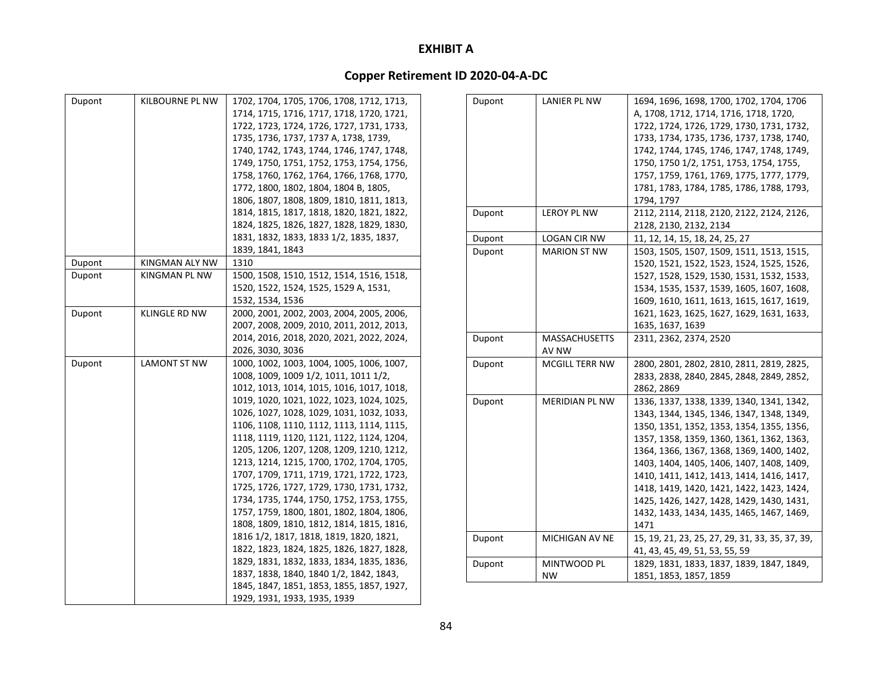| Dupont | KILBOURNE PL NW | 1702, 1704, 1705, 1706, 1708, 1712, 1713, |
|--------|-----------------|-------------------------------------------|
|        |                 | 1714, 1715, 1716, 1717, 1718, 1720, 1721, |
|        |                 | 1722, 1723, 1724, 1726, 1727, 1731, 1733, |
|        |                 | 1735, 1736, 1737, 1737 A, 1738, 1739,     |
|        |                 | 1740, 1742, 1743, 1744, 1746, 1747, 1748, |
|        |                 | 1749, 1750, 1751, 1752, 1753, 1754, 1756, |
|        |                 | 1758, 1760, 1762, 1764, 1766, 1768, 1770, |
|        |                 | 1772, 1800, 1802, 1804, 1804 B, 1805,     |
|        |                 | 1806, 1807, 1808, 1809, 1810, 1811, 1813, |
|        |                 | 1814, 1815, 1817, 1818, 1820, 1821, 1822, |
|        |                 | 1824, 1825, 1826, 1827, 1828, 1829, 1830, |
|        |                 | 1831, 1832, 1833, 1833 1/2, 1835, 1837,   |
|        |                 | 1839, 1841, 1843                          |
| Dupont | KINGMAN ALY NW  | 1310                                      |
| Dupont | KINGMAN PL NW   | 1500, 1508, 1510, 1512, 1514, 1516, 1518, |
|        |                 | 1520, 1522, 1524, 1525, 1529 A, 1531,     |
|        |                 | 1532, 1534, 1536                          |
| Dupont | KLINGLE RD NW   | 2000, 2001, 2002, 2003, 2004, 2005, 2006, |
|        |                 | 2007, 2008, 2009, 2010, 2011, 2012, 2013, |
|        |                 | 2014, 2016, 2018, 2020, 2021, 2022, 2024, |
|        |                 | 2026, 3030, 3036                          |
| Dupont | LAMONT ST NW    | 1000, 1002, 1003, 1004, 1005, 1006, 1007, |
|        |                 | 1008, 1009, 1009 1/2, 1011, 1011 1/2,     |
|        |                 | 1012, 1013, 1014, 1015, 1016, 1017, 1018, |
|        |                 | 1019, 1020, 1021, 1022, 1023, 1024, 1025, |
|        |                 | 1026, 1027, 1028, 1029, 1031, 1032, 1033, |
|        |                 | 1106, 1108, 1110, 1112, 1113, 1114, 1115, |
|        |                 | 1118, 1119, 1120, 1121, 1122, 1124, 1204, |
|        |                 | 1205, 1206, 1207, 1208, 1209, 1210, 1212, |
|        |                 | 1213, 1214, 1215, 1700, 1702, 1704, 1705, |
|        |                 | 1707, 1709, 1711, 1719, 1721, 1722, 1723, |
|        |                 | 1725, 1726, 1727, 1729, 1730, 1731, 1732, |
|        |                 | 1734, 1735, 1744, 1750, 1752, 1753, 1755, |
|        |                 | 1757, 1759, 1800, 1801, 1802, 1804, 1806, |
|        |                 | 1808, 1809, 1810, 1812, 1814, 1815, 1816, |
|        |                 | 1816 1/2, 1817, 1818, 1819, 1820, 1821,   |
|        |                 | 1822, 1823, 1824, 1825, 1826, 1827, 1828, |
|        |                 | 1829, 1831, 1832, 1833, 1834, 1835, 1836, |
|        |                 | 1837, 1838, 1840, 1840 1/2, 1842, 1843,   |
|        |                 | 1845, 1847, 1851, 1853, 1855, 1857, 1927, |
|        |                 | 1929, 1931, 1933, 1935, 1939              |

| Dupont | LANIER PL NW          | 1694, 1696, 1698, 1700, 1702, 1704, 1706        |
|--------|-----------------------|-------------------------------------------------|
|        |                       | A, 1708, 1712, 1714, 1716, 1718, 1720,          |
|        |                       | 1722, 1724, 1726, 1729, 1730, 1731, 1732,       |
|        |                       | 1733, 1734, 1735, 1736, 1737, 1738, 1740,       |
|        |                       | 1742, 1744, 1745, 1746, 1747, 1748, 1749,       |
|        |                       | 1750, 1750 1/2, 1751, 1753, 1754, 1755,         |
|        |                       | 1757, 1759, 1761, 1769, 1775, 1777, 1779,       |
|        |                       | 1781, 1783, 1784, 1785, 1786, 1788, 1793,       |
|        |                       | 1794, 1797                                      |
| Dupont | LEROY PL NW           | 2112, 2114, 2118, 2120, 2122, 2124, 2126,       |
|        |                       | 2128, 2130, 2132, 2134                          |
| Dupont | <b>LOGAN CIR NW</b>   | 11, 12, 14, 15, 18, 24, 25, 27                  |
| Dupont | <b>MARION ST NW</b>   | 1503, 1505, 1507, 1509, 1511, 1513, 1515,       |
|        |                       | 1520, 1521, 1522, 1523, 1524, 1525, 1526,       |
|        |                       | 1527, 1528, 1529, 1530, 1531, 1532, 1533,       |
|        |                       | 1534, 1535, 1537, 1539, 1605, 1607, 1608,       |
|        |                       | 1609, 1610, 1611, 1613, 1615, 1617, 1619,       |
|        |                       | 1621, 1623, 1625, 1627, 1629, 1631, 1633,       |
|        |                       | 1635, 1637, 1639                                |
| Dupont | MASSACHUSETTS         | 2311, 2362, 2374, 2520                          |
|        | AV NW                 |                                                 |
| Dupont | <b>MCGILL TERR NW</b> | 2800, 2801, 2802, 2810, 2811, 2819, 2825,       |
|        |                       | 2833, 2838, 2840, 2845, 2848, 2849, 2852,       |
|        |                       | 2862, 2869                                      |
| Dupont | MERIDIAN PL NW        | 1336, 1337, 1338, 1339, 1340, 1341, 1342,       |
|        |                       | 1343, 1344, 1345, 1346, 1347, 1348, 1349,       |
|        |                       | 1350, 1351, 1352, 1353, 1354, 1355, 1356,       |
|        |                       | 1357, 1358, 1359, 1360, 1361, 1362, 1363,       |
|        |                       | 1364, 1366, 1367, 1368, 1369, 1400, 1402,       |
|        |                       | 1403, 1404, 1405, 1406, 1407, 1408, 1409,       |
|        |                       | 1410, 1411, 1412, 1413, 1414, 1416, 1417,       |
|        |                       | 1418, 1419, 1420, 1421, 1422, 1423, 1424,       |
|        |                       | 1425, 1426, 1427, 1428, 1429, 1430, 1431,       |
|        |                       | 1432, 1433, 1434, 1435, 1465, 1467, 1469,       |
|        |                       | 1471                                            |
| Dupont | MICHIGAN AV NE        | 15, 19, 21, 23, 25, 27, 29, 31, 33, 35, 37, 39, |
|        |                       | 41, 43, 45, 49, 51, 53, 55, 59                  |
| Dupont | MINTWOOD PL           | 1829, 1831, 1833, 1837, 1839, 1847, 1849,       |
|        | <b>NW</b>             | 1851, 1853, 1857, 1859                          |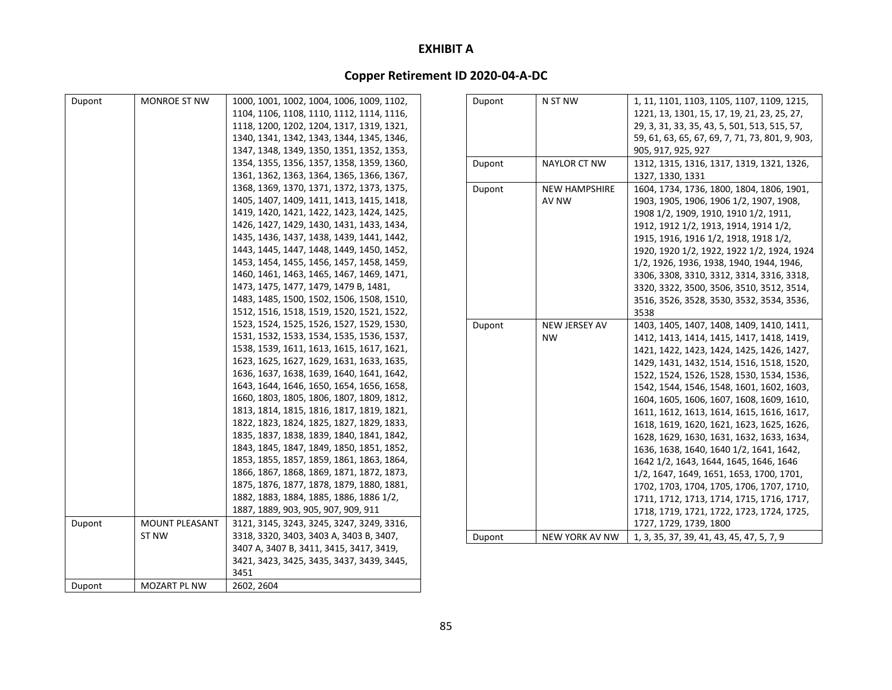| Dupont | MONROE ST NW          | 1000, 1001, 1002, 1004, 1006, 1009, 1102, | Dupont | $N$ :     |
|--------|-----------------------|-------------------------------------------|--------|-----------|
|        |                       | 1104, 1106, 1108, 1110, 1112, 1114, 1116, |        |           |
|        |                       | 1118, 1200, 1202, 1204, 1317, 1319, 1321, |        |           |
|        |                       | 1340, 1341, 1342, 1343, 1344, 1345, 1346, |        |           |
|        |                       | 1347, 1348, 1349, 1350, 1351, 1352, 1353, |        |           |
|        |                       | 1354, 1355, 1356, 1357, 1358, 1359, 1360, | Dupont | NA        |
|        |                       | 1361, 1362, 1363, 1364, 1365, 1366, 1367, |        |           |
|        |                       | 1368, 1369, 1370, 1371, 1372, 1373, 1375, | Dupont | <b>NE</b> |
|        |                       | 1405, 1407, 1409, 1411, 1413, 1415, 1418, |        | AV        |
|        |                       | 1419, 1420, 1421, 1422, 1423, 1424, 1425, |        |           |
|        |                       | 1426, 1427, 1429, 1430, 1431, 1433, 1434, |        |           |
|        |                       | 1435, 1436, 1437, 1438, 1439, 1441, 1442, |        |           |
|        |                       | 1443, 1445, 1447, 1448, 1449, 1450, 1452, |        |           |
|        |                       | 1453, 1454, 1455, 1456, 1457, 1458, 1459, |        |           |
|        |                       | 1460, 1461, 1463, 1465, 1467, 1469, 1471, |        |           |
|        |                       | 1473, 1475, 1477, 1479, 1479 B, 1481,     |        |           |
|        |                       | 1483, 1485, 1500, 1502, 1506, 1508, 1510, |        |           |
|        |                       | 1512, 1516, 1518, 1519, 1520, 1521, 1522, |        |           |
|        |                       | 1523, 1524, 1525, 1526, 1527, 1529, 1530, | Dupont | <b>NE</b> |
|        |                       | 1531, 1532, 1533, 1534, 1535, 1536, 1537, |        | <b>NV</b> |
|        |                       | 1538, 1539, 1611, 1613, 1615, 1617, 1621, |        |           |
|        |                       | 1623, 1625, 1627, 1629, 1631, 1633, 1635, |        |           |
|        |                       | 1636, 1637, 1638, 1639, 1640, 1641, 1642, |        |           |
|        |                       | 1643, 1644, 1646, 1650, 1654, 1656, 1658, |        |           |
|        |                       | 1660, 1803, 1805, 1806, 1807, 1809, 1812, |        |           |
|        |                       | 1813, 1814, 1815, 1816, 1817, 1819, 1821, |        |           |
|        |                       | 1822, 1823, 1824, 1825, 1827, 1829, 1833, |        |           |
|        |                       | 1835, 1837, 1838, 1839, 1840, 1841, 1842, |        |           |
|        |                       | 1843, 1845, 1847, 1849, 1850, 1851, 1852, |        |           |
|        |                       | 1853, 1855, 1857, 1859, 1861, 1863, 1864, |        |           |
|        |                       | 1866, 1867, 1868, 1869, 1871, 1872, 1873, |        |           |
|        |                       | 1875, 1876, 1877, 1878, 1879, 1880, 1881, |        |           |
|        |                       | 1882, 1883, 1884, 1885, 1886, 1886 1/2,   |        |           |
|        |                       | 1887, 1889, 903, 905, 907, 909, 911       |        |           |
| Dupont | <b>MOUNT PLEASANT</b> | 3121, 3145, 3243, 3245, 3247, 3249, 3316, |        |           |
|        | ST NW                 | 3318, 3320, 3403, 3403 A, 3403 B, 3407,   | Dupont | <b>NE</b> |
|        |                       | 3407 A, 3407 B, 3411, 3415, 3417, 3419,   |        |           |
|        |                       | 3421, 3423, 3425, 3435, 3437, 3439, 3445, |        |           |
|        |                       | 3451                                      |        |           |
| Dupont | MOZART PL NW          | 2602, 2604                                |        |           |
|        |                       |                                           |        |           |

| Dupont | N ST NW              | 1, 11, 1101, 1103, 1105, 1107, 1109, 1215,      |
|--------|----------------------|-------------------------------------------------|
|        |                      | 1221, 13, 1301, 15, 17, 19, 21, 23, 25, 27,     |
|        |                      | 29, 3, 31, 33, 35, 43, 5, 501, 513, 515, 57,    |
|        |                      | 59, 61, 63, 65, 67, 69, 7, 71, 73, 801, 9, 903, |
|        |                      | 905, 917, 925, 927                              |
| Dupont | NAYLOR CT NW         | 1312, 1315, 1316, 1317, 1319, 1321, 1326,       |
|        |                      | 1327, 1330, 1331                                |
| Dupont | <b>NEW HAMPSHIRE</b> | 1604, 1734, 1736, 1800, 1804, 1806, 1901,       |
|        | AV NW                | 1903, 1905, 1906, 1906 1/2, 1907, 1908,         |
|        |                      | 1908 1/2, 1909, 1910, 1910 1/2, 1911,           |
|        |                      | 1912, 1912 1/2, 1913, 1914, 1914 1/2,           |
|        |                      | 1915, 1916, 1916 1/2, 1918, 1918 1/2,           |
|        |                      | 1920, 1920 1/2, 1922, 1922 1/2, 1924, 1924      |
|        |                      | 1/2, 1926, 1936, 1938, 1940, 1944, 1946,        |
|        |                      | 3306, 3308, 3310, 3312, 3314, 3316, 3318,       |
|        |                      | 3320, 3322, 3500, 3506, 3510, 3512, 3514,       |
|        |                      | 3516, 3526, 3528, 3530, 3532, 3534, 3536,       |
|        |                      | 3538                                            |
| Dupont | <b>NEW JERSEY AV</b> | 1403, 1405, 1407, 1408, 1409, 1410, 1411,       |
|        | <b>NW</b>            | 1412, 1413, 1414, 1415, 1417, 1418, 1419,       |
|        |                      | 1421, 1422, 1423, 1424, 1425, 1426, 1427,       |
|        |                      | 1429, 1431, 1432, 1514, 1516, 1518, 1520,       |
|        |                      | 1522, 1524, 1526, 1528, 1530, 1534, 1536,       |
|        |                      | 1542, 1544, 1546, 1548, 1601, 1602, 1603,       |
|        |                      | 1604, 1605, 1606, 1607, 1608, 1609, 1610,       |
|        |                      | 1611, 1612, 1613, 1614, 1615, 1616, 1617,       |
|        |                      | 1618, 1619, 1620, 1621, 1623, 1625, 1626,       |
|        |                      | 1628, 1629, 1630, 1631, 1632, 1633, 1634,       |
|        |                      | 1636, 1638, 1640, 1640 1/2, 1641, 1642,         |
|        |                      | 1642 1/2, 1643, 1644, 1645, 1646, 1646          |
|        |                      | 1/2, 1647, 1649, 1651, 1653, 1700, 1701,        |
|        |                      | 1702, 1703, 1704, 1705, 1706, 1707, 1710,       |
|        |                      | 1711, 1712, 1713, 1714, 1715, 1716, 1717,       |
|        |                      | 1718, 1719, 1721, 1722, 1723, 1724, 1725,       |
|        |                      | 1727, 1729, 1739, 1800                          |
| Dupont | NEW YORK AV NW       | 1, 3, 35, 37, 39, 41, 43, 45, 47, 5, 7, 9       |
|        |                      |                                                 |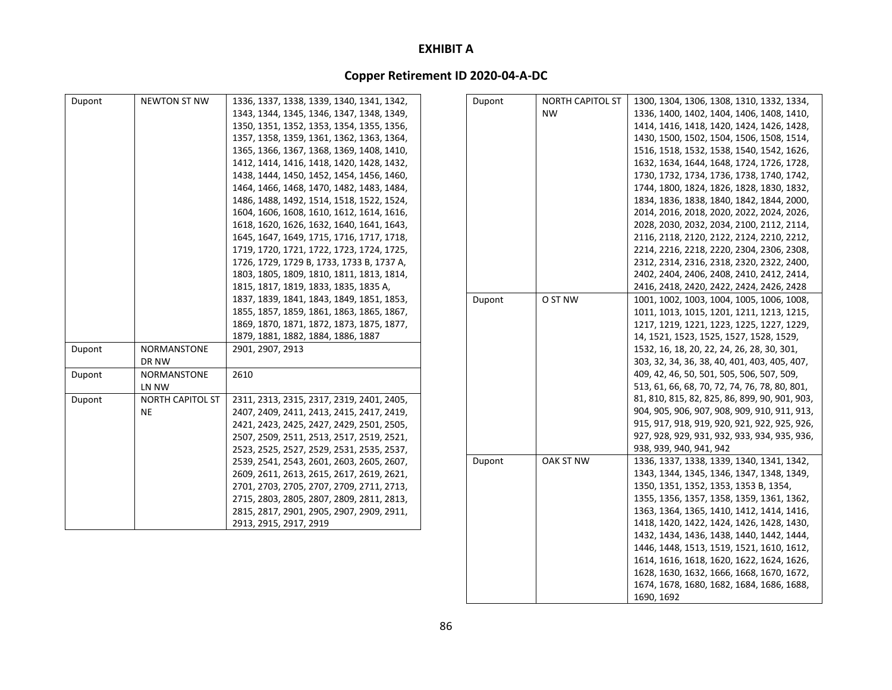# **Copper Retirement ID 2020‐04‐A‐DC**

| Dupont | NEWTON ST NW            | 1336, 1337, 1338, 1339, 1340, 1341, 1342, | Dupont | NORTH CAPITOL ST | 1300, 1304, 1306, 1308, 1310, 1332, 1334,     |
|--------|-------------------------|-------------------------------------------|--------|------------------|-----------------------------------------------|
|        |                         | 1343, 1344, 1345, 1346, 1347, 1348, 1349, |        | <b>NW</b>        | 1336, 1400, 1402, 1404, 1406, 1408, 1410,     |
|        |                         | 1350, 1351, 1352, 1353, 1354, 1355, 1356, |        |                  | 1414, 1416, 1418, 1420, 1424, 1426, 1428,     |
|        |                         | 1357, 1358, 1359, 1361, 1362, 1363, 1364, |        |                  | 1430, 1500, 1502, 1504, 1506, 1508, 1514,     |
|        |                         | 1365, 1366, 1367, 1368, 1369, 1408, 1410, |        |                  | 1516, 1518, 1532, 1538, 1540, 1542, 1626,     |
|        |                         | 1412, 1414, 1416, 1418, 1420, 1428, 1432, |        |                  | 1632, 1634, 1644, 1648, 1724, 1726, 1728,     |
|        |                         | 1438, 1444, 1450, 1452, 1454, 1456, 1460, |        |                  | 1730, 1732, 1734, 1736, 1738, 1740, 1742,     |
|        |                         | 1464, 1466, 1468, 1470, 1482, 1483, 1484, |        |                  | 1744, 1800, 1824, 1826, 1828, 1830, 1832,     |
|        |                         | 1486, 1488, 1492, 1514, 1518, 1522, 1524, |        |                  | 1834, 1836, 1838, 1840, 1842, 1844, 2000,     |
|        |                         | 1604, 1606, 1608, 1610, 1612, 1614, 1616, |        |                  | 2014, 2016, 2018, 2020, 2022, 2024, 2026,     |
|        |                         | 1618, 1620, 1626, 1632, 1640, 1641, 1643, |        |                  | 2028, 2030, 2032, 2034, 2100, 2112, 2114,     |
|        |                         | 1645, 1647, 1649, 1715, 1716, 1717, 1718, |        |                  | 2116, 2118, 2120, 2122, 2124, 2210, 2212,     |
|        |                         | 1719, 1720, 1721, 1722, 1723, 1724, 1725, |        |                  | 2214, 2216, 2218, 2220, 2304, 2306, 2308,     |
|        |                         | 1726, 1729, 1729 B, 1733, 1733 B, 1737 A, |        |                  | 2312, 2314, 2316, 2318, 2320, 2322, 2400,     |
|        |                         | 1803, 1805, 1809, 1810, 1811, 1813, 1814, |        |                  | 2402, 2404, 2406, 2408, 2410, 2412, 2414,     |
|        |                         | 1815, 1817, 1819, 1833, 1835, 1835 A,     |        |                  | 2416, 2418, 2420, 2422, 2424, 2426, 2428      |
|        |                         | 1837, 1839, 1841, 1843, 1849, 1851, 1853, | Dupont | O ST NW          | 1001, 1002, 1003, 1004, 1005, 1006, 1008,     |
|        |                         | 1855, 1857, 1859, 1861, 1863, 1865, 1867, |        |                  | 1011, 1013, 1015, 1201, 1211, 1213, 1215,     |
|        |                         | 1869, 1870, 1871, 1872, 1873, 1875, 1877, |        |                  | 1217, 1219, 1221, 1223, 1225, 1227, 1229,     |
|        |                         | 1879, 1881, 1882, 1884, 1886, 1887        |        |                  | 14, 1521, 1523, 1525, 1527, 1528, 1529,       |
| Dupont | NORMANSTONE             | 2901, 2907, 2913                          |        |                  | 1532, 16, 18, 20, 22, 24, 26, 28, 30, 301,    |
|        | DR NW                   |                                           |        |                  | 303, 32, 34, 36, 38, 40, 401, 403, 405, 407,  |
| Dupont | NORMANSTONE             | 2610                                      |        |                  | 409, 42, 46, 50, 501, 505, 506, 507, 509,     |
|        | LN NW                   |                                           |        |                  | 513, 61, 66, 68, 70, 72, 74, 76, 78, 80, 801, |
| Dupont | <b>NORTH CAPITOL ST</b> | 2311, 2313, 2315, 2317, 2319, 2401, 2405, |        |                  | 81, 810, 815, 82, 825, 86, 899, 90, 901, 903, |
|        | <b>NE</b>               | 2407, 2409, 2411, 2413, 2415, 2417, 2419, |        |                  | 904, 905, 906, 907, 908, 909, 910, 911, 913,  |
|        |                         | 2421, 2423, 2425, 2427, 2429, 2501, 2505, |        |                  | 915, 917, 918, 919, 920, 921, 922, 925, 926,  |
|        |                         | 2507, 2509, 2511, 2513, 2517, 2519, 2521, |        |                  | 927, 928, 929, 931, 932, 933, 934, 935, 936,  |
|        |                         | 2523, 2525, 2527, 2529, 2531, 2535, 2537, |        |                  | 938, 939, 940, 941, 942                       |
|        |                         | 2539, 2541, 2543, 2601, 2603, 2605, 2607, | Dupont | OAK ST NW        | 1336, 1337, 1338, 1339, 1340, 1341, 1342,     |
|        |                         | 2609, 2611, 2613, 2615, 2617, 2619, 2621, |        |                  | 1343, 1344, 1345, 1346, 1347, 1348, 1349,     |
|        |                         | 2701, 2703, 2705, 2707, 2709, 2711, 2713, |        |                  | 1350, 1351, 1352, 1353, 1353 B, 1354,         |
|        |                         | 2715, 2803, 2805, 2807, 2809, 2811, 2813, |        |                  | 1355, 1356, 1357, 1358, 1359, 1361, 1362,     |
|        |                         | 2815, 2817, 2901, 2905, 2907, 2909, 2911, |        |                  | 1363, 1364, 1365, 1410, 1412, 1414, 1416,     |
|        |                         | 2913, 2915, 2917, 2919                    |        |                  | 1418, 1420, 1422, 1424, 1426, 1428, 1430,     |
|        |                         |                                           |        |                  | 1432, 1434, 1436, 1438, 1440, 1442, 1444,     |

1446, 1448, 1513, 1519, 1521, 1610, 1612, 1614, 1616, 1618, 1620, 1622, 1624, 1626, 1628, 1630, 1632, 1666, 1668, 1670, 1672, 1674, 1678, 1680, 1682, 1684, 1686, 1688,

1690, 1692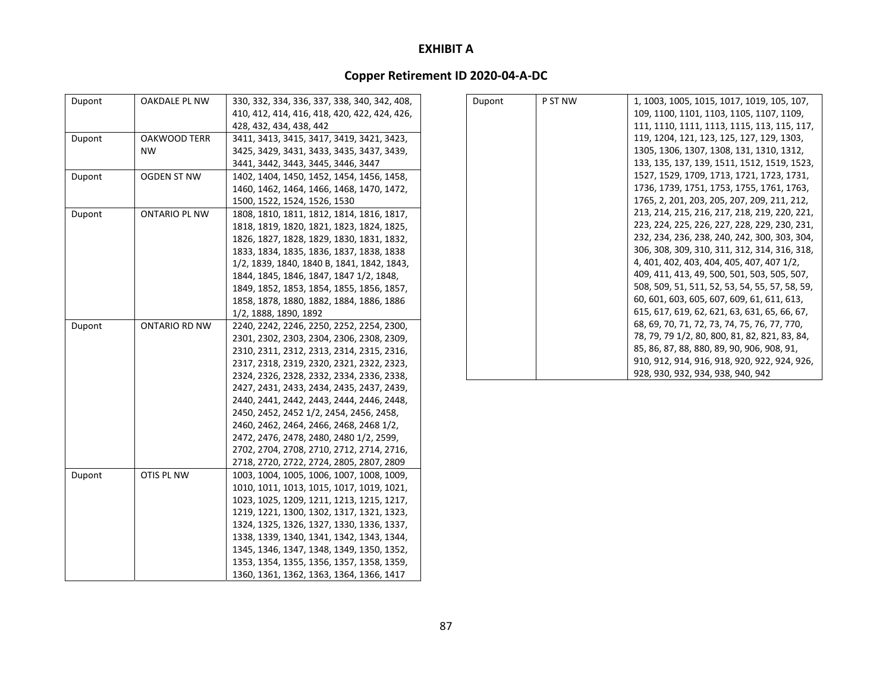| Dupont | OAKDALE PL NW | 330, 332, 334, 336, 337, 338, 340, 342, 408, |
|--------|---------------|----------------------------------------------|
|        |               | 410, 412, 414, 416, 418, 420, 422, 424, 426, |
|        |               |                                              |
|        |               | 428, 432, 434, 438, 442                      |
| Dupont | OAKWOOD TERR  | 3411, 3413, 3415, 3417, 3419, 3421, 3423,    |
|        | <b>NW</b>     | 3425, 3429, 3431, 3433, 3435, 3437, 3439,    |
|        |               | 3441, 3442, 3443, 3445, 3446, 3447           |
| Dupont | OGDEN ST NW   | 1402, 1404, 1450, 1452, 1454, 1456, 1458,    |
|        |               | 1460, 1462, 1464, 1466, 1468, 1470, 1472,    |
|        |               | 1500, 1522, 1524, 1526, 1530                 |
| Dupont | ONTARIO PL NW | 1808, 1810, 1811, 1812, 1814, 1816, 1817,    |
|        |               | 1818, 1819, 1820, 1821, 1823, 1824, 1825,    |
|        |               | 1826, 1827, 1828, 1829, 1830, 1831, 1832,    |
|        |               | 1833, 1834, 1835, 1836, 1837, 1838, 1838     |
|        |               | 1/2, 1839, 1840, 1840 B, 1841, 1842, 1843,   |
|        |               | 1844, 1845, 1846, 1847, 1847 1/2, 1848,      |
|        |               | 1849, 1852, 1853, 1854, 1855, 1856, 1857,    |
|        |               | 1858, 1878, 1880, 1882, 1884, 1886, 1886     |
|        |               | 1/2, 1888, 1890, 1892                        |
| Dupont | ONTARIO RD NW | 2240, 2242, 2246, 2250, 2252, 2254, 2300,    |
|        |               | 2301, 2302, 2303, 2304, 2306, 2308, 2309,    |
|        |               | 2310, 2311, 2312, 2313, 2314, 2315, 2316,    |
|        |               | 2317, 2318, 2319, 2320, 2321, 2322, 2323,    |
|        |               | 2324, 2326, 2328, 2332, 2334, 2336, 2338,    |
|        |               | 2427, 2431, 2433, 2434, 2435, 2437, 2439,    |
|        |               | 2440, 2441, 2442, 2443, 2444, 2446, 2448,    |
|        |               | 2450, 2452, 2452 1/2, 2454, 2456, 2458,      |
|        |               | 2460, 2462, 2464, 2466, 2468, 2468 1/2,      |
|        |               | 2472, 2476, 2478, 2480, 2480 1/2, 2599,      |
|        |               | 2702, 2704, 2708, 2710, 2712, 2714, 2716,    |
|        |               | 2718, 2720, 2722, 2724, 2805, 2807, 2809     |
| Dupont | OTIS PL NW    | 1003, 1004, 1005, 1006, 1007, 1008, 1009,    |
|        |               | 1010, 1011, 1013, 1015, 1017, 1019, 1021,    |
|        |               | 1023, 1025, 1209, 1211, 1213, 1215, 1217,    |
|        |               | 1219, 1221, 1300, 1302, 1317, 1321, 1323,    |
|        |               | 1324, 1325, 1326, 1327, 1330, 1336, 1337,    |
|        |               | 1338, 1339, 1340, 1341, 1342, 1343, 1344,    |
|        |               | 1345, 1346, 1347, 1348, 1349, 1350, 1352,    |
|        |               | 1353, 1354, 1355, 1356, 1357, 1358, 1359,    |
|        |               |                                              |
|        |               | 1360, 1361, 1362, 1363, 1364, 1366, 1417     |

| Dupont | P ST NW | 1, 1003, 1005, 1015, 1017, 1019, 105, 107,     |
|--------|---------|------------------------------------------------|
|        |         | 109, 1100, 1101, 1103, 1105, 1107, 1109,       |
|        |         | 111, 1110, 1111, 1113, 1115, 113, 115, 117,    |
|        |         | 119, 1204, 121, 123, 125, 127, 129, 1303,      |
|        |         | 1305, 1306, 1307, 1308, 131, 1310, 1312,       |
|        |         | 133, 135, 137, 139, 1511, 1512, 1519, 1523,    |
|        |         | 1527, 1529, 1709, 1713, 1721, 1723, 1731,      |
|        |         | 1736, 1739, 1751, 1753, 1755, 1761, 1763,      |
|        |         | 1765, 2, 201, 203, 205, 207, 209, 211, 212,    |
|        |         | 213, 214, 215, 216, 217, 218, 219, 220, 221,   |
|        |         | 223, 224, 225, 226, 227, 228, 229, 230, 231,   |
|        |         | 232, 234, 236, 238, 240, 242, 300, 303, 304,   |
|        |         | 306, 308, 309, 310, 311, 312, 314, 316, 318,   |
|        |         | 4, 401, 402, 403, 404, 405, 407, 407 1/2,      |
|        |         | 409, 411, 413, 49, 500, 501, 503, 505, 507,    |
|        |         | 508, 509, 51, 511, 52, 53, 54, 55, 57, 58, 59, |
|        |         | 60, 601, 603, 605, 607, 609, 61, 611, 613,     |
|        |         | 615, 617, 619, 62, 621, 63, 631, 65, 66, 67,   |
|        |         | 68, 69, 70, 71, 72, 73, 74, 75, 76, 77, 770,   |
|        |         | 78, 79, 79 1/2, 80, 800, 81, 82, 821, 83, 84,  |
|        |         | 85, 86, 87, 88, 880, 89, 90, 906, 908, 91,     |
|        |         | 910, 912, 914, 916, 918, 920, 922, 924, 926,   |
|        |         | 928, 930, 932, 934, 938, 940, 942              |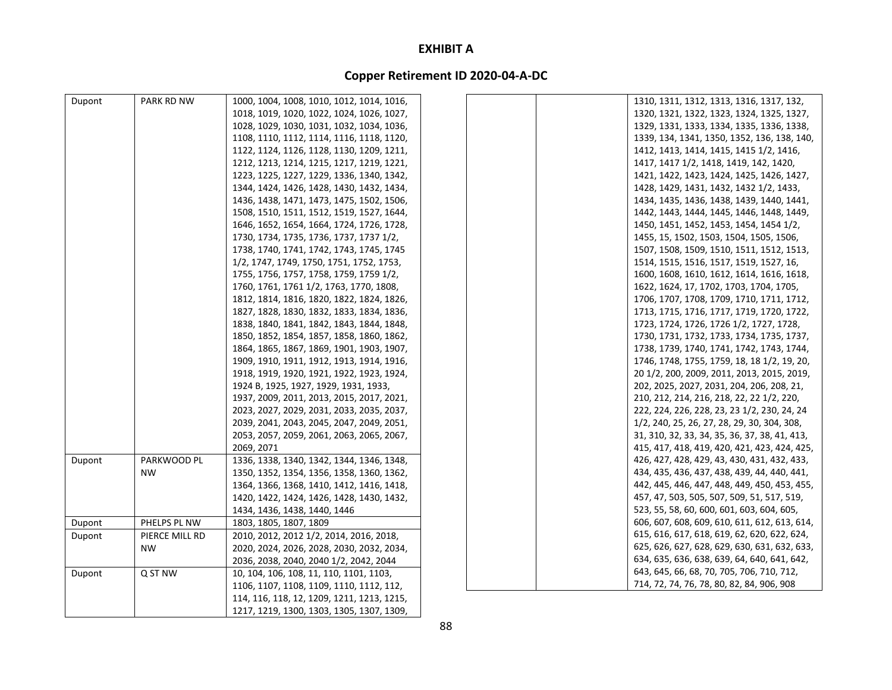| Dupont | PARK RD NW     | 1000, 1004, 1008, 1010, 1012, 1014, 1016,  | 1310, 1311, 1312, 1313, 1316, 1317, 132,      |
|--------|----------------|--------------------------------------------|-----------------------------------------------|
|        |                | 1018, 1019, 1020, 1022, 1024, 1026, 1027,  | 1320, 1321, 1322, 1323, 1324, 1325, 1327,     |
|        |                | 1028, 1029, 1030, 1031, 1032, 1034, 1036,  | 1329, 1331, 1333, 1334, 1335, 1336, 1338,     |
|        |                | 1108, 1110, 1112, 1114, 1116, 1118, 1120,  | 1339, 134, 1341, 1350, 1352, 136, 138, 140,   |
|        |                | 1122, 1124, 1126, 1128, 1130, 1209, 1211,  | 1412, 1413, 1414, 1415, 1415 1/2, 1416,       |
|        |                | 1212, 1213, 1214, 1215, 1217, 1219, 1221,  | 1417, 1417 1/2, 1418, 1419, 142, 1420,        |
|        |                | 1223, 1225, 1227, 1229, 1336, 1340, 1342,  | 1421, 1422, 1423, 1424, 1425, 1426, 1427,     |
|        |                | 1344, 1424, 1426, 1428, 1430, 1432, 1434,  | 1428, 1429, 1431, 1432, 1432 1/2, 1433,       |
|        |                | 1436, 1438, 1471, 1473, 1475, 1502, 1506,  | 1434, 1435, 1436, 1438, 1439, 1440, 1441,     |
|        |                | 1508, 1510, 1511, 1512, 1519, 1527, 1644,  | 1442, 1443, 1444, 1445, 1446, 1448, 1449,     |
|        |                | 1646, 1652, 1654, 1664, 1724, 1726, 1728,  | 1450, 1451, 1452, 1453, 1454, 1454 1/2,       |
|        |                | 1730, 1734, 1735, 1736, 1737, 1737 1/2,    | 1455, 15, 1502, 1503, 1504, 1505, 1506,       |
|        |                | 1738, 1740, 1741, 1742, 1743, 1745, 1745   | 1507, 1508, 1509, 1510, 1511, 1512, 1513,     |
|        |                | 1/2, 1747, 1749, 1750, 1751, 1752, 1753,   | 1514, 1515, 1516, 1517, 1519, 1527, 16,       |
|        |                | 1755, 1756, 1757, 1758, 1759, 1759 1/2,    | 1600, 1608, 1610, 1612, 1614, 1616, 1618,     |
|        |                | 1760, 1761, 1761 1/2, 1763, 1770, 1808,    | 1622, 1624, 17, 1702, 1703, 1704, 1705,       |
|        |                | 1812, 1814, 1816, 1820, 1822, 1824, 1826,  | 1706, 1707, 1708, 1709, 1710, 1711, 1712,     |
|        |                | 1827, 1828, 1830, 1832, 1833, 1834, 1836,  | 1713, 1715, 1716, 1717, 1719, 1720, 1722,     |
|        |                | 1838, 1840, 1841, 1842, 1843, 1844, 1848,  | 1723, 1724, 1726, 1726 1/2, 1727, 1728,       |
|        |                | 1850, 1852, 1854, 1857, 1858, 1860, 1862,  | 1730, 1731, 1732, 1733, 1734, 1735, 1737,     |
|        |                | 1864, 1865, 1867, 1869, 1901, 1903, 1907,  | 1738, 1739, 1740, 1741, 1742, 1743, 1744,     |
|        |                | 1909, 1910, 1911, 1912, 1913, 1914, 1916,  | 1746, 1748, 1755, 1759, 18, 18 1/2, 19, 20,   |
|        |                | 1918, 1919, 1920, 1921, 1922, 1923, 1924,  | 20 1/2, 200, 2009, 2011, 2013, 2015, 2019,    |
|        |                | 1924 B, 1925, 1927, 1929, 1931, 1933,      | 202, 2025, 2027, 2031, 204, 206, 208, 21,     |
|        |                | 1937, 2009, 2011, 2013, 2015, 2017, 2021,  | 210, 212, 214, 216, 218, 22, 22 1/2, 220,     |
|        |                | 2023, 2027, 2029, 2031, 2033, 2035, 2037,  | 222, 224, 226, 228, 23, 23 1/2, 230, 24, 24   |
|        |                | 2039, 2041, 2043, 2045, 2047, 2049, 2051,  | 1/2, 240, 25, 26, 27, 28, 29, 30, 304, 308,   |
|        |                | 2053, 2057, 2059, 2061, 2063, 2065, 2067,  | 31, 310, 32, 33, 34, 35, 36, 37, 38, 41, 413, |
|        |                | 2069, 2071                                 | 415, 417, 418, 419, 420, 421, 423, 424, 425,  |
| Dupont | PARKWOOD PL    | 1336, 1338, 1340, 1342, 1344, 1346, 1348,  | 426, 427, 428, 429, 43, 430, 431, 432, 433,   |
|        | <b>NW</b>      | 1350, 1352, 1354, 1356, 1358, 1360, 1362,  | 434, 435, 436, 437, 438, 439, 44, 440, 441,   |
|        |                | 1364, 1366, 1368, 1410, 1412, 1416, 1418,  | 442, 445, 446, 447, 448, 449, 450, 453, 455,  |
|        |                | 1420, 1422, 1424, 1426, 1428, 1430, 1432,  | 457, 47, 503, 505, 507, 509, 51, 517, 519,    |
|        |                | 1434, 1436, 1438, 1440, 1446               | 523, 55, 58, 60, 600, 601, 603, 604, 605,     |
| Dupont | PHELPS PL NW   | 1803, 1805, 1807, 1809                     | 606, 607, 608, 609, 610, 611, 612, 613, 614,  |
| Dupont | PIERCE MILL RD | 2010, 2012, 2012 1/2, 2014, 2016, 2018,    | 615, 616, 617, 618, 619, 62, 620, 622, 624,   |
|        | <b>NW</b>      | 2020, 2024, 2026, 2028, 2030, 2032, 2034,  | 625, 626, 627, 628, 629, 630, 631, 632, 633,  |
|        |                | 2036, 2038, 2040, 2040 1/2, 2042, 2044     | 634, 635, 636, 638, 639, 64, 640, 641, 642,   |
| Dupont | Q ST NW        | 10, 104, 106, 108, 11, 110, 1101, 1103,    | 643, 645, 66, 68, 70, 705, 706, 710, 712,     |
|        |                | 1106, 1107, 1108, 1109, 1110, 1112, 112,   | 714, 72, 74, 76, 78, 80, 82, 84, 906, 908     |
|        |                | 114, 116, 118, 12, 1209, 1211, 1213, 1215, |                                               |
|        |                | 1217, 1219, 1300, 1303, 1305, 1307, 1309,  |                                               |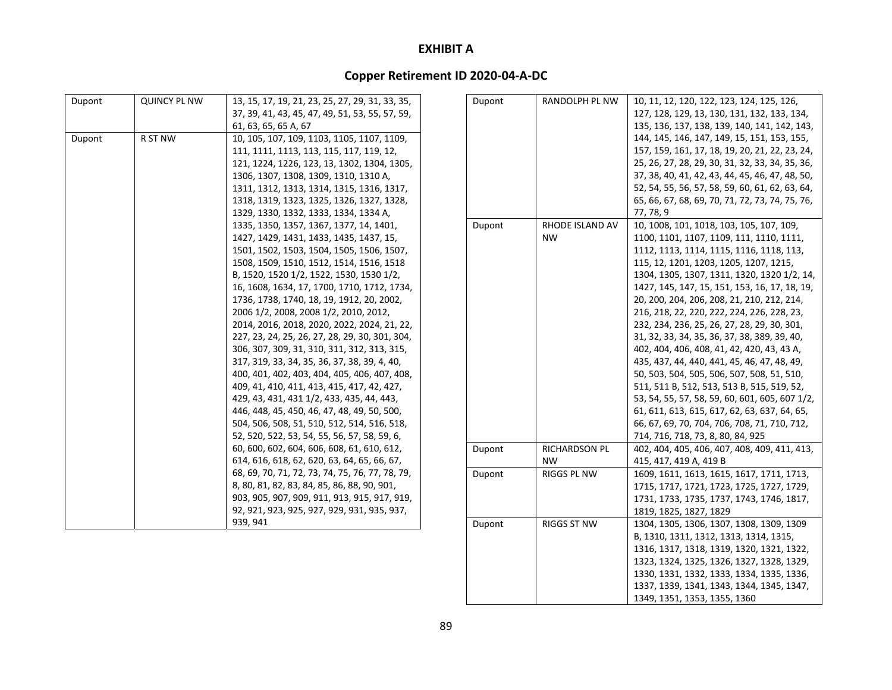| Dupont | <b>QUINCY PL NW</b> | 13, 15, 17, 19, 21, 23, 25, 27, 29, 31, 33, 35, | Du |
|--------|---------------------|-------------------------------------------------|----|
|        |                     | 37, 39, 41, 43, 45, 47, 49, 51, 53, 55, 57, 59, |    |
|        |                     | 61, 63, 65, 65 A, 67                            |    |
| Dupont | R ST NW             | 10, 105, 107, 109, 1103, 1105, 1107, 1109,      |    |
|        |                     | 111, 1111, 1113, 113, 115, 117, 119, 12,        |    |
|        |                     | 121, 1224, 1226, 123, 13, 1302, 1304, 1305,     |    |
|        |                     | 1306, 1307, 1308, 1309, 1310, 1310 A,           |    |
|        |                     | 1311, 1312, 1313, 1314, 1315, 1316, 1317,       |    |
|        |                     | 1318, 1319, 1323, 1325, 1326, 1327, 1328,       |    |
|        |                     | 1329, 1330, 1332, 1333, 1334, 1334 A,           |    |
|        |                     | 1335, 1350, 1357, 1367, 1377, 14, 1401,         | Du |
|        |                     | 1427, 1429, 1431, 1433, 1435, 1437, 15,         |    |
|        |                     | 1501, 1502, 1503, 1504, 1505, 1506, 1507,       |    |
|        |                     | 1508, 1509, 1510, 1512, 1514, 1516, 1518        |    |
|        |                     | B, 1520, 1520 1/2, 1522, 1530, 1530 1/2,        |    |
|        |                     | 16, 1608, 1634, 17, 1700, 1710, 1712, 1734,     |    |
|        |                     | 1736, 1738, 1740, 18, 19, 1912, 20, 2002,       |    |
|        |                     | 2006 1/2, 2008, 2008 1/2, 2010, 2012,           |    |
|        |                     | 2014, 2016, 2018, 2020, 2022, 2024, 21, 22,     |    |
|        |                     | 227, 23, 24, 25, 26, 27, 28, 29, 30, 301, 304,  |    |
|        |                     | 306, 307, 309, 31, 310, 311, 312, 313, 315,     |    |
|        |                     | 317, 319, 33, 34, 35, 36, 37, 38, 39, 4, 40,    |    |
|        |                     | 400, 401, 402, 403, 404, 405, 406, 407, 408,    |    |
|        |                     | 409, 41, 410, 411, 413, 415, 417, 42, 427,      |    |
|        |                     | 429, 43, 431, 431 1/2, 433, 435, 44, 443,       |    |
|        |                     | 446, 448, 45, 450, 46, 47, 48, 49, 50, 500,     |    |
|        |                     | 504, 506, 508, 51, 510, 512, 514, 516, 518,     |    |
|        |                     | 52, 520, 522, 53, 54, 55, 56, 57, 58, 59, 6,    |    |
|        |                     | 60, 600, 602, 604, 606, 608, 61, 610, 612,      | Du |
|        |                     | 614, 616, 618, 62, 620, 63, 64, 65, 66, 67,     |    |
|        |                     | 68, 69, 70, 71, 72, 73, 74, 75, 76, 77, 78, 79, | Du |
|        |                     | 8, 80, 81, 82, 83, 84, 85, 86, 88, 90, 901,     |    |
|        |                     | 903, 905, 907, 909, 911, 913, 915, 917, 919,    |    |
|        |                     | 92, 921, 923, 925, 927, 929, 931, 935, 937,     |    |
|        |                     | 939, 941                                        | Du |
|        |                     |                                                 |    |

| Dupont | RANDOLPH PL NW     | 10, 11, 12, 120, 122, 123, 124, 125, 126,       |
|--------|--------------------|-------------------------------------------------|
|        |                    | 127, 128, 129, 13, 130, 131, 132, 133, 134,     |
|        |                    | 135, 136, 137, 138, 139, 140, 141, 142, 143,    |
|        |                    | 144, 145, 146, 147, 149, 15, 151, 153, 155,     |
|        |                    | 157, 159, 161, 17, 18, 19, 20, 21, 22, 23, 24,  |
|        |                    | 25, 26, 27, 28, 29, 30, 31, 32, 33, 34, 35, 36, |
|        |                    | 37, 38, 40, 41, 42, 43, 44, 45, 46, 47, 48, 50, |
|        |                    | 52, 54, 55, 56, 57, 58, 59, 60, 61, 62, 63, 64, |
|        |                    | 65, 66, 67, 68, 69, 70, 71, 72, 73, 74, 75, 76, |
|        |                    | 77, 78, 9                                       |
| Dupont | RHODE ISLAND AV    | 10, 1008, 101, 1018, 103, 105, 107, 109,        |
|        | <b>NW</b>          | 1100, 1101, 1107, 1109, 111, 1110, 1111,        |
|        |                    | 1112, 1113, 1114, 1115, 1116, 1118, 113,        |
|        |                    | 115, 12, 1201, 1203, 1205, 1207, 1215,          |
|        |                    | 1304, 1305, 1307, 1311, 1320, 1320 1/2, 14,     |
|        |                    | 1427, 145, 147, 15, 151, 153, 16, 17, 18, 19,   |
|        |                    | 20, 200, 204, 206, 208, 21, 210, 212, 214,      |
|        |                    | 216, 218, 22, 220, 222, 224, 226, 228, 23,      |
|        |                    | 232, 234, 236, 25, 26, 27, 28, 29, 30, 301,     |
|        |                    | 31, 32, 33, 34, 35, 36, 37, 38, 389, 39, 40,    |
|        |                    | 402, 404, 406, 408, 41, 42, 420, 43, 43 A,      |
|        |                    | 435, 437, 44, 440, 441, 45, 46, 47, 48, 49,     |
|        |                    | 50, 503, 504, 505, 506, 507, 508, 51, 510,      |
|        |                    | 511, 511 B, 512, 513, 513 B, 515, 519, 52,      |
|        |                    | 53, 54, 55, 57, 58, 59, 60, 601, 605, 607 1/2,  |
|        |                    | 61, 611, 613, 615, 617, 62, 63, 637, 64, 65,    |
|        |                    | 66, 67, 69, 70, 704, 706, 708, 71, 710, 712,    |
|        |                    | 714, 716, 718, 73, 8, 80, 84, 925               |
| Dupont | RICHARDSON PL      | 402, 404, 405, 406, 407, 408, 409, 411, 413,    |
|        | NW                 | 415, 417, 419 A, 419 B                          |
| Dupont | RIGGS PL NW        | 1609, 1611, 1613, 1615, 1617, 1711, 1713,       |
|        |                    | 1715, 1717, 1721, 1723, 1725, 1727, 1729,       |
|        |                    | 1731, 1733, 1735, 1737, 1743, 1746, 1817,       |
|        |                    | 1819, 1825, 1827, 1829                          |
| Dupont | <b>RIGGS ST NW</b> | 1304, 1305, 1306, 1307, 1308, 1309, 1309        |
|        |                    | B, 1310, 1311, 1312, 1313, 1314, 1315,          |
|        |                    | 1316, 1317, 1318, 1319, 1320, 1321, 1322,       |
|        |                    | 1323, 1324, 1325, 1326, 1327, 1328, 1329,       |
|        |                    | 1330, 1331, 1332, 1333, 1334, 1335, 1336,       |
|        |                    | 1337, 1339, 1341, 1343, 1344, 1345, 1347,       |
|        |                    |                                                 |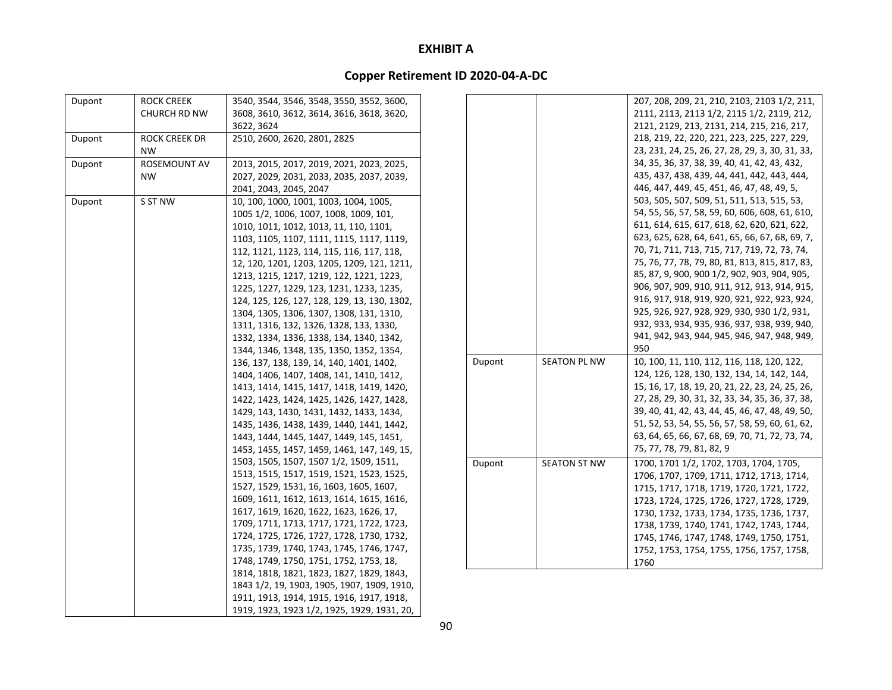| Dupont | <b>ROCK CREEK</b>    | 3540, 3544, 3546, 3548, 3550, 3552, 3600,    |        |                     | 207, 208, 209, 21, 210, 2103, 2103 1/2, 211,    |
|--------|----------------------|----------------------------------------------|--------|---------------------|-------------------------------------------------|
|        | CHURCH RD NW         | 3608, 3610, 3612, 3614, 3616, 3618, 3620,    |        |                     | 2111, 2113, 2113 1/2, 2115 1/2, 2119, 212,      |
|        |                      | 3622, 3624                                   |        |                     | 2121, 2129, 213, 2131, 214, 215, 216, 217,      |
| Dupont | <b>ROCK CREEK DR</b> | 2510, 2600, 2620, 2801, 2825                 |        |                     | 218, 219, 22, 220, 221, 223, 225, 227, 229,     |
|        | <b>NW</b>            |                                              |        |                     | 23, 231, 24, 25, 26, 27, 28, 29, 3, 30, 31, 33, |
| Dupont | ROSEMOUNT AV         | 2013, 2015, 2017, 2019, 2021, 2023, 2025,    |        |                     | 34, 35, 36, 37, 38, 39, 40, 41, 42, 43, 432,    |
|        | <b>NW</b>            | 2027, 2029, 2031, 2033, 2035, 2037, 2039,    |        |                     | 435, 437, 438, 439, 44, 441, 442, 443, 444,     |
|        |                      | 2041, 2043, 2045, 2047                       |        |                     | 446, 447, 449, 45, 451, 46, 47, 48, 49, 5,      |
| Dupont | S ST NW              | 10, 100, 1000, 1001, 1003, 1004, 1005,       |        |                     | 503, 505, 507, 509, 51, 511, 513, 515, 53,      |
|        |                      | 1005 1/2, 1006, 1007, 1008, 1009, 101,       |        |                     | 54, 55, 56, 57, 58, 59, 60, 606, 608, 61, 610,  |
|        |                      | 1010, 1011, 1012, 1013, 11, 110, 1101,       |        |                     | 611, 614, 615, 617, 618, 62, 620, 621, 622,     |
|        |                      | 1103, 1105, 1107, 1111, 1115, 1117, 1119,    |        |                     | 623, 625, 628, 64, 641, 65, 66, 67, 68, 69, 7,  |
|        |                      | 112, 1121, 1123, 114, 115, 116, 117, 118,    |        |                     | 70, 71, 711, 713, 715, 717, 719, 72, 73, 74,    |
|        |                      | 12, 120, 1201, 1203, 1205, 1209, 121, 1211,  |        |                     | 75, 76, 77, 78, 79, 80, 81, 813, 815, 817, 83,  |
|        |                      | 1213, 1215, 1217, 1219, 122, 1221, 1223,     |        |                     | 85, 87, 9, 900, 900 1/2, 902, 903, 904, 905,    |
|        |                      | 1225, 1227, 1229, 123, 1231, 1233, 1235,     |        |                     | 906, 907, 909, 910, 911, 912, 913, 914, 915,    |
|        |                      | 124, 125, 126, 127, 128, 129, 13, 130, 1302, |        |                     | 916, 917, 918, 919, 920, 921, 922, 923, 924,    |
|        |                      | 1304, 1305, 1306, 1307, 1308, 131, 1310,     |        |                     | 925, 926, 927, 928, 929, 930, 930 1/2, 931,     |
|        |                      | 1311, 1316, 132, 1326, 1328, 133, 1330,      |        |                     | 932, 933, 934, 935, 936, 937, 938, 939, 940,    |
|        |                      | 1332, 1334, 1336, 1338, 134, 1340, 1342,     |        |                     | 941, 942, 943, 944, 945, 946, 947, 948, 949,    |
|        |                      | 1344, 1346, 1348, 135, 1350, 1352, 1354,     |        |                     | 950                                             |
|        |                      | 136, 137, 138, 139, 14, 140, 1401, 1402,     | Dupont | <b>SEATON PL NW</b> | 10, 100, 11, 110, 112, 116, 118, 120, 122,      |
|        |                      | 1404, 1406, 1407, 1408, 141, 1410, 1412,     |        |                     | 124, 126, 128, 130, 132, 134, 14, 142, 144,     |
|        |                      | 1413, 1414, 1415, 1417, 1418, 1419, 1420,    |        |                     | 15, 16, 17, 18, 19, 20, 21, 22, 23, 24, 25, 26, |
|        |                      | 1422, 1423, 1424, 1425, 1426, 1427, 1428,    |        |                     | 27, 28, 29, 30, 31, 32, 33, 34, 35, 36, 37, 38, |
|        |                      | 1429, 143, 1430, 1431, 1432, 1433, 1434,     |        |                     | 39, 40, 41, 42, 43, 44, 45, 46, 47, 48, 49, 50, |
|        |                      | 1435, 1436, 1438, 1439, 1440, 1441, 1442,    |        |                     | 51, 52, 53, 54, 55, 56, 57, 58, 59, 60, 61, 62, |
|        |                      | 1443, 1444, 1445, 1447, 1449, 145, 1451,     |        |                     | 63, 64, 65, 66, 67, 68, 69, 70, 71, 72, 73, 74, |
|        |                      | 1453, 1455, 1457, 1459, 1461, 147, 149, 15,  |        |                     | 75, 77, 78, 79, 81, 82, 9                       |
|        |                      | 1503, 1505, 1507, 1507 1/2, 1509, 1511,      | Dupont | <b>SEATON ST NW</b> | 1700, 1701 1/2, 1702, 1703, 1704, 1705,         |
|        |                      | 1513, 1515, 1517, 1519, 1521, 1523, 1525,    |        |                     | 1706, 1707, 1709, 1711, 1712, 1713, 1714,       |
|        |                      | 1527, 1529, 1531, 16, 1603, 1605, 1607,      |        |                     | 1715, 1717, 1718, 1719, 1720, 1721, 1722,       |
|        |                      | 1609, 1611, 1612, 1613, 1614, 1615, 1616,    |        |                     | 1723, 1724, 1725, 1726, 1727, 1728, 1729,       |
|        |                      | 1617, 1619, 1620, 1622, 1623, 1626, 17,      |        |                     | 1730, 1732, 1733, 1734, 1735, 1736, 1737,       |
|        |                      | 1709, 1711, 1713, 1717, 1721, 1722, 1723,    |        |                     | 1738, 1739, 1740, 1741, 1742, 1743, 1744,       |
|        |                      | 1724, 1725, 1726, 1727, 1728, 1730, 1732,    |        |                     | 1745, 1746, 1747, 1748, 1749, 1750, 1751,       |
|        |                      | 1735, 1739, 1740, 1743, 1745, 1746, 1747,    |        |                     | 1752, 1753, 1754, 1755, 1756, 1757, 1758,       |
|        |                      | 1748, 1749, 1750, 1751, 1752, 1753, 18,      |        |                     | 1760                                            |
|        |                      | 1814, 1818, 1821, 1823, 1827, 1829, 1843,    |        |                     |                                                 |
|        |                      | 1843 1/2, 19, 1903, 1905, 1907, 1909, 1910,  |        |                     |                                                 |
|        |                      | 1911, 1913, 1914, 1915, 1916, 1917, 1918,    |        |                     |                                                 |
|        |                      | 1919, 1923, 1923 1/2, 1925, 1929, 1931, 20,  |        |                     |                                                 |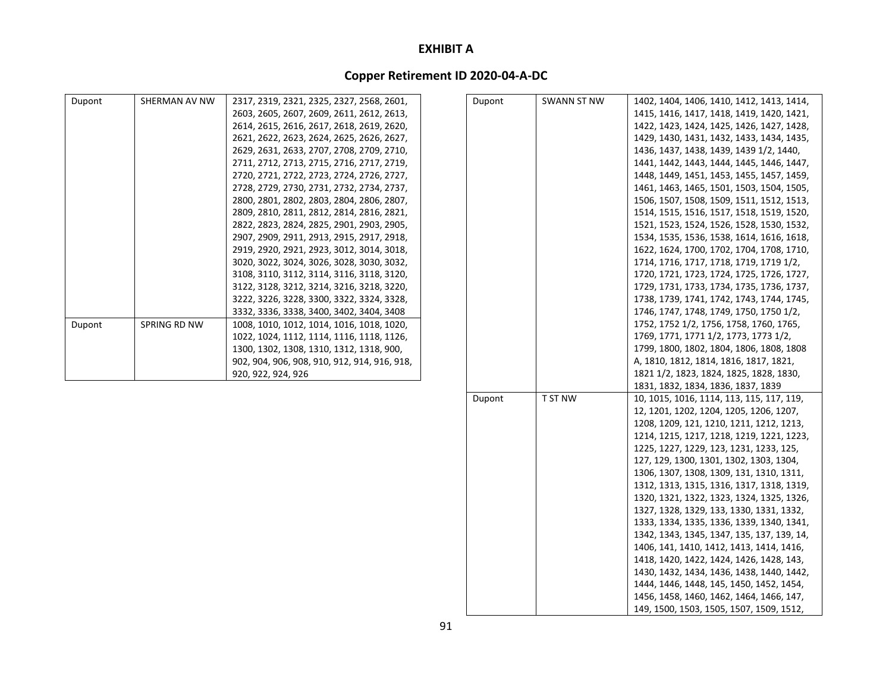## **Copper Retirement ID 2020‐04‐A‐DC**

| Dupont | SHERMAN AV NW | 2317, 2319, 2321, 2325, 2327, 2568, 2601,    | Dupont | <b>SWANN ST NW</b> | 1402, 1404, 1406, 1410, 1412, 1413, 1414, |
|--------|---------------|----------------------------------------------|--------|--------------------|-------------------------------------------|
|        |               | 2603, 2605, 2607, 2609, 2611, 2612, 2613,    |        |                    | 1415, 1416, 1417, 1418, 1419, 1420, 1421, |
|        |               | 2614, 2615, 2616, 2617, 2618, 2619, 2620,    |        |                    | 1422, 1423, 1424, 1425, 1426, 1427, 1428, |
|        |               | 2621, 2622, 2623, 2624, 2625, 2626, 2627,    |        |                    | 1429, 1430, 1431, 1432, 1433, 1434, 1435, |
|        |               | 2629, 2631, 2633, 2707, 2708, 2709, 2710,    |        |                    | 1436, 1437, 1438, 1439, 1439 1/2, 1440,   |
|        |               | 2711, 2712, 2713, 2715, 2716, 2717, 2719,    |        |                    | 1441, 1442, 1443, 1444, 1445, 1446, 1447, |
|        |               | 2720, 2721, 2722, 2723, 2724, 2726, 2727,    |        |                    | 1448, 1449, 1451, 1453, 1455, 1457, 1459, |
|        |               | 2728, 2729, 2730, 2731, 2732, 2734, 2737,    |        |                    | 1461, 1463, 1465, 1501, 1503, 1504, 1505, |
|        |               | 2800, 2801, 2802, 2803, 2804, 2806, 2807,    |        |                    | 1506, 1507, 1508, 1509, 1511, 1512, 1513, |
|        |               | 2809, 2810, 2811, 2812, 2814, 2816, 2821,    |        |                    | 1514, 1515, 1516, 1517, 1518, 1519, 1520, |
|        |               | 2822, 2823, 2824, 2825, 2901, 2903, 2905,    |        |                    | 1521, 1523, 1524, 1526, 1528, 1530, 1532, |
|        |               | 2907, 2909, 2911, 2913, 2915, 2917, 2918,    |        |                    | 1534, 1535, 1536, 1538, 1614, 1616, 1618, |
|        |               | 2919, 2920, 2921, 2923, 3012, 3014, 3018,    |        |                    | 1622, 1624, 1700, 1702, 1704, 1708, 1710, |
|        |               | 3020, 3022, 3024, 3026, 3028, 3030, 3032,    |        |                    | 1714, 1716, 1717, 1718, 1719, 1719 1/2,   |
|        |               | 3108, 3110, 3112, 3114, 3116, 3118, 3120,    |        |                    | 1720, 1721, 1723, 1724, 1725, 1726, 1727, |
|        |               | 3122, 3128, 3212, 3214, 3216, 3218, 3220,    |        |                    | 1729, 1731, 1733, 1734, 1735, 1736, 1737, |
|        |               | 3222, 3226, 3228, 3300, 3322, 3324, 3328,    |        |                    | 1738, 1739, 1741, 1742, 1743, 1744, 1745, |
|        |               | 3332, 3336, 3338, 3400, 3402, 3404, 3408     |        |                    | 1746, 1747, 1748, 1749, 1750, 1750 1/2,   |
| Dupont | SPRING RD NW  | 1008, 1010, 1012, 1014, 1016, 1018, 1020,    |        |                    | 1752, 1752 1/2, 1756, 1758, 1760, 1765,   |
|        |               | 1022, 1024, 1112, 1114, 1116, 1118, 1126,    |        |                    | 1769, 1771, 1771 1/2, 1773, 1773 1/2,     |
|        |               | 1300, 1302, 1308, 1310, 1312, 1318, 900,     |        |                    | 1799, 1800, 1802, 1804, 1806, 1808, 1808  |
|        |               | 902, 904, 906, 908, 910, 912, 914, 916, 918, |        |                    | A, 1810, 1812, 1814, 1816, 1817, 1821,    |
|        |               | 920, 922, 924, 926                           |        |                    | 1821 1/2, 1823, 1824, 1825, 1828, 1830,   |
|        |               |                                              |        |                    | 1831, 1832, 1834, 1836, 1837, 1839        |
|        |               |                                              | Dupont | T ST NW            | 10, 1015, 1016, 1114, 113, 115, 117, 119, |
|        |               |                                              |        |                    | 12, 1201, 1202, 1204, 1205, 1206, 1207,   |
|        |               |                                              |        |                    | 1208, 1209, 121, 1210, 1211, 1212, 1213,  |
|        |               |                                              |        |                    | 1214, 1215, 1217, 1218, 1219, 1221, 1223, |
|        |               |                                              |        |                    | 1225, 1227, 1229, 123, 1231, 1233, 125,   |
|        |               |                                              |        |                    | 127, 129, 1300, 1301, 1302, 1303, 1304,   |
|        |               |                                              |        |                    | 1306, 1307, 1308, 1309, 131, 1310, 1311,  |
|        |               |                                              |        |                    | 1312, 1313, 1315, 1316, 1317, 1318, 1319, |
|        |               |                                              |        |                    | 1320, 1321, 1322, 1323, 1324, 1325, 1326, |
|        |               |                                              |        |                    | 1327, 1328, 1329, 133, 1330, 1331, 1332,  |

1333, 1334, 1335, 1336, 1339, 1340, 1341, 1342, 1343, 1345, 1347, 135, 137, 139, 14, 1406, 141, 1410, 1412, 1413, 1414, 1416, 1418, 1420, 1422, 1424, 1426, 1428, 143, 1430, 1432, 1434, 1436, 1438, 1440, 1442, 1444, 1446, 1448, 145, 1450, 1452, 1454, 1456, 1458, 1460, 1462, 1464, 1466, 147, 149, 1500, 1503, 1505, 1507, 1509, 1512,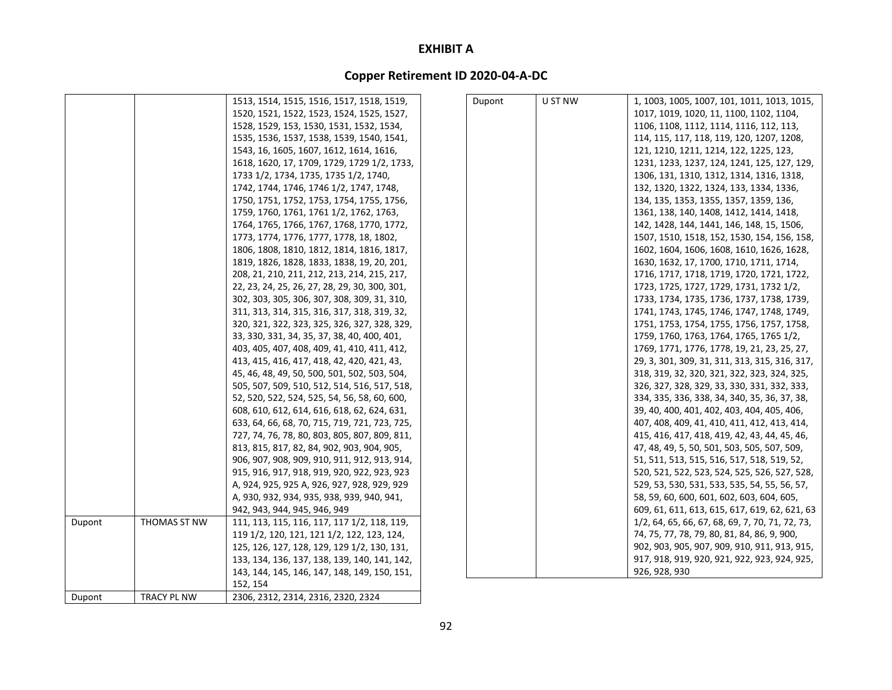|        |                    | 1513, 1514, 1515, 1516, 1517, 1518, 1519,     | Dupont | U ST NW | 1, 1003, 1005, 1007, 101, 1011, 1013, 1015,     |
|--------|--------------------|-----------------------------------------------|--------|---------|-------------------------------------------------|
|        |                    | 1520, 1521, 1522, 1523, 1524, 1525, 1527,     |        |         | 1017, 1019, 1020, 11, 1100, 1102, 1104,         |
|        |                    | 1528, 1529, 153, 1530, 1531, 1532, 1534,      |        |         | 1106, 1108, 1112, 1114, 1116, 112, 113,         |
|        |                    | 1535, 1536, 1537, 1538, 1539, 1540, 1541,     |        |         | 114, 115, 117, 118, 119, 120, 1207, 1208,       |
|        |                    | 1543, 16, 1605, 1607, 1612, 1614, 1616,       |        |         | 121, 1210, 1211, 1214, 122, 1225, 123,          |
|        |                    | 1618, 1620, 17, 1709, 1729, 1729 1/2, 1733,   |        |         | 1231, 1233, 1237, 124, 1241, 125, 127, 129,     |
|        |                    | 1733 1/2, 1734, 1735, 1735 1/2, 1740,         |        |         | 1306, 131, 1310, 1312, 1314, 1316, 1318,        |
|        |                    | 1742, 1744, 1746, 1746 1/2, 1747, 1748,       |        |         | 132, 1320, 1322, 1324, 133, 1334, 1336,         |
|        |                    | 1750, 1751, 1752, 1753, 1754, 1755, 1756,     |        |         | 134, 135, 1353, 1355, 1357, 1359, 136,          |
|        |                    | 1759, 1760, 1761, 1761 1/2, 1762, 1763,       |        |         | 1361, 138, 140, 1408, 1412, 1414, 1418,         |
|        |                    | 1764, 1765, 1766, 1767, 1768, 1770, 1772,     |        |         | 142, 1428, 144, 1441, 146, 148, 15, 1506,       |
|        |                    | 1773, 1774, 1776, 1777, 1778, 18, 1802,       |        |         | 1507, 1510, 1518, 152, 1530, 154, 156, 158,     |
|        |                    | 1806, 1808, 1810, 1812, 1814, 1816, 1817,     |        |         | 1602, 1604, 1606, 1608, 1610, 1626, 1628,       |
|        |                    | 1819, 1826, 1828, 1833, 1838, 19, 20, 201,    |        |         | 1630, 1632, 17, 1700, 1710, 1711, 1714,         |
|        |                    | 208, 21, 210, 211, 212, 213, 214, 215, 217,   |        |         | 1716, 1717, 1718, 1719, 1720, 1721, 1722,       |
|        |                    | 22, 23, 24, 25, 26, 27, 28, 29, 30, 300, 301, |        |         | 1723, 1725, 1727, 1729, 1731, 1732 1/2,         |
|        |                    | 302, 303, 305, 306, 307, 308, 309, 31, 310,   |        |         | 1733, 1734, 1735, 1736, 1737, 1738, 1739,       |
|        |                    | 311, 313, 314, 315, 316, 317, 318, 319, 32,   |        |         | 1741, 1743, 1745, 1746, 1747, 1748, 1749,       |
|        |                    | 320, 321, 322, 323, 325, 326, 327, 328, 329,  |        |         | 1751, 1753, 1754, 1755, 1756, 1757, 1758,       |
|        |                    | 33, 330, 331, 34, 35, 37, 38, 40, 400, 401,   |        |         | 1759, 1760, 1763, 1764, 1765, 1765 1/2,         |
|        |                    | 403, 405, 407, 408, 409, 41, 410, 411, 412,   |        |         | 1769, 1771, 1776, 1778, 19, 21, 23, 25, 27,     |
|        |                    | 413, 415, 416, 417, 418, 42, 420, 421, 43,    |        |         | 29, 3, 301, 309, 31, 311, 313, 315, 316, 317,   |
|        |                    | 45, 46, 48, 49, 50, 500, 501, 502, 503, 504,  |        |         | 318, 319, 32, 320, 321, 322, 323, 324, 325,     |
|        |                    | 505, 507, 509, 510, 512, 514, 516, 517, 518,  |        |         | 326, 327, 328, 329, 33, 330, 331, 332, 333,     |
|        |                    | 52, 520, 522, 524, 525, 54, 56, 58, 60, 600,  |        |         | 334, 335, 336, 338, 34, 340, 35, 36, 37, 38,    |
|        |                    | 608, 610, 612, 614, 616, 618, 62, 624, 631,   |        |         | 39, 40, 400, 401, 402, 403, 404, 405, 406,      |
|        |                    | 633, 64, 66, 68, 70, 715, 719, 721, 723, 725, |        |         | 407, 408, 409, 41, 410, 411, 412, 413, 414,     |
|        |                    | 727, 74, 76, 78, 80, 803, 805, 807, 809, 811, |        |         | 415, 416, 417, 418, 419, 42, 43, 44, 45, 46,    |
|        |                    | 813, 815, 817, 82, 84, 902, 903, 904, 905,    |        |         | 47, 48, 49, 5, 50, 501, 503, 505, 507, 509,     |
|        |                    | 906, 907, 908, 909, 910, 911, 912, 913, 914,  |        |         | 51, 511, 513, 515, 516, 517, 518, 519, 52,      |
|        |                    | 915, 916, 917, 918, 919, 920, 922, 923, 923   |        |         | 520, 521, 522, 523, 524, 525, 526, 527, 528,    |
|        |                    | A, 924, 925, 925 A, 926, 927, 928, 929, 929   |        |         | 529, 53, 530, 531, 533, 535, 54, 55, 56, 57,    |
|        |                    | A, 930, 932, 934, 935, 938, 939, 940, 941,    |        |         | 58, 59, 60, 600, 601, 602, 603, 604, 605,       |
|        |                    | 942, 943, 944, 945, 946, 949                  |        |         | 609, 61, 611, 613, 615, 617, 619, 62, 621, 63   |
| Dupont | THOMAS ST NW       | 111, 113, 115, 116, 117, 117 1/2, 118, 119,   |        |         | 1/2, 64, 65, 66, 67, 68, 69, 7, 70, 71, 72, 73, |
|        |                    | 119 1/2, 120, 121, 121 1/2, 122, 123, 124,    |        |         | 74, 75, 77, 78, 79, 80, 81, 84, 86, 9, 900,     |
|        |                    | 125, 126, 127, 128, 129, 129 1/2, 130, 131,   |        |         | 902, 903, 905, 907, 909, 910, 911, 913, 915,    |
|        |                    | 133, 134, 136, 137, 138, 139, 140, 141, 142,  |        |         | 917, 918, 919, 920, 921, 922, 923, 924, 925,    |
|        |                    | 143, 144, 145, 146, 147, 148, 149, 150, 151,  |        |         | 926, 928, 930                                   |
|        |                    | 152, 154                                      |        |         |                                                 |
| Dupont | <b>TRACY PL NW</b> | 2306, 2312, 2314, 2316, 2320, 2324            |        |         |                                                 |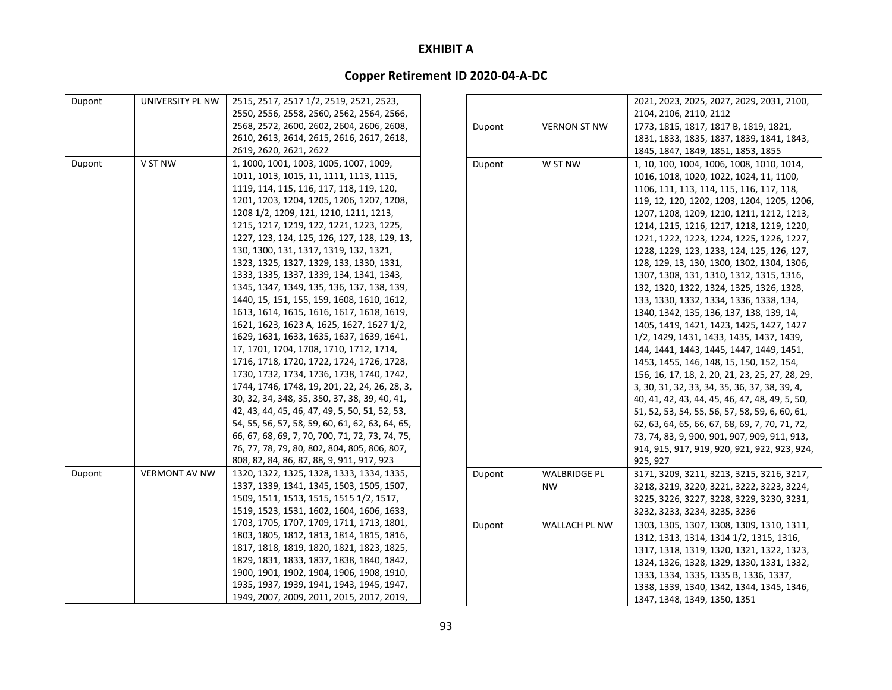| Dupont | UNIVERSITY PL NW     | 2515, 2517, 2517 1/2, 2519, 2521, 2523,         |        |                     | 2021, 2023, 2025, 2027, 2029, 2031, 2100,       |
|--------|----------------------|-------------------------------------------------|--------|---------------------|-------------------------------------------------|
|        |                      | 2550, 2556, 2558, 2560, 2562, 2564, 2566,       |        |                     | 2104, 2106, 2110, 2112                          |
|        |                      | 2568, 2572, 2600, 2602, 2604, 2606, 2608,       | Dupont | <b>VERNON ST NW</b> | 1773, 1815, 1817, 1817 B, 1819, 1821,           |
|        |                      | 2610, 2613, 2614, 2615, 2616, 2617, 2618,       |        |                     | 1831, 1833, 1835, 1837, 1839, 1841, 1843,       |
|        |                      | 2619, 2620, 2621, 2622                          |        |                     | 1845, 1847, 1849, 1851, 1853, 1855              |
| Dupont | V ST NW              | 1, 1000, 1001, 1003, 1005, 1007, 1009,          | Dupont | W ST NW             | 1, 10, 100, 1004, 1006, 1008, 1010, 1014,       |
|        |                      | 1011, 1013, 1015, 11, 1111, 1113, 1115,         |        |                     | 1016, 1018, 1020, 1022, 1024, 11, 1100,         |
|        |                      | 1119, 114, 115, 116, 117, 118, 119, 120,        |        |                     | 1106, 111, 113, 114, 115, 116, 117, 118,        |
|        |                      | 1201, 1203, 1204, 1205, 1206, 1207, 1208,       |        |                     | 119, 12, 120, 1202, 1203, 1204, 1205, 1206,     |
|        |                      | 1208 1/2, 1209, 121, 1210, 1211, 1213,          |        |                     | 1207, 1208, 1209, 1210, 1211, 1212, 1213,       |
|        |                      | 1215, 1217, 1219, 122, 1221, 1223, 1225,        |        |                     | 1214, 1215, 1216, 1217, 1218, 1219, 1220,       |
|        |                      | 1227, 123, 124, 125, 126, 127, 128, 129, 13,    |        |                     | 1221, 1222, 1223, 1224, 1225, 1226, 1227,       |
|        |                      | 130, 1300, 131, 1317, 1319, 132, 1321,          |        |                     | 1228, 1229, 123, 1233, 124, 125, 126, 127,      |
|        |                      | 1323, 1325, 1327, 1329, 133, 1330, 1331,        |        |                     | 128, 129, 13, 130, 1300, 1302, 1304, 1306,      |
|        |                      | 1333, 1335, 1337, 1339, 134, 1341, 1343,        |        |                     | 1307, 1308, 131, 1310, 1312, 1315, 1316,        |
|        |                      | 1345, 1347, 1349, 135, 136, 137, 138, 139,      |        |                     | 132, 1320, 1322, 1324, 1325, 1326, 1328,        |
|        |                      | 1440, 15, 151, 155, 159, 1608, 1610, 1612,      |        |                     | 133, 1330, 1332, 1334, 1336, 1338, 134,         |
|        |                      | 1613, 1614, 1615, 1616, 1617, 1618, 1619,       |        |                     | 1340, 1342, 135, 136, 137, 138, 139, 14,        |
|        |                      | 1621, 1623, 1623 A, 1625, 1627, 1627 1/2,       |        |                     | 1405, 1419, 1421, 1423, 1425, 1427, 1427        |
|        |                      | 1629, 1631, 1633, 1635, 1637, 1639, 1641,       |        |                     | 1/2, 1429, 1431, 1433, 1435, 1437, 1439,        |
|        |                      | 17, 1701, 1704, 1708, 1710, 1712, 1714,         |        |                     | 144, 1441, 1443, 1445, 1447, 1449, 1451,        |
|        |                      | 1716, 1718, 1720, 1722, 1724, 1726, 1728,       |        |                     | 1453, 1455, 146, 148, 15, 150, 152, 154,        |
|        |                      | 1730, 1732, 1734, 1736, 1738, 1740, 1742,       |        |                     | 156, 16, 17, 18, 2, 20, 21, 23, 25, 27, 28, 29, |
|        |                      | 1744, 1746, 1748, 19, 201, 22, 24, 26, 28, 3,   |        |                     | 3, 30, 31, 32, 33, 34, 35, 36, 37, 38, 39, 4,   |
|        |                      | 30, 32, 34, 348, 35, 350, 37, 38, 39, 40, 41,   |        |                     | 40, 41, 42, 43, 44, 45, 46, 47, 48, 49, 5, 50,  |
|        |                      | 42, 43, 44, 45, 46, 47, 49, 5, 50, 51, 52, 53,  |        |                     | 51, 52, 53, 54, 55, 56, 57, 58, 59, 6, 60, 61,  |
|        |                      | 54, 55, 56, 57, 58, 59, 60, 61, 62, 63, 64, 65, |        |                     | 62, 63, 64, 65, 66, 67, 68, 69, 7, 70, 71, 72,  |
|        |                      | 66, 67, 68, 69, 7, 70, 700, 71, 72, 73, 74, 75, |        |                     | 73, 74, 83, 9, 900, 901, 907, 909, 911, 913,    |
|        |                      | 76, 77, 78, 79, 80, 802, 804, 805, 806, 807,    |        |                     | 914, 915, 917, 919, 920, 921, 922, 923, 924,    |
|        |                      | 808, 82, 84, 86, 87, 88, 9, 911, 917, 923       |        |                     | 925, 927                                        |
| Dupont | <b>VERMONT AV NW</b> | 1320, 1322, 1325, 1328, 1333, 1334, 1335,       | Dupont | <b>WALBRIDGE PL</b> | 3171, 3209, 3211, 3213, 3215, 3216, 3217,       |
|        |                      | 1337, 1339, 1341, 1345, 1503, 1505, 1507,       |        | <b>NW</b>           | 3218, 3219, 3220, 3221, 3222, 3223, 3224,       |
|        |                      | 1509, 1511, 1513, 1515, 1515 1/2, 1517,         |        |                     | 3225, 3226, 3227, 3228, 3229, 3230, 3231,       |
|        |                      | 1519, 1523, 1531, 1602, 1604, 1606, 1633,       |        |                     | 3232, 3233, 3234, 3235, 3236                    |
|        |                      | 1703, 1705, 1707, 1709, 1711, 1713, 1801,       | Dupont | WALLACH PL NW       | 1303, 1305, 1307, 1308, 1309, 1310, 1311,       |
|        |                      | 1803, 1805, 1812, 1813, 1814, 1815, 1816,       |        |                     | 1312, 1313, 1314, 1314 1/2, 1315, 1316,         |
|        |                      | 1817, 1818, 1819, 1820, 1821, 1823, 1825,       |        |                     | 1317, 1318, 1319, 1320, 1321, 1322, 1323,       |
|        |                      | 1829, 1831, 1833, 1837, 1838, 1840, 1842,       |        |                     | 1324, 1326, 1328, 1329, 1330, 1331, 1332,       |
|        |                      | 1900, 1901, 1902, 1904, 1906, 1908, 1910,       |        |                     | 1333, 1334, 1335, 1335 B, 1336, 1337,           |
|        |                      | 1935, 1937, 1939, 1941, 1943, 1945, 1947,       |        |                     | 1338, 1339, 1340, 1342, 1344, 1345, 1346,       |
|        |                      | 1949, 2007, 2009, 2011, 2015, 2017, 2019,       |        |                     | 1347, 1348, 1349, 1350, 1351                    |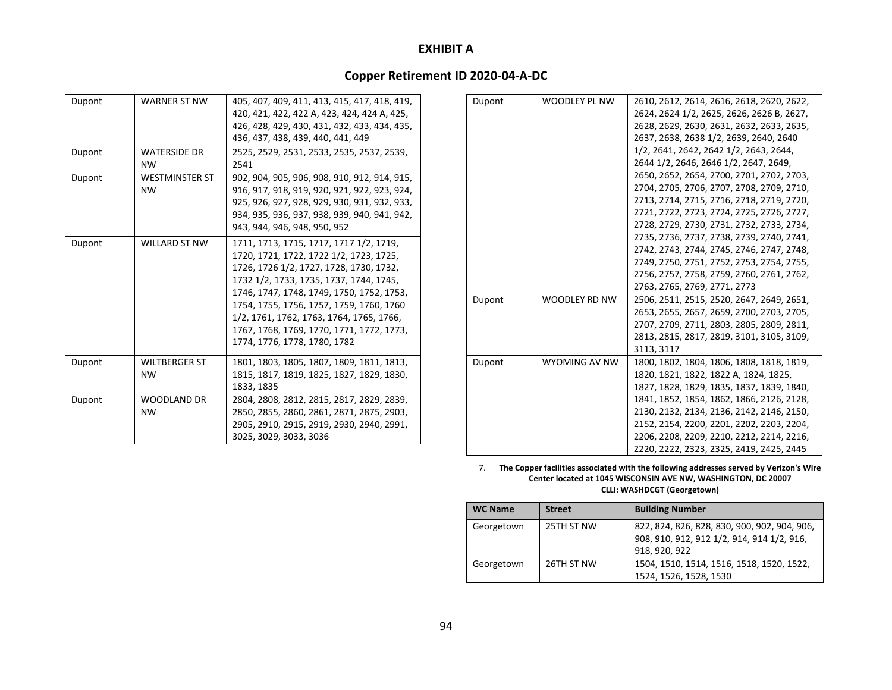## **Copper Retirement ID 2020‐04‐A‐DC**

| Dupont | WARNER ST NW          | 405, 407, 409, 411, 413, 415, 417, 418, 419, |
|--------|-----------------------|----------------------------------------------|
|        |                       | 420, 421, 422, 422 A, 423, 424, 424 A, 425,  |
|        |                       | 426, 428, 429, 430, 431, 432, 433, 434, 435, |
|        |                       | 436, 437, 438, 439, 440, 441, 449            |
| Dupont | <b>WATERSIDE DR</b>   | 2525, 2529, 2531, 2533, 2535, 2537, 2539,    |
|        | NW.                   | 2541                                         |
| Dupont | <b>WESTMINSTER ST</b> | 902, 904, 905, 906, 908, 910, 912, 914, 915, |
|        | <b>NW</b>             | 916, 917, 918, 919, 920, 921, 922, 923, 924, |
|        |                       | 925, 926, 927, 928, 929, 930, 931, 932, 933, |
|        |                       | 934, 935, 936, 937, 938, 939, 940, 941, 942, |
|        |                       | 943, 944, 946, 948, 950, 952                 |
| Dupont | WILLARD ST NW         | 1711, 1713, 1715, 1717, 1717 1/2, 1719,      |
|        |                       | 1720, 1721, 1722, 1722 1/2, 1723, 1725,      |
|        |                       | 1726, 1726 1/2, 1727, 1728, 1730, 1732,      |
|        |                       | 1732 1/2, 1733, 1735, 1737, 1744, 1745,      |
|        |                       | 1746, 1747, 1748, 1749, 1750, 1752, 1753,    |
|        |                       | 1754, 1755, 1756, 1757, 1759, 1760, 1760     |
|        |                       | 1/2, 1761, 1762, 1763, 1764, 1765, 1766,     |
|        |                       | 1767, 1768, 1769, 1770, 1771, 1772, 1773,    |
|        |                       | 1774, 1776, 1778, 1780, 1782                 |
| Dupont | WILTBERGER ST         | 1801, 1803, 1805, 1807, 1809, 1811, 1813,    |
|        | <b>NW</b>             | 1815, 1817, 1819, 1825, 1827, 1829, 1830,    |
|        |                       | 1833, 1835                                   |
| Dupont | <b>WOODLAND DR</b>    | 2804, 2808, 2812, 2815, 2817, 2829, 2839,    |
|        | <b>NW</b>             | 2850, 2855, 2860, 2861, 2871, 2875, 2903,    |
|        |                       | 2905, 2910, 2915, 2919, 2930, 2940, 2991,    |
|        |                       | 3025, 3029, 3033, 3036                       |
|        |                       |                                              |

|               | 2610, 2612, 2614, 2616, 2618, 2620, 2622, |
|---------------|-------------------------------------------|
|               | 2624, 2624 1/2, 2625, 2626, 2626 B, 2627, |
|               | 2628, 2629, 2630, 2631, 2632, 2633, 2635, |
|               | 2637, 2638, 2638 1/2, 2639, 2640, 2640    |
|               | 1/2, 2641, 2642, 2642 1/2, 2643, 2644,    |
|               | 2644 1/2, 2646, 2646 1/2, 2647, 2649,     |
|               | 2650, 2652, 2654, 2700, 2701, 2702, 2703, |
|               | 2704, 2705, 2706, 2707, 2708, 2709, 2710, |
|               | 2713, 2714, 2715, 2716, 2718, 2719, 2720, |
|               | 2721, 2722, 2723, 2724, 2725, 2726, 2727, |
|               | 2728, 2729, 2730, 2731, 2732, 2733, 2734, |
|               | 2735, 2736, 2737, 2738, 2739, 2740, 2741, |
|               | 2742, 2743, 2744, 2745, 2746, 2747, 2748, |
|               | 2749, 2750, 2751, 2752, 2753, 2754, 2755, |
|               | 2756, 2757, 2758, 2759, 2760, 2761, 2762, |
|               | 2763, 2765, 2769, 2771, 2773              |
| WOODLEY RD NW | 2506, 2511, 2515, 2520, 2647, 2649, 2651, |
|               | 2653, 2655, 2657, 2659, 2700, 2703, 2705, |
|               | 2707, 2709, 2711, 2803, 2805, 2809, 2811, |
|               | 2813, 2815, 2817, 2819, 3101, 3105, 3109, |
|               | 3113, 3117                                |
| WYOMING AV NW | 1800, 1802, 1804, 1806, 1808, 1818, 1819, |
|               | 1820, 1821, 1822, 1822 A, 1824, 1825,     |
|               | 1827, 1828, 1829, 1835, 1837, 1839, 1840, |
|               | 1841, 1852, 1854, 1862, 1866, 2126, 2128, |
|               | 2130, 2132, 2134, 2136, 2142, 2146, 2150, |
|               | 2152, 2154, 2200, 2201, 2202, 2203, 2204, |
|               | 2206, 2208, 2209, 2210, 2212, 2214, 2216, |
|               | 2220, 2222, 2323, 2325, 2419, 2425, 2445  |
|               | WOODLEY PL NW                             |

7. **The Copper facilities associated with the following addresses served by Verizon's Wire Center located at 1045 WISCONSIN AVE NW, WASHINGTON, DC 20007 CLLI: WASHDCGT (Georgetown)**

| <b>WC Name</b> | <b>Street</b> | <b>Building Number</b>                                                                                      |
|----------------|---------------|-------------------------------------------------------------------------------------------------------------|
| Georgetown     | 25TH ST NW    | 822, 824, 826, 828, 830, 900, 902, 904, 906,<br>908, 910, 912, 912 1/2, 914, 914 1/2, 916,<br>918, 920, 922 |
| Georgetown     | 26TH ST NW    | 1504, 1510, 1514, 1516, 1518, 1520, 1522,<br>1524, 1526, 1528, 1530                                         |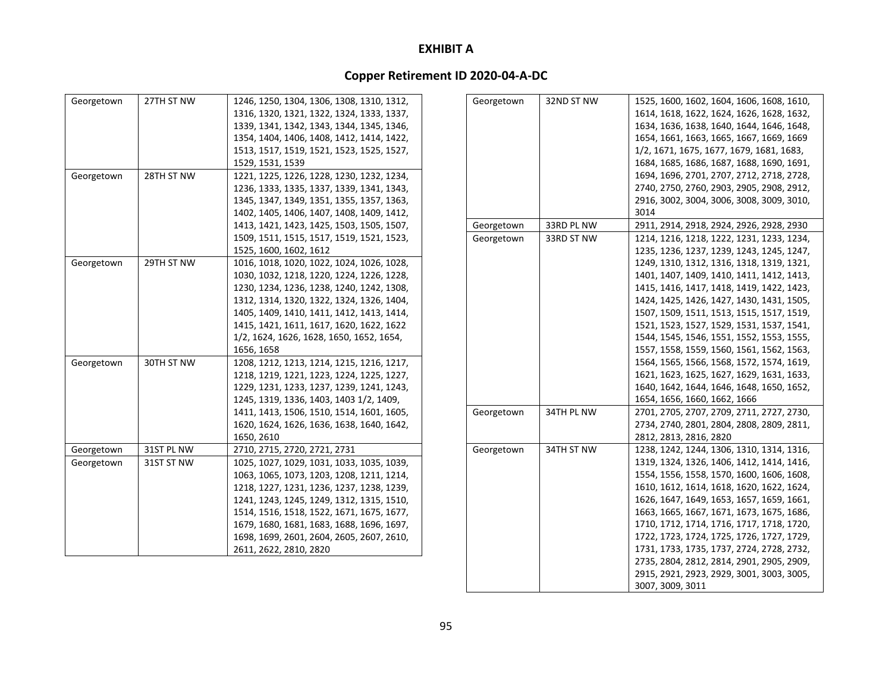|            | 27TH ST NW |                                           |
|------------|------------|-------------------------------------------|
| Georgetown |            | 1246, 1250, 1304, 1306, 1308, 1310, 1312, |
|            |            | 1316, 1320, 1321, 1322, 1324, 1333, 1337, |
|            |            | 1339, 1341, 1342, 1343, 1344, 1345, 1346, |
|            |            | 1354, 1404, 1406, 1408, 1412, 1414, 1422, |
|            |            | 1513, 1517, 1519, 1521, 1523, 1525, 1527, |
|            |            | 1529, 1531, 1539                          |
| Georgetown | 28TH ST NW | 1221, 1225, 1226, 1228, 1230, 1232, 1234, |
|            |            | 1236, 1333, 1335, 1337, 1339, 1341, 1343, |
|            |            | 1345, 1347, 1349, 1351, 1355, 1357, 1363, |
|            |            | 1402, 1405, 1406, 1407, 1408, 1409, 1412, |
|            |            | 1413, 1421, 1423, 1425, 1503, 1505, 1507, |
|            |            | 1509, 1511, 1515, 1517, 1519, 1521, 1523, |
|            |            | 1525, 1600, 1602, 1612                    |
| Georgetown | 29TH ST NW | 1016, 1018, 1020, 1022, 1024, 1026, 1028, |
|            |            | 1030, 1032, 1218, 1220, 1224, 1226, 1228, |
|            |            | 1230, 1234, 1236, 1238, 1240, 1242, 1308, |
|            |            | 1312, 1314, 1320, 1322, 1324, 1326, 1404, |
|            |            | 1405, 1409, 1410, 1411, 1412, 1413, 1414, |
|            |            | 1415, 1421, 1611, 1617, 1620, 1622, 1622  |
|            |            | 1/2, 1624, 1626, 1628, 1650, 1652, 1654,  |
|            |            | 1656, 1658                                |
| Georgetown | 30TH ST NW | 1208, 1212, 1213, 1214, 1215, 1216, 1217, |
|            |            | 1218, 1219, 1221, 1223, 1224, 1225, 1227, |
|            |            |                                           |
|            |            | 1229, 1231, 1233, 1237, 1239, 1241, 1243, |
|            |            | 1245, 1319, 1336, 1403, 1403 1/2, 1409,   |
|            |            | 1411, 1413, 1506, 1510, 1514, 1601, 1605, |
|            |            | 1620, 1624, 1626, 1636, 1638, 1640, 1642, |
|            |            | 1650, 2610                                |
| Georgetown | 31ST PL NW | 2710, 2715, 2720, 2721, 2731              |
| Georgetown | 31ST ST NW | 1025, 1027, 1029, 1031, 1033, 1035, 1039, |
|            |            | 1063, 1065, 1073, 1203, 1208, 1211, 1214, |
|            |            | 1218, 1227, 1231, 1236, 1237, 1238, 1239, |
|            |            | 1241, 1243, 1245, 1249, 1312, 1315, 1510, |
|            |            | 1514, 1516, 1518, 1522, 1671, 1675, 1677, |
|            |            | 1679, 1680, 1681, 1683, 1688, 1696, 1697, |
|            |            | 1698, 1699, 2601, 2604, 2605, 2607, 2610, |
|            |            | 2611, 2622, 2810, 2820                    |

| Georgetown | 32ND ST NW | 1525, 1600, 1602, 1604, 1606, 1608, 1610, |
|------------|------------|-------------------------------------------|
|            |            | 1614, 1618, 1622, 1624, 1626, 1628, 1632, |
|            |            | 1634, 1636, 1638, 1640, 1644, 1646, 1648, |
|            |            | 1654, 1661, 1663, 1665, 1667, 1669, 1669  |
|            |            | 1/2, 1671, 1675, 1677, 1679, 1681, 1683,  |
|            |            | 1684, 1685, 1686, 1687, 1688, 1690, 1691, |
|            |            | 1694, 1696, 2701, 2707, 2712, 2718, 2728, |
|            |            | 2740, 2750, 2760, 2903, 2905, 2908, 2912, |
|            |            | 2916, 3002, 3004, 3006, 3008, 3009, 3010, |
|            |            | 3014                                      |
| Georgetown | 33RD PL NW | 2911, 2914, 2918, 2924, 2926, 2928, 2930  |
| Georgetown | 33RD ST NW | 1214, 1216, 1218, 1222, 1231, 1233, 1234, |
|            |            | 1235, 1236, 1237, 1239, 1243, 1245, 1247, |
|            |            |                                           |
|            |            | 1249, 1310, 1312, 1316, 1318, 1319, 1321, |
|            |            | 1401, 1407, 1409, 1410, 1411, 1412, 1413, |
|            |            | 1415, 1416, 1417, 1418, 1419, 1422, 1423, |
|            |            | 1424, 1425, 1426, 1427, 1430, 1431, 1505, |
|            |            | 1507, 1509, 1511, 1513, 1515, 1517, 1519, |
|            |            | 1521, 1523, 1527, 1529, 1531, 1537, 1541, |
|            |            | 1544, 1545, 1546, 1551, 1552, 1553, 1555, |
|            |            | 1557, 1558, 1559, 1560, 1561, 1562, 1563, |
|            |            | 1564, 1565, 1566, 1568, 1572, 1574, 1619, |
|            |            | 1621, 1623, 1625, 1627, 1629, 1631, 1633, |
|            |            | 1640, 1642, 1644, 1646, 1648, 1650, 1652, |
|            |            | 1654, 1656, 1660, 1662, 1666              |
| Georgetown | 34TH PL NW | 2701, 2705, 2707, 2709, 2711, 2727, 2730, |
|            |            | 2734, 2740, 2801, 2804, 2808, 2809, 2811, |
|            |            | 2812, 2813, 2816, 2820                    |
| Georgetown | 34TH ST NW | 1238, 1242, 1244, 1306, 1310, 1314, 1316, |
|            |            | 1319, 1324, 1326, 1406, 1412, 1414, 1416, |
|            |            | 1554, 1556, 1558, 1570, 1600, 1606, 1608, |
|            |            | 1610, 1612, 1614, 1618, 1620, 1622, 1624, |
|            |            | 1626, 1647, 1649, 1653, 1657, 1659, 1661, |
|            |            | 1663, 1665, 1667, 1671, 1673, 1675, 1686, |
|            |            | 1710, 1712, 1714, 1716, 1717, 1718, 1720, |
|            |            | 1722, 1723, 1724, 1725, 1726, 1727, 1729, |
|            |            | 1731, 1733, 1735, 1737, 2724, 2728, 2732, |
|            |            | 2735, 2804, 2812, 2814, 2901, 2905, 2909, |
|            |            | 2915, 2921, 2923, 2929, 3001, 3003, 3005, |
|            |            | 3007, 3009, 3011                          |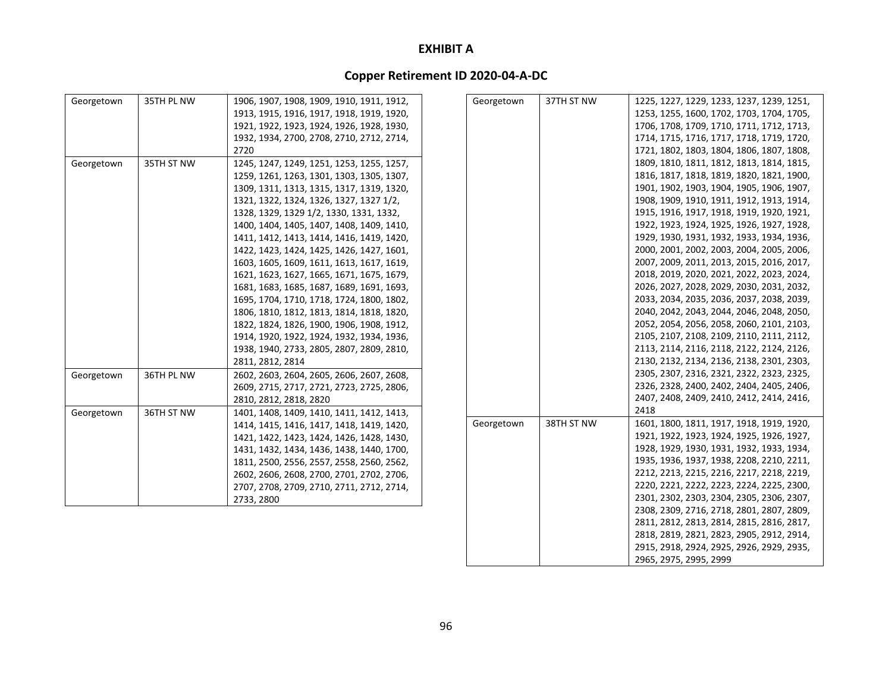# **Copper Retirement ID 2020‐04‐A‐DC**

| Georgetown | 35TH PL NW | 1906, 1907, 1908, 1909, 1910, 1911, 1912, | Georgetown | 37TH ST NW | 1225, 1227, 1229, 1233, 1237, 1239, 1251, |
|------------|------------|-------------------------------------------|------------|------------|-------------------------------------------|
|            |            | 1913, 1915, 1916, 1917, 1918, 1919, 1920, |            |            | 1253, 1255, 1600, 1702, 1703, 1704, 1705, |
|            |            | 1921, 1922, 1923, 1924, 1926, 1928, 1930, |            |            | 1706, 1708, 1709, 1710, 1711, 1712, 1713, |
|            |            | 1932, 1934, 2700, 2708, 2710, 2712, 2714, |            |            | 1714, 1715, 1716, 1717, 1718, 1719, 1720, |
|            |            | 2720                                      |            |            | 1721, 1802, 1803, 1804, 1806, 1807, 1808, |
| Georgetown | 35TH ST NW | 1245, 1247, 1249, 1251, 1253, 1255, 1257, |            |            | 1809, 1810, 1811, 1812, 1813, 1814, 1815, |
|            |            | 1259, 1261, 1263, 1301, 1303, 1305, 1307, |            |            | 1816, 1817, 1818, 1819, 1820, 1821, 1900, |
|            |            | 1309, 1311, 1313, 1315, 1317, 1319, 1320, |            |            | 1901, 1902, 1903, 1904, 1905, 1906, 1907, |
|            |            | 1321, 1322, 1324, 1326, 1327, 1327 1/2,   |            |            | 1908, 1909, 1910, 1911, 1912, 1913, 1914, |
|            |            | 1328, 1329, 1329 1/2, 1330, 1331, 1332,   |            |            | 1915, 1916, 1917, 1918, 1919, 1920, 1921, |
|            |            | 1400, 1404, 1405, 1407, 1408, 1409, 1410, |            |            | 1922, 1923, 1924, 1925, 1926, 1927, 1928, |
|            |            | 1411, 1412, 1413, 1414, 1416, 1419, 1420, |            |            | 1929, 1930, 1931, 1932, 1933, 1934, 1936, |
|            |            | 1422, 1423, 1424, 1425, 1426, 1427, 1601, |            |            | 2000, 2001, 2002, 2003, 2004, 2005, 2006, |
|            |            | 1603, 1605, 1609, 1611, 1613, 1617, 1619, |            |            | 2007, 2009, 2011, 2013, 2015, 2016, 2017, |
|            |            | 1621, 1623, 1627, 1665, 1671, 1675, 1679, |            |            | 2018, 2019, 2020, 2021, 2022, 2023, 2024, |
|            |            | 1681, 1683, 1685, 1687, 1689, 1691, 1693, |            |            | 2026, 2027, 2028, 2029, 2030, 2031, 2032, |
|            |            | 1695, 1704, 1710, 1718, 1724, 1800, 1802, |            |            | 2033, 2034, 2035, 2036, 2037, 2038, 2039, |
|            |            | 1806, 1810, 1812, 1813, 1814, 1818, 1820, |            |            | 2040, 2042, 2043, 2044, 2046, 2048, 2050, |
|            |            | 1822, 1824, 1826, 1900, 1906, 1908, 1912, |            |            | 2052, 2054, 2056, 2058, 2060, 2101, 2103, |
|            |            | 1914, 1920, 1922, 1924, 1932, 1934, 1936, |            |            | 2105, 2107, 2108, 2109, 2110, 2111, 2112, |
|            |            | 1938, 1940, 2733, 2805, 2807, 2809, 2810, |            |            | 2113, 2114, 2116, 2118, 2122, 2124, 2126, |
|            |            | 2811, 2812, 2814                          |            |            | 2130, 2132, 2134, 2136, 2138, 2301, 2303, |
| Georgetown | 36TH PL NW | 2602, 2603, 2604, 2605, 2606, 2607, 2608, |            |            | 2305, 2307, 2316, 2321, 2322, 2323, 2325, |
|            |            | 2609, 2715, 2717, 2721, 2723, 2725, 2806, |            |            | 2326, 2328, 2400, 2402, 2404, 2405, 2406, |
|            |            | 2810, 2812, 2818, 2820                    |            |            | 2407, 2408, 2409, 2410, 2412, 2414, 2416, |
| Georgetown | 36TH ST NW | 1401, 1408, 1409, 1410, 1411, 1412, 1413, |            |            | 2418                                      |
|            |            | 1414, 1415, 1416, 1417, 1418, 1419, 1420, | Georgetown | 38TH ST NW | 1601, 1800, 1811, 1917, 1918, 1919, 1920, |
|            |            | 1421, 1422, 1423, 1424, 1426, 1428, 1430, |            |            | 1921, 1922, 1923, 1924, 1925, 1926, 1927, |
|            |            | 1431, 1432, 1434, 1436, 1438, 1440, 1700, |            |            | 1928, 1929, 1930, 1931, 1932, 1933, 1934, |
|            |            | 1811, 2500, 2556, 2557, 2558, 2560, 2562, |            |            | 1935, 1936, 1937, 1938, 2208, 2210, 2211, |
|            |            | 2602, 2606, 2608, 2700, 2701, 2702, 2706, |            |            | 2212, 2213, 2215, 2216, 2217, 2218, 2219, |
|            |            | 2707, 2708, 2709, 2710, 2711, 2712, 2714, |            |            | 2220, 2221, 2222, 2223, 2224, 2225, 2300, |
|            |            | 2733, 2800                                |            |            | 2301, 2302, 2303, 2304, 2305, 2306, 2307, |
|            |            |                                           |            |            | 2308, 2309, 2716, 2718, 2801, 2807, 2809, |
|            |            |                                           |            |            | 2811, 2812, 2813, 2814, 2815, 2816, 2817, |

2818, 2819, 2821, 2823, 2905, 2912, 2914, 2915, 2918, 2924, 2925, 2926, 2929, 2935,

2965, 2975, 2995, 2999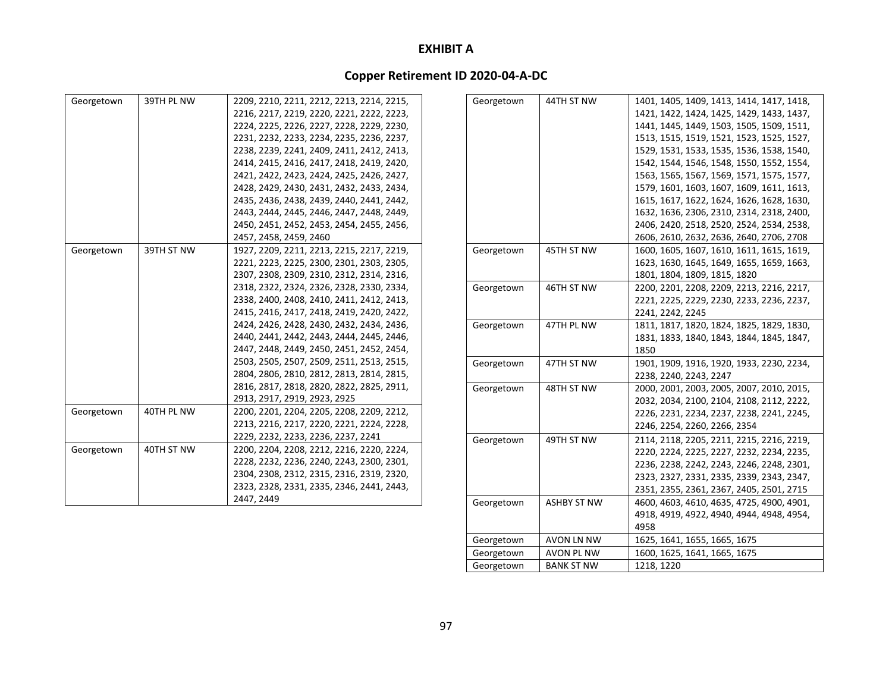# **Copper Retirement ID 2020‐04‐A‐DC**

| Georgetown | 39TH PL NW | 2209, 2210, 2211, 2212, 2213, 2214, 2215, | Georgetown | 44TH ST NW         | 1401, 1405, 1409, 1413, 1414, 1417, 1418, |
|------------|------------|-------------------------------------------|------------|--------------------|-------------------------------------------|
|            |            | 2216, 2217, 2219, 2220, 2221, 2222, 2223, |            |                    | 1421, 1422, 1424, 1425, 1429, 1433, 1437, |
|            |            | 2224, 2225, 2226, 2227, 2228, 2229, 2230, |            |                    | 1441, 1445, 1449, 1503, 1505, 1509, 1511, |
|            |            | 2231, 2232, 2233, 2234, 2235, 2236, 2237, |            |                    | 1513, 1515, 1519, 1521, 1523, 1525, 1527, |
|            |            | 2238, 2239, 2241, 2409, 2411, 2412, 2413, |            |                    | 1529, 1531, 1533, 1535, 1536, 1538, 1540, |
|            |            | 2414, 2415, 2416, 2417, 2418, 2419, 2420, |            |                    | 1542, 1544, 1546, 1548, 1550, 1552, 1554, |
|            |            | 2421, 2422, 2423, 2424, 2425, 2426, 2427, |            |                    | 1563, 1565, 1567, 1569, 1571, 1575, 1577, |
|            |            | 2428, 2429, 2430, 2431, 2432, 2433, 2434, |            |                    | 1579, 1601, 1603, 1607, 1609, 1611, 1613, |
|            |            | 2435, 2436, 2438, 2439, 2440, 2441, 2442, |            |                    | 1615, 1617, 1622, 1624, 1626, 1628, 1630, |
|            |            | 2443, 2444, 2445, 2446, 2447, 2448, 2449, |            |                    | 1632, 1636, 2306, 2310, 2314, 2318, 2400, |
|            |            | 2450, 2451, 2452, 2453, 2454, 2455, 2456, |            |                    | 2406, 2420, 2518, 2520, 2524, 2534, 2538, |
|            |            | 2457, 2458, 2459, 2460                    |            |                    | 2606, 2610, 2632, 2636, 2640, 2706, 2708  |
| Georgetown | 39TH ST NW | 1927, 2209, 2211, 2213, 2215, 2217, 2219, | Georgetown | 45TH ST NW         | 1600, 1605, 1607, 1610, 1611, 1615, 1619, |
|            |            | 2221, 2223, 2225, 2300, 2301, 2303, 2305, |            |                    | 1623, 1630, 1645, 1649, 1655, 1659, 1663, |
|            |            | 2307, 2308, 2309, 2310, 2312, 2314, 2316, |            |                    | 1801, 1804, 1809, 1815, 1820              |
|            |            | 2318, 2322, 2324, 2326, 2328, 2330, 2334, | Georgetown | 46TH ST NW         | 2200, 2201, 2208, 2209, 2213, 2216, 2217, |
|            |            | 2338, 2400, 2408, 2410, 2411, 2412, 2413, |            |                    | 2221, 2225, 2229, 2230, 2233, 2236, 2237, |
|            |            | 2415, 2416, 2417, 2418, 2419, 2420, 2422, |            |                    | 2241, 2242, 2245                          |
|            |            | 2424, 2426, 2428, 2430, 2432, 2434, 2436, | Georgetown | 47TH PL NW         | 1811, 1817, 1820, 1824, 1825, 1829, 1830, |
|            |            | 2440, 2441, 2442, 2443, 2444, 2445, 2446, |            |                    | 1831, 1833, 1840, 1843, 1844, 1845, 1847, |
|            |            | 2447, 2448, 2449, 2450, 2451, 2452, 2454, |            |                    | 1850                                      |
|            |            | 2503, 2505, 2507, 2509, 2511, 2513, 2515, | Georgetown | 47TH ST NW         | 1901, 1909, 1916, 1920, 1933, 2230, 2234, |
|            |            | 2804, 2806, 2810, 2812, 2813, 2814, 2815, |            |                    | 2238, 2240, 2243, 2247                    |
|            |            | 2816, 2817, 2818, 2820, 2822, 2825, 2911, | Georgetown | 48TH ST NW         | 2000, 2001, 2003, 2005, 2007, 2010, 2015, |
|            |            | 2913, 2917, 2919, 2923, 2925              |            |                    | 2032, 2034, 2100, 2104, 2108, 2112, 2222, |
| Georgetown | 40TH PL NW | 2200, 2201, 2204, 2205, 2208, 2209, 2212, |            |                    | 2226, 2231, 2234, 2237, 2238, 2241, 2245, |
|            |            | 2213, 2216, 2217, 2220, 2221, 2224, 2228, |            |                    | 2246, 2254, 2260, 2266, 2354              |
|            |            | 2229, 2232, 2233, 2236, 2237, 2241        | Georgetown | 49TH ST NW         | 2114, 2118, 2205, 2211, 2215, 2216, 2219, |
| Georgetown | 40TH ST NW | 2200, 2204, 2208, 2212, 2216, 2220, 2224, |            |                    | 2220, 2224, 2225, 2227, 2232, 2234, 2235, |
|            |            | 2228, 2232, 2236, 2240, 2243, 2300, 2301, |            |                    | 2236, 2238, 2242, 2243, 2246, 2248, 2301, |
|            |            | 2304, 2308, 2312, 2315, 2316, 2319, 2320, |            |                    | 2323, 2327, 2331, 2335, 2339, 2343, 2347, |
|            |            | 2323, 2328, 2331, 2335, 2346, 2441, 2443, |            |                    | 2351, 2355, 2361, 2367, 2405, 2501, 2715  |
|            |            | 2447, 2449                                | Georgetown | <b>ASHBY ST NW</b> | 4600, 4603, 4610, 4635, 4725, 4900, 4901, |
|            |            |                                           |            |                    | 4918, 4919, 4922, 4940, 4944, 4948, 4954, |

4958

Georgetown | AVON LN NW | 1625, 1641, 1655, 1665, 1675 Georgetown AVON PL NW 1600, 1625, 1641, 1665, 1675

Georgetown BANK ST NW 1218, 1220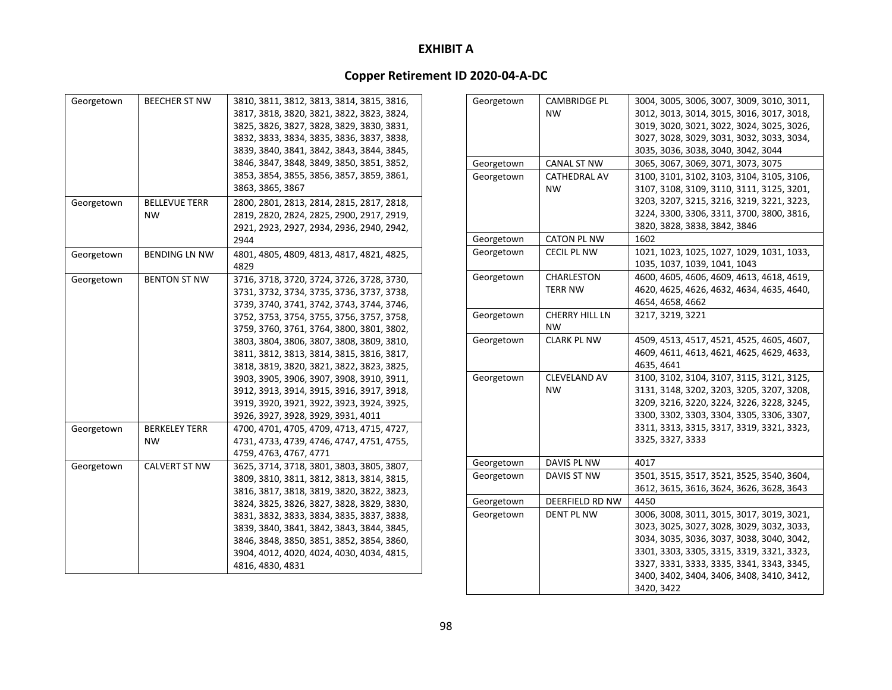| Georgetown | <b>BEECHER ST NW</b> | 3810, 3811, 3812, 3813, 3814, 3815, 3816, |
|------------|----------------------|-------------------------------------------|
|            |                      | 3817, 3818, 3820, 3821, 3822, 3823, 3824, |
|            |                      | 3825, 3826, 3827, 3828, 3829, 3830, 3831, |
|            |                      | 3832, 3833, 3834, 3835, 3836, 3837, 3838, |
|            |                      | 3839, 3840, 3841, 3842, 3843, 3844, 3845, |
|            |                      | 3846, 3847, 3848, 3849, 3850, 3851, 3852, |
|            |                      | 3853, 3854, 3855, 3856, 3857, 3859, 3861, |
|            |                      | 3863, 3865, 3867                          |
| Georgetown | <b>BELLEVUE TERR</b> | 2800, 2801, 2813, 2814, 2815, 2817, 2818, |
|            | <b>NW</b>            | 2819, 2820, 2824, 2825, 2900, 2917, 2919, |
|            |                      | 2921, 2923, 2927, 2934, 2936, 2940, 2942, |
|            |                      | 2944                                      |
|            |                      |                                           |
| Georgetown | BENDING LN NW        | 4801, 4805, 4809, 4813, 4817, 4821, 4825, |
|            |                      | 4829                                      |
| Georgetown | <b>BENTON ST NW</b>  | 3716, 3718, 3720, 3724, 3726, 3728, 3730, |
|            |                      | 3731, 3732, 3734, 3735, 3736, 3737, 3738, |
|            |                      | 3739, 3740, 3741, 3742, 3743, 3744, 3746, |
|            |                      | 3752, 3753, 3754, 3755, 3756, 3757, 3758, |
|            |                      | 3759, 3760, 3761, 3764, 3800, 3801, 3802, |
|            |                      | 3803, 3804, 3806, 3807, 3808, 3809, 3810, |
|            |                      | 3811, 3812, 3813, 3814, 3815, 3816, 3817, |
|            |                      | 3818, 3819, 3820, 3821, 3822, 3823, 3825, |
|            |                      | 3903, 3905, 3906, 3907, 3908, 3910, 3911, |
|            |                      | 3912, 3913, 3914, 3915, 3916, 3917, 3918, |
|            |                      | 3919, 3920, 3921, 3922, 3923, 3924, 3925, |
|            |                      | 3926, 3927, 3928, 3929, 3931, 4011        |
| Georgetown | BERKELEY TERR        | 4700, 4701, 4705, 4709, 4713, 4715, 4727, |
|            | NW                   | 4731, 4733, 4739, 4746, 4747, 4751, 4755, |
|            |                      | 4759, 4763, 4767, 4771                    |
| Georgetown | <b>CALVERT ST NW</b> | 3625, 3714, 3718, 3801, 3803, 3805, 3807, |
|            |                      | 3809, 3810, 3811, 3812, 3813, 3814, 3815, |
|            |                      | 3816, 3817, 3818, 3819, 3820, 3822, 3823, |
|            |                      | 3824, 3825, 3826, 3827, 3828, 3829, 3830, |
|            |                      | 3831, 3832, 3833, 3834, 3835, 3837, 3838, |
|            |                      | 3839, 3840, 3841, 3842, 3843, 3844, 3845, |
|            |                      | 3846, 3848, 3850, 3851, 3852, 3854, 3860, |
|            |                      | 3904, 4012, 4020, 4024, 4030, 4034, 4815, |
|            |                      | 4816, 4830, 4831                          |

| Georgetown | <b>CAMBRIDGE PL</b> | 3004, 3005, 3006, 3007, 3009, 3010, 3011, |
|------------|---------------------|-------------------------------------------|
|            | NW                  | 3012, 3013, 3014, 3015, 3016, 3017, 3018, |
|            |                     | 3019, 3020, 3021, 3022, 3024, 3025, 3026, |
|            |                     | 3027, 3028, 3029, 3031, 3032, 3033, 3034, |
|            |                     | 3035, 3036, 3038, 3040, 3042, 3044        |
| Georgetown | CANAL ST NW         | 3065, 3067, 3069, 3071, 3073, 3075        |
| Georgetown | CATHEDRAL AV        | 3100, 3101, 3102, 3103, 3104, 3105, 3106, |
|            | <b>NW</b>           | 3107, 3108, 3109, 3110, 3111, 3125, 3201, |
|            |                     | 3203, 3207, 3215, 3216, 3219, 3221, 3223, |
|            |                     | 3224, 3300, 3306, 3311, 3700, 3800, 3816, |
|            |                     | 3820, 3828, 3838, 3842, 3846              |
| Georgetown | <b>CATON PL NW</b>  | 1602                                      |
| Georgetown | CECIL PL NW         | 1021, 1023, 1025, 1027, 1029, 1031, 1033, |
|            |                     | 1035, 1037, 1039, 1041, 1043              |
| Georgetown | CHARLESTON          | 4600, 4605, 4606, 4609, 4613, 4618, 4619, |
|            | <b>TERR NW</b>      | 4620, 4625, 4626, 4632, 4634, 4635, 4640, |
|            |                     | 4654, 4658, 4662                          |
| Georgetown | CHERRY HILL LN      | 3217, 3219, 3221                          |
|            | <b>NW</b>           |                                           |
| Georgetown | <b>CLARK PL NW</b>  | 4509, 4513, 4517, 4521, 4525, 4605, 4607, |
|            |                     | 4609, 4611, 4613, 4621, 4625, 4629, 4633, |
|            |                     | 4635, 4641                                |
| Georgetown | CLEVELAND AV        | 3100, 3102, 3104, 3107, 3115, 3121, 3125, |
|            | <b>NW</b>           | 3131, 3148, 3202, 3203, 3205, 3207, 3208, |
|            |                     | 3209, 3216, 3220, 3224, 3226, 3228, 3245, |
|            |                     | 3300, 3302, 3303, 3304, 3305, 3306, 3307, |
|            |                     | 3311, 3313, 3315, 3317, 3319, 3321, 3323, |
|            |                     | 3325, 3327, 3333                          |
|            |                     |                                           |
| Georgetown | DAVIS PL NW         | 4017                                      |
| Georgetown | DAVIS ST NW         | 3501, 3515, 3517, 3521, 3525, 3540, 3604, |
|            |                     | 3612, 3615, 3616, 3624, 3626, 3628, 3643  |
| Georgetown | DEERFIELD RD NW     | 4450                                      |
| Georgetown | <b>DENT PL NW</b>   | 3006, 3008, 3011, 3015, 3017, 3019, 3021, |
|            |                     | 3023, 3025, 3027, 3028, 3029, 3032, 3033, |
|            |                     | 3034, 3035, 3036, 3037, 3038, 3040, 3042, |
|            |                     | 3301, 3303, 3305, 3315, 3319, 3321, 3323, |
|            |                     | 3327, 3331, 3333, 3335, 3341, 3343, 3345, |
|            |                     | 3400, 3402, 3404, 3406, 3408, 3410, 3412, |
|            |                     | 3420, 3422                                |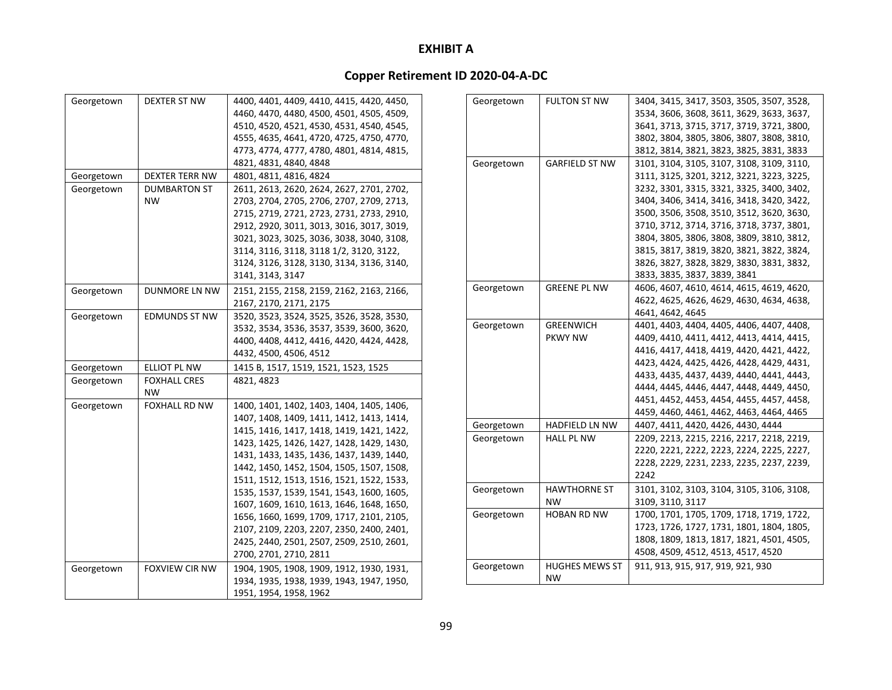| Georgetown | DEXTER ST NW          | 4400, 4401, 4409, 4410, 4415, 4420, 4450, |
|------------|-----------------------|-------------------------------------------|
|            |                       | 4460, 4470, 4480, 4500, 4501, 4505, 4509, |
|            |                       | 4510, 4520, 4521, 4530, 4531, 4540, 4545, |
|            |                       | 4555, 4635, 4641, 4720, 4725, 4750, 4770, |
|            |                       | 4773, 4774, 4777, 4780, 4801, 4814, 4815, |
|            |                       | 4821, 4831, 4840, 4848                    |
| Georgetown | DEXTER TERR NW        | 4801, 4811, 4816, 4824                    |
| Georgetown | <b>DUMBARTON ST</b>   | 2611, 2613, 2620, 2624, 2627, 2701, 2702, |
|            | ΝW                    | 2703, 2704, 2705, 2706, 2707, 2709, 2713, |
|            |                       | 2715, 2719, 2721, 2723, 2731, 2733, 2910, |
|            |                       | 2912, 2920, 3011, 3013, 3016, 3017, 3019, |
|            |                       | 3021, 3023, 3025, 3036, 3038, 3040, 3108, |
|            |                       | 3114, 3116, 3118, 3118 1/2, 3120, 3122,   |
|            |                       |                                           |
|            |                       | 3124, 3126, 3128, 3130, 3134, 3136, 3140, |
|            |                       | 3141, 3143, 3147                          |
| Georgetown | DUNMORE LN NW         | 2151, 2155, 2158, 2159, 2162, 2163, 2166, |
|            |                       | 2167, 2170, 2171, 2175                    |
| Georgetown | EDMUNDS ST NW         | 3520, 3523, 3524, 3525, 3526, 3528, 3530, |
|            |                       | 3532, 3534, 3536, 3537, 3539, 3600, 3620, |
|            |                       | 4400, 4408, 4412, 4416, 4420, 4424, 4428, |
|            |                       | 4432, 4500, 4506, 4512                    |
| Georgetown | ELLIOT PL NW          | 1415 B, 1517, 1519, 1521, 1523, 1525      |
| Georgetown | <b>FOXHALL CRES</b>   | 4821, 4823                                |
|            | <b>NW</b>             |                                           |
| Georgetown | <b>FOXHALL RD NW</b>  | 1400, 1401, 1402, 1403, 1404, 1405, 1406, |
|            |                       | 1407, 1408, 1409, 1411, 1412, 1413, 1414, |
|            |                       | 1415, 1416, 1417, 1418, 1419, 1421, 1422, |
|            |                       | 1423, 1425, 1426, 1427, 1428, 1429, 1430, |
|            |                       | 1431, 1433, 1435, 1436, 1437, 1439, 1440, |
|            |                       | 1442, 1450, 1452, 1504, 1505, 1507, 1508, |
|            |                       | 1511, 1512, 1513, 1516, 1521, 1522, 1533, |
|            |                       | 1535, 1537, 1539, 1541, 1543, 1600, 1605, |
|            |                       | 1607, 1609, 1610, 1613, 1646, 1648, 1650, |
|            |                       | 1656, 1660, 1699, 1709, 1717, 2101, 2105, |
|            |                       | 2107, 2109, 2203, 2207, 2350, 2400, 2401, |
|            |                       | 2425, 2440, 2501, 2507, 2509, 2510, 2601, |
|            |                       | 2700, 2701, 2710, 2811                    |
| Georgetown | <b>FOXVIEW CIR NW</b> | 1904, 1905, 1908, 1909, 1912, 1930, 1931, |
|            |                       | 1934, 1935, 1938, 1939, 1943, 1947, 1950, |
|            |                       | 1951, 1954, 1958, 1962                    |

| Georgetown | <b>FULTON ST NW</b>   | 3404, 3415, 3417, 3503, 3505, 3507, 3528, |
|------------|-----------------------|-------------------------------------------|
|            |                       | 3534, 3606, 3608, 3611, 3629, 3633, 3637, |
|            |                       | 3641, 3713, 3715, 3717, 3719, 3721, 3800, |
|            |                       | 3802, 3804, 3805, 3806, 3807, 3808, 3810, |
|            |                       | 3812, 3814, 3821, 3823, 3825, 3831, 3833  |
| Georgetown | <b>GARFIELD ST NW</b> | 3101, 3104, 3105, 3107, 3108, 3109, 3110, |
|            |                       | 3111, 3125, 3201, 3212, 3221, 3223, 3225, |
|            |                       | 3232, 3301, 3315, 3321, 3325, 3400, 3402, |
|            |                       | 3404, 3406, 3414, 3416, 3418, 3420, 3422, |
|            |                       | 3500, 3506, 3508, 3510, 3512, 3620, 3630, |
|            |                       | 3710, 3712, 3714, 3716, 3718, 3737, 3801, |
|            |                       | 3804, 3805, 3806, 3808, 3809, 3810, 3812, |
|            |                       | 3815, 3817, 3819, 3820, 3821, 3822, 3824, |
|            |                       | 3826, 3827, 3828, 3829, 3830, 3831, 3832, |
|            |                       | 3833, 3835, 3837, 3839, 3841              |
| Georgetown | <b>GREENE PL NW</b>   | 4606, 4607, 4610, 4614, 4615, 4619, 4620, |
|            |                       | 4622, 4625, 4626, 4629, 4630, 4634, 4638, |
|            |                       | 4641, 4642, 4645                          |
| Georgetown | <b>GREENWICH</b>      | 4401, 4403, 4404, 4405, 4406, 4407, 4408, |
|            | <b>PKWY NW</b>        | 4409, 4410, 4411, 4412, 4413, 4414, 4415, |
|            |                       | 4416, 4417, 4418, 4419, 4420, 4421, 4422, |
|            |                       | 4423, 4424, 4425, 4426, 4428, 4429, 4431, |
|            |                       | 4433, 4435, 4437, 4439, 4440, 4441, 4443, |
|            |                       | 4444, 4445, 4446, 4447, 4448, 4449, 4450, |
|            |                       | 4451, 4452, 4453, 4454, 4455, 4457, 4458, |
|            |                       | 4459, 4460, 4461, 4462, 4463, 4464, 4465  |
| Georgetown | HADFIELD LN NW        | 4407, 4411, 4420, 4426, 4430, 4444        |
| Georgetown | <b>HALL PL NW</b>     | 2209, 2213, 2215, 2216, 2217, 2218, 2219, |
|            |                       | 2220, 2221, 2222, 2223, 2224, 2225, 2227, |
|            |                       | 2228, 2229, 2231, 2233, 2235, 2237, 2239, |
|            |                       | 2242                                      |
| Georgetown | <b>HAWTHORNE ST</b>   | 3101, 3102, 3103, 3104, 3105, 3106, 3108, |
|            | <b>NW</b>             | 3109, 3110, 3117                          |
| Georgetown | HOBAN RD NW           | 1700, 1701, 1705, 1709, 1718, 1719, 1722, |
|            |                       | 1723, 1726, 1727, 1731, 1801, 1804, 1805, |
|            |                       | 1808, 1809, 1813, 1817, 1821, 4501, 4505, |
|            |                       | 4508, 4509, 4512, 4513, 4517, 4520        |
| Georgetown | <b>HUGHES MEWS ST</b> | 911, 913, 915, 917, 919, 921, 930         |
|            | <b>NW</b>             |                                           |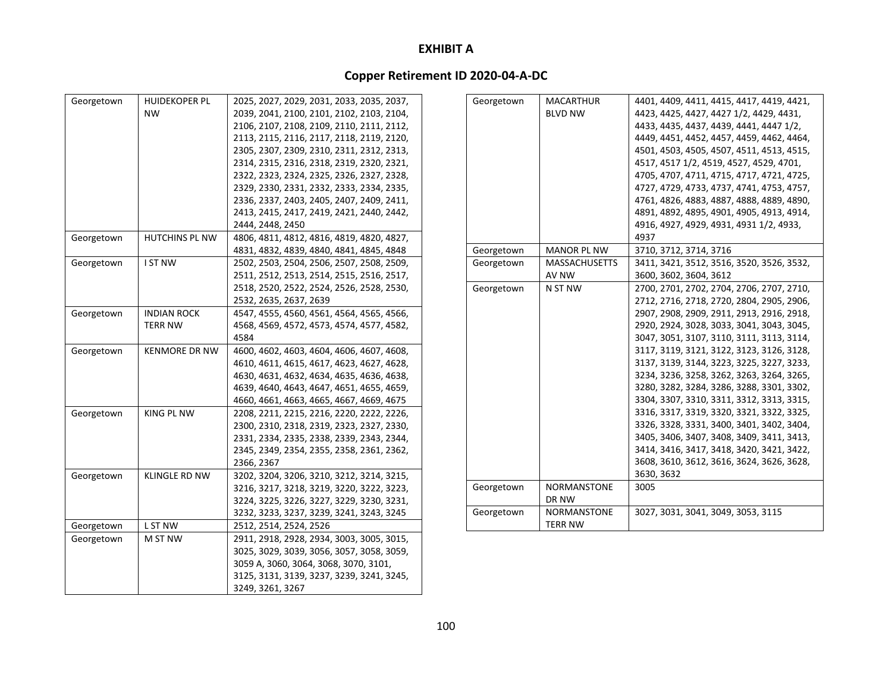### **Copper Retirement ID 2020‐04‐A‐DC**

| Georgetown | <b>HUIDEKOPER PL</b> | 2025, 2027, 2029, 2031, 2033, 2035, 2037, | Georgetown | <b>MACARTHUR</b>     | 4401, 4409, 4411, 4415, 4417, 4419, 4421, |
|------------|----------------------|-------------------------------------------|------------|----------------------|-------------------------------------------|
|            | <b>NW</b>            | 2039, 2041, 2100, 2101, 2102, 2103, 2104, |            | <b>BLVD NW</b>       | 4423, 4425, 4427, 4427 1/2, 4429, 4431,   |
|            |                      | 2106, 2107, 2108, 2109, 2110, 2111, 2112, |            |                      | 4433, 4435, 4437, 4439, 4441, 4447 1/2,   |
|            |                      | 2113, 2115, 2116, 2117, 2118, 2119, 2120, |            |                      | 4449, 4451, 4452, 4457, 4459, 4462, 4464, |
|            |                      | 2305, 2307, 2309, 2310, 2311, 2312, 2313, |            |                      | 4501, 4503, 4505, 4507, 4511, 4513, 4515, |
|            |                      | 2314, 2315, 2316, 2318, 2319, 2320, 2321, |            |                      | 4517, 4517 1/2, 4519, 4527, 4529, 4701,   |
|            |                      | 2322, 2323, 2324, 2325, 2326, 2327, 2328, |            |                      | 4705, 4707, 4711, 4715, 4717, 4721, 4725, |
|            |                      | 2329, 2330, 2331, 2332, 2333, 2334, 2335, |            |                      | 4727, 4729, 4733, 4737, 4741, 4753, 4757, |
|            |                      | 2336, 2337, 2403, 2405, 2407, 2409, 2411, |            |                      | 4761, 4826, 4883, 4887, 4888, 4889, 4890, |
|            |                      | 2413, 2415, 2417, 2419, 2421, 2440, 2442, |            |                      | 4891, 4892, 4895, 4901, 4905, 4913, 4914, |
|            |                      | 2444, 2448, 2450                          |            |                      | 4916, 4927, 4929, 4931, 4931 1/2, 4933,   |
| Georgetown | HUTCHINS PL NW       | 4806, 4811, 4812, 4816, 4819, 4820, 4827, |            |                      | 4937                                      |
|            |                      | 4831, 4832, 4839, 4840, 4841, 4845, 4848  | Georgetown | <b>MANOR PL NW</b>   | 3710, 3712, 3714, 3716                    |
| Georgetown | I ST NW              | 2502, 2503, 2504, 2506, 2507, 2508, 2509, | Georgetown | <b>MASSACHUSETTS</b> | 3411, 3421, 3512, 3516, 3520, 3526, 3532, |
|            |                      | 2511, 2512, 2513, 2514, 2515, 2516, 2517, |            | AV NW                | 3600, 3602, 3604, 3612                    |
|            |                      | 2518, 2520, 2522, 2524, 2526, 2528, 2530, | Georgetown | N ST NW              | 2700, 2701, 2702, 2704, 2706, 2707, 2710, |
|            |                      | 2532, 2635, 2637, 2639                    |            |                      | 2712, 2716, 2718, 2720, 2804, 2905, 2906, |
| Georgetown | <b>INDIAN ROCK</b>   | 4547, 4555, 4560, 4561, 4564, 4565, 4566, |            |                      | 2907, 2908, 2909, 2911, 2913, 2916, 2918, |
|            | <b>TERR NW</b>       | 4568, 4569, 4572, 4573, 4574, 4577, 4582, |            |                      | 2920, 2924, 3028, 3033, 3041, 3043, 3045, |
|            |                      | 4584                                      |            |                      | 3047, 3051, 3107, 3110, 3111, 3113, 3114, |
| Georgetown | <b>KENMORE DR NW</b> | 4600, 4602, 4603, 4604, 4606, 4607, 4608, |            |                      | 3117, 3119, 3121, 3122, 3123, 3126, 3128, |
|            |                      | 4610, 4611, 4615, 4617, 4623, 4627, 4628, |            |                      | 3137, 3139, 3144, 3223, 3225, 3227, 3233, |
|            |                      | 4630, 4631, 4632, 4634, 4635, 4636, 4638, |            |                      | 3234, 3236, 3258, 3262, 3263, 3264, 3265, |
|            |                      | 4639, 4640, 4643, 4647, 4651, 4655, 4659, |            |                      | 3280, 3282, 3284, 3286, 3288, 3301, 3302, |
|            |                      | 4660, 4661, 4663, 4665, 4667, 4669, 4675  |            |                      | 3304, 3307, 3310, 3311, 3312, 3313, 3315, |
| Georgetown | <b>KING PL NW</b>    | 2208, 2211, 2215, 2216, 2220, 2222, 2226, |            |                      | 3316, 3317, 3319, 3320, 3321, 3322, 3325, |
|            |                      | 2300, 2310, 2318, 2319, 2323, 2327, 2330, |            |                      | 3326, 3328, 3331, 3400, 3401, 3402, 3404, |
|            |                      | 2331, 2334, 2335, 2338, 2339, 2343, 2344, |            |                      | 3405, 3406, 3407, 3408, 3409, 3411, 3413, |
|            |                      | 2345, 2349, 2354, 2355, 2358, 2361, 2362, |            |                      | 3414, 3416, 3417, 3418, 3420, 3421, 3422, |
|            |                      | 2366, 2367                                |            |                      | 3608, 3610, 3612, 3616, 3624, 3626, 3628, |
| Georgetown | <b>KLINGLE RD NW</b> | 3202, 3204, 3206, 3210, 3212, 3214, 3215, |            |                      | 3630, 3632                                |
|            |                      | 3216, 3217, 3218, 3219, 3220, 3222, 3223, | Georgetown | NORMANSTONE          | 3005                                      |
|            |                      | 3224, 3225, 3226, 3227, 3229, 3230, 3231, |            | DR NW                |                                           |
|            |                      | 3232, 3233, 3237, 3239, 3241, 3243, 3245  | Georgetown | NORMANSTONE          | 3027, 3031, 3041, 3049, 3053, 3115        |
| Georgetown | L ST NW              | 2512, 2514, 2524, 2526                    |            | <b>TERR NW</b>       |                                           |
| Georgetown | M ST NW              | 2911, 2918, 2928, 2934, 3003, 3005, 3015, |            |                      |                                           |
|            |                      | 3025, 3029, 3039, 3056, 3057, 3058, 3059, |            |                      |                                           |
|            |                      | 3059 A, 3060, 3064, 3068, 3070, 3101,     |            |                      |                                           |
|            |                      | 3125, 3131, 3139, 3237, 3239, 3241, 3245, |            |                      |                                           |
|            |                      | 3249, 3261, 3267                          |            |                      |                                           |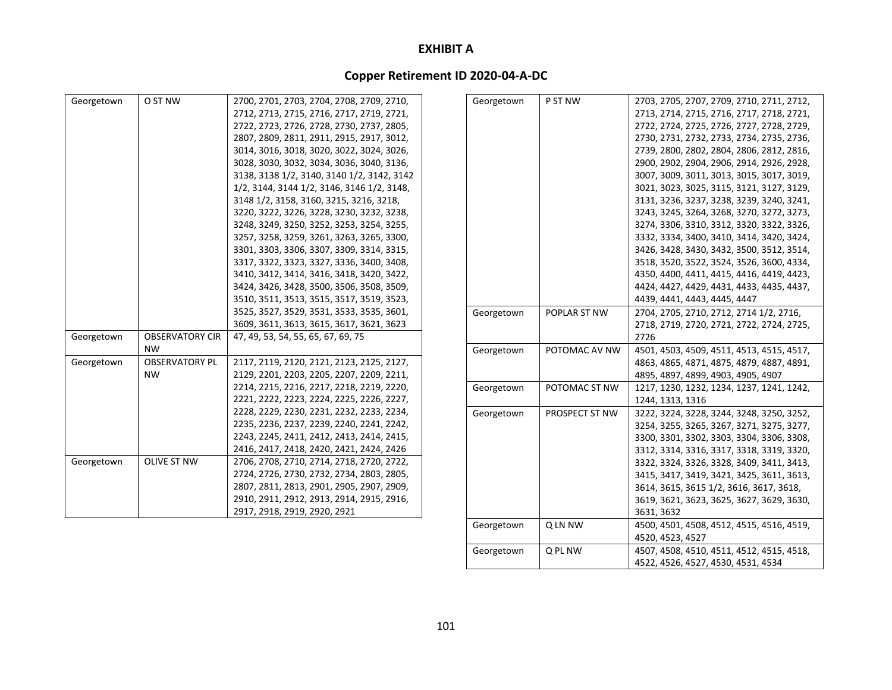## **Copper Retirement ID 2020‐04‐A‐DC**

| Georgetown | O ST NW                | 2700, 2701, 2703, 2704, 2708, 2709, 2710,  | Georgetown | P ST NW        | 2703, 2705, 2707, 2709, 2710, 2711, 2712, |
|------------|------------------------|--------------------------------------------|------------|----------------|-------------------------------------------|
|            |                        | 2712, 2713, 2715, 2716, 2717, 2719, 2721,  |            |                | 2713, 2714, 2715, 2716, 2717, 2718, 2721, |
|            |                        | 2722, 2723, 2726, 2728, 2730, 2737, 2805,  |            |                | 2722, 2724, 2725, 2726, 2727, 2728, 2729, |
|            |                        | 2807, 2809, 2811, 2911, 2915, 2917, 3012,  |            |                | 2730, 2731, 2732, 2733, 2734, 2735, 2736, |
|            |                        | 3014, 3016, 3018, 3020, 3022, 3024, 3026,  |            |                | 2739, 2800, 2802, 2804, 2806, 2812, 2816, |
|            |                        | 3028, 3030, 3032, 3034, 3036, 3040, 3136,  |            |                | 2900, 2902, 2904, 2906, 2914, 2926, 2928, |
|            |                        | 3138, 3138 1/2, 3140, 3140 1/2, 3142, 3142 |            |                | 3007, 3009, 3011, 3013, 3015, 3017, 3019, |
|            |                        | 1/2, 3144, 3144 1/2, 3146, 3146 1/2, 3148, |            |                | 3021, 3023, 3025, 3115, 3121, 3127, 3129, |
|            |                        | 3148 1/2, 3158, 3160, 3215, 3216, 3218,    |            |                | 3131, 3236, 3237, 3238, 3239, 3240, 3241, |
|            |                        | 3220, 3222, 3226, 3228, 3230, 3232, 3238,  |            |                | 3243, 3245, 3264, 3268, 3270, 3272, 3273, |
|            |                        | 3248, 3249, 3250, 3252, 3253, 3254, 3255,  |            |                | 3274, 3306, 3310, 3312, 3320, 3322, 3326, |
|            |                        | 3257, 3258, 3259, 3261, 3263, 3265, 3300,  |            |                | 3332, 3334, 3400, 3410, 3414, 3420, 3424, |
|            |                        | 3301, 3303, 3306, 3307, 3309, 3314, 3315,  |            |                | 3426, 3428, 3430, 3432, 3500, 3512, 3514, |
|            |                        | 3317, 3322, 3323, 3327, 3336, 3400, 3408,  |            |                | 3518, 3520, 3522, 3524, 3526, 3600, 4334, |
|            |                        | 3410, 3412, 3414, 3416, 3418, 3420, 3422,  |            |                | 4350, 4400, 4411, 4415, 4416, 4419, 4423, |
|            |                        | 3424, 3426, 3428, 3500, 3506, 3508, 3509,  |            |                | 4424, 4427, 4429, 4431, 4433, 4435, 4437, |
|            |                        | 3510, 3511, 3513, 3515, 3517, 3519, 3523,  |            |                | 4439, 4441, 4443, 4445, 4447              |
|            |                        | 3525, 3527, 3529, 3531, 3533, 3535, 3601,  | Georgetown | POPLAR ST NW   | 2704, 2705, 2710, 2712, 2714 1/2, 2716,   |
|            |                        | 3609, 3611, 3613, 3615, 3617, 3621, 3623   |            |                | 2718, 2719, 2720, 2721, 2722, 2724, 2725, |
| Georgetown | <b>OBSERVATORY CIR</b> | 47, 49, 53, 54, 55, 65, 67, 69, 75         |            |                | 2726                                      |
|            | <b>NW</b>              |                                            | Georgetown | POTOMAC AV NW  | 4501, 4503, 4509, 4511, 4513, 4515, 4517, |
| Georgetown | <b>OBSERVATORY PL</b>  | 2117, 2119, 2120, 2121, 2123, 2125, 2127,  |            |                | 4863, 4865, 4871, 4875, 4879, 4887, 4891, |
|            | <b>NW</b>              | 2129, 2201, 2203, 2205, 2207, 2209, 2211,  |            |                | 4895, 4897, 4899, 4903, 4905, 4907        |
|            |                        | 2214, 2215, 2216, 2217, 2218, 2219, 2220,  | Georgetown | POTOMAC ST NW  | 1217, 1230, 1232, 1234, 1237, 1241, 1242, |
|            |                        | 2221, 2222, 2223, 2224, 2225, 2226, 2227,  |            |                | 1244, 1313, 1316                          |
|            |                        | 2228, 2229, 2230, 2231, 2232, 2233, 2234,  | Georgetown | PROSPECT ST NW | 3222, 3224, 3228, 3244, 3248, 3250, 3252, |
|            |                        | 2235, 2236, 2237, 2239, 2240, 2241, 2242,  |            |                | 3254, 3255, 3265, 3267, 3271, 3275, 3277, |
|            |                        | 2243, 2245, 2411, 2412, 2413, 2414, 2415,  |            |                | 3300, 3301, 3302, 3303, 3304, 3306, 3308, |
|            |                        | 2416, 2417, 2418, 2420, 2421, 2424, 2426   |            |                | 3312, 3314, 3316, 3317, 3318, 3319, 3320, |
| Georgetown | <b>OLIVE ST NW</b>     | 2706, 2708, 2710, 2714, 2718, 2720, 2722,  |            |                | 3322, 3324, 3326, 3328, 3409, 3411, 3413, |
|            |                        | 2724, 2726, 2730, 2732, 2734, 2803, 2805,  |            |                | 3415, 3417, 3419, 3421, 3425, 3611, 3613, |
|            |                        | 2807, 2811, 2813, 2901, 2905, 2907, 2909,  |            |                | 3614, 3615, 3615 1/2, 3616, 3617, 3618,   |
|            |                        | 2910, 2911, 2912, 2913, 2914, 2915, 2916,  |            |                | 3619, 3621, 3623, 3625, 3627, 3629, 3630, |
|            |                        | 2917, 2918, 2919, 2920, 2921               |            |                | 3631, 3632                                |
|            |                        |                                            | Georgetown | Q LN NW        | 4500, 4501, 4508, 4512, 4515, 4516, 4519, |

4520, 4523, 4527

4522, 4526, 4527, 4530, 4531, 4534

Georgetown Q PL NW 4507, 4508, 4510, 4511, 4512, 4515, 4518,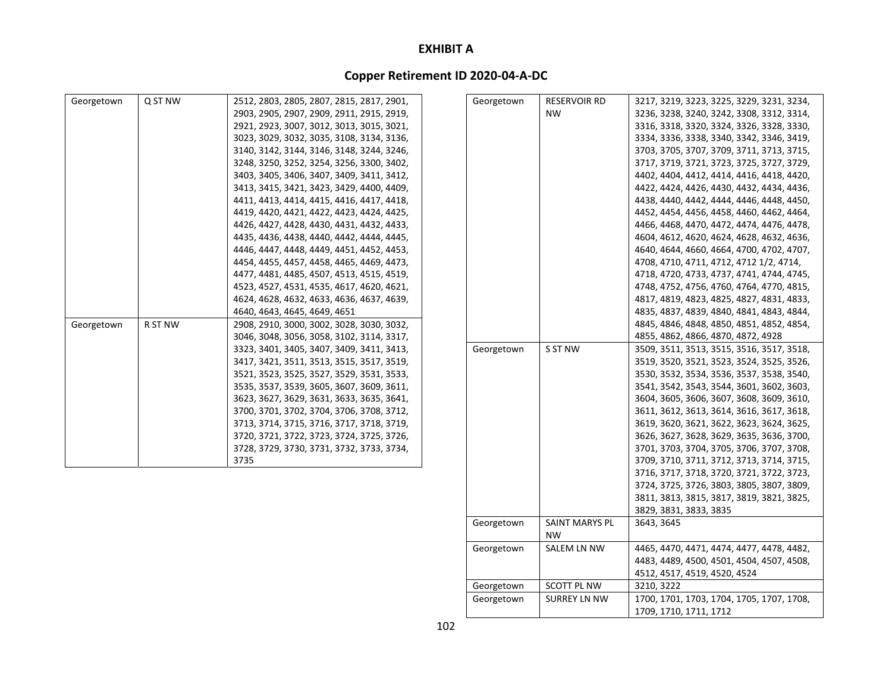# **Copper Retirement ID 2020‐04‐A‐DC**

| Georgetown | Q ST NW | 2512, 2803, 2805, 2807, 2815, 2817, 2901, | Georgetown | <b>RESERVOIR RD</b>         | 3217, 3219, 3223, 3225, 3229, 3231, 3234, |
|------------|---------|-------------------------------------------|------------|-----------------------------|-------------------------------------------|
|            |         | 2903, 2905, 2907, 2909, 2911, 2915, 2919, |            | <b>NW</b>                   | 3236, 3238, 3240, 3242, 3308, 3312, 3314, |
|            |         | 2921, 2923, 3007, 3012, 3013, 3015, 3021, |            |                             | 3316, 3318, 3320, 3324, 3326, 3328, 3330, |
|            |         | 3023, 3029, 3032, 3035, 3108, 3134, 3136, |            |                             | 3334, 3336, 3338, 3340, 3342, 3346, 3419, |
|            |         | 3140, 3142, 3144, 3146, 3148, 3244, 3246, |            |                             | 3703, 3705, 3707, 3709, 3711, 3713, 3715, |
|            |         | 3248, 3250, 3252, 3254, 3256, 3300, 3402, |            |                             | 3717, 3719, 3721, 3723, 3725, 3727, 3729, |
|            |         | 3403, 3405, 3406, 3407, 3409, 3411, 3412, |            |                             | 4402, 4404, 4412, 4414, 4416, 4418, 4420, |
|            |         | 3413, 3415, 3421, 3423, 3429, 4400, 4409, |            |                             | 4422, 4424, 4426, 4430, 4432, 4434, 4436, |
|            |         | 4411, 4413, 4414, 4415, 4416, 4417, 4418, |            |                             | 4438, 4440, 4442, 4444, 4446, 4448, 4450, |
|            |         | 4419, 4420, 4421, 4422, 4423, 4424, 4425, |            |                             | 4452, 4454, 4456, 4458, 4460, 4462, 4464, |
|            |         | 4426, 4427, 4428, 4430, 4431, 4432, 4433, |            |                             | 4466, 4468, 4470, 4472, 4474, 4476, 4478, |
|            |         | 4435, 4436, 4438, 4440, 4442, 4444, 4445, |            |                             | 4604, 4612, 4620, 4624, 4628, 4632, 4636, |
|            |         | 4446, 4447, 4448, 4449, 4451, 4452, 4453, |            |                             | 4640, 4644, 4660, 4664, 4700, 4702, 4707, |
|            |         | 4454, 4455, 4457, 4458, 4465, 4469, 4473, |            |                             | 4708, 4710, 4711, 4712, 4712 1/2, 4714,   |
|            |         | 4477, 4481, 4485, 4507, 4513, 4515, 4519, |            |                             | 4718, 4720, 4733, 4737, 4741, 4744, 4745, |
|            |         | 4523, 4527, 4531, 4535, 4617, 4620, 4621, |            |                             | 4748, 4752, 4756, 4760, 4764, 4770, 4815, |
|            |         | 4624, 4628, 4632, 4633, 4636, 4637, 4639, |            |                             | 4817, 4819, 4823, 4825, 4827, 4831, 4833, |
|            |         | 4640, 4643, 4645, 4649, 4651              |            |                             | 4835, 4837, 4839, 4840, 4841, 4843, 4844, |
| Georgetown | R ST NW | 2908, 2910, 3000, 3002, 3028, 3030, 3032, |            |                             | 4845, 4846, 4848, 4850, 4851, 4852, 4854, |
|            |         | 3046, 3048, 3056, 3058, 3102, 3114, 3317, |            |                             | 4855, 4862, 4866, 4870, 4872, 4928        |
|            |         | 3323, 3401, 3405, 3407, 3409, 3411, 3413, | Georgetown | S ST NW                     | 3509, 3511, 3513, 3515, 3516, 3517, 3518, |
|            |         | 3417, 3421, 3511, 3513, 3515, 3517, 3519, |            |                             | 3519, 3520, 3521, 3523, 3524, 3525, 3526, |
|            |         | 3521, 3523, 3525, 3527, 3529, 3531, 3533, |            |                             | 3530, 3532, 3534, 3536, 3537, 3538, 3540, |
|            |         | 3535, 3537, 3539, 3605, 3607, 3609, 3611, |            |                             | 3541, 3542, 3543, 3544, 3601, 3602, 3603, |
|            |         | 3623, 3627, 3629, 3631, 3633, 3635, 3641, |            |                             | 3604, 3605, 3606, 3607, 3608, 3609, 3610, |
|            |         | 3700, 3701, 3702, 3704, 3706, 3708, 3712, |            |                             | 3611, 3612, 3613, 3614, 3616, 3617, 3618, |
|            |         | 3713, 3714, 3715, 3716, 3717, 3718, 3719, |            |                             | 3619, 3620, 3621, 3622, 3623, 3624, 3625, |
|            |         | 3720, 3721, 3722, 3723, 3724, 3725, 3726, |            |                             | 3626, 3627, 3628, 3629, 3635, 3636, 3700, |
|            |         | 3728, 3729, 3730, 3731, 3732, 3733, 3734, |            |                             | 3701, 3703, 3704, 3705, 3706, 3707, 3708, |
|            |         | 3735                                      |            |                             | 3709, 3710, 3711, 3712, 3713, 3714, 3715, |
|            |         |                                           |            |                             | 3716, 3717, 3718, 3720, 3721, 3722, 3723, |
|            |         |                                           |            |                             | 3724, 3725, 3726, 3803, 3805, 3807, 3809, |
|            |         |                                           |            |                             | 3811, 3813, 3815, 3817, 3819, 3821, 3825, |
|            |         |                                           |            |                             | 3829, 3831, 3833, 3835                    |
|            |         |                                           | Georgetown | SAINT MARYS PL<br><b>NW</b> | 3643, 3645                                |
|            |         |                                           | Georgetown | SALEM LN NW                 | 4465, 4470, 4471, 4474, 4477, 4478, 4482, |
|            |         |                                           |            |                             | 4483, 4489, 4500, 4501, 4504, 4507, 4508, |
|            |         |                                           |            |                             | 4512, 4517, 4519, 4520, 4524              |

Georgetown SCOTT PL NW 3210, 3222

Georgetown SURREY LN NW 1700, 1701, 1703, 1704, 1705, 1707, 1708,

1709, 1710, 1711, 1712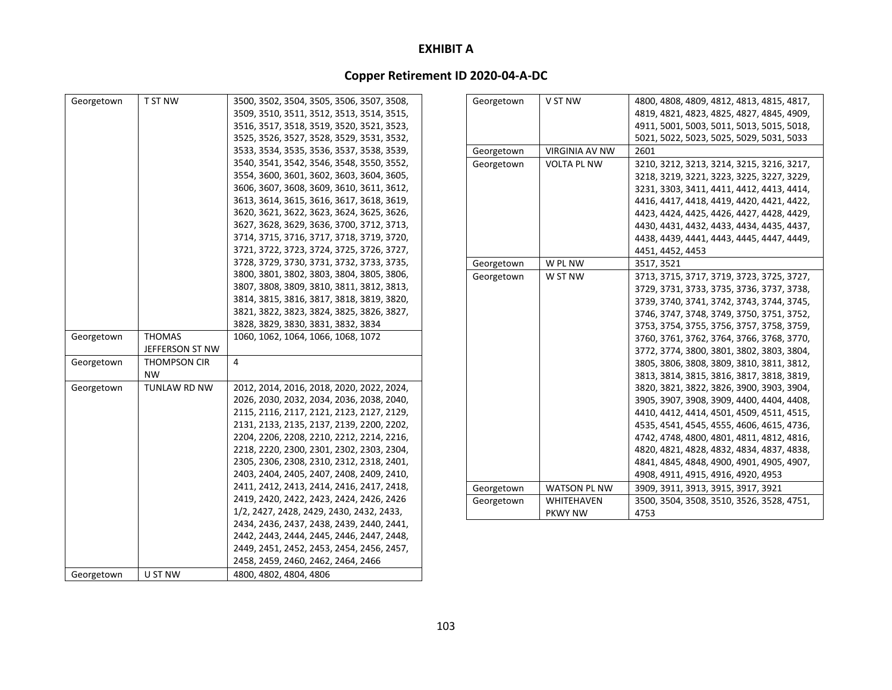| Georgetown | T ST NW         | 3500, 3502, 3504, 3505, 3506, 3507, 3508, | Georgetown | V ST NW               | 4800, 4808, 4809, 4812, 4813, 4815, 4817, |
|------------|-----------------|-------------------------------------------|------------|-----------------------|-------------------------------------------|
|            |                 | 3509, 3510, 3511, 3512, 3513, 3514, 3515, |            |                       | 4819, 4821, 4823, 4825, 4827, 4845, 4909, |
|            |                 | 3516, 3517, 3518, 3519, 3520, 3521, 3523, |            |                       | 4911, 5001, 5003, 5011, 5013, 5015, 5018, |
|            |                 | 3525, 3526, 3527, 3528, 3529, 3531, 3532, |            |                       | 5021, 5022, 5023, 5025, 5029, 5031, 5033  |
|            |                 | 3533, 3534, 3535, 3536, 3537, 3538, 3539, | Georgetown | <b>VIRGINIA AV NW</b> | 2601                                      |
|            |                 | 3540, 3541, 3542, 3546, 3548, 3550, 3552, | Georgetown | <b>VOLTA PL NW</b>    | 3210, 3212, 3213, 3214, 3215, 3216, 3217, |
|            |                 | 3554, 3600, 3601, 3602, 3603, 3604, 3605, |            |                       | 3218, 3219, 3221, 3223, 3225, 3227, 3229, |
|            |                 | 3606, 3607, 3608, 3609, 3610, 3611, 3612, |            |                       | 3231, 3303, 3411, 4411, 4412, 4413, 4414, |
|            |                 | 3613, 3614, 3615, 3616, 3617, 3618, 3619, |            |                       | 4416, 4417, 4418, 4419, 4420, 4421, 4422, |
|            |                 | 3620, 3621, 3622, 3623, 3624, 3625, 3626, |            |                       | 4423, 4424, 4425, 4426, 4427, 4428, 4429, |
|            |                 | 3627, 3628, 3629, 3636, 3700, 3712, 3713, |            |                       | 4430, 4431, 4432, 4433, 4434, 4435, 4437, |
|            |                 | 3714, 3715, 3716, 3717, 3718, 3719, 3720, |            |                       | 4438, 4439, 4441, 4443, 4445, 4447, 4449, |
|            |                 | 3721, 3722, 3723, 3724, 3725, 3726, 3727, |            |                       | 4451, 4452, 4453                          |
|            |                 | 3728, 3729, 3730, 3731, 3732, 3733, 3735, | Georgetown | W PL NW               | 3517, 3521                                |
|            |                 | 3800, 3801, 3802, 3803, 3804, 3805, 3806, | Georgetown | W ST NW               | 3713, 3715, 3717, 3719, 3723, 3725, 3727, |
|            |                 | 3807, 3808, 3809, 3810, 3811, 3812, 3813, |            |                       | 3729, 3731, 3733, 3735, 3736, 3737, 3738, |
|            |                 | 3814, 3815, 3816, 3817, 3818, 3819, 3820, |            |                       | 3739, 3740, 3741, 3742, 3743, 3744, 3745, |
|            |                 | 3821, 3822, 3823, 3824, 3825, 3826, 3827, |            |                       | 3746, 3747, 3748, 3749, 3750, 3751, 3752, |
|            |                 | 3828, 3829, 3830, 3831, 3832, 3834        |            |                       | 3753, 3754, 3755, 3756, 3757, 3758, 3759, |
| Georgetown | <b>THOMAS</b>   | 1060, 1062, 1064, 1066, 1068, 1072        |            |                       | 3760, 3761, 3762, 3764, 3766, 3768, 3770, |
|            | JEFFERSON ST NW |                                           |            |                       | 3772, 3774, 3800, 3801, 3802, 3803, 3804, |
| Georgetown | THOMPSON CIR    | $\overline{4}$                            |            |                       | 3805, 3806, 3808, 3809, 3810, 3811, 3812, |
|            | <b>NW</b>       |                                           |            |                       | 3813, 3814, 3815, 3816, 3817, 3818, 3819, |
| Georgetown | TUNLAW RD NW    | 2012, 2014, 2016, 2018, 2020, 2022, 2024, |            |                       | 3820, 3821, 3822, 3826, 3900, 3903, 3904, |
|            |                 | 2026, 2030, 2032, 2034, 2036, 2038, 2040, |            |                       | 3905, 3907, 3908, 3909, 4400, 4404, 4408, |
|            |                 | 2115, 2116, 2117, 2121, 2123, 2127, 2129, |            |                       | 4410, 4412, 4414, 4501, 4509, 4511, 4515, |
|            |                 | 2131, 2133, 2135, 2137, 2139, 2200, 2202, |            |                       | 4535, 4541, 4545, 4555, 4606, 4615, 4736, |
|            |                 | 2204, 2206, 2208, 2210, 2212, 2214, 2216, |            |                       | 4742, 4748, 4800, 4801, 4811, 4812, 4816, |
|            |                 | 2218, 2220, 2300, 2301, 2302, 2303, 2304, |            |                       | 4820, 4821, 4828, 4832, 4834, 4837, 4838, |
|            |                 | 2305, 2306, 2308, 2310, 2312, 2318, 2401, |            |                       | 4841, 4845, 4848, 4900, 4901, 4905, 4907, |
|            |                 | 2403, 2404, 2405, 2407, 2408, 2409, 2410, |            |                       | 4908, 4911, 4915, 4916, 4920, 4953        |
|            |                 | 2411, 2412, 2413, 2414, 2416, 2417, 2418, | Georgetown | <b>WATSON PL NW</b>   | 3909, 3911, 3913, 3915, 3917, 3921        |
|            |                 | 2419, 2420, 2422, 2423, 2424, 2426, 2426  | Georgetown | <b>WHITEHAVEN</b>     | 3500, 3504, 3508, 3510, 3526, 3528, 4751, |
|            |                 | 1/2, 2427, 2428, 2429, 2430, 2432, 2433,  |            | <b>PKWY NW</b>        | 4753                                      |
|            |                 | 2434, 2436, 2437, 2438, 2439, 2440, 2441, |            |                       |                                           |
|            |                 | 2442, 2443, 2444, 2445, 2446, 2447, 2448, |            |                       |                                           |
|            |                 | 2449, 2451, 2452, 2453, 2454, 2456, 2457, |            |                       |                                           |
|            |                 | 2458, 2459, 2460, 2462, 2464, 2466        |            |                       |                                           |
| Georgetown | U ST NW         | 4800, 4802, 4804, 4806                    |            |                       |                                           |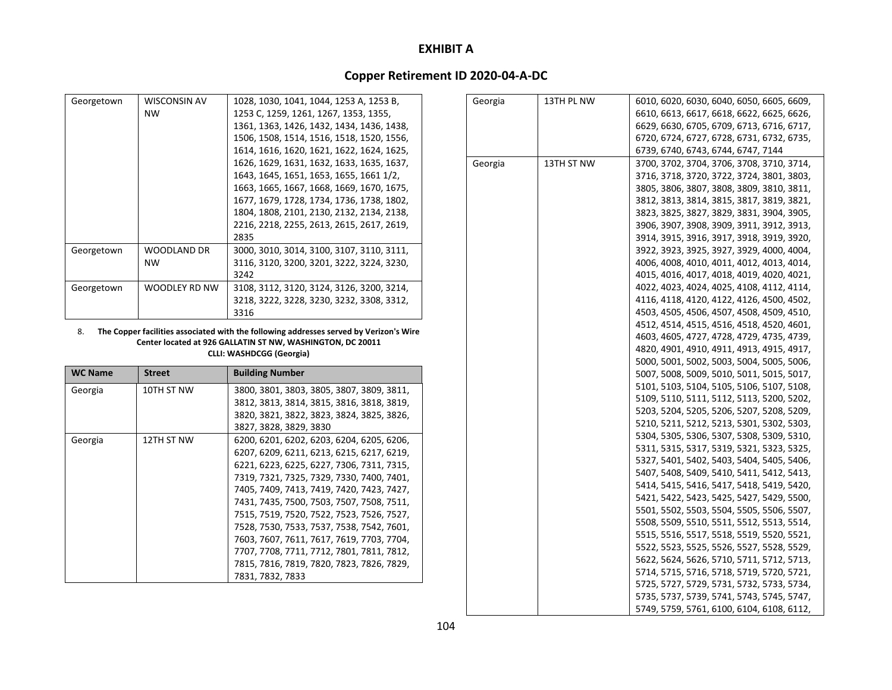# **Copper Retirement ID 2020‐04‐A‐DC**

| Georgetown | <b>WISCONSIN AV</b> | 1028, 1030, 1041, 1044, 1253 A, 1253 B,   |
|------------|---------------------|-------------------------------------------|
|            | NW                  | 1253 C, 1259, 1261, 1267, 1353, 1355,     |
|            |                     | 1361, 1363, 1426, 1432, 1434, 1436, 1438, |
|            |                     | 1506, 1508, 1514, 1516, 1518, 1520, 1556, |
|            |                     | 1614, 1616, 1620, 1621, 1622, 1624, 1625, |
|            |                     | 1626, 1629, 1631, 1632, 1633, 1635, 1637, |
|            |                     | 1643, 1645, 1651, 1653, 1655, 1661 1/2,   |
|            |                     | 1663, 1665, 1667, 1668, 1669, 1670, 1675, |
|            |                     | 1677, 1679, 1728, 1734, 1736, 1738, 1802, |
|            |                     | 1804, 1808, 2101, 2130, 2132, 2134, 2138, |
|            |                     | 2216, 2218, 2255, 2613, 2615, 2617, 2619, |
|            |                     | 2835                                      |
| Georgetown | WOODLAND DR         | 3000, 3010, 3014, 3100, 3107, 3110, 3111, |
|            | NW                  | 3116, 3120, 3200, 3201, 3222, 3224, 3230, |
|            |                     | 3242                                      |
| Georgetown | WOODLEY RD NW       | 3108, 3112, 3120, 3124, 3126, 3200, 3214, |
|            |                     | 3218, 3222, 3228, 3230, 3232, 3308, 3312, |
|            |                     | 3316                                      |

#### 8. **The Copper facilities associated with the following addresses served by Verizon's Wire Center located at 926 GALLATIN ST NW, WASHINGTON, DC 20011 CLLI: WASHDCGG (Georgia)**

| <b>WC Name</b> | <b>Street</b> | <b>Building Number</b>                    |
|----------------|---------------|-------------------------------------------|
| Georgia        | 10TH ST NW    | 3800, 3801, 3803, 3805, 3807, 3809, 3811, |
|                |               | 3812, 3813, 3814, 3815, 3816, 3818, 3819, |
|                |               | 3820, 3821, 3822, 3823, 3824, 3825, 3826, |
|                |               | 3827, 3828, 3829, 3830                    |
| Georgia        | 12TH ST NW    | 6200, 6201, 6202, 6203, 6204, 6205, 6206, |
|                |               | 6207, 6209, 6211, 6213, 6215, 6217, 6219, |
|                |               | 6221, 6223, 6225, 6227, 7306, 7311, 7315, |
|                |               | 7319, 7321, 7325, 7329, 7330, 7400, 7401, |
|                |               | 7405, 7409, 7413, 7419, 7420, 7423, 7427, |
|                |               | 7431, 7435, 7500, 7503, 7507, 7508, 7511, |
|                |               | 7515, 7519, 7520, 7522, 7523, 7526, 7527, |
|                |               | 7528, 7530, 7533, 7537, 7538, 7542, 7601, |
|                |               | 7603, 7607, 7611, 7617, 7619, 7703, 7704, |
|                |               | 7707, 7708, 7711, 7712, 7801, 7811, 7812, |
|                |               | 7815, 7816, 7819, 7820, 7823, 7826, 7829, |
|                |               | 7831, 7832, 7833                          |

| Georgia | 13TH PL NW | 6010, 6020, 6030, 6040, 6050, 6605, 6609, |
|---------|------------|-------------------------------------------|
|         |            | 6610, 6613, 6617, 6618, 6622, 6625, 6626, |
|         |            | 6629, 6630, 6705, 6709, 6713, 6716, 6717, |
|         |            | 6720, 6724, 6727, 6728, 6731, 6732, 6735, |
|         |            | 6739, 6740, 6743, 6744, 6747, 7144        |
| Georgia | 13TH ST NW | 3700, 3702, 3704, 3706, 3708, 3710, 3714, |
|         |            | 3716, 3718, 3720, 3722, 3724, 3801, 3803, |
|         |            | 3805, 3806, 3807, 3808, 3809, 3810, 3811, |
|         |            | 3812, 3813, 3814, 3815, 3817, 3819, 3821, |
|         |            | 3823, 3825, 3827, 3829, 3831, 3904, 3905, |
|         |            | 3906, 3907, 3908, 3909, 3911, 3912, 3913, |
|         |            | 3914, 3915, 3916, 3917, 3918, 3919, 3920, |
|         |            | 3922, 3923, 3925, 3927, 3929, 4000, 4004, |
|         |            | 4006, 4008, 4010, 4011, 4012, 4013, 4014, |
|         |            | 4015, 4016, 4017, 4018, 4019, 4020, 4021, |
|         |            | 4022, 4023, 4024, 4025, 4108, 4112, 4114, |
|         |            | 4116, 4118, 4120, 4122, 4126, 4500, 4502, |
|         |            | 4503, 4505, 4506, 4507, 4508, 4509, 4510, |
|         |            | 4512, 4514, 4515, 4516, 4518, 4520, 4601, |
|         |            | 4603, 4605, 4727, 4728, 4729, 4735, 4739, |
|         |            | 4820, 4901, 4910, 4911, 4913, 4915, 4917, |
|         |            | 5000, 5001, 5002, 5003, 5004, 5005, 5006, |
|         |            | 5007, 5008, 5009, 5010, 5011, 5015, 5017, |
|         |            | 5101, 5103, 5104, 5105, 5106, 5107, 5108, |
|         |            | 5109, 5110, 5111, 5112, 5113, 5200, 5202, |
|         |            | 5203, 5204, 5205, 5206, 5207, 5208, 5209, |
|         |            | 5210, 5211, 5212, 5213, 5301, 5302, 5303, |
|         |            | 5304, 5305, 5306, 5307, 5308, 5309, 5310, |
|         |            | 5311, 5315, 5317, 5319, 5321, 5323, 5325, |
|         |            | 5327, 5401, 5402, 5403, 5404, 5405, 5406, |
|         |            | 5407, 5408, 5409, 5410, 5411, 5412, 5413, |
|         |            | 5414, 5415, 5416, 5417, 5418, 5419, 5420, |
|         |            | 5421, 5422, 5423, 5425, 5427, 5429, 5500, |
|         |            | 5501, 5502, 5503, 5504, 5505, 5506, 5507, |
|         |            | 5508, 5509, 5510, 5511, 5512, 5513, 5514, |
|         |            | 5515, 5516, 5517, 5518, 5519, 5520, 5521, |
|         |            | 5522, 5523, 5525, 5526, 5527, 5528, 5529, |
|         |            | 5622, 5624, 5626, 5710, 5711, 5712, 5713, |
|         |            | 5714, 5715, 5716, 5718, 5719, 5720, 5721, |
|         |            | 5725, 5727, 5729, 5731, 5732, 5733, 5734, |
|         |            | 5735, 5737, 5739, 5741, 5743, 5745, 5747, |
|         |            | 5749, 5759, 5761, 6100, 6104, 6108, 6112, |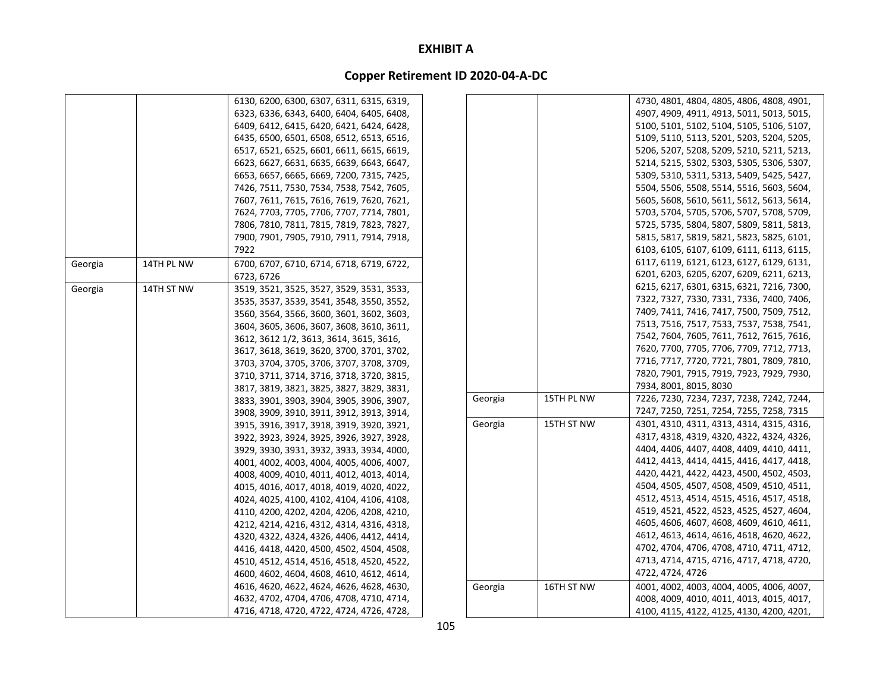|         |            | 6130, 6200, 6300, 6307, 6311, 6315, 6319, |         |            | 4730, 4801, 4804, 4805, 4806, 4808, 4901, |
|---------|------------|-------------------------------------------|---------|------------|-------------------------------------------|
|         |            | 6323, 6336, 6343, 6400, 6404, 6405, 6408, |         |            | 4907, 4909, 4911, 4913, 5011, 5013, 5015, |
|         |            | 6409, 6412, 6415, 6420, 6421, 6424, 6428, |         |            | 5100, 5101, 5102, 5104, 5105, 5106, 5107, |
|         |            | 6435, 6500, 6501, 6508, 6512, 6513, 6516, |         |            | 5109, 5110, 5113, 5201, 5203, 5204, 5205, |
|         |            | 6517, 6521, 6525, 6601, 6611, 6615, 6619, |         |            | 5206, 5207, 5208, 5209, 5210, 5211, 5213, |
|         |            | 6623, 6627, 6631, 6635, 6639, 6643, 6647, |         |            | 5214, 5215, 5302, 5303, 5305, 5306, 5307, |
|         |            | 6653, 6657, 6665, 6669, 7200, 7315, 7425, |         |            | 5309, 5310, 5311, 5313, 5409, 5425, 5427, |
|         |            | 7426, 7511, 7530, 7534, 7538, 7542, 7605, |         |            | 5504, 5506, 5508, 5514, 5516, 5603, 5604, |
|         |            | 7607, 7611, 7615, 7616, 7619, 7620, 7621, |         |            | 5605, 5608, 5610, 5611, 5612, 5613, 5614, |
|         |            | 7624, 7703, 7705, 7706, 7707, 7714, 7801, |         |            | 5703, 5704, 5705, 5706, 5707, 5708, 5709, |
|         |            | 7806, 7810, 7811, 7815, 7819, 7823, 7827, |         |            | 5725, 5735, 5804, 5807, 5809, 5811, 5813, |
|         |            | 7900, 7901, 7905, 7910, 7911, 7914, 7918, |         |            | 5815, 5817, 5819, 5821, 5823, 5825, 6101, |
|         |            | 7922                                      |         |            | 6103, 6105, 6107, 6109, 6111, 6113, 6115, |
| Georgia | 14TH PL NW | 6700, 6707, 6710, 6714, 6718, 6719, 6722, |         |            | 6117, 6119, 6121, 6123, 6127, 6129, 6131, |
|         |            | 6723, 6726                                |         |            | 6201, 6203, 6205, 6207, 6209, 6211, 6213, |
| Georgia | 14TH ST NW | 3519, 3521, 3525, 3527, 3529, 3531, 3533, |         |            | 6215, 6217, 6301, 6315, 6321, 7216, 7300, |
|         |            | 3535, 3537, 3539, 3541, 3548, 3550, 3552, |         |            | 7322, 7327, 7330, 7331, 7336, 7400, 7406, |
|         |            | 3560, 3564, 3566, 3600, 3601, 3602, 3603, |         |            | 7409, 7411, 7416, 7417, 7500, 7509, 7512, |
|         |            | 3604, 3605, 3606, 3607, 3608, 3610, 3611, |         |            | 7513, 7516, 7517, 7533, 7537, 7538, 7541, |
|         |            | 3612, 3612 1/2, 3613, 3614, 3615, 3616,   |         |            | 7542, 7604, 7605, 7611, 7612, 7615, 7616, |
|         |            | 3617, 3618, 3619, 3620, 3700, 3701, 3702, |         |            | 7620, 7700, 7705, 7706, 7709, 7712, 7713, |
|         |            | 3703, 3704, 3705, 3706, 3707, 3708, 3709, |         |            | 7716, 7717, 7720, 7721, 7801, 7809, 7810, |
|         |            | 3710, 3711, 3714, 3716, 3718, 3720, 3815, |         |            | 7820, 7901, 7915, 7919, 7923, 7929, 7930, |
|         |            | 3817, 3819, 3821, 3825, 3827, 3829, 3831, |         |            | 7934, 8001, 8015, 8030                    |
|         |            | 3833, 3901, 3903, 3904, 3905, 3906, 3907, | Georgia | 15TH PL NW | 7226, 7230, 7234, 7237, 7238, 7242, 7244, |
|         |            | 3908, 3909, 3910, 3911, 3912, 3913, 3914, |         |            | 7247, 7250, 7251, 7254, 7255, 7258, 7315  |
|         |            | 3915, 3916, 3917, 3918, 3919, 3920, 3921, | Georgia | 15TH ST NW | 4301, 4310, 4311, 4313, 4314, 4315, 4316, |
|         |            | 3922, 3923, 3924, 3925, 3926, 3927, 3928, |         |            | 4317, 4318, 4319, 4320, 4322, 4324, 4326, |
|         |            | 3929, 3930, 3931, 3932, 3933, 3934, 4000, |         |            | 4404, 4406, 4407, 4408, 4409, 4410, 4411, |
|         |            | 4001, 4002, 4003, 4004, 4005, 4006, 4007, |         |            | 4412, 4413, 4414, 4415, 4416, 4417, 4418, |
|         |            | 4008, 4009, 4010, 4011, 4012, 4013, 4014, |         |            | 4420, 4421, 4422, 4423, 4500, 4502, 4503, |
|         |            | 4015, 4016, 4017, 4018, 4019, 4020, 4022, |         |            | 4504, 4505, 4507, 4508, 4509, 4510, 4511, |
|         |            | 4024, 4025, 4100, 4102, 4104, 4106, 4108, |         |            | 4512, 4513, 4514, 4515, 4516, 4517, 4518, |
|         |            | 4110, 4200, 4202, 4204, 4206, 4208, 4210, |         |            | 4519, 4521, 4522, 4523, 4525, 4527, 4604, |
|         |            | 4212, 4214, 4216, 4312, 4314, 4316, 4318, |         |            | 4605, 4606, 4607, 4608, 4609, 4610, 4611, |
|         |            | 4320, 4322, 4324, 4326, 4406, 4412, 4414, |         |            | 4612, 4613, 4614, 4616, 4618, 4620, 4622, |
|         |            | 4416, 4418, 4420, 4500, 4502, 4504, 4508, |         |            | 4702, 4704, 4706, 4708, 4710, 4711, 4712, |
|         |            | 4510, 4512, 4514, 4516, 4518, 4520, 4522, |         |            | 4713, 4714, 4715, 4716, 4717, 4718, 4720, |
|         |            | 4600, 4602, 4604, 4608, 4610, 4612, 4614, |         |            | 4722, 4724, 4726                          |
|         |            | 4616, 4620, 4622, 4624, 4626, 4628, 4630, | Georgia | 16TH ST NW | 4001, 4002, 4003, 4004, 4005, 4006, 4007, |
|         |            | 4632, 4702, 4704, 4706, 4708, 4710, 4714, |         |            | 4008, 4009, 4010, 4011, 4013, 4015, 4017, |
|         |            | 4716, 4718, 4720, 4722, 4724, 4726, 4728, |         |            | 4100, 4115, 4122, 4125, 4130, 4200, 4201, |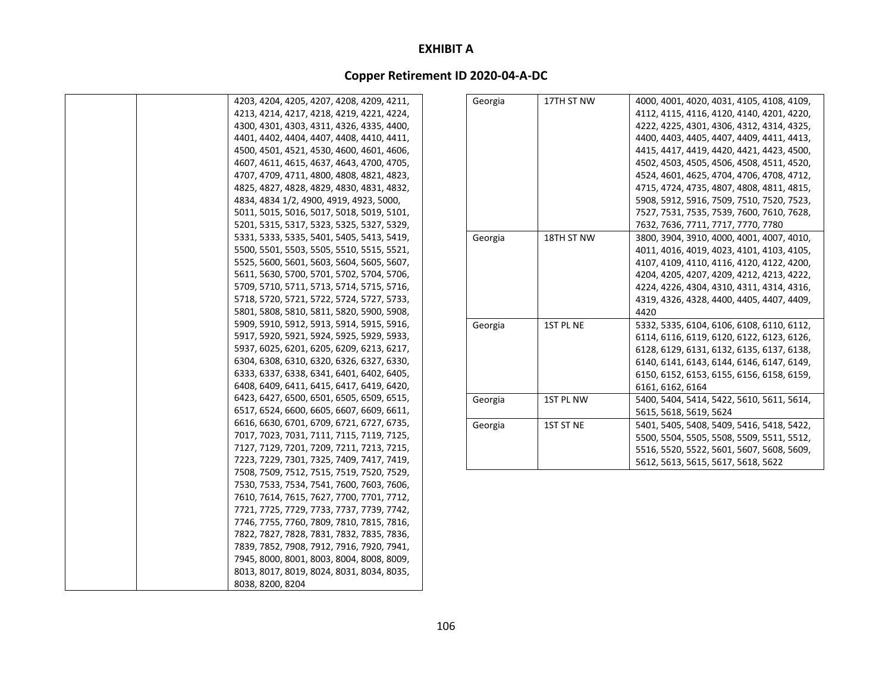| 4203, 4204, 4205, 4207, 4208, 4209, 4211, |
|-------------------------------------------|
| 4213, 4214, 4217, 4218, 4219, 4221, 4224, |
| 4300, 4301, 4303, 4311, 4326, 4335, 4400, |
| 4401, 4402, 4404, 4407, 4408, 4410, 4411, |
| 4500, 4501, 4521, 4530, 4600, 4601, 4606, |
| 4607, 4611, 4615, 4637, 4643, 4700, 4705, |
| 4707, 4709, 4711, 4800, 4808, 4821, 4823, |
| 4825, 4827, 4828, 4829, 4830, 4831, 4832, |
| 4834, 4834 1/2, 4900, 4919, 4923, 5000,   |
| 5011, 5015, 5016, 5017, 5018, 5019, 5101, |
| 5201, 5315, 5317, 5323, 5325, 5327, 5329, |
| 5331, 5333, 5335, 5401, 5405, 5413, 5419, |
| 5500, 5501, 5503, 5505, 5510, 5515, 5521, |
| 5525, 5600, 5601, 5603, 5604, 5605, 5607, |
| 5611, 5630, 5700, 5701, 5702, 5704, 5706, |
| 5709, 5710, 5711, 5713, 5714, 5715, 5716, |
| 5718, 5720, 5721, 5722, 5724, 5727, 5733, |
| 5801, 5808, 5810, 5811, 5820, 5900, 5908, |
| 5909, 5910, 5912, 5913, 5914, 5915, 5916, |
| 5917, 5920, 5921, 5924, 5925, 5929, 5933, |
| 5937, 6025, 6201, 6205, 6209, 6213, 6217, |
| 6304, 6308, 6310, 6320, 6326, 6327, 6330, |
| 6333, 6337, 6338, 6341, 6401, 6402, 6405, |
| 6408, 6409, 6411, 6415, 6417, 6419, 6420, |
| 6423, 6427, 6500, 6501, 6505, 6509, 6515, |
| 6517, 6524, 6600, 6605, 6607, 6609, 6611, |
| 6616, 6630, 6701, 6709, 6721, 6727, 6735, |
| 7017, 7023, 7031, 7111, 7115, 7119, 7125, |
| 7127, 7129, 7201, 7209, 7211, 7213, 7215, |
| 7223, 7229, 7301, 7325, 7409, 7417, 7419, |
| 7508, 7509, 7512, 7515, 7519, 7520, 7529, |
| 7530, 7533, 7534, 7541, 7600, 7603, 7606, |
| 7610, 7614, 7615, 7627, 7700, 7701, 7712, |
| 7721, 7725, 7729, 7733, 7737, 7739, 7742, |
| 7746, 7755, 7760, 7809, 7810, 7815, 7816, |
| 7822, 7827, 7828, 7831, 7832, 7835, 7836, |
| 7839, 7852, 7908, 7912, 7916, 7920, 7941, |
| 7945, 8000, 8001, 8003, 8004, 8008, 8009, |
| 8013, 8017, 8019, 8024, 8031, 8034, 8035, |
| 8038, 8200, 8204                          |

| Georgia | 17TH ST NW | 4000, 4001, 4020, 4031, 4105, 4108, 4109, |
|---------|------------|-------------------------------------------|
|         |            | 4112, 4115, 4116, 4120, 4140, 4201, 4220, |
|         |            | 4222, 4225, 4301, 4306, 4312, 4314, 4325, |
|         |            | 4400, 4403, 4405, 4407, 4409, 4411, 4413, |
|         |            | 4415, 4417, 4419, 4420, 4421, 4423, 4500, |
|         |            | 4502, 4503, 4505, 4506, 4508, 4511, 4520, |
|         |            | 4524, 4601, 4625, 4704, 4706, 4708, 4712, |
|         |            | 4715, 4724, 4735, 4807, 4808, 4811, 4815, |
|         |            | 5908, 5912, 5916, 7509, 7510, 7520, 7523, |
|         |            | 7527, 7531, 7535, 7539, 7600, 7610, 7628, |
|         |            | 7632, 7636, 7711, 7717, 7770, 7780        |
| Georgia | 18TH ST NW | 3800, 3904, 3910, 4000, 4001, 4007, 4010, |
|         |            | 4011, 4016, 4019, 4023, 4101, 4103, 4105, |
|         |            | 4107, 4109, 4110, 4116, 4120, 4122, 4200, |
|         |            | 4204, 4205, 4207, 4209, 4212, 4213, 4222, |
|         |            | 4224, 4226, 4304, 4310, 4311, 4314, 4316, |
|         |            | 4319, 4326, 4328, 4400, 4405, 4407, 4409, |
|         |            | 4420                                      |
| Georgia | 1ST PL NE  | 5332, 5335, 6104, 6106, 6108, 6110, 6112, |
|         |            | 6114, 6116, 6119, 6120, 6122, 6123, 6126, |
|         |            | 6128, 6129, 6131, 6132, 6135, 6137, 6138, |
|         |            | 6140, 6141, 6143, 6144, 6146, 6147, 6149, |
|         |            | 6150, 6152, 6153, 6155, 6156, 6158, 6159, |
|         |            | 6161, 6162, 6164                          |
| Georgia | 1ST PL NW  | 5400, 5404, 5414, 5422, 5610, 5611, 5614, |
|         |            | 5615, 5618, 5619, 5624                    |
| Georgia | 1ST ST NE  | 5401, 5405, 5408, 5409, 5416, 5418, 5422, |
|         |            | 5500, 5504, 5505, 5508, 5509, 5511, 5512, |
|         |            | 5516, 5520, 5522, 5601, 5607, 5608, 5609, |
|         |            | 5612, 5613, 5615, 5617, 5618, 5622        |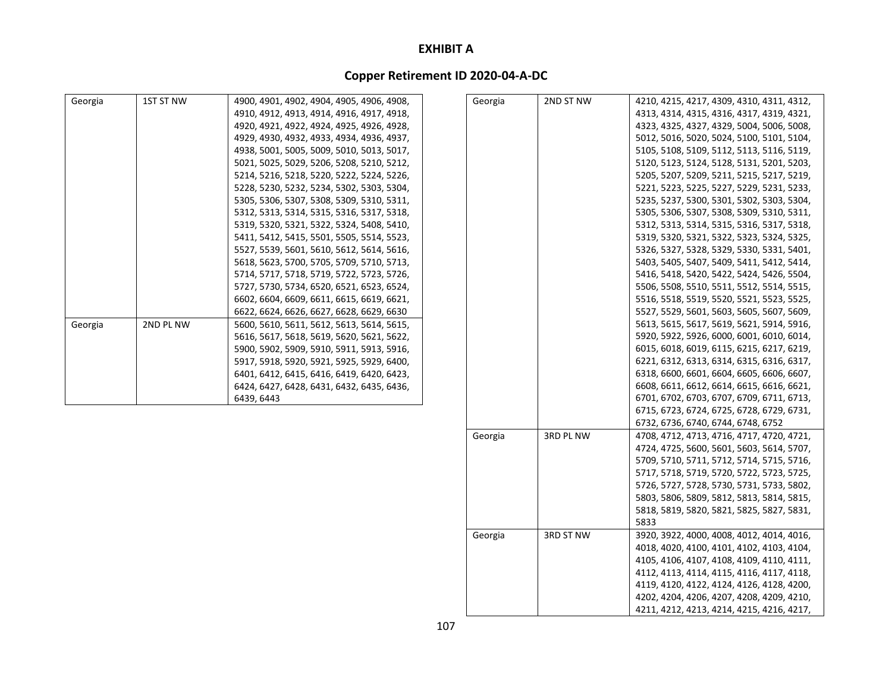### **Copper Retirement ID 2020‐04‐A‐DC**

| Georgia | 1ST ST NW | 4900, 4901, 4902, 4904, 4905, 4906, 4908, | Georgia | 2ND ST NW | 4210, 4215, 4217, 4309, 4310, 4311, 4312, |
|---------|-----------|-------------------------------------------|---------|-----------|-------------------------------------------|
|         |           | 4910, 4912, 4913, 4914, 4916, 4917, 4918, |         |           | 4313, 4314, 4315, 4316, 4317, 4319, 4321, |
|         |           | 4920, 4921, 4922, 4924, 4925, 4926, 4928, |         |           | 4323, 4325, 4327, 4329, 5004, 5006, 5008, |
|         |           | 4929, 4930, 4932, 4933, 4934, 4936, 4937, |         |           | 5012, 5016, 5020, 5024, 5100, 5101, 5104, |
|         |           | 4938, 5001, 5005, 5009, 5010, 5013, 5017, |         |           | 5105, 5108, 5109, 5112, 5113, 5116, 5119, |
|         |           | 5021, 5025, 5029, 5206, 5208, 5210, 5212, |         |           | 5120, 5123, 5124, 5128, 5131, 5201, 5203, |
|         |           | 5214, 5216, 5218, 5220, 5222, 5224, 5226, |         |           | 5205, 5207, 5209, 5211, 5215, 5217, 5219, |
|         |           | 5228, 5230, 5232, 5234, 5302, 5303, 5304, |         |           | 5221, 5223, 5225, 5227, 5229, 5231, 5233, |
|         |           | 5305, 5306, 5307, 5308, 5309, 5310, 5311, |         |           | 5235, 5237, 5300, 5301, 5302, 5303, 5304, |
|         |           | 5312, 5313, 5314, 5315, 5316, 5317, 5318, |         |           | 5305, 5306, 5307, 5308, 5309, 5310, 5311, |
|         |           | 5319, 5320, 5321, 5322, 5324, 5408, 5410, |         |           | 5312, 5313, 5314, 5315, 5316, 5317, 5318, |
|         |           | 5411, 5412, 5415, 5501, 5505, 5514, 5523, |         |           | 5319, 5320, 5321, 5322, 5323, 5324, 5325, |
|         |           | 5527, 5539, 5601, 5610, 5612, 5614, 5616, |         |           | 5326, 5327, 5328, 5329, 5330, 5331, 5401, |
|         |           | 5618, 5623, 5700, 5705, 5709, 5710, 5713, |         |           | 5403, 5405, 5407, 5409, 5411, 5412, 5414, |
|         |           | 5714, 5717, 5718, 5719, 5722, 5723, 5726, |         |           | 5416, 5418, 5420, 5422, 5424, 5426, 5504, |
|         |           | 5727, 5730, 5734, 6520, 6521, 6523, 6524, |         |           | 5506, 5508, 5510, 5511, 5512, 5514, 5515, |
|         |           | 6602, 6604, 6609, 6611, 6615, 6619, 6621, |         |           | 5516, 5518, 5519, 5520, 5521, 5523, 5525, |
|         |           | 6622, 6624, 6626, 6627, 6628, 6629, 6630  |         |           | 5527, 5529, 5601, 5603, 5605, 5607, 5609, |
| Georgia | 2ND PL NW | 5600, 5610, 5611, 5612, 5613, 5614, 5615, |         |           | 5613, 5615, 5617, 5619, 5621, 5914, 5916, |
|         |           | 5616, 5617, 5618, 5619, 5620, 5621, 5622, |         |           | 5920, 5922, 5926, 6000, 6001, 6010, 6014, |
|         |           | 5900, 5902, 5909, 5910, 5911, 5913, 5916, |         |           | 6015, 6018, 6019, 6115, 6215, 6217, 6219, |
|         |           | 5917, 5918, 5920, 5921, 5925, 5929, 6400, |         |           | 6221, 6312, 6313, 6314, 6315, 6316, 6317, |
|         |           | 6401, 6412, 6415, 6416, 6419, 6420, 6423, |         |           | 6318, 6600, 6601, 6604, 6605, 6606, 6607, |
|         |           | 6424, 6427, 6428, 6431, 6432, 6435, 6436, |         |           | 6608, 6611, 6612, 6614, 6615, 6616, 6621, |
|         |           | 6439, 6443                                |         |           | 6701, 6702, 6703, 6707, 6709, 6711, 6713, |
|         |           |                                           |         |           | 6715, 6723, 6724, 6725, 6728, 6729, 6731, |
|         |           |                                           |         |           | 6732, 6736, 6740, 6744, 6748, 6752        |
|         |           |                                           | Georgia | 3RD PL NW | 4708, 4712, 4713, 4716, 4717, 4720, 4721, |
|         |           |                                           |         |           | 4724, 4725, 5600, 5601, 5603, 5614, 5707, |
|         |           |                                           |         |           | 5709, 5710, 5711, 5712, 5714, 5715, 5716, |
|         |           |                                           |         |           | 5717, 5718, 5719, 5720, 5722, 5723, 5725, |
|         |           |                                           |         |           | 5726, 5727, 5728, 5730, 5731, 5733, 5802, |
|         |           |                                           |         |           | 5803, 5806, 5809, 5812, 5813, 5814, 5815, |
|         |           |                                           |         |           | 5818, 5819, 5820, 5821, 5825, 5827, 5831, |

5833 Georgia 3RD ST NW 3920, 3922, 4000, 4008, 4012, 4014, 4016,

4018, 4020, 4100, 4101, 4102, 4103, 4104, 4105, 4106, 4107, 4108, 4109, 4110, 4111, 4112, 4113, 4114, 4115, 4116, 4117, 4118, 4119, 4120, 4122, 4124, 4126, 4128, 4200, 4202, 4204, 4206, 4207, 4208, 4209, 4210, 4211, 4212, 4213, 4214, 4215, 4216, 4217,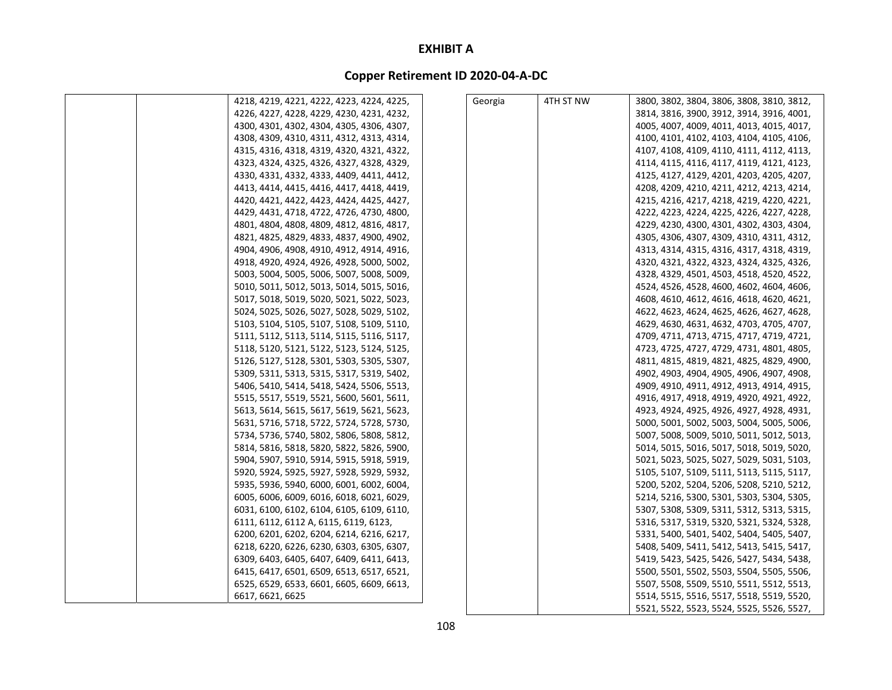| 4218, 4219, 4221, 4222, 4223, 4224, 4225, | Georgia | 4TH ST NW | 3800, 3802, 3804, 3806, 3808, 3810, 3812, |
|-------------------------------------------|---------|-----------|-------------------------------------------|
| 4226, 4227, 4228, 4229, 4230, 4231, 4232, |         |           | 3814, 3816, 3900, 3912, 3914, 3916, 4001, |
| 4300, 4301, 4302, 4304, 4305, 4306, 4307, |         |           | 4005, 4007, 4009, 4011, 4013, 4015, 4017, |
| 4308, 4309, 4310, 4311, 4312, 4313, 4314, |         |           | 4100, 4101, 4102, 4103, 4104, 4105, 4106, |
| 4315, 4316, 4318, 4319, 4320, 4321, 4322, |         |           | 4107, 4108, 4109, 4110, 4111, 4112, 4113, |
| 4323, 4324, 4325, 4326, 4327, 4328, 4329, |         |           | 4114, 4115, 4116, 4117, 4119, 4121, 4123, |
| 4330, 4331, 4332, 4333, 4409, 4411, 4412, |         |           | 4125, 4127, 4129, 4201, 4203, 4205, 4207, |
| 4413, 4414, 4415, 4416, 4417, 4418, 4419, |         |           | 4208, 4209, 4210, 4211, 4212, 4213, 4214, |
| 4420, 4421, 4422, 4423, 4424, 4425, 4427, |         |           | 4215, 4216, 4217, 4218, 4219, 4220, 4221, |
| 4429, 4431, 4718, 4722, 4726, 4730, 4800, |         |           | 4222, 4223, 4224, 4225, 4226, 4227, 4228, |
| 4801, 4804, 4808, 4809, 4812, 4816, 4817, |         |           | 4229, 4230, 4300, 4301, 4302, 4303, 4304, |
| 4821, 4825, 4829, 4833, 4837, 4900, 4902, |         |           | 4305, 4306, 4307, 4309, 4310, 4311, 4312, |
| 4904, 4906, 4908, 4910, 4912, 4914, 4916, |         |           | 4313, 4314, 4315, 4316, 4317, 4318, 4319, |
| 4918, 4920, 4924, 4926, 4928, 5000, 5002, |         |           | 4320, 4321, 4322, 4323, 4324, 4325, 4326, |
| 5003, 5004, 5005, 5006, 5007, 5008, 5009, |         |           | 4328, 4329, 4501, 4503, 4518, 4520, 4522, |
| 5010, 5011, 5012, 5013, 5014, 5015, 5016, |         |           | 4524, 4526, 4528, 4600, 4602, 4604, 4606, |
| 5017, 5018, 5019, 5020, 5021, 5022, 5023, |         |           | 4608, 4610, 4612, 4616, 4618, 4620, 4621, |
| 5024, 5025, 5026, 5027, 5028, 5029, 5102, |         |           | 4622, 4623, 4624, 4625, 4626, 4627, 4628, |
| 5103, 5104, 5105, 5107, 5108, 5109, 5110, |         |           | 4629, 4630, 4631, 4632, 4703, 4705, 4707, |
| 5111, 5112, 5113, 5114, 5115, 5116, 5117, |         |           | 4709, 4711, 4713, 4715, 4717, 4719, 4721, |
| 5118, 5120, 5121, 5122, 5123, 5124, 5125, |         |           | 4723, 4725, 4727, 4729, 4731, 4801, 4805, |
| 5126, 5127, 5128, 5301, 5303, 5305, 5307, |         |           | 4811, 4815, 4819, 4821, 4825, 4829, 4900, |
| 5309, 5311, 5313, 5315, 5317, 5319, 5402, |         |           | 4902, 4903, 4904, 4905, 4906, 4907, 4908, |
| 5406, 5410, 5414, 5418, 5424, 5506, 5513, |         |           | 4909, 4910, 4911, 4912, 4913, 4914, 4915, |
| 5515, 5517, 5519, 5521, 5600, 5601, 5611, |         |           | 4916, 4917, 4918, 4919, 4920, 4921, 4922, |
| 5613, 5614, 5615, 5617, 5619, 5621, 5623, |         |           | 4923, 4924, 4925, 4926, 4927, 4928, 4931, |
| 5631, 5716, 5718, 5722, 5724, 5728, 5730, |         |           | 5000, 5001, 5002, 5003, 5004, 5005, 5006, |
| 5734, 5736, 5740, 5802, 5806, 5808, 5812, |         |           | 5007, 5008, 5009, 5010, 5011, 5012, 5013, |
| 5814, 5816, 5818, 5820, 5822, 5826, 5900, |         |           | 5014, 5015, 5016, 5017, 5018, 5019, 5020, |
| 5904, 5907, 5910, 5914, 5915, 5918, 5919, |         |           | 5021, 5023, 5025, 5027, 5029, 5031, 5103, |
| 5920, 5924, 5925, 5927, 5928, 5929, 5932, |         |           | 5105, 5107, 5109, 5111, 5113, 5115, 5117, |
| 5935, 5936, 5940, 6000, 6001, 6002, 6004, |         |           | 5200, 5202, 5204, 5206, 5208, 5210, 5212, |
| 6005, 6006, 6009, 6016, 6018, 6021, 6029, |         |           | 5214, 5216, 5300, 5301, 5303, 5304, 5305, |
| 6031, 6100, 6102, 6104, 6105, 6109, 6110, |         |           | 5307, 5308, 5309, 5311, 5312, 5313, 5315, |
| 6111, 6112, 6112 A, 6115, 6119, 6123,     |         |           | 5316, 5317, 5319, 5320, 5321, 5324, 5328, |
| 6200, 6201, 6202, 6204, 6214, 6216, 6217, |         |           | 5331, 5400, 5401, 5402, 5404, 5405, 5407, |
| 6218, 6220, 6226, 6230, 6303, 6305, 6307, |         |           | 5408, 5409, 5411, 5412, 5413, 5415, 5417, |
| 6309, 6403, 6405, 6407, 6409, 6411, 6413, |         |           | 5419, 5423, 5425, 5426, 5427, 5434, 5438, |
| 6415, 6417, 6501, 6509, 6513, 6517, 6521, |         |           | 5500, 5501, 5502, 5503, 5504, 5505, 5506, |
| 6525, 6529, 6533, 6601, 6605, 6609, 6613, |         |           | 5507, 5508, 5509, 5510, 5511, 5512, 5513, |
| 6617, 6621, 6625                          |         |           | 5514, 5515, 5516, 5517, 5518, 5519, 5520, |
|                                           |         |           | 5521, 5522, 5523, 5524, 5525, 5526, 5527, |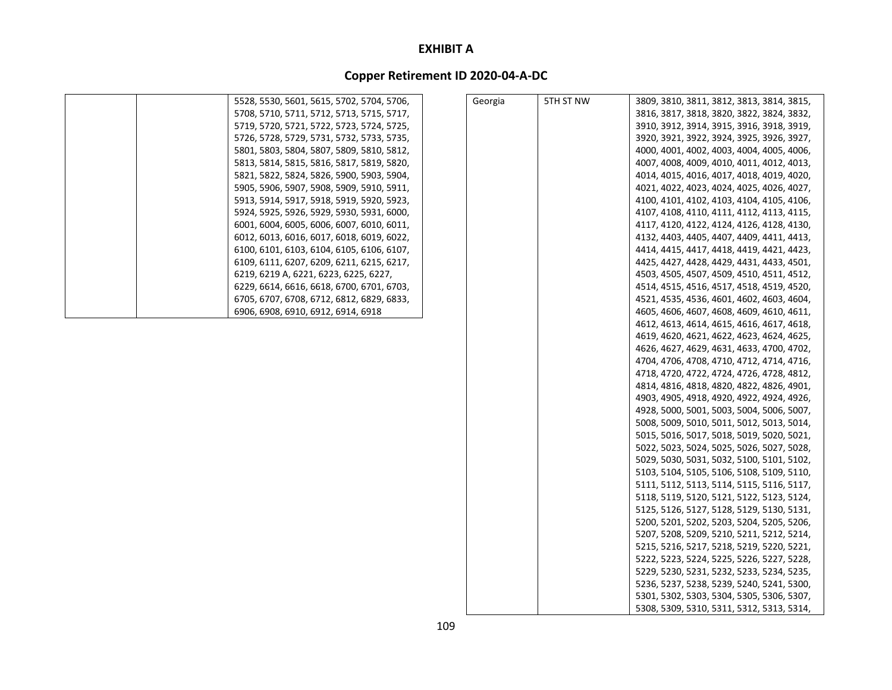| 5528, 5530, 5601, 5615, 5702, 5704, 5706, | Georgia | 5TH ST NW | 3809, 3810, 3811, 3812, 3813, 3814, 3815, |
|-------------------------------------------|---------|-----------|-------------------------------------------|
| 5708, 5710, 5711, 5712, 5713, 5715, 5717, |         |           | 3816, 3817, 3818, 3820, 3822, 3824, 3832, |
| 5719, 5720, 5721, 5722, 5723, 5724, 5725, |         |           | 3910, 3912, 3914, 3915, 3916, 3918, 3919, |
| 5726, 5728, 5729, 5731, 5732, 5733, 5735, |         |           | 3920, 3921, 3922, 3924, 3925, 3926, 3927, |
| 5801, 5803, 5804, 5807, 5809, 5810, 5812, |         |           | 4000, 4001, 4002, 4003, 4004, 4005, 4006, |
| 5813, 5814, 5815, 5816, 5817, 5819, 5820, |         |           | 4007, 4008, 4009, 4010, 4011, 4012, 4013, |
| 5821, 5822, 5824, 5826, 5900, 5903, 5904, |         |           | 4014, 4015, 4016, 4017, 4018, 4019, 4020, |
| 5905, 5906, 5907, 5908, 5909, 5910, 5911, |         |           | 4021, 4022, 4023, 4024, 4025, 4026, 4027, |
| 5913, 5914, 5917, 5918, 5919, 5920, 5923, |         |           | 4100, 4101, 4102, 4103, 4104, 4105, 4106, |
| 5924, 5925, 5926, 5929, 5930, 5931, 6000, |         |           | 4107, 4108, 4110, 4111, 4112, 4113, 4115, |
| 6001, 6004, 6005, 6006, 6007, 6010, 6011, |         |           | 4117, 4120, 4122, 4124, 4126, 4128, 4130, |
| 6012, 6013, 6016, 6017, 6018, 6019, 6022, |         |           | 4132, 4403, 4405, 4407, 4409, 4411, 4413, |
| 6100, 6101, 6103, 6104, 6105, 6106, 6107, |         |           | 4414, 4415, 4417, 4418, 4419, 4421, 4423, |
| 6109, 6111, 6207, 6209, 6211, 6215, 6217, |         |           | 4425, 4427, 4428, 4429, 4431, 4433, 4501, |
| 6219, 6219 A, 6221, 6223, 6225, 6227,     |         |           | 4503, 4505, 4507, 4509, 4510, 4511, 4512, |
| 6229, 6614, 6616, 6618, 6700, 6701, 6703, |         |           | 4514, 4515, 4516, 4517, 4518, 4519, 4520, |
| 6705, 6707, 6708, 6712, 6812, 6829, 6833, |         |           | 4521, 4535, 4536, 4601, 4602, 4603, 4604, |
| 6906, 6908, 6910, 6912, 6914, 6918        |         |           | 4605, 4606, 4607, 4608, 4609, 4610, 4611, |
|                                           |         |           | 4612, 4613, 4614, 4615, 4616, 4617, 4618, |
|                                           |         |           | 4619, 4620, 4621, 4622, 4623, 4624, 4625, |
|                                           |         |           | 4626, 4627, 4629, 4631, 4633, 4700, 4702, |
|                                           |         |           | 4704, 4706, 4708, 4710, 4712, 4714, 4716, |
|                                           |         |           | 4718, 4720, 4722, 4724, 4726, 4728, 4812, |
|                                           |         |           | 4814, 4816, 4818, 4820, 4822, 4826, 4901, |
|                                           |         |           | 4903, 4905, 4918, 4920, 4922, 4924, 4926, |
|                                           |         |           | 4928, 5000, 5001, 5003, 5004, 5006, 5007, |
|                                           |         |           | 5008, 5009, 5010, 5011, 5012, 5013, 5014, |
|                                           |         |           | 5015, 5016, 5017, 5018, 5019, 5020, 5021, |
|                                           |         |           | 5022, 5023, 5024, 5025, 5026, 5027, 5028, |
|                                           |         |           | 5029, 5030, 5031, 5032, 5100, 5101, 5102, |
|                                           |         |           | 5103, 5104, 5105, 5106, 5108, 5109, 5110, |
|                                           |         |           | 5111, 5112, 5113, 5114, 5115, 5116, 5117, |
|                                           |         |           | 5118, 5119, 5120, 5121, 5122, 5123, 5124, |
|                                           |         |           | 5125, 5126, 5127, 5128, 5129, 5130, 5131, |
|                                           |         |           | 5200, 5201, 5202, 5203, 5204, 5205, 5206, |
|                                           |         |           | 5207, 5208, 5209, 5210, 5211, 5212, 5214, |
|                                           |         |           | 5215, 5216, 5217, 5218, 5219, 5220, 5221, |
|                                           |         |           | 5222, 5223, 5224, 5225, 5226, 5227, 5228, |
|                                           |         |           | 5229, 5230, 5231, 5232, 5233, 5234, 5235, |
|                                           |         |           | 5236, 5237, 5238, 5239, 5240, 5241, 5300, |
|                                           |         |           | 5301, 5302, 5303, 5304, 5305, 5306, 5307, |
|                                           |         |           | 5308, 5309, 5310, 5311, 5312, 5313, 5314, |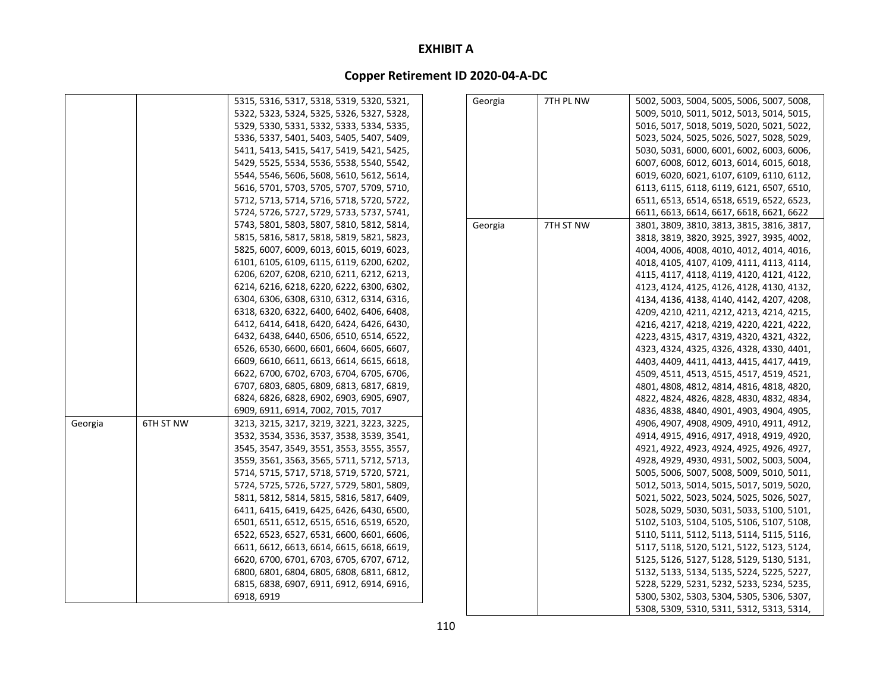|         |           | 5315, 5316, 5317, 5318, 5319, 5320, 5321, | Georgia | 7TH PL NW | 5002, 5003, 5004, 5005, 5006, 5007, 5008, |
|---------|-----------|-------------------------------------------|---------|-----------|-------------------------------------------|
|         |           | 5322, 5323, 5324, 5325, 5326, 5327, 5328, |         |           | 5009, 5010, 5011, 5012, 5013, 5014, 5015, |
|         |           | 5329, 5330, 5331, 5332, 5333, 5334, 5335, |         |           | 5016, 5017, 5018, 5019, 5020, 5021, 5022, |
|         |           | 5336, 5337, 5401, 5403, 5405, 5407, 5409, |         |           | 5023, 5024, 5025, 5026, 5027, 5028, 5029, |
|         |           | 5411, 5413, 5415, 5417, 5419, 5421, 5425, |         |           | 5030, 5031, 6000, 6001, 6002, 6003, 6006, |
|         |           | 5429, 5525, 5534, 5536, 5538, 5540, 5542, |         |           | 6007, 6008, 6012, 6013, 6014, 6015, 6018, |
|         |           | 5544, 5546, 5606, 5608, 5610, 5612, 5614, |         |           | 6019, 6020, 6021, 6107, 6109, 6110, 6112, |
|         |           | 5616, 5701, 5703, 5705, 5707, 5709, 5710, |         |           | 6113, 6115, 6118, 6119, 6121, 6507, 6510, |
|         |           | 5712, 5713, 5714, 5716, 5718, 5720, 5722, |         |           | 6511, 6513, 6514, 6518, 6519, 6522, 6523, |
|         |           | 5724, 5726, 5727, 5729, 5733, 5737, 5741, |         |           | 6611, 6613, 6614, 6617, 6618, 6621, 6622  |
|         |           | 5743, 5801, 5803, 5807, 5810, 5812, 5814, | Georgia | 7TH ST NW | 3801, 3809, 3810, 3813, 3815, 3816, 3817, |
|         |           | 5815, 5816, 5817, 5818, 5819, 5821, 5823, |         |           | 3818, 3819, 3820, 3925, 3927, 3935, 4002, |
|         |           | 5825, 6007, 6009, 6013, 6015, 6019, 6023, |         |           | 4004, 4006, 4008, 4010, 4012, 4014, 4016, |
|         |           | 6101, 6105, 6109, 6115, 6119, 6200, 6202, |         |           | 4018, 4105, 4107, 4109, 4111, 4113, 4114, |
|         |           | 6206, 6207, 6208, 6210, 6211, 6212, 6213, |         |           | 4115, 4117, 4118, 4119, 4120, 4121, 4122, |
|         |           | 6214, 6216, 6218, 6220, 6222, 6300, 6302, |         |           | 4123, 4124, 4125, 4126, 4128, 4130, 4132, |
|         |           | 6304, 6306, 6308, 6310, 6312, 6314, 6316, |         |           | 4134, 4136, 4138, 4140, 4142, 4207, 4208, |
|         |           | 6318, 6320, 6322, 6400, 6402, 6406, 6408, |         |           | 4209, 4210, 4211, 4212, 4213, 4214, 4215, |
|         |           | 6412, 6414, 6418, 6420, 6424, 6426, 6430, |         |           | 4216, 4217, 4218, 4219, 4220, 4221, 4222, |
|         |           | 6432, 6438, 6440, 6506, 6510, 6514, 6522, |         |           | 4223, 4315, 4317, 4319, 4320, 4321, 4322, |
|         |           | 6526, 6530, 6600, 6601, 6604, 6605, 6607, |         |           | 4323, 4324, 4325, 4326, 4328, 4330, 4401, |
|         |           | 6609, 6610, 6611, 6613, 6614, 6615, 6618, |         |           | 4403, 4409, 4411, 4413, 4415, 4417, 4419, |
|         |           | 6622, 6700, 6702, 6703, 6704, 6705, 6706, |         |           | 4509, 4511, 4513, 4515, 4517, 4519, 4521, |
|         |           | 6707, 6803, 6805, 6809, 6813, 6817, 6819, |         |           | 4801, 4808, 4812, 4814, 4816, 4818, 4820, |
|         |           | 6824, 6826, 6828, 6902, 6903, 6905, 6907, |         |           | 4822, 4824, 4826, 4828, 4830, 4832, 4834, |
|         |           | 6909, 6911, 6914, 7002, 7015, 7017        |         |           | 4836, 4838, 4840, 4901, 4903, 4904, 4905, |
| Georgia | 6TH ST NW | 3213, 3215, 3217, 3219, 3221, 3223, 3225, |         |           | 4906, 4907, 4908, 4909, 4910, 4911, 4912, |
|         |           | 3532, 3534, 3536, 3537, 3538, 3539, 3541, |         |           | 4914, 4915, 4916, 4917, 4918, 4919, 4920, |
|         |           | 3545, 3547, 3549, 3551, 3553, 3555, 3557, |         |           | 4921, 4922, 4923, 4924, 4925, 4926, 4927, |
|         |           | 3559, 3561, 3563, 3565, 5711, 5712, 5713, |         |           | 4928, 4929, 4930, 4931, 5002, 5003, 5004, |
|         |           | 5714, 5715, 5717, 5718, 5719, 5720, 5721, |         |           | 5005, 5006, 5007, 5008, 5009, 5010, 5011, |
|         |           | 5724, 5725, 5726, 5727, 5729, 5801, 5809, |         |           | 5012, 5013, 5014, 5015, 5017, 5019, 5020, |
|         |           | 5811, 5812, 5814, 5815, 5816, 5817, 6409, |         |           | 5021, 5022, 5023, 5024, 5025, 5026, 5027, |
|         |           | 6411, 6415, 6419, 6425, 6426, 6430, 6500, |         |           | 5028, 5029, 5030, 5031, 5033, 5100, 5101, |
|         |           | 6501, 6511, 6512, 6515, 6516, 6519, 6520, |         |           | 5102, 5103, 5104, 5105, 5106, 5107, 5108, |
|         |           | 6522, 6523, 6527, 6531, 6600, 6601, 6606, |         |           | 5110, 5111, 5112, 5113, 5114, 5115, 5116, |
|         |           | 6611, 6612, 6613, 6614, 6615, 6618, 6619, |         |           | 5117, 5118, 5120, 5121, 5122, 5123, 5124, |
|         |           | 6620, 6700, 6701, 6703, 6705, 6707, 6712, |         |           | 5125, 5126, 5127, 5128, 5129, 5130, 5131, |
|         |           | 6800, 6801, 6804, 6805, 6808, 6811, 6812, |         |           | 5132, 5133, 5134, 5135, 5224, 5225, 5227, |
|         |           | 6815, 6838, 6907, 6911, 6912, 6914, 6916, |         |           | 5228, 5229, 5231, 5232, 5233, 5234, 5235, |
|         |           | 6918, 6919                                |         |           | 5300, 5302, 5303, 5304, 5305, 5306, 5307, |
|         |           |                                           |         |           | 5308, 5309, 5310, 5311, 5312, 5313, 5314, |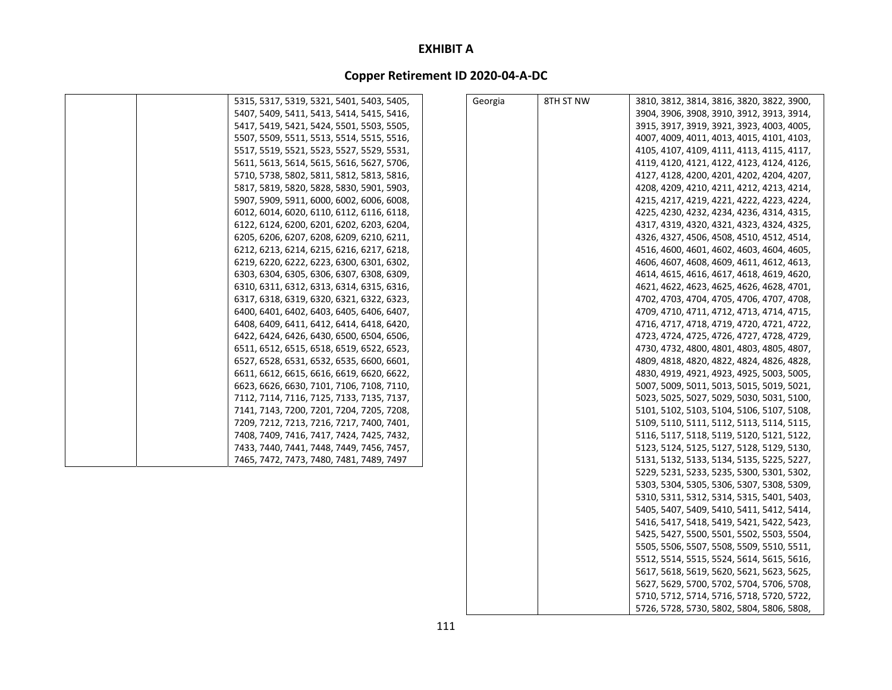| 5315, 5317, 5319, 5321, 5401, 5403, 5405, | Georgia | 8TH ST NW | 3810, 3812, 3814, 3816, 3820, 3822, 3900, |
|-------------------------------------------|---------|-----------|-------------------------------------------|
| 5407, 5409, 5411, 5413, 5414, 5415, 5416, |         |           | 3904, 3906, 3908, 3910, 3912, 3913, 3914, |
| 5417, 5419, 5421, 5424, 5501, 5503, 5505, |         |           | 3915, 3917, 3919, 3921, 3923, 4003, 4005, |
| 5507, 5509, 5511, 5513, 5514, 5515, 5516, |         |           | 4007, 4009, 4011, 4013, 4015, 4101, 4103, |
| 5517, 5519, 5521, 5523, 5527, 5529, 5531, |         |           | 4105, 4107, 4109, 4111, 4113, 4115, 4117, |
| 5611, 5613, 5614, 5615, 5616, 5627, 5706, |         |           | 4119, 4120, 4121, 4122, 4123, 4124, 4126, |
| 5710, 5738, 5802, 5811, 5812, 5813, 5816, |         |           | 4127, 4128, 4200, 4201, 4202, 4204, 4207, |
| 5817, 5819, 5820, 5828, 5830, 5901, 5903, |         |           | 4208, 4209, 4210, 4211, 4212, 4213, 4214, |
| 5907, 5909, 5911, 6000, 6002, 6006, 6008, |         |           | 4215, 4217, 4219, 4221, 4222, 4223, 4224, |
| 6012, 6014, 6020, 6110, 6112, 6116, 6118, |         |           | 4225, 4230, 4232, 4234, 4236, 4314, 4315, |
| 6122, 6124, 6200, 6201, 6202, 6203, 6204, |         |           | 4317, 4319, 4320, 4321, 4323, 4324, 4325, |
| 6205, 6206, 6207, 6208, 6209, 6210, 6211, |         |           | 4326, 4327, 4506, 4508, 4510, 4512, 4514, |
| 6212, 6213, 6214, 6215, 6216, 6217, 6218, |         |           | 4516, 4600, 4601, 4602, 4603, 4604, 4605, |
| 6219, 6220, 6222, 6223, 6300, 6301, 6302, |         |           | 4606, 4607, 4608, 4609, 4611, 4612, 4613, |
| 6303, 6304, 6305, 6306, 6307, 6308, 6309, |         |           | 4614, 4615, 4616, 4617, 4618, 4619, 4620, |
| 6310, 6311, 6312, 6313, 6314, 6315, 6316, |         |           | 4621, 4622, 4623, 4625, 4626, 4628, 4701, |
| 6317, 6318, 6319, 6320, 6321, 6322, 6323, |         |           | 4702, 4703, 4704, 4705, 4706, 4707, 4708, |
| 6400, 6401, 6402, 6403, 6405, 6406, 6407, |         |           | 4709, 4710, 4711, 4712, 4713, 4714, 4715, |
| 6408, 6409, 6411, 6412, 6414, 6418, 6420, |         |           | 4716, 4717, 4718, 4719, 4720, 4721, 4722, |
| 6422, 6424, 6426, 6430, 6500, 6504, 6506, |         |           | 4723, 4724, 4725, 4726, 4727, 4728, 4729, |
| 6511, 6512, 6515, 6518, 6519, 6522, 6523, |         |           | 4730, 4732, 4800, 4801, 4803, 4805, 4807, |
| 6527, 6528, 6531, 6532, 6535, 6600, 6601, |         |           | 4809, 4818, 4820, 4822, 4824, 4826, 4828, |
| 6611, 6612, 6615, 6616, 6619, 6620, 6622, |         |           | 4830, 4919, 4921, 4923, 4925, 5003, 5005, |
| 6623, 6626, 6630, 7101, 7106, 7108, 7110, |         |           | 5007, 5009, 5011, 5013, 5015, 5019, 5021, |
| 7112, 7114, 7116, 7125, 7133, 7135, 7137, |         |           | 5023, 5025, 5027, 5029, 5030, 5031, 5100, |
| 7141, 7143, 7200, 7201, 7204, 7205, 7208, |         |           | 5101, 5102, 5103, 5104, 5106, 5107, 5108, |
| 7209, 7212, 7213, 7216, 7217, 7400, 7401, |         |           | 5109, 5110, 5111, 5112, 5113, 5114, 5115, |
| 7408, 7409, 7416, 7417, 7424, 7425, 7432, |         |           | 5116, 5117, 5118, 5119, 5120, 5121, 5122, |
| 7433, 7440, 7441, 7448, 7449, 7456, 7457, |         |           | 5123, 5124, 5125, 5127, 5128, 5129, 5130, |
| 7465, 7472, 7473, 7480, 7481, 7489, 7497  |         |           | 5131, 5132, 5133, 5134, 5135, 5225, 5227, |
|                                           |         |           | 5229, 5231, 5233, 5235, 5300, 5301, 5302, |
|                                           |         |           | 5303, 5304, 5305, 5306, 5307, 5308, 5309, |
|                                           |         |           | 5310, 5311, 5312, 5314, 5315, 5401, 5403, |
|                                           |         |           | 5405, 5407, 5409, 5410, 5411, 5412, 5414, |
|                                           |         |           | 5416, 5417, 5418, 5419, 5421, 5422, 5423, |
|                                           |         |           | 5425, 5427, 5500, 5501, 5502, 5503, 5504, |
|                                           |         |           | 5505, 5506, 5507, 5508, 5509, 5510, 5511, |
|                                           |         |           | 5512, 5514, 5515, 5524, 5614, 5615, 5616, |
|                                           |         |           | 5617, 5618, 5619, 5620, 5621, 5623, 5625, |
|                                           |         |           | 5627, 5629, 5700, 5702, 5704, 5706, 5708, |
|                                           |         |           | 5710, 5712, 5714, 5716, 5718, 5720, 5722, |
|                                           |         |           | 5726, 5728, 5730, 5802, 5804, 5806, 5808, |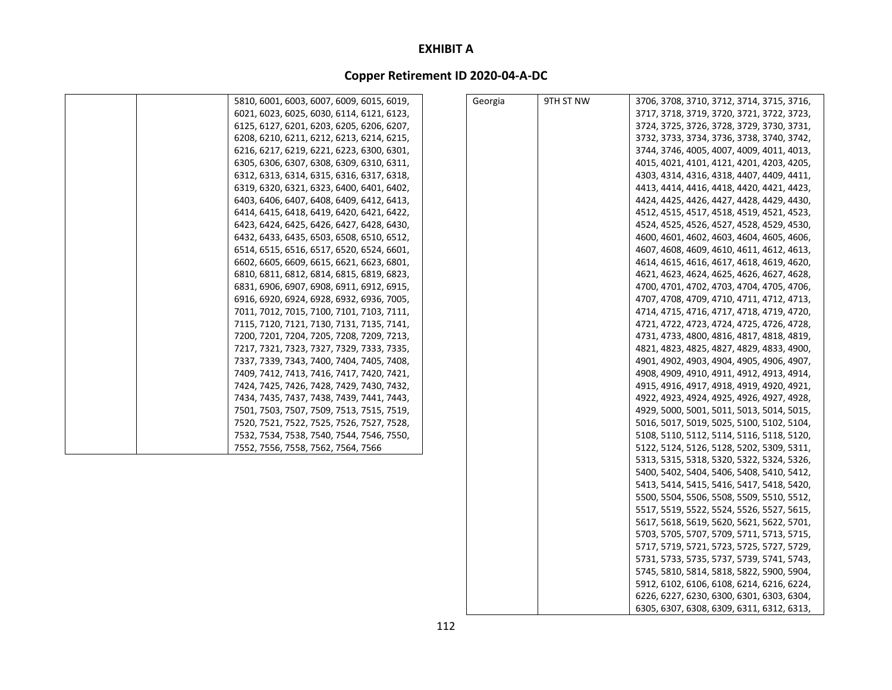# **Copper Retirement ID 2020‐04‐A‐DC**

| 5810, 6001, 6003, 6007, 6009, 6015, 6019, | Georgia | 9TH ST NW | 3706, 3708, 3710, 3712, 3714, 3715, 3716, |
|-------------------------------------------|---------|-----------|-------------------------------------------|
| 6021, 6023, 6025, 6030, 6114, 6121, 6123, |         |           | 3717, 3718, 3719, 3720, 3721, 3722, 3723, |
| 6125, 6127, 6201, 6203, 6205, 6206, 6207, |         |           | 3724, 3725, 3726, 3728, 3729, 3730, 3731, |
| 6208, 6210, 6211, 6212, 6213, 6214, 6215, |         |           | 3732, 3733, 3734, 3736, 3738, 3740, 3742, |
| 6216, 6217, 6219, 6221, 6223, 6300, 6301, |         |           | 3744, 3746, 4005, 4007, 4009, 4011, 4013, |
| 6305, 6306, 6307, 6308, 6309, 6310, 6311, |         |           | 4015, 4021, 4101, 4121, 4201, 4203, 4205, |
| 6312, 6313, 6314, 6315, 6316, 6317, 6318, |         |           | 4303, 4314, 4316, 4318, 4407, 4409, 4411, |
| 6319, 6320, 6321, 6323, 6400, 6401, 6402, |         |           | 4413, 4414, 4416, 4418, 4420, 4421, 4423, |
| 6403, 6406, 6407, 6408, 6409, 6412, 6413, |         |           | 4424, 4425, 4426, 4427, 4428, 4429, 4430, |
| 6414, 6415, 6418, 6419, 6420, 6421, 6422, |         |           | 4512, 4515, 4517, 4518, 4519, 4521, 4523, |
| 6423, 6424, 6425, 6426, 6427, 6428, 6430, |         |           | 4524, 4525, 4526, 4527, 4528, 4529, 4530, |
| 6432, 6433, 6435, 6503, 6508, 6510, 6512, |         |           | 4600, 4601, 4602, 4603, 4604, 4605, 4606, |
| 6514, 6515, 6516, 6517, 6520, 6524, 6601, |         |           | 4607, 4608, 4609, 4610, 4611, 4612, 4613, |
| 6602, 6605, 6609, 6615, 6621, 6623, 6801, |         |           | 4614, 4615, 4616, 4617, 4618, 4619, 4620, |
| 6810, 6811, 6812, 6814, 6815, 6819, 6823, |         |           | 4621, 4623, 4624, 4625, 4626, 4627, 4628, |
| 6831, 6906, 6907, 6908, 6911, 6912, 6915, |         |           | 4700, 4701, 4702, 4703, 4704, 4705, 4706, |
| 6916, 6920, 6924, 6928, 6932, 6936, 7005, |         |           | 4707, 4708, 4709, 4710, 4711, 4712, 4713, |
| 7011, 7012, 7015, 7100, 7101, 7103, 7111, |         |           | 4714, 4715, 4716, 4717, 4718, 4719, 4720, |
| 7115, 7120, 7121, 7130, 7131, 7135, 7141, |         |           | 4721, 4722, 4723, 4724, 4725, 4726, 4728, |
| 7200, 7201, 7204, 7205, 7208, 7209, 7213, |         |           | 4731, 4733, 4800, 4816, 4817, 4818, 4819, |
| 7217, 7321, 7323, 7327, 7329, 7333, 7335, |         |           | 4821, 4823, 4825, 4827, 4829, 4833, 4900, |
| 7337, 7339, 7343, 7400, 7404, 7405, 7408, |         |           | 4901, 4902, 4903, 4904, 4905, 4906, 4907, |
| 7409, 7412, 7413, 7416, 7417, 7420, 7421, |         |           | 4908, 4909, 4910, 4911, 4912, 4913, 4914, |
| 7424, 7425, 7426, 7428, 7429, 7430, 7432, |         |           | 4915, 4916, 4917, 4918, 4919, 4920, 4921, |
| 7434, 7435, 7437, 7438, 7439, 7441, 7443, |         |           | 4922, 4923, 4924, 4925, 4926, 4927, 4928, |
| 7501, 7503, 7507, 7509, 7513, 7515, 7519, |         |           | 4929, 5000, 5001, 5011, 5013, 5014, 5015, |
| 7520, 7521, 7522, 7525, 7526, 7527, 7528, |         |           | 5016, 5017, 5019, 5025, 5100, 5102, 5104, |
| 7532, 7534, 7538, 7540, 7544, 7546, 7550, |         |           | 5108, 5110, 5112, 5114, 5116, 5118, 5120, |
| 7552, 7556, 7558, 7562, 7564, 7566        |         |           | 5122, 5124, 5126, 5128, 5202, 5309, 5311, |
|                                           |         |           | 5313, 5315, 5318, 5320, 5322, 5324, 5326, |
|                                           |         |           | 5400, 5402, 5404, 5406, 5408, 5410, 5412, |
|                                           |         |           | 5413, 5414, 5415, 5416, 5417, 5418, 5420, |
|                                           |         |           | 5500, 5504, 5506, 5508, 5509, 5510, 5512, |
|                                           |         |           | 5517, 5519, 5522, 5524, 5526, 5527, 5615, |
|                                           |         |           | 5617, 5618, 5619, 5620, 5621, 5622, 5701, |
|                                           |         |           | 5703, 5705, 5707, 5709, 5711, 5713, 5715, |
|                                           |         |           | 5717, 5719, 5721, 5723, 5725, 5727, 5729, |
|                                           |         |           | 5731, 5733, 5735, 5737, 5739, 5741, 5743, |
|                                           |         |           | 5745, 5810, 5814, 5818, 5822, 5900, 5904, |
|                                           |         |           | 5912, 6102, 6106, 6108, 6214, 6216, 6224, |
|                                           |         |           | 6226, 6227, 6230, 6300, 6301, 6303, 6304, |

6305, 6307, 6308, 6309, 6311, 6312, 6313,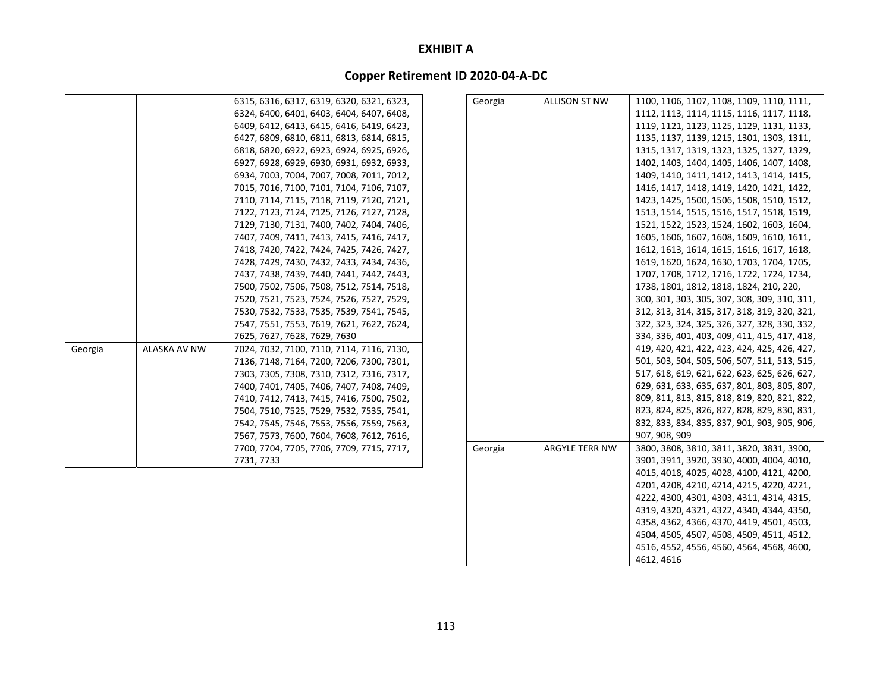# **Copper Retirement ID 2020‐04‐A‐DC**

|         |                     | 6315, 6316, 6317, 6319, 6320, 6321, 6323, | Georgia | <b>ALLISON ST NW</b>  | 1100, 1106, 1107, 1108, 1109, 1110, 1111,    |
|---------|---------------------|-------------------------------------------|---------|-----------------------|----------------------------------------------|
|         |                     | 6324, 6400, 6401, 6403, 6404, 6407, 6408, |         |                       | 1112, 1113, 1114, 1115, 1116, 1117, 1118,    |
|         |                     | 6409, 6412, 6413, 6415, 6416, 6419, 6423, |         |                       | 1119, 1121, 1123, 1125, 1129, 1131, 1133,    |
|         |                     | 6427, 6809, 6810, 6811, 6813, 6814, 6815, |         |                       | 1135, 1137, 1139, 1215, 1301, 1303, 1311,    |
|         |                     | 6818, 6820, 6922, 6923, 6924, 6925, 6926, |         |                       | 1315, 1317, 1319, 1323, 1325, 1327, 1329,    |
|         |                     | 6927, 6928, 6929, 6930, 6931, 6932, 6933, |         |                       | 1402, 1403, 1404, 1405, 1406, 1407, 1408,    |
|         |                     | 6934, 7003, 7004, 7007, 7008, 7011, 7012, |         |                       | 1409, 1410, 1411, 1412, 1413, 1414, 1415,    |
|         |                     | 7015, 7016, 7100, 7101, 7104, 7106, 7107, |         |                       | 1416, 1417, 1418, 1419, 1420, 1421, 1422,    |
|         |                     | 7110, 7114, 7115, 7118, 7119, 7120, 7121, |         |                       | 1423, 1425, 1500, 1506, 1508, 1510, 1512,    |
|         |                     | 7122, 7123, 7124, 7125, 7126, 7127, 7128, |         |                       | 1513, 1514, 1515, 1516, 1517, 1518, 1519,    |
|         |                     | 7129, 7130, 7131, 7400, 7402, 7404, 7406, |         |                       | 1521, 1522, 1523, 1524, 1602, 1603, 1604,    |
|         |                     | 7407, 7409, 7411, 7413, 7415, 7416, 7417, |         |                       | 1605, 1606, 1607, 1608, 1609, 1610, 1611,    |
|         |                     | 7418, 7420, 7422, 7424, 7425, 7426, 7427, |         |                       | 1612, 1613, 1614, 1615, 1616, 1617, 1618,    |
|         |                     | 7428, 7429, 7430, 7432, 7433, 7434, 7436, |         |                       | 1619, 1620, 1624, 1630, 1703, 1704, 1705,    |
|         |                     | 7437, 7438, 7439, 7440, 7441, 7442, 7443, |         |                       | 1707, 1708, 1712, 1716, 1722, 1724, 1734,    |
|         |                     | 7500, 7502, 7506, 7508, 7512, 7514, 7518, |         |                       | 1738, 1801, 1812, 1818, 1824, 210, 220,      |
|         |                     | 7520, 7521, 7523, 7524, 7526, 7527, 7529, |         |                       | 300, 301, 303, 305, 307, 308, 309, 310, 311, |
|         |                     | 7530, 7532, 7533, 7535, 7539, 7541, 7545, |         |                       | 312, 313, 314, 315, 317, 318, 319, 320, 321, |
|         |                     | 7547, 7551, 7553, 7619, 7621, 7622, 7624, |         |                       | 322, 323, 324, 325, 326, 327, 328, 330, 332, |
|         |                     | 7625, 7627, 7628, 7629, 7630              |         |                       | 334, 336, 401, 403, 409, 411, 415, 417, 418, |
| Georgia | <b>ALASKA AV NW</b> | 7024, 7032, 7100, 7110, 7114, 7116, 7130, |         |                       | 419, 420, 421, 422, 423, 424, 425, 426, 427, |
|         |                     | 7136, 7148, 7164, 7200, 7206, 7300, 7301, |         |                       | 501, 503, 504, 505, 506, 507, 511, 513, 515, |
|         |                     | 7303, 7305, 7308, 7310, 7312, 7316, 7317, |         |                       | 517, 618, 619, 621, 622, 623, 625, 626, 627, |
|         |                     | 7400, 7401, 7405, 7406, 7407, 7408, 7409, |         |                       | 629, 631, 633, 635, 637, 801, 803, 805, 807, |
|         |                     | 7410, 7412, 7413, 7415, 7416, 7500, 7502, |         |                       | 809, 811, 813, 815, 818, 819, 820, 821, 822, |
|         |                     | 7504, 7510, 7525, 7529, 7532, 7535, 7541, |         |                       | 823, 824, 825, 826, 827, 828, 829, 830, 831, |
|         |                     | 7542, 7545, 7546, 7553, 7556, 7559, 7563, |         |                       | 832, 833, 834, 835, 837, 901, 903, 905, 906, |
|         |                     | 7567, 7573, 7600, 7604, 7608, 7612, 7616, |         |                       | 907, 908, 909                                |
|         |                     | 7700, 7704, 7705, 7706, 7709, 7715, 7717, | Georgia | <b>ARGYLE TERR NW</b> | 3800, 3808, 3810, 3811, 3820, 3831, 3900,    |
|         |                     | 7731, 7733                                |         |                       | 3901, 3911, 3920, 3930, 4000, 4004, 4010,    |
|         |                     |                                           |         |                       | 4015, 4018, 4025, 4028, 4100, 4121, 4200,    |
|         |                     |                                           |         |                       | 4201, 4208, 4210, 4214, 4215, 4220, 4221,    |

4222, 4300, 4301, 4303, 4311, 4314, 4315, 4319, 4320, 4321, 4322, 4340, 4344, 4350, 4358, 4362, 4366, 4370, 4419, 4501, 4503, 4504, 4505, 4507, 4508, 4509, 4511, 4512, 4516, 4552, 4556, 4560, 4564, 4568, 4600,

4612, 4616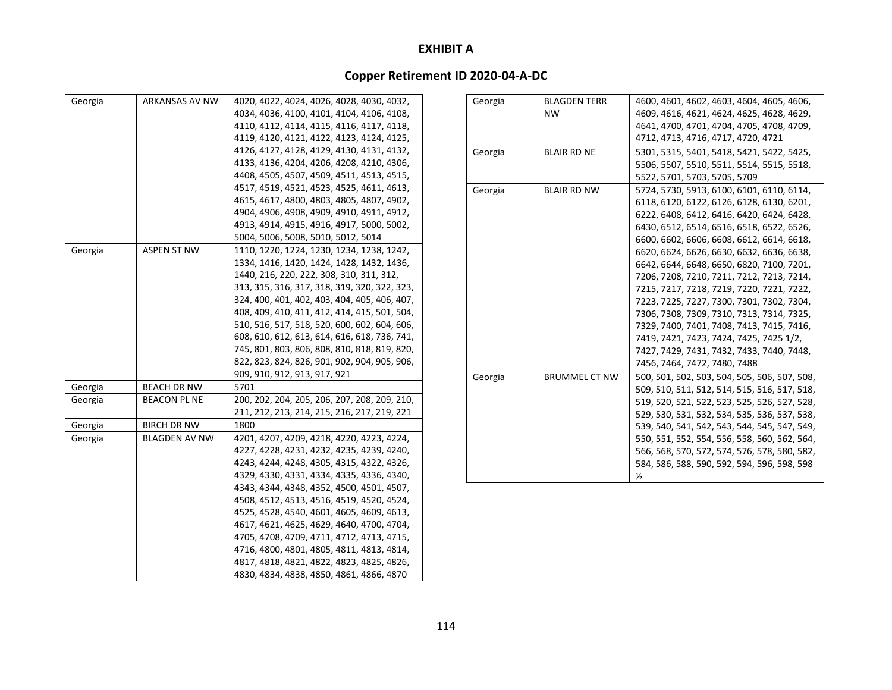| Georgia | ARKANSAS AV NW       | 4020, 4022, 4024, 4026, 4028, 4030, 4032,    |
|---------|----------------------|----------------------------------------------|
|         |                      | 4034, 4036, 4100, 4101, 4104, 4106, 4108,    |
|         |                      | 4110, 4112, 4114, 4115, 4116, 4117, 4118,    |
|         |                      | 4119, 4120, 4121, 4122, 4123, 4124, 4125,    |
|         |                      | 4126, 4127, 4128, 4129, 4130, 4131, 4132,    |
|         |                      | 4133, 4136, 4204, 4206, 4208, 4210, 4306,    |
|         |                      | 4408, 4505, 4507, 4509, 4511, 4513, 4515,    |
|         |                      | 4517, 4519, 4521, 4523, 4525, 4611, 4613,    |
|         |                      | 4615, 4617, 4800, 4803, 4805, 4807, 4902,    |
|         |                      | 4904, 4906, 4908, 4909, 4910, 4911, 4912,    |
|         |                      | 4913, 4914, 4915, 4916, 4917, 5000, 5002,    |
|         |                      | 5004, 5006, 5008, 5010, 5012, 5014           |
| Georgia | <b>ASPEN ST NW</b>   | 1110, 1220, 1224, 1230, 1234, 1238, 1242,    |
|         |                      | 1334, 1416, 1420, 1424, 1428, 1432, 1436,    |
|         |                      | 1440, 216, 220, 222, 308, 310, 311, 312,     |
|         |                      | 313, 315, 316, 317, 318, 319, 320, 322, 323, |
|         |                      | 324, 400, 401, 402, 403, 404, 405, 406, 407, |
|         |                      | 408, 409, 410, 411, 412, 414, 415, 501, 504, |
|         |                      | 510, 516, 517, 518, 520, 600, 602, 604, 606, |
|         |                      | 608, 610, 612, 613, 614, 616, 618, 736, 741, |
|         |                      | 745, 801, 803, 806, 808, 810, 818, 819, 820, |
|         |                      | 822, 823, 824, 826, 901, 902, 904, 905, 906, |
|         |                      | 909, 910, 912, 913, 917, 921                 |
| Georgia | BEACH DR NW          | 5701                                         |
| Georgia | BEACON PL NE         | 200, 202, 204, 205, 206, 207, 208, 209, 210, |
|         |                      | 211, 212, 213, 214, 215, 216, 217, 219, 221  |
| Georgia | <b>BIRCH DR NW</b>   | 1800                                         |
| Georgia | <b>BLAGDEN AV NW</b> | 4201, 4207, 4209, 4218, 4220, 4223, 4224,    |
|         |                      | 4227, 4228, 4231, 4232, 4235, 4239, 4240,    |
|         |                      | 4243, 4244, 4248, 4305, 4315, 4322, 4326,    |
|         |                      | 4329, 4330, 4331, 4334, 4335, 4336, 4340,    |
|         |                      | 4343, 4344, 4348, 4352, 4500, 4501, 4507,    |
|         |                      | 4508, 4512, 4513, 4516, 4519, 4520, 4524,    |
|         |                      | 4525, 4528, 4540, 4601, 4605, 4609, 4613,    |
|         |                      | 4617, 4621, 4625, 4629, 4640, 4700, 4704,    |
|         |                      | 4705, 4708, 4709, 4711, 4712, 4713, 4715,    |
|         |                      | 4716, 4800, 4801, 4805, 4811, 4813, 4814,    |
|         |                      | 4817, 4818, 4821, 4822, 4823, 4825, 4826,    |
|         |                      | 4830, 4834, 4838, 4850, 4861, 4866, 4870     |

| Georgia | <b>BLAGDEN TERR</b>  | 4600, 4601, 4602, 4603, 4604, 4605, 4606,    |
|---------|----------------------|----------------------------------------------|
|         | <b>NW</b>            | 4609, 4616, 4621, 4624, 4625, 4628, 4629,    |
|         |                      | 4641, 4700, 4701, 4704, 4705, 4708, 4709,    |
|         |                      | 4712, 4713, 4716, 4717, 4720, 4721           |
| Georgia | <b>BLAIR RD NE</b>   | 5301, 5315, 5401, 5418, 5421, 5422, 5425,    |
|         |                      | 5506, 5507, 5510, 5511, 5514, 5515, 5518,    |
|         |                      | 5522, 5701, 5703, 5705, 5709                 |
| Georgia | <b>BLAIR RD NW</b>   | 5724, 5730, 5913, 6100, 6101, 6110, 6114,    |
|         |                      | 6118, 6120, 6122, 6126, 6128, 6130, 6201,    |
|         |                      | 6222, 6408, 6412, 6416, 6420, 6424, 6428,    |
|         |                      | 6430, 6512, 6514, 6516, 6518, 6522, 6526,    |
|         |                      | 6600, 6602, 6606, 6608, 6612, 6614, 6618,    |
|         |                      | 6620, 6624, 6626, 6630, 6632, 6636, 6638,    |
|         |                      | 6642, 6644, 6648, 6650, 6820, 7100, 7201,    |
|         |                      | 7206, 7208, 7210, 7211, 7212, 7213, 7214,    |
|         |                      | 7215, 7217, 7218, 7219, 7220, 7221, 7222,    |
|         |                      | 7223, 7225, 7227, 7300, 7301, 7302, 7304,    |
|         |                      | 7306, 7308, 7309, 7310, 7313, 7314, 7325,    |
|         |                      | 7329, 7400, 7401, 7408, 7413, 7415, 7416,    |
|         |                      | 7419, 7421, 7423, 7424, 7425, 7425 1/2,      |
|         |                      | 7427, 7429, 7431, 7432, 7433, 7440, 7448,    |
|         |                      | 7456, 7464, 7472, 7480, 7488                 |
| Georgia | <b>BRUMMEL CT NW</b> | 500, 501, 502, 503, 504, 505, 506, 507, 508, |
|         |                      | 509, 510, 511, 512, 514, 515, 516, 517, 518, |
|         |                      | 519, 520, 521, 522, 523, 525, 526, 527, 528, |
|         |                      | 529, 530, 531, 532, 534, 535, 536, 537, 538, |
|         |                      | 539, 540, 541, 542, 543, 544, 545, 547, 549, |
|         |                      | 550, 551, 552, 554, 556, 558, 560, 562, 564, |
|         |                      | 566, 568, 570, 572, 574, 576, 578, 580, 582, |
|         |                      | 584, 586, 588, 590, 592, 594, 596, 598, 598  |
|         |                      | $\frac{1}{2}$                                |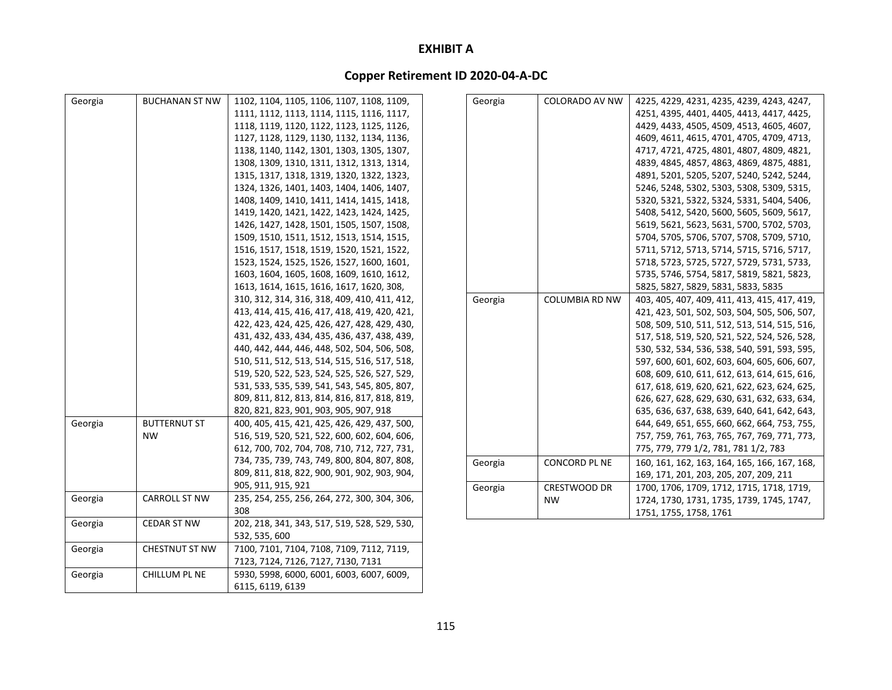| Georgia | <b>BUCHANAN ST NW</b> | 1102, 1104, 1105, 1106, 1107, 1108, 1109,    | Georgia | <b>COLORADO AV NW</b> | 4225, 4229, 4231, 4235, 4239, 4243, 4247,    |
|---------|-----------------------|----------------------------------------------|---------|-----------------------|----------------------------------------------|
|         |                       | 1111, 1112, 1113, 1114, 1115, 1116, 1117,    |         |                       | 4251, 4395, 4401, 4405, 4413, 4417, 4425,    |
|         |                       | 1118, 1119, 1120, 1122, 1123, 1125, 1126,    |         |                       | 4429, 4433, 4505, 4509, 4513, 4605, 4607,    |
|         |                       | 1127, 1128, 1129, 1130, 1132, 1134, 1136,    |         |                       | 4609, 4611, 4615, 4701, 4705, 4709, 4713,    |
|         |                       | 1138, 1140, 1142, 1301, 1303, 1305, 1307,    |         |                       | 4717, 4721, 4725, 4801, 4807, 4809, 4821,    |
|         |                       | 1308, 1309, 1310, 1311, 1312, 1313, 1314,    |         |                       | 4839, 4845, 4857, 4863, 4869, 4875, 4881,    |
|         |                       | 1315, 1317, 1318, 1319, 1320, 1322, 1323,    |         |                       | 4891, 5201, 5205, 5207, 5240, 5242, 5244,    |
|         |                       | 1324, 1326, 1401, 1403, 1404, 1406, 1407,    |         |                       | 5246, 5248, 5302, 5303, 5308, 5309, 5315,    |
|         |                       | 1408, 1409, 1410, 1411, 1414, 1415, 1418,    |         |                       | 5320, 5321, 5322, 5324, 5331, 5404, 5406,    |
|         |                       | 1419, 1420, 1421, 1422, 1423, 1424, 1425,    |         |                       | 5408, 5412, 5420, 5600, 5605, 5609, 5617,    |
|         |                       | 1426, 1427, 1428, 1501, 1505, 1507, 1508,    |         |                       | 5619, 5621, 5623, 5631, 5700, 5702, 5703,    |
|         |                       | 1509, 1510, 1511, 1512, 1513, 1514, 1515,    |         |                       | 5704, 5705, 5706, 5707, 5708, 5709, 5710,    |
|         |                       | 1516, 1517, 1518, 1519, 1520, 1521, 1522,    |         |                       | 5711, 5712, 5713, 5714, 5715, 5716, 5717,    |
|         |                       | 1523, 1524, 1525, 1526, 1527, 1600, 1601,    |         |                       | 5718, 5723, 5725, 5727, 5729, 5731, 5733,    |
|         |                       | 1603, 1604, 1605, 1608, 1609, 1610, 1612,    |         |                       | 5735, 5746, 5754, 5817, 5819, 5821, 5823,    |
|         |                       | 1613, 1614, 1615, 1616, 1617, 1620, 308,     |         |                       | 5825, 5827, 5829, 5831, 5833, 5835           |
|         |                       | 310, 312, 314, 316, 318, 409, 410, 411, 412, | Georgia | <b>COLUMBIA RD NW</b> | 403, 405, 407, 409, 411, 413, 415, 417, 419, |
|         |                       | 413, 414, 415, 416, 417, 418, 419, 420, 421, |         |                       | 421, 423, 501, 502, 503, 504, 505, 506, 507, |
|         |                       | 422, 423, 424, 425, 426, 427, 428, 429, 430, |         |                       | 508, 509, 510, 511, 512, 513, 514, 515, 516, |
|         |                       | 431, 432, 433, 434, 435, 436, 437, 438, 439, |         |                       | 517, 518, 519, 520, 521, 522, 524, 526, 528, |
|         |                       | 440, 442, 444, 446, 448, 502, 504, 506, 508, |         |                       | 530, 532, 534, 536, 538, 540, 591, 593, 595, |
|         |                       | 510, 511, 512, 513, 514, 515, 516, 517, 518, |         |                       | 597, 600, 601, 602, 603, 604, 605, 606, 607, |
|         |                       | 519, 520, 522, 523, 524, 525, 526, 527, 529, |         |                       | 608, 609, 610, 611, 612, 613, 614, 615, 616, |
|         |                       | 531, 533, 535, 539, 541, 543, 545, 805, 807, |         |                       | 617, 618, 619, 620, 621, 622, 623, 624, 625, |
|         |                       | 809, 811, 812, 813, 814, 816, 817, 818, 819, |         |                       | 626, 627, 628, 629, 630, 631, 632, 633, 634, |
|         |                       | 820, 821, 823, 901, 903, 905, 907, 918       |         |                       | 635, 636, 637, 638, 639, 640, 641, 642, 643, |
| Georgia | <b>BUTTERNUT ST</b>   | 400, 405, 415, 421, 425, 426, 429, 437, 500, |         |                       | 644, 649, 651, 655, 660, 662, 664, 753, 755, |
|         | <b>NW</b>             | 516, 519, 520, 521, 522, 600, 602, 604, 606, |         |                       | 757, 759, 761, 763, 765, 767, 769, 771, 773, |
|         |                       | 612, 700, 702, 704, 708, 710, 712, 727, 731, |         |                       | 775, 779, 779 1/2, 781, 781 1/2, 783         |
|         |                       | 734, 735, 739, 743, 749, 800, 804, 807, 808, | Georgia | CONCORD PL NE         | 160, 161, 162, 163, 164, 165, 166, 167, 168, |
|         |                       | 809, 811, 818, 822, 900, 901, 902, 903, 904, |         |                       | 169, 171, 201, 203, 205, 207, 209, 211       |
|         |                       | 905, 911, 915, 921                           | Georgia | CRESTWOOD DR          | 1700, 1706, 1709, 1712, 1715, 1718, 1719,    |
| Georgia | <b>CARROLL ST NW</b>  | 235, 254, 255, 256, 264, 272, 300, 304, 306, |         | <b>NW</b>             | 1724, 1730, 1731, 1735, 1739, 1745, 1747,    |
|         |                       | 308                                          |         |                       | 1751, 1755, 1758, 1761                       |
| Georgia | <b>CEDAR ST NW</b>    | 202, 218, 341, 343, 517, 519, 528, 529, 530, |         |                       |                                              |
|         |                       | 532, 535, 600                                |         |                       |                                              |
| Georgia | <b>CHESTNUT ST NW</b> | 7100, 7101, 7104, 7108, 7109, 7112, 7119,    |         |                       |                                              |
|         |                       | 7123, 7124, 7126, 7127, 7130, 7131           |         |                       |                                              |
| Georgia | CHILLUM PL NE         | 5930, 5998, 6000, 6001, 6003, 6007, 6009,    |         |                       |                                              |
|         |                       | 6115, 6119, 6139                             |         |                       |                                              |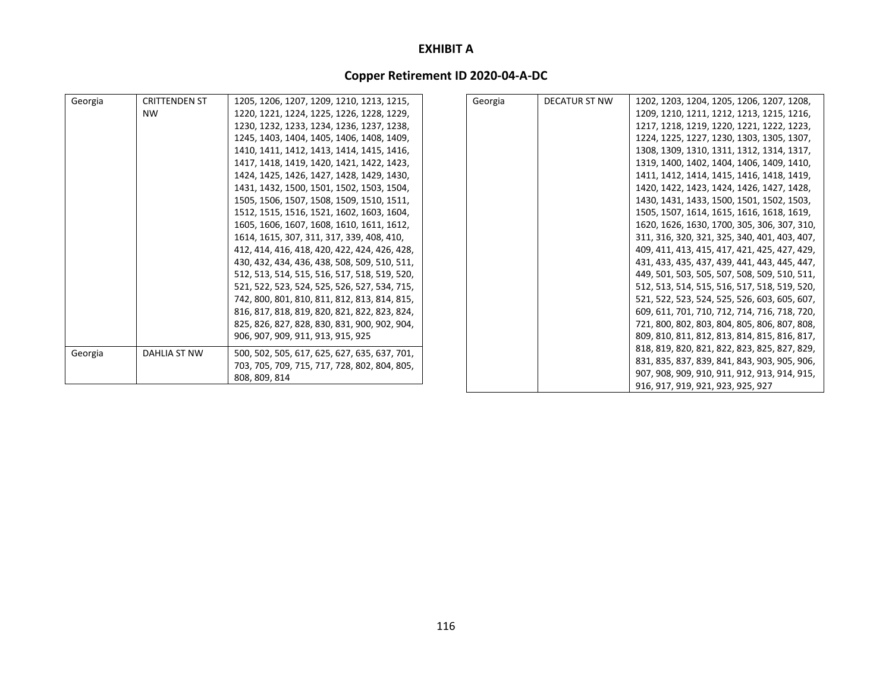| Georgia | <b>CRITTENDEN ST</b> | 1205, 1206, 1207, 1209, 1210, 1213, 1215,    | Georgia | <b>DECATUR ST NW</b> | 1202, 1203, 1204, 1205, 1206, 1207, 1208,    |
|---------|----------------------|----------------------------------------------|---------|----------------------|----------------------------------------------|
|         | <b>NW</b>            | 1220, 1221, 1224, 1225, 1226, 1228, 1229,    |         |                      | 1209, 1210, 1211, 1212, 1213, 1215, 1216,    |
|         |                      | 1230, 1232, 1233, 1234, 1236, 1237, 1238,    |         |                      | 1217, 1218, 1219, 1220, 1221, 1222, 1223,    |
|         |                      | 1245, 1403, 1404, 1405, 1406, 1408, 1409,    |         |                      | 1224, 1225, 1227, 1230, 1303, 1305, 1307,    |
|         |                      | 1410, 1411, 1412, 1413, 1414, 1415, 1416,    |         |                      | 1308, 1309, 1310, 1311, 1312, 1314, 1317,    |
|         |                      | 1417, 1418, 1419, 1420, 1421, 1422, 1423,    |         |                      | 1319, 1400, 1402, 1404, 1406, 1409, 1410,    |
|         |                      | 1424, 1425, 1426, 1427, 1428, 1429, 1430,    |         |                      | 1411, 1412, 1414, 1415, 1416, 1418, 1419,    |
|         |                      | 1431, 1432, 1500, 1501, 1502, 1503, 1504,    |         |                      | 1420, 1422, 1423, 1424, 1426, 1427, 1428,    |
|         |                      | 1505, 1506, 1507, 1508, 1509, 1510, 1511,    |         |                      | 1430, 1431, 1433, 1500, 1501, 1502, 1503,    |
|         |                      | 1512, 1515, 1516, 1521, 1602, 1603, 1604,    |         |                      | 1505, 1507, 1614, 1615, 1616, 1618, 1619,    |
|         |                      | 1605, 1606, 1607, 1608, 1610, 1611, 1612,    |         |                      | 1620, 1626, 1630, 1700, 305, 306, 307, 310,  |
|         |                      | 1614, 1615, 307, 311, 317, 339, 408, 410,    |         |                      | 311, 316, 320, 321, 325, 340, 401, 403, 407, |
|         |                      | 412, 414, 416, 418, 420, 422, 424, 426, 428, |         |                      | 409, 411, 413, 415, 417, 421, 425, 427, 429, |
|         |                      | 430, 432, 434, 436, 438, 508, 509, 510, 511, |         |                      | 431, 433, 435, 437, 439, 441, 443, 445, 447, |
|         |                      | 512, 513, 514, 515, 516, 517, 518, 519, 520, |         |                      | 449, 501, 503, 505, 507, 508, 509, 510, 511, |
|         |                      | 521, 522, 523, 524, 525, 526, 527, 534, 715, |         |                      | 512, 513, 514, 515, 516, 517, 518, 519, 520, |
|         |                      | 742, 800, 801, 810, 811, 812, 813, 814, 815, |         |                      | 521, 522, 523, 524, 525, 526, 603, 605, 607, |
|         |                      | 816, 817, 818, 819, 820, 821, 822, 823, 824, |         |                      | 609, 611, 701, 710, 712, 714, 716, 718, 720, |
|         |                      | 825, 826, 827, 828, 830, 831, 900, 902, 904, |         |                      | 721, 800, 802, 803, 804, 805, 806, 807, 808, |
|         |                      | 906, 907, 909, 911, 913, 915, 925            |         |                      | 809, 810, 811, 812, 813, 814, 815, 816, 817, |
| Georgia | DAHLIA ST NW         | 500, 502, 505, 617, 625, 627, 635, 637, 701, |         |                      | 818, 819, 820, 821, 822, 823, 825, 827, 829, |
|         |                      | 703, 705, 709, 715, 717, 728, 802, 804, 805, |         |                      | 831, 835, 837, 839, 841, 843, 903, 905, 906, |
|         |                      | 808, 809, 814                                |         |                      | 907, 908, 909, 910, 911, 912, 913, 914, 915, |
|         |                      |                                              |         |                      | 916, 917, 919, 921, 923, 925, 927            |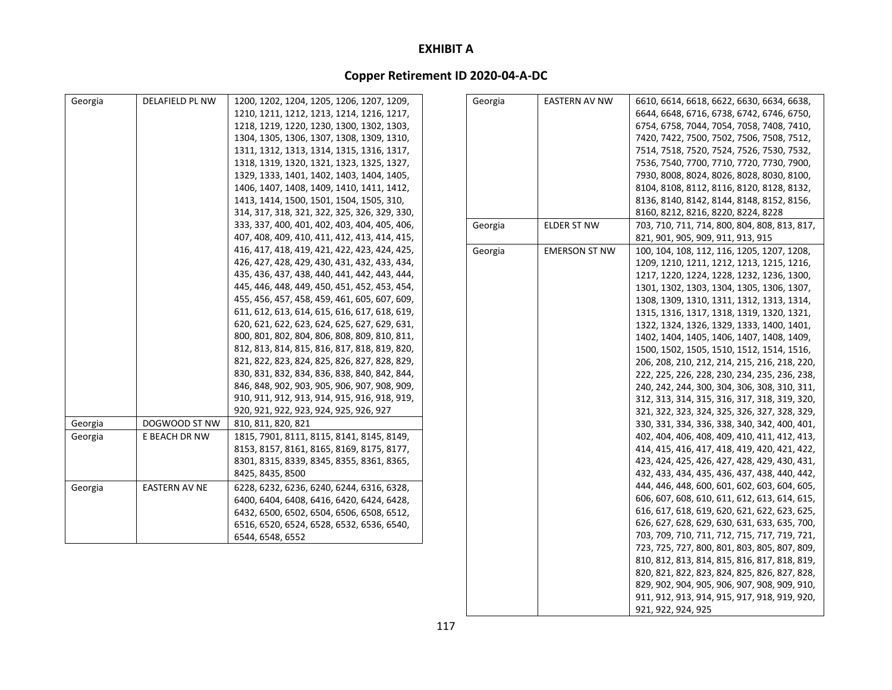# **Copper Retirement ID 2020‐04‐A‐DC**

| Georgia | <b>DELAFIELD PL NW</b> | 1200, 1202, 1204, 1205, 1206, 1207, 1209,    | Georgia | EASTERN AV NW        | 6610, 6614, 6618, 6622, 6630, 6634, 6638,    |
|---------|------------------------|----------------------------------------------|---------|----------------------|----------------------------------------------|
|         |                        | 1210, 1211, 1212, 1213, 1214, 1216, 1217,    |         |                      | 6644, 6648, 6716, 6738, 6742, 6746, 6750,    |
|         |                        | 1218, 1219, 1220, 1230, 1300, 1302, 1303,    |         |                      | 6754, 6758, 7044, 7054, 7058, 7408, 7410,    |
|         |                        | 1304, 1305, 1306, 1307, 1308, 1309, 1310,    |         |                      | 7420, 7422, 7500, 7502, 7506, 7508, 7512,    |
|         |                        | 1311, 1312, 1313, 1314, 1315, 1316, 1317,    |         |                      | 7514, 7518, 7520, 7524, 7526, 7530, 7532,    |
|         |                        | 1318, 1319, 1320, 1321, 1323, 1325, 1327,    |         |                      | 7536, 7540, 7700, 7710, 7720, 7730, 7900,    |
|         |                        | 1329, 1333, 1401, 1402, 1403, 1404, 1405,    |         |                      | 7930, 8008, 8024, 8026, 8028, 8030, 8100,    |
|         |                        | 1406, 1407, 1408, 1409, 1410, 1411, 1412,    |         |                      | 8104, 8108, 8112, 8116, 8120, 8128, 8132,    |
|         |                        | 1413, 1414, 1500, 1501, 1504, 1505, 310,     |         |                      | 8136, 8140, 8142, 8144, 8148, 8152, 8156,    |
|         |                        | 314, 317, 318, 321, 322, 325, 326, 329, 330, |         |                      | 8160, 8212, 8216, 8220, 8224, 8228           |
|         |                        | 333, 337, 400, 401, 402, 403, 404, 405, 406, | Georgia | <b>ELDER ST NW</b>   | 703, 710, 711, 714, 800, 804, 808, 813, 817, |
|         |                        | 407, 408, 409, 410, 411, 412, 413, 414, 415, |         |                      | 821, 901, 905, 909, 911, 913, 915            |
|         |                        | 416, 417, 418, 419, 421, 422, 423, 424, 425, | Georgia | <b>EMERSON ST NW</b> | 100, 104, 108, 112, 116, 1205, 1207, 1208,   |
|         |                        | 426, 427, 428, 429, 430, 431, 432, 433, 434, |         |                      | 1209, 1210, 1211, 1212, 1213, 1215, 1216,    |
|         |                        | 435, 436, 437, 438, 440, 441, 442, 443, 444, |         |                      | 1217, 1220, 1224, 1228, 1232, 1236, 1300,    |
|         |                        | 445, 446, 448, 449, 450, 451, 452, 453, 454, |         |                      | 1301, 1302, 1303, 1304, 1305, 1306, 1307,    |
|         |                        | 455, 456, 457, 458, 459, 461, 605, 607, 609, |         |                      | 1308, 1309, 1310, 1311, 1312, 1313, 1314,    |
|         |                        | 611, 612, 613, 614, 615, 616, 617, 618, 619, |         |                      | 1315, 1316, 1317, 1318, 1319, 1320, 1321,    |
|         |                        | 620, 621, 622, 623, 624, 625, 627, 629, 631, |         |                      | 1322, 1324, 1326, 1329, 1333, 1400, 1401,    |
|         |                        | 800, 801, 802, 804, 806, 808, 809, 810, 811, |         |                      | 1402, 1404, 1405, 1406, 1407, 1408, 1409,    |
|         |                        | 812, 813, 814, 815, 816, 817, 818, 819, 820, |         |                      | 1500, 1502, 1505, 1510, 1512, 1514, 1516,    |
|         |                        | 821, 822, 823, 824, 825, 826, 827, 828, 829, |         |                      | 206, 208, 210, 212, 214, 215, 216, 218, 220, |
|         |                        | 830, 831, 832, 834, 836, 838, 840, 842, 844, |         |                      | 222, 225, 226, 228, 230, 234, 235, 236, 238, |
|         |                        | 846, 848, 902, 903, 905, 906, 907, 908, 909, |         |                      | 240, 242, 244, 300, 304, 306, 308, 310, 311, |
|         |                        | 910, 911, 912, 913, 914, 915, 916, 918, 919, |         |                      | 312, 313, 314, 315, 316, 317, 318, 319, 320, |
|         |                        | 920, 921, 922, 923, 924, 925, 926, 927       |         |                      | 321, 322, 323, 324, 325, 326, 327, 328, 329, |
| Georgia | DOGWOOD ST NW          | 810, 811, 820, 821                           |         |                      | 330, 331, 334, 336, 338, 340, 342, 400, 401, |
| Georgia | E BEACH DR NW          | 1815, 7901, 8111, 8115, 8141, 8145, 8149,    |         |                      | 402, 404, 406, 408, 409, 410, 411, 412, 413, |
|         |                        | 8153, 8157, 8161, 8165, 8169, 8175, 8177,    |         |                      | 414, 415, 416, 417, 418, 419, 420, 421, 422, |
|         |                        | 8301, 8315, 8339, 8345, 8355, 8361, 8365,    |         |                      | 423, 424, 425, 426, 427, 428, 429, 430, 431, |
|         |                        | 8425, 8435, 8500                             |         |                      | 432, 433, 434, 435, 436, 437, 438, 440, 442, |
| Georgia | <b>EASTERN AV NE</b>   | 6228, 6232, 6236, 6240, 6244, 6316, 6328,    |         |                      | 444, 446, 448, 600, 601, 602, 603, 604, 605, |
|         |                        | 6400, 6404, 6408, 6416, 6420, 6424, 6428,    |         |                      | 606, 607, 608, 610, 611, 612, 613, 614, 615, |
|         |                        | 6432, 6500, 6502, 6504, 6506, 6508, 6512,    |         |                      | 616, 617, 618, 619, 620, 621, 622, 623, 625, |
|         |                        | 6516, 6520, 6524, 6528, 6532, 6536, 6540,    |         |                      | 626, 627, 628, 629, 630, 631, 633, 635, 700, |
|         |                        | 6544, 6548, 6552                             |         |                      | 703, 709, 710, 711, 712, 715, 717, 719, 721, |
|         |                        |                                              |         |                      | 723, 725, 727, 800, 801, 803, 805, 807, 809, |
|         |                        |                                              |         |                      | 810, 812, 813, 814, 815, 816, 817, 818, 819, |
|         |                        |                                              |         |                      | 820, 821, 822, 823, 824, 825, 826, 827, 828, |
|         |                        |                                              |         |                      | 829, 902, 904, 905, 906, 907, 908, 909, 910, |

911, 912, 913, 914, 915, 917, 918, 919, 920,

921, 922, 924, 925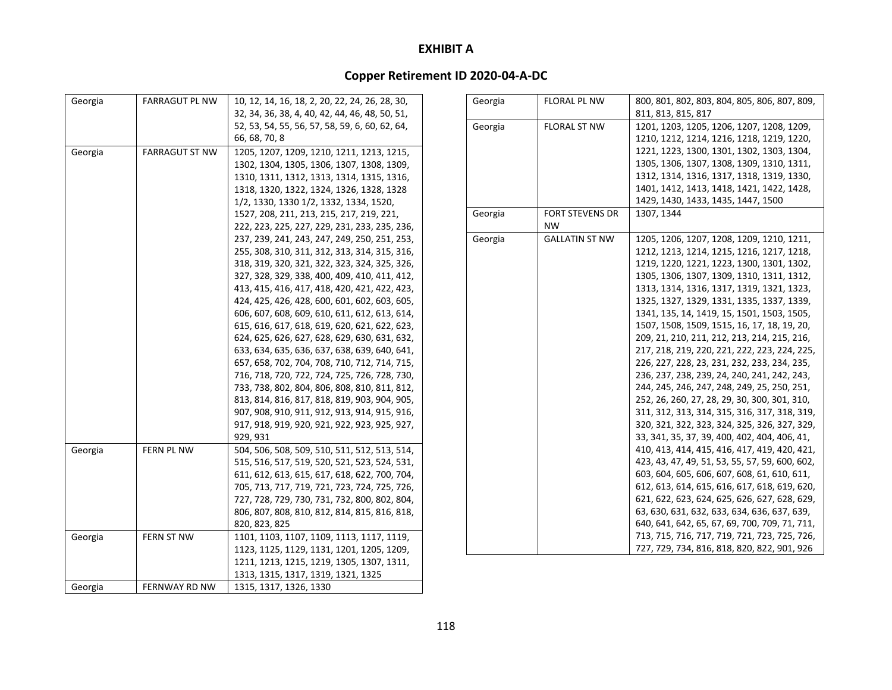| Georgia | <b>FARRAGUT PL NW</b> | 10, 12, 14, 16, 18, 2, 20, 22, 24, 26, 28, 30, | Georgia | <b>FLORAL PL NW</b>    | 800, 801, 802, 803, 804, 805, 806, 807, 809,   |
|---------|-----------------------|------------------------------------------------|---------|------------------------|------------------------------------------------|
|         |                       | 32, 34, 36, 38, 4, 40, 42, 44, 46, 48, 50, 51, |         |                        | 811, 813, 815, 817                             |
|         |                       | 52, 53, 54, 55, 56, 57, 58, 59, 6, 60, 62, 64, | Georgia | <b>FLORAL ST NW</b>    | 1201, 1203, 1205, 1206, 1207, 1208, 1209,      |
|         |                       | 66, 68, 70, 8                                  |         |                        | 1210, 1212, 1214, 1216, 1218, 1219, 1220,      |
| Georgia | <b>FARRAGUT ST NW</b> | 1205, 1207, 1209, 1210, 1211, 1213, 1215,      |         |                        | 1221, 1223, 1300, 1301, 1302, 1303, 1304,      |
|         |                       | 1302, 1304, 1305, 1306, 1307, 1308, 1309,      |         |                        | 1305, 1306, 1307, 1308, 1309, 1310, 1311,      |
|         |                       | 1310, 1311, 1312, 1313, 1314, 1315, 1316,      |         |                        | 1312, 1314, 1316, 1317, 1318, 1319, 1330,      |
|         |                       | 1318, 1320, 1322, 1324, 1326, 1328, 1328       |         |                        | 1401, 1412, 1413, 1418, 1421, 1422, 1428,      |
|         |                       | 1/2, 1330, 1330 1/2, 1332, 1334, 1520,         |         |                        | 1429, 1430, 1433, 1435, 1447, 1500             |
|         |                       | 1527, 208, 211, 213, 215, 217, 219, 221,       | Georgia | <b>FORT STEVENS DR</b> | 1307.1344                                      |
|         |                       | 222, 223, 225, 227, 229, 231, 233, 235, 236,   |         | <b>NW</b>              |                                                |
|         |                       | 237, 239, 241, 243, 247, 249, 250, 251, 253,   | Georgia | <b>GALLATIN ST NW</b>  | 1205, 1206, 1207, 1208, 1209, 1210, 1211,      |
|         |                       | 255, 308, 310, 311, 312, 313, 314, 315, 316,   |         |                        | 1212, 1213, 1214, 1215, 1216, 1217, 1218,      |
|         |                       | 318, 319, 320, 321, 322, 323, 324, 325, 326,   |         |                        | 1219, 1220, 1221, 1223, 1300, 1301, 1302,      |
|         |                       | 327, 328, 329, 338, 400, 409, 410, 411, 412,   |         |                        | 1305, 1306, 1307, 1309, 1310, 1311, 1312,      |
|         |                       | 413, 415, 416, 417, 418, 420, 421, 422, 423,   |         |                        | 1313, 1314, 1316, 1317, 1319, 1321, 1323,      |
|         |                       | 424, 425, 426, 428, 600, 601, 602, 603, 605,   |         |                        | 1325, 1327, 1329, 1331, 1335, 1337, 1339,      |
|         |                       | 606, 607, 608, 609, 610, 611, 612, 613, 614,   |         |                        | 1341, 135, 14, 1419, 15, 1501, 1503, 1505,     |
|         |                       | 615, 616, 617, 618, 619, 620, 621, 622, 623,   |         |                        | 1507, 1508, 1509, 1515, 16, 17, 18, 19, 20,    |
|         |                       | 624, 625, 626, 627, 628, 629, 630, 631, 632,   |         |                        | 209, 21, 210, 211, 212, 213, 214, 215, 216,    |
|         |                       | 633, 634, 635, 636, 637, 638, 639, 640, 641,   |         |                        | 217, 218, 219, 220, 221, 222, 223, 224, 225,   |
|         |                       | 657, 658, 702, 704, 708, 710, 712, 714, 715,   |         |                        | 226, 227, 228, 23, 231, 232, 233, 234, 235,    |
|         |                       | 716, 718, 720, 722, 724, 725, 726, 728, 730,   |         |                        | 236, 237, 238, 239, 24, 240, 241, 242, 243,    |
|         |                       | 733, 738, 802, 804, 806, 808, 810, 811, 812,   |         |                        | 244, 245, 246, 247, 248, 249, 25, 250, 251,    |
|         |                       | 813, 814, 816, 817, 818, 819, 903, 904, 905,   |         |                        | 252, 26, 260, 27, 28, 29, 30, 300, 301, 310,   |
|         |                       | 907, 908, 910, 911, 912, 913, 914, 915, 916,   |         |                        | 311, 312, 313, 314, 315, 316, 317, 318, 319,   |
|         |                       | 917, 918, 919, 920, 921, 922, 923, 925, 927,   |         |                        | 320, 321, 322, 323, 324, 325, 326, 327, 329,   |
|         |                       | 929.931                                        |         |                        | 33, 341, 35, 37, 39, 400, 402, 404, 406, 41,   |
| Georgia | FERN PL NW            | 504, 506, 508, 509, 510, 511, 512, 513, 514,   |         |                        | 410, 413, 414, 415, 416, 417, 419, 420, 421,   |
|         |                       | 515, 516, 517, 519, 520, 521, 523, 524, 531,   |         |                        | 423, 43, 47, 49, 51, 53, 55, 57, 59, 600, 602, |
|         |                       | 611, 612, 613, 615, 617, 618, 622, 700, 704,   |         |                        | 603, 604, 605, 606, 607, 608, 61, 610, 611,    |
|         |                       | 705, 713, 717, 719, 721, 723, 724, 725, 726,   |         |                        | 612, 613, 614, 615, 616, 617, 618, 619, 620,   |
|         |                       | 727, 728, 729, 730, 731, 732, 800, 802, 804,   |         |                        | 621, 622, 623, 624, 625, 626, 627, 628, 629,   |
|         |                       | 806, 807, 808, 810, 812, 814, 815, 816, 818,   |         |                        | 63, 630, 631, 632, 633, 634, 636, 637, 639,    |
|         |                       | 820, 823, 825                                  |         |                        | 640, 641, 642, 65, 67, 69, 700, 709, 71, 711,  |
| Georgia | FERN ST NW            | 1101, 1103, 1107, 1109, 1113, 1117, 1119,      |         |                        | 713, 715, 716, 717, 719, 721, 723, 725, 726,   |
|         |                       | 1123, 1125, 1129, 1131, 1201, 1205, 1209,      |         |                        | 727, 729, 734, 816, 818, 820, 822, 901, 926    |
|         |                       | 1211, 1213, 1215, 1219, 1305, 1307, 1311,      |         |                        |                                                |
|         |                       | 1313, 1315, 1317, 1319, 1321, 1325             |         |                        |                                                |
| Georgia | FERNWAY RD NW         | 1315, 1317, 1326, 1330                         |         |                        |                                                |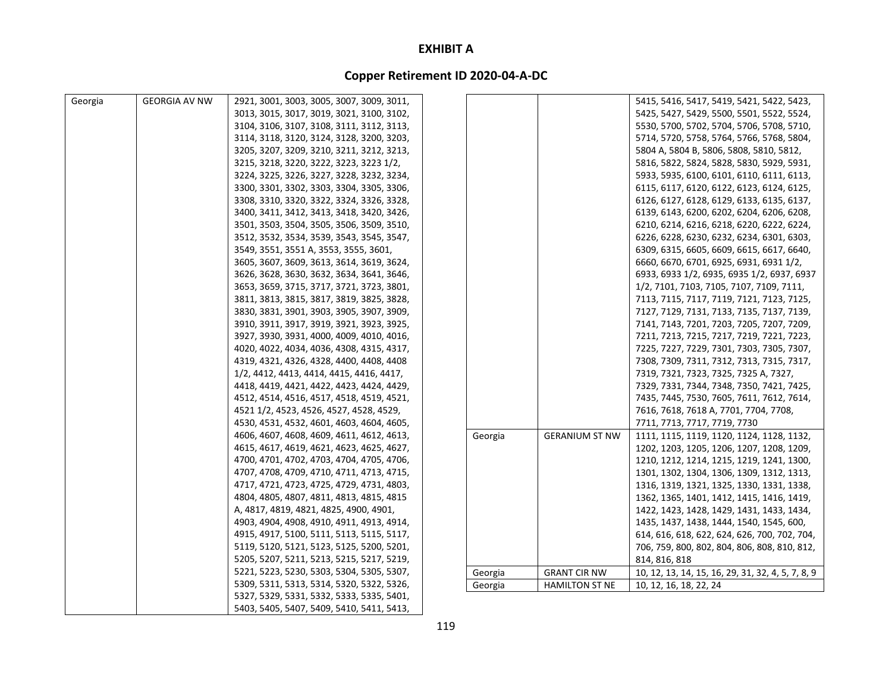| Georgia | <b>GEORGIA AV NW</b> | 2921, 3001, 3003, 3005, 3007, 3009, 3011, |         |                       | 5415, 5416, 5417, 5419, 5421, 5422, 5423,         |
|---------|----------------------|-------------------------------------------|---------|-----------------------|---------------------------------------------------|
|         |                      | 3013, 3015, 3017, 3019, 3021, 3100, 3102, |         |                       | 5425, 5427, 5429, 5500, 5501, 5522, 5524,         |
|         |                      | 3104, 3106, 3107, 3108, 3111, 3112, 3113, |         |                       | 5530, 5700, 5702, 5704, 5706, 5708, 5710,         |
|         |                      | 3114, 3118, 3120, 3124, 3128, 3200, 3203, |         |                       | 5714, 5720, 5758, 5764, 5766, 5768, 5804,         |
|         |                      | 3205, 3207, 3209, 3210, 3211, 3212, 3213, |         |                       | 5804 A, 5804 B, 5806, 5808, 5810, 5812,           |
|         |                      | 3215, 3218, 3220, 3222, 3223, 3223 1/2,   |         |                       | 5816, 5822, 5824, 5828, 5830, 5929, 5931,         |
|         |                      | 3224, 3225, 3226, 3227, 3228, 3232, 3234, |         |                       | 5933, 5935, 6100, 6101, 6110, 6111, 6113,         |
|         |                      | 3300, 3301, 3302, 3303, 3304, 3305, 3306, |         |                       | 6115, 6117, 6120, 6122, 6123, 6124, 6125,         |
|         |                      | 3308, 3310, 3320, 3322, 3324, 3326, 3328, |         |                       | 6126, 6127, 6128, 6129, 6133, 6135, 6137,         |
|         |                      | 3400, 3411, 3412, 3413, 3418, 3420, 3426, |         |                       | 6139, 6143, 6200, 6202, 6204, 6206, 6208,         |
|         |                      | 3501, 3503, 3504, 3505, 3506, 3509, 3510, |         |                       | 6210, 6214, 6216, 6218, 6220, 6222, 6224,         |
|         |                      | 3512, 3532, 3534, 3539, 3543, 3545, 3547, |         |                       | 6226, 6228, 6230, 6232, 6234, 6301, 6303,         |
|         |                      | 3549, 3551, 3551 A, 3553, 3555, 3601,     |         |                       | 6309, 6315, 6605, 6609, 6615, 6617, 6640,         |
|         |                      | 3605, 3607, 3609, 3613, 3614, 3619, 3624, |         |                       | 6660, 6670, 6701, 6925, 6931, 6931 1/2,           |
|         |                      | 3626, 3628, 3630, 3632, 3634, 3641, 3646, |         |                       | 6933, 6933 1/2, 6935, 6935 1/2, 6937, 6937        |
|         |                      | 3653, 3659, 3715, 3717, 3721, 3723, 3801, |         |                       | 1/2, 7101, 7103, 7105, 7107, 7109, 7111,          |
|         |                      | 3811, 3813, 3815, 3817, 3819, 3825, 3828, |         |                       | 7113, 7115, 7117, 7119, 7121, 7123, 7125,         |
|         |                      | 3830, 3831, 3901, 3903, 3905, 3907, 3909, |         |                       | 7127, 7129, 7131, 7133, 7135, 7137, 7139,         |
|         |                      | 3910, 3911, 3917, 3919, 3921, 3923, 3925, |         |                       | 7141, 7143, 7201, 7203, 7205, 7207, 7209,         |
|         |                      | 3927, 3930, 3931, 4000, 4009, 4010, 4016, |         |                       | 7211, 7213, 7215, 7217, 7219, 7221, 7223,         |
|         |                      | 4020, 4022, 4034, 4036, 4308, 4315, 4317, |         |                       | 7225, 7227, 7229, 7301, 7303, 7305, 7307,         |
|         |                      | 4319, 4321, 4326, 4328, 4400, 4408, 4408  |         |                       | 7308, 7309, 7311, 7312, 7313, 7315, 7317,         |
|         |                      | 1/2, 4412, 4413, 4414, 4415, 4416, 4417,  |         |                       | 7319, 7321, 7323, 7325, 7325 A, 7327,             |
|         |                      | 4418, 4419, 4421, 4422, 4423, 4424, 4429, |         |                       | 7329, 7331, 7344, 7348, 7350, 7421, 7425,         |
|         |                      | 4512, 4514, 4516, 4517, 4518, 4519, 4521, |         |                       | 7435, 7445, 7530, 7605, 7611, 7612, 7614,         |
|         |                      | 4521 1/2, 4523, 4526, 4527, 4528, 4529,   |         |                       | 7616, 7618, 7618 A, 7701, 7704, 7708,             |
|         |                      | 4530, 4531, 4532, 4601, 4603, 4604, 4605, |         |                       | 7711, 7713, 7717, 7719, 7730                      |
|         |                      | 4606, 4607, 4608, 4609, 4611, 4612, 4613, | Georgia | <b>GERANIUM ST NW</b> | 1111, 1115, 1119, 1120, 1124, 1128, 1132,         |
|         |                      | 4615, 4617, 4619, 4621, 4623, 4625, 4627, |         |                       | 1202, 1203, 1205, 1206, 1207, 1208, 1209,         |
|         |                      | 4700, 4701, 4702, 4703, 4704, 4705, 4706, |         |                       | 1210, 1212, 1214, 1215, 1219, 1241, 1300,         |
|         |                      | 4707, 4708, 4709, 4710, 4711, 4713, 4715, |         |                       | 1301, 1302, 1304, 1306, 1309, 1312, 1313,         |
|         |                      | 4717, 4721, 4723, 4725, 4729, 4731, 4803, |         |                       | 1316, 1319, 1321, 1325, 1330, 1331, 1338,         |
|         |                      | 4804, 4805, 4807, 4811, 4813, 4815, 4815  |         |                       | 1362, 1365, 1401, 1412, 1415, 1416, 1419,         |
|         |                      | A, 4817, 4819, 4821, 4825, 4900, 4901,    |         |                       | 1422, 1423, 1428, 1429, 1431, 1433, 1434,         |
|         |                      | 4903, 4904, 4908, 4910, 4911, 4913, 4914, |         |                       | 1435, 1437, 1438, 1444, 1540, 1545, 600,          |
|         |                      | 4915, 4917, 5100, 5111, 5113, 5115, 5117, |         |                       | 614, 616, 618, 622, 624, 626, 700, 702, 704,      |
|         |                      | 5119, 5120, 5121, 5123, 5125, 5200, 5201, |         |                       | 706, 759, 800, 802, 804, 806, 808, 810, 812,      |
|         |                      | 5205, 5207, 5211, 5213, 5215, 5217, 5219, |         |                       | 814, 816, 818                                     |
|         |                      | 5221, 5223, 5230, 5303, 5304, 5305, 5307, | Georgia | <b>GRANT CIR NW</b>   | 10, 12, 13, 14, 15, 16, 29, 31, 32, 4, 5, 7, 8, 9 |
|         |                      | 5309, 5311, 5313, 5314, 5320, 5322, 5326, | Georgia | <b>HAMILTON ST NE</b> | 10, 12, 16, 18, 22, 24                            |
|         |                      | 5327, 5329, 5331, 5332, 5333, 5335, 5401, |         |                       |                                                   |
|         |                      | 5403, 5405, 5407, 5409, 5410, 5411, 5413, |         |                       |                                                   |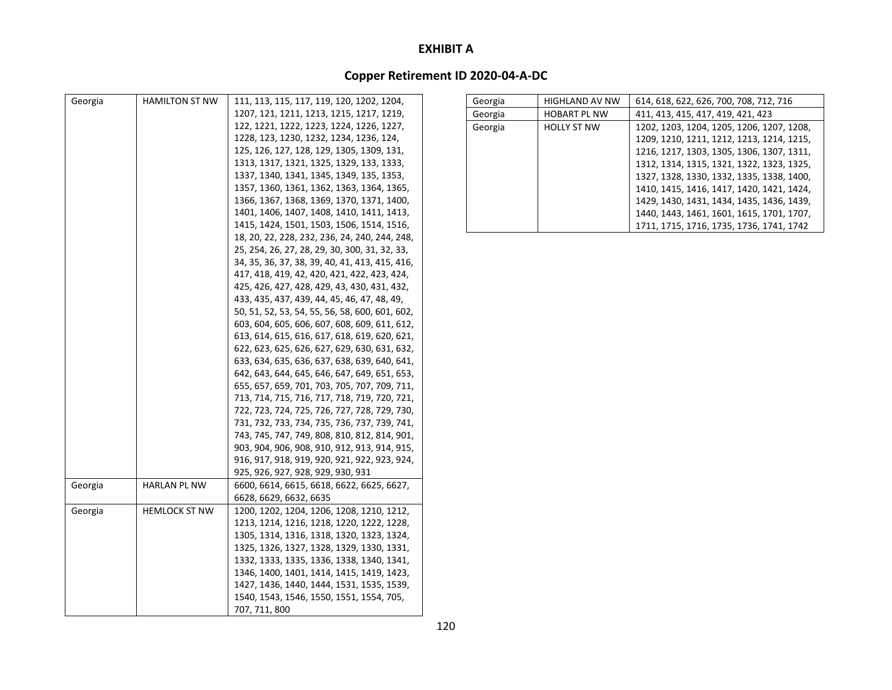| Georgia | <b>HAMILTON ST NW</b> | 111, 113, 115, 117, 119, 120, 1202, 1204,      |
|---------|-----------------------|------------------------------------------------|
|         |                       | 1207, 121, 1211, 1213, 1215, 1217, 1219,       |
|         |                       | 122, 1221, 1222, 1223, 1224, 1226, 1227,       |
|         |                       | 1228, 123, 1230, 1232, 1234, 1236, 124,        |
|         |                       | 125, 126, 127, 128, 129, 1305, 1309, 131,      |
|         |                       | 1313, 1317, 1321, 1325, 1329, 133, 1333,       |
|         |                       | 1337, 1340, 1341, 1345, 1349, 135, 1353,       |
|         |                       | 1357, 1360, 1361, 1362, 1363, 1364, 1365,      |
|         |                       | 1366, 1367, 1368, 1369, 1370, 1371, 1400,      |
|         |                       | 1401, 1406, 1407, 1408, 1410, 1411, 1413,      |
|         |                       | 1415, 1424, 1501, 1503, 1506, 1514, 1516,      |
|         |                       | 18, 20, 22, 228, 232, 236, 24, 240, 244, 248,  |
|         |                       | 25, 254, 26, 27, 28, 29, 30, 300, 31, 32, 33,  |
|         |                       | 34, 35, 36, 37, 38, 39, 40, 41, 413, 415, 416, |
|         |                       | 417, 418, 419, 42, 420, 421, 422, 423, 424,    |
|         |                       | 425, 426, 427, 428, 429, 43, 430, 431, 432,    |
|         |                       | 433, 435, 437, 439, 44, 45, 46, 47, 48, 49,    |
|         |                       | 50, 51, 52, 53, 54, 55, 56, 58, 600, 601, 602, |
|         |                       | 603, 604, 605, 606, 607, 608, 609, 611, 612,   |
|         |                       | 613, 614, 615, 616, 617, 618, 619, 620, 621,   |
|         |                       | 622, 623, 625, 626, 627, 629, 630, 631, 632,   |
|         |                       | 633, 634, 635, 636, 637, 638, 639, 640, 641,   |
|         |                       | 642, 643, 644, 645, 646, 647, 649, 651, 653,   |
|         |                       | 655, 657, 659, 701, 703, 705, 707, 709, 711,   |
|         |                       | 713, 714, 715, 716, 717, 718, 719, 720, 721,   |
|         |                       | 722, 723, 724, 725, 726, 727, 728, 729, 730,   |
|         |                       | 731, 732, 733, 734, 735, 736, 737, 739, 741,   |
|         |                       | 743, 745, 747, 749, 808, 810, 812, 814, 901,   |
|         |                       | 903, 904, 906, 908, 910, 912, 913, 914, 915,   |
|         |                       | 916, 917, 918, 919, 920, 921, 922, 923, 924,   |
|         |                       | 925, 926, 927, 928, 929, 930, 931              |
| Georgia | HARLAN PL NW          | 6600, 6614, 6615, 6618, 6622, 6625, 6627,      |
|         |                       | 6628, 6629, 6632, 6635                         |
| Georgia | <b>HEMLOCK ST NW</b>  | 1200, 1202, 1204, 1206, 1208, 1210, 1212,      |
|         |                       | 1213, 1214, 1216, 1218, 1220, 1222, 1228,      |
|         |                       | 1305, 1314, 1316, 1318, 1320, 1323, 1324,      |
|         |                       | 1325, 1326, 1327, 1328, 1329, 1330, 1331,      |
|         |                       | 1332, 1333, 1335, 1336, 1338, 1340, 1341,      |
|         |                       | 1346, 1400, 1401, 1414, 1415, 1419, 1423,      |
|         |                       | 1427, 1436, 1440, 1444, 1531, 1535, 1539,      |
|         |                       | 1540, 1543, 1546, 1550, 1551, 1554, 705,       |
|         |                       | 707, 711, 800                                  |
|         |                       |                                                |

| Georgia | <b>HIGHLAND AV NW</b> | 614, 618, 622, 626, 700, 708, 712, 716    |
|---------|-----------------------|-------------------------------------------|
| Georgia | <b>HOBART PL NW</b>   | 411, 413, 415, 417, 419, 421, 423         |
| Georgia | <b>HOLLY ST NW</b>    | 1202, 1203, 1204, 1205, 1206, 1207, 1208, |
|         |                       | 1209, 1210, 1211, 1212, 1213, 1214, 1215, |
|         |                       | 1216, 1217, 1303, 1305, 1306, 1307, 1311, |
|         |                       | 1312, 1314, 1315, 1321, 1322, 1323, 1325, |
|         |                       | 1327, 1328, 1330, 1332, 1335, 1338, 1400, |
|         |                       | 1410, 1415, 1416, 1417, 1420, 1421, 1424, |
|         |                       | 1429, 1430, 1431, 1434, 1435, 1436, 1439, |
|         |                       | 1440, 1443, 1461, 1601, 1615, 1701, 1707, |
|         |                       | 1711, 1715, 1716, 1735, 1736, 1741, 1742  |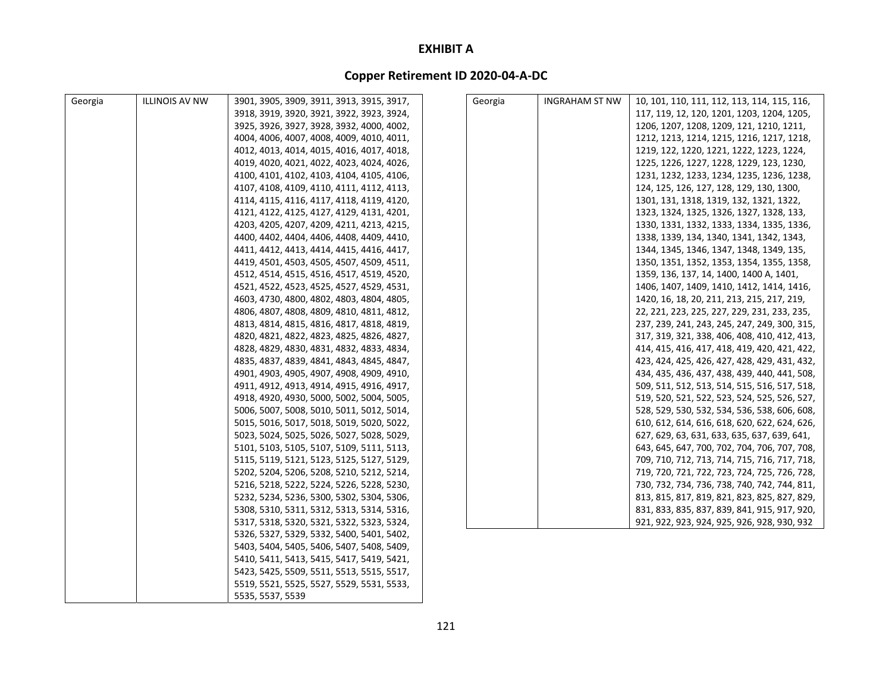| Georgia | <b>ILLINOIS AV NW</b> | 3901, 3905, 3909, 3911, 3913, 3915, 3917, | Georgia | <b>INGRAHAM ST NW</b> | 10, 101, 110, 111, 112, 113, 114, 115, 116,  |
|---------|-----------------------|-------------------------------------------|---------|-----------------------|----------------------------------------------|
|         |                       | 3918, 3919, 3920, 3921, 3922, 3923, 3924, |         |                       | 117, 119, 12, 120, 1201, 1203, 1204, 1205,   |
|         |                       | 3925, 3926, 3927, 3928, 3932, 4000, 4002, |         |                       | 1206, 1207, 1208, 1209, 121, 1210, 1211,     |
|         |                       | 4004, 4006, 4007, 4008, 4009, 4010, 4011, |         |                       | 1212, 1213, 1214, 1215, 1216, 1217, 1218,    |
|         |                       | 4012, 4013, 4014, 4015, 4016, 4017, 4018, |         |                       | 1219, 122, 1220, 1221, 1222, 1223, 1224,     |
|         |                       | 4019, 4020, 4021, 4022, 4023, 4024, 4026, |         |                       | 1225, 1226, 1227, 1228, 1229, 123, 1230,     |
|         |                       | 4100, 4101, 4102, 4103, 4104, 4105, 4106, |         |                       | 1231, 1232, 1233, 1234, 1235, 1236, 1238,    |
|         |                       | 4107, 4108, 4109, 4110, 4111, 4112, 4113, |         |                       | 124, 125, 126, 127, 128, 129, 130, 1300,     |
|         |                       | 4114, 4115, 4116, 4117, 4118, 4119, 4120, |         |                       | 1301, 131, 1318, 1319, 132, 1321, 1322,      |
|         |                       | 4121, 4122, 4125, 4127, 4129, 4131, 4201, |         |                       | 1323, 1324, 1325, 1326, 1327, 1328, 133,     |
|         |                       | 4203, 4205, 4207, 4209, 4211, 4213, 4215, |         |                       | 1330, 1331, 1332, 1333, 1334, 1335, 1336,    |
|         |                       | 4400, 4402, 4404, 4406, 4408, 4409, 4410, |         |                       | 1338, 1339, 134, 1340, 1341, 1342, 1343,     |
|         |                       | 4411, 4412, 4413, 4414, 4415, 4416, 4417, |         |                       | 1344, 1345, 1346, 1347, 1348, 1349, 135,     |
|         |                       | 4419, 4501, 4503, 4505, 4507, 4509, 4511, |         |                       | 1350, 1351, 1352, 1353, 1354, 1355, 1358,    |
|         |                       | 4512, 4514, 4515, 4516, 4517, 4519, 4520, |         |                       | 1359, 136, 137, 14, 1400, 1400 A, 1401,      |
|         |                       | 4521, 4522, 4523, 4525, 4527, 4529, 4531, |         |                       | 1406, 1407, 1409, 1410, 1412, 1414, 1416,    |
|         |                       | 4603, 4730, 4800, 4802, 4803, 4804, 4805, |         |                       | 1420, 16, 18, 20, 211, 213, 215, 217, 219,   |
|         |                       | 4806, 4807, 4808, 4809, 4810, 4811, 4812, |         |                       | 22, 221, 223, 225, 227, 229, 231, 233, 235,  |
|         |                       | 4813, 4814, 4815, 4816, 4817, 4818, 4819, |         |                       | 237, 239, 241, 243, 245, 247, 249, 300, 315, |
|         |                       | 4820, 4821, 4822, 4823, 4825, 4826, 4827, |         |                       | 317, 319, 321, 338, 406, 408, 410, 412, 413, |
|         |                       | 4828, 4829, 4830, 4831, 4832, 4833, 4834, |         |                       | 414, 415, 416, 417, 418, 419, 420, 421, 422, |
|         |                       | 4835, 4837, 4839, 4841, 4843, 4845, 4847, |         |                       | 423, 424, 425, 426, 427, 428, 429, 431, 432, |
|         |                       | 4901, 4903, 4905, 4907, 4908, 4909, 4910, |         |                       | 434, 435, 436, 437, 438, 439, 440, 441, 508, |
|         |                       | 4911, 4912, 4913, 4914, 4915, 4916, 4917, |         |                       | 509, 511, 512, 513, 514, 515, 516, 517, 518, |
|         |                       | 4918, 4920, 4930, 5000, 5002, 5004, 5005, |         |                       | 519, 520, 521, 522, 523, 524, 525, 526, 527, |
|         |                       | 5006, 5007, 5008, 5010, 5011, 5012, 5014, |         |                       | 528, 529, 530, 532, 534, 536, 538, 606, 608, |
|         |                       | 5015, 5016, 5017, 5018, 5019, 5020, 5022, |         |                       | 610, 612, 614, 616, 618, 620, 622, 624, 626, |
|         |                       | 5023, 5024, 5025, 5026, 5027, 5028, 5029, |         |                       | 627, 629, 63, 631, 633, 635, 637, 639, 641,  |
|         |                       | 5101, 5103, 5105, 5107, 5109, 5111, 5113, |         |                       | 643, 645, 647, 700, 702, 704, 706, 707, 708, |
|         |                       | 5115, 5119, 5121, 5123, 5125, 5127, 5129, |         |                       | 709, 710, 712, 713, 714, 715, 716, 717, 718, |
|         |                       | 5202, 5204, 5206, 5208, 5210, 5212, 5214, |         |                       | 719, 720, 721, 722, 723, 724, 725, 726, 728, |
|         |                       | 5216, 5218, 5222, 5224, 5226, 5228, 5230, |         |                       | 730, 732, 734, 736, 738, 740, 742, 744, 811, |
|         |                       | 5232, 5234, 5236, 5300, 5302, 5304, 5306, |         |                       | 813, 815, 817, 819, 821, 823, 825, 827, 829, |
|         |                       | 5308, 5310, 5311, 5312, 5313, 5314, 5316, |         |                       | 831, 833, 835, 837, 839, 841, 915, 917, 920, |
|         |                       | 5317, 5318, 5320, 5321, 5322, 5323, 5324, |         |                       | 921, 922, 923, 924, 925, 926, 928, 930, 932  |
|         |                       | 5326, 5327, 5329, 5332, 5400, 5401, 5402, |         |                       |                                              |
|         |                       | 5403, 5404, 5405, 5406, 5407, 5408, 5409, |         |                       |                                              |
|         |                       | 5410, 5411, 5413, 5415, 5417, 5419, 5421, |         |                       |                                              |
|         |                       | 5423, 5425, 5509, 5511, 5513, 5515, 5517, |         |                       |                                              |
|         |                       |                                           |         |                       |                                              |
|         |                       | 5519, 5521, 5525, 5527, 5529, 5531, 5533, |         |                       |                                              |
|         |                       | 5535, 5537, 5539                          |         |                       |                                              |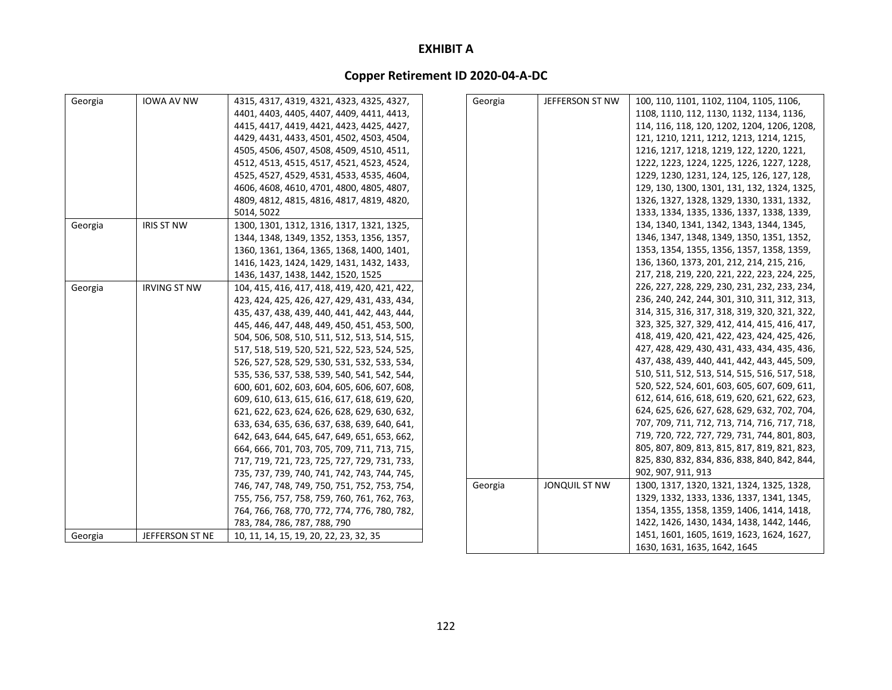| Georgia | <b>IOWA AV NW</b>   | 4315, 4317, 4319, 4321, 4323, 4325, 4327,    | Georgia | JEFFERSON ST NW | 100, 110, 1101, 1102, 1104, 1105, 1106,      |
|---------|---------------------|----------------------------------------------|---------|-----------------|----------------------------------------------|
|         |                     | 4401, 4403, 4405, 4407, 4409, 4411, 4413,    |         |                 | 1108, 1110, 112, 1130, 1132, 1134, 1136,     |
|         |                     | 4415, 4417, 4419, 4421, 4423, 4425, 4427,    |         |                 | 114, 116, 118, 120, 1202, 1204, 1206, 1208,  |
|         |                     | 4429, 4431, 4433, 4501, 4502, 4503, 4504,    |         |                 | 121, 1210, 1211, 1212, 1213, 1214, 1215,     |
|         |                     | 4505, 4506, 4507, 4508, 4509, 4510, 4511,    |         |                 | 1216, 1217, 1218, 1219, 122, 1220, 1221,     |
|         |                     | 4512, 4513, 4515, 4517, 4521, 4523, 4524,    |         |                 | 1222, 1223, 1224, 1225, 1226, 1227, 1228,    |
|         |                     | 4525, 4527, 4529, 4531, 4533, 4535, 4604,    |         |                 | 1229, 1230, 1231, 124, 125, 126, 127, 128,   |
|         |                     | 4606, 4608, 4610, 4701, 4800, 4805, 4807,    |         |                 | 129, 130, 1300, 1301, 131, 132, 1324, 1325,  |
|         |                     | 4809, 4812, 4815, 4816, 4817, 4819, 4820,    |         |                 | 1326, 1327, 1328, 1329, 1330, 1331, 1332,    |
|         |                     | 5014, 5022                                   |         |                 | 1333, 1334, 1335, 1336, 1337, 1338, 1339,    |
| Georgia | <b>IRIS ST NW</b>   | 1300, 1301, 1312, 1316, 1317, 1321, 1325,    |         |                 | 134, 1340, 1341, 1342, 1343, 1344, 1345,     |
|         |                     | 1344, 1348, 1349, 1352, 1353, 1356, 1357,    |         |                 | 1346, 1347, 1348, 1349, 1350, 1351, 1352,    |
|         |                     | 1360, 1361, 1364, 1365, 1368, 1400, 1401,    |         |                 | 1353, 1354, 1355, 1356, 1357, 1358, 1359,    |
|         |                     | 1416, 1423, 1424, 1429, 1431, 1432, 1433,    |         |                 | 136, 1360, 1373, 201, 212, 214, 215, 216,    |
|         |                     | 1436, 1437, 1438, 1442, 1520, 1525           |         |                 | 217, 218, 219, 220, 221, 222, 223, 224, 225, |
| Georgia | <b>IRVING ST NW</b> | 104, 415, 416, 417, 418, 419, 420, 421, 422, |         |                 | 226, 227, 228, 229, 230, 231, 232, 233, 234, |
|         |                     | 423, 424, 425, 426, 427, 429, 431, 433, 434, |         |                 | 236, 240, 242, 244, 301, 310, 311, 312, 313, |
|         |                     | 435, 437, 438, 439, 440, 441, 442, 443, 444, |         |                 | 314, 315, 316, 317, 318, 319, 320, 321, 322, |
|         |                     | 445, 446, 447, 448, 449, 450, 451, 453, 500, |         |                 | 323, 325, 327, 329, 412, 414, 415, 416, 417, |
|         |                     | 504, 506, 508, 510, 511, 512, 513, 514, 515, |         |                 | 418, 419, 420, 421, 422, 423, 424, 425, 426, |
|         |                     | 517, 518, 519, 520, 521, 522, 523, 524, 525, |         |                 | 427, 428, 429, 430, 431, 433, 434, 435, 436, |
|         |                     | 526, 527, 528, 529, 530, 531, 532, 533, 534, |         |                 | 437, 438, 439, 440, 441, 442, 443, 445, 509, |
|         |                     | 535, 536, 537, 538, 539, 540, 541, 542, 544, |         |                 | 510, 511, 512, 513, 514, 515, 516, 517, 518, |
|         |                     | 600, 601, 602, 603, 604, 605, 606, 607, 608, |         |                 | 520, 522, 524, 601, 603, 605, 607, 609, 611, |
|         |                     | 609, 610, 613, 615, 616, 617, 618, 619, 620, |         |                 | 612, 614, 616, 618, 619, 620, 621, 622, 623, |
|         |                     | 621, 622, 623, 624, 626, 628, 629, 630, 632, |         |                 | 624, 625, 626, 627, 628, 629, 632, 702, 704, |
|         |                     | 633, 634, 635, 636, 637, 638, 639, 640, 641, |         |                 | 707, 709, 711, 712, 713, 714, 716, 717, 718, |
|         |                     | 642, 643, 644, 645, 647, 649, 651, 653, 662, |         |                 | 719, 720, 722, 727, 729, 731, 744, 801, 803, |
|         |                     | 664, 666, 701, 703, 705, 709, 711, 713, 715, |         |                 | 805, 807, 809, 813, 815, 817, 819, 821, 823, |
|         |                     | 717, 719, 721, 723, 725, 727, 729, 731, 733, |         |                 | 825, 830, 832, 834, 836, 838, 840, 842, 844, |
|         |                     | 735, 737, 739, 740, 741, 742, 743, 744, 745, |         |                 | 902, 907, 911, 913                           |
|         |                     | 746, 747, 748, 749, 750, 751, 752, 753, 754, | Georgia | JONQUIL ST NW   | 1300, 1317, 1320, 1321, 1324, 1325, 1328,    |
|         |                     | 755, 756, 757, 758, 759, 760, 761, 762, 763, |         |                 | 1329, 1332, 1333, 1336, 1337, 1341, 1345,    |
|         |                     | 764, 766, 768, 770, 772, 774, 776, 780, 782, |         |                 | 1354, 1355, 1358, 1359, 1406, 1414, 1418,    |
|         |                     | 783, 784, 786, 787, 788, 790                 |         |                 | 1422, 1426, 1430, 1434, 1438, 1442, 1446,    |
| Georgia | JEFFERSON ST NE     | 10, 11, 14, 15, 19, 20, 22, 23, 32, 35       |         |                 | 1451, 1601, 1605, 1619, 1623, 1624, 1627,    |
|         |                     |                                              |         |                 | 1630, 1631, 1635, 1642, 1645                 |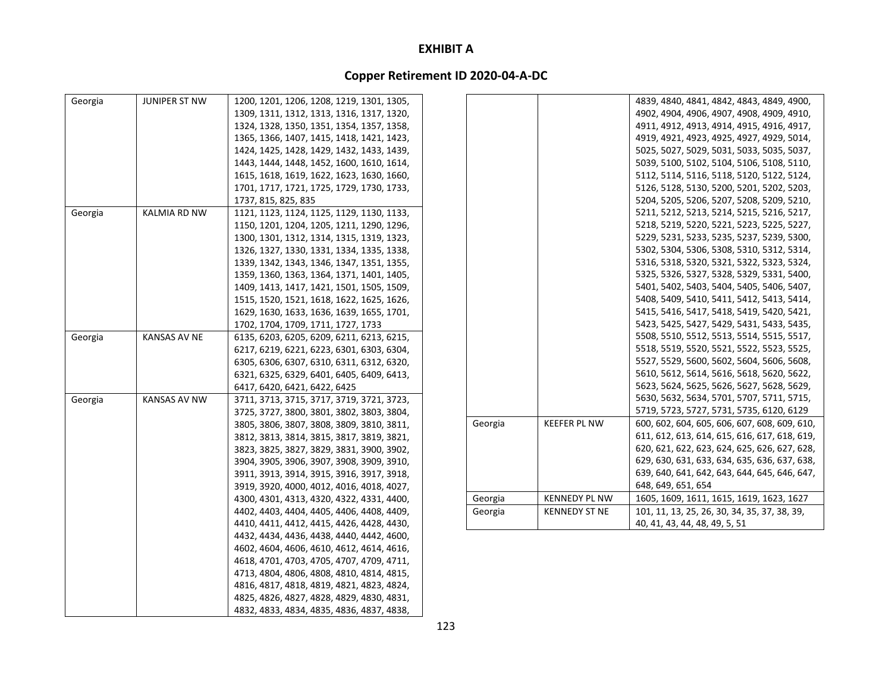| Georgia | JUNIPER ST NW       | 1200, 1201, 1206, 1208, 1219, 1301, 1305, |         |                      | 4839, 4840, 4841, 4842, 4843, 4849, 4900,    |
|---------|---------------------|-------------------------------------------|---------|----------------------|----------------------------------------------|
|         |                     | 1309, 1311, 1312, 1313, 1316, 1317, 1320, |         |                      | 4902, 4904, 4906, 4907, 4908, 4909, 4910,    |
|         |                     | 1324, 1328, 1350, 1351, 1354, 1357, 1358, |         |                      | 4911, 4912, 4913, 4914, 4915, 4916, 4917,    |
|         |                     | 1365, 1366, 1407, 1415, 1418, 1421, 1423, |         |                      | 4919, 4921, 4923, 4925, 4927, 4929, 5014,    |
|         |                     | 1424, 1425, 1428, 1429, 1432, 1433, 1439, |         |                      | 5025, 5027, 5029, 5031, 5033, 5035, 5037,    |
|         |                     | 1443, 1444, 1448, 1452, 1600, 1610, 1614, |         |                      | 5039, 5100, 5102, 5104, 5106, 5108, 5110,    |
|         |                     | 1615, 1618, 1619, 1622, 1623, 1630, 1660, |         |                      | 5112, 5114, 5116, 5118, 5120, 5122, 5124,    |
|         |                     | 1701, 1717, 1721, 1725, 1729, 1730, 1733, |         |                      | 5126, 5128, 5130, 5200, 5201, 5202, 5203,    |
|         |                     | 1737, 815, 825, 835                       |         |                      | 5204, 5205, 5206, 5207, 5208, 5209, 5210,    |
| Georgia | KALMIA RD NW        | 1121, 1123, 1124, 1125, 1129, 1130, 1133, |         |                      | 5211, 5212, 5213, 5214, 5215, 5216, 5217,    |
|         |                     | 1150, 1201, 1204, 1205, 1211, 1290, 1296, |         |                      | 5218, 5219, 5220, 5221, 5223, 5225, 5227,    |
|         |                     | 1300, 1301, 1312, 1314, 1315, 1319, 1323, |         |                      | 5229, 5231, 5233, 5235, 5237, 5239, 5300,    |
|         |                     | 1326, 1327, 1330, 1331, 1334, 1335, 1338, |         |                      | 5302, 5304, 5306, 5308, 5310, 5312, 5314,    |
|         |                     | 1339, 1342, 1343, 1346, 1347, 1351, 1355, |         |                      | 5316, 5318, 5320, 5321, 5322, 5323, 5324,    |
|         |                     | 1359, 1360, 1363, 1364, 1371, 1401, 1405, |         |                      | 5325, 5326, 5327, 5328, 5329, 5331, 5400,    |
|         |                     | 1409, 1413, 1417, 1421, 1501, 1505, 1509, |         |                      | 5401, 5402, 5403, 5404, 5405, 5406, 5407,    |
|         |                     | 1515, 1520, 1521, 1618, 1622, 1625, 1626, |         |                      | 5408, 5409, 5410, 5411, 5412, 5413, 5414,    |
|         |                     | 1629, 1630, 1633, 1636, 1639, 1655, 1701, |         |                      | 5415, 5416, 5417, 5418, 5419, 5420, 5421,    |
|         |                     | 1702, 1704, 1709, 1711, 1727, 1733        |         |                      | 5423, 5425, 5427, 5429, 5431, 5433, 5435,    |
| Georgia | KANSAS AV NE        | 6135, 6203, 6205, 6209, 6211, 6213, 6215, |         |                      | 5508, 5510, 5512, 5513, 5514, 5515, 5517,    |
|         |                     | 6217, 6219, 6221, 6223, 6301, 6303, 6304, |         |                      | 5518, 5519, 5520, 5521, 5522, 5523, 5525,    |
|         |                     | 6305, 6306, 6307, 6310, 6311, 6312, 6320, |         |                      | 5527, 5529, 5600, 5602, 5604, 5606, 5608,    |
|         |                     | 6321, 6325, 6329, 6401, 6405, 6409, 6413, |         |                      | 5610, 5612, 5614, 5616, 5618, 5620, 5622,    |
|         |                     | 6417, 6420, 6421, 6422, 6425              |         |                      | 5623, 5624, 5625, 5626, 5627, 5628, 5629,    |
| Georgia | <b>KANSAS AV NW</b> | 3711, 3713, 3715, 3717, 3719, 3721, 3723, |         |                      | 5630, 5632, 5634, 5701, 5707, 5711, 5715,    |
|         |                     | 3725, 3727, 3800, 3801, 3802, 3803, 3804, |         |                      | 5719, 5723, 5727, 5731, 5735, 6120, 6129     |
|         |                     | 3805, 3806, 3807, 3808, 3809, 3810, 3811, | Georgia | <b>KEEFER PL NW</b>  | 600, 602, 604, 605, 606, 607, 608, 609, 610, |
|         |                     | 3812, 3813, 3814, 3815, 3817, 3819, 3821, |         |                      | 611, 612, 613, 614, 615, 616, 617, 618, 619, |
|         |                     | 3823, 3825, 3827, 3829, 3831, 3900, 3902, |         |                      | 620, 621, 622, 623, 624, 625, 626, 627, 628, |
|         |                     | 3904, 3905, 3906, 3907, 3908, 3909, 3910, |         |                      | 629, 630, 631, 633, 634, 635, 636, 637, 638, |
|         |                     | 3911, 3913, 3914, 3915, 3916, 3917, 3918, |         |                      | 639, 640, 641, 642, 643, 644, 645, 646, 647, |
|         |                     | 3919, 3920, 4000, 4012, 4016, 4018, 4027, |         |                      | 648, 649, 651, 654                           |
|         |                     | 4300, 4301, 4313, 4320, 4322, 4331, 4400, | Georgia | <b>KENNEDY PL NW</b> | 1605, 1609, 1611, 1615, 1619, 1623, 1627     |
|         |                     | 4402, 4403, 4404, 4405, 4406, 4408, 4409, | Georgia | <b>KENNEDY ST NE</b> | 101, 11, 13, 25, 26, 30, 34, 35, 37, 38, 39, |
|         |                     | 4410, 4411, 4412, 4415, 4426, 4428, 4430, |         |                      | 40, 41, 43, 44, 48, 49, 5, 51                |
|         |                     | 4432, 4434, 4436, 4438, 4440, 4442, 4600, |         |                      |                                              |
|         |                     | 4602, 4604, 4606, 4610, 4612, 4614, 4616, |         |                      |                                              |
|         |                     | 4618, 4701, 4703, 4705, 4707, 4709, 4711, |         |                      |                                              |
|         |                     | 4713, 4804, 4806, 4808, 4810, 4814, 4815, |         |                      |                                              |
|         |                     | 4816, 4817, 4818, 4819, 4821, 4823, 4824, |         |                      |                                              |
|         |                     | 4825, 4826, 4827, 4828, 4829, 4830, 4831, |         |                      |                                              |
|         |                     | 4832, 4833, 4834, 4835, 4836, 4837, 4838, |         |                      |                                              |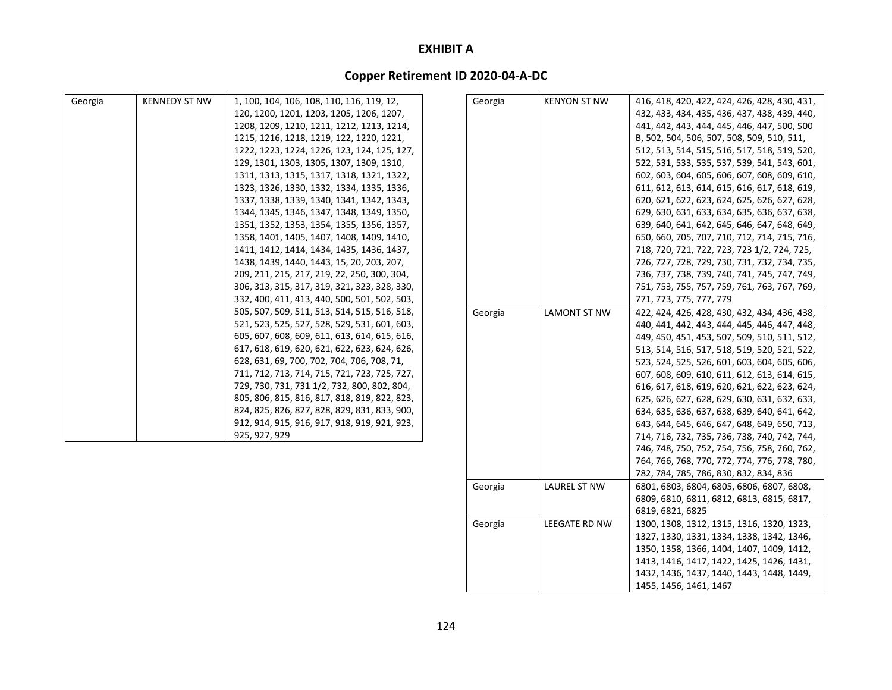### **Copper Retirement ID 2020‐04‐A‐DC**

| Georgia | <b>KENNEDY ST NW</b> | 1, 100, 104, 106, 108, 110, 116, 119, 12,    | Georgia | <b>KENYON ST NW</b> | 416, 418, 420, 422, 424, 426, 428, 430, 431, |
|---------|----------------------|----------------------------------------------|---------|---------------------|----------------------------------------------|
|         |                      | 120, 1200, 1201, 1203, 1205, 1206, 1207,     |         |                     | 432, 433, 434, 435, 436, 437, 438, 439, 440, |
|         |                      | 1208, 1209, 1210, 1211, 1212, 1213, 1214,    |         |                     | 441, 442, 443, 444, 445, 446, 447, 500, 500  |
|         |                      | 1215, 1216, 1218, 1219, 122, 1220, 1221,     |         |                     | B, 502, 504, 506, 507, 508, 509, 510, 511,   |
|         |                      | 1222, 1223, 1224, 1226, 123, 124, 125, 127,  |         |                     | 512, 513, 514, 515, 516, 517, 518, 519, 520, |
|         |                      | 129, 1301, 1303, 1305, 1307, 1309, 1310,     |         |                     | 522, 531, 533, 535, 537, 539, 541, 543, 601, |
|         |                      | 1311, 1313, 1315, 1317, 1318, 1321, 1322,    |         |                     | 602, 603, 604, 605, 606, 607, 608, 609, 610, |
|         |                      | 1323, 1326, 1330, 1332, 1334, 1335, 1336,    |         |                     | 611, 612, 613, 614, 615, 616, 617, 618, 619, |
|         |                      | 1337, 1338, 1339, 1340, 1341, 1342, 1343,    |         |                     | 620, 621, 622, 623, 624, 625, 626, 627, 628, |
|         |                      | 1344, 1345, 1346, 1347, 1348, 1349, 1350,    |         |                     | 629, 630, 631, 633, 634, 635, 636, 637, 638, |
|         |                      | 1351, 1352, 1353, 1354, 1355, 1356, 1357,    |         |                     | 639, 640, 641, 642, 645, 646, 647, 648, 649, |
|         |                      | 1358, 1401, 1405, 1407, 1408, 1409, 1410,    |         |                     | 650, 660, 705, 707, 710, 712, 714, 715, 716, |
|         |                      | 1411, 1412, 1414, 1434, 1435, 1436, 1437,    |         |                     | 718, 720, 721, 722, 723, 723 1/2, 724, 725,  |
|         |                      | 1438, 1439, 1440, 1443, 15, 20, 203, 207,    |         |                     | 726, 727, 728, 729, 730, 731, 732, 734, 735, |
|         |                      | 209, 211, 215, 217, 219, 22, 250, 300, 304,  |         |                     | 736, 737, 738, 739, 740, 741, 745, 747, 749, |
|         |                      | 306, 313, 315, 317, 319, 321, 323, 328, 330, |         |                     | 751, 753, 755, 757, 759, 761, 763, 767, 769, |
|         |                      | 332, 400, 411, 413, 440, 500, 501, 502, 503, |         |                     | 771, 773, 775, 777, 779                      |
|         |                      | 505, 507, 509, 511, 513, 514, 515, 516, 518, | Georgia | <b>LAMONT ST NW</b> | 422, 424, 426, 428, 430, 432, 434, 436, 438, |
|         |                      | 521, 523, 525, 527, 528, 529, 531, 601, 603, |         |                     | 440, 441, 442, 443, 444, 445, 446, 447, 448, |
|         |                      | 605, 607, 608, 609, 611, 613, 614, 615, 616, |         |                     | 449, 450, 451, 453, 507, 509, 510, 511, 512, |
|         |                      | 617, 618, 619, 620, 621, 622, 623, 624, 626, |         |                     | 513, 514, 516, 517, 518, 519, 520, 521, 522, |
|         |                      | 628, 631, 69, 700, 702, 704, 706, 708, 71,   |         |                     | 523, 524, 525, 526, 601, 603, 604, 605, 606, |
|         |                      | 711, 712, 713, 714, 715, 721, 723, 725, 727, |         |                     | 607, 608, 609, 610, 611, 612, 613, 614, 615, |
|         |                      | 729, 730, 731, 731 1/2, 732, 800, 802, 804,  |         |                     | 616, 617, 618, 619, 620, 621, 622, 623, 624, |
|         |                      | 805, 806, 815, 816, 817, 818, 819, 822, 823, |         |                     | 625, 626, 627, 628, 629, 630, 631, 632, 633, |
|         |                      | 824, 825, 826, 827, 828, 829, 831, 833, 900, |         |                     | 634, 635, 636, 637, 638, 639, 640, 641, 642, |
|         |                      | 912, 914, 915, 916, 917, 918, 919, 921, 923, |         |                     | 643, 644, 645, 646, 647, 648, 649, 650, 713, |
|         |                      | 925, 927, 929                                |         |                     | 714, 716, 732, 735, 736, 738, 740, 742, 744, |
|         |                      |                                              |         |                     | 746, 748, 750, 752, 754, 756, 758, 760, 762, |
|         |                      |                                              |         |                     | 764, 766, 768, 770, 772, 774, 776, 778, 780, |
|         |                      |                                              |         |                     | 782, 784, 785, 786, 830, 832, 834, 836       |

Georgia | LAUREL ST NW | 6801, 6803, 6804, 6805, 6806, 6807, 6808,

Georgia LEEGATE RD NW 1300, 1308, 1312, 1315, 1316, 1320, 1323,

6819, 6821, 6825

1455, 1456, 1461, 1467

6809, 6810, 6811, 6812, 6813, 6815, 6817,

1327, 1330, 1331, 1334, 1338, 1342, 1346, 1350, 1358, 1366, 1404, 1407, 1409, 1412, 1413, 1416, 1417, 1422, 1425, 1426, 1431, 1432, 1436, 1437, 1440, 1443, 1448, 1449,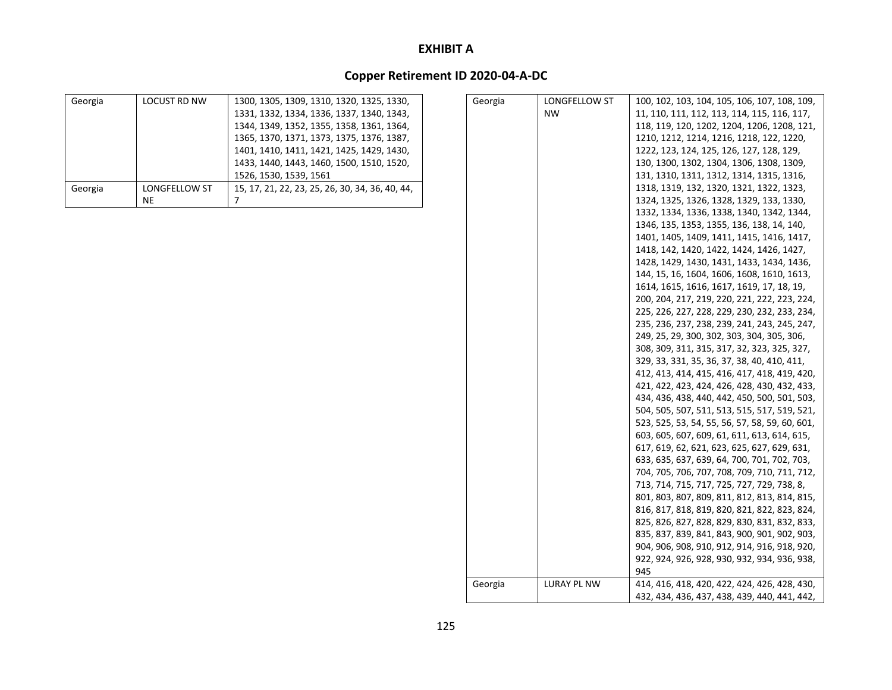| Georgia | <b>LOCUST RD NW</b>  | 1300, 1305, 1309, 1310, 1320, 1325, 1330,       |
|---------|----------------------|-------------------------------------------------|
|         |                      | 1331, 1332, 1334, 1336, 1337, 1340, 1343,       |
|         |                      | 1344, 1349, 1352, 1355, 1358, 1361, 1364,       |
|         |                      | 1365, 1370, 1371, 1373, 1375, 1376, 1387,       |
|         |                      | 1401, 1410, 1411, 1421, 1425, 1429, 1430,       |
|         |                      | 1433, 1440, 1443, 1460, 1500, 1510, 1520,       |
|         |                      | 1526, 1530, 1539, 1561                          |
| Georgia | <b>LONGFELLOW ST</b> | 15, 17, 21, 22, 23, 25, 26, 30, 34, 36, 40, 44, |
|         | ΝE                   |                                                 |

| Georgia | LONGFELLOW ST | 100, 102, 103, 104, 105, 106, 107, 108, 109,   |
|---------|---------------|------------------------------------------------|
|         | <b>NW</b>     | 11, 110, 111, 112, 113, 114, 115, 116, 117,    |
|         |               | 118, 119, 120, 1202, 1204, 1206, 1208, 121,    |
|         |               | 1210, 1212, 1214, 1216, 1218, 122, 1220,       |
|         |               | 1222, 123, 124, 125, 126, 127, 128, 129,       |
|         |               | 130, 1300, 1302, 1304, 1306, 1308, 1309,       |
|         |               | 131, 1310, 1311, 1312, 1314, 1315, 1316,       |
|         |               | 1318, 1319, 132, 1320, 1321, 1322, 1323,       |
|         |               | 1324, 1325, 1326, 1328, 1329, 133, 1330,       |
|         |               | 1332, 1334, 1336, 1338, 1340, 1342, 1344,      |
|         |               | 1346, 135, 1353, 1355, 136, 138, 14, 140,      |
|         |               | 1401, 1405, 1409, 1411, 1415, 1416, 1417,      |
|         |               | 1418, 142, 1420, 1422, 1424, 1426, 1427,       |
|         |               | 1428, 1429, 1430, 1431, 1433, 1434, 1436,      |
|         |               | 144, 15, 16, 1604, 1606, 1608, 1610, 1613,     |
|         |               | 1614, 1615, 1616, 1617, 1619, 17, 18, 19,      |
|         |               | 200, 204, 217, 219, 220, 221, 222, 223, 224,   |
|         |               | 225, 226, 227, 228, 229, 230, 232, 233, 234,   |
|         |               | 235, 236, 237, 238, 239, 241, 243, 245, 247,   |
|         |               | 249, 25, 29, 300, 302, 303, 304, 305, 306,     |
|         |               | 308, 309, 311, 315, 317, 32, 323, 325, 327,    |
|         |               | 329, 33, 331, 35, 36, 37, 38, 40, 410, 411,    |
|         |               | 412, 413, 414, 415, 416, 417, 418, 419, 420,   |
|         |               | 421, 422, 423, 424, 426, 428, 430, 432, 433,   |
|         |               | 434, 436, 438, 440, 442, 450, 500, 501, 503,   |
|         |               | 504, 505, 507, 511, 513, 515, 517, 519, 521,   |
|         |               | 523, 525, 53, 54, 55, 56, 57, 58, 59, 60, 601, |
|         |               | 603, 605, 607, 609, 61, 611, 613, 614, 615,    |
|         |               | 617, 619, 62, 621, 623, 625, 627, 629, 631,    |
|         |               | 633, 635, 637, 639, 64, 700, 701, 702, 703,    |
|         |               | 704, 705, 706, 707, 708, 709, 710, 711, 712,   |
|         |               | 713, 714, 715, 717, 725, 727, 729, 738, 8,     |
|         |               | 801, 803, 807, 809, 811, 812, 813, 814, 815,   |
|         |               | 816, 817, 818, 819, 820, 821, 822, 823, 824,   |
|         |               | 825, 826, 827, 828, 829, 830, 831, 832, 833,   |
|         |               | 835, 837, 839, 841, 843, 900, 901, 902, 903,   |
|         |               | 904, 906, 908, 910, 912, 914, 916, 918, 920,   |
|         |               | 922, 924, 926, 928, 930, 932, 934, 936, 938,   |
|         |               | 945                                            |
| Georgia | LURAY PL NW   | 414, 416, 418, 420, 422, 424, 426, 428, 430,   |
|         |               | 432, 434, 436, 437, 438, 439, 440, 441, 442,   |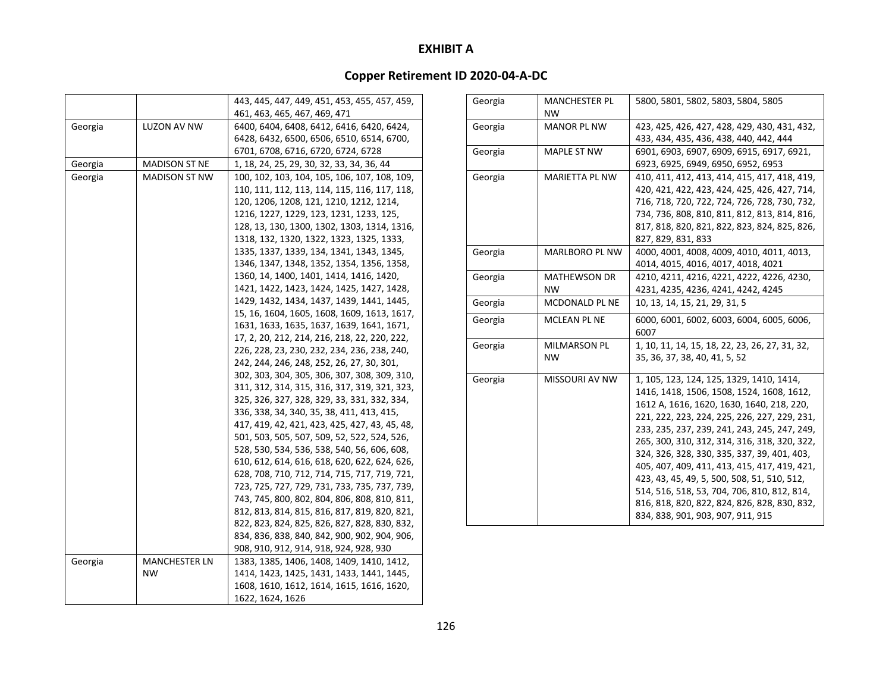|         |                      | 443, 445, 447, 449, 451, 453, 455, 457, 459,  |
|---------|----------------------|-----------------------------------------------|
|         |                      | 461, 463, 465, 467, 469, 471                  |
| Georgia | LUZON AV NW          | 6400, 6404, 6408, 6412, 6416, 6420, 6424,     |
|         |                      | 6428, 6432, 6500, 6506, 6510, 6514, 6700,     |
|         |                      | 6701, 6708, 6716, 6720, 6724, 6728            |
| Georgia | <b>MADISON ST NE</b> | 1, 18, 24, 25, 29, 30, 32, 33, 34, 36, 44     |
| Georgia | MADISON ST NW        | 100, 102, 103, 104, 105, 106, 107, 108, 109,  |
|         |                      | 110, 111, 112, 113, 114, 115, 116, 117, 118,  |
|         |                      | 120, 1206, 1208, 121, 1210, 1212, 1214,       |
|         |                      | 1216, 1227, 1229, 123, 1231, 1233, 125,       |
|         |                      | 128, 13, 130, 1300, 1302, 1303, 1314, 1316,   |
|         |                      | 1318, 132, 1320, 1322, 1323, 1325, 1333,      |
|         |                      | 1335, 1337, 1339, 134, 1341, 1343, 1345,      |
|         |                      | 1346, 1347, 1348, 1352, 1354, 1356, 1358,     |
|         |                      | 1360, 14, 1400, 1401, 1414, 1416, 1420,       |
|         |                      | 1421, 1422, 1423, 1424, 1425, 1427, 1428,     |
|         |                      | 1429, 1432, 1434, 1437, 1439, 1441, 1445,     |
|         |                      | 15, 16, 1604, 1605, 1608, 1609, 1613, 1617,   |
|         |                      | 1631, 1633, 1635, 1637, 1639, 1641, 1671,     |
|         |                      | 17, 2, 20, 212, 214, 216, 218, 22, 220, 222,  |
|         |                      | 226, 228, 23, 230, 232, 234, 236, 238, 240,   |
|         |                      | 242, 244, 246, 248, 252, 26, 27, 30, 301,     |
|         |                      | 302, 303, 304, 305, 306, 307, 308, 309, 310,  |
|         |                      | 311, 312, 314, 315, 316, 317, 319, 321, 323,  |
|         |                      | 325, 326, 327, 328, 329, 33, 331, 332, 334,   |
|         |                      | 336, 338, 34, 340, 35, 38, 411, 413, 415,     |
|         |                      | 417, 419, 42, 421, 423, 425, 427, 43, 45, 48, |
|         |                      | 501, 503, 505, 507, 509, 52, 522, 524, 526,   |
|         |                      | 528, 530, 534, 536, 538, 540, 56, 606, 608,   |
|         |                      | 610, 612, 614, 616, 618, 620, 622, 624, 626,  |
|         |                      | 628, 708, 710, 712, 714, 715, 717, 719, 721,  |
|         |                      | 723, 725, 727, 729, 731, 733, 735, 737, 739,  |
|         |                      | 743, 745, 800, 802, 804, 806, 808, 810, 811,  |
|         |                      | 812, 813, 814, 815, 816, 817, 819, 820, 821,  |
|         |                      | 822, 823, 824, 825, 826, 827, 828, 830, 832,  |
|         |                      | 834, 836, 838, 840, 842, 900, 902, 904, 906,  |
|         |                      | 908, 910, 912, 914, 918, 924, 928, 930        |
| Georgia | <b>MANCHESTER LN</b> | 1383, 1385, 1406, 1408, 1409, 1410, 1412,     |
|         | NW                   | 1414, 1423, 1425, 1431, 1433, 1441, 1445,     |
|         |                      | 1608, 1610, 1612, 1614, 1615, 1616, 1620,     |
|         |                      | 1622, 1624, 1626                              |

| Georgia | <b>MANCHESTER PL</b><br><b>NW</b> | 5800, 5801, 5802, 5803, 5804, 5805                                                                                                                                                                                                                                                                                                                                                                                                                                                                                                                                   |
|---------|-----------------------------------|----------------------------------------------------------------------------------------------------------------------------------------------------------------------------------------------------------------------------------------------------------------------------------------------------------------------------------------------------------------------------------------------------------------------------------------------------------------------------------------------------------------------------------------------------------------------|
| Georgia | <b>MANOR PL NW</b>                | 423, 425, 426, 427, 428, 429, 430, 431, 432,<br>433, 434, 435, 436, 438, 440, 442, 444                                                                                                                                                                                                                                                                                                                                                                                                                                                                               |
| Georgia | <b>MAPLE ST NW</b>                | 6901, 6903, 6907, 6909, 6915, 6917, 6921,<br>6923, 6925, 6949, 6950, 6952, 6953                                                                                                                                                                                                                                                                                                                                                                                                                                                                                      |
| Georgia | <b>MARIETTA PL NW</b>             | 410, 411, 412, 413, 414, 415, 417, 418, 419,<br>420, 421, 422, 423, 424, 425, 426, 427, 714,<br>716, 718, 720, 722, 724, 726, 728, 730, 732,<br>734, 736, 808, 810, 811, 812, 813, 814, 816,<br>817, 818, 820, 821, 822, 823, 824, 825, 826,<br>827, 829, 831, 833                                                                                                                                                                                                                                                                                                   |
| Georgia | <b>MARLBORO PL NW</b>             | 4000, 4001, 4008, 4009, 4010, 4011, 4013,<br>4014, 4015, 4016, 4017, 4018, 4021                                                                                                                                                                                                                                                                                                                                                                                                                                                                                      |
| Georgia | <b>MATHEWSON DR</b><br><b>NW</b>  | 4210, 4211, 4216, 4221, 4222, 4226, 4230,<br>4231, 4235, 4236, 4241, 4242, 4245                                                                                                                                                                                                                                                                                                                                                                                                                                                                                      |
| Georgia | <b>MCDONALD PL NE</b>             | 10, 13, 14, 15, 21, 29, 31, 5                                                                                                                                                                                                                                                                                                                                                                                                                                                                                                                                        |
| Georgia | MCLEAN PL NE                      | 6000, 6001, 6002, 6003, 6004, 6005, 6006,<br>6007                                                                                                                                                                                                                                                                                                                                                                                                                                                                                                                    |
| Georgia | MILMARSON PL<br><b>NW</b>         | 1, 10, 11, 14, 15, 18, 22, 23, 26, 27, 31, 32,<br>35, 36, 37, 38, 40, 41, 5, 52                                                                                                                                                                                                                                                                                                                                                                                                                                                                                      |
| Georgia | <b>MISSOURI AV NW</b>             | 1, 105, 123, 124, 125, 1329, 1410, 1414,<br>1416, 1418, 1506, 1508, 1524, 1608, 1612,<br>1612 A, 1616, 1620, 1630, 1640, 218, 220,<br>221, 222, 223, 224, 225, 226, 227, 229, 231,<br>233, 235, 237, 239, 241, 243, 245, 247, 249,<br>265, 300, 310, 312, 314, 316, 318, 320, 322,<br>324, 326, 328, 330, 335, 337, 39, 401, 403,<br>405, 407, 409, 411, 413, 415, 417, 419, 421,<br>423, 43, 45, 49, 5, 500, 508, 51, 510, 512,<br>514, 516, 518, 53, 704, 706, 810, 812, 814,<br>816, 818, 820, 822, 824, 826, 828, 830, 832,<br>834, 838, 901, 903, 907, 911, 915 |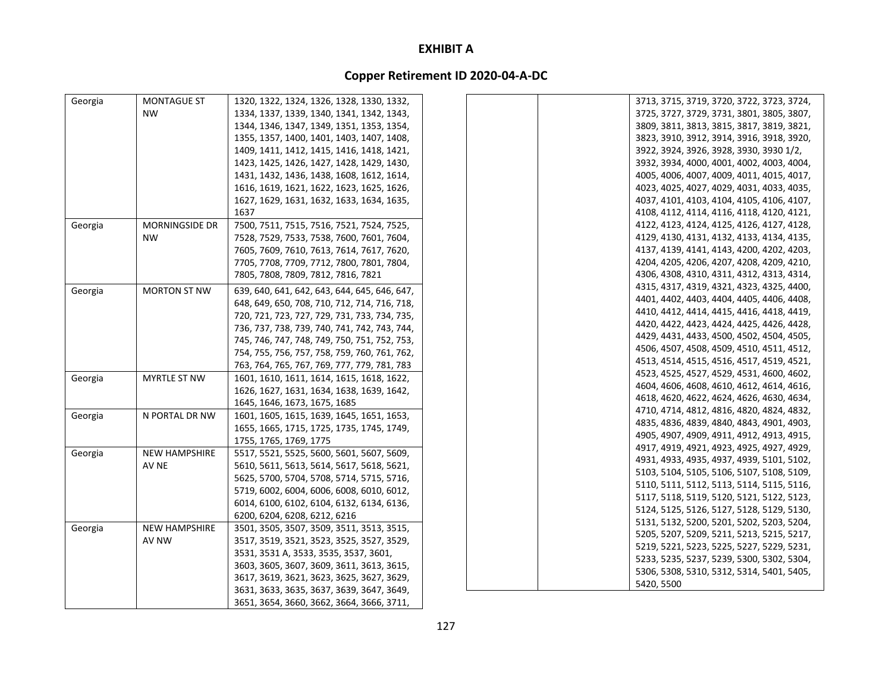| Georgia | MONTAGUE ST           | 1320, 1322, 1324, 1326, 1328, 1330, 1332,    | 3713, 3715, 3719, 3720, 3722, 3723, 3724, |
|---------|-----------------------|----------------------------------------------|-------------------------------------------|
|         | <b>NW</b>             | 1334, 1337, 1339, 1340, 1341, 1342, 1343,    | 3725, 3727, 3729, 3731, 3801, 3805, 3807, |
|         |                       | 1344, 1346, 1347, 1349, 1351, 1353, 1354,    | 3809, 3811, 3813, 3815, 3817, 3819, 3821, |
|         |                       | 1355, 1357, 1400, 1401, 1403, 1407, 1408,    | 3823, 3910, 3912, 3914, 3916, 3918, 3920, |
|         |                       | 1409, 1411, 1412, 1415, 1416, 1418, 1421,    | 3922, 3924, 3926, 3928, 3930, 3930 1/2,   |
|         |                       | 1423, 1425, 1426, 1427, 1428, 1429, 1430,    | 3932, 3934, 4000, 4001, 4002, 4003, 4004, |
|         |                       | 1431, 1432, 1436, 1438, 1608, 1612, 1614,    | 4005, 4006, 4007, 4009, 4011, 4015, 4017, |
|         |                       | 1616, 1619, 1621, 1622, 1623, 1625, 1626,    | 4023, 4025, 4027, 4029, 4031, 4033, 4035, |
|         |                       | 1627, 1629, 1631, 1632, 1633, 1634, 1635,    | 4037, 4101, 4103, 4104, 4105, 4106, 4107, |
|         |                       | 1637                                         | 4108, 4112, 4114, 4116, 4118, 4120, 4121, |
| Georgia | <b>MORNINGSIDE DR</b> | 7500, 7511, 7515, 7516, 7521, 7524, 7525,    | 4122, 4123, 4124, 4125, 4126, 4127, 4128, |
|         | <b>NW</b>             | 7528, 7529, 7533, 7538, 7600, 7601, 7604,    | 4129, 4130, 4131, 4132, 4133, 4134, 4135, |
|         |                       | 7605, 7609, 7610, 7613, 7614, 7617, 7620,    | 4137, 4139, 4141, 4143, 4200, 4202, 4203, |
|         |                       | 7705, 7708, 7709, 7712, 7800, 7801, 7804,    | 4204, 4205, 4206, 4207, 4208, 4209, 4210, |
|         |                       | 7805, 7808, 7809, 7812, 7816, 7821           | 4306, 4308, 4310, 4311, 4312, 4313, 4314, |
| Georgia | <b>MORTON ST NW</b>   | 639, 640, 641, 642, 643, 644, 645, 646, 647, | 4315, 4317, 4319, 4321, 4323, 4325, 4400, |
|         |                       | 648, 649, 650, 708, 710, 712, 714, 716, 718, | 4401, 4402, 4403, 4404, 4405, 4406, 4408, |
|         |                       | 720, 721, 723, 727, 729, 731, 733, 734, 735, | 4410, 4412, 4414, 4415, 4416, 4418, 4419, |
|         |                       | 736, 737, 738, 739, 740, 741, 742, 743, 744, | 4420, 4422, 4423, 4424, 4425, 4426, 4428, |
|         |                       | 745, 746, 747, 748, 749, 750, 751, 752, 753, | 4429, 4431, 4433, 4500, 4502, 4504, 4505, |
|         |                       | 754, 755, 756, 757, 758, 759, 760, 761, 762, | 4506, 4507, 4508, 4509, 4510, 4511, 4512, |
|         |                       | 763, 764, 765, 767, 769, 777, 779, 781, 783  | 4513, 4514, 4515, 4516, 4517, 4519, 4521, |
| Georgia | <b>MYRTLE ST NW</b>   | 1601, 1610, 1611, 1614, 1615, 1618, 1622,    | 4523, 4525, 4527, 4529, 4531, 4600, 4602, |
|         |                       | 1626, 1627, 1631, 1634, 1638, 1639, 1642,    | 4604, 4606, 4608, 4610, 4612, 4614, 4616, |
|         |                       | 1645, 1646, 1673, 1675, 1685                 | 4618, 4620, 4622, 4624, 4626, 4630, 4634, |
| Georgia | N PORTAL DR NW        | 1601, 1605, 1615, 1639, 1645, 1651, 1653,    | 4710, 4714, 4812, 4816, 4820, 4824, 4832, |
|         |                       | 1655, 1665, 1715, 1725, 1735, 1745, 1749,    | 4835, 4836, 4839, 4840, 4843, 4901, 4903, |
|         |                       | 1755, 1765, 1769, 1775                       | 4905, 4907, 4909, 4911, 4912, 4913, 4915, |
| Georgia | <b>NEW HAMPSHIRE</b>  | 5517, 5521, 5525, 5600, 5601, 5607, 5609,    | 4917, 4919, 4921, 4923, 4925, 4927, 4929, |
|         | AV NE                 | 5610, 5611, 5613, 5614, 5617, 5618, 5621,    | 4931, 4933, 4935, 4937, 4939, 5101, 5102, |
|         |                       | 5625, 5700, 5704, 5708, 5714, 5715, 5716,    | 5103, 5104, 5105, 5106, 5107, 5108, 5109, |
|         |                       | 5719, 6002, 6004, 6006, 6008, 6010, 6012,    | 5110, 5111, 5112, 5113, 5114, 5115, 5116, |
|         |                       | 6014, 6100, 6102, 6104, 6132, 6134, 6136,    | 5117, 5118, 5119, 5120, 5121, 5122, 5123, |
|         |                       | 6200, 6204, 6208, 6212, 6216                 | 5124, 5125, 5126, 5127, 5128, 5129, 5130, |
| Georgia | <b>NEW HAMPSHIRE</b>  | 3501, 3505, 3507, 3509, 3511, 3513, 3515,    | 5131, 5132, 5200, 5201, 5202, 5203, 5204, |
|         | AV NW                 | 3517, 3519, 3521, 3523, 3525, 3527, 3529,    | 5205, 5207, 5209, 5211, 5213, 5215, 5217, |
|         |                       | 3531, 3531 A, 3533, 3535, 3537, 3601,        | 5219, 5221, 5223, 5225, 5227, 5229, 5231, |
|         |                       | 3603, 3605, 3607, 3609, 3611, 3613, 3615,    | 5233, 5235, 5237, 5239, 5300, 5302, 5304, |
|         |                       | 3617, 3619, 3621, 3623, 3625, 3627, 3629,    | 5306, 5308, 5310, 5312, 5314, 5401, 5405, |
|         |                       | 3631, 3633, 3635, 3637, 3639, 3647, 3649,    | 5420, 5500                                |
|         |                       | 3651, 3654, 3660, 3662, 3664, 3666, 3711,    |                                           |
|         |                       |                                              |                                           |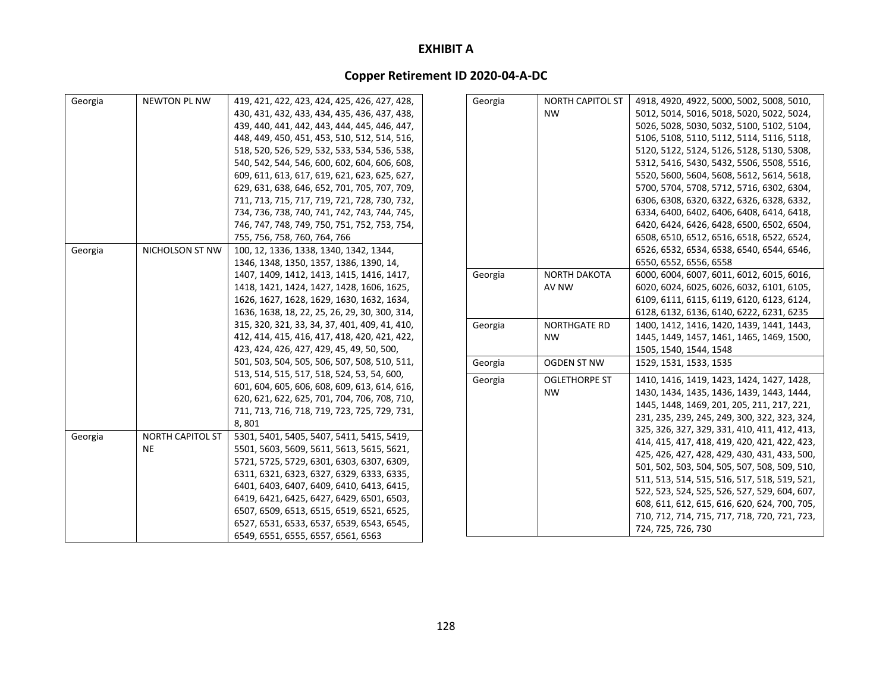| Georgia | <b>NEWTON PL NW</b>     | 419, 421, 422, 423, 424, 425, 426, 427, 428,  | Georgia | <b>NORTH CAPITOL ST</b> | 4918, 4920, 4922, 5000, 5002, 5008, 5010,    |
|---------|-------------------------|-----------------------------------------------|---------|-------------------------|----------------------------------------------|
|         |                         | 430, 431, 432, 433, 434, 435, 436, 437, 438,  |         | <b>NW</b>               | 5012, 5014, 5016, 5018, 5020, 5022, 5024,    |
|         |                         | 439, 440, 441, 442, 443, 444, 445, 446, 447,  |         |                         | 5026, 5028, 5030, 5032, 5100, 5102, 5104,    |
|         |                         | 448, 449, 450, 451, 453, 510, 512, 514, 516,  |         |                         | 5106, 5108, 5110, 5112, 5114, 5116, 5118,    |
|         |                         | 518, 520, 526, 529, 532, 533, 534, 536, 538,  |         |                         | 5120, 5122, 5124, 5126, 5128, 5130, 5308,    |
|         |                         | 540, 542, 544, 546, 600, 602, 604, 606, 608,  |         |                         | 5312, 5416, 5430, 5432, 5506, 5508, 5516,    |
|         |                         | 609, 611, 613, 617, 619, 621, 623, 625, 627,  |         |                         | 5520, 5600, 5604, 5608, 5612, 5614, 5618,    |
|         |                         | 629, 631, 638, 646, 652, 701, 705, 707, 709,  |         |                         | 5700, 5704, 5708, 5712, 5716, 6302, 6304,    |
|         |                         | 711, 713, 715, 717, 719, 721, 728, 730, 732,  |         |                         | 6306, 6308, 6320, 6322, 6326, 6328, 6332,    |
|         |                         | 734, 736, 738, 740, 741, 742, 743, 744, 745,  |         |                         | 6334, 6400, 6402, 6406, 6408, 6414, 6418,    |
|         |                         | 746, 747, 748, 749, 750, 751, 752, 753, 754,  |         |                         | 6420, 6424, 6426, 6428, 6500, 6502, 6504,    |
|         |                         | 755, 756, 758, 760, 764, 766                  |         |                         | 6508, 6510, 6512, 6516, 6518, 6522, 6524,    |
| Georgia | NICHOLSON ST NW         | 100, 12, 1336, 1338, 1340, 1342, 1344,        |         |                         | 6526, 6532, 6534, 6538, 6540, 6544, 6546,    |
|         |                         | 1346, 1348, 1350, 1357, 1386, 1390, 14,       |         |                         | 6550, 6552, 6556, 6558                       |
|         |                         | 1407, 1409, 1412, 1413, 1415, 1416, 1417,     | Georgia | <b>NORTH DAKOTA</b>     | 6000, 6004, 6007, 6011, 6012, 6015, 6016,    |
|         |                         | 1418, 1421, 1424, 1427, 1428, 1606, 1625,     |         | AV NW                   | 6020, 6024, 6025, 6026, 6032, 6101, 6105,    |
|         |                         | 1626, 1627, 1628, 1629, 1630, 1632, 1634,     |         |                         | 6109, 6111, 6115, 6119, 6120, 6123, 6124,    |
|         |                         | 1636, 1638, 18, 22, 25, 26, 29, 30, 300, 314, |         |                         | 6128, 6132, 6136, 6140, 6222, 6231, 6235     |
|         |                         | 315, 320, 321, 33, 34, 37, 401, 409, 41, 410, | Georgia | <b>NORTHGATE RD</b>     | 1400, 1412, 1416, 1420, 1439, 1441, 1443,    |
|         |                         | 412, 414, 415, 416, 417, 418, 420, 421, 422,  |         | <b>NW</b>               | 1445, 1449, 1457, 1461, 1465, 1469, 1500,    |
|         |                         | 423, 424, 426, 427, 429, 45, 49, 50, 500,     |         |                         | 1505, 1540, 1544, 1548                       |
|         |                         | 501, 503, 504, 505, 506, 507, 508, 510, 511,  | Georgia | OGDEN ST NW             | 1529, 1531, 1533, 1535                       |
|         |                         | 513, 514, 515, 517, 518, 524, 53, 54, 600,    |         | <b>OGLETHORPE ST</b>    |                                              |
|         |                         | 601, 604, 605, 606, 608, 609, 613, 614, 616,  | Georgia |                         | 1410, 1416, 1419, 1423, 1424, 1427, 1428,    |
|         |                         | 620, 621, 622, 625, 701, 704, 706, 708, 710,  |         | <b>NW</b>               | 1430, 1434, 1435, 1436, 1439, 1443, 1444,    |
|         |                         | 711, 713, 716, 718, 719, 723, 725, 729, 731,  |         |                         | 1445, 1448, 1469, 201, 205, 211, 217, 221,   |
|         |                         | 8,801                                         |         |                         | 231, 235, 239, 245, 249, 300, 322, 323, 324, |
| Georgia | <b>NORTH CAPITOL ST</b> | 5301, 5401, 5405, 5407, 5411, 5415, 5419,     |         |                         | 325, 326, 327, 329, 331, 410, 411, 412, 413, |
|         | <b>NE</b>               | 5501, 5603, 5609, 5611, 5613, 5615, 5621,     |         |                         | 414, 415, 417, 418, 419, 420, 421, 422, 423, |
|         |                         | 5721, 5725, 5729, 6301, 6303, 6307, 6309,     |         |                         | 425, 426, 427, 428, 429, 430, 431, 433, 500, |
|         |                         | 6311, 6321, 6323, 6327, 6329, 6333, 6335,     |         |                         | 501, 502, 503, 504, 505, 507, 508, 509, 510, |
|         |                         | 6401, 6403, 6407, 6409, 6410, 6413, 6415,     |         |                         | 511, 513, 514, 515, 516, 517, 518, 519, 521, |
|         |                         | 6419, 6421, 6425, 6427, 6429, 6501, 6503,     |         |                         | 522, 523, 524, 525, 526, 527, 529, 604, 607, |
|         |                         | 6507, 6509, 6513, 6515, 6519, 6521, 6525,     |         |                         | 608, 611, 612, 615, 616, 620, 624, 700, 705, |
|         |                         | 6527, 6531, 6533, 6537, 6539, 6543, 6545,     |         |                         | 710, 712, 714, 715, 717, 718, 720, 721, 723, |
|         |                         | 6549, 6551, 6555, 6557, 6561, 6563            |         |                         | 724, 725, 726, 730                           |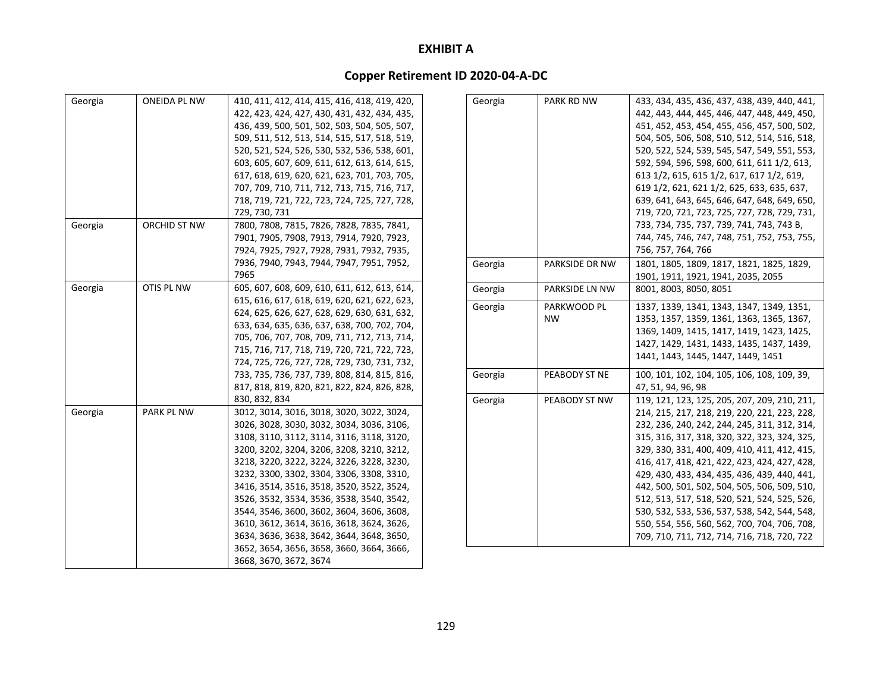| Georgia | <b>ONEIDA PL NW</b> | 410, 411, 412, 414, 415, 416, 418, 419, 420, | G |
|---------|---------------------|----------------------------------------------|---|
|         |                     | 422, 423, 424, 427, 430, 431, 432, 434, 435, |   |
|         |                     | 436, 439, 500, 501, 502, 503, 504, 505, 507, |   |
|         |                     | 509, 511, 512, 513, 514, 515, 517, 518, 519, |   |
|         |                     | 520, 521, 524, 526, 530, 532, 536, 538, 601, |   |
|         |                     | 603, 605, 607, 609, 611, 612, 613, 614, 615, |   |
|         |                     | 617, 618, 619, 620, 621, 623, 701, 703, 705, |   |
|         |                     | 707, 709, 710, 711, 712, 713, 715, 716, 717, |   |
|         |                     | 718, 719, 721, 722, 723, 724, 725, 727, 728, |   |
|         |                     | 729, 730, 731                                |   |
| Georgia | ORCHID ST NW        | 7800, 7808, 7815, 7826, 7828, 7835, 7841,    |   |
|         |                     | 7901, 7905, 7908, 7913, 7914, 7920, 7923,    |   |
|         |                     | 7924, 7925, 7927, 7928, 7931, 7932, 7935,    |   |
|         |                     | 7936, 7940, 7943, 7944, 7947, 7951, 7952,    | G |
|         |                     | 7965                                         |   |
| Georgia | OTIS PL NW          | 605, 607, 608, 609, 610, 611, 612, 613, 614, | G |
|         |                     | 615, 616, 617, 618, 619, 620, 621, 622, 623, |   |
|         |                     | 624, 625, 626, 627, 628, 629, 630, 631, 632, | G |
|         |                     | 633, 634, 635, 636, 637, 638, 700, 702, 704, |   |
|         |                     | 705, 706, 707, 708, 709, 711, 712, 713, 714, |   |
|         |                     | 715, 716, 717, 718, 719, 720, 721, 722, 723, |   |
|         |                     | 724, 725, 726, 727, 728, 729, 730, 731, 732, |   |
|         |                     | 733, 735, 736, 737, 739, 808, 814, 815, 816, | G |
|         |                     | 817, 818, 819, 820, 821, 822, 824, 826, 828, |   |
|         |                     | 830, 832, 834                                | G |
| Georgia | PARK PL NW          | 3012, 3014, 3016, 3018, 3020, 3022, 3024,    |   |
|         |                     | 3026, 3028, 3030, 3032, 3034, 3036, 3106,    |   |
|         |                     | 3108, 3110, 3112, 3114, 3116, 3118, 3120,    |   |
|         |                     | 3200, 3202, 3204, 3206, 3208, 3210, 3212,    |   |
|         |                     | 3218, 3220, 3222, 3224, 3226, 3228, 3230,    |   |
|         |                     | 3232, 3300, 3302, 3304, 3306, 3308, 3310,    |   |
|         |                     | 3416, 3514, 3516, 3518, 3520, 3522, 3524,    |   |
|         |                     | 3526, 3532, 3534, 3536, 3538, 3540, 3542,    |   |
|         |                     | 3544, 3546, 3600, 3602, 3604, 3606, 3608,    |   |
|         |                     | 3610, 3612, 3614, 3616, 3618, 3624, 3626,    |   |
|         |                     | 3634, 3636, 3638, 3642, 3644, 3648, 3650,    |   |
|         |                     | 3652, 3654, 3656, 3658, 3660, 3664, 3666,    |   |
|         |                     | 3668, 3670, 3672, 3674                       |   |
|         |                     |                                              |   |

| Georgia | PARK RD NW               | 433, 434, 435, 436, 437, 438, 439, 440, 441,<br>442, 443, 444, 445, 446, 447, 448, 449, 450,<br>451, 452, 453, 454, 455, 456, 457, 500, 502,<br>504, 505, 506, 508, 510, 512, 514, 516, 518,<br>520, 522, 524, 539, 545, 547, 549, 551, 553,<br>592, 594, 596, 598, 600, 611, 611 1/2, 613,<br>613 1/2, 615, 615 1/2, 617, 617 1/2, 619,<br>619 1/2, 621, 621 1/2, 625, 633, 635, 637,<br>639, 641, 643, 645, 646, 647, 648, 649, 650,<br>719, 720, 721, 723, 725, 727, 728, 729, 731,<br>733, 734, 735, 737, 739, 741, 743, 743 B,<br>744, 745, 746, 747, 748, 751, 752, 753, 755,<br>756, 757, 764, 766 |
|---------|--------------------------|-----------------------------------------------------------------------------------------------------------------------------------------------------------------------------------------------------------------------------------------------------------------------------------------------------------------------------------------------------------------------------------------------------------------------------------------------------------------------------------------------------------------------------------------------------------------------------------------------------------|
| Georgia | PARKSIDE DR NW           | 1801, 1805, 1809, 1817, 1821, 1825, 1829,                                                                                                                                                                                                                                                                                                                                                                                                                                                                                                                                                                 |
|         |                          | 1901, 1911, 1921, 1941, 2035, 2055                                                                                                                                                                                                                                                                                                                                                                                                                                                                                                                                                                        |
| Georgia | PARKSIDE LN NW           | 8001, 8003, 8050, 8051                                                                                                                                                                                                                                                                                                                                                                                                                                                                                                                                                                                    |
| Georgia | PARKWOOD PL<br><b>NW</b> | 1337, 1339, 1341, 1343, 1347, 1349, 1351,<br>1353, 1357, 1359, 1361, 1363, 1365, 1367,<br>1369, 1409, 1415, 1417, 1419, 1423, 1425,<br>1427, 1429, 1431, 1433, 1435, 1437, 1439,<br>1441, 1443, 1445, 1447, 1449, 1451                                                                                                                                                                                                                                                                                                                                                                                    |
| Georgia | PEABODY ST NE            | 100, 101, 102, 104, 105, 106, 108, 109, 39,<br>47, 51, 94, 96, 98                                                                                                                                                                                                                                                                                                                                                                                                                                                                                                                                         |
| Georgia | PEABODY ST NW            | 119, 121, 123, 125, 205, 207, 209, 210, 211,<br>214, 215, 217, 218, 219, 220, 221, 223, 228,<br>232, 236, 240, 242, 244, 245, 311, 312, 314,<br>315, 316, 317, 318, 320, 322, 323, 324, 325,<br>329, 330, 331, 400, 409, 410, 411, 412, 415,<br>416, 417, 418, 421, 422, 423, 424, 427, 428,<br>429, 430, 433, 434, 435, 436, 439, 440, 441,<br>442, 500, 501, 502, 504, 505, 506, 509, 510,<br>512, 513, 517, 518, 520, 521, 524, 525, 526,<br>530, 532, 533, 536, 537, 538, 542, 544, 548,<br>550, 554, 556, 560, 562, 700, 704, 706, 708,<br>709, 710, 711, 712, 714, 716, 718, 720, 722               |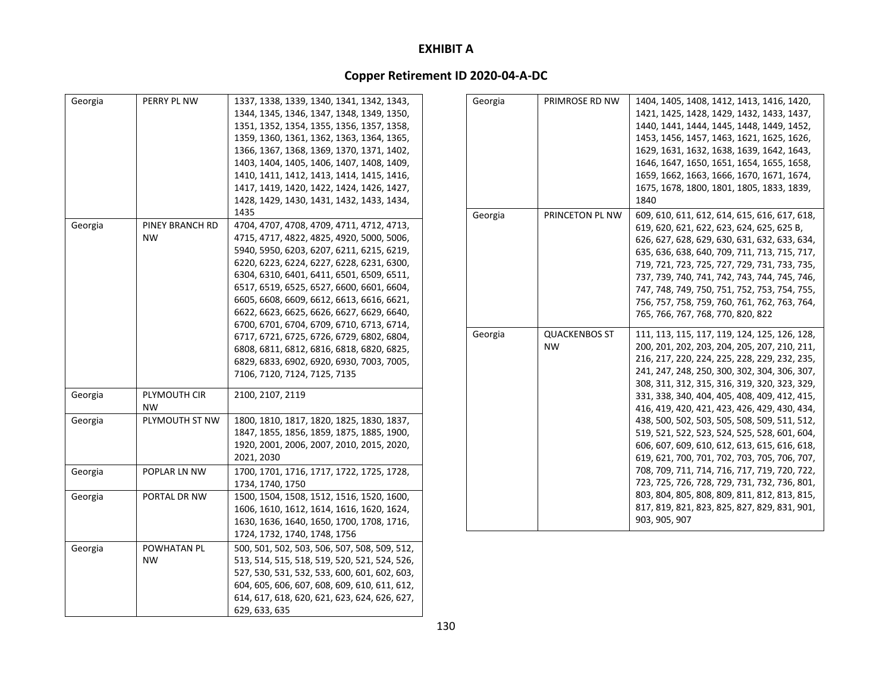| Georgia | PERRY PL NW     | 1337, 1338, 1339, 1340, 1341, 1342, 1343,    |
|---------|-----------------|----------------------------------------------|
|         |                 | 1344, 1345, 1346, 1347, 1348, 1349, 1350,    |
|         |                 | 1351, 1352, 1354, 1355, 1356, 1357, 1358,    |
|         |                 | 1359, 1360, 1361, 1362, 1363, 1364, 1365,    |
|         |                 | 1366, 1367, 1368, 1369, 1370, 1371, 1402,    |
|         |                 | 1403, 1404, 1405, 1406, 1407, 1408, 1409,    |
|         |                 | 1410, 1411, 1412, 1413, 1414, 1415, 1416,    |
|         |                 | 1417, 1419, 1420, 1422, 1424, 1426, 1427,    |
|         |                 | 1428, 1429, 1430, 1431, 1432, 1433, 1434,    |
|         |                 | 1435                                         |
| Georgia | PINEY BRANCH RD | 4704, 4707, 4708, 4709, 4711, 4712, 4713,    |
|         | <b>NW</b>       | 4715, 4717, 4822, 4825, 4920, 5000, 5006,    |
|         |                 | 5940, 5950, 6203, 6207, 6211, 6215, 6219,    |
|         |                 | 6220, 6223, 6224, 6227, 6228, 6231, 6300,    |
|         |                 | 6304, 6310, 6401, 6411, 6501, 6509, 6511,    |
|         |                 | 6517, 6519, 6525, 6527, 6600, 6601, 6604,    |
|         |                 | 6605, 6608, 6609, 6612, 6613, 6616, 6621,    |
|         |                 | 6622, 6623, 6625, 6626, 6627, 6629, 6640,    |
|         |                 | 6700, 6701, 6704, 6709, 6710, 6713, 6714,    |
|         |                 | 6717, 6721, 6725, 6726, 6729, 6802, 6804,    |
|         |                 | 6808, 6811, 6812, 6816, 6818, 6820, 6825,    |
|         |                 | 6829, 6833, 6902, 6920, 6930, 7003, 7005,    |
|         |                 | 7106, 7120, 7124, 7125, 7135                 |
|         |                 |                                              |
| Georgia | PLYMOUTH CIR    | 2100, 2107, 2119                             |
|         | NW              |                                              |
| Georgia | PLYMOUTH ST NW  | 1800, 1810, 1817, 1820, 1825, 1830, 1837,    |
|         |                 | 1847, 1855, 1856, 1859, 1875, 1885, 1900,    |
|         |                 | 1920, 2001, 2006, 2007, 2010, 2015, 2020,    |
|         |                 | 2021, 2030                                   |
| Georgia | POPLAR LN NW    | 1700, 1701, 1716, 1717, 1722, 1725, 1728,    |
|         |                 | 1734, 1740, 1750                             |
| Georgia | PORTAL DR NW    | 1500, 1504, 1508, 1512, 1516, 1520, 1600,    |
|         |                 | 1606, 1610, 1612, 1614, 1616, 1620, 1624,    |
|         |                 | 1630, 1636, 1640, 1650, 1700, 1708, 1716,    |
|         |                 | 1724, 1732, 1740, 1748, 1756                 |
| Georgia | POWHATAN PL     | 500, 501, 502, 503, 506, 507, 508, 509, 512, |
|         | NW              | 513, 514, 515, 518, 519, 520, 521, 524, 526, |
|         |                 | 527, 530, 531, 532, 533, 600, 601, 602, 603, |
|         |                 | 604, 605, 606, 607, 608, 609, 610, 611, 612, |
|         |                 | 614, 617, 618, 620, 621, 623, 624, 626, 627, |
|         |                 | 629, 633, 635                                |
|         |                 |                                              |

| Georgia | PRIMROSE RD NW                    | 1404, 1405, 1408, 1412, 1413, 1416, 1420,<br>1421, 1425, 1428, 1429, 1432, 1433, 1437,<br>1440, 1441, 1444, 1445, 1448, 1449, 1452,<br>1453, 1456, 1457, 1463, 1621, 1625, 1626,<br>1629, 1631, 1632, 1638, 1639, 1642, 1643,<br>1646, 1647, 1650, 1651, 1654, 1655, 1658,<br>1659, 1662, 1663, 1666, 1670, 1671, 1674,<br>1675, 1678, 1800, 1801, 1805, 1833, 1839,<br>1840                                                                                                                                                                                                                                                                                                                                                                                  |
|---------|-----------------------------------|---------------------------------------------------------------------------------------------------------------------------------------------------------------------------------------------------------------------------------------------------------------------------------------------------------------------------------------------------------------------------------------------------------------------------------------------------------------------------------------------------------------------------------------------------------------------------------------------------------------------------------------------------------------------------------------------------------------------------------------------------------------|
| Georgia | PRINCETON PL NW                   | 609, 610, 611, 612, 614, 615, 616, 617, 618,<br>619, 620, 621, 622, 623, 624, 625, 625 B,<br>626, 627, 628, 629, 630, 631, 632, 633, 634,<br>635, 636, 638, 640, 709, 711, 713, 715, 717,<br>719, 721, 723, 725, 727, 729, 731, 733, 735,<br>737, 739, 740, 741, 742, 743, 744, 745, 746,<br>747, 748, 749, 750, 751, 752, 753, 754, 755,<br>756, 757, 758, 759, 760, 761, 762, 763, 764,<br>765, 766, 767, 768, 770, 820, 822                                                                                                                                                                                                                                                                                                                                |
| Georgia | <b>QUACKENBOS ST</b><br><b>NW</b> | 111, 113, 115, 117, 119, 124, 125, 126, 128,<br>200, 201, 202, 203, 204, 205, 207, 210, 211,<br>216, 217, 220, 224, 225, 228, 229, 232, 235,<br>241, 247, 248, 250, 300, 302, 304, 306, 307,<br>308, 311, 312, 315, 316, 319, 320, 323, 329,<br>331, 338, 340, 404, 405, 408, 409, 412, 415,<br>416, 419, 420, 421, 423, 426, 429, 430, 434,<br>438, 500, 502, 503, 505, 508, 509, 511, 512,<br>519, 521, 522, 523, 524, 525, 528, 601, 604,<br>606, 607, 609, 610, 612, 613, 615, 616, 618,<br>619, 621, 700, 701, 702, 703, 705, 706, 707,<br>708, 709, 711, 714, 716, 717, 719, 720, 722,<br>723, 725, 726, 728, 729, 731, 732, 736, 801,<br>803, 804, 805, 808, 809, 811, 812, 813, 815,<br>817, 819, 821, 823, 825, 827, 829, 831, 901,<br>903, 905, 907 |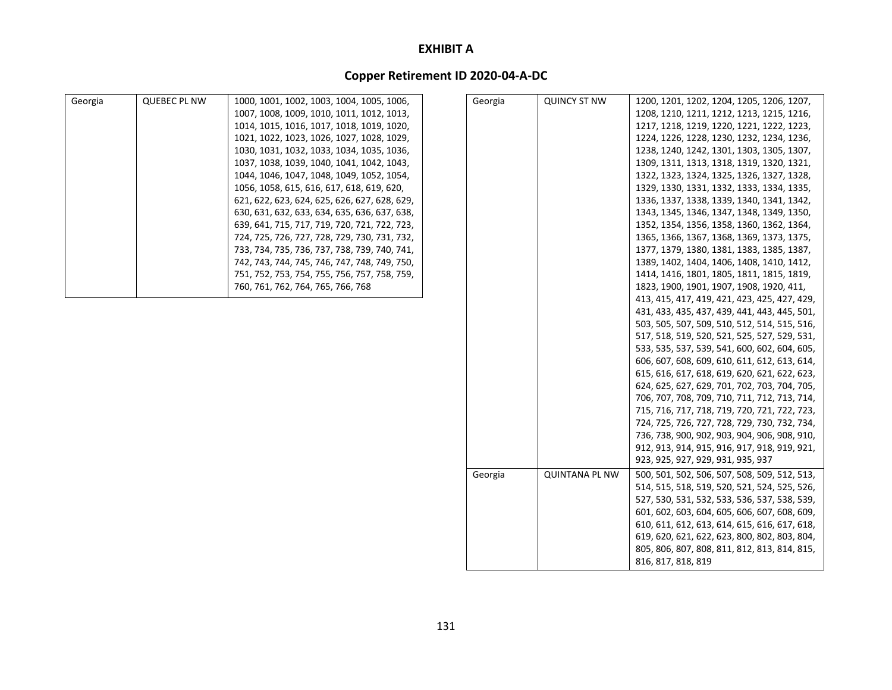| Georgia | <b>QUEBEC PL NW</b> | 1000, 1001, 1002, 1003, 1004, 1005, 1006,    | Georgia | <b>QUINCY ST NW</b>   | 1200, 1201, 1202, 1204, 1205, 1206, 1207,    |
|---------|---------------------|----------------------------------------------|---------|-----------------------|----------------------------------------------|
|         |                     | 1007, 1008, 1009, 1010, 1011, 1012, 1013,    |         |                       | 1208, 1210, 1211, 1212, 1213, 1215, 1216,    |
|         |                     | 1014, 1015, 1016, 1017, 1018, 1019, 1020,    |         |                       | 1217, 1218, 1219, 1220, 1221, 1222, 1223,    |
|         |                     | 1021, 1022, 1023, 1026, 1027, 1028, 1029,    |         |                       | 1224, 1226, 1228, 1230, 1232, 1234, 1236,    |
|         |                     | 1030, 1031, 1032, 1033, 1034, 1035, 1036,    |         |                       | 1238, 1240, 1242, 1301, 1303, 1305, 1307,    |
|         |                     | 1037, 1038, 1039, 1040, 1041, 1042, 1043,    |         |                       | 1309, 1311, 1313, 1318, 1319, 1320, 1321,    |
|         |                     | 1044, 1046, 1047, 1048, 1049, 1052, 1054,    |         |                       | 1322, 1323, 1324, 1325, 1326, 1327, 1328,    |
|         |                     | 1056, 1058, 615, 616, 617, 618, 619, 620,    |         |                       | 1329, 1330, 1331, 1332, 1333, 1334, 1335,    |
|         |                     | 621, 622, 623, 624, 625, 626, 627, 628, 629, |         |                       | 1336, 1337, 1338, 1339, 1340, 1341, 1342,    |
|         |                     | 630, 631, 632, 633, 634, 635, 636, 637, 638, |         |                       | 1343, 1345, 1346, 1347, 1348, 1349, 1350,    |
|         |                     | 639, 641, 715, 717, 719, 720, 721, 722, 723, |         |                       | 1352, 1354, 1356, 1358, 1360, 1362, 1364,    |
|         |                     | 724, 725, 726, 727, 728, 729, 730, 731, 732, |         |                       | 1365, 1366, 1367, 1368, 1369, 1373, 1375,    |
|         |                     | 733, 734, 735, 736, 737, 738, 739, 740, 741, |         |                       | 1377, 1379, 1380, 1381, 1383, 1385, 1387,    |
|         |                     | 742, 743, 744, 745, 746, 747, 748, 749, 750, |         |                       | 1389, 1402, 1404, 1406, 1408, 1410, 1412,    |
|         |                     | 751, 752, 753, 754, 755, 756, 757, 758, 759, |         |                       | 1414, 1416, 1801, 1805, 1811, 1815, 1819,    |
|         |                     | 760, 761, 762, 764, 765, 766, 768            |         |                       | 1823, 1900, 1901, 1907, 1908, 1920, 411,     |
|         |                     |                                              |         |                       | 413, 415, 417, 419, 421, 423, 425, 427, 429, |
|         |                     |                                              |         |                       | 431, 433, 435, 437, 439, 441, 443, 445, 501, |
|         |                     |                                              |         |                       | 503, 505, 507, 509, 510, 512, 514, 515, 516, |
|         |                     |                                              |         |                       | 517, 518, 519, 520, 521, 525, 527, 529, 531, |
|         |                     |                                              |         |                       | 533, 535, 537, 539, 541, 600, 602, 604, 605, |
|         |                     |                                              |         |                       | 606, 607, 608, 609, 610, 611, 612, 613, 614, |
|         |                     |                                              |         |                       | 615, 616, 617, 618, 619, 620, 621, 622, 623, |
|         |                     |                                              |         |                       | 624, 625, 627, 629, 701, 702, 703, 704, 705, |
|         |                     |                                              |         |                       | 706, 707, 708, 709, 710, 711, 712, 713, 714, |
|         |                     |                                              |         |                       | 715, 716, 717, 718, 719, 720, 721, 722, 723, |
|         |                     |                                              |         |                       | 724, 725, 726, 727, 728, 729, 730, 732, 734, |
|         |                     |                                              |         |                       | 736, 738, 900, 902, 903, 904, 906, 908, 910, |
|         |                     |                                              |         |                       | 912, 913, 914, 915, 916, 917, 918, 919, 921, |
|         |                     |                                              |         |                       | 923, 925, 927, 929, 931, 935, 937            |
|         |                     |                                              | Georgia | <b>QUINTANA PL NW</b> | 500, 501, 502, 506, 507, 508, 509, 512, 513, |
|         |                     |                                              |         |                       | 514, 515, 518, 519, 520, 521, 524, 525, 526, |
|         |                     |                                              |         |                       | 527, 530, 531, 532, 533, 536, 537, 538, 539, |
|         |                     |                                              |         |                       | 601, 602, 603, 604, 605, 606, 607, 608, 609, |
|         |                     |                                              |         |                       | 610, 611, 612, 613, 614, 615, 616, 617, 618, |
|         |                     |                                              |         |                       | 619, 620, 621, 622, 623, 800, 802, 803, 804, |
|         |                     |                                              |         |                       | 805, 806, 807, 808, 811, 812, 813, 814, 815, |
|         |                     |                                              |         |                       | 816, 817, 818, 819                           |
|         |                     |                                              |         |                       |                                              |
|         |                     |                                              |         |                       |                                              |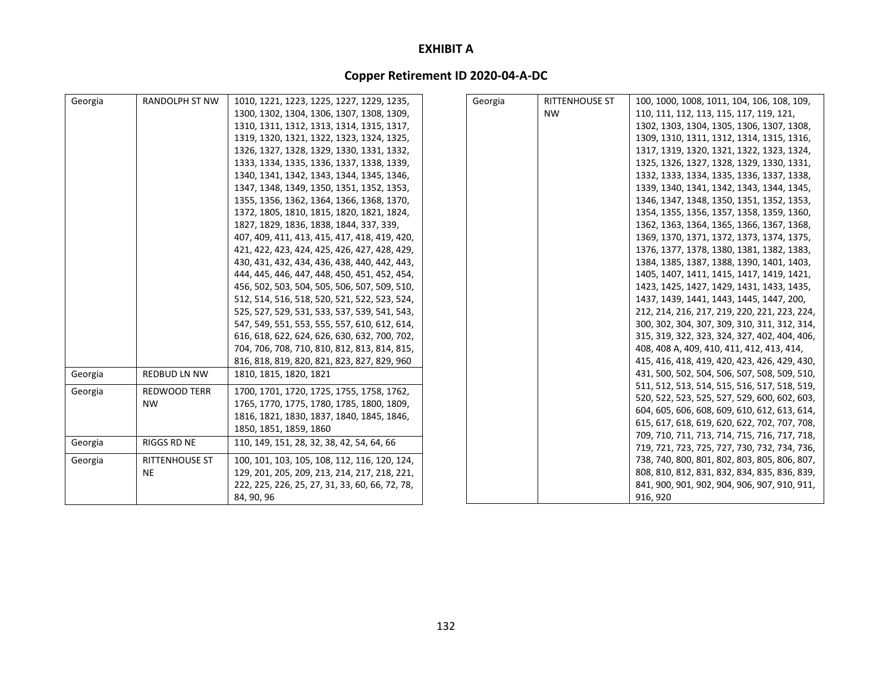| Georgia | <b>RANDOLPH ST NW</b>       | 1010, 1221, 1223, 1225, 1227, 1229, 1235,      | Georgia | <b>RITTENHOUSE ST</b> | 100, 1000, 1008, 1011, 104, 106, 108, 109,                                                   |
|---------|-----------------------------|------------------------------------------------|---------|-----------------------|----------------------------------------------------------------------------------------------|
|         |                             | 1300, 1302, 1304, 1306, 1307, 1308, 1309,      |         | NW                    | 110, 111, 112, 113, 115, 117, 119, 121,                                                      |
|         |                             | 1310, 1311, 1312, 1313, 1314, 1315, 1317,      |         |                       | 1302, 1303, 1304, 1305, 1306, 1307, 1308,                                                    |
|         |                             | 1319, 1320, 1321, 1322, 1323, 1324, 1325,      |         |                       | 1309, 1310, 1311, 1312, 1314, 1315, 1316,                                                    |
|         |                             | 1326, 1327, 1328, 1329, 1330, 1331, 1332,      |         |                       | 1317, 1319, 1320, 1321, 1322, 1323, 1324,                                                    |
|         |                             | 1333, 1334, 1335, 1336, 1337, 1338, 1339,      |         |                       | 1325, 1326, 1327, 1328, 1329, 1330, 1331,                                                    |
|         |                             | 1340, 1341, 1342, 1343, 1344, 1345, 1346,      |         |                       | 1332, 1333, 1334, 1335, 1336, 1337, 1338,                                                    |
|         |                             | 1347, 1348, 1349, 1350, 1351, 1352, 1353,      |         |                       | 1339, 1340, 1341, 1342, 1343, 1344, 1345,                                                    |
|         |                             | 1355, 1356, 1362, 1364, 1366, 1368, 1370,      |         |                       | 1346, 1347, 1348, 1350, 1351, 1352, 1353,                                                    |
|         |                             | 1372, 1805, 1810, 1815, 1820, 1821, 1824,      |         |                       | 1354, 1355, 1356, 1357, 1358, 1359, 1360,                                                    |
|         |                             | 1827, 1829, 1836, 1838, 1844, 337, 339,        |         |                       | 1362, 1363, 1364, 1365, 1366, 1367, 1368,                                                    |
|         |                             | 407, 409, 411, 413, 415, 417, 418, 419, 420,   |         |                       | 1369, 1370, 1371, 1372, 1373, 1374, 1375,                                                    |
|         |                             | 421, 422, 423, 424, 425, 426, 427, 428, 429,   |         |                       | 1376, 1377, 1378, 1380, 1381, 1382, 1383,                                                    |
|         |                             | 430, 431, 432, 434, 436, 438, 440, 442, 443,   |         |                       | 1384, 1385, 1387, 1388, 1390, 1401, 1403,                                                    |
|         |                             | 444, 445, 446, 447, 448, 450, 451, 452, 454,   |         |                       | 1405, 1407, 1411, 1415, 1417, 1419, 1421,                                                    |
|         |                             | 456, 502, 503, 504, 505, 506, 507, 509, 510,   |         |                       | 1423, 1425, 1427, 1429, 1431, 1433, 1435,                                                    |
|         |                             | 512, 514, 516, 518, 520, 521, 522, 523, 524,   |         |                       | 1437, 1439, 1441, 1443, 1445, 1447, 200,                                                     |
|         |                             | 525, 527, 529, 531, 533, 537, 539, 541, 543,   |         |                       | 212, 214, 216, 217, 219, 220, 221, 223, 224,                                                 |
|         |                             | 547, 549, 551, 553, 555, 557, 610, 612, 614,   |         |                       | 300, 302, 304, 307, 309, 310, 311, 312, 314,                                                 |
|         |                             | 616, 618, 622, 624, 626, 630, 632, 700, 702,   |         |                       | 315, 319, 322, 323, 324, 327, 402, 404, 406,                                                 |
|         |                             | 704, 706, 708, 710, 810, 812, 813, 814, 815,   |         |                       | 408, 408 A, 409, 410, 411, 412, 413, 414,                                                    |
|         |                             | 816, 818, 819, 820, 821, 823, 827, 829, 960    |         |                       | 415, 416, 418, 419, 420, 423, 426, 429, 430,                                                 |
| Georgia | <b>REDBUD LN NW</b>         | 1810. 1815. 1820. 1821                         |         |                       | 431, 500, 502, 504, 506, 507, 508, 509, 510,                                                 |
| Georgia | <b>REDWOOD TERR</b>         | 1700, 1701, 1720, 1725, 1755, 1758, 1762,      |         |                       | 511, 512, 513, 514, 515, 516, 517, 518, 519,                                                 |
|         | <b>NW</b>                   | 1765, 1770, 1775, 1780, 1785, 1800, 1809,      |         |                       | 520, 522, 523, 525, 527, 529, 600, 602, 603,                                                 |
|         |                             | 1816, 1821, 1830, 1837, 1840, 1845, 1846,      |         |                       | 604, 605, 606, 608, 609, 610, 612, 613, 614,                                                 |
|         |                             | 1850, 1851, 1859, 1860                         |         |                       | 615, 617, 618, 619, 620, 622, 702, 707, 708,                                                 |
| Georgia | <b>RIGGS RD NE</b>          | 110, 149, 151, 28, 32, 38, 42, 54, 64, 66      |         |                       | 709, 710, 711, 713, 714, 715, 716, 717, 718,                                                 |
|         |                             |                                                |         |                       | 719, 721, 723, 725, 727, 730, 732, 734, 736,                                                 |
| Georgia | RITTENHOUSE ST<br><b>NE</b> | 100, 101, 103, 105, 108, 112, 116, 120, 124,   |         |                       | 738, 740, 800, 801, 802, 803, 805, 806, 807,                                                 |
|         |                             | 129, 201, 205, 209, 213, 214, 217, 218, 221,   |         |                       | 808, 810, 812, 831, 832, 834, 835, 836, 839,<br>841, 900, 901, 902, 904, 906, 907, 910, 911, |
|         |                             | 222, 225, 226, 25, 27, 31, 33, 60, 66, 72, 78, |         |                       |                                                                                              |
|         |                             | 84, 90, 96                                     |         |                       | 916, 920                                                                                     |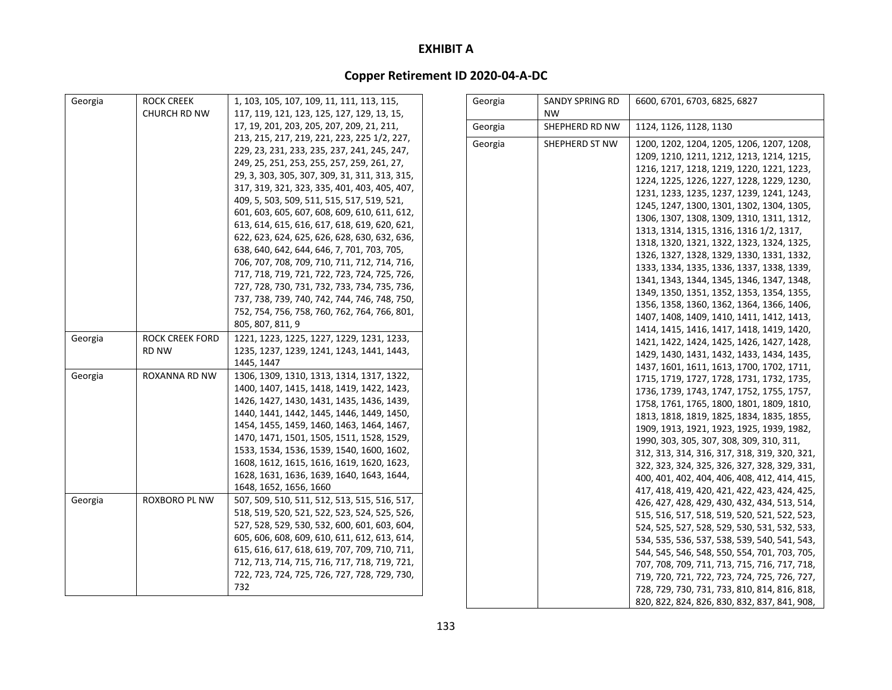| Georgia | <b>ROCK CREEK</b>   | 1, 103, 105, 107, 109, 11, 111, 113, 115,     | Georgia | <b>SANDY SPRING RD</b> | 6600, 6701, 6703, 6825, 6827                                                                 |
|---------|---------------------|-----------------------------------------------|---------|------------------------|----------------------------------------------------------------------------------------------|
|         | <b>CHURCH RD NW</b> | 117, 119, 121, 123, 125, 127, 129, 13, 15,    |         | <b>NW</b>              |                                                                                              |
|         |                     | 17, 19, 201, 203, 205, 207, 209, 21, 211,     | Georgia | SHEPHERD RD NW         | 1124, 1126, 1128, 1130                                                                       |
|         |                     | 213, 215, 217, 219, 221, 223, 225 1/2, 227,   | Georgia | SHEPHERD ST NW         | 1200, 1202, 1204, 1205, 1206, 1207, 1208,                                                    |
|         |                     | 229, 23, 231, 233, 235, 237, 241, 245, 247,   |         |                        | 1209, 1210, 1211, 1212, 1213, 1214, 1215,                                                    |
|         |                     | 249, 25, 251, 253, 255, 257, 259, 261, 27,    |         |                        | 1216, 1217, 1218, 1219, 1220, 1221, 1223,                                                    |
|         |                     | 29, 3, 303, 305, 307, 309, 31, 311, 313, 315, |         |                        | 1224, 1225, 1226, 1227, 1228, 1229, 1230,                                                    |
|         |                     | 317, 319, 321, 323, 335, 401, 403, 405, 407,  |         |                        | 1231, 1233, 1235, 1237, 1239, 1241, 1243,                                                    |
|         |                     | 409, 5, 503, 509, 511, 515, 517, 519, 521,    |         |                        | 1245, 1247, 1300, 1301, 1302, 1304, 1305,                                                    |
|         |                     | 601, 603, 605, 607, 608, 609, 610, 611, 612,  |         |                        | 1306, 1307, 1308, 1309, 1310, 1311, 1312,                                                    |
|         |                     | 613, 614, 615, 616, 617, 618, 619, 620, 621,  |         |                        | 1313, 1314, 1315, 1316, 1316 1/2, 1317,                                                      |
|         |                     | 622, 623, 624, 625, 626, 628, 630, 632, 636,  |         |                        | 1318, 1320, 1321, 1322, 1323, 1324, 1325,                                                    |
|         |                     | 638, 640, 642, 644, 646, 7, 701, 703, 705,    |         |                        | 1326, 1327, 1328, 1329, 1330, 1331, 1332,                                                    |
|         |                     | 706, 707, 708, 709, 710, 711, 712, 714, 716,  |         |                        | 1333, 1334, 1335, 1336, 1337, 1338, 1339,                                                    |
|         |                     | 717, 718, 719, 721, 722, 723, 724, 725, 726,  |         |                        | 1341, 1343, 1344, 1345, 1346, 1347, 1348,                                                    |
|         |                     | 727, 728, 730, 731, 732, 733, 734, 735, 736,  |         |                        | 1349, 1350, 1351, 1352, 1353, 1354, 1355,                                                    |
|         |                     | 737, 738, 739, 740, 742, 744, 746, 748, 750,  |         |                        | 1356, 1358, 1360, 1362, 1364, 1366, 1406,                                                    |
|         |                     | 752, 754, 756, 758, 760, 762, 764, 766, 801,  |         |                        | 1407, 1408, 1409, 1410, 1411, 1412, 1413,                                                    |
|         |                     | 805, 807, 811, 9                              |         |                        | 1414, 1415, 1416, 1417, 1418, 1419, 1420,                                                    |
| Georgia | ROCK CREEK FORD     | 1221, 1223, 1225, 1227, 1229, 1231, 1233,     |         |                        | 1421, 1422, 1424, 1425, 1426, 1427, 1428,                                                    |
|         | <b>RD NW</b>        | 1235, 1237, 1239, 1241, 1243, 1441, 1443,     |         |                        | 1429, 1430, 1431, 1432, 1433, 1434, 1435,                                                    |
|         |                     | 1445, 1447                                    |         |                        | 1437, 1601, 1611, 1613, 1700, 1702, 1711,                                                    |
| Georgia | ROXANNA RD NW       | 1306, 1309, 1310, 1313, 1314, 1317, 1322,     |         |                        | 1715, 1719, 1727, 1728, 1731, 1732, 1735,                                                    |
|         |                     | 1400, 1407, 1415, 1418, 1419, 1422, 1423,     |         |                        | 1736, 1739, 1743, 1747, 1752, 1755, 1757,                                                    |
|         |                     | 1426, 1427, 1430, 1431, 1435, 1436, 1439,     |         |                        | 1758, 1761, 1765, 1800, 1801, 1809, 1810,                                                    |
|         |                     | 1440, 1441, 1442, 1445, 1446, 1449, 1450,     |         |                        | 1813, 1818, 1819, 1825, 1834, 1835, 1855,                                                    |
|         |                     | 1454, 1455, 1459, 1460, 1463, 1464, 1467,     |         |                        | 1909, 1913, 1921, 1923, 1925, 1939, 1982,                                                    |
|         |                     | 1470, 1471, 1501, 1505, 1511, 1528, 1529,     |         |                        | 1990, 303, 305, 307, 308, 309, 310, 311,                                                     |
|         |                     | 1533, 1534, 1536, 1539, 1540, 1600, 1602,     |         |                        | 312, 313, 314, 316, 317, 318, 319, 320, 321,                                                 |
|         |                     | 1608, 1612, 1615, 1616, 1619, 1620, 1623,     |         |                        | 322, 323, 324, 325, 326, 327, 328, 329, 331,                                                 |
|         |                     | 1628, 1631, 1636, 1639, 1640, 1643, 1644,     |         |                        | 400, 401, 402, 404, 406, 408, 412, 414, 415,                                                 |
|         |                     | 1648, 1652, 1656, 1660                        |         |                        | 417, 418, 419, 420, 421, 422, 423, 424, 425,                                                 |
| Georgia | ROXBORO PL NW       | 507, 509, 510, 511, 512, 513, 515, 516, 517,  |         |                        | 426, 427, 428, 429, 430, 432, 434, 513, 514,                                                 |
|         |                     | 518, 519, 520, 521, 522, 523, 524, 525, 526,  |         |                        | 515, 516, 517, 518, 519, 520, 521, 522, 523,                                                 |
|         |                     | 527, 528, 529, 530, 532, 600, 601, 603, 604,  |         |                        |                                                                                              |
|         |                     | 605, 606, 608, 609, 610, 611, 612, 613, 614,  |         |                        | 524, 525, 527, 528, 529, 530, 531, 532, 533,<br>534, 535, 536, 537, 538, 539, 540, 541, 543, |
|         |                     | 615, 616, 617, 618, 619, 707, 709, 710, 711,  |         |                        |                                                                                              |
|         |                     | 712, 713, 714, 715, 716, 717, 718, 719, 721,  |         |                        | 544, 545, 546, 548, 550, 554, 701, 703, 705,                                                 |
|         |                     | 722, 723, 724, 725, 726, 727, 728, 729, 730,  |         |                        | 707, 708, 709, 711, 713, 715, 716, 717, 718,                                                 |
|         |                     | 732                                           |         |                        | 719, 720, 721, 722, 723, 724, 725, 726, 727,                                                 |
|         |                     |                                               |         |                        | 728, 729, 730, 731, 733, 810, 814, 816, 818,                                                 |
|         |                     |                                               |         |                        | 820, 822, 824, 826, 830, 832, 837, 841, 908,                                                 |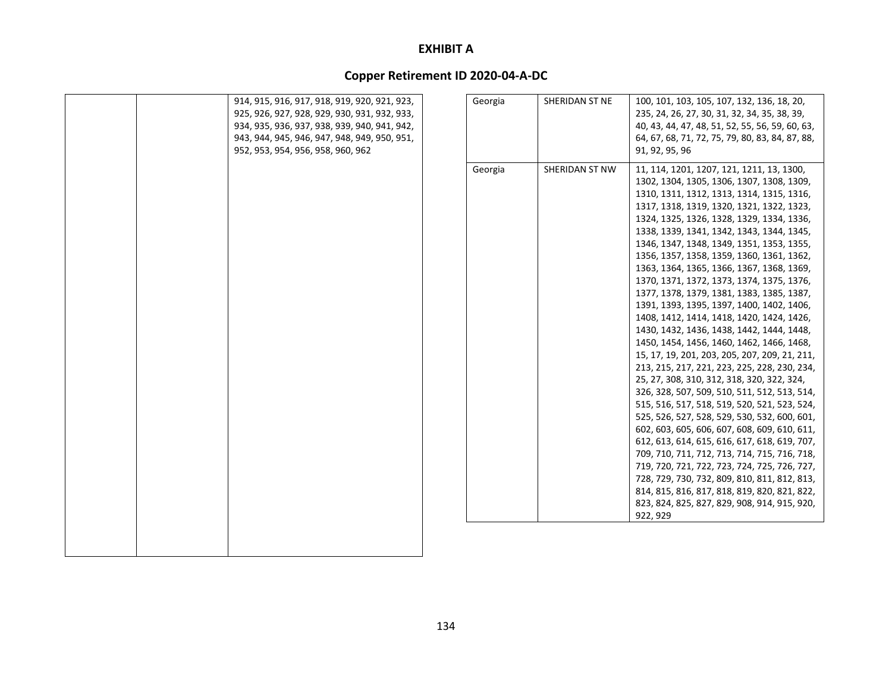|  | 914, 915, 916, 917, 918, 919, 920, 921, 923,<br>925, 926, 927, 928, 929, 930, 931, 932, 933,<br>934, 935, 936, 937, 938, 939, 940, 941, 942,<br>943, 944, 945, 946, 947, 948, 949, 950, 951,<br>952, 953, 954, 956, 958, 960, 962 | Georgia | SHERIDAN ST NE | 100, 101, 103, 105, 107, 132, 136, 18, 20,<br>235, 24, 26, 27, 30, 31, 32, 34, 35, 38, 39,<br>40, 43, 44, 47, 48, 51, 52, 55, 56, 59, 60, 63,<br>64, 67, 68, 71, 72, 75, 79, 80, 83, 84, 87, 88,<br>91, 92, 95, 96                                                                                                                                                                                                                                                                                                                                                                                                                                                                                                                                                                                                                                                                                                                                                                                                                                                                                                                                                                                                                                                                                                                                         |
|--|-----------------------------------------------------------------------------------------------------------------------------------------------------------------------------------------------------------------------------------|---------|----------------|------------------------------------------------------------------------------------------------------------------------------------------------------------------------------------------------------------------------------------------------------------------------------------------------------------------------------------------------------------------------------------------------------------------------------------------------------------------------------------------------------------------------------------------------------------------------------------------------------------------------------------------------------------------------------------------------------------------------------------------------------------------------------------------------------------------------------------------------------------------------------------------------------------------------------------------------------------------------------------------------------------------------------------------------------------------------------------------------------------------------------------------------------------------------------------------------------------------------------------------------------------------------------------------------------------------------------------------------------------|
|  |                                                                                                                                                                                                                                   | Georgia | SHERIDAN ST NW | 11, 114, 1201, 1207, 121, 1211, 13, 1300,<br>1302, 1304, 1305, 1306, 1307, 1308, 1309,<br>1310, 1311, 1312, 1313, 1314, 1315, 1316,<br>1317, 1318, 1319, 1320, 1321, 1322, 1323,<br>1324, 1325, 1326, 1328, 1329, 1334, 1336,<br>1338, 1339, 1341, 1342, 1343, 1344, 1345,<br>1346, 1347, 1348, 1349, 1351, 1353, 1355,<br>1356, 1357, 1358, 1359, 1360, 1361, 1362,<br>1363, 1364, 1365, 1366, 1367, 1368, 1369,<br>1370, 1371, 1372, 1373, 1374, 1375, 1376,<br>1377, 1378, 1379, 1381, 1383, 1385, 1387,<br>1391, 1393, 1395, 1397, 1400, 1402, 1406,<br>1408, 1412, 1414, 1418, 1420, 1424, 1426,<br>1430, 1432, 1436, 1438, 1442, 1444, 1448,<br>1450, 1454, 1456, 1460, 1462, 1466, 1468,<br>15, 17, 19, 201, 203, 205, 207, 209, 21, 211,<br>213, 215, 217, 221, 223, 225, 228, 230, 234,<br>25, 27, 308, 310, 312, 318, 320, 322, 324,<br>326, 328, 507, 509, 510, 511, 512, 513, 514,<br>515, 516, 517, 518, 519, 520, 521, 523, 524,<br>525, 526, 527, 528, 529, 530, 532, 600, 601,<br>602, 603, 605, 606, 607, 608, 609, 610, 611,<br>612, 613, 614, 615, 616, 617, 618, 619, 707,<br>709, 710, 711, 712, 713, 714, 715, 716, 718,<br>719, 720, 721, 722, 723, 724, 725, 726, 727,<br>728, 729, 730, 732, 809, 810, 811, 812, 813,<br>814, 815, 816, 817, 818, 819, 820, 821, 822,<br>823, 824, 825, 827, 829, 908, 914, 915, 920,<br>922, 929 |
|  |                                                                                                                                                                                                                                   |         |                |                                                                                                                                                                                                                                                                                                                                                                                                                                                                                                                                                                                                                                                                                                                                                                                                                                                                                                                                                                                                                                                                                                                                                                                                                                                                                                                                                            |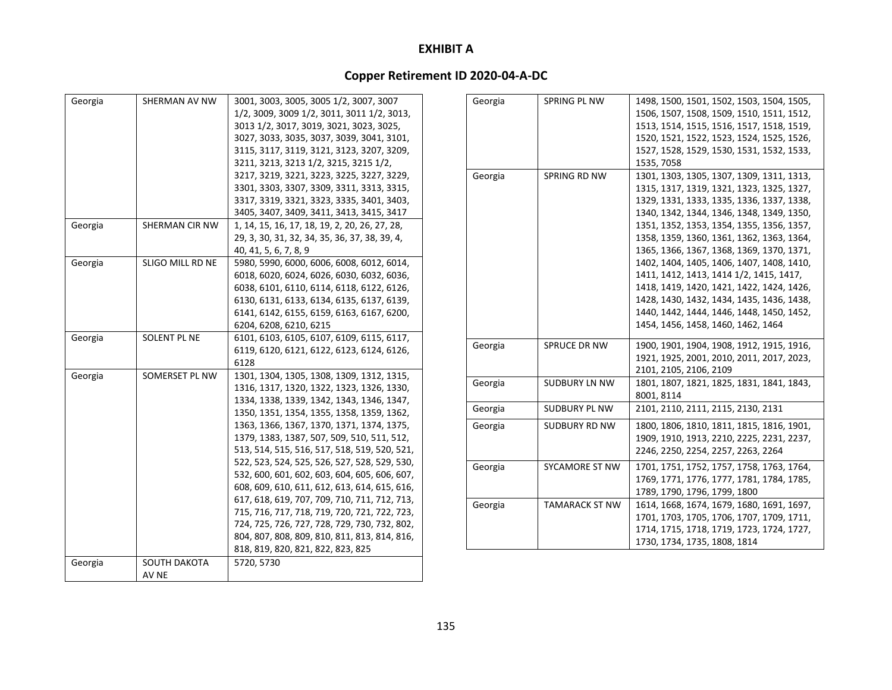| Georgia | SHERMAN AV NW                | 3001, 3003, 3005, 3005 1/2, 3007, 3007<br>1/2, 3009, 3009 1/2, 3011, 3011 1/2, 3013,<br>3013 1/2, 3017, 3019, 3021, 3023, 3025,<br>3027, 3033, 3035, 3037, 3039, 3041, 3101,<br>3115, 3117, 3119, 3121, 3123, 3207, 3209,<br>3211, 3213, 3213 1/2, 3215, 3215 1/2,<br>3217, 3219, 3221, 3223, 3225, 3227, 3229,<br>3301, 3303, 3307, 3309, 3311, 3313, 3315,<br>3317, 3319, 3321, 3323, 3335, 3401, 3403,<br>3405, 3407, 3409, 3411, 3413, 3415, 3417                                                                                                                                                                                                                                                            |
|---------|------------------------------|------------------------------------------------------------------------------------------------------------------------------------------------------------------------------------------------------------------------------------------------------------------------------------------------------------------------------------------------------------------------------------------------------------------------------------------------------------------------------------------------------------------------------------------------------------------------------------------------------------------------------------------------------------------------------------------------------------------|
| Georgia | SHERMAN CIR NW               | 1, 14, 15, 16, 17, 18, 19, 2, 20, 26, 27, 28,<br>29, 3, 30, 31, 32, 34, 35, 36, 37, 38, 39, 4,<br>40, 41, 5, 6, 7, 8, 9                                                                                                                                                                                                                                                                                                                                                                                                                                                                                                                                                                                          |
| Georgia | SLIGO MILL RD NE             | 5980, 5990, 6000, 6006, 6008, 6012, 6014,<br>6018, 6020, 6024, 6026, 6030, 6032, 6036,<br>6038, 6101, 6110, 6114, 6118, 6122, 6126,<br>6130, 6131, 6133, 6134, 6135, 6137, 6139,<br>6141, 6142, 6155, 6159, 6163, 6167, 6200,<br>6204, 6208, 6210, 6215                                                                                                                                                                                                                                                                                                                                                                                                                                                          |
| Georgia | SOLENT PL NE                 | 6101, 6103, 6105, 6107, 6109, 6115, 6117,<br>6119, 6120, 6121, 6122, 6123, 6124, 6126,<br>6128                                                                                                                                                                                                                                                                                                                                                                                                                                                                                                                                                                                                                   |
| Georgia | SOMERSET PL NW               | 1301, 1304, 1305, 1308, 1309, 1312, 1315,<br>1316, 1317, 1320, 1322, 1323, 1326, 1330,<br>1334, 1338, 1339, 1342, 1343, 1346, 1347,<br>1350, 1351, 1354, 1355, 1358, 1359, 1362,<br>1363, 1366, 1367, 1370, 1371, 1374, 1375,<br>1379, 1383, 1387, 507, 509, 510, 511, 512,<br>513, 514, 515, 516, 517, 518, 519, 520, 521,<br>522, 523, 524, 525, 526, 527, 528, 529, 530,<br>532, 600, 601, 602, 603, 604, 605, 606, 607,<br>608, 609, 610, 611, 612, 613, 614, 615, 616,<br>617, 618, 619, 707, 709, 710, 711, 712, 713,<br>715, 716, 717, 718, 719, 720, 721, 722, 723,<br>724, 725, 726, 727, 728, 729, 730, 732, 802,<br>804, 807, 808, 809, 810, 811, 813, 814, 816,<br>818, 819, 820, 821, 822, 823, 825 |
| Georgia | <b>SOUTH DAKOTA</b><br>AV NE | 5720, 5730                                                                                                                                                                                                                                                                                                                                                                                                                                                                                                                                                                                                                                                                                                       |

| Georgia | SPRING PL NW          | 1498, 1500, 1501, 1502, 1503, 1504, 1505, |
|---------|-----------------------|-------------------------------------------|
|         |                       | 1506, 1507, 1508, 1509, 1510, 1511, 1512, |
|         |                       | 1513, 1514, 1515, 1516, 1517, 1518, 1519, |
|         |                       | 1520, 1521, 1522, 1523, 1524, 1525, 1526, |
|         |                       | 1527, 1528, 1529, 1530, 1531, 1532, 1533, |
|         |                       | 1535, 7058                                |
| Georgia | SPRING RD NW          | 1301, 1303, 1305, 1307, 1309, 1311, 1313, |
|         |                       | 1315, 1317, 1319, 1321, 1323, 1325, 1327, |
|         |                       | 1329, 1331, 1333, 1335, 1336, 1337, 1338, |
|         |                       | 1340, 1342, 1344, 1346, 1348, 1349, 1350, |
|         |                       | 1351, 1352, 1353, 1354, 1355, 1356, 1357, |
|         |                       | 1358, 1359, 1360, 1361, 1362, 1363, 1364, |
|         |                       | 1365, 1366, 1367, 1368, 1369, 1370, 1371, |
|         |                       | 1402, 1404, 1405, 1406, 1407, 1408, 1410, |
|         |                       | 1411, 1412, 1413, 1414 1/2, 1415, 1417,   |
|         |                       | 1418, 1419, 1420, 1421, 1422, 1424, 1426, |
|         |                       | 1428, 1430, 1432, 1434, 1435, 1436, 1438, |
|         |                       | 1440, 1442, 1444, 1446, 1448, 1450, 1452, |
|         |                       | 1454, 1456, 1458, 1460, 1462, 1464        |
| Georgia | SPRUCE DR NW          | 1900, 1901, 1904, 1908, 1912, 1915, 1916, |
|         |                       | 1921, 1925, 2001, 2010, 2011, 2017, 2023, |
|         |                       | 2101, 2105, 2106, 2109                    |
| Georgia | <b>SUDBURY LN NW</b>  | 1801, 1807, 1821, 1825, 1831, 1841, 1843, |
|         |                       | 8001, 8114                                |
| Georgia | SUDBURY PL NW         | 2101, 2110, 2111, 2115, 2130, 2131        |
| Georgia | SUDBURY RD NW         | 1800, 1806, 1810, 1811, 1815, 1816, 1901, |
|         |                       | 1909, 1910, 1913, 2210, 2225, 2231, 2237, |
|         |                       | 2246, 2250, 2254, 2257, 2263, 2264        |
| Georgia | <b>SYCAMORE ST NW</b> | 1701, 1751, 1752, 1757, 1758, 1763, 1764, |
|         |                       | 1769, 1771, 1776, 1777, 1781, 1784, 1785, |
|         |                       | 1789, 1790, 1796, 1799, 1800              |
| Georgia | <b>TAMARACK ST NW</b> | 1614, 1668, 1674, 1679, 1680, 1691, 1697, |
|         |                       | 1701, 1703, 1705, 1706, 1707, 1709, 1711, |
|         |                       | 1714, 1715, 1718, 1719, 1723, 1724, 1727, |
|         |                       | 1730, 1734, 1735, 1808, 1814              |
|         |                       |                                           |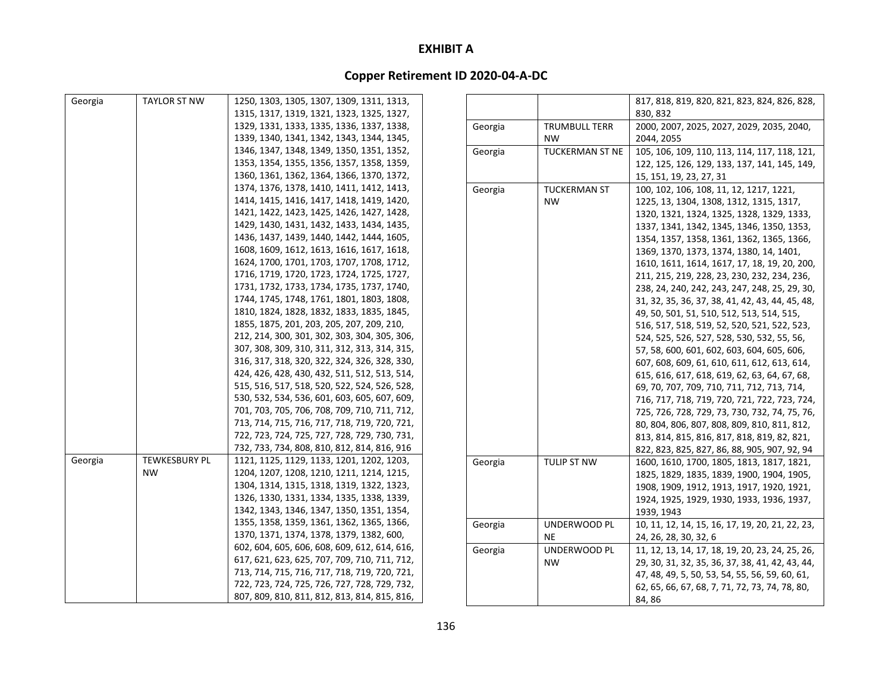| Georgia | <b>TAYLOR ST NW</b>  | 1250, 1303, 1305, 1307, 1309, 1311, 1313,    |         |                        | 817, 818, 819, 820, 821, 823, 824, 826, 828,    |
|---------|----------------------|----------------------------------------------|---------|------------------------|-------------------------------------------------|
|         |                      | 1315, 1317, 1319, 1321, 1323, 1325, 1327,    |         |                        | 830.832                                         |
|         |                      | 1329, 1331, 1333, 1335, 1336, 1337, 1338,    | Georgia | <b>TRUMBULL TERR</b>   | 2000, 2007, 2025, 2027, 2029, 2035, 2040,       |
|         |                      | 1339, 1340, 1341, 1342, 1343, 1344, 1345,    |         | <b>NW</b>              | 2044, 2055                                      |
|         |                      | 1346, 1347, 1348, 1349, 1350, 1351, 1352,    | Georgia | <b>TUCKERMAN ST NE</b> | 105, 106, 109, 110, 113, 114, 117, 118, 121,    |
|         |                      | 1353, 1354, 1355, 1356, 1357, 1358, 1359,    |         |                        | 122, 125, 126, 129, 133, 137, 141, 145, 149,    |
|         |                      | 1360, 1361, 1362, 1364, 1366, 1370, 1372,    |         |                        | 15, 151, 19, 23, 27, 31                         |
|         |                      | 1374, 1376, 1378, 1410, 1411, 1412, 1413,    | Georgia | <b>TUCKERMAN ST</b>    | 100, 102, 106, 108, 11, 12, 1217, 1221,         |
|         |                      | 1414, 1415, 1416, 1417, 1418, 1419, 1420,    |         | <b>NW</b>              | 1225, 13, 1304, 1308, 1312, 1315, 1317,         |
|         |                      | 1421, 1422, 1423, 1425, 1426, 1427, 1428,    |         |                        | 1320, 1321, 1324, 1325, 1328, 1329, 1333,       |
|         |                      | 1429, 1430, 1431, 1432, 1433, 1434, 1435,    |         |                        | 1337, 1341, 1342, 1345, 1346, 1350, 1353,       |
|         |                      | 1436, 1437, 1439, 1440, 1442, 1444, 1605,    |         |                        | 1354, 1357, 1358, 1361, 1362, 1365, 1366,       |
|         |                      | 1608, 1609, 1612, 1613, 1616, 1617, 1618,    |         |                        | 1369, 1370, 1373, 1374, 1380, 14, 1401,         |
|         |                      | 1624, 1700, 1701, 1703, 1707, 1708, 1712,    |         |                        | 1610, 1611, 1614, 1617, 17, 18, 19, 20, 200,    |
|         |                      | 1716, 1719, 1720, 1723, 1724, 1725, 1727,    |         |                        | 211, 215, 219, 228, 23, 230, 232, 234, 236,     |
|         |                      | 1731, 1732, 1733, 1734, 1735, 1737, 1740,    |         |                        | 238, 24, 240, 242, 243, 247, 248, 25, 29, 30,   |
|         |                      | 1744, 1745, 1748, 1761, 1801, 1803, 1808,    |         |                        | 31, 32, 35, 36, 37, 38, 41, 42, 43, 44, 45, 48, |
|         |                      | 1810, 1824, 1828, 1832, 1833, 1835, 1845,    |         |                        | 49, 50, 501, 51, 510, 512, 513, 514, 515,       |
|         |                      | 1855, 1875, 201, 203, 205, 207, 209, 210,    |         |                        | 516, 517, 518, 519, 52, 520, 521, 522, 523,     |
|         |                      | 212, 214, 300, 301, 302, 303, 304, 305, 306, |         |                        | 524, 525, 526, 527, 528, 530, 532, 55, 56,      |
|         |                      | 307, 308, 309, 310, 311, 312, 313, 314, 315, |         |                        | 57, 58, 600, 601, 602, 603, 604, 605, 606,      |
|         |                      | 316, 317, 318, 320, 322, 324, 326, 328, 330, |         |                        | 607, 608, 609, 61, 610, 611, 612, 613, 614,     |
|         |                      | 424, 426, 428, 430, 432, 511, 512, 513, 514, |         |                        | 615, 616, 617, 618, 619, 62, 63, 64, 67, 68,    |
|         |                      | 515, 516, 517, 518, 520, 522, 524, 526, 528, |         |                        | 69, 70, 707, 709, 710, 711, 712, 713, 714,      |
|         |                      | 530, 532, 534, 536, 601, 603, 605, 607, 609, |         |                        | 716, 717, 718, 719, 720, 721, 722, 723, 724,    |
|         |                      | 701, 703, 705, 706, 708, 709, 710, 711, 712, |         |                        | 725, 726, 728, 729, 73, 730, 732, 74, 75, 76,   |
|         |                      | 713, 714, 715, 716, 717, 718, 719, 720, 721, |         |                        | 80, 804, 806, 807, 808, 809, 810, 811, 812,     |
|         |                      | 722, 723, 724, 725, 727, 728, 729, 730, 731, |         |                        | 813, 814, 815, 816, 817, 818, 819, 82, 821,     |
|         |                      | 732, 733, 734, 808, 810, 812, 814, 816, 916  |         |                        | 822, 823, 825, 827, 86, 88, 905, 907, 92, 94    |
| Georgia | <b>TEWKESBURY PL</b> | 1121, 1125, 1129, 1133, 1201, 1202, 1203,    | Georgia | TULIP ST NW            | 1600, 1610, 1700, 1805, 1813, 1817, 1821,       |
|         | <b>NW</b>            | 1204, 1207, 1208, 1210, 1211, 1214, 1215,    |         |                        | 1825, 1829, 1835, 1839, 1900, 1904, 1905,       |
|         |                      | 1304, 1314, 1315, 1318, 1319, 1322, 1323,    |         |                        | 1908, 1909, 1912, 1913, 1917, 1920, 1921,       |
|         |                      | 1326, 1330, 1331, 1334, 1335, 1338, 1339,    |         |                        | 1924, 1925, 1929, 1930, 1933, 1936, 1937,       |
|         |                      | 1342, 1343, 1346, 1347, 1350, 1351, 1354,    |         |                        | 1939, 1943                                      |
|         |                      | 1355, 1358, 1359, 1361, 1362, 1365, 1366,    | Georgia | UNDERWOOD PL           | 10, 11, 12, 14, 15, 16, 17, 19, 20, 21, 22, 23, |
|         |                      | 1370, 1371, 1374, 1378, 1379, 1382, 600,     |         | NE.                    | 24, 26, 28, 30, 32, 6                           |
|         |                      | 602, 604, 605, 606, 608, 609, 612, 614, 616, | Georgia | UNDERWOOD PL           | 11, 12, 13, 14, 17, 18, 19, 20, 23, 24, 25, 26, |
|         |                      | 617, 621, 623, 625, 707, 709, 710, 711, 712, |         | <b>NW</b>              | 29, 30, 31, 32, 35, 36, 37, 38, 41, 42, 43, 44, |
|         |                      | 713, 714, 715, 716, 717, 718, 719, 720, 721, |         |                        | 47, 48, 49, 5, 50, 53, 54, 55, 56, 59, 60, 61,  |
|         |                      | 722, 723, 724, 725, 726, 727, 728, 729, 732, |         |                        | 62, 65, 66, 67, 68, 7, 71, 72, 73, 74, 78, 80,  |
|         |                      | 807, 809, 810, 811, 812, 813, 814, 815, 816, |         |                        | 84.86                                           |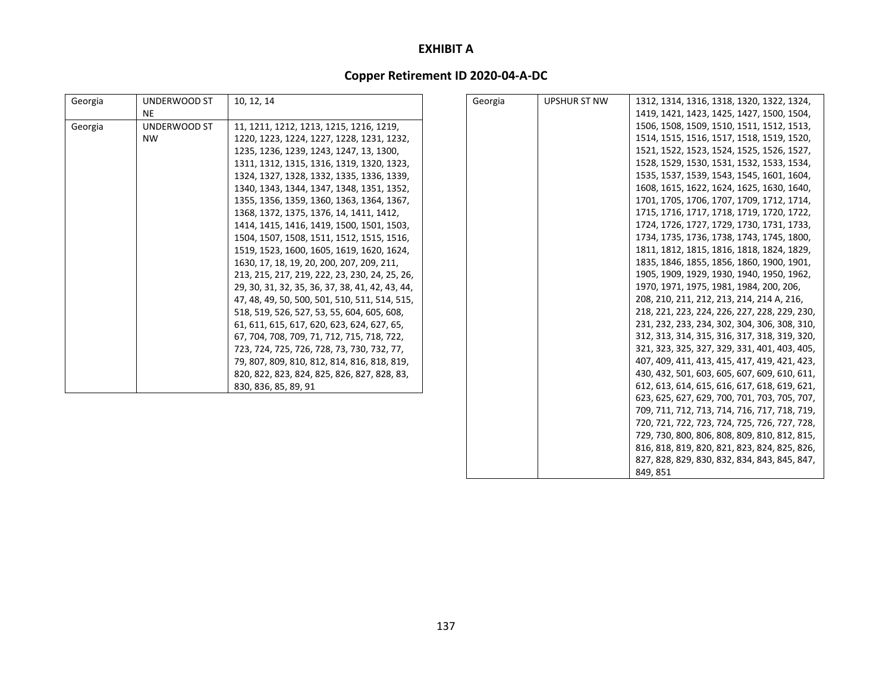# **Copper Retirement ID 2020‐04‐A‐DC**

| Georgia | UNDERWOOD ST | 10, 12, 14                                      | Georgia | <b>UPSHUR ST NW</b> | 1312, 1314, 1316, 1318, 1320, 1322, 1324,    |
|---------|--------------|-------------------------------------------------|---------|---------------------|----------------------------------------------|
|         | NE.          |                                                 |         |                     | 1419, 1421, 1423, 1425, 1427, 1500, 1504,    |
|         | UNDERWOOD ST |                                                 |         |                     | 1506, 1508, 1509, 1510, 1511, 1512, 1513,    |
| Georgia | <b>NW</b>    | 11, 1211, 1212, 1213, 1215, 1216, 1219,         |         |                     | 1514, 1515, 1516, 1517, 1518, 1519, 1520,    |
|         |              | 1220, 1223, 1224, 1227, 1228, 1231, 1232,       |         |                     |                                              |
|         |              | 1235, 1236, 1239, 1243, 1247, 13, 1300,         |         |                     | 1521, 1522, 1523, 1524, 1525, 1526, 1527,    |
|         |              | 1311, 1312, 1315, 1316, 1319, 1320, 1323,       |         |                     | 1528, 1529, 1530, 1531, 1532, 1533, 1534,    |
|         |              | 1324, 1327, 1328, 1332, 1335, 1336, 1339,       |         |                     | 1535, 1537, 1539, 1543, 1545, 1601, 1604,    |
|         |              | 1340, 1343, 1344, 1347, 1348, 1351, 1352,       |         |                     | 1608, 1615, 1622, 1624, 1625, 1630, 1640,    |
|         |              | 1355, 1356, 1359, 1360, 1363, 1364, 1367,       |         |                     | 1701, 1705, 1706, 1707, 1709, 1712, 1714,    |
|         |              | 1368, 1372, 1375, 1376, 14, 1411, 1412,         |         |                     | 1715, 1716, 1717, 1718, 1719, 1720, 1722,    |
|         |              | 1414, 1415, 1416, 1419, 1500, 1501, 1503,       |         |                     | 1724, 1726, 1727, 1729, 1730, 1731, 1733,    |
|         |              | 1504, 1507, 1508, 1511, 1512, 1515, 1516,       |         |                     | 1734, 1735, 1736, 1738, 1743, 1745, 1800,    |
|         |              | 1519, 1523, 1600, 1605, 1619, 1620, 1624,       |         |                     | 1811, 1812, 1815, 1816, 1818, 1824, 1829,    |
|         |              | 1630, 17, 18, 19, 20, 200, 207, 209, 211,       |         |                     | 1835, 1846, 1855, 1856, 1860, 1900, 1901,    |
|         |              | 213, 215, 217, 219, 222, 23, 230, 24, 25, 26,   |         |                     | 1905, 1909, 1929, 1930, 1940, 1950, 1962,    |
|         |              | 29, 30, 31, 32, 35, 36, 37, 38, 41, 42, 43, 44, |         |                     | 1970, 1971, 1975, 1981, 1984, 200, 206,      |
|         |              | 47, 48, 49, 50, 500, 501, 510, 511, 514, 515,   |         |                     | 208, 210, 211, 212, 213, 214, 214 A, 216,    |
|         |              | 518, 519, 526, 527, 53, 55, 604, 605, 608,      |         |                     | 218, 221, 223, 224, 226, 227, 228, 229, 230, |
|         |              | 61, 611, 615, 617, 620, 623, 624, 627, 65,      |         |                     | 231, 232, 233, 234, 302, 304, 306, 308, 310, |
|         |              | 67, 704, 708, 709, 71, 712, 715, 718, 722,      |         |                     | 312, 313, 314, 315, 316, 317, 318, 319, 320, |
|         |              | 723, 724, 725, 726, 728, 73, 730, 732, 77,      |         |                     | 321, 323, 325, 327, 329, 331, 401, 403, 405, |
|         |              | 79, 807, 809, 810, 812, 814, 816, 818, 819,     |         |                     | 407, 409, 411, 413, 415, 417, 419, 421, 423, |
|         |              | 820, 822, 823, 824, 825, 826, 827, 828, 83,     |         |                     | 430, 432, 501, 603, 605, 607, 609, 610, 611, |
|         |              | 830, 836, 85, 89, 91                            |         |                     | 612, 613, 614, 615, 616, 617, 618, 619, 621, |
|         |              |                                                 |         |                     | 623, 625, 627, 629, 700, 701, 703, 705, 707, |
|         |              |                                                 |         |                     | 709, 711, 712, 713, 714, 716, 717, 718, 719, |
|         |              |                                                 |         |                     | 720, 721, 722, 723, 724, 725, 726, 727, 728, |
|         |              |                                                 |         |                     | 729, 730, 800, 806, 808, 809, 810, 812, 815, |
|         |              |                                                 |         |                     | 816, 818, 819, 820, 821, 823, 824, 825, 826, |
|         |              |                                                 |         |                     |                                              |
|         |              |                                                 |         |                     | 827, 828, 829, 830, 832, 834, 843, 845, 847, |

849, 851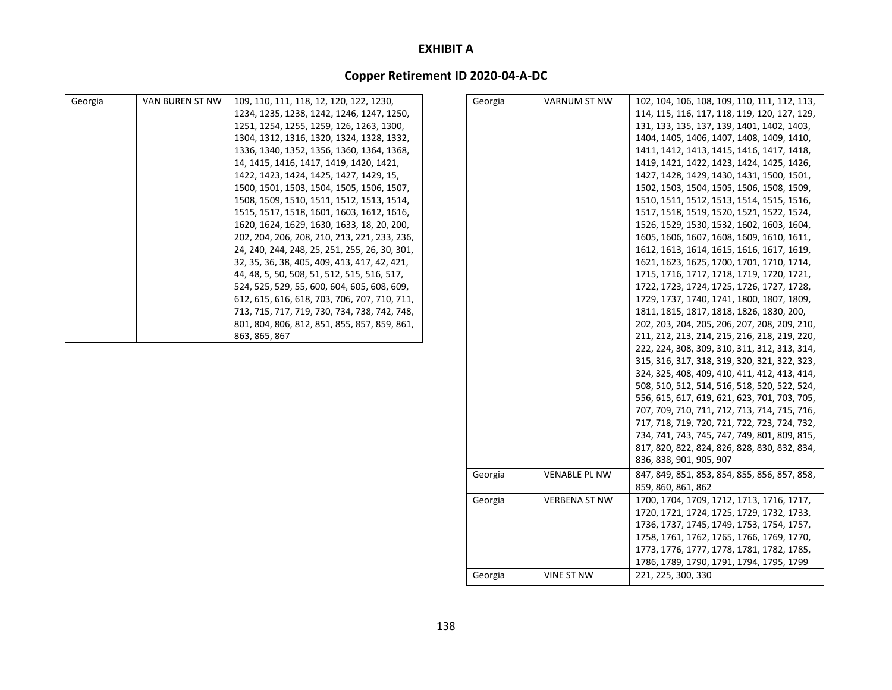| Georgia | VAN BUREN ST NW | 109, 110, 111, 118, 12, 120, 122, 1230,       | Georgia | <b>VARNUM ST NW</b>  | 102, 104, 106, 108, 109, 110, 111, 112, 113, |
|---------|-----------------|-----------------------------------------------|---------|----------------------|----------------------------------------------|
|         |                 | 1234, 1235, 1238, 1242, 1246, 1247, 1250,     |         |                      | 114, 115, 116, 117, 118, 119, 120, 127, 129, |
|         |                 | 1251, 1254, 1255, 1259, 126, 1263, 1300,      |         |                      | 131, 133, 135, 137, 139, 1401, 1402, 1403,   |
|         |                 | 1304, 1312, 1316, 1320, 1324, 1328, 1332,     |         |                      | 1404, 1405, 1406, 1407, 1408, 1409, 1410,    |
|         |                 |                                               |         |                      |                                              |
|         |                 | 1336, 1340, 1352, 1356, 1360, 1364, 1368,     |         |                      | 1411, 1412, 1413, 1415, 1416, 1417, 1418,    |
|         |                 | 14, 1415, 1416, 1417, 1419, 1420, 1421,       |         |                      | 1419, 1421, 1422, 1423, 1424, 1425, 1426,    |
|         |                 | 1422, 1423, 1424, 1425, 1427, 1429, 15,       |         |                      | 1427, 1428, 1429, 1430, 1431, 1500, 1501,    |
|         |                 | 1500, 1501, 1503, 1504, 1505, 1506, 1507,     |         |                      | 1502, 1503, 1504, 1505, 1506, 1508, 1509,    |
|         |                 | 1508, 1509, 1510, 1511, 1512, 1513, 1514,     |         |                      | 1510, 1511, 1512, 1513, 1514, 1515, 1516,    |
|         |                 | 1515, 1517, 1518, 1601, 1603, 1612, 1616,     |         |                      | 1517, 1518, 1519, 1520, 1521, 1522, 1524,    |
|         |                 | 1620, 1624, 1629, 1630, 1633, 18, 20, 200,    |         |                      | 1526, 1529, 1530, 1532, 1602, 1603, 1604,    |
|         |                 | 202, 204, 206, 208, 210, 213, 221, 233, 236,  |         |                      | 1605, 1606, 1607, 1608, 1609, 1610, 1611,    |
|         |                 | 24, 240, 244, 248, 25, 251, 255, 26, 30, 301, |         |                      | 1612, 1613, 1614, 1615, 1616, 1617, 1619,    |
|         |                 | 32, 35, 36, 38, 405, 409, 413, 417, 42, 421,  |         |                      | 1621, 1623, 1625, 1700, 1701, 1710, 1714,    |
|         |                 | 44, 48, 5, 50, 508, 51, 512, 515, 516, 517,   |         |                      | 1715, 1716, 1717, 1718, 1719, 1720, 1721,    |
|         |                 | 524, 525, 529, 55, 600, 604, 605, 608, 609,   |         |                      | 1722, 1723, 1724, 1725, 1726, 1727, 1728,    |
|         |                 | 612, 615, 616, 618, 703, 706, 707, 710, 711,  |         |                      | 1729, 1737, 1740, 1741, 1800, 1807, 1809,    |
|         |                 | 713, 715, 717, 719, 730, 734, 738, 742, 748,  |         |                      | 1811, 1815, 1817, 1818, 1826, 1830, 200,     |
|         |                 | 801, 804, 806, 812, 851, 855, 857, 859, 861,  |         |                      | 202, 203, 204, 205, 206, 207, 208, 209, 210, |
|         |                 | 863, 865, 867                                 |         |                      | 211, 212, 213, 214, 215, 216, 218, 219, 220, |
|         |                 |                                               |         |                      | 222, 224, 308, 309, 310, 311, 312, 313, 314, |
|         |                 |                                               |         |                      | 315, 316, 317, 318, 319, 320, 321, 322, 323, |
|         |                 |                                               |         |                      | 324, 325, 408, 409, 410, 411, 412, 413, 414, |
|         |                 |                                               |         |                      | 508, 510, 512, 514, 516, 518, 520, 522, 524, |
|         |                 |                                               |         |                      | 556, 615, 617, 619, 621, 623, 701, 703, 705, |
|         |                 |                                               |         |                      | 707, 709, 710, 711, 712, 713, 714, 715, 716, |
|         |                 |                                               |         |                      | 717, 718, 719, 720, 721, 722, 723, 724, 732, |
|         |                 |                                               |         |                      | 734, 741, 743, 745, 747, 749, 801, 809, 815, |
|         |                 |                                               |         |                      | 817, 820, 822, 824, 826, 828, 830, 832, 834, |
|         |                 |                                               |         |                      | 836, 838, 901, 905, 907                      |
|         |                 |                                               | Georgia | <b>VENABLE PL NW</b> | 847, 849, 851, 853, 854, 855, 856, 857, 858, |
|         |                 |                                               |         |                      | 859, 860, 861, 862                           |
|         |                 |                                               | Georgia | <b>VERBENA ST NW</b> | 1700, 1704, 1709, 1712, 1713, 1716, 1717,    |
|         |                 |                                               |         |                      | 1720, 1721, 1724, 1725, 1729, 1732, 1733,    |
|         |                 |                                               |         |                      | 1736, 1737, 1745, 1749, 1753, 1754, 1757,    |
|         |                 |                                               |         |                      | 1758, 1761, 1762, 1765, 1766, 1769, 1770,    |
|         |                 |                                               |         |                      | 1773, 1776, 1777, 1778, 1781, 1782, 1785,    |
|         |                 |                                               |         |                      | 1786, 1789, 1790, 1791, 1794, 1795, 1799     |
|         |                 |                                               | Georgia | VINE ST NW           | 221, 225, 300, 330                           |
|         |                 |                                               |         |                      |                                              |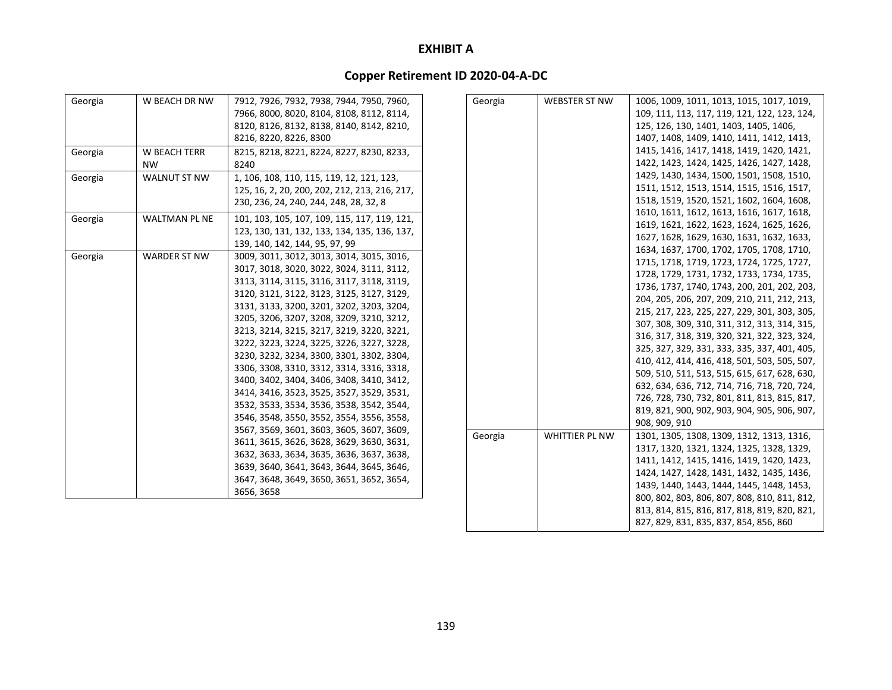# **Copper Retirement ID 2020‐04‐A‐DC**

| Georgia | W BEACH DR NW        | 7912, 7926, 7932, 7938, 7944, 7950, 7960,     | Georgia | <b>WEBSTER ST NW</b> | 1006, 1009, 1011, 1013, 1015, 1017, 1019,    |
|---------|----------------------|-----------------------------------------------|---------|----------------------|----------------------------------------------|
|         |                      | 7966, 8000, 8020, 8104, 8108, 8112, 8114,     |         |                      | 109, 111, 113, 117, 119, 121, 122, 123, 124, |
|         |                      | 8120, 8126, 8132, 8138, 8140, 8142, 8210,     |         |                      | 125, 126, 130, 1401, 1403, 1405, 1406,       |
|         |                      | 8216, 8220, 8226, 8300                        |         |                      | 1407, 1408, 1409, 1410, 1411, 1412, 1413,    |
| Georgia | <b>W BEACH TERR</b>  | 8215, 8218, 8221, 8224, 8227, 8230, 8233,     |         |                      | 1415, 1416, 1417, 1418, 1419, 1420, 1421,    |
|         | <b>NW</b>            | 8240                                          |         |                      | 1422, 1423, 1424, 1425, 1426, 1427, 1428,    |
| Georgia | <b>WALNUT ST NW</b>  | 1, 106, 108, 110, 115, 119, 12, 121, 123,     |         |                      | 1429, 1430, 1434, 1500, 1501, 1508, 1510,    |
|         |                      | 125, 16, 2, 20, 200, 202, 212, 213, 216, 217, |         |                      | 1511, 1512, 1513, 1514, 1515, 1516, 1517,    |
|         |                      | 230, 236, 24, 240, 244, 248, 28, 32, 8        |         |                      | 1518, 1519, 1520, 1521, 1602, 1604, 1608,    |
| Georgia | <b>WALTMAN PL NE</b> | 101, 103, 105, 107, 109, 115, 117, 119, 121,  |         |                      | 1610, 1611, 1612, 1613, 1616, 1617, 1618,    |
|         |                      | 123, 130, 131, 132, 133, 134, 135, 136, 137,  |         |                      | 1619, 1621, 1622, 1623, 1624, 1625, 1626,    |
|         |                      | 139, 140, 142, 144, 95, 97, 99                |         |                      | 1627, 1628, 1629, 1630, 1631, 1632, 1633,    |
| Georgia | <b>WARDER ST NW</b>  | 3009, 3011, 3012, 3013, 3014, 3015, 3016,     |         |                      | 1634, 1637, 1700, 1702, 1705, 1708, 1710,    |
|         |                      | 3017, 3018, 3020, 3022, 3024, 3111, 3112,     |         |                      | 1715, 1718, 1719, 1723, 1724, 1725, 1727,    |
|         |                      | 3113, 3114, 3115, 3116, 3117, 3118, 3119,     |         |                      | 1728, 1729, 1731, 1732, 1733, 1734, 1735,    |
|         |                      | 3120, 3121, 3122, 3123, 3125, 3127, 3129,     |         |                      | 1736, 1737, 1740, 1743, 200, 201, 202, 203,  |
|         |                      | 3131, 3133, 3200, 3201, 3202, 3203, 3204,     |         |                      | 204, 205, 206, 207, 209, 210, 211, 212, 213, |
|         |                      | 3205, 3206, 3207, 3208, 3209, 3210, 3212,     |         |                      | 215, 217, 223, 225, 227, 229, 301, 303, 305, |
|         |                      | 3213, 3214, 3215, 3217, 3219, 3220, 3221,     |         |                      | 307, 308, 309, 310, 311, 312, 313, 314, 315, |
|         |                      | 3222, 3223, 3224, 3225, 3226, 3227, 3228,     |         |                      | 316, 317, 318, 319, 320, 321, 322, 323, 324, |
|         |                      | 3230, 3232, 3234, 3300, 3301, 3302, 3304,     |         |                      | 325, 327, 329, 331, 333, 335, 337, 401, 405, |
|         |                      | 3306, 3308, 3310, 3312, 3314, 3316, 3318,     |         |                      | 410, 412, 414, 416, 418, 501, 503, 505, 507, |
|         |                      | 3400, 3402, 3404, 3406, 3408, 3410, 3412,     |         |                      | 509, 510, 511, 513, 515, 615, 617, 628, 630, |
|         |                      | 3414, 3416, 3523, 3525, 3527, 3529, 3531,     |         |                      | 632, 634, 636, 712, 714, 716, 718, 720, 724, |
|         |                      | 3532, 3533, 3534, 3536, 3538, 3542, 3544,     |         |                      | 726, 728, 730, 732, 801, 811, 813, 815, 817, |
|         |                      | 3546, 3548, 3550, 3552, 3554, 3556, 3558,     |         |                      | 819, 821, 900, 902, 903, 904, 905, 906, 907, |
|         |                      | 3567, 3569, 3601, 3603, 3605, 3607, 3609,     |         |                      | 908, 909, 910                                |
|         |                      | 3611, 3615, 3626, 3628, 3629, 3630, 3631,     | Georgia | WHITTIER PL NW       | 1301, 1305, 1308, 1309, 1312, 1313, 1316,    |
|         |                      | 3632, 3633, 3634, 3635, 3636, 3637, 3638,     |         |                      | 1317, 1320, 1321, 1324, 1325, 1328, 1329,    |
|         |                      | 3639, 3640, 3641, 3643, 3644, 3645, 3646,     |         |                      | 1411, 1412, 1415, 1416, 1419, 1420, 1423,    |
|         |                      | 3647, 3648, 3649, 3650, 3651, 3652, 3654,     |         |                      | 1424, 1427, 1428, 1431, 1432, 1435, 1436,    |
|         |                      | 3656, 3658                                    |         |                      | 1439, 1440, 1443, 1444, 1445, 1448, 1453,    |
|         |                      |                                               |         |                      | 800, 802, 803, 806, 807, 808, 810, 811, 812, |
|         |                      |                                               |         |                      | 813, 814, 815, 816, 817, 818, 819, 820, 821, |

827, 829, 831, 835, 837, 854, 856, 860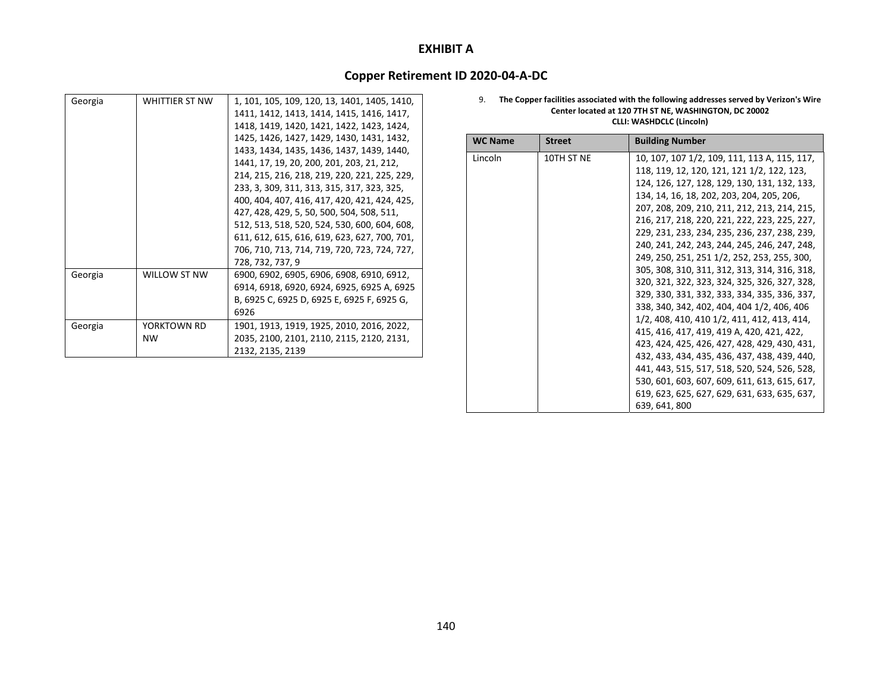### **Copper Retirement ID 2020‐04‐A‐DC**

| Georgia | WHITTIER ST NW | 1, 101, 105, 109, 120, 13, 1401, 1405, 1410, |
|---------|----------------|----------------------------------------------|
|         |                | 1411, 1412, 1413, 1414, 1415, 1416, 1417,    |
|         |                | 1418, 1419, 1420, 1421, 1422, 1423, 1424,    |
|         |                | 1425, 1426, 1427, 1429, 1430, 1431, 1432,    |
|         |                | 1433, 1434, 1435, 1436, 1437, 1439, 1440,    |
|         |                | 1441, 17, 19, 20, 200, 201, 203, 21, 212,    |
|         |                | 214, 215, 216, 218, 219, 220, 221, 225, 229, |
|         |                | 233, 3, 309, 311, 313, 315, 317, 323, 325,   |
|         |                | 400, 404, 407, 416, 417, 420, 421, 424, 425, |
|         |                | 427, 428, 429, 5, 50, 500, 504, 508, 511,    |
|         |                | 512, 513, 518, 520, 524, 530, 600, 604, 608, |
|         |                | 611, 612, 615, 616, 619, 623, 627, 700, 701, |
|         |                | 706, 710, 713, 714, 719, 720, 723, 724, 727, |
|         |                | 728, 732, 737, 9                             |
| Georgia | WILLOW ST NW   | 6900, 6902, 6905, 6906, 6908, 6910, 6912,    |
|         |                | 6914, 6918, 6920, 6924, 6925, 6925 A, 6925   |
|         |                | B, 6925 C, 6925 D, 6925 E, 6925 F, 6925 G,   |
|         |                | 6926                                         |
| Georgia | YORKTOWN RD    | 1901, 1913, 1919, 1925, 2010, 2016, 2022,    |
|         | <b>NW</b>      | 2035, 2100, 2101, 2110, 2115, 2120, 2131,    |
|         |                | 2132, 2135, 2139                             |

#### 9. **The Copper facilities associated with the following addresses served by Verizon's Wire Center located at 120 7TH ST NE, WASHINGTON, DC 20002 CLLI: WASHDCLC (Lincoln)**

| <b>WC Name</b> | <b>Street</b> | <b>Building Number</b>                       |
|----------------|---------------|----------------------------------------------|
| Lincoln        | 10TH ST NE    | 10, 107, 107 1/2, 109, 111, 113 A, 115, 117, |
|                |               | 118, 119, 12, 120, 121, 121 1/2, 122, 123,   |
|                |               | 124, 126, 127, 128, 129, 130, 131, 132, 133, |
|                |               | 134, 14, 16, 18, 202, 203, 204, 205, 206,    |
|                |               | 207, 208, 209, 210, 211, 212, 213, 214, 215, |
|                |               | 216, 217, 218, 220, 221, 222, 223, 225, 227, |
|                |               | 229, 231, 233, 234, 235, 236, 237, 238, 239, |
|                |               | 240, 241, 242, 243, 244, 245, 246, 247, 248, |
|                |               | 249, 250, 251, 251 1/2, 252, 253, 255, 300,  |
|                |               | 305, 308, 310, 311, 312, 313, 314, 316, 318, |
|                |               | 320, 321, 322, 323, 324, 325, 326, 327, 328, |
|                |               | 329, 330, 331, 332, 333, 334, 335, 336, 337, |
|                |               | 338, 340, 342, 402, 404, 404 1/2, 406, 406   |
|                |               | 1/2, 408, 410, 410 1/2, 411, 412, 413, 414,  |
|                |               | 415, 416, 417, 419, 419 A, 420, 421, 422,    |
|                |               | 423, 424, 425, 426, 427, 428, 429, 430, 431, |
|                |               | 432, 433, 434, 435, 436, 437, 438, 439, 440, |
|                |               | 441, 443, 515, 517, 518, 520, 524, 526, 528, |
|                |               | 530, 601, 603, 607, 609, 611, 613, 615, 617, |
|                |               | 619, 623, 625, 627, 629, 631, 633, 635, 637, |
|                |               | 639, 641, 800                                |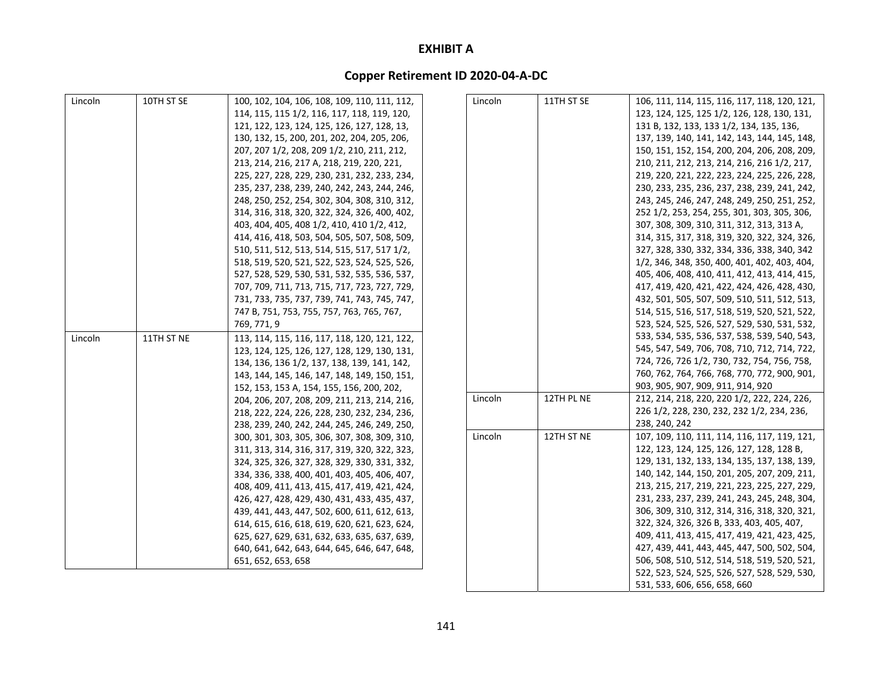# **Copper Retirement ID 2020‐04‐A‐DC**

| Lincoln | 10TH ST SE | 100, 102, 104, 106, 108, 109, 110, 111, 112, | Lincoln | 11TH ST SE | 106, 111, 114, 115, 116, 117, 118, 120, 121, |
|---------|------------|----------------------------------------------|---------|------------|----------------------------------------------|
|         |            | 114, 115, 115 1/2, 116, 117, 118, 119, 120,  |         |            | 123, 124, 125, 125 1/2, 126, 128, 130, 131,  |
|         |            | 121, 122, 123, 124, 125, 126, 127, 128, 13,  |         |            | 131 B, 132, 133, 133 1/2, 134, 135, 136,     |
|         |            | 130, 132, 15, 200, 201, 202, 204, 205, 206,  |         |            | 137, 139, 140, 141, 142, 143, 144, 145, 148, |
|         |            | 207, 207 1/2, 208, 209 1/2, 210, 211, 212,   |         |            | 150, 151, 152, 154, 200, 204, 206, 208, 209, |
|         |            | 213, 214, 216, 217 A, 218, 219, 220, 221,    |         |            | 210, 211, 212, 213, 214, 216, 216 1/2, 217,  |
|         |            | 225, 227, 228, 229, 230, 231, 232, 233, 234, |         |            | 219, 220, 221, 222, 223, 224, 225, 226, 228, |
|         |            | 235, 237, 238, 239, 240, 242, 243, 244, 246, |         |            | 230, 233, 235, 236, 237, 238, 239, 241, 242, |
|         |            | 248, 250, 252, 254, 302, 304, 308, 310, 312, |         |            | 243, 245, 246, 247, 248, 249, 250, 251, 252, |
|         |            | 314, 316, 318, 320, 322, 324, 326, 400, 402, |         |            | 252 1/2, 253, 254, 255, 301, 303, 305, 306,  |
|         |            | 403, 404, 405, 408 1/2, 410, 410 1/2, 412,   |         |            | 307, 308, 309, 310, 311, 312, 313, 313 A,    |
|         |            | 414, 416, 418, 503, 504, 505, 507, 508, 509, |         |            | 314, 315, 317, 318, 319, 320, 322, 324, 326, |
|         |            | 510, 511, 512, 513, 514, 515, 517, 517 1/2,  |         |            | 327, 328, 330, 332, 334, 336, 338, 340, 342  |
|         |            | 518, 519, 520, 521, 522, 523, 524, 525, 526, |         |            | 1/2, 346, 348, 350, 400, 401, 402, 403, 404, |
|         |            | 527, 528, 529, 530, 531, 532, 535, 536, 537, |         |            | 405, 406, 408, 410, 411, 412, 413, 414, 415, |
|         |            | 707, 709, 711, 713, 715, 717, 723, 727, 729, |         |            | 417, 419, 420, 421, 422, 424, 426, 428, 430, |
|         |            | 731, 733, 735, 737, 739, 741, 743, 745, 747, |         |            | 432, 501, 505, 507, 509, 510, 511, 512, 513, |
|         |            | 747 B, 751, 753, 755, 757, 763, 765, 767,    |         |            | 514, 515, 516, 517, 518, 519, 520, 521, 522, |
|         |            | 769, 771, 9                                  |         |            | 523, 524, 525, 526, 527, 529, 530, 531, 532, |
| Lincoln | 11TH ST NE | 113, 114, 115, 116, 117, 118, 120, 121, 122, |         |            | 533, 534, 535, 536, 537, 538, 539, 540, 543, |
|         |            | 123, 124, 125, 126, 127, 128, 129, 130, 131, |         |            | 545, 547, 549, 706, 708, 710, 712, 714, 722, |
|         |            | 134, 136, 136 1/2, 137, 138, 139, 141, 142,  |         |            | 724, 726, 726 1/2, 730, 732, 754, 756, 758,  |
|         |            | 143, 144, 145, 146, 147, 148, 149, 150, 151, |         |            | 760, 762, 764, 766, 768, 770, 772, 900, 901, |
|         |            | 152, 153, 153 A, 154, 155, 156, 200, 202,    |         |            | 903, 905, 907, 909, 911, 914, 920            |
|         |            | 204, 206, 207, 208, 209, 211, 213, 214, 216, | Lincoln | 12TH PL NE | 212, 214, 218, 220, 220 1/2, 222, 224, 226,  |
|         |            | 218, 222, 224, 226, 228, 230, 232, 234, 236, |         |            | 226 1/2, 228, 230, 232, 232 1/2, 234, 236,   |
|         |            | 238, 239, 240, 242, 244, 245, 246, 249, 250, |         |            | 238, 240, 242                                |
|         |            | 300, 301, 303, 305, 306, 307, 308, 309, 310, | Lincoln | 12TH ST NE | 107, 109, 110, 111, 114, 116, 117, 119, 121, |
|         |            | 311, 313, 314, 316, 317, 319, 320, 322, 323, |         |            | 122, 123, 124, 125, 126, 127, 128, 128 B,    |
|         |            | 324, 325, 326, 327, 328, 329, 330, 331, 332, |         |            | 129, 131, 132, 133, 134, 135, 137, 138, 139, |
|         |            | 334, 336, 338, 400, 401, 403, 405, 406, 407, |         |            | 140, 142, 144, 150, 201, 205, 207, 209, 211, |
|         |            | 408, 409, 411, 413, 415, 417, 419, 421, 424, |         |            | 213, 215, 217, 219, 221, 223, 225, 227, 229, |
|         |            | 426, 427, 428, 429, 430, 431, 433, 435, 437, |         |            | 231, 233, 237, 239, 241, 243, 245, 248, 304, |
|         |            | 439, 441, 443, 447, 502, 600, 611, 612, 613, |         |            | 306, 309, 310, 312, 314, 316, 318, 320, 321, |
|         |            | 614, 615, 616, 618, 619, 620, 621, 623, 624, |         |            | 322, 324, 326, 326 B, 333, 403, 405, 407,    |
|         |            | 625, 627, 629, 631, 632, 633, 635, 637, 639, |         |            | 409, 411, 413, 415, 417, 419, 421, 423, 425, |
|         |            | 640, 641, 642, 643, 644, 645, 646, 647, 648, |         |            | 427, 439, 441, 443, 445, 447, 500, 502, 504, |
|         |            | 651, 652, 653, 658                           |         |            | 506, 508, 510, 512, 514, 518, 519, 520, 521, |

522, 523, 524, 525, 526, 527, 528, 529, 530,

531, 533, 606, 656, 658, 660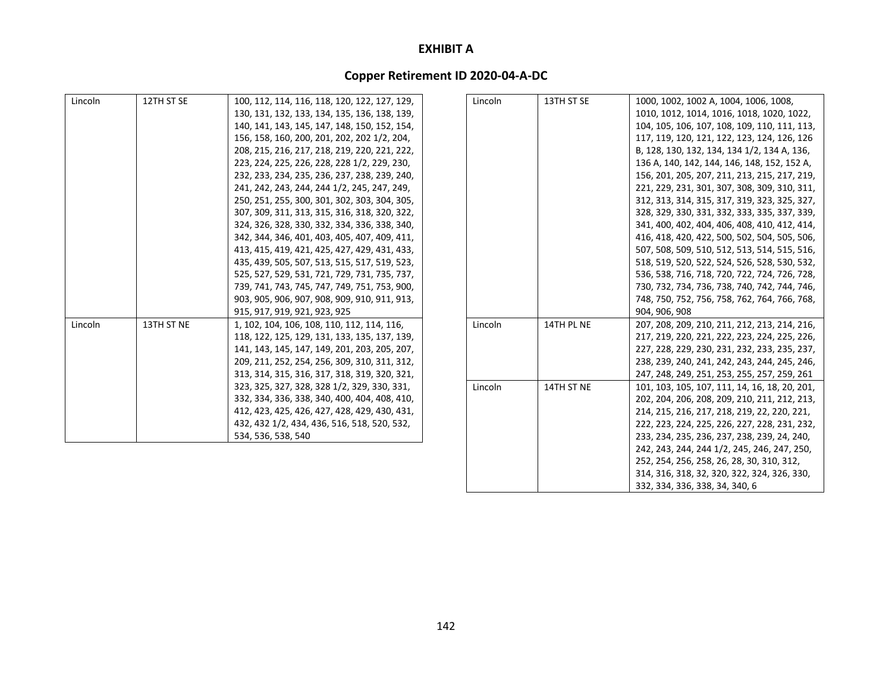# **Copper Retirement ID 2020‐04‐A‐DC**

| Lincoln | 12TH ST SE | 100, 112, 114, 116, 118, 120, 122, 127, 129, | Lincoln | 13TH ST SE | 1000, 1002, 1002 A, 1004, 1006, 1008,         |
|---------|------------|----------------------------------------------|---------|------------|-----------------------------------------------|
|         |            | 130, 131, 132, 133, 134, 135, 136, 138, 139, |         |            | 1010, 1012, 1014, 1016, 1018, 1020, 1022,     |
|         |            | 140, 141, 143, 145, 147, 148, 150, 152, 154, |         |            | 104, 105, 106, 107, 108, 109, 110, 111, 113,  |
|         |            | 156, 158, 160, 200, 201, 202, 202 1/2, 204,  |         |            | 117, 119, 120, 121, 122, 123, 124, 126, 126   |
|         |            | 208, 215, 216, 217, 218, 219, 220, 221, 222, |         |            | B, 128, 130, 132, 134, 134 1/2, 134 A, 136,   |
|         |            | 223, 224, 225, 226, 228, 228 1/2, 229, 230,  |         |            | 136 A, 140, 142, 144, 146, 148, 152, 152 A,   |
|         |            | 232, 233, 234, 235, 236, 237, 238, 239, 240, |         |            | 156, 201, 205, 207, 211, 213, 215, 217, 219,  |
|         |            | 241, 242, 243, 244, 244 1/2, 245, 247, 249,  |         |            | 221, 229, 231, 301, 307, 308, 309, 310, 311,  |
|         |            | 250, 251, 255, 300, 301, 302, 303, 304, 305, |         |            | 312, 313, 314, 315, 317, 319, 323, 325, 327,  |
|         |            | 307, 309, 311, 313, 315, 316, 318, 320, 322, |         |            | 328, 329, 330, 331, 332, 333, 335, 337, 339,  |
|         |            | 324, 326, 328, 330, 332, 334, 336, 338, 340, |         |            | 341, 400, 402, 404, 406, 408, 410, 412, 414,  |
|         |            | 342, 344, 346, 401, 403, 405, 407, 409, 411, |         |            | 416, 418, 420, 422, 500, 502, 504, 505, 506,  |
|         |            | 413, 415, 419, 421, 425, 427, 429, 431, 433, |         |            | 507, 508, 509, 510, 512, 513, 514, 515, 516,  |
|         |            | 435, 439, 505, 507, 513, 515, 517, 519, 523, |         |            | 518, 519, 520, 522, 524, 526, 528, 530, 532,  |
|         |            | 525, 527, 529, 531, 721, 729, 731, 735, 737, |         |            | 536, 538, 716, 718, 720, 722, 724, 726, 728,  |
|         |            | 739, 741, 743, 745, 747, 749, 751, 753, 900, |         |            | 730, 732, 734, 736, 738, 740, 742, 744, 746,  |
|         |            | 903, 905, 906, 907, 908, 909, 910, 911, 913, |         |            | 748, 750, 752, 756, 758, 762, 764, 766, 768,  |
|         |            | 915, 917, 919, 921, 923, 925                 |         |            | 904, 906, 908                                 |
| Lincoln | 13TH ST NE | 1, 102, 104, 106, 108, 110, 112, 114, 116,   | Lincoln | 14TH PL NE | 207, 208, 209, 210, 211, 212, 213, 214, 216,  |
|         |            | 118, 122, 125, 129, 131, 133, 135, 137, 139, |         |            | 217, 219, 220, 221, 222, 223, 224, 225, 226,  |
|         |            | 141, 143, 145, 147, 149, 201, 203, 205, 207, |         |            | 227, 228, 229, 230, 231, 232, 233, 235, 237,  |
|         |            | 209, 211, 252, 254, 256, 309, 310, 311, 312, |         |            | 238, 239, 240, 241, 242, 243, 244, 245, 246,  |
|         |            | 313, 314, 315, 316, 317, 318, 319, 320, 321, |         |            | 247, 248, 249, 251, 253, 255, 257, 259, 261   |
|         |            | 323, 325, 327, 328, 328 1/2, 329, 330, 331,  | Lincoln | 14TH ST NE | 101, 103, 105, 107, 111, 14, 16, 18, 20, 201, |
|         |            | 332, 334, 336, 338, 340, 400, 404, 408, 410, |         |            | 202, 204, 206, 208, 209, 210, 211, 212, 213,  |
|         |            | 412, 423, 425, 426, 427, 428, 429, 430, 431, |         |            | 214, 215, 216, 217, 218, 219, 22, 220, 221,   |
|         |            | 432, 432 1/2, 434, 436, 516, 518, 520, 532,  |         |            | 222, 223, 224, 225, 226, 227, 228, 231, 232,  |
|         |            | 534, 536, 538, 540                           |         |            | 233, 234, 235, 236, 237, 238, 239, 24, 240,   |
|         |            |                                              |         |            | 242, 243, 244, 244 1/2, 245, 246, 247, 250,   |
|         |            |                                              |         |            | 252, 254, 256, 258, 26, 28, 30, 310, 312,     |

314, 316, 318, 32, 320, 322, 324, 326, 330,

332, 334, 336, 338, 34, 340, 6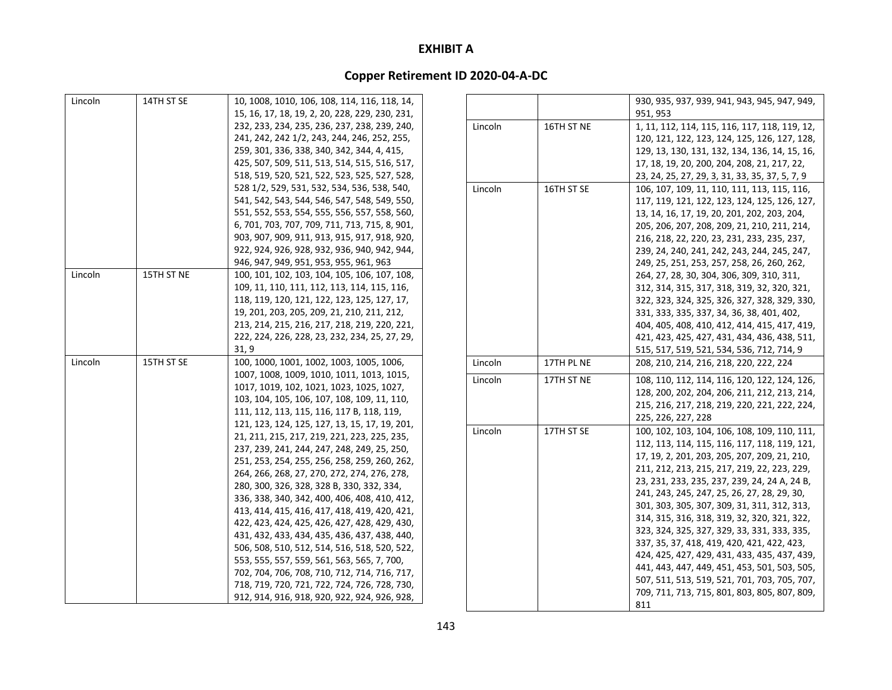| Lincoln | 14TH ST SE | 10, 1008, 1010, 106, 108, 114, 116, 118, 14,                                               |         |            | 930, 935, 937, 939, 941, 943, 945, 947, 949,   |
|---------|------------|--------------------------------------------------------------------------------------------|---------|------------|------------------------------------------------|
|         |            | 15, 16, 17, 18, 19, 2, 20, 228, 229, 230, 231,                                             |         |            | 951, 953                                       |
|         |            | 232, 233, 234, 235, 236, 237, 238, 239, 240,                                               | Lincoln | 16TH ST NE | 1, 11, 112, 114, 115, 116, 117, 118, 119, 12,  |
|         |            | 241, 242, 242 1/2, 243, 244, 246, 252, 255,                                                |         |            | 120, 121, 122, 123, 124, 125, 126, 127, 128,   |
|         |            | 259, 301, 336, 338, 340, 342, 344, 4, 415,                                                 |         |            | 129, 13, 130, 131, 132, 134, 136, 14, 15, 16,  |
|         |            | 425, 507, 509, 511, 513, 514, 515, 516, 517,                                               |         |            | 17, 18, 19, 20, 200, 204, 208, 21, 217, 22,    |
|         |            | 518, 519, 520, 521, 522, 523, 525, 527, 528,                                               |         |            | 23, 24, 25, 27, 29, 3, 31, 33, 35, 37, 5, 7, 9 |
|         |            | 528 1/2, 529, 531, 532, 534, 536, 538, 540,                                                | Lincoln | 16TH ST SE | 106, 107, 109, 11, 110, 111, 113, 115, 116,    |
|         |            | 541, 542, 543, 544, 546, 547, 548, 549, 550,                                               |         |            | 117, 119, 121, 122, 123, 124, 125, 126, 127,   |
|         |            | 551, 552, 553, 554, 555, 556, 557, 558, 560,                                               |         |            | 13, 14, 16, 17, 19, 20, 201, 202, 203, 204,    |
|         |            | 6, 701, 703, 707, 709, 711, 713, 715, 8, 901,                                              |         |            | 205, 206, 207, 208, 209, 21, 210, 211, 214,    |
|         |            | 903, 907, 909, 911, 913, 915, 917, 918, 920,                                               |         |            | 216, 218, 22, 220, 23, 231, 233, 235, 237,     |
|         |            | 922, 924, 926, 928, 932, 936, 940, 942, 944,                                               |         |            | 239, 24, 240, 241, 242, 243, 244, 245, 247,    |
|         |            | 946, 947, 949, 951, 953, 955, 961, 963                                                     |         |            | 249, 25, 251, 253, 257, 258, 26, 260, 262,     |
| Lincoln | 15TH ST NE | 100, 101, 102, 103, 104, 105, 106, 107, 108,                                               |         |            | 264, 27, 28, 30, 304, 306, 309, 310, 311,      |
|         |            | 109, 11, 110, 111, 112, 113, 114, 115, 116,                                                |         |            | 312, 314, 315, 317, 318, 319, 32, 320, 321,    |
|         |            | 118, 119, 120, 121, 122, 123, 125, 127, 17,                                                |         |            | 322, 323, 324, 325, 326, 327, 328, 329, 330,   |
|         |            | 19, 201, 203, 205, 209, 21, 210, 211, 212,                                                 |         |            | 331, 333, 335, 337, 34, 36, 38, 401, 402,      |
|         |            | 213, 214, 215, 216, 217, 218, 219, 220, 221,                                               |         |            | 404, 405, 408, 410, 412, 414, 415, 417, 419,   |
|         |            | 222, 224, 226, 228, 23, 232, 234, 25, 27, 29,                                              |         |            | 421, 423, 425, 427, 431, 434, 436, 438, 511,   |
|         |            | 31, 9                                                                                      |         |            | 515, 517, 519, 521, 534, 536, 712, 714, 9      |
| Lincoln | 15TH ST SE | 100, 1000, 1001, 1002, 1003, 1005, 1006,                                                   | Lincoln | 17TH PL NE | 208, 210, 214, 216, 218, 220, 222, 224         |
|         |            | 1007, 1008, 1009, 1010, 1011, 1013, 1015,                                                  | Lincoln | 17TH ST NE | 108, 110, 112, 114, 116, 120, 122, 124, 126,   |
|         |            | 1017, 1019, 102, 1021, 1023, 1025, 1027,                                                   |         |            | 128, 200, 202, 204, 206, 211, 212, 213, 214,   |
|         |            | 103, 104, 105, 106, 107, 108, 109, 11, 110,                                                |         |            | 215, 216, 217, 218, 219, 220, 221, 222, 224,   |
|         |            | 111, 112, 113, 115, 116, 117 B, 118, 119,                                                  |         |            | 225, 226, 227, 228                             |
|         |            | 121, 123, 124, 125, 127, 13, 15, 17, 19, 201,                                              | Lincoln | 17TH ST SE | 100, 102, 103, 104, 106, 108, 109, 110, 111,   |
|         |            | 21, 211, 215, 217, 219, 221, 223, 225, 235,                                                |         |            | 112, 113, 114, 115, 116, 117, 118, 119, 121,   |
|         |            | 237, 239, 241, 244, 247, 248, 249, 25, 250,                                                |         |            | 17, 19, 2, 201, 203, 205, 207, 209, 21, 210,   |
|         |            | 251, 253, 254, 255, 256, 258, 259, 260, 262,                                               |         |            | 211, 212, 213, 215, 217, 219, 22, 223, 229,    |
|         |            | 264, 266, 268, 27, 270, 272, 274, 276, 278,                                                |         |            | 23, 231, 233, 235, 237, 239, 24, 24 A, 24 B,   |
|         |            | 280, 300, 326, 328, 328 B, 330, 332, 334,                                                  |         |            | 241, 243, 245, 247, 25, 26, 27, 28, 29, 30,    |
|         |            | 336, 338, 340, 342, 400, 406, 408, 410, 412,                                               |         |            | 301, 303, 305, 307, 309, 31, 311, 312, 313,    |
|         |            | 413, 414, 415, 416, 417, 418, 419, 420, 421,                                               |         |            | 314, 315, 316, 318, 319, 32, 320, 321, 322,    |
|         |            | 422, 423, 424, 425, 426, 427, 428, 429, 430,                                               |         |            | 323, 324, 325, 327, 329, 33, 331, 333, 335,    |
|         |            | 431, 432, 433, 434, 435, 436, 437, 438, 440,                                               |         |            | 337, 35, 37, 418, 419, 420, 421, 422, 423,     |
|         |            | 506, 508, 510, 512, 514, 516, 518, 520, 522,                                               |         |            | 424, 425, 427, 429, 431, 433, 435, 437, 439,   |
|         |            | 553, 555, 557, 559, 561, 563, 565, 7, 700,<br>702, 704, 706, 708, 710, 712, 714, 716, 717, |         |            | 441, 443, 447, 449, 451, 453, 501, 503, 505,   |
|         |            | 718, 719, 720, 721, 722, 724, 726, 728, 730,                                               |         |            | 507, 511, 513, 519, 521, 701, 703, 705, 707,   |
|         |            |                                                                                            |         |            | 709, 711, 713, 715, 801, 803, 805, 807, 809,   |
|         |            | 912, 914, 916, 918, 920, 922, 924, 926, 928,                                               |         |            | 811                                            |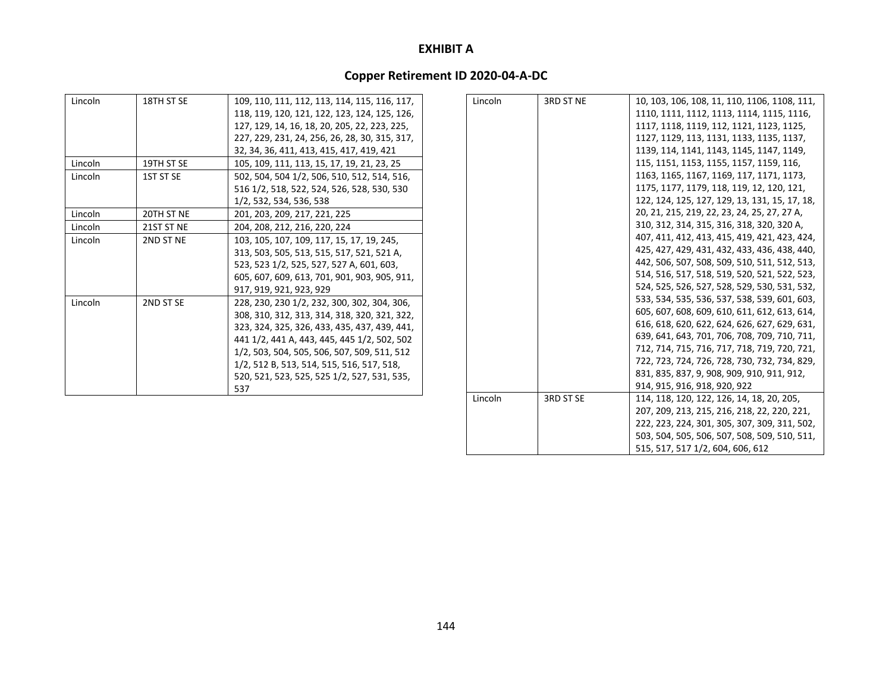| Lincoln | 18TH ST SE | 109, 110, 111, 112, 113, 114, 115, 116, 117,  | Lincoln | 3RD ST NE        | 10, 103, 106, 108, 11, 110, 1106, 1108, 111,  |
|---------|------------|-----------------------------------------------|---------|------------------|-----------------------------------------------|
|         |            | 118, 119, 120, 121, 122, 123, 124, 125, 126,  |         |                  | 1110, 1111, 1112, 1113, 1114, 1115, 1116,     |
|         |            | 127, 129, 14, 16, 18, 20, 205, 22, 223, 225,  |         |                  | 1117, 1118, 1119, 112, 1121, 1123, 1125,      |
|         |            | 227, 229, 231, 24, 256, 26, 28, 30, 315, 317, |         |                  | 1127, 1129, 113, 1131, 1133, 1135, 1137,      |
|         |            | 32, 34, 36, 411, 413, 415, 417, 419, 421      |         |                  | 1139, 114, 1141, 1143, 1145, 1147, 1149,      |
| Lincoln | 19TH ST SE | 105, 109, 111, 113, 15, 17, 19, 21, 23, 25    |         |                  | 115, 1151, 1153, 1155, 1157, 1159, 116,       |
| Lincoln | 1ST ST SE  | 502, 504, 504 1/2, 506, 510, 512, 514, 516,   |         |                  | 1163, 1165, 1167, 1169, 117, 1171, 1173,      |
|         |            | 516 1/2, 518, 522, 524, 526, 528, 530, 530    |         |                  | 1175, 1177, 1179, 118, 119, 12, 120, 121,     |
|         |            | 1/2, 532, 534, 536, 538                       |         |                  | 122, 124, 125, 127, 129, 13, 131, 15, 17, 18, |
| Lincoln | 20TH ST NE | 201, 203, 209, 217, 221, 225                  |         |                  | 20, 21, 215, 219, 22, 23, 24, 25, 27, 27 A,   |
| Lincoln | 21ST ST NE | 204, 208, 212, 216, 220, 224                  |         |                  | 310, 312, 314, 315, 316, 318, 320, 320 A,     |
| Lincoln | 2ND ST NE  | 103, 105, 107, 109, 117, 15, 17, 19, 245,     |         |                  | 407, 411, 412, 413, 415, 419, 421, 423, 424,  |
|         |            | 313, 503, 505, 513, 515, 517, 521, 521 A,     |         |                  | 425, 427, 429, 431, 432, 433, 436, 438, 440,  |
|         |            | 523, 523 1/2, 525, 527, 527 A, 601, 603,      |         |                  | 442, 506, 507, 508, 509, 510, 511, 512, 513,  |
|         |            | 605, 607, 609, 613, 701, 901, 903, 905, 911,  |         |                  | 514, 516, 517, 518, 519, 520, 521, 522, 523,  |
|         |            | 917, 919, 921, 923, 929                       |         |                  | 524, 525, 526, 527, 528, 529, 530, 531, 532,  |
| Lincoln | 2ND ST SE  | 228, 230, 230 1/2, 232, 300, 302, 304, 306,   |         |                  | 533, 534, 535, 536, 537, 538, 539, 601, 603,  |
|         |            | 308, 310, 312, 313, 314, 318, 320, 321, 322,  |         |                  | 605, 607, 608, 609, 610, 611, 612, 613, 614,  |
|         |            | 323, 324, 325, 326, 433, 435, 437, 439, 441,  |         |                  | 616, 618, 620, 622, 624, 626, 627, 629, 631,  |
|         |            | 441 1/2, 441 A, 443, 445, 445 1/2, 502, 502   |         |                  | 639, 641, 643, 701, 706, 708, 709, 710, 711,  |
|         |            | 1/2, 503, 504, 505, 506, 507, 509, 511, 512   |         |                  | 712, 714, 715, 716, 717, 718, 719, 720, 721,  |
|         |            | 1/2, 512 B, 513, 514, 515, 516, 517, 518,     |         |                  | 722, 723, 724, 726, 728, 730, 732, 734, 829,  |
|         |            | 520, 521, 523, 525, 525 1/2, 527, 531, 535,   |         |                  | 831, 835, 837, 9, 908, 909, 910, 911, 912,    |
|         |            | 537                                           |         |                  | 914, 915, 916, 918, 920, 922                  |
|         |            |                                               | Lincoln | <b>2DD CT CE</b> | 114 119 120 122 126 14 19 20 20 1             |

|         |           | 639, 641, 643, 701, 706, 708, 709, 710, 711, |
|---------|-----------|----------------------------------------------|
|         |           | 712, 714, 715, 716, 717, 718, 719, 720, 721, |
|         |           | 722, 723, 724, 726, 728, 730, 732, 734, 829, |
|         |           | 831, 835, 837, 9, 908, 909, 910, 911, 912,   |
|         |           | 914, 915, 916, 918, 920, 922                 |
| Lincoln | 3RD ST SE | 114, 118, 120, 122, 126, 14, 18, 20, 205,    |
|         |           | 207, 209, 213, 215, 216, 218, 22, 220, 221,  |
|         |           | 222, 223, 224, 301, 305, 307, 309, 311, 502, |
|         |           | 503, 504, 505, 506, 507, 508, 509, 510, 511, |
|         |           | 515, 517, 517 1/2, 604, 606, 612             |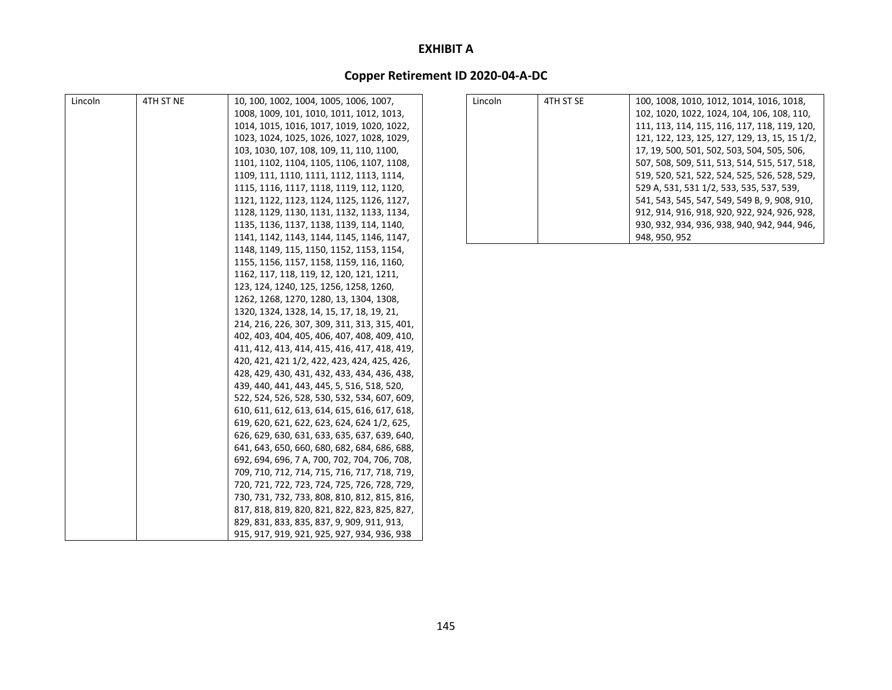| Lincoln | 4TH ST NE | 10, 100, 1002, 1004, 1005, 1006, 1007,       | Lincoln | 4TH ST SE | 100, 1008, 1010, 1012, 1014, 1016, 1018,      |
|---------|-----------|----------------------------------------------|---------|-----------|-----------------------------------------------|
|         |           | 1008, 1009, 101, 1010, 1011, 1012, 1013,     |         |           | 102, 1020, 1022, 1024, 104, 106, 108, 110,    |
|         |           | 1014, 1015, 1016, 1017, 1019, 1020, 1022,    |         |           | 111, 113, 114, 115, 116, 117, 118, 119, 120,  |
|         |           | 1023, 1024, 1025, 1026, 1027, 1028, 1029,    |         |           | 121, 122, 123, 125, 127, 129, 13, 15, 15 1/2, |
|         |           | 103, 1030, 107, 108, 109, 11, 110, 1100,     |         |           | 17, 19, 500, 501, 502, 503, 504, 505, 506,    |
|         |           | 1101, 1102, 1104, 1105, 1106, 1107, 1108,    |         |           | 507, 508, 509, 511, 513, 514, 515, 517, 518,  |
|         |           | 1109, 111, 1110, 1111, 1112, 1113, 1114,     |         |           | 519, 520, 521, 522, 524, 525, 526, 528, 529,  |
|         |           | 1115, 1116, 1117, 1118, 1119, 112, 1120,     |         |           | 529 A, 531, 531 1/2, 533, 535, 537, 539,      |
|         |           | 1121, 1122, 1123, 1124, 1125, 1126, 1127,    |         |           | 541, 543, 545, 547, 549, 549 B, 9, 908, 910,  |
|         |           | 1128, 1129, 1130, 1131, 1132, 1133, 1134,    |         |           | 912, 914, 916, 918, 920, 922, 924, 926, 928,  |
|         |           | 1135, 1136, 1137, 1138, 1139, 114, 1140,     |         |           | 930, 932, 934, 936, 938, 940, 942, 944, 946,  |
|         |           | 1141, 1142, 1143, 1144, 1145, 1146, 1147,    |         |           | 948, 950, 952                                 |
|         |           | 1148, 1149, 115, 1150, 1152, 1153, 1154,     |         |           |                                               |
|         |           | 1155, 1156, 1157, 1158, 1159, 116, 1160,     |         |           |                                               |
|         |           | 1162, 117, 118, 119, 12, 120, 121, 1211,     |         |           |                                               |
|         |           | 123, 124, 1240, 125, 1256, 1258, 1260,       |         |           |                                               |
|         |           | 1262, 1268, 1270, 1280, 13, 1304, 1308,      |         |           |                                               |
|         |           | 1320, 1324, 1328, 14, 15, 17, 18, 19, 21,    |         |           |                                               |
|         |           | 214, 216, 226, 307, 309, 311, 313, 315, 401, |         |           |                                               |
|         |           | 402, 403, 404, 405, 406, 407, 408, 409, 410, |         |           |                                               |
|         |           | 411, 412, 413, 414, 415, 416, 417, 418, 419, |         |           |                                               |
|         |           | 420, 421, 421 1/2, 422, 423, 424, 425, 426,  |         |           |                                               |
|         |           | 428, 429, 430, 431, 432, 433, 434, 436, 438, |         |           |                                               |
|         |           | 439, 440, 441, 443, 445, 5, 516, 518, 520,   |         |           |                                               |
|         |           | 522, 524, 526, 528, 530, 532, 534, 607, 609, |         |           |                                               |
|         |           | 610, 611, 612, 613, 614, 615, 616, 617, 618, |         |           |                                               |
|         |           | 619, 620, 621, 622, 623, 624, 624 1/2, 625,  |         |           |                                               |
|         |           | 626, 629, 630, 631, 633, 635, 637, 639, 640, |         |           |                                               |
|         |           | 641, 643, 650, 660, 680, 682, 684, 686, 688, |         |           |                                               |
|         |           | 692, 694, 696, 7 A, 700, 702, 704, 706, 708, |         |           |                                               |
|         |           | 709, 710, 712, 714, 715, 716, 717, 718, 719, |         |           |                                               |
|         |           | 720, 721, 722, 723, 724, 725, 726, 728, 729, |         |           |                                               |
|         |           | 730, 731, 732, 733, 808, 810, 812, 815, 816, |         |           |                                               |
|         |           | 817, 818, 819, 820, 821, 822, 823, 825, 827, |         |           |                                               |
|         |           | 829, 831, 833, 835, 837, 9, 909, 911, 913,   |         |           |                                               |
|         |           | 915, 917, 919, 921, 925, 927, 934, 936, 938  |         |           |                                               |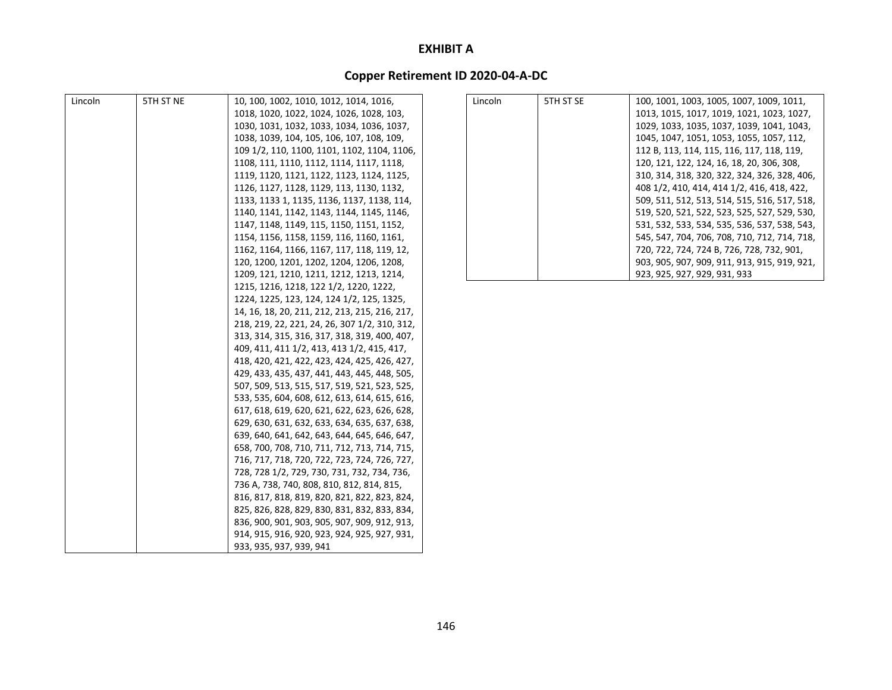| Lincoln | 5TH ST NE | 10, 100, 1002, 1010, 1012, 1014, 1016,        | Lincoln | 5TH ST SE | 100, 1001, 1003, 1005, 1007, 1009, 1011,     |
|---------|-----------|-----------------------------------------------|---------|-----------|----------------------------------------------|
|         |           | 1018, 1020, 1022, 1024, 1026, 1028, 103,      |         |           | 1013, 1015, 1017, 1019, 1021, 1023, 1027,    |
|         |           | 1030, 1031, 1032, 1033, 1034, 1036, 1037,     |         |           | 1029, 1033, 1035, 1037, 1039, 1041, 1043,    |
|         |           | 1038, 1039, 104, 105, 106, 107, 108, 109,     |         |           | 1045, 1047, 1051, 1053, 1055, 1057, 112,     |
|         |           | 109 1/2, 110, 1100, 1101, 1102, 1104, 1106,   |         |           | 112 B, 113, 114, 115, 116, 117, 118, 119,    |
|         |           | 1108, 111, 1110, 1112, 1114, 1117, 1118,      |         |           | 120, 121, 122, 124, 16, 18, 20, 306, 308,    |
|         |           | 1119, 1120, 1121, 1122, 1123, 1124, 1125,     |         |           | 310, 314, 318, 320, 322, 324, 326, 328, 406, |
|         |           | 1126, 1127, 1128, 1129, 113, 1130, 1132,      |         |           | 408 1/2, 410, 414, 414 1/2, 416, 418, 422,   |
|         |           | 1133, 1133 1, 1135, 1136, 1137, 1138, 114,    |         |           | 509, 511, 512, 513, 514, 515, 516, 517, 518, |
|         |           | 1140, 1141, 1142, 1143, 1144, 1145, 1146,     |         |           | 519, 520, 521, 522, 523, 525, 527, 529, 530, |
|         |           | 1147, 1148, 1149, 115, 1150, 1151, 1152,      |         |           | 531, 532, 533, 534, 535, 536, 537, 538, 543, |
|         |           | 1154, 1156, 1158, 1159, 116, 1160, 1161,      |         |           | 545, 547, 704, 706, 708, 710, 712, 714, 718, |
|         |           | 1162, 1164, 1166, 1167, 117, 118, 119, 12,    |         |           | 720, 722, 724, 724 B, 726, 728, 732, 901,    |
|         |           | 120, 1200, 1201, 1202, 1204, 1206, 1208,      |         |           | 903, 905, 907, 909, 911, 913, 915, 919, 921, |
|         |           | 1209, 121, 1210, 1211, 1212, 1213, 1214,      |         |           | 923, 925, 927, 929, 931, 933                 |
|         |           | 1215, 1216, 1218, 122 1/2, 1220, 1222,        |         |           |                                              |
|         |           | 1224, 1225, 123, 124, 124 1/2, 125, 1325,     |         |           |                                              |
|         |           | 14, 16, 18, 20, 211, 212, 213, 215, 216, 217, |         |           |                                              |
|         |           | 218, 219, 22, 221, 24, 26, 307 1/2, 310, 312, |         |           |                                              |
|         |           | 313, 314, 315, 316, 317, 318, 319, 400, 407,  |         |           |                                              |
|         |           | 409, 411, 411 1/2, 413, 413 1/2, 415, 417,    |         |           |                                              |
|         |           | 418, 420, 421, 422, 423, 424, 425, 426, 427,  |         |           |                                              |
|         |           | 429, 433, 435, 437, 441, 443, 445, 448, 505,  |         |           |                                              |
|         |           | 507, 509, 513, 515, 517, 519, 521, 523, 525,  |         |           |                                              |
|         |           | 533, 535, 604, 608, 612, 613, 614, 615, 616,  |         |           |                                              |
|         |           | 617, 618, 619, 620, 621, 622, 623, 626, 628,  |         |           |                                              |
|         |           | 629, 630, 631, 632, 633, 634, 635, 637, 638,  |         |           |                                              |
|         |           | 639, 640, 641, 642, 643, 644, 645, 646, 647,  |         |           |                                              |
|         |           | 658, 700, 708, 710, 711, 712, 713, 714, 715,  |         |           |                                              |
|         |           | 716, 717, 718, 720, 722, 723, 724, 726, 727,  |         |           |                                              |
|         |           | 728, 728 1/2, 729, 730, 731, 732, 734, 736,   |         |           |                                              |
|         |           | 736 A, 738, 740, 808, 810, 812, 814, 815,     |         |           |                                              |
|         |           | 816, 817, 818, 819, 820, 821, 822, 823, 824,  |         |           |                                              |
|         |           | 825, 826, 828, 829, 830, 831, 832, 833, 834,  |         |           |                                              |
|         |           | 836, 900, 901, 903, 905, 907, 909, 912, 913,  |         |           |                                              |
|         |           | 914, 915, 916, 920, 923, 924, 925, 927, 931,  |         |           |                                              |
|         |           | 933, 935, 937, 939, 941                       |         |           |                                              |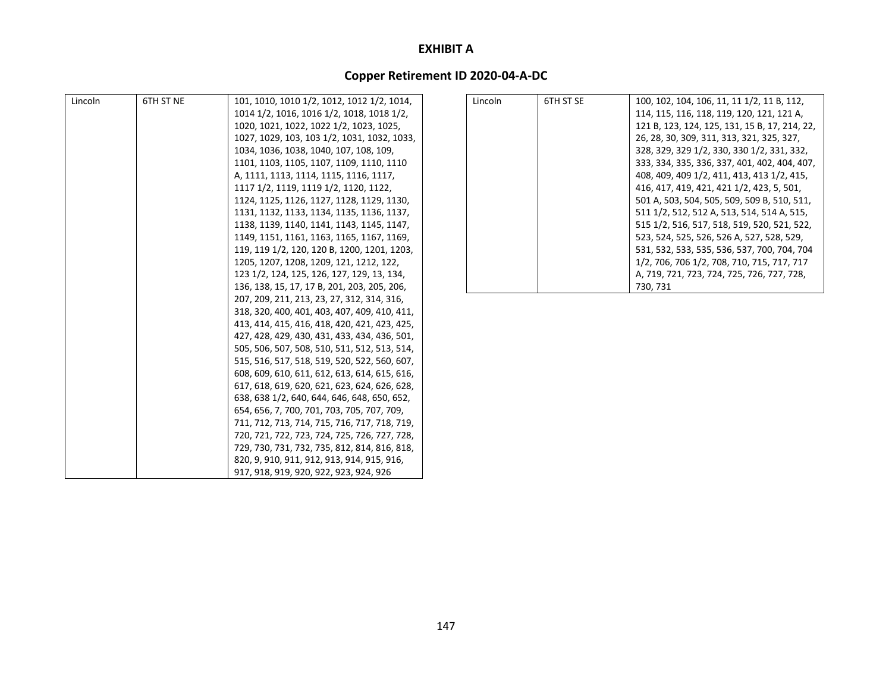| Lincoln | 6TH ST NE | 101, 1010, 1010 1/2, 1012, 1012 1/2, 1014,   | Lincoln | 6TH ST SE | 100, 102, 104, 106, 11, 11 1/2, 11 B, 112,    |
|---------|-----------|----------------------------------------------|---------|-----------|-----------------------------------------------|
|         |           | 1014 1/2, 1016, 1016 1/2, 1018, 1018 1/2,    |         |           | 114, 115, 116, 118, 119, 120, 121, 121 A,     |
|         |           | 1020, 1021, 1022, 1022 1/2, 1023, 1025,      |         |           | 121 B, 123, 124, 125, 131, 15 B, 17, 214, 22, |
|         |           | 1027, 1029, 103, 103 1/2, 1031, 1032, 1033,  |         |           | 26, 28, 30, 309, 311, 313, 321, 325, 327,     |
|         |           | 1034, 1036, 1038, 1040, 107, 108, 109,       |         |           | 328, 329, 329 1/2, 330, 330 1/2, 331, 332,    |
|         |           | 1101, 1103, 1105, 1107, 1109, 1110, 1110     |         |           | 333, 334, 335, 336, 337, 401, 402, 404, 407,  |
|         |           | A, 1111, 1113, 1114, 1115, 1116, 1117,       |         |           | 408, 409, 409 1/2, 411, 413, 413 1/2, 415,    |
|         |           | 1117 1/2, 1119, 1119 1/2, 1120, 1122,        |         |           | 416, 417, 419, 421, 421 1/2, 423, 5, 501,     |
|         |           | 1124, 1125, 1126, 1127, 1128, 1129, 1130,    |         |           | 501 A, 503, 504, 505, 509, 509 B, 510, 511,   |
|         |           | 1131, 1132, 1133, 1134, 1135, 1136, 1137,    |         |           | 511 1/2, 512, 512 A, 513, 514, 514 A, 515,    |
|         |           | 1138, 1139, 1140, 1141, 1143, 1145, 1147,    |         |           | 515 1/2, 516, 517, 518, 519, 520, 521, 522,   |
|         |           | 1149, 1151, 1161, 1163, 1165, 1167, 1169,    |         |           | 523, 524, 525, 526, 526 A, 527, 528, 529,     |
|         |           | 119, 119 1/2, 120, 120 B, 1200, 1201, 1203,  |         |           | 531, 532, 533, 535, 536, 537, 700, 704, 704   |
|         |           | 1205, 1207, 1208, 1209, 121, 1212, 122,      |         |           | 1/2, 706, 706 1/2, 708, 710, 715, 717, 717    |
|         |           | 123 1/2, 124, 125, 126, 127, 129, 13, 134,   |         |           | A, 719, 721, 723, 724, 725, 726, 727, 728,    |
|         |           | 136, 138, 15, 17, 17 B, 201, 203, 205, 206,  |         |           | 730, 731                                      |
|         |           | 207, 209, 211, 213, 23, 27, 312, 314, 316,   |         |           |                                               |
|         |           | 318, 320, 400, 401, 403, 407, 409, 410, 411, |         |           |                                               |
|         |           | 413, 414, 415, 416, 418, 420, 421, 423, 425, |         |           |                                               |
|         |           | 427, 428, 429, 430, 431, 433, 434, 436, 501, |         |           |                                               |
|         |           | 505, 506, 507, 508, 510, 511, 512, 513, 514, |         |           |                                               |
|         |           | 515, 516, 517, 518, 519, 520, 522, 560, 607, |         |           |                                               |
|         |           | 608, 609, 610, 611, 612, 613, 614, 615, 616, |         |           |                                               |
|         |           | 617, 618, 619, 620, 621, 623, 624, 626, 628, |         |           |                                               |
|         |           | 638, 638 1/2, 640, 644, 646, 648, 650, 652,  |         |           |                                               |
|         |           | 654, 656, 7, 700, 701, 703, 705, 707, 709,   |         |           |                                               |
|         |           | 711, 712, 713, 714, 715, 716, 717, 718, 719, |         |           |                                               |
|         |           | 720, 721, 722, 723, 724, 725, 726, 727, 728, |         |           |                                               |
|         |           | 729, 730, 731, 732, 735, 812, 814, 816, 818, |         |           |                                               |
|         |           | 820, 9, 910, 911, 912, 913, 914, 915, 916,   |         |           |                                               |
|         |           | 917, 918, 919, 920, 922, 923, 924, 926       |         |           |                                               |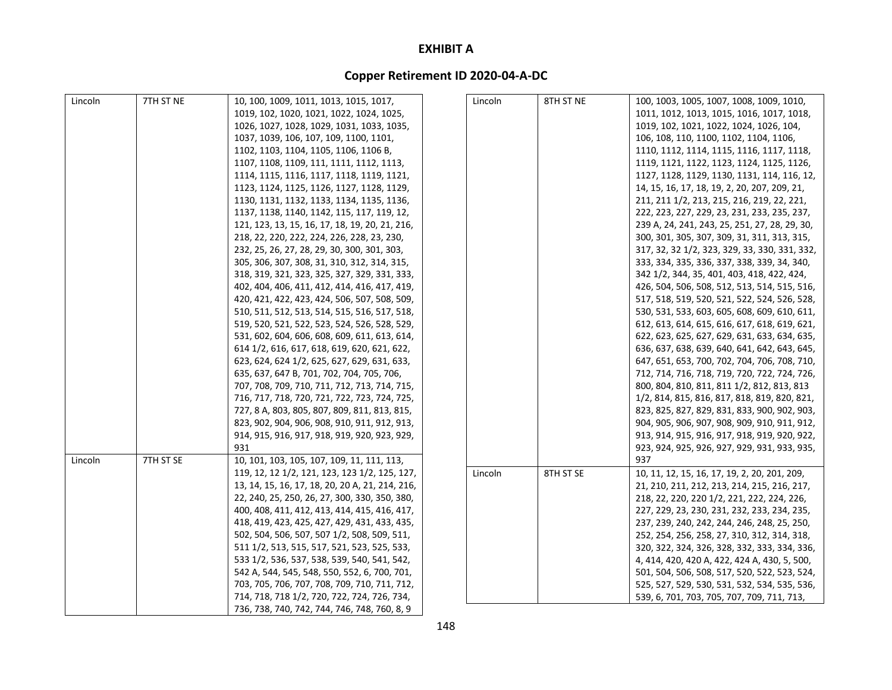| Lincoln | 7TH ST NE | 10, 100, 1009, 1011, 1013, 1015, 1017,          | Lincoln | 8TH ST NE | 100, 1003, 1005, 1007, 1008, 1009, 1010,      |
|---------|-----------|-------------------------------------------------|---------|-----------|-----------------------------------------------|
|         |           | 1019, 102, 1020, 1021, 1022, 1024, 1025,        |         |           | 1011, 1012, 1013, 1015, 1016, 1017, 1018,     |
|         |           | 1026, 1027, 1028, 1029, 1031, 1033, 1035,       |         |           | 1019, 102, 1021, 1022, 1024, 1026, 104,       |
|         |           | 1037, 1039, 106, 107, 109, 1100, 1101,          |         |           | 106, 108, 110, 1100, 1102, 1104, 1106,        |
|         |           | 1102, 1103, 1104, 1105, 1106, 1106 B,           |         |           | 1110, 1112, 1114, 1115, 1116, 1117, 1118,     |
|         |           | 1107, 1108, 1109, 111, 1111, 1112, 1113,        |         |           | 1119, 1121, 1122, 1123, 1124, 1125, 1126,     |
|         |           | 1114, 1115, 1116, 1117, 1118, 1119, 1121,       |         |           | 1127, 1128, 1129, 1130, 1131, 114, 116, 12,   |
|         |           | 1123, 1124, 1125, 1126, 1127, 1128, 1129,       |         |           | 14, 15, 16, 17, 18, 19, 2, 20, 207, 209, 21,  |
|         |           | 1130, 1131, 1132, 1133, 1134, 1135, 1136,       |         |           | 211, 211 1/2, 213, 215, 216, 219, 22, 221,    |
|         |           | 1137, 1138, 1140, 1142, 115, 117, 119, 12,      |         |           | 222, 223, 227, 229, 23, 231, 233, 235, 237,   |
|         |           | 121, 123, 13, 15, 16, 17, 18, 19, 20, 21, 216,  |         |           | 239 A, 24, 241, 243, 25, 251, 27, 28, 29, 30, |
|         |           | 218, 22, 220, 222, 224, 226, 228, 23, 230,      |         |           | 300, 301, 305, 307, 309, 31, 311, 313, 315,   |
|         |           | 232, 25, 26, 27, 28, 29, 30, 300, 301, 303,     |         |           | 317, 32, 32 1/2, 323, 329, 33, 330, 331, 332, |
|         |           | 305, 306, 307, 308, 31, 310, 312, 314, 315,     |         |           | 333, 334, 335, 336, 337, 338, 339, 34, 340,   |
|         |           | 318, 319, 321, 323, 325, 327, 329, 331, 333,    |         |           | 342 1/2, 344, 35, 401, 403, 418, 422, 424,    |
|         |           | 402, 404, 406, 411, 412, 414, 416, 417, 419,    |         |           | 426, 504, 506, 508, 512, 513, 514, 515, 516,  |
|         |           | 420, 421, 422, 423, 424, 506, 507, 508, 509,    |         |           | 517, 518, 519, 520, 521, 522, 524, 526, 528,  |
|         |           | 510, 511, 512, 513, 514, 515, 516, 517, 518,    |         |           | 530, 531, 533, 603, 605, 608, 609, 610, 611,  |
|         |           | 519, 520, 521, 522, 523, 524, 526, 528, 529,    |         |           | 612, 613, 614, 615, 616, 617, 618, 619, 621,  |
|         |           | 531, 602, 604, 606, 608, 609, 611, 613, 614,    |         |           | 622, 623, 625, 627, 629, 631, 633, 634, 635,  |
|         |           | 614 1/2, 616, 617, 618, 619, 620, 621, 622,     |         |           | 636, 637, 638, 639, 640, 641, 642, 643, 645,  |
|         |           | 623, 624, 624 1/2, 625, 627, 629, 631, 633,     |         |           | 647, 651, 653, 700, 702, 704, 706, 708, 710,  |
|         |           | 635, 637, 647 B, 701, 702, 704, 705, 706,       |         |           | 712, 714, 716, 718, 719, 720, 722, 724, 726,  |
|         |           | 707, 708, 709, 710, 711, 712, 713, 714, 715,    |         |           | 800, 804, 810, 811, 811 1/2, 812, 813, 813    |
|         |           | 716, 717, 718, 720, 721, 722, 723, 724, 725,    |         |           | 1/2, 814, 815, 816, 817, 818, 819, 820, 821,  |
|         |           | 727, 8 A, 803, 805, 807, 809, 811, 813, 815,    |         |           | 823, 825, 827, 829, 831, 833, 900, 902, 903,  |
|         |           | 823, 902, 904, 906, 908, 910, 911, 912, 913,    |         |           | 904, 905, 906, 907, 908, 909, 910, 911, 912,  |
|         |           | 914, 915, 916, 917, 918, 919, 920, 923, 929,    |         |           | 913, 914, 915, 916, 917, 918, 919, 920, 922,  |
|         |           | 931                                             |         |           | 923, 924, 925, 926, 927, 929, 931, 933, 935,  |
| Lincoln | 7TH ST SE | 10, 101, 103, 105, 107, 109, 11, 111, 113,      |         |           | 937                                           |
|         |           | 119, 12, 12 1/2, 121, 123, 123 1/2, 125, 127,   | Lincoln | 8TH ST SE | 10, 11, 12, 15, 16, 17, 19, 2, 20, 201, 209,  |
|         |           | 13, 14, 15, 16, 17, 18, 20, 20 A, 21, 214, 216, |         |           | 21, 210, 211, 212, 213, 214, 215, 216, 217,   |
|         |           | 22, 240, 25, 250, 26, 27, 300, 330, 350, 380,   |         |           | 218, 22, 220, 220 1/2, 221, 222, 224, 226,    |
|         |           | 400, 408, 411, 412, 413, 414, 415, 416, 417,    |         |           | 227, 229, 23, 230, 231, 232, 233, 234, 235,   |
|         |           | 418, 419, 423, 425, 427, 429, 431, 433, 435,    |         |           | 237, 239, 240, 242, 244, 246, 248, 25, 250,   |
|         |           | 502, 504, 506, 507, 507 1/2, 508, 509, 511,     |         |           | 252, 254, 256, 258, 27, 310, 312, 314, 318,   |
|         |           | 511 1/2, 513, 515, 517, 521, 523, 525, 533,     |         |           | 320, 322, 324, 326, 328, 332, 333, 334, 336,  |
|         |           | 533 1/2, 536, 537, 538, 539, 540, 541, 542,     |         |           | 4, 414, 420, 420 A, 422, 424 A, 430, 5, 500,  |
|         |           | 542 A, 544, 545, 548, 550, 552, 6, 700, 701,    |         |           | 501, 504, 506, 508, 517, 520, 522, 523, 524,  |
|         |           | 703, 705, 706, 707, 708, 709, 710, 711, 712,    |         |           | 525, 527, 529, 530, 531, 532, 534, 535, 536,  |
|         |           | 714, 718, 718 1/2, 720, 722, 724, 726, 734,     |         |           | 539, 6, 701, 703, 705, 707, 709, 711, 713,    |
|         |           | 736, 738, 740, 742, 744, 746, 748, 760, 8, 9    |         |           |                                               |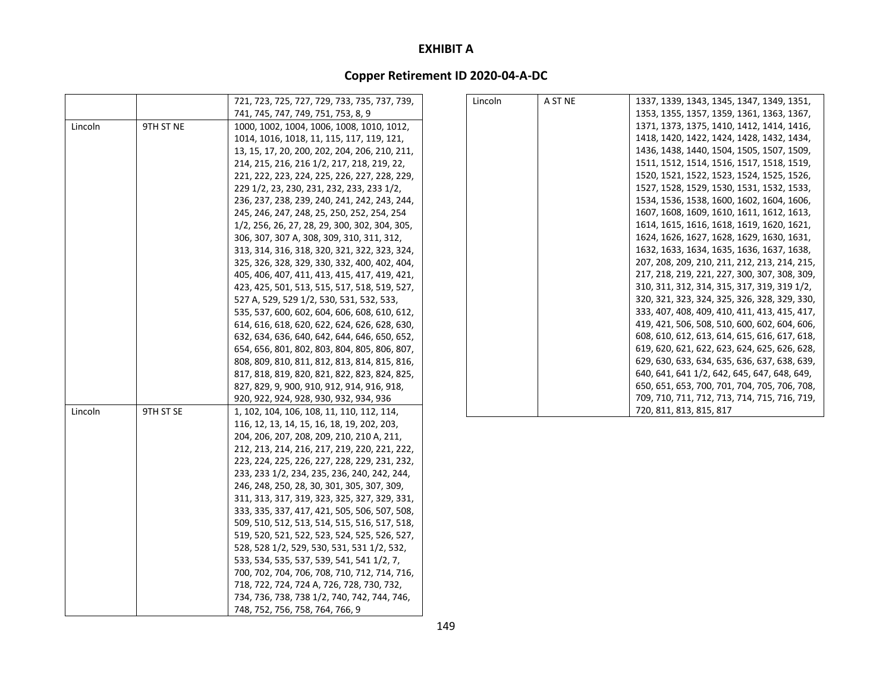| 1337, 1339, 1343, 1345, 1347, 1349, 1351,<br>1353, 1355, 1357, 1359, 1361, 1363, 1367,<br>1371, 1373, 1375, 1410, 1412, 1414, 1416, |
|-------------------------------------------------------------------------------------------------------------------------------------|
|                                                                                                                                     |
|                                                                                                                                     |
| 1418, 1420, 1422, 1424, 1428, 1432, 1434,                                                                                           |
| 1436, 1438, 1440, 1504, 1505, 1507, 1509,                                                                                           |
|                                                                                                                                     |
| 1511, 1512, 1514, 1516, 1517, 1518, 1519,                                                                                           |
| 1520, 1521, 1522, 1523, 1524, 1525, 1526,                                                                                           |
| 1527, 1528, 1529, 1530, 1531, 1532, 1533,                                                                                           |
| 1534, 1536, 1538, 1600, 1602, 1604, 1606,                                                                                           |
| 1607, 1608, 1609, 1610, 1611, 1612, 1613,                                                                                           |
| 1614, 1615, 1616, 1618, 1619, 1620, 1621,                                                                                           |
| 1624, 1626, 1627, 1628, 1629, 1630, 1631,                                                                                           |
| 1632, 1633, 1634, 1635, 1636, 1637, 1638,                                                                                           |
| 207, 208, 209, 210, 211, 212, 213, 214, 215,                                                                                        |
| 217, 218, 219, 221, 227, 300, 307, 308, 309,                                                                                        |
| 310, 311, 312, 314, 315, 317, 319, 319 1/2,                                                                                         |
| 320, 321, 323, 324, 325, 326, 328, 329, 330,                                                                                        |
| 333, 407, 408, 409, 410, 411, 413, 415, 417,                                                                                        |
| 419, 421, 506, 508, 510, 600, 602, 604, 606,                                                                                        |
| 608, 610, 612, 613, 614, 615, 616, 617, 618,                                                                                        |
| 619, 620, 621, 622, 623, 624, 625, 626, 628,                                                                                        |
| 629, 630, 633, 634, 635, 636, 637, 638, 639,                                                                                        |
| 640, 641, 641 1/2, 642, 645, 647, 648, 649,                                                                                         |
| 650, 651, 653, 700, 701, 704, 705, 706, 708,                                                                                        |
| 709, 710, 711, 712, 713, 714, 715, 716, 719,                                                                                        |
|                                                                                                                                     |
|                                                                                                                                     |
|                                                                                                                                     |
|                                                                                                                                     |
|                                                                                                                                     |
|                                                                                                                                     |
|                                                                                                                                     |
|                                                                                                                                     |
|                                                                                                                                     |
|                                                                                                                                     |
|                                                                                                                                     |
|                                                                                                                                     |
|                                                                                                                                     |
|                                                                                                                                     |
|                                                                                                                                     |
|                                                                                                                                     |
|                                                                                                                                     |
|                                                                                                                                     |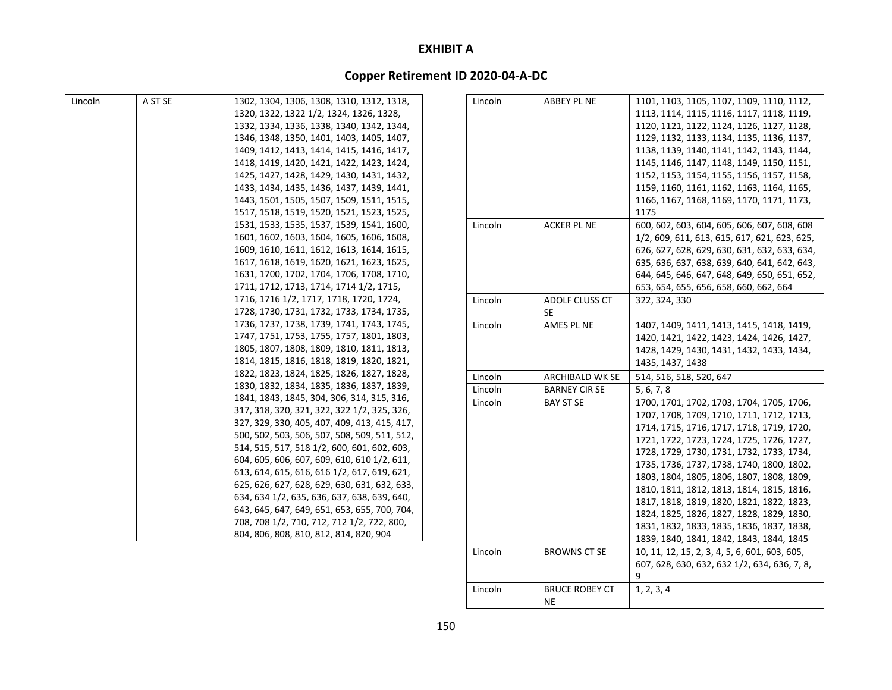# **Copper Retirement ID 2020‐04‐A‐DC**

| Lincoln | A ST SE | 1302, 1304, 1306, 1308, 1310, 1312, 1318,    | Lincoln | ABBEY PL NE            | 1101, 1103, 1105, 1107, 1109, 1110, 1112,     |
|---------|---------|----------------------------------------------|---------|------------------------|-----------------------------------------------|
|         |         | 1320, 1322, 1322 1/2, 1324, 1326, 1328,      |         |                        | 1113, 1114, 1115, 1116, 1117, 1118, 1119,     |
|         |         | 1332, 1334, 1336, 1338, 1340, 1342, 1344,    |         |                        | 1120, 1121, 1122, 1124, 1126, 1127, 1128,     |
|         |         | 1346, 1348, 1350, 1401, 1403, 1405, 1407,    |         |                        | 1129, 1132, 1133, 1134, 1135, 1136, 1137,     |
|         |         | 1409, 1412, 1413, 1414, 1415, 1416, 1417,    |         |                        | 1138, 1139, 1140, 1141, 1142, 1143, 1144,     |
|         |         | 1418, 1419, 1420, 1421, 1422, 1423, 1424,    |         |                        | 1145, 1146, 1147, 1148, 1149, 1150, 1151,     |
|         |         | 1425, 1427, 1428, 1429, 1430, 1431, 1432,    |         |                        | 1152, 1153, 1154, 1155, 1156, 1157, 1158,     |
|         |         | 1433, 1434, 1435, 1436, 1437, 1439, 1441,    |         |                        | 1159, 1160, 1161, 1162, 1163, 1164, 1165,     |
|         |         | 1443, 1501, 1505, 1507, 1509, 1511, 1515,    |         |                        | 1166, 1167, 1168, 1169, 1170, 1171, 1173,     |
|         |         | 1517, 1518, 1519, 1520, 1521, 1523, 1525,    |         |                        | 1175                                          |
|         |         | 1531, 1533, 1535, 1537, 1539, 1541, 1600,    | Lincoln | <b>ACKER PL NE</b>     | 600, 602, 603, 604, 605, 606, 607, 608, 608   |
|         |         | 1601, 1602, 1603, 1604, 1605, 1606, 1608,    |         |                        | 1/2, 609, 611, 613, 615, 617, 621, 623, 625,  |
|         |         | 1609, 1610, 1611, 1612, 1613, 1614, 1615,    |         |                        | 626, 627, 628, 629, 630, 631, 632, 633, 634,  |
|         |         | 1617, 1618, 1619, 1620, 1621, 1623, 1625,    |         |                        | 635, 636, 637, 638, 639, 640, 641, 642, 643,  |
|         |         | 1631, 1700, 1702, 1704, 1706, 1708, 1710,    |         |                        | 644, 645, 646, 647, 648, 649, 650, 651, 652,  |
|         |         | 1711, 1712, 1713, 1714, 1714 1/2, 1715,      |         |                        | 653, 654, 655, 656, 658, 660, 662, 664        |
|         |         | 1716, 1716 1/2, 1717, 1718, 1720, 1724,      | Lincoln | ADOLF CLUSS CT         | 322, 324, 330                                 |
|         |         | 1728, 1730, 1731, 1732, 1733, 1734, 1735,    |         | <b>SE</b>              |                                               |
|         |         | 1736, 1737, 1738, 1739, 1741, 1743, 1745,    | Lincoln | AMES PL NE             | 1407, 1409, 1411, 1413, 1415, 1418, 1419,     |
|         |         | 1747, 1751, 1753, 1755, 1757, 1801, 1803,    |         |                        | 1420, 1421, 1422, 1423, 1424, 1426, 1427,     |
|         |         | 1805, 1807, 1808, 1809, 1810, 1811, 1813,    |         |                        | 1428, 1429, 1430, 1431, 1432, 1433, 1434,     |
|         |         | 1814, 1815, 1816, 1818, 1819, 1820, 1821,    |         |                        | 1435, 1437, 1438                              |
|         |         | 1822, 1823, 1824, 1825, 1826, 1827, 1828,    | Lincoln | <b>ARCHIBALD WK SE</b> | 514, 516, 518, 520, 647                       |
|         |         | 1830, 1832, 1834, 1835, 1836, 1837, 1839,    | Lincoln | <b>BARNEY CIR SE</b>   | 5, 6, 7, 8                                    |
|         |         | 1841, 1843, 1845, 304, 306, 314, 315, 316,   | Lincoln | <b>BAY ST SE</b>       | 1700, 1701, 1702, 1703, 1704, 1705, 1706,     |
|         |         | 317, 318, 320, 321, 322, 322 1/2, 325, 326,  |         |                        | 1707, 1708, 1709, 1710, 1711, 1712, 1713,     |
|         |         | 327, 329, 330, 405, 407, 409, 413, 415, 417, |         |                        | 1714, 1715, 1716, 1717, 1718, 1719, 1720,     |
|         |         | 500, 502, 503, 506, 507, 508, 509, 511, 512, |         |                        | 1721, 1722, 1723, 1724, 1725, 1726, 1727,     |
|         |         | 514, 515, 517, 518 1/2, 600, 601, 602, 603,  |         |                        | 1728, 1729, 1730, 1731, 1732, 1733, 1734,     |
|         |         | 604, 605, 606, 607, 609, 610, 610 1/2, 611,  |         |                        | 1735, 1736, 1737, 1738, 1740, 1800, 1802,     |
|         |         | 613, 614, 615, 616, 616 1/2, 617, 619, 621,  |         |                        | 1803, 1804, 1805, 1806, 1807, 1808, 1809,     |
|         |         | 625, 626, 627, 628, 629, 630, 631, 632, 633, |         |                        | 1810, 1811, 1812, 1813, 1814, 1815, 1816,     |
|         |         | 634, 634 1/2, 635, 636, 637, 638, 639, 640,  |         |                        | 1817, 1818, 1819, 1820, 1821, 1822, 1823,     |
|         |         | 643, 645, 647, 649, 651, 653, 655, 700, 704, |         |                        | 1824, 1825, 1826, 1827, 1828, 1829, 1830,     |
|         |         | 708, 708 1/2, 710, 712, 712 1/2, 722, 800,   |         |                        | 1831, 1832, 1833, 1835, 1836, 1837, 1838,     |
|         |         | 804, 806, 808, 810, 812, 814, 820, 904       |         |                        | 1839, 1840, 1841, 1842, 1843, 1844, 1845      |
|         |         |                                              | Lincoln | <b>BROWNS CT SE</b>    | 10, 11, 12, 15, 2, 3, 4, 5, 6, 601, 603, 605, |

Lincoln

607, 628, 630, 632, 632 1/2, 634, 636, 7, 8,

9

1, 2, 3, 4

BRUCE ROBEY CT

NE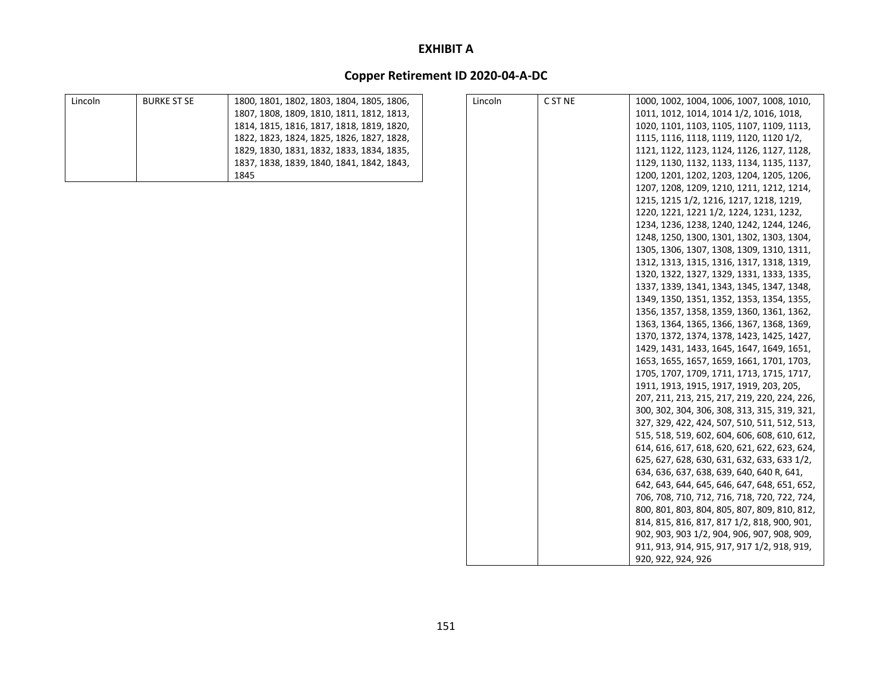| Lincoln | <b>BURKE ST SE</b> | 1800, 1801, 1802, 1803, 1804, 1805, 1806, |
|---------|--------------------|-------------------------------------------|
|         |                    | 1807, 1808, 1809, 1810, 1811, 1812, 1813, |
|         |                    | 1814, 1815, 1816, 1817, 1818, 1819, 1820, |
|         |                    | 1822, 1823, 1824, 1825, 1826, 1827, 1828, |
|         |                    | 1829, 1830, 1831, 1832, 1833, 1834, 1835, |
|         |                    | 1837, 1838, 1839, 1840, 1841, 1842, 1843, |
|         |                    | 1845                                      |

| Lincoln | C ST NE | 1000, 1002, 1004, 1006, 1007, 1008, 1010,    |
|---------|---------|----------------------------------------------|
|         |         | 1011, 1012, 1014, 1014 1/2, 1016, 1018,      |
|         |         | 1020, 1101, 1103, 1105, 1107, 1109, 1113,    |
|         |         | 1115, 1116, 1118, 1119, 1120, 1120 1/2,      |
|         |         | 1121, 1122, 1123, 1124, 1126, 1127, 1128,    |
|         |         | 1129, 1130, 1132, 1133, 1134, 1135, 1137,    |
|         |         | 1200, 1201, 1202, 1203, 1204, 1205, 1206,    |
|         |         | 1207, 1208, 1209, 1210, 1211, 1212, 1214,    |
|         |         | 1215, 1215 1/2, 1216, 1217, 1218, 1219,      |
|         |         | 1220, 1221, 1221 1/2, 1224, 1231, 1232,      |
|         |         | 1234, 1236, 1238, 1240, 1242, 1244, 1246,    |
|         |         | 1248, 1250, 1300, 1301, 1302, 1303, 1304,    |
|         |         | 1305, 1306, 1307, 1308, 1309, 1310, 1311,    |
|         |         | 1312, 1313, 1315, 1316, 1317, 1318, 1319,    |
|         |         | 1320, 1322, 1327, 1329, 1331, 1333, 1335,    |
|         |         | 1337, 1339, 1341, 1343, 1345, 1347, 1348,    |
|         |         | 1349, 1350, 1351, 1352, 1353, 1354, 1355,    |
|         |         | 1356, 1357, 1358, 1359, 1360, 1361, 1362,    |
|         |         | 1363, 1364, 1365, 1366, 1367, 1368, 1369,    |
|         |         | 1370, 1372, 1374, 1378, 1423, 1425, 1427,    |
|         |         | 1429, 1431, 1433, 1645, 1647, 1649, 1651,    |
|         |         | 1653, 1655, 1657, 1659, 1661, 1701, 1703,    |
|         |         | 1705, 1707, 1709, 1711, 1713, 1715, 1717,    |
|         |         | 1911, 1913, 1915, 1917, 1919, 203, 205,      |
|         |         | 207, 211, 213, 215, 217, 219, 220, 224, 226, |
|         |         | 300, 302, 304, 306, 308, 313, 315, 319, 321, |
|         |         | 327, 329, 422, 424, 507, 510, 511, 512, 513, |
|         |         | 515, 518, 519, 602, 604, 606, 608, 610, 612, |
|         |         | 614, 616, 617, 618, 620, 621, 622, 623, 624, |
|         |         | 625, 627, 628, 630, 631, 632, 633, 633 1/2,  |
|         |         | 634, 636, 637, 638, 639, 640, 640 R, 641,    |
|         |         | 642, 643, 644, 645, 646, 647, 648, 651, 652, |
|         |         | 706, 708, 710, 712, 716, 718, 720, 722, 724, |
|         |         | 800, 801, 803, 804, 805, 807, 809, 810, 812, |
|         |         | 814, 815, 816, 817, 817 1/2, 818, 900, 901,  |
|         |         | 902, 903, 903 1/2, 904, 906, 907, 908, 909,  |
|         |         | 911, 913, 914, 915, 917, 917 1/2, 918, 919,  |
|         |         | 920, 922, 924, 926                           |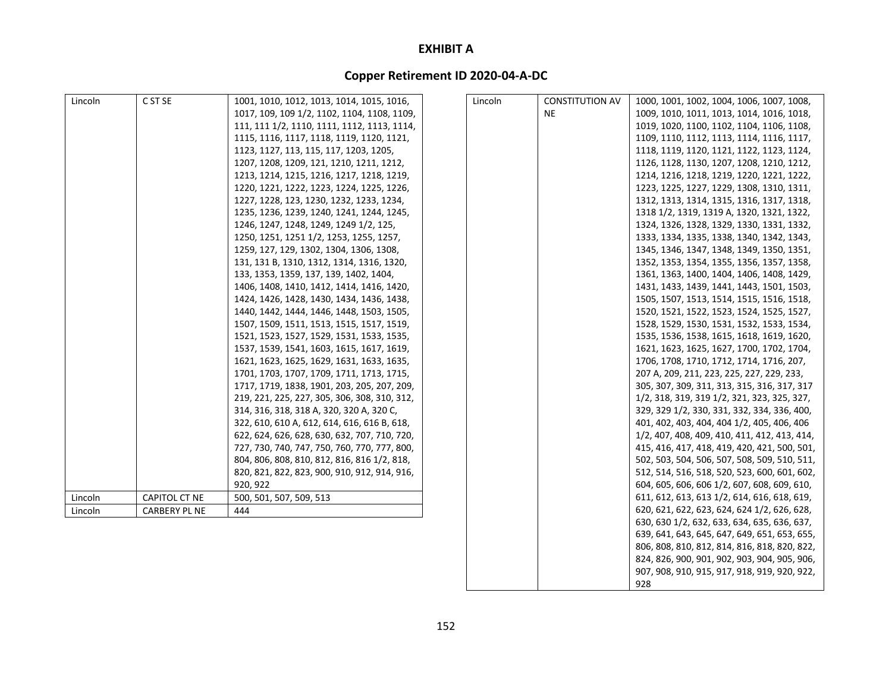# **Copper Retirement ID 2020‐04‐A‐DC**

| Lincoln | C ST SE              | 1001, 1010, 1012, 1013, 1014, 1015, 1016,    | Lincoln | <b>CONSTITUTION AV</b> | 1000, 1001, 1002, 1004, 1006, 1007, 1008,    |
|---------|----------------------|----------------------------------------------|---------|------------------------|----------------------------------------------|
|         |                      | 1017, 109, 109 1/2, 1102, 1104, 1108, 1109,  |         | <b>NE</b>              | 1009, 1010, 1011, 1013, 1014, 1016, 1018,    |
|         |                      | 111, 111 1/2, 1110, 1111, 1112, 1113, 1114,  |         |                        | 1019, 1020, 1100, 1102, 1104, 1106, 1108,    |
|         |                      | 1115, 1116, 1117, 1118, 1119, 1120, 1121,    |         |                        | 1109, 1110, 1112, 1113, 1114, 1116, 1117,    |
|         |                      | 1123, 1127, 113, 115, 117, 1203, 1205,       |         |                        | 1118, 1119, 1120, 1121, 1122, 1123, 1124,    |
|         |                      | 1207, 1208, 1209, 121, 1210, 1211, 1212,     |         |                        | 1126, 1128, 1130, 1207, 1208, 1210, 1212,    |
|         |                      | 1213, 1214, 1215, 1216, 1217, 1218, 1219,    |         |                        | 1214, 1216, 1218, 1219, 1220, 1221, 1222,    |
|         |                      | 1220, 1221, 1222, 1223, 1224, 1225, 1226,    |         |                        | 1223, 1225, 1227, 1229, 1308, 1310, 1311,    |
|         |                      | 1227, 1228, 123, 1230, 1232, 1233, 1234,     |         |                        | 1312, 1313, 1314, 1315, 1316, 1317, 1318,    |
|         |                      | 1235, 1236, 1239, 1240, 1241, 1244, 1245,    |         |                        | 1318 1/2, 1319, 1319 A, 1320, 1321, 1322,    |
|         |                      | 1246, 1247, 1248, 1249, 1249 1/2, 125,       |         |                        | 1324, 1326, 1328, 1329, 1330, 1331, 1332,    |
|         |                      | 1250, 1251, 1251 1/2, 1253, 1255, 1257,      |         |                        | 1333, 1334, 1335, 1338, 1340, 1342, 1343,    |
|         |                      | 1259, 127, 129, 1302, 1304, 1306, 1308,      |         |                        | 1345, 1346, 1347, 1348, 1349, 1350, 1351,    |
|         |                      | 131, 131 B, 1310, 1312, 1314, 1316, 1320,    |         |                        | 1352, 1353, 1354, 1355, 1356, 1357, 1358,    |
|         |                      | 133, 1353, 1359, 137, 139, 1402, 1404,       |         |                        | 1361, 1363, 1400, 1404, 1406, 1408, 1429,    |
|         |                      | 1406, 1408, 1410, 1412, 1414, 1416, 1420,    |         |                        | 1431, 1433, 1439, 1441, 1443, 1501, 1503,    |
|         |                      | 1424, 1426, 1428, 1430, 1434, 1436, 1438,    |         |                        | 1505, 1507, 1513, 1514, 1515, 1516, 1518,    |
|         |                      | 1440, 1442, 1444, 1446, 1448, 1503, 1505,    |         |                        | 1520, 1521, 1522, 1523, 1524, 1525, 1527,    |
|         |                      | 1507, 1509, 1511, 1513, 1515, 1517, 1519,    |         |                        | 1528, 1529, 1530, 1531, 1532, 1533, 1534,    |
|         |                      | 1521, 1523, 1527, 1529, 1531, 1533, 1535,    |         |                        | 1535, 1536, 1538, 1615, 1618, 1619, 1620,    |
|         |                      | 1537, 1539, 1541, 1603, 1615, 1617, 1619,    |         |                        | 1621, 1623, 1625, 1627, 1700, 1702, 1704,    |
|         |                      | 1621, 1623, 1625, 1629, 1631, 1633, 1635,    |         |                        | 1706, 1708, 1710, 1712, 1714, 1716, 207,     |
|         |                      | 1701, 1703, 1707, 1709, 1711, 1713, 1715,    |         |                        | 207 A, 209, 211, 223, 225, 227, 229, 233,    |
|         |                      | 1717, 1719, 1838, 1901, 203, 205, 207, 209,  |         |                        | 305, 307, 309, 311, 313, 315, 316, 317, 317  |
|         |                      | 219, 221, 225, 227, 305, 306, 308, 310, 312, |         |                        | 1/2, 318, 319, 319 1/2, 321, 323, 325, 327,  |
|         |                      | 314, 316, 318, 318 A, 320, 320 A, 320 C,     |         |                        | 329, 329 1/2, 330, 331, 332, 334, 336, 400,  |
|         |                      | 322, 610, 610 A, 612, 614, 616, 616 B, 618,  |         |                        | 401, 402, 403, 404, 404 1/2, 405, 406, 406   |
|         |                      | 622, 624, 626, 628, 630, 632, 707, 710, 720, |         |                        | 1/2, 407, 408, 409, 410, 411, 412, 413, 414, |
|         |                      | 727, 730, 740, 747, 750, 760, 770, 777, 800, |         |                        | 415, 416, 417, 418, 419, 420, 421, 500, 501, |
|         |                      | 804, 806, 808, 810, 812, 816, 816 1/2, 818,  |         |                        | 502, 503, 504, 506, 507, 508, 509, 510, 511, |
|         |                      | 820, 821, 822, 823, 900, 910, 912, 914, 916, |         |                        | 512, 514, 516, 518, 520, 523, 600, 601, 602, |
|         |                      | 920, 922                                     |         |                        | 604, 605, 606, 606 1/2, 607, 608, 609, 610,  |
| Lincoln | CAPITOL CT NE        | 500, 501, 507, 509, 513                      |         |                        | 611, 612, 613, 613 1/2, 614, 616, 618, 619,  |
| Lincoln | <b>CARBERY PL NE</b> | 444                                          |         |                        | 620, 621, 622, 623, 624, 624 1/2, 626, 628,  |
|         |                      |                                              |         |                        | 630, 630 1/2, 632, 633, 634, 635, 636, 637,  |
|         |                      |                                              |         |                        | 639, 641, 643, 645, 647, 649, 651, 653, 655, |
|         |                      |                                              |         |                        | 806, 808, 810, 812, 814, 816, 818, 820, 822, |
|         |                      |                                              |         |                        | 824, 826, 900, 901, 902, 903, 904, 905, 906, |
|         |                      |                                              |         |                        | 907, 908, 910, 915, 917, 918, 919, 920, 922, |

928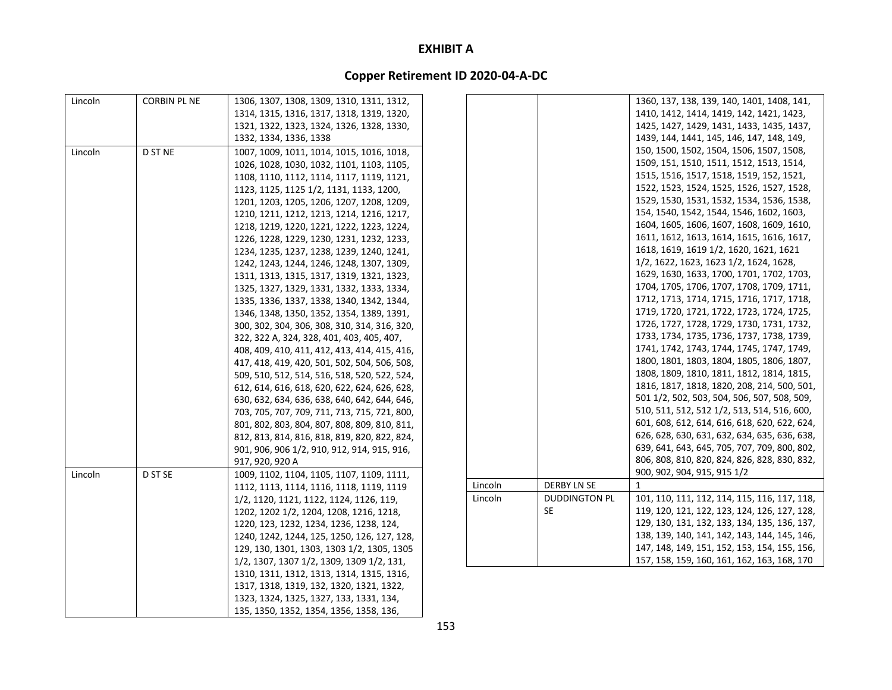| Lincoln | <b>CORBIN PL NE</b> | 1306, 1307, 1308, 1309, 1310, 1311, 1312,    |         |                      | 1360, 137, 138, 139, 140, 1401, 1408, 141,   |
|---------|---------------------|----------------------------------------------|---------|----------------------|----------------------------------------------|
|         |                     | 1314, 1315, 1316, 1317, 1318, 1319, 1320,    |         |                      | 1410, 1412, 1414, 1419, 142, 1421, 1423,     |
|         |                     | 1321, 1322, 1323, 1324, 1326, 1328, 1330,    |         |                      | 1425, 1427, 1429, 1431, 1433, 1435, 1437,    |
|         |                     | 1332, 1334, 1336, 1338                       |         |                      | 1439, 144, 1441, 145, 146, 147, 148, 149,    |
| Lincoln | D ST NE             | 1007, 1009, 1011, 1014, 1015, 1016, 1018,    |         |                      | 150, 1500, 1502, 1504, 1506, 1507, 1508,     |
|         |                     | 1026, 1028, 1030, 1032, 1101, 1103, 1105,    |         |                      | 1509, 151, 1510, 1511, 1512, 1513, 1514,     |
|         |                     | 1108, 1110, 1112, 1114, 1117, 1119, 1121,    |         |                      | 1515, 1516, 1517, 1518, 1519, 152, 1521,     |
|         |                     | 1123, 1125, 1125 1/2, 1131, 1133, 1200,      |         |                      | 1522, 1523, 1524, 1525, 1526, 1527, 1528,    |
|         |                     | 1201, 1203, 1205, 1206, 1207, 1208, 1209,    |         |                      | 1529, 1530, 1531, 1532, 1534, 1536, 1538,    |
|         |                     | 1210, 1211, 1212, 1213, 1214, 1216, 1217,    |         |                      | 154, 1540, 1542, 1544, 1546, 1602, 1603,     |
|         |                     | 1218, 1219, 1220, 1221, 1222, 1223, 1224,    |         |                      | 1604, 1605, 1606, 1607, 1608, 1609, 1610,    |
|         |                     | 1226, 1228, 1229, 1230, 1231, 1232, 1233,    |         |                      | 1611, 1612, 1613, 1614, 1615, 1616, 1617,    |
|         |                     | 1234, 1235, 1237, 1238, 1239, 1240, 1241,    |         |                      | 1618, 1619, 1619 1/2, 1620, 1621, 1621       |
|         |                     | 1242, 1243, 1244, 1246, 1248, 1307, 1309,    |         |                      | 1/2, 1622, 1623, 1623 1/2, 1624, 1628,       |
|         |                     | 1311, 1313, 1315, 1317, 1319, 1321, 1323,    |         |                      | 1629, 1630, 1633, 1700, 1701, 1702, 1703,    |
|         |                     | 1325, 1327, 1329, 1331, 1332, 1333, 1334,    |         |                      | 1704, 1705, 1706, 1707, 1708, 1709, 1711,    |
|         |                     | 1335, 1336, 1337, 1338, 1340, 1342, 1344,    |         |                      | 1712, 1713, 1714, 1715, 1716, 1717, 1718,    |
|         |                     | 1346, 1348, 1350, 1352, 1354, 1389, 1391,    |         |                      | 1719, 1720, 1721, 1722, 1723, 1724, 1725,    |
|         |                     | 300, 302, 304, 306, 308, 310, 314, 316, 320, |         |                      | 1726, 1727, 1728, 1729, 1730, 1731, 1732,    |
|         |                     | 322, 322 A, 324, 328, 401, 403, 405, 407,    |         |                      | 1733, 1734, 1735, 1736, 1737, 1738, 1739,    |
|         |                     | 408, 409, 410, 411, 412, 413, 414, 415, 416, |         |                      | 1741, 1742, 1743, 1744, 1745, 1747, 1749,    |
|         |                     | 417, 418, 419, 420, 501, 502, 504, 506, 508, |         |                      | 1800, 1801, 1803, 1804, 1805, 1806, 1807,    |
|         |                     | 509, 510, 512, 514, 516, 518, 520, 522, 524, |         |                      | 1808, 1809, 1810, 1811, 1812, 1814, 1815,    |
|         |                     | 612, 614, 616, 618, 620, 622, 624, 626, 628, |         |                      | 1816, 1817, 1818, 1820, 208, 214, 500, 501,  |
|         |                     | 630, 632, 634, 636, 638, 640, 642, 644, 646, |         |                      | 501 1/2, 502, 503, 504, 506, 507, 508, 509,  |
|         |                     | 703, 705, 707, 709, 711, 713, 715, 721, 800, |         |                      | 510, 511, 512, 512 1/2, 513, 514, 516, 600,  |
|         |                     | 801, 802, 803, 804, 807, 808, 809, 810, 811, |         |                      | 601, 608, 612, 614, 616, 618, 620, 622, 624, |
|         |                     | 812, 813, 814, 816, 818, 819, 820, 822, 824, |         |                      | 626, 628, 630, 631, 632, 634, 635, 636, 638, |
|         |                     | 901, 906, 906 1/2, 910, 912, 914, 915, 916,  |         |                      | 639, 641, 643, 645, 705, 707, 709, 800, 802, |
|         |                     | 917, 920, 920 A                              |         |                      | 806, 808, 810, 820, 824, 826, 828, 830, 832, |
| Lincoln | D ST SE             | 1009, 1102, 1104, 1105, 1107, 1109, 1111,    |         |                      | 900, 902, 904, 915, 915 1/2                  |
|         |                     | 1112, 1113, 1114, 1116, 1118, 1119, 1119     | Lincoln | <b>DERBY LN SE</b>   | 1                                            |
|         |                     | 1/2, 1120, 1121, 1122, 1124, 1126, 119,      | Lincoln | <b>DUDDINGTON PL</b> | 101, 110, 111, 112, 114, 115, 116, 117, 118, |
|         |                     | 1202, 1202 1/2, 1204, 1208, 1216, 1218,      |         | <b>SE</b>            | 119, 120, 121, 122, 123, 124, 126, 127, 128, |
|         |                     | 1220, 123, 1232, 1234, 1236, 1238, 124,      |         |                      | 129, 130, 131, 132, 133, 134, 135, 136, 137, |
|         |                     | 1240, 1242, 1244, 125, 1250, 126, 127, 128,  |         |                      | 138, 139, 140, 141, 142, 143, 144, 145, 146, |
|         |                     | 129, 130, 1301, 1303, 1303 1/2, 1305, 1305   |         |                      | 147, 148, 149, 151, 152, 153, 154, 155, 156, |
|         |                     | 1/2, 1307, 1307 1/2, 1309, 1309 1/2, 131,    |         |                      | 157, 158, 159, 160, 161, 162, 163, 168, 170  |
|         |                     | 1310, 1311, 1312, 1313, 1314, 1315, 1316,    |         |                      |                                              |
|         |                     | 1317, 1318, 1319, 132, 1320, 1321, 1322,     |         |                      |                                              |
|         |                     | 1323, 1324, 1325, 1327, 133, 1331, 134,      |         |                      |                                              |
|         |                     | 135, 1350, 1352, 1354, 1356, 1358, 136,      |         |                      |                                              |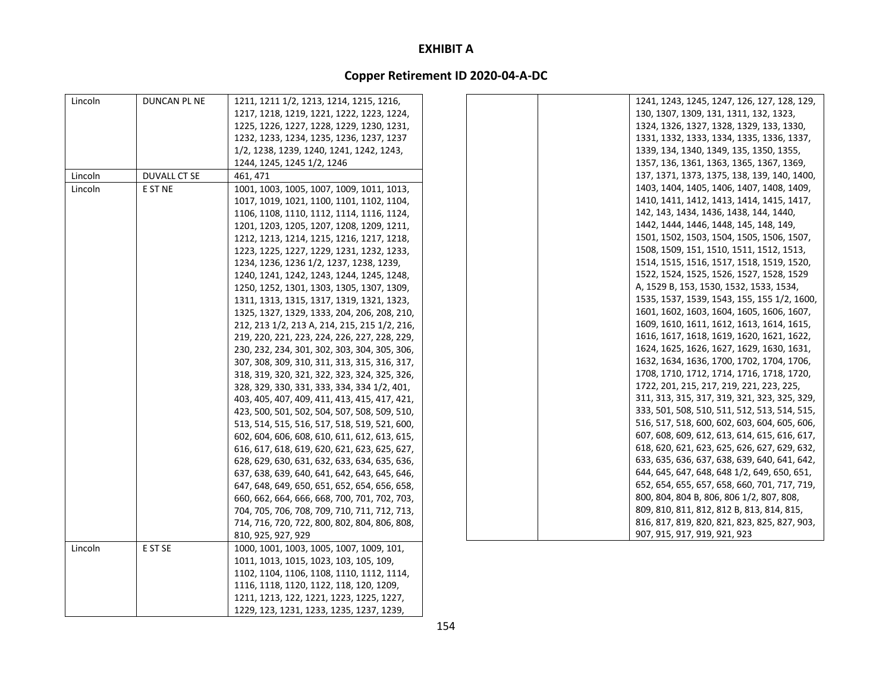| Lincoln | DUNCAN PL NE | 1211, 1211 1/2, 1213, 1214, 1215, 1216,      | 1241, 1243, 1245, 1247, 126, 127, 128, 129,  |
|---------|--------------|----------------------------------------------|----------------------------------------------|
|         |              | 1217, 1218, 1219, 1221, 1222, 1223, 1224,    | 130, 1307, 1309, 131, 1311, 132, 1323,       |
|         |              | 1225, 1226, 1227, 1228, 1229, 1230, 1231,    | 1324, 1326, 1327, 1328, 1329, 133, 1330,     |
|         |              | 1232, 1233, 1234, 1235, 1236, 1237, 1237     | 1331, 1332, 1333, 1334, 1335, 1336, 1337,    |
|         |              | 1/2, 1238, 1239, 1240, 1241, 1242, 1243,     | 1339, 134, 1340, 1349, 135, 1350, 1355,      |
|         |              | 1244, 1245, 1245 1/2, 1246                   | 1357, 136, 1361, 1363, 1365, 1367, 1369,     |
| Lincoln | DUVALL CT SE | 461, 471                                     | 137, 1371, 1373, 1375, 138, 139, 140, 1400,  |
| Lincoln | E ST NE      | 1001, 1003, 1005, 1007, 1009, 1011, 1013,    | 1403, 1404, 1405, 1406, 1407, 1408, 1409,    |
|         |              | 1017, 1019, 1021, 1100, 1101, 1102, 1104,    | 1410, 1411, 1412, 1413, 1414, 1415, 1417,    |
|         |              | 1106, 1108, 1110, 1112, 1114, 1116, 1124,    | 142, 143, 1434, 1436, 1438, 144, 1440,       |
|         |              | 1201, 1203, 1205, 1207, 1208, 1209, 1211,    | 1442, 1444, 1446, 1448, 145, 148, 149,       |
|         |              | 1212, 1213, 1214, 1215, 1216, 1217, 1218,    | 1501, 1502, 1503, 1504, 1505, 1506, 1507,    |
|         |              | 1223, 1225, 1227, 1229, 1231, 1232, 1233,    | 1508, 1509, 151, 1510, 1511, 1512, 1513,     |
|         |              | 1234, 1236, 1236 1/2, 1237, 1238, 1239,      | 1514, 1515, 1516, 1517, 1518, 1519, 1520,    |
|         |              | 1240, 1241, 1242, 1243, 1244, 1245, 1248,    | 1522, 1524, 1525, 1526, 1527, 1528, 1529     |
|         |              | 1250, 1252, 1301, 1303, 1305, 1307, 1309,    | A, 1529 B, 153, 1530, 1532, 1533, 1534,      |
|         |              | 1311, 1313, 1315, 1317, 1319, 1321, 1323,    | 1535, 1537, 1539, 1543, 155, 155 1/2, 1600,  |
|         |              | 1325, 1327, 1329, 1333, 204, 206, 208, 210,  | 1601, 1602, 1603, 1604, 1605, 1606, 1607,    |
|         |              | 212, 213 1/2, 213 A, 214, 215, 215 1/2, 216, | 1609, 1610, 1611, 1612, 1613, 1614, 1615,    |
|         |              | 219, 220, 221, 223, 224, 226, 227, 228, 229, | 1616, 1617, 1618, 1619, 1620, 1621, 1622,    |
|         |              | 230, 232, 234, 301, 302, 303, 304, 305, 306, | 1624, 1625, 1626, 1627, 1629, 1630, 1631,    |
|         |              | 307, 308, 309, 310, 311, 313, 315, 316, 317, | 1632, 1634, 1636, 1700, 1702, 1704, 1706,    |
|         |              | 318, 319, 320, 321, 322, 323, 324, 325, 326, | 1708, 1710, 1712, 1714, 1716, 1718, 1720,    |
|         |              | 328, 329, 330, 331, 333, 334, 334 1/2, 401,  | 1722, 201, 215, 217, 219, 221, 223, 225,     |
|         |              | 403, 405, 407, 409, 411, 413, 415, 417, 421, | 311, 313, 315, 317, 319, 321, 323, 325, 329, |
|         |              | 423, 500, 501, 502, 504, 507, 508, 509, 510, | 333, 501, 508, 510, 511, 512, 513, 514, 515, |
|         |              | 513, 514, 515, 516, 517, 518, 519, 521, 600, | 516, 517, 518, 600, 602, 603, 604, 605, 606, |
|         |              | 602, 604, 606, 608, 610, 611, 612, 613, 615, | 607, 608, 609, 612, 613, 614, 615, 616, 617, |
|         |              | 616, 617, 618, 619, 620, 621, 623, 625, 627, | 618, 620, 621, 623, 625, 626, 627, 629, 632, |
|         |              | 628, 629, 630, 631, 632, 633, 634, 635, 636, | 633, 635, 636, 637, 638, 639, 640, 641, 642, |
|         |              | 637, 638, 639, 640, 641, 642, 643, 645, 646, | 644, 645, 647, 648, 648 1/2, 649, 650, 651,  |
|         |              | 647, 648, 649, 650, 651, 652, 654, 656, 658, | 652, 654, 655, 657, 658, 660, 701, 717, 719, |
|         |              | 660, 662, 664, 666, 668, 700, 701, 702, 703, | 800, 804, 804 B, 806, 806 1/2, 807, 808,     |
|         |              | 704, 705, 706, 708, 709, 710, 711, 712, 713, | 809, 810, 811, 812, 812 B, 813, 814, 815,    |
|         |              | 714, 716, 720, 722, 800, 802, 804, 806, 808, | 816, 817, 819, 820, 821, 823, 825, 827, 903, |
|         |              | 810, 925, 927, 929                           | 907, 915, 917, 919, 921, 923                 |
| Lincoln | E ST SE      | 1000, 1001, 1003, 1005, 1007, 1009, 101,     |                                              |
|         |              | 1011, 1013, 1015, 1023, 103, 105, 109,       |                                              |
|         |              | 1102, 1104, 1106, 1108, 1110, 1112, 1114,    |                                              |
|         |              | 1116, 1118, 1120, 1122, 118, 120, 1209,      |                                              |
|         |              | 1211, 1213, 122, 1221, 1223, 1225, 1227,     |                                              |
|         |              | 1229, 123, 1231, 1233, 1235, 1237, 1239,     |                                              |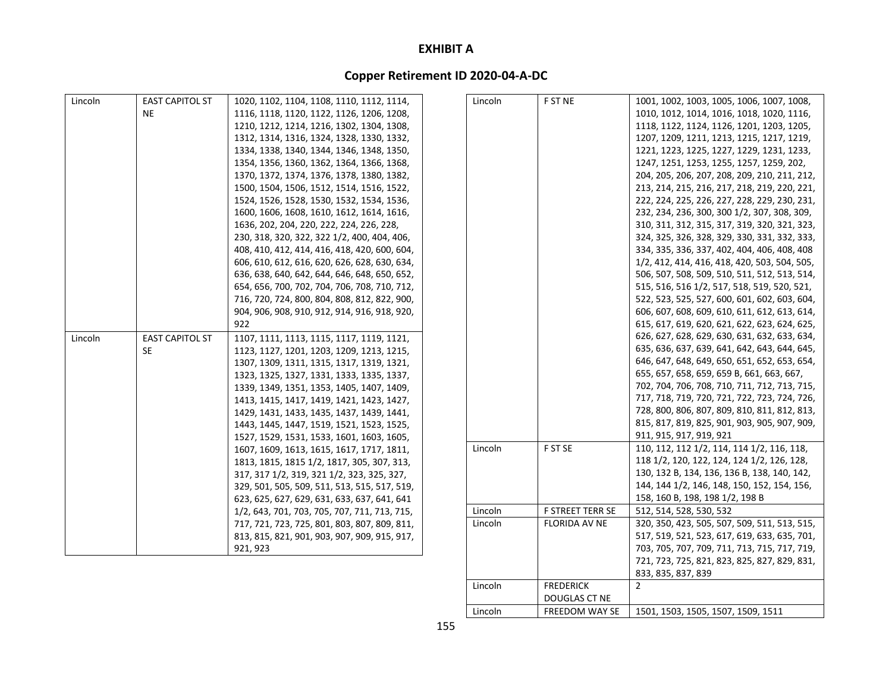# **Copper Retirement ID 2020‐04‐A‐DC**

| Lincoln | <b>EAST CAPITOL ST</b> | 1020, 1102, 1104, 1108, 1110, 1112, 1114,                                                    | Lincoln | F ST NE                 | 1001, 1002, 1003, 1005, 1006, 1007, 1008,                                                |
|---------|------------------------|----------------------------------------------------------------------------------------------|---------|-------------------------|------------------------------------------------------------------------------------------|
|         | <b>NE</b>              | 1116, 1118, 1120, 1122, 1126, 1206, 1208,                                                    |         |                         | 1010, 1012, 1014, 1016, 1018, 1020, 1116,                                                |
|         |                        | 1210, 1212, 1214, 1216, 1302, 1304, 1308,                                                    |         |                         | 1118, 1122, 1124, 1126, 1201, 1203, 1205,                                                |
|         |                        | 1312, 1314, 1316, 1324, 1328, 1330, 1332,                                                    |         |                         | 1207, 1209, 1211, 1213, 1215, 1217, 1219,                                                |
|         |                        |                                                                                              |         |                         |                                                                                          |
|         |                        | 1334, 1338, 1340, 1344, 1346, 1348, 1350,                                                    |         |                         | 1221, 1223, 1225, 1227, 1229, 1231, 1233,                                                |
|         |                        | 1354, 1356, 1360, 1362, 1364, 1366, 1368,<br>1370, 1372, 1374, 1376, 1378, 1380, 1382,       |         |                         | 1247, 1251, 1253, 1255, 1257, 1259, 202,<br>204, 205, 206, 207, 208, 209, 210, 211, 212, |
|         |                        | 1500, 1504, 1506, 1512, 1514, 1516, 1522,                                                    |         |                         | 213, 214, 215, 216, 217, 218, 219, 220, 221,                                             |
|         |                        |                                                                                              |         |                         |                                                                                          |
|         |                        | 1524, 1526, 1528, 1530, 1532, 1534, 1536,                                                    |         |                         | 222, 224, 225, 226, 227, 228, 229, 230, 231,                                             |
|         |                        | 1600, 1606, 1608, 1610, 1612, 1614, 1616,                                                    |         |                         | 232, 234, 236, 300, 300 1/2, 307, 308, 309,                                              |
|         |                        | 1636, 202, 204, 220, 222, 224, 226, 228,                                                     |         |                         | 310, 311, 312, 315, 317, 319, 320, 321, 323,                                             |
|         |                        | 230, 318, 320, 322, 322 1/2, 400, 404, 406,                                                  |         |                         | 324, 325, 326, 328, 329, 330, 331, 332, 333,                                             |
|         |                        | 408, 410, 412, 414, 416, 418, 420, 600, 604,                                                 |         |                         | 334, 335, 336, 337, 402, 404, 406, 408, 408                                              |
|         |                        | 606, 610, 612, 616, 620, 626, 628, 630, 634,                                                 |         |                         | 1/2, 412, 414, 416, 418, 420, 503, 504, 505,                                             |
|         |                        | 636, 638, 640, 642, 644, 646, 648, 650, 652,                                                 |         |                         | 506, 507, 508, 509, 510, 511, 512, 513, 514,                                             |
|         |                        | 654, 656, 700, 702, 704, 706, 708, 710, 712,<br>716, 720, 724, 800, 804, 808, 812, 822, 900, |         |                         | 515, 516, 516 1/2, 517, 518, 519, 520, 521,                                              |
|         |                        |                                                                                              |         |                         | 522, 523, 525, 527, 600, 601, 602, 603, 604,                                             |
|         |                        | 904, 906, 908, 910, 912, 914, 916, 918, 920,                                                 |         |                         | 606, 607, 608, 609, 610, 611, 612, 613, 614,                                             |
|         |                        | 922                                                                                          |         |                         | 615, 617, 619, 620, 621, 622, 623, 624, 625,                                             |
| Lincoln | <b>EAST CAPITOL ST</b> | 1107, 1111, 1113, 1115, 1117, 1119, 1121,                                                    |         |                         | 626, 627, 628, 629, 630, 631, 632, 633, 634,                                             |
|         | SE.                    | 1123, 1127, 1201, 1203, 1209, 1213, 1215,                                                    |         |                         | 635, 636, 637, 639, 641, 642, 643, 644, 645,                                             |
|         |                        | 1307, 1309, 1311, 1315, 1317, 1319, 1321,                                                    |         |                         | 646, 647, 648, 649, 650, 651, 652, 653, 654,                                             |
|         |                        | 1323, 1325, 1327, 1331, 1333, 1335, 1337,                                                    |         |                         | 655, 657, 658, 659, 659 B, 661, 663, 667,                                                |
|         |                        | 1339, 1349, 1351, 1353, 1405, 1407, 1409,                                                    |         |                         | 702, 704, 706, 708, 710, 711, 712, 713, 715,                                             |
|         |                        | 1413, 1415, 1417, 1419, 1421, 1423, 1427,                                                    |         |                         | 717, 718, 719, 720, 721, 722, 723, 724, 726,                                             |
|         |                        | 1429, 1431, 1433, 1435, 1437, 1439, 1441,                                                    |         |                         | 728, 800, 806, 807, 809, 810, 811, 812, 813,                                             |
|         |                        | 1443, 1445, 1447, 1519, 1521, 1523, 1525,                                                    |         |                         | 815, 817, 819, 825, 901, 903, 905, 907, 909,                                             |
|         |                        | 1527, 1529, 1531, 1533, 1601, 1603, 1605,                                                    |         |                         | 911, 915, 917, 919, 921                                                                  |
|         |                        | 1607, 1609, 1613, 1615, 1617, 1717, 1811,                                                    | Lincoln | F ST SE                 | 110, 112, 112 1/2, 114, 114 1/2, 116, 118,                                               |
|         |                        | 1813, 1815, 1815 1/2, 1817, 305, 307, 313,                                                   |         |                         | 118 1/2, 120, 122, 124, 124 1/2, 126, 128,                                               |
|         |                        | 317, 317 1/2, 319, 321 1/2, 323, 325, 327,                                                   |         |                         | 130, 132 B, 134, 136, 136 B, 138, 140, 142,                                              |
|         |                        | 329, 501, 505, 509, 511, 513, 515, 517, 519,                                                 |         |                         | 144, 144 1/2, 146, 148, 150, 152, 154, 156,                                              |
|         |                        | 623, 625, 627, 629, 631, 633, 637, 641, 641                                                  |         |                         | 158, 160 B, 198, 198 1/2, 198 B                                                          |
|         |                        | 1/2, 643, 701, 703, 705, 707, 711, 713, 715,                                                 | Lincoln | <b>F STREET TERR SE</b> | 512, 514, 528, 530, 532                                                                  |
|         |                        | 717, 721, 723, 725, 801, 803, 807, 809, 811,                                                 | Lincoln | <b>FLORIDA AV NE</b>    | 320, 350, 423, 505, 507, 509, 511, 513, 515,                                             |
|         |                        | 813, 815, 821, 901, 903, 907, 909, 915, 917,                                                 |         |                         | 517, 519, 521, 523, 617, 619, 633, 635, 701,                                             |
|         |                        | 921, 923                                                                                     |         |                         | 703, 705, 707, 709, 711, 713, 715, 717, 719,                                             |
|         |                        |                                                                                              |         |                         | 721, 723, 725, 821, 823, 825, 827, 829, 831,                                             |

Lincoln

Lincoln

 FREDERICK DOUGLAS CT NE

FREEDOM WAY SE

833, 835, 837, 839

1501, 1503, 1505, 1507, 1509, 1511

2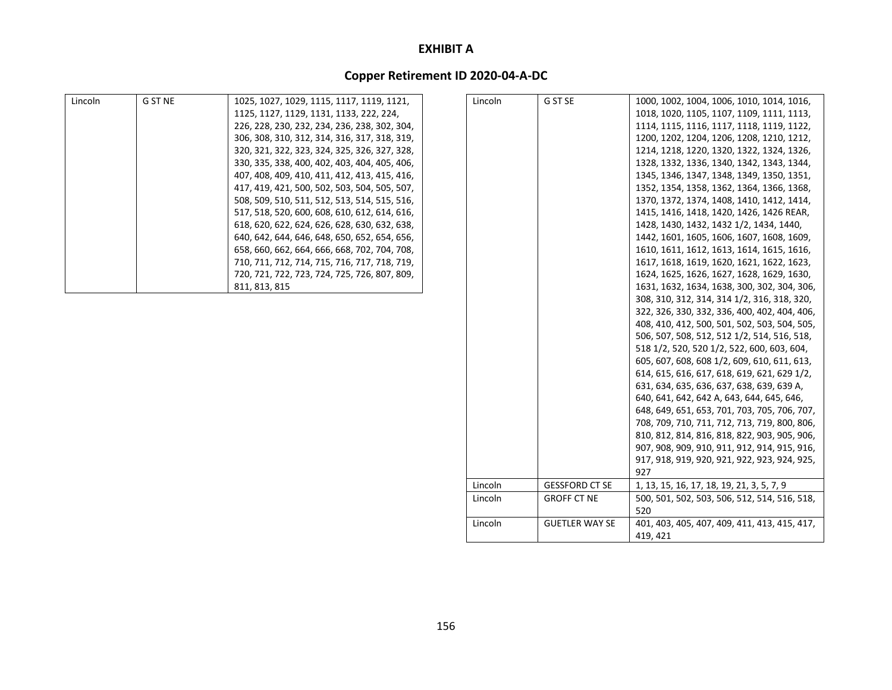| Lincoln | <b>G ST NE</b> | 1025, 1027, 1029, 1115, 1117, 1119, 1121,    | Lincoln | G ST SE               | 1000, 1002, 1004, 1006, 1010, 1014, 1016,    |
|---------|----------------|----------------------------------------------|---------|-----------------------|----------------------------------------------|
|         |                | 1125, 1127, 1129, 1131, 1133, 222, 224,      |         |                       | 1018, 1020, 1105, 1107, 1109, 1111, 1113,    |
|         |                | 226, 228, 230, 232, 234, 236, 238, 302, 304, |         |                       | 1114, 1115, 1116, 1117, 1118, 1119, 1122,    |
|         |                | 306, 308, 310, 312, 314, 316, 317, 318, 319, |         |                       | 1200, 1202, 1204, 1206, 1208, 1210, 1212,    |
|         |                | 320, 321, 322, 323, 324, 325, 326, 327, 328, |         |                       | 1214, 1218, 1220, 1320, 1322, 1324, 1326,    |
|         |                | 330, 335, 338, 400, 402, 403, 404, 405, 406, |         |                       | 1328, 1332, 1336, 1340, 1342, 1343, 1344,    |
|         |                | 407, 408, 409, 410, 411, 412, 413, 415, 416, |         |                       | 1345, 1346, 1347, 1348, 1349, 1350, 1351,    |
|         |                | 417, 419, 421, 500, 502, 503, 504, 505, 507, |         |                       | 1352, 1354, 1358, 1362, 1364, 1366, 1368,    |
|         |                | 508, 509, 510, 511, 512, 513, 514, 515, 516, |         |                       | 1370, 1372, 1374, 1408, 1410, 1412, 1414,    |
|         |                | 517, 518, 520, 600, 608, 610, 612, 614, 616, |         |                       | 1415, 1416, 1418, 1420, 1426, 1426 REAR,     |
|         |                | 618, 620, 622, 624, 626, 628, 630, 632, 638, |         |                       | 1428, 1430, 1432, 1432 1/2, 1434, 1440,      |
|         |                | 640, 642, 644, 646, 648, 650, 652, 654, 656, |         |                       | 1442, 1601, 1605, 1606, 1607, 1608, 1609,    |
|         |                | 658, 660, 662, 664, 666, 668, 702, 704, 708, |         |                       | 1610, 1611, 1612, 1613, 1614, 1615, 1616,    |
|         |                | 710, 711, 712, 714, 715, 716, 717, 718, 719, |         |                       | 1617, 1618, 1619, 1620, 1621, 1622, 1623,    |
|         |                | 720, 721, 722, 723, 724, 725, 726, 807, 809, |         |                       | 1624, 1625, 1626, 1627, 1628, 1629, 1630,    |
|         |                | 811, 813, 815                                |         |                       | 1631, 1632, 1634, 1638, 300, 302, 304, 306,  |
|         |                |                                              |         |                       | 308, 310, 312, 314, 314 1/2, 316, 318, 320,  |
|         |                |                                              |         |                       | 322, 326, 330, 332, 336, 400, 402, 404, 406, |
|         |                |                                              |         |                       | 408, 410, 412, 500, 501, 502, 503, 504, 505, |
|         |                |                                              |         |                       | 506, 507, 508, 512, 512 1/2, 514, 516, 518,  |
|         |                |                                              |         |                       | 518 1/2, 520, 520 1/2, 522, 600, 603, 604,   |
|         |                |                                              |         |                       | 605, 607, 608, 608 1/2, 609, 610, 611, 613,  |
|         |                |                                              |         |                       | 614, 615, 616, 617, 618, 619, 621, 629 1/2,  |
|         |                |                                              |         |                       | 631, 634, 635, 636, 637, 638, 639, 639 A,    |
|         |                |                                              |         |                       | 640, 641, 642, 642 A, 643, 644, 645, 646,    |
|         |                |                                              |         |                       | 648, 649, 651, 653, 701, 703, 705, 706, 707, |
|         |                |                                              |         |                       | 708, 709, 710, 711, 712, 713, 719, 800, 806, |
|         |                |                                              |         |                       | 810, 812, 814, 816, 818, 822, 903, 905, 906, |
|         |                |                                              |         |                       | 907, 908, 909, 910, 911, 912, 914, 915, 916, |
|         |                |                                              |         |                       | 917, 918, 919, 920, 921, 922, 923, 924, 925, |
|         |                |                                              |         |                       | 927                                          |
|         |                |                                              | Lincoln | <b>GESSFORD CT SE</b> | 1, 13, 15, 16, 17, 18, 19, 21, 3, 5, 7, 9    |
|         |                |                                              | Lincoln | <b>GROFF CT NE</b>    | 500, 501, 502, 503, 506, 512, 514, 516, 518, |
|         |                |                                              |         |                       | 520                                          |
|         |                |                                              | Lincoln | <b>GUETLER WAY SE</b> | 401, 403, 405, 407, 409, 411, 413, 415, 417, |
|         |                |                                              |         |                       | 419, 421                                     |
|         |                |                                              |         |                       |                                              |
|         |                |                                              |         |                       |                                              |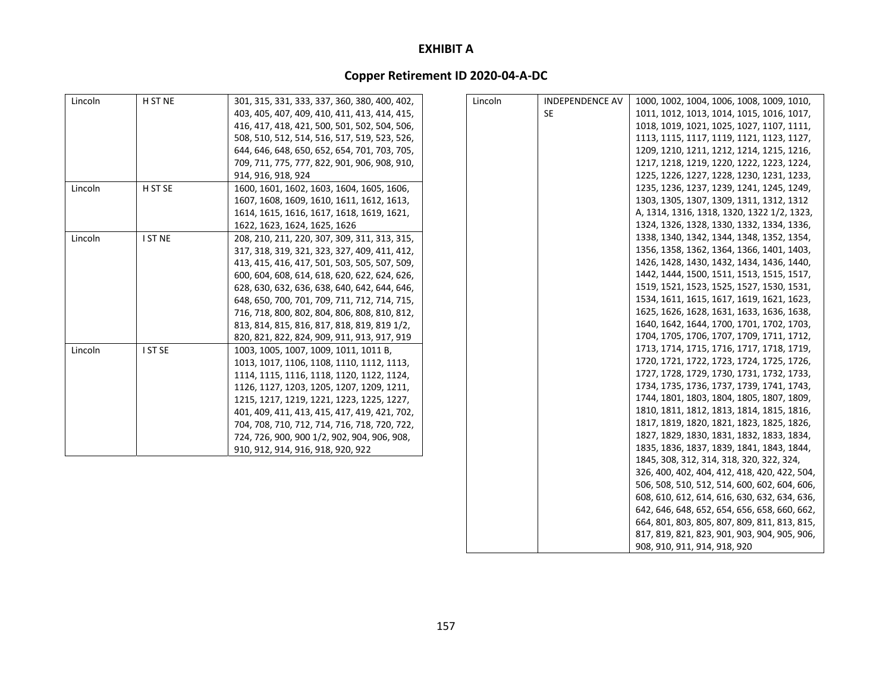| Lincoln | H ST NE | 301, 315, 331, 333, 337, 360, 380, 400, 402, | Lincoln | <b>INDEPENDENCE AV</b> | 1000, 1002, 1004, 1006, 1008, 1009, 1010,    |
|---------|---------|----------------------------------------------|---------|------------------------|----------------------------------------------|
|         |         | 403, 405, 407, 409, 410, 411, 413, 414, 415, |         | <b>SE</b>              | 1011, 1012, 1013, 1014, 1015, 1016, 1017,    |
|         |         | 416, 417, 418, 421, 500, 501, 502, 504, 506, |         |                        | 1018, 1019, 1021, 1025, 1027, 1107, 1111,    |
|         |         | 508, 510, 512, 514, 516, 517, 519, 523, 526, |         |                        | 1113, 1115, 1117, 1119, 1121, 1123, 1127,    |
|         |         | 644, 646, 648, 650, 652, 654, 701, 703, 705, |         |                        | 1209, 1210, 1211, 1212, 1214, 1215, 1216,    |
|         |         | 709, 711, 775, 777, 822, 901, 906, 908, 910, |         |                        | 1217, 1218, 1219, 1220, 1222, 1223, 1224,    |
|         |         | 914, 916, 918, 924                           |         |                        | 1225, 1226, 1227, 1228, 1230, 1231, 1233,    |
| Lincoln | H ST SE | 1600, 1601, 1602, 1603, 1604, 1605, 1606,    |         |                        | 1235, 1236, 1237, 1239, 1241, 1245, 1249,    |
|         |         | 1607, 1608, 1609, 1610, 1611, 1612, 1613,    |         |                        | 1303, 1305, 1307, 1309, 1311, 1312, 1312     |
|         |         | 1614, 1615, 1616, 1617, 1618, 1619, 1621,    |         |                        | A, 1314, 1316, 1318, 1320, 1322 1/2, 1323,   |
|         |         | 1622, 1623, 1624, 1625, 1626                 |         |                        | 1324, 1326, 1328, 1330, 1332, 1334, 1336,    |
| Lincoln | I ST NE | 208, 210, 211, 220, 307, 309, 311, 313, 315, |         |                        | 1338, 1340, 1342, 1344, 1348, 1352, 1354,    |
|         |         | 317, 318, 319, 321, 323, 327, 409, 411, 412, |         |                        | 1356, 1358, 1362, 1364, 1366, 1401, 1403,    |
|         |         | 413, 415, 416, 417, 501, 503, 505, 507, 509, |         |                        | 1426, 1428, 1430, 1432, 1434, 1436, 1440,    |
|         |         | 600, 604, 608, 614, 618, 620, 622, 624, 626, |         |                        | 1442, 1444, 1500, 1511, 1513, 1515, 1517,    |
|         |         | 628, 630, 632, 636, 638, 640, 642, 644, 646, |         |                        | 1519, 1521, 1523, 1525, 1527, 1530, 1531,    |
|         |         | 648, 650, 700, 701, 709, 711, 712, 714, 715, |         |                        | 1534, 1611, 1615, 1617, 1619, 1621, 1623,    |
|         |         | 716, 718, 800, 802, 804, 806, 808, 810, 812, |         |                        | 1625, 1626, 1628, 1631, 1633, 1636, 1638,    |
|         |         | 813, 814, 815, 816, 817, 818, 819, 819 1/2,  |         |                        | 1640, 1642, 1644, 1700, 1701, 1702, 1703,    |
|         |         | 820, 821, 822, 824, 909, 911, 913, 917, 919  |         |                        | 1704, 1705, 1706, 1707, 1709, 1711, 1712,    |
| Lincoln | I ST SE | 1003, 1005, 1007, 1009, 1011, 1011 B,        |         |                        | 1713, 1714, 1715, 1716, 1717, 1718, 1719,    |
|         |         | 1013, 1017, 1106, 1108, 1110, 1112, 1113,    |         |                        | 1720, 1721, 1722, 1723, 1724, 1725, 1726,    |
|         |         | 1114, 1115, 1116, 1118, 1120, 1122, 1124,    |         |                        | 1727, 1728, 1729, 1730, 1731, 1732, 1733,    |
|         |         | 1126, 1127, 1203, 1205, 1207, 1209, 1211,    |         |                        | 1734, 1735, 1736, 1737, 1739, 1741, 1743,    |
|         |         | 1215, 1217, 1219, 1221, 1223, 1225, 1227,    |         |                        | 1744, 1801, 1803, 1804, 1805, 1807, 1809,    |
|         |         | 401, 409, 411, 413, 415, 417, 419, 421, 702, |         |                        | 1810, 1811, 1812, 1813, 1814, 1815, 1816,    |
|         |         | 704, 708, 710, 712, 714, 716, 718, 720, 722, |         |                        | 1817, 1819, 1820, 1821, 1823, 1825, 1826,    |
|         |         | 724, 726, 900, 900 1/2, 902, 904, 906, 908,  |         |                        | 1827, 1829, 1830, 1831, 1832, 1833, 1834,    |
|         |         | 910, 912, 914, 916, 918, 920, 922            |         |                        | 1835, 1836, 1837, 1839, 1841, 1843, 1844,    |
|         |         |                                              |         |                        | 1845, 308, 312, 314, 318, 320, 322, 324,     |
|         |         |                                              |         |                        | 326, 400, 402, 404, 412, 418, 420, 422, 504, |
|         |         |                                              |         |                        | 506, 508, 510, 512, 514, 600, 602, 604, 606, |
|         |         |                                              |         |                        | 608, 610, 612, 614, 616, 630, 632, 634, 636, |
|         |         |                                              |         |                        | 642, 646, 648, 652, 654, 656, 658, 660, 662, |
|         |         |                                              |         |                        | 664, 801, 803, 805, 807, 809, 811, 813, 815, |
|         |         |                                              |         |                        | 817, 819, 821, 823, 901, 903, 904, 905, 906, |
|         |         |                                              |         |                        | 908, 910, 911, 914, 918, 920                 |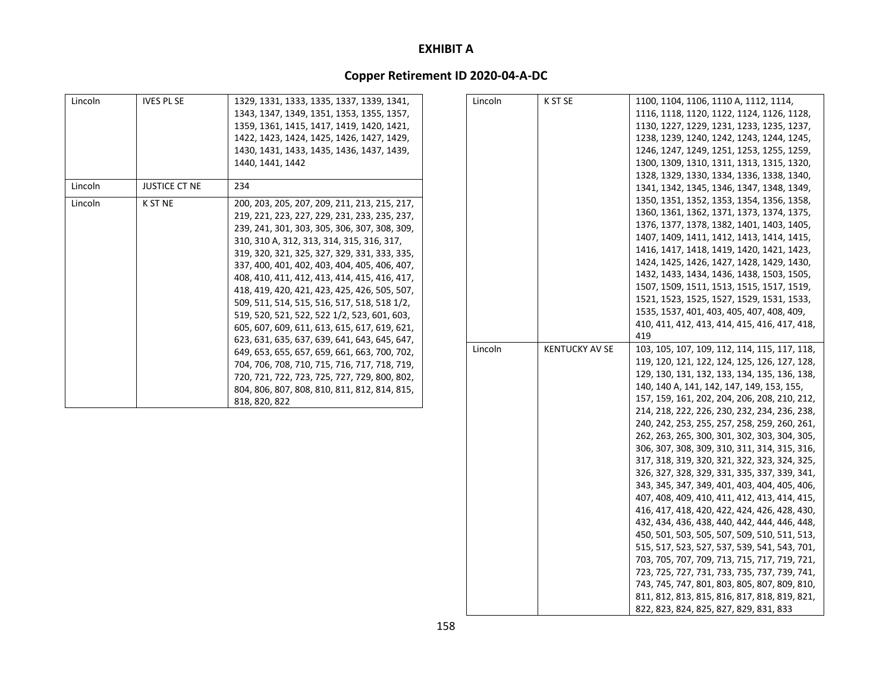| Lincoln | <b>IVES PL SE</b>    | 1329, 1331, 1333, 1335, 1337, 1339, 1341,<br>1343, 1347, 1349, 1351, 1353, 1355, 1357,<br>1359, 1361, 1415, 1417, 1419, 1420, 1421,<br>1422, 1423, 1424, 1425, 1426, 1427, 1429,<br>1430, 1431, 1433, 1435, 1436, 1437, 1439,<br>1440, 1441, 1442                                                                                                                                                                                                                                                                                                                                                                                                                                                                                                                                                        |
|---------|----------------------|----------------------------------------------------------------------------------------------------------------------------------------------------------------------------------------------------------------------------------------------------------------------------------------------------------------------------------------------------------------------------------------------------------------------------------------------------------------------------------------------------------------------------------------------------------------------------------------------------------------------------------------------------------------------------------------------------------------------------------------------------------------------------------------------------------|
| Lincoln | <b>JUSTICE CT NE</b> | 234                                                                                                                                                                                                                                                                                                                                                                                                                                                                                                                                                                                                                                                                                                                                                                                                      |
| Lincoln | <b>K ST NE</b>       | 200, 203, 205, 207, 209, 211, 213, 215, 217,<br>219, 221, 223, 227, 229, 231, 233, 235, 237,<br>239, 241, 301, 303, 305, 306, 307, 308, 309,<br>310, 310 A, 312, 313, 314, 315, 316, 317,<br>319, 320, 321, 325, 327, 329, 331, 333, 335,<br>337, 400, 401, 402, 403, 404, 405, 406, 407,<br>408, 410, 411, 412, 413, 414, 415, 416, 417,<br>418, 419, 420, 421, 423, 425, 426, 505, 507,<br>509, 511, 514, 515, 516, 517, 518, 518 1/2,<br>519, 520, 521, 522, 522 1/2, 523, 601, 603,<br>605, 607, 609, 611, 613, 615, 617, 619, 621,<br>623, 631, 635, 637, 639, 641, 643, 645, 647,<br>649, 653, 655, 657, 659, 661, 663, 700, 702,<br>704, 706, 708, 710, 715, 716, 717, 718, 719,<br>720, 721, 722, 723, 725, 727, 729, 800, 802,<br>804, 806, 807, 808, 810, 811, 812, 814, 815,<br>818, 820, 822 |

| Lincoln | K ST SE               | 1100, 1104, 1106, 1110 A, 1112, 1114,        |
|---------|-----------------------|----------------------------------------------|
|         |                       | 1116, 1118, 1120, 1122, 1124, 1126, 1128,    |
|         |                       | 1130, 1227, 1229, 1231, 1233, 1235, 1237,    |
|         |                       | 1238, 1239, 1240, 1242, 1243, 1244, 1245,    |
|         |                       | 1246, 1247, 1249, 1251, 1253, 1255, 1259,    |
|         |                       | 1300, 1309, 1310, 1311, 1313, 1315, 1320,    |
|         |                       | 1328, 1329, 1330, 1334, 1336, 1338, 1340,    |
|         |                       | 1341, 1342, 1345, 1346, 1347, 1348, 1349,    |
|         |                       | 1350, 1351, 1352, 1353, 1354, 1356, 1358,    |
|         |                       | 1360, 1361, 1362, 1371, 1373, 1374, 1375,    |
|         |                       | 1376, 1377, 1378, 1382, 1401, 1403, 1405,    |
|         |                       | 1407, 1409, 1411, 1412, 1413, 1414, 1415,    |
|         |                       | 1416, 1417, 1418, 1419, 1420, 1421, 1423,    |
|         |                       | 1424, 1425, 1426, 1427, 1428, 1429, 1430,    |
|         |                       | 1432, 1433, 1434, 1436, 1438, 1503, 1505,    |
|         |                       | 1507, 1509, 1511, 1513, 1515, 1517, 1519,    |
|         |                       | 1521, 1523, 1525, 1527, 1529, 1531, 1533,    |
|         |                       | 1535, 1537, 401, 403, 405, 407, 408, 409,    |
|         |                       | 410, 411, 412, 413, 414, 415, 416, 417, 418, |
|         |                       | 419                                          |
| Lincoln | <b>KENTUCKY AV SE</b> | 103, 105, 107, 109, 112, 114, 115, 117, 118, |
|         |                       | 119, 120, 121, 122, 124, 125, 126, 127, 128, |
|         |                       | 129, 130, 131, 132, 133, 134, 135, 136, 138, |
|         |                       | 140, 140 A, 141, 142, 147, 149, 153, 155,    |
|         |                       | 157, 159, 161, 202, 204, 206, 208, 210, 212, |
|         |                       | 214, 218, 222, 226, 230, 232, 234, 236, 238, |
|         |                       | 240, 242, 253, 255, 257, 258, 259, 260, 261, |
|         |                       | 262, 263, 265, 300, 301, 302, 303, 304, 305, |
|         |                       | 306, 307, 308, 309, 310, 311, 314, 315, 316, |
|         |                       | 317, 318, 319, 320, 321, 322, 323, 324, 325, |
|         |                       | 326, 327, 328, 329, 331, 335, 337, 339, 341, |
|         |                       | 343, 345, 347, 349, 401, 403, 404, 405, 406, |
|         |                       | 407, 408, 409, 410, 411, 412, 413, 414, 415, |
|         |                       | 416, 417, 418, 420, 422, 424, 426, 428, 430, |
|         |                       | 432, 434, 436, 438, 440, 442, 444, 446, 448, |
|         |                       | 450, 501, 503, 505, 507, 509, 510, 511, 513, |
|         |                       | 515, 517, 523, 527, 537, 539, 541, 543, 701, |
|         |                       | 703, 705, 707, 709, 713, 715, 717, 719, 721, |
|         |                       | 723, 725, 727, 731, 733, 735, 737, 739, 741, |
|         |                       | 743, 745, 747, 801, 803, 805, 807, 809, 810, |
|         |                       | 811, 812, 813, 815, 816, 817, 818, 819, 821, |
|         |                       | 822, 823, 824, 825, 827, 829, 831, 833       |
|         |                       |                                              |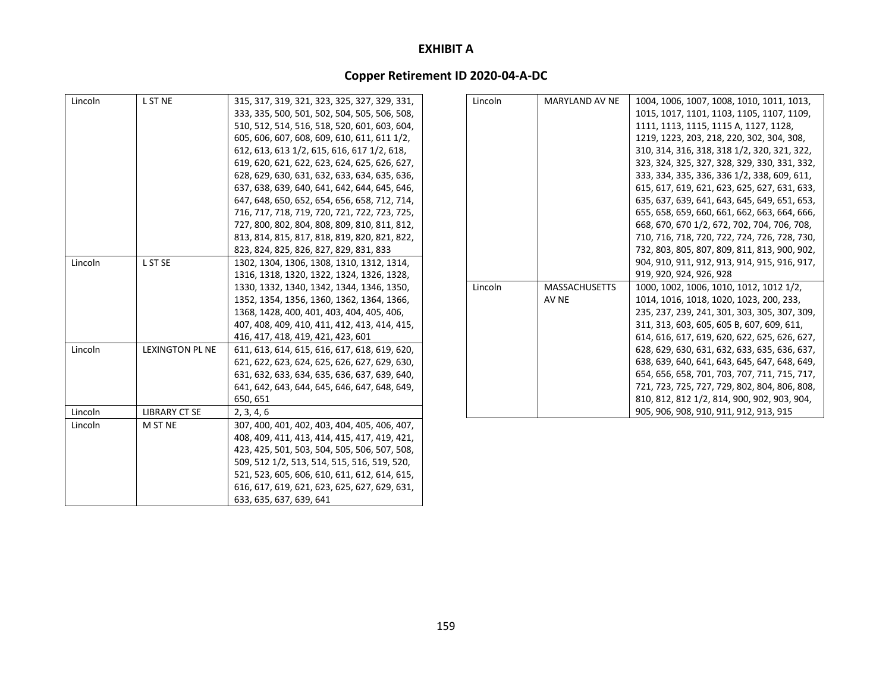| Lincoln | L ST NE                | 315, 317, 319, 321, 323, 325, 327, 329, 331, |
|---------|------------------------|----------------------------------------------|
|         |                        | 333, 335, 500, 501, 502, 504, 505, 506, 508, |
|         |                        | 510, 512, 514, 516, 518, 520, 601, 603, 604, |
|         |                        | 605, 606, 607, 608, 609, 610, 611, 611 1/2,  |
|         |                        | 612, 613, 613 1/2, 615, 616, 617 1/2, 618,   |
|         |                        | 619, 620, 621, 622, 623, 624, 625, 626, 627, |
|         |                        | 628, 629, 630, 631, 632, 633, 634, 635, 636, |
|         |                        | 637, 638, 639, 640, 641, 642, 644, 645, 646, |
|         |                        | 647, 648, 650, 652, 654, 656, 658, 712, 714, |
|         |                        | 716, 717, 718, 719, 720, 721, 722, 723, 725, |
|         |                        | 727, 800, 802, 804, 808, 809, 810, 811, 812, |
|         |                        | 813, 814, 815, 817, 818, 819, 820, 821, 822, |
|         |                        | 823, 824, 825, 826, 827, 829, 831, 833       |
| Lincoln | L ST SE                | 1302, 1304, 1306, 1308, 1310, 1312, 1314,    |
|         |                        | 1316, 1318, 1320, 1322, 1324, 1326, 1328,    |
|         |                        | 1330, 1332, 1340, 1342, 1344, 1346, 1350,    |
|         |                        | 1352, 1354, 1356, 1360, 1362, 1364, 1366,    |
|         |                        | 1368, 1428, 400, 401, 403, 404, 405, 406,    |
|         |                        | 407, 408, 409, 410, 411, 412, 413, 414, 415, |
|         |                        | 416, 417, 418, 419, 421, 423, 601            |
| Lincoln | <b>LEXINGTON PL NE</b> | 611, 613, 614, 615, 616, 617, 618, 619, 620, |
|         |                        | 621, 622, 623, 624, 625, 626, 627, 629, 630, |
|         |                        | 631, 632, 633, 634, 635, 636, 637, 639, 640, |
|         |                        | 641, 642, 643, 644, 645, 646, 647, 648, 649, |
|         |                        | 650, 651                                     |
| Lincoln | <b>LIBRARY CT SE</b>   | 2, 3, 4, 6                                   |
| Lincoln | M ST NE                | 307, 400, 401, 402, 403, 404, 405, 406, 407, |
|         |                        | 408, 409, 411, 413, 414, 415, 417, 419, 421, |
|         |                        | 423, 425, 501, 503, 504, 505, 506, 507, 508, |
|         |                        | 509, 512 1/2, 513, 514, 515, 516, 519, 520,  |
|         |                        | 521, 523, 605, 606, 610, 611, 612, 614, 615, |
|         |                        | 616, 617, 619, 621, 623, 625, 627, 629, 631, |
|         |                        | 633, 635, 637, 639, 641                      |

| Lincoln | <b>MARYLAND AV NE</b> | 1004, 1006, 1007, 1008, 1010, 1011, 1013,    |
|---------|-----------------------|----------------------------------------------|
|         |                       | 1015, 1017, 1101, 1103, 1105, 1107, 1109,    |
|         |                       | 1111, 1113, 1115, 1115 A, 1127, 1128,        |
|         |                       | 1219, 1223, 203, 218, 220, 302, 304, 308,    |
|         |                       | 310, 314, 316, 318, 318 1/2, 320, 321, 322,  |
|         |                       | 323, 324, 325, 327, 328, 329, 330, 331, 332, |
|         |                       | 333, 334, 335, 336, 336 1/2, 338, 609, 611,  |
|         |                       | 615, 617, 619, 621, 623, 625, 627, 631, 633, |
|         |                       | 635, 637, 639, 641, 643, 645, 649, 651, 653, |
|         |                       | 655, 658, 659, 660, 661, 662, 663, 664, 666, |
|         |                       | 668, 670, 670 1/2, 672, 702, 704, 706, 708,  |
|         |                       | 710, 716, 718, 720, 722, 724, 726, 728, 730, |
|         |                       | 732, 803, 805, 807, 809, 811, 813, 900, 902, |
|         |                       | 904, 910, 911, 912, 913, 914, 915, 916, 917, |
|         |                       | 919, 920, 924, 926, 928                      |
| Lincoln | <b>MASSACHUSETTS</b>  | 1000, 1002, 1006, 1010, 1012, 1012 1/2,      |
|         | AV NE                 | 1014, 1016, 1018, 1020, 1023, 200, 233,      |
|         |                       | 235, 237, 239, 241, 301, 303, 305, 307, 309, |
|         |                       | 311, 313, 603, 605, 605 B, 607, 609, 611,    |
|         |                       | 614, 616, 617, 619, 620, 622, 625, 626, 627, |
|         |                       | 628, 629, 630, 631, 632, 633, 635, 636, 637, |
|         |                       | 638, 639, 640, 641, 643, 645, 647, 648, 649, |
|         |                       | 654, 656, 658, 701, 703, 707, 711, 715, 717, |
|         |                       | 721, 723, 725, 727, 729, 802, 804, 806, 808, |
|         |                       | 810, 812, 812 1/2, 814, 900, 902, 903, 904,  |
|         |                       | 905, 906, 908, 910, 911, 912, 913, 915       |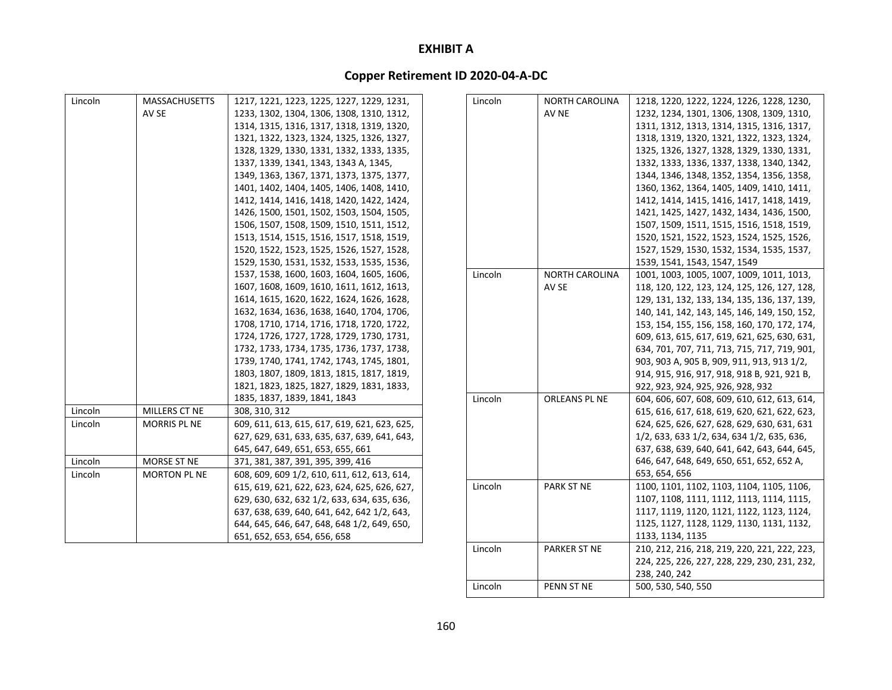# **Copper Retirement ID 2020‐04‐A‐DC**

| Lincoln | <b>MASSACHUSETTS</b> | 1217, 1221, 1223, 1225, 1227, 1229, 1231,    | Lincoln | <b>NORTH CAROLINA</b> | 1218, 1220, 1222, 1224, 1226, 1228, 1230,    |
|---------|----------------------|----------------------------------------------|---------|-----------------------|----------------------------------------------|
|         | AV SE                | 1233, 1302, 1304, 1306, 1308, 1310, 1312,    |         | AV NE                 | 1232, 1234, 1301, 1306, 1308, 1309, 1310,    |
|         |                      | 1314, 1315, 1316, 1317, 1318, 1319, 1320,    |         |                       | 1311, 1312, 1313, 1314, 1315, 1316, 1317,    |
|         |                      | 1321, 1322, 1323, 1324, 1325, 1326, 1327,    |         |                       | 1318, 1319, 1320, 1321, 1322, 1323, 1324,    |
|         |                      | 1328, 1329, 1330, 1331, 1332, 1333, 1335,    |         |                       | 1325, 1326, 1327, 1328, 1329, 1330, 1331,    |
|         |                      | 1337, 1339, 1341, 1343, 1343 A, 1345,        |         |                       | 1332, 1333, 1336, 1337, 1338, 1340, 1342,    |
|         |                      | 1349, 1363, 1367, 1371, 1373, 1375, 1377,    |         |                       | 1344, 1346, 1348, 1352, 1354, 1356, 1358,    |
|         |                      | 1401, 1402, 1404, 1405, 1406, 1408, 1410,    |         |                       | 1360, 1362, 1364, 1405, 1409, 1410, 1411,    |
|         |                      | 1412, 1414, 1416, 1418, 1420, 1422, 1424,    |         |                       | 1412, 1414, 1415, 1416, 1417, 1418, 1419,    |
|         |                      | 1426, 1500, 1501, 1502, 1503, 1504, 1505,    |         |                       | 1421, 1425, 1427, 1432, 1434, 1436, 1500,    |
|         |                      | 1506, 1507, 1508, 1509, 1510, 1511, 1512,    |         |                       | 1507, 1509, 1511, 1515, 1516, 1518, 1519,    |
|         |                      | 1513, 1514, 1515, 1516, 1517, 1518, 1519,    |         |                       | 1520, 1521, 1522, 1523, 1524, 1525, 1526,    |
|         |                      | 1520, 1522, 1523, 1525, 1526, 1527, 1528,    |         |                       | 1527, 1529, 1530, 1532, 1534, 1535, 1537,    |
|         |                      | 1529, 1530, 1531, 1532, 1533, 1535, 1536,    |         |                       | 1539, 1541, 1543, 1547, 1549                 |
|         |                      | 1537, 1538, 1600, 1603, 1604, 1605, 1606,    | Lincoln | NORTH CAROLINA        | 1001, 1003, 1005, 1007, 1009, 1011, 1013,    |
|         |                      | 1607, 1608, 1609, 1610, 1611, 1612, 1613,    |         | AV SE                 | 118, 120, 122, 123, 124, 125, 126, 127, 128, |
|         |                      | 1614, 1615, 1620, 1622, 1624, 1626, 1628,    |         |                       | 129, 131, 132, 133, 134, 135, 136, 137, 139, |
|         |                      | 1632, 1634, 1636, 1638, 1640, 1704, 1706,    |         |                       | 140, 141, 142, 143, 145, 146, 149, 150, 152, |
|         |                      | 1708, 1710, 1714, 1716, 1718, 1720, 1722,    |         |                       | 153, 154, 155, 156, 158, 160, 170, 172, 174, |
|         |                      | 1724, 1726, 1727, 1728, 1729, 1730, 1731,    |         |                       | 609, 613, 615, 617, 619, 621, 625, 630, 631, |
|         |                      | 1732, 1733, 1734, 1735, 1736, 1737, 1738,    |         |                       | 634, 701, 707, 711, 713, 715, 717, 719, 901, |
|         |                      | 1739, 1740, 1741, 1742, 1743, 1745, 1801,    |         |                       | 903, 903 A, 905 B, 909, 911, 913, 913 1/2,   |
|         |                      | 1803, 1807, 1809, 1813, 1815, 1817, 1819,    |         |                       | 914, 915, 916, 917, 918, 918 B, 921, 921 B,  |
|         |                      | 1821, 1823, 1825, 1827, 1829, 1831, 1833,    |         |                       | 922, 923, 924, 925, 926, 928, 932            |
|         |                      | 1835, 1837, 1839, 1841, 1843                 | Lincoln | ORLEANS PL NE         | 604, 606, 607, 608, 609, 610, 612, 613, 614, |
| Lincoln | MILLERS CT NE        | 308, 310, 312                                |         |                       | 615, 616, 617, 618, 619, 620, 621, 622, 623, |
| Lincoln | <b>MORRIS PL NE</b>  | 609, 611, 613, 615, 617, 619, 621, 623, 625, |         |                       | 624, 625, 626, 627, 628, 629, 630, 631, 631  |
|         |                      | 627, 629, 631, 633, 635, 637, 639, 641, 643, |         |                       | 1/2, 633, 633 1/2, 634, 634 1/2, 635, 636,   |
|         |                      | 645, 647, 649, 651, 653, 655, 661            |         |                       | 637, 638, 639, 640, 641, 642, 643, 644, 645, |
| Lincoln | MORSE ST NE          | 371, 381, 387, 391, 395, 399, 416            |         |                       | 646, 647, 648, 649, 650, 651, 652, 652 A,    |
| Lincoln | <b>MORTON PL NE</b>  | 608, 609, 609 1/2, 610, 611, 612, 613, 614,  |         |                       | 653, 654, 656                                |
|         |                      | 615, 619, 621, 622, 623, 624, 625, 626, 627, | Lincoln | <b>PARK ST NE</b>     | 1100, 1101, 1102, 1103, 1104, 1105, 1106,    |
|         |                      | 629, 630, 632, 632 1/2, 633, 634, 635, 636,  |         |                       | 1107, 1108, 1111, 1112, 1113, 1114, 1115,    |
|         |                      | 637, 638, 639, 640, 641, 642, 642 1/2, 643,  |         |                       | 1117, 1119, 1120, 1121, 1122, 1123, 1124,    |
|         |                      | 644, 645, 646, 647, 648, 648 1/2, 649, 650,  |         |                       | 1125, 1127, 1128, 1129, 1130, 1131, 1132,    |
|         |                      | 651, 652, 653, 654, 656, 658                 |         |                       | 1133, 1134, 1135                             |
|         |                      |                                              | Lincoln | <b>PARKER ST NE</b>   | 210, 212, 216, 218, 219, 220, 221, 222, 223, |

Lincoln

PENN ST NE

224, 225, 226, 227, 228, 229, 230, 231, 232,

238, 240, 242

N ST NE  $\vert$  500, 530, 540, 550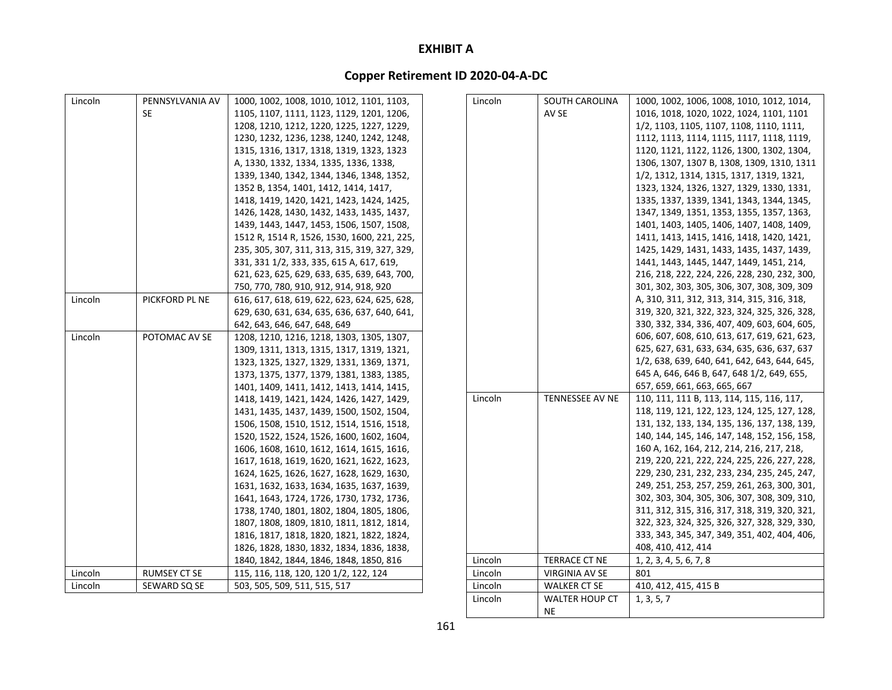## **Copper Retirement ID 2020‐04‐A‐DC**

| Lincoln | PENNSYLVANIA AV | 1000, 1002, 1008, 1010, 1012, 1101, 1103,    | Lincoln | SOUTH CAROLINA         | 1000, 1002, 1006, 1008, 1010, 1012, 1014,    |
|---------|-----------------|----------------------------------------------|---------|------------------------|----------------------------------------------|
|         | <b>SE</b>       | 1105, 1107, 1111, 1123, 1129, 1201, 1206,    |         | AV SE                  | 1016, 1018, 1020, 1022, 1024, 1101, 1101     |
|         |                 | 1208, 1210, 1212, 1220, 1225, 1227, 1229,    |         |                        | 1/2, 1103, 1105, 1107, 1108, 1110, 1111,     |
|         |                 | 1230, 1232, 1236, 1238, 1240, 1242, 1248,    |         |                        | 1112, 1113, 1114, 1115, 1117, 1118, 1119,    |
|         |                 | 1315, 1316, 1317, 1318, 1319, 1323, 1323     |         |                        | 1120, 1121, 1122, 1126, 1300, 1302, 1304,    |
|         |                 | A, 1330, 1332, 1334, 1335, 1336, 1338,       |         |                        | 1306, 1307, 1307 B, 1308, 1309, 1310, 1311   |
|         |                 | 1339, 1340, 1342, 1344, 1346, 1348, 1352,    |         |                        | 1/2, 1312, 1314, 1315, 1317, 1319, 1321,     |
|         |                 | 1352 B, 1354, 1401, 1412, 1414, 1417,        |         |                        | 1323, 1324, 1326, 1327, 1329, 1330, 1331,    |
|         |                 | 1418, 1419, 1420, 1421, 1423, 1424, 1425,    |         |                        | 1335, 1337, 1339, 1341, 1343, 1344, 1345,    |
|         |                 | 1426, 1428, 1430, 1432, 1433, 1435, 1437,    |         |                        | 1347, 1349, 1351, 1353, 1355, 1357, 1363,    |
|         |                 | 1439, 1443, 1447, 1453, 1506, 1507, 1508,    |         |                        | 1401, 1403, 1405, 1406, 1407, 1408, 1409,    |
|         |                 | 1512 R, 1514 R, 1526, 1530, 1600, 221, 225,  |         |                        | 1411, 1413, 1415, 1416, 1418, 1420, 1421,    |
|         |                 | 235, 305, 307, 311, 313, 315, 319, 327, 329, |         |                        | 1425, 1429, 1431, 1433, 1435, 1437, 1439,    |
|         |                 | 331, 331 1/2, 333, 335, 615 A, 617, 619,     |         |                        | 1441, 1443, 1445, 1447, 1449, 1451, 214,     |
|         |                 | 621, 623, 625, 629, 633, 635, 639, 643, 700, |         |                        | 216, 218, 222, 224, 226, 228, 230, 232, 300, |
|         |                 | 750, 770, 780, 910, 912, 914, 918, 920       |         |                        | 301, 302, 303, 305, 306, 307, 308, 309, 309  |
| Lincoln | PICKFORD PL NE  | 616, 617, 618, 619, 622, 623, 624, 625, 628, |         |                        | A, 310, 311, 312, 313, 314, 315, 316, 318,   |
|         |                 | 629, 630, 631, 634, 635, 636, 637, 640, 641, |         |                        | 319, 320, 321, 322, 323, 324, 325, 326, 328, |
|         |                 | 642, 643, 646, 647, 648, 649                 |         |                        | 330, 332, 334, 336, 407, 409, 603, 604, 605, |
| Lincoln | POTOMAC AV SE   | 1208, 1210, 1216, 1218, 1303, 1305, 1307,    |         |                        | 606, 607, 608, 610, 613, 617, 619, 621, 623, |
|         |                 | 1309, 1311, 1313, 1315, 1317, 1319, 1321,    |         |                        | 625, 627, 631, 633, 634, 635, 636, 637, 637  |
|         |                 | 1323, 1325, 1327, 1329, 1331, 1369, 1371,    |         |                        | 1/2, 638, 639, 640, 641, 642, 643, 644, 645, |
|         |                 | 1373, 1375, 1377, 1379, 1381, 1383, 1385,    |         |                        | 645 A, 646, 646 B, 647, 648 1/2, 649, 655,   |
|         |                 | 1401, 1409, 1411, 1412, 1413, 1414, 1415,    |         |                        | 657, 659, 661, 663, 665, 667                 |
|         |                 | 1418, 1419, 1421, 1424, 1426, 1427, 1429,    | Lincoln | <b>TENNESSEE AV NE</b> | 110, 111, 111 B, 113, 114, 115, 116, 117,    |
|         |                 | 1431, 1435, 1437, 1439, 1500, 1502, 1504,    |         |                        | 118, 119, 121, 122, 123, 124, 125, 127, 128, |
|         |                 | 1506, 1508, 1510, 1512, 1514, 1516, 1518,    |         |                        | 131, 132, 133, 134, 135, 136, 137, 138, 139, |
|         |                 | 1520, 1522, 1524, 1526, 1600, 1602, 1604,    |         |                        | 140, 144, 145, 146, 147, 148, 152, 156, 158, |
|         |                 | 1606, 1608, 1610, 1612, 1614, 1615, 1616,    |         |                        | 160 A, 162, 164, 212, 214, 216, 217, 218,    |
|         |                 | 1617, 1618, 1619, 1620, 1621, 1622, 1623,    |         |                        | 219, 220, 221, 222, 224, 225, 226, 227, 228, |
|         |                 | 1624, 1625, 1626, 1627, 1628, 1629, 1630,    |         |                        | 229, 230, 231, 232, 233, 234, 235, 245, 247, |
|         |                 | 1631, 1632, 1633, 1634, 1635, 1637, 1639,    |         |                        | 249, 251, 253, 257, 259, 261, 263, 300, 301, |
|         |                 | 1641, 1643, 1724, 1726, 1730, 1732, 1736,    |         |                        | 302, 303, 304, 305, 306, 307, 308, 309, 310, |
|         |                 | 1738, 1740, 1801, 1802, 1804, 1805, 1806,    |         |                        | 311, 312, 315, 316, 317, 318, 319, 320, 321, |
|         |                 | 1807, 1808, 1809, 1810, 1811, 1812, 1814,    |         |                        | 322, 323, 324, 325, 326, 327, 328, 329, 330, |
|         |                 | 1816, 1817, 1818, 1820, 1821, 1822, 1824,    |         |                        | 333, 343, 345, 347, 349, 351, 402, 404, 406, |
|         |                 | 1826, 1828, 1830, 1832, 1834, 1836, 1838,    |         |                        | 408, 410, 412, 414                           |
|         |                 | 1840, 1842, 1844, 1846, 1848, 1850, 816      | Lincoln | <b>TERRACE CT NE</b>   | 1, 2, 3, 4, 5, 6, 7, 8                       |
| Lincoln | RUMSEY CT SE    | 115, 116, 118, 120, 120 1/2, 122, 124        | Lincoln | <b>VIRGINIA AV SE</b>  | 801                                          |
| Lincoln | SEWARD SQ SE    | 503, 505, 509, 511, 515, 517                 | Lincoln | WALKER CT SE           | 410, 412, 415, 415 B                         |
|         |                 |                                              | Lincoln | <b>WALTER HOUP CT</b>  | 1, 3, 5, 7                                   |

NE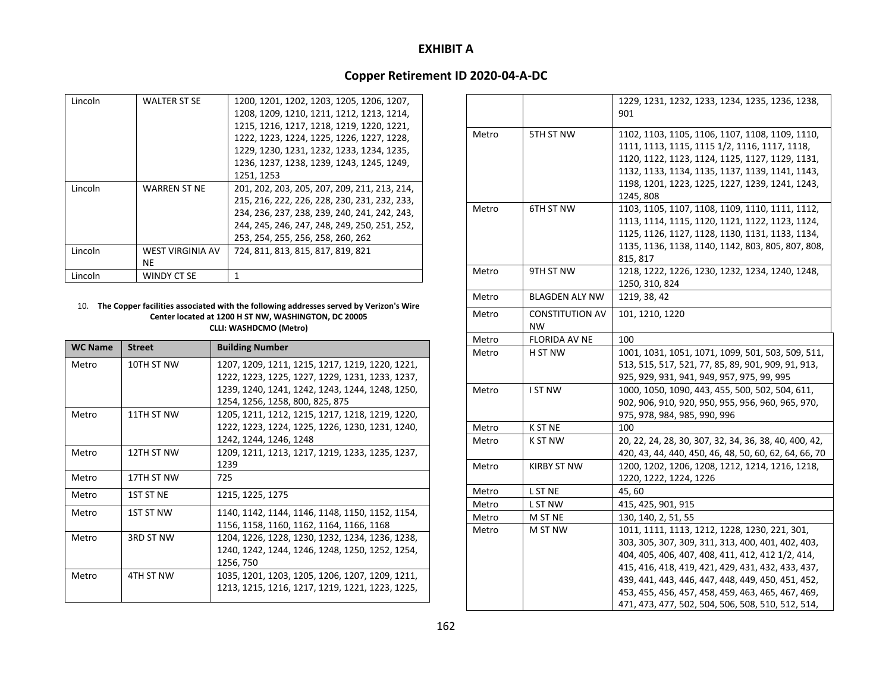## **Copper Retirement ID 2020‐04‐A‐DC**

| Lincoln | <b>WALTER ST SE</b>     | 1200, 1201, 1202, 1203, 1205, 1206, 1207,    |
|---------|-------------------------|----------------------------------------------|
|         |                         | 1208, 1209, 1210, 1211, 1212, 1213, 1214,    |
|         |                         | 1215, 1216, 1217, 1218, 1219, 1220, 1221,    |
|         |                         | 1222, 1223, 1224, 1225, 1226, 1227, 1228,    |
|         |                         | 1229, 1230, 1231, 1232, 1233, 1234, 1235,    |
|         |                         | 1236, 1237, 1238, 1239, 1243, 1245, 1249,    |
|         |                         | 1251, 1253                                   |
| Lincoln | <b>WARREN ST NE</b>     | 201, 202, 203, 205, 207, 209, 211, 213, 214, |
|         |                         | 215, 216, 222, 226, 228, 230, 231, 232, 233, |
|         |                         | 234, 236, 237, 238, 239, 240, 241, 242, 243, |
|         |                         | 244, 245, 246, 247, 248, 249, 250, 251, 252, |
|         |                         | 253, 254, 255, 256, 258, 260, 262            |
| Lincoln | <b>WEST VIRGINIA AV</b> | 724, 811, 813, 815, 817, 819, 821            |
|         | ΝE                      |                                              |
| Lincoln | WINDY CT SE             |                                              |

#### 10. **The Copper facilities associated with the following addresses served by Verizon's Wire Center located at 1200 H ST NW, WASHINGTON, DC 20005 CLLI: WASHDCMO (Metro)**

| <b>WC Name</b> | <b>Street</b>    | <b>Building Number</b>                          |
|----------------|------------------|-------------------------------------------------|
| Metro          | 10TH ST NW       | 1207, 1209, 1211, 1215, 1217, 1219, 1220, 1221, |
|                |                  | 1222, 1223, 1225, 1227, 1229, 1231, 1233, 1237, |
|                |                  | 1239, 1240, 1241, 1242, 1243, 1244, 1248, 1250, |
|                |                  | 1254, 1256, 1258, 800, 825, 875                 |
| Metro          | 11TH ST NW       | 1205, 1211, 1212, 1215, 1217, 1218, 1219, 1220, |
|                |                  | 1222, 1223, 1224, 1225, 1226, 1230, 1231, 1240, |
|                |                  | 1242, 1244, 1246, 1248                          |
| Metro          | 12TH ST NW       | 1209, 1211, 1213, 1217, 1219, 1233, 1235, 1237, |
|                |                  | 1239                                            |
| Metro          | 17TH ST NW       | 725                                             |
| Metro          | <b>1ST ST NF</b> | 1215, 1225, 1275                                |
| Metro          | 1ST ST NW        | 1140, 1142, 1144, 1146, 1148, 1150, 1152, 1154, |
|                |                  | 1156, 1158, 1160, 1162, 1164, 1166, 1168        |
| Metro          | 3RD ST NW        | 1204, 1226, 1228, 1230, 1232, 1234, 1236, 1238, |
|                |                  | 1240, 1242, 1244, 1246, 1248, 1250, 1252, 1254, |
|                |                  | 1256, 750                                       |
| Metro          | 4TH ST NW        | 1035, 1201, 1203, 1205, 1206, 1207, 1209, 1211, |
|                |                  | 1213, 1215, 1216, 1217, 1219, 1221, 1223, 1225, |

|       |                        | 1229, 1231, 1232, 1233, 1234, 1235, 1236, 1238,<br>901 |
|-------|------------------------|--------------------------------------------------------|
|       |                        |                                                        |
| Metro | 5TH ST NW              | 1102, 1103, 1105, 1106, 1107, 1108, 1109, 1110,        |
|       |                        | 1111, 1113, 1115, 1115 1/2, 1116, 1117, 1118,          |
|       |                        | 1120, 1122, 1123, 1124, 1125, 1127, 1129, 1131,        |
|       |                        | 1132, 1133, 1134, 1135, 1137, 1139, 1141, 1143,        |
|       |                        | 1198, 1201, 1223, 1225, 1227, 1239, 1241, 1243,        |
|       |                        | 1245, 808                                              |
| Metro | 6TH ST NW              | 1103, 1105, 1107, 1108, 1109, 1110, 1111, 1112,        |
|       |                        | 1113, 1114, 1115, 1120, 1121, 1122, 1123, 1124,        |
|       |                        | 1125, 1126, 1127, 1128, 1130, 1131, 1133, 1134,        |
|       |                        | 1135, 1136, 1138, 1140, 1142, 803, 805, 807, 808,      |
|       |                        | 815, 817                                               |
| Metro | 9TH ST NW              | 1218, 1222, 1226, 1230, 1232, 1234, 1240, 1248,        |
|       |                        | 1250, 310, 824                                         |
| Metro | <b>BLAGDEN ALY NW</b>  | 1219, 38, 42                                           |
| Metro | <b>CONSTITUTION AV</b> | 101, 1210, 1220                                        |
|       | <b>NW</b>              |                                                        |
| Metro | FLORIDA AV NE          | 100                                                    |
| Metro | H ST NW                | 1001, 1031, 1051, 1071, 1099, 501, 503, 509, 511,      |
|       |                        | 513, 515, 517, 521, 77, 85, 89, 901, 909, 91, 913,     |
|       |                        | 925, 929, 931, 941, 949, 957, 975, 99, 995             |
| Metro | <b>I ST NW</b>         | 1000, 1050, 1090, 443, 455, 500, 502, 504, 611,        |
|       |                        | 902, 906, 910, 920, 950, 955, 956, 960, 965, 970,      |
|       |                        | 975, 978, 984, 985, 990, 996                           |
| Metro | K ST NE                | 100                                                    |
| Metro | K ST NW                | 20, 22, 24, 28, 30, 307, 32, 34, 36, 38, 40, 400, 42,  |
|       |                        | 420, 43, 44, 440, 450, 46, 48, 50, 60, 62, 64, 66, 70  |
| Metro | <b>KIRBY ST NW</b>     | 1200, 1202, 1206, 1208, 1212, 1214, 1216, 1218,        |
|       |                        | 1220, 1222, 1224, 1226                                 |
| Metro | L ST NE                | 45, 60                                                 |
| Metro | L ST NW                | 415, 425, 901, 915                                     |
| Metro | M ST NE                | 130, 140, 2, 51, 55                                    |
| Metro | M ST NW                | 1011, 1111, 1113, 1212, 1228, 1230, 221, 301,          |
|       |                        | 303, 305, 307, 309, 311, 313, 400, 401, 402, 403,      |
|       |                        | 404, 405, 406, 407, 408, 411, 412, 412 1/2, 414,       |
|       |                        | 415, 416, 418, 419, 421, 429, 431, 432, 433, 437,      |
|       |                        | 439, 441, 443, 446, 447, 448, 449, 450, 451, 452,      |
|       |                        | 453, 455, 456, 457, 458, 459, 463, 465, 467, 469,      |
|       |                        | 471, 473, 477, 502, 504, 506, 508, 510, 512, 514,      |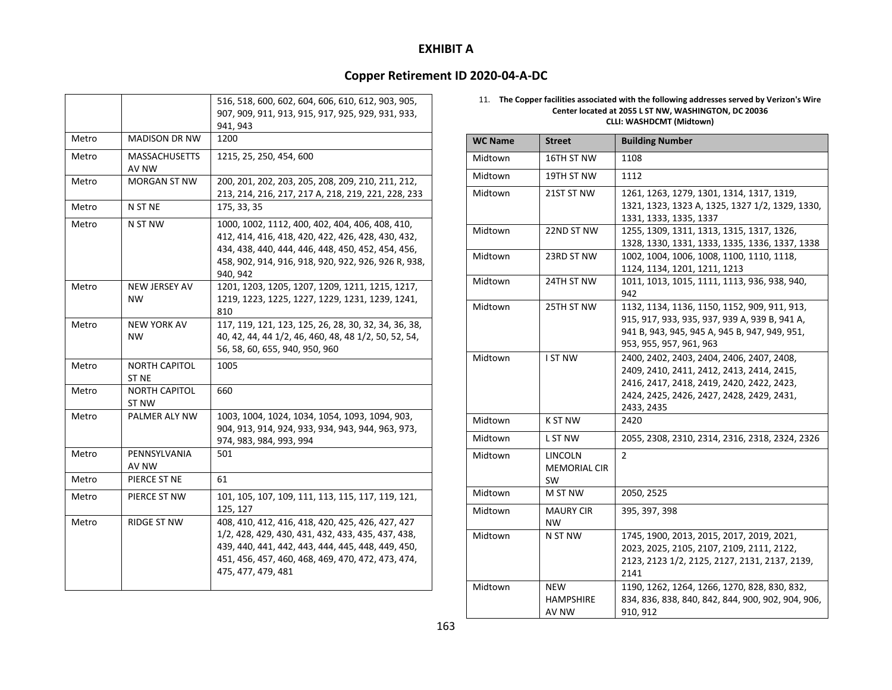## **Copper Retirement ID 2020‐04‐A‐DC**

|       |                                 | 516, 518, 600, 602, 604, 606, 610, 612, 903, 905,<br>907, 909, 911, 913, 915, 917, 925, 929, 931, 933,<br>941, 943                                                                                                                    |
|-------|---------------------------------|---------------------------------------------------------------------------------------------------------------------------------------------------------------------------------------------------------------------------------------|
| Metro | <b>MADISON DR NW</b>            | 1200                                                                                                                                                                                                                                  |
| Metro | <b>MASSACHUSETTS</b><br>AV NW   | 1215, 25, 250, 454, 600                                                                                                                                                                                                               |
| Metro | <b>MORGAN ST NW</b>             | 200, 201, 202, 203, 205, 208, 209, 210, 211, 212,<br>213, 214, 216, 217, 217 A, 218, 219, 221, 228, 233                                                                                                                               |
| Metro | N ST NE                         | 175, 33, 35                                                                                                                                                                                                                           |
| Metro | N ST NW                         | 1000, 1002, 1112, 400, 402, 404, 406, 408, 410,<br>412, 414, 416, 418, 420, 422, 426, 428, 430, 432,<br>434, 438, 440, 444, 446, 448, 450, 452, 454, 456,<br>458, 902, 914, 916, 918, 920, 922, 926, 926 R, 938,<br>940, 942          |
| Metro | <b>NEW JERSEY AV</b><br>NW      | 1201, 1203, 1205, 1207, 1209, 1211, 1215, 1217,<br>1219, 1223, 1225, 1227, 1229, 1231, 1239, 1241,<br>810                                                                                                                             |
| Metro | <b>NEW YORK AV</b><br><b>NW</b> | 117, 119, 121, 123, 125, 26, 28, 30, 32, 34, 36, 38,<br>40, 42, 44, 44 1/2, 46, 460, 48, 48 1/2, 50, 52, 54,<br>56, 58, 60, 655, 940, 950, 960                                                                                        |
| Metro | <b>NORTH CAPITOL</b><br>ST NE   | 1005                                                                                                                                                                                                                                  |
| Metro | <b>NORTH CAPITOL</b><br>ST NW   | 660                                                                                                                                                                                                                                   |
| Metro | PALMER ALY NW                   | 1003, 1004, 1024, 1034, 1054, 1093, 1094, 903,<br>904, 913, 914, 924, 933, 934, 943, 944, 963, 973,<br>974, 983, 984, 993, 994                                                                                                        |
| Metro | PENNSYLVANIA<br>AV NW           | 501                                                                                                                                                                                                                                   |
| Metro | PIERCE ST NE                    | 61                                                                                                                                                                                                                                    |
| Metro | PIERCE ST NW                    | 101, 105, 107, 109, 111, 113, 115, 117, 119, 121,<br>125, 127                                                                                                                                                                         |
| Metro | <b>RIDGE ST NW</b>              | 408, 410, 412, 416, 418, 420, 425, 426, 427, 427<br>1/2, 428, 429, 430, 431, 432, 433, 435, 437, 438,<br>439, 440, 441, 442, 443, 444, 445, 448, 449, 450,<br>451, 456, 457, 460, 468, 469, 470, 472, 473, 474,<br>475, 477, 479, 481 |

#### 11. **The Copper facilities associated with the following addresses served by Verizon's Wire Center located at 2055 L ST NW, WASHINGTON, DC 20036 CLLI: WASHDCMT (Midtown)**

| <b>WC Name</b> | <b>Street</b>                               | <b>Building Number</b>                                                                                                                                                                         |
|----------------|---------------------------------------------|------------------------------------------------------------------------------------------------------------------------------------------------------------------------------------------------|
| Midtown        | 16TH ST NW                                  | 1108                                                                                                                                                                                           |
| Midtown        | 19TH ST NW                                  | 1112                                                                                                                                                                                           |
| Midtown        | 21ST ST NW                                  | 1261, 1263, 1279, 1301, 1314, 1317, 1319,<br>1321, 1323, 1323 A, 1325, 1327 1/2, 1329, 1330,<br>1331, 1333, 1335, 1337                                                                         |
| Midtown        | 22ND ST NW                                  | 1255, 1309, 1311, 1313, 1315, 1317, 1326,<br>1328, 1330, 1331, 1333, 1335, 1336, 1337, 1338                                                                                                    |
| Midtown        | 23RD ST NW                                  | 1002, 1004, 1006, 1008, 1100, 1110, 1118,<br>1124, 1134, 1201, 1211, 1213                                                                                                                      |
| Midtown        | 24TH ST NW                                  | 1011, 1013, 1015, 1111, 1113, 936, 938, 940,<br>942                                                                                                                                            |
| Midtown        | 25TH ST NW                                  | 1132, 1134, 1136, 1150, 1152, 909, 911, 913,<br>915, 917, 933, 935, 937, 939 A, 939 B, 941 A,<br>941 B, 943, 945, 945 A, 945 B, 947, 949, 951,<br>953, 955, 957, 961, 963                      |
| Midtown        | <b>IST NW</b>                               | 2400, 2402, 2403, 2404, 2406, 2407, 2408,<br>2409, 2410, 2411, 2412, 2413, 2414, 2415,<br>2416, 2417, 2418, 2419, 2420, 2422, 2423,<br>2424, 2425, 2426, 2427, 2428, 2429, 2431,<br>2433, 2435 |
| Midtown        | <b>K ST NW</b>                              | 2420                                                                                                                                                                                           |
| Midtown        | L ST NW                                     | 2055, 2308, 2310, 2314, 2316, 2318, 2324, 2326                                                                                                                                                 |
| Midtown        | <b>LINCOLN</b><br><b>MEMORIAL CIR</b><br>SW | 2                                                                                                                                                                                              |
| Midtown        | M ST NW                                     | 2050, 2525                                                                                                                                                                                     |
| Midtown        | <b>MAURY CIR</b><br><b>NW</b>               | 395, 397, 398                                                                                                                                                                                  |
| Midtown        | N ST NW                                     | 1745, 1900, 2013, 2015, 2017, 2019, 2021,<br>2023, 2025, 2105, 2107, 2109, 2111, 2122,<br>2123, 2123 1/2, 2125, 2127, 2131, 2137, 2139,<br>2141                                                |
| Midtown        | NEW<br><b>HAMPSHIRE</b><br>AV NW            | 1190, 1262, 1264, 1266, 1270, 828, 830, 832,<br>834, 836, 838, 840, 842, 844, 900, 902, 904, 906,<br>910, 912                                                                                  |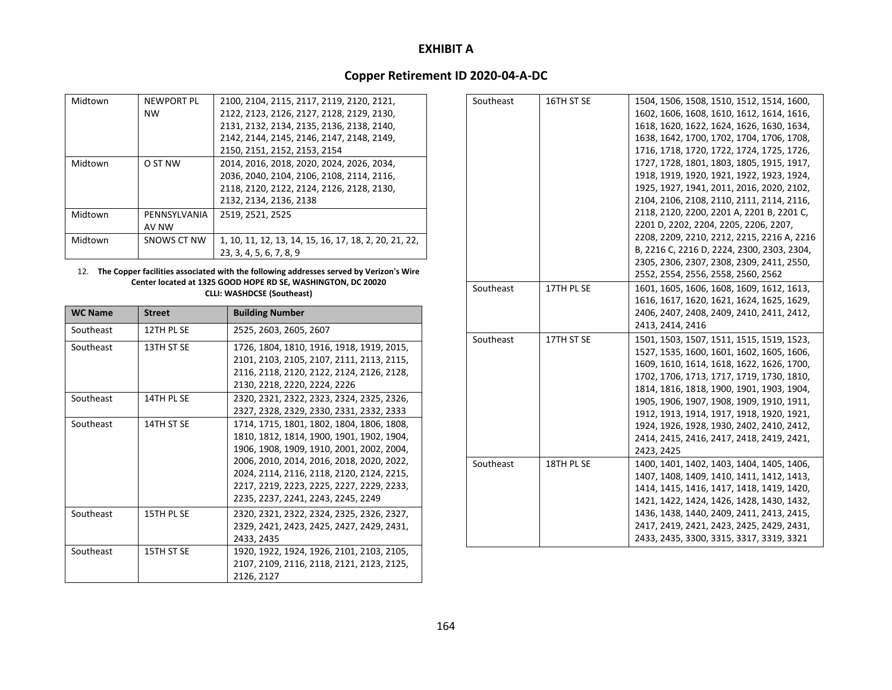# **Copper Retirement ID 2020‐04‐A‐DC**

| <b>NEWPORT PL</b> | 2100, 2104, 2115, 2117, 2119, 2120, 2121,             |
|-------------------|-------------------------------------------------------|
| <b>NW</b>         | 2122, 2123, 2126, 2127, 2128, 2129, 2130,             |
|                   | 2131, 2132, 2134, 2135, 2136, 2138, 2140,             |
|                   | 2142, 2144, 2145, 2146, 2147, 2148, 2149,             |
|                   | 2150, 2151, 2152, 2153, 2154                          |
| O ST NW           | 2014, 2016, 2018, 2020, 2024, 2026, 2034,             |
|                   | 2036, 2040, 2104, 2106, 2108, 2114, 2116,             |
|                   | 2118, 2120, 2122, 2124, 2126, 2128, 2130,             |
|                   | 2132, 2134, 2136, 2138                                |
| PENNSYLVANIA      | 2519, 2521, 2525                                      |
| AV NW             |                                                       |
| SNOWS CT NW       | 1, 10, 11, 12, 13, 14, 15, 16, 17, 18, 2, 20, 21, 22, |
|                   | 23, 3, 4, 5, 6, 7, 8, 9                               |
|                   |                                                       |

#### 12. **The Copper facilities associated with the following addresses served by Verizon's Wire Center located at 1325 GOOD HOPE RD SE, WASHINGTON, DC 20020 CLLI: WASHDCSE (Southeast)**

| <b>WC Name</b> | <b>Street</b> | <b>Building Number</b>                                                                                                                                                                                                                                                                                           |
|----------------|---------------|------------------------------------------------------------------------------------------------------------------------------------------------------------------------------------------------------------------------------------------------------------------------------------------------------------------|
| Southeast      | 12TH PL SE    | 2525, 2603, 2605, 2607                                                                                                                                                                                                                                                                                           |
| Southeast      | 13TH ST SE    | 1726, 1804, 1810, 1916, 1918, 1919, 2015,<br>2101, 2103, 2105, 2107, 2111, 2113, 2115,<br>2116, 2118, 2120, 2122, 2124, 2126, 2128,                                                                                                                                                                              |
|                |               | 2130, 2218, 2220, 2224, 2226                                                                                                                                                                                                                                                                                     |
| Southeast      | 14TH PL SE    | 2320, 2321, 2322, 2323, 2324, 2325, 2326,<br>2327, 2328, 2329, 2330, 2331, 2332, 2333                                                                                                                                                                                                                            |
| Southeast      | 14TH ST SE    | 1714, 1715, 1801, 1802, 1804, 1806, 1808,<br>1810, 1812, 1814, 1900, 1901, 1902, 1904,<br>1906, 1908, 1909, 1910, 2001, 2002, 2004,<br>2006, 2010, 2014, 2016, 2018, 2020, 2022,<br>2024, 2114, 2116, 2118, 2120, 2124, 2215,<br>2217, 2219, 2223, 2225, 2227, 2229, 2233,<br>2235, 2237, 2241, 2243, 2245, 2249 |
| Southeast      | 15TH PL SE    | 2320, 2321, 2322, 2324, 2325, 2326, 2327,<br>2329, 2421, 2423, 2425, 2427, 2429, 2431,<br>2433, 2435                                                                                                                                                                                                             |
| Southeast      | 15TH ST SE    | 1920, 1922, 1924, 1926, 2101, 2103, 2105,<br>2107, 2109, 2116, 2118, 2121, 2123, 2125,<br>2126, 2127                                                                                                                                                                                                             |

| Southeast | 16TH ST SE | 1504, 1506, 1508, 1510, 1512, 1514, 1600,  |
|-----------|------------|--------------------------------------------|
|           |            | 1602, 1606, 1608, 1610, 1612, 1614, 1616,  |
|           |            | 1618, 1620, 1622, 1624, 1626, 1630, 1634,  |
|           |            | 1638, 1642, 1700, 1702, 1704, 1706, 1708,  |
|           |            | 1716, 1718, 1720, 1722, 1724, 1725, 1726,  |
|           |            | 1727, 1728, 1801, 1803, 1805, 1915, 1917,  |
|           |            | 1918, 1919, 1920, 1921, 1922, 1923, 1924,  |
|           |            | 1925, 1927, 1941, 2011, 2016, 2020, 2102,  |
|           |            | 2104, 2106, 2108, 2110, 2111, 2114, 2116,  |
|           |            | 2118, 2120, 2200, 2201 A, 2201 B, 2201 C,  |
|           |            | 2201 D, 2202, 2204, 2205, 2206, 2207,      |
|           |            | 2208, 2209, 2210, 2212, 2215, 2216 A, 2216 |
|           |            | B, 2216 C, 2216 D, 2224, 2300, 2303, 2304, |
|           |            | 2305, 2306, 2307, 2308, 2309, 2411, 2550,  |
|           |            | 2552, 2554, 2556, 2558, 2560, 2562         |
| Southeast | 17TH PL SE | 1601, 1605, 1606, 1608, 1609, 1612, 1613,  |
|           |            | 1616, 1617, 1620, 1621, 1624, 1625, 1629,  |
|           |            | 2406, 2407, 2408, 2409, 2410, 2411, 2412,  |
|           |            | 2413, 2414, 2416                           |
| Southeast | 17TH ST SE | 1501, 1503, 1507, 1511, 1515, 1519, 1523,  |
|           |            | 1527, 1535, 1600, 1601, 1602, 1605, 1606,  |
|           |            | 1609, 1610, 1614, 1618, 1622, 1626, 1700,  |
|           |            | 1702, 1706, 1713, 1717, 1719, 1730, 1810,  |
|           |            | 1814, 1816, 1818, 1900, 1901, 1903, 1904,  |
|           |            | 1905, 1906, 1907, 1908, 1909, 1910, 1911,  |
|           |            | 1912, 1913, 1914, 1917, 1918, 1920, 1921,  |
|           |            | 1924, 1926, 1928, 1930, 2402, 2410, 2412,  |
|           |            | 2414, 2415, 2416, 2417, 2418, 2419, 2421,  |
|           |            | 2423, 2425                                 |
| Southeast | 18TH PL SE | 1400, 1401, 1402, 1403, 1404, 1405, 1406,  |
|           |            | 1407, 1408, 1409, 1410, 1411, 1412, 1413,  |
|           |            | 1414, 1415, 1416, 1417, 1418, 1419, 1420,  |
|           |            | 1421, 1422, 1424, 1426, 1428, 1430, 1432,  |
|           |            | 1436, 1438, 1440, 2409, 2411, 2413, 2415,  |
|           |            | 2417, 2419, 2421, 2423, 2425, 2429, 2431,  |
|           |            | 2433, 2435, 3300, 3315, 3317, 3319, 3321   |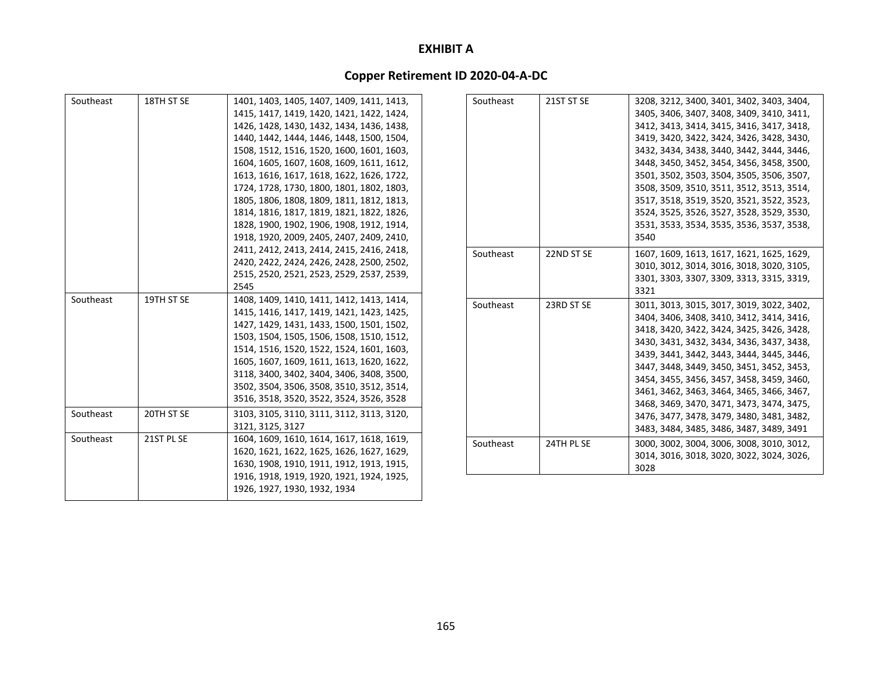| Southeast              | 18TH ST SE               | 1401, 1403, 1405, 1407, 1409, 1411, 1413,<br>1415, 1417, 1419, 1420, 1421, 1422, 1424,<br>1426, 1428, 1430, 1432, 1434, 1436, 1438,<br>1440, 1442, 1444, 1446, 1448, 1500, 1504,<br>1508, 1512, 1516, 1520, 1600, 1601, 1603,<br>1604, 1605, 1607, 1608, 1609, 1611, 1612,<br>1613, 1616, 1617, 1618, 1622, 1626, 1722,<br>1724, 1728, 1730, 1800, 1801, 1802, 1803,<br>1805, 1806, 1808, 1809, 1811, 1812, 1813,<br>1814, 1816, 1817, 1819, 1821, 1822, 1826,<br>1828, 1900, 1902, 1906, 1908, 1912, 1914,<br>1918, 1920, 2009, 2405, 2407, 2409, 2410, | Southeast | 21ST ST SE | 3208, 3212, 3400, 3401, 3402, 3403, 3404,<br>3405, 3406, 3407, 3408, 3409, 3410, 3411,<br>3412, 3413, 3414, 3415, 3416, 3417, 3418,<br>3419, 3420, 3422, 3424, 3426, 3428, 3430,<br>3432, 3434, 3438, 3440, 3442, 3444, 3446,<br>3448, 3450, 3452, 3454, 3456, 3458, 3500,<br>3501, 3502, 3503, 3504, 3505, 3506, 3507,<br>3508, 3509, 3510, 3511, 3512, 3513, 3514,<br>3517, 3518, 3519, 3520, 3521, 3522, 3523,<br>3524, 3525, 3526, 3527, 3528, 3529, 3530,<br>3531, 3533, 3534, 3535, 3536, 3537, 3538,<br>3540 |
|------------------------|--------------------------|----------------------------------------------------------------------------------------------------------------------------------------------------------------------------------------------------------------------------------------------------------------------------------------------------------------------------------------------------------------------------------------------------------------------------------------------------------------------------------------------------------------------------------------------------------|-----------|------------|---------------------------------------------------------------------------------------------------------------------------------------------------------------------------------------------------------------------------------------------------------------------------------------------------------------------------------------------------------------------------------------------------------------------------------------------------------------------------------------------------------------------|
|                        |                          | 2411, 2412, 2413, 2414, 2415, 2416, 2418,<br>2420, 2422, 2424, 2426, 2428, 2500, 2502,<br>2515, 2520, 2521, 2523, 2529, 2537, 2539,<br>2545                                                                                                                                                                                                                                                                                                                                                                                                              | Southeast | 22ND ST SE | 1607, 1609, 1613, 1617, 1621, 1625, 1629,<br>3010, 3012, 3014, 3016, 3018, 3020, 3105,<br>3301, 3303, 3307, 3309, 3313, 3315, 3319,<br>3321                                                                                                                                                                                                                                                                                                                                                                         |
| Southeast<br>Southeast | 19TH ST SE<br>20TH ST SE | 1408, 1409, 1410, 1411, 1412, 1413, 1414,<br>1415, 1416, 1417, 1419, 1421, 1423, 1425,<br>1427, 1429, 1431, 1433, 1500, 1501, 1502,<br>1503, 1504, 1505, 1506, 1508, 1510, 1512,<br>1514, 1516, 1520, 1522, 1524, 1601, 1603,<br>1605, 1607, 1609, 1611, 1613, 1620, 1622,<br>3118, 3400, 3402, 3404, 3406, 3408, 3500,<br>3502, 3504, 3506, 3508, 3510, 3512, 3514,<br>3516, 3518, 3520, 3522, 3524, 3526, 3528<br>3103, 3105, 3110, 3111, 3112, 3113, 3120,                                                                                            | Southeast | 23RD ST SE | 3011, 3013, 3015, 3017, 3019, 3022, 3402,<br>3404, 3406, 3408, 3410, 3412, 3414, 3416,<br>3418, 3420, 3422, 3424, 3425, 3426, 3428,<br>3430, 3431, 3432, 3434, 3436, 3437, 3438,<br>3439, 3441, 3442, 3443, 3444, 3445, 3446,<br>3447, 3448, 3449, 3450, 3451, 3452, 3453,<br>3454, 3455, 3456, 3457, 3458, 3459, 3460,<br>3461, 3462, 3463, 3464, 3465, 3466, 3467,<br>3468, 3469, 3470, 3471, 3473, 3474, 3475,                                                                                                   |
|                        |                          | 3121, 3125, 3127                                                                                                                                                                                                                                                                                                                                                                                                                                                                                                                                         |           |            | 3476, 3477, 3478, 3479, 3480, 3481, 3482,<br>3483, 3484, 3485, 3486, 3487, 3489, 3491                                                                                                                                                                                                                                                                                                                                                                                                                               |
| Southeast              | 21ST PL SE               | 1604, 1609, 1610, 1614, 1617, 1618, 1619,<br>1620, 1621, 1622, 1625, 1626, 1627, 1629,<br>1630, 1908, 1910, 1911, 1912, 1913, 1915,<br>1916, 1918, 1919, 1920, 1921, 1924, 1925,                                                                                                                                                                                                                                                                                                                                                                         | Southeast | 24TH PL SE | 3000, 3002, 3004, 3006, 3008, 3010, 3012,<br>3014, 3016, 3018, 3020, 3022, 3024, 3026,<br>3028                                                                                                                                                                                                                                                                                                                                                                                                                      |
|                        |                          | 1926, 1927, 1930, 1932, 1934                                                                                                                                                                                                                                                                                                                                                                                                                                                                                                                             |           |            |                                                                                                                                                                                                                                                                                                                                                                                                                                                                                                                     |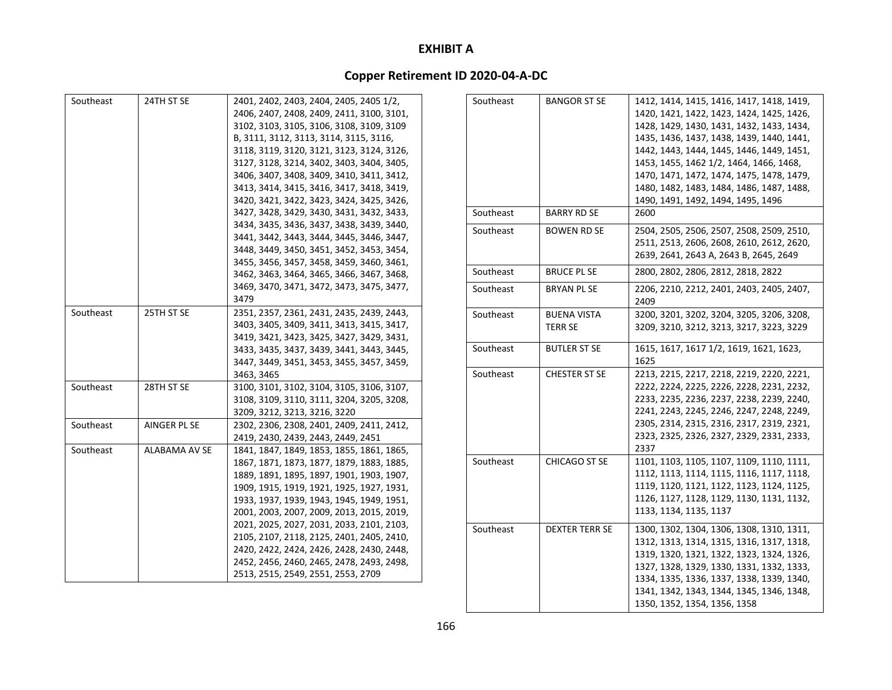# **Copper Retirement ID 2020‐04‐A‐DC**

| Southeast | 24TH ST SE    | 2401, 2402, 2403, 2404, 2405, 2405 1/2,<br>2406, 2407, 2408, 2409, 2411, 3100, 3101,<br>3102, 3103, 3105, 3106, 3108, 3109, 3109<br>B, 3111, 3112, 3113, 3114, 3115, 3116,<br>3118, 3119, 3120, 3121, 3123, 3124, 3126,<br>3127, 3128, 3214, 3402, 3403, 3404, 3405,<br>3406, 3407, 3408, 3409, 3410, 3411, 3412,<br>3413, 3414, 3415, 3416, 3417, 3418, 3419,<br>3420, 3421, 3422, 3423, 3424, 3425, 3426, | Southeast | <b>BANGOR ST SE</b>                  | 1412, 1414, 1415, 1416, 1417, 1418, 1419,<br>1420, 1421, 1422, 1423, 1424, 1425, 1426,<br>1428, 1429, 1430, 1431, 1432, 1433, 1434,<br>1435, 1436, 1437, 1438, 1439, 1440, 1441,<br>1442, 1443, 1444, 1445, 1446, 1449, 1451,<br>1453, 1455, 1462 1/2, 1464, 1466, 1468,<br>1470, 1471, 1472, 1474, 1475, 1478, 1479,<br>1480, 1482, 1483, 1484, 1486, 1487, 1488,<br>1490, 1491, 1492, 1494, 1495, 1496 |
|-----------|---------------|-------------------------------------------------------------------------------------------------------------------------------------------------------------------------------------------------------------------------------------------------------------------------------------------------------------------------------------------------------------------------------------------------------------|-----------|--------------------------------------|----------------------------------------------------------------------------------------------------------------------------------------------------------------------------------------------------------------------------------------------------------------------------------------------------------------------------------------------------------------------------------------------------------|
|           |               | 3427, 3428, 3429, 3430, 3431, 3432, 3433,                                                                                                                                                                                                                                                                                                                                                                   | Southeast | <b>BARRY RD SE</b>                   | 2600                                                                                                                                                                                                                                                                                                                                                                                                     |
|           |               | 3434, 3435, 3436, 3437, 3438, 3439, 3440,<br>3441, 3442, 3443, 3444, 3445, 3446, 3447,<br>3448, 3449, 3450, 3451, 3452, 3453, 3454,<br>3455, 3456, 3457, 3458, 3459, 3460, 3461,                                                                                                                                                                                                                            | Southeast | <b>BOWEN RD SE</b>                   | 2504, 2505, 2506, 2507, 2508, 2509, 2510,<br>2511, 2513, 2606, 2608, 2610, 2612, 2620,<br>2639, 2641, 2643 A, 2643 B, 2645, 2649                                                                                                                                                                                                                                                                         |
|           |               | 3462, 3463, 3464, 3465, 3466, 3467, 3468,                                                                                                                                                                                                                                                                                                                                                                   | Southeast | <b>BRUCE PL SE</b>                   | 2800, 2802, 2806, 2812, 2818, 2822                                                                                                                                                                                                                                                                                                                                                                       |
|           |               | 3469, 3470, 3471, 3472, 3473, 3475, 3477,<br>3479                                                                                                                                                                                                                                                                                                                                                           | Southeast | <b>BRYAN PL SE</b>                   | 2206, 2210, 2212, 2401, 2403, 2405, 2407,<br>2409                                                                                                                                                                                                                                                                                                                                                        |
| Southeast | 25TH ST SE    | 2351, 2357, 2361, 2431, 2435, 2439, 2443,<br>3403, 3405, 3409, 3411, 3413, 3415, 3417,<br>3419, 3421, 3423, 3425, 3427, 3429, 3431,                                                                                                                                                                                                                                                                         | Southeast | <b>BUENA VISTA</b><br><b>TERR SE</b> | 3200, 3201, 3202, 3204, 3205, 3206, 3208,<br>3209, 3210, 3212, 3213, 3217, 3223, 3229                                                                                                                                                                                                                                                                                                                    |
|           |               | 3433, 3435, 3437, 3439, 3441, 3443, 3445,<br>3447, 3449, 3451, 3453, 3455, 3457, 3459,                                                                                                                                                                                                                                                                                                                      | Southeast | <b>BUTLER ST SE</b>                  | 1615, 1617, 1617 1/2, 1619, 1621, 1623,<br>1625                                                                                                                                                                                                                                                                                                                                                          |
| Southeast | 28TH ST SE    | 3463, 3465<br>3100, 3101, 3102, 3104, 3105, 3106, 3107,<br>3108, 3109, 3110, 3111, 3204, 3205, 3208,<br>3209, 3212, 3213, 3216, 3220                                                                                                                                                                                                                                                                        | Southeast | <b>CHESTER ST SE</b>                 | 2213, 2215, 2217, 2218, 2219, 2220, 2221,<br>2222, 2224, 2225, 2226, 2228, 2231, 2232,<br>2233, 2235, 2236, 2237, 2238, 2239, 2240,<br>2241, 2243, 2245, 2246, 2247, 2248, 2249,                                                                                                                                                                                                                         |
| Southeast | AINGER PL SE  | 2302, 2306, 2308, 2401, 2409, 2411, 2412,<br>2419, 2430, 2439, 2443, 2449, 2451                                                                                                                                                                                                                                                                                                                             |           |                                      | 2305, 2314, 2315, 2316, 2317, 2319, 2321,<br>2323, 2325, 2326, 2327, 2329, 2331, 2333,<br>2337                                                                                                                                                                                                                                                                                                           |
| Southeast | ALABAMA AV SE | 1841, 1847, 1849, 1853, 1855, 1861, 1865,<br>1867, 1871, 1873, 1877, 1879, 1883, 1885,<br>1889, 1891, 1895, 1897, 1901, 1903, 1907,<br>1909, 1915, 1919, 1921, 1925, 1927, 1931,<br>1933, 1937, 1939, 1943, 1945, 1949, 1951,<br>2001, 2003, 2007, 2009, 2013, 2015, 2019,                                                                                                                                  | Southeast | CHICAGO ST SE                        | 1101, 1103, 1105, 1107, 1109, 1110, 1111,<br>1112, 1113, 1114, 1115, 1116, 1117, 1118,<br>1119, 1120, 1121, 1122, 1123, 1124, 1125,<br>1126, 1127, 1128, 1129, 1130, 1131, 1132,<br>1133, 1134, 1135, 1137                                                                                                                                                                                               |
|           |               | 2021, 2025, 2027, 2031, 2033, 2101, 2103,<br>2105, 2107, 2118, 2125, 2401, 2405, 2410,<br>2420, 2422, 2424, 2426, 2428, 2430, 2448,<br>2452, 2456, 2460, 2465, 2478, 2493, 2498,<br>2513, 2515, 2549, 2551, 2553, 2709                                                                                                                                                                                      | Southeast | <b>DEXTER TERR SE</b>                | 1300, 1302, 1304, 1306, 1308, 1310, 1311,<br>1312, 1313, 1314, 1315, 1316, 1317, 1318,<br>1319, 1320, 1321, 1322, 1323, 1324, 1326,<br>1327, 1328, 1329, 1330, 1331, 1332, 1333,<br>1334, 1335, 1336, 1337, 1338, 1339, 1340,                                                                                                                                                                            |

1341, 1342, 1343, 1344, 1345, 1346, 1348,

1350, 1352, 1354, 1356, 1358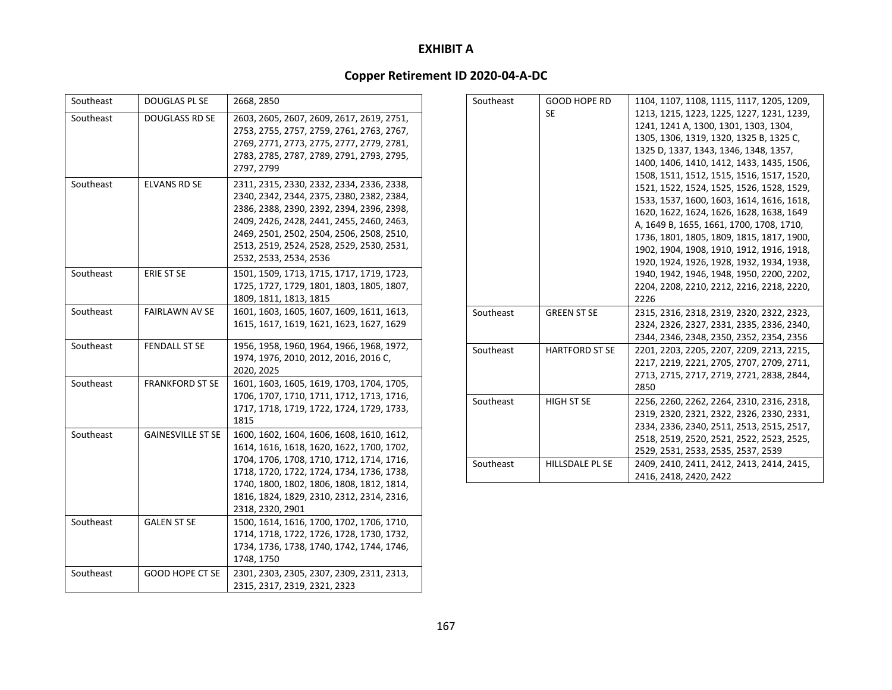| Southeast | <b>DOUGLAS PL SE</b>     | 2668, 2850                                                                                                                                                                                                                                                                                           |
|-----------|--------------------------|------------------------------------------------------------------------------------------------------------------------------------------------------------------------------------------------------------------------------------------------------------------------------------------------------|
| Southeast | <b>DOUGLASS RD SE</b>    | 2603, 2605, 2607, 2609, 2617, 2619, 2751,<br>2753, 2755, 2757, 2759, 2761, 2763, 2767,<br>2769, 2771, 2773, 2775, 2777, 2779, 2781,<br>2783, 2785, 2787, 2789, 2791, 2793, 2795,<br>2797, 2799                                                                                                       |
| Southeast | <b>ELVANS RD SE</b>      | 2311, 2315, 2330, 2332, 2334, 2336, 2338,<br>2340, 2342, 2344, 2375, 2380, 2382, 2384,<br>2386, 2388, 2390, 2392, 2394, 2396, 2398,<br>2409, 2426, 2428, 2441, 2455, 2460, 2463,<br>2469, 2501, 2502, 2504, 2506, 2508, 2510,<br>2513, 2519, 2524, 2528, 2529, 2530, 2531,<br>2532, 2533, 2534, 2536 |
| Southeast | <b>ERIE ST SE</b>        | 1501, 1509, 1713, 1715, 1717, 1719, 1723,<br>1725, 1727, 1729, 1801, 1803, 1805, 1807,<br>1809, 1811, 1813, 1815                                                                                                                                                                                     |
| Southeast | <b>FAIRLAWN AV SE</b>    | 1601, 1603, 1605, 1607, 1609, 1611, 1613,<br>1615, 1617, 1619, 1621, 1623, 1627, 1629                                                                                                                                                                                                                |
| Southeast | <b>FENDALL ST SE</b>     | 1956, 1958, 1960, 1964, 1966, 1968, 1972,<br>1974, 1976, 2010, 2012, 2016, 2016 C,<br>2020, 2025                                                                                                                                                                                                     |
| Southeast | <b>FRANKFORD ST SE</b>   | 1601, 1603, 1605, 1619, 1703, 1704, 1705,<br>1706, 1707, 1710, 1711, 1712, 1713, 1716,<br>1717, 1718, 1719, 1722, 1724, 1729, 1733,<br>1815                                                                                                                                                          |
| Southeast | <b>GAINESVILLE ST SE</b> | 1600, 1602, 1604, 1606, 1608, 1610, 1612,<br>1614, 1616, 1618, 1620, 1622, 1700, 1702,<br>1704, 1706, 1708, 1710, 1712, 1714, 1716,<br>1718, 1720, 1722, 1724, 1734, 1736, 1738,<br>1740, 1800, 1802, 1806, 1808, 1812, 1814,<br>1816, 1824, 1829, 2310, 2312, 2314, 2316,<br>2318, 2320, 2901       |
| Southeast | <b>GALEN ST SE</b>       | 1500, 1614, 1616, 1700, 1702, 1706, 1710,<br>1714, 1718, 1722, 1726, 1728, 1730, 1732,<br>1734, 1736, 1738, 1740, 1742, 1744, 1746,<br>1748, 1750                                                                                                                                                    |
| Southeast | <b>GOOD HOPE CT SE</b>   | 2301, 2303, 2305, 2307, 2309, 2311, 2313,<br>2315, 2317, 2319, 2321, 2323                                                                                                                                                                                                                            |

| Southeast | <b>GOOD HOPE RD</b>    | 1104, 1107, 1108, 1115, 1117, 1205, 1209, |
|-----------|------------------------|-------------------------------------------|
|           | <b>SE</b>              | 1213, 1215, 1223, 1225, 1227, 1231, 1239, |
|           |                        | 1241, 1241 A, 1300, 1301, 1303, 1304,     |
|           |                        | 1305, 1306, 1319, 1320, 1325 B, 1325 C,   |
|           |                        | 1325 D, 1337, 1343, 1346, 1348, 1357,     |
|           |                        | 1400, 1406, 1410, 1412, 1433, 1435, 1506, |
|           |                        | 1508, 1511, 1512, 1515, 1516, 1517, 1520, |
|           |                        | 1521, 1522, 1524, 1525, 1526, 1528, 1529, |
|           |                        | 1533, 1537, 1600, 1603, 1614, 1616, 1618, |
|           |                        | 1620, 1622, 1624, 1626, 1628, 1638, 1649  |
|           |                        | A, 1649 B, 1655, 1661, 1700, 1708, 1710,  |
|           |                        | 1736, 1801, 1805, 1809, 1815, 1817, 1900, |
|           |                        | 1902, 1904, 1908, 1910, 1912, 1916, 1918, |
|           |                        | 1920, 1924, 1926, 1928, 1932, 1934, 1938, |
|           |                        | 1940, 1942, 1946, 1948, 1950, 2200, 2202, |
|           |                        | 2204, 2208, 2210, 2212, 2216, 2218, 2220, |
|           |                        | 2226                                      |
| Southeast | <b>GREEN ST SE</b>     | 2315, 2316, 2318, 2319, 2320, 2322, 2323, |
|           |                        | 2324, 2326, 2327, 2331, 2335, 2336, 2340, |
|           |                        | 2344, 2346, 2348, 2350, 2352, 2354, 2356  |
| Southeast | <b>HARTFORD ST SE</b>  | 2201, 2203, 2205, 2207, 2209, 2213, 2215, |
|           |                        | 2217, 2219, 2221, 2705, 2707, 2709, 2711, |
|           |                        | 2713, 2715, 2717, 2719, 2721, 2838, 2844, |
|           |                        | 2850                                      |
| Southeast | <b>HIGH ST SE</b>      | 2256, 2260, 2262, 2264, 2310, 2316, 2318, |
|           |                        | 2319, 2320, 2321, 2322, 2326, 2330, 2331, |
|           |                        | 2334, 2336, 2340, 2511, 2513, 2515, 2517, |
|           |                        | 2518, 2519, 2520, 2521, 2522, 2523, 2525, |
|           |                        | 2529, 2531, 2533, 2535, 2537, 2539        |
| Southeast | <b>HILLSDALE PL SE</b> | 2409, 2410, 2411, 2412, 2413, 2414, 2415, |
|           |                        | 2416, 2418, 2420, 2422                    |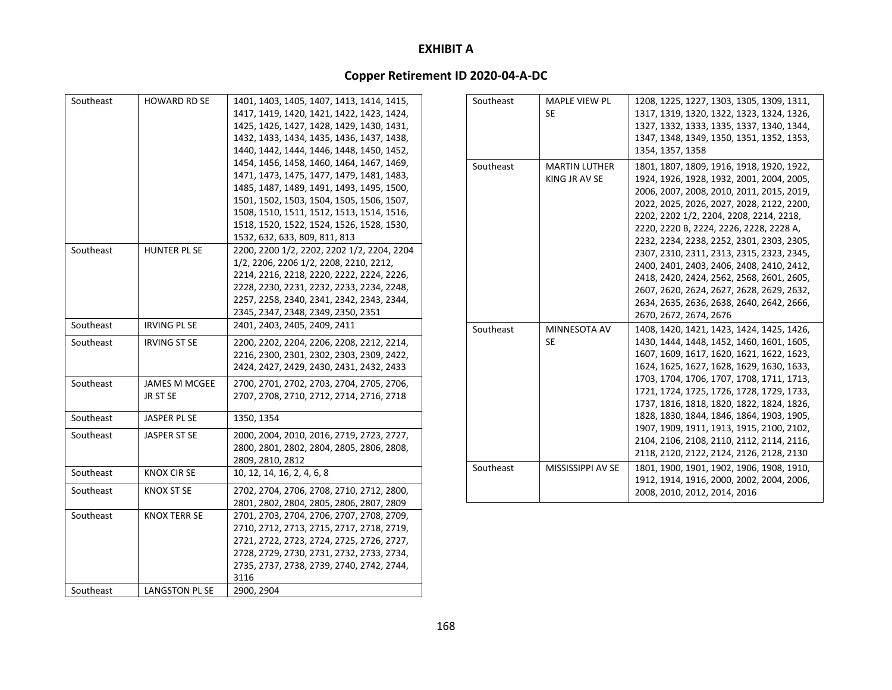| Southeast<br>1401, 1403, 1405, 1407, 1413, 1414, 1415,<br>HOWARD RD SE<br>1417, 1419, 1420, 1421, 1422, 1423, 1424,<br>1425, 1426, 1427, 1428, 1429, 1430, 1431,<br>1432, 1433, 1434, 1435, 1436, 1437, 1438,<br>1440, 1442, 1444, 1446, 1448, 1450, 1452,<br>1454, 1456, 1458, 1460, 1464, 1467, 1469,<br>1471, 1473, 1475, 1477, 1479, 1481, 1483,<br>1485, 1487, 1489, 1491, 1493, 1495, 1500,<br>1501, 1502, 1503, 1504, 1505, 1506, 1507,<br>1508, 1510, 1511, 1512, 1513, 1514, 1516,<br>1518, 1520, 1522, 1524, 1526, 1528, 1530,<br>1532, 632, 633, 809, 811, 813<br>Southeast<br>HUNTER PL SE<br>2200, 2200 1/2, 2202, 2202 1/2, 2204, 2204<br>1/2, 2206, 2206 1/2, 2208, 2210, 2212,<br>2214, 2216, 2218, 2220, 2222, 2224, 2226,<br>2228, 2230, 2231, 2232, 2233, 2234, 2248,<br>2257, 2258, 2340, 2341, 2342, 2343, 2344,<br>2345, 2347, 2348, 2349, 2350, 2351 |
|-----------------------------------------------------------------------------------------------------------------------------------------------------------------------------------------------------------------------------------------------------------------------------------------------------------------------------------------------------------------------------------------------------------------------------------------------------------------------------------------------------------------------------------------------------------------------------------------------------------------------------------------------------------------------------------------------------------------------------------------------------------------------------------------------------------------------------------------------------------------------------|
|                                                                                                                                                                                                                                                                                                                                                                                                                                                                                                                                                                                                                                                                                                                                                                                                                                                                             |
|                                                                                                                                                                                                                                                                                                                                                                                                                                                                                                                                                                                                                                                                                                                                                                                                                                                                             |
|                                                                                                                                                                                                                                                                                                                                                                                                                                                                                                                                                                                                                                                                                                                                                                                                                                                                             |
|                                                                                                                                                                                                                                                                                                                                                                                                                                                                                                                                                                                                                                                                                                                                                                                                                                                                             |
|                                                                                                                                                                                                                                                                                                                                                                                                                                                                                                                                                                                                                                                                                                                                                                                                                                                                             |
|                                                                                                                                                                                                                                                                                                                                                                                                                                                                                                                                                                                                                                                                                                                                                                                                                                                                             |
|                                                                                                                                                                                                                                                                                                                                                                                                                                                                                                                                                                                                                                                                                                                                                                                                                                                                             |
|                                                                                                                                                                                                                                                                                                                                                                                                                                                                                                                                                                                                                                                                                                                                                                                                                                                                             |
|                                                                                                                                                                                                                                                                                                                                                                                                                                                                                                                                                                                                                                                                                                                                                                                                                                                                             |
|                                                                                                                                                                                                                                                                                                                                                                                                                                                                                                                                                                                                                                                                                                                                                                                                                                                                             |
|                                                                                                                                                                                                                                                                                                                                                                                                                                                                                                                                                                                                                                                                                                                                                                                                                                                                             |
|                                                                                                                                                                                                                                                                                                                                                                                                                                                                                                                                                                                                                                                                                                                                                                                                                                                                             |
|                                                                                                                                                                                                                                                                                                                                                                                                                                                                                                                                                                                                                                                                                                                                                                                                                                                                             |
|                                                                                                                                                                                                                                                                                                                                                                                                                                                                                                                                                                                                                                                                                                                                                                                                                                                                             |
|                                                                                                                                                                                                                                                                                                                                                                                                                                                                                                                                                                                                                                                                                                                                                                                                                                                                             |
|                                                                                                                                                                                                                                                                                                                                                                                                                                                                                                                                                                                                                                                                                                                                                                                                                                                                             |
|                                                                                                                                                                                                                                                                                                                                                                                                                                                                                                                                                                                                                                                                                                                                                                                                                                                                             |
|                                                                                                                                                                                                                                                                                                                                                                                                                                                                                                                                                                                                                                                                                                                                                                                                                                                                             |
| Southeast<br><b>IRVING PL SE</b><br>2401, 2403, 2405, 2409, 2411                                                                                                                                                                                                                                                                                                                                                                                                                                                                                                                                                                                                                                                                                                                                                                                                            |
| Southeast<br>2200, 2202, 2204, 2206, 2208, 2212, 2214,<br><b>IRVING ST SE</b>                                                                                                                                                                                                                                                                                                                                                                                                                                                                                                                                                                                                                                                                                                                                                                                               |
| 2216, 2300, 2301, 2302, 2303, 2309, 2422,                                                                                                                                                                                                                                                                                                                                                                                                                                                                                                                                                                                                                                                                                                                                                                                                                                   |
| 2424, 2427, 2429, 2430, 2431, 2432, 2433                                                                                                                                                                                                                                                                                                                                                                                                                                                                                                                                                                                                                                                                                                                                                                                                                                    |
| Southeast<br>2700, 2701, 2702, 2703, 2704, 2705, 2706,<br><b>JAMES M MCGEE</b>                                                                                                                                                                                                                                                                                                                                                                                                                                                                                                                                                                                                                                                                                                                                                                                              |
| JR ST SE<br>2707, 2708, 2710, 2712, 2714, 2716, 2718                                                                                                                                                                                                                                                                                                                                                                                                                                                                                                                                                                                                                                                                                                                                                                                                                        |
| Southeast<br>JASPER PL SE<br>1350, 1354                                                                                                                                                                                                                                                                                                                                                                                                                                                                                                                                                                                                                                                                                                                                                                                                                                     |
| Southeast<br><b>JASPER ST SE</b><br>2000, 2004, 2010, 2016, 2719, 2723, 2727,                                                                                                                                                                                                                                                                                                                                                                                                                                                                                                                                                                                                                                                                                                                                                                                               |
| 2800, 2801, 2802, 2804, 2805, 2806, 2808,                                                                                                                                                                                                                                                                                                                                                                                                                                                                                                                                                                                                                                                                                                                                                                                                                                   |
| 2809, 2810, 2812                                                                                                                                                                                                                                                                                                                                                                                                                                                                                                                                                                                                                                                                                                                                                                                                                                                            |
| Southeast<br><b>KNOX CIR SE</b><br>10, 12, 14, 16, 2, 4, 6, 8                                                                                                                                                                                                                                                                                                                                                                                                                                                                                                                                                                                                                                                                                                                                                                                                               |
| 2702, 2704, 2706, 2708, 2710, 2712, 2800,<br>Southeast<br><b>KNOX ST SE</b>                                                                                                                                                                                                                                                                                                                                                                                                                                                                                                                                                                                                                                                                                                                                                                                                 |
| 2801, 2802, 2804, 2805, 2806, 2807, 2809                                                                                                                                                                                                                                                                                                                                                                                                                                                                                                                                                                                                                                                                                                                                                                                                                                    |
| Southeast<br>KNOX TERR SE<br>2701, 2703, 2704, 2706, 2707, 2708, 2709,                                                                                                                                                                                                                                                                                                                                                                                                                                                                                                                                                                                                                                                                                                                                                                                                      |
| 2710, 2712, 2713, 2715, 2717, 2718, 2719,                                                                                                                                                                                                                                                                                                                                                                                                                                                                                                                                                                                                                                                                                                                                                                                                                                   |
| 2721, 2722, 2723, 2724, 2725, 2726, 2727,                                                                                                                                                                                                                                                                                                                                                                                                                                                                                                                                                                                                                                                                                                                                                                                                                                   |
| 2728, 2729, 2730, 2731, 2732, 2733, 2734,                                                                                                                                                                                                                                                                                                                                                                                                                                                                                                                                                                                                                                                                                                                                                                                                                                   |
| 2735, 2737, 2738, 2739, 2740, 2742, 2744,                                                                                                                                                                                                                                                                                                                                                                                                                                                                                                                                                                                                                                                                                                                                                                                                                                   |
| 3116                                                                                                                                                                                                                                                                                                                                                                                                                                                                                                                                                                                                                                                                                                                                                                                                                                                                        |
| Southeast<br><b>LANGSTON PL SE</b><br>2900, 2904                                                                                                                                                                                                                                                                                                                                                                                                                                                                                                                                                                                                                                                                                                                                                                                                                            |

| Southeast | <b>MAPLE VIEW PL</b><br><b>SE</b>     | 1208, 1225, 1227, 1303, 1305, 1309, 1311,<br>1317, 1319, 1320, 1322, 1323, 1324, 1326,<br>1327, 1332, 1333, 1335, 1337, 1340, 1344,<br>1347, 1348, 1349, 1350, 1351, 1352, 1353,<br>1354, 1357, 1358                                                                                                                                                                                                                                                                                                                                                                           |
|-----------|---------------------------------------|--------------------------------------------------------------------------------------------------------------------------------------------------------------------------------------------------------------------------------------------------------------------------------------------------------------------------------------------------------------------------------------------------------------------------------------------------------------------------------------------------------------------------------------------------------------------------------|
| Southeast | <b>MARTIN LUTHER</b><br>KING JR AV SE | 1801, 1807, 1809, 1916, 1918, 1920, 1922,<br>1924, 1926, 1928, 1932, 2001, 2004, 2005,<br>2006, 2007, 2008, 2010, 2011, 2015, 2019,<br>2022, 2025, 2026, 2027, 2028, 2122, 2200,<br>2202, 2202 1/2, 2204, 2208, 2214, 2218,<br>2220, 2220 B, 2224, 2226, 2228, 2228 A,<br>2232, 2234, 2238, 2252, 2301, 2303, 2305,<br>2307, 2310, 2311, 2313, 2315, 2323, 2345,<br>2400, 2401, 2403, 2406, 2408, 2410, 2412,<br>2418, 2420, 2424, 2562, 2568, 2601, 2605,<br>2607, 2620, 2624, 2627, 2628, 2629, 2632,<br>2634, 2635, 2636, 2638, 2640, 2642, 2666,<br>2670, 2672, 2674, 2676 |
| Southeast | MINNESOTA AV<br><b>SE</b>             | 1408, 1420, 1421, 1423, 1424, 1425, 1426,<br>1430, 1444, 1448, 1452, 1460, 1601, 1605,<br>1607, 1609, 1617, 1620, 1621, 1622, 1623,<br>1624, 1625, 1627, 1628, 1629, 1630, 1633,<br>1703, 1704, 1706, 1707, 1708, 1711, 1713,<br>1721, 1724, 1725, 1726, 1728, 1729, 1733,<br>1737, 1816, 1818, 1820, 1822, 1824, 1826,<br>1828, 1830, 1844, 1846, 1864, 1903, 1905,<br>1907, 1909, 1911, 1913, 1915, 2100, 2102,<br>2104, 2106, 2108, 2110, 2112, 2114, 2116,<br>2118, 2120, 2122, 2124, 2126, 2128, 2130                                                                     |
| Southeast | MISSISSIPPI AV SE                     | 1801, 1900, 1901, 1902, 1906, 1908, 1910,<br>1912, 1914, 1916, 2000, 2002, 2004, 2006,<br>2008, 2010, 2012, 2014, 2016                                                                                                                                                                                                                                                                                                                                                                                                                                                         |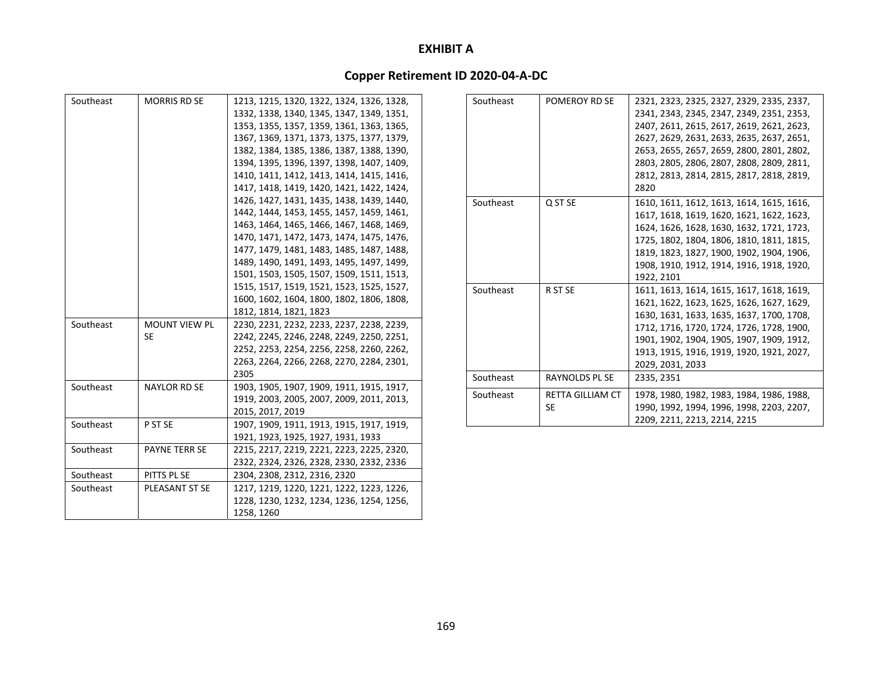| Southeast | <b>MORRIS RD SE</b>  | 1213, 1215, 1320, 1322, 1324, 1326, 1328, |
|-----------|----------------------|-------------------------------------------|
|           |                      | 1332, 1338, 1340, 1345, 1347, 1349, 1351, |
|           |                      | 1353, 1355, 1357, 1359, 1361, 1363, 1365, |
|           |                      | 1367, 1369, 1371, 1373, 1375, 1377, 1379, |
|           |                      | 1382, 1384, 1385, 1386, 1387, 1388, 1390, |
|           |                      | 1394, 1395, 1396, 1397, 1398, 1407, 1409, |
|           |                      | 1410, 1411, 1412, 1413, 1414, 1415, 1416, |
|           |                      | 1417, 1418, 1419, 1420, 1421, 1422, 1424, |
|           |                      | 1426, 1427, 1431, 1435, 1438, 1439, 1440, |
|           |                      | 1442, 1444, 1453, 1455, 1457, 1459, 1461, |
|           |                      | 1463, 1464, 1465, 1466, 1467, 1468, 1469, |
|           |                      | 1470, 1471, 1472, 1473, 1474, 1475, 1476, |
|           |                      | 1477, 1479, 1481, 1483, 1485, 1487, 1488, |
|           |                      | 1489, 1490, 1491, 1493, 1495, 1497, 1499, |
|           |                      | 1501, 1503, 1505, 1507, 1509, 1511, 1513, |
|           |                      | 1515, 1517, 1519, 1521, 1523, 1525, 1527, |
|           |                      | 1600, 1602, 1604, 1800, 1802, 1806, 1808, |
|           |                      | 1812, 1814, 1821, 1823                    |
| Southeast | <b>MOUNT VIEW PL</b> | 2230, 2231, 2232, 2233, 2237, 2238, 2239, |
|           | <b>SE</b>            | 2242, 2245, 2246, 2248, 2249, 2250, 2251, |
|           |                      | 2252, 2253, 2254, 2256, 2258, 2260, 2262, |
|           |                      | 2263, 2264, 2266, 2268, 2270, 2284, 2301, |
|           |                      | 2305                                      |
| Southeast | <b>NAYLOR RD SE</b>  | 1903, 1905, 1907, 1909, 1911, 1915, 1917, |
|           |                      | 1919, 2003, 2005, 2007, 2009, 2011, 2013, |
|           |                      | 2015, 2017, 2019                          |
| Southeast | P ST SE              | 1907, 1909, 1911, 1913, 1915, 1917, 1919, |
|           |                      | 1921, 1923, 1925, 1927, 1931, 1933        |
| Southeast | <b>PAYNE TERR SE</b> | 2215, 2217, 2219, 2221, 2223, 2225, 2320, |
|           |                      | 2322, 2324, 2326, 2328, 2330, 2332, 2336  |
| Southeast | PITTS PL SE          | 2304, 2308, 2312, 2316, 2320              |
| Southeast | PLEASANT ST SE       | 1217, 1219, 1220, 1221, 1222, 1223, 1226, |
|           |                      | 1228, 1230, 1232, 1234, 1236, 1254, 1256, |
|           |                      | 1258, 1260                                |

| Southeast | POMEROY RD SE          | 2321, 2323, 2325, 2327, 2329, 2335, 2337,<br>2341, 2343, 2345, 2347, 2349, 2351, 2353,<br>2407, 2611, 2615, 2617, 2619, 2621, 2623,<br>2627, 2629, 2631, 2633, 2635, 2637, 2651,<br>2653, 2655, 2657, 2659, 2800, 2801, 2802,<br>2803, 2805, 2806, 2807, 2808, 2809, 2811,<br>2812, 2813, 2814, 2815, 2817, 2818, 2819,<br>2820 |
|-----------|------------------------|---------------------------------------------------------------------------------------------------------------------------------------------------------------------------------------------------------------------------------------------------------------------------------------------------------------------------------|
| Southeast | Q ST SE                | 1610, 1611, 1612, 1613, 1614, 1615, 1616,<br>1617, 1618, 1619, 1620, 1621, 1622, 1623,<br>1624, 1626, 1628, 1630, 1632, 1721, 1723,<br>1725, 1802, 1804, 1806, 1810, 1811, 1815,<br>1819, 1823, 1827, 1900, 1902, 1904, 1906,<br>1908, 1910, 1912, 1914, 1916, 1918, 1920,<br>1922, 2101                                        |
| Southeast | R ST SE                | 1611, 1613, 1614, 1615, 1617, 1618, 1619,<br>1621, 1622, 1623, 1625, 1626, 1627, 1629,<br>1630, 1631, 1633, 1635, 1637, 1700, 1708,<br>1712, 1716, 1720, 1724, 1726, 1728, 1900,<br>1901, 1902, 1904, 1905, 1907, 1909, 1912,<br>1913, 1915, 1916, 1919, 1920, 1921, 2027,<br>2029, 2031, 2033                                  |
| Southeast | RAYNOLDS PL SE         | 2335, 2351                                                                                                                                                                                                                                                                                                                      |
| Southeast | RETTA GILLIAM CT<br>SE | 1978, 1980, 1982, 1983, 1984, 1986, 1988,<br>1990, 1992, 1994, 1996, 1998, 2203, 2207,<br>2209, 2211, 2213, 2214, 2215                                                                                                                                                                                                          |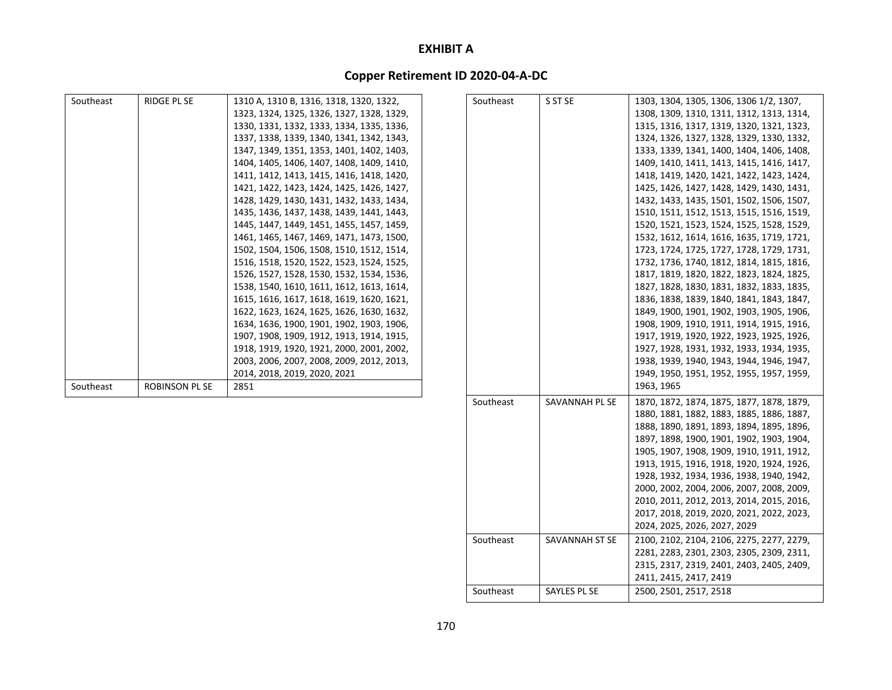## **Copper Retirement ID 2020‐04‐A‐DC**

| Southeast | RIDGE PL SE           | 1310 A, 1310 B, 1316, 1318, 1320, 1322,   | Southeast | S ST SE        | 1303, 1304, 1305, 1306, 1306 1/2, 1307,   |
|-----------|-----------------------|-------------------------------------------|-----------|----------------|-------------------------------------------|
|           |                       | 1323, 1324, 1325, 1326, 1327, 1328, 1329, |           |                | 1308, 1309, 1310, 1311, 1312, 1313, 1314, |
|           |                       | 1330, 1331, 1332, 1333, 1334, 1335, 1336, |           |                | 1315, 1316, 1317, 1319, 1320, 1321, 1323, |
|           |                       | 1337, 1338, 1339, 1340, 1341, 1342, 1343, |           |                | 1324, 1326, 1327, 1328, 1329, 1330, 1332, |
|           |                       | 1347, 1349, 1351, 1353, 1401, 1402, 1403, |           |                | 1333, 1339, 1341, 1400, 1404, 1406, 1408, |
|           |                       | 1404, 1405, 1406, 1407, 1408, 1409, 1410, |           |                | 1409, 1410, 1411, 1413, 1415, 1416, 1417, |
|           |                       | 1411, 1412, 1413, 1415, 1416, 1418, 1420, |           |                | 1418, 1419, 1420, 1421, 1422, 1423, 1424, |
|           |                       | 1421, 1422, 1423, 1424, 1425, 1426, 1427, |           |                | 1425, 1426, 1427, 1428, 1429, 1430, 1431, |
|           |                       | 1428, 1429, 1430, 1431, 1432, 1433, 1434, |           |                | 1432, 1433, 1435, 1501, 1502, 1506, 1507, |
|           |                       | 1435, 1436, 1437, 1438, 1439, 1441, 1443, |           |                | 1510, 1511, 1512, 1513, 1515, 1516, 1519, |
|           |                       | 1445, 1447, 1449, 1451, 1455, 1457, 1459, |           |                | 1520, 1521, 1523, 1524, 1525, 1528, 1529, |
|           |                       | 1461, 1465, 1467, 1469, 1471, 1473, 1500, |           |                | 1532, 1612, 1614, 1616, 1635, 1719, 1721, |
|           |                       | 1502, 1504, 1506, 1508, 1510, 1512, 1514, |           |                | 1723, 1724, 1725, 1727, 1728, 1729, 1731, |
|           |                       | 1516, 1518, 1520, 1522, 1523, 1524, 1525, |           |                | 1732, 1736, 1740, 1812, 1814, 1815, 1816, |
|           |                       | 1526, 1527, 1528, 1530, 1532, 1534, 1536, |           |                | 1817, 1819, 1820, 1822, 1823, 1824, 1825, |
|           |                       | 1538, 1540, 1610, 1611, 1612, 1613, 1614, |           |                | 1827, 1828, 1830, 1831, 1832, 1833, 1835, |
|           |                       | 1615, 1616, 1617, 1618, 1619, 1620, 1621, |           |                | 1836, 1838, 1839, 1840, 1841, 1843, 1847, |
|           |                       | 1622, 1623, 1624, 1625, 1626, 1630, 1632, |           |                | 1849, 1900, 1901, 1902, 1903, 1905, 1906, |
|           |                       | 1634, 1636, 1900, 1901, 1902, 1903, 1906, |           |                | 1908, 1909, 1910, 1911, 1914, 1915, 1916, |
|           |                       | 1907, 1908, 1909, 1912, 1913, 1914, 1915, |           |                | 1917, 1919, 1920, 1922, 1923, 1925, 1926, |
|           |                       | 1918, 1919, 1920, 1921, 2000, 2001, 2002, |           |                | 1927, 1928, 1931, 1932, 1933, 1934, 1935, |
|           |                       | 2003, 2006, 2007, 2008, 2009, 2012, 2013, |           |                | 1938, 1939, 1940, 1943, 1944, 1946, 1947, |
|           |                       | 2014, 2018, 2019, 2020, 2021              |           |                | 1949, 1950, 1951, 1952, 1955, 1957, 1959, |
| Southeast | <b>ROBINSON PL SE</b> | 2851                                      |           |                | 1963, 1965                                |
|           |                       |                                           | Southeast | SAVANNAH PL SE | 1870, 1872, 1874, 1875, 1877, 1878, 1879, |
|           |                       |                                           |           |                | 1880, 1881, 1882, 1883, 1885, 1886, 1887, |

Southeast

Southeast

SAVANNAH ST SE

t | SAYLES PL SE

1888, 1890, 1891, 1893, 1894, 1895, 1896, 1897, 1898, 1900, 1901, 1902, 1903, 1904, 1905, 1907, 1908, 1909, 1910, 1911, 1912, 1913, 1915, 1916, 1918, 1920, 1924, 1926, 1928, 1932, 1934, 1936, 1938, 1940, 1942, 2000, 2002, 2004, 2006, 2007, 2008, 2009, 2010, 2011, 2012, 2013, 2014, 2015, 2016, 2017, 2018, 2019, 2020, 2021, 2022, 2023,

 ST SE 2100, 2102, 2104, 2106, 2275, 2277, 2279, 2281, 2283, 2301, 2303, 2305, 2309, 2311, 2315, 2317, 2319, 2401, 2403, 2405, 2409,

2024, 2025, 2026, 2027, 2029

2411, 2415, 2417, 2419

2500, 2501, 2517, 2518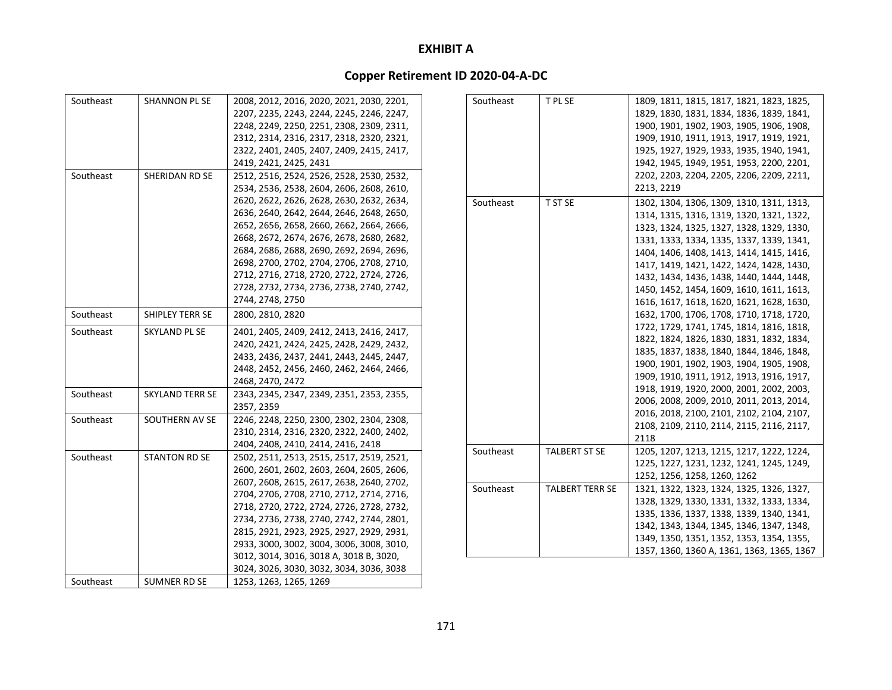| Southeast | SHANNON PL SE          | 2008, 2012, 2016, 2020, 2021, 2030, 2201,                                              | Southeast | T PL SE                | 1809, 1811, 1815, 1817, 1821, 1823, 1825,  |
|-----------|------------------------|----------------------------------------------------------------------------------------|-----------|------------------------|--------------------------------------------|
|           |                        | 2207, 2235, 2243, 2244, 2245, 2246, 2247,                                              |           |                        | 1829, 1830, 1831, 1834, 1836, 1839, 1841,  |
|           |                        | 2248, 2249, 2250, 2251, 2308, 2309, 2311,                                              |           |                        | 1900, 1901, 1902, 1903, 1905, 1906, 1908,  |
|           |                        | 2312, 2314, 2316, 2317, 2318, 2320, 2321,                                              |           |                        | 1909, 1910, 1911, 1913, 1917, 1919, 1921,  |
|           |                        | 2322, 2401, 2405, 2407, 2409, 2415, 2417,                                              |           |                        | 1925, 1927, 1929, 1933, 1935, 1940, 1941,  |
|           |                        | 2419, 2421, 2425, 2431                                                                 |           |                        | 1942, 1945, 1949, 1951, 1953, 2200, 2201,  |
| Southeast | SHERIDAN RD SE         | 2512, 2516, 2524, 2526, 2528, 2530, 2532,                                              |           |                        | 2202, 2203, 2204, 2205, 2206, 2209, 2211,  |
|           |                        | 2534, 2536, 2538, 2604, 2606, 2608, 2610,                                              |           |                        | 2213, 2219                                 |
|           |                        | 2620, 2622, 2626, 2628, 2630, 2632, 2634,                                              | Southeast | T ST SE                | 1302, 1304, 1306, 1309, 1310, 1311, 1313,  |
|           |                        | 2636, 2640, 2642, 2644, 2646, 2648, 2650,                                              |           |                        | 1314, 1315, 1316, 1319, 1320, 1321, 1322,  |
|           |                        | 2652, 2656, 2658, 2660, 2662, 2664, 2666,                                              |           |                        | 1323, 1324, 1325, 1327, 1328, 1329, 1330,  |
|           |                        | 2668, 2672, 2674, 2676, 2678, 2680, 2682,                                              |           |                        | 1331, 1333, 1334, 1335, 1337, 1339, 1341,  |
|           |                        | 2684, 2686, 2688, 2690, 2692, 2694, 2696,                                              |           |                        | 1404, 1406, 1408, 1413, 1414, 1415, 1416,  |
|           |                        | 2698, 2700, 2702, 2704, 2706, 2708, 2710,                                              |           |                        | 1417, 1419, 1421, 1422, 1424, 1428, 1430,  |
|           |                        | 2712, 2716, 2718, 2720, 2722, 2724, 2726,                                              |           |                        | 1432, 1434, 1436, 1438, 1440, 1444, 1448,  |
|           |                        | 2728, 2732, 2734, 2736, 2738, 2740, 2742,                                              |           |                        | 1450, 1452, 1454, 1609, 1610, 1611, 1613,  |
|           |                        | 2744, 2748, 2750                                                                       |           |                        | 1616, 1617, 1618, 1620, 1621, 1628, 1630,  |
| Southeast | SHIPLEY TERR SE        | 2800, 2810, 2820                                                                       |           |                        | 1632, 1700, 1706, 1708, 1710, 1718, 1720,  |
| Southeast | SKYLAND PL SE          |                                                                                        |           |                        | 1722, 1729, 1741, 1745, 1814, 1816, 1818,  |
|           |                        | 2401, 2405, 2409, 2412, 2413, 2416, 2417,                                              |           |                        | 1822, 1824, 1826, 1830, 1831, 1832, 1834,  |
|           |                        | 2420, 2421, 2424, 2425, 2428, 2429, 2432,<br>2433, 2436, 2437, 2441, 2443, 2445, 2447, |           |                        | 1835, 1837, 1838, 1840, 1844, 1846, 1848,  |
|           |                        | 2448, 2452, 2456, 2460, 2462, 2464, 2466,                                              |           |                        | 1900, 1901, 1902, 1903, 1904, 1905, 1908,  |
|           |                        | 2468, 2470, 2472                                                                       |           |                        | 1909, 1910, 1911, 1912, 1913, 1916, 1917,  |
| Southeast | <b>SKYLAND TERR SE</b> | 2343, 2345, 2347, 2349, 2351, 2353, 2355,                                              |           |                        | 1918, 1919, 1920, 2000, 2001, 2002, 2003,  |
|           |                        | 2357, 2359                                                                             |           |                        | 2006, 2008, 2009, 2010, 2011, 2013, 2014,  |
| Southeast | SOUTHERN AV SE         | 2246, 2248, 2250, 2300, 2302, 2304, 2308,                                              |           |                        | 2016, 2018, 2100, 2101, 2102, 2104, 2107,  |
|           |                        | 2310, 2314, 2316, 2320, 2322, 2400, 2402,                                              |           |                        | 2108, 2109, 2110, 2114, 2115, 2116, 2117,  |
|           |                        | 2404, 2408, 2410, 2414, 2416, 2418                                                     |           |                        | 2118                                       |
| Southeast | <b>STANTON RD SE</b>   | 2502, 2511, 2513, 2515, 2517, 2519, 2521,                                              | Southeast | <b>TALBERT ST SE</b>   | 1205, 1207, 1213, 1215, 1217, 1222, 1224,  |
|           |                        | 2600, 2601, 2602, 2603, 2604, 2605, 2606,                                              |           |                        | 1225, 1227, 1231, 1232, 1241, 1245, 1249,  |
|           |                        | 2607, 2608, 2615, 2617, 2638, 2640, 2702,                                              |           |                        | 1252, 1256, 1258, 1260, 1262               |
|           |                        | 2704, 2706, 2708, 2710, 2712, 2714, 2716,                                              | Southeast | <b>TALBERT TERR SE</b> | 1321, 1322, 1323, 1324, 1325, 1326, 1327,  |
|           |                        | 2718, 2720, 2722, 2724, 2726, 2728, 2732,                                              |           |                        | 1328, 1329, 1330, 1331, 1332, 1333, 1334,  |
|           |                        | 2734, 2736, 2738, 2740, 2742, 2744, 2801,                                              |           |                        | 1335, 1336, 1337, 1338, 1339, 1340, 1341,  |
|           |                        | 2815, 2921, 2923, 2925, 2927, 2929, 2931,                                              |           |                        | 1342, 1343, 1344, 1345, 1346, 1347, 1348,  |
|           |                        | 2933, 3000, 3002, 3004, 3006, 3008, 3010,                                              |           |                        | 1349, 1350, 1351, 1352, 1353, 1354, 1355,  |
|           |                        | 3012, 3014, 3016, 3018 A, 3018 B, 3020,                                                |           |                        | 1357, 1360, 1360 A, 1361, 1363, 1365, 1367 |
|           |                        | 3024, 3026, 3030, 3032, 3034, 3036, 3038                                               |           |                        |                                            |
| Southeast | SUMNER RD SE           | 1253, 1263, 1265, 1269                                                                 |           |                        |                                            |
|           |                        |                                                                                        |           |                        |                                            |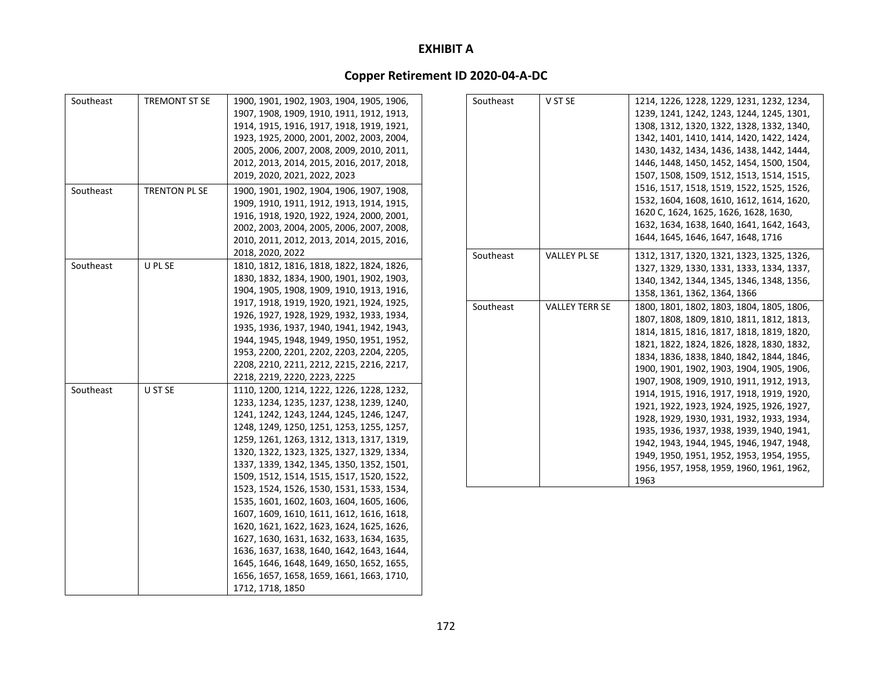| Southeast | TREMONT ST SE | 1900, 1901, 1902, 1903, 1904, 1905, 1906, |
|-----------|---------------|-------------------------------------------|
|           |               | 1907, 1908, 1909, 1910, 1911, 1912, 1913, |
|           |               | 1914, 1915, 1916, 1917, 1918, 1919, 1921, |
|           |               | 1923, 1925, 2000, 2001, 2002, 2003, 2004, |
|           |               | 2005, 2006, 2007, 2008, 2009, 2010, 2011, |
|           |               | 2012, 2013, 2014, 2015, 2016, 2017, 2018, |
|           |               | 2019, 2020, 2021, 2022, 2023              |
| Southeast | TRENTON PL SE | 1900, 1901, 1902, 1904, 1906, 1907, 1908, |
|           |               | 1909, 1910, 1911, 1912, 1913, 1914, 1915, |
|           |               | 1916, 1918, 1920, 1922, 1924, 2000, 2001, |
|           |               | 2002, 2003, 2004, 2005, 2006, 2007, 2008, |
|           |               | 2010, 2011, 2012, 2013, 2014, 2015, 2016, |
|           |               | 2018, 2020, 2022                          |
| Southeast | U PL SE       | 1810, 1812, 1816, 1818, 1822, 1824, 1826, |
|           |               | 1830, 1832, 1834, 1900, 1901, 1902, 1903, |
|           |               | 1904, 1905, 1908, 1909, 1910, 1913, 1916, |
|           |               | 1917, 1918, 1919, 1920, 1921, 1924, 1925, |
|           |               | 1926, 1927, 1928, 1929, 1932, 1933, 1934, |
|           |               | 1935, 1936, 1937, 1940, 1941, 1942, 1943, |
|           |               | 1944, 1945, 1948, 1949, 1950, 1951, 1952, |
|           |               | 1953, 2200, 2201, 2202, 2203, 2204, 2205, |
|           |               | 2208, 2210, 2211, 2212, 2215, 2216, 2217, |
|           |               | 2218, 2219, 2220, 2223, 2225              |
| Southeast | U ST SE       | 1110, 1200, 1214, 1222, 1226, 1228, 1232, |
|           |               | 1233, 1234, 1235, 1237, 1238, 1239, 1240, |
|           |               | 1241, 1242, 1243, 1244, 1245, 1246, 1247, |
|           |               | 1248, 1249, 1250, 1251, 1253, 1255, 1257, |
|           |               | 1259, 1261, 1263, 1312, 1313, 1317, 1319, |
|           |               | 1320, 1322, 1323, 1325, 1327, 1329, 1334, |
|           |               | 1337, 1339, 1342, 1345, 1350, 1352, 1501, |
|           |               | 1509, 1512, 1514, 1515, 1517, 1520, 1522, |
|           |               | 1523, 1524, 1526, 1530, 1531, 1533, 1534, |
|           |               | 1535, 1601, 1602, 1603, 1604, 1605, 1606, |
|           |               | 1607, 1609, 1610, 1611, 1612, 1616, 1618, |
|           |               | 1620, 1621, 1622, 1623, 1624, 1625, 1626, |
|           |               | 1627, 1630, 1631, 1632, 1633, 1634, 1635, |
|           |               | 1636, 1637, 1638, 1640, 1642, 1643, 1644, |
|           |               | 1645, 1646, 1648, 1649, 1650, 1652, 1655, |
|           |               | 1656, 1657, 1658, 1659, 1661, 1663, 1710, |
|           |               | 1712, 1718, 1850                          |

| Southeast | V ST SE               | 1214, 1226, 1228, 1229, 1231, 1232, 1234, |
|-----------|-----------------------|-------------------------------------------|
|           |                       | 1239, 1241, 1242, 1243, 1244, 1245, 1301, |
|           |                       | 1308, 1312, 1320, 1322, 1328, 1332, 1340, |
|           |                       | 1342, 1401, 1410, 1414, 1420, 1422, 1424, |
|           |                       | 1430, 1432, 1434, 1436, 1438, 1442, 1444, |
|           |                       | 1446, 1448, 1450, 1452, 1454, 1500, 1504, |
|           |                       | 1507, 1508, 1509, 1512, 1513, 1514, 1515, |
|           |                       | 1516, 1517, 1518, 1519, 1522, 1525, 1526, |
|           |                       | 1532, 1604, 1608, 1610, 1612, 1614, 1620, |
|           |                       | 1620 C, 1624, 1625, 1626, 1628, 1630,     |
|           |                       | 1632, 1634, 1638, 1640, 1641, 1642, 1643, |
|           |                       | 1644, 1645, 1646, 1647, 1648, 1716        |
| Southeast | <b>VALLEY PL SE</b>   | 1312, 1317, 1320, 1321, 1323, 1325, 1326, |
|           |                       | 1327, 1329, 1330, 1331, 1333, 1334, 1337, |
|           |                       | 1340, 1342, 1344, 1345, 1346, 1348, 1356, |
|           |                       | 1358, 1361, 1362, 1364, 1366              |
| Southeast | <b>VALLEY TERR SE</b> | 1800, 1801, 1802, 1803, 1804, 1805, 1806, |
|           |                       | 1807, 1808, 1809, 1810, 1811, 1812, 1813, |
|           |                       | 1814, 1815, 1816, 1817, 1818, 1819, 1820, |
|           |                       | 1821, 1822, 1824, 1826, 1828, 1830, 1832, |
|           |                       | 1834, 1836, 1838, 1840, 1842, 1844, 1846, |
|           |                       | 1900, 1901, 1902, 1903, 1904, 1905, 1906, |
|           |                       | 1907, 1908, 1909, 1910, 1911, 1912, 1913, |
|           |                       | 1914, 1915, 1916, 1917, 1918, 1919, 1920, |
|           |                       | 1921, 1922, 1923, 1924, 1925, 1926, 1927, |
|           |                       | 1928, 1929, 1930, 1931, 1932, 1933, 1934, |
|           |                       | 1935, 1936, 1937, 1938, 1939, 1940, 1941, |
|           |                       | 1942, 1943, 1944, 1945, 1946, 1947, 1948, |
|           |                       | 1949, 1950, 1951, 1952, 1953, 1954, 1955, |
|           |                       | 1956, 1957, 1958, 1959, 1960, 1961, 1962, |
|           |                       | 1963                                      |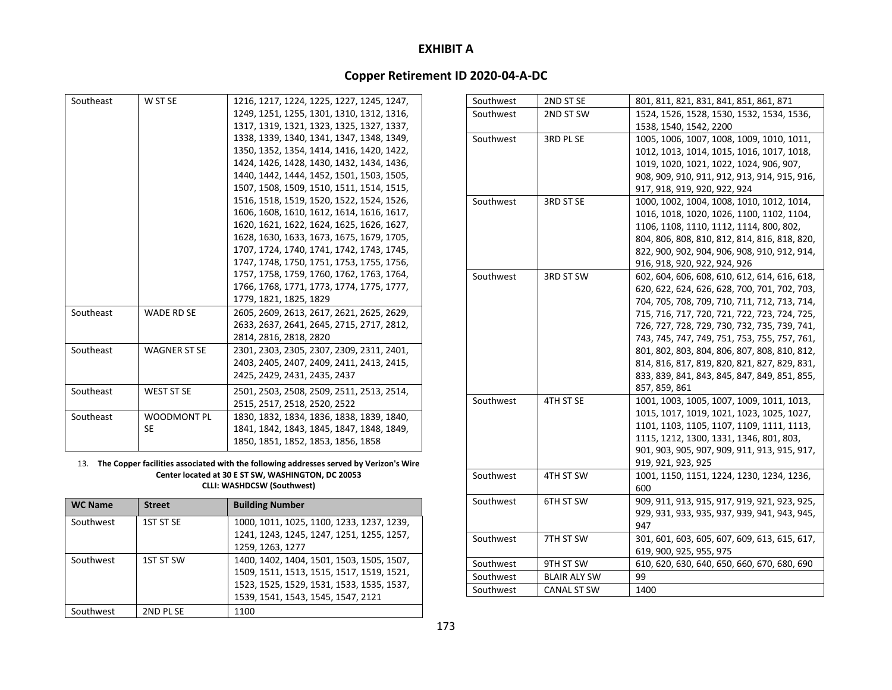# **Copper Retirement ID 2020‐04‐A‐DC**

| Southeast | W ST SE             | 1216, 1217, 1224, 1225, 1227, 1245, 1247, |
|-----------|---------------------|-------------------------------------------|
|           |                     | 1249, 1251, 1255, 1301, 1310, 1312, 1316, |
|           |                     | 1317, 1319, 1321, 1323, 1325, 1327, 1337, |
|           |                     | 1338, 1339, 1340, 1341, 1347, 1348, 1349, |
|           |                     | 1350, 1352, 1354, 1414, 1416, 1420, 1422, |
|           |                     | 1424, 1426, 1428, 1430, 1432, 1434, 1436, |
|           |                     | 1440, 1442, 1444, 1452, 1501, 1503, 1505, |
|           |                     | 1507, 1508, 1509, 1510, 1511, 1514, 1515, |
|           |                     | 1516, 1518, 1519, 1520, 1522, 1524, 1526, |
|           |                     | 1606, 1608, 1610, 1612, 1614, 1616, 1617, |
|           |                     | 1620, 1621, 1622, 1624, 1625, 1626, 1627, |
|           |                     | 1628, 1630, 1633, 1673, 1675, 1679, 1705, |
|           |                     | 1707, 1724, 1740, 1741, 1742, 1743, 1745, |
|           |                     | 1747, 1748, 1750, 1751, 1753, 1755, 1756, |
|           |                     | 1757, 1758, 1759, 1760, 1762, 1763, 1764, |
|           |                     | 1766, 1768, 1771, 1773, 1774, 1775, 1777, |
|           |                     | 1779, 1821, 1825, 1829                    |
| Southeast | <b>WADE RD SE</b>   | 2605, 2609, 2613, 2617, 2621, 2625, 2629, |
|           |                     | 2633, 2637, 2641, 2645, 2715, 2717, 2812, |
|           |                     | 2814, 2816, 2818, 2820                    |
| Southeast | <b>WAGNER ST SE</b> | 2301, 2303, 2305, 2307, 2309, 2311, 2401, |
|           |                     | 2403, 2405, 2407, 2409, 2411, 2413, 2415, |
|           |                     | 2425, 2429, 2431, 2435, 2437              |
| Southeast | <b>WEST ST SE</b>   | 2501, 2503, 2508, 2509, 2511, 2513, 2514, |
|           |                     | 2515, 2517, 2518, 2520, 2522              |
| Southeast | <b>WOODMONT PL</b>  | 1830, 1832, 1834, 1836, 1838, 1839, 1840, |
|           | <b>SE</b>           | 1841, 1842, 1843, 1845, 1847, 1848, 1849, |
|           |                     | 1850, 1851, 1852, 1853, 1856, 1858        |
|           |                     |                                           |

#### 13. **The Copper facilities associated with the following addresses served by Verizon's Wire Center located at 30 E ST SW, WASHINGTON, DC 20053 CLLI: WASHDCSW (Southwest)**

| <b>WC Name</b> | <b>Street</b> | <b>Building Number</b>                    |
|----------------|---------------|-------------------------------------------|
| Southwest      | 1ST ST SE     | 1000, 1011, 1025, 1100, 1233, 1237, 1239, |
|                |               | 1241, 1243, 1245, 1247, 1251, 1255, 1257, |
|                |               | 1259, 1263, 1277                          |
| Southwest      | 1ST ST SW     | 1400, 1402, 1404, 1501, 1503, 1505, 1507, |
|                |               | 1509, 1511, 1513, 1515, 1517, 1519, 1521, |
|                |               | 1523, 1525, 1529, 1531, 1533, 1535, 1537, |
|                |               | 1539, 1541, 1543, 1545, 1547, 2121        |
| Southwest      | 2ND PL SE     | 1100                                      |

| Southwest | 2ND ST SE          | 801, 811, 821, 831, 841, 851, 861, 871       |
|-----------|--------------------|----------------------------------------------|
| Southwest | 2ND ST SW          | 1524, 1526, 1528, 1530, 1532, 1534, 1536,    |
|           |                    | 1538, 1540, 1542, 2200                       |
| Southwest | 3RD PL SE          | 1005, 1006, 1007, 1008, 1009, 1010, 1011,    |
|           |                    | 1012, 1013, 1014, 1015, 1016, 1017, 1018,    |
|           |                    | 1019, 1020, 1021, 1022, 1024, 906, 907,      |
|           |                    | 908, 909, 910, 911, 912, 913, 914, 915, 916, |
|           |                    | 917, 918, 919, 920, 922, 924                 |
| Southwest | 3RD ST SE          | 1000, 1002, 1004, 1008, 1010, 1012, 1014,    |
|           |                    | 1016, 1018, 1020, 1026, 1100, 1102, 1104,    |
|           |                    | 1106, 1108, 1110, 1112, 1114, 800, 802,      |
|           |                    | 804, 806, 808, 810, 812, 814, 816, 818, 820, |
|           |                    | 822, 900, 902, 904, 906, 908, 910, 912, 914, |
|           |                    | 916, 918, 920, 922, 924, 926                 |
| Southwest | 3RD ST SW          | 602, 604, 606, 608, 610, 612, 614, 616, 618, |
|           |                    | 620, 622, 624, 626, 628, 700, 701, 702, 703, |
|           |                    | 704, 705, 708, 709, 710, 711, 712, 713, 714, |
|           |                    | 715, 716, 717, 720, 721, 722, 723, 724, 725, |
|           |                    | 726, 727, 728, 729, 730, 732, 735, 739, 741, |
|           |                    | 743, 745, 747, 749, 751, 753, 755, 757, 761, |
|           |                    | 801, 802, 803, 804, 806, 807, 808, 810, 812, |
|           |                    | 814, 816, 817, 819, 820, 821, 827, 829, 831, |
|           |                    | 833, 839, 841, 843, 845, 847, 849, 851, 855, |
|           |                    | 857, 859, 861                                |
| Southwest | 4TH ST SE          | 1001, 1003, 1005, 1007, 1009, 1011, 1013,    |
|           |                    | 1015, 1017, 1019, 1021, 1023, 1025, 1027,    |
|           |                    | 1101, 1103, 1105, 1107, 1109, 1111, 1113,    |
|           |                    | 1115, 1212, 1300, 1331, 1346, 801, 803,      |
|           |                    | 901, 903, 905, 907, 909, 911, 913, 915, 917, |
|           |                    | 919, 921, 923, 925                           |
| Southwest | 4TH ST SW          | 1001, 1150, 1151, 1224, 1230, 1234, 1236,    |
|           |                    | 600                                          |
| Southwest | 6TH ST SW          | 909, 911, 913, 915, 917, 919, 921, 923, 925, |
|           |                    | 929, 931, 933, 935, 937, 939, 941, 943, 945, |
|           |                    | 947                                          |
| Southwest | 7TH ST SW          | 301, 601, 603, 605, 607, 609, 613, 615, 617, |
|           |                    | 619, 900, 925, 955, 975                      |
| Southwest | 9TH ST SW          | 610, 620, 630, 640, 650, 660, 670, 680, 690  |
| Southwest | BLAIR ALY SW       | 99                                           |
| Southwest | <b>CANAL ST SW</b> | 1400                                         |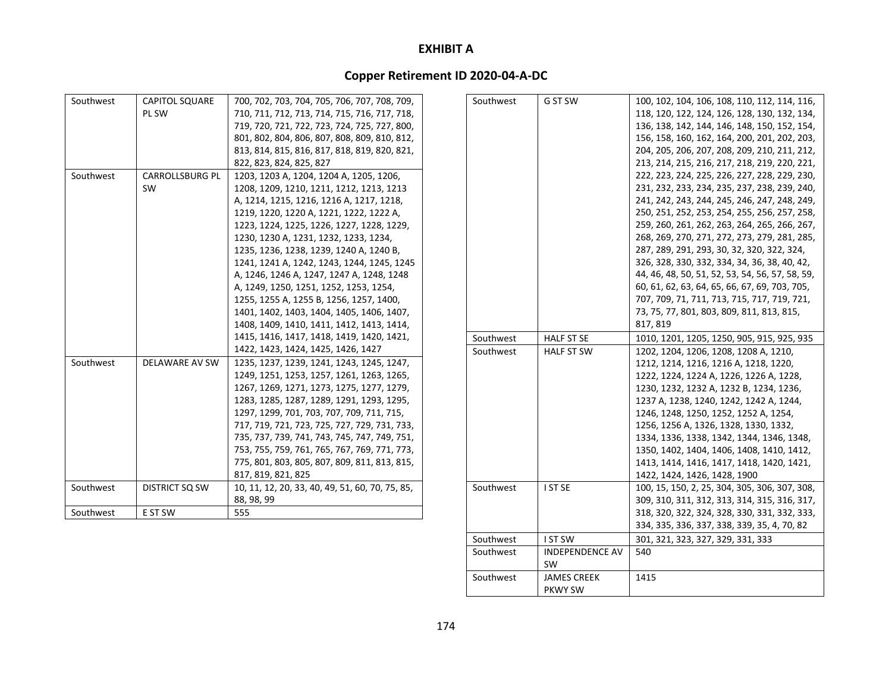## **Copper Retirement ID 2020‐04‐A‐DC**

| Southwest | <b>CAPITOL SQUARE</b>  | 700, 702, 703, 704, 705, 706, 707, 708, 709,    | Southwest | G ST SW           | 100, 102, 104, 106, 108, 110, 112, 114, 116,    |
|-----------|------------------------|-------------------------------------------------|-----------|-------------------|-------------------------------------------------|
|           | PL SW                  | 710, 711, 712, 713, 714, 715, 716, 717, 718,    |           |                   | 118, 120, 122, 124, 126, 128, 130, 132, 134,    |
|           |                        | 719, 720, 721, 722, 723, 724, 725, 727, 800,    |           |                   | 136, 138, 142, 144, 146, 148, 150, 152, 154,    |
|           |                        | 801, 802, 804, 806, 807, 808, 809, 810, 812,    |           |                   | 156, 158, 160, 162, 164, 200, 201, 202, 203,    |
|           |                        | 813, 814, 815, 816, 817, 818, 819, 820, 821,    |           |                   | 204, 205, 206, 207, 208, 209, 210, 211, 212,    |
|           |                        | 822, 823, 824, 825, 827                         |           |                   | 213, 214, 215, 216, 217, 218, 219, 220, 221,    |
| Southwest | <b>CARROLLSBURG PL</b> | 1203, 1203 A, 1204, 1204 A, 1205, 1206,         |           |                   | 222, 223, 224, 225, 226, 227, 228, 229, 230,    |
|           | SW                     | 1208, 1209, 1210, 1211, 1212, 1213, 1213        |           |                   | 231, 232, 233, 234, 235, 237, 238, 239, 240,    |
|           |                        | A, 1214, 1215, 1216, 1216 A, 1217, 1218,        |           |                   | 241, 242, 243, 244, 245, 246, 247, 248, 249,    |
|           |                        | 1219, 1220, 1220 A, 1221, 1222, 1222 A,         |           |                   | 250, 251, 252, 253, 254, 255, 256, 257, 258,    |
|           |                        | 1223, 1224, 1225, 1226, 1227, 1228, 1229,       |           |                   | 259, 260, 261, 262, 263, 264, 265, 266, 267,    |
|           |                        | 1230, 1230 A, 1231, 1232, 1233, 1234,           |           |                   | 268, 269, 270, 271, 272, 273, 279, 281, 285,    |
|           |                        | 1235, 1236, 1238, 1239, 1240 A, 1240 B,         |           |                   | 287, 289, 291, 293, 30, 32, 320, 322, 324,      |
|           |                        | 1241, 1241 A, 1242, 1243, 1244, 1245, 1245      |           |                   | 326, 328, 330, 332, 334, 34, 36, 38, 40, 42,    |
|           |                        | A, 1246, 1246 A, 1247, 1247 A, 1248, 1248       |           |                   | 44, 46, 48, 50, 51, 52, 53, 54, 56, 57, 58, 59, |
|           |                        | A, 1249, 1250, 1251, 1252, 1253, 1254,          |           |                   | 60, 61, 62, 63, 64, 65, 66, 67, 69, 703, 705,   |
|           |                        | 1255, 1255 A, 1255 B, 1256, 1257, 1400,         |           |                   | 707, 709, 71, 711, 713, 715, 717, 719, 721,     |
|           |                        | 1401, 1402, 1403, 1404, 1405, 1406, 1407,       |           |                   | 73, 75, 77, 801, 803, 809, 811, 813, 815,       |
|           |                        | 1408, 1409, 1410, 1411, 1412, 1413, 1414,       |           |                   | 817, 819                                        |
|           |                        | 1415, 1416, 1417, 1418, 1419, 1420, 1421,       | Southwest | <b>HALF ST SE</b> | 1010, 1201, 1205, 1250, 905, 915, 925, 935      |
|           |                        | 1422, 1423, 1424, 1425, 1426, 1427              | Southwest | <b>HALF ST SW</b> | 1202, 1204, 1206, 1208, 1208 A, 1210,           |
| Southwest | DELAWARE AV SW         | 1235, 1237, 1239, 1241, 1243, 1245, 1247,       |           |                   | 1212, 1214, 1216, 1216 A, 1218, 1220,           |
|           |                        | 1249, 1251, 1253, 1257, 1261, 1263, 1265,       |           |                   | 1222, 1224, 1224 A, 1226, 1226 A, 1228,         |
|           |                        | 1267, 1269, 1271, 1273, 1275, 1277, 1279,       |           |                   | 1230, 1232, 1232 A, 1232 B, 1234, 1236,         |
|           |                        | 1283, 1285, 1287, 1289, 1291, 1293, 1295,       |           |                   | 1237 A, 1238, 1240, 1242, 1242 A, 1244,         |
|           |                        | 1297, 1299, 701, 703, 707, 709, 711, 715,       |           |                   | 1246, 1248, 1250, 1252, 1252 A, 1254,           |
|           |                        | 717, 719, 721, 723, 725, 727, 729, 731, 733,    |           |                   | 1256, 1256 A, 1326, 1328, 1330, 1332,           |
|           |                        | 735, 737, 739, 741, 743, 745, 747, 749, 751,    |           |                   | 1334, 1336, 1338, 1342, 1344, 1346, 1348,       |
|           |                        | 753, 755, 759, 761, 765, 767, 769, 771, 773,    |           |                   | 1350, 1402, 1404, 1406, 1408, 1410, 1412,       |
|           |                        | 775, 801, 803, 805, 807, 809, 811, 813, 815,    |           |                   | 1413, 1414, 1416, 1417, 1418, 1420, 1421,       |
|           |                        | 817, 819, 821, 825                              |           |                   | 1422, 1424, 1426, 1428, 1900                    |
| Southwest | <b>DISTRICT SQ SW</b>  | 10, 11, 12, 20, 33, 40, 49, 51, 60, 70, 75, 85, | Southwest | I ST SE           | 100, 15, 150, 2, 25, 304, 305, 306, 307, 308,   |
|           |                        | 88, 98, 99                                      |           |                   | 309, 310, 311, 312, 313, 314, 315, 316, 317,    |
| Southwest | E ST SW                | 555                                             |           |                   | 318, 320, 322, 324, 328, 330, 331, 332, 333,    |
|           |                        |                                                 |           |                   | 334, 335, 336, 337, 338, 339, 35, 4, 70, 82     |
|           |                        |                                                 | Southwest | <b>IST SW</b>     | 301, 321, 323, 327, 329, 331, 333               |

t | INDEPENDENCE AV SWJAMES CREEK

PKWY SW

540

1415

Southwest

Southwest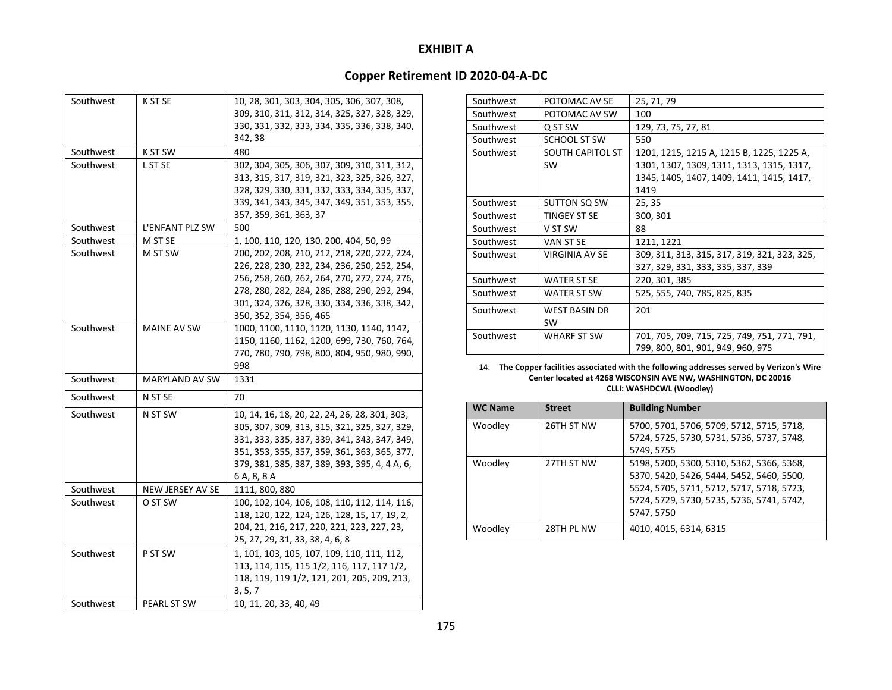## **Copper Retirement ID 2020‐04‐A‐DC**

| Southwest | K ST SE               | 10, 28, 301, 303, 304, 305, 306, 307, 308,<br>309, 310, 311, 312, 314, 325, 327, 328, 329,<br>330, 331, 332, 333, 334, 335, 336, 338, 340,<br>342, 38                                                                                                                   |
|-----------|-----------------------|-------------------------------------------------------------------------------------------------------------------------------------------------------------------------------------------------------------------------------------------------------------------------|
| Southwest | K ST SW               | 480                                                                                                                                                                                                                                                                     |
| Southwest | L ST SE               | 302, 304, 305, 306, 307, 309, 310, 311, 312,<br>313, 315, 317, 319, 321, 323, 325, 326, 327,<br>328, 329, 330, 331, 332, 333, 334, 335, 337,<br>339, 341, 343, 345, 347, 349, 351, 353, 355,<br>357, 359, 361, 363, 37                                                  |
| Southwest | L'ENFANT PLZ SW       | 500                                                                                                                                                                                                                                                                     |
| Southwest | M ST SE               | 1, 100, 110, 120, 130, 200, 404, 50, 99                                                                                                                                                                                                                                 |
| Southwest | M ST SW               | 200, 202, 208, 210, 212, 218, 220, 222, 224,<br>226, 228, 230, 232, 234, 236, 250, 252, 254,<br>256, 258, 260, 262, 264, 270, 272, 274, 276,<br>278, 280, 282, 284, 286, 288, 290, 292, 294,<br>301, 324, 326, 328, 330, 334, 336, 338, 342,<br>350, 352, 354, 356, 465 |
| Southwest | MAINE AV SW           | 1000, 1100, 1110, 1120, 1130, 1140, 1142,<br>1150, 1160, 1162, 1200, 699, 730, 760, 764,<br>770, 780, 790, 798, 800, 804, 950, 980, 990,<br>998                                                                                                                         |
| Southwest | <b>MARYLAND AV SW</b> | 1331                                                                                                                                                                                                                                                                    |
| Southwest | N ST SE               | 70                                                                                                                                                                                                                                                                      |
| Southwest | N ST SW               | 10, 14, 16, 18, 20, 22, 24, 26, 28, 301, 303,<br>305, 307, 309, 313, 315, 321, 325, 327, 329,<br>331, 333, 335, 337, 339, 341, 343, 347, 349,<br>351, 353, 355, 357, 359, 361, 363, 365, 377,<br>379, 381, 385, 387, 389, 393, 395, 4, 4 A, 6,<br>6 A, 8, 8 A           |
| Southwest | NEW JERSEY AV SE      | 1111, 800, 880                                                                                                                                                                                                                                                          |
| Southwest | O ST SW               | 100, 102, 104, 106, 108, 110, 112, 114, 116,<br>118, 120, 122, 124, 126, 128, 15, 17, 19, 2,<br>204, 21, 216, 217, 220, 221, 223, 227, 23,<br>25, 27, 29, 31, 33, 38, 4, 6, 8                                                                                           |
| Southwest | P ST SW               | 1, 101, 103, 105, 107, 109, 110, 111, 112,<br>113, 114, 115, 115 1/2, 116, 117, 117 1/2,<br>118, 119, 119 1/2, 121, 201, 205, 209, 213,<br>3, 5, 7                                                                                                                      |
| Southwest | PEARL ST SW           | 10, 11, 20, 33, 40, 49                                                                                                                                                                                                                                                  |

| Southwest | POTOMAC AV SE           | 25, 71, 79                                   |
|-----------|-------------------------|----------------------------------------------|
| Southwest | POTOMAC AV SW           | 100                                          |
| Southwest | Q ST SW                 | 129, 73, 75, 77, 81                          |
| Southwest | SCHOOL ST SW            | 550                                          |
| Southwest | <b>SOUTH CAPITOL ST</b> | 1201, 1215, 1215 A, 1215 B, 1225, 1225 A,    |
|           | <b>SW</b>               | 1301, 1307, 1309, 1311, 1313, 1315, 1317,    |
|           |                         | 1345, 1405, 1407, 1409, 1411, 1415, 1417,    |
|           |                         | 1419                                         |
| Southwest | SUTTON SQ SW            | 25, 35                                       |
| Southwest | TINGEY ST SE            | 300, 301                                     |
| Southwest | V ST SW                 | 88                                           |
| Southwest | VAN ST SE               | 1211, 1221                                   |
| Southwest | <b>VIRGINIA AV SE</b>   | 309, 311, 313, 315, 317, 319, 321, 323, 325, |
|           |                         | 327, 329, 331, 333, 335, 337, 339            |
| Southwest | <b>WATER ST SE</b>      | 220, 301, 385                                |
| Southwest | <b>WATER ST SW</b>      | 525, 555, 740, 785, 825, 835                 |
| Southwest | <b>WEST BASIN DR</b>    | 201                                          |
|           | <b>SW</b>               |                                              |
| Southwest | <b>WHARF ST SW</b>      | 701, 705, 709, 715, 725, 749, 751, 771, 791, |
|           |                         | 799, 800, 801, 901, 949, 960, 975            |

14. **The Copper facilities associated with the following addresses served by Verizon's Wire Center located at 4268 WISCONSIN AVE NW, WASHINGTON, DC 20016 CLLI: WASHDCWL (Woodley)**

| <b>WC Name</b> | <b>Street</b> | <b>Building Number</b>                    |
|----------------|---------------|-------------------------------------------|
| Woodley        | 26TH ST NW    | 5700, 5701, 5706, 5709, 5712, 5715, 5718, |
|                |               | 5724, 5725, 5730, 5731, 5736, 5737, 5748, |
|                |               | 5749, 5755                                |
| Woodley        | 27TH ST NW    | 5198, 5200, 5300, 5310, 5362, 5366, 5368, |
|                |               | 5370, 5420, 5426, 5444, 5452, 5460, 5500, |
|                |               | 5524, 5705, 5711, 5712, 5717, 5718, 5723, |
|                |               | 5724, 5729, 5730, 5735, 5736, 5741, 5742, |
|                |               | 5747, 5750                                |
| Woodley        | 28TH PL NW    | 4010, 4015, 6314, 6315                    |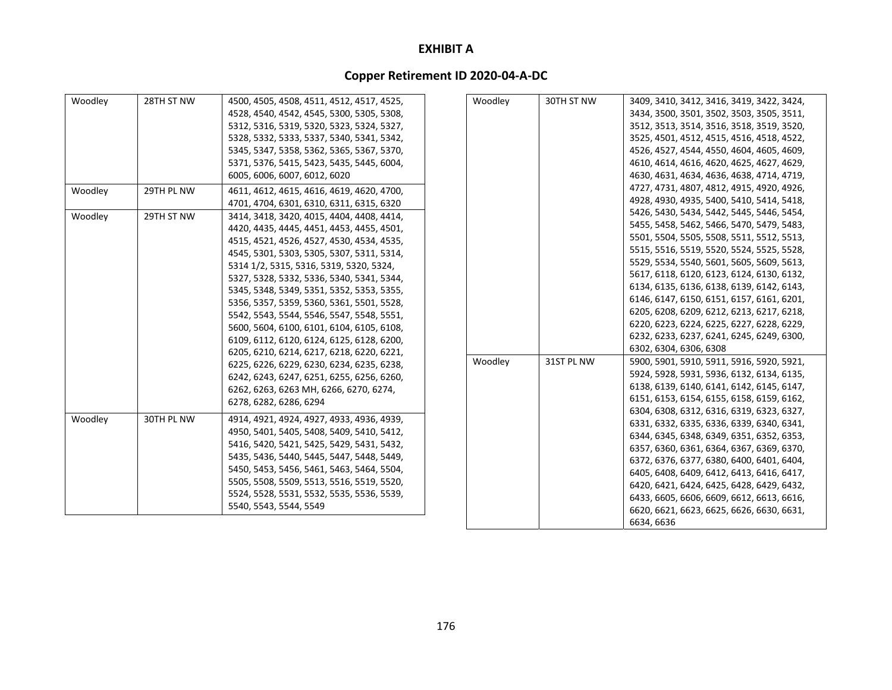| Woodley | 28TH ST NW | 4500, 4505, 4508, 4511, 4512, 4517, 4525, | Woodley | 30TH ST NW | 3409, 3410, 3412, 3416, 3419, 3422, 3424, |
|---------|------------|-------------------------------------------|---------|------------|-------------------------------------------|
|         |            | 4528, 4540, 4542, 4545, 5300, 5305, 5308, |         |            | 3434, 3500, 3501, 3502, 3503, 3505, 3511, |
|         |            | 5312, 5316, 5319, 5320, 5323, 5324, 5327, |         |            | 3512, 3513, 3514, 3516, 3518, 3519, 3520, |
|         |            | 5328, 5332, 5333, 5337, 5340, 5341, 5342, |         |            | 3525, 4501, 4512, 4515, 4516, 4518, 4522, |
|         |            | 5345, 5347, 5358, 5362, 5365, 5367, 5370, |         |            | 4526, 4527, 4544, 4550, 4604, 4605, 4609, |
|         |            | 5371, 5376, 5415, 5423, 5435, 5445, 6004, |         |            | 4610, 4614, 4616, 4620, 4625, 4627, 4629, |
|         |            | 6005, 6006, 6007, 6012, 6020              |         |            | 4630, 4631, 4634, 4636, 4638, 4714, 4719, |
| Woodley | 29TH PL NW | 4611, 4612, 4615, 4616, 4619, 4620, 4700, |         |            | 4727, 4731, 4807, 4812, 4915, 4920, 4926, |
|         |            | 4701, 4704, 6301, 6310, 6311, 6315, 6320  |         |            | 4928, 4930, 4935, 5400, 5410, 5414, 5418, |
| Woodley | 29TH ST NW | 3414, 3418, 3420, 4015, 4404, 4408, 4414, |         |            | 5426, 5430, 5434, 5442, 5445, 5446, 5454, |
|         |            | 4420, 4435, 4445, 4451, 4453, 4455, 4501, |         |            | 5455, 5458, 5462, 5466, 5470, 5479, 5483, |
|         |            | 4515, 4521, 4526, 4527, 4530, 4534, 4535, |         |            | 5501, 5504, 5505, 5508, 5511, 5512, 5513, |
|         |            | 4545, 5301, 5303, 5305, 5307, 5311, 5314, |         |            | 5515, 5516, 5519, 5520, 5524, 5525, 5528, |
|         |            | 5314 1/2, 5315, 5316, 5319, 5320, 5324,   |         |            | 5529, 5534, 5540, 5601, 5605, 5609, 5613, |
|         |            | 5327, 5328, 5332, 5336, 5340, 5341, 5344, |         |            | 5617, 6118, 6120, 6123, 6124, 6130, 6132, |
|         |            | 5345, 5348, 5349, 5351, 5352, 5353, 5355, |         |            | 6134, 6135, 6136, 6138, 6139, 6142, 6143, |
|         |            | 5356, 5357, 5359, 5360, 5361, 5501, 5528, |         |            | 6146, 6147, 6150, 6151, 6157, 6161, 6201, |
|         |            | 5542, 5543, 5544, 5546, 5547, 5548, 5551, |         |            | 6205, 6208, 6209, 6212, 6213, 6217, 6218, |
|         |            | 5600, 5604, 6100, 6101, 6104, 6105, 6108, |         |            | 6220, 6223, 6224, 6225, 6227, 6228, 6229, |
|         |            | 6109, 6112, 6120, 6124, 6125, 6128, 6200, |         |            | 6232, 6233, 6237, 6241, 6245, 6249, 6300, |
|         |            | 6205, 6210, 6214, 6217, 6218, 6220, 6221, |         |            | 6302, 6304, 6306, 6308                    |
|         |            | 6225, 6226, 6229, 6230, 6234, 6235, 6238, | Woodley | 31ST PL NW | 5900, 5901, 5910, 5911, 5916, 5920, 5921, |
|         |            | 6242, 6243, 6247, 6251, 6255, 6256, 6260, |         |            | 5924, 5928, 5931, 5936, 6132, 6134, 6135, |
|         |            | 6262, 6263, 6263 MH, 6266, 6270, 6274,    |         |            | 6138, 6139, 6140, 6141, 6142, 6145, 6147, |
|         |            | 6278, 6282, 6286, 6294                    |         |            | 6151, 6153, 6154, 6155, 6158, 6159, 6162, |
|         |            |                                           |         |            | 6304, 6308, 6312, 6316, 6319, 6323, 6327, |
| Woodley | 30TH PL NW | 4914, 4921, 4924, 4927, 4933, 4936, 4939, |         |            | 6331, 6332, 6335, 6336, 6339, 6340, 6341, |
|         |            | 4950, 5401, 5405, 5408, 5409, 5410, 5412, |         |            | 6344, 6345, 6348, 6349, 6351, 6352, 6353, |
|         |            | 5416, 5420, 5421, 5425, 5429, 5431, 5432, |         |            | 6357, 6360, 6361, 6364, 6367, 6369, 6370, |
|         |            | 5435, 5436, 5440, 5445, 5447, 5448, 5449, |         |            | 6372, 6376, 6377, 6380, 6400, 6401, 6404, |
|         |            | 5450, 5453, 5456, 5461, 5463, 5464, 5504, |         |            | 6405, 6408, 6409, 6412, 6413, 6416, 6417, |
|         |            | 5505, 5508, 5509, 5513, 5516, 5519, 5520, |         |            | 6420, 6421, 6424, 6425, 6428, 6429, 6432, |
|         |            | 5524, 5528, 5531, 5532, 5535, 5536, 5539, |         |            | 6433, 6605, 6606, 6609, 6612, 6613, 6616, |
|         |            | 5540, 5543, 5544, 5549                    |         |            | 6620, 6621, 6623, 6625, 6626, 6630, 6631, |
|         |            |                                           |         |            | 6634, 6636                                |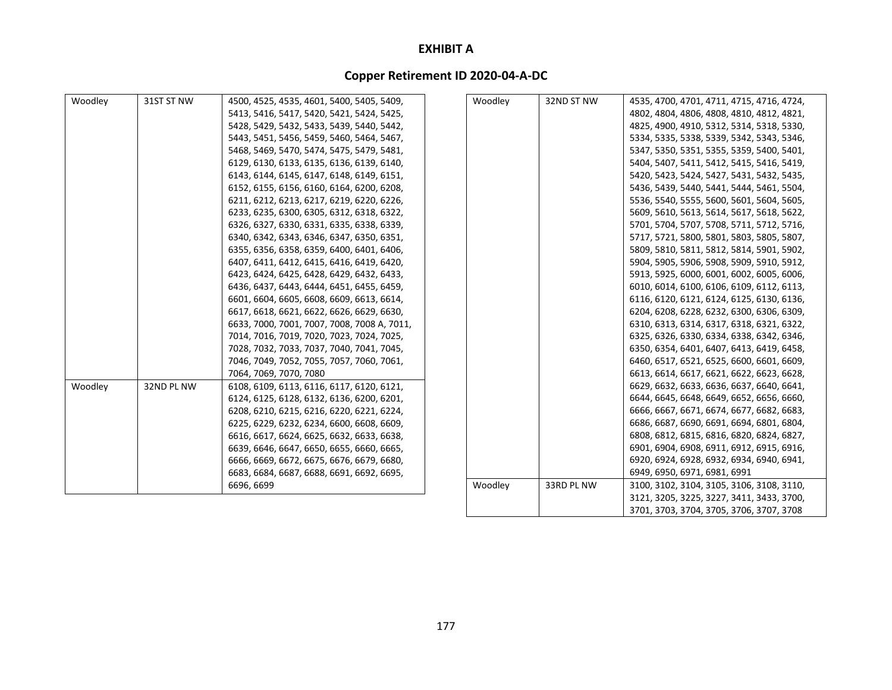| Woodley | 31ST ST NW | 4500, 4525, 4535, 4601, 5400, 5405, 5409,   | Woodley | 32ND ST NW | 4535, 4700, 4701, 4711, 4715, 4716, 4724, |
|---------|------------|---------------------------------------------|---------|------------|-------------------------------------------|
|         |            | 5413, 5416, 5417, 5420, 5421, 5424, 5425,   |         |            | 4802, 4804, 4806, 4808, 4810, 4812, 4821, |
|         |            | 5428, 5429, 5432, 5433, 5439, 5440, 5442,   |         |            | 4825, 4900, 4910, 5312, 5314, 5318, 5330, |
|         |            | 5443, 5451, 5456, 5459, 5460, 5464, 5467,   |         |            | 5334, 5335, 5338, 5339, 5342, 5343, 5346, |
|         |            | 5468, 5469, 5470, 5474, 5475, 5479, 5481,   |         |            | 5347, 5350, 5351, 5355, 5359, 5400, 5401, |
|         |            | 6129, 6130, 6133, 6135, 6136, 6139, 6140,   |         |            | 5404, 5407, 5411, 5412, 5415, 5416, 5419, |
|         |            | 6143, 6144, 6145, 6147, 6148, 6149, 6151,   |         |            | 5420, 5423, 5424, 5427, 5431, 5432, 5435, |
|         |            | 6152, 6155, 6156, 6160, 6164, 6200, 6208,   |         |            | 5436, 5439, 5440, 5441, 5444, 5461, 5504, |
|         |            | 6211, 6212, 6213, 6217, 6219, 6220, 6226,   |         |            | 5536, 5540, 5555, 5600, 5601, 5604, 5605, |
|         |            | 6233, 6235, 6300, 6305, 6312, 6318, 6322,   |         |            | 5609, 5610, 5613, 5614, 5617, 5618, 5622, |
|         |            | 6326, 6327, 6330, 6331, 6335, 6338, 6339,   |         |            | 5701, 5704, 5707, 5708, 5711, 5712, 5716, |
|         |            | 6340, 6342, 6343, 6346, 6347, 6350, 6351,   |         |            | 5717, 5721, 5800, 5801, 5803, 5805, 5807, |
|         |            | 6355, 6356, 6358, 6359, 6400, 6401, 6406,   |         |            | 5809, 5810, 5811, 5812, 5814, 5901, 5902, |
|         |            | 6407, 6411, 6412, 6415, 6416, 6419, 6420,   |         |            | 5904, 5905, 5906, 5908, 5909, 5910, 5912, |
|         |            | 6423, 6424, 6425, 6428, 6429, 6432, 6433,   |         |            | 5913, 5925, 6000, 6001, 6002, 6005, 6006, |
|         |            | 6436, 6437, 6443, 6444, 6451, 6455, 6459,   |         |            | 6010, 6014, 6100, 6106, 6109, 6112, 6113, |
|         |            | 6601, 6604, 6605, 6608, 6609, 6613, 6614,   |         |            | 6116, 6120, 6121, 6124, 6125, 6130, 6136, |
|         |            | 6617, 6618, 6621, 6622, 6626, 6629, 6630,   |         |            | 6204, 6208, 6228, 6232, 6300, 6306, 6309, |
|         |            | 6633, 7000, 7001, 7007, 7008, 7008 A, 7011, |         |            | 6310, 6313, 6314, 6317, 6318, 6321, 6322, |
|         |            | 7014, 7016, 7019, 7020, 7023, 7024, 7025,   |         |            | 6325, 6326, 6330, 6334, 6338, 6342, 6346, |
|         |            | 7028, 7032, 7033, 7037, 7040, 7041, 7045,   |         |            | 6350, 6354, 6401, 6407, 6413, 6419, 6458, |
|         |            | 7046, 7049, 7052, 7055, 7057, 7060, 7061,   |         |            | 6460, 6517, 6521, 6525, 6600, 6601, 6609, |
|         |            | 7064, 7069, 7070, 7080                      |         |            | 6613, 6614, 6617, 6621, 6622, 6623, 6628, |
| Woodley | 32ND PL NW | 6108, 6109, 6113, 6116, 6117, 6120, 6121,   |         |            | 6629, 6632, 6633, 6636, 6637, 6640, 6641, |
|         |            | 6124, 6125, 6128, 6132, 6136, 6200, 6201,   |         |            | 6644, 6645, 6648, 6649, 6652, 6656, 6660, |
|         |            | 6208, 6210, 6215, 6216, 6220, 6221, 6224,   |         |            | 6666, 6667, 6671, 6674, 6677, 6682, 6683, |
|         |            | 6225, 6229, 6232, 6234, 6600, 6608, 6609,   |         |            | 6686, 6687, 6690, 6691, 6694, 6801, 6804, |
|         |            | 6616, 6617, 6624, 6625, 6632, 6633, 6638,   |         |            | 6808, 6812, 6815, 6816, 6820, 6824, 6827, |
|         |            | 6639, 6646, 6647, 6650, 6655, 6660, 6665,   |         |            | 6901, 6904, 6908, 6911, 6912, 6915, 6916, |
|         |            | 6666, 6669, 6672, 6675, 6676, 6679, 6680,   |         |            | 6920, 6924, 6928, 6932, 6934, 6940, 6941, |
|         |            | 6683, 6684, 6687, 6688, 6691, 6692, 6695,   |         |            | 6949, 6950, 6971, 6981, 6991              |
|         |            | 6696, 6699                                  | Woodley | 33RD PL NW | 3100, 3102, 3104, 3105, 3106, 3108, 3110, |
|         |            |                                             |         |            | 3121, 3205, 3225, 3227, 3411, 3433, 3700, |
|         |            |                                             |         |            | 3701, 3703, 3704, 3705, 3706, 3707, 3708  |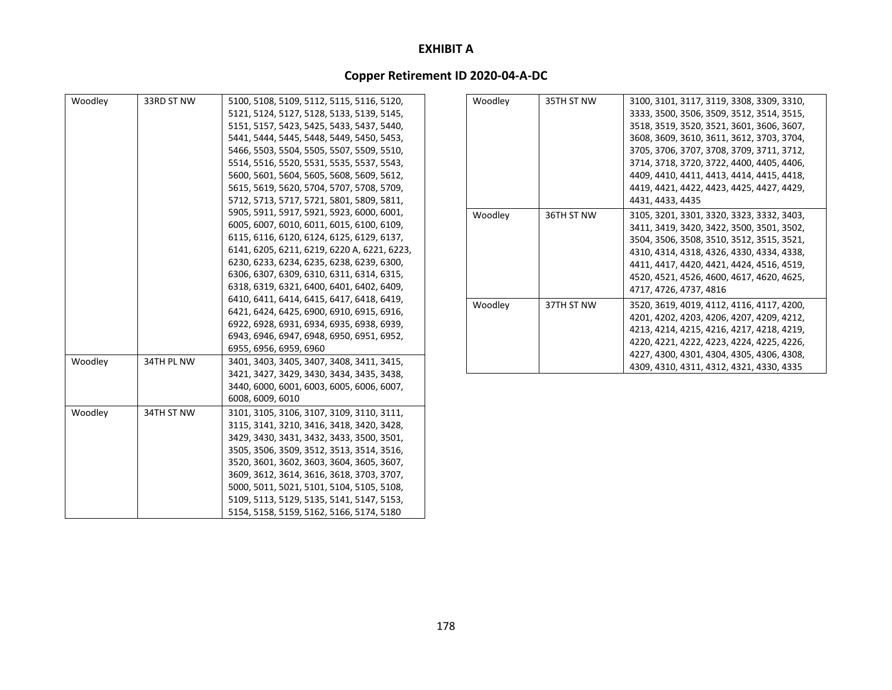| Woodley | 33RD ST NW | 5100, 5108, 5109, 5112, 5115, 5116, 5120,   |
|---------|------------|---------------------------------------------|
|         |            | 5121, 5124, 5127, 5128, 5133, 5139, 5145,   |
|         |            | 5151, 5157, 5423, 5425, 5433, 5437, 5440,   |
|         |            | 5441, 5444, 5445, 5448, 5449, 5450, 5453,   |
|         |            | 5466, 5503, 5504, 5505, 5507, 5509, 5510,   |
|         |            | 5514, 5516, 5520, 5531, 5535, 5537, 5543,   |
|         |            | 5600, 5601, 5604, 5605, 5608, 5609, 5612,   |
|         |            | 5615, 5619, 5620, 5704, 5707, 5708, 5709,   |
|         |            | 5712, 5713, 5717, 5721, 5801, 5809, 5811,   |
|         |            | 5905, 5911, 5917, 5921, 5923, 6000, 6001,   |
|         |            | 6005, 6007, 6010, 6011, 6015, 6100, 6109,   |
|         |            | 6115, 6116, 6120, 6124, 6125, 6129, 6137,   |
|         |            | 6141, 6205, 6211, 6219, 6220 A, 6221, 6223, |
|         |            | 6230, 6233, 6234, 6235, 6238, 6239, 6300,   |
|         |            | 6306, 6307, 6309, 6310, 6311, 6314, 6315,   |
|         |            | 6318, 6319, 6321, 6400, 6401, 6402, 6409,   |
|         |            | 6410, 6411, 6414, 6415, 6417, 6418, 6419,   |
|         |            | 6421, 6424, 6425, 6900, 6910, 6915, 6916,   |
|         |            | 6922, 6928, 6931, 6934, 6935, 6938, 6939,   |
|         |            | 6943, 6946, 6947, 6948, 6950, 6951, 6952,   |
|         |            | 6955, 6956, 6959, 6960                      |
| Woodley | 34TH PL NW | 3401, 3403, 3405, 3407, 3408, 3411, 3415,   |
|         |            | 3421, 3427, 3429, 3430, 3434, 3435, 3438,   |
|         |            | 3440, 6000, 6001, 6003, 6005, 6006, 6007,   |
|         |            | 6008, 6009, 6010                            |
| Woodley | 34TH ST NW | 3101, 3105, 3106, 3107, 3109, 3110, 3111,   |
|         |            | 3115, 3141, 3210, 3416, 3418, 3420, 3428,   |
|         |            | 3429, 3430, 3431, 3432, 3433, 3500, 3501,   |
|         |            | 3505, 3506, 3509, 3512, 3513, 3514, 3516,   |
|         |            | 3520, 3601, 3602, 3603, 3604, 3605, 3607,   |
|         |            | 3609, 3612, 3614, 3616, 3618, 3703, 3707,   |
|         |            | 5000, 5011, 5021, 5101, 5104, 5105, 5108,   |
|         |            | 5109, 5113, 5129, 5135, 5141, 5147, 5153,   |
|         |            | 5154, 5158, 5159, 5162, 5166, 5174, 5180    |

| Woodley | 35TH ST NW | 3100, 3101, 3117, 3119, 3308, 3309, 3310, |
|---------|------------|-------------------------------------------|
|         |            | 3333, 3500, 3506, 3509, 3512, 3514, 3515, |
|         |            | 3518, 3519, 3520, 3521, 3601, 3606, 3607, |
|         |            | 3608, 3609, 3610, 3611, 3612, 3703, 3704, |
|         |            | 3705, 3706, 3707, 3708, 3709, 3711, 3712, |
|         |            | 3714, 3718, 3720, 3722, 4400, 4405, 4406, |
|         |            | 4409, 4410, 4411, 4413, 4414, 4415, 4418, |
|         |            | 4419, 4421, 4422, 4423, 4425, 4427, 4429, |
|         |            | 4431, 4433, 4435                          |
| Woodley | 36TH ST NW | 3105, 3201, 3301, 3320, 3323, 3332, 3403, |
|         |            | 3411, 3419, 3420, 3422, 3500, 3501, 3502, |
|         |            | 3504, 3506, 3508, 3510, 3512, 3515, 3521, |
|         |            | 4310, 4314, 4318, 4326, 4330, 4334, 4338, |
|         |            | 4411, 4417, 4420, 4421, 4424, 4516, 4519, |
|         |            | 4520, 4521, 4526, 4600, 4617, 4620, 4625, |
|         |            | 4717, 4726, 4737, 4816                    |
| Woodley | 37TH ST NW | 3520, 3619, 4019, 4112, 4116, 4117, 4200, |
|         |            | 4201, 4202, 4203, 4206, 4207, 4209, 4212, |
|         |            | 4213, 4214, 4215, 4216, 4217, 4218, 4219, |
|         |            | 4220, 4221, 4222, 4223, 4224, 4225, 4226, |
|         |            | 4227, 4300, 4301, 4304, 4305, 4306, 4308, |
|         |            | 4309, 4310, 4311, 4312, 4321, 4330, 4335  |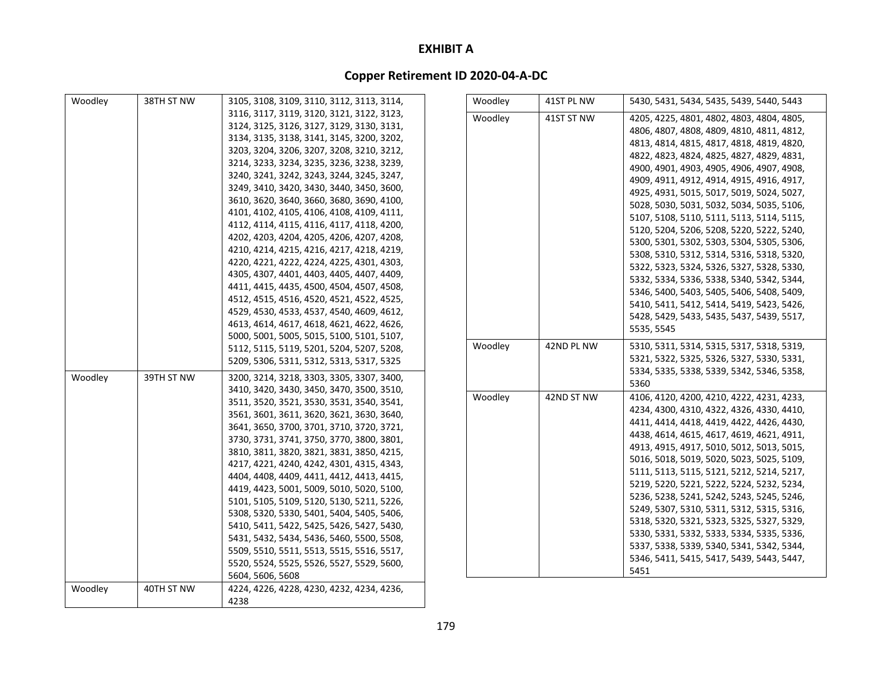| Woodley | 38TH ST NW | 3105, 3108, 3109, 3110, 3112, 3113, 3114, | Woodley | 41ST PL NW | 5430, 5431, 5434, 5435, 5439, 5440, 5443  |
|---------|------------|-------------------------------------------|---------|------------|-------------------------------------------|
|         |            | 3116, 3117, 3119, 3120, 3121, 3122, 3123, | Woodley | 41ST ST NW | 4205, 4225, 4801, 4802, 4803, 4804, 4805, |
|         |            | 3124, 3125, 3126, 3127, 3129, 3130, 3131, |         |            | 4806, 4807, 4808, 4809, 4810, 4811, 4812, |
|         |            | 3134, 3135, 3138, 3141, 3145, 3200, 3202, |         |            | 4813, 4814, 4815, 4817, 4818, 4819, 4820, |
|         |            | 3203, 3204, 3206, 3207, 3208, 3210, 3212, |         |            | 4822, 4823, 4824, 4825, 4827, 4829, 4831, |
|         |            | 3214, 3233, 3234, 3235, 3236, 3238, 3239, |         |            | 4900, 4901, 4903, 4905, 4906, 4907, 4908, |
|         |            | 3240, 3241, 3242, 3243, 3244, 3245, 3247, |         |            | 4909, 4911, 4912, 4914, 4915, 4916, 4917, |
|         |            | 3249, 3410, 3420, 3430, 3440, 3450, 3600, |         |            | 4925, 4931, 5015, 5017, 5019, 5024, 5027, |
|         |            | 3610, 3620, 3640, 3660, 3680, 3690, 4100, |         |            | 5028, 5030, 5031, 5032, 5034, 5035, 5106, |
|         |            | 4101, 4102, 4105, 4106, 4108, 4109, 4111, |         |            | 5107, 5108, 5110, 5111, 5113, 5114, 5115, |
|         |            | 4112, 4114, 4115, 4116, 4117, 4118, 4200, |         |            | 5120, 5204, 5206, 5208, 5220, 5222, 5240, |
|         |            | 4202, 4203, 4204, 4205, 4206, 4207, 4208, |         |            | 5300, 5301, 5302, 5303, 5304, 5305, 5306, |
|         |            | 4210, 4214, 4215, 4216, 4217, 4218, 4219, |         |            | 5308, 5310, 5312, 5314, 5316, 5318, 5320, |
|         |            | 4220, 4221, 4222, 4224, 4225, 4301, 4303, |         |            | 5322, 5323, 5324, 5326, 5327, 5328, 5330, |
|         |            | 4305, 4307, 4401, 4403, 4405, 4407, 4409, |         |            | 5332, 5334, 5336, 5338, 5340, 5342, 5344, |
|         |            | 4411, 4415, 4435, 4500, 4504, 4507, 4508, |         |            | 5346, 5400, 5403, 5405, 5406, 5408, 5409, |
|         |            | 4512, 4515, 4516, 4520, 4521, 4522, 4525, |         |            | 5410, 5411, 5412, 5414, 5419, 5423, 5426, |
|         |            | 4529, 4530, 4533, 4537, 4540, 4609, 4612, |         |            | 5428, 5429, 5433, 5435, 5437, 5439, 5517, |
|         |            | 4613, 4614, 4617, 4618, 4621, 4622, 4626, |         |            | 5535.5545                                 |
|         |            | 5000, 5001, 5005, 5015, 5100, 5101, 5107, |         |            |                                           |
|         |            | 5112, 5115, 5119, 5201, 5204, 5207, 5208, | Woodley | 42ND PL NW | 5310, 5311, 5314, 5315, 5317, 5318, 5319, |
|         |            | 5209, 5306, 5311, 5312, 5313, 5317, 5325  |         |            | 5321, 5322, 5325, 5326, 5327, 5330, 5331, |
| Woodley | 39TH ST NW | 3200, 3214, 3218, 3303, 3305, 3307, 3400, |         |            | 5334, 5335, 5338, 5339, 5342, 5346, 5358, |
|         |            | 3410, 3420, 3430, 3450, 3470, 3500, 3510, |         |            | 5360                                      |
|         |            | 3511, 3520, 3521, 3530, 3531, 3540, 3541, | Woodley | 42ND ST NW | 4106, 4120, 4200, 4210, 4222, 4231, 4233, |
|         |            | 3561, 3601, 3611, 3620, 3621, 3630, 3640, |         |            | 4234, 4300, 4310, 4322, 4326, 4330, 4410, |
|         |            | 3641, 3650, 3700, 3701, 3710, 3720, 3721, |         |            | 4411, 4414, 4418, 4419, 4422, 4426, 4430, |
|         |            | 3730, 3731, 3741, 3750, 3770, 3800, 3801, |         |            | 4438, 4614, 4615, 4617, 4619, 4621, 4911, |
|         |            | 3810, 3811, 3820, 3821, 3831, 3850, 4215, |         |            | 4913, 4915, 4917, 5010, 5012, 5013, 5015, |
|         |            | 4217, 4221, 4240, 4242, 4301, 4315, 4343, |         |            | 5016, 5018, 5019, 5020, 5023, 5025, 5109, |
|         |            | 4404, 4408, 4409, 4411, 4412, 4413, 4415, |         |            | 5111, 5113, 5115, 5121, 5212, 5214, 5217, |
|         |            | 4419, 4423, 5001, 5009, 5010, 5020, 5100, |         |            | 5219, 5220, 5221, 5222, 5224, 5232, 5234, |
|         |            | 5101, 5105, 5109, 5120, 5130, 5211, 5226, |         |            | 5236, 5238, 5241, 5242, 5243, 5245, 5246, |
|         |            | 5308, 5320, 5330, 5401, 5404, 5405, 5406, |         |            | 5249, 5307, 5310, 5311, 5312, 5315, 5316, |
|         |            | 5410, 5411, 5422, 5425, 5426, 5427, 5430, |         |            | 5318, 5320, 5321, 5323, 5325, 5327, 5329, |
|         |            | 5431, 5432, 5434, 5436, 5460, 5500, 5508, |         |            | 5330, 5331, 5332, 5333, 5334, 5335, 5336, |
|         |            | 5509, 5510, 5511, 5513, 5515, 5516, 5517, |         |            | 5337, 5338, 5339, 5340, 5341, 5342, 5344, |
|         |            | 5520, 5524, 5525, 5526, 5527, 5529, 5600, |         |            | 5346, 5411, 5415, 5417, 5439, 5443, 5447, |
|         |            | 5604, 5606, 5608                          |         |            | 5451                                      |
| Woodley | 40TH ST NW | 4224, 4226, 4228, 4230, 4232, 4234, 4236, |         |            |                                           |
|         |            | 4238                                      |         |            |                                           |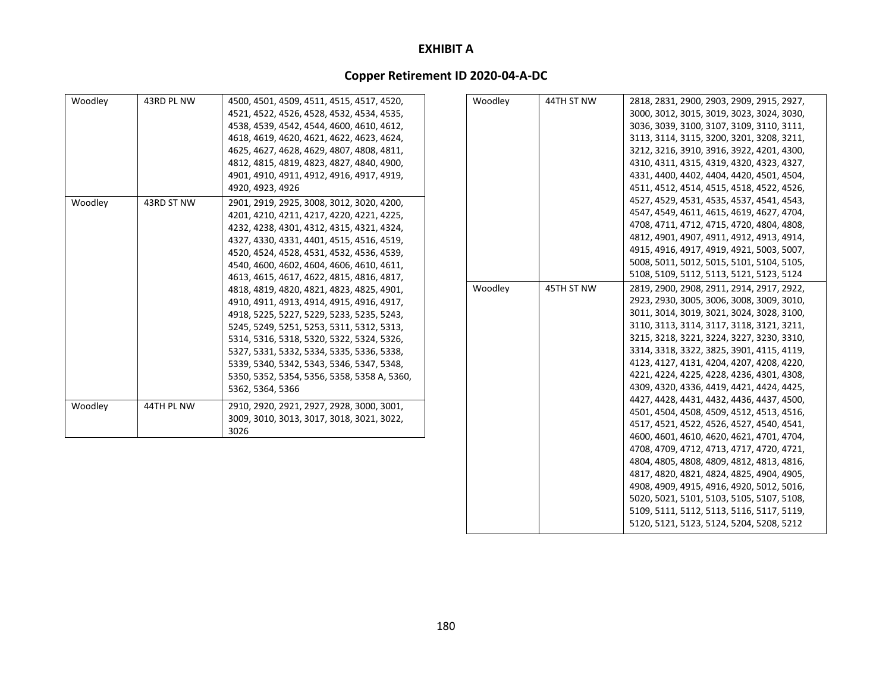| Woodley | 43RD PL NW | 4500, 4501, 4509, 4511, 4515, 4517, 4520,   |
|---------|------------|---------------------------------------------|
|         |            | 4521, 4522, 4526, 4528, 4532, 4534, 4535,   |
|         |            | 4538, 4539, 4542, 4544, 4600, 4610, 4612,   |
|         |            | 4618, 4619, 4620, 4621, 4622, 4623, 4624,   |
|         |            | 4625, 4627, 4628, 4629, 4807, 4808, 4811,   |
|         |            | 4812, 4815, 4819, 4823, 4827, 4840, 4900,   |
|         |            | 4901, 4910, 4911, 4912, 4916, 4917, 4919,   |
|         |            | 4920, 4923, 4926                            |
| Woodley | 43RD ST NW | 2901, 2919, 2925, 3008, 3012, 3020, 4200,   |
|         |            | 4201, 4210, 4211, 4217, 4220, 4221, 4225,   |
|         |            | 4232, 4238, 4301, 4312, 4315, 4321, 4324,   |
|         |            | 4327, 4330, 4331, 4401, 4515, 4516, 4519,   |
|         |            | 4520, 4524, 4528, 4531, 4532, 4536, 4539,   |
|         |            | 4540, 4600, 4602, 4604, 4606, 4610, 4611,   |
|         |            | 4613, 4615, 4617, 4622, 4815, 4816, 4817,   |
|         |            | 4818, 4819, 4820, 4821, 4823, 4825, 4901,   |
|         |            | 4910, 4911, 4913, 4914, 4915, 4916, 4917,   |
|         |            | 4918, 5225, 5227, 5229, 5233, 5235, 5243,   |
|         |            | 5245, 5249, 5251, 5253, 5311, 5312, 5313,   |
|         |            | 5314, 5316, 5318, 5320, 5322, 5324, 5326,   |
|         |            | 5327, 5331, 5332, 5334, 5335, 5336, 5338,   |
|         |            | 5339, 5340, 5342, 5343, 5346, 5347, 5348,   |
|         |            | 5350, 5352, 5354, 5356, 5358, 5358 A, 5360, |
|         |            | 5362, 5364, 5366                            |
| Woodley | 44TH PL NW | 2910, 2920, 2921, 2927, 2928, 3000, 3001,   |
|         |            | 3009, 3010, 3013, 3017, 3018, 3021, 3022,   |
|         |            | 3026                                        |

| Woodley | 44TH ST NW | 2818, 2831, 2900, 2903, 2909, 2915, 2927, |
|---------|------------|-------------------------------------------|
|         |            | 3000, 3012, 3015, 3019, 3023, 3024, 3030, |
|         |            | 3036, 3039, 3100, 3107, 3109, 3110, 3111, |
|         |            | 3113, 3114, 3115, 3200, 3201, 3208, 3211, |
|         |            | 3212, 3216, 3910, 3916, 3922, 4201, 4300, |
|         |            | 4310, 4311, 4315, 4319, 4320, 4323, 4327, |
|         |            | 4331, 4400, 4402, 4404, 4420, 4501, 4504, |
|         |            | 4511, 4512, 4514, 4515, 4518, 4522, 4526, |
|         |            | 4527, 4529, 4531, 4535, 4537, 4541, 4543, |
|         |            | 4547, 4549, 4611, 4615, 4619, 4627, 4704, |
|         |            | 4708, 4711, 4712, 4715, 4720, 4804, 4808, |
|         |            | 4812, 4901, 4907, 4911, 4912, 4913, 4914, |
|         |            | 4915, 4916, 4917, 4919, 4921, 5003, 5007, |
|         |            | 5008, 5011, 5012, 5015, 5101, 5104, 5105, |
|         |            | 5108, 5109, 5112, 5113, 5121, 5123, 5124  |
| Woodley | 45TH ST NW | 2819, 2900, 2908, 2911, 2914, 2917, 2922, |
|         |            | 2923, 2930, 3005, 3006, 3008, 3009, 3010, |
|         |            | 3011, 3014, 3019, 3021, 3024, 3028, 3100, |
|         |            | 3110, 3113, 3114, 3117, 3118, 3121, 3211, |
|         |            | 3215, 3218, 3221, 3224, 3227, 3230, 3310, |
|         |            | 3314, 3318, 3322, 3825, 3901, 4115, 4119, |
|         |            | 4123, 4127, 4131, 4204, 4207, 4208, 4220, |
|         |            | 4221, 4224, 4225, 4228, 4236, 4301, 4308, |
|         |            | 4309, 4320, 4336, 4419, 4421, 4424, 4425, |
|         |            | 4427, 4428, 4431, 4432, 4436, 4437, 4500, |
|         |            | 4501, 4504, 4508, 4509, 4512, 4513, 4516, |
|         |            | 4517, 4521, 4522, 4526, 4527, 4540, 4541, |
|         |            | 4600, 4601, 4610, 4620, 4621, 4701, 4704, |
|         |            | 4708, 4709, 4712, 4713, 4717, 4720, 4721, |
|         |            | 4804, 4805, 4808, 4809, 4812, 4813, 4816, |
|         |            | 4817, 4820, 4821, 4824, 4825, 4904, 4905, |
|         |            | 4908, 4909, 4915, 4916, 4920, 5012, 5016, |
|         |            | 5020, 5021, 5101, 5103, 5105, 5107, 5108, |
|         |            | 5109, 5111, 5112, 5113, 5116, 5117, 5119, |
|         |            | 5120, 5121, 5123, 5124, 5204, 5208, 5212  |
|         |            |                                           |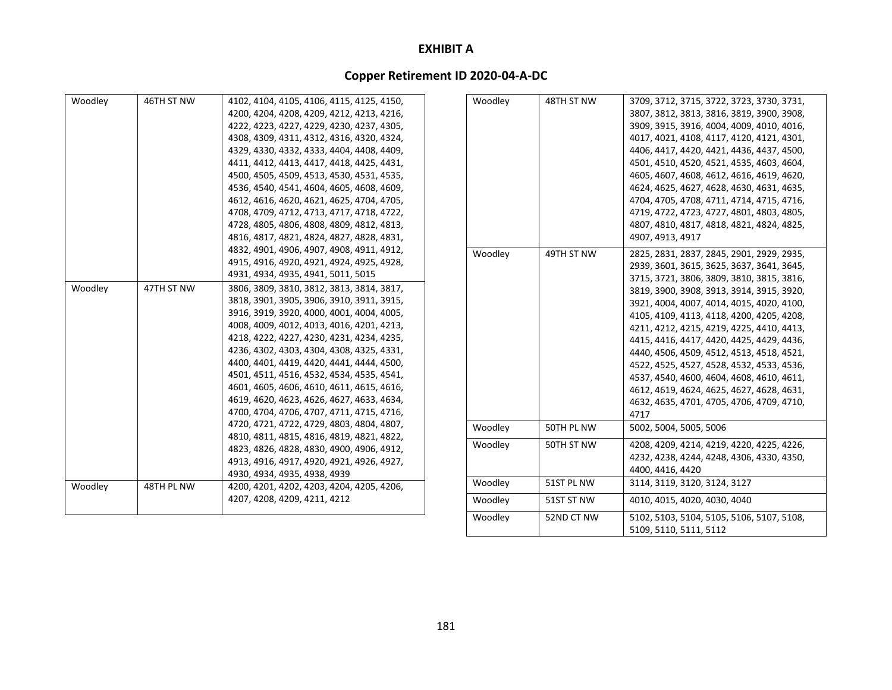| Woodley | 46TH ST NW | 4102, 4104, 4105, 4106, 4115, 4125, 4150,                                 | Woodley | 48TH ST NW | 3709, 3712, 3715, 3722, 3723, 3730, 3731,                           |
|---------|------------|---------------------------------------------------------------------------|---------|------------|---------------------------------------------------------------------|
|         |            | 4200, 4204, 4208, 4209, 4212, 4213, 4216,                                 |         |            | 3807, 3812, 3813, 3816, 3819, 3900, 3908,                           |
|         |            | 4222, 4223, 4227, 4229, 4230, 4237, 4305,                                 |         |            | 3909, 3915, 3916, 4004, 4009, 4010, 4016,                           |
|         |            | 4308, 4309, 4311, 4312, 4316, 4320, 4324,                                 |         |            | 4017, 4021, 4108, 4117, 4120, 4121, 4301,                           |
|         |            | 4329, 4330, 4332, 4333, 4404, 4408, 4409,                                 |         |            | 4406, 4417, 4420, 4421, 4436, 4437, 4500,                           |
|         |            | 4411, 4412, 4413, 4417, 4418, 4425, 4431,                                 |         |            | 4501, 4510, 4520, 4521, 4535, 4603, 4604,                           |
|         |            | 4500, 4505, 4509, 4513, 4530, 4531, 4535,                                 |         |            | 4605, 4607, 4608, 4612, 4616, 4619, 4620,                           |
|         |            | 4536, 4540, 4541, 4604, 4605, 4608, 4609,                                 |         |            | 4624, 4625, 4627, 4628, 4630, 4631, 4635,                           |
|         |            | 4612, 4616, 4620, 4621, 4625, 4704, 4705,                                 |         |            | 4704, 4705, 4708, 4711, 4714, 4715, 4716,                           |
|         |            | 4708, 4709, 4712, 4713, 4717, 4718, 4722,                                 |         |            | 4719, 4722, 4723, 4727, 4801, 4803, 4805,                           |
|         |            | 4728, 4805, 4806, 4808, 4809, 4812, 4813,                                 |         |            | 4807, 4810, 4817, 4818, 4821, 4824, 4825,                           |
|         |            | 4816, 4817, 4821, 4824, 4827, 4828, 4831,                                 |         |            | 4907, 4913, 4917                                                    |
|         |            | 4832, 4901, 4906, 4907, 4908, 4911, 4912,                                 | Woodley | 49TH ST NW | 2825, 2831, 2837, 2845, 2901, 2929, 2935,                           |
|         |            | 4915, 4916, 4920, 4921, 4924, 4925, 4928,                                 |         |            | 2939, 3601, 3615, 3625, 3637, 3641, 3645,                           |
|         |            | 4931, 4934, 4935, 4941, 5011, 5015                                        |         |            | 3715, 3721, 3806, 3809, 3810, 3815, 3816,                           |
| Woodley | 47TH ST NW | 3806, 3809, 3810, 3812, 3813, 3814, 3817,                                 |         |            | 3819, 3900, 3908, 3913, 3914, 3915, 3920,                           |
|         |            | 3818, 3901, 3905, 3906, 3910, 3911, 3915,                                 |         |            | 3921, 4004, 4007, 4014, 4015, 4020, 4100,                           |
|         |            | 3916, 3919, 3920, 4000, 4001, 4004, 4005,                                 |         |            | 4105, 4109, 4113, 4118, 4200, 4205, 4208,                           |
|         |            | 4008, 4009, 4012, 4013, 4016, 4201, 4213,                                 |         |            | 4211, 4212, 4215, 4219, 4225, 4410, 4413,                           |
|         |            | 4218, 4222, 4227, 4230, 4231, 4234, 4235,                                 |         |            | 4415, 4416, 4417, 4420, 4425, 4429, 4436,                           |
|         |            | 4236, 4302, 4303, 4304, 4308, 4325, 4331,                                 |         |            | 4440, 4506, 4509, 4512, 4513, 4518, 4521,                           |
|         |            | 4400, 4401, 4419, 4420, 4441, 4444, 4500,                                 |         |            | 4522, 4525, 4527, 4528, 4532, 4533, 4536,                           |
|         |            | 4501, 4511, 4516, 4532, 4534, 4535, 4541,                                 |         |            | 4537, 4540, 4600, 4604, 4608, 4610, 4611,                           |
|         |            | 4601, 4605, 4606, 4610, 4611, 4615, 4616,                                 |         |            | 4612, 4619, 4624, 4625, 4627, 4628, 4631,                           |
|         |            | 4619, 4620, 4623, 4626, 4627, 4633, 4634,                                 |         |            | 4632, 4635, 4701, 4705, 4706, 4709, 4710,                           |
|         |            | 4700, 4704, 4706, 4707, 4711, 4715, 4716,                                 |         |            | 4717                                                                |
|         |            | 4720, 4721, 4722, 4729, 4803, 4804, 4807,                                 | Woodley | 50TH PL NW | 5002, 5004, 5005, 5006                                              |
|         |            | 4810, 4811, 4815, 4816, 4819, 4821, 4822,                                 | Woodley | 50TH ST NW | 4208, 4209, 4214, 4219, 4220, 4225, 4226,                           |
|         |            | 4823, 4826, 4828, 4830, 4900, 4906, 4912,                                 |         |            | 4232, 4238, 4244, 4248, 4306, 4330, 4350,                           |
|         |            | 4913, 4916, 4917, 4920, 4921, 4926, 4927,                                 |         |            | 4400, 4416, 4420                                                    |
|         | 48TH PL NW | 4930, 4934, 4935, 4938, 4939                                              | Woodley | 51ST PL NW | 3114, 3119, 3120, 3124, 3127                                        |
| Woodley |            | 4200, 4201, 4202, 4203, 4204, 4205, 4206,<br>4207, 4208, 4209, 4211, 4212 | Woodley | 51ST ST NW | 4010, 4015, 4020, 4030, 4040                                        |
|         |            |                                                                           |         |            |                                                                     |
|         |            |                                                                           | Woodley | 52ND CT NW | 5102, 5103, 5104, 5105, 5106, 5107, 5108,<br>5109, 5110, 5111, 5112 |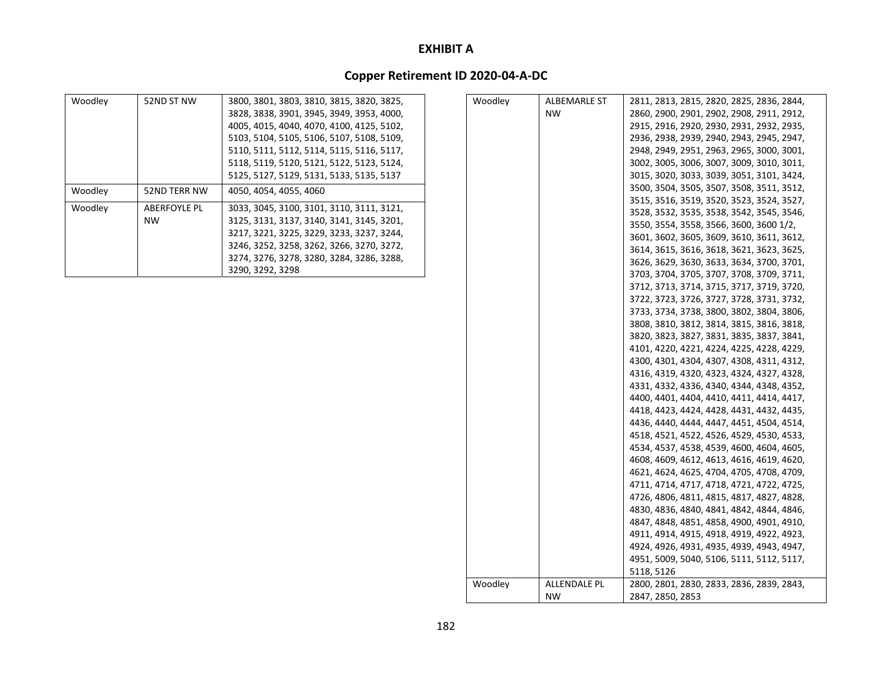| Woodley | 52ND ST NW                       | 3800, 3801, 3803, 3810, 3815, 3820, 3825,<br>3828, 3838, 3901, 3945, 3949, 3953, 4000,<br>4005, 4015, 4040, 4070, 4100, 4125, 5102,<br>5103, 5104, 5105, 5106, 5107, 5108, 5109,<br>5110, 5111, 5112, 5114, 5115, 5116, 5117,<br>5118, 5119, 5120, 5121, 5122, 5123, 5124,<br>5125, 5127, 5129, 5131, 5133, 5135, 5137 |
|---------|----------------------------------|------------------------------------------------------------------------------------------------------------------------------------------------------------------------------------------------------------------------------------------------------------------------------------------------------------------------|
| Woodley | 52ND TERR NW                     | 4050, 4054, 4055, 4060                                                                                                                                                                                                                                                                                                 |
| Woodley | <b>ABERFOYLE PL</b><br><b>NW</b> | 3033, 3045, 3100, 3101, 3110, 3111, 3121,<br>3125, 3131, 3137, 3140, 3141, 3145, 3201,<br>3217, 3221, 3225, 3229, 3233, 3237, 3244,<br>3246, 3252, 3258, 3262, 3266, 3270, 3272,<br>3274, 3276, 3278, 3280, 3284, 3286, 3288,<br>3290, 3292, 3298                                                                      |

| Woodley | ALBEMARLE ST              | 2811, 2813, 2815, 2820, 2825, 2836, 2844, |
|---------|---------------------------|-------------------------------------------|
|         | <b>NW</b>                 | 2860, 2900, 2901, 2902, 2908, 2911, 2912, |
|         |                           | 2915, 2916, 2920, 2930, 2931, 2932, 2935, |
|         |                           | 2936, 2938, 2939, 2940, 2943, 2945, 2947, |
|         |                           | 2948, 2949, 2951, 2963, 2965, 3000, 3001, |
|         |                           | 3002, 3005, 3006, 3007, 3009, 3010, 3011, |
|         |                           | 3015, 3020, 3033, 3039, 3051, 3101, 3424, |
|         |                           | 3500, 3504, 3505, 3507, 3508, 3511, 3512, |
|         |                           | 3515, 3516, 3519, 3520, 3523, 3524, 3527, |
|         |                           | 3528, 3532, 3535, 3538, 3542, 3545, 3546, |
|         |                           | 3550, 3554, 3558, 3566, 3600, 3600 1/2,   |
|         |                           | 3601, 3602, 3605, 3609, 3610, 3611, 3612, |
|         |                           | 3614, 3615, 3616, 3618, 3621, 3623, 3625, |
|         |                           | 3626, 3629, 3630, 3633, 3634, 3700, 3701, |
|         |                           | 3703, 3704, 3705, 3707, 3708, 3709, 3711, |
|         |                           | 3712, 3713, 3714, 3715, 3717, 3719, 3720, |
|         |                           | 3722, 3723, 3726, 3727, 3728, 3731, 3732, |
|         |                           | 3733, 3734, 3738, 3800, 3802, 3804, 3806, |
|         |                           | 3808, 3810, 3812, 3814, 3815, 3816, 3818, |
|         |                           | 3820, 3823, 3827, 3831, 3835, 3837, 3841, |
|         |                           | 4101, 4220, 4221, 4224, 4225, 4228, 4229, |
|         |                           | 4300, 4301, 4304, 4307, 4308, 4311, 4312, |
|         |                           | 4316, 4319, 4320, 4323, 4324, 4327, 4328, |
|         |                           | 4331, 4332, 4336, 4340, 4344, 4348, 4352, |
|         |                           | 4400, 4401, 4404, 4410, 4411, 4414, 4417, |
|         |                           | 4418, 4423, 4424, 4428, 4431, 4432, 4435, |
|         |                           | 4436, 4440, 4444, 4447, 4451, 4504, 4514, |
|         |                           | 4518, 4521, 4522, 4526, 4529, 4530, 4533, |
|         |                           | 4534, 4537, 4538, 4539, 4600, 4604, 4605, |
|         |                           | 4608, 4609, 4612, 4613, 4616, 4619, 4620, |
|         |                           | 4621, 4624, 4625, 4704, 4705, 4708, 4709, |
|         |                           | 4711, 4714, 4717, 4718, 4721, 4722, 4725, |
|         |                           | 4726, 4806, 4811, 4815, 4817, 4827, 4828, |
|         |                           | 4830, 4836, 4840, 4841, 4842, 4844, 4846, |
|         |                           | 4847, 4848, 4851, 4858, 4900, 4901, 4910, |
|         |                           | 4911, 4914, 4915, 4918, 4919, 4922, 4923, |
|         |                           | 4924, 4926, 4931, 4935, 4939, 4943, 4947, |
|         |                           | 4951, 5009, 5040, 5106, 5111, 5112, 5117, |
|         |                           | 5118, 5126                                |
| Woodley | ALLENDALE PL<br><b>NW</b> | 2800, 2801, 2830, 2833, 2836, 2839, 2843, |
|         |                           | 2847, 2850, 2853                          |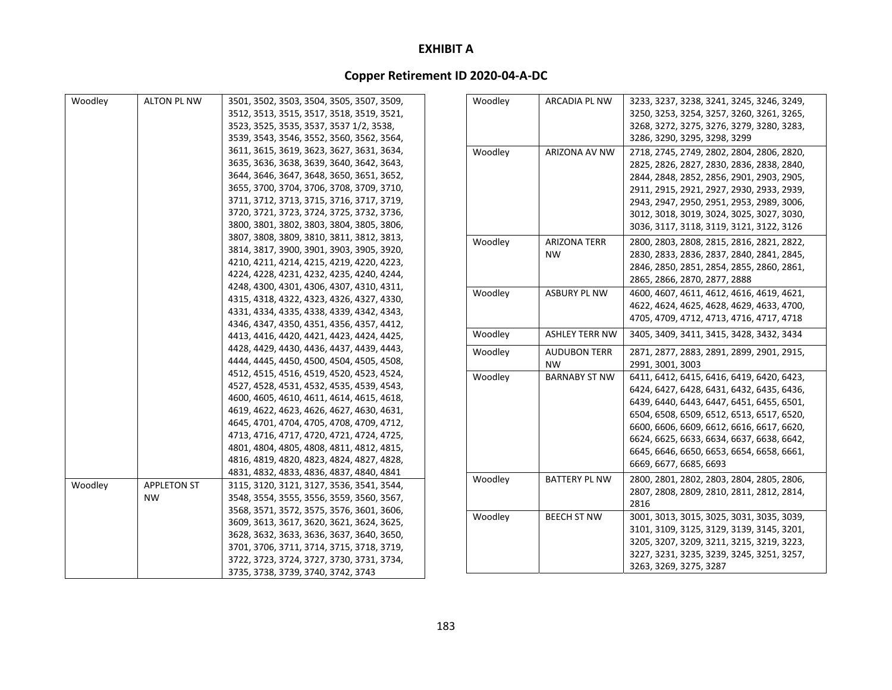| Woodley | <b>ALTON PL NW</b> | 3501, 3502, 3503, 3504, 3505, 3507, 3509, | Woodley | <b>ARCADIA PL NW</b>  | 3233, 3237, 3238, 3241, 3245, 3246, 3249, |
|---------|--------------------|-------------------------------------------|---------|-----------------------|-------------------------------------------|
|         |                    | 3512, 3513, 3515, 3517, 3518, 3519, 3521, |         |                       | 3250, 3253, 3254, 3257, 3260, 3261, 3265, |
|         |                    | 3523, 3525, 3535, 3537, 3537 1/2, 3538,   |         |                       | 3268, 3272, 3275, 3276, 3279, 3280, 3283, |
|         |                    | 3539, 3543, 3546, 3552, 3560, 3562, 3564, |         |                       | 3286, 3290, 3295, 3298, 3299              |
|         |                    | 3611, 3615, 3619, 3623, 3627, 3631, 3634, |         |                       |                                           |
|         |                    | 3635, 3636, 3638, 3639, 3640, 3642, 3643, | Woodley | ARIZONA AV NW         | 2718, 2745, 2749, 2802, 2804, 2806, 2820, |
|         |                    | 3644, 3646, 3647, 3648, 3650, 3651, 3652, |         |                       | 2825, 2826, 2827, 2830, 2836, 2838, 2840, |
|         |                    | 3655, 3700, 3704, 3706, 3708, 3709, 3710, |         |                       | 2844, 2848, 2852, 2856, 2901, 2903, 2905, |
|         |                    |                                           |         |                       | 2911, 2915, 2921, 2927, 2930, 2933, 2939, |
|         |                    | 3711, 3712, 3713, 3715, 3716, 3717, 3719, |         |                       | 2943, 2947, 2950, 2951, 2953, 2989, 3006, |
|         |                    | 3720, 3721, 3723, 3724, 3725, 3732, 3736, |         |                       | 3012, 3018, 3019, 3024, 3025, 3027, 3030, |
|         |                    | 3800, 3801, 3802, 3803, 3804, 3805, 3806, |         |                       | 3036, 3117, 3118, 3119, 3121, 3122, 3126  |
|         |                    | 3807, 3808, 3809, 3810, 3811, 3812, 3813, | Woodley | <b>ARIZONA TERR</b>   | 2800, 2803, 2808, 2815, 2816, 2821, 2822, |
|         |                    | 3814, 3817, 3900, 3901, 3903, 3905, 3920, |         | <b>NW</b>             | 2830, 2833, 2836, 2837, 2840, 2841, 2845, |
|         |                    | 4210, 4211, 4214, 4215, 4219, 4220, 4223, |         |                       | 2846, 2850, 2851, 2854, 2855, 2860, 2861, |
|         |                    | 4224, 4228, 4231, 4232, 4235, 4240, 4244, |         |                       | 2865, 2866, 2870, 2877, 2888              |
|         |                    | 4248, 4300, 4301, 4306, 4307, 4310, 4311, | Woodley | <b>ASBURY PL NW</b>   | 4600, 4607, 4611, 4612, 4616, 4619, 4621, |
|         |                    | 4315, 4318, 4322, 4323, 4326, 4327, 4330, |         |                       | 4622, 4624, 4625, 4628, 4629, 4633, 4700, |
|         |                    | 4331, 4334, 4335, 4338, 4339, 4342, 4343, |         |                       | 4705, 4709, 4712, 4713, 4716, 4717, 4718  |
|         |                    | 4346, 4347, 4350, 4351, 4356, 4357, 4412, |         | <b>ASHLEY TERR NW</b> |                                           |
|         |                    | 4413, 4416, 4420, 4421, 4423, 4424, 4425, | Woodley |                       | 3405, 3409, 3411, 3415, 3428, 3432, 3434  |
|         |                    | 4428, 4429, 4430, 4436, 4437, 4439, 4443, | Woodley | <b>AUDUBON TERR</b>   | 2871, 2877, 2883, 2891, 2899, 2901, 2915, |
|         |                    | 4444, 4445, 4450, 4500, 4504, 4505, 4508, |         | <b>NW</b>             | 2991, 3001, 3003                          |
|         |                    | 4512, 4515, 4516, 4519, 4520, 4523, 4524, | Woodley | <b>BARNABY ST NW</b>  | 6411, 6412, 6415, 6416, 6419, 6420, 6423, |
|         |                    | 4527, 4528, 4531, 4532, 4535, 4539, 4543, |         |                       | 6424, 6427, 6428, 6431, 6432, 6435, 6436, |
|         |                    | 4600, 4605, 4610, 4611, 4614, 4615, 4618, |         |                       | 6439, 6440, 6443, 6447, 6451, 6455, 6501, |
|         |                    | 4619, 4622, 4623, 4626, 4627, 4630, 4631, |         |                       | 6504, 6508, 6509, 6512, 6513, 6517, 6520, |
|         |                    | 4645, 4701, 4704, 4705, 4708, 4709, 4712, |         |                       | 6600, 6606, 6609, 6612, 6616, 6617, 6620, |
|         |                    | 4713, 4716, 4717, 4720, 4721, 4724, 4725, |         |                       | 6624, 6625, 6633, 6634, 6637, 6638, 6642, |
|         |                    | 4801, 4804, 4805, 4808, 4811, 4812, 4815, |         |                       | 6645, 6646, 6650, 6653, 6654, 6658, 6661, |
|         |                    | 4816, 4819, 4820, 4823, 4824, 4827, 4828, |         |                       | 6669, 6677, 6685, 6693                    |
|         |                    | 4831, 4832, 4833, 4836, 4837, 4840, 4841  | Woodley | <b>BATTERY PL NW</b>  | 2800, 2801, 2802, 2803, 2804, 2805, 2806, |
| Woodley | <b>APPLETON ST</b> | 3115, 3120, 3121, 3127, 3536, 3541, 3544, |         |                       | 2807, 2808, 2809, 2810, 2811, 2812, 2814, |
|         | <b>NW</b>          | 3548, 3554, 3555, 3556, 3559, 3560, 3567, |         |                       | 2816                                      |
|         |                    | 3568, 3571, 3572, 3575, 3576, 3601, 3606, | Woodley | <b>BEECH ST NW</b>    | 3001, 3013, 3015, 3025, 3031, 3035, 3039, |
|         |                    | 3609, 3613, 3617, 3620, 3621, 3624, 3625, |         |                       | 3101, 3109, 3125, 3129, 3139, 3145, 3201, |
|         |                    | 3628, 3632, 3633, 3636, 3637, 3640, 3650, |         |                       | 3205, 3207, 3209, 3211, 3215, 3219, 3223, |
|         |                    | 3701, 3706, 3711, 3714, 3715, 3718, 3719, |         |                       | 3227, 3231, 3235, 3239, 3245, 3251, 3257, |
|         |                    | 3722, 3723, 3724, 3727, 3730, 3731, 3734, |         |                       | 3263, 3269, 3275, 3287                    |
|         |                    | 3735, 3738, 3739, 3740, 3742, 3743        |         |                       |                                           |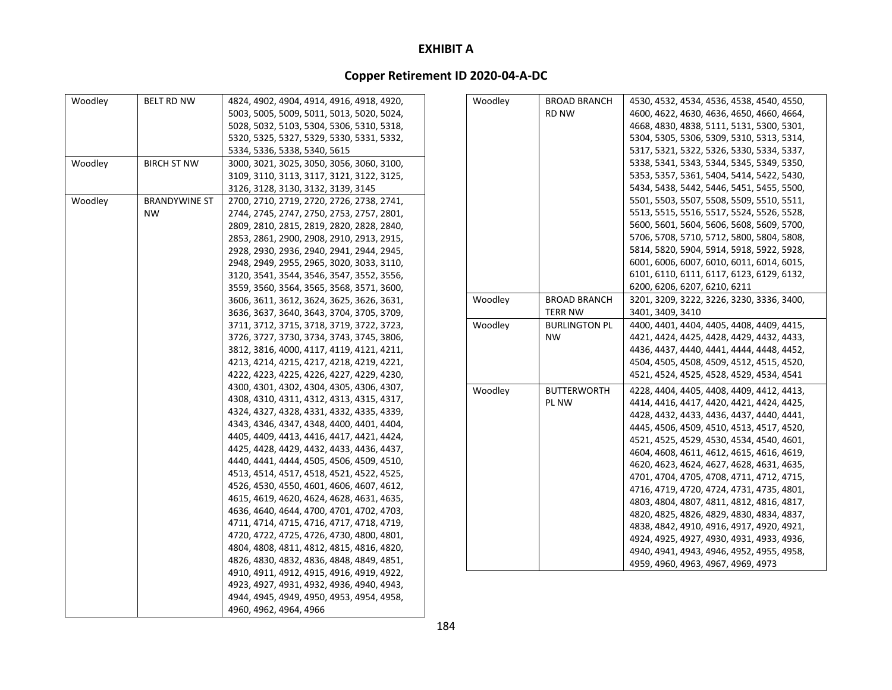| Woodley | <b>BELT RD NW</b>    | 4824, 4902, 4904, 4914, 4916, 4918, 4920, |
|---------|----------------------|-------------------------------------------|
|         |                      | 5003, 5005, 5009, 5011, 5013, 5020, 5024, |
|         |                      | 5028, 5032, 5103, 5304, 5306, 5310, 5318, |
|         |                      | 5320, 5325, 5327, 5329, 5330, 5331, 5332, |
|         |                      | 5334, 5336, 5338, 5340, 5615              |
| Woodley | <b>BIRCH ST NW</b>   | 3000, 3021, 3025, 3050, 3056, 3060, 3100, |
|         |                      | 3109, 3110, 3113, 3117, 3121, 3122, 3125, |
|         |                      | 3126, 3128, 3130, 3132, 3139, 3145        |
| Woodley | <b>BRANDYWINE ST</b> | 2700, 2710, 2719, 2720, 2726, 2738, 2741, |
|         | <b>NW</b>            | 2744, 2745, 2747, 2750, 2753, 2757, 2801, |
|         |                      | 2809, 2810, 2815, 2819, 2820, 2828, 2840, |
|         |                      | 2853, 2861, 2900, 2908, 2910, 2913, 2915, |
|         |                      |                                           |
|         |                      | 2928, 2930, 2936, 2940, 2941, 2944, 2945, |
|         |                      | 2948, 2949, 2955, 2965, 3020, 3033, 3110, |
|         |                      | 3120, 3541, 3544, 3546, 3547, 3552, 3556, |
|         |                      | 3559, 3560, 3564, 3565, 3568, 3571, 3600, |
|         |                      | 3606, 3611, 3612, 3624, 3625, 3626, 3631, |
|         |                      | 3636, 3637, 3640, 3643, 3704, 3705, 3709, |
|         |                      | 3711, 3712, 3715, 3718, 3719, 3722, 3723, |
|         |                      | 3726, 3727, 3730, 3734, 3743, 3745, 3806, |
|         |                      | 3812, 3816, 4000, 4117, 4119, 4121, 4211, |
|         |                      | 4213, 4214, 4215, 4217, 4218, 4219, 4221, |
|         |                      | 4222, 4223, 4225, 4226, 4227, 4229, 4230, |
|         |                      | 4300, 4301, 4302, 4304, 4305, 4306, 4307, |
|         |                      | 4308, 4310, 4311, 4312, 4313, 4315, 4317, |
|         |                      | 4324, 4327, 4328, 4331, 4332, 4335, 4339, |
|         |                      | 4343, 4346, 4347, 4348, 4400, 4401, 4404, |
|         |                      | 4405, 4409, 4413, 4416, 4417, 4421, 4424, |
|         |                      | 4425, 4428, 4429, 4432, 4433, 4436, 4437, |
|         |                      | 4440, 4441, 4444, 4505, 4506, 4509, 4510, |
|         |                      | 4513, 4514, 4517, 4518, 4521, 4522, 4525, |
|         |                      | 4526, 4530, 4550, 4601, 4606, 4607, 4612, |
|         |                      | 4615, 4619, 4620, 4624, 4628, 4631, 4635, |
|         |                      | 4636, 4640, 4644, 4700, 4701, 4702, 4703, |
|         |                      | 4711, 4714, 4715, 4716, 4717, 4718, 4719, |
|         |                      | 4720, 4722, 4725, 4726, 4730, 4800, 4801, |
|         |                      | 4804, 4808, 4811, 4812, 4815, 4816, 4820, |
|         |                      | 4826, 4830, 4832, 4836, 4848, 4849, 4851, |
|         |                      | 4910, 4911, 4912, 4915, 4916, 4919, 4922, |
|         |                      | 4923, 4927, 4931, 4932, 4936, 4940, 4943, |
|         |                      | 4944, 4945, 4949, 4950, 4953, 4954, 4958, |
|         |                      | 4960, 4962, 4964, 4966                    |

| Woodley | <b>BROAD BRANCH</b>  | 4530, 4532, 4534, 4536, 4538, 4540, 4550, |
|---------|----------------------|-------------------------------------------|
|         | RD NW                | 4600, 4622, 4630, 4636, 4650, 4660, 4664, |
|         |                      | 4668, 4830, 4838, 5111, 5131, 5300, 5301, |
|         |                      | 5304, 5305, 5306, 5309, 5310, 5313, 5314, |
|         |                      | 5317, 5321, 5322, 5326, 5330, 5334, 5337, |
|         |                      | 5338, 5341, 5343, 5344, 5345, 5349, 5350, |
|         |                      | 5353, 5357, 5361, 5404, 5414, 5422, 5430, |
|         |                      | 5434, 5438, 5442, 5446, 5451, 5455, 5500, |
|         |                      | 5501, 5503, 5507, 5508, 5509, 5510, 5511, |
|         |                      | 5513, 5515, 5516, 5517, 5524, 5526, 5528, |
|         |                      | 5600, 5601, 5604, 5606, 5608, 5609, 5700, |
|         |                      | 5706, 5708, 5710, 5712, 5800, 5804, 5808, |
|         |                      | 5814, 5820, 5904, 5914, 5918, 5922, 5928, |
|         |                      | 6001, 6006, 6007, 6010, 6011, 6014, 6015, |
|         |                      | 6101, 6110, 6111, 6117, 6123, 6129, 6132, |
|         |                      | 6200, 6206, 6207, 6210, 6211              |
| Woodley | <b>BROAD BRANCH</b>  | 3201, 3209, 3222, 3226, 3230, 3336, 3400, |
|         | <b>TERR NW</b>       | 3401, 3409, 3410                          |
| Woodley | <b>BURLINGTON PL</b> | 4400, 4401, 4404, 4405, 4408, 4409, 4415, |
|         | <b>NW</b>            | 4421, 4424, 4425, 4428, 4429, 4432, 4433, |
|         |                      | 4436, 4437, 4440, 4441, 4444, 4448, 4452, |
|         |                      | 4504, 4505, 4508, 4509, 4512, 4515, 4520, |
|         |                      | 4521, 4524, 4525, 4528, 4529, 4534, 4541  |
| Woodley | <b>BUTTERWORTH</b>   | 4228, 4404, 4405, 4408, 4409, 4412, 4413, |
|         | PL NW                | 4414, 4416, 4417, 4420, 4421, 4424, 4425, |
|         |                      | 4428, 4432, 4433, 4436, 4437, 4440, 4441, |
|         |                      | 4445, 4506, 4509, 4510, 4513, 4517, 4520, |
|         |                      | 4521, 4525, 4529, 4530, 4534, 4540, 4601, |
|         |                      | 4604, 4608, 4611, 4612, 4615, 4616, 4619, |
|         |                      | 4620, 4623, 4624, 4627, 4628, 4631, 4635, |
|         |                      | 4701, 4704, 4705, 4708, 4711, 4712, 4715, |
|         |                      | 4716, 4719, 4720, 4724, 4731, 4735, 4801, |
|         |                      | 4803, 4804, 4807, 4811, 4812, 4816, 4817, |
|         |                      | 4820, 4825, 4826, 4829, 4830, 4834, 4837, |
|         |                      | 4838, 4842, 4910, 4916, 4917, 4920, 4921, |
|         |                      | 4924, 4925, 4927, 4930, 4931, 4933, 4936, |
|         |                      | 4940, 4941, 4943, 4946, 4952, 4955, 4958, |
|         |                      | 4959, 4960, 4963, 4967, 4969, 4973        |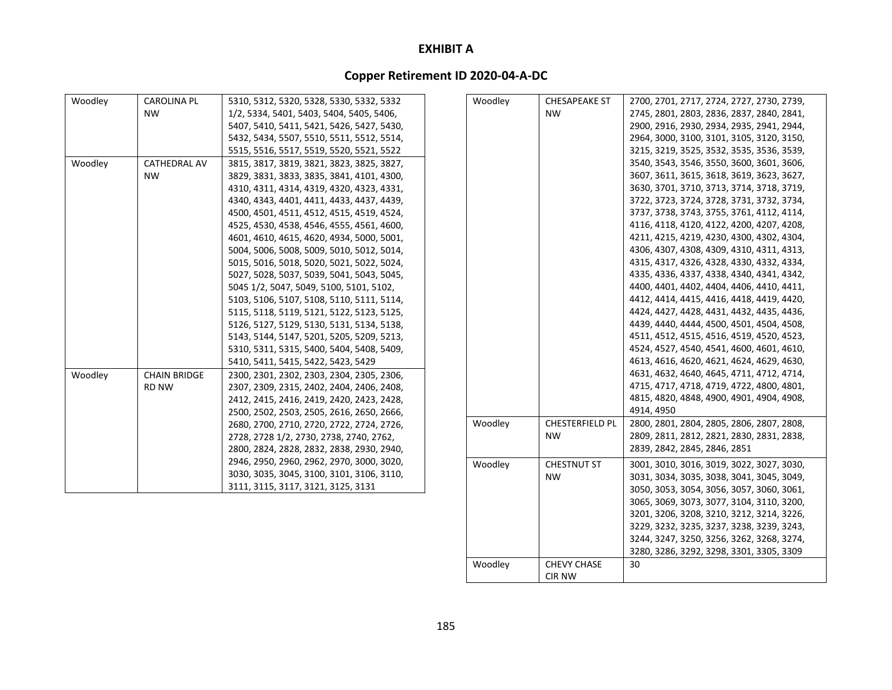# **Copper Retirement ID 2020‐04‐A‐DC**

| Woodley<br>Woodley<br><b>CAROLINA PL</b><br><b>CHESAPEAKE ST</b><br>5310, 5312, 5320, 5328, 5330, 5332, 5332<br>2700, 2701, 2717, 2724, 2727, 2730, 2739,<br><b>NW</b><br>1/2, 5334, 5401, 5403, 5404, 5405, 5406,<br>2745, 2801, 2803, 2836, 2837, 2840, 2841,<br><b>NW</b><br>5407, 5410, 5411, 5421, 5426, 5427, 5430,<br>2900, 2916, 2930, 2934, 2935, 2941, 2944,<br>5432, 5434, 5507, 5510, 5511, 5512, 5514,<br>2964, 3000, 3100, 3101, 3105, 3120, 3150,<br>3215, 3219, 3525, 3532, 3535, 3536, 3539,<br>5515, 5516, 5517, 5519, 5520, 5521, 5522<br>Woodley<br>3540, 3543, 3546, 3550, 3600, 3601, 3606,<br><b>CATHEDRAL AV</b><br>3815, 3817, 3819, 3821, 3823, 3825, 3827,<br>3607, 3611, 3615, 3618, 3619, 3623, 3627,<br><b>NW</b><br>3829, 3831, 3833, 3835, 3841, 4101, 4300,<br>3630, 3701, 3710, 3713, 3714, 3718, 3719,<br>4310, 4311, 4314, 4319, 4320, 4323, 4331,<br>3722, 3723, 3724, 3728, 3731, 3732, 3734,<br>4340, 4343, 4401, 4411, 4433, 4437, 4439,<br>3737, 3738, 3743, 3755, 3761, 4112, 4114,<br>4500, 4501, 4511, 4512, 4515, 4519, 4524,<br>4116, 4118, 4120, 4122, 4200, 4207, 4208,<br>4525, 4530, 4538, 4546, 4555, 4561, 4600,<br>4211, 4215, 4219, 4230, 4300, 4302, 4304,<br>4601, 4610, 4615, 4620, 4934, 5000, 5001,<br>4306, 4307, 4308, 4309, 4310, 4311, 4313,<br>5004, 5006, 5008, 5009, 5010, 5012, 5014,<br>4315, 4317, 4326, 4328, 4330, 4332, 4334,<br>5015, 5016, 5018, 5020, 5021, 5022, 5024,<br>4335, 4336, 4337, 4338, 4340, 4341, 4342,<br>5027, 5028, 5037, 5039, 5041, 5043, 5045,<br>4400, 4401, 4402, 4404, 4406, 4410, 4411,<br>5045 1/2, 5047, 5049, 5100, 5101, 5102,<br>4412, 4414, 4415, 4416, 4418, 4419, 4420,<br>5103, 5106, 5107, 5108, 5110, 5111, 5114,<br>4424, 4427, 4428, 4431, 4432, 4435, 4436,<br>5115, 5118, 5119, 5121, 5122, 5123, 5125,<br>4439, 4440, 4444, 4500, 4501, 4504, 4508,<br>5126, 5127, 5129, 5130, 5131, 5134, 5138,<br>4511, 4512, 4515, 4516, 4519, 4520, 4523,<br>5143, 5144, 5147, 5201, 5205, 5209, 5213,<br>4524, 4527, 4540, 4541, 4600, 4601, 4610,<br>5310, 5311, 5315, 5400, 5404, 5408, 5409,<br>4613, 4616, 4620, 4621, 4624, 4629, 4630,<br>5410, 5411, 5415, 5422, 5423, 5429<br>4631, 4632, 4640, 4645, 4711, 4712, 4714,<br>Woodley<br><b>CHAIN BRIDGE</b><br>2300, 2301, 2302, 2303, 2304, 2305, 2306,<br>4715, 4717, 4718, 4719, 4722, 4800, 4801,<br><b>RD NW</b><br>2307, 2309, 2315, 2402, 2404, 2406, 2408,<br>4815, 4820, 4848, 4900, 4901, 4904, 4908,<br>2412, 2415, 2416, 2419, 2420, 2423, 2428,<br>4914, 4950<br>2500, 2502, 2503, 2505, 2616, 2650, 2666,<br>Woodley<br><b>CHESTERFIELD PL</b><br>2800, 2801, 2804, 2805, 2806, 2807, 2808,<br>2680, 2700, 2710, 2720, 2722, 2724, 2726,<br>2809, 2811, 2812, 2821, 2830, 2831, 2838,<br>2728, 2728 1/2, 2730, 2738, 2740, 2762,<br>NW<br>2839, 2842, 2845, 2846, 2851<br>2800, 2824, 2828, 2832, 2838, 2930, 2940,<br>2946, 2950, 2960, 2962, 2970, 3000, 3020,<br>Woodley<br><b>CHESTNUT ST</b><br>3001, 3010, 3016, 3019, 3022, 3027, 3030,<br>3030, 3035, 3045, 3100, 3101, 3106, 3110,<br><b>NW</b><br>3031, 3034, 3035, 3038, 3041, 3045, 3049,<br>3111, 3115, 3117, 3121, 3125, 3131<br>3050, 3053, 3054, 3056, 3057, 3060, 3061,<br>3065, 3069, 3073, 3077, 3104, 3110, 3200, |  |  |                                           |
|------------------------------------------------------------------------------------------------------------------------------------------------------------------------------------------------------------------------------------------------------------------------------------------------------------------------------------------------------------------------------------------------------------------------------------------------------------------------------------------------------------------------------------------------------------------------------------------------------------------------------------------------------------------------------------------------------------------------------------------------------------------------------------------------------------------------------------------------------------------------------------------------------------------------------------------------------------------------------------------------------------------------------------------------------------------------------------------------------------------------------------------------------------------------------------------------------------------------------------------------------------------------------------------------------------------------------------------------------------------------------------------------------------------------------------------------------------------------------------------------------------------------------------------------------------------------------------------------------------------------------------------------------------------------------------------------------------------------------------------------------------------------------------------------------------------------------------------------------------------------------------------------------------------------------------------------------------------------------------------------------------------------------------------------------------------------------------------------------------------------------------------------------------------------------------------------------------------------------------------------------------------------------------------------------------------------------------------------------------------------------------------------------------------------------------------------------------------------------------------------------------------------------------------------------------------------------------------------------------------------------------------------------------------------------------------------------------------------------------------------------------------------------------------------------------------------------------------------------------------------------------------------------------------------------------------------------------------------------------------------------------------------------------------------------------------------------------------------------------------------------------------------------------------------------------------------------------------------------------------------------------------|--|--|-------------------------------------------|
|                                                                                                                                                                                                                                                                                                                                                                                                                                                                                                                                                                                                                                                                                                                                                                                                                                                                                                                                                                                                                                                                                                                                                                                                                                                                                                                                                                                                                                                                                                                                                                                                                                                                                                                                                                                                                                                                                                                                                                                                                                                                                                                                                                                                                                                                                                                                                                                                                                                                                                                                                                                                                                                                                                                                                                                                                                                                                                                                                                                                                                                                                                                                                                                                                                                                  |  |  |                                           |
|                                                                                                                                                                                                                                                                                                                                                                                                                                                                                                                                                                                                                                                                                                                                                                                                                                                                                                                                                                                                                                                                                                                                                                                                                                                                                                                                                                                                                                                                                                                                                                                                                                                                                                                                                                                                                                                                                                                                                                                                                                                                                                                                                                                                                                                                                                                                                                                                                                                                                                                                                                                                                                                                                                                                                                                                                                                                                                                                                                                                                                                                                                                                                                                                                                                                  |  |  |                                           |
|                                                                                                                                                                                                                                                                                                                                                                                                                                                                                                                                                                                                                                                                                                                                                                                                                                                                                                                                                                                                                                                                                                                                                                                                                                                                                                                                                                                                                                                                                                                                                                                                                                                                                                                                                                                                                                                                                                                                                                                                                                                                                                                                                                                                                                                                                                                                                                                                                                                                                                                                                                                                                                                                                                                                                                                                                                                                                                                                                                                                                                                                                                                                                                                                                                                                  |  |  |                                           |
|                                                                                                                                                                                                                                                                                                                                                                                                                                                                                                                                                                                                                                                                                                                                                                                                                                                                                                                                                                                                                                                                                                                                                                                                                                                                                                                                                                                                                                                                                                                                                                                                                                                                                                                                                                                                                                                                                                                                                                                                                                                                                                                                                                                                                                                                                                                                                                                                                                                                                                                                                                                                                                                                                                                                                                                                                                                                                                                                                                                                                                                                                                                                                                                                                                                                  |  |  |                                           |
|                                                                                                                                                                                                                                                                                                                                                                                                                                                                                                                                                                                                                                                                                                                                                                                                                                                                                                                                                                                                                                                                                                                                                                                                                                                                                                                                                                                                                                                                                                                                                                                                                                                                                                                                                                                                                                                                                                                                                                                                                                                                                                                                                                                                                                                                                                                                                                                                                                                                                                                                                                                                                                                                                                                                                                                                                                                                                                                                                                                                                                                                                                                                                                                                                                                                  |  |  |                                           |
|                                                                                                                                                                                                                                                                                                                                                                                                                                                                                                                                                                                                                                                                                                                                                                                                                                                                                                                                                                                                                                                                                                                                                                                                                                                                                                                                                                                                                                                                                                                                                                                                                                                                                                                                                                                                                                                                                                                                                                                                                                                                                                                                                                                                                                                                                                                                                                                                                                                                                                                                                                                                                                                                                                                                                                                                                                                                                                                                                                                                                                                                                                                                                                                                                                                                  |  |  |                                           |
|                                                                                                                                                                                                                                                                                                                                                                                                                                                                                                                                                                                                                                                                                                                                                                                                                                                                                                                                                                                                                                                                                                                                                                                                                                                                                                                                                                                                                                                                                                                                                                                                                                                                                                                                                                                                                                                                                                                                                                                                                                                                                                                                                                                                                                                                                                                                                                                                                                                                                                                                                                                                                                                                                                                                                                                                                                                                                                                                                                                                                                                                                                                                                                                                                                                                  |  |  |                                           |
|                                                                                                                                                                                                                                                                                                                                                                                                                                                                                                                                                                                                                                                                                                                                                                                                                                                                                                                                                                                                                                                                                                                                                                                                                                                                                                                                                                                                                                                                                                                                                                                                                                                                                                                                                                                                                                                                                                                                                                                                                                                                                                                                                                                                                                                                                                                                                                                                                                                                                                                                                                                                                                                                                                                                                                                                                                                                                                                                                                                                                                                                                                                                                                                                                                                                  |  |  |                                           |
|                                                                                                                                                                                                                                                                                                                                                                                                                                                                                                                                                                                                                                                                                                                                                                                                                                                                                                                                                                                                                                                                                                                                                                                                                                                                                                                                                                                                                                                                                                                                                                                                                                                                                                                                                                                                                                                                                                                                                                                                                                                                                                                                                                                                                                                                                                                                                                                                                                                                                                                                                                                                                                                                                                                                                                                                                                                                                                                                                                                                                                                                                                                                                                                                                                                                  |  |  |                                           |
|                                                                                                                                                                                                                                                                                                                                                                                                                                                                                                                                                                                                                                                                                                                                                                                                                                                                                                                                                                                                                                                                                                                                                                                                                                                                                                                                                                                                                                                                                                                                                                                                                                                                                                                                                                                                                                                                                                                                                                                                                                                                                                                                                                                                                                                                                                                                                                                                                                                                                                                                                                                                                                                                                                                                                                                                                                                                                                                                                                                                                                                                                                                                                                                                                                                                  |  |  |                                           |
|                                                                                                                                                                                                                                                                                                                                                                                                                                                                                                                                                                                                                                                                                                                                                                                                                                                                                                                                                                                                                                                                                                                                                                                                                                                                                                                                                                                                                                                                                                                                                                                                                                                                                                                                                                                                                                                                                                                                                                                                                                                                                                                                                                                                                                                                                                                                                                                                                                                                                                                                                                                                                                                                                                                                                                                                                                                                                                                                                                                                                                                                                                                                                                                                                                                                  |  |  |                                           |
|                                                                                                                                                                                                                                                                                                                                                                                                                                                                                                                                                                                                                                                                                                                                                                                                                                                                                                                                                                                                                                                                                                                                                                                                                                                                                                                                                                                                                                                                                                                                                                                                                                                                                                                                                                                                                                                                                                                                                                                                                                                                                                                                                                                                                                                                                                                                                                                                                                                                                                                                                                                                                                                                                                                                                                                                                                                                                                                                                                                                                                                                                                                                                                                                                                                                  |  |  |                                           |
|                                                                                                                                                                                                                                                                                                                                                                                                                                                                                                                                                                                                                                                                                                                                                                                                                                                                                                                                                                                                                                                                                                                                                                                                                                                                                                                                                                                                                                                                                                                                                                                                                                                                                                                                                                                                                                                                                                                                                                                                                                                                                                                                                                                                                                                                                                                                                                                                                                                                                                                                                                                                                                                                                                                                                                                                                                                                                                                                                                                                                                                                                                                                                                                                                                                                  |  |  |                                           |
|                                                                                                                                                                                                                                                                                                                                                                                                                                                                                                                                                                                                                                                                                                                                                                                                                                                                                                                                                                                                                                                                                                                                                                                                                                                                                                                                                                                                                                                                                                                                                                                                                                                                                                                                                                                                                                                                                                                                                                                                                                                                                                                                                                                                                                                                                                                                                                                                                                                                                                                                                                                                                                                                                                                                                                                                                                                                                                                                                                                                                                                                                                                                                                                                                                                                  |  |  |                                           |
|                                                                                                                                                                                                                                                                                                                                                                                                                                                                                                                                                                                                                                                                                                                                                                                                                                                                                                                                                                                                                                                                                                                                                                                                                                                                                                                                                                                                                                                                                                                                                                                                                                                                                                                                                                                                                                                                                                                                                                                                                                                                                                                                                                                                                                                                                                                                                                                                                                                                                                                                                                                                                                                                                                                                                                                                                                                                                                                                                                                                                                                                                                                                                                                                                                                                  |  |  |                                           |
|                                                                                                                                                                                                                                                                                                                                                                                                                                                                                                                                                                                                                                                                                                                                                                                                                                                                                                                                                                                                                                                                                                                                                                                                                                                                                                                                                                                                                                                                                                                                                                                                                                                                                                                                                                                                                                                                                                                                                                                                                                                                                                                                                                                                                                                                                                                                                                                                                                                                                                                                                                                                                                                                                                                                                                                                                                                                                                                                                                                                                                                                                                                                                                                                                                                                  |  |  |                                           |
|                                                                                                                                                                                                                                                                                                                                                                                                                                                                                                                                                                                                                                                                                                                                                                                                                                                                                                                                                                                                                                                                                                                                                                                                                                                                                                                                                                                                                                                                                                                                                                                                                                                                                                                                                                                                                                                                                                                                                                                                                                                                                                                                                                                                                                                                                                                                                                                                                                                                                                                                                                                                                                                                                                                                                                                                                                                                                                                                                                                                                                                                                                                                                                                                                                                                  |  |  |                                           |
|                                                                                                                                                                                                                                                                                                                                                                                                                                                                                                                                                                                                                                                                                                                                                                                                                                                                                                                                                                                                                                                                                                                                                                                                                                                                                                                                                                                                                                                                                                                                                                                                                                                                                                                                                                                                                                                                                                                                                                                                                                                                                                                                                                                                                                                                                                                                                                                                                                                                                                                                                                                                                                                                                                                                                                                                                                                                                                                                                                                                                                                                                                                                                                                                                                                                  |  |  |                                           |
|                                                                                                                                                                                                                                                                                                                                                                                                                                                                                                                                                                                                                                                                                                                                                                                                                                                                                                                                                                                                                                                                                                                                                                                                                                                                                                                                                                                                                                                                                                                                                                                                                                                                                                                                                                                                                                                                                                                                                                                                                                                                                                                                                                                                                                                                                                                                                                                                                                                                                                                                                                                                                                                                                                                                                                                                                                                                                                                                                                                                                                                                                                                                                                                                                                                                  |  |  |                                           |
|                                                                                                                                                                                                                                                                                                                                                                                                                                                                                                                                                                                                                                                                                                                                                                                                                                                                                                                                                                                                                                                                                                                                                                                                                                                                                                                                                                                                                                                                                                                                                                                                                                                                                                                                                                                                                                                                                                                                                                                                                                                                                                                                                                                                                                                                                                                                                                                                                                                                                                                                                                                                                                                                                                                                                                                                                                                                                                                                                                                                                                                                                                                                                                                                                                                                  |  |  |                                           |
|                                                                                                                                                                                                                                                                                                                                                                                                                                                                                                                                                                                                                                                                                                                                                                                                                                                                                                                                                                                                                                                                                                                                                                                                                                                                                                                                                                                                                                                                                                                                                                                                                                                                                                                                                                                                                                                                                                                                                                                                                                                                                                                                                                                                                                                                                                                                                                                                                                                                                                                                                                                                                                                                                                                                                                                                                                                                                                                                                                                                                                                                                                                                                                                                                                                                  |  |  |                                           |
|                                                                                                                                                                                                                                                                                                                                                                                                                                                                                                                                                                                                                                                                                                                                                                                                                                                                                                                                                                                                                                                                                                                                                                                                                                                                                                                                                                                                                                                                                                                                                                                                                                                                                                                                                                                                                                                                                                                                                                                                                                                                                                                                                                                                                                                                                                                                                                                                                                                                                                                                                                                                                                                                                                                                                                                                                                                                                                                                                                                                                                                                                                                                                                                                                                                                  |  |  |                                           |
|                                                                                                                                                                                                                                                                                                                                                                                                                                                                                                                                                                                                                                                                                                                                                                                                                                                                                                                                                                                                                                                                                                                                                                                                                                                                                                                                                                                                                                                                                                                                                                                                                                                                                                                                                                                                                                                                                                                                                                                                                                                                                                                                                                                                                                                                                                                                                                                                                                                                                                                                                                                                                                                                                                                                                                                                                                                                                                                                                                                                                                                                                                                                                                                                                                                                  |  |  |                                           |
|                                                                                                                                                                                                                                                                                                                                                                                                                                                                                                                                                                                                                                                                                                                                                                                                                                                                                                                                                                                                                                                                                                                                                                                                                                                                                                                                                                                                                                                                                                                                                                                                                                                                                                                                                                                                                                                                                                                                                                                                                                                                                                                                                                                                                                                                                                                                                                                                                                                                                                                                                                                                                                                                                                                                                                                                                                                                                                                                                                                                                                                                                                                                                                                                                                                                  |  |  |                                           |
|                                                                                                                                                                                                                                                                                                                                                                                                                                                                                                                                                                                                                                                                                                                                                                                                                                                                                                                                                                                                                                                                                                                                                                                                                                                                                                                                                                                                                                                                                                                                                                                                                                                                                                                                                                                                                                                                                                                                                                                                                                                                                                                                                                                                                                                                                                                                                                                                                                                                                                                                                                                                                                                                                                                                                                                                                                                                                                                                                                                                                                                                                                                                                                                                                                                                  |  |  |                                           |
|                                                                                                                                                                                                                                                                                                                                                                                                                                                                                                                                                                                                                                                                                                                                                                                                                                                                                                                                                                                                                                                                                                                                                                                                                                                                                                                                                                                                                                                                                                                                                                                                                                                                                                                                                                                                                                                                                                                                                                                                                                                                                                                                                                                                                                                                                                                                                                                                                                                                                                                                                                                                                                                                                                                                                                                                                                                                                                                                                                                                                                                                                                                                                                                                                                                                  |  |  |                                           |
|                                                                                                                                                                                                                                                                                                                                                                                                                                                                                                                                                                                                                                                                                                                                                                                                                                                                                                                                                                                                                                                                                                                                                                                                                                                                                                                                                                                                                                                                                                                                                                                                                                                                                                                                                                                                                                                                                                                                                                                                                                                                                                                                                                                                                                                                                                                                                                                                                                                                                                                                                                                                                                                                                                                                                                                                                                                                                                                                                                                                                                                                                                                                                                                                                                                                  |  |  |                                           |
|                                                                                                                                                                                                                                                                                                                                                                                                                                                                                                                                                                                                                                                                                                                                                                                                                                                                                                                                                                                                                                                                                                                                                                                                                                                                                                                                                                                                                                                                                                                                                                                                                                                                                                                                                                                                                                                                                                                                                                                                                                                                                                                                                                                                                                                                                                                                                                                                                                                                                                                                                                                                                                                                                                                                                                                                                                                                                                                                                                                                                                                                                                                                                                                                                                                                  |  |  |                                           |
|                                                                                                                                                                                                                                                                                                                                                                                                                                                                                                                                                                                                                                                                                                                                                                                                                                                                                                                                                                                                                                                                                                                                                                                                                                                                                                                                                                                                                                                                                                                                                                                                                                                                                                                                                                                                                                                                                                                                                                                                                                                                                                                                                                                                                                                                                                                                                                                                                                                                                                                                                                                                                                                                                                                                                                                                                                                                                                                                                                                                                                                                                                                                                                                                                                                                  |  |  |                                           |
|                                                                                                                                                                                                                                                                                                                                                                                                                                                                                                                                                                                                                                                                                                                                                                                                                                                                                                                                                                                                                                                                                                                                                                                                                                                                                                                                                                                                                                                                                                                                                                                                                                                                                                                                                                                                                                                                                                                                                                                                                                                                                                                                                                                                                                                                                                                                                                                                                                                                                                                                                                                                                                                                                                                                                                                                                                                                                                                                                                                                                                                                                                                                                                                                                                                                  |  |  |                                           |
|                                                                                                                                                                                                                                                                                                                                                                                                                                                                                                                                                                                                                                                                                                                                                                                                                                                                                                                                                                                                                                                                                                                                                                                                                                                                                                                                                                                                                                                                                                                                                                                                                                                                                                                                                                                                                                                                                                                                                                                                                                                                                                                                                                                                                                                                                                                                                                                                                                                                                                                                                                                                                                                                                                                                                                                                                                                                                                                                                                                                                                                                                                                                                                                                                                                                  |  |  |                                           |
|                                                                                                                                                                                                                                                                                                                                                                                                                                                                                                                                                                                                                                                                                                                                                                                                                                                                                                                                                                                                                                                                                                                                                                                                                                                                                                                                                                                                                                                                                                                                                                                                                                                                                                                                                                                                                                                                                                                                                                                                                                                                                                                                                                                                                                                                                                                                                                                                                                                                                                                                                                                                                                                                                                                                                                                                                                                                                                                                                                                                                                                                                                                                                                                                                                                                  |  |  |                                           |
|                                                                                                                                                                                                                                                                                                                                                                                                                                                                                                                                                                                                                                                                                                                                                                                                                                                                                                                                                                                                                                                                                                                                                                                                                                                                                                                                                                                                                                                                                                                                                                                                                                                                                                                                                                                                                                                                                                                                                                                                                                                                                                                                                                                                                                                                                                                                                                                                                                                                                                                                                                                                                                                                                                                                                                                                                                                                                                                                                                                                                                                                                                                                                                                                                                                                  |  |  |                                           |
|                                                                                                                                                                                                                                                                                                                                                                                                                                                                                                                                                                                                                                                                                                                                                                                                                                                                                                                                                                                                                                                                                                                                                                                                                                                                                                                                                                                                                                                                                                                                                                                                                                                                                                                                                                                                                                                                                                                                                                                                                                                                                                                                                                                                                                                                                                                                                                                                                                                                                                                                                                                                                                                                                                                                                                                                                                                                                                                                                                                                                                                                                                                                                                                                                                                                  |  |  | 3201, 3206, 3208, 3210, 3212, 3214, 3226, |

Woodley CHEVY CHASE

CIR NW

30

3229, 3232, 3235, 3237, 3238, 3239, 3243, 3244, 3247, 3250, 3256, 3262, 3268, 3274, 3280, 3286, 3292, 3298, 3301, 3305, 3309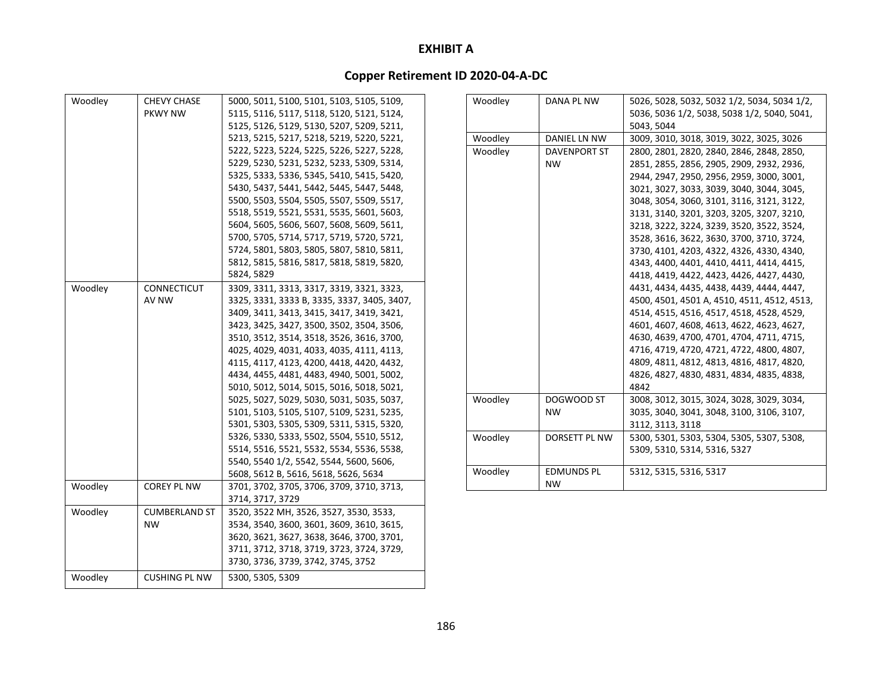| Woodley | <b>CHEVY CHASE</b>   | 5000, 5011, 5100, 5101, 5103, 5105, 5109,   | Woodley | DANA PL NW          | 5026, 5028, 5032, 5032 1/2, 5034, 5034 1/2, |
|---------|----------------------|---------------------------------------------|---------|---------------------|---------------------------------------------|
|         | <b>PKWY NW</b>       | 5115, 5116, 5117, 5118, 5120, 5121, 5124,   |         |                     | 5036, 5036 1/2, 5038, 5038 1/2, 5040, 5041, |
|         |                      | 5125, 5126, 5129, 5130, 5207, 5209, 5211,   |         |                     | 5043, 5044                                  |
|         |                      | 5213, 5215, 5217, 5218, 5219, 5220, 5221,   | Woodley | DANIEL LN NW        | 3009, 3010, 3018, 3019, 3022, 3025, 3026    |
|         |                      | 5222, 5223, 5224, 5225, 5226, 5227, 5228,   | Woodley | <b>DAVENPORT ST</b> | 2800, 2801, 2820, 2840, 2846, 2848, 2850,   |
|         |                      | 5229, 5230, 5231, 5232, 5233, 5309, 5314,   |         | <b>NW</b>           | 2851, 2855, 2856, 2905, 2909, 2932, 2936,   |
|         |                      | 5325, 5333, 5336, 5345, 5410, 5415, 5420,   |         |                     | 2944, 2947, 2950, 2956, 2959, 3000, 3001,   |
|         |                      | 5430, 5437, 5441, 5442, 5445, 5447, 5448,   |         |                     | 3021, 3027, 3033, 3039, 3040, 3044, 3045,   |
|         |                      | 5500, 5503, 5504, 5505, 5507, 5509, 5517,   |         |                     | 3048, 3054, 3060, 3101, 3116, 3121, 3122,   |
|         |                      | 5518, 5519, 5521, 5531, 5535, 5601, 5603,   |         |                     | 3131, 3140, 3201, 3203, 3205, 3207, 3210,   |
|         |                      | 5604, 5605, 5606, 5607, 5608, 5609, 5611,   |         |                     | 3218, 3222, 3224, 3239, 3520, 3522, 3524,   |
|         |                      | 5700, 5705, 5714, 5717, 5719, 5720, 5721,   |         |                     | 3528, 3616, 3622, 3630, 3700, 3710, 3724,   |
|         |                      | 5724, 5801, 5803, 5805, 5807, 5810, 5811,   |         |                     | 3730, 4101, 4203, 4322, 4326, 4330, 4340,   |
|         |                      | 5812, 5815, 5816, 5817, 5818, 5819, 5820,   |         |                     | 4343, 4400, 4401, 4410, 4411, 4414, 4415,   |
|         |                      | 5824, 5829                                  |         |                     | 4418, 4419, 4422, 4423, 4426, 4427, 4430,   |
| Woodley | CONNECTICUT          | 3309, 3311, 3313, 3317, 3319, 3321, 3323,   |         |                     | 4431, 4434, 4435, 4438, 4439, 4444, 4447,   |
|         | AV NW                | 3325, 3331, 3333 B, 3335, 3337, 3405, 3407, |         |                     | 4500, 4501, 4501 A, 4510, 4511, 4512, 4513, |
|         |                      | 3409, 3411, 3413, 3415, 3417, 3419, 3421,   |         |                     | 4514, 4515, 4516, 4517, 4518, 4528, 4529,   |
|         |                      | 3423, 3425, 3427, 3500, 3502, 3504, 3506,   |         |                     | 4601, 4607, 4608, 4613, 4622, 4623, 4627,   |
|         |                      | 3510, 3512, 3514, 3518, 3526, 3616, 3700,   |         |                     | 4630, 4639, 4700, 4701, 4704, 4711, 4715,   |
|         |                      | 4025, 4029, 4031, 4033, 4035, 4111, 4113,   |         |                     | 4716, 4719, 4720, 4721, 4722, 4800, 4807,   |
|         |                      | 4115, 4117, 4123, 4200, 4418, 4420, 4432,   |         |                     | 4809, 4811, 4812, 4813, 4816, 4817, 4820,   |
|         |                      | 4434, 4455, 4481, 4483, 4940, 5001, 5002,   |         |                     | 4826, 4827, 4830, 4831, 4834, 4835, 4838,   |
|         |                      | 5010, 5012, 5014, 5015, 5016, 5018, 5021,   |         |                     | 4842                                        |
|         |                      | 5025, 5027, 5029, 5030, 5031, 5035, 5037,   | Woodley | DOGWOOD ST          | 3008, 3012, 3015, 3024, 3028, 3029, 3034,   |
|         |                      | 5101, 5103, 5105, 5107, 5109, 5231, 5235,   |         | NW.                 | 3035, 3040, 3041, 3048, 3100, 3106, 3107,   |
|         |                      | 5301, 5303, 5305, 5309, 5311, 5315, 5320,   |         |                     | 3112, 3113, 3118                            |
|         |                      | 5326, 5330, 5333, 5502, 5504, 5510, 5512,   | Woodley | DORSETT PL NW       | 5300, 5301, 5303, 5304, 5305, 5307, 5308,   |
|         |                      | 5514, 5516, 5521, 5532, 5534, 5536, 5538,   |         |                     | 5309, 5310, 5314, 5316, 5327                |
|         |                      | 5540, 5540 1/2, 5542, 5544, 5600, 5606,     |         |                     |                                             |
|         |                      | 5608, 5612 B, 5616, 5618, 5626, 5634        | Woodley | <b>EDMUNDS PL</b>   | 5312, 5315, 5316, 5317                      |
| Woodley | <b>COREY PL NW</b>   | 3701, 3702, 3705, 3706, 3709, 3710, 3713,   |         | <b>NW</b>           |                                             |
|         |                      | 3714, 3717, 3729                            |         |                     |                                             |
| Woodley | <b>CUMBERLAND ST</b> | 3520, 3522 MH, 3526, 3527, 3530, 3533,      |         |                     |                                             |
|         | <b>NW</b>            | 3534, 3540, 3600, 3601, 3609, 3610, 3615,   |         |                     |                                             |
|         |                      | 3620, 3621, 3627, 3638, 3646, 3700, 3701,   |         |                     |                                             |
|         |                      | 3711, 3712, 3718, 3719, 3723, 3724, 3729,   |         |                     |                                             |
|         |                      | 3730, 3736, 3739, 3742, 3745, 3752          |         |                     |                                             |
|         | <b>CUSHING PL NW</b> |                                             |         |                     |                                             |
| Woodley |                      | 5300, 5305, 5309                            |         |                     |                                             |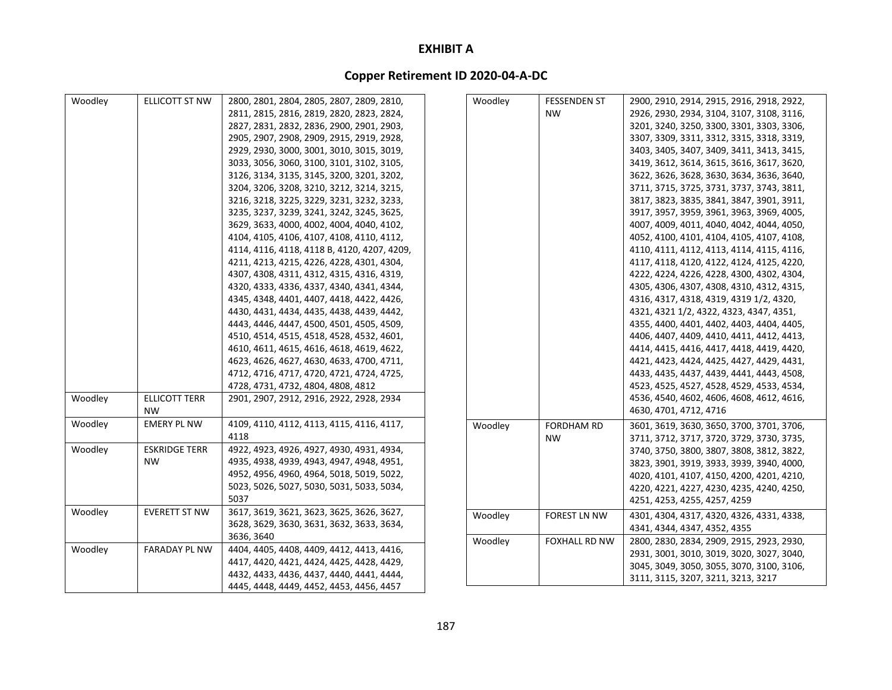| Woodley | ELLICOTT ST NW       | 2800, 2801, 2804, 2805, 2807, 2809, 2810,   | Woodley | <b>FESSENDEN ST</b>  | 2900, 2910, 2914, 2915, 2916, 2918, 2922, |
|---------|----------------------|---------------------------------------------|---------|----------------------|-------------------------------------------|
|         |                      | 2811, 2815, 2816, 2819, 2820, 2823, 2824,   |         | <b>NW</b>            | 2926, 2930, 2934, 3104, 3107, 3108, 3116, |
|         |                      | 2827, 2831, 2832, 2836, 2900, 2901, 2903,   |         |                      | 3201, 3240, 3250, 3300, 3301, 3303, 3306, |
|         |                      | 2905, 2907, 2908, 2909, 2915, 2919, 2928,   |         |                      | 3307, 3309, 3311, 3312, 3315, 3318, 3319, |
|         |                      | 2929, 2930, 3000, 3001, 3010, 3015, 3019,   |         |                      | 3403, 3405, 3407, 3409, 3411, 3413, 3415, |
|         |                      | 3033, 3056, 3060, 3100, 3101, 3102, 3105,   |         |                      | 3419, 3612, 3614, 3615, 3616, 3617, 3620, |
|         |                      | 3126, 3134, 3135, 3145, 3200, 3201, 3202,   |         |                      | 3622, 3626, 3628, 3630, 3634, 3636, 3640, |
|         |                      | 3204, 3206, 3208, 3210, 3212, 3214, 3215,   |         |                      | 3711, 3715, 3725, 3731, 3737, 3743, 3811, |
|         |                      | 3216, 3218, 3225, 3229, 3231, 3232, 3233,   |         |                      | 3817, 3823, 3835, 3841, 3847, 3901, 3911, |
|         |                      | 3235, 3237, 3239, 3241, 3242, 3245, 3625,   |         |                      | 3917, 3957, 3959, 3961, 3963, 3969, 4005, |
|         |                      | 3629, 3633, 4000, 4002, 4004, 4040, 4102,   |         |                      | 4007, 4009, 4011, 4040, 4042, 4044, 4050, |
|         |                      | 4104, 4105, 4106, 4107, 4108, 4110, 4112,   |         |                      | 4052, 4100, 4101, 4104, 4105, 4107, 4108, |
|         |                      | 4114, 4116, 4118, 4118 B, 4120, 4207, 4209, |         |                      | 4110, 4111, 4112, 4113, 4114, 4115, 4116, |
|         |                      | 4211, 4213, 4215, 4226, 4228, 4301, 4304,   |         |                      | 4117, 4118, 4120, 4122, 4124, 4125, 4220, |
|         |                      | 4307, 4308, 4311, 4312, 4315, 4316, 4319,   |         |                      | 4222, 4224, 4226, 4228, 4300, 4302, 4304, |
|         |                      | 4320, 4333, 4336, 4337, 4340, 4341, 4344,   |         |                      | 4305, 4306, 4307, 4308, 4310, 4312, 4315, |
|         |                      | 4345, 4348, 4401, 4407, 4418, 4422, 4426,   |         |                      | 4316, 4317, 4318, 4319, 4319 1/2, 4320,   |
|         |                      | 4430, 4431, 4434, 4435, 4438, 4439, 4442,   |         |                      | 4321, 4321 1/2, 4322, 4323, 4347, 4351,   |
|         |                      | 4443, 4446, 4447, 4500, 4501, 4505, 4509,   |         |                      | 4355, 4400, 4401, 4402, 4403, 4404, 4405, |
|         |                      | 4510, 4514, 4515, 4518, 4528, 4532, 4601,   |         |                      | 4406, 4407, 4409, 4410, 4411, 4412, 4413, |
|         |                      | 4610, 4611, 4615, 4616, 4618, 4619, 4622,   |         |                      | 4414, 4415, 4416, 4417, 4418, 4419, 4420, |
|         |                      | 4623, 4626, 4627, 4630, 4633, 4700, 4711,   |         |                      | 4421, 4423, 4424, 4425, 4427, 4429, 4431, |
|         |                      | 4712, 4716, 4717, 4720, 4721, 4724, 4725,   |         |                      | 4433, 4435, 4437, 4439, 4441, 4443, 4508, |
|         |                      | 4728, 4731, 4732, 4804, 4808, 4812          |         |                      | 4523, 4525, 4527, 4528, 4529, 4533, 4534, |
| Woodley | <b>ELLICOTT TERR</b> | 2901, 2907, 2912, 2916, 2922, 2928, 2934    |         |                      | 4536, 4540, 4602, 4606, 4608, 4612, 4616, |
|         | <b>NW</b>            |                                             |         |                      | 4630, 4701, 4712, 4716                    |
| Woodley | <b>EMERY PL NW</b>   | 4109, 4110, 4112, 4113, 4115, 4116, 4117,   | Woodley | <b>FORDHAM RD</b>    | 3601, 3619, 3630, 3650, 3700, 3701, 3706, |
|         |                      | 4118                                        |         | <b>NW</b>            | 3711, 3712, 3717, 3720, 3729, 3730, 3735, |
| Woodley | <b>ESKRIDGE TERR</b> | 4922, 4923, 4926, 4927, 4930, 4931, 4934,   |         |                      | 3740, 3750, 3800, 3807, 3808, 3812, 3822, |
|         | <b>NW</b>            | 4935, 4938, 4939, 4943, 4947, 4948, 4951,   |         |                      | 3823, 3901, 3919, 3933, 3939, 3940, 4000, |
|         |                      | 4952, 4956, 4960, 4964, 5018, 5019, 5022,   |         |                      | 4020, 4101, 4107, 4150, 4200, 4201, 4210, |
|         |                      | 5023, 5026, 5027, 5030, 5031, 5033, 5034,   |         |                      | 4220, 4221, 4227, 4230, 4235, 4240, 4250, |
|         |                      | 5037                                        |         |                      | 4251, 4253, 4255, 4257, 4259              |
| Woodley | <b>EVERETT ST NW</b> | 3617, 3619, 3621, 3623, 3625, 3626, 3627,   | Woodley | <b>FOREST LN NW</b>  | 4301, 4304, 4317, 4320, 4326, 4331, 4338, |
|         |                      | 3628, 3629, 3630, 3631, 3632, 3633, 3634,   |         |                      | 4341, 4344, 4347, 4352, 4355              |
|         |                      | 3636, 3640                                  | Woodley | <b>FOXHALL RD NW</b> | 2800, 2830, 2834, 2909, 2915, 2923, 2930, |
| Woodley | <b>FARADAY PL NW</b> | 4404, 4405, 4408, 4409, 4412, 4413, 4416,   |         |                      | 2931, 3001, 3010, 3019, 3020, 3027, 3040, |
|         |                      | 4417, 4420, 4421, 4424, 4425, 4428, 4429,   |         |                      | 3045, 3049, 3050, 3055, 3070, 3100, 3106, |
|         |                      | 4432, 4433, 4436, 4437, 4440, 4441, 4444,   |         |                      | 3111, 3115, 3207, 3211, 3213, 3217        |
|         |                      | 4445, 4448, 4449, 4452, 4453, 4456, 4457    |         |                      |                                           |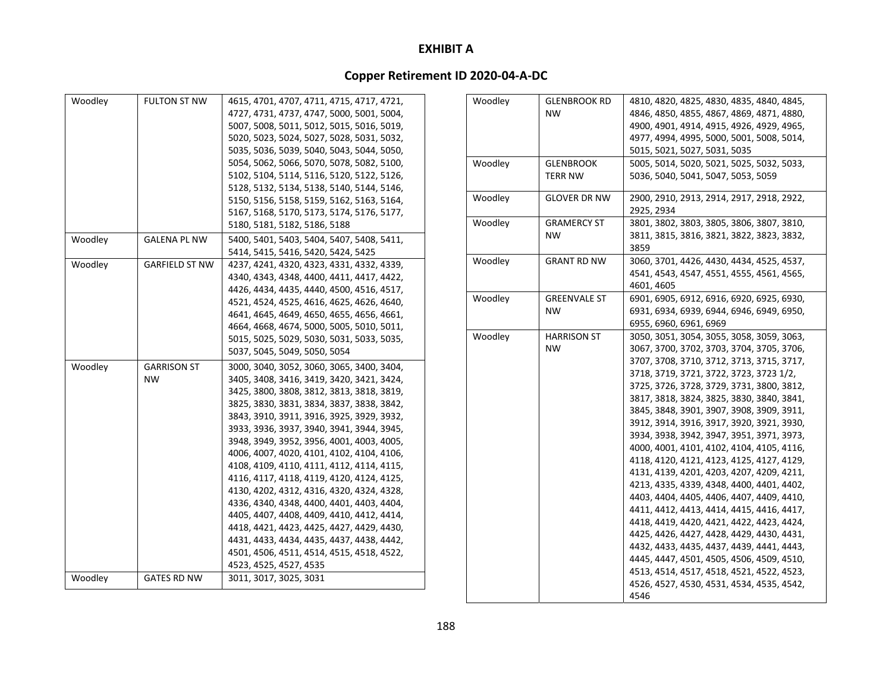| Woodley | <b>FULTON ST NW</b>   | 4615, 4701, 4707, 4711, 4715, 4717, 4721, |
|---------|-----------------------|-------------------------------------------|
|         |                       | 4727, 4731, 4737, 4747, 5000, 5001, 5004, |
|         |                       | 5007, 5008, 5011, 5012, 5015, 5016, 5019, |
|         |                       | 5020, 5023, 5024, 5027, 5028, 5031, 5032, |
|         |                       | 5035, 5036, 5039, 5040, 5043, 5044, 5050, |
|         |                       | 5054, 5062, 5066, 5070, 5078, 5082, 5100, |
|         |                       | 5102, 5104, 5114, 5116, 5120, 5122, 5126, |
|         |                       | 5128, 5132, 5134, 5138, 5140, 5144, 5146, |
|         |                       | 5150, 5156, 5158, 5159, 5162, 5163, 5164, |
|         |                       | 5167, 5168, 5170, 5173, 5174, 5176, 5177, |
|         |                       | 5180, 5181, 5182, 5186, 5188              |
| Woodley | <b>GALENA PL NW</b>   | 5400, 5401, 5403, 5404, 5407, 5408, 5411, |
|         |                       | 5414, 5415, 5416, 5420, 5424, 5425        |
| Woodley | <b>GARFIELD ST NW</b> | 4237, 4241, 4320, 4323, 4331, 4332, 4339, |
|         |                       | 4340, 4343, 4348, 4400, 4411, 4417, 4422, |
|         |                       | 4426, 4434, 4435, 4440, 4500, 4516, 4517, |
|         |                       | 4521, 4524, 4525, 4616, 4625, 4626, 4640, |
|         |                       | 4641, 4645, 4649, 4650, 4655, 4656, 4661, |
|         |                       | 4664, 4668, 4674, 5000, 5005, 5010, 5011, |
|         |                       | 5015, 5025, 5029, 5030, 5031, 5033, 5035, |
|         |                       | 5037, 5045, 5049, 5050, 5054              |
| Woodley | <b>GARRISON ST</b>    | 3000, 3040, 3052, 3060, 3065, 3400, 3404, |
|         | <b>NW</b>             | 3405, 3408, 3416, 3419, 3420, 3421, 3424, |
|         |                       | 3425, 3800, 3808, 3812, 3813, 3818, 3819, |
|         |                       | 3825, 3830, 3831, 3834, 3837, 3838, 3842, |
|         |                       | 3843, 3910, 3911, 3916, 3925, 3929, 3932, |
|         |                       | 3933, 3936, 3937, 3940, 3941, 3944, 3945, |
|         |                       | 3948, 3949, 3952, 3956, 4001, 4003, 4005, |
|         |                       | 4006, 4007, 4020, 4101, 4102, 4104, 4106, |
|         |                       | 4108, 4109, 4110, 4111, 4112, 4114, 4115, |
|         |                       | 4116, 4117, 4118, 4119, 4120, 4124, 4125, |
|         |                       | 4130, 4202, 4312, 4316, 4320, 4324, 4328, |
|         |                       | 4336, 4340, 4348, 4400, 4401, 4403, 4404, |
|         |                       | 4405, 4407, 4408, 4409, 4410, 4412, 4414, |
|         |                       | 4418, 4421, 4423, 4425, 4427, 4429, 4430, |
|         |                       | 4431, 4433, 4434, 4435, 4437, 4438, 4442, |
|         |                       | 4501, 4506, 4511, 4514, 4515, 4518, 4522, |
|         |                       | 4523, 4525, 4527, 4535                    |
| Woodley | <b>GATES RD NW</b>    | 3011, 3017, 3025, 3031                    |

| Woodley | <b>GLENBROOK RD</b> | 4810, 4820, 4825, 4830, 4835, 4840, 4845, |
|---------|---------------------|-------------------------------------------|
|         | <b>NW</b>           | 4846, 4850, 4855, 4867, 4869, 4871, 4880, |
|         |                     | 4900, 4901, 4914, 4915, 4926, 4929, 4965, |
|         |                     | 4977, 4994, 4995, 5000, 5001, 5008, 5014, |
|         |                     | 5015, 5021, 5027, 5031, 5035              |
| Woodley | <b>GLENBROOK</b>    | 5005, 5014, 5020, 5021, 5025, 5032, 5033, |
|         | <b>TERR NW</b>      | 5036, 5040, 5041, 5047, 5053, 5059        |
|         |                     |                                           |
| Woodley | <b>GLOVER DR NW</b> | 2900, 2910, 2913, 2914, 2917, 2918, 2922, |
|         |                     | 2925, 2934                                |
| Woodley | <b>GRAMERCY ST</b>  | 3801, 3802, 3803, 3805, 3806, 3807, 3810, |
|         | <b>NW</b>           | 3811, 3815, 3816, 3821, 3822, 3823, 3832, |
|         |                     | 3859                                      |
| Woodley | <b>GRANT RD NW</b>  | 3060, 3701, 4426, 4430, 4434, 4525, 4537, |
|         |                     | 4541, 4543, 4547, 4551, 4555, 4561, 4565, |
|         |                     | 4601, 4605                                |
| Woodley | <b>GREENVALE ST</b> | 6901, 6905, 6912, 6916, 6920, 6925, 6930, |
|         | <b>NW</b>           | 6931, 6934, 6939, 6944, 6946, 6949, 6950, |
|         |                     | 6955, 6960, 6961, 6969                    |
| Woodley | <b>HARRISON ST</b>  | 3050, 3051, 3054, 3055, 3058, 3059, 3063, |
|         | <b>NW</b>           | 3067, 3700, 3702, 3703, 3704, 3705, 3706, |
|         |                     | 3707, 3708, 3710, 3712, 3713, 3715, 3717, |
|         |                     | 3718, 3719, 3721, 3722, 3723, 3723 1/2,   |
|         |                     | 3725, 3726, 3728, 3729, 3731, 3800, 3812, |
|         |                     | 3817, 3818, 3824, 3825, 3830, 3840, 3841, |
|         |                     | 3845, 3848, 3901, 3907, 3908, 3909, 3911, |
|         |                     | 3912, 3914, 3916, 3917, 3920, 3921, 3930, |
|         |                     | 3934, 3938, 3942, 3947, 3951, 3971, 3973, |
|         |                     | 4000, 4001, 4101, 4102, 4104, 4105, 4116, |
|         |                     | 4118, 4120, 4121, 4123, 4125, 4127, 4129, |
|         |                     | 4131, 4139, 4201, 4203, 4207, 4209, 4211, |
|         |                     | 4213, 4335, 4339, 4348, 4400, 4401, 4402, |
|         |                     | 4403, 4404, 4405, 4406, 4407, 4409, 4410, |
|         |                     | 4411, 4412, 4413, 4414, 4415, 4416, 4417, |
|         |                     | 4418, 4419, 4420, 4421, 4422, 4423, 4424, |
|         |                     | 4425, 4426, 4427, 4428, 4429, 4430, 4431, |
|         |                     | 4432, 4433, 4435, 4437, 4439, 4441, 4443, |
|         |                     | 4445, 4447, 4501, 4505, 4506, 4509, 4510, |
|         |                     | 4513, 4514, 4517, 4518, 4521, 4522, 4523, |
|         |                     | 4526, 4527, 4530, 4531, 4534, 4535, 4542, |
|         |                     | 4546                                      |
|         |                     |                                           |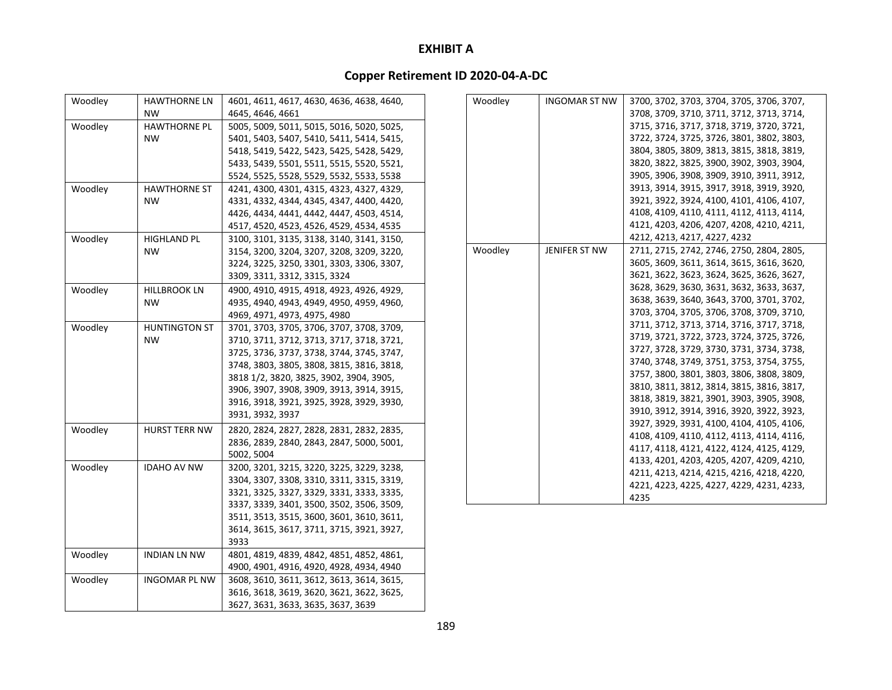| Woodley | <b>HAWTHORNE LN</b>  | 4601, 4611, 4617, 4630, 4636, 4638, 4640, |
|---------|----------------------|-------------------------------------------|
|         | <b>NW</b>            | 4645, 4646, 4661                          |
| Woodley | <b>HAWTHORNE PL</b>  | 5005, 5009, 5011, 5015, 5016, 5020, 5025, |
|         | <b>NW</b>            | 5401, 5403, 5407, 5410, 5411, 5414, 5415, |
|         |                      | 5418, 5419, 5422, 5423, 5425, 5428, 5429, |
|         |                      | 5433, 5439, 5501, 5511, 5515, 5520, 5521, |
|         |                      | 5524, 5525, 5528, 5529, 5532, 5533, 5538  |
| Woodley | <b>HAWTHORNE ST</b>  | 4241, 4300, 4301, 4315, 4323, 4327, 4329, |
|         | <b>NW</b>            | 4331, 4332, 4344, 4345, 4347, 4400, 4420, |
|         |                      | 4426, 4434, 4441, 4442, 4447, 4503, 4514, |
|         |                      | 4517, 4520, 4523, 4526, 4529, 4534, 4535  |
| Woodley | <b>HIGHLAND PL</b>   | 3100, 3101, 3135, 3138, 3140, 3141, 3150, |
|         | <b>NW</b>            | 3154, 3200, 3204, 3207, 3208, 3209, 3220, |
|         |                      | 3224, 3225, 3250, 3301, 3303, 3306, 3307, |
|         |                      | 3309, 3311, 3312, 3315, 3324              |
| Woodley | <b>HILLBROOK LN</b>  | 4900, 4910, 4915, 4918, 4923, 4926, 4929, |
|         | <b>NW</b>            | 4935, 4940, 4943, 4949, 4950, 4959, 4960, |
|         |                      | 4969, 4971, 4973, 4975, 4980              |
| Woodley | <b>HUNTINGTON ST</b> | 3701, 3703, 3705, 3706, 3707, 3708, 3709, |
|         | <b>NW</b>            | 3710, 3711, 3712, 3713, 3717, 3718, 3721, |
|         |                      | 3725, 3736, 3737, 3738, 3744, 3745, 3747, |
|         |                      | 3748, 3803, 3805, 3808, 3815, 3816, 3818, |
|         |                      | 3818 1/2, 3820, 3825, 3902, 3904, 3905,   |
|         |                      | 3906, 3907, 3908, 3909, 3913, 3914, 3915, |
|         |                      | 3916, 3918, 3921, 3925, 3928, 3929, 3930, |
|         |                      | 3931, 3932, 3937                          |
| Woodley | <b>HURST TERR NW</b> | 2820, 2824, 2827, 2828, 2831, 2832, 2835, |
|         |                      | 2836, 2839, 2840, 2843, 2847, 5000, 5001, |
|         |                      | 5002, 5004                                |
| Woodley | <b>IDAHO AV NW</b>   | 3200, 3201, 3215, 3220, 3225, 3229, 3238, |
|         |                      | 3304, 3307, 3308, 3310, 3311, 3315, 3319, |
|         |                      | 3321, 3325, 3327, 3329, 3331, 3333, 3335, |
|         |                      | 3337, 3339, 3401, 3500, 3502, 3506, 3509, |
|         |                      | 3511, 3513, 3515, 3600, 3601, 3610, 3611, |
|         |                      | 3614, 3615, 3617, 3711, 3715, 3921, 3927, |
|         |                      | 3933                                      |
| Woodley | <b>INDIAN LN NW</b>  | 4801, 4819, 4839, 4842, 4851, 4852, 4861, |
|         |                      | 4900, 4901, 4916, 4920, 4928, 4934, 4940  |
| Woodley | <b>INGOMAR PL NW</b> | 3608, 3610, 3611, 3612, 3613, 3614, 3615, |
|         |                      | 3616, 3618, 3619, 3620, 3621, 3622, 3625, |
|         |                      | 3627, 3631, 3633, 3635, 3637, 3639        |

| Woodley | <b>INGOMAR ST NW</b> | 3700, 3702, 3703, 3704, 3705, 3706, 3707, |
|---------|----------------------|-------------------------------------------|
|         |                      | 3708, 3709, 3710, 3711, 3712, 3713, 3714, |
|         |                      | 3715, 3716, 3717, 3718, 3719, 3720, 3721, |
|         |                      | 3722, 3724, 3725, 3726, 3801, 3802, 3803, |
|         |                      | 3804, 3805, 3809, 3813, 3815, 3818, 3819, |
|         |                      | 3820, 3822, 3825, 3900, 3902, 3903, 3904, |
|         |                      | 3905, 3906, 3908, 3909, 3910, 3911, 3912, |
|         |                      | 3913, 3914, 3915, 3917, 3918, 3919, 3920, |
|         |                      | 3921, 3922, 3924, 4100, 4101, 4106, 4107, |
|         |                      | 4108, 4109, 4110, 4111, 4112, 4113, 4114, |
|         |                      | 4121, 4203, 4206, 4207, 4208, 4210, 4211, |
|         |                      | 4212, 4213, 4217, 4227, 4232              |
| Woodley | JENIFER ST NW        | 2711, 2715, 2742, 2746, 2750, 2804, 2805, |
|         |                      | 3605, 3609, 3611, 3614, 3615, 3616, 3620, |
|         |                      | 3621, 3622, 3623, 3624, 3625, 3626, 3627, |
|         |                      | 3628, 3629, 3630, 3631, 3632, 3633, 3637, |
|         |                      | 3638, 3639, 3640, 3643, 3700, 3701, 3702, |
|         |                      | 3703, 3704, 3705, 3706, 3708, 3709, 3710, |
|         |                      | 3711, 3712, 3713, 3714, 3716, 3717, 3718, |
|         |                      | 3719, 3721, 3722, 3723, 3724, 3725, 3726, |
|         |                      | 3727, 3728, 3729, 3730, 3731, 3734, 3738, |
|         |                      | 3740, 3748, 3749, 3751, 3753, 3754, 3755, |
|         |                      | 3757, 3800, 3801, 3803, 3806, 3808, 3809, |
|         |                      | 3810, 3811, 3812, 3814, 3815, 3816, 3817, |
|         |                      | 3818, 3819, 3821, 3901, 3903, 3905, 3908, |
|         |                      | 3910, 3912, 3914, 3916, 3920, 3922, 3923, |
|         |                      | 3927, 3929, 3931, 4100, 4104, 4105, 4106, |
|         |                      | 4108, 4109, 4110, 4112, 4113, 4114, 4116, |
|         |                      | 4117, 4118, 4121, 4122, 4124, 4125, 4129, |
|         |                      | 4133, 4201, 4203, 4205, 4207, 4209, 4210, |
|         |                      | 4211, 4213, 4214, 4215, 4216, 4218, 4220, |
|         |                      | 4221, 4223, 4225, 4227, 4229, 4231, 4233, |
|         |                      | 4235                                      |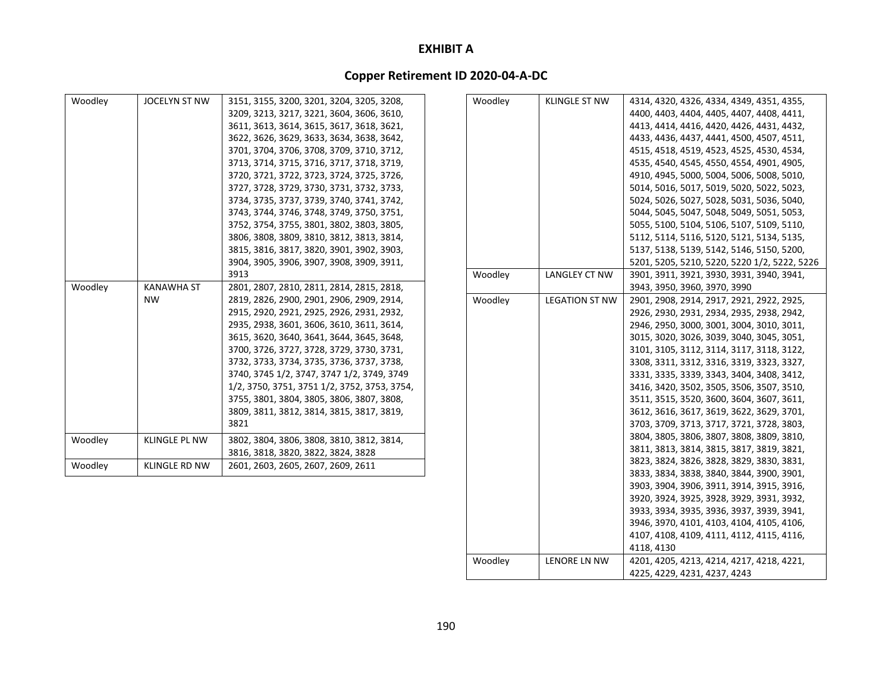# **Copper Retirement ID 2020‐04‐A‐DC**

| Woodley | JOCELYN ST NW        | 3151, 3155, 3200, 3201, 3204, 3205, 3208,    | Woodley | <b>KLINGLE ST NW</b>  | 4314, 4320, 4326, 4334, 4349, 4351, 4355,    |
|---------|----------------------|----------------------------------------------|---------|-----------------------|----------------------------------------------|
|         |                      | 3209, 3213, 3217, 3221, 3604, 3606, 3610,    |         |                       | 4400, 4403, 4404, 4405, 4407, 4408, 4411,    |
|         |                      | 3611, 3613, 3614, 3615, 3617, 3618, 3621,    |         |                       | 4413, 4414, 4416, 4420, 4426, 4431, 4432,    |
|         |                      | 3622, 3626, 3629, 3633, 3634, 3638, 3642,    |         |                       | 4433, 4436, 4437, 4441, 4500, 4507, 4511,    |
|         |                      | 3701, 3704, 3706, 3708, 3709, 3710, 3712,    |         |                       | 4515, 4518, 4519, 4523, 4525, 4530, 4534,    |
|         |                      | 3713, 3714, 3715, 3716, 3717, 3718, 3719,    |         |                       | 4535, 4540, 4545, 4550, 4554, 4901, 4905,    |
|         |                      | 3720, 3721, 3722, 3723, 3724, 3725, 3726,    |         |                       | 4910, 4945, 5000, 5004, 5006, 5008, 5010,    |
|         |                      | 3727, 3728, 3729, 3730, 3731, 3732, 3733,    |         |                       | 5014, 5016, 5017, 5019, 5020, 5022, 5023,    |
|         |                      | 3734, 3735, 3737, 3739, 3740, 3741, 3742,    |         |                       | 5024, 5026, 5027, 5028, 5031, 5036, 5040,    |
|         |                      | 3743, 3744, 3746, 3748, 3749, 3750, 3751,    |         |                       | 5044, 5045, 5047, 5048, 5049, 5051, 5053,    |
|         |                      | 3752, 3754, 3755, 3801, 3802, 3803, 3805,    |         |                       | 5055, 5100, 5104, 5106, 5107, 5109, 5110,    |
|         |                      | 3806, 3808, 3809, 3810, 3812, 3813, 3814,    |         |                       | 5112, 5114, 5116, 5120, 5121, 5134, 5135,    |
|         |                      | 3815, 3816, 3817, 3820, 3901, 3902, 3903,    |         |                       | 5137, 5138, 5139, 5142, 5146, 5150, 5200,    |
|         |                      | 3904, 3905, 3906, 3907, 3908, 3909, 3911,    |         |                       | 5201, 5205, 5210, 5220, 5220 1/2, 5222, 5226 |
|         |                      | 3913                                         | Woodley | <b>LANGLEY CT NW</b>  | 3901, 3911, 3921, 3930, 3931, 3940, 3941,    |
| Woodley | <b>KANAWHA ST</b>    | 2801, 2807, 2810, 2811, 2814, 2815, 2818,    |         |                       | 3943, 3950, 3960, 3970, 3990                 |
|         | <b>NW</b>            | 2819, 2826, 2900, 2901, 2906, 2909, 2914,    | Woodley | <b>LEGATION ST NW</b> | 2901, 2908, 2914, 2917, 2921, 2922, 2925,    |
|         |                      | 2915, 2920, 2921, 2925, 2926, 2931, 2932,    |         |                       | 2926, 2930, 2931, 2934, 2935, 2938, 2942,    |
|         |                      | 2935, 2938, 3601, 3606, 3610, 3611, 3614,    |         |                       | 2946, 2950, 3000, 3001, 3004, 3010, 3011,    |
|         |                      | 3615, 3620, 3640, 3641, 3644, 3645, 3648,    |         |                       | 3015, 3020, 3026, 3039, 3040, 3045, 3051,    |
|         |                      | 3700, 3726, 3727, 3728, 3729, 3730, 3731,    |         |                       | 3101, 3105, 3112, 3114, 3117, 3118, 3122,    |
|         |                      | 3732, 3733, 3734, 3735, 3736, 3737, 3738,    |         |                       | 3308, 3311, 3312, 3316, 3319, 3323, 3327,    |
|         |                      | 3740, 3745 1/2, 3747, 3747 1/2, 3749, 3749   |         |                       | 3331, 3335, 3339, 3343, 3404, 3408, 3412,    |
|         |                      | 1/2, 3750, 3751, 3751 1/2, 3752, 3753, 3754, |         |                       | 3416, 3420, 3502, 3505, 3506, 3507, 3510,    |
|         |                      | 3755, 3801, 3804, 3805, 3806, 3807, 3808,    |         |                       | 3511, 3515, 3520, 3600, 3604, 3607, 3611,    |
|         |                      | 3809, 3811, 3812, 3814, 3815, 3817, 3819,    |         |                       | 3612, 3616, 3617, 3619, 3622, 3629, 3701,    |
|         |                      | 3821                                         |         |                       | 3703, 3709, 3713, 3717, 3721, 3728, 3803,    |
| Woodley | <b>KLINGLE PL NW</b> | 3802, 3804, 3806, 3808, 3810, 3812, 3814,    |         |                       | 3804, 3805, 3806, 3807, 3808, 3809, 3810,    |
|         |                      | 3816, 3818, 3820, 3822, 3824, 3828           |         |                       | 3811, 3813, 3814, 3815, 3817, 3819, 3821,    |
| Woodley | <b>KLINGLE RD NW</b> | 2601, 2603, 2605, 2607, 2609, 2611           |         |                       | 3823, 3824, 3826, 3828, 3829, 3830, 3831,    |
|         |                      |                                              |         |                       | 3833, 3834, 3838, 3840, 3844, 3900, 3901,    |
|         |                      |                                              |         |                       | 3903, 3904, 3906, 3911, 3914, 3915, 3916,    |
|         |                      |                                              |         |                       | 3920, 3924, 3925, 3928, 3929, 3931, 3932,    |
|         |                      |                                              |         |                       | 3933, 3934, 3935, 3936, 3937, 3939, 3941,    |
|         |                      |                                              |         |                       | 3946, 3970, 4101, 4103, 4104, 4105, 4106,    |
|         |                      |                                              |         |                       | 4107, 4108, 4109, 4111, 4112, 4115, 4116,    |
|         |                      |                                              |         |                       | 4118, 4130                                   |

Woodley LENORE LN NW 4201, 4205, 4213, 4214, 4217, 4218, 4221,

4225, 4229, 4231, 4237, 4243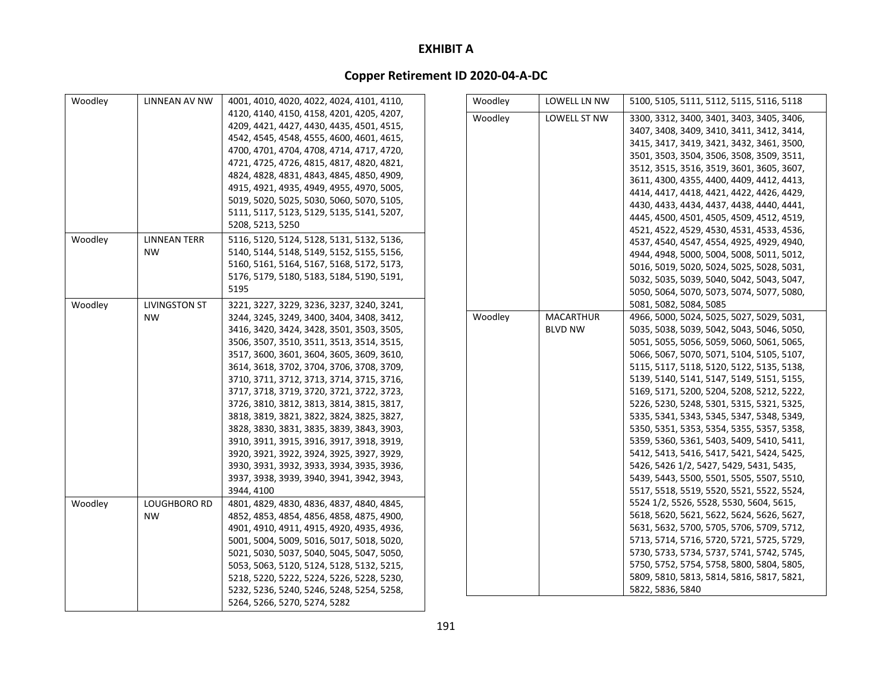| Woodley | LINNEAN AV NW        | 4001, 4010, 4020, 4022, 4024, 4101, 4110, | Woodley | LOWELL LN NW     | 5100, 5105, 5111, 5112, 5115, 5116, 5118                                               |
|---------|----------------------|-------------------------------------------|---------|------------------|----------------------------------------------------------------------------------------|
|         |                      | 4120, 4140, 4150, 4158, 4201, 4205, 4207, | Woodley | LOWELL ST NW     | 3300, 3312, 3400, 3401, 3403, 3405, 3406,                                              |
|         |                      | 4209, 4421, 4427, 4430, 4435, 4501, 4515, |         |                  | 3407, 3408, 3409, 3410, 3411, 3412, 3414,                                              |
|         |                      | 4542, 4545, 4548, 4555, 4600, 4601, 4615, |         |                  | 3415, 3417, 3419, 3421, 3432, 3461, 3500,                                              |
|         |                      | 4700, 4701, 4704, 4708, 4714, 4717, 4720, |         |                  | 3501, 3503, 3504, 3506, 3508, 3509, 3511,                                              |
|         |                      | 4721, 4725, 4726, 4815, 4817, 4820, 4821, |         |                  | 3512, 3515, 3516, 3519, 3601, 3605, 3607,                                              |
|         |                      | 4824, 4828, 4831, 4843, 4845, 4850, 4909, |         |                  | 3611, 4300, 4355, 4400, 4409, 4412, 4413,                                              |
|         |                      | 4915, 4921, 4935, 4949, 4955, 4970, 5005, |         |                  | 4414, 4417, 4418, 4421, 4422, 4426, 4429,                                              |
|         |                      | 5019, 5020, 5025, 5030, 5060, 5070, 5105, |         |                  | 4430, 4433, 4434, 4437, 4438, 4440, 4441,                                              |
|         |                      | 5111, 5117, 5123, 5129, 5135, 5141, 5207, |         |                  | 4445, 4500, 4501, 4505, 4509, 4512, 4519,                                              |
|         |                      | 5208, 5213, 5250                          |         |                  | 4521, 4522, 4529, 4530, 4531, 4533, 4536,                                              |
| Woodley | LINNEAN TERR         | 5116, 5120, 5124, 5128, 5131, 5132, 5136, |         |                  | 4537, 4540, 4547, 4554, 4925, 4929, 4940,                                              |
|         | <b>NW</b>            | 5140, 5144, 5148, 5149, 5152, 5155, 5156, |         |                  | 4944, 4948, 5000, 5004, 5008, 5011, 5012,                                              |
|         |                      | 5160, 5161, 5164, 5167, 5168, 5172, 5173, |         |                  | 5016, 5019, 5020, 5024, 5025, 5028, 5031,                                              |
|         |                      | 5176, 5179, 5180, 5183, 5184, 5190, 5191, |         |                  | 5032, 5035, 5039, 5040, 5042, 5043, 5047,                                              |
|         |                      | 5195                                      |         |                  | 5050, 5064, 5070, 5073, 5074, 5077, 5080,                                              |
| Woodley | <b>LIVINGSTON ST</b> | 3221, 3227, 3229, 3236, 3237, 3240, 3241, |         |                  | 5081, 5082, 5084, 5085                                                                 |
|         | <b>NW</b>            | 3244, 3245, 3249, 3400, 3404, 3408, 3412, | Woodley | <b>MACARTHUR</b> | 4966, 5000, 5024, 5025, 5027, 5029, 5031,                                              |
|         |                      | 3416, 3420, 3424, 3428, 3501, 3503, 3505, |         | <b>BLVD NW</b>   | 5035, 5038, 5039, 5042, 5043, 5046, 5050,                                              |
|         |                      | 3506, 3507, 3510, 3511, 3513, 3514, 3515, |         |                  | 5051, 5055, 5056, 5059, 5060, 5061, 5065,                                              |
|         |                      | 3517, 3600, 3601, 3604, 3605, 3609, 3610, |         |                  |                                                                                        |
|         |                      | 3614, 3618, 3702, 3704, 3706, 3708, 3709, |         |                  | 5066, 5067, 5070, 5071, 5104, 5105, 5107,<br>5115, 5117, 5118, 5120, 5122, 5135, 5138, |
|         |                      | 3710, 3711, 3712, 3713, 3714, 3715, 3716, |         |                  | 5139, 5140, 5141, 5147, 5149, 5151, 5155,                                              |
|         |                      | 3717, 3718, 3719, 3720, 3721, 3722, 3723, |         |                  | 5169, 5171, 5200, 5204, 5208, 5212, 5222,                                              |
|         |                      | 3726, 3810, 3812, 3813, 3814, 3815, 3817, |         |                  | 5226, 5230, 5248, 5301, 5315, 5321, 5325,                                              |
|         |                      |                                           |         |                  |                                                                                        |
|         |                      | 3818, 3819, 3821, 3822, 3824, 3825, 3827, |         |                  | 5335, 5341, 5343, 5345, 5347, 5348, 5349,                                              |
|         |                      | 3828, 3830, 3831, 3835, 3839, 3843, 3903, |         |                  | 5350, 5351, 5353, 5354, 5355, 5357, 5358,                                              |
|         |                      | 3910, 3911, 3915, 3916, 3917, 3918, 3919, |         |                  | 5359, 5360, 5361, 5403, 5409, 5410, 5411,                                              |
|         |                      | 3920, 3921, 3922, 3924, 3925, 3927, 3929, |         |                  | 5412, 5413, 5416, 5417, 5421, 5424, 5425,                                              |
|         |                      | 3930, 3931, 3932, 3933, 3934, 3935, 3936, |         |                  | 5426, 5426 1/2, 5427, 5429, 5431, 5435,                                                |
|         |                      | 3937, 3938, 3939, 3940, 3941, 3942, 3943, |         |                  | 5439, 5443, 5500, 5501, 5505, 5507, 5510,                                              |
|         |                      | 3944, 4100                                |         |                  | 5517, 5518, 5519, 5520, 5521, 5522, 5524,                                              |
| Woodley | LOUGHBORO RD         | 4801, 4829, 4830, 4836, 4837, 4840, 4845, |         |                  | 5524 1/2, 5526, 5528, 5530, 5604, 5615,                                                |
|         | <b>NW</b>            | 4852, 4853, 4854, 4856, 4858, 4875, 4900, |         |                  | 5618, 5620, 5621, 5622, 5624, 5626, 5627,                                              |
|         |                      | 4901, 4910, 4911, 4915, 4920, 4935, 4936, |         |                  | 5631, 5632, 5700, 5705, 5706, 5709, 5712,                                              |
|         |                      | 5001, 5004, 5009, 5016, 5017, 5018, 5020, |         |                  | 5713, 5714, 5716, 5720, 5721, 5725, 5729,                                              |
|         |                      | 5021, 5030, 5037, 5040, 5045, 5047, 5050, |         |                  | 5730, 5733, 5734, 5737, 5741, 5742, 5745,                                              |
|         |                      | 5053, 5063, 5120, 5124, 5128, 5132, 5215, |         |                  | 5750, 5752, 5754, 5758, 5800, 5804, 5805,                                              |
|         |                      | 5218, 5220, 5222, 5224, 5226, 5228, 5230, |         |                  | 5809, 5810, 5813, 5814, 5816, 5817, 5821,                                              |
|         |                      | 5232, 5236, 5240, 5246, 5248, 5254, 5258, |         |                  | 5822, 5836, 5840                                                                       |
|         |                      | 5264, 5266, 5270, 5274, 5282              |         |                  |                                                                                        |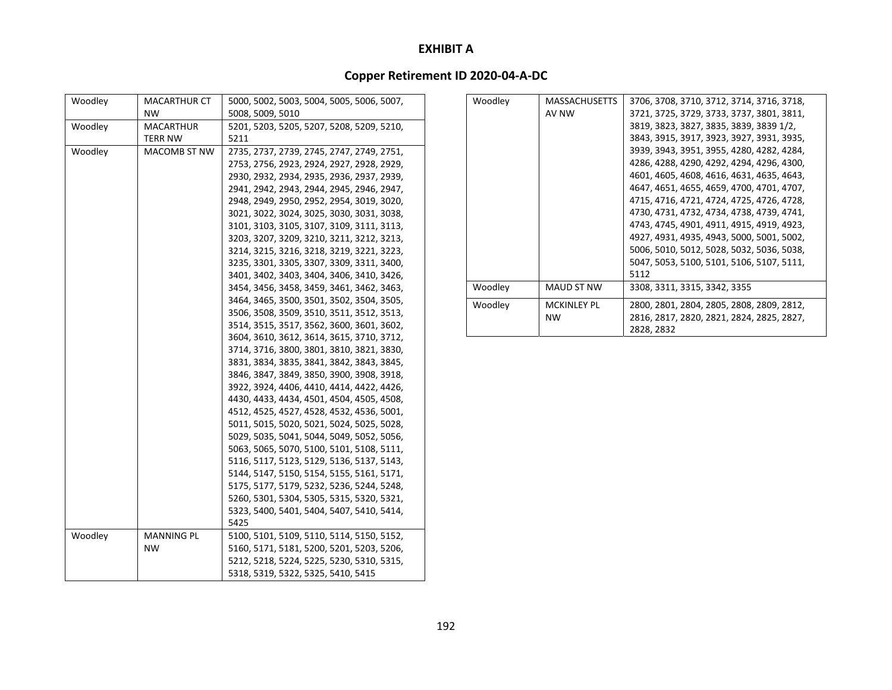| Woodley | <b>MACARTHUR CT</b><br><b>NW</b> | 5000, 5002, 5003, 5004, 5005, 5006, 5007,<br>5008, 5009, 5010 |
|---------|----------------------------------|---------------------------------------------------------------|
|         |                                  |                                                               |
| Woodley | MACARTHUR<br>TERR NW             | 5201, 5203, 5205, 5207, 5208, 5209, 5210,<br>5211             |
|         |                                  |                                                               |
| Woodley | <b>MACOMB ST NW</b>              | 2735, 2737, 2739, 2745, 2747, 2749, 2751,                     |
|         |                                  | 2753, 2756, 2923, 2924, 2927, 2928, 2929,                     |
|         |                                  | 2930, 2932, 2934, 2935, 2936, 2937, 2939,                     |
|         |                                  | 2941, 2942, 2943, 2944, 2945, 2946, 2947,                     |
|         |                                  | 2948, 2949, 2950, 2952, 2954, 3019, 3020,                     |
|         |                                  | 3021, 3022, 3024, 3025, 3030, 3031, 3038,                     |
|         |                                  | 3101, 3103, 3105, 3107, 3109, 3111, 3113,                     |
|         |                                  | 3203, 3207, 3209, 3210, 3211, 3212, 3213,                     |
|         |                                  | 3214, 3215, 3216, 3218, 3219, 3221, 3223,                     |
|         |                                  | 3235, 3301, 3305, 3307, 3309, 3311, 3400,                     |
|         |                                  | 3401, 3402, 3403, 3404, 3406, 3410, 3426,                     |
|         |                                  | 3454, 3456, 3458, 3459, 3461, 3462, 3463,                     |
|         |                                  | 3464, 3465, 3500, 3501, 3502, 3504, 3505,                     |
|         |                                  | 3506, 3508, 3509, 3510, 3511, 3512, 3513,                     |
|         |                                  | 3514, 3515, 3517, 3562, 3600, 3601, 3602,                     |
|         |                                  | 3604, 3610, 3612, 3614, 3615, 3710, 3712,                     |
|         |                                  | 3714, 3716, 3800, 3801, 3810, 3821, 3830,                     |
|         |                                  | 3831, 3834, 3835, 3841, 3842, 3843, 3845,                     |
|         |                                  | 3846, 3847, 3849, 3850, 3900, 3908, 3918,                     |
|         |                                  | 3922, 3924, 4406, 4410, 4414, 4422, 4426,                     |
|         |                                  | 4430, 4433, 4434, 4501, 4504, 4505, 4508,                     |
|         |                                  | 4512, 4525, 4527, 4528, 4532, 4536, 5001,                     |
|         |                                  | 5011, 5015, 5020, 5021, 5024, 5025, 5028,                     |
|         |                                  | 5029, 5035, 5041, 5044, 5049, 5052, 5056,                     |
|         |                                  | 5063, 5065, 5070, 5100, 5101, 5108, 5111,                     |
|         |                                  | 5116, 5117, 5123, 5129, 5136, 5137, 5143,                     |
|         |                                  | 5144, 5147, 5150, 5154, 5155, 5161, 5171,                     |
|         |                                  | 5175, 5177, 5179, 5232, 5236, 5244, 5248,                     |
|         |                                  | 5260, 5301, 5304, 5305, 5315, 5320, 5321,                     |
|         |                                  | 5323, 5400, 5401, 5404, 5407, 5410, 5414,                     |
|         |                                  | 5425                                                          |
| Woodley | <b>MANNING PL</b>                | 5100, 5101, 5109, 5110, 5114, 5150, 5152,                     |
|         | <b>NW</b>                        | 5160, 5171, 5181, 5200, 5201, 5203, 5206,                     |
|         |                                  | 5212, 5218, 5224, 5225, 5230, 5310, 5315,                     |
|         |                                  | 5318, 5319, 5322, 5325, 5410, 5415                            |
|         |                                  |                                                               |

| Woodley | <b>MASSACHUSETTS</b> | 3706, 3708, 3710, 3712, 3714, 3716, 3718, |
|---------|----------------------|-------------------------------------------|
|         | AV NW                | 3721, 3725, 3729, 3733, 3737, 3801, 3811, |
|         |                      | 3819, 3823, 3827, 3835, 3839, 3839 1/2,   |
|         |                      | 3843, 3915, 3917, 3923, 3927, 3931, 3935, |
|         |                      | 3939, 3943, 3951, 3955, 4280, 4282, 4284, |
|         |                      | 4286, 4288, 4290, 4292, 4294, 4296, 4300, |
|         |                      | 4601, 4605, 4608, 4616, 4631, 4635, 4643, |
|         |                      | 4647, 4651, 4655, 4659, 4700, 4701, 4707, |
|         |                      | 4715, 4716, 4721, 4724, 4725, 4726, 4728, |
|         |                      | 4730, 4731, 4732, 4734, 4738, 4739, 4741, |
|         |                      | 4743, 4745, 4901, 4911, 4915, 4919, 4923, |
|         |                      | 4927, 4931, 4935, 4943, 5000, 5001, 5002, |
|         |                      | 5006, 5010, 5012, 5028, 5032, 5036, 5038, |
|         |                      | 5047, 5053, 5100, 5101, 5106, 5107, 5111, |
|         |                      | 5112                                      |
| Woodley | MAUD ST NW           | 3308, 3311, 3315, 3342, 3355              |
| Woodley | <b>MCKINLEY PL</b>   | 2800, 2801, 2804, 2805, 2808, 2809, 2812, |
|         | <b>NW</b>            | 2816, 2817, 2820, 2821, 2824, 2825, 2827, |
|         |                      | 2828, 2832                                |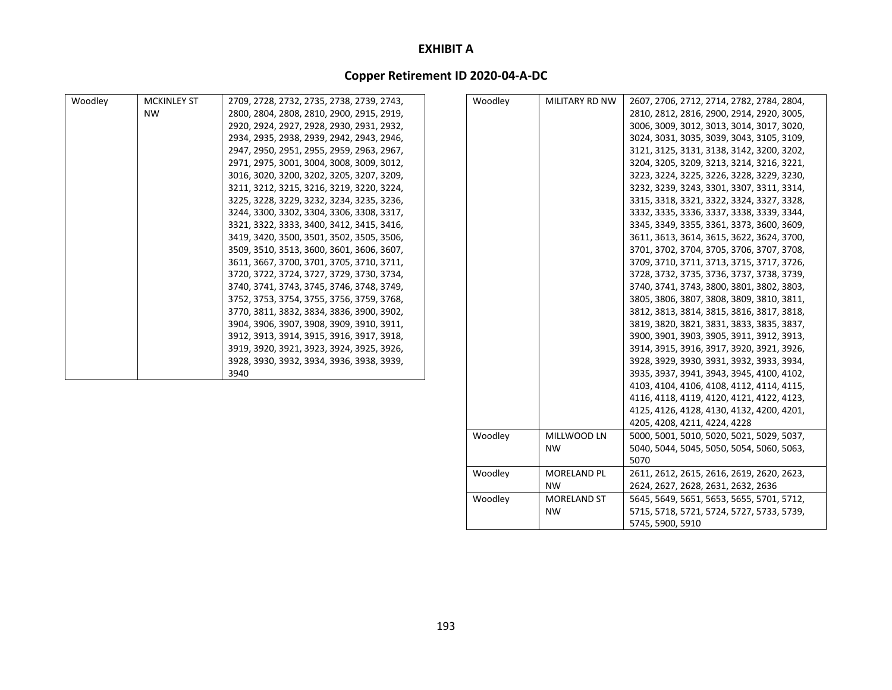### **Copper Retirement ID 2020‐04‐A‐DC**

| Woodley | <b>MCKINLEY ST</b> | 2709, 2728, 2732, 2735, 2738, 2739, 2743, | Woodley | MILITARY RD NW | 2607, 2706, 2712, 2714, 2782, 2784, 2804, |
|---------|--------------------|-------------------------------------------|---------|----------------|-------------------------------------------|
|         | <b>NW</b>          | 2800, 2804, 2808, 2810, 2900, 2915, 2919, |         |                | 2810, 2812, 2816, 2900, 2914, 2920, 3005, |
|         |                    | 2920, 2924, 2927, 2928, 2930, 2931, 2932, |         |                | 3006, 3009, 3012, 3013, 3014, 3017, 3020, |
|         |                    | 2934, 2935, 2938, 2939, 2942, 2943, 2946, |         |                | 3024, 3031, 3035, 3039, 3043, 3105, 3109, |
|         |                    | 2947, 2950, 2951, 2955, 2959, 2963, 2967, |         |                | 3121, 3125, 3131, 3138, 3142, 3200, 3202, |
|         |                    | 2971, 2975, 3001, 3004, 3008, 3009, 3012, |         |                | 3204, 3205, 3209, 3213, 3214, 3216, 3221, |
|         |                    | 3016, 3020, 3200, 3202, 3205, 3207, 3209, |         |                | 3223, 3224, 3225, 3226, 3228, 3229, 3230, |
|         |                    | 3211, 3212, 3215, 3216, 3219, 3220, 3224, |         |                | 3232, 3239, 3243, 3301, 3307, 3311, 3314, |
|         |                    | 3225, 3228, 3229, 3232, 3234, 3235, 3236, |         |                | 3315, 3318, 3321, 3322, 3324, 3327, 3328, |
|         |                    | 3244, 3300, 3302, 3304, 3306, 3308, 3317, |         |                | 3332, 3335, 3336, 3337, 3338, 3339, 3344, |
|         |                    | 3321, 3322, 3333, 3400, 3412, 3415, 3416, |         |                | 3345, 3349, 3355, 3361, 3373, 3600, 3609, |
|         |                    | 3419, 3420, 3500, 3501, 3502, 3505, 3506, |         |                | 3611, 3613, 3614, 3615, 3622, 3624, 3700, |
|         |                    | 3509, 3510, 3513, 3600, 3601, 3606, 3607, |         |                | 3701, 3702, 3704, 3705, 3706, 3707, 3708, |
|         |                    | 3611, 3667, 3700, 3701, 3705, 3710, 3711, |         |                | 3709, 3710, 3711, 3713, 3715, 3717, 3726, |
|         |                    | 3720, 3722, 3724, 3727, 3729, 3730, 3734, |         |                | 3728, 3732, 3735, 3736, 3737, 3738, 3739, |
|         |                    | 3740, 3741, 3743, 3745, 3746, 3748, 3749, |         |                | 3740, 3741, 3743, 3800, 3801, 3802, 3803, |
|         |                    | 3752, 3753, 3754, 3755, 3756, 3759, 3768, |         |                | 3805, 3806, 3807, 3808, 3809, 3810, 3811, |
|         |                    | 3770, 3811, 3832, 3834, 3836, 3900, 3902, |         |                | 3812, 3813, 3814, 3815, 3816, 3817, 3818, |
|         |                    | 3904, 3906, 3907, 3908, 3909, 3910, 3911, |         |                | 3819, 3820, 3821, 3831, 3833, 3835, 3837, |
|         |                    | 3912, 3913, 3914, 3915, 3916, 3917, 3918, |         |                | 3900, 3901, 3903, 3905, 3911, 3912, 3913, |
|         |                    | 3919, 3920, 3921, 3923, 3924, 3925, 3926, |         |                | 3914, 3915, 3916, 3917, 3920, 3921, 3926, |
|         |                    | 3928, 3930, 3932, 3934, 3936, 3938, 3939, |         |                | 3928, 3929, 3930, 3931, 3932, 3933, 3934, |
|         |                    | 3940                                      |         |                | 3935, 3937, 3941, 3943, 3945, 4100, 4102, |
|         |                    |                                           |         |                | 4103, 4104, 4106, 4108, 4112, 4114, 4115, |
|         |                    |                                           |         |                | 4116, 4118, 4119, 4120, 4121, 4122, 4123, |
|         |                    |                                           |         |                | 4125, 4126, 4128, 4130, 4132, 4200, 4201, |
|         |                    |                                           |         |                | 4205.4208.4211.4224.4228                  |

Woodley MILLWOOD LN NW

Woodley MORELAND PL NWWoodley MORELAND ST

NW

5000, 5001, 5010, 5020, 5021, 5029, 5037, 5040, 5044, 5045, 5050, 5054, 5060, 5063,

2611, 2612, 2615, 2616, 2619, 2620, 2623, 2624, 2627, 2628, 2631, 2632, 2636

5645, 5649, 5651, 5653, 5655, 5701, 5712, 5715, 5718, 5721, 5724, 5727, 5733, 5739,

5070

5745, 5900, 5910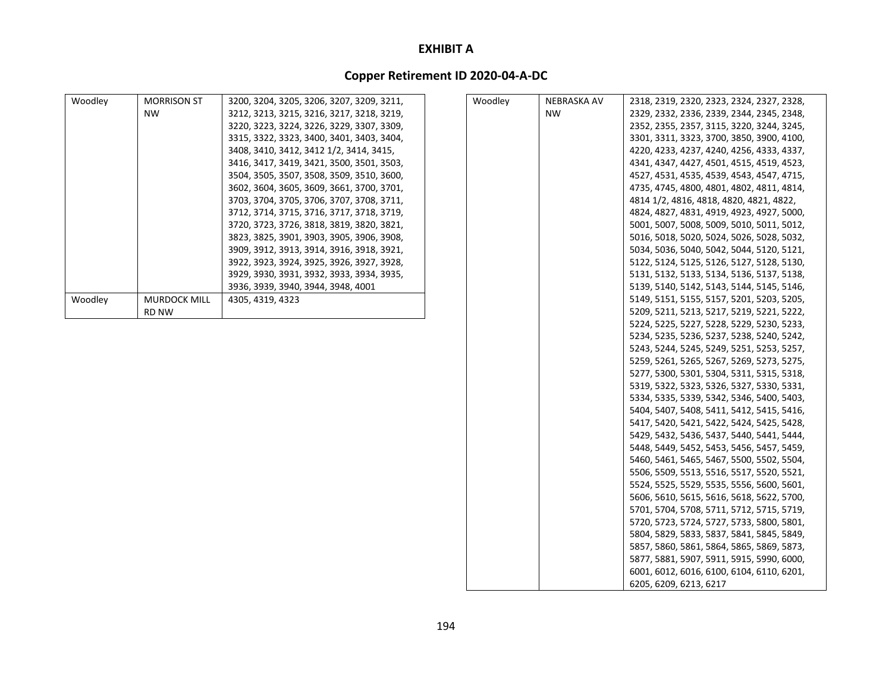| Woodley | <b>MORRISON ST</b>  | 3200, 3204, 3205, 3206, 3207, 3209, 3211, | Woodley | NEBRASKA AV | 2318, 2319, 2320, 2323, 2324, 2327, 2328, |
|---------|---------------------|-------------------------------------------|---------|-------------|-------------------------------------------|
|         | <b>NW</b>           | 3212, 3213, 3215, 3216, 3217, 3218, 3219, |         | <b>NW</b>   | 2329, 2332, 2336, 2339, 2344, 2345, 2348, |
|         |                     | 3220, 3223, 3224, 3226, 3229, 3307, 3309, |         |             | 2352, 2355, 2357, 3115, 3220, 3244, 3245, |
|         |                     | 3315, 3322, 3323, 3400, 3401, 3403, 3404, |         |             | 3301, 3311, 3323, 3700, 3850, 3900, 4100, |
|         |                     | 3408, 3410, 3412, 3412 1/2, 3414, 3415,   |         |             | 4220, 4233, 4237, 4240, 4256, 4333, 4337, |
|         |                     | 3416, 3417, 3419, 3421, 3500, 3501, 3503, |         |             | 4341, 4347, 4427, 4501, 4515, 4519, 4523, |
|         |                     | 3504, 3505, 3507, 3508, 3509, 3510, 3600, |         |             | 4527, 4531, 4535, 4539, 4543, 4547, 4715, |
|         |                     | 3602, 3604, 3605, 3609, 3661, 3700, 3701, |         |             | 4735, 4745, 4800, 4801, 4802, 4811, 4814, |
|         |                     | 3703, 3704, 3705, 3706, 3707, 3708, 3711, |         |             | 4814 1/2, 4816, 4818, 4820, 4821, 4822,   |
|         |                     | 3712, 3714, 3715, 3716, 3717, 3718, 3719, |         |             | 4824, 4827, 4831, 4919, 4923, 4927, 5000, |
|         |                     | 3720, 3723, 3726, 3818, 3819, 3820, 3821, |         |             | 5001, 5007, 5008, 5009, 5010, 5011, 5012, |
|         |                     | 3823, 3825, 3901, 3903, 3905, 3906, 3908, |         |             | 5016, 5018, 5020, 5024, 5026, 5028, 5032, |
|         |                     | 3909, 3912, 3913, 3914, 3916, 3918, 3921, |         |             | 5034, 5036, 5040, 5042, 5044, 5120, 5121, |
|         |                     | 3922, 3923, 3924, 3925, 3926, 3927, 3928, |         |             | 5122, 5124, 5125, 5126, 5127, 5128, 5130, |
|         |                     | 3929, 3930, 3931, 3932, 3933, 3934, 3935, |         |             | 5131, 5132, 5133, 5134, 5136, 5137, 5138, |
|         |                     | 3936, 3939, 3940, 3944, 3948, 4001        |         |             | 5139, 5140, 5142, 5143, 5144, 5145, 5146, |
| Woodley | <b>MURDOCK MILL</b> | 4305, 4319, 4323                          |         |             | 5149, 5151, 5155, 5157, 5201, 5203, 5205, |
|         | <b>RD NW</b>        |                                           |         |             | 5209, 5211, 5213, 5217, 5219, 5221, 5222, |
|         |                     |                                           |         |             | 5224, 5225, 5227, 5228, 5229, 5230, 5233, |
|         |                     |                                           |         |             | 5234, 5235, 5236, 5237, 5238, 5240, 5242, |
|         |                     |                                           |         |             | 5243, 5244, 5245, 5249, 5251, 5253, 5257, |
|         |                     |                                           |         |             | 5259, 5261, 5265, 5267, 5269, 5273, 5275, |
|         |                     |                                           |         |             | 5277, 5300, 5301, 5304, 5311, 5315, 5318, |
|         |                     |                                           |         |             | 5319, 5322, 5323, 5326, 5327, 5330, 5331, |
|         |                     |                                           |         |             | 5334, 5335, 5339, 5342, 5346, 5400, 5403, |
|         |                     |                                           |         |             | 5404, 5407, 5408, 5411, 5412, 5415, 5416, |
|         |                     |                                           |         |             | 5417, 5420, 5421, 5422, 5424, 5425, 5428, |
|         |                     |                                           |         |             | 5429, 5432, 5436, 5437, 5440, 5441, 5444, |
|         |                     |                                           |         |             | 5448, 5449, 5452, 5453, 5456, 5457, 5459, |
|         |                     |                                           |         |             | 5460, 5461, 5465, 5467, 5500, 5502, 5504, |
|         |                     |                                           |         |             | 5506, 5509, 5513, 5516, 5517, 5520, 5521, |
|         |                     |                                           |         |             | 5524, 5525, 5529, 5535, 5556, 5600, 5601, |
|         |                     |                                           |         |             | 5606, 5610, 5615, 5616, 5618, 5622, 5700, |
|         |                     |                                           |         |             | 5701, 5704, 5708, 5711, 5712, 5715, 5719, |
|         |                     |                                           |         |             | 5720, 5723, 5724, 5727, 5733, 5800, 5801, |
|         |                     |                                           |         |             | 5804, 5829, 5833, 5837, 5841, 5845, 5849, |
|         |                     |                                           |         |             | 5857, 5860, 5861, 5864, 5865, 5869, 5873, |
|         |                     |                                           |         |             | 5877, 5881, 5907, 5911, 5915, 5990, 6000, |
|         |                     |                                           |         |             | 6001, 6012, 6016, 6100, 6104, 6110, 6201, |
|         |                     |                                           |         |             | 6205, 6209, 6213, 6217                    |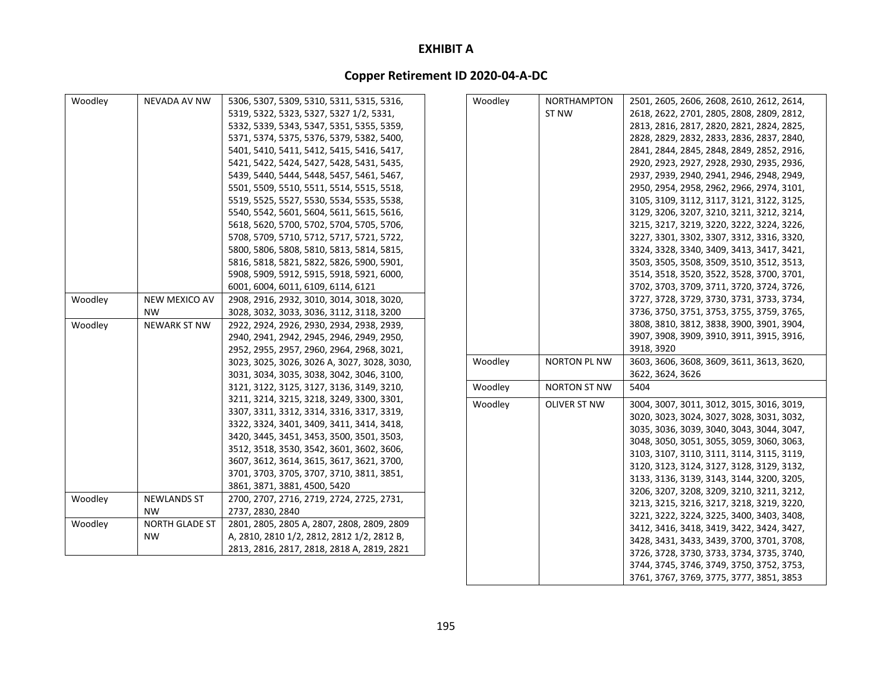# **Copper Retirement ID 2020‐04‐A‐DC**

|         |                       |                                             |         |                     | 3744, 3745, 3746, 3749, 3750, 3752, 3753, |
|---------|-----------------------|---------------------------------------------|---------|---------------------|-------------------------------------------|
|         |                       | 2813, 2816, 2817, 2818, 2818 A, 2819, 2821  |         |                     | 3726, 3728, 3730, 3733, 3734, 3735, 3740, |
|         | NW.                   | A, 2810, 2810 1/2, 2812, 2812 1/2, 2812 B,  |         |                     | 3428, 3431, 3433, 3439, 3700, 3701, 3708, |
| Woodley | <b>NORTH GLADE ST</b> | 2801, 2805, 2805 A, 2807, 2808, 2809, 2809  |         |                     | 3412, 3416, 3418, 3419, 3422, 3424, 3427, |
|         | <b>NW</b>             | 2737, 2830, 2840                            |         |                     | 3221, 3222, 3224, 3225, 3400, 3403, 3408, |
| Woodley | <b>NEWLANDS ST</b>    | 2700, 2707, 2716, 2719, 2724, 2725, 2731,   |         |                     | 3213, 3215, 3216, 3217, 3218, 3219, 3220, |
|         |                       | 3861, 3871, 3881, 4500, 5420                |         |                     | 3206, 3207, 3208, 3209, 3210, 3211, 3212, |
|         |                       | 3701, 3703, 3705, 3707, 3710, 3811, 3851,   |         |                     | 3133, 3136, 3139, 3143, 3144, 3200, 3205, |
|         |                       | 3607, 3612, 3614, 3615, 3617, 3621, 3700,   |         |                     | 3120, 3123, 3124, 3127, 3128, 3129, 3132, |
|         |                       | 3512, 3518, 3530, 3542, 3601, 3602, 3606,   |         |                     | 3103, 3107, 3110, 3111, 3114, 3115, 3119, |
|         |                       | 3420, 3445, 3451, 3453, 3500, 3501, 3503,   |         |                     | 3048, 3050, 3051, 3055, 3059, 3060, 3063, |
|         |                       | 3322, 3324, 3401, 3409, 3411, 3414, 3418,   |         |                     | 3035, 3036, 3039, 3040, 3043, 3044, 3047, |
|         |                       | 3307, 3311, 3312, 3314, 3316, 3317, 3319,   |         |                     | 3020, 3023, 3024, 3027, 3028, 3031, 3032, |
|         |                       | 3211, 3214, 3215, 3218, 3249, 3300, 3301,   | Woodley | OLIVER ST NW        | 3004, 3007, 3011, 3012, 3015, 3016, 3019, |
|         |                       | 3121, 3122, 3125, 3127, 3136, 3149, 3210,   | Woodley | <b>NORTON ST NW</b> | 5404                                      |
|         |                       | 3031, 3034, 3035, 3038, 3042, 3046, 3100,   |         |                     | 3622, 3624, 3626                          |
|         |                       | 3023, 3025, 3026, 3026 A, 3027, 3028, 3030, | Woodley | <b>NORTON PL NW</b> | 3603, 3606, 3608, 3609, 3611, 3613, 3620, |
|         |                       | 2952, 2955, 2957, 2960, 2964, 2968, 3021,   |         |                     | 3918, 3920                                |
|         |                       | 2940, 2941, 2942, 2945, 2946, 2949, 2950,   |         |                     | 3907, 3908, 3909, 3910, 3911, 3915, 3916, |
| Woodley | <b>NEWARK ST NW</b>   | 2922, 2924, 2926, 2930, 2934, 2938, 2939,   |         |                     | 3808, 3810, 3812, 3838, 3900, 3901, 3904, |
|         | <b>NW</b>             | 3028, 3032, 3033, 3036, 3112, 3118, 3200    |         |                     | 3736, 3750, 3751, 3753, 3755, 3759, 3765, |
| Woodley | NEW MEXICO AV         | 2908, 2916, 2932, 3010, 3014, 3018, 3020,   |         |                     | 3727, 3728, 3729, 3730, 3731, 3733, 3734, |
|         |                       | 6001, 6004, 6011, 6109, 6114, 6121          |         |                     | 3702, 3703, 3709, 3711, 3720, 3724, 3726, |
|         |                       | 5908, 5909, 5912, 5915, 5918, 5921, 6000,   |         |                     | 3514, 3518, 3520, 3522, 3528, 3700, 3701, |
|         |                       | 5816, 5818, 5821, 5822, 5826, 5900, 5901,   |         |                     | 3503, 3505, 3508, 3509, 3510, 3512, 3513, |
|         |                       | 5800, 5806, 5808, 5810, 5813, 5814, 5815,   |         |                     | 3324, 3328, 3340, 3409, 3413, 3417, 3421, |
|         |                       | 5708, 5709, 5710, 5712, 5717, 5721, 5722,   |         |                     | 3227, 3301, 3302, 3307, 3312, 3316, 3320, |
|         |                       | 5618, 5620, 5700, 5702, 5704, 5705, 5706,   |         |                     | 3215, 3217, 3219, 3220, 3222, 3224, 3226, |
|         |                       | 5540, 5542, 5601, 5604, 5611, 5615, 5616,   |         |                     | 3129, 3206, 3207, 3210, 3211, 3212, 3214, |
|         |                       | 5519, 5525, 5527, 5530, 5534, 5535, 5538,   |         |                     | 3105, 3109, 3112, 3117, 3121, 3122, 3125, |
|         |                       | 5501, 5509, 5510, 5511, 5514, 5515, 5518,   |         |                     | 2950, 2954, 2958, 2962, 2966, 2974, 3101, |
|         |                       | 5439, 5440, 5444, 5448, 5457, 5461, 5467,   |         |                     | 2937, 2939, 2940, 2941, 2946, 2948, 2949, |
|         |                       | 5421, 5422, 5424, 5427, 5428, 5431, 5435,   |         |                     | 2920, 2923, 2927, 2928, 2930, 2935, 2936, |
|         |                       | 5401, 5410, 5411, 5412, 5415, 5416, 5417,   |         |                     | 2841, 2844, 2845, 2848, 2849, 2852, 2916, |
|         |                       | 5371, 5374, 5375, 5376, 5379, 5382, 5400,   |         |                     | 2828, 2829, 2832, 2833, 2836, 2837, 2840, |
|         |                       | 5332, 5339, 5343, 5347, 5351, 5355, 5359,   |         |                     | 2813, 2816, 2817, 2820, 2821, 2824, 2825, |
|         |                       | 5319, 5322, 5323, 5327, 5327 1/2, 5331,     |         | ST NW               | 2618, 2622, 2701, 2805, 2808, 2809, 2812, |
| Woodley | NEVADA AV NW          | 5306, 5307, 5309, 5310, 5311, 5315, 5316,   | Woodley | <b>NORTHAMPTON</b>  | 2501, 2605, 2606, 2608, 2610, 2612, 2614, |

3761, 3767, 3769, 3775, 3777, 3851, 3853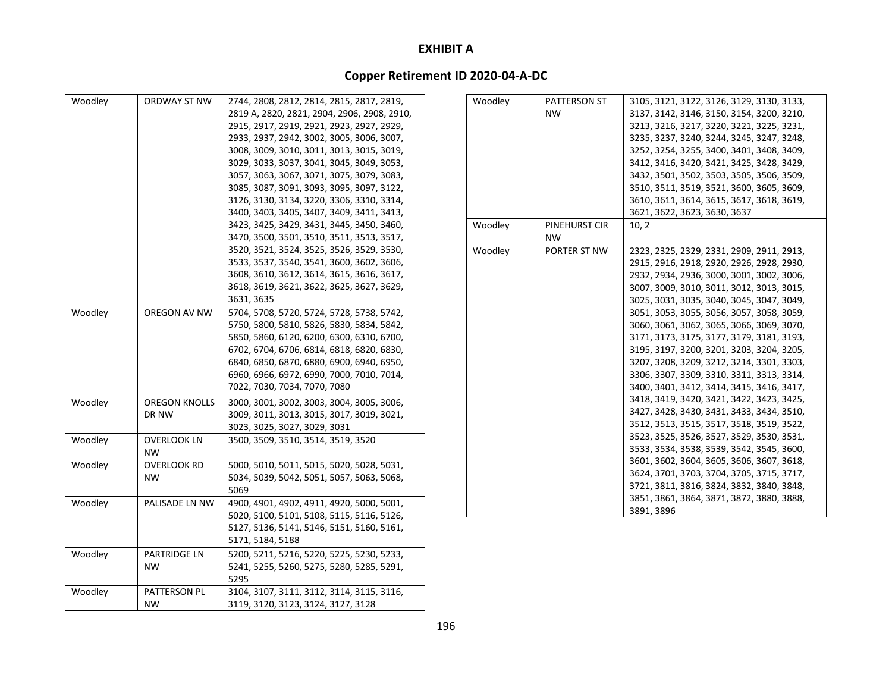| Woodley | ORDWAY ST NW         | 2744, 2808, 2812, 2814, 2815, 2817, 2819,   | Woodley | PATTERSON ST  | 3105, 3121, 3122, 3126, 3129, 3130, 3133, |
|---------|----------------------|---------------------------------------------|---------|---------------|-------------------------------------------|
|         |                      | 2819 A, 2820, 2821, 2904, 2906, 2908, 2910, |         | <b>NW</b>     | 3137, 3142, 3146, 3150, 3154, 3200, 3210, |
|         |                      | 2915, 2917, 2919, 2921, 2923, 2927, 2929,   |         |               | 3213, 3216, 3217, 3220, 3221, 3225, 3231, |
|         |                      | 2933, 2937, 2942, 3002, 3005, 3006, 3007,   |         |               | 3235, 3237, 3240, 3244, 3245, 3247, 3248, |
|         |                      | 3008, 3009, 3010, 3011, 3013, 3015, 3019,   |         |               | 3252, 3254, 3255, 3400, 3401, 3408, 3409, |
|         |                      | 3029, 3033, 3037, 3041, 3045, 3049, 3053,   |         |               | 3412, 3416, 3420, 3421, 3425, 3428, 3429, |
|         |                      | 3057, 3063, 3067, 3071, 3075, 3079, 3083,   |         |               | 3432, 3501, 3502, 3503, 3505, 3506, 3509, |
|         |                      | 3085, 3087, 3091, 3093, 3095, 3097, 3122,   |         |               | 3510, 3511, 3519, 3521, 3600, 3605, 3609, |
|         |                      | 3126, 3130, 3134, 3220, 3306, 3310, 3314,   |         |               | 3610, 3611, 3614, 3615, 3617, 3618, 3619, |
|         |                      | 3400, 3403, 3405, 3407, 3409, 3411, 3413,   |         |               | 3621, 3622, 3623, 3630, 3637              |
|         |                      | 3423, 3425, 3429, 3431, 3445, 3450, 3460,   | Woodley | PINEHURST CIR | 10, 2                                     |
|         |                      | 3470, 3500, 3501, 3510, 3511, 3513, 3517,   |         | <b>NW</b>     |                                           |
|         |                      | 3520, 3521, 3524, 3525, 3526, 3529, 3530,   | Woodley | PORTER ST NW  | 2323, 2325, 2329, 2331, 2909, 2911, 2913, |
|         |                      | 3533, 3537, 3540, 3541, 3600, 3602, 3606,   |         |               | 2915, 2916, 2918, 2920, 2926, 2928, 2930, |
|         |                      | 3608, 3610, 3612, 3614, 3615, 3616, 3617,   |         |               | 2932, 2934, 2936, 3000, 3001, 3002, 3006, |
|         |                      | 3618, 3619, 3621, 3622, 3625, 3627, 3629,   |         |               | 3007, 3009, 3010, 3011, 3012, 3013, 3015, |
|         |                      | 3631, 3635                                  |         |               | 3025, 3031, 3035, 3040, 3045, 3047, 3049, |
| Woodley | OREGON AV NW         | 5704, 5708, 5720, 5724, 5728, 5738, 5742,   |         |               | 3051, 3053, 3055, 3056, 3057, 3058, 3059, |
|         |                      | 5750, 5800, 5810, 5826, 5830, 5834, 5842,   |         |               | 3060, 3061, 3062, 3065, 3066, 3069, 3070, |
|         |                      | 5850, 5860, 6120, 6200, 6300, 6310, 6700,   |         |               | 3171, 3173, 3175, 3177, 3179, 3181, 3193, |
|         |                      | 6702, 6704, 6706, 6814, 6818, 6820, 6830,   |         |               | 3195, 3197, 3200, 3201, 3203, 3204, 3205, |
|         |                      | 6840, 6850, 6870, 6880, 6900, 6940, 6950,   |         |               | 3207, 3208, 3209, 3212, 3214, 3301, 3303, |
|         |                      | 6960, 6966, 6972, 6990, 7000, 7010, 7014,   |         |               | 3306, 3307, 3309, 3310, 3311, 3313, 3314, |
|         |                      | 7022, 7030, 7034, 7070, 7080                |         |               | 3400, 3401, 3412, 3414, 3415, 3416, 3417, |
| Woodley | <b>OREGON KNOLLS</b> | 3000, 3001, 3002, 3003, 3004, 3005, 3006,   |         |               | 3418, 3419, 3420, 3421, 3422, 3423, 3425, |
|         | DR NW                | 3009, 3011, 3013, 3015, 3017, 3019, 3021,   |         |               | 3427, 3428, 3430, 3431, 3433, 3434, 3510, |
|         |                      | 3023, 3025, 3027, 3029, 3031                |         |               | 3512, 3513, 3515, 3517, 3518, 3519, 3522, |
| Woodley | <b>OVERLOOK LN</b>   | 3500, 3509, 3510, 3514, 3519, 3520          |         |               | 3523, 3525, 3526, 3527, 3529, 3530, 3531, |
|         | <b>NW</b>            |                                             |         |               | 3533, 3534, 3538, 3539, 3542, 3545, 3600, |
| Woodley | <b>OVERLOOK RD</b>   | 5000, 5010, 5011, 5015, 5020, 5028, 5031,   |         |               | 3601, 3602, 3604, 3605, 3606, 3607, 3618, |
|         | <b>NW</b>            | 5034, 5039, 5042, 5051, 5057, 5063, 5068,   |         |               | 3624, 3701, 3703, 3704, 3705, 3715, 3717, |
|         |                      | 5069                                        |         |               | 3721, 3811, 3816, 3824, 3832, 3840, 3848, |
| Woodley | PALISADE LN NW       | 4900, 4901, 4902, 4911, 4920, 5000, 5001,   |         |               | 3851, 3861, 3864, 3871, 3872, 3880, 3888, |
|         |                      | 5020, 5100, 5101, 5108, 5115, 5116, 5126,   |         |               | 3891, 3896                                |
|         |                      | 5127, 5136, 5141, 5146, 5151, 5160, 5161,   |         |               |                                           |
|         |                      | 5171, 5184, 5188                            |         |               |                                           |
| Woodley | PARTRIDGE LN         | 5200, 5211, 5216, 5220, 5225, 5230, 5233,   |         |               |                                           |
|         | NW.                  | 5241, 5255, 5260, 5275, 5280, 5285, 5291,   |         |               |                                           |
|         |                      | 5295                                        |         |               |                                           |
| Woodley | PATTERSON PL         | 3104, 3107, 3111, 3112, 3114, 3115, 3116,   |         |               |                                           |
|         | <b>NW</b>            | 3119, 3120, 3123, 3124, 3127, 3128          |         |               |                                           |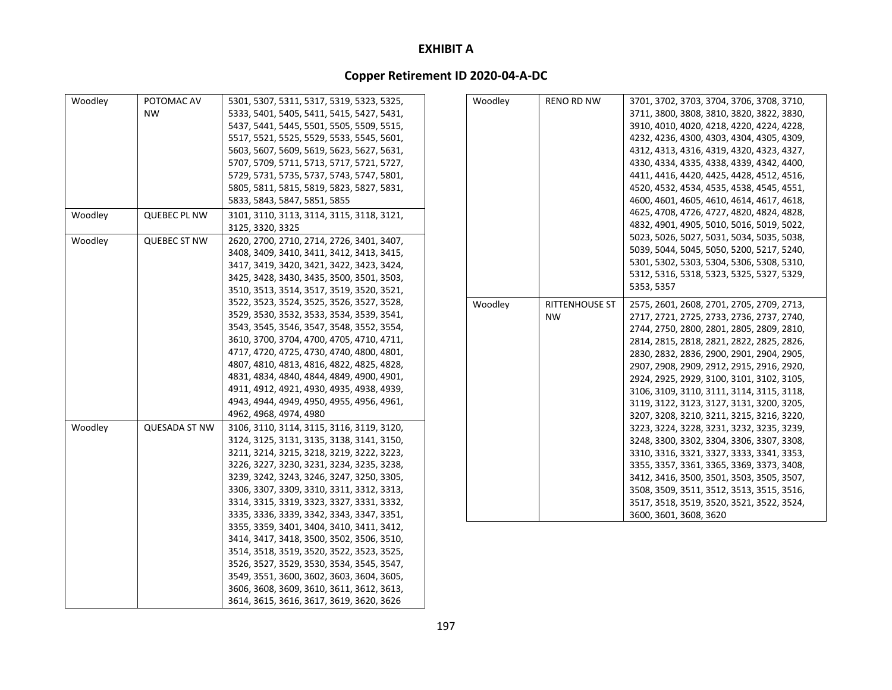| Woodley | POTOMAC AV           | 5301, 5307, 5311, 5317, 5319, 5323, 5325, | Woodley | <b>RENO RD NW</b>     | 3701, 3702, 3703, 3704, 3706, 3708, 3710, |
|---------|----------------------|-------------------------------------------|---------|-----------------------|-------------------------------------------|
|         | <b>NW</b>            | 5333, 5401, 5405, 5411, 5415, 5427, 5431, |         |                       | 3711, 3800, 3808, 3810, 3820, 3822, 3830, |
|         |                      | 5437, 5441, 5445, 5501, 5505, 5509, 5515, |         |                       | 3910, 4010, 4020, 4218, 4220, 4224, 4228, |
|         |                      | 5517, 5521, 5525, 5529, 5533, 5545, 5601, |         |                       | 4232, 4236, 4300, 4303, 4304, 4305, 4309, |
|         |                      | 5603, 5607, 5609, 5619, 5623, 5627, 5631, |         |                       | 4312, 4313, 4316, 4319, 4320, 4323, 4327, |
|         |                      | 5707, 5709, 5711, 5713, 5717, 5721, 5727, |         |                       | 4330, 4334, 4335, 4338, 4339, 4342, 4400, |
|         |                      | 5729, 5731, 5735, 5737, 5743, 5747, 5801, |         |                       | 4411, 4416, 4420, 4425, 4428, 4512, 4516, |
|         |                      | 5805, 5811, 5815, 5819, 5823, 5827, 5831, |         |                       | 4520, 4532, 4534, 4535, 4538, 4545, 4551, |
|         |                      | 5833, 5843, 5847, 5851, 5855              |         |                       | 4600, 4601, 4605, 4610, 4614, 4617, 4618, |
| Woodley | <b>QUEBEC PL NW</b>  | 3101, 3110, 3113, 3114, 3115, 3118, 3121, |         |                       | 4625, 4708, 4726, 4727, 4820, 4824, 4828, |
|         |                      | 3125, 3320, 3325                          |         |                       | 4832, 4901, 4905, 5010, 5016, 5019, 5022, |
| Woodley | <b>QUEBEC ST NW</b>  | 2620, 2700, 2710, 2714, 2726, 3401, 3407, |         |                       | 5023, 5026, 5027, 5031, 5034, 5035, 5038, |
|         |                      | 3408, 3409, 3410, 3411, 3412, 3413, 3415, |         |                       | 5039, 5044, 5045, 5050, 5200, 5217, 5240, |
|         |                      | 3417, 3419, 3420, 3421, 3422, 3423, 3424, |         |                       | 5301, 5302, 5303, 5304, 5306, 5308, 5310, |
|         |                      | 3425, 3428, 3430, 3435, 3500, 3501, 3503, |         |                       | 5312, 5316, 5318, 5323, 5325, 5327, 5329, |
|         |                      | 3510, 3513, 3514, 3517, 3519, 3520, 3521, |         |                       | 5353, 5357                                |
|         |                      | 3522, 3523, 3524, 3525, 3526, 3527, 3528, | Woodley | <b>RITTENHOUSE ST</b> | 2575, 2601, 2608, 2701, 2705, 2709, 2713, |
|         |                      | 3529, 3530, 3532, 3533, 3534, 3539, 3541, |         | <b>NW</b>             | 2717, 2721, 2725, 2733, 2736, 2737, 2740, |
|         |                      | 3543, 3545, 3546, 3547, 3548, 3552, 3554, |         |                       | 2744, 2750, 2800, 2801, 2805, 2809, 2810, |
|         |                      | 3610, 3700, 3704, 4700, 4705, 4710, 4711, |         |                       | 2814, 2815, 2818, 2821, 2822, 2825, 2826, |
|         |                      | 4717, 4720, 4725, 4730, 4740, 4800, 4801, |         |                       | 2830, 2832, 2836, 2900, 2901, 2904, 2905, |
|         |                      | 4807, 4810, 4813, 4816, 4822, 4825, 4828, |         |                       | 2907, 2908, 2909, 2912, 2915, 2916, 2920, |
|         |                      | 4831, 4834, 4840, 4844, 4849, 4900, 4901, |         |                       | 2924, 2925, 2929, 3100, 3101, 3102, 3105, |
|         |                      | 4911, 4912, 4921, 4930, 4935, 4938, 4939, |         |                       | 3106, 3109, 3110, 3111, 3114, 3115, 3118, |
|         |                      | 4943, 4944, 4949, 4950, 4955, 4956, 4961, |         |                       | 3119, 3122, 3123, 3127, 3131, 3200, 3205, |
|         |                      | 4962, 4968, 4974, 4980                    |         |                       | 3207, 3208, 3210, 3211, 3215, 3216, 3220, |
| Woodley | <b>QUESADA ST NW</b> | 3106, 3110, 3114, 3115, 3116, 3119, 3120, |         |                       | 3223, 3224, 3228, 3231, 3232, 3235, 3239, |
|         |                      | 3124, 3125, 3131, 3135, 3138, 3141, 3150, |         |                       | 3248, 3300, 3302, 3304, 3306, 3307, 3308, |
|         |                      | 3211, 3214, 3215, 3218, 3219, 3222, 3223, |         |                       | 3310, 3316, 3321, 3327, 3333, 3341, 3353, |
|         |                      | 3226, 3227, 3230, 3231, 3234, 3235, 3238, |         |                       | 3355, 3357, 3361, 3365, 3369, 3373, 3408, |
|         |                      | 3239, 3242, 3243, 3246, 3247, 3250, 3305, |         |                       | 3412, 3416, 3500, 3501, 3503, 3505, 3507, |
|         |                      | 3306, 3307, 3309, 3310, 3311, 3312, 3313, |         |                       | 3508, 3509, 3511, 3512, 3513, 3515, 3516, |
|         |                      | 3314, 3315, 3319, 3323, 3327, 3331, 3332, |         |                       | 3517, 3518, 3519, 3520, 3521, 3522, 3524, |
|         |                      | 3335, 3336, 3339, 3342, 3343, 3347, 3351, |         |                       | 3600, 3601, 3608, 3620                    |
|         |                      | 3355, 3359, 3401, 3404, 3410, 3411, 3412, |         |                       |                                           |
|         |                      | 3414, 3417, 3418, 3500, 3502, 3506, 3510, |         |                       |                                           |
|         |                      | 3514, 3518, 3519, 3520, 3522, 3523, 3525, |         |                       |                                           |
|         |                      | 3526, 3527, 3529, 3530, 3534, 3545, 3547, |         |                       |                                           |
|         |                      | 3549, 3551, 3600, 3602, 3603, 3604, 3605, |         |                       |                                           |
|         |                      | 3606, 3608, 3609, 3610, 3611, 3612, 3613, |         |                       |                                           |
|         |                      | 3614, 3615, 3616, 3617, 3619, 3620, 3626  |         |                       |                                           |
|         |                      |                                           |         |                       |                                           |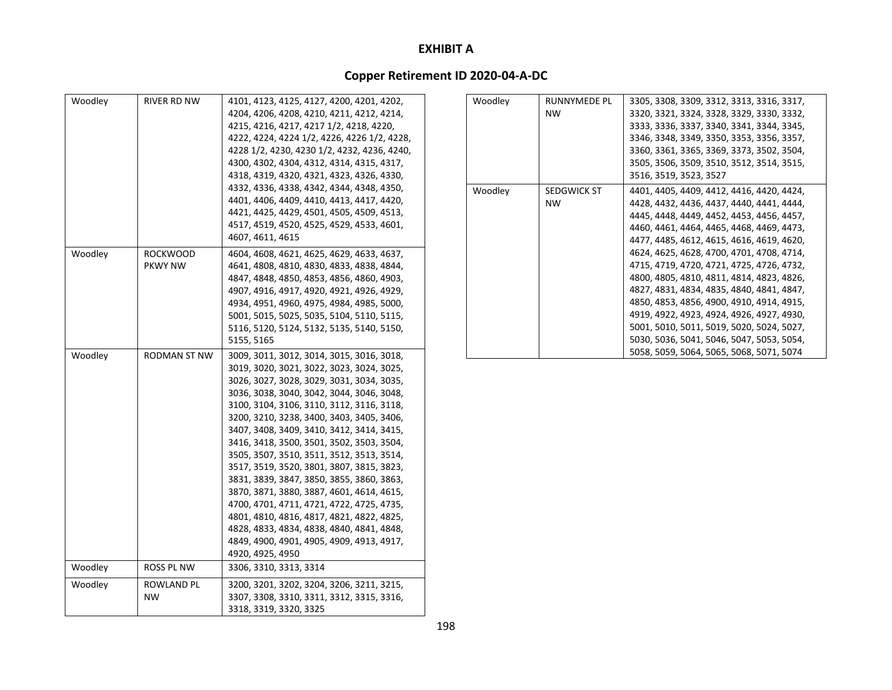| Woodley | <b>RIVER RD NW</b>  | 4101, 4123, 4125, 4127, 4200, 4201, 4202,   | Woodley | RUNNYMEDE PL       | 3305, 3308, 3309, 3312, 3313, 3316, 3317, |
|---------|---------------------|---------------------------------------------|---------|--------------------|-------------------------------------------|
|         |                     | 4204, 4206, 4208, 4210, 4211, 4212, 4214,   |         | <b>NW</b>          | 3320, 3321, 3324, 3328, 3329, 3330, 3332, |
|         |                     | 4215, 4216, 4217, 4217 1/2, 4218, 4220,     |         |                    | 3333, 3336, 3337, 3340, 3341, 3344, 3345, |
|         |                     | 4222, 4224, 4224 1/2, 4226, 4226 1/2, 4228, |         |                    | 3346, 3348, 3349, 3350, 3353, 3356, 3357, |
|         |                     | 4228 1/2, 4230, 4230 1/2, 4232, 4236, 4240, |         |                    | 3360, 3361, 3365, 3369, 3373, 3502, 3504, |
|         |                     | 4300, 4302, 4304, 4312, 4314, 4315, 4317,   |         |                    | 3505, 3506, 3509, 3510, 3512, 3514, 3515, |
|         |                     | 4318, 4319, 4320, 4321, 4323, 4326, 4330,   |         |                    | 3516, 3519, 3523, 3527                    |
|         |                     | 4332, 4336, 4338, 4342, 4344, 4348, 4350,   | Woodley | <b>SEDGWICK ST</b> | 4401, 4405, 4409, 4412, 4416, 4420, 4424, |
|         |                     | 4401, 4406, 4409, 4410, 4413, 4417, 4420,   |         | <b>NW</b>          | 4428, 4432, 4436, 4437, 4440, 4441, 4444, |
|         |                     | 4421, 4425, 4429, 4501, 4505, 4509, 4513,   |         |                    | 4445, 4448, 4449, 4452, 4453, 4456, 4457, |
|         |                     | 4517, 4519, 4520, 4525, 4529, 4533, 4601,   |         |                    | 4460, 4461, 4464, 4465, 4468, 4469, 4473, |
|         |                     | 4607, 4611, 4615                            |         |                    | 4477, 4485, 4612, 4615, 4616, 4619, 4620, |
| Woodley | <b>ROCKWOOD</b>     | 4604, 4608, 4621, 4625, 4629, 4633, 4637,   |         |                    | 4624, 4625, 4628, 4700, 4701, 4708, 4714, |
|         | <b>PKWY NW</b>      | 4641, 4808, 4810, 4830, 4833, 4838, 4844,   |         |                    | 4715, 4719, 4720, 4721, 4725, 4726, 4732, |
|         |                     | 4847, 4848, 4850, 4853, 4856, 4860, 4903,   |         |                    | 4800, 4805, 4810, 4811, 4814, 4823, 4826, |
|         |                     | 4907, 4916, 4917, 4920, 4921, 4926, 4929,   |         |                    | 4827, 4831, 4834, 4835, 4840, 4841, 4847, |
|         |                     | 4934, 4951, 4960, 4975, 4984, 4985, 5000,   |         |                    | 4850, 4853, 4856, 4900, 4910, 4914, 4915, |
|         |                     | 5001, 5015, 5025, 5035, 5104, 5110, 5115,   |         |                    | 4919, 4922, 4923, 4924, 4926, 4927, 4930, |
|         |                     | 5116, 5120, 5124, 5132, 5135, 5140, 5150,   |         |                    | 5001, 5010, 5011, 5019, 5020, 5024, 5027, |
|         |                     | 5155, 5165                                  |         |                    | 5030, 5036, 5041, 5046, 5047, 5053, 5054, |
| Woodley | <b>RODMAN ST NW</b> | 3009, 3011, 3012, 3014, 3015, 3016, 3018,   |         |                    | 5058, 5059, 5064, 5065, 5068, 5071, 5074  |
|         |                     | 3019, 3020, 3021, 3022, 3023, 3024, 3025,   |         |                    |                                           |
|         |                     | 3026, 3027, 3028, 3029, 3031, 3034, 3035,   |         |                    |                                           |
|         |                     | 3036, 3038, 3040, 3042, 3044, 3046, 3048,   |         |                    |                                           |
|         |                     | 3100, 3104, 3106, 3110, 3112, 3116, 3118,   |         |                    |                                           |
|         |                     | 3200, 3210, 3238, 3400, 3403, 3405, 3406,   |         |                    |                                           |
|         |                     | 3407, 3408, 3409, 3410, 3412, 3414, 3415,   |         |                    |                                           |
|         |                     | 3416, 3418, 3500, 3501, 3502, 3503, 3504,   |         |                    |                                           |
|         |                     | 3505, 3507, 3510, 3511, 3512, 3513, 3514,   |         |                    |                                           |
|         |                     | 3517, 3519, 3520, 3801, 3807, 3815, 3823,   |         |                    |                                           |
|         |                     | 3831, 3839, 3847, 3850, 3855, 3860, 3863,   |         |                    |                                           |
|         |                     | 3870, 3871, 3880, 3887, 4601, 4614, 4615,   |         |                    |                                           |
|         |                     | 4700, 4701, 4711, 4721, 4722, 4725, 4735,   |         |                    |                                           |
|         |                     | 4801, 4810, 4816, 4817, 4821, 4822, 4825,   |         |                    |                                           |
|         |                     | 4828, 4833, 4834, 4838, 4840, 4841, 4848,   |         |                    |                                           |
|         |                     | 4849, 4900, 4901, 4905, 4909, 4913, 4917,   |         |                    |                                           |
|         |                     | 4920, 4925, 4950                            |         |                    |                                           |
| Woodley | ROSS PL NW          | 3306, 3310, 3313, 3314                      |         |                    |                                           |
| Woodley | ROWLAND PL          | 3200, 3201, 3202, 3204, 3206, 3211, 3215,   |         |                    |                                           |
|         | <b>NW</b>           | 3307, 3308, 3310, 3311, 3312, 3315, 3316,   |         |                    |                                           |
|         |                     | 3318, 3319, 3320, 3325                      |         |                    |                                           |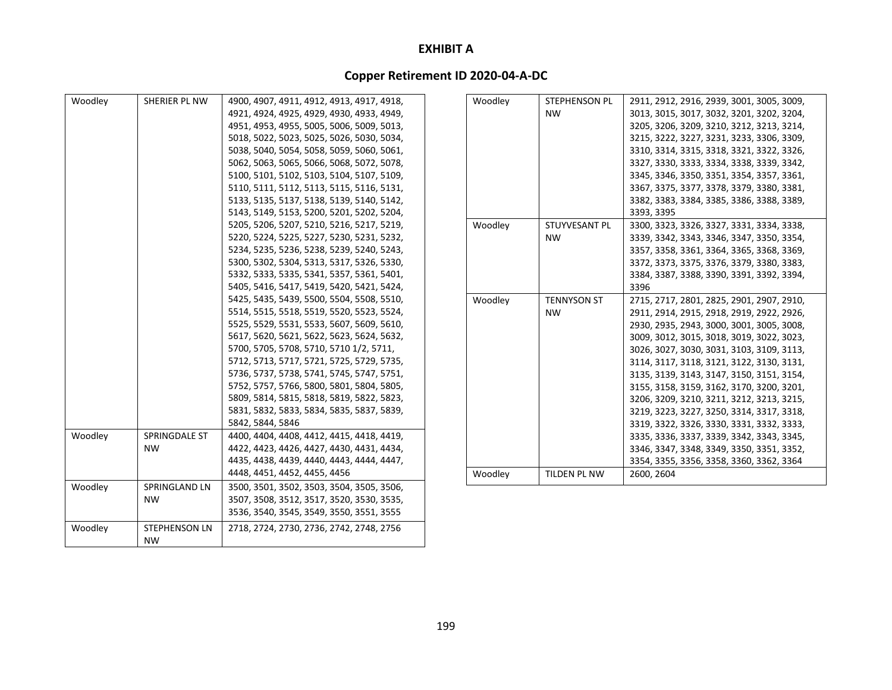| Woodley | SHERIER PL NW        | 4900, 4907, 4911, 4912, 4913, 4917, 4918, | Woodley | STEPHENSON PL      | 2911, 2912, 2916, 2939, 3001, 3005, 3009, |
|---------|----------------------|-------------------------------------------|---------|--------------------|-------------------------------------------|
|         |                      | 4921, 4924, 4925, 4929, 4930, 4933, 4949, |         | <b>NW</b>          | 3013, 3015, 3017, 3032, 3201, 3202, 3204, |
|         |                      | 4951, 4953, 4955, 5005, 5006, 5009, 5013, |         |                    | 3205, 3206, 3209, 3210, 3212, 3213, 3214, |
|         |                      | 5018, 5022, 5023, 5025, 5026, 5030, 5034, |         |                    | 3215, 3222, 3227, 3231, 3233, 3306, 3309, |
|         |                      | 5038, 5040, 5054, 5058, 5059, 5060, 5061, |         |                    | 3310, 3314, 3315, 3318, 3321, 3322, 3326, |
|         |                      | 5062, 5063, 5065, 5066, 5068, 5072, 5078, |         |                    | 3327, 3330, 3333, 3334, 3338, 3339, 3342, |
|         |                      | 5100, 5101, 5102, 5103, 5104, 5107, 5109, |         |                    | 3345, 3346, 3350, 3351, 3354, 3357, 3361, |
|         |                      | 5110, 5111, 5112, 5113, 5115, 5116, 5131, |         |                    | 3367, 3375, 3377, 3378, 3379, 3380, 3381, |
|         |                      | 5133, 5135, 5137, 5138, 5139, 5140, 5142, |         |                    | 3382, 3383, 3384, 3385, 3386, 3388, 3389, |
|         |                      | 5143, 5149, 5153, 5200, 5201, 5202, 5204, |         |                    | 3393, 3395                                |
|         |                      | 5205, 5206, 5207, 5210, 5216, 5217, 5219, | Woodley | STUYVESANT PL      | 3300, 3323, 3326, 3327, 3331, 3334, 3338, |
|         |                      | 5220, 5224, 5225, 5227, 5230, 5231, 5232, |         | <b>NW</b>          | 3339, 3342, 3343, 3346, 3347, 3350, 3354, |
|         |                      | 5234, 5235, 5236, 5238, 5239, 5240, 5243, |         |                    | 3357, 3358, 3361, 3364, 3365, 3368, 3369, |
|         |                      | 5300, 5302, 5304, 5313, 5317, 5326, 5330, |         |                    | 3372, 3373, 3375, 3376, 3379, 3380, 3383, |
|         |                      | 5332, 5333, 5335, 5341, 5357, 5361, 5401, |         |                    | 3384, 3387, 3388, 3390, 3391, 3392, 3394, |
|         |                      | 5405, 5416, 5417, 5419, 5420, 5421, 5424, |         |                    | 3396                                      |
|         |                      | 5425, 5435, 5439, 5500, 5504, 5508, 5510, | Woodley | <b>TENNYSON ST</b> | 2715, 2717, 2801, 2825, 2901, 2907, 2910, |
|         |                      | 5514, 5515, 5518, 5519, 5520, 5523, 5524, |         | NW.                | 2911, 2914, 2915, 2918, 2919, 2922, 2926, |
|         |                      | 5525, 5529, 5531, 5533, 5607, 5609, 5610, |         |                    | 2930, 2935, 2943, 3000, 3001, 3005, 3008, |
|         |                      | 5617, 5620, 5621, 5622, 5623, 5624, 5632, |         |                    | 3009, 3012, 3015, 3018, 3019, 3022, 3023, |
|         |                      | 5700, 5705, 5708, 5710, 5710 1/2, 5711,   |         |                    | 3026, 3027, 3030, 3031, 3103, 3109, 3113, |
|         |                      | 5712, 5713, 5717, 5721, 5725, 5729, 5735, |         |                    | 3114, 3117, 3118, 3121, 3122, 3130, 3131, |
|         |                      | 5736, 5737, 5738, 5741, 5745, 5747, 5751, |         |                    | 3135, 3139, 3143, 3147, 3150, 3151, 3154, |
|         |                      | 5752, 5757, 5766, 5800, 5801, 5804, 5805, |         |                    | 3155, 3158, 3159, 3162, 3170, 3200, 3201, |
|         |                      | 5809, 5814, 5815, 5818, 5819, 5822, 5823, |         |                    | 3206, 3209, 3210, 3211, 3212, 3213, 3215, |
|         |                      | 5831, 5832, 5833, 5834, 5835, 5837, 5839, |         |                    | 3219, 3223, 3227, 3250, 3314, 3317, 3318, |
|         |                      | 5842, 5844, 5846                          |         |                    | 3319, 3322, 3326, 3330, 3331, 3332, 3333, |
| Woodley | SPRINGDALE ST        | 4400, 4404, 4408, 4412, 4415, 4418, 4419, |         |                    | 3335, 3336, 3337, 3339, 3342, 3343, 3345, |
|         | <b>NW</b>            | 4422, 4423, 4426, 4427, 4430, 4431, 4434, |         |                    | 3346, 3347, 3348, 3349, 3350, 3351, 3352, |
|         |                      | 4435, 4438, 4439, 4440, 4443, 4444, 4447, |         |                    | 3354, 3355, 3356, 3358, 3360, 3362, 3364  |
|         |                      | 4448, 4451, 4452, 4455, 4456              | Woodley | TILDEN PL NW       | 2600, 2604                                |
| Woodley | SPRINGLAND LN        | 3500, 3501, 3502, 3503, 3504, 3505, 3506, |         |                    |                                           |
|         | <b>NW</b>            | 3507, 3508, 3512, 3517, 3520, 3530, 3535, |         |                    |                                           |
|         |                      | 3536, 3540, 3545, 3549, 3550, 3551, 3555  |         |                    |                                           |
| Woodley | <b>STEPHENSON LN</b> | 2718, 2724, 2730, 2736, 2742, 2748, 2756  |         |                    |                                           |
|         | <b>NW</b>            |                                           |         |                    |                                           |
|         |                      |                                           |         |                    |                                           |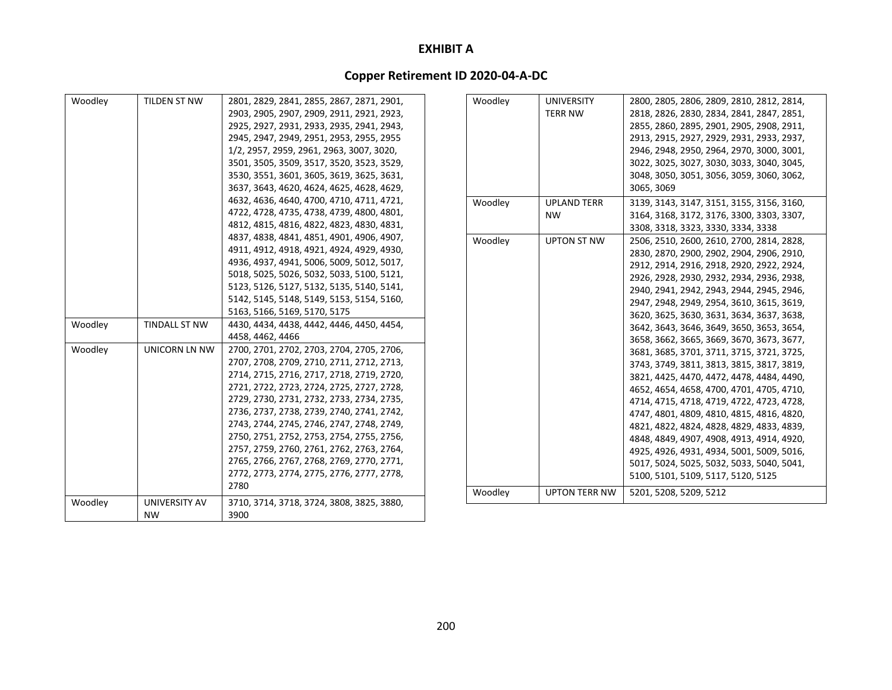| 2903, 2905, 2907, 2909, 2911, 2921, 2923,<br><b>TERR NW</b><br>2818, 2826, 2830, 2834, 2841, 2847, 2851,<br>2855, 2860, 2895, 2901, 2905, 2908, 2911,<br>2925, 2927, 2931, 2933, 2935, 2941, 2943,<br>2913, 2915, 2927, 2929, 2931, 2933, 2937,<br>2945, 2947, 2949, 2951, 2953, 2955, 2955<br>1/2, 2957, 2959, 2961, 2963, 3007, 3020,<br>2946, 2948, 2950, 2964, 2970, 3000, 3001,<br>3501, 3505, 3509, 3517, 3520, 3523, 3529,<br>3022, 3025, 3027, 3030, 3033, 3040, 3045,<br>3530, 3551, 3601, 3605, 3619, 3625, 3631,<br>3048, 3050, 3051, 3056, 3059, 3060, 3062,<br>3065, 3069<br>3637, 3643, 4620, 4624, 4625, 4628, 4629,<br>4632, 4636, 4640, 4700, 4710, 4711, 4721,<br>Woodley<br><b>UPLAND TERR</b><br>3139, 3143, 3147, 3151, 3155, 3156, 3160,<br>4722, 4728, 4735, 4738, 4739, 4800, 4801,<br>3164, 3168, 3172, 3176, 3300, 3303, 3307,<br><b>NW</b><br>4812, 4815, 4816, 4822, 4823, 4830, 4831,<br>3308, 3318, 3323, 3330, 3334, 3338<br>4837, 4838, 4841, 4851, 4901, 4906, 4907,<br>Woodley<br><b>UPTON ST NW</b><br>2506, 2510, 2600, 2610, 2700, 2814, 2828,<br>4911, 4912, 4918, 4921, 4924, 4929, 4930,<br>2830, 2870, 2900, 2902, 2904, 2906, 2910,<br>4936, 4937, 4941, 5006, 5009, 5012, 5017,<br>2912, 2914, 2916, 2918, 2920, 2922, 2924,<br>5018, 5025, 5026, 5032, 5033, 5100, 5121,<br>2926, 2928, 2930, 2932, 2934, 2936, 2938,<br>5123, 5126, 5127, 5132, 5135, 5140, 5141,<br>2940, 2941, 2942, 2943, 2944, 2945, 2946,<br>5142, 5145, 5148, 5149, 5153, 5154, 5160,<br>2947, 2948, 2949, 2954, 3610, 3615, 3619,<br>5163, 5166, 5169, 5170, 5175<br>3620, 3625, 3630, 3631, 3634, 3637, 3638,<br>Woodley<br><b>TINDALL ST NW</b><br>4430, 4434, 4438, 4442, 4446, 4450, 4454,<br>3642, 3643, 3646, 3649, 3650, 3653, 3654,<br>4458, 4462, 4466<br>3658, 3662, 3665, 3669, 3670, 3673, 3677,<br>UNICORN LN NW<br>Woodley<br>2700, 2701, 2702, 2703, 2704, 2705, 2706,<br>3681, 3685, 3701, 3711, 3715, 3721, 3725,<br>2707, 2708, 2709, 2710, 2711, 2712, 2713,<br>3743, 3749, 3811, 3813, 3815, 3817, 3819,<br>2714, 2715, 2716, 2717, 2718, 2719, 2720,<br>3821, 4425, 4470, 4472, 4478, 4484, 4490,<br>2721, 2722, 2723, 2724, 2725, 2727, 2728,<br>4652, 4654, 4658, 4700, 4701, 4705, 4710,<br>2729, 2730, 2731, 2732, 2733, 2734, 2735,<br>4714, 4715, 4718, 4719, 4722, 4723, 4728,<br>2736, 2737, 2738, 2739, 2740, 2741, 2742,<br>4747, 4801, 4809, 4810, 4815, 4816, 4820,<br>2743, 2744, 2745, 2746, 2747, 2748, 2749,<br>4821, 4822, 4824, 4828, 4829, 4833, 4839,<br>2750, 2751, 2752, 2753, 2754, 2755, 2756,<br>4848, 4849, 4907, 4908, 4913, 4914, 4920,<br>2757, 2759, 2760, 2761, 2762, 2763, 2764,<br>4925, 4926, 4931, 4934, 5001, 5009, 5016,<br>2765, 2766, 2767, 2768, 2769, 2770, 2771,<br>5017, 5024, 5025, 5032, 5033, 5040, 5041, | Woodley | TILDEN ST NW | 2801, 2829, 2841, 2855, 2867, 2871, 2901, | Woodley | <b>UNIVERSITY</b> | 2800, 2805, 2806, 2809, 2810, 2812, 2814, |
|--------------------------------------------------------------------------------------------------------------------------------------------------------------------------------------------------------------------------------------------------------------------------------------------------------------------------------------------------------------------------------------------------------------------------------------------------------------------------------------------------------------------------------------------------------------------------------------------------------------------------------------------------------------------------------------------------------------------------------------------------------------------------------------------------------------------------------------------------------------------------------------------------------------------------------------------------------------------------------------------------------------------------------------------------------------------------------------------------------------------------------------------------------------------------------------------------------------------------------------------------------------------------------------------------------------------------------------------------------------------------------------------------------------------------------------------------------------------------------------------------------------------------------------------------------------------------------------------------------------------------------------------------------------------------------------------------------------------------------------------------------------------------------------------------------------------------------------------------------------------------------------------------------------------------------------------------------------------------------------------------------------------------------------------------------------------------------------------------------------------------------------------------------------------------------------------------------------------------------------------------------------------------------------------------------------------------------------------------------------------------------------------------------------------------------------------------------------------------------------------------------------------------------------------------------------------------------------------------------------------------------------------------------------------------------------------------------------------------------------------------------------------------------------------------|---------|--------------|-------------------------------------------|---------|-------------------|-------------------------------------------|
|                                                                                                                                                                                                                                                                                                                                                                                                                                                                                                                                                                                                                                                                                                                                                                                                                                                                                                                                                                                                                                                                                                                                                                                                                                                                                                                                                                                                                                                                                                                                                                                                                                                                                                                                                                                                                                                                                                                                                                                                                                                                                                                                                                                                                                                                                                                                                                                                                                                                                                                                                                                                                                                                                                                                                                                                  |         |              |                                           |         |                   |                                           |
|                                                                                                                                                                                                                                                                                                                                                                                                                                                                                                                                                                                                                                                                                                                                                                                                                                                                                                                                                                                                                                                                                                                                                                                                                                                                                                                                                                                                                                                                                                                                                                                                                                                                                                                                                                                                                                                                                                                                                                                                                                                                                                                                                                                                                                                                                                                                                                                                                                                                                                                                                                                                                                                                                                                                                                                                  |         |              |                                           |         |                   |                                           |
|                                                                                                                                                                                                                                                                                                                                                                                                                                                                                                                                                                                                                                                                                                                                                                                                                                                                                                                                                                                                                                                                                                                                                                                                                                                                                                                                                                                                                                                                                                                                                                                                                                                                                                                                                                                                                                                                                                                                                                                                                                                                                                                                                                                                                                                                                                                                                                                                                                                                                                                                                                                                                                                                                                                                                                                                  |         |              |                                           |         |                   |                                           |
|                                                                                                                                                                                                                                                                                                                                                                                                                                                                                                                                                                                                                                                                                                                                                                                                                                                                                                                                                                                                                                                                                                                                                                                                                                                                                                                                                                                                                                                                                                                                                                                                                                                                                                                                                                                                                                                                                                                                                                                                                                                                                                                                                                                                                                                                                                                                                                                                                                                                                                                                                                                                                                                                                                                                                                                                  |         |              |                                           |         |                   |                                           |
|                                                                                                                                                                                                                                                                                                                                                                                                                                                                                                                                                                                                                                                                                                                                                                                                                                                                                                                                                                                                                                                                                                                                                                                                                                                                                                                                                                                                                                                                                                                                                                                                                                                                                                                                                                                                                                                                                                                                                                                                                                                                                                                                                                                                                                                                                                                                                                                                                                                                                                                                                                                                                                                                                                                                                                                                  |         |              |                                           |         |                   |                                           |
|                                                                                                                                                                                                                                                                                                                                                                                                                                                                                                                                                                                                                                                                                                                                                                                                                                                                                                                                                                                                                                                                                                                                                                                                                                                                                                                                                                                                                                                                                                                                                                                                                                                                                                                                                                                                                                                                                                                                                                                                                                                                                                                                                                                                                                                                                                                                                                                                                                                                                                                                                                                                                                                                                                                                                                                                  |         |              |                                           |         |                   |                                           |
|                                                                                                                                                                                                                                                                                                                                                                                                                                                                                                                                                                                                                                                                                                                                                                                                                                                                                                                                                                                                                                                                                                                                                                                                                                                                                                                                                                                                                                                                                                                                                                                                                                                                                                                                                                                                                                                                                                                                                                                                                                                                                                                                                                                                                                                                                                                                                                                                                                                                                                                                                                                                                                                                                                                                                                                                  |         |              |                                           |         |                   |                                           |
|                                                                                                                                                                                                                                                                                                                                                                                                                                                                                                                                                                                                                                                                                                                                                                                                                                                                                                                                                                                                                                                                                                                                                                                                                                                                                                                                                                                                                                                                                                                                                                                                                                                                                                                                                                                                                                                                                                                                                                                                                                                                                                                                                                                                                                                                                                                                                                                                                                                                                                                                                                                                                                                                                                                                                                                                  |         |              |                                           |         |                   |                                           |
|                                                                                                                                                                                                                                                                                                                                                                                                                                                                                                                                                                                                                                                                                                                                                                                                                                                                                                                                                                                                                                                                                                                                                                                                                                                                                                                                                                                                                                                                                                                                                                                                                                                                                                                                                                                                                                                                                                                                                                                                                                                                                                                                                                                                                                                                                                                                                                                                                                                                                                                                                                                                                                                                                                                                                                                                  |         |              |                                           |         |                   |                                           |
|                                                                                                                                                                                                                                                                                                                                                                                                                                                                                                                                                                                                                                                                                                                                                                                                                                                                                                                                                                                                                                                                                                                                                                                                                                                                                                                                                                                                                                                                                                                                                                                                                                                                                                                                                                                                                                                                                                                                                                                                                                                                                                                                                                                                                                                                                                                                                                                                                                                                                                                                                                                                                                                                                                                                                                                                  |         |              |                                           |         |                   |                                           |
|                                                                                                                                                                                                                                                                                                                                                                                                                                                                                                                                                                                                                                                                                                                                                                                                                                                                                                                                                                                                                                                                                                                                                                                                                                                                                                                                                                                                                                                                                                                                                                                                                                                                                                                                                                                                                                                                                                                                                                                                                                                                                                                                                                                                                                                                                                                                                                                                                                                                                                                                                                                                                                                                                                                                                                                                  |         |              |                                           |         |                   |                                           |
|                                                                                                                                                                                                                                                                                                                                                                                                                                                                                                                                                                                                                                                                                                                                                                                                                                                                                                                                                                                                                                                                                                                                                                                                                                                                                                                                                                                                                                                                                                                                                                                                                                                                                                                                                                                                                                                                                                                                                                                                                                                                                                                                                                                                                                                                                                                                                                                                                                                                                                                                                                                                                                                                                                                                                                                                  |         |              |                                           |         |                   |                                           |
|                                                                                                                                                                                                                                                                                                                                                                                                                                                                                                                                                                                                                                                                                                                                                                                                                                                                                                                                                                                                                                                                                                                                                                                                                                                                                                                                                                                                                                                                                                                                                                                                                                                                                                                                                                                                                                                                                                                                                                                                                                                                                                                                                                                                                                                                                                                                                                                                                                                                                                                                                                                                                                                                                                                                                                                                  |         |              |                                           |         |                   |                                           |
|                                                                                                                                                                                                                                                                                                                                                                                                                                                                                                                                                                                                                                                                                                                                                                                                                                                                                                                                                                                                                                                                                                                                                                                                                                                                                                                                                                                                                                                                                                                                                                                                                                                                                                                                                                                                                                                                                                                                                                                                                                                                                                                                                                                                                                                                                                                                                                                                                                                                                                                                                                                                                                                                                                                                                                                                  |         |              |                                           |         |                   |                                           |
|                                                                                                                                                                                                                                                                                                                                                                                                                                                                                                                                                                                                                                                                                                                                                                                                                                                                                                                                                                                                                                                                                                                                                                                                                                                                                                                                                                                                                                                                                                                                                                                                                                                                                                                                                                                                                                                                                                                                                                                                                                                                                                                                                                                                                                                                                                                                                                                                                                                                                                                                                                                                                                                                                                                                                                                                  |         |              |                                           |         |                   |                                           |
|                                                                                                                                                                                                                                                                                                                                                                                                                                                                                                                                                                                                                                                                                                                                                                                                                                                                                                                                                                                                                                                                                                                                                                                                                                                                                                                                                                                                                                                                                                                                                                                                                                                                                                                                                                                                                                                                                                                                                                                                                                                                                                                                                                                                                                                                                                                                                                                                                                                                                                                                                                                                                                                                                                                                                                                                  |         |              |                                           |         |                   |                                           |
|                                                                                                                                                                                                                                                                                                                                                                                                                                                                                                                                                                                                                                                                                                                                                                                                                                                                                                                                                                                                                                                                                                                                                                                                                                                                                                                                                                                                                                                                                                                                                                                                                                                                                                                                                                                                                                                                                                                                                                                                                                                                                                                                                                                                                                                                                                                                                                                                                                                                                                                                                                                                                                                                                                                                                                                                  |         |              |                                           |         |                   |                                           |
|                                                                                                                                                                                                                                                                                                                                                                                                                                                                                                                                                                                                                                                                                                                                                                                                                                                                                                                                                                                                                                                                                                                                                                                                                                                                                                                                                                                                                                                                                                                                                                                                                                                                                                                                                                                                                                                                                                                                                                                                                                                                                                                                                                                                                                                                                                                                                                                                                                                                                                                                                                                                                                                                                                                                                                                                  |         |              |                                           |         |                   |                                           |
|                                                                                                                                                                                                                                                                                                                                                                                                                                                                                                                                                                                                                                                                                                                                                                                                                                                                                                                                                                                                                                                                                                                                                                                                                                                                                                                                                                                                                                                                                                                                                                                                                                                                                                                                                                                                                                                                                                                                                                                                                                                                                                                                                                                                                                                                                                                                                                                                                                                                                                                                                                                                                                                                                                                                                                                                  |         |              |                                           |         |                   |                                           |
|                                                                                                                                                                                                                                                                                                                                                                                                                                                                                                                                                                                                                                                                                                                                                                                                                                                                                                                                                                                                                                                                                                                                                                                                                                                                                                                                                                                                                                                                                                                                                                                                                                                                                                                                                                                                                                                                                                                                                                                                                                                                                                                                                                                                                                                                                                                                                                                                                                                                                                                                                                                                                                                                                                                                                                                                  |         |              |                                           |         |                   |                                           |
|                                                                                                                                                                                                                                                                                                                                                                                                                                                                                                                                                                                                                                                                                                                                                                                                                                                                                                                                                                                                                                                                                                                                                                                                                                                                                                                                                                                                                                                                                                                                                                                                                                                                                                                                                                                                                                                                                                                                                                                                                                                                                                                                                                                                                                                                                                                                                                                                                                                                                                                                                                                                                                                                                                                                                                                                  |         |              |                                           |         |                   |                                           |
|                                                                                                                                                                                                                                                                                                                                                                                                                                                                                                                                                                                                                                                                                                                                                                                                                                                                                                                                                                                                                                                                                                                                                                                                                                                                                                                                                                                                                                                                                                                                                                                                                                                                                                                                                                                                                                                                                                                                                                                                                                                                                                                                                                                                                                                                                                                                                                                                                                                                                                                                                                                                                                                                                                                                                                                                  |         |              |                                           |         |                   |                                           |
|                                                                                                                                                                                                                                                                                                                                                                                                                                                                                                                                                                                                                                                                                                                                                                                                                                                                                                                                                                                                                                                                                                                                                                                                                                                                                                                                                                                                                                                                                                                                                                                                                                                                                                                                                                                                                                                                                                                                                                                                                                                                                                                                                                                                                                                                                                                                                                                                                                                                                                                                                                                                                                                                                                                                                                                                  |         |              |                                           |         |                   |                                           |
|                                                                                                                                                                                                                                                                                                                                                                                                                                                                                                                                                                                                                                                                                                                                                                                                                                                                                                                                                                                                                                                                                                                                                                                                                                                                                                                                                                                                                                                                                                                                                                                                                                                                                                                                                                                                                                                                                                                                                                                                                                                                                                                                                                                                                                                                                                                                                                                                                                                                                                                                                                                                                                                                                                                                                                                                  |         |              |                                           |         |                   |                                           |
|                                                                                                                                                                                                                                                                                                                                                                                                                                                                                                                                                                                                                                                                                                                                                                                                                                                                                                                                                                                                                                                                                                                                                                                                                                                                                                                                                                                                                                                                                                                                                                                                                                                                                                                                                                                                                                                                                                                                                                                                                                                                                                                                                                                                                                                                                                                                                                                                                                                                                                                                                                                                                                                                                                                                                                                                  |         |              |                                           |         |                   |                                           |
|                                                                                                                                                                                                                                                                                                                                                                                                                                                                                                                                                                                                                                                                                                                                                                                                                                                                                                                                                                                                                                                                                                                                                                                                                                                                                                                                                                                                                                                                                                                                                                                                                                                                                                                                                                                                                                                                                                                                                                                                                                                                                                                                                                                                                                                                                                                                                                                                                                                                                                                                                                                                                                                                                                                                                                                                  |         |              |                                           |         |                   |                                           |
|                                                                                                                                                                                                                                                                                                                                                                                                                                                                                                                                                                                                                                                                                                                                                                                                                                                                                                                                                                                                                                                                                                                                                                                                                                                                                                                                                                                                                                                                                                                                                                                                                                                                                                                                                                                                                                                                                                                                                                                                                                                                                                                                                                                                                                                                                                                                                                                                                                                                                                                                                                                                                                                                                                                                                                                                  |         |              |                                           |         |                   |                                           |
|                                                                                                                                                                                                                                                                                                                                                                                                                                                                                                                                                                                                                                                                                                                                                                                                                                                                                                                                                                                                                                                                                                                                                                                                                                                                                                                                                                                                                                                                                                                                                                                                                                                                                                                                                                                                                                                                                                                                                                                                                                                                                                                                                                                                                                                                                                                                                                                                                                                                                                                                                                                                                                                                                                                                                                                                  |         |              |                                           |         |                   |                                           |
|                                                                                                                                                                                                                                                                                                                                                                                                                                                                                                                                                                                                                                                                                                                                                                                                                                                                                                                                                                                                                                                                                                                                                                                                                                                                                                                                                                                                                                                                                                                                                                                                                                                                                                                                                                                                                                                                                                                                                                                                                                                                                                                                                                                                                                                                                                                                                                                                                                                                                                                                                                                                                                                                                                                                                                                                  |         |              |                                           |         |                   |                                           |
|                                                                                                                                                                                                                                                                                                                                                                                                                                                                                                                                                                                                                                                                                                                                                                                                                                                                                                                                                                                                                                                                                                                                                                                                                                                                                                                                                                                                                                                                                                                                                                                                                                                                                                                                                                                                                                                                                                                                                                                                                                                                                                                                                                                                                                                                                                                                                                                                                                                                                                                                                                                                                                                                                                                                                                                                  |         |              | 2772, 2773, 2774, 2775, 2776, 2777, 2778, |         |                   | 5100, 5101, 5109, 5117, 5120, 5125        |
| 2780<br>Woodley<br><b>UPTON TERR NW</b><br>5201, 5208, 5209, 5212                                                                                                                                                                                                                                                                                                                                                                                                                                                                                                                                                                                                                                                                                                                                                                                                                                                                                                                                                                                                                                                                                                                                                                                                                                                                                                                                                                                                                                                                                                                                                                                                                                                                                                                                                                                                                                                                                                                                                                                                                                                                                                                                                                                                                                                                                                                                                                                                                                                                                                                                                                                                                                                                                                                                |         |              |                                           |         |                   |                                           |
| Woodley<br>UNIVERSITY AV<br>3710, 3714, 3718, 3724, 3808, 3825, 3880,                                                                                                                                                                                                                                                                                                                                                                                                                                                                                                                                                                                                                                                                                                                                                                                                                                                                                                                                                                                                                                                                                                                                                                                                                                                                                                                                                                                                                                                                                                                                                                                                                                                                                                                                                                                                                                                                                                                                                                                                                                                                                                                                                                                                                                                                                                                                                                                                                                                                                                                                                                                                                                                                                                                            |         |              |                                           |         |                   |                                           |
| 3900<br><b>NW</b>                                                                                                                                                                                                                                                                                                                                                                                                                                                                                                                                                                                                                                                                                                                                                                                                                                                                                                                                                                                                                                                                                                                                                                                                                                                                                                                                                                                                                                                                                                                                                                                                                                                                                                                                                                                                                                                                                                                                                                                                                                                                                                                                                                                                                                                                                                                                                                                                                                                                                                                                                                                                                                                                                                                                                                                |         |              |                                           |         |                   |                                           |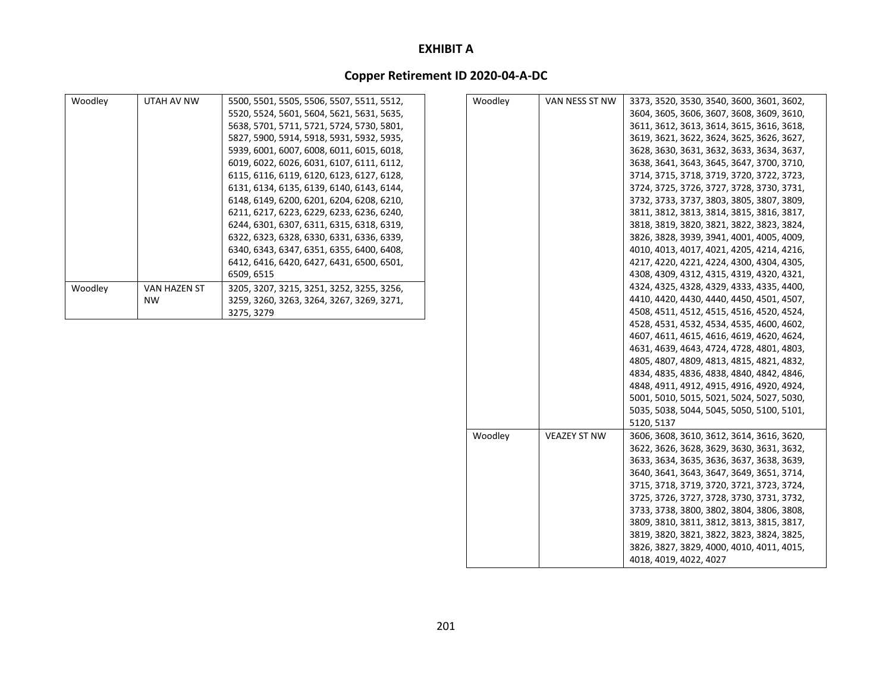### **Copper Retirement ID 2020‐04‐A‐DC**

| Woodley | UTAH AV NW          | 5500, 5501, 5505, 5506, 5507, 5511, 5512, | Woodley | VAN NESS ST NW      | 3373, 3520, 3530, 3540, 3600, 3601, 3602, |
|---------|---------------------|-------------------------------------------|---------|---------------------|-------------------------------------------|
|         |                     | 5520, 5524, 5601, 5604, 5621, 5631, 5635, |         |                     | 3604, 3605, 3606, 3607, 3608, 3609, 3610, |
|         |                     | 5638, 5701, 5711, 5721, 5724, 5730, 5801, |         |                     | 3611, 3612, 3613, 3614, 3615, 3616, 3618, |
|         |                     | 5827, 5900, 5914, 5918, 5931, 5932, 5935, |         |                     | 3619, 3621, 3622, 3624, 3625, 3626, 3627, |
|         |                     | 5939, 6001, 6007, 6008, 6011, 6015, 6018, |         |                     | 3628, 3630, 3631, 3632, 3633, 3634, 3637, |
|         |                     | 6019, 6022, 6026, 6031, 6107, 6111, 6112, |         |                     | 3638, 3641, 3643, 3645, 3647, 3700, 3710, |
|         |                     | 6115, 6116, 6119, 6120, 6123, 6127, 6128, |         |                     | 3714, 3715, 3718, 3719, 3720, 3722, 3723, |
|         |                     | 6131, 6134, 6135, 6139, 6140, 6143, 6144, |         |                     | 3724, 3725, 3726, 3727, 3728, 3730, 3731, |
|         |                     | 6148, 6149, 6200, 6201, 6204, 6208, 6210, |         |                     | 3732, 3733, 3737, 3803, 3805, 3807, 3809, |
|         |                     | 6211, 6217, 6223, 6229, 6233, 6236, 6240, |         |                     | 3811, 3812, 3813, 3814, 3815, 3816, 3817, |
|         |                     | 6244, 6301, 6307, 6311, 6315, 6318, 6319, |         |                     | 3818, 3819, 3820, 3821, 3822, 3823, 3824, |
|         |                     | 6322, 6323, 6328, 6330, 6331, 6336, 6339, |         |                     | 3826, 3828, 3939, 3941, 4001, 4005, 4009, |
|         |                     | 6340, 6343, 6347, 6351, 6355, 6400, 6408, |         |                     | 4010, 4013, 4017, 4021, 4205, 4214, 4216, |
|         |                     | 6412, 6416, 6420, 6427, 6431, 6500, 6501, |         |                     | 4217, 4220, 4221, 4224, 4300, 4304, 4305, |
|         |                     | 6509, 6515                                |         |                     | 4308, 4309, 4312, 4315, 4319, 4320, 4321, |
| Woodley | <b>VAN HAZEN ST</b> | 3205, 3207, 3215, 3251, 3252, 3255, 3256, |         |                     | 4324, 4325, 4328, 4329, 4333, 4335, 4400, |
|         | <b>NW</b>           | 3259, 3260, 3263, 3264, 3267, 3269, 3271, |         |                     | 4410, 4420, 4430, 4440, 4450, 4501, 4507, |
|         |                     | 3275, 3279                                |         |                     | 4508, 4511, 4512, 4515, 4516, 4520, 4524, |
|         |                     |                                           |         |                     | 4528, 4531, 4532, 4534, 4535, 4600, 4602, |
|         |                     |                                           |         |                     | 4607, 4611, 4615, 4616, 4619, 4620, 4624, |
|         |                     |                                           |         |                     | 4631, 4639, 4643, 4724, 4728, 4801, 4803, |
|         |                     |                                           |         |                     | 4805, 4807, 4809, 4813, 4815, 4821, 4832, |
|         |                     |                                           |         |                     | 4834, 4835, 4836, 4838, 4840, 4842, 4846, |
|         |                     |                                           |         |                     | 4848, 4911, 4912, 4915, 4916, 4920, 4924, |
|         |                     |                                           |         |                     | 5001, 5010, 5015, 5021, 5024, 5027, 5030, |
|         |                     |                                           |         |                     | 5035, 5038, 5044, 5045, 5050, 5100, 5101, |
|         |                     |                                           |         |                     | 5120, 5137                                |
|         |                     |                                           | Woodley | <b>VEAZEY ST NW</b> | 3606, 3608, 3610, 3612, 3614, 3616, 3620, |
|         |                     |                                           |         |                     | 3622, 3626, 3628, 3629, 3630, 3631, 3632, |
|         |                     |                                           |         |                     | 3633, 3634, 3635, 3636, 3637, 3638, 3639, |
|         |                     |                                           |         |                     | 3640, 3641, 3643, 3647, 3649, 3651, 3714, |
|         |                     |                                           |         |                     | 3715, 3718, 3719, 3720, 3721, 3723, 3724, |
|         |                     |                                           |         |                     | 3725, 3726, 3727, 3728, 3730, 3731, 3732, |
|         |                     |                                           |         |                     | 3733, 3738, 3800, 3802, 3804, 3806, 3808, |

3809, 3810, 3811, 3812, 3813, 3815, 3817, 3819, 3820, 3821, 3822, 3823, 3824, 3825, 3826, 3827, 3829, 4000, 4010, 4011, 4015,

4018, 4019, 4022, 4027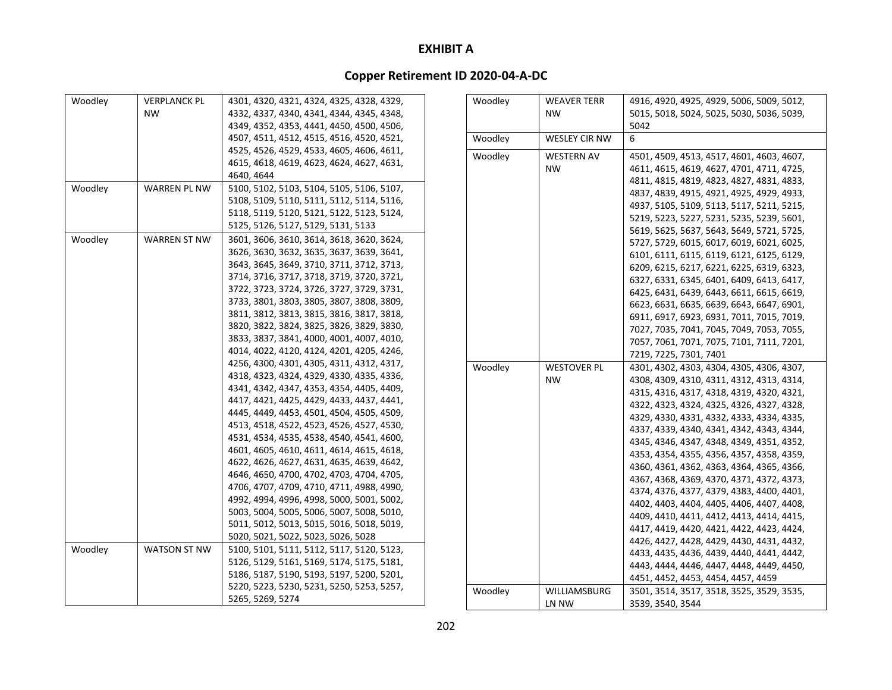| Woodley                                                                                                                      | <b>VERPLANCK PL</b> | 4301, 4320, 4321, 4324, 4325, 4328, 4329, |  | Woodley                                   | <b>WEAVER TERR</b>                        | 4916, 4920, 4925, 4929, 5006, 5009, 5012, |
|------------------------------------------------------------------------------------------------------------------------------|---------------------|-------------------------------------------|--|-------------------------------------------|-------------------------------------------|-------------------------------------------|
|                                                                                                                              | <b>NW</b>           | 4332, 4337, 4340, 4341, 4344, 4345, 4348, |  |                                           | <b>NW</b>                                 | 5015, 5018, 5024, 5025, 5030, 5036, 5039, |
|                                                                                                                              |                     | 4349, 4352, 4353, 4441, 4450, 4500, 4506, |  |                                           |                                           | 5042                                      |
|                                                                                                                              |                     | 4507, 4511, 4512, 4515, 4516, 4520, 4521, |  | Woodley                                   | <b>WESLEY CIR NW</b>                      | 6                                         |
|                                                                                                                              |                     | 4525, 4526, 4529, 4533, 4605, 4606, 4611, |  | Woodley                                   | <b>WESTERN AV</b>                         | 4501, 4509, 4513, 4517, 4601, 4603, 4607, |
|                                                                                                                              |                     | 4615, 4618, 4619, 4623, 4624, 4627, 4631, |  |                                           | <b>NW</b>                                 | 4611, 4615, 4619, 4627, 4701, 4711, 4725, |
|                                                                                                                              |                     | 4640, 4644                                |  |                                           |                                           | 4811, 4815, 4819, 4823, 4827, 4831, 4833, |
| Woodley                                                                                                                      | <b>WARREN PL NW</b> | 5100, 5102, 5103, 5104, 5105, 5106, 5107, |  |                                           |                                           | 4837, 4839, 4915, 4921, 4925, 4929, 4933, |
|                                                                                                                              |                     | 5108, 5109, 5110, 5111, 5112, 5114, 5116, |  |                                           |                                           | 4937, 5105, 5109, 5113, 5117, 5211, 5215, |
|                                                                                                                              |                     | 5118, 5119, 5120, 5121, 5122, 5123, 5124, |  |                                           |                                           | 5219, 5223, 5227, 5231, 5235, 5239, 5601, |
|                                                                                                                              |                     | 5125, 5126, 5127, 5129, 5131, 5133        |  |                                           |                                           | 5619, 5625, 5637, 5643, 5649, 5721, 5725, |
| Woodley                                                                                                                      | <b>WARREN ST NW</b> | 3601, 3606, 3610, 3614, 3618, 3620, 3624, |  |                                           |                                           | 5727, 5729, 6015, 6017, 6019, 6021, 6025, |
|                                                                                                                              |                     | 3626, 3630, 3632, 3635, 3637, 3639, 3641, |  |                                           |                                           | 6101, 6111, 6115, 6119, 6121, 6125, 6129, |
|                                                                                                                              |                     | 3643, 3645, 3649, 3710, 3711, 3712, 3713, |  |                                           |                                           | 6209, 6215, 6217, 6221, 6225, 6319, 6323, |
|                                                                                                                              |                     | 3714, 3716, 3717, 3718, 3719, 3720, 3721, |  |                                           |                                           | 6327, 6331, 6345, 6401, 6409, 6413, 6417, |
|                                                                                                                              |                     | 3722, 3723, 3724, 3726, 3727, 3729, 3731, |  |                                           |                                           | 6425, 6431, 6439, 6443, 6611, 6615, 6619, |
|                                                                                                                              |                     | 3733, 3801, 3803, 3805, 3807, 3808, 3809, |  |                                           |                                           | 6623, 6631, 6635, 6639, 6643, 6647, 6901, |
|                                                                                                                              |                     | 3811, 3812, 3813, 3815, 3816, 3817, 3818, |  |                                           |                                           | 6911, 6917, 6923, 6931, 7011, 7015, 7019, |
|                                                                                                                              |                     | 3820, 3822, 3824, 3825, 3826, 3829, 3830, |  |                                           |                                           | 7027, 7035, 7041, 7045, 7049, 7053, 7055, |
|                                                                                                                              |                     | 3833, 3837, 3841, 4000, 4001, 4007, 4010, |  |                                           |                                           | 7057, 7061, 7071, 7075, 7101, 7111, 7201, |
|                                                                                                                              |                     | 4014, 4022, 4120, 4124, 4201, 4205, 4246, |  |                                           |                                           | 7219, 7225, 7301, 7401                    |
|                                                                                                                              |                     | 4256, 4300, 4301, 4305, 4311, 4312, 4317, |  | Woodley                                   | <b>WESTOVER PL</b>                        | 4301, 4302, 4303, 4304, 4305, 4306, 4307, |
|                                                                                                                              |                     | 4318, 4323, 4324, 4329, 4330, 4335, 4336, |  |                                           | <b>NW</b>                                 | 4308, 4309, 4310, 4311, 4312, 4313, 4314, |
|                                                                                                                              |                     | 4341, 4342, 4347, 4353, 4354, 4405, 4409, |  |                                           |                                           | 4315, 4316, 4317, 4318, 4319, 4320, 4321, |
|                                                                                                                              |                     | 4417, 4421, 4425, 4429, 4433, 4437, 4441, |  |                                           |                                           | 4322, 4323, 4324, 4325, 4326, 4327, 4328, |
|                                                                                                                              |                     | 4445, 4449, 4453, 4501, 4504, 4505, 4509, |  |                                           |                                           | 4329, 4330, 4331, 4332, 4333, 4334, 4335, |
|                                                                                                                              |                     | 4513, 4518, 4522, 4523, 4526, 4527, 4530, |  |                                           |                                           | 4337, 4339, 4340, 4341, 4342, 4343, 4344, |
|                                                                                                                              |                     | 4531, 4534, 4535, 4538, 4540, 4541, 4600, |  |                                           |                                           | 4345, 4346, 4347, 4348, 4349, 4351, 4352, |
|                                                                                                                              |                     | 4601, 4605, 4610, 4611, 4614, 4615, 4618, |  |                                           |                                           |                                           |
|                                                                                                                              |                     | 4622, 4626, 4627, 4631, 4635, 4639, 4642, |  |                                           |                                           | 4353, 4354, 4355, 4356, 4357, 4358, 4359, |
|                                                                                                                              |                     | 4646, 4650, 4700, 4702, 4703, 4704, 4705, |  |                                           |                                           | 4360, 4361, 4362, 4363, 4364, 4365, 4366, |
|                                                                                                                              |                     | 4706, 4707, 4709, 4710, 4711, 4988, 4990, |  |                                           |                                           | 4367, 4368, 4369, 4370, 4371, 4372, 4373, |
|                                                                                                                              |                     | 4992, 4994, 4996, 4998, 5000, 5001, 5002, |  |                                           |                                           | 4374, 4376, 4377, 4379, 4383, 4400, 4401, |
| 5003, 5004, 5005, 5006, 5007, 5008, 5010,<br>5011, 5012, 5013, 5015, 5016, 5018, 5019,<br>5020, 5021, 5022, 5023, 5026, 5028 |                     |                                           |  | 4402, 4403, 4404, 4405, 4406, 4407, 4408, |                                           |                                           |
|                                                                                                                              |                     |                                           |  | 4409, 4410, 4411, 4412, 4413, 4414, 4415, |                                           |                                           |
|                                                                                                                              |                     |                                           |  |                                           | 4417, 4419, 4420, 4421, 4422, 4423, 4424, |                                           |
| Woodley                                                                                                                      | WATSON ST NW        | 5100, 5101, 5111, 5112, 5117, 5120, 5123, |  |                                           |                                           | 4426, 4427, 4428, 4429, 4430, 4431, 4432, |
|                                                                                                                              |                     | 5126, 5129, 5161, 5169, 5174, 5175, 5181, |  |                                           |                                           | 4433, 4435, 4436, 4439, 4440, 4441, 4442, |
|                                                                                                                              |                     | 5186, 5187, 5190, 5193, 5197, 5200, 5201, |  |                                           |                                           | 4443, 4444, 4446, 4447, 4448, 4449, 4450, |
|                                                                                                                              |                     | 5220, 5223, 5230, 5231, 5250, 5253, 5257, |  |                                           |                                           | 4451, 4452, 4453, 4454, 4457, 4459        |
|                                                                                                                              |                     | 5265, 5269, 5274                          |  | Woodley                                   | WILLIAMSBURG                              | 3501, 3514, 3517, 3518, 3525, 3529, 3535, |
|                                                                                                                              |                     |                                           |  |                                           | LN NW                                     | 3539, 3540, 3544                          |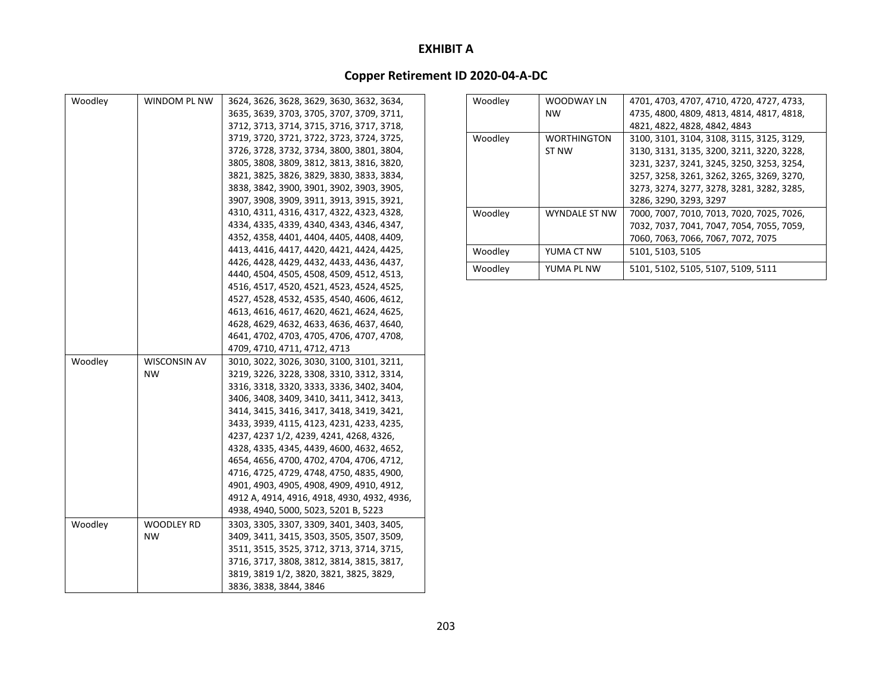| Woodley | WINDOM PL NW        | 3624, 3626, 3628, 3629, 3630, 3632, 3634,   |
|---------|---------------------|---------------------------------------------|
|         |                     | 3635, 3639, 3703, 3705, 3707, 3709, 3711,   |
|         |                     | 3712, 3713, 3714, 3715, 3716, 3717, 3718,   |
|         |                     | 3719, 3720, 3721, 3722, 3723, 3724, 3725,   |
|         |                     | 3726, 3728, 3732, 3734, 3800, 3801, 3804,   |
|         |                     | 3805, 3808, 3809, 3812, 3813, 3816, 3820,   |
|         |                     | 3821, 3825, 3826, 3829, 3830, 3833, 3834,   |
|         |                     | 3838, 3842, 3900, 3901, 3902, 3903, 3905,   |
|         |                     | 3907, 3908, 3909, 3911, 3913, 3915, 3921,   |
|         |                     | 4310, 4311, 4316, 4317, 4322, 4323, 4328,   |
|         |                     | 4334, 4335, 4339, 4340, 4343, 4346, 4347,   |
|         |                     | 4352, 4358, 4401, 4404, 4405, 4408, 4409,   |
|         |                     | 4413, 4416, 4417, 4420, 4421, 4424, 4425,   |
|         |                     | 4426, 4428, 4429, 4432, 4433, 4436, 4437,   |
|         |                     | 4440, 4504, 4505, 4508, 4509, 4512, 4513,   |
|         |                     | 4516, 4517, 4520, 4521, 4523, 4524, 4525,   |
|         |                     | 4527, 4528, 4532, 4535, 4540, 4606, 4612,   |
|         |                     | 4613, 4616, 4617, 4620, 4621, 4624, 4625,   |
|         |                     | 4628, 4629, 4632, 4633, 4636, 4637, 4640,   |
|         |                     | 4641, 4702, 4703, 4705, 4706, 4707, 4708,   |
|         |                     | 4709, 4710, 4711, 4712, 4713                |
| Woodley | <b>WISCONSIN AV</b> | 3010, 3022, 3026, 3030, 3100, 3101, 3211,   |
|         | <b>NW</b>           | 3219, 3226, 3228, 3308, 3310, 3312, 3314,   |
|         |                     | 3316, 3318, 3320, 3333, 3336, 3402, 3404,   |
|         |                     | 3406, 3408, 3409, 3410, 3411, 3412, 3413,   |
|         |                     | 3414, 3415, 3416, 3417, 3418, 3419, 3421,   |
|         |                     | 3433, 3939, 4115, 4123, 4231, 4233, 4235,   |
|         |                     | 4237, 4237 1/2, 4239, 4241, 4268, 4326,     |
|         |                     | 4328, 4335, 4345, 4439, 4600, 4632, 4652,   |
|         |                     | 4654, 4656, 4700, 4702, 4704, 4706, 4712,   |
|         |                     | 4716, 4725, 4729, 4748, 4750, 4835, 4900,   |
|         |                     | 4901, 4903, 4905, 4908, 4909, 4910, 4912,   |
|         |                     | 4912 A, 4914, 4916, 4918, 4930, 4932, 4936, |
|         |                     | 4938, 4940, 5000, 5023, 5201 B, 5223        |
| Woodley | <b>WOODLEY RD</b>   | 3303, 3305, 3307, 3309, 3401, 3403, 3405,   |
|         | <b>NW</b>           | 3409, 3411, 3415, 3503, 3505, 3507, 3509,   |
|         |                     | 3511, 3515, 3525, 3712, 3713, 3714, 3715,   |
|         |                     | 3716, 3717, 3808, 3812, 3814, 3815, 3817,   |
|         |                     | 3819, 3819 1/2, 3820, 3821, 3825, 3829,     |
|         |                     | 3836, 3838, 3844, 3846                      |

| Woodley | WOODWAY LN           | 4701, 4703, 4707, 4710, 4720, 4727, 4733, |
|---------|----------------------|-------------------------------------------|
|         | <b>NW</b>            | 4735, 4800, 4809, 4813, 4814, 4817, 4818, |
|         |                      | 4821, 4822, 4828, 4842, 4843              |
| Woodley | <b>WORTHINGTON</b>   | 3100, 3101, 3104, 3108, 3115, 3125, 3129, |
|         | ST NW                | 3130, 3131, 3135, 3200, 3211, 3220, 3228, |
|         |                      | 3231, 3237, 3241, 3245, 3250, 3253, 3254, |
|         |                      | 3257, 3258, 3261, 3262, 3265, 3269, 3270, |
|         |                      | 3273, 3274, 3277, 3278, 3281, 3282, 3285, |
|         |                      | 3286, 3290, 3293, 3297                    |
| Woodley | <b>WYNDALE ST NW</b> | 7000, 7007, 7010, 7013, 7020, 7025, 7026, |
|         |                      | 7032, 7037, 7041, 7047, 7054, 7055, 7059, |
|         |                      | 7060, 7063, 7066, 7067, 7072, 7075        |
| Woodley | YUMA CT NW           | 5101, 5103, 5105                          |
| Woodley | YUMA PL NW           | 5101, 5102, 5105, 5107, 5109, 5111        |